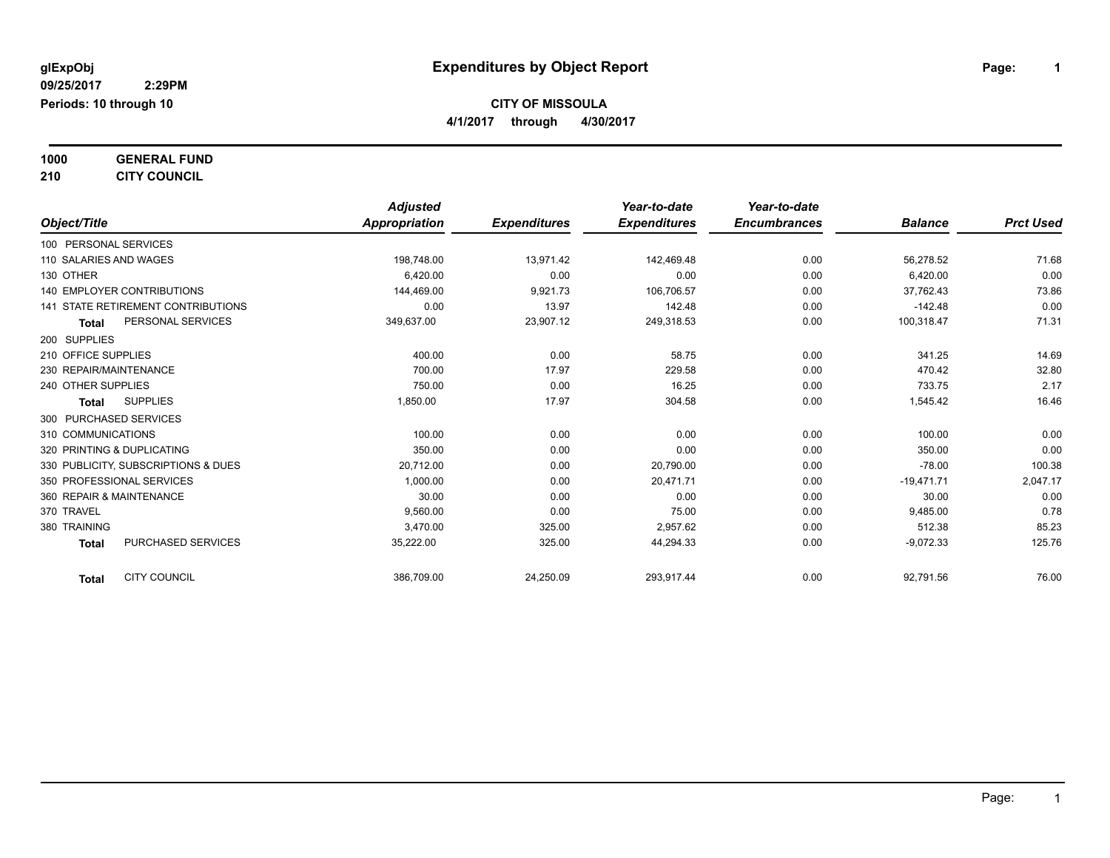**1000 GENERAL FUND**

**210 CITY COUNCIL**

|                                           | <b>Adjusted</b> |                     | Year-to-date        | Year-to-date        |                |                  |
|-------------------------------------------|-----------------|---------------------|---------------------|---------------------|----------------|------------------|
| Object/Title                              | Appropriation   | <b>Expenditures</b> | <b>Expenditures</b> | <b>Encumbrances</b> | <b>Balance</b> | <b>Prct Used</b> |
| 100 PERSONAL SERVICES                     |                 |                     |                     |                     |                |                  |
| 110 SALARIES AND WAGES                    | 198,748.00      | 13,971.42           | 142,469.48          | 0.00                | 56,278.52      | 71.68            |
| 130 OTHER                                 | 6,420.00        | 0.00                | 0.00                | 0.00                | 6,420.00       | 0.00             |
| <b>140 EMPLOYER CONTRIBUTIONS</b>         | 144,469.00      | 9,921.73            | 106,706.57          | 0.00                | 37,762.43      | 73.86            |
| 141 STATE RETIREMENT CONTRIBUTIONS        | 0.00            | 13.97               | 142.48              | 0.00                | $-142.48$      | 0.00             |
| PERSONAL SERVICES<br><b>Total</b>         | 349,637.00      | 23,907.12           | 249,318.53          | 0.00                | 100,318.47     | 71.31            |
| 200 SUPPLIES                              |                 |                     |                     |                     |                |                  |
| 210 OFFICE SUPPLIES                       | 400.00          | 0.00                | 58.75               | 0.00                | 341.25         | 14.69            |
| 230 REPAIR/MAINTENANCE                    | 700.00          | 17.97               | 229.58              | 0.00                | 470.42         | 32.80            |
| 240 OTHER SUPPLIES                        | 750.00          | 0.00                | 16.25               | 0.00                | 733.75         | 2.17             |
| <b>SUPPLIES</b><br><b>Total</b>           | 1,850.00        | 17.97               | 304.58              | 0.00                | 1,545.42       | 16.46            |
| 300 PURCHASED SERVICES                    |                 |                     |                     |                     |                |                  |
| 310 COMMUNICATIONS                        | 100.00          | 0.00                | 0.00                | 0.00                | 100.00         | 0.00             |
| 320 PRINTING & DUPLICATING                | 350.00          | 0.00                | 0.00                | 0.00                | 350.00         | 0.00             |
| 330 PUBLICITY, SUBSCRIPTIONS & DUES       | 20,712.00       | 0.00                | 20,790.00           | 0.00                | $-78.00$       | 100.38           |
| 350 PROFESSIONAL SERVICES                 | 1.000.00        | 0.00                | 20.471.71           | 0.00                | $-19,471.71$   | 2,047.17         |
| 360 REPAIR & MAINTENANCE                  | 30.00           | 0.00                | 0.00                | 0.00                | 30.00          | 0.00             |
| 370 TRAVEL                                | 9,560.00        | 0.00                | 75.00               | 0.00                | 9,485.00       | 0.78             |
| 380 TRAINING                              | 3,470.00        | 325.00              | 2.957.62            | 0.00                | 512.38         | 85.23            |
| <b>PURCHASED SERVICES</b><br><b>Total</b> | 35,222.00       | 325.00              | 44,294.33           | 0.00                | $-9,072.33$    | 125.76           |
| <b>CITY COUNCIL</b><br><b>Total</b>       | 386,709.00      | 24,250.09           | 293,917.44          | 0.00                | 92,791.56      | 76.00            |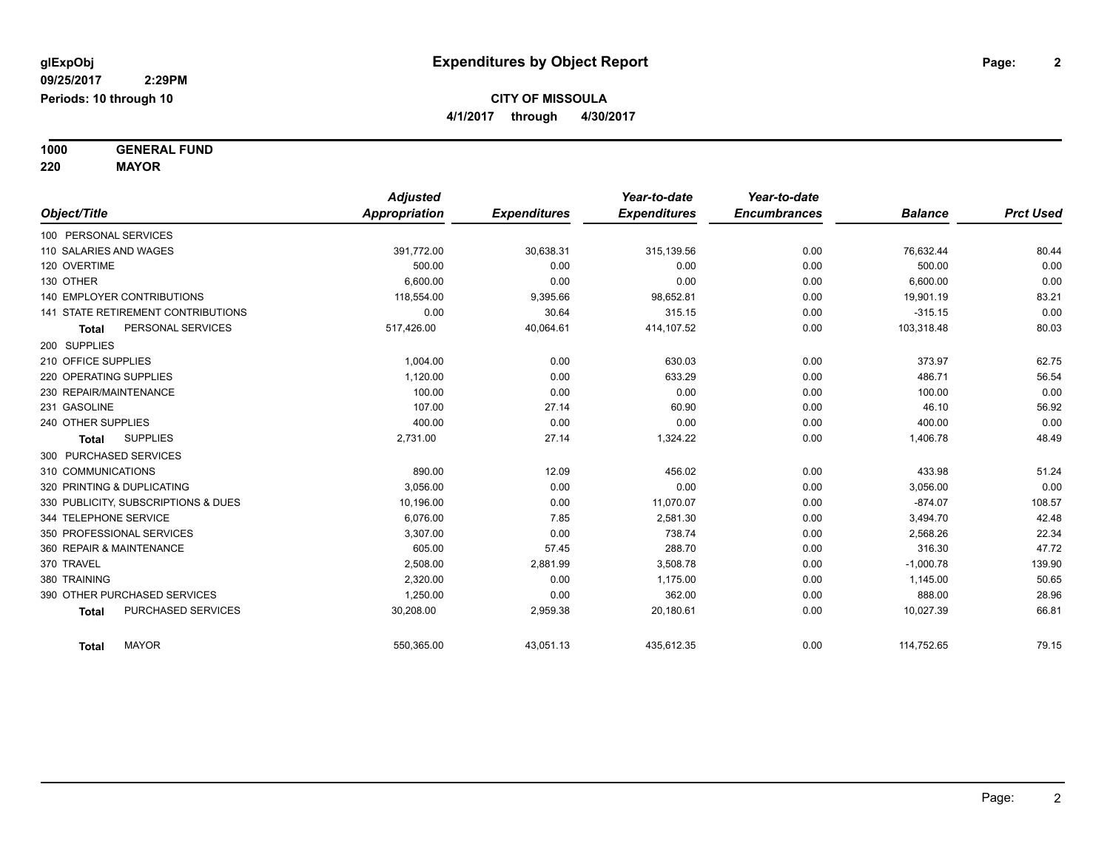**1000 GENERAL FUND**

**220 MAYOR**

|                                           | <b>Adjusted</b>      |                     | Year-to-date        | Year-to-date        |                |                  |
|-------------------------------------------|----------------------|---------------------|---------------------|---------------------|----------------|------------------|
| Object/Title                              | <b>Appropriation</b> | <b>Expenditures</b> | <b>Expenditures</b> | <b>Encumbrances</b> | <b>Balance</b> | <b>Prct Used</b> |
| 100 PERSONAL SERVICES                     |                      |                     |                     |                     |                |                  |
| 110 SALARIES AND WAGES                    | 391,772.00           | 30,638.31           | 315,139.56          | 0.00                | 76,632.44      | 80.44            |
| 120 OVERTIME                              | 500.00               | 0.00                | 0.00                | 0.00                | 500.00         | 0.00             |
| 130 OTHER                                 | 6.600.00             | 0.00                | 0.00                | 0.00                | 6,600.00       | 0.00             |
| <b>140 EMPLOYER CONTRIBUTIONS</b>         | 118,554.00           | 9,395.66            | 98,652.81           | 0.00                | 19,901.19      | 83.21            |
| <b>141 STATE RETIREMENT CONTRIBUTIONS</b> | 0.00                 | 30.64               | 315.15              | 0.00                | $-315.15$      | 0.00             |
| PERSONAL SERVICES<br><b>Total</b>         | 517,426.00           | 40,064.61           | 414,107.52          | 0.00                | 103,318.48     | 80.03            |
| 200 SUPPLIES                              |                      |                     |                     |                     |                |                  |
| 210 OFFICE SUPPLIES                       | 1,004.00             | 0.00                | 630.03              | 0.00                | 373.97         | 62.75            |
| 220 OPERATING SUPPLIES                    | 1,120.00             | 0.00                | 633.29              | 0.00                | 486.71         | 56.54            |
| 230 REPAIR/MAINTENANCE                    | 100.00               | 0.00                | 0.00                | 0.00                | 100.00         | 0.00             |
| 231 GASOLINE                              | 107.00               | 27.14               | 60.90               | 0.00                | 46.10          | 56.92            |
| 240 OTHER SUPPLIES                        | 400.00               | 0.00                | 0.00                | 0.00                | 400.00         | 0.00             |
| <b>SUPPLIES</b><br>Total                  | 2,731.00             | 27.14               | 1,324.22            | 0.00                | 1,406.78       | 48.49            |
| 300 PURCHASED SERVICES                    |                      |                     |                     |                     |                |                  |
| 310 COMMUNICATIONS                        | 890.00               | 12.09               | 456.02              | 0.00                | 433.98         | 51.24            |
| 320 PRINTING & DUPLICATING                | 3,056.00             | 0.00                | 0.00                | 0.00                | 3,056.00       | 0.00             |
| 330 PUBLICITY, SUBSCRIPTIONS & DUES       | 10,196.00            | 0.00                | 11,070.07           | 0.00                | $-874.07$      | 108.57           |
| 344 TELEPHONE SERVICE                     | 6.076.00             | 7.85                | 2,581.30            | 0.00                | 3,494.70       | 42.48            |
| 350 PROFESSIONAL SERVICES                 | 3,307.00             | 0.00                | 738.74              | 0.00                | 2,568.26       | 22.34            |
| 360 REPAIR & MAINTENANCE                  | 605.00               | 57.45               | 288.70              | 0.00                | 316.30         | 47.72            |
| 370 TRAVEL                                | 2,508.00             | 2,881.99            | 3,508.78            | 0.00                | $-1,000.78$    | 139.90           |
| 380 TRAINING                              | 2,320.00             | 0.00                | 1,175.00            | 0.00                | 1,145.00       | 50.65            |
| 390 OTHER PURCHASED SERVICES              | 1,250.00             | 0.00                | 362.00              | 0.00                | 888.00         | 28.96            |
| PURCHASED SERVICES<br><b>Total</b>        | 30,208.00            | 2,959.38            | 20,180.61           | 0.00                | 10,027.39      | 66.81            |
| <b>MAYOR</b><br>Total                     | 550,365.00           | 43,051.13           | 435,612.35          | 0.00                | 114,752.65     | 79.15            |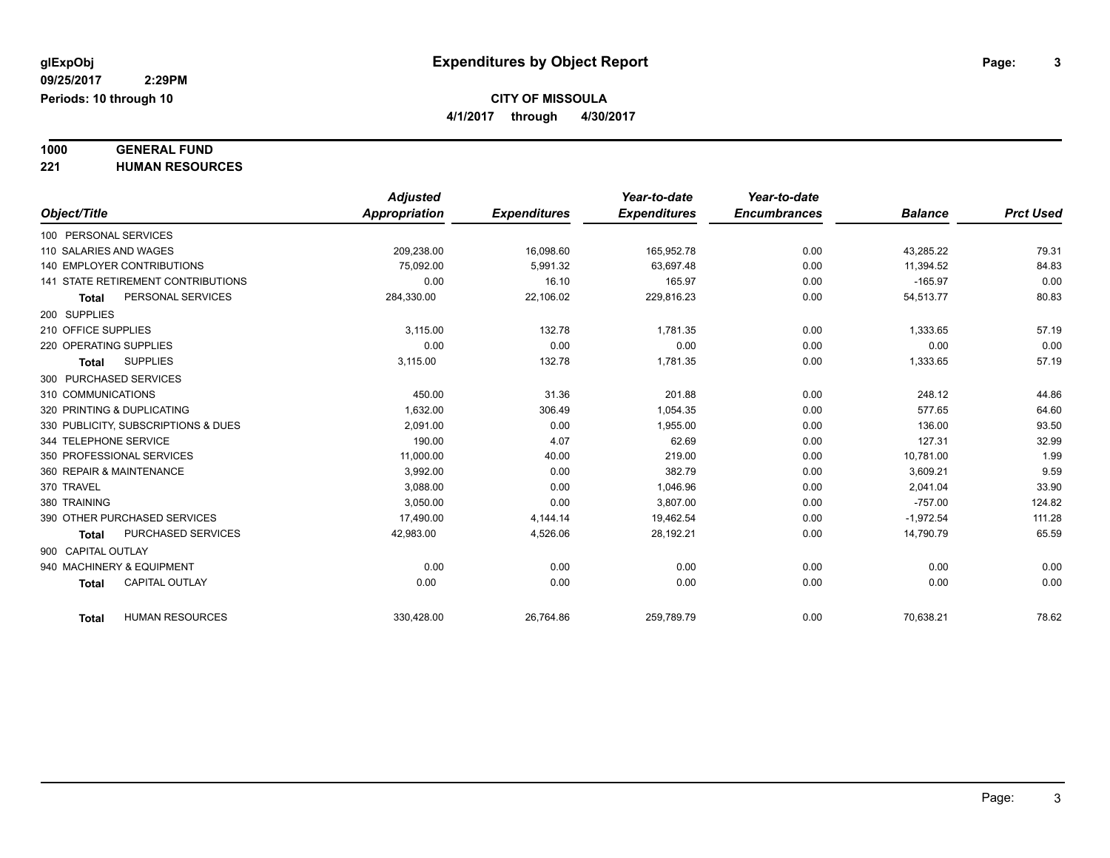**4/1/2017 through 4/30/2017**

## **1000 GENERAL FUND**

**221 HUMAN RESOURCES**

|                                        | <b>Adjusted</b>      |                     | Year-to-date        | Year-to-date        |                |                  |
|----------------------------------------|----------------------|---------------------|---------------------|---------------------|----------------|------------------|
| Object/Title                           | <b>Appropriation</b> | <b>Expenditures</b> | <b>Expenditures</b> | <b>Encumbrances</b> | <b>Balance</b> | <b>Prct Used</b> |
| 100 PERSONAL SERVICES                  |                      |                     |                     |                     |                |                  |
| 110 SALARIES AND WAGES                 | 209.238.00           | 16,098.60           | 165.952.78          | 0.00                | 43.285.22      | 79.31            |
| 140 EMPLOYER CONTRIBUTIONS             | 75.092.00            | 5,991.32            | 63.697.48           | 0.00                | 11,394.52      | 84.83            |
| 141 STATE RETIREMENT CONTRIBUTIONS     | 0.00                 | 16.10               | 165.97              | 0.00                | $-165.97$      | 0.00             |
| PERSONAL SERVICES<br><b>Total</b>      | 284,330.00           | 22,106.02           | 229,816.23          | 0.00                | 54,513.77      | 80.83            |
| 200 SUPPLIES                           |                      |                     |                     |                     |                |                  |
| 210 OFFICE SUPPLIES                    | 3,115.00             | 132.78              | 1,781.35            | 0.00                | 1,333.65       | 57.19            |
| 220 OPERATING SUPPLIES                 | 0.00                 | 0.00                | 0.00                | 0.00                | 0.00           | 0.00             |
| <b>SUPPLIES</b><br><b>Total</b>        | 3,115.00             | 132.78              | 1,781.35            | 0.00                | 1,333.65       | 57.19            |
| 300 PURCHASED SERVICES                 |                      |                     |                     |                     |                |                  |
| 310 COMMUNICATIONS                     | 450.00               | 31.36               | 201.88              | 0.00                | 248.12         | 44.86            |
| 320 PRINTING & DUPLICATING             | 1,632.00             | 306.49              | 1,054.35            | 0.00                | 577.65         | 64.60            |
| 330 PUBLICITY, SUBSCRIPTIONS & DUES    | 2.091.00             | 0.00                | 1,955.00            | 0.00                | 136.00         | 93.50            |
| 344 TELEPHONE SERVICE                  | 190.00               | 4.07                | 62.69               | 0.00                | 127.31         | 32.99            |
| 350 PROFESSIONAL SERVICES              | 11,000.00            | 40.00               | 219.00              | 0.00                | 10,781.00      | 1.99             |
| 360 REPAIR & MAINTENANCE               | 3,992.00             | 0.00                | 382.79              | 0.00                | 3,609.21       | 9.59             |
| 370 TRAVEL                             | 3,088.00             | 0.00                | 1,046.96            | 0.00                | 2,041.04       | 33.90            |
| 380 TRAINING                           | 3,050.00             | 0.00                | 3,807.00            | 0.00                | $-757.00$      | 124.82           |
| 390 OTHER PURCHASED SERVICES           | 17,490.00            | 4,144.14            | 19,462.54           | 0.00                | $-1,972.54$    | 111.28           |
| PURCHASED SERVICES<br><b>Total</b>     | 42,983.00            | 4,526.06            | 28,192.21           | 0.00                | 14,790.79      | 65.59            |
| 900 CAPITAL OUTLAY                     |                      |                     |                     |                     |                |                  |
| 940 MACHINERY & EQUIPMENT              | 0.00                 | 0.00                | 0.00                | 0.00                | 0.00           | 0.00             |
| <b>CAPITAL OUTLAY</b><br><b>Total</b>  | 0.00                 | 0.00                | 0.00                | 0.00                | 0.00           | 0.00             |
|                                        |                      |                     |                     |                     |                |                  |
| <b>HUMAN RESOURCES</b><br><b>Total</b> | 330,428.00           | 26,764.86           | 259,789.79          | 0.00                | 70,638.21      | 78.62            |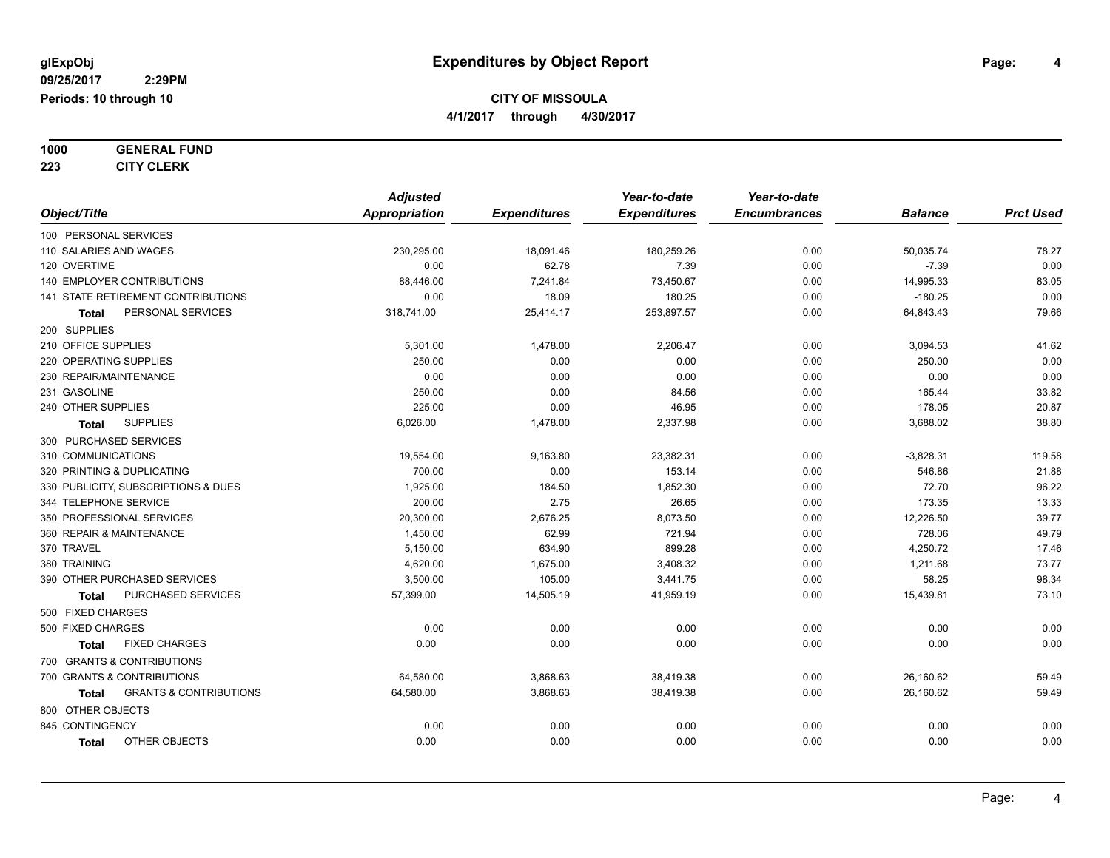# **1000 GENERAL FUND**

**223 CITY CLERK**

|                            |                                     | <b>Adjusted</b>      |                     | Year-to-date        | Year-to-date        |                |                  |
|----------------------------|-------------------------------------|----------------------|---------------------|---------------------|---------------------|----------------|------------------|
| Object/Title               |                                     | <b>Appropriation</b> | <b>Expenditures</b> | <b>Expenditures</b> | <b>Encumbrances</b> | <b>Balance</b> | <b>Prct Used</b> |
| 100 PERSONAL SERVICES      |                                     |                      |                     |                     |                     |                |                  |
| 110 SALARIES AND WAGES     |                                     | 230,295.00           | 18,091.46           | 180,259.26          | 0.00                | 50,035.74      | 78.27            |
| 120 OVERTIME               |                                     | 0.00                 | 62.78               | 7.39                | 0.00                | $-7.39$        | 0.00             |
|                            | 140 EMPLOYER CONTRIBUTIONS          | 88,446.00            | 7,241.84            | 73,450.67           | 0.00                | 14,995.33      | 83.05            |
|                            | 141 STATE RETIREMENT CONTRIBUTIONS  | 0.00                 | 18.09               | 180.25              | 0.00                | $-180.25$      | 0.00             |
| <b>Total</b>               | PERSONAL SERVICES                   | 318,741.00           | 25,414.17           | 253,897.57          | 0.00                | 64,843.43      | 79.66            |
| 200 SUPPLIES               |                                     |                      |                     |                     |                     |                |                  |
| 210 OFFICE SUPPLIES        |                                     | 5,301.00             | 1,478.00            | 2,206.47            | 0.00                | 3,094.53       | 41.62            |
| 220 OPERATING SUPPLIES     |                                     | 250.00               | 0.00                | 0.00                | 0.00                | 250.00         | 0.00             |
| 230 REPAIR/MAINTENANCE     |                                     | 0.00                 | 0.00                | 0.00                | 0.00                | 0.00           | 0.00             |
| 231 GASOLINE               |                                     | 250.00               | 0.00                | 84.56               | 0.00                | 165.44         | 33.82            |
| 240 OTHER SUPPLIES         |                                     | 225.00               | 0.00                | 46.95               | 0.00                | 178.05         | 20.87            |
| <b>Total</b>               | <b>SUPPLIES</b>                     | 6,026.00             | 1,478.00            | 2,337.98            | 0.00                | 3,688.02       | 38.80            |
| 300 PURCHASED SERVICES     |                                     |                      |                     |                     |                     |                |                  |
| 310 COMMUNICATIONS         |                                     | 19,554.00            | 9,163.80            | 23,382.31           | 0.00                | $-3,828.31$    | 119.58           |
| 320 PRINTING & DUPLICATING |                                     | 700.00               | 0.00                | 153.14              | 0.00                | 546.86         | 21.88            |
|                            | 330 PUBLICITY, SUBSCRIPTIONS & DUES | 1,925.00             | 184.50              | 1,852.30            | 0.00                | 72.70          | 96.22            |
| 344 TELEPHONE SERVICE      |                                     | 200.00               | 2.75                | 26.65               | 0.00                | 173.35         | 13.33            |
|                            | 350 PROFESSIONAL SERVICES           | 20,300.00            | 2,676.25            | 8,073.50            | 0.00                | 12,226.50      | 39.77            |
| 360 REPAIR & MAINTENANCE   |                                     | 1,450.00             | 62.99               | 721.94              | 0.00                | 728.06         | 49.79            |
| 370 TRAVEL                 |                                     | 5.150.00             | 634.90              | 899.28              | 0.00                | 4,250.72       | 17.46            |
| 380 TRAINING               |                                     | 4,620.00             | 1,675.00            | 3,408.32            | 0.00                | 1,211.68       | 73.77            |
|                            | 390 OTHER PURCHASED SERVICES        | 3,500.00             | 105.00              | 3,441.75            | 0.00                | 58.25          | 98.34            |
| Total                      | <b>PURCHASED SERVICES</b>           | 57,399.00            | 14,505.19           | 41,959.19           | 0.00                | 15,439.81      | 73.10            |
| 500 FIXED CHARGES          |                                     |                      |                     |                     |                     |                |                  |
| 500 FIXED CHARGES          |                                     | 0.00                 | 0.00                | 0.00                | 0.00                | 0.00           | 0.00             |
| <b>Total</b>               | <b>FIXED CHARGES</b>                | 0.00                 | 0.00                | 0.00                | 0.00                | 0.00           | 0.00             |
|                            | 700 GRANTS & CONTRIBUTIONS          |                      |                     |                     |                     |                |                  |
|                            | 700 GRANTS & CONTRIBUTIONS          | 64,580.00            | 3,868.63            | 38,419.38           | 0.00                | 26,160.62      | 59.49            |
| Total                      | <b>GRANTS &amp; CONTRIBUTIONS</b>   | 64,580.00            | 3,868.63            | 38,419.38           | 0.00                | 26,160.62      | 59.49            |
| 800 OTHER OBJECTS          |                                     |                      |                     |                     |                     |                |                  |
| 845 CONTINGENCY            |                                     | 0.00                 | 0.00                | 0.00                | 0.00                | 0.00           | 0.00             |
| <b>Total</b>               | OTHER OBJECTS                       | 0.00                 | 0.00                | 0.00                | 0.00                | 0.00           | 0.00             |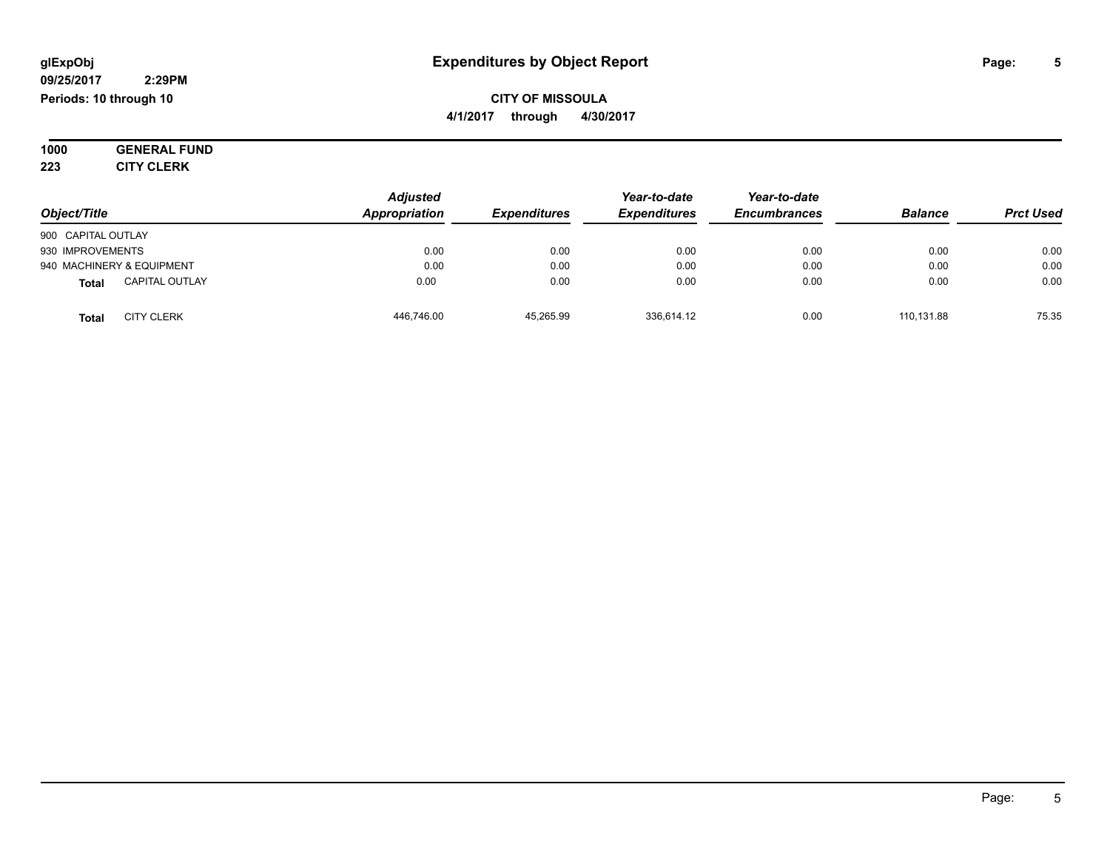#### **09/25/2017 2:29PM Periods: 10 through 10**

**CITY OF MISSOULA 4/1/2017 through 4/30/2017**

**1000 GENERAL FUND 223 CITY CLERK**

| Object/Title                          | <b>Adjusted</b><br>Appropriation | <b>Expenditures</b> | Year-to-date<br><b>Expenditures</b> | Year-to-date<br><b>Encumbrances</b> | <b>Balance</b> | <b>Prct Used</b> |
|---------------------------------------|----------------------------------|---------------------|-------------------------------------|-------------------------------------|----------------|------------------|
|                                       |                                  |                     |                                     |                                     |                |                  |
| 900 CAPITAL OUTLAY                    |                                  |                     |                                     |                                     |                |                  |
| 930 IMPROVEMENTS                      | 0.00                             | 0.00                | 0.00                                | 0.00                                | 0.00           | 0.00             |
| 940 MACHINERY & EQUIPMENT             | 0.00                             | 0.00                | 0.00                                | 0.00                                | 0.00           | 0.00             |
| <b>CAPITAL OUTLAY</b><br><b>Total</b> | 0.00                             | 0.00                | 0.00                                | 0.00                                | 0.00           | 0.00             |
| <b>CITY CLERK</b><br>Total            | 446,746.00                       | 45.265.99           | 336,614.12                          | 0.00                                | 110.131.88     | 75.35            |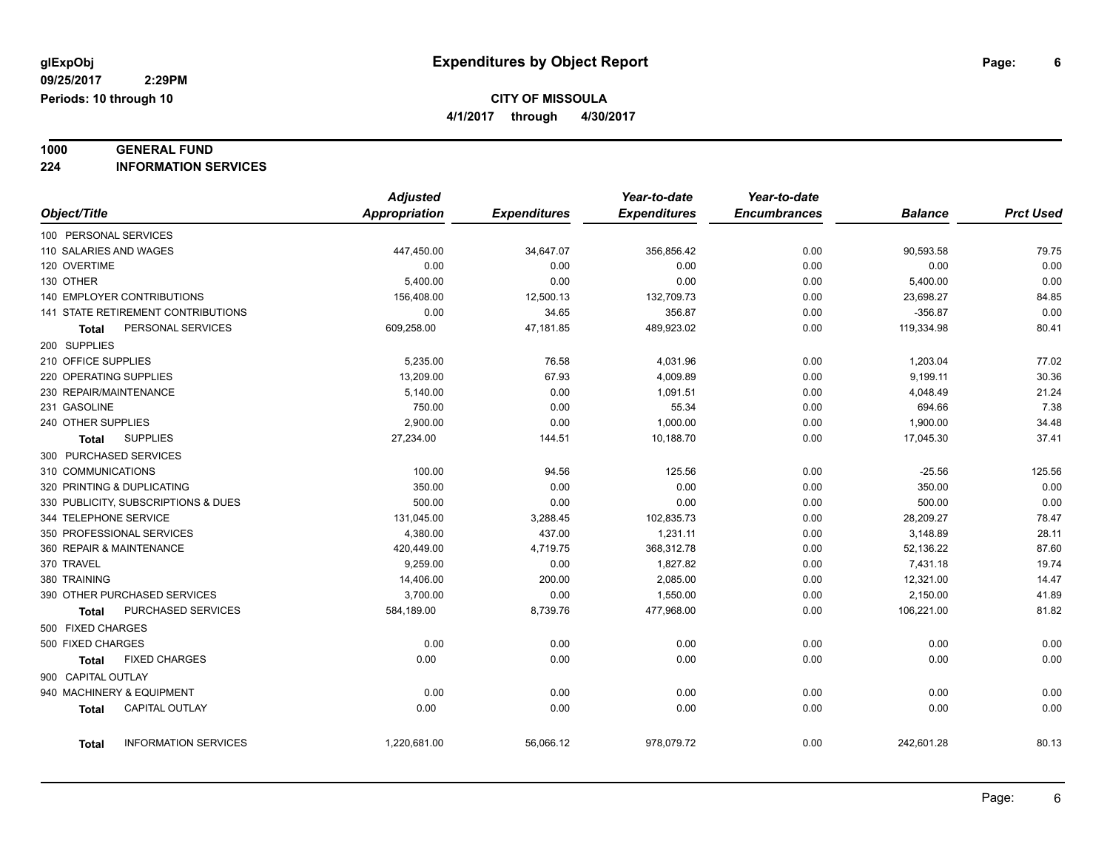**4/1/2017 through 4/30/2017**

## **1000 GENERAL FUND**

**224 INFORMATION SERVICES**

|                                      | <b>Adjusted</b>      |                     | Year-to-date        | Year-to-date        |                |                  |
|--------------------------------------|----------------------|---------------------|---------------------|---------------------|----------------|------------------|
| Object/Title                         | <b>Appropriation</b> | <b>Expenditures</b> | <b>Expenditures</b> | <b>Encumbrances</b> | <b>Balance</b> | <b>Prct Used</b> |
| 100 PERSONAL SERVICES                |                      |                     |                     |                     |                |                  |
| 110 SALARIES AND WAGES               | 447,450.00           | 34,647.07           | 356,856.42          | 0.00                | 90,593.58      | 79.75            |
| 120 OVERTIME                         | 0.00                 | 0.00                | 0.00                | 0.00                | 0.00           | 0.00             |
| 130 OTHER                            | 5,400.00             | 0.00                | 0.00                | 0.00                | 5,400.00       | 0.00             |
| <b>140 EMPLOYER CONTRIBUTIONS</b>    | 156,408.00           | 12,500.13           | 132,709.73          | 0.00                | 23,698.27      | 84.85            |
| 141 STATE RETIREMENT CONTRIBUTIONS   | 0.00                 | 34.65               | 356.87              | 0.00                | $-356.87$      | 0.00             |
| PERSONAL SERVICES<br>Total           | 609,258.00           | 47,181.85           | 489,923.02          | 0.00                | 119,334.98     | 80.41            |
| 200 SUPPLIES                         |                      |                     |                     |                     |                |                  |
| 210 OFFICE SUPPLIES                  | 5,235.00             | 76.58               | 4,031.96            | 0.00                | 1,203.04       | 77.02            |
| 220 OPERATING SUPPLIES               | 13,209.00            | 67.93               | 4,009.89            | 0.00                | 9,199.11       | 30.36            |
| 230 REPAIR/MAINTENANCE               | 5,140.00             | 0.00                | 1,091.51            | 0.00                | 4,048.49       | 21.24            |
| 231 GASOLINE                         | 750.00               | 0.00                | 55.34               | 0.00                | 694.66         | 7.38             |
| 240 OTHER SUPPLIES                   | 2,900.00             | 0.00                | 1,000.00            | 0.00                | 1,900.00       | 34.48            |
| <b>SUPPLIES</b><br>Total             | 27,234.00            | 144.51              | 10,188.70           | 0.00                | 17,045.30      | 37.41            |
| 300 PURCHASED SERVICES               |                      |                     |                     |                     |                |                  |
| 310 COMMUNICATIONS                   | 100.00               | 94.56               | 125.56              | 0.00                | $-25.56$       | 125.56           |
| 320 PRINTING & DUPLICATING           | 350.00               | 0.00                | 0.00                | 0.00                | 350.00         | 0.00             |
| 330 PUBLICITY, SUBSCRIPTIONS & DUES  | 500.00               | 0.00                | 0.00                | 0.00                | 500.00         | 0.00             |
| 344 TELEPHONE SERVICE                | 131,045.00           | 3,288.45            | 102,835.73          | 0.00                | 28,209.27      | 78.47            |
| 350 PROFESSIONAL SERVICES            | 4,380.00             | 437.00              | 1,231.11            | 0.00                | 3,148.89       | 28.11            |
| 360 REPAIR & MAINTENANCE             | 420,449.00           | 4,719.75            | 368,312.78          | 0.00                | 52,136.22      | 87.60            |
| 370 TRAVEL                           | 9,259.00             | 0.00                | 1,827.82            | 0.00                | 7,431.18       | 19.74            |
| 380 TRAINING                         | 14,406.00            | 200.00              | 2,085.00            | 0.00                | 12,321.00      | 14.47            |
| 390 OTHER PURCHASED SERVICES         | 3,700.00             | 0.00                | 1,550.00            | 0.00                | 2,150.00       | 41.89            |
| PURCHASED SERVICES<br><b>Total</b>   | 584,189.00           | 8,739.76            | 477,968.00          | 0.00                | 106,221.00     | 81.82            |
| 500 FIXED CHARGES                    |                      |                     |                     |                     |                |                  |
| 500 FIXED CHARGES                    | 0.00                 | 0.00                | 0.00                | 0.00                | 0.00           | 0.00             |
| <b>FIXED CHARGES</b><br><b>Total</b> | 0.00                 | 0.00                | 0.00                | 0.00                | 0.00           | 0.00             |
| 900 CAPITAL OUTLAY                   |                      |                     |                     |                     |                |                  |
| 940 MACHINERY & EQUIPMENT            | 0.00                 | 0.00                | 0.00                | 0.00                | 0.00           | 0.00             |
| CAPITAL OUTLAY<br><b>Total</b>       | 0.00                 | 0.00                | 0.00                | 0.00                | 0.00           | 0.00             |
|                                      |                      |                     |                     |                     |                |                  |
| <b>INFORMATION SERVICES</b><br>Total | 1,220,681.00         | 56,066.12           | 978,079.72          | 0.00                | 242,601.28     | 80.13            |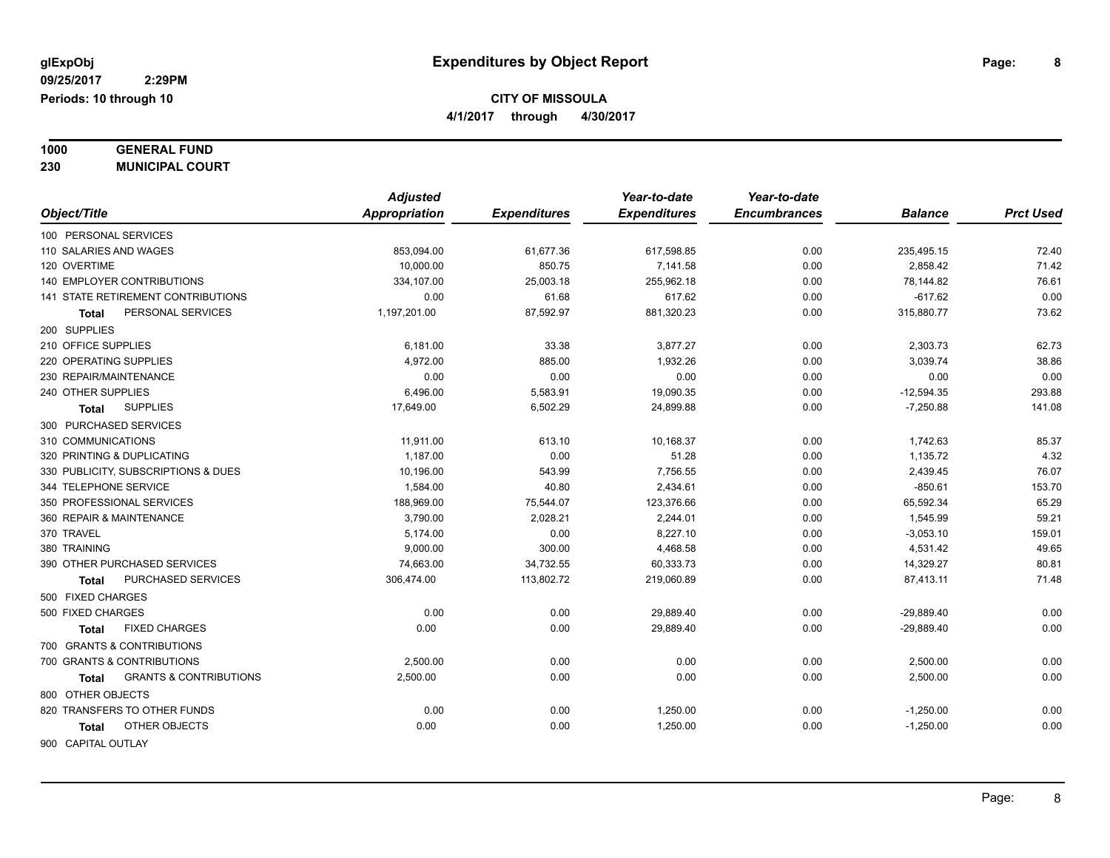**1000 GENERAL FUND**

**230 MUNICIPAL COURT**

|                                            | <b>Adjusted</b> |                     | Year-to-date        | Year-to-date        |                |                  |
|--------------------------------------------|-----------------|---------------------|---------------------|---------------------|----------------|------------------|
| Object/Title                               | Appropriation   | <b>Expenditures</b> | <b>Expenditures</b> | <b>Encumbrances</b> | <b>Balance</b> | <b>Prct Used</b> |
| 100 PERSONAL SERVICES                      |                 |                     |                     |                     |                |                  |
| 110 SALARIES AND WAGES                     | 853,094.00      | 61,677.36           | 617,598.85          | 0.00                | 235,495.15     | 72.40            |
| 120 OVERTIME                               | 10,000.00       | 850.75              | 7,141.58            | 0.00                | 2,858.42       | 71.42            |
| 140 EMPLOYER CONTRIBUTIONS                 | 334,107.00      | 25,003.18           | 255,962.18          | 0.00                | 78,144.82      | 76.61            |
| 141 STATE RETIREMENT CONTRIBUTIONS         | 0.00            | 61.68               | 617.62              | 0.00                | $-617.62$      | 0.00             |
| PERSONAL SERVICES<br><b>Total</b>          | 1,197,201.00    | 87,592.97           | 881,320.23          | 0.00                | 315,880.77     | 73.62            |
| 200 SUPPLIES                               |                 |                     |                     |                     |                |                  |
| 210 OFFICE SUPPLIES                        | 6,181.00        | 33.38               | 3,877.27            | 0.00                | 2,303.73       | 62.73            |
| 220 OPERATING SUPPLIES                     | 4,972.00        | 885.00              | 1,932.26            | 0.00                | 3,039.74       | 38.86            |
| 230 REPAIR/MAINTENANCE                     | 0.00            | 0.00                | 0.00                | 0.00                | 0.00           | 0.00             |
| 240 OTHER SUPPLIES                         | 6,496.00        | 5,583.91            | 19,090.35           | 0.00                | $-12,594.35$   | 293.88           |
| <b>SUPPLIES</b><br>Total                   | 17,649.00       | 6,502.29            | 24,899.88           | 0.00                | $-7,250.88$    | 141.08           |
| 300 PURCHASED SERVICES                     |                 |                     |                     |                     |                |                  |
| 310 COMMUNICATIONS                         | 11,911.00       | 613.10              | 10,168.37           | 0.00                | 1,742.63       | 85.37            |
| 320 PRINTING & DUPLICATING                 | 1,187.00        | 0.00                | 51.28               | 0.00                | 1,135.72       | 4.32             |
| 330 PUBLICITY, SUBSCRIPTIONS & DUES        | 10.196.00       | 543.99              | 7,756.55            | 0.00                | 2,439.45       | 76.07            |
| 344 TELEPHONE SERVICE                      | 1,584.00        | 40.80               | 2,434.61            | 0.00                | $-850.61$      | 153.70           |
| 350 PROFESSIONAL SERVICES                  | 188,969.00      | 75,544.07           | 123,376.66          | 0.00                | 65,592.34      | 65.29            |
| 360 REPAIR & MAINTENANCE                   | 3,790.00        | 2,028.21            | 2,244.01            | 0.00                | 1,545.99       | 59.21            |
| 370 TRAVEL                                 | 5,174.00        | 0.00                | 8,227.10            | 0.00                | $-3,053.10$    | 159.01           |
| 380 TRAINING                               | 9,000.00        | 300.00              | 4,468.58            | 0.00                | 4,531.42       | 49.65            |
| 390 OTHER PURCHASED SERVICES               | 74,663.00       | 34,732.55           | 60,333.73           | 0.00                | 14,329.27      | 80.81            |
| PURCHASED SERVICES<br><b>Total</b>         | 306,474.00      | 113,802.72          | 219,060.89          | 0.00                | 87,413.11      | 71.48            |
| 500 FIXED CHARGES                          |                 |                     |                     |                     |                |                  |
| 500 FIXED CHARGES                          | 0.00            | 0.00                | 29,889.40           | 0.00                | $-29,889.40$   | 0.00             |
| <b>FIXED CHARGES</b><br><b>Total</b>       | 0.00            | 0.00                | 29,889.40           | 0.00                | $-29,889.40$   | 0.00             |
| 700 GRANTS & CONTRIBUTIONS                 |                 |                     |                     |                     |                |                  |
| 700 GRANTS & CONTRIBUTIONS                 | 2,500.00        | 0.00                | 0.00                | 0.00                | 2,500.00       | 0.00             |
| <b>GRANTS &amp; CONTRIBUTIONS</b><br>Total | 2,500.00        | 0.00                | 0.00                | 0.00                | 2,500.00       | 0.00             |
| 800 OTHER OBJECTS                          |                 |                     |                     |                     |                |                  |
| 820 TRANSFERS TO OTHER FUNDS               | 0.00            | 0.00                | 1,250.00            | 0.00                | $-1,250.00$    | 0.00             |
| OTHER OBJECTS<br>Total                     | 0.00            | 0.00                | 1,250.00            | 0.00                | $-1,250.00$    | 0.00             |
| 900 CAPITAL OUTLAY                         |                 |                     |                     |                     |                |                  |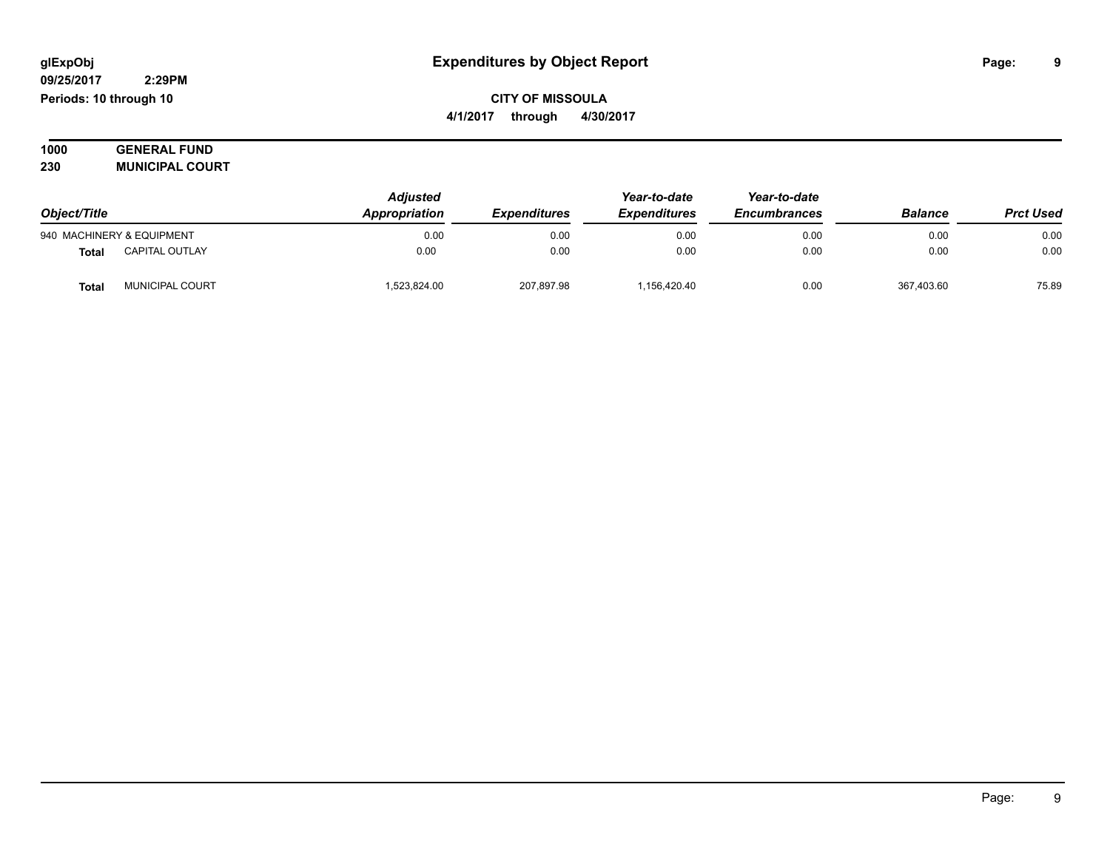#### **09/25/2017 2:29PM Periods: 10 through 10**

**CITY OF MISSOULA 4/1/2017 through 4/30/2017**

**1000 GENERAL FUND 230 MUNICIPAL COURT**

| Object/Title |                           | <b>Adjusted</b><br>Appropriation | <b>Expenditures</b> | Year-to-date<br><b>Expenditures</b> | Year-to-date<br><b>Encumbrances</b> | <b>Balance</b> | <b>Prct Used</b> |
|--------------|---------------------------|----------------------------------|---------------------|-------------------------------------|-------------------------------------|----------------|------------------|
|              | 940 MACHINERY & EQUIPMENT | 0.00                             | 0.00                | 0.00                                | 0.00                                | 0.00           | 0.00             |
| Tota         | <b>CAPITAL OUTLAY</b>     | 0.00                             | 0.00                | 0.00                                | 0.00                                | 0.00           | 0.00             |
| <b>Tota</b>  | MUNICIPAL COURT           | ,523,824.00                      | 207,897.98          | 1,156,420.40                        | 0.00                                | 367,403.60     | 75.89            |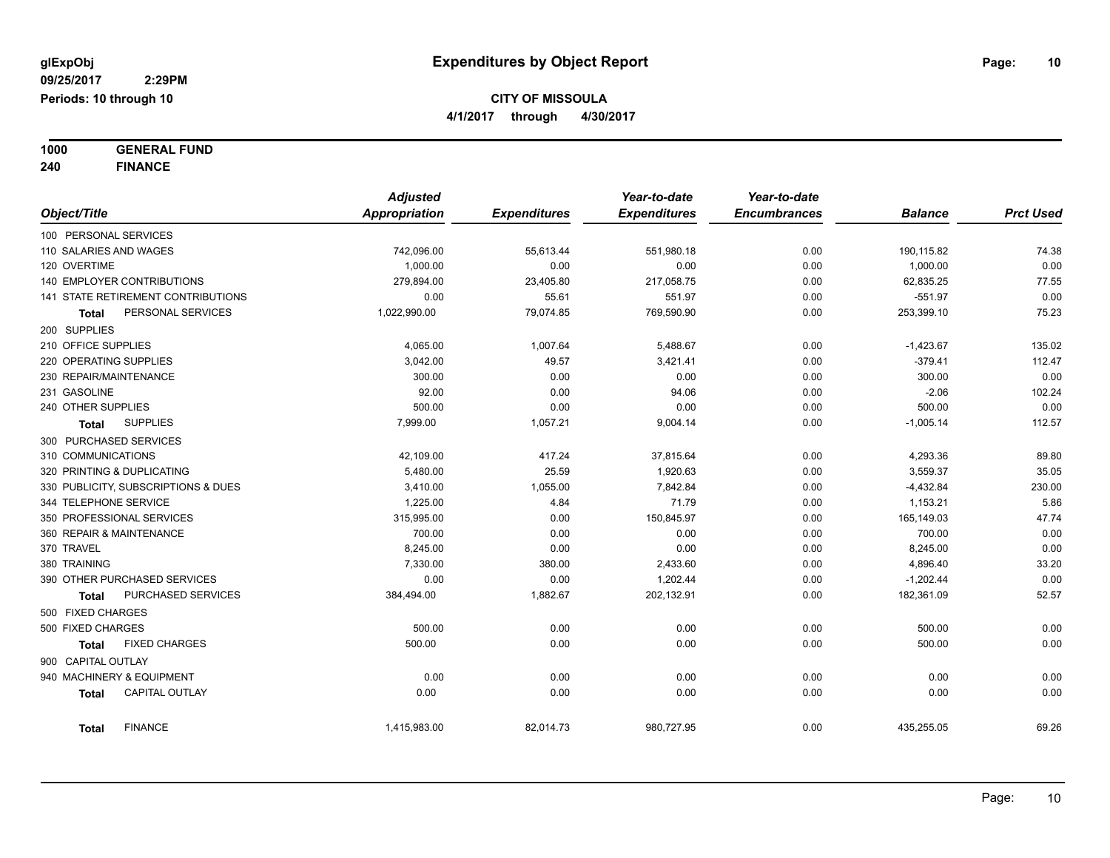**1000 GENERAL FUND**

**240 FINANCE**

|                                       | <b>Adjusted</b>      |                     | Year-to-date        | Year-to-date        |                |                  |
|---------------------------------------|----------------------|---------------------|---------------------|---------------------|----------------|------------------|
| Object/Title                          | <b>Appropriation</b> | <b>Expenditures</b> | <b>Expenditures</b> | <b>Encumbrances</b> | <b>Balance</b> | <b>Prct Used</b> |
| 100 PERSONAL SERVICES                 |                      |                     |                     |                     |                |                  |
| 110 SALARIES AND WAGES                | 742,096.00           | 55,613.44           | 551,980.18          | 0.00                | 190,115.82     | 74.38            |
| 120 OVERTIME                          | 1.000.00             | 0.00                | 0.00                | 0.00                | 1,000.00       | 0.00             |
| <b>140 EMPLOYER CONTRIBUTIONS</b>     | 279,894.00           | 23,405.80           | 217,058.75          | 0.00                | 62,835.25      | 77.55            |
| 141 STATE RETIREMENT CONTRIBUTIONS    | 0.00                 | 55.61               | 551.97              | 0.00                | $-551.97$      | 0.00             |
| PERSONAL SERVICES<br>Total            | 1,022,990.00         | 79,074.85           | 769,590.90          | 0.00                | 253,399.10     | 75.23            |
| 200 SUPPLIES                          |                      |                     |                     |                     |                |                  |
| 210 OFFICE SUPPLIES                   | 4,065.00             | 1,007.64            | 5,488.67            | 0.00                | $-1,423.67$    | 135.02           |
| 220 OPERATING SUPPLIES                | 3,042.00             | 49.57               | 3,421.41            | 0.00                | $-379.41$      | 112.47           |
| 230 REPAIR/MAINTENANCE                | 300.00               | 0.00                | 0.00                | 0.00                | 300.00         | 0.00             |
| 231 GASOLINE                          | 92.00                | 0.00                | 94.06               | 0.00                | $-2.06$        | 102.24           |
| 240 OTHER SUPPLIES                    | 500.00               | 0.00                | 0.00                | 0.00                | 500.00         | 0.00             |
| <b>SUPPLIES</b><br>Total              | 7,999.00             | 1,057.21            | 9,004.14            | 0.00                | $-1,005.14$    | 112.57           |
| 300 PURCHASED SERVICES                |                      |                     |                     |                     |                |                  |
| 310 COMMUNICATIONS                    | 42,109.00            | 417.24              | 37,815.64           | 0.00                | 4,293.36       | 89.80            |
| 320 PRINTING & DUPLICATING            | 5,480.00             | 25.59               | 1,920.63            | 0.00                | 3,559.37       | 35.05            |
| 330 PUBLICITY, SUBSCRIPTIONS & DUES   | 3,410.00             | 1,055.00            | 7,842.84            | 0.00                | $-4,432.84$    | 230.00           |
| 344 TELEPHONE SERVICE                 | 1,225.00             | 4.84                | 71.79               | 0.00                | 1,153.21       | 5.86             |
| 350 PROFESSIONAL SERVICES             | 315,995.00           | 0.00                | 150,845.97          | 0.00                | 165,149.03     | 47.74            |
| 360 REPAIR & MAINTENANCE              | 700.00               | 0.00                | 0.00                | 0.00                | 700.00         | 0.00             |
| 370 TRAVEL                            | 8,245.00             | 0.00                | 0.00                | 0.00                | 8,245.00       | 0.00             |
| 380 TRAINING                          | 7,330.00             | 380.00              | 2,433.60            | 0.00                | 4,896.40       | 33.20            |
| 390 OTHER PURCHASED SERVICES          | 0.00                 | 0.00                | 1,202.44            | 0.00                | $-1,202.44$    | 0.00             |
| PURCHASED SERVICES<br>Total           | 384,494.00           | 1,882.67            | 202,132.91          | 0.00                | 182,361.09     | 52.57            |
| 500 FIXED CHARGES                     |                      |                     |                     |                     |                |                  |
| 500 FIXED CHARGES                     | 500.00               | 0.00                | 0.00                | 0.00                | 500.00         | 0.00             |
| <b>FIXED CHARGES</b><br>Total         | 500.00               | 0.00                | 0.00                | 0.00                | 500.00         | 0.00             |
| 900 CAPITAL OUTLAY                    |                      |                     |                     |                     |                |                  |
| 940 MACHINERY & EQUIPMENT             | 0.00                 | 0.00                | 0.00                | 0.00                | 0.00           | 0.00             |
| <b>CAPITAL OUTLAY</b><br><b>Total</b> | 0.00                 | 0.00                | 0.00                | 0.00                | 0.00           | 0.00             |
|                                       |                      |                     |                     |                     |                |                  |
| <b>FINANCE</b><br><b>Total</b>        | 1,415,983.00         | 82,014.73           | 980,727.95          | 0.00                | 435,255.05     | 69.26            |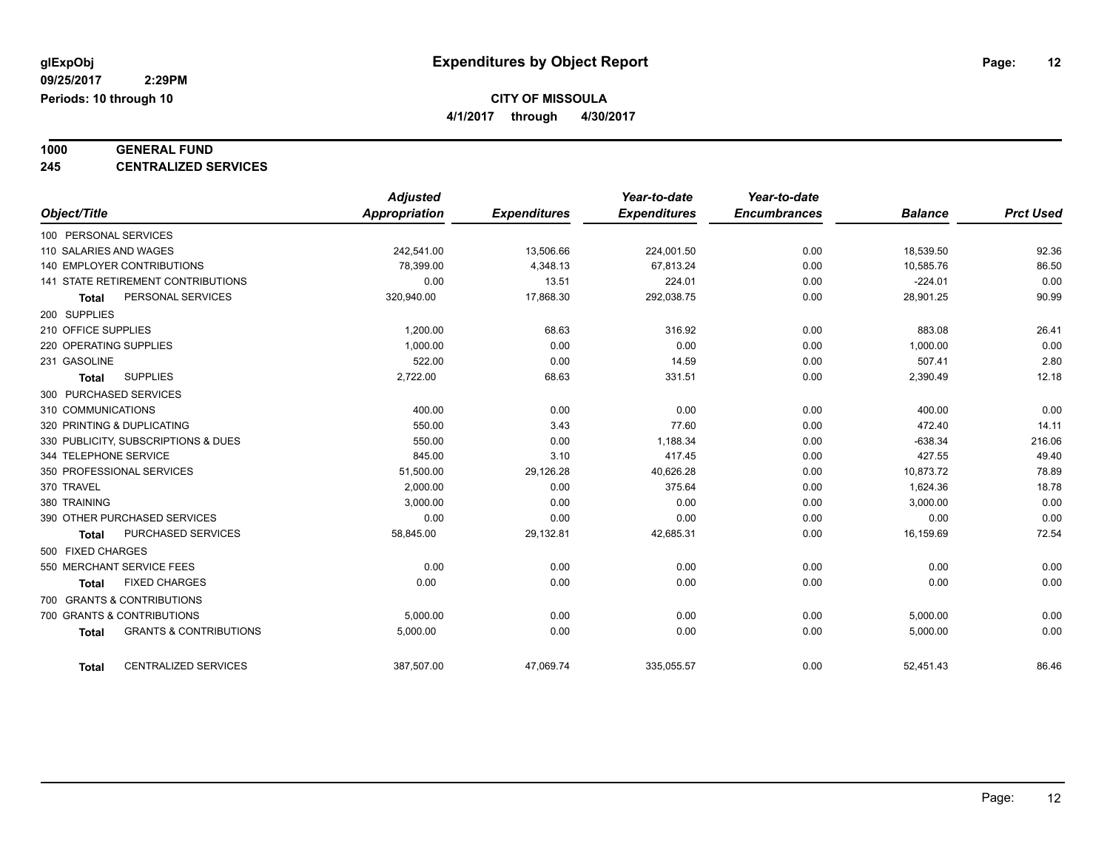**4/1/2017 through 4/30/2017**

### **1000 GENERAL FUND**

**245 CENTRALIZED SERVICES**

|                                                   | <b>Adjusted</b> |                     | Year-to-date        | Year-to-date        |                |                  |
|---------------------------------------------------|-----------------|---------------------|---------------------|---------------------|----------------|------------------|
| Object/Title                                      | Appropriation   | <b>Expenditures</b> | <b>Expenditures</b> | <b>Encumbrances</b> | <b>Balance</b> | <b>Prct Used</b> |
| 100 PERSONAL SERVICES                             |                 |                     |                     |                     |                |                  |
| 110 SALARIES AND WAGES                            | 242,541.00      | 13,506.66           | 224,001.50          | 0.00                | 18,539.50      | 92.36            |
| <b>140 EMPLOYER CONTRIBUTIONS</b>                 | 78,399.00       | 4,348.13            | 67,813.24           | 0.00                | 10,585.76      | 86.50            |
| 141 STATE RETIREMENT CONTRIBUTIONS                | 0.00            | 13.51               | 224.01              | 0.00                | $-224.01$      | 0.00             |
| PERSONAL SERVICES<br><b>Total</b>                 | 320,940.00      | 17,868.30           | 292,038.75          | 0.00                | 28,901.25      | 90.99            |
| 200 SUPPLIES                                      |                 |                     |                     |                     |                |                  |
| 210 OFFICE SUPPLIES                               | 1,200.00        | 68.63               | 316.92              | 0.00                | 883.08         | 26.41            |
| 220 OPERATING SUPPLIES                            | 1,000.00        | 0.00                | 0.00                | 0.00                | 1,000.00       | 0.00             |
| 231 GASOLINE                                      | 522.00          | 0.00                | 14.59               | 0.00                | 507.41         | 2.80             |
| <b>SUPPLIES</b><br><b>Total</b>                   | 2,722.00        | 68.63               | 331.51              | 0.00                | 2,390.49       | 12.18            |
| 300 PURCHASED SERVICES                            |                 |                     |                     |                     |                |                  |
| 310 COMMUNICATIONS                                | 400.00          | 0.00                | 0.00                | 0.00                | 400.00         | 0.00             |
| 320 PRINTING & DUPLICATING                        | 550.00          | 3.43                | 77.60               | 0.00                | 472.40         | 14.11            |
| 330 PUBLICITY, SUBSCRIPTIONS & DUES               | 550.00          | 0.00                | 1,188.34            | 0.00                | $-638.34$      | 216.06           |
| 344 TELEPHONE SERVICE                             | 845.00          | 3.10                | 417.45              | 0.00                | 427.55         | 49.40            |
| 350 PROFESSIONAL SERVICES                         | 51,500.00       | 29,126.28           | 40,626.28           | 0.00                | 10,873.72      | 78.89            |
| 370 TRAVEL                                        | 2,000.00        | 0.00                | 375.64              | 0.00                | 1,624.36       | 18.78            |
| 380 TRAINING                                      | 3,000.00        | 0.00                | 0.00                | 0.00                | 3,000.00       | 0.00             |
| 390 OTHER PURCHASED SERVICES                      | 0.00            | 0.00                | 0.00                | 0.00                | 0.00           | 0.00             |
| PURCHASED SERVICES<br><b>Total</b>                | 58,845.00       | 29,132.81           | 42,685.31           | 0.00                | 16,159.69      | 72.54            |
| 500 FIXED CHARGES                                 |                 |                     |                     |                     |                |                  |
| 550 MERCHANT SERVICE FEES                         | 0.00            | 0.00                | 0.00                | 0.00                | 0.00           | 0.00             |
| <b>FIXED CHARGES</b><br><b>Total</b>              | 0.00            | 0.00                | 0.00                | 0.00                | 0.00           | 0.00             |
| 700 GRANTS & CONTRIBUTIONS                        |                 |                     |                     |                     |                |                  |
| 700 GRANTS & CONTRIBUTIONS                        | 5,000.00        | 0.00                | 0.00                | 0.00                | 5,000.00       | 0.00             |
| <b>GRANTS &amp; CONTRIBUTIONS</b><br><b>Total</b> | 5,000.00        | 0.00                | 0.00                | 0.00                | 5,000.00       | 0.00             |
| <b>CENTRALIZED SERVICES</b><br><b>Total</b>       | 387,507.00      | 47,069.74           | 335,055.57          | 0.00                | 52,451.43      | 86.46            |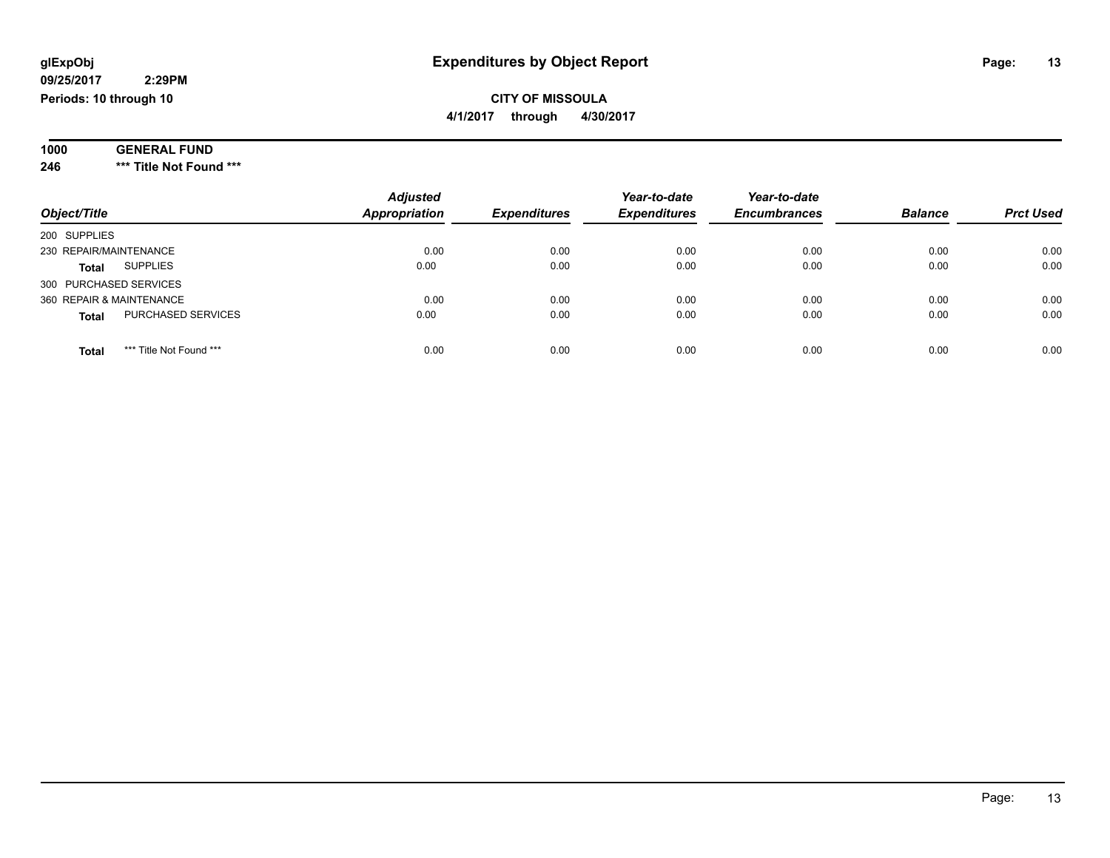#### **09/25/2017 2:29PM Periods: 10 through 10**

### **CITY OF MISSOULA 4/1/2017 through 4/30/2017**

| 1000 | <b>GENERAL</b><br><b>FUND</b><br>-1756 |  |
|------|----------------------------------------|--|
| 246  | Title Not Found ***<br>***             |  |

| Object/Title                              | <b>Adjusted</b><br><b>Appropriation</b> | <b>Expenditures</b> | Year-to-date<br><b>Expenditures</b> | Year-to-date<br><b>Encumbrances</b> | <b>Balance</b> | <b>Prct Used</b> |
|-------------------------------------------|-----------------------------------------|---------------------|-------------------------------------|-------------------------------------|----------------|------------------|
| 200 SUPPLIES                              |                                         |                     |                                     |                                     |                |                  |
| 230 REPAIR/MAINTENANCE                    | 0.00                                    | 0.00                | 0.00                                | 0.00                                | 0.00           | 0.00             |
| <b>SUPPLIES</b><br><b>Total</b>           | 0.00                                    | 0.00                | 0.00                                | 0.00                                | 0.00           | 0.00             |
| 300 PURCHASED SERVICES                    |                                         |                     |                                     |                                     |                |                  |
| 360 REPAIR & MAINTENANCE                  | 0.00                                    | 0.00                | 0.00                                | 0.00                                | 0.00           | 0.00             |
| <b>PURCHASED SERVICES</b><br><b>Total</b> | 0.00                                    | 0.00                | 0.00                                | 0.00                                | 0.00           | 0.00             |
| *** Title Not Found ***<br><b>Total</b>   | 0.00                                    | 0.00                | 0.00                                | 0.00                                | 0.00           | 0.00             |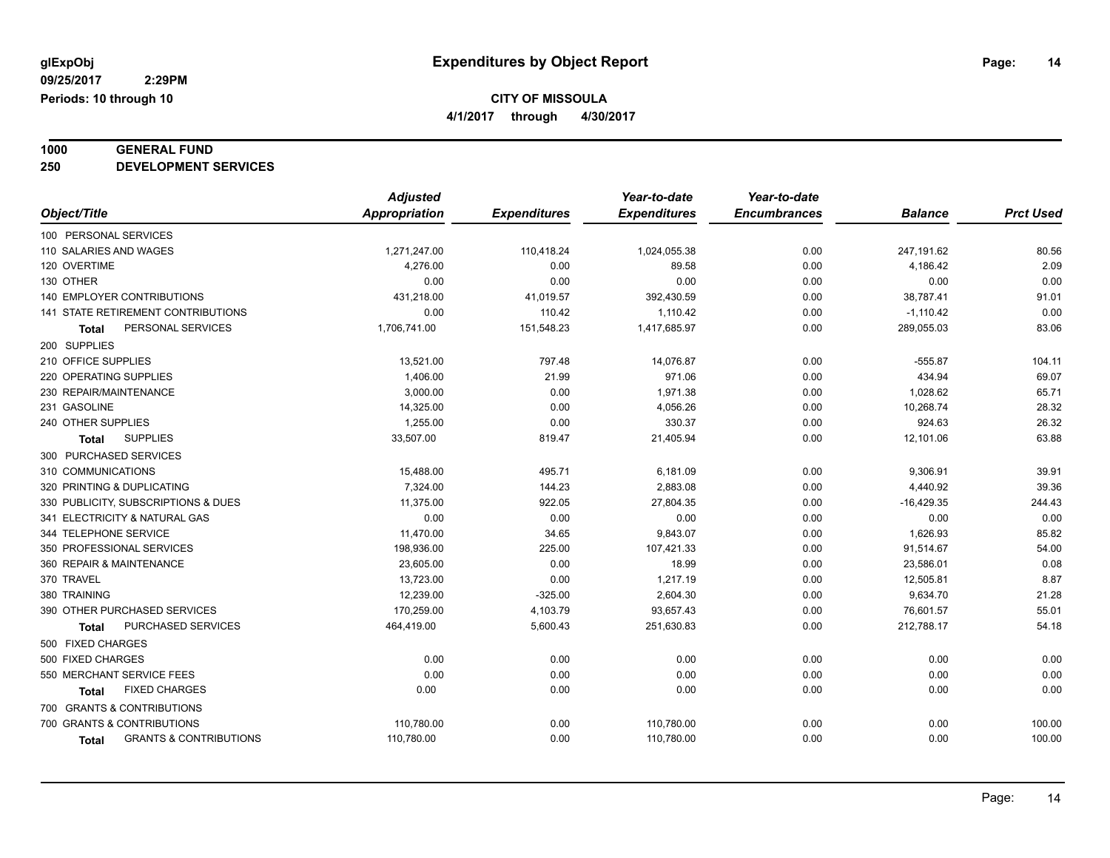**4/1/2017 through 4/30/2017**

### **1000 GENERAL FUND**

**250 DEVELOPMENT SERVICES**

|                                            | <b>Adjusted</b> |                     | Year-to-date        | Year-to-date        |                |                  |
|--------------------------------------------|-----------------|---------------------|---------------------|---------------------|----------------|------------------|
| Object/Title                               | Appropriation   | <b>Expenditures</b> | <b>Expenditures</b> | <b>Encumbrances</b> | <b>Balance</b> | <b>Prct Used</b> |
| 100 PERSONAL SERVICES                      |                 |                     |                     |                     |                |                  |
| 110 SALARIES AND WAGES                     | 1,271,247.00    | 110,418.24          | 1,024,055.38        | 0.00                | 247,191.62     | 80.56            |
| 120 OVERTIME                               | 4,276.00        | 0.00                | 89.58               | 0.00                | 4,186.42       | 2.09             |
| 130 OTHER                                  | 0.00            | 0.00                | 0.00                | 0.00                | 0.00           | 0.00             |
| 140 EMPLOYER CONTRIBUTIONS                 | 431,218.00      | 41,019.57           | 392,430.59          | 0.00                | 38,787.41      | 91.01            |
| <b>141 STATE RETIREMENT CONTRIBUTIONS</b>  | 0.00            | 110.42              | 1,110.42            | 0.00                | $-1,110.42$    | 0.00             |
| PERSONAL SERVICES<br>Total                 | 1,706,741.00    | 151,548.23          | 1,417,685.97        | 0.00                | 289,055.03     | 83.06            |
| 200 SUPPLIES                               |                 |                     |                     |                     |                |                  |
| 210 OFFICE SUPPLIES                        | 13,521.00       | 797.48              | 14,076.87           | 0.00                | $-555.87$      | 104.11           |
| 220 OPERATING SUPPLIES                     | 1,406.00        | 21.99               | 971.06              | 0.00                | 434.94         | 69.07            |
| 230 REPAIR/MAINTENANCE                     | 3,000.00        | 0.00                | 1,971.38            | 0.00                | 1,028.62       | 65.71            |
| 231 GASOLINE                               | 14,325.00       | 0.00                | 4,056.26            | 0.00                | 10,268.74      | 28.32            |
| 240 OTHER SUPPLIES                         | 1,255.00        | 0.00                | 330.37              | 0.00                | 924.63         | 26.32            |
| <b>SUPPLIES</b><br><b>Total</b>            | 33,507.00       | 819.47              | 21,405.94           | 0.00                | 12,101.06      | 63.88            |
| 300 PURCHASED SERVICES                     |                 |                     |                     |                     |                |                  |
| 310 COMMUNICATIONS                         | 15,488.00       | 495.71              | 6,181.09            | 0.00                | 9,306.91       | 39.91            |
| 320 PRINTING & DUPLICATING                 | 7,324.00        | 144.23              | 2,883.08            | 0.00                | 4,440.92       | 39.36            |
| 330 PUBLICITY, SUBSCRIPTIONS & DUES        | 11,375.00       | 922.05              | 27,804.35           | 0.00                | $-16,429.35$   | 244.43           |
| 341 ELECTRICITY & NATURAL GAS              | 0.00            | 0.00                | 0.00                | 0.00                | 0.00           | 0.00             |
| 344 TELEPHONE SERVICE                      | 11,470.00       | 34.65               | 9,843.07            | 0.00                | 1,626.93       | 85.82            |
| 350 PROFESSIONAL SERVICES                  | 198,936.00      | 225.00              | 107,421.33          | 0.00                | 91,514.67      | 54.00            |
| 360 REPAIR & MAINTENANCE                   | 23,605.00       | 0.00                | 18.99               | 0.00                | 23,586.01      | 0.08             |
| 370 TRAVEL                                 | 13,723.00       | 0.00                | 1,217.19            | 0.00                | 12,505.81      | 8.87             |
| 380 TRAINING                               | 12,239.00       | $-325.00$           | 2,604.30            | 0.00                | 9,634.70       | 21.28            |
| 390 OTHER PURCHASED SERVICES               | 170,259.00      | 4,103.79            | 93,657.43           | 0.00                | 76,601.57      | 55.01            |
| PURCHASED SERVICES<br><b>Total</b>         | 464,419.00      | 5,600.43            | 251,630.83          | 0.00                | 212,788.17     | 54.18            |
| 500 FIXED CHARGES                          |                 |                     |                     |                     |                |                  |
| 500 FIXED CHARGES                          | 0.00            | 0.00                | 0.00                | 0.00                | 0.00           | 0.00             |
| 550 MERCHANT SERVICE FEES                  | 0.00            | 0.00                | 0.00                | 0.00                | 0.00           | 0.00             |
| <b>FIXED CHARGES</b><br><b>Total</b>       | 0.00            | 0.00                | 0.00                | 0.00                | 0.00           | 0.00             |
| 700 GRANTS & CONTRIBUTIONS                 |                 |                     |                     |                     |                |                  |
| 700 GRANTS & CONTRIBUTIONS                 | 110,780.00      | 0.00                | 110,780.00          | 0.00                | 0.00           | 100.00           |
| <b>GRANTS &amp; CONTRIBUTIONS</b><br>Total | 110,780.00      | 0.00                | 110,780.00          | 0.00                | 0.00           | 100.00           |
|                                            |                 |                     |                     |                     |                |                  |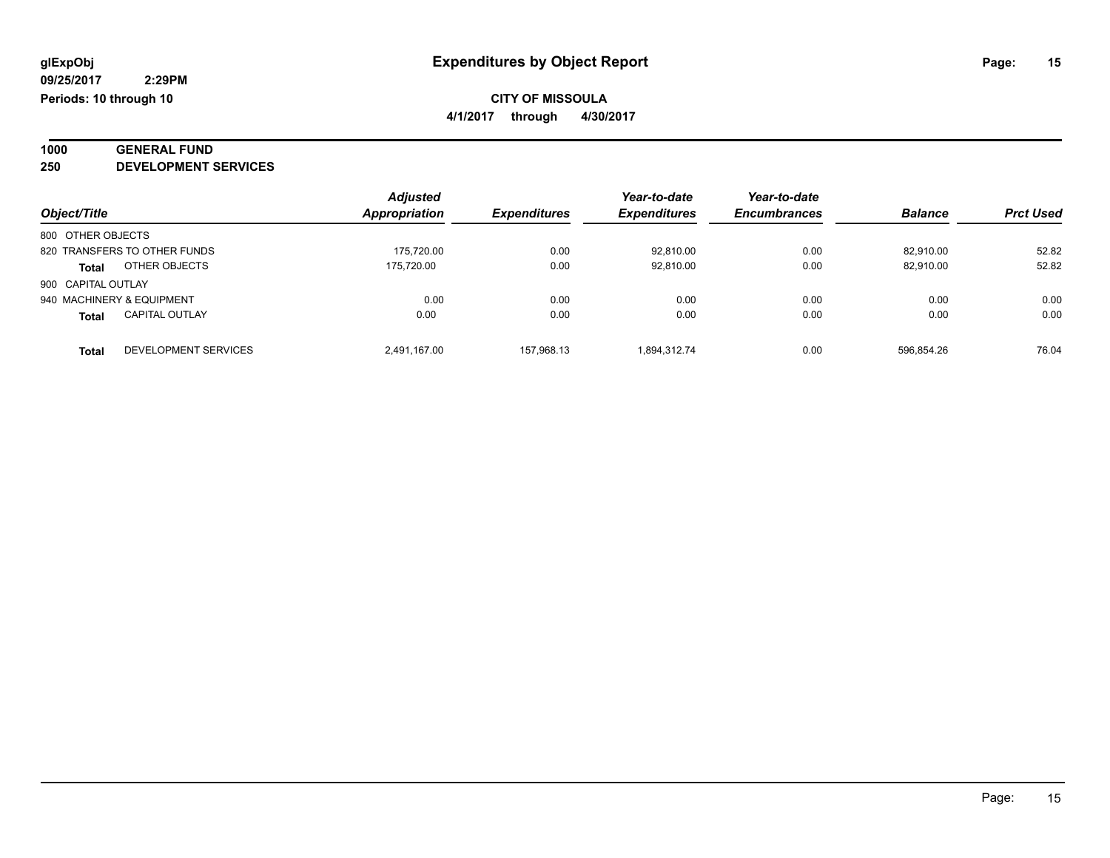**1000 GENERAL FUND**

**250 DEVELOPMENT SERVICES**

|                    |                              | <b>Adjusted</b> |                     | Year-to-date        | Year-to-date        |                |                  |
|--------------------|------------------------------|-----------------|---------------------|---------------------|---------------------|----------------|------------------|
| Object/Title       |                              | Appropriation   | <b>Expenditures</b> | <b>Expenditures</b> | <b>Encumbrances</b> | <b>Balance</b> | <b>Prct Used</b> |
| 800 OTHER OBJECTS  |                              |                 |                     |                     |                     |                |                  |
|                    | 820 TRANSFERS TO OTHER FUNDS | 175,720.00      | 0.00                | 92.810.00           | 0.00                | 82.910.00      | 52.82            |
| <b>Total</b>       | OTHER OBJECTS                | 175.720.00      | 0.00                | 92,810.00           | 0.00                | 82,910.00      | 52.82            |
| 900 CAPITAL OUTLAY |                              |                 |                     |                     |                     |                |                  |
|                    | 940 MACHINERY & EQUIPMENT    | 0.00            | 0.00                | 0.00                | 0.00                | 0.00           | 0.00             |
| <b>Total</b>       | <b>CAPITAL OUTLAY</b>        | 0.00            | 0.00                | 0.00                | 0.00                | 0.00           | 0.00             |
| Total              | DEVELOPMENT SERVICES         | 2.491.167.00    | 157.968.13          | 1.894.312.74        | 0.00                | 596.854.26     | 76.04            |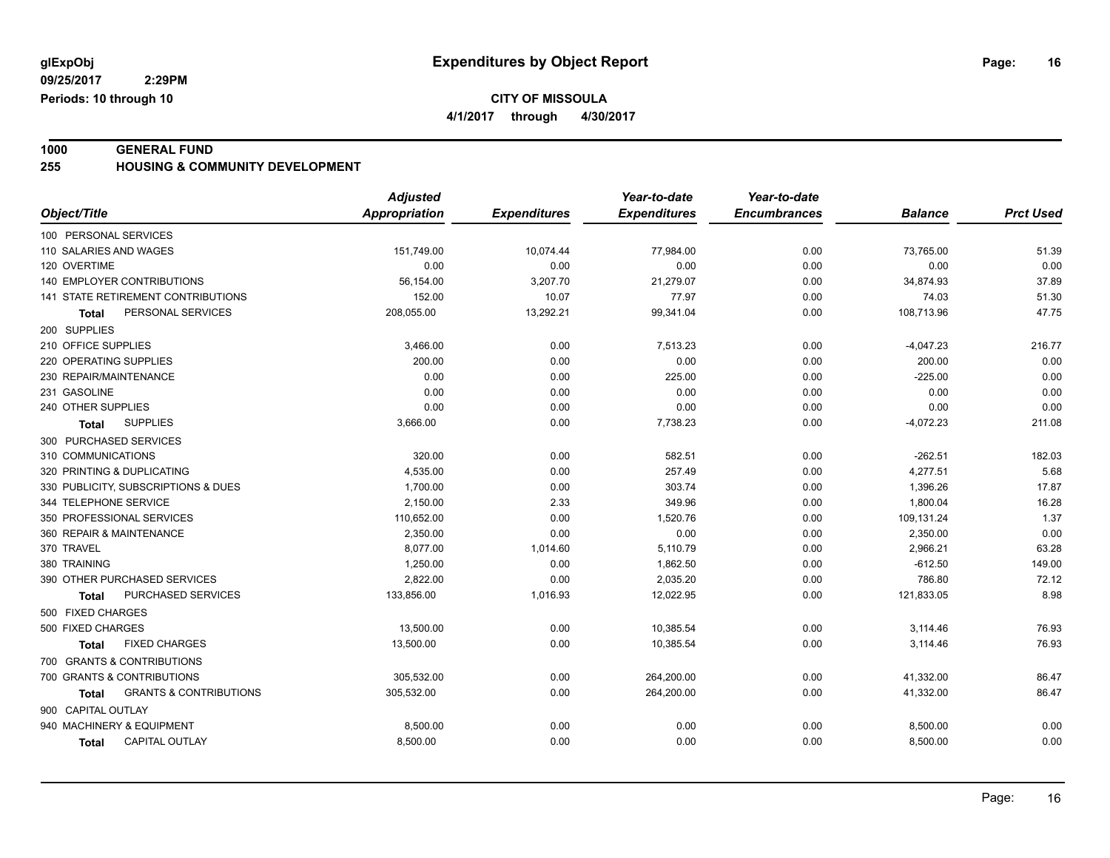**4/1/2017 through 4/30/2017**

**1000 GENERAL FUND 255 HOUSING & COMMUNITY DEVELOPMENT**

|                                                   | <b>Adjusted</b>      |                     | Year-to-date        | Year-to-date        |                |                  |
|---------------------------------------------------|----------------------|---------------------|---------------------|---------------------|----------------|------------------|
| Object/Title                                      | <b>Appropriation</b> | <b>Expenditures</b> | <b>Expenditures</b> | <b>Encumbrances</b> | <b>Balance</b> | <b>Prct Used</b> |
| 100 PERSONAL SERVICES                             |                      |                     |                     |                     |                |                  |
| 110 SALARIES AND WAGES                            | 151,749.00           | 10,074.44           | 77,984.00           | 0.00                | 73,765.00      | 51.39            |
| 120 OVERTIME                                      | 0.00                 | 0.00                | 0.00                | 0.00                | 0.00           | 0.00             |
| 140 EMPLOYER CONTRIBUTIONS                        | 56,154.00            | 3,207.70            | 21,279.07           | 0.00                | 34,874.93      | 37.89            |
| 141 STATE RETIREMENT CONTRIBUTIONS                | 152.00               | 10.07               | 77.97               | 0.00                | 74.03          | 51.30            |
| PERSONAL SERVICES<br><b>Total</b>                 | 208,055.00           | 13,292.21           | 99,341.04           | 0.00                | 108,713.96     | 47.75            |
| 200 SUPPLIES                                      |                      |                     |                     |                     |                |                  |
| 210 OFFICE SUPPLIES                               | 3,466.00             | 0.00                | 7,513.23            | 0.00                | $-4,047.23$    | 216.77           |
| 220 OPERATING SUPPLIES                            | 200.00               | 0.00                | 0.00                | 0.00                | 200.00         | 0.00             |
| 230 REPAIR/MAINTENANCE                            | 0.00                 | 0.00                | 225.00              | 0.00                | $-225.00$      | 0.00             |
| 231 GASOLINE                                      | 0.00                 | 0.00                | 0.00                | 0.00                | 0.00           | 0.00             |
| 240 OTHER SUPPLIES                                | 0.00                 | 0.00                | 0.00                | 0.00                | 0.00           | 0.00             |
| <b>SUPPLIES</b><br><b>Total</b>                   | 3,666.00             | 0.00                | 7,738.23            | 0.00                | $-4,072.23$    | 211.08           |
| 300 PURCHASED SERVICES                            |                      |                     |                     |                     |                |                  |
| 310 COMMUNICATIONS                                | 320.00               | 0.00                | 582.51              | 0.00                | $-262.51$      | 182.03           |
| 320 PRINTING & DUPLICATING                        | 4,535.00             | 0.00                | 257.49              | 0.00                | 4,277.51       | 5.68             |
| 330 PUBLICITY, SUBSCRIPTIONS & DUES               | 1,700.00             | 0.00                | 303.74              | 0.00                | 1,396.26       | 17.87            |
| 344 TELEPHONE SERVICE                             | 2,150.00             | 2.33                | 349.96              | 0.00                | 1,800.04       | 16.28            |
| 350 PROFESSIONAL SERVICES                         | 110,652.00           | 0.00                | 1,520.76            | 0.00                | 109,131.24     | 1.37             |
| 360 REPAIR & MAINTENANCE                          | 2.350.00             | 0.00                | 0.00                | 0.00                | 2,350.00       | 0.00             |
| 370 TRAVEL                                        | 8,077.00             | 1,014.60            | 5,110.79            | 0.00                | 2,966.21       | 63.28            |
| 380 TRAINING                                      | 1,250.00             | 0.00                | 1,862.50            | 0.00                | $-612.50$      | 149.00           |
| 390 OTHER PURCHASED SERVICES                      | 2,822.00             | 0.00                | 2,035.20            | 0.00                | 786.80         | 72.12            |
| PURCHASED SERVICES<br><b>Total</b>                | 133,856.00           | 1,016.93            | 12,022.95           | 0.00                | 121,833.05     | 8.98             |
| 500 FIXED CHARGES                                 |                      |                     |                     |                     |                |                  |
| 500 FIXED CHARGES                                 | 13,500.00            | 0.00                | 10,385.54           | 0.00                | 3,114.46       | 76.93            |
| <b>FIXED CHARGES</b><br><b>Total</b>              | 13,500.00            | 0.00                | 10,385.54           | 0.00                | 3,114.46       | 76.93            |
| 700 GRANTS & CONTRIBUTIONS                        |                      |                     |                     |                     |                |                  |
| 700 GRANTS & CONTRIBUTIONS                        | 305,532.00           | 0.00                | 264,200.00          | 0.00                | 41,332.00      | 86.47            |
| <b>GRANTS &amp; CONTRIBUTIONS</b><br><b>Total</b> | 305,532.00           | 0.00                | 264,200.00          | 0.00                | 41,332.00      | 86.47            |
| 900 CAPITAL OUTLAY                                |                      |                     |                     |                     |                |                  |
| 940 MACHINERY & EQUIPMENT                         | 8,500.00             | 0.00                | 0.00                | 0.00                | 8,500.00       | 0.00             |
| <b>CAPITAL OUTLAY</b><br><b>Total</b>             | 8,500.00             | 0.00                | 0.00                | 0.00                | 8,500.00       | 0.00             |
|                                                   |                      |                     |                     |                     |                |                  |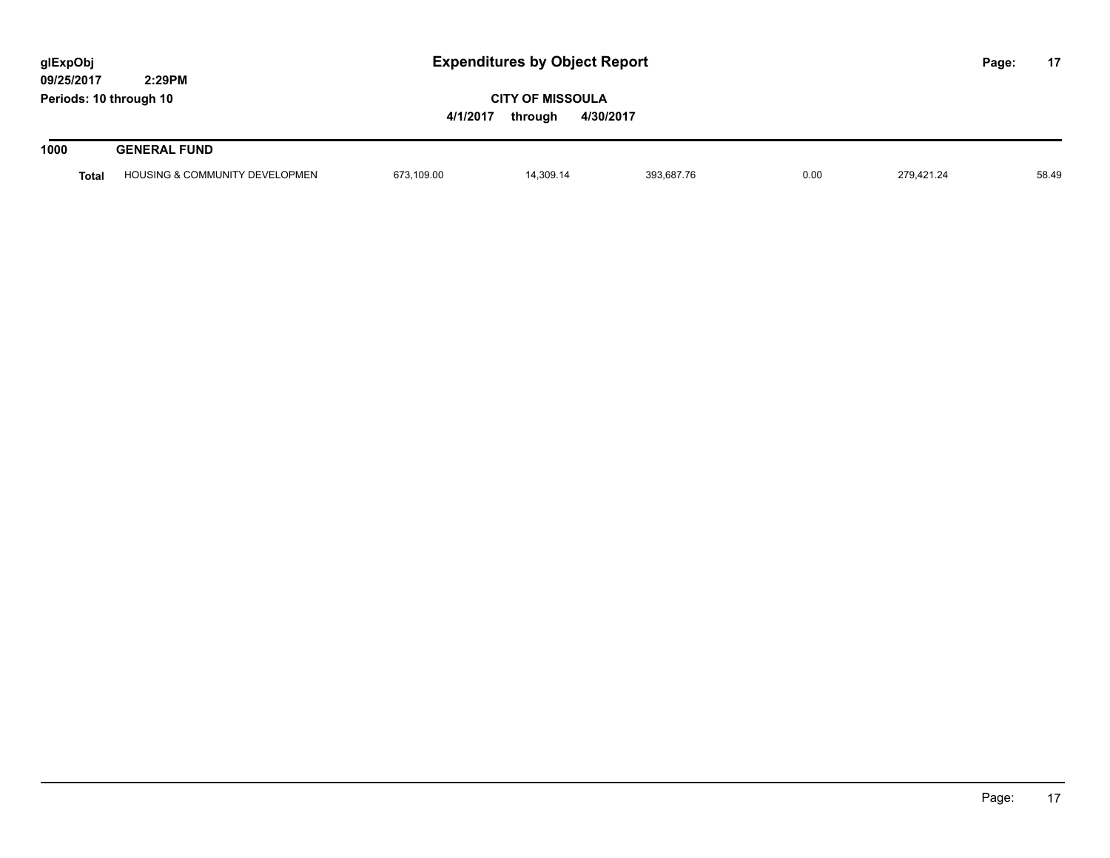| glExpObj<br>09/25/2017 | 2:29PM                                    |            | <b>Expenditures by Object Report</b> |            |      |            |  | 17    |
|------------------------|-------------------------------------------|------------|--------------------------------------|------------|------|------------|--|-------|
| Periods: 10 through 10 |                                           | 4/1/2017   |                                      |            |      |            |  |       |
| 1000                   | <b>GENERAL FUND</b>                       |            |                                      |            |      |            |  |       |
| <b>Total</b>           | <b>HOUSING &amp; COMMUNITY DEVELOPMEN</b> | 673,109.00 | 14.309.14                            | 393,687.76 | 0.00 | 279.421.24 |  | 58.49 |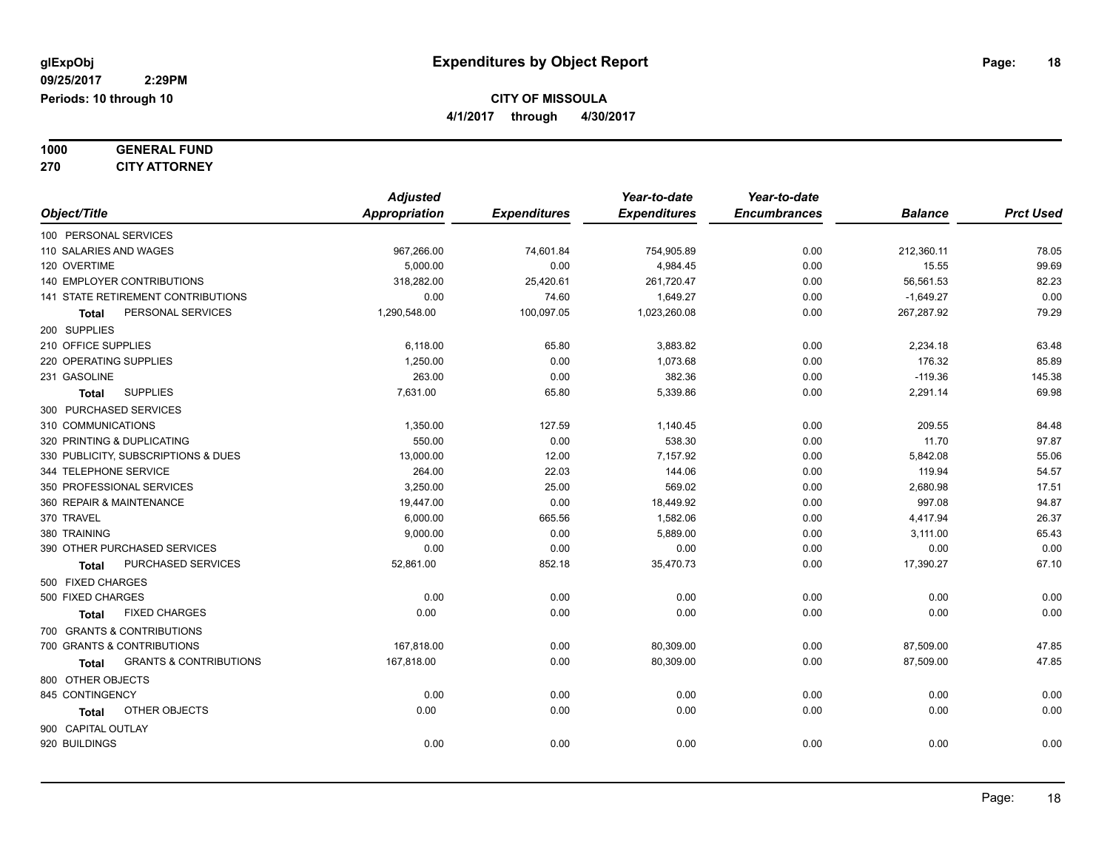| 1000 | <b>GENERAL FUND</b>  |
|------|----------------------|
| 270  | <b>CITY ATTORNEY</b> |

*Object/Title Adjusted Appropriation Expenditures Year-to-date Expenditures Year-to-date Encumbrances Balance Prct Used* 100 PERSONAL SERVICES 110 SALARIES AND WAGES 967,266.00 74,601.84 754,905.89 0.00 212,360.11 78.05 120 OVERTIME 5,000.00 0.00 4,984.45 0.00 15.55 99.69 140 EMPLOYER CONTRIBUTIONS 318,282.00 25,420.61 261,720.47 0.00 56,561.53 82.23 141 STATE RETIREMENT CONTRIBUTIONS 0.00 74.60 1,649.27 0.00 -1,649.27 0.00 **Total** PERSONAL SERVICES 1,290,548.00 100,097.05 1,023,260.08 0.00 267,287.92 79.29 200 SUPPLIES 210 OFFICE SUPPLIES 6,118.00 65.80 3,883.82 0.00 2,234.18 63.48 220 OPERATING SUPPLIES 200 2010 1.250.00 1.250.00 0.00 1.073.68 0.00 0.00 1.073.68 0.00 176.32 176.32 231 GASOLINE 263.00 0.00 382.36 0.00 -119.36 145.38 **Total** SUPPLIES 7,631.00 65.80 5,339.86 0.00 2,291.14 69.98 300 PURCHASED SERVICES 310 COMMUNICATIONS 1,350.00 127.59 1,140.45 0.00 209.55 84.48 320 PRINTING & DUPLICATING 550.00 0.00 538.30 0.00 11.70 97.87 330 PUBLICITY, SUBSCRIPTIONS & DUES 6.06 13,000.00 12.00 12.00 7,157.92 0.00 55.842.08 55.06 55.06 344 TELEPHONE SERVICE 264.00 22.03 144.06 0.00 119.94 54.57 350 PROFESSIONAL SERVICES 3,250.00 25.00 569.02 0.00 2,680.98 17.51 360 REPAIR & MAINTENANCE 19,447.00 0.00 18,449.92 0.00 997.08 94.87 370 TRAVEL 6,000.00 665.56 1,582.06 0.00 4,417.94 26.37 380 TRAINING 9,000.00 5,889.00 0.00 3,111.00 65.43 390 OTHER PURCHASED SERVICES 0.00 0.00 0.00 0.00 0.00 0.00 **Total** PURCHASED SERVICES 67.10 52,861.00 852.18 35,470.73 0.00 17,390.27 67.10 500 FIXED CHARGES 500 FIXED CHARGES 0.00 0.00 0.00 0.00 0.00 0.00 **Total** FIXED CHARGES 0.00 0.00 0.00 0.00 0.00 0.00 700 GRANTS & CONTRIBUTIONS 700 GRANTS & CONTRIBUTIONS 167,818.00 0.00 80,309.00 0.00 87,509.00 47.85 **Total** GRANTS & CONTRIBUTIONS 167,818.00 0.00 80,309.00 0.00 87,509.00 47.85 800 OTHER OBJECTS 845 CONTINGENCY 0.00 0.00 0.00 0.00 0.00 0.00 **Total** OTHER OBJECTS 0.00 0.00 0.00 0.00 0.00 0.00 900 CAPITAL OUTLAY 920 BUILDINGS 0.00 0.00 0.00 0.00 0.00 0.00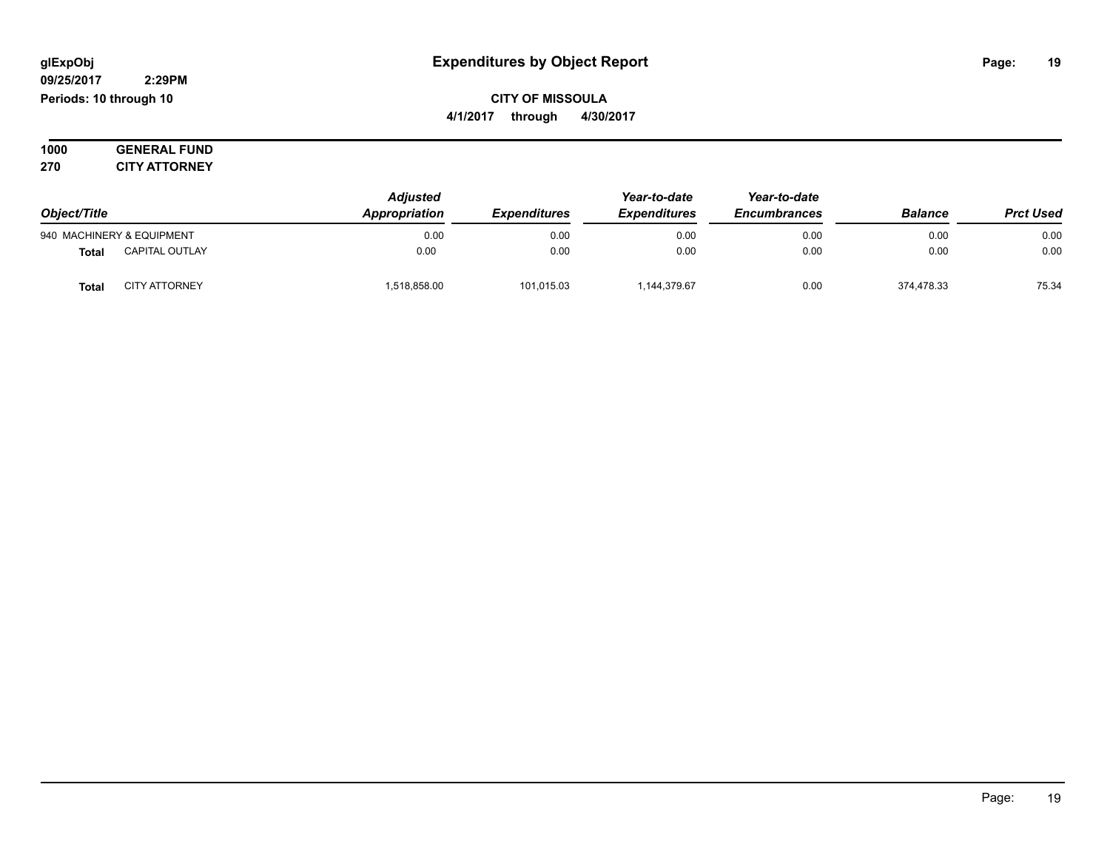#### **09/25/2017 2:29PM Periods: 10 through 10**

**CITY OF MISSOULA 4/1/2017 through 4/30/2017**

**1000 GENERAL FUND 270 CITY ATTORNEY**

| Object/Title |                           | <b>Adjusted</b> |                            | Year-to-date        | Year-to-date        |                |                  |
|--------------|---------------------------|-----------------|----------------------------|---------------------|---------------------|----------------|------------------|
|              |                           | Appropriation   | <i><b>Expenditures</b></i> | <b>Expenditures</b> | <b>Encumbrances</b> | <b>Balance</b> | <b>Prct Used</b> |
|              | 940 MACHINERY & EQUIPMENT | 0.00            | 0.00                       | 0.00                | 0.00                | 0.00           | 0.00             |
| <b>Total</b> | <b>CAPITAL OUTLAY</b>     | 0.00            | 0.00                       | 0.00                | 0.00                | 0.00           | 0.00             |
| <b>Tota</b>  | <b>CITY ATTORNEY</b>      | 518,858.00      | 101,015.03                 | 1,144,379.67        | 0.00                | 374,478.33     | 75.34            |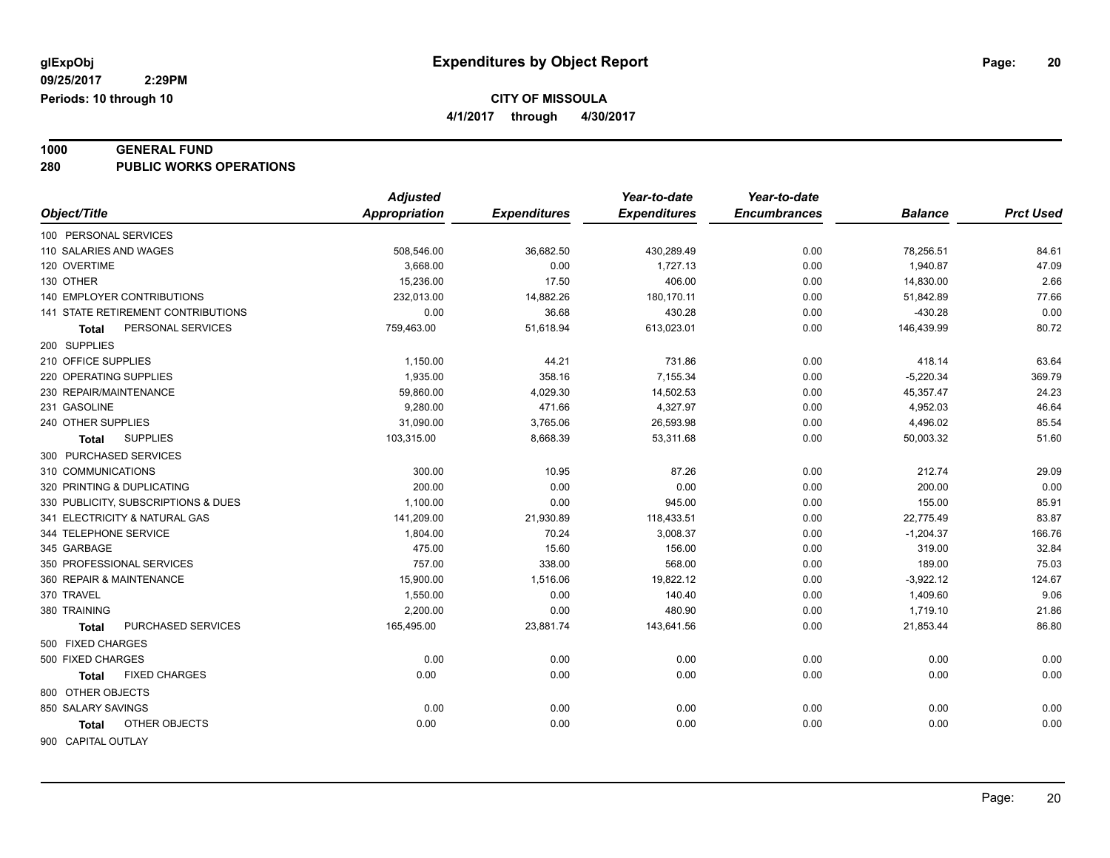**4/1/2017 through 4/30/2017**

### **1000 GENERAL FUND**

**280 PUBLIC WORKS OPERATIONS**

|                                           | <b>Adjusted</b> |                     | Year-to-date        | Year-to-date        |                |                  |
|-------------------------------------------|-----------------|---------------------|---------------------|---------------------|----------------|------------------|
| Object/Title                              | Appropriation   | <b>Expenditures</b> | <b>Expenditures</b> | <b>Encumbrances</b> | <b>Balance</b> | <b>Prct Used</b> |
| 100 PERSONAL SERVICES                     |                 |                     |                     |                     |                |                  |
| 110 SALARIES AND WAGES                    | 508,546.00      | 36,682.50           | 430,289.49          | 0.00                | 78,256.51      | 84.61            |
| 120 OVERTIME                              | 3,668.00        | 0.00                | 1,727.13            | 0.00                | 1,940.87       | 47.09            |
| 130 OTHER                                 | 15,236.00       | 17.50               | 406.00              | 0.00                | 14,830.00      | 2.66             |
| <b>140 EMPLOYER CONTRIBUTIONS</b>         | 232,013.00      | 14,882.26           | 180,170.11          | 0.00                | 51,842.89      | 77.66            |
| 141 STATE RETIREMENT CONTRIBUTIONS        | 0.00            | 36.68               | 430.28              | 0.00                | $-430.28$      | 0.00             |
| PERSONAL SERVICES<br>Total                | 759,463.00      | 51,618.94           | 613,023.01          | 0.00                | 146,439.99     | 80.72            |
| 200 SUPPLIES                              |                 |                     |                     |                     |                |                  |
| 210 OFFICE SUPPLIES                       | 1,150.00        | 44.21               | 731.86              | 0.00                | 418.14         | 63.64            |
| 220 OPERATING SUPPLIES                    | 1,935.00        | 358.16              | 7,155.34            | 0.00                | $-5,220.34$    | 369.79           |
| 230 REPAIR/MAINTENANCE                    | 59,860.00       | 4,029.30            | 14,502.53           | 0.00                | 45,357.47      | 24.23            |
| 231 GASOLINE                              | 9,280.00        | 471.66              | 4,327.97            | 0.00                | 4,952.03       | 46.64            |
| 240 OTHER SUPPLIES                        | 31,090.00       | 3,765.06            | 26,593.98           | 0.00                | 4,496.02       | 85.54            |
| <b>SUPPLIES</b><br>Total                  | 103,315.00      | 8,668.39            | 53,311.68           | 0.00                | 50,003.32      | 51.60            |
| 300 PURCHASED SERVICES                    |                 |                     |                     |                     |                |                  |
| 310 COMMUNICATIONS                        | 300.00          | 10.95               | 87.26               | 0.00                | 212.74         | 29.09            |
| 320 PRINTING & DUPLICATING                | 200.00          | 0.00                | 0.00                | 0.00                | 200.00         | 0.00             |
| 330 PUBLICITY, SUBSCRIPTIONS & DUES       | 1,100.00        | 0.00                | 945.00              | 0.00                | 155.00         | 85.91            |
| 341 ELECTRICITY & NATURAL GAS             | 141,209.00      | 21,930.89           | 118,433.51          | 0.00                | 22,775.49      | 83.87            |
| 344 TELEPHONE SERVICE                     | 1,804.00        | 70.24               | 3,008.37            | 0.00                | $-1,204.37$    | 166.76           |
| 345 GARBAGE                               | 475.00          | 15.60               | 156.00              | 0.00                | 319.00         | 32.84            |
| 350 PROFESSIONAL SERVICES                 | 757.00          | 338.00              | 568.00              | 0.00                | 189.00         | 75.03            |
| 360 REPAIR & MAINTENANCE                  | 15,900.00       | 1,516.06            | 19,822.12           | 0.00                | $-3,922.12$    | 124.67           |
| 370 TRAVEL                                | 1,550.00        | 0.00                | 140.40              | 0.00                | 1,409.60       | 9.06             |
| 380 TRAINING                              | 2,200.00        | 0.00                | 480.90              | 0.00                | 1,719.10       | 21.86            |
| <b>PURCHASED SERVICES</b><br><b>Total</b> | 165,495.00      | 23,881.74           | 143,641.56          | 0.00                | 21,853.44      | 86.80            |
| 500 FIXED CHARGES                         |                 |                     |                     |                     |                |                  |
| 500 FIXED CHARGES                         | 0.00            | 0.00                | 0.00                | 0.00                | 0.00           | 0.00             |
| <b>FIXED CHARGES</b><br>Total             | 0.00            | 0.00                | 0.00                | 0.00                | 0.00           | 0.00             |
| 800 OTHER OBJECTS                         |                 |                     |                     |                     |                |                  |
| 850 SALARY SAVINGS                        | 0.00            | 0.00                | 0.00                | 0.00                | 0.00           | 0.00             |
| OTHER OBJECTS<br>Total                    | 0.00            | 0.00                | 0.00                | 0.00                | 0.00           | 0.00             |
|                                           |                 |                     |                     |                     |                |                  |
| 900 CAPITAL OUTLAY                        |                 |                     |                     |                     |                |                  |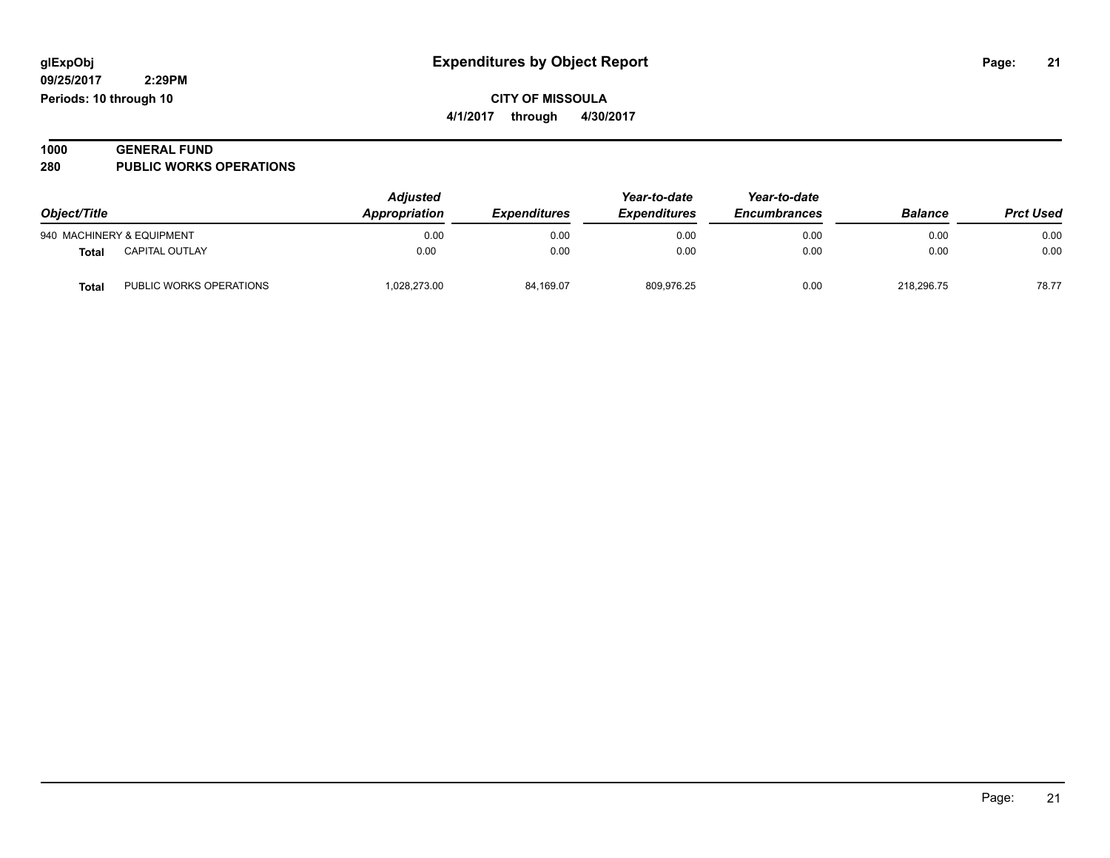| 1000 | <b>GENERAL FUND</b>            |  |
|------|--------------------------------|--|
| 280  | <b>PUBLIC WORKS OPERATIONS</b> |  |

| Object/Title |                           | <b>Adjusted</b><br>Appropriation | <b>Expenditures</b> | Year-to-date<br><b>Expenditures</b> | Year-to-date<br><b>Encumbrances</b> | <b>Balance</b> | <b>Prct Used</b> |
|--------------|---------------------------|----------------------------------|---------------------|-------------------------------------|-------------------------------------|----------------|------------------|
|              | 940 MACHINERY & EQUIPMENT | 0.00                             | 0.00                | 0.00                                | 0.00                                | 0.00           | 0.00             |
| <b>Total</b> | <b>CAPITAL OUTLAY</b>     | 0.00                             | 0.00                | 0.00                                | 0.00                                | 0.00           | 0.00             |
| Total        | PUBLIC WORKS OPERATIONS   | 028,273.00                       | 84,169.07           | 809,976.25                          | 0.00                                | 218.296.75     | 78.77            |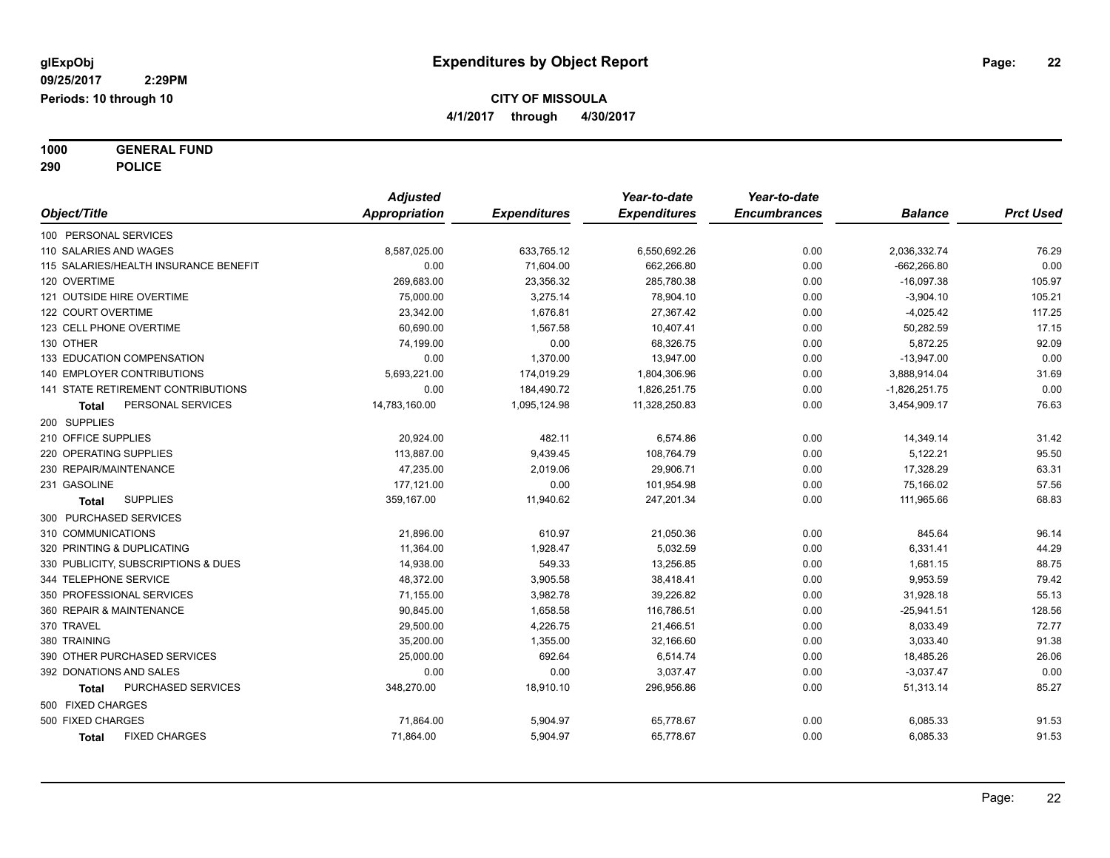**1000 GENERAL FUND 290 POLICE**

|                                           | <b>Adjusted</b> |                     | Year-to-date        | Year-to-date        |                 |                  |
|-------------------------------------------|-----------------|---------------------|---------------------|---------------------|-----------------|------------------|
| Object/Title                              | Appropriation   | <b>Expenditures</b> | <b>Expenditures</b> | <b>Encumbrances</b> | <b>Balance</b>  | <b>Prct Used</b> |
| 100 PERSONAL SERVICES                     |                 |                     |                     |                     |                 |                  |
| 110 SALARIES AND WAGES                    | 8,587,025.00    | 633,765.12          | 6,550,692.26        | 0.00                | 2,036,332.74    | 76.29            |
| 115 SALARIES/HEALTH INSURANCE BENEFIT     | 0.00            | 71,604.00           | 662,266.80          | 0.00                | $-662.266.80$   | 0.00             |
| 120 OVERTIME                              | 269,683.00      | 23,356.32           | 285,780.38          | 0.00                | $-16,097.38$    | 105.97           |
| 121 OUTSIDE HIRE OVERTIME                 | 75,000.00       | 3,275.14            | 78,904.10           | 0.00                | $-3,904.10$     | 105.21           |
| 122 COURT OVERTIME                        | 23,342.00       | 1,676.81            | 27,367.42           | 0.00                | $-4,025.42$     | 117.25           |
| 123 CELL PHONE OVERTIME                   | 60,690.00       | 1,567.58            | 10,407.41           | 0.00                | 50,282.59       | 17.15            |
| 130 OTHER                                 | 74,199.00       | 0.00                | 68,326.75           | 0.00                | 5,872.25        | 92.09            |
| 133 EDUCATION COMPENSATION                | 0.00            | 1,370.00            | 13,947.00           | 0.00                | $-13,947.00$    | 0.00             |
| 140 EMPLOYER CONTRIBUTIONS                | 5,693,221.00    | 174,019.29          | 1,804,306.96        | 0.00                | 3,888,914.04    | 31.69            |
| <b>141 STATE RETIREMENT CONTRIBUTIONS</b> | 0.00            | 184,490.72          | 1,826,251.75        | 0.00                | $-1,826,251.75$ | 0.00             |
| PERSONAL SERVICES<br><b>Total</b>         | 14,783,160.00   | 1,095,124.98        | 11,328,250.83       | 0.00                | 3,454,909.17    | 76.63            |
| 200 SUPPLIES                              |                 |                     |                     |                     |                 |                  |
| 210 OFFICE SUPPLIES                       | 20,924.00       | 482.11              | 6,574.86            | 0.00                | 14,349.14       | 31.42            |
| 220 OPERATING SUPPLIES                    | 113,887.00      | 9,439.45            | 108,764.79          | 0.00                | 5,122.21        | 95.50            |
| 230 REPAIR/MAINTENANCE                    | 47,235.00       | 2,019.06            | 29.906.71           | 0.00                | 17,328.29       | 63.31            |
| 231 GASOLINE                              | 177,121.00      | 0.00                | 101,954.98          | 0.00                | 75,166.02       | 57.56            |
| <b>SUPPLIES</b><br><b>Total</b>           | 359,167.00      | 11,940.62           | 247,201.34          | 0.00                | 111,965.66      | 68.83            |
| 300 PURCHASED SERVICES                    |                 |                     |                     |                     |                 |                  |
| 310 COMMUNICATIONS                        | 21,896.00       | 610.97              | 21,050.36           | 0.00                | 845.64          | 96.14            |
| 320 PRINTING & DUPLICATING                | 11,364.00       | 1,928.47            | 5,032.59            | 0.00                | 6,331.41        | 44.29            |
| 330 PUBLICITY, SUBSCRIPTIONS & DUES       | 14,938.00       | 549.33              | 13,256.85           | 0.00                | 1,681.15        | 88.75            |
| 344 TELEPHONE SERVICE                     | 48,372.00       | 3,905.58            | 38,418.41           | 0.00                | 9,953.59        | 79.42            |
| 350 PROFESSIONAL SERVICES                 | 71,155.00       | 3,982.78            | 39,226.82           | 0.00                | 31,928.18       | 55.13            |
| 360 REPAIR & MAINTENANCE                  | 90,845.00       | 1,658.58            | 116,786.51          | 0.00                | $-25,941.51$    | 128.56           |
| 370 TRAVEL                                | 29,500.00       | 4,226.75            | 21,466.51           | 0.00                | 8,033.49        | 72.77            |
| 380 TRAINING                              | 35,200.00       | 1,355.00            | 32,166.60           | 0.00                | 3,033.40        | 91.38            |
| 390 OTHER PURCHASED SERVICES              | 25,000.00       | 692.64              | 6,514.74            | 0.00                | 18,485.26       | 26.06            |
| 392 DONATIONS AND SALES                   | 0.00            | 0.00                | 3,037.47            | 0.00                | $-3,037.47$     | 0.00             |
| PURCHASED SERVICES<br>Total               | 348,270.00      | 18,910.10           | 296,956.86          | 0.00                | 51,313.14       | 85.27            |
| 500 FIXED CHARGES                         |                 |                     |                     |                     |                 |                  |
| 500 FIXED CHARGES                         | 71,864.00       | 5,904.97            | 65,778.67           | 0.00                | 6,085.33        | 91.53            |
| <b>FIXED CHARGES</b><br><b>Total</b>      | 71,864.00       | 5,904.97            | 65,778.67           | 0.00                | 6,085.33        | 91.53            |
|                                           |                 |                     |                     |                     |                 |                  |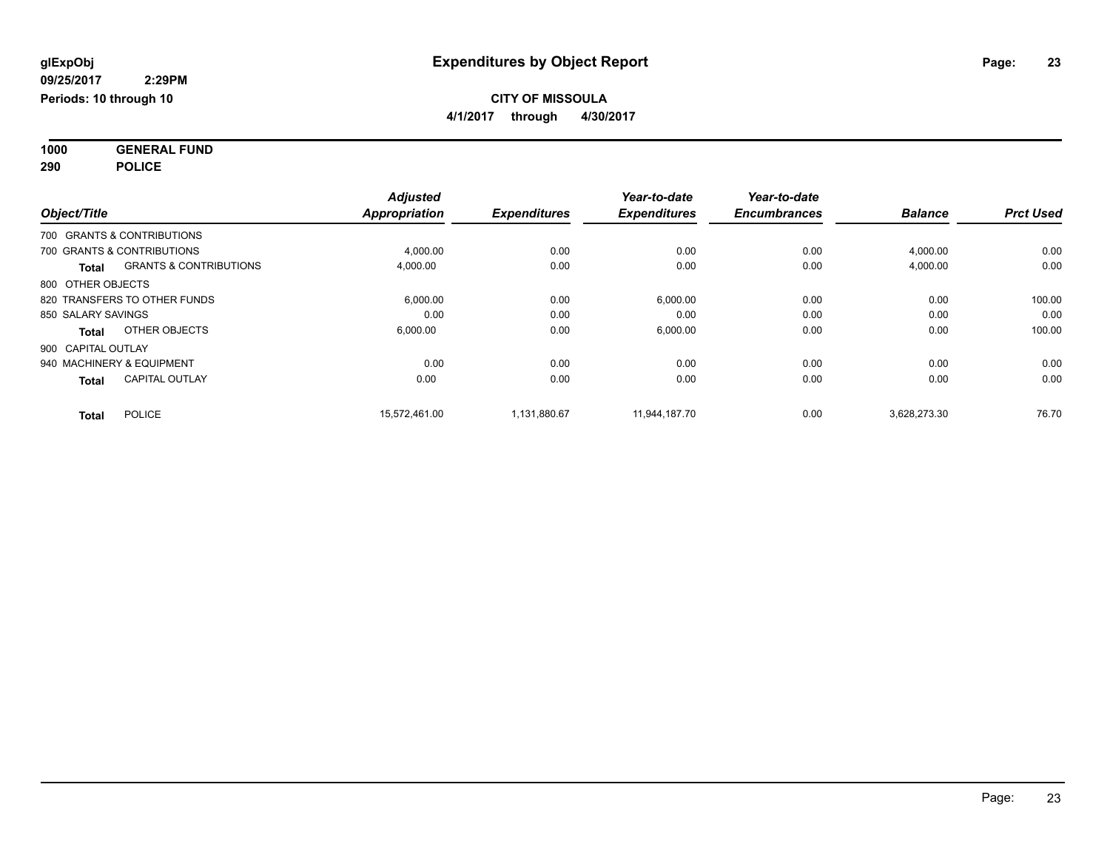**1000 GENERAL FUND 290 POLICE**

|                    |                                   | <b>Adjusted</b>      |                     | Year-to-date        | Year-to-date        |                |                  |
|--------------------|-----------------------------------|----------------------|---------------------|---------------------|---------------------|----------------|------------------|
| Object/Title       |                                   | <b>Appropriation</b> | <b>Expenditures</b> | <b>Expenditures</b> | <b>Encumbrances</b> | <b>Balance</b> | <b>Prct Used</b> |
|                    | 700 GRANTS & CONTRIBUTIONS        |                      |                     |                     |                     |                |                  |
|                    | 700 GRANTS & CONTRIBUTIONS        | 4,000.00             | 0.00                | 0.00                | 0.00                | 4,000.00       | 0.00             |
| <b>Total</b>       | <b>GRANTS &amp; CONTRIBUTIONS</b> | 4,000.00             | 0.00                | 0.00                | 0.00                | 4,000.00       | 0.00             |
| 800 OTHER OBJECTS  |                                   |                      |                     |                     |                     |                |                  |
|                    | 820 TRANSFERS TO OTHER FUNDS      | 6,000.00             | 0.00                | 6,000.00            | 0.00                | 0.00           | 100.00           |
| 850 SALARY SAVINGS |                                   | 0.00                 | 0.00                | 0.00                | 0.00                | 0.00           | 0.00             |
| <b>Total</b>       | OTHER OBJECTS                     | 6,000.00             | 0.00                | 6,000.00            | 0.00                | 0.00           | 100.00           |
| 900 CAPITAL OUTLAY |                                   |                      |                     |                     |                     |                |                  |
|                    | 940 MACHINERY & EQUIPMENT         | 0.00                 | 0.00                | 0.00                | 0.00                | 0.00           | 0.00             |
| <b>Total</b>       | <b>CAPITAL OUTLAY</b>             | 0.00                 | 0.00                | 0.00                | 0.00                | 0.00           | 0.00             |
| Total              | <b>POLICE</b>                     | 15,572,461.00        | 1.131.880.67        | 11,944,187.70       | 0.00                | 3,628,273.30   | 76.70            |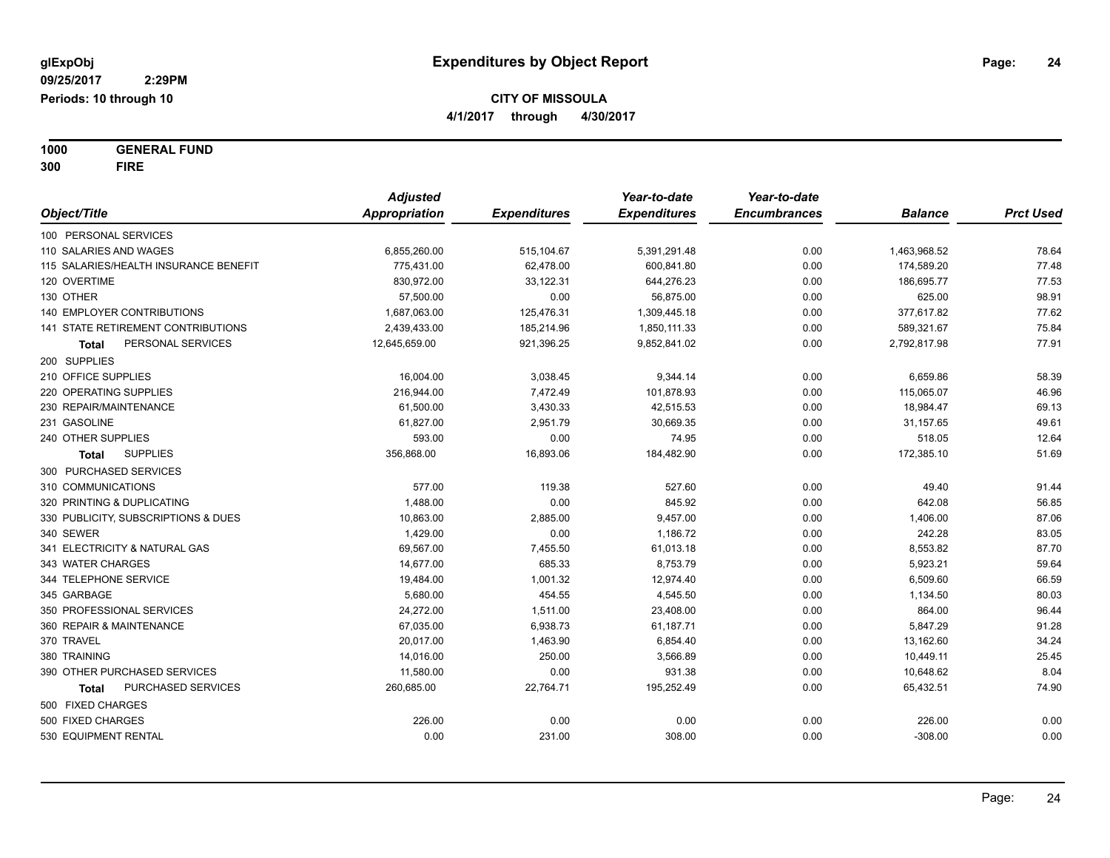**1000 GENERAL FUND 300 FIRE**

|                                       | <b>Adjusted</b> |                     | Year-to-date        | Year-to-date        |                |                  |
|---------------------------------------|-----------------|---------------------|---------------------|---------------------|----------------|------------------|
| Object/Title                          | Appropriation   | <b>Expenditures</b> | <b>Expenditures</b> | <b>Encumbrances</b> | <b>Balance</b> | <b>Prct Used</b> |
| 100 PERSONAL SERVICES                 |                 |                     |                     |                     |                |                  |
| 110 SALARIES AND WAGES                | 6,855,260.00    | 515,104.67          | 5,391,291.48        | 0.00                | 1,463,968.52   | 78.64            |
| 115 SALARIES/HEALTH INSURANCE BENEFIT | 775,431.00      | 62,478.00           | 600.841.80          | 0.00                | 174,589.20     | 77.48            |
| 120 OVERTIME                          | 830,972.00      | 33,122.31           | 644,276.23          | 0.00                | 186,695.77     | 77.53            |
| 130 OTHER                             | 57,500.00       | 0.00                | 56,875.00           | 0.00                | 625.00         | 98.91            |
| <b>140 EMPLOYER CONTRIBUTIONS</b>     | 1,687,063.00    | 125,476.31          | 1,309,445.18        | 0.00                | 377,617.82     | 77.62            |
| 141 STATE RETIREMENT CONTRIBUTIONS    | 2,439,433.00    | 185,214.96          | 1,850,111.33        | 0.00                | 589,321.67     | 75.84            |
| PERSONAL SERVICES<br>Total            | 12,645,659.00   | 921,396.25          | 9,852,841.02        | 0.00                | 2,792,817.98   | 77.91            |
| 200 SUPPLIES                          |                 |                     |                     |                     |                |                  |
| 210 OFFICE SUPPLIES                   | 16,004.00       | 3,038.45            | 9,344.14            | 0.00                | 6,659.86       | 58.39            |
| 220 OPERATING SUPPLIES                | 216,944.00      | 7,472.49            | 101,878.93          | 0.00                | 115,065.07     | 46.96            |
| 230 REPAIR/MAINTENANCE                | 61,500.00       | 3,430.33            | 42,515.53           | 0.00                | 18,984.47      | 69.13            |
| 231 GASOLINE                          | 61,827.00       | 2,951.79            | 30,669.35           | 0.00                | 31,157.65      | 49.61            |
| 240 OTHER SUPPLIES                    | 593.00          | 0.00                | 74.95               | 0.00                | 518.05         | 12.64            |
| <b>SUPPLIES</b><br><b>Total</b>       | 356,868.00      | 16,893.06           | 184,482.90          | 0.00                | 172,385.10     | 51.69            |
| 300 PURCHASED SERVICES                |                 |                     |                     |                     |                |                  |
| 310 COMMUNICATIONS                    | 577.00          | 119.38              | 527.60              | 0.00                | 49.40          | 91.44            |
| 320 PRINTING & DUPLICATING            | 1,488.00        | 0.00                | 845.92              | 0.00                | 642.08         | 56.85            |
| 330 PUBLICITY, SUBSCRIPTIONS & DUES   | 10,863.00       | 2,885.00            | 9,457.00            | 0.00                | 1,406.00       | 87.06            |
| 340 SEWER                             | 1,429.00        | 0.00                | 1,186.72            | 0.00                | 242.28         | 83.05            |
| 341 ELECTRICITY & NATURAL GAS         | 69,567.00       | 7,455.50            | 61,013.18           | 0.00                | 8,553.82       | 87.70            |
| 343 WATER CHARGES                     | 14,677.00       | 685.33              | 8,753.79            | 0.00                | 5,923.21       | 59.64            |
| 344 TELEPHONE SERVICE                 | 19,484.00       | 1,001.32            | 12,974.40           | 0.00                | 6,509.60       | 66.59            |
| 345 GARBAGE                           | 5,680.00        | 454.55              | 4,545.50            | 0.00                | 1,134.50       | 80.03            |
| 350 PROFESSIONAL SERVICES             | 24,272.00       | 1,511.00            | 23,408.00           | 0.00                | 864.00         | 96.44            |
| 360 REPAIR & MAINTENANCE              | 67,035.00       | 6,938.73            | 61,187.71           | 0.00                | 5,847.29       | 91.28            |
| 370 TRAVEL                            | 20,017.00       | 1,463.90            | 6,854.40            | 0.00                | 13,162.60      | 34.24            |
| 380 TRAINING                          | 14,016.00       | 250.00              | 3,566.89            | 0.00                | 10,449.11      | 25.45            |
| 390 OTHER PURCHASED SERVICES          | 11,580.00       | 0.00                | 931.38              | 0.00                | 10,648.62      | 8.04             |
| PURCHASED SERVICES<br>Total           | 260,685.00      | 22,764.71           | 195,252.49          | 0.00                | 65,432.51      | 74.90            |
| 500 FIXED CHARGES                     |                 |                     |                     |                     |                |                  |
| 500 FIXED CHARGES                     | 226.00          | 0.00                | 0.00                | 0.00                | 226.00         | 0.00             |
| 530 EQUIPMENT RENTAL                  | 0.00            | 231.00              | 308.00              | 0.00                | $-308.00$      | 0.00             |
|                                       |                 |                     |                     |                     |                |                  |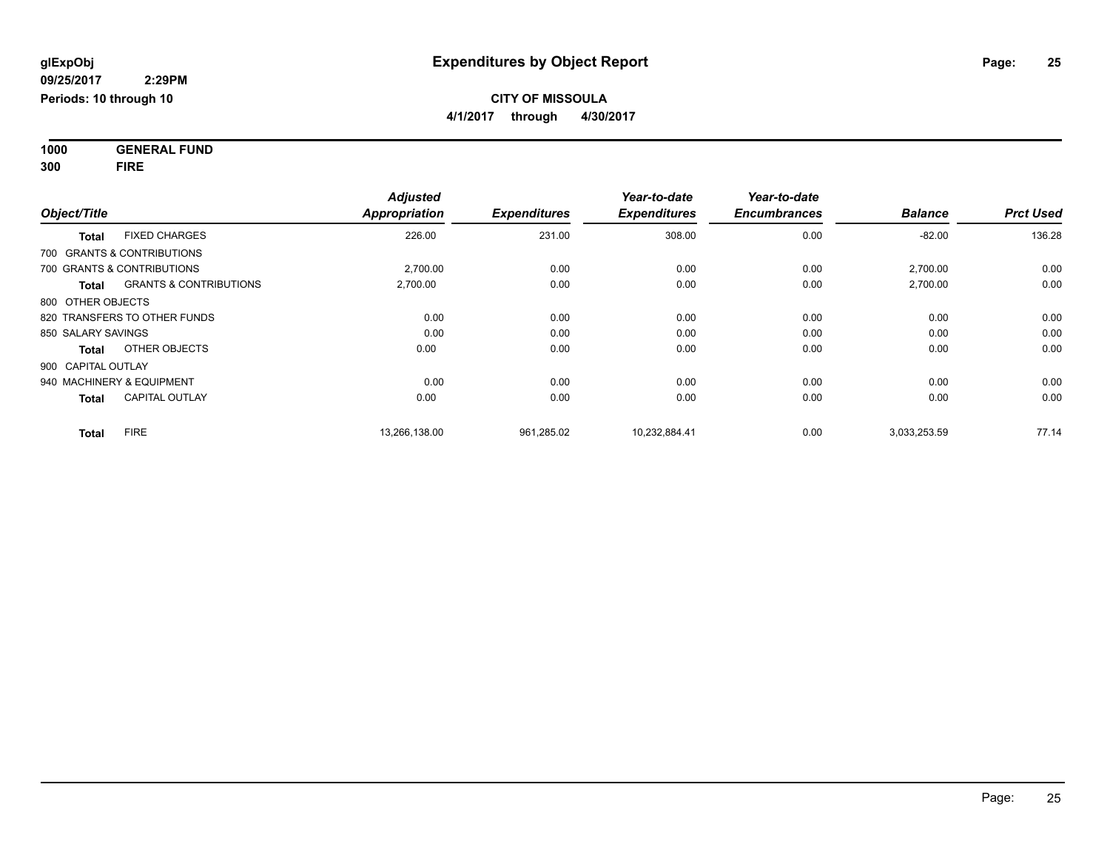**1000 GENERAL FUND 300 FIRE**

| Object/Title                               | <b>Adjusted</b><br><b>Appropriation</b> | <b>Expenditures</b> | Year-to-date<br><b>Expenditures</b> | Year-to-date<br><b>Encumbrances</b> | <b>Balance</b> | <b>Prct Used</b> |
|--------------------------------------------|-----------------------------------------|---------------------|-------------------------------------|-------------------------------------|----------------|------------------|
| <b>FIXED CHARGES</b><br><b>Total</b>       | 226.00                                  | 231.00              | 308.00                              | 0.00                                | $-82.00$       | 136.28           |
| 700 GRANTS & CONTRIBUTIONS                 |                                         |                     |                                     |                                     |                |                  |
| 700 GRANTS & CONTRIBUTIONS                 | 2,700.00                                | 0.00                | 0.00                                | 0.00                                | 2,700.00       | 0.00             |
| <b>GRANTS &amp; CONTRIBUTIONS</b><br>Total | 2,700.00                                | 0.00                | 0.00                                | 0.00                                | 2,700.00       | 0.00             |
| 800 OTHER OBJECTS                          |                                         |                     |                                     |                                     |                |                  |
| 820 TRANSFERS TO OTHER FUNDS               | 0.00                                    | 0.00                | 0.00                                | 0.00                                | 0.00           | 0.00             |
| 850 SALARY SAVINGS                         | 0.00                                    | 0.00                | 0.00                                | 0.00                                | 0.00           | 0.00             |
| OTHER OBJECTS<br><b>Total</b>              | 0.00                                    | 0.00                | 0.00                                | 0.00                                | 0.00           | 0.00             |
| 900 CAPITAL OUTLAY                         |                                         |                     |                                     |                                     |                |                  |
| 940 MACHINERY & EQUIPMENT                  | 0.00                                    | 0.00                | 0.00                                | 0.00                                | 0.00           | 0.00             |
| <b>CAPITAL OUTLAY</b><br><b>Total</b>      | 0.00                                    | 0.00                | 0.00                                | 0.00                                | 0.00           | 0.00             |
| <b>FIRE</b><br><b>Total</b>                | 13,266,138.00                           | 961,285.02          | 10,232,884.41                       | 0.00                                | 3,033,253.59   | 77.14            |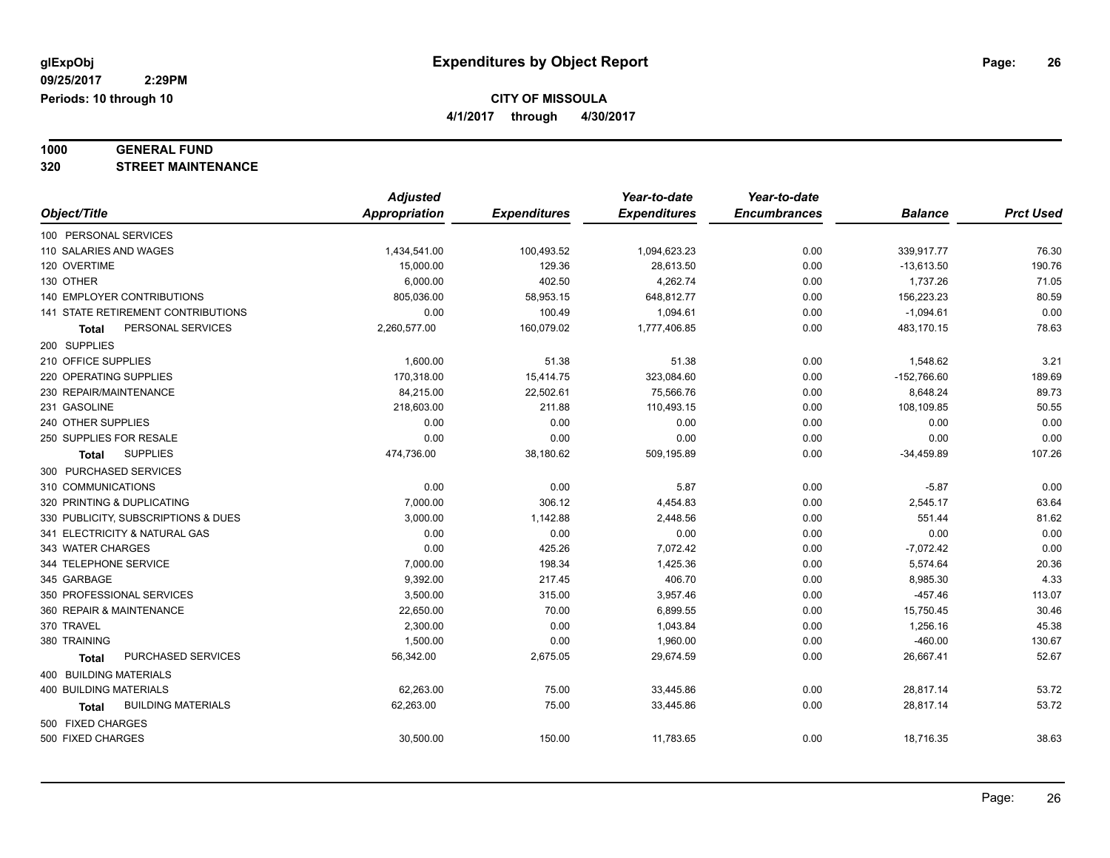**4/1/2017 through 4/30/2017**

## **1000 GENERAL FUND**

**320 STREET MAINTENANCE**

|                                           | <b>Adjusted</b> |                     | Year-to-date        | Year-to-date        |                |                  |
|-------------------------------------------|-----------------|---------------------|---------------------|---------------------|----------------|------------------|
| Object/Title                              | Appropriation   | <b>Expenditures</b> | <b>Expenditures</b> | <b>Encumbrances</b> | <b>Balance</b> | <b>Prct Used</b> |
| 100 PERSONAL SERVICES                     |                 |                     |                     |                     |                |                  |
| 110 SALARIES AND WAGES                    | 1,434,541.00    | 100,493.52          | 1,094,623.23        | 0.00                | 339,917.77     | 76.30            |
| 120 OVERTIME                              | 15,000.00       | 129.36              | 28,613.50           | 0.00                | $-13,613.50$   | 190.76           |
| 130 OTHER                                 | 6,000.00        | 402.50              | 4,262.74            | 0.00                | 1,737.26       | 71.05            |
| <b>140 EMPLOYER CONTRIBUTIONS</b>         | 805,036.00      | 58,953.15           | 648,812.77          | 0.00                | 156,223.23     | 80.59            |
| 141 STATE RETIREMENT CONTRIBUTIONS        | 0.00            | 100.49              | 1,094.61            | 0.00                | $-1,094.61$    | 0.00             |
| PERSONAL SERVICES<br>Total                | 2,260,577.00    | 160,079.02          | 1,777,406.85        | 0.00                | 483,170.15     | 78.63            |
| 200 SUPPLIES                              |                 |                     |                     |                     |                |                  |
| 210 OFFICE SUPPLIES                       | 1,600.00        | 51.38               | 51.38               | 0.00                | 1,548.62       | 3.21             |
| 220 OPERATING SUPPLIES                    | 170,318.00      | 15,414.75           | 323,084.60          | 0.00                | $-152,766.60$  | 189.69           |
| 230 REPAIR/MAINTENANCE                    | 84,215.00       | 22,502.61           | 75,566.76           | 0.00                | 8,648.24       | 89.73            |
| 231 GASOLINE                              | 218,603.00      | 211.88              | 110,493.15          | 0.00                | 108,109.85     | 50.55            |
| 240 OTHER SUPPLIES                        | 0.00            | 0.00                | 0.00                | 0.00                | 0.00           | 0.00             |
| 250 SUPPLIES FOR RESALE                   | 0.00            | 0.00                | 0.00                | 0.00                | 0.00           | 0.00             |
| <b>SUPPLIES</b><br><b>Total</b>           | 474,736.00      | 38,180.62           | 509,195.89          | 0.00                | $-34,459.89$   | 107.26           |
| 300 PURCHASED SERVICES                    |                 |                     |                     |                     |                |                  |
| 310 COMMUNICATIONS                        | 0.00            | 0.00                | 5.87                | 0.00                | $-5.87$        | 0.00             |
| 320 PRINTING & DUPLICATING                | 7,000.00        | 306.12              | 4,454.83            | 0.00                | 2,545.17       | 63.64            |
| 330 PUBLICITY, SUBSCRIPTIONS & DUES       | 3,000.00        | 1,142.88            | 2,448.56            | 0.00                | 551.44         | 81.62            |
| 341 ELECTRICITY & NATURAL GAS             | 0.00            | 0.00                | 0.00                | 0.00                | 0.00           | 0.00             |
| 343 WATER CHARGES                         | 0.00            | 425.26              | 7,072.42            | 0.00                | $-7,072.42$    | 0.00             |
| 344 TELEPHONE SERVICE                     | 7,000.00        | 198.34              | 1,425.36            | 0.00                | 5,574.64       | 20.36            |
| 345 GARBAGE                               | 9,392.00        | 217.45              | 406.70              | 0.00                | 8,985.30       | 4.33             |
| 350 PROFESSIONAL SERVICES                 | 3,500.00        | 315.00              | 3,957.46            | 0.00                | $-457.46$      | 113.07           |
| 360 REPAIR & MAINTENANCE                  | 22,650.00       | 70.00               | 6,899.55            | 0.00                | 15,750.45      | 30.46            |
| 370 TRAVEL                                | 2,300.00        | 0.00                | 1,043.84            | 0.00                | 1,256.16       | 45.38            |
| 380 TRAINING                              | 1,500.00        | 0.00                | 1,960.00            | 0.00                | $-460.00$      | 130.67           |
| PURCHASED SERVICES<br>Total               | 56,342.00       | 2,675.05            | 29,674.59           | 0.00                | 26,667.41      | 52.67            |
| 400 BUILDING MATERIALS                    |                 |                     |                     |                     |                |                  |
| <b>400 BUILDING MATERIALS</b>             | 62,263.00       | 75.00               | 33,445.86           | 0.00                | 28,817.14      | 53.72            |
| <b>BUILDING MATERIALS</b><br><b>Total</b> | 62,263.00       | 75.00               | 33,445.86           | 0.00                | 28,817.14      | 53.72            |
| 500 FIXED CHARGES                         |                 |                     |                     |                     |                |                  |
| 500 FIXED CHARGES                         | 30,500.00       | 150.00              | 11,783.65           | 0.00                | 18,716.35      | 38.63            |
|                                           |                 |                     |                     |                     |                |                  |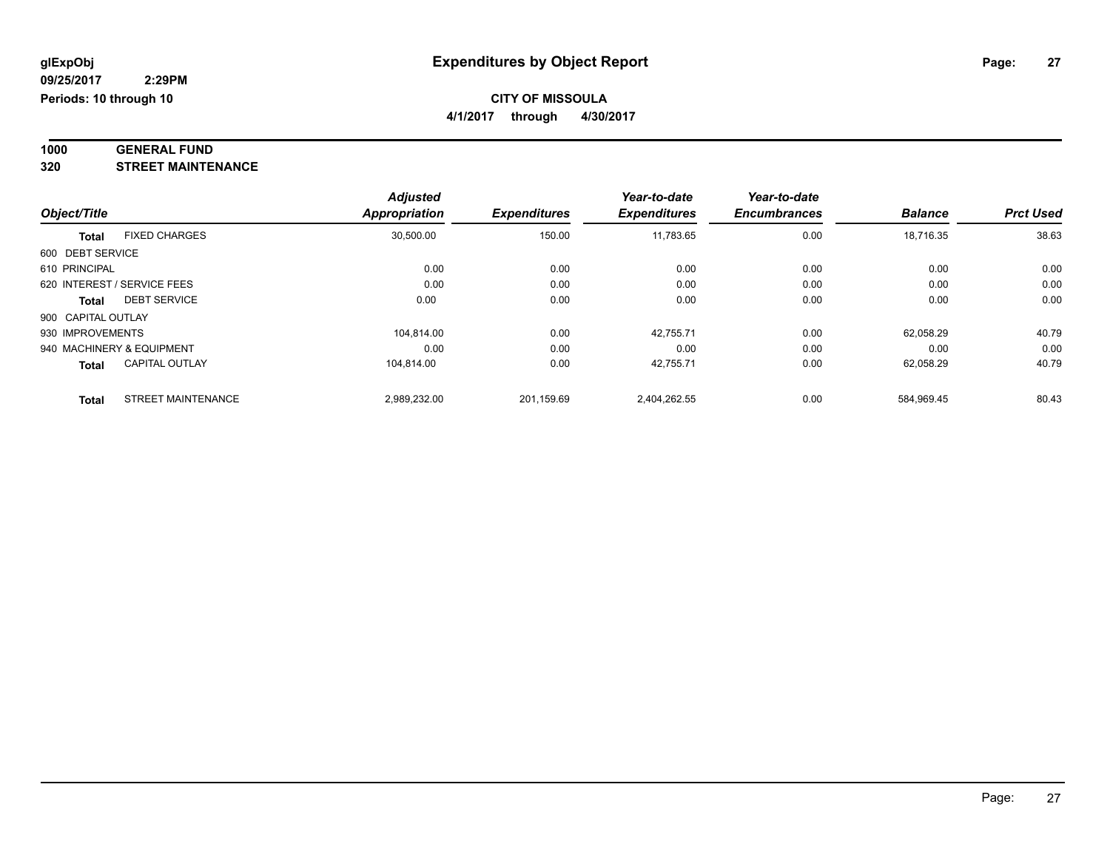#### **1000 GENERAL FUND 320 STREET MAINTENANCE**

|                    |                             | <b>Adjusted</b>     |            | Year-to-date<br><b>Expenditures</b> | Year-to-date<br><b>Encumbrances</b> | <b>Balance</b> | <b>Prct Used</b> |
|--------------------|-----------------------------|---------------------|------------|-------------------------------------|-------------------------------------|----------------|------------------|
| Object/Title       | <b>Appropriation</b>        | <b>Expenditures</b> |            |                                     |                                     |                |                  |
| <b>Total</b>       | <b>FIXED CHARGES</b>        | 30,500.00           | 150.00     | 11,783.65                           | 0.00                                | 18,716.35      | 38.63            |
| 600 DEBT SERVICE   |                             |                     |            |                                     |                                     |                |                  |
| 610 PRINCIPAL      |                             | 0.00                | 0.00       | 0.00                                | 0.00                                | 0.00           | 0.00             |
|                    | 620 INTEREST / SERVICE FEES | 0.00                | 0.00       | 0.00                                | 0.00                                | 0.00           | 0.00             |
| Total              | <b>DEBT SERVICE</b>         | 0.00                | 0.00       | 0.00                                | 0.00                                | 0.00           | 0.00             |
| 900 CAPITAL OUTLAY |                             |                     |            |                                     |                                     |                |                  |
| 930 IMPROVEMENTS   |                             | 104.814.00          | 0.00       | 42.755.71                           | 0.00                                | 62.058.29      | 40.79            |
|                    | 940 MACHINERY & EQUIPMENT   | 0.00                | 0.00       | 0.00                                | 0.00                                | 0.00           | 0.00             |
| Total              | <b>CAPITAL OUTLAY</b>       | 104.814.00          | 0.00       | 42.755.71                           | 0.00                                | 62.058.29      | 40.79            |
| <b>Total</b>       | <b>STREET MAINTENANCE</b>   | 2,989,232.00        | 201,159.69 | 2,404,262.55                        | 0.00                                | 584.969.45     | 80.43            |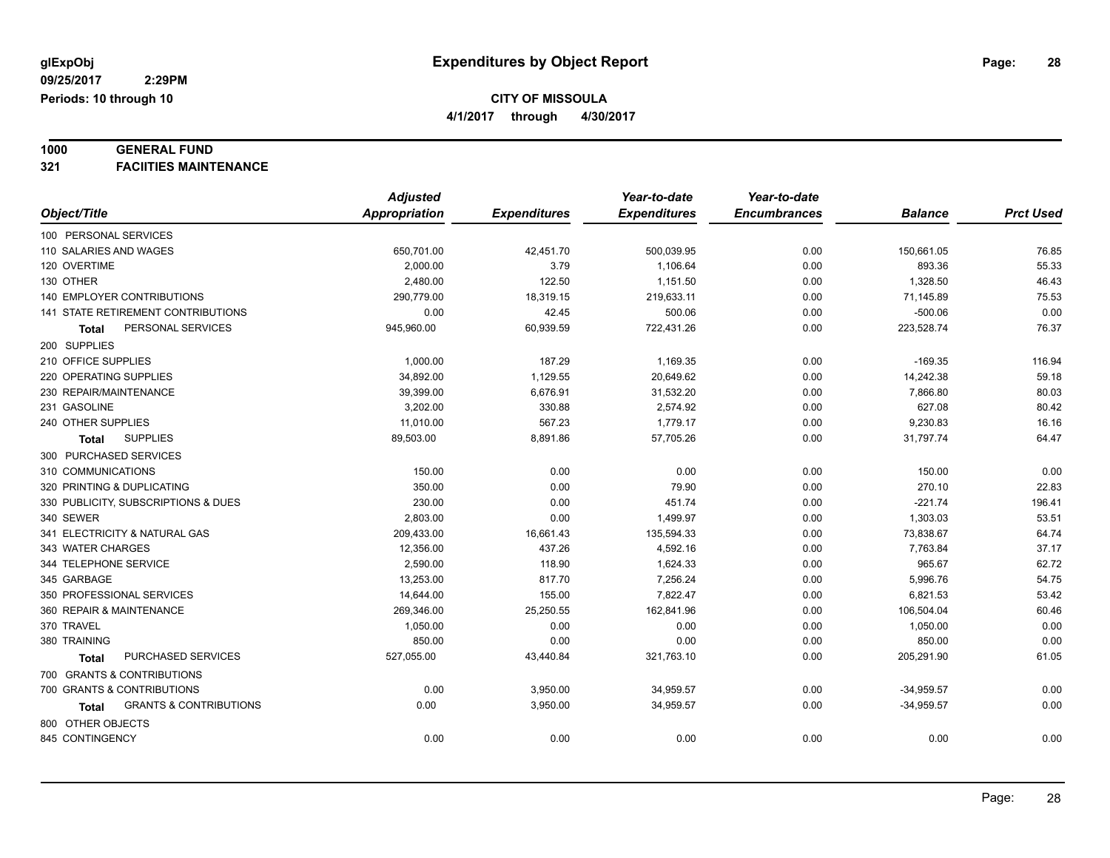**4/1/2017 through 4/30/2017**

### **1000 GENERAL FUND**

**321 FACIITIES MAINTENANCE**

|                                            | <b>Adjusted</b>      |                     | Year-to-date        | Year-to-date        |                |                  |
|--------------------------------------------|----------------------|---------------------|---------------------|---------------------|----------------|------------------|
| Object/Title                               | <b>Appropriation</b> | <b>Expenditures</b> | <b>Expenditures</b> | <b>Encumbrances</b> | <b>Balance</b> | <b>Prct Used</b> |
| 100 PERSONAL SERVICES                      |                      |                     |                     |                     |                |                  |
| 110 SALARIES AND WAGES                     | 650,701.00           | 42,451.70           | 500,039.95          | 0.00                | 150,661.05     | 76.85            |
| 120 OVERTIME                               | 2,000.00             | 3.79                | 1,106.64            | 0.00                | 893.36         | 55.33            |
| 130 OTHER                                  | 2,480.00             | 122.50              | 1,151.50            | 0.00                | 1,328.50       | 46.43            |
| <b>140 EMPLOYER CONTRIBUTIONS</b>          | 290,779.00           | 18,319.15           | 219,633.11          | 0.00                | 71,145.89      | 75.53            |
| <b>141 STATE RETIREMENT CONTRIBUTIONS</b>  | 0.00                 | 42.45               | 500.06              | 0.00                | $-500.06$      | 0.00             |
| PERSONAL SERVICES<br><b>Total</b>          | 945,960.00           | 60,939.59           | 722,431.26          | 0.00                | 223,528.74     | 76.37            |
| 200 SUPPLIES                               |                      |                     |                     |                     |                |                  |
| 210 OFFICE SUPPLIES                        | 1,000.00             | 187.29              | 1,169.35            | 0.00                | $-169.35$      | 116.94           |
| 220 OPERATING SUPPLIES                     | 34,892.00            | 1,129.55            | 20,649.62           | 0.00                | 14,242.38      | 59.18            |
| 230 REPAIR/MAINTENANCE                     | 39,399.00            | 6,676.91            | 31,532.20           | 0.00                | 7,866.80       | 80.03            |
| 231 GASOLINE                               | 3,202.00             | 330.88              | 2,574.92            | 0.00                | 627.08         | 80.42            |
| 240 OTHER SUPPLIES                         | 11,010.00            | 567.23              | 1,779.17            | 0.00                | 9,230.83       | 16.16            |
| <b>SUPPLIES</b><br><b>Total</b>            | 89,503.00            | 8,891.86            | 57,705.26           | 0.00                | 31,797.74      | 64.47            |
| 300 PURCHASED SERVICES                     |                      |                     |                     |                     |                |                  |
| 310 COMMUNICATIONS                         | 150.00               | 0.00                | 0.00                | 0.00                | 150.00         | 0.00             |
| 320 PRINTING & DUPLICATING                 | 350.00               | 0.00                | 79.90               | 0.00                | 270.10         | 22.83            |
| 330 PUBLICITY, SUBSCRIPTIONS & DUES        | 230.00               | 0.00                | 451.74              | 0.00                | $-221.74$      | 196.41           |
| 340 SEWER                                  | 2,803.00             | 0.00                | 1,499.97            | 0.00                | 1,303.03       | 53.51            |
| 341 ELECTRICITY & NATURAL GAS              | 209,433.00           | 16,661.43           | 135,594.33          | 0.00                | 73,838.67      | 64.74            |
| 343 WATER CHARGES                          | 12,356.00            | 437.26              | 4,592.16            | 0.00                | 7,763.84       | 37.17            |
| 344 TELEPHONE SERVICE                      | 2,590.00             | 118.90              | 1,624.33            | 0.00                | 965.67         | 62.72            |
| 345 GARBAGE                                | 13,253.00            | 817.70              | 7,256.24            | 0.00                | 5,996.76       | 54.75            |
| 350 PROFESSIONAL SERVICES                  | 14,644.00            | 155.00              | 7,822.47            | 0.00                | 6,821.53       | 53.42            |
| 360 REPAIR & MAINTENANCE                   | 269,346.00           | 25,250.55           | 162,841.96          | 0.00                | 106,504.04     | 60.46            |
| 370 TRAVEL                                 | 1,050.00             | 0.00                | 0.00                | 0.00                | 1,050.00       | 0.00             |
| 380 TRAINING                               | 850.00               | 0.00                | 0.00                | 0.00                | 850.00         | 0.00             |
| PURCHASED SERVICES<br><b>Total</b>         | 527,055.00           | 43,440.84           | 321,763.10          | 0.00                | 205,291.90     | 61.05            |
| 700 GRANTS & CONTRIBUTIONS                 |                      |                     |                     |                     |                |                  |
| 700 GRANTS & CONTRIBUTIONS                 | 0.00                 | 3,950.00            | 34,959.57           | 0.00                | $-34,959.57$   | 0.00             |
| <b>GRANTS &amp; CONTRIBUTIONS</b><br>Total | 0.00                 | 3,950.00            | 34,959.57           | 0.00                | $-34,959.57$   | 0.00             |
| 800 OTHER OBJECTS                          |                      |                     |                     |                     |                |                  |
| 845 CONTINGENCY                            | 0.00                 | 0.00                | 0.00                | 0.00                | 0.00           | 0.00             |
|                                            |                      |                     |                     |                     |                |                  |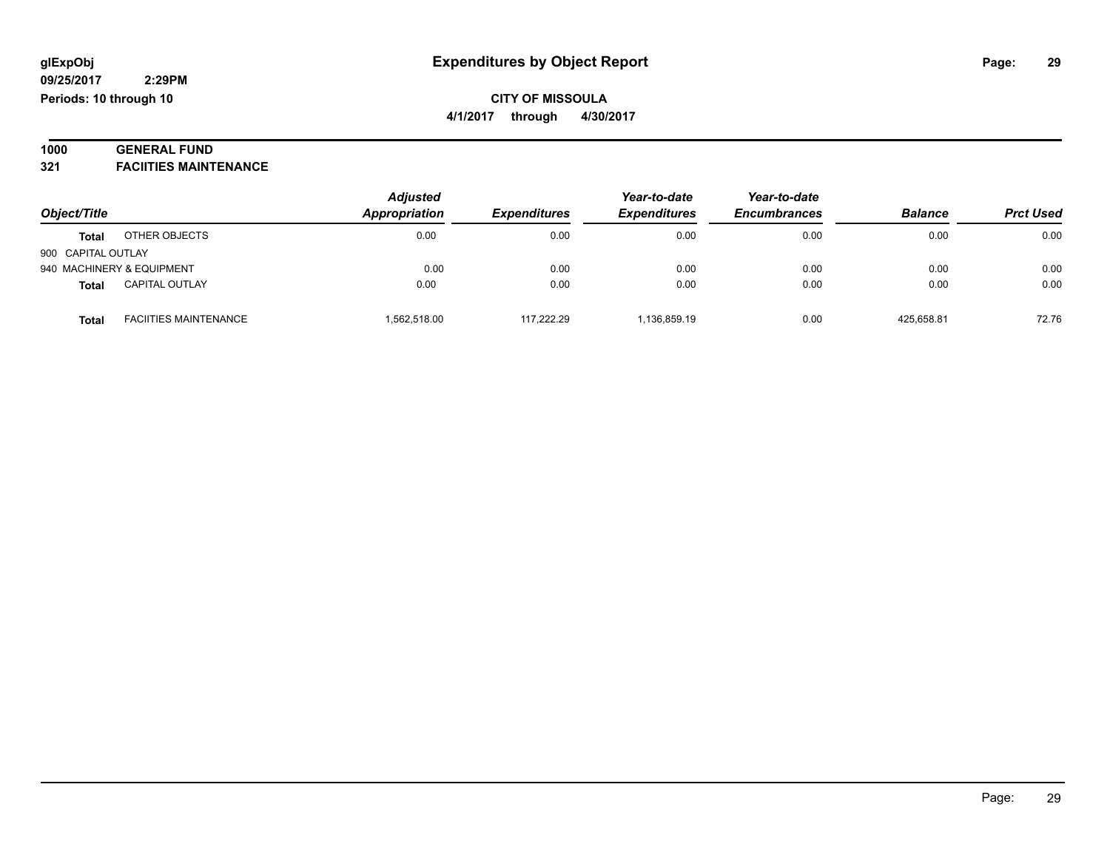### **1000 GENERAL FUND**

**321 FACIITIES MAINTENANCE**

|                    |                              | <b>Adjusted</b>     | Appropriation<br><b>Expenditures</b> | Year-to-date | Year-to-date<br><b>Encumbrances</b> | <b>Balance</b> | <b>Prct Used</b> |
|--------------------|------------------------------|---------------------|--------------------------------------|--------------|-------------------------------------|----------------|------------------|
| Object/Title       |                              | <b>Expenditures</b> |                                      |              |                                     |                |                  |
| <b>Total</b>       | OTHER OBJECTS                | 0.00                | 0.00                                 | 0.00         | 0.00                                | 0.00           | 0.00             |
| 900 CAPITAL OUTLAY |                              |                     |                                      |              |                                     |                |                  |
|                    | 940 MACHINERY & EQUIPMENT    | 0.00                | 0.00                                 | 0.00         | 0.00                                | 0.00           | 0.00             |
| <b>Total</b>       | <b>CAPITAL OUTLAY</b>        | 0.00                | 0.00                                 | 0.00         | 0.00                                | 0.00           | 0.00             |
| <b>Total</b>       | <b>FACIITIES MAINTENANCE</b> | 1,562,518.00        | 117.222.29                           | 1.136.859.19 | 0.00                                | 425.658.81     | 72.76            |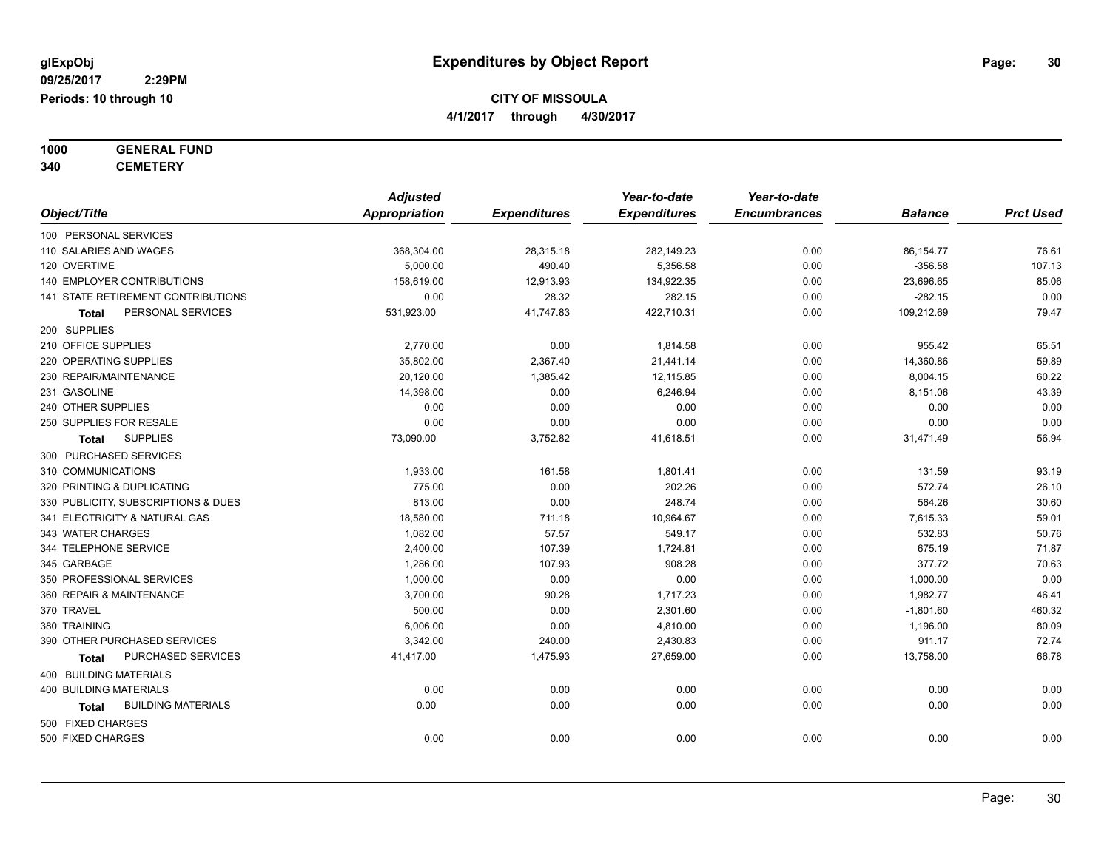**1000 GENERAL FUND**

**340 CEMETERY**

|                                     | <b>Adjusted</b>      |                     | Year-to-date        | Year-to-date        |                |                  |
|-------------------------------------|----------------------|---------------------|---------------------|---------------------|----------------|------------------|
| Object/Title                        | <b>Appropriation</b> | <b>Expenditures</b> | <b>Expenditures</b> | <b>Encumbrances</b> | <b>Balance</b> | <b>Prct Used</b> |
| 100 PERSONAL SERVICES               |                      |                     |                     |                     |                |                  |
| 110 SALARIES AND WAGES              | 368,304.00           | 28,315.18           | 282,149.23          | 0.00                | 86, 154. 77    | 76.61            |
| 120 OVERTIME                        | 5,000.00             | 490.40              | 5,356.58            | 0.00                | $-356.58$      | 107.13           |
| 140 EMPLOYER CONTRIBUTIONS          | 158,619.00           | 12,913.93           | 134,922.35          | 0.00                | 23,696.65      | 85.06            |
| 141 STATE RETIREMENT CONTRIBUTIONS  | 0.00                 | 28.32               | 282.15              | 0.00                | $-282.15$      | 0.00             |
| PERSONAL SERVICES<br>Total          | 531,923.00           | 41,747.83           | 422,710.31          | 0.00                | 109,212.69     | 79.47            |
| 200 SUPPLIES                        |                      |                     |                     |                     |                |                  |
| 210 OFFICE SUPPLIES                 | 2,770.00             | 0.00                | 1,814.58            | 0.00                | 955.42         | 65.51            |
| 220 OPERATING SUPPLIES              | 35,802.00            | 2,367.40            | 21,441.14           | 0.00                | 14,360.86      | 59.89            |
| 230 REPAIR/MAINTENANCE              | 20,120.00            | 1,385.42            | 12,115.85           | 0.00                | 8,004.15       | 60.22            |
| 231 GASOLINE                        | 14,398.00            | 0.00                | 6,246.94            | 0.00                | 8,151.06       | 43.39            |
| 240 OTHER SUPPLIES                  | 0.00                 | 0.00                | 0.00                | 0.00                | 0.00           | 0.00             |
| 250 SUPPLIES FOR RESALE             | 0.00                 | 0.00                | 0.00                | 0.00                | 0.00           | 0.00             |
| <b>SUPPLIES</b><br><b>Total</b>     | 73,090.00            | 3,752.82            | 41,618.51           | 0.00                | 31,471.49      | 56.94            |
| 300 PURCHASED SERVICES              |                      |                     |                     |                     |                |                  |
| 310 COMMUNICATIONS                  | 1,933.00             | 161.58              | 1,801.41            | 0.00                | 131.59         | 93.19            |
| 320 PRINTING & DUPLICATING          | 775.00               | 0.00                | 202.26              | 0.00                | 572.74         | 26.10            |
| 330 PUBLICITY, SUBSCRIPTIONS & DUES | 813.00               | 0.00                | 248.74              | 0.00                | 564.26         | 30.60            |
| 341 ELECTRICITY & NATURAL GAS       | 18,580.00            | 711.18              | 10,964.67           | 0.00                | 7,615.33       | 59.01            |
| 343 WATER CHARGES                   | 1,082.00             | 57.57               | 549.17              | 0.00                | 532.83         | 50.76            |
| 344 TELEPHONE SERVICE               | 2,400.00             | 107.39              | 1,724.81            | 0.00                | 675.19         | 71.87            |
| 345 GARBAGE                         | 1,286.00             | 107.93              | 908.28              | 0.00                | 377.72         | 70.63            |
| 350 PROFESSIONAL SERVICES           | 1,000.00             | 0.00                | 0.00                | 0.00                | 1,000.00       | 0.00             |
| 360 REPAIR & MAINTENANCE            | 3,700.00             | 90.28               | 1,717.23            | 0.00                | 1,982.77       | 46.41            |
| 370 TRAVEL                          | 500.00               | 0.00                | 2,301.60            | 0.00                | $-1,801.60$    | 460.32           |
| 380 TRAINING                        | 6,006.00             | 0.00                | 4,810.00            | 0.00                | 1,196.00       | 80.09            |
| 390 OTHER PURCHASED SERVICES        | 3,342.00             | 240.00              | 2,430.83            | 0.00                | 911.17         | 72.74            |
| PURCHASED SERVICES<br>Total         | 41,417.00            | 1,475.93            | 27,659.00           | 0.00                | 13,758.00      | 66.78            |
| 400 BUILDING MATERIALS              |                      |                     |                     |                     |                |                  |
| <b>400 BUILDING MATERIALS</b>       | 0.00                 | 0.00                | 0.00                | 0.00                | 0.00           | 0.00             |
| <b>BUILDING MATERIALS</b><br>Total  | 0.00                 | 0.00                | 0.00                | 0.00                | 0.00           | 0.00             |
| 500 FIXED CHARGES                   |                      |                     |                     |                     |                |                  |
| 500 FIXED CHARGES                   | 0.00                 | 0.00                | 0.00                | 0.00                | 0.00           | 0.00             |
|                                     |                      |                     |                     |                     |                |                  |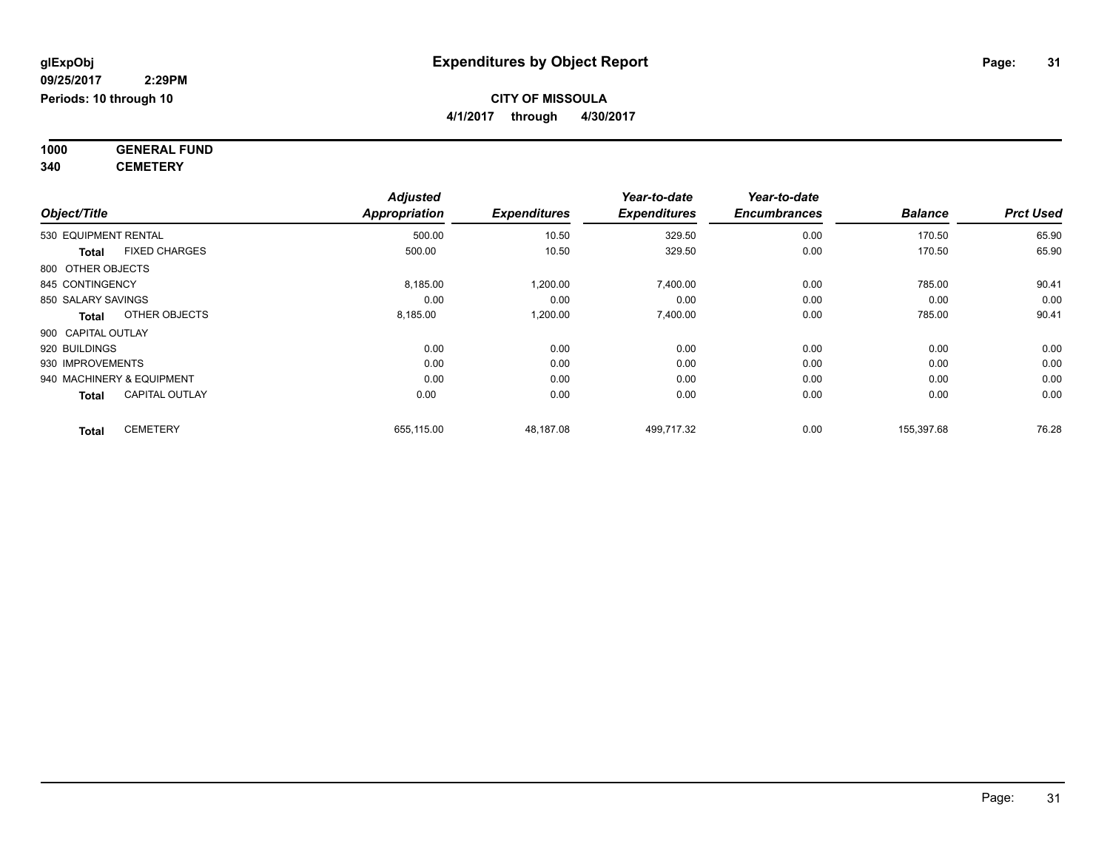**4/1/2017 through 4/30/2017**

**1000 GENERAL FUND 340 CEMETERY**

*Object/Title Adjusted Appropriation Expenditures Year-to-date Expenditures Year-to-date Encumbrances Balance Prct Used*  $530 \text{ EQUIPMENT RENTIAL} \quad 500.00 \quad 500.00 \quad 10.50 \quad 329.50 \quad 0.00 \quad 170.50 \quad 55.90 \quad 56.90 \quad 57.50 \quad 58.50 \quad 59.50 \quad 500.00 \quad 500.00 \quad 500.00 \quad 500.00 \quad 500.00 \quad 500.00 \quad 500.00 \quad 500.00 \quad 500.00 \quad 500.00 \quad 500.00 \quad 500.00 \quad 500.00$ **Total** FIXED CHARGES 500.00 10.50 329.50 0.00 170.50 65.90 800 OTHER OBJECTS 845 CONTINGENCY 8,185.00 1,200.00 7,400.00 90.41 90.41 850 SALARY SAVINGS 0.00 0.00 0.00 0.00 0.00 0.00 **Total** OTHER OBJECTS 8,185.00 1,200.00 7,400.00 0.00 785.00 90.41 900 CAPITAL OUTLAY 920 BUILDINGS 0.00 0.00 0.00 0.00 0.00 0.00 930 IMPROVEMENTS 0.00 0.00 0.00 0.00 0.00 0.00 940 MACHINERY & EQUIPMENT 0.00 0.00 0.00 0.00 0.00 0.00 **Total** CAPITAL OUTLAY 0.00 0.00 0.00 0.00 0.00 0.00 **Total** CEMETERY 655,115.00 48,187.08 499,717.32 0.00 155,397.68 76.28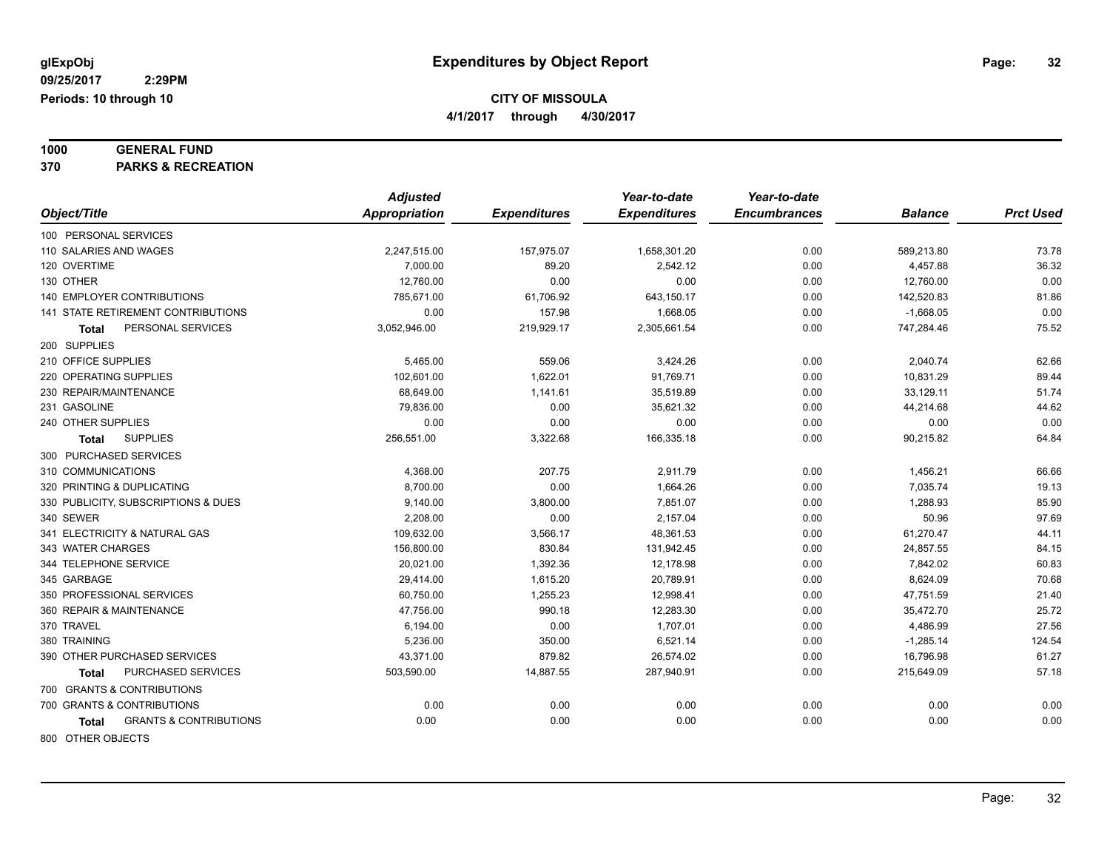**1000 GENERAL FUND**

**370 PARKS & RECREATION**

|                                            | <b>Adjusted</b>      |                     | Year-to-date        | Year-to-date        |                |                  |
|--------------------------------------------|----------------------|---------------------|---------------------|---------------------|----------------|------------------|
| Object/Title                               | <b>Appropriation</b> | <b>Expenditures</b> | <b>Expenditures</b> | <b>Encumbrances</b> | <b>Balance</b> | <b>Prct Used</b> |
| 100 PERSONAL SERVICES                      |                      |                     |                     |                     |                |                  |
| 110 SALARIES AND WAGES                     | 2,247,515.00         | 157,975.07          | 1,658,301.20        | 0.00                | 589,213.80     | 73.78            |
| 120 OVERTIME                               | 7,000.00             | 89.20               | 2,542.12            | 0.00                | 4,457.88       | 36.32            |
| 130 OTHER                                  | 12,760.00            | 0.00                | 0.00                | 0.00                | 12,760.00      | 0.00             |
| <b>140 EMPLOYER CONTRIBUTIONS</b>          | 785,671.00           | 61,706.92           | 643,150.17          | 0.00                | 142,520.83     | 81.86            |
| 141 STATE RETIREMENT CONTRIBUTIONS         | 0.00                 | 157.98              | 1,668.05            | 0.00                | $-1,668.05$    | 0.00             |
| PERSONAL SERVICES<br><b>Total</b>          | 3,052,946.00         | 219,929.17          | 2,305,661.54        | 0.00                | 747,284.46     | 75.52            |
| 200 SUPPLIES                               |                      |                     |                     |                     |                |                  |
| 210 OFFICE SUPPLIES                        | 5,465.00             | 559.06              | 3,424.26            | 0.00                | 2,040.74       | 62.66            |
| 220 OPERATING SUPPLIES                     | 102.601.00           | 1,622.01            | 91.769.71           | 0.00                | 10,831.29      | 89.44            |
| 230 REPAIR/MAINTENANCE                     | 68,649.00            | 1,141.61            | 35,519.89           | 0.00                | 33,129.11      | 51.74            |
| 231 GASOLINE                               | 79.836.00            | 0.00                | 35,621.32           | 0.00                | 44,214.68      | 44.62            |
| 240 OTHER SUPPLIES                         | 0.00                 | 0.00                | 0.00                | 0.00                | 0.00           | 0.00             |
| <b>SUPPLIES</b><br><b>Total</b>            | 256,551.00           | 3,322.68            | 166,335.18          | 0.00                | 90,215.82      | 64.84            |
| 300 PURCHASED SERVICES                     |                      |                     |                     |                     |                |                  |
| 310 COMMUNICATIONS                         | 4,368.00             | 207.75              | 2,911.79            | 0.00                | 1,456.21       | 66.66            |
| 320 PRINTING & DUPLICATING                 | 8,700.00             | 0.00                | 1.664.26            | 0.00                | 7,035.74       | 19.13            |
| 330 PUBLICITY, SUBSCRIPTIONS & DUES        | 9,140.00             | 3,800.00            | 7,851.07            | 0.00                | 1,288.93       | 85.90            |
| 340 SEWER                                  | 2,208.00             | 0.00                | 2,157.04            | 0.00                | 50.96          | 97.69            |
| 341 ELECTRICITY & NATURAL GAS              | 109,632.00           | 3,566.17            | 48,361.53           | 0.00                | 61,270.47      | 44.11            |
| 343 WATER CHARGES                          | 156,800.00           | 830.84              | 131,942.45          | 0.00                | 24,857.55      | 84.15            |
| 344 TELEPHONE SERVICE                      | 20,021.00            | 1,392.36            | 12,178.98           | 0.00                | 7,842.02       | 60.83            |
| 345 GARBAGE                                | 29,414.00            | 1,615.20            | 20,789.91           | 0.00                | 8,624.09       | 70.68            |
| 350 PROFESSIONAL SERVICES                  | 60.750.00            | 1,255.23            | 12.998.41           | 0.00                | 47,751.59      | 21.40            |
| 360 REPAIR & MAINTENANCE                   | 47,756.00            | 990.18              | 12,283.30           | 0.00                | 35,472.70      | 25.72            |
| 370 TRAVEL                                 | 6,194.00             | 0.00                | 1,707.01            | 0.00                | 4,486.99       | 27.56            |
| 380 TRAINING                               | 5,236.00             | 350.00              | 6,521.14            | 0.00                | $-1,285.14$    | 124.54           |
| 390 OTHER PURCHASED SERVICES               | 43,371.00            | 879.82              | 26,574.02           | 0.00                | 16,796.98      | 61.27            |
| PURCHASED SERVICES<br>Total                | 503,590.00           | 14,887.55           | 287,940.91          | 0.00                | 215,649.09     | 57.18            |
| 700 GRANTS & CONTRIBUTIONS                 |                      |                     |                     |                     |                |                  |
| 700 GRANTS & CONTRIBUTIONS                 | 0.00                 | 0.00                | 0.00                | 0.00                | 0.00           | 0.00             |
| <b>GRANTS &amp; CONTRIBUTIONS</b><br>Total | 0.00                 | 0.00                | 0.00                | 0.00                | 0.00           | 0.00             |
|                                            |                      |                     |                     |                     |                |                  |

800 OTHER OBJECTS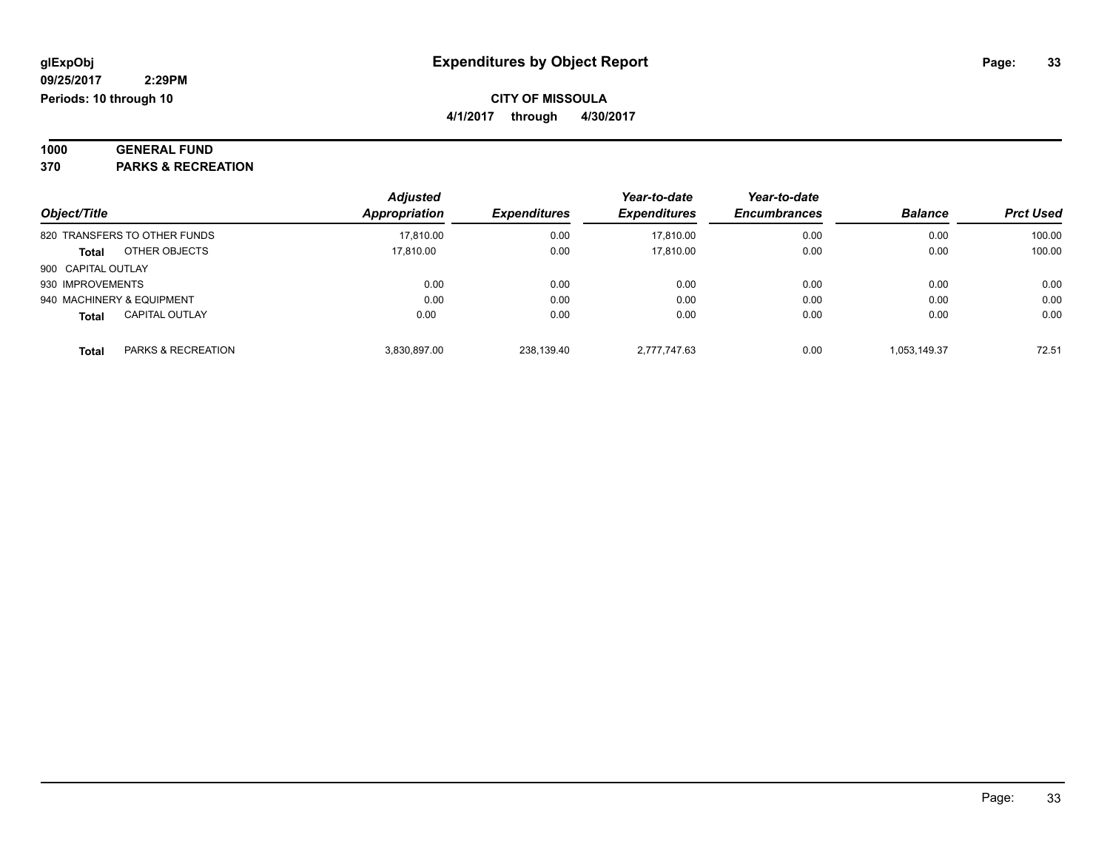#### **1000 GENERAL FUND 370 PARKS & RECREATION**

|                                        | <b>Adjusted</b> |                     | Year-to-date        | Year-to-date        |                |                  |
|----------------------------------------|-----------------|---------------------|---------------------|---------------------|----------------|------------------|
| Object/Title                           | Appropriation   | <b>Expenditures</b> | <b>Expenditures</b> | <b>Encumbrances</b> | <b>Balance</b> | <b>Prct Used</b> |
| 820 TRANSFERS TO OTHER FUNDS           | 17,810.00       | 0.00                | 17.810.00           | 0.00                | 0.00           | 100.00           |
| OTHER OBJECTS<br><b>Total</b>          | 17.810.00       | 0.00                | 17.810.00           | 0.00                | 0.00           | 100.00           |
| 900 CAPITAL OUTLAY                     |                 |                     |                     |                     |                |                  |
| 930 IMPROVEMENTS                       | 0.00            | 0.00                | 0.00                | 0.00                | 0.00           | 0.00             |
| 940 MACHINERY & EQUIPMENT              | 0.00            | 0.00                | 0.00                | 0.00                | 0.00           | 0.00             |
| <b>CAPITAL OUTLAY</b><br><b>Total</b>  | 0.00            | 0.00                | 0.00                | 0.00                | 0.00           | 0.00             |
| <b>PARKS &amp; RECREATION</b><br>Total | 3,830,897.00    | 238.139.40          | 2.777.747.63        | 0.00                | 1.053.149.37   | 72.51            |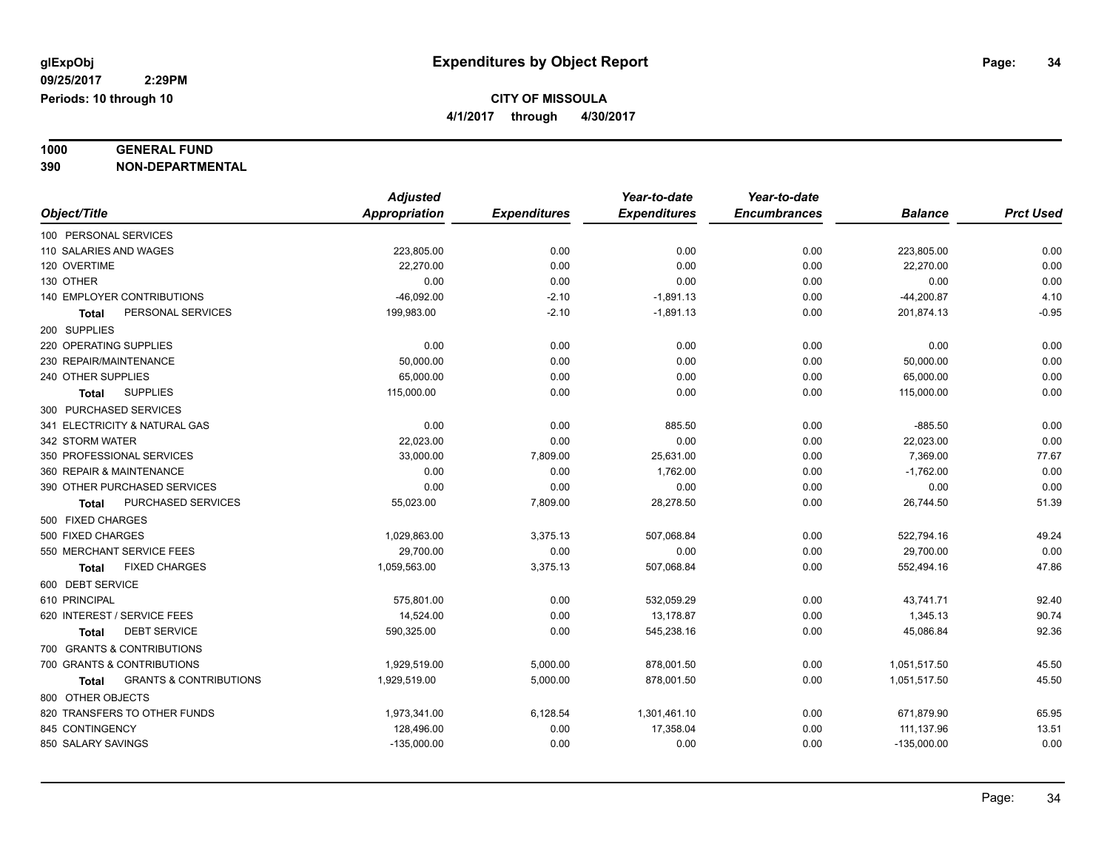## **1000 GENERAL FUND**

**390 NON-DEPARTMENTAL**

|                                                   | <b>Adjusted</b> |                     | Year-to-date        | Year-to-date        |                |                  |
|---------------------------------------------------|-----------------|---------------------|---------------------|---------------------|----------------|------------------|
| Object/Title                                      | Appropriation   | <b>Expenditures</b> | <b>Expenditures</b> | <b>Encumbrances</b> | <b>Balance</b> | <b>Prct Used</b> |
| 100 PERSONAL SERVICES                             |                 |                     |                     |                     |                |                  |
| 110 SALARIES AND WAGES                            | 223,805.00      | 0.00                | 0.00                | 0.00                | 223,805.00     | 0.00             |
| 120 OVERTIME                                      | 22,270.00       | 0.00                | 0.00                | 0.00                | 22,270.00      | 0.00             |
| 130 OTHER                                         | 0.00            | 0.00                | 0.00                | 0.00                | 0.00           | 0.00             |
| <b>140 EMPLOYER CONTRIBUTIONS</b>                 | $-46,092.00$    | $-2.10$             | $-1,891.13$         | 0.00                | $-44,200.87$   | 4.10             |
| PERSONAL SERVICES<br>Total                        | 199,983.00      | $-2.10$             | $-1,891.13$         | 0.00                | 201,874.13     | $-0.95$          |
| 200 SUPPLIES                                      |                 |                     |                     |                     |                |                  |
| 220 OPERATING SUPPLIES                            | 0.00            | 0.00                | 0.00                | 0.00                | 0.00           | 0.00             |
| 230 REPAIR/MAINTENANCE                            | 50,000.00       | 0.00                | 0.00                | 0.00                | 50,000.00      | 0.00             |
| 240 OTHER SUPPLIES                                | 65,000.00       | 0.00                | 0.00                | 0.00                | 65,000.00      | 0.00             |
| <b>SUPPLIES</b><br>Total                          | 115,000.00      | 0.00                | 0.00                | 0.00                | 115,000.00     | 0.00             |
| 300 PURCHASED SERVICES                            |                 |                     |                     |                     |                |                  |
| 341 ELECTRICITY & NATURAL GAS                     | 0.00            | 0.00                | 885.50              | 0.00                | $-885.50$      | 0.00             |
| 342 STORM WATER                                   | 22,023.00       | 0.00                | 0.00                | 0.00                | 22,023.00      | 0.00             |
| 350 PROFESSIONAL SERVICES                         | 33,000.00       | 7,809.00            | 25,631.00           | 0.00                | 7,369.00       | 77.67            |
| 360 REPAIR & MAINTENANCE                          | 0.00            | 0.00                | 1,762.00            | 0.00                | $-1,762.00$    | 0.00             |
| 390 OTHER PURCHASED SERVICES                      | 0.00            | 0.00                | 0.00                | 0.00                | 0.00           | 0.00             |
| PURCHASED SERVICES<br>Total                       | 55,023.00       | 7,809.00            | 28,278.50           | 0.00                | 26,744.50      | 51.39            |
| 500 FIXED CHARGES                                 |                 |                     |                     |                     |                |                  |
| 500 FIXED CHARGES                                 | 1,029,863.00    | 3,375.13            | 507.068.84          | 0.00                | 522,794.16     | 49.24            |
| 550 MERCHANT SERVICE FEES                         | 29,700.00       | 0.00                | 0.00                | 0.00                | 29,700.00      | 0.00             |
| <b>FIXED CHARGES</b><br><b>Total</b>              | 1,059,563.00    | 3,375.13            | 507,068.84          | 0.00                | 552,494.16     | 47.86            |
| 600 DEBT SERVICE                                  |                 |                     |                     |                     |                |                  |
| 610 PRINCIPAL                                     | 575,801.00      | 0.00                | 532,059.29          | 0.00                | 43,741.71      | 92.40            |
| 620 INTEREST / SERVICE FEES                       | 14,524.00       | 0.00                | 13,178.87           | 0.00                | 1,345.13       | 90.74            |
| <b>DEBT SERVICE</b><br><b>Total</b>               | 590,325.00      | 0.00                | 545,238.16          | 0.00                | 45,086.84      | 92.36            |
| 700 GRANTS & CONTRIBUTIONS                        |                 |                     |                     |                     |                |                  |
| 700 GRANTS & CONTRIBUTIONS                        | 1,929,519.00    | 5,000.00            | 878,001.50          | 0.00                | 1,051,517.50   | 45.50            |
| <b>GRANTS &amp; CONTRIBUTIONS</b><br><b>Total</b> | 1,929,519.00    | 5,000.00            | 878,001.50          | 0.00                | 1,051,517.50   | 45.50            |
| 800 OTHER OBJECTS                                 |                 |                     |                     |                     |                |                  |
| 820 TRANSFERS TO OTHER FUNDS                      | 1,973,341.00    | 6,128.54            | 1,301,461.10        | 0.00                | 671,879.90     | 65.95            |
| 845 CONTINGENCY                                   | 128,496.00      | 0.00                | 17,358.04           | 0.00                | 111,137.96     | 13.51            |
| 850 SALARY SAVINGS                                | $-135,000.00$   | 0.00                | 0.00                | 0.00                | $-135,000.00$  | 0.00             |
|                                                   |                 |                     |                     |                     |                |                  |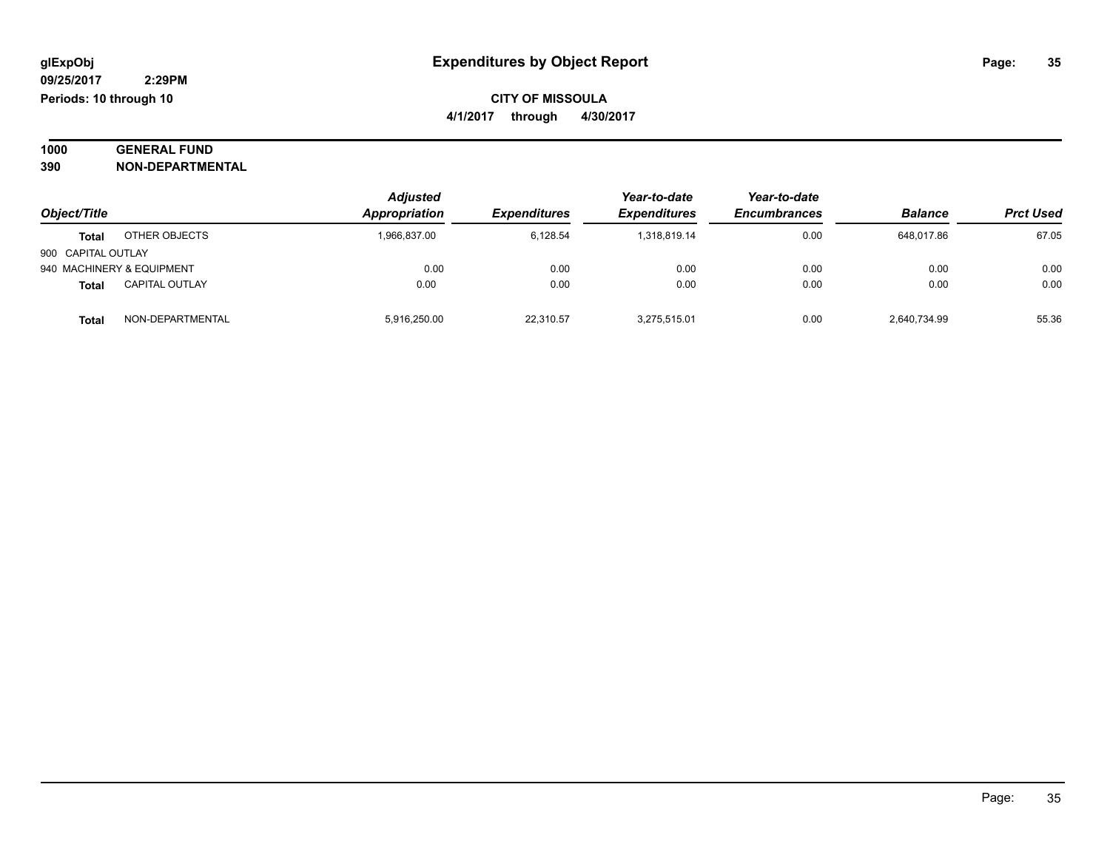#### **1000 GENERAL FUND 390 NON-DEPARTMENTAL**

| 39U | NON-DEPARIMENIAL |  |
|-----|------------------|--|
|     |                  |  |

|                                       | <b>Adjusted</b> |                     | Year-to-date        | Year-to-date        |                |                  |
|---------------------------------------|-----------------|---------------------|---------------------|---------------------|----------------|------------------|
| Object/Title                          | Appropriation   | <b>Expenditures</b> | <b>Expenditures</b> | <b>Encumbrances</b> | <b>Balance</b> | <b>Prct Used</b> |
| OTHER OBJECTS<br><b>Total</b>         | 1,966,837.00    | 6.128.54            | 1.318.819.14        | 0.00                | 648.017.86     | 67.05            |
| 900 CAPITAL OUTLAY                    |                 |                     |                     |                     |                |                  |
| 940 MACHINERY & EQUIPMENT             | 0.00            | 0.00                | 0.00                | 0.00                | 0.00           | 0.00             |
| <b>CAPITAL OUTLAY</b><br><b>Total</b> | 0.00            | 0.00                | 0.00                | 0.00                | 0.00           | 0.00             |
| NON-DEPARTMENTAL<br><b>Total</b>      | 5.916.250.00    | 22,310.57           | 3.275.515.01        | 0.00                | 2,640,734.99   | 55.36            |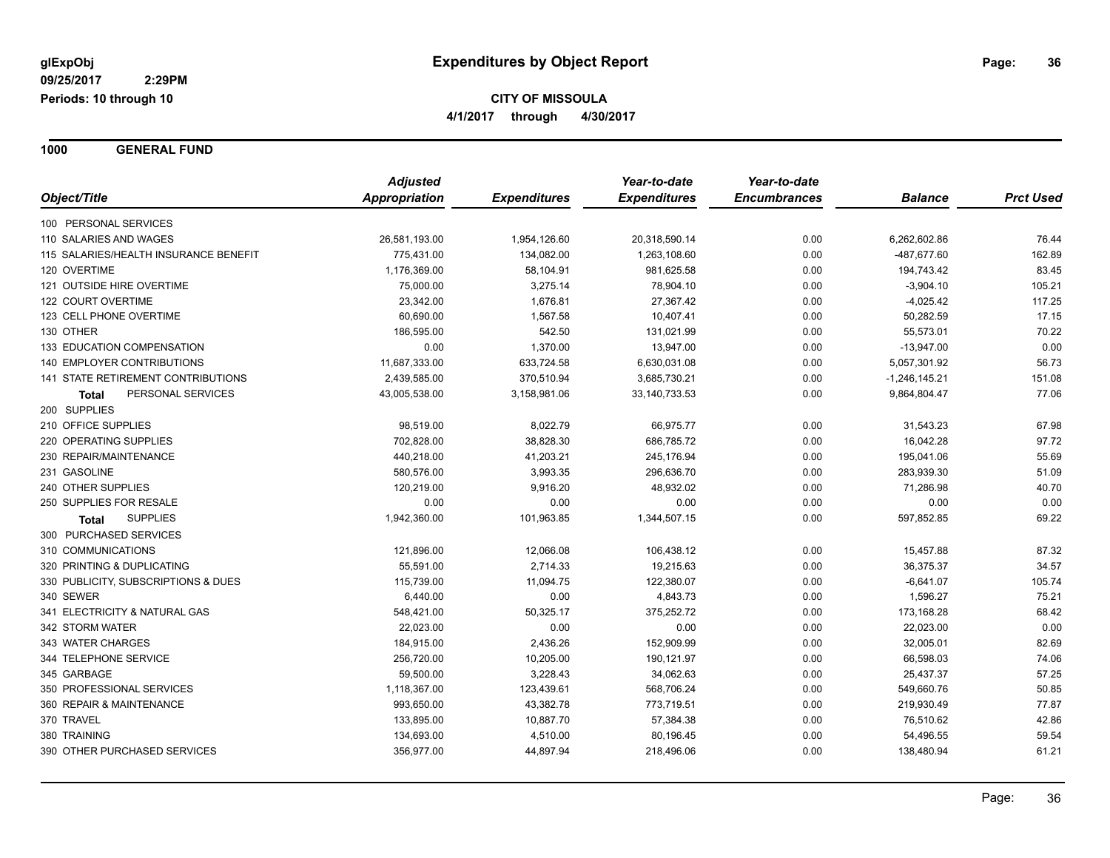**1000 GENERAL FUND**

|                                       | <b>Adjusted</b> |                     | Year-to-date        | Year-to-date        |                 |                  |
|---------------------------------------|-----------------|---------------------|---------------------|---------------------|-----------------|------------------|
| Object/Title                          | Appropriation   | <b>Expenditures</b> | <b>Expenditures</b> | <b>Encumbrances</b> | <b>Balance</b>  | <b>Prct Used</b> |
| 100 PERSONAL SERVICES                 |                 |                     |                     |                     |                 |                  |
| 110 SALARIES AND WAGES                | 26,581,193.00   | 1,954,126.60        | 20,318,590.14       | 0.00                | 6,262,602.86    | 76.44            |
| 115 SALARIES/HEALTH INSURANCE BENEFIT | 775,431.00      | 134,082.00          | 1,263,108.60        | 0.00                | -487,677.60     | 162.89           |
| 120 OVERTIME                          | 1,176,369.00    | 58,104.91           | 981,625.58          | 0.00                | 194,743.42      | 83.45            |
| 121 OUTSIDE HIRE OVERTIME             | 75,000.00       | 3,275.14            | 78,904.10           | 0.00                | $-3,904.10$     | 105.21           |
| 122 COURT OVERTIME                    | 23,342.00       | 1,676.81            | 27,367.42           | 0.00                | $-4,025.42$     | 117.25           |
| 123 CELL PHONE OVERTIME               | 60,690.00       | 1,567.58            | 10,407.41           | 0.00                | 50,282.59       | 17.15            |
| 130 OTHER                             | 186,595.00      | 542.50              | 131,021.99          | 0.00                | 55,573.01       | 70.22            |
| 133 EDUCATION COMPENSATION            | 0.00            | 1,370.00            | 13,947.00           | 0.00                | $-13,947.00$    | 0.00             |
| <b>140 EMPLOYER CONTRIBUTIONS</b>     | 11,687,333.00   | 633,724.58          | 6,630,031.08        | 0.00                | 5,057,301.92    | 56.73            |
| 141 STATE RETIREMENT CONTRIBUTIONS    | 2,439,585.00    | 370,510.94          | 3,685,730.21        | 0.00                | $-1,246,145.21$ | 151.08           |
| PERSONAL SERVICES<br>Total            | 43,005,538.00   | 3,158,981.06        | 33, 140, 733. 53    | 0.00                | 9,864,804.47    | 77.06            |
| 200 SUPPLIES                          |                 |                     |                     |                     |                 |                  |
| 210 OFFICE SUPPLIES                   | 98,519.00       | 8,022.79            | 66,975.77           | 0.00                | 31,543.23       | 67.98            |
| 220 OPERATING SUPPLIES                | 702,828.00      | 38,828.30           | 686,785.72          | 0.00                | 16,042.28       | 97.72            |
| 230 REPAIR/MAINTENANCE                | 440,218.00      | 41,203.21           | 245,176.94          | 0.00                | 195,041.06      | 55.69            |
| 231 GASOLINE                          | 580,576.00      | 3,993.35            | 296,636.70          | 0.00                | 283,939.30      | 51.09            |
| 240 OTHER SUPPLIES                    | 120,219.00      | 9,916.20            | 48,932.02           | 0.00                | 71,286.98       | 40.70            |
| 250 SUPPLIES FOR RESALE               | 0.00            | 0.00                | 0.00                | 0.00                | 0.00            | 0.00             |
| <b>SUPPLIES</b><br>Total              | 1,942,360.00    | 101,963.85          | 1,344,507.15        | 0.00                | 597,852.85      | 69.22            |
| 300 PURCHASED SERVICES                |                 |                     |                     |                     |                 |                  |
| 310 COMMUNICATIONS                    | 121,896.00      | 12,066.08           | 106,438.12          | 0.00                | 15,457.88       | 87.32            |
| 320 PRINTING & DUPLICATING            | 55,591.00       | 2,714.33            | 19,215.63           | 0.00                | 36,375.37       | 34.57            |
| 330 PUBLICITY, SUBSCRIPTIONS & DUES   | 115,739.00      | 11,094.75           | 122,380.07          | 0.00                | $-6,641.07$     | 105.74           |
| 340 SEWER                             | 6,440.00        | 0.00                | 4,843.73            | 0.00                | 1,596.27        | 75.21            |
| 341 ELECTRICITY & NATURAL GAS         | 548,421.00      | 50,325.17           | 375,252.72          | 0.00                | 173,168.28      | 68.42            |
| 342 STORM WATER                       | 22,023.00       | 0.00                | 0.00                | 0.00                | 22,023.00       | 0.00             |
| 343 WATER CHARGES                     | 184,915.00      | 2,436.26            | 152,909.99          | 0.00                | 32,005.01       | 82.69            |
| 344 TELEPHONE SERVICE                 | 256,720.00      | 10,205.00           | 190,121.97          | 0.00                | 66,598.03       | 74.06            |
| 345 GARBAGE                           | 59,500.00       | 3,228.43            | 34,062.63           | 0.00                | 25,437.37       | 57.25            |
| 350 PROFESSIONAL SERVICES             | 1,118,367.00    | 123,439.61          | 568,706.24          | 0.00                | 549,660.76      | 50.85            |
| 360 REPAIR & MAINTENANCE              | 993,650.00      | 43,382.78           | 773,719.51          | 0.00                | 219,930.49      | 77.87            |
| 370 TRAVEL                            | 133,895.00      | 10,887.70           | 57,384.38           | 0.00                | 76,510.62       | 42.86            |
| 380 TRAINING                          | 134,693.00      | 4,510.00            | 80,196.45           | 0.00                | 54,496.55       | 59.54            |
| 390 OTHER PURCHASED SERVICES          | 356,977.00      | 44,897.94           | 218,496.06          | 0.00                | 138,480.94      | 61.21            |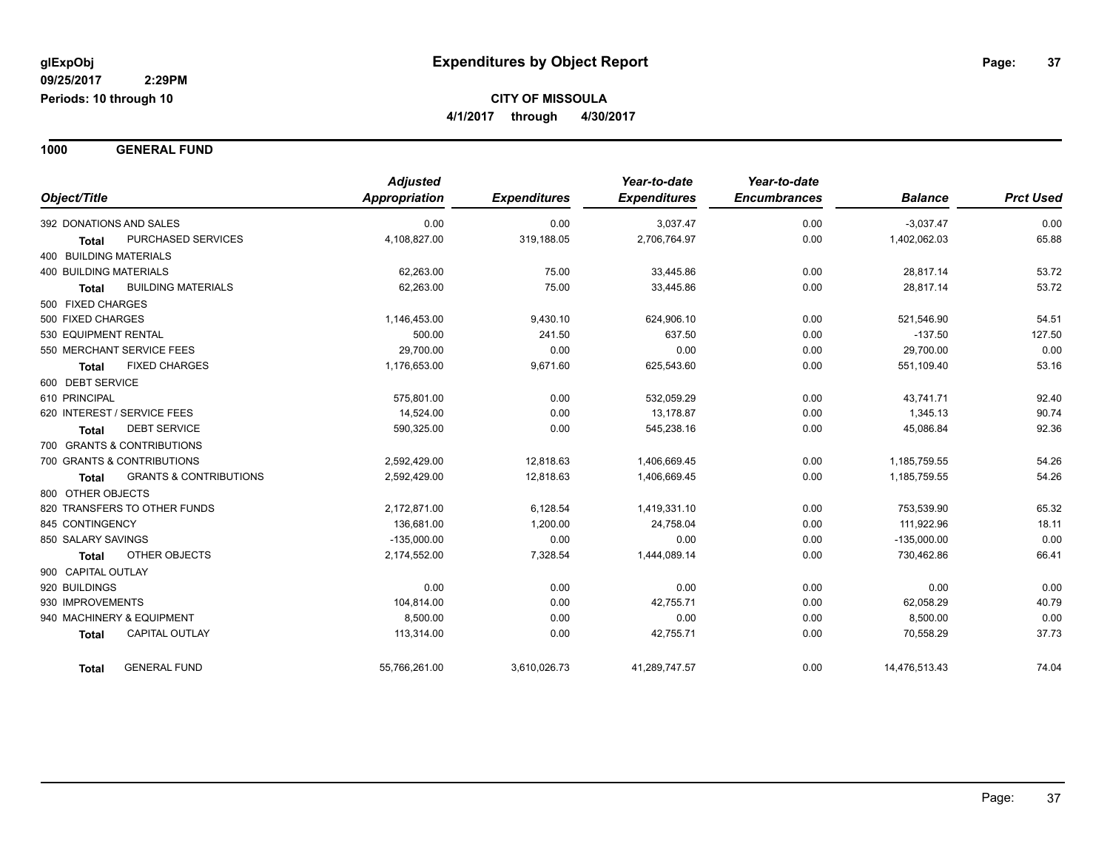**1000 GENERAL FUND**

|                               |                                   | <b>Adjusted</b> |                     | Year-to-date        | Year-to-date        |                |                  |
|-------------------------------|-----------------------------------|-----------------|---------------------|---------------------|---------------------|----------------|------------------|
| Object/Title                  |                                   | Appropriation   | <b>Expenditures</b> | <b>Expenditures</b> | <b>Encumbrances</b> | <b>Balance</b> | <b>Prct Used</b> |
| 392 DONATIONS AND SALES       |                                   | 0.00            | 0.00                | 3,037.47            | 0.00                | $-3,037.47$    | 0.00             |
| <b>Total</b>                  | PURCHASED SERVICES                | 4,108,827.00    | 319,188.05          | 2,706,764.97        | 0.00                | 1,402,062.03   | 65.88            |
| 400 BUILDING MATERIALS        |                                   |                 |                     |                     |                     |                |                  |
| <b>400 BUILDING MATERIALS</b> |                                   | 62,263.00       | 75.00               | 33,445.86           | 0.00                | 28,817.14      | 53.72            |
| <b>Total</b>                  | <b>BUILDING MATERIALS</b>         | 62,263.00       | 75.00               | 33,445.86           | 0.00                | 28,817.14      | 53.72            |
| 500 FIXED CHARGES             |                                   |                 |                     |                     |                     |                |                  |
| 500 FIXED CHARGES             |                                   | 1,146,453.00    | 9,430.10            | 624,906.10          | 0.00                | 521,546.90     | 54.51            |
| 530 EQUIPMENT RENTAL          |                                   | 500.00          | 241.50              | 637.50              | 0.00                | $-137.50$      | 127.50           |
| 550 MERCHANT SERVICE FEES     |                                   | 29,700.00       | 0.00                | 0.00                | 0.00                | 29,700.00      | 0.00             |
| <b>Total</b>                  | <b>FIXED CHARGES</b>              | 1,176,653.00    | 9,671.60            | 625,543.60          | 0.00                | 551,109.40     | 53.16            |
| 600 DEBT SERVICE              |                                   |                 |                     |                     |                     |                |                  |
| 610 PRINCIPAL                 |                                   | 575,801.00      | 0.00                | 532,059.29          | 0.00                | 43,741.71      | 92.40            |
| 620 INTEREST / SERVICE FEES   |                                   | 14,524.00       | 0.00                | 13,178.87           | 0.00                | 1,345.13       | 90.74            |
| <b>Total</b>                  | <b>DEBT SERVICE</b>               | 590,325.00      | 0.00                | 545,238.16          | 0.00                | 45,086.84      | 92.36            |
| 700 GRANTS & CONTRIBUTIONS    |                                   |                 |                     |                     |                     |                |                  |
| 700 GRANTS & CONTRIBUTIONS    |                                   | 2,592,429.00    | 12,818.63           | 1,406,669.45        | 0.00                | 1,185,759.55   | 54.26            |
| <b>Total</b>                  | <b>GRANTS &amp; CONTRIBUTIONS</b> | 2,592,429.00    | 12,818.63           | 1,406,669.45        | 0.00                | 1,185,759.55   | 54.26            |
| 800 OTHER OBJECTS             |                                   |                 |                     |                     |                     |                |                  |
| 820 TRANSFERS TO OTHER FUNDS  |                                   | 2,172,871.00    | 6,128.54            | 1,419,331.10        | 0.00                | 753,539.90     | 65.32            |
| 845 CONTINGENCY               |                                   | 136,681.00      | 1,200.00            | 24,758.04           | 0.00                | 111,922.96     | 18.11            |
| 850 SALARY SAVINGS            |                                   | $-135,000.00$   | 0.00                | 0.00                | 0.00                | $-135,000.00$  | 0.00             |
| <b>Total</b>                  | <b>OTHER OBJECTS</b>              | 2,174,552.00    | 7,328.54            | 1,444,089.14        | 0.00                | 730,462.86     | 66.41            |
| 900 CAPITAL OUTLAY            |                                   |                 |                     |                     |                     |                |                  |
| 920 BUILDINGS                 |                                   | 0.00            | 0.00                | 0.00                | 0.00                | 0.00           | 0.00             |
| 930 IMPROVEMENTS              |                                   | 104,814.00      | 0.00                | 42,755.71           | 0.00                | 62,058.29      | 40.79            |
| 940 MACHINERY & EQUIPMENT     |                                   | 8,500.00        | 0.00                | 0.00                | 0.00                | 8,500.00       | 0.00             |
| <b>Total</b>                  | <b>CAPITAL OUTLAY</b>             | 113,314.00      | 0.00                | 42,755.71           | 0.00                | 70,558.29      | 37.73            |
| <b>Total</b>                  | <b>GENERAL FUND</b>               | 55,766,261.00   | 3,610,026.73        | 41,289,747.57       | 0.00                | 14,476,513.43  | 74.04            |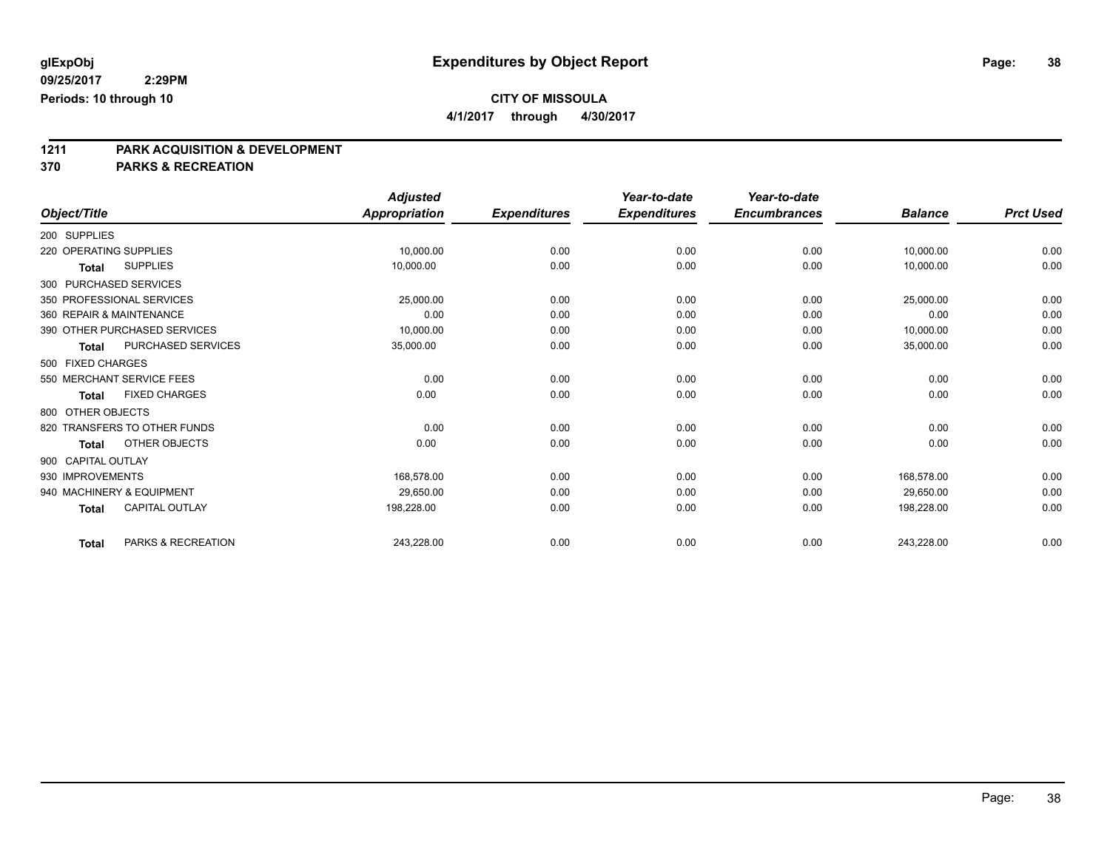**4/1/2017 through 4/30/2017**

# **1211 PARK ACQUISITION & DEVELOPMENT**

|                                       | <b>Adjusted</b>      |                     | Year-to-date        | Year-to-date        |                |                  |
|---------------------------------------|----------------------|---------------------|---------------------|---------------------|----------------|------------------|
| Object/Title                          | <b>Appropriation</b> | <b>Expenditures</b> | <b>Expenditures</b> | <b>Encumbrances</b> | <b>Balance</b> | <b>Prct Used</b> |
| 200 SUPPLIES                          |                      |                     |                     |                     |                |                  |
| 220 OPERATING SUPPLIES                | 10,000.00            | 0.00                | 0.00                | 0.00                | 10,000.00      | 0.00             |
| <b>SUPPLIES</b><br>Total              | 10,000.00            | 0.00                | 0.00                | 0.00                | 10,000.00      | 0.00             |
| 300 PURCHASED SERVICES                |                      |                     |                     |                     |                |                  |
| 350 PROFESSIONAL SERVICES             | 25,000.00            | 0.00                | 0.00                | 0.00                | 25,000.00      | 0.00             |
| 360 REPAIR & MAINTENANCE              | 0.00                 | 0.00                | 0.00                | 0.00                | 0.00           | 0.00             |
| 390 OTHER PURCHASED SERVICES          | 10,000.00            | 0.00                | 0.00                | 0.00                | 10,000.00      | 0.00             |
| PURCHASED SERVICES<br><b>Total</b>    | 35,000.00            | 0.00                | 0.00                | 0.00                | 35,000.00      | 0.00             |
| 500 FIXED CHARGES                     |                      |                     |                     |                     |                |                  |
| 550 MERCHANT SERVICE FEES             | 0.00                 | 0.00                | 0.00                | 0.00                | 0.00           | 0.00             |
| <b>FIXED CHARGES</b><br><b>Total</b>  | 0.00                 | 0.00                | 0.00                | 0.00                | 0.00           | 0.00             |
| 800 OTHER OBJECTS                     |                      |                     |                     |                     |                |                  |
| 820 TRANSFERS TO OTHER FUNDS          | 0.00                 | 0.00                | 0.00                | 0.00                | 0.00           | 0.00             |
| <b>OTHER OBJECTS</b><br><b>Total</b>  | 0.00                 | 0.00                | 0.00                | 0.00                | 0.00           | 0.00             |
| 900 CAPITAL OUTLAY                    |                      |                     |                     |                     |                |                  |
| 930 IMPROVEMENTS                      | 168,578.00           | 0.00                | 0.00                | 0.00                | 168,578.00     | 0.00             |
| 940 MACHINERY & EQUIPMENT             | 29,650.00            | 0.00                | 0.00                | 0.00                | 29,650.00      | 0.00             |
| <b>CAPITAL OUTLAY</b><br><b>Total</b> | 198,228.00           | 0.00                | 0.00                | 0.00                | 198,228.00     | 0.00             |
| PARKS & RECREATION<br><b>Total</b>    | 243,228.00           | 0.00                | 0.00                | 0.00                | 243,228.00     | 0.00             |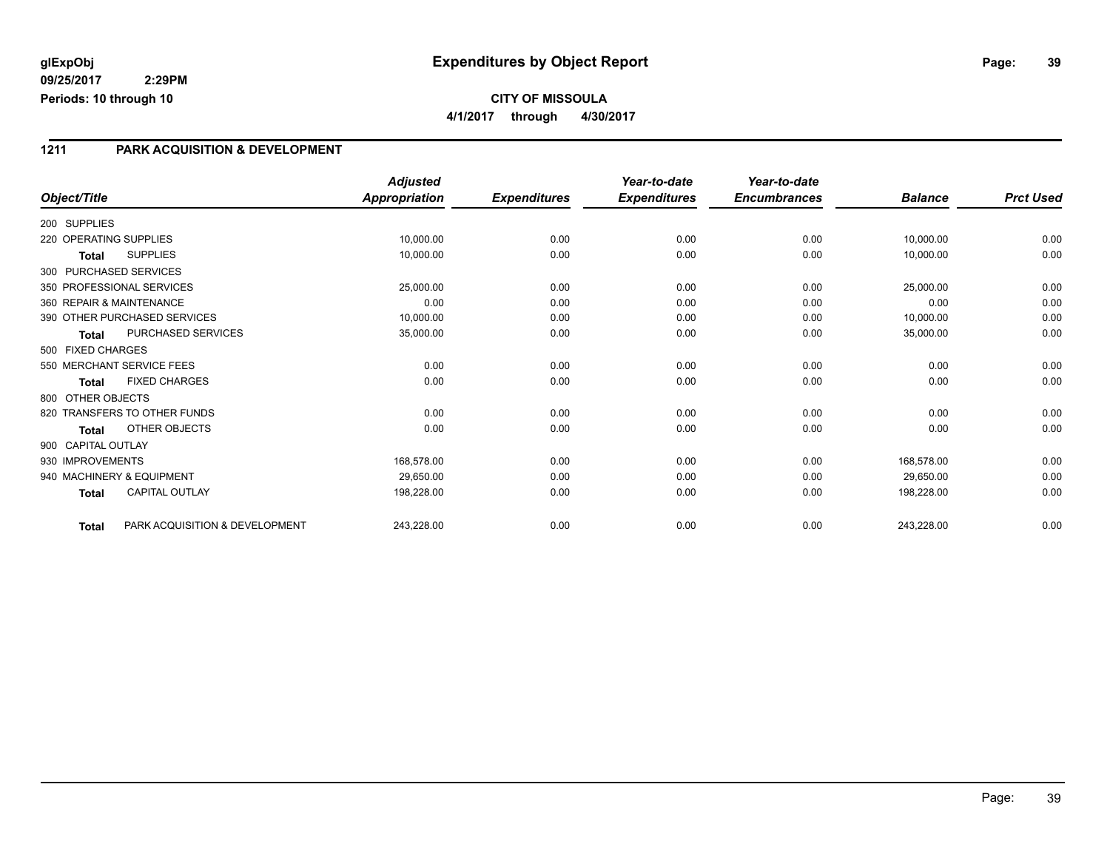## **CITY OF MISSOULA 4/1/2017 through 4/30/2017**

### **1211 PARK ACQUISITION & DEVELOPMENT**

|                           |                                | <b>Adjusted</b>      |                     | Year-to-date        | Year-to-date        |                |                  |
|---------------------------|--------------------------------|----------------------|---------------------|---------------------|---------------------|----------------|------------------|
| Object/Title              |                                | <b>Appropriation</b> | <b>Expenditures</b> | <b>Expenditures</b> | <b>Encumbrances</b> | <b>Balance</b> | <b>Prct Used</b> |
| 200 SUPPLIES              |                                |                      |                     |                     |                     |                |                  |
| 220 OPERATING SUPPLIES    |                                | 10,000.00            | 0.00                | 0.00                | 0.00                | 10,000.00      | 0.00             |
| <b>Total</b>              | <b>SUPPLIES</b>                | 10,000.00            | 0.00                | 0.00                | 0.00                | 10,000.00      | 0.00             |
| 300 PURCHASED SERVICES    |                                |                      |                     |                     |                     |                |                  |
| 350 PROFESSIONAL SERVICES |                                | 25,000.00            | 0.00                | 0.00                | 0.00                | 25,000.00      | 0.00             |
| 360 REPAIR & MAINTENANCE  |                                | 0.00                 | 0.00                | 0.00                | 0.00                | 0.00           | 0.00             |
|                           | 390 OTHER PURCHASED SERVICES   | 10,000.00            | 0.00                | 0.00                | 0.00                | 10,000.00      | 0.00             |
| <b>Total</b>              | PURCHASED SERVICES             | 35,000.00            | 0.00                | 0.00                | 0.00                | 35,000.00      | 0.00             |
| 500 FIXED CHARGES         |                                |                      |                     |                     |                     |                |                  |
| 550 MERCHANT SERVICE FEES |                                | 0.00                 | 0.00                | 0.00                | 0.00                | 0.00           | 0.00             |
| <b>Total</b>              | <b>FIXED CHARGES</b>           | 0.00                 | 0.00                | 0.00                | 0.00                | 0.00           | 0.00             |
| 800 OTHER OBJECTS         |                                |                      |                     |                     |                     |                |                  |
|                           | 820 TRANSFERS TO OTHER FUNDS   | 0.00                 | 0.00                | 0.00                | 0.00                | 0.00           | 0.00             |
| <b>Total</b>              | OTHER OBJECTS                  | 0.00                 | 0.00                | 0.00                | 0.00                | 0.00           | 0.00             |
| 900 CAPITAL OUTLAY        |                                |                      |                     |                     |                     |                |                  |
| 930 IMPROVEMENTS          |                                | 168,578.00           | 0.00                | 0.00                | 0.00                | 168,578.00     | 0.00             |
| 940 MACHINERY & EQUIPMENT |                                | 29,650.00            | 0.00                | 0.00                | 0.00                | 29.650.00      | 0.00             |
| <b>Total</b>              | <b>CAPITAL OUTLAY</b>          | 198,228.00           | 0.00                | 0.00                | 0.00                | 198,228.00     | 0.00             |
| <b>Total</b>              | PARK ACQUISITION & DEVELOPMENT | 243,228.00           | 0.00                | 0.00                | 0.00                | 243,228.00     | 0.00             |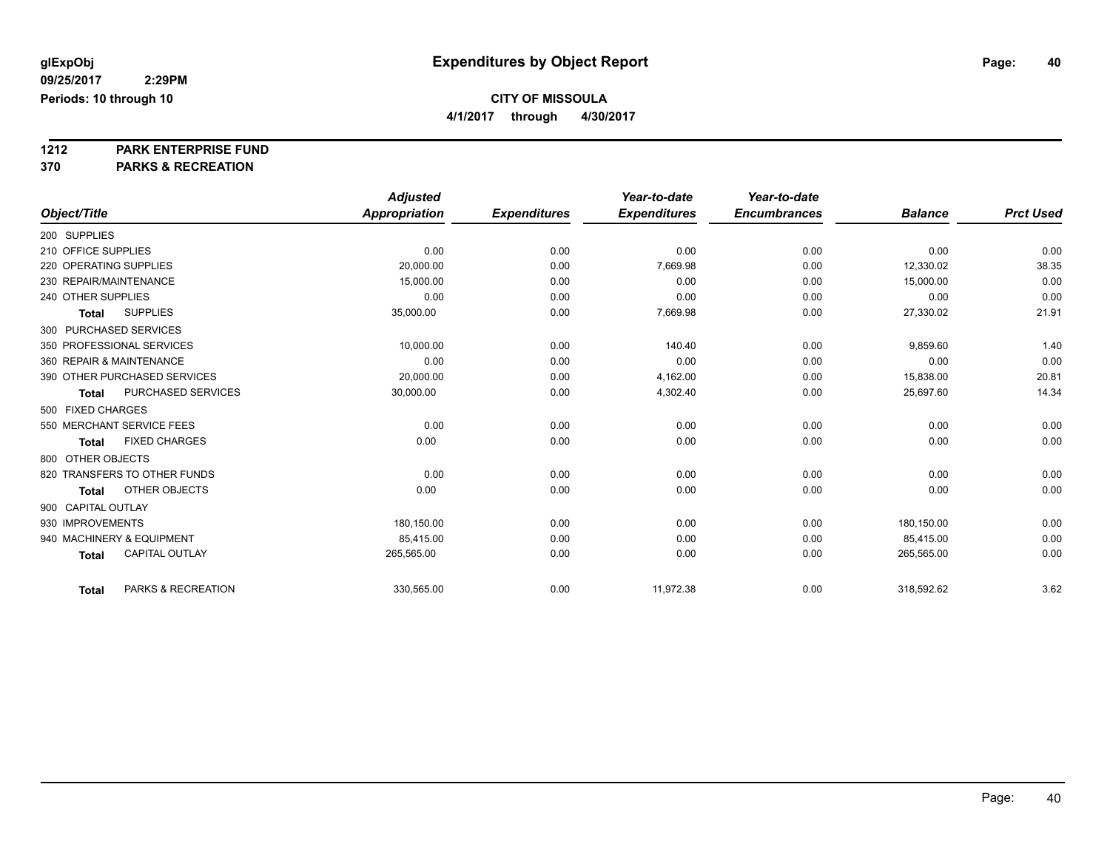**4/1/2017 through 4/30/2017**

# **1212 PARK ENTERPRISE FUND**

|                                       | <b>Adjusted</b> |                     | Year-to-date        | Year-to-date        |                |                  |
|---------------------------------------|-----------------|---------------------|---------------------|---------------------|----------------|------------------|
| Object/Title                          | Appropriation   | <b>Expenditures</b> | <b>Expenditures</b> | <b>Encumbrances</b> | <b>Balance</b> | <b>Prct Used</b> |
| 200 SUPPLIES                          |                 |                     |                     |                     |                |                  |
| 210 OFFICE SUPPLIES                   | 0.00            | 0.00                | 0.00                | 0.00                | 0.00           | 0.00             |
| 220 OPERATING SUPPLIES                | 20.000.00       | 0.00                | 7,669.98            | 0.00                | 12,330.02      | 38.35            |
| 230 REPAIR/MAINTENANCE                | 15,000.00       | 0.00                | 0.00                | 0.00                | 15,000.00      | 0.00             |
| 240 OTHER SUPPLIES                    | 0.00            | 0.00                | 0.00                | 0.00                | 0.00           | 0.00             |
| <b>SUPPLIES</b><br><b>Total</b>       | 35,000.00       | 0.00                | 7,669.98            | 0.00                | 27,330.02      | 21.91            |
| 300 PURCHASED SERVICES                |                 |                     |                     |                     |                |                  |
| 350 PROFESSIONAL SERVICES             | 10,000.00       | 0.00                | 140.40              | 0.00                | 9,859.60       | 1.40             |
| 360 REPAIR & MAINTENANCE              | 0.00            | 0.00                | 0.00                | 0.00                | 0.00           | 0.00             |
| 390 OTHER PURCHASED SERVICES          | 20,000.00       | 0.00                | 4,162.00            | 0.00                | 15,838.00      | 20.81            |
| PURCHASED SERVICES<br><b>Total</b>    | 30,000.00       | 0.00                | 4,302.40            | 0.00                | 25,697.60      | 14.34            |
| 500 FIXED CHARGES                     |                 |                     |                     |                     |                |                  |
| 550 MERCHANT SERVICE FEES             | 0.00            | 0.00                | 0.00                | 0.00                | 0.00           | 0.00             |
| <b>FIXED CHARGES</b><br><b>Total</b>  | 0.00            | 0.00                | 0.00                | 0.00                | 0.00           | 0.00             |
| 800 OTHER OBJECTS                     |                 |                     |                     |                     |                |                  |
| 820 TRANSFERS TO OTHER FUNDS          | 0.00            | 0.00                | 0.00                | 0.00                | 0.00           | 0.00             |
| OTHER OBJECTS<br><b>Total</b>         | 0.00            | 0.00                | 0.00                | 0.00                | 0.00           | 0.00             |
| 900 CAPITAL OUTLAY                    |                 |                     |                     |                     |                |                  |
| 930 IMPROVEMENTS                      | 180,150.00      | 0.00                | 0.00                | 0.00                | 180,150.00     | 0.00             |
| 940 MACHINERY & EQUIPMENT             | 85,415.00       | 0.00                | 0.00                | 0.00                | 85,415.00      | 0.00             |
| <b>CAPITAL OUTLAY</b><br><b>Total</b> | 265,565.00      | 0.00                | 0.00                | 0.00                | 265,565.00     | 0.00             |
| PARKS & RECREATION<br><b>Total</b>    | 330,565.00      | 0.00                | 11,972.38           | 0.00                | 318,592.62     | 3.62             |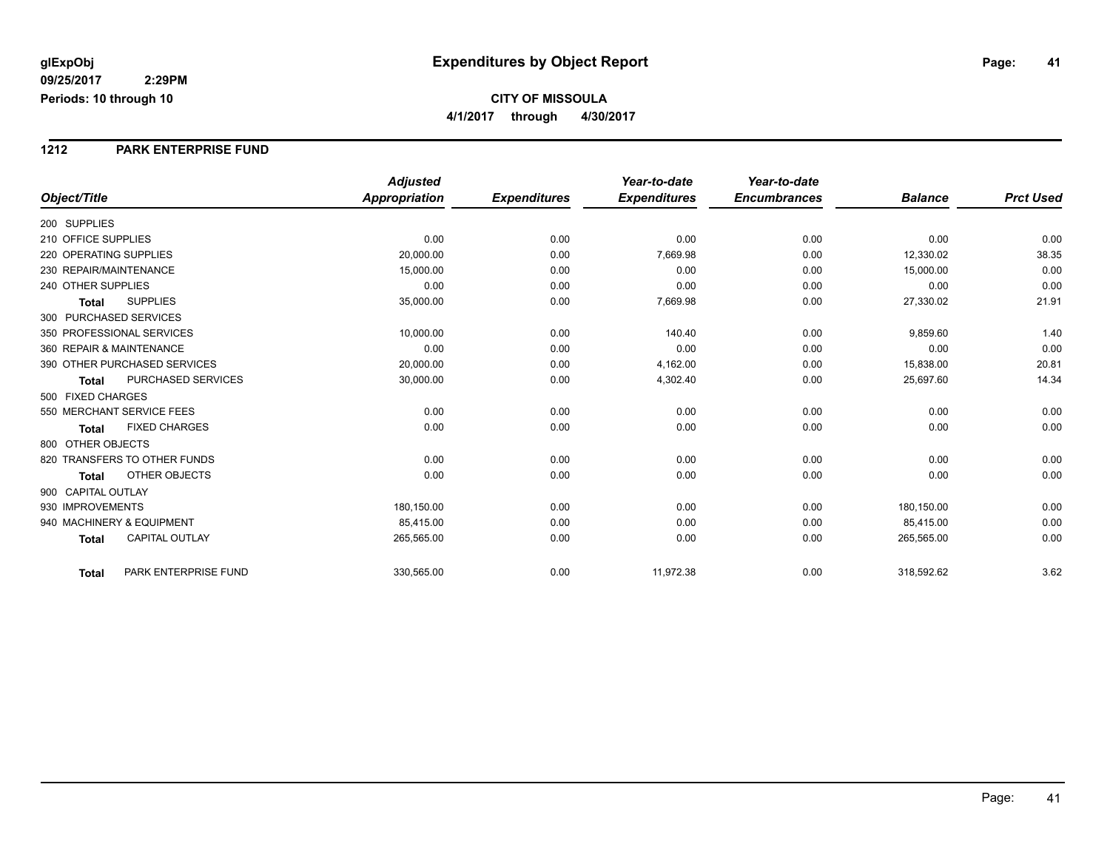#### **1212 PARK ENTERPRISE FUND**

|                                           | <b>Adjusted</b>      |                     | Year-to-date        | Year-to-date        |                |                  |
|-------------------------------------------|----------------------|---------------------|---------------------|---------------------|----------------|------------------|
| Object/Title                              | <b>Appropriation</b> | <b>Expenditures</b> | <b>Expenditures</b> | <b>Encumbrances</b> | <b>Balance</b> | <b>Prct Used</b> |
| 200 SUPPLIES                              |                      |                     |                     |                     |                |                  |
| 210 OFFICE SUPPLIES                       | 0.00                 | 0.00                | 0.00                | 0.00                | 0.00           | 0.00             |
| 220 OPERATING SUPPLIES                    | 20,000.00            | 0.00                | 7,669.98            | 0.00                | 12,330.02      | 38.35            |
| 230 REPAIR/MAINTENANCE                    | 15,000.00            | 0.00                | 0.00                | 0.00                | 15,000.00      | 0.00             |
| 240 OTHER SUPPLIES                        | 0.00                 | 0.00                | 0.00                | 0.00                | 0.00           | 0.00             |
| <b>SUPPLIES</b><br><b>Total</b>           | 35,000.00            | 0.00                | 7,669.98            | 0.00                | 27,330.02      | 21.91            |
| 300 PURCHASED SERVICES                    |                      |                     |                     |                     |                |                  |
| 350 PROFESSIONAL SERVICES                 | 10,000.00            | 0.00                | 140.40              | 0.00                | 9,859.60       | 1.40             |
| 360 REPAIR & MAINTENANCE                  | 0.00                 | 0.00                | 0.00                | 0.00                | 0.00           | 0.00             |
| 390 OTHER PURCHASED SERVICES              | 20,000.00            | 0.00                | 4,162.00            | 0.00                | 15,838.00      | 20.81            |
| <b>PURCHASED SERVICES</b><br><b>Total</b> | 30,000.00            | 0.00                | 4,302.40            | 0.00                | 25,697.60      | 14.34            |
| 500 FIXED CHARGES                         |                      |                     |                     |                     |                |                  |
| 550 MERCHANT SERVICE FEES                 | 0.00                 | 0.00                | 0.00                | 0.00                | 0.00           | 0.00             |
| <b>FIXED CHARGES</b><br><b>Total</b>      | 0.00                 | 0.00                | 0.00                | 0.00                | 0.00           | 0.00             |
| 800 OTHER OBJECTS                         |                      |                     |                     |                     |                |                  |
| 820 TRANSFERS TO OTHER FUNDS              | 0.00                 | 0.00                | 0.00                | 0.00                | 0.00           | 0.00             |
| <b>OTHER OBJECTS</b><br><b>Total</b>      | 0.00                 | 0.00                | 0.00                | 0.00                | 0.00           | 0.00             |
| 900 CAPITAL OUTLAY                        |                      |                     |                     |                     |                |                  |
| 930 IMPROVEMENTS                          | 180,150.00           | 0.00                | 0.00                | 0.00                | 180,150.00     | 0.00             |
| 940 MACHINERY & EQUIPMENT                 | 85,415.00            | 0.00                | 0.00                | 0.00                | 85,415.00      | 0.00             |
| <b>CAPITAL OUTLAY</b><br><b>Total</b>     | 265,565.00           | 0.00                | 0.00                | 0.00                | 265,565.00     | 0.00             |
| PARK ENTERPRISE FUND<br><b>Total</b>      | 330,565.00           | 0.00                | 11,972.38           | 0.00                | 318,592.62     | 3.62             |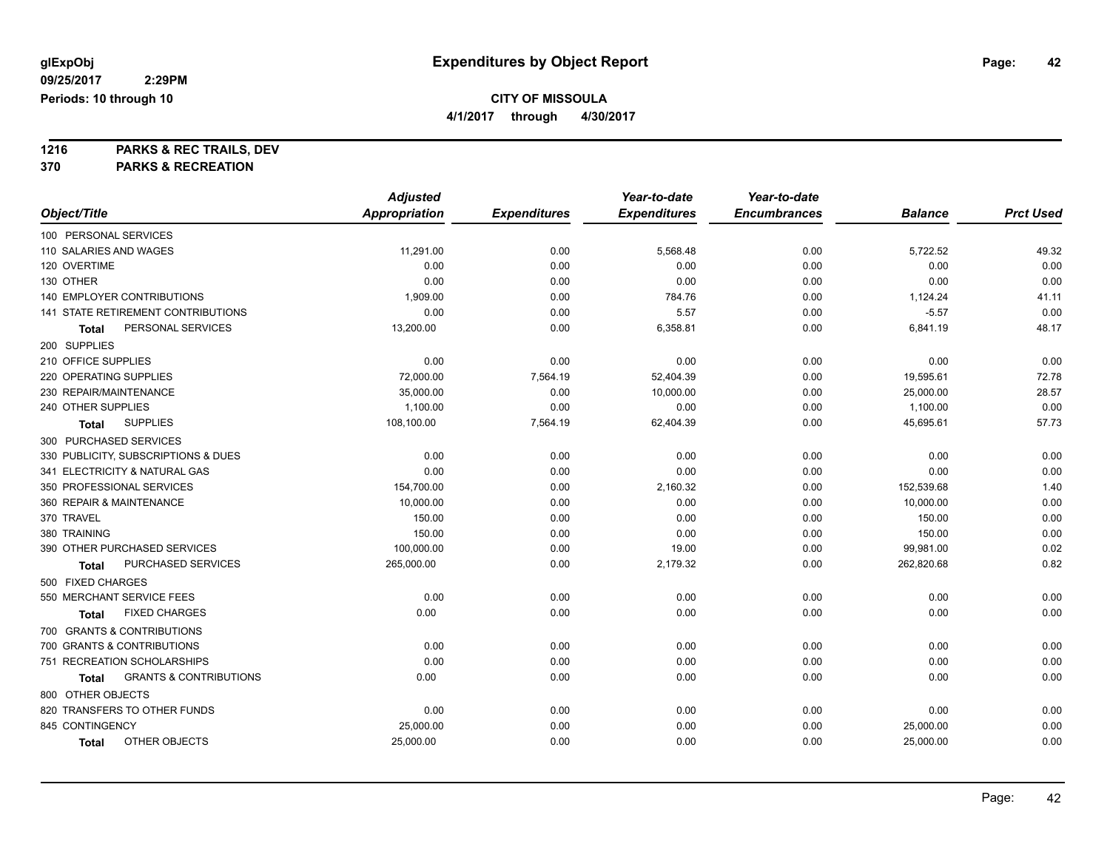**4/1/2017 through 4/30/2017**

**1216 PARKS & REC TRAILS, DEV**

|                                            | <b>Adjusted</b>      |                     | Year-to-date        | Year-to-date        |                |                  |
|--------------------------------------------|----------------------|---------------------|---------------------|---------------------|----------------|------------------|
| Object/Title                               | <b>Appropriation</b> | <b>Expenditures</b> | <b>Expenditures</b> | <b>Encumbrances</b> | <b>Balance</b> | <b>Prct Used</b> |
| 100 PERSONAL SERVICES                      |                      |                     |                     |                     |                |                  |
| 110 SALARIES AND WAGES                     | 11,291.00            | 0.00                | 5,568.48            | 0.00                | 5,722.52       | 49.32            |
| 120 OVERTIME                               | 0.00                 | 0.00                | 0.00                | 0.00                | 0.00           | 0.00             |
| 130 OTHER                                  | 0.00                 | 0.00                | 0.00                | 0.00                | 0.00           | 0.00             |
| <b>140 EMPLOYER CONTRIBUTIONS</b>          | 1,909.00             | 0.00                | 784.76              | 0.00                | 1,124.24       | 41.11            |
| 141 STATE RETIREMENT CONTRIBUTIONS         | 0.00                 | 0.00                | 5.57                | 0.00                | $-5.57$        | 0.00             |
| PERSONAL SERVICES<br>Total                 | 13,200.00            | 0.00                | 6,358.81            | 0.00                | 6,841.19       | 48.17            |
| 200 SUPPLIES                               |                      |                     |                     |                     |                |                  |
| 210 OFFICE SUPPLIES                        | 0.00                 | 0.00                | 0.00                | 0.00                | 0.00           | 0.00             |
| 220 OPERATING SUPPLIES                     | 72,000.00            | 7,564.19            | 52,404.39           | 0.00                | 19,595.61      | 72.78            |
| 230 REPAIR/MAINTENANCE                     | 35,000.00            | 0.00                | 10,000.00           | 0.00                | 25,000.00      | 28.57            |
| 240 OTHER SUPPLIES                         | 1,100.00             | 0.00                | 0.00                | 0.00                | 1,100.00       | 0.00             |
| <b>SUPPLIES</b><br><b>Total</b>            | 108,100.00           | 7,564.19            | 62,404.39           | 0.00                | 45,695.61      | 57.73            |
| 300 PURCHASED SERVICES                     |                      |                     |                     |                     |                |                  |
| 330 PUBLICITY, SUBSCRIPTIONS & DUES        | 0.00                 | 0.00                | 0.00                | 0.00                | 0.00           | 0.00             |
| 341 ELECTRICITY & NATURAL GAS              | 0.00                 | 0.00                | 0.00                | 0.00                | 0.00           | 0.00             |
| 350 PROFESSIONAL SERVICES                  | 154,700.00           | 0.00                | 2,160.32            | 0.00                | 152,539.68     | 1.40             |
| 360 REPAIR & MAINTENANCE                   | 10,000.00            | 0.00                | 0.00                | 0.00                | 10,000.00      | 0.00             |
| 370 TRAVEL                                 | 150.00               | 0.00                | 0.00                | 0.00                | 150.00         | 0.00             |
| 380 TRAINING                               | 150.00               | 0.00                | 0.00                | 0.00                | 150.00         | 0.00             |
| 390 OTHER PURCHASED SERVICES               | 100,000.00           | 0.00                | 19.00               | 0.00                | 99,981.00      | 0.02             |
| PURCHASED SERVICES<br>Total                | 265,000.00           | 0.00                | 2,179.32            | 0.00                | 262,820.68     | 0.82             |
| 500 FIXED CHARGES                          |                      |                     |                     |                     |                |                  |
| 550 MERCHANT SERVICE FEES                  | 0.00                 | 0.00                | 0.00                | 0.00                | 0.00           | 0.00             |
| <b>FIXED CHARGES</b><br>Total              | 0.00                 | 0.00                | 0.00                | 0.00                | 0.00           | 0.00             |
| 700 GRANTS & CONTRIBUTIONS                 |                      |                     |                     |                     |                |                  |
| 700 GRANTS & CONTRIBUTIONS                 | 0.00                 | 0.00                | 0.00                | 0.00                | 0.00           | 0.00             |
| 751 RECREATION SCHOLARSHIPS                | 0.00                 | 0.00                | 0.00                | 0.00                | 0.00           | 0.00             |
| <b>GRANTS &amp; CONTRIBUTIONS</b><br>Total | 0.00                 | 0.00                | 0.00                | 0.00                | 0.00           | 0.00             |
| 800 OTHER OBJECTS                          |                      |                     |                     |                     |                |                  |
| 820 TRANSFERS TO OTHER FUNDS               | 0.00                 | 0.00                | 0.00                | 0.00                | 0.00           | 0.00             |
| 845 CONTINGENCY                            | 25,000.00            | 0.00                | 0.00                | 0.00                | 25,000.00      | 0.00             |
| OTHER OBJECTS<br><b>Total</b>              | 25,000.00            | 0.00                | 0.00                | 0.00                | 25,000.00      | 0.00             |
|                                            |                      |                     |                     |                     |                |                  |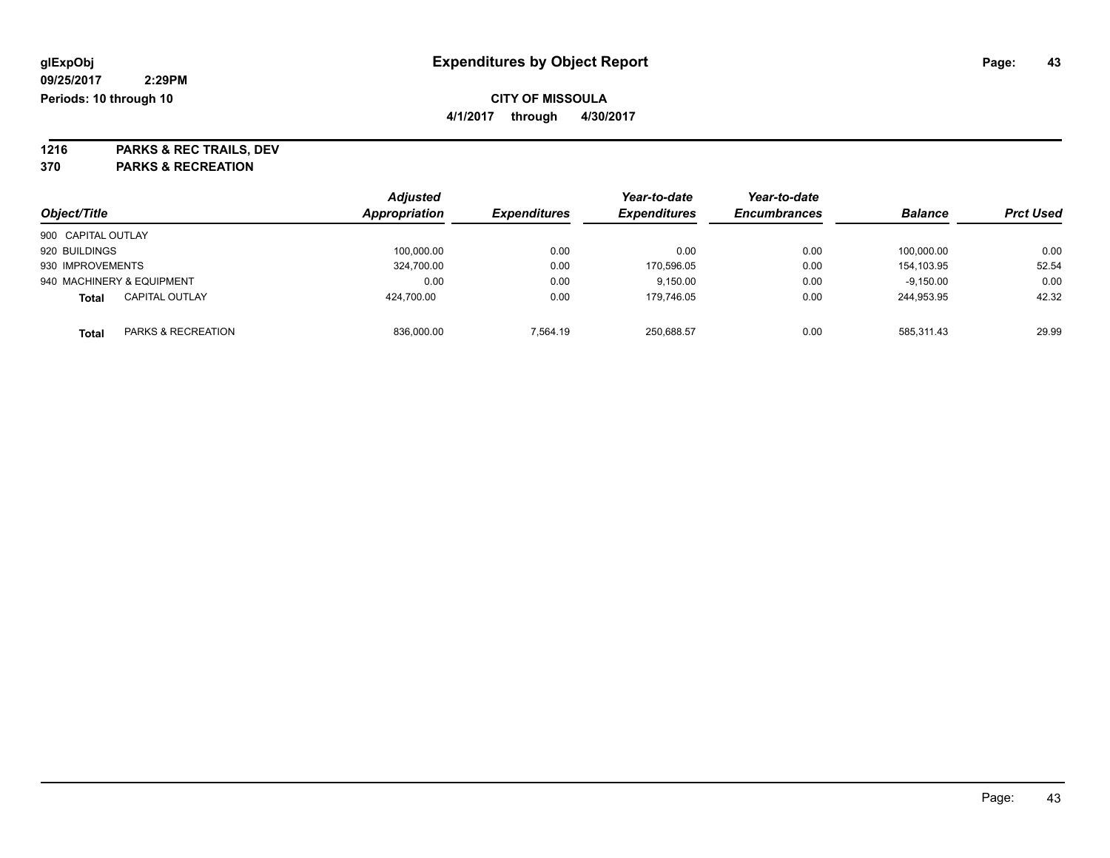**4/1/2017 through 4/30/2017**

**1216 PARKS & REC TRAILS, DEV**

| Object/Title       |                           | <b>Adjusted</b> | <b>Expenditures</b> | Year-to-date        | Year-to-date        | <b>Balance</b> | <b>Prct Used</b> |
|--------------------|---------------------------|-----------------|---------------------|---------------------|---------------------|----------------|------------------|
|                    |                           | Appropriation   |                     | <b>Expenditures</b> | <b>Encumbrances</b> |                |                  |
| 900 CAPITAL OUTLAY |                           |                 |                     |                     |                     |                |                  |
| 920 BUILDINGS      |                           | 100.000.00      | 0.00                | 0.00                | 0.00                | 100.000.00     | 0.00             |
| 930 IMPROVEMENTS   |                           | 324,700.00      | 0.00                | 170.596.05          | 0.00                | 154.103.95     | 52.54            |
|                    | 940 MACHINERY & EQUIPMENT | 0.00            | 0.00                | 9,150.00            | 0.00                | $-9,150.00$    | 0.00             |
| <b>Total</b>       | <b>CAPITAL OUTLAY</b>     | 424.700.00      | 0.00                | 179.746.05          | 0.00                | 244.953.95     | 42.32            |
| Total              | PARKS & RECREATION        | 836,000.00      | 7.564.19            | 250,688.57          | 0.00                | 585.311.43     | 29.99            |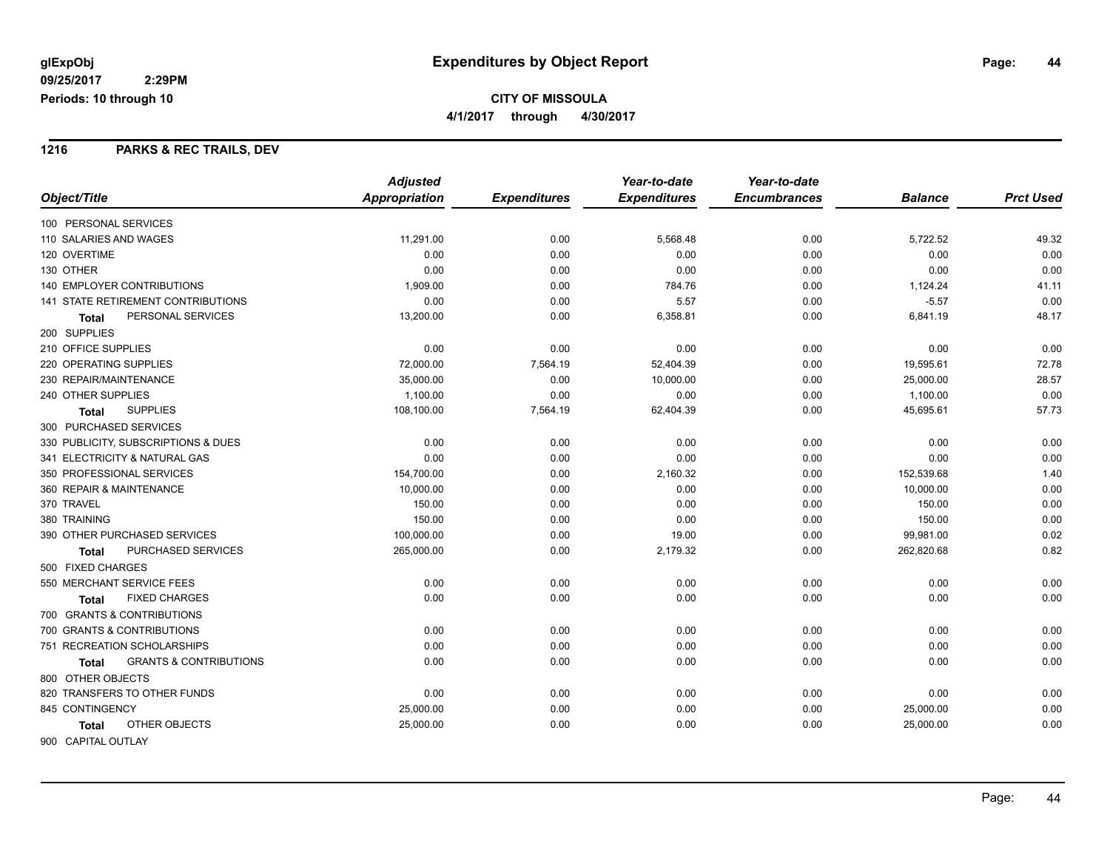### **1216 PARKS & REC TRAILS, DEV**

|                                                   | <b>Adjusted</b> |                     | Year-to-date        | Year-to-date        |                |                  |
|---------------------------------------------------|-----------------|---------------------|---------------------|---------------------|----------------|------------------|
| Object/Title                                      | Appropriation   | <b>Expenditures</b> | <b>Expenditures</b> | <b>Encumbrances</b> | <b>Balance</b> | <b>Prct Used</b> |
| 100 PERSONAL SERVICES                             |                 |                     |                     |                     |                |                  |
| 110 SALARIES AND WAGES                            | 11,291.00       | 0.00                | 5,568.48            | 0.00                | 5,722.52       | 49.32            |
| 120 OVERTIME                                      | 0.00            | 0.00                | 0.00                | 0.00                | 0.00           | 0.00             |
| 130 OTHER                                         | 0.00            | 0.00                | 0.00                | 0.00                | 0.00           | 0.00             |
| <b>140 EMPLOYER CONTRIBUTIONS</b>                 | 1,909.00        | 0.00                | 784.76              | 0.00                | 1,124.24       | 41.11            |
| <b>141 STATE RETIREMENT CONTRIBUTIONS</b>         | 0.00            | 0.00                | 5.57                | 0.00                | $-5.57$        | 0.00             |
| PERSONAL SERVICES<br><b>Total</b>                 | 13,200.00       | 0.00                | 6,358.81            | 0.00                | 6,841.19       | 48.17            |
| 200 SUPPLIES                                      |                 |                     |                     |                     |                |                  |
| 210 OFFICE SUPPLIES                               | 0.00            | 0.00                | 0.00                | 0.00                | 0.00           | 0.00             |
| 220 OPERATING SUPPLIES                            | 72,000.00       | 7,564.19            | 52,404.39           | 0.00                | 19,595.61      | 72.78            |
| 230 REPAIR/MAINTENANCE                            | 35,000.00       | 0.00                | 10,000.00           | 0.00                | 25,000.00      | 28.57            |
| 240 OTHER SUPPLIES                                | 1,100.00        | 0.00                | 0.00                | 0.00                | 1,100.00       | 0.00             |
| <b>SUPPLIES</b><br><b>Total</b>                   | 108,100.00      | 7,564.19            | 62,404.39           | 0.00                | 45,695.61      | 57.73            |
| 300 PURCHASED SERVICES                            |                 |                     |                     |                     |                |                  |
| 330 PUBLICITY, SUBSCRIPTIONS & DUES               | 0.00            | 0.00                | 0.00                | 0.00                | 0.00           | 0.00             |
| 341 ELECTRICITY & NATURAL GAS                     | 0.00            | 0.00                | 0.00                | 0.00                | 0.00           | 0.00             |
| 350 PROFESSIONAL SERVICES                         | 154,700.00      | 0.00                | 2,160.32            | 0.00                | 152,539.68     | 1.40             |
| 360 REPAIR & MAINTENANCE                          | 10,000.00       | 0.00                | 0.00                | 0.00                | 10,000.00      | 0.00             |
| 370 TRAVEL                                        | 150.00          | 0.00                | 0.00                | 0.00                | 150.00         | 0.00             |
| 380 TRAINING                                      | 150.00          | 0.00                | 0.00                | 0.00                | 150.00         | 0.00             |
| 390 OTHER PURCHASED SERVICES                      | 100,000.00      | 0.00                | 19.00               | 0.00                | 99,981.00      | 0.02             |
| PURCHASED SERVICES<br>Total                       | 265,000.00      | 0.00                | 2,179.32            | 0.00                | 262,820.68     | 0.82             |
| 500 FIXED CHARGES                                 |                 |                     |                     |                     |                |                  |
| 550 MERCHANT SERVICE FEES                         | 0.00            | 0.00                | 0.00                | 0.00                | 0.00           | 0.00             |
| <b>FIXED CHARGES</b><br><b>Total</b>              | 0.00            | 0.00                | 0.00                | 0.00                | 0.00           | 0.00             |
| 700 GRANTS & CONTRIBUTIONS                        |                 |                     |                     |                     |                |                  |
| 700 GRANTS & CONTRIBUTIONS                        | 0.00            | 0.00                | 0.00                | 0.00                | 0.00           | 0.00             |
| 751 RECREATION SCHOLARSHIPS                       | 0.00            | 0.00                | 0.00                | 0.00                | 0.00           | 0.00             |
| <b>GRANTS &amp; CONTRIBUTIONS</b><br><b>Total</b> | 0.00            | 0.00                | 0.00                | 0.00                | 0.00           | 0.00             |
| 800 OTHER OBJECTS                                 |                 |                     |                     |                     |                |                  |
| 820 TRANSFERS TO OTHER FUNDS                      | 0.00            | 0.00                | 0.00                | 0.00                | 0.00           | 0.00             |
| 845 CONTINGENCY                                   | 25,000.00       | 0.00                | 0.00                | 0.00                | 25,000.00      | 0.00             |
| OTHER OBJECTS<br><b>Total</b>                     | 25,000.00       | 0.00                | 0.00                | 0.00                | 25,000.00      | 0.00             |
| 900 CAPITAL OUTLAY                                |                 |                     |                     |                     |                |                  |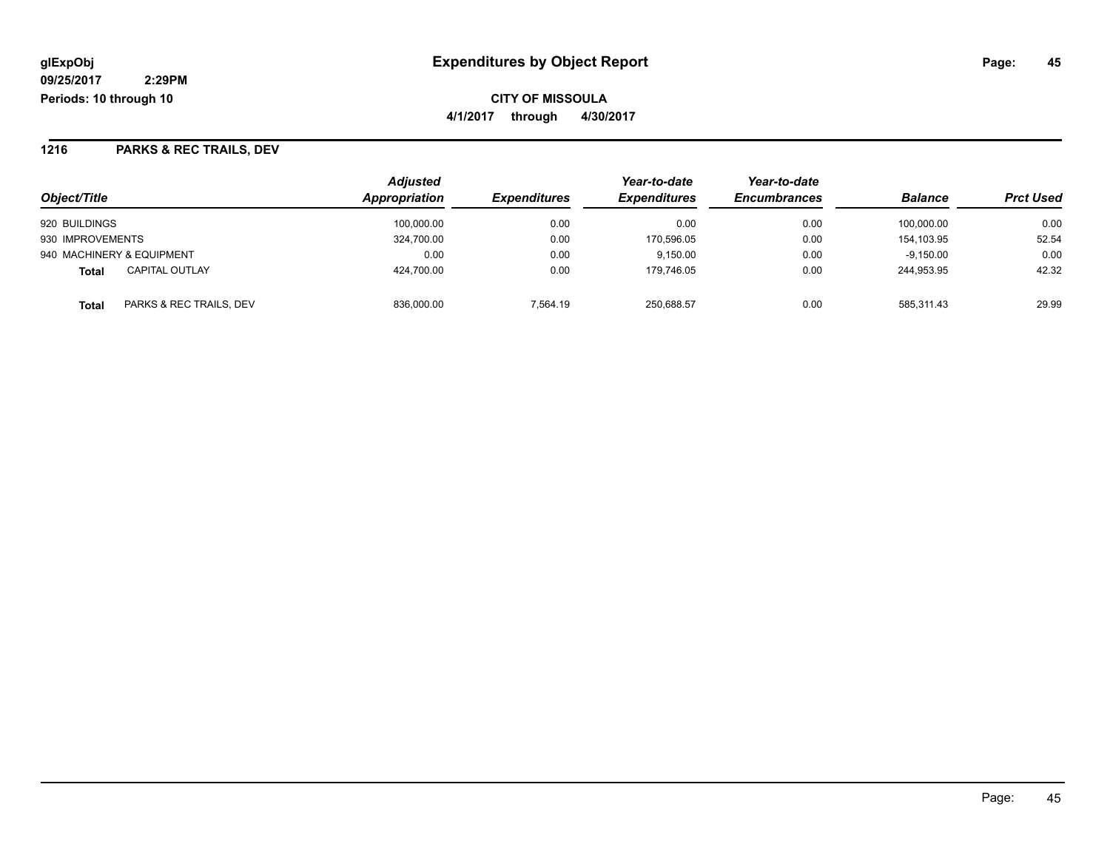**CITY OF MISSOULA 4/1/2017 through 4/30/2017**

## **1216 PARKS & REC TRAILS, DEV**

| Object/Title                          | <b>Adjusted</b><br>Appropriation | <b>Expenditures</b> | Year-to-date<br><b>Expenditures</b> | Year-to-date<br><b>Encumbrances</b> | <b>Balance</b> | <b>Prct Used</b> |
|---------------------------------------|----------------------------------|---------------------|-------------------------------------|-------------------------------------|----------------|------------------|
| 920 BUILDINGS                         | 100.000.00                       | 0.00                | 0.00                                | 0.00                                | 100.000.00     | 0.00             |
| 930 IMPROVEMENTS                      | 324,700.00                       | 0.00                | 170.596.05                          | 0.00                                | 154.103.95     | 52.54            |
| 940 MACHINERY & EQUIPMENT             | 0.00                             | 0.00                | 9.150.00                            | 0.00                                | $-9.150.00$    | 0.00             |
| <b>CAPITAL OUTLAY</b><br><b>Total</b> | 424.700.00                       | 0.00                | 179.746.05                          | 0.00                                | 244.953.95     | 42.32            |
| PARKS & REC TRAILS, DEV<br>Total      | 836,000.00                       | 7.564.19            | 250,688.57                          | 0.00                                | 585.311.43     | 29.99            |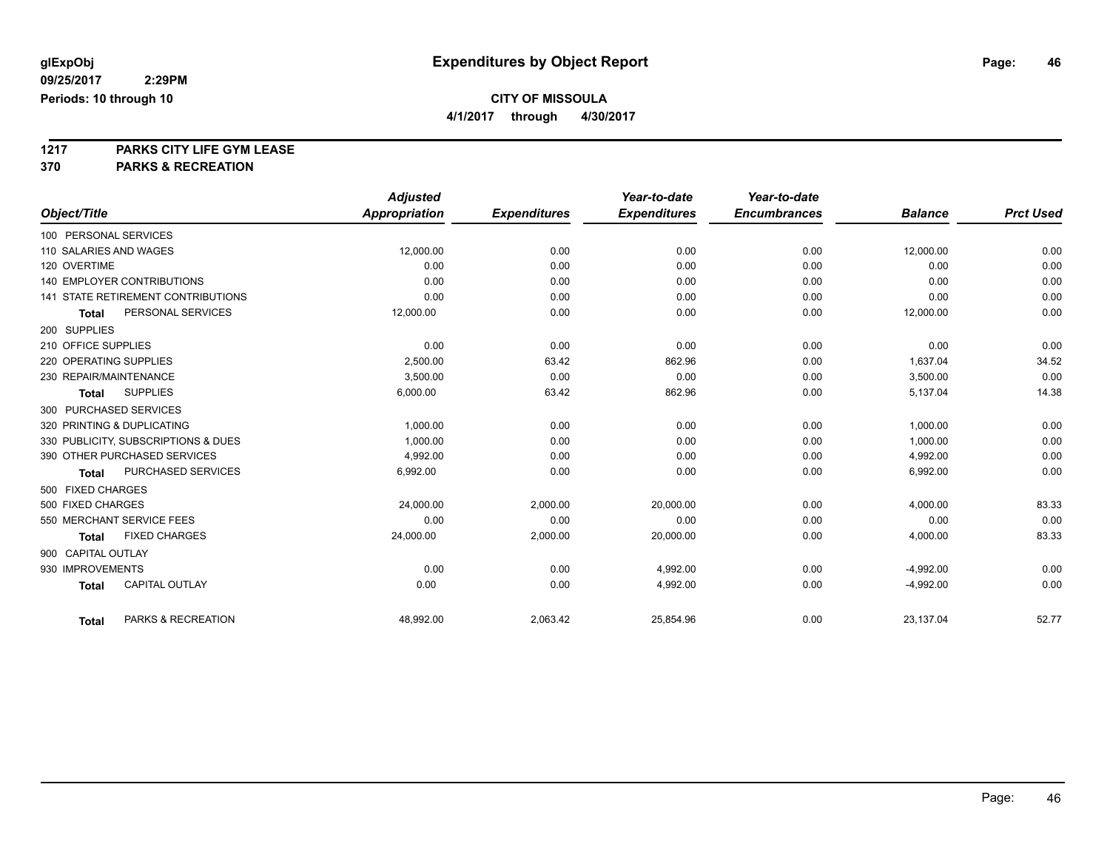**4/1/2017 through 4/30/2017**

**1217 PARKS CITY LIFE GYM LEASE**

|                        |                                           | <b>Adjusted</b>      |                     | Year-to-date        | Year-to-date        |                |                  |
|------------------------|-------------------------------------------|----------------------|---------------------|---------------------|---------------------|----------------|------------------|
| Object/Title           |                                           | <b>Appropriation</b> | <b>Expenditures</b> | <b>Expenditures</b> | <b>Encumbrances</b> | <b>Balance</b> | <b>Prct Used</b> |
| 100 PERSONAL SERVICES  |                                           |                      |                     |                     |                     |                |                  |
| 110 SALARIES AND WAGES |                                           | 12,000.00            | 0.00                | 0.00                | 0.00                | 12,000.00      | 0.00             |
| 120 OVERTIME           |                                           | 0.00                 | 0.00                | 0.00                | 0.00                | 0.00           | 0.00             |
|                        | <b>140 EMPLOYER CONTRIBUTIONS</b>         | 0.00                 | 0.00                | 0.00                | 0.00                | 0.00           | 0.00             |
|                        | <b>141 STATE RETIREMENT CONTRIBUTIONS</b> | 0.00                 | 0.00                | 0.00                | 0.00                | 0.00           | 0.00             |
| <b>Total</b>           | PERSONAL SERVICES                         | 12,000.00            | 0.00                | 0.00                | 0.00                | 12,000.00      | 0.00             |
| 200 SUPPLIES           |                                           |                      |                     |                     |                     |                |                  |
| 210 OFFICE SUPPLIES    |                                           | 0.00                 | 0.00                | 0.00                | 0.00                | 0.00           | 0.00             |
| 220 OPERATING SUPPLIES |                                           | 2.500.00             | 63.42               | 862.96              | 0.00                | 1.637.04       | 34.52            |
| 230 REPAIR/MAINTENANCE |                                           | 3,500.00             | 0.00                | 0.00                | 0.00                | 3,500.00       | 0.00             |
| <b>Total</b>           | <b>SUPPLIES</b>                           | 6,000.00             | 63.42               | 862.96              | 0.00                | 5,137.04       | 14.38            |
| 300 PURCHASED SERVICES |                                           |                      |                     |                     |                     |                |                  |
|                        | 320 PRINTING & DUPLICATING                | 1,000.00             | 0.00                | 0.00                | 0.00                | 1,000.00       | 0.00             |
|                        | 330 PUBLICITY, SUBSCRIPTIONS & DUES       | 1.000.00             | 0.00                | 0.00                | 0.00                | 1,000.00       | 0.00             |
|                        | 390 OTHER PURCHASED SERVICES              | 4,992.00             | 0.00                | 0.00                | 0.00                | 4,992.00       | 0.00             |
| <b>Total</b>           | PURCHASED SERVICES                        | 6,992.00             | 0.00                | 0.00                | 0.00                | 6,992.00       | 0.00             |
| 500 FIXED CHARGES      |                                           |                      |                     |                     |                     |                |                  |
| 500 FIXED CHARGES      |                                           | 24,000.00            | 2,000.00            | 20,000.00           | 0.00                | 4,000.00       | 83.33            |
|                        | 550 MERCHANT SERVICE FEES                 | 0.00                 | 0.00                | 0.00                | 0.00                | 0.00           | 0.00             |
| <b>Total</b>           | <b>FIXED CHARGES</b>                      | 24,000.00            | 2,000.00            | 20,000.00           | 0.00                | 4,000.00       | 83.33            |
| 900 CAPITAL OUTLAY     |                                           |                      |                     |                     |                     |                |                  |
| 930 IMPROVEMENTS       |                                           | 0.00                 | 0.00                | 4,992.00            | 0.00                | $-4,992.00$    | 0.00             |
| <b>Total</b>           | <b>CAPITAL OUTLAY</b>                     | 0.00                 | 0.00                | 4,992.00            | 0.00                | $-4,992.00$    | 0.00             |
| <b>Total</b>           | PARKS & RECREATION                        | 48,992.00            | 2,063.42            | 25,854.96           | 0.00                | 23,137.04      | 52.77            |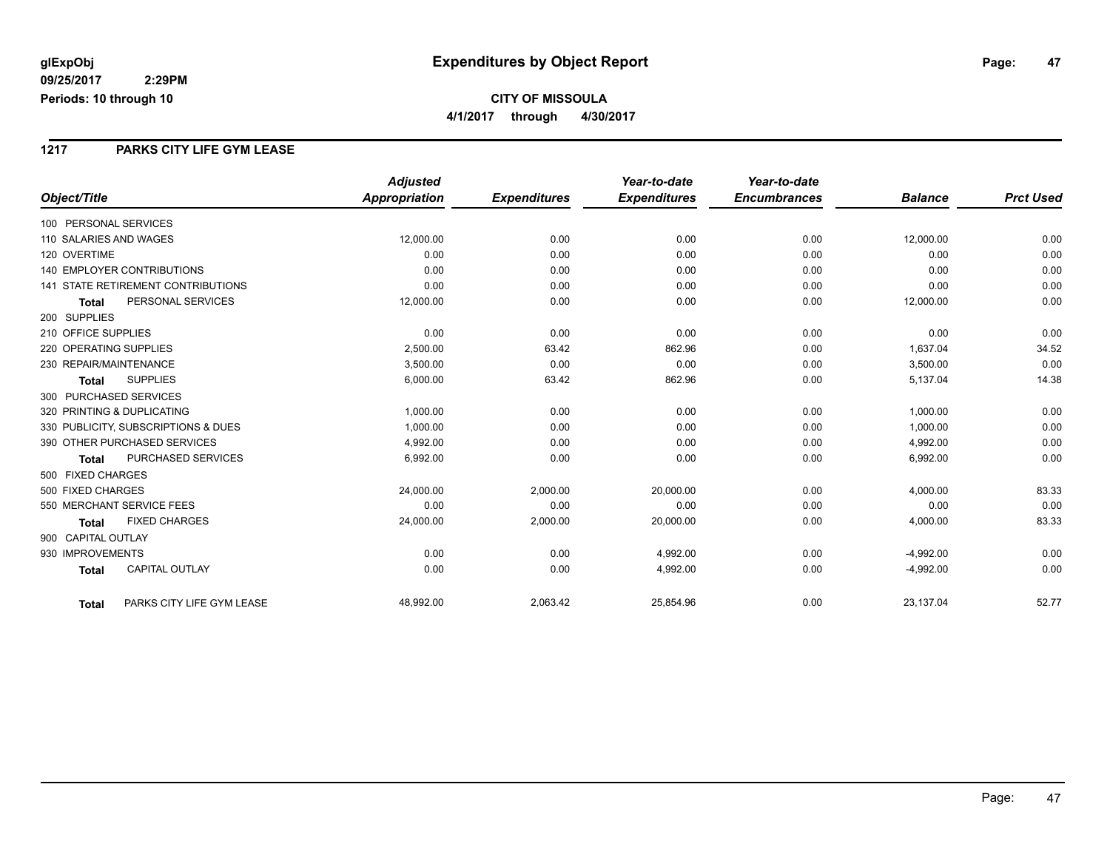### **1217 PARKS CITY LIFE GYM LEASE**

|                                           | <b>Adjusted</b>      |                     | Year-to-date        | Year-to-date        |                |                  |
|-------------------------------------------|----------------------|---------------------|---------------------|---------------------|----------------|------------------|
| Object/Title                              | <b>Appropriation</b> | <b>Expenditures</b> | <b>Expenditures</b> | <b>Encumbrances</b> | <b>Balance</b> | <b>Prct Used</b> |
| 100 PERSONAL SERVICES                     |                      |                     |                     |                     |                |                  |
| 110 SALARIES AND WAGES                    | 12,000.00            | 0.00                | 0.00                | 0.00                | 12,000.00      | 0.00             |
| 120 OVERTIME                              | 0.00                 | 0.00                | 0.00                | 0.00                | 0.00           | 0.00             |
| 140 EMPLOYER CONTRIBUTIONS                | 0.00                 | 0.00                | 0.00                | 0.00                | 0.00           | 0.00             |
| <b>141 STATE RETIREMENT CONTRIBUTIONS</b> | 0.00                 | 0.00                | 0.00                | 0.00                | 0.00           | 0.00             |
| PERSONAL SERVICES<br><b>Total</b>         | 12,000.00            | 0.00                | 0.00                | 0.00                | 12,000.00      | 0.00             |
| 200 SUPPLIES                              |                      |                     |                     |                     |                |                  |
| 210 OFFICE SUPPLIES                       | 0.00                 | 0.00                | 0.00                | 0.00                | 0.00           | 0.00             |
| 220 OPERATING SUPPLIES                    | 2,500.00             | 63.42               | 862.96              | 0.00                | 1,637.04       | 34.52            |
| 230 REPAIR/MAINTENANCE                    | 3,500.00             | 0.00                | 0.00                | 0.00                | 3,500.00       | 0.00             |
| <b>SUPPLIES</b><br><b>Total</b>           | 6,000.00             | 63.42               | 862.96              | 0.00                | 5,137.04       | 14.38            |
| 300 PURCHASED SERVICES                    |                      |                     |                     |                     |                |                  |
| 320 PRINTING & DUPLICATING                | 1,000.00             | 0.00                | 0.00                | 0.00                | 1,000.00       | 0.00             |
| 330 PUBLICITY, SUBSCRIPTIONS & DUES       | 1,000.00             | 0.00                | 0.00                | 0.00                | 1,000.00       | 0.00             |
| 390 OTHER PURCHASED SERVICES              | 4,992.00             | 0.00                | 0.00                | 0.00                | 4,992.00       | 0.00             |
| <b>PURCHASED SERVICES</b><br><b>Total</b> | 6,992.00             | 0.00                | 0.00                | 0.00                | 6,992.00       | 0.00             |
| 500 FIXED CHARGES                         |                      |                     |                     |                     |                |                  |
| 500 FIXED CHARGES                         | 24,000.00            | 2,000.00            | 20,000.00           | 0.00                | 4,000.00       | 83.33            |
| 550 MERCHANT SERVICE FEES                 | 0.00                 | 0.00                | 0.00                | 0.00                | 0.00           | 0.00             |
| <b>FIXED CHARGES</b><br><b>Total</b>      | 24,000.00            | 2,000.00            | 20,000.00           | 0.00                | 4,000.00       | 83.33            |
| 900 CAPITAL OUTLAY                        |                      |                     |                     |                     |                |                  |
| 930 IMPROVEMENTS                          | 0.00                 | 0.00                | 4,992.00            | 0.00                | $-4,992.00$    | 0.00             |
| CAPITAL OUTLAY<br><b>Total</b>            | 0.00                 | 0.00                | 4,992.00            | 0.00                | $-4,992.00$    | 0.00             |
| PARKS CITY LIFE GYM LEASE<br><b>Total</b> | 48,992.00            | 2,063.42            | 25,854.96           | 0.00                | 23,137.04      | 52.77            |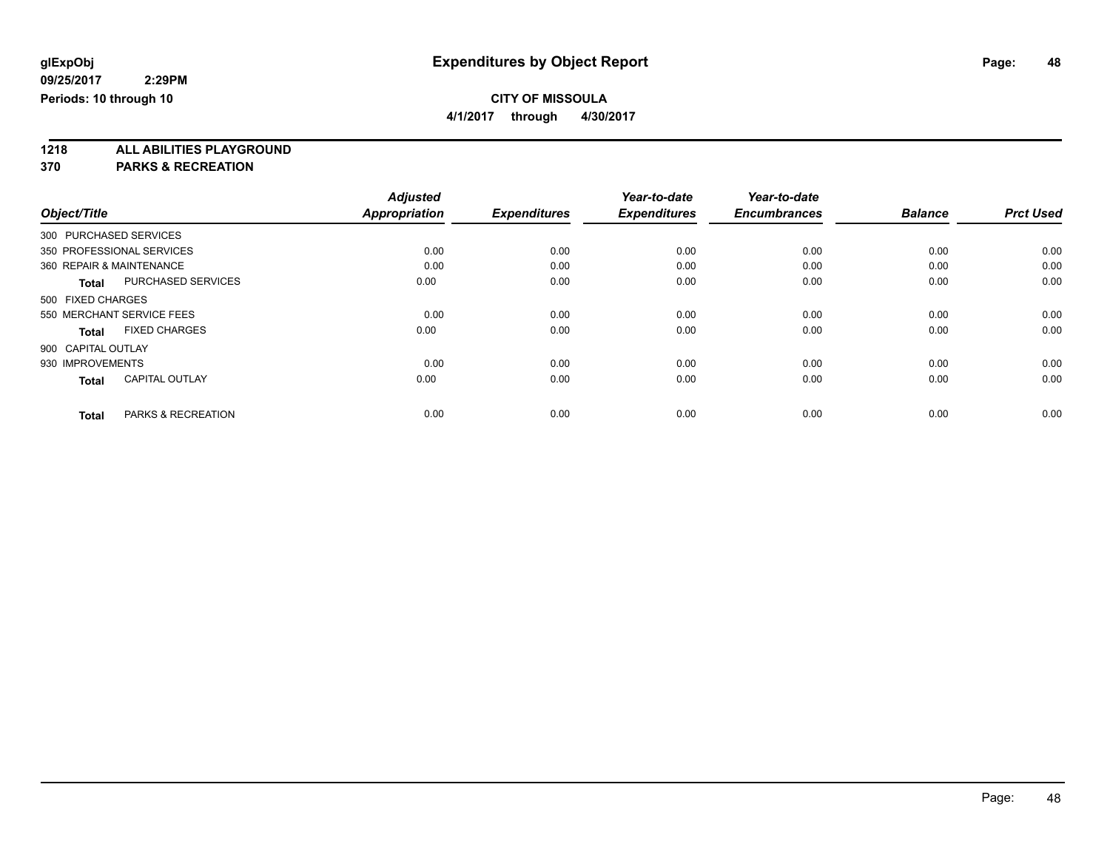**4/1/2017 through 4/30/2017**

**1218 ALL ABILITIES PLAYGROUND**

|                          |                               | <b>Adjusted</b>      |                     | Year-to-date        | Year-to-date        |                |                  |
|--------------------------|-------------------------------|----------------------|---------------------|---------------------|---------------------|----------------|------------------|
| Object/Title             |                               | <b>Appropriation</b> | <b>Expenditures</b> | <b>Expenditures</b> | <b>Encumbrances</b> | <b>Balance</b> | <b>Prct Used</b> |
| 300 PURCHASED SERVICES   |                               |                      |                     |                     |                     |                |                  |
|                          | 350 PROFESSIONAL SERVICES     | 0.00                 | 0.00                | 0.00                | 0.00                | 0.00           | 0.00             |
| 360 REPAIR & MAINTENANCE |                               | 0.00                 | 0.00                | 0.00                | 0.00                | 0.00           | 0.00             |
| <b>Total</b>             | <b>PURCHASED SERVICES</b>     | 0.00                 | 0.00                | 0.00                | 0.00                | 0.00           | 0.00             |
| 500 FIXED CHARGES        |                               |                      |                     |                     |                     |                |                  |
|                          | 550 MERCHANT SERVICE FEES     | 0.00                 | 0.00                | 0.00                | 0.00                | 0.00           | 0.00             |
| <b>Total</b>             | <b>FIXED CHARGES</b>          | 0.00                 | 0.00                | 0.00                | 0.00                | 0.00           | 0.00             |
| 900 CAPITAL OUTLAY       |                               |                      |                     |                     |                     |                |                  |
| 930 IMPROVEMENTS         |                               | 0.00                 | 0.00                | 0.00                | 0.00                | 0.00           | 0.00             |
| <b>Total</b>             | <b>CAPITAL OUTLAY</b>         | 0.00                 | 0.00                | 0.00                | 0.00                | 0.00           | 0.00             |
|                          |                               |                      |                     |                     |                     |                |                  |
| <b>Total</b>             | <b>PARKS &amp; RECREATION</b> | 0.00                 | 0.00                | 0.00                | 0.00                | 0.00           | 0.00             |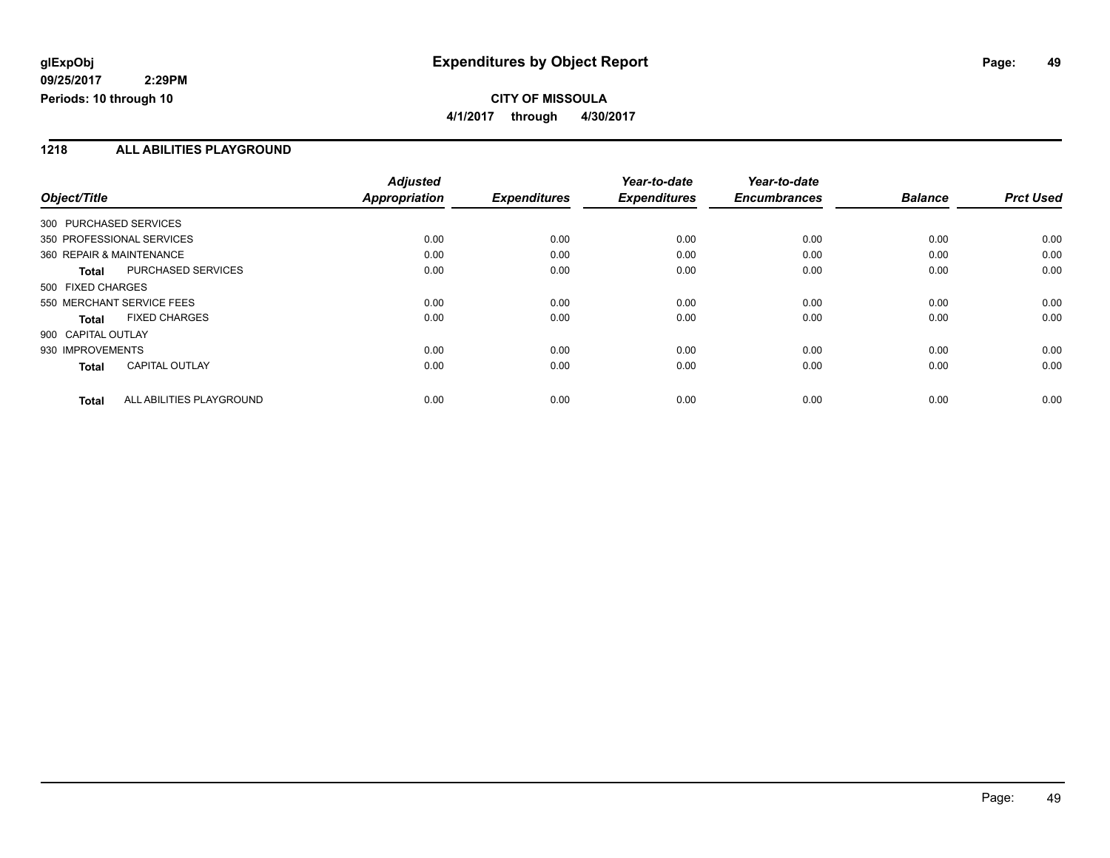**4/1/2017 through 4/30/2017**

### **1218 ALL ABILITIES PLAYGROUND**

|                           |                           | <b>Adjusted</b>      |                     | Year-to-date        | Year-to-date        |                |                  |
|---------------------------|---------------------------|----------------------|---------------------|---------------------|---------------------|----------------|------------------|
| Object/Title              |                           | <b>Appropriation</b> | <b>Expenditures</b> | <b>Expenditures</b> | <b>Encumbrances</b> | <b>Balance</b> | <b>Prct Used</b> |
| 300 PURCHASED SERVICES    |                           |                      |                     |                     |                     |                |                  |
| 350 PROFESSIONAL SERVICES |                           | 0.00                 | 0.00                | 0.00                | 0.00                | 0.00           | 0.00             |
| 360 REPAIR & MAINTENANCE  |                           | 0.00                 | 0.00                | 0.00                | 0.00                | 0.00           | 0.00             |
| <b>Total</b>              | <b>PURCHASED SERVICES</b> | 0.00                 | 0.00                | 0.00                | 0.00                | 0.00           | 0.00             |
| 500 FIXED CHARGES         |                           |                      |                     |                     |                     |                |                  |
| 550 MERCHANT SERVICE FEES |                           | 0.00                 | 0.00                | 0.00                | 0.00                | 0.00           | 0.00             |
| <b>Total</b>              | <b>FIXED CHARGES</b>      | 0.00                 | 0.00                | 0.00                | 0.00                | 0.00           | 0.00             |
| 900 CAPITAL OUTLAY        |                           |                      |                     |                     |                     |                |                  |
| 930 IMPROVEMENTS          |                           | 0.00                 | 0.00                | 0.00                | 0.00                | 0.00           | 0.00             |
| <b>Total</b>              | <b>CAPITAL OUTLAY</b>     | 0.00                 | 0.00                | 0.00                | 0.00                | 0.00           | 0.00             |
| <b>Total</b>              | ALL ABILITIES PLAYGROUND  | 0.00                 | 0.00                | 0.00                | 0.00                | 0.00           | 0.00             |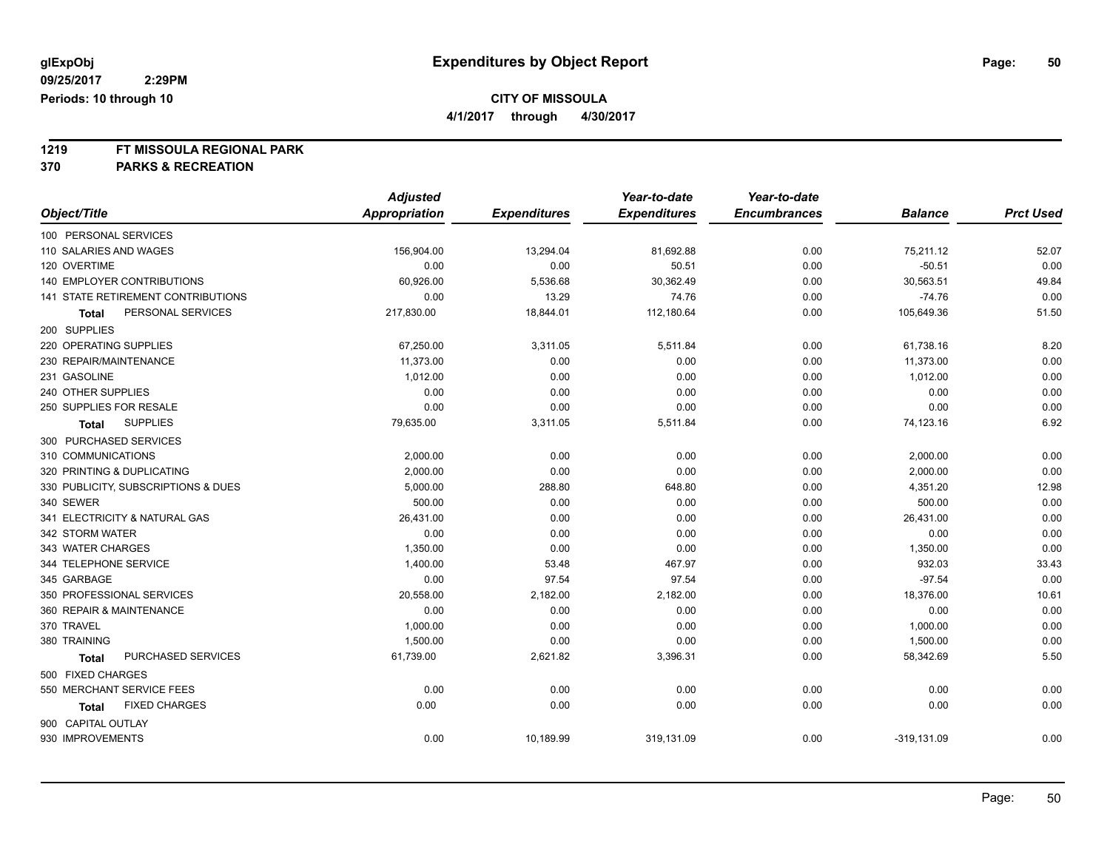**4/1/2017 through 4/30/2017**

# **1219 FT MISSOULA REGIONAL PARK**

|                                     | <b>Adjusted</b>      |                     | Year-to-date        | Year-to-date        |                |                  |
|-------------------------------------|----------------------|---------------------|---------------------|---------------------|----------------|------------------|
| Object/Title                        | <b>Appropriation</b> | <b>Expenditures</b> | <b>Expenditures</b> | <b>Encumbrances</b> | <b>Balance</b> | <b>Prct Used</b> |
| 100 PERSONAL SERVICES               |                      |                     |                     |                     |                |                  |
| 110 SALARIES AND WAGES              | 156,904.00           | 13,294.04           | 81,692.88           | 0.00                | 75,211.12      | 52.07            |
| 120 OVERTIME                        | 0.00                 | 0.00                | 50.51               | 0.00                | $-50.51$       | 0.00             |
| 140 EMPLOYER CONTRIBUTIONS          | 60,926.00            | 5,536.68            | 30,362.49           | 0.00                | 30,563.51      | 49.84            |
| 141 STATE RETIREMENT CONTRIBUTIONS  | 0.00                 | 13.29               | 74.76               | 0.00                | $-74.76$       | 0.00             |
| PERSONAL SERVICES<br>Total          | 217,830.00           | 18,844.01           | 112,180.64          | 0.00                | 105,649.36     | 51.50            |
| 200 SUPPLIES                        |                      |                     |                     |                     |                |                  |
| 220 OPERATING SUPPLIES              | 67,250.00            | 3,311.05            | 5,511.84            | 0.00                | 61,738.16      | 8.20             |
| 230 REPAIR/MAINTENANCE              | 11,373.00            | 0.00                | 0.00                | 0.00                | 11,373.00      | 0.00             |
| 231 GASOLINE                        | 1,012.00             | 0.00                | 0.00                | 0.00                | 1,012.00       | 0.00             |
| 240 OTHER SUPPLIES                  | 0.00                 | 0.00                | 0.00                | 0.00                | 0.00           | 0.00             |
| 250 SUPPLIES FOR RESALE             | 0.00                 | 0.00                | 0.00                | 0.00                | 0.00           | 0.00             |
| <b>SUPPLIES</b><br>Total            | 79,635.00            | 3,311.05            | 5,511.84            | 0.00                | 74,123.16      | 6.92             |
| 300 PURCHASED SERVICES              |                      |                     |                     |                     |                |                  |
| 310 COMMUNICATIONS                  | 2,000.00             | 0.00                | 0.00                | 0.00                | 2,000.00       | 0.00             |
| 320 PRINTING & DUPLICATING          | 2,000.00             | 0.00                | 0.00                | 0.00                | 2,000.00       | 0.00             |
| 330 PUBLICITY, SUBSCRIPTIONS & DUES | 5,000.00             | 288.80              | 648.80              | 0.00                | 4,351.20       | 12.98            |
| 340 SEWER                           | 500.00               | 0.00                | 0.00                | 0.00                | 500.00         | 0.00             |
| 341 ELECTRICITY & NATURAL GAS       | 26,431.00            | 0.00                | 0.00                | 0.00                | 26,431.00      | 0.00             |
| 342 STORM WATER                     | 0.00                 | 0.00                | 0.00                | 0.00                | 0.00           | 0.00             |
| 343 WATER CHARGES                   | 1,350.00             | 0.00                | 0.00                | 0.00                | 1,350.00       | 0.00             |
| 344 TELEPHONE SERVICE               | 1,400.00             | 53.48               | 467.97              | 0.00                | 932.03         | 33.43            |
| 345 GARBAGE                         | 0.00                 | 97.54               | 97.54               | 0.00                | $-97.54$       | 0.00             |
| 350 PROFESSIONAL SERVICES           | 20,558.00            | 2,182.00            | 2,182.00            | 0.00                | 18,376.00      | 10.61            |
| 360 REPAIR & MAINTENANCE            | 0.00                 | 0.00                | 0.00                | 0.00                | 0.00           | 0.00             |
| 370 TRAVEL                          | 1,000.00             | 0.00                | 0.00                | 0.00                | 1,000.00       | 0.00             |
| 380 TRAINING                        | 1,500.00             | 0.00                | 0.00                | 0.00                | 1,500.00       | 0.00             |
| PURCHASED SERVICES<br><b>Total</b>  | 61,739.00            | 2,621.82            | 3,396.31            | 0.00                | 58,342.69      | 5.50             |
| 500 FIXED CHARGES                   |                      |                     |                     |                     |                |                  |
| 550 MERCHANT SERVICE FEES           | 0.00                 | 0.00                | 0.00                | 0.00                | 0.00           | 0.00             |
| <b>FIXED CHARGES</b><br>Total       | 0.00                 | 0.00                | 0.00                | 0.00                | 0.00           | 0.00             |
| 900 CAPITAL OUTLAY                  |                      |                     |                     |                     |                |                  |
| 930 IMPROVEMENTS                    | 0.00                 | 10,189.99           | 319,131.09          | 0.00                | $-319, 131.09$ | 0.00             |
|                                     |                      |                     |                     |                     |                |                  |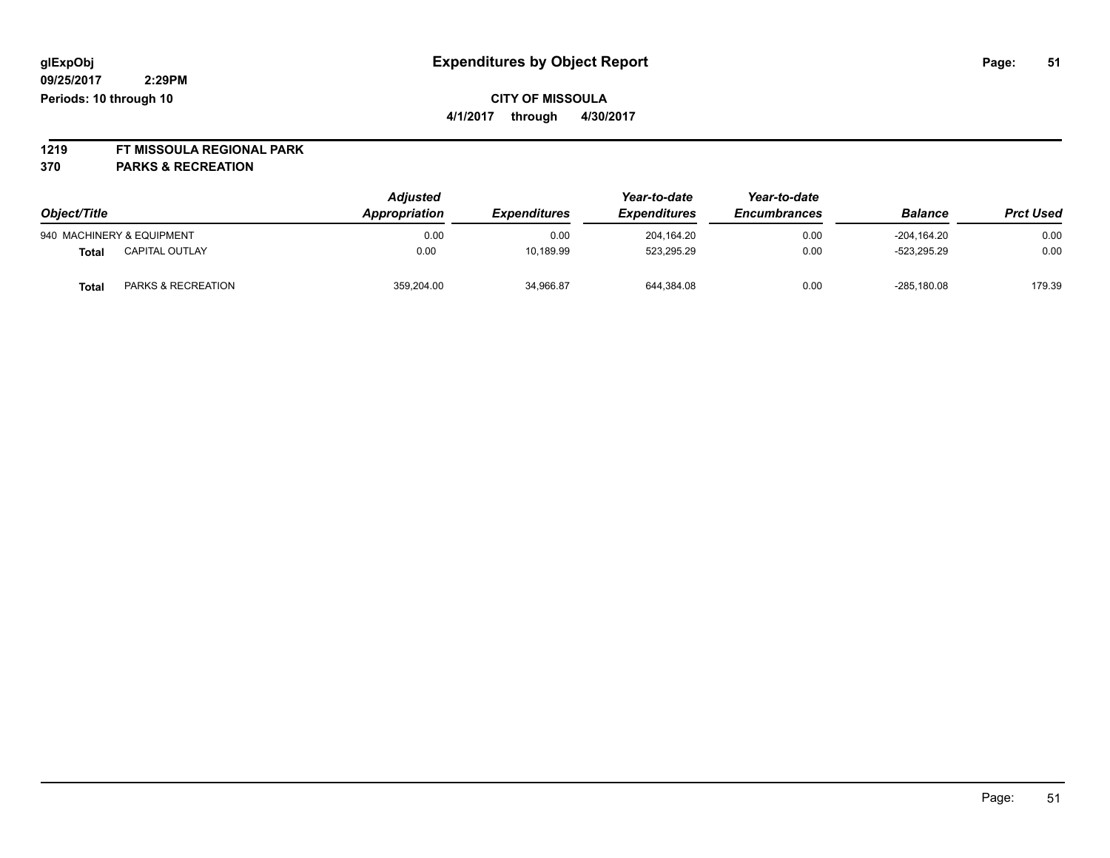**1219 FT MISSOULA REGIONAL PARK**

| Object/Title |                           | <b>Adjusted</b><br>Appropriation<br><i><b>Expenditures</b></i> | Year-to-date<br><b>Expenditures</b> | Year-to-date<br><b>Encumbrances</b> | <b>Balance</b> | <b>Prct Used</b> |        |
|--------------|---------------------------|----------------------------------------------------------------|-------------------------------------|-------------------------------------|----------------|------------------|--------|
|              | 940 MACHINERY & EQUIPMENT | 0.00                                                           | 0.00                                | 204.164.20                          | 0.00           | -204.164.20      | 0.00   |
| Total        | <b>CAPITAL OUTLAY</b>     | 0.00                                                           | 10,189.99                           | 523.295.29                          | 0.00           | $-523.295.29$    | 0.00   |
| Total        | PARKS & RECREATION        | 359.204.00                                                     | 34,966.87                           | 644,384.08                          | 0.00           | $-285.180.08$    | 179.39 |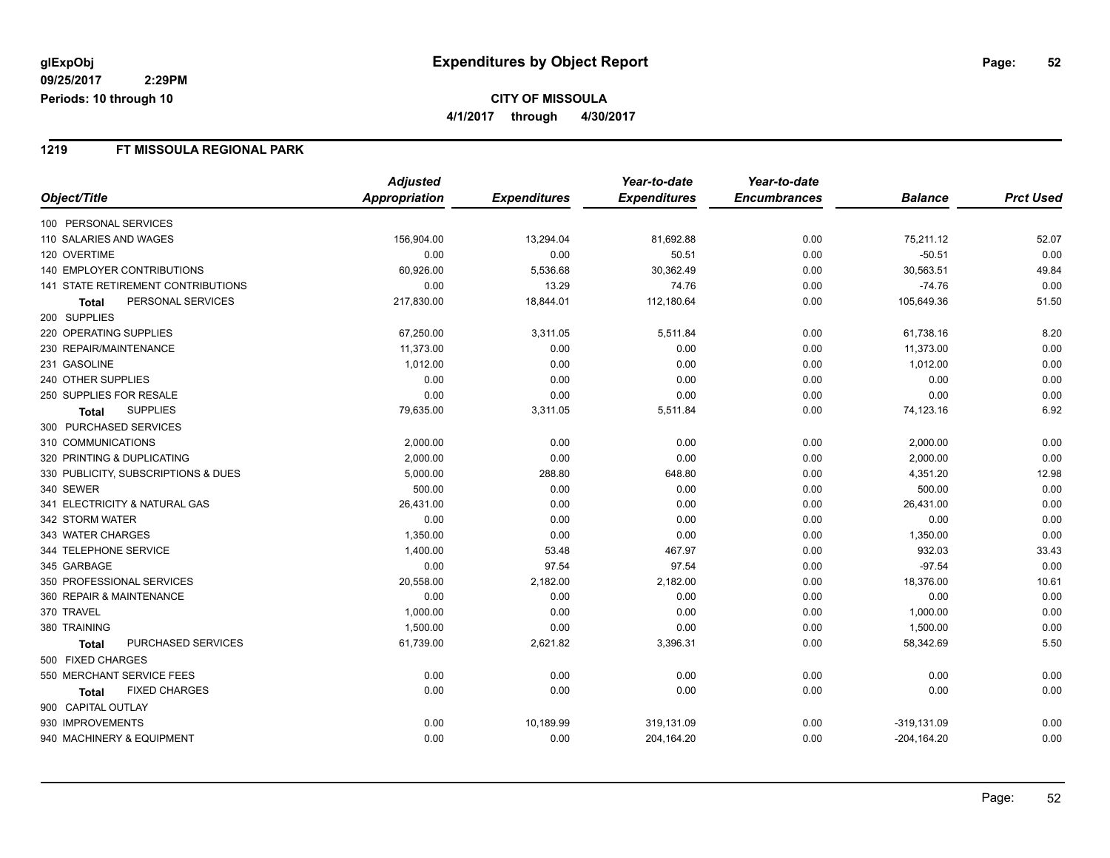### **1219 FT MISSOULA REGIONAL PARK**

|                                     | <b>Adjusted</b> |                     | Year-to-date        | Year-to-date        |                |                  |
|-------------------------------------|-----------------|---------------------|---------------------|---------------------|----------------|------------------|
| Object/Title                        | Appropriation   | <b>Expenditures</b> | <b>Expenditures</b> | <b>Encumbrances</b> | <b>Balance</b> | <b>Prct Used</b> |
| 100 PERSONAL SERVICES               |                 |                     |                     |                     |                |                  |
| 110 SALARIES AND WAGES              | 156,904.00      | 13,294.04           | 81,692.88           | 0.00                | 75,211.12      | 52.07            |
| 120 OVERTIME                        | 0.00            | 0.00                | 50.51               | 0.00                | $-50.51$       | 0.00             |
| 140 EMPLOYER CONTRIBUTIONS          | 60,926.00       | 5,536.68            | 30,362.49           | 0.00                | 30,563.51      | 49.84            |
| 141 STATE RETIREMENT CONTRIBUTIONS  | 0.00            | 13.29               | 74.76               | 0.00                | $-74.76$       | 0.00             |
| PERSONAL SERVICES<br><b>Total</b>   | 217,830.00      | 18,844.01           | 112,180.64          | 0.00                | 105,649.36     | 51.50            |
| 200 SUPPLIES                        |                 |                     |                     |                     |                |                  |
| 220 OPERATING SUPPLIES              | 67,250.00       | 3,311.05            | 5,511.84            | 0.00                | 61,738.16      | 8.20             |
| 230 REPAIR/MAINTENANCE              | 11,373.00       | 0.00                | 0.00                | 0.00                | 11,373.00      | 0.00             |
| 231 GASOLINE                        | 1,012.00        | 0.00                | 0.00                | 0.00                | 1,012.00       | 0.00             |
| 240 OTHER SUPPLIES                  | 0.00            | 0.00                | 0.00                | 0.00                | 0.00           | 0.00             |
| 250 SUPPLIES FOR RESALE             | 0.00            | 0.00                | 0.00                | 0.00                | 0.00           | 0.00             |
| <b>SUPPLIES</b><br><b>Total</b>     | 79,635.00       | 3,311.05            | 5,511.84            | 0.00                | 74,123.16      | 6.92             |
| 300 PURCHASED SERVICES              |                 |                     |                     |                     |                |                  |
| 310 COMMUNICATIONS                  | 2,000.00        | 0.00                | 0.00                | 0.00                | 2,000.00       | 0.00             |
| 320 PRINTING & DUPLICATING          | 2,000.00        | 0.00                | 0.00                | 0.00                | 2,000.00       | 0.00             |
| 330 PUBLICITY, SUBSCRIPTIONS & DUES | 5,000.00        | 288.80              | 648.80              | 0.00                | 4,351.20       | 12.98            |
| 340 SEWER                           | 500.00          | 0.00                | 0.00                | 0.00                | 500.00         | 0.00             |
| 341 ELECTRICITY & NATURAL GAS       | 26,431.00       | 0.00                | 0.00                | 0.00                | 26,431.00      | 0.00             |
| 342 STORM WATER                     | 0.00            | 0.00                | 0.00                | 0.00                | 0.00           | 0.00             |
| 343 WATER CHARGES                   | 1,350.00        | 0.00                | 0.00                | 0.00                | 1,350.00       | 0.00             |
| 344 TELEPHONE SERVICE               | 1,400.00        | 53.48               | 467.97              | 0.00                | 932.03         | 33.43            |
| 345 GARBAGE                         | 0.00            | 97.54               | 97.54               | 0.00                | $-97.54$       | 0.00             |
| 350 PROFESSIONAL SERVICES           | 20,558.00       | 2,182.00            | 2,182.00            | 0.00                | 18,376.00      | 10.61            |
| 360 REPAIR & MAINTENANCE            | 0.00            | 0.00                | 0.00                | 0.00                | 0.00           | 0.00             |
| 370 TRAVEL                          | 1,000.00        | 0.00                | 0.00                | 0.00                | 1,000.00       | 0.00             |
| 380 TRAINING                        | 1,500.00        | 0.00                | 0.00                | 0.00                | 1,500.00       | 0.00             |
| PURCHASED SERVICES<br><b>Total</b>  | 61,739.00       | 2,621.82            | 3,396.31            | 0.00                | 58,342.69      | 5.50             |
| 500 FIXED CHARGES                   |                 |                     |                     |                     |                |                  |
| 550 MERCHANT SERVICE FEES           | 0.00            | 0.00                | 0.00                | 0.00                | 0.00           | 0.00             |
| <b>FIXED CHARGES</b><br>Total       | 0.00            | 0.00                | 0.00                | 0.00                | 0.00           | 0.00             |
| 900 CAPITAL OUTLAY                  |                 |                     |                     |                     |                |                  |
| 930 IMPROVEMENTS                    | 0.00            | 10,189.99           | 319,131.09          | 0.00                | $-319,131.09$  | 0.00             |
| 940 MACHINERY & EQUIPMENT           | 0.00            | 0.00                | 204,164.20          | 0.00                | $-204, 164.20$ | 0.00             |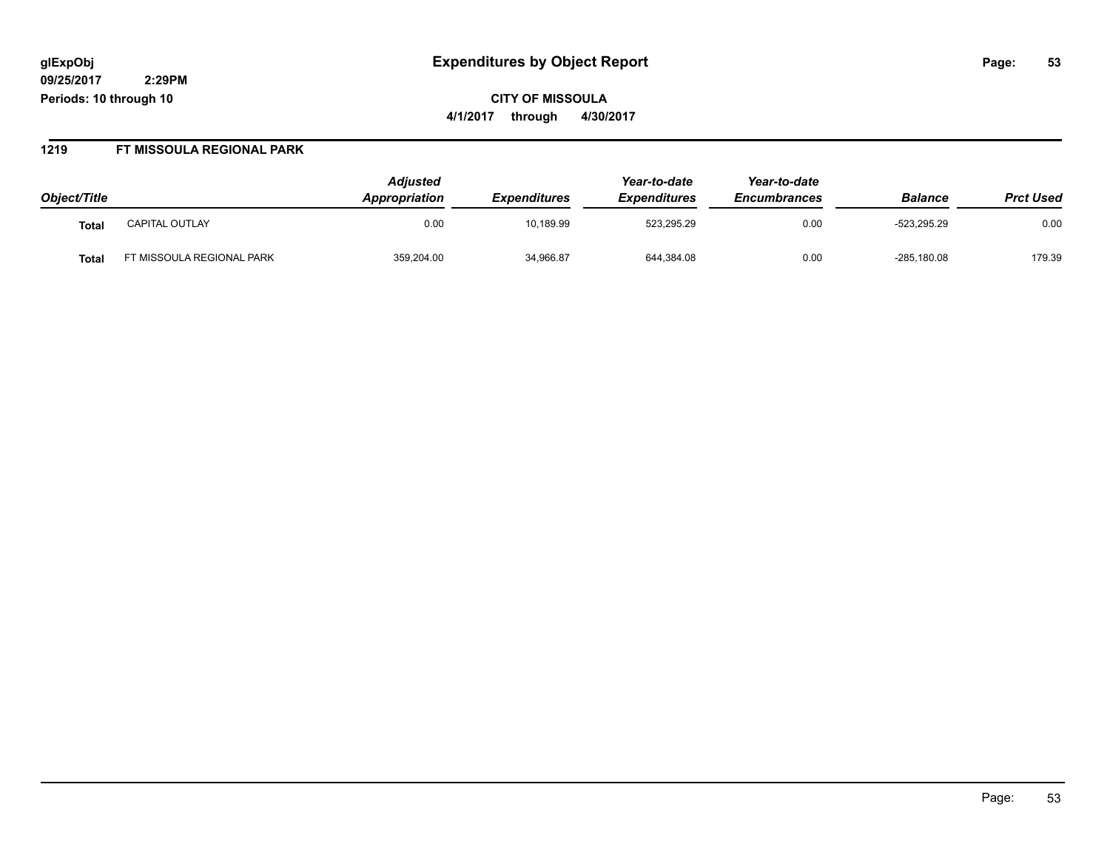**CITY OF MISSOULA 4/1/2017 through 4/30/2017**

#### **1219 FT MISSOULA REGIONAL PARK**

| Object/Title |                          | <b>Adjusted</b><br><b>Appropriation</b> | <i><b>Expenditures</b></i> | Year-to-date<br><b>Expenditures</b> | Year-to-date<br><b>Encumbrances</b> | <b>Balance</b> | <b>Prct Used</b> |
|--------------|--------------------------|-----------------------------------------|----------------------------|-------------------------------------|-------------------------------------|----------------|------------------|
| Tota.        | <b>CAPITAL OUTLAY</b>    | 0.00                                    | 10,189.99                  | 523.295.29                          | 0.00                                | $-523.295.29$  | 0.00             |
| <b>Tota</b>  | T MISSOULA REGIONAL PARK | 359,204.00                              | 34,966.87                  | 644,384.08                          | 0.00                                | $-285,180.08$  | 179.39           |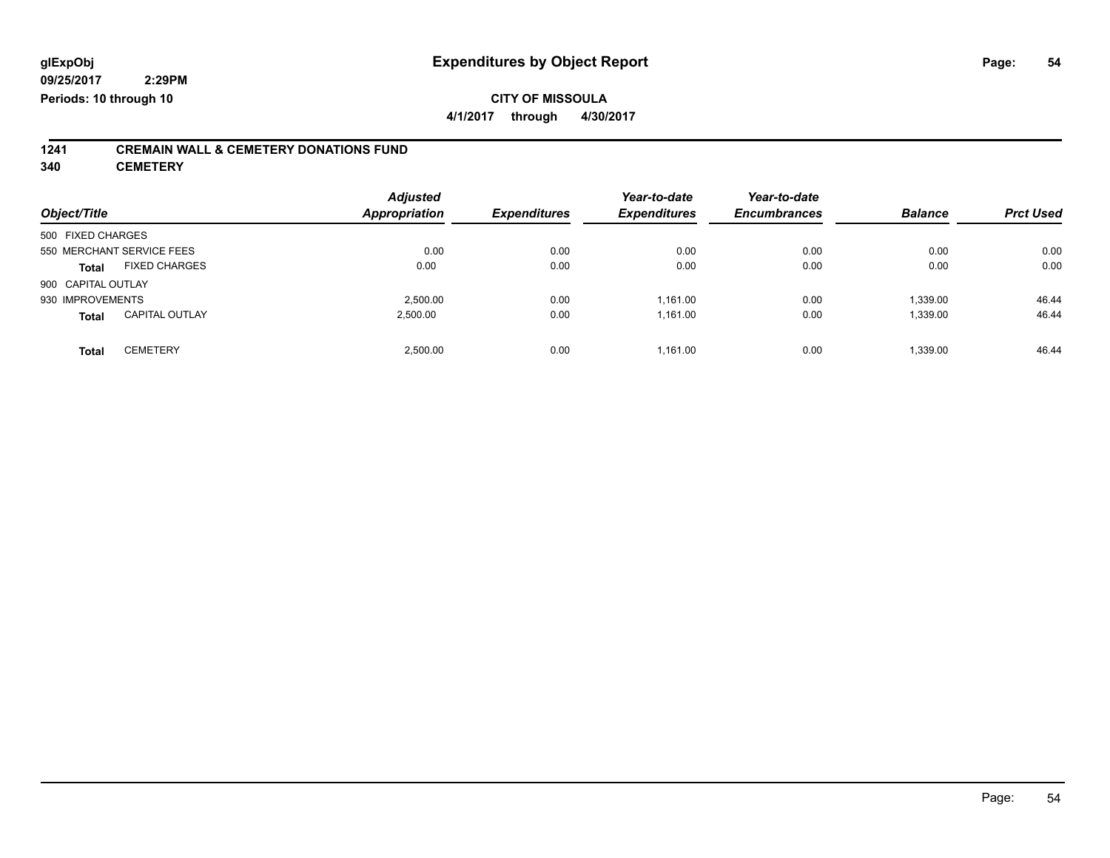**4/1/2017 through 4/30/2017**

# **1241 CREMAIN WALL & CEMETERY DONATIONS FUND**

**340 CEMETERY**

| Object/Title       |                           | <b>Adjusted</b><br><b>Appropriation</b> | <b>Expenditures</b> | Year-to-date<br><b>Expenditures</b> | Year-to-date<br><b>Encumbrances</b> | <b>Balance</b> | <b>Prct Used</b> |
|--------------------|---------------------------|-----------------------------------------|---------------------|-------------------------------------|-------------------------------------|----------------|------------------|
| 500 FIXED CHARGES  |                           |                                         |                     |                                     |                                     |                |                  |
|                    | 550 MERCHANT SERVICE FEES | 0.00                                    | 0.00                | 0.00                                | 0.00                                | 0.00           | 0.00             |
| <b>Total</b>       | <b>FIXED CHARGES</b>      | 0.00                                    | 0.00                | 0.00                                | 0.00                                | 0.00           | 0.00             |
| 900 CAPITAL OUTLAY |                           |                                         |                     |                                     |                                     |                |                  |
| 930 IMPROVEMENTS   |                           | 2.500.00                                | 0.00                | 1.161.00                            | 0.00                                | 1,339.00       | 46.44            |
| <b>Total</b>       | <b>CAPITAL OUTLAY</b>     | 2.500.00                                | 0.00                | 1,161.00                            | 0.00                                | 1,339.00       | 46.44            |
| <b>Total</b>       | <b>CEMETERY</b>           | 2.500.00                                | 0.00                | 1,161.00                            | 0.00                                | 1.339.00       | 46.44            |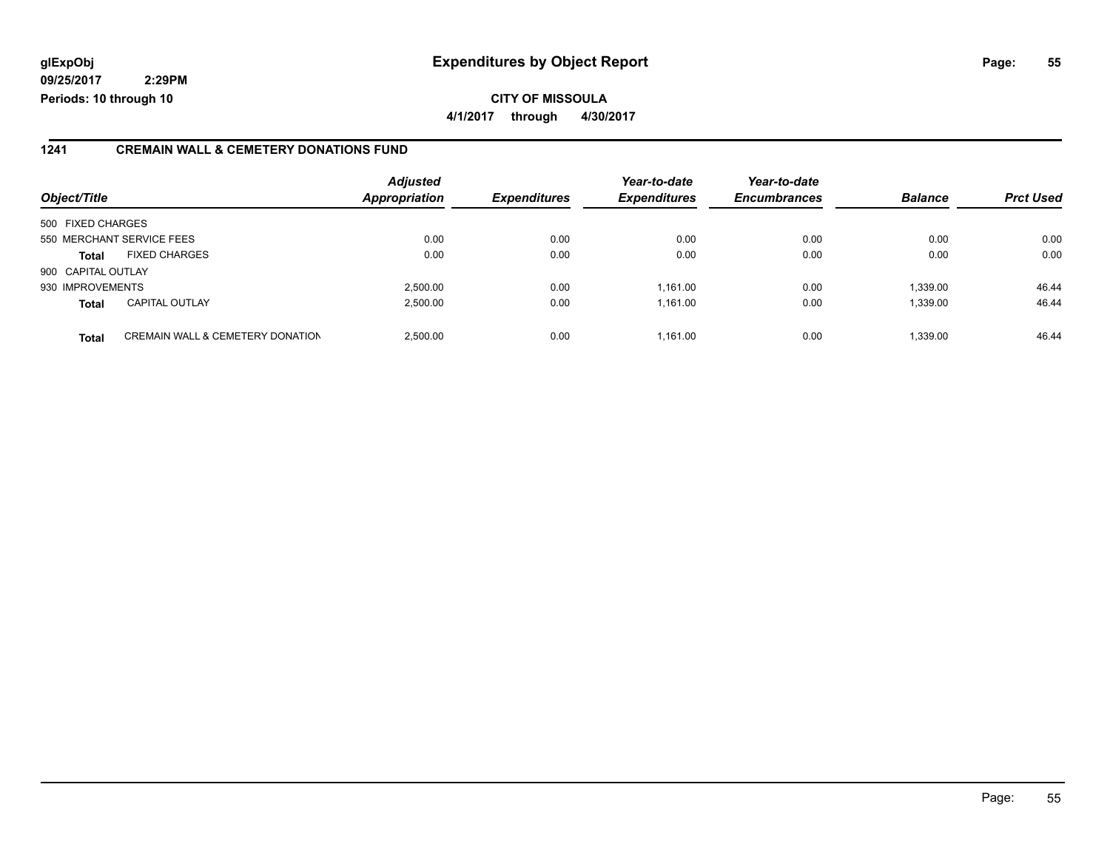## **glExpObj Expenditures by Object Report Page: 55**

**09/25/2017 2:29PM Periods: 10 through 10**

### **1241 CREMAIN WALL & CEMETERY DONATIONS FUND**

| Object/Title       |                                             | <b>Adjusted</b><br><b>Appropriation</b> | <b>Expenditures</b> | Year-to-date<br><b>Expenditures</b> | Year-to-date<br><b>Encumbrances</b> | <b>Balance</b> | <b>Prct Used</b> |
|--------------------|---------------------------------------------|-----------------------------------------|---------------------|-------------------------------------|-------------------------------------|----------------|------------------|
| 500 FIXED CHARGES  |                                             |                                         |                     |                                     |                                     |                |                  |
|                    | 550 MERCHANT SERVICE FEES                   | 0.00                                    | 0.00                | 0.00                                | 0.00                                | 0.00           | 0.00             |
| <b>Total</b>       | <b>FIXED CHARGES</b>                        | 0.00                                    | 0.00                | 0.00                                | 0.00                                | 0.00           | 0.00             |
| 900 CAPITAL OUTLAY |                                             |                                         |                     |                                     |                                     |                |                  |
| 930 IMPROVEMENTS   |                                             | 2,500.00                                | 0.00                | 1,161.00                            | 0.00                                | 1,339.00       | 46.44            |
| <b>Total</b>       | <b>CAPITAL OUTLAY</b>                       | 2.500.00                                | 0.00                | 1.161.00                            | 0.00                                | 1,339.00       | 46.44            |
| <b>Total</b>       | <b>CREMAIN WALL &amp; CEMETERY DONATION</b> | 2.500.00                                | 0.00                | 1.161.00                            | 0.00                                | 1,339.00       | 46.44            |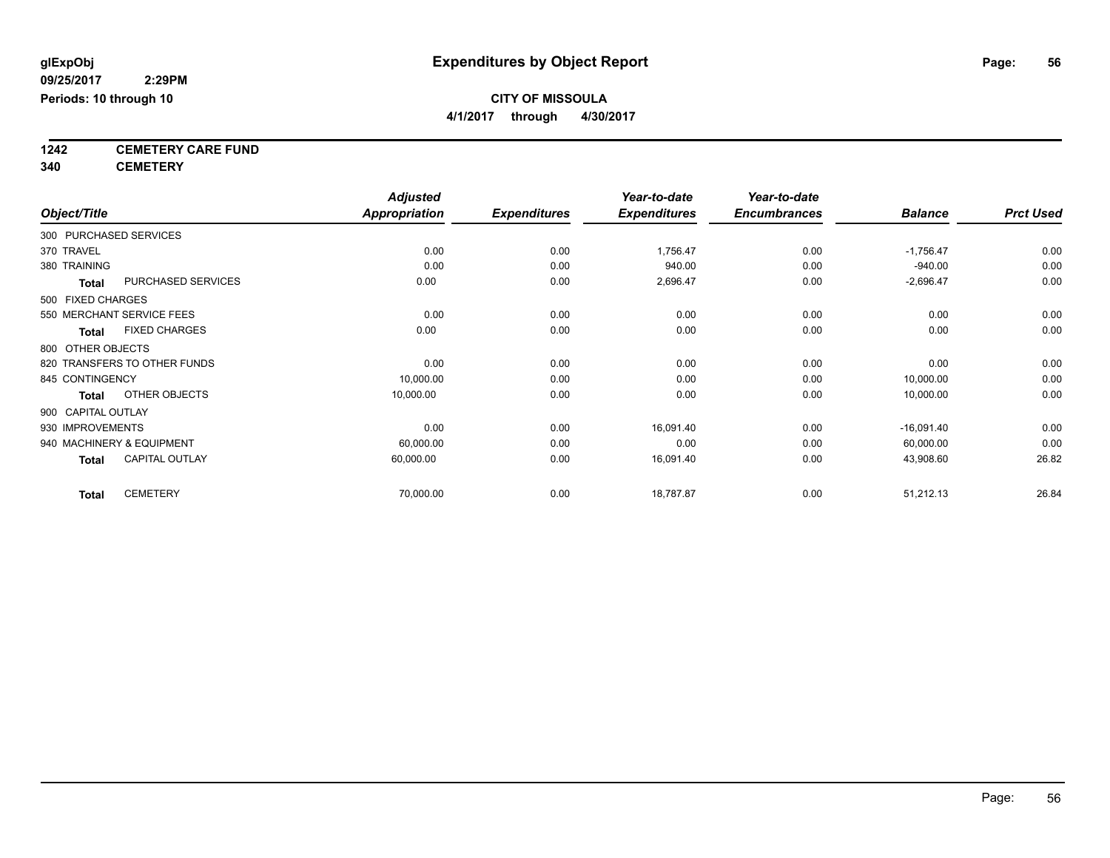**4/1/2017 through 4/30/2017**

**1242 CEMETERY CARE FUND**

**340 CEMETERY**

|                    |              |                              | <b>Adjusted</b>      |                     | Year-to-date        | Year-to-date        |                |                  |
|--------------------|--------------|------------------------------|----------------------|---------------------|---------------------|---------------------|----------------|------------------|
| Object/Title       |              |                              | <b>Appropriation</b> | <b>Expenditures</b> | <b>Expenditures</b> | <b>Encumbrances</b> | <b>Balance</b> | <b>Prct Used</b> |
|                    |              | 300 PURCHASED SERVICES       |                      |                     |                     |                     |                |                  |
| 370 TRAVEL         |              |                              | 0.00                 | 0.00                | 1,756.47            | 0.00                | $-1,756.47$    | 0.00             |
| 380 TRAINING       |              |                              | 0.00                 | 0.00                | 940.00              | 0.00                | $-940.00$      | 0.00             |
|                    | <b>Total</b> | PURCHASED SERVICES           | 0.00                 | 0.00                | 2,696.47            | 0.00                | $-2,696.47$    | 0.00             |
| 500 FIXED CHARGES  |              |                              |                      |                     |                     |                     |                |                  |
|                    |              | 550 MERCHANT SERVICE FEES    | 0.00                 | 0.00                | 0.00                | 0.00                | 0.00           | 0.00             |
|                    | <b>Total</b> | <b>FIXED CHARGES</b>         | 0.00                 | 0.00                | 0.00                | 0.00                | 0.00           | 0.00             |
| 800 OTHER OBJECTS  |              |                              |                      |                     |                     |                     |                |                  |
|                    |              | 820 TRANSFERS TO OTHER FUNDS | 0.00                 | 0.00                | 0.00                | 0.00                | 0.00           | 0.00             |
| 845 CONTINGENCY    |              |                              | 10,000.00            | 0.00                | 0.00                | 0.00                | 10,000.00      | 0.00             |
|                    | <b>Total</b> | OTHER OBJECTS                | 10,000.00            | 0.00                | 0.00                | 0.00                | 10,000.00      | 0.00             |
| 900 CAPITAL OUTLAY |              |                              |                      |                     |                     |                     |                |                  |
| 930 IMPROVEMENTS   |              |                              | 0.00                 | 0.00                | 16,091.40           | 0.00                | $-16,091.40$   | 0.00             |
|                    |              | 940 MACHINERY & EQUIPMENT    | 60,000.00            | 0.00                | 0.00                | 0.00                | 60,000.00      | 0.00             |
|                    | <b>Total</b> | <b>CAPITAL OUTLAY</b>        | 60,000.00            | 0.00                | 16,091.40           | 0.00                | 43,908.60      | 26.82            |
|                    | <b>Total</b> | <b>CEMETERY</b>              | 70,000.00            | 0.00                | 18,787.87           | 0.00                | 51,212.13      | 26.84            |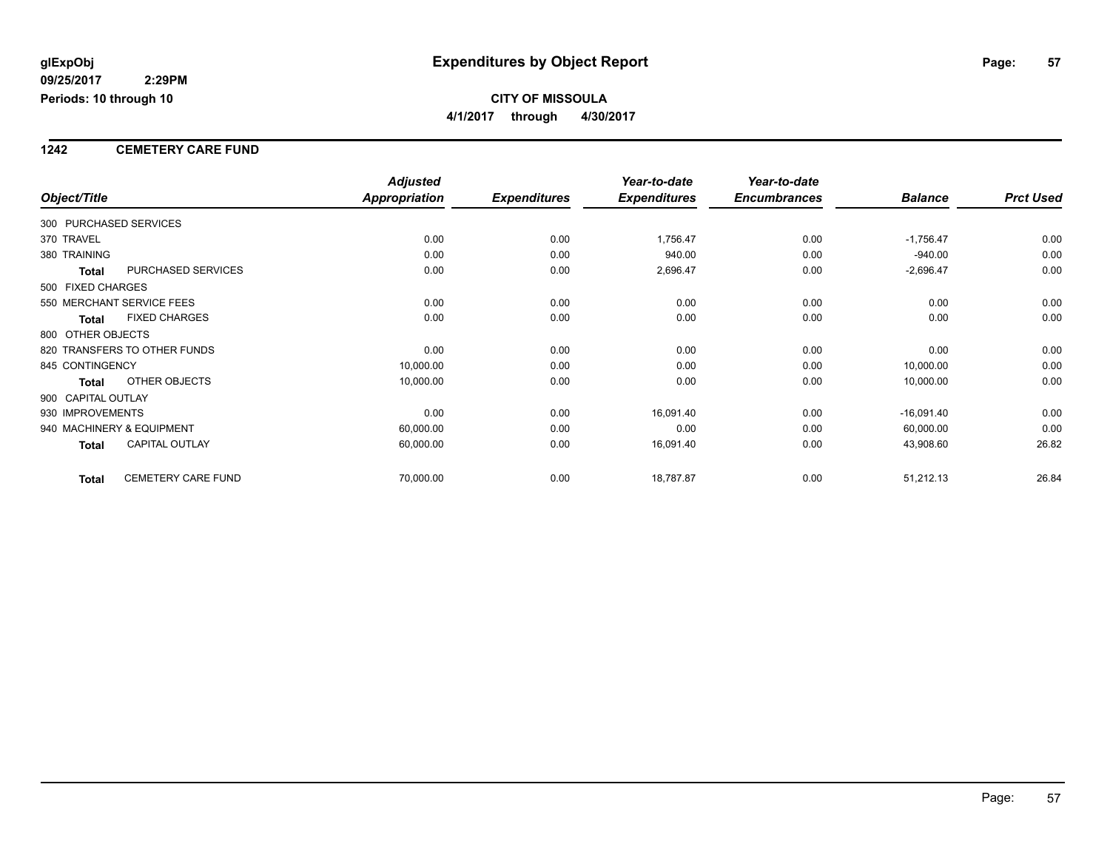### **1242 CEMETERY CARE FUND**

|                        |                              | <b>Adjusted</b>      |                     | Year-to-date        | Year-to-date        |                |                  |
|------------------------|------------------------------|----------------------|---------------------|---------------------|---------------------|----------------|------------------|
| Object/Title           |                              | <b>Appropriation</b> | <b>Expenditures</b> | <b>Expenditures</b> | <b>Encumbrances</b> | <b>Balance</b> | <b>Prct Used</b> |
| 300 PURCHASED SERVICES |                              |                      |                     |                     |                     |                |                  |
| 370 TRAVEL             |                              | 0.00                 | 0.00                | 1,756.47            | 0.00                | $-1,756.47$    | 0.00             |
| 380 TRAINING           |                              | 0.00                 | 0.00                | 940.00              | 0.00                | $-940.00$      | 0.00             |
| <b>Total</b>           | PURCHASED SERVICES           | 0.00                 | 0.00                | 2,696.47            | 0.00                | $-2,696.47$    | 0.00             |
| 500 FIXED CHARGES      |                              |                      |                     |                     |                     |                |                  |
|                        | 550 MERCHANT SERVICE FEES    | 0.00                 | 0.00                | 0.00                | 0.00                | 0.00           | 0.00             |
| <b>Total</b>           | <b>FIXED CHARGES</b>         | 0.00                 | 0.00                | 0.00                | 0.00                | 0.00           | 0.00             |
| 800 OTHER OBJECTS      |                              |                      |                     |                     |                     |                |                  |
|                        | 820 TRANSFERS TO OTHER FUNDS | 0.00                 | 0.00                | 0.00                | 0.00                | 0.00           | 0.00             |
| 845 CONTINGENCY        |                              | 10,000.00            | 0.00                | 0.00                | 0.00                | 10,000.00      | 0.00             |
| Total                  | OTHER OBJECTS                | 10,000.00            | 0.00                | 0.00                | 0.00                | 10,000.00      | 0.00             |
| 900 CAPITAL OUTLAY     |                              |                      |                     |                     |                     |                |                  |
| 930 IMPROVEMENTS       |                              | 0.00                 | 0.00                | 16,091.40           | 0.00                | $-16,091.40$   | 0.00             |
|                        | 940 MACHINERY & EQUIPMENT    | 60,000.00            | 0.00                | 0.00                | 0.00                | 60,000.00      | 0.00             |
| Total                  | <b>CAPITAL OUTLAY</b>        | 60,000.00            | 0.00                | 16,091.40           | 0.00                | 43,908.60      | 26.82            |
| <b>Total</b>           | <b>CEMETERY CARE FUND</b>    | 70,000.00            | 0.00                | 18,787.87           | 0.00                | 51,212.13      | 26.84            |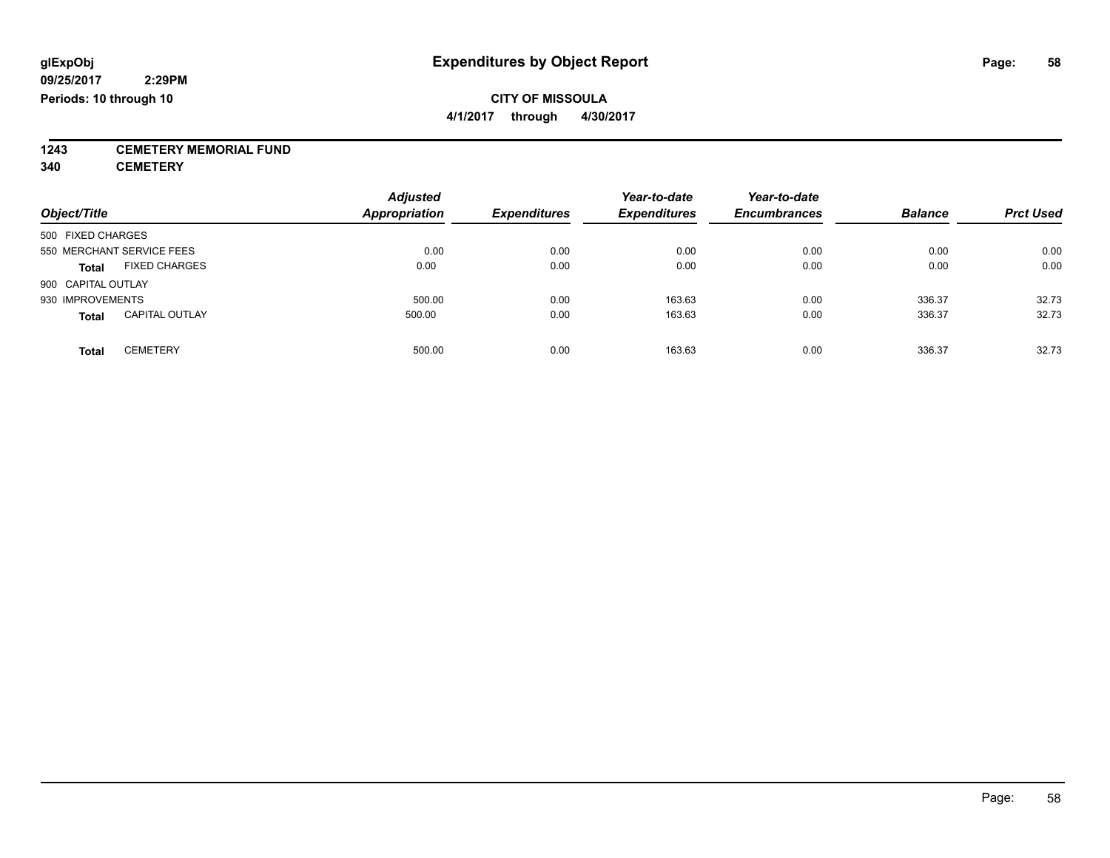**1243 CEMETERY MEMORIAL FUND**

**340 CEMETERY**

| Object/Title                          | <b>Adjusted</b><br><b>Appropriation</b> | <b>Expenditures</b> | Year-to-date<br><b>Expenditures</b> | Year-to-date<br><b>Encumbrances</b> | <b>Balance</b> | <b>Prct Used</b> |
|---------------------------------------|-----------------------------------------|---------------------|-------------------------------------|-------------------------------------|----------------|------------------|
|                                       |                                         |                     |                                     |                                     |                |                  |
| 500 FIXED CHARGES                     |                                         |                     |                                     |                                     |                |                  |
| 550 MERCHANT SERVICE FEES             | 0.00                                    | 0.00                | 0.00                                | 0.00                                | 0.00           | 0.00             |
| <b>FIXED CHARGES</b><br><b>Total</b>  | 0.00                                    | 0.00                | 0.00                                | 0.00                                | 0.00           | 0.00             |
| 900 CAPITAL OUTLAY                    |                                         |                     |                                     |                                     |                |                  |
| 930 IMPROVEMENTS                      | 500.00                                  | 0.00                | 163.63                              | 0.00                                | 336.37         | 32.73            |
| <b>CAPITAL OUTLAY</b><br><b>Total</b> | 500.00                                  | 0.00                | 163.63                              | 0.00                                | 336.37         | 32.73            |
| <b>CEMETERY</b><br>Total              | 500.00                                  | 0.00                | 163.63                              | 0.00                                | 336.37         | 32.73            |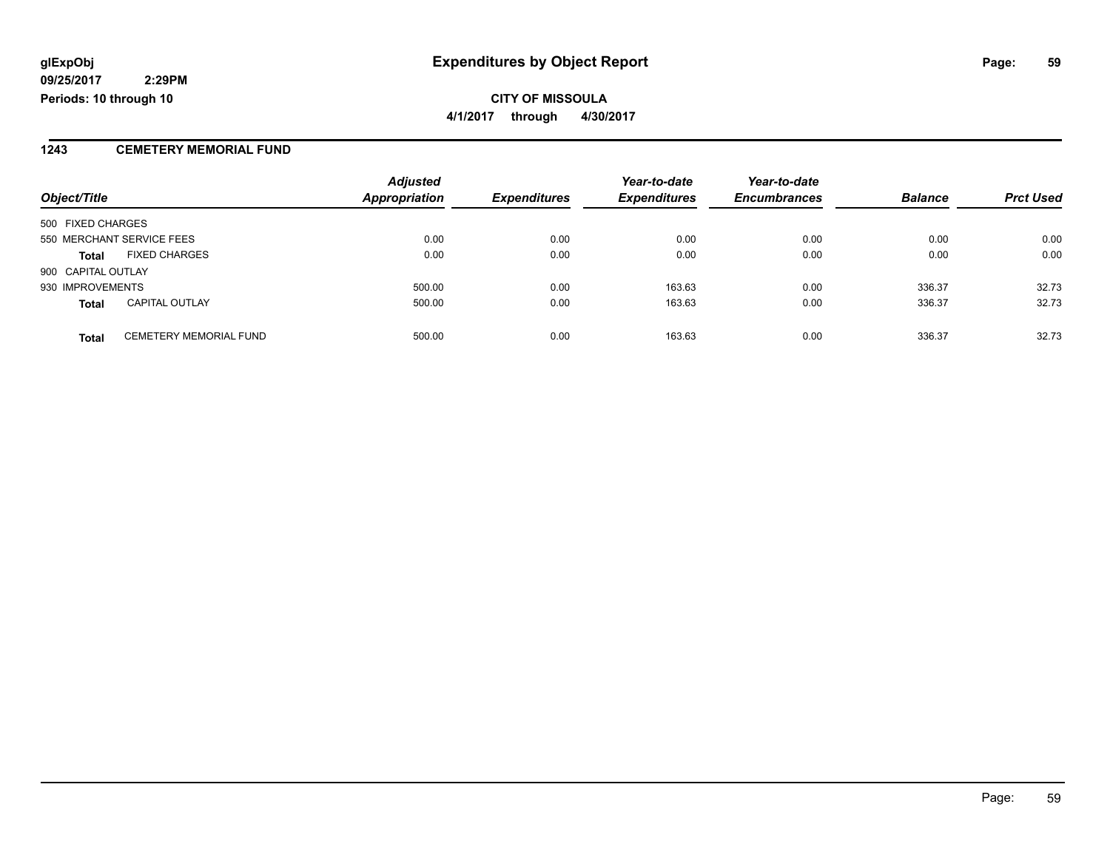### **1243 CEMETERY MEMORIAL FUND**

|                    |                               | <b>Adjusted</b>      |                     | Year-to-date        | Year-to-date        |                |                  |
|--------------------|-------------------------------|----------------------|---------------------|---------------------|---------------------|----------------|------------------|
| Object/Title       |                               | <b>Appropriation</b> | <b>Expenditures</b> | <b>Expenditures</b> | <b>Encumbrances</b> | <b>Balance</b> | <b>Prct Used</b> |
| 500 FIXED CHARGES  |                               |                      |                     |                     |                     |                |                  |
|                    | 550 MERCHANT SERVICE FEES     | 0.00                 | 0.00                | 0.00                | 0.00                | 0.00           | 0.00             |
| <b>Total</b>       | <b>FIXED CHARGES</b>          | 0.00                 | 0.00                | 0.00                | 0.00                | 0.00           | 0.00             |
| 900 CAPITAL OUTLAY |                               |                      |                     |                     |                     |                |                  |
| 930 IMPROVEMENTS   |                               | 500.00               | 0.00                | 163.63              | 0.00                | 336.37         | 32.73            |
| <b>Total</b>       | <b>CAPITAL OUTLAY</b>         | 500.00               | 0.00                | 163.63              | 0.00                | 336.37         | 32.73            |
| <b>Total</b>       | <b>CEMETERY MEMORIAL FUND</b> | 500.00               | 0.00                | 163.63              | 0.00                | 336.37         | 32.73            |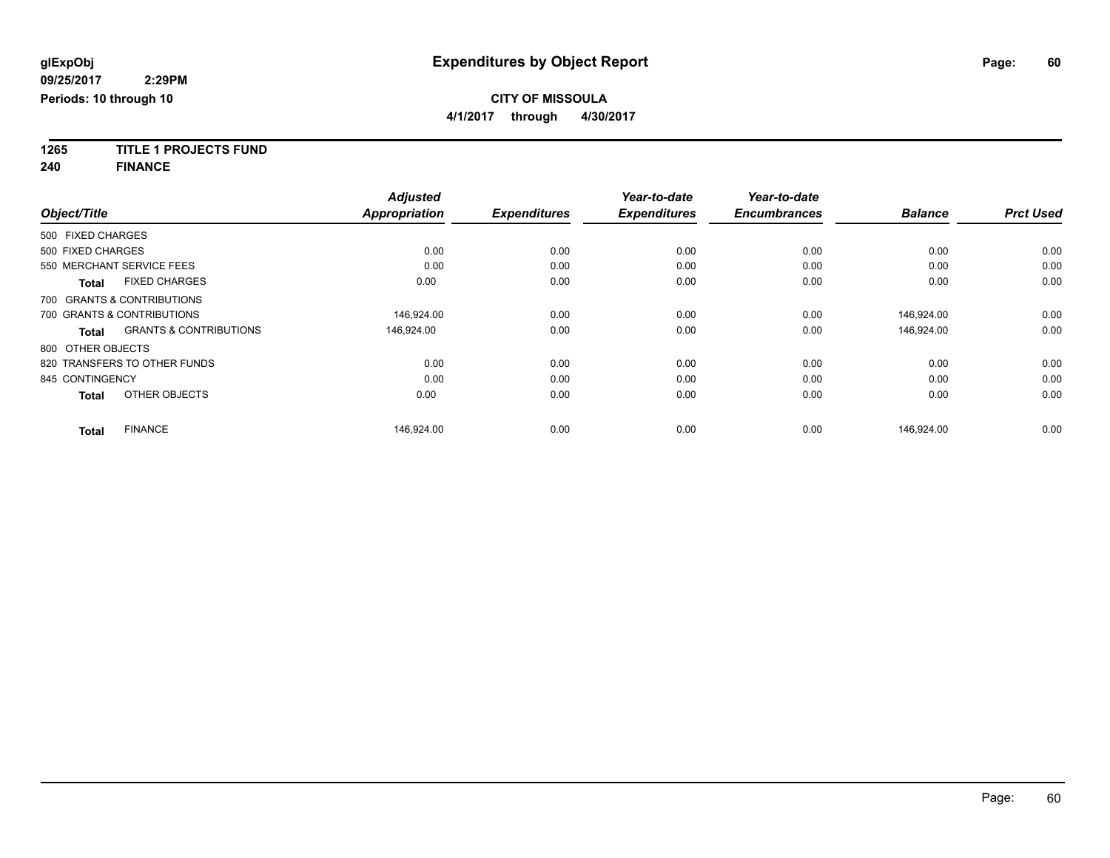**1265 TITLE 1 PROJECTS FUND**

**240 FINANCE**

|                   |                                   | <b>Adjusted</b> |                     | Year-to-date        | Year-to-date        |                |                  |
|-------------------|-----------------------------------|-----------------|---------------------|---------------------|---------------------|----------------|------------------|
| Object/Title      |                                   | Appropriation   | <b>Expenditures</b> | <b>Expenditures</b> | <b>Encumbrances</b> | <b>Balance</b> | <b>Prct Used</b> |
| 500 FIXED CHARGES |                                   |                 |                     |                     |                     |                |                  |
| 500 FIXED CHARGES |                                   | 0.00            | 0.00                | 0.00                | 0.00                | 0.00           | 0.00             |
|                   | 550 MERCHANT SERVICE FEES         | 0.00            | 0.00                | 0.00                | 0.00                | 0.00           | 0.00             |
| <b>Total</b>      | <b>FIXED CHARGES</b>              | 0.00            | 0.00                | 0.00                | 0.00                | 0.00           | 0.00             |
|                   | 700 GRANTS & CONTRIBUTIONS        |                 |                     |                     |                     |                |                  |
|                   | 700 GRANTS & CONTRIBUTIONS        | 146,924.00      | 0.00                | 0.00                | 0.00                | 146,924.00     | 0.00             |
| <b>Total</b>      | <b>GRANTS &amp; CONTRIBUTIONS</b> | 146.924.00      | 0.00                | 0.00                | 0.00                | 146.924.00     | 0.00             |
| 800 OTHER OBJECTS |                                   |                 |                     |                     |                     |                |                  |
|                   | 820 TRANSFERS TO OTHER FUNDS      | 0.00            | 0.00                | 0.00                | 0.00                | 0.00           | 0.00             |
| 845 CONTINGENCY   |                                   | 0.00            | 0.00                | 0.00                | 0.00                | 0.00           | 0.00             |
| <b>Total</b>      | OTHER OBJECTS                     | 0.00            | 0.00                | 0.00                | 0.00                | 0.00           | 0.00             |
| <b>Total</b>      | <b>FINANCE</b>                    | 146,924.00      | 0.00                | 0.00                | 0.00                | 146,924.00     | 0.00             |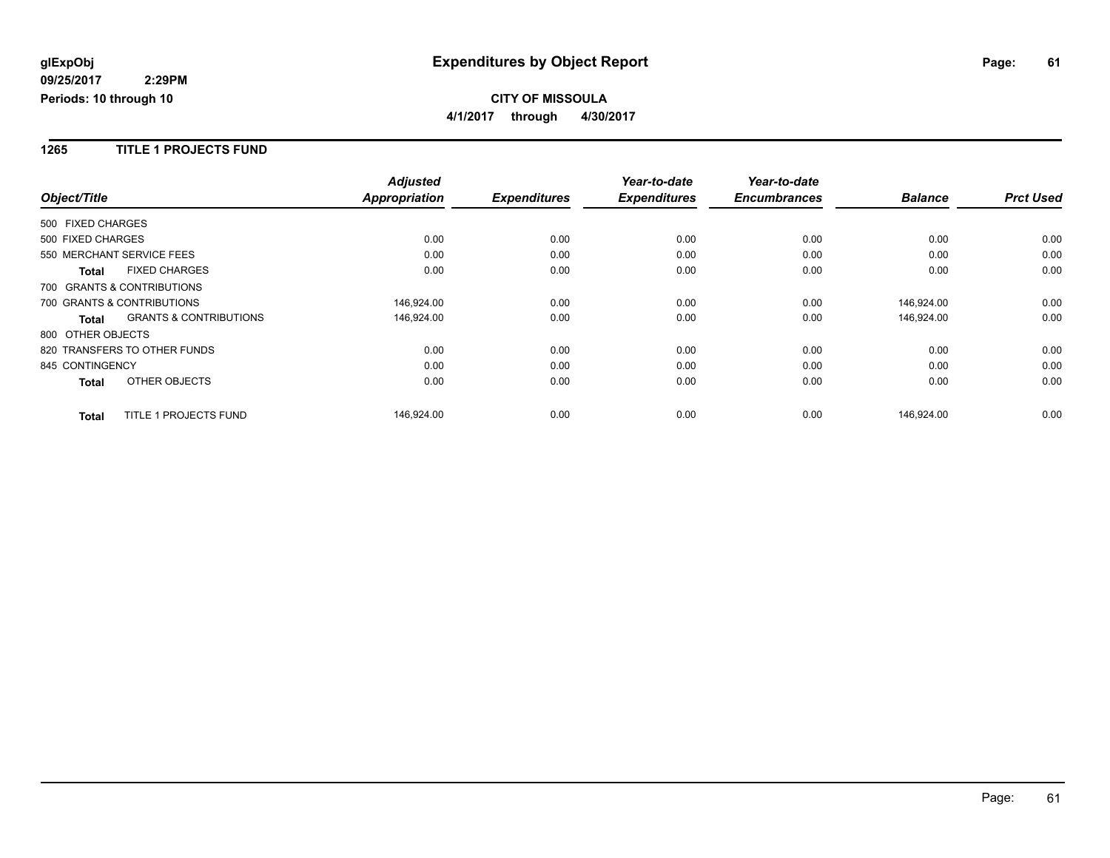#### **1265 TITLE 1 PROJECTS FUND**

|                              |                                   | <b>Adjusted</b>      |                     | Year-to-date        | Year-to-date        |                |                  |
|------------------------------|-----------------------------------|----------------------|---------------------|---------------------|---------------------|----------------|------------------|
| Object/Title                 |                                   | <b>Appropriation</b> | <b>Expenditures</b> | <b>Expenditures</b> | <b>Encumbrances</b> | <b>Balance</b> | <b>Prct Used</b> |
| 500 FIXED CHARGES            |                                   |                      |                     |                     |                     |                |                  |
| 500 FIXED CHARGES            |                                   | 0.00                 | 0.00                | 0.00                | 0.00                | 0.00           | 0.00             |
| 550 MERCHANT SERVICE FEES    |                                   | 0.00                 | 0.00                | 0.00                | 0.00                | 0.00           | 0.00             |
| <b>Total</b>                 | <b>FIXED CHARGES</b>              | 0.00                 | 0.00                | 0.00                | 0.00                | 0.00           | 0.00             |
| 700 GRANTS & CONTRIBUTIONS   |                                   |                      |                     |                     |                     |                |                  |
| 700 GRANTS & CONTRIBUTIONS   |                                   | 146,924.00           | 0.00                | 0.00                | 0.00                | 146,924.00     | 0.00             |
| <b>Total</b>                 | <b>GRANTS &amp; CONTRIBUTIONS</b> | 146,924.00           | 0.00                | 0.00                | 0.00                | 146,924.00     | 0.00             |
| 800 OTHER OBJECTS            |                                   |                      |                     |                     |                     |                |                  |
| 820 TRANSFERS TO OTHER FUNDS |                                   | 0.00                 | 0.00                | 0.00                | 0.00                | 0.00           | 0.00             |
| 845 CONTINGENCY              |                                   | 0.00                 | 0.00                | 0.00                | 0.00                | 0.00           | 0.00             |
| <b>Total</b>                 | OTHER OBJECTS                     | 0.00                 | 0.00                | 0.00                | 0.00                | 0.00           | 0.00             |
| <b>Total</b>                 | TITLE 1 PROJECTS FUND             | 146,924.00           | 0.00                | 0.00                | 0.00                | 146,924.00     | 0.00             |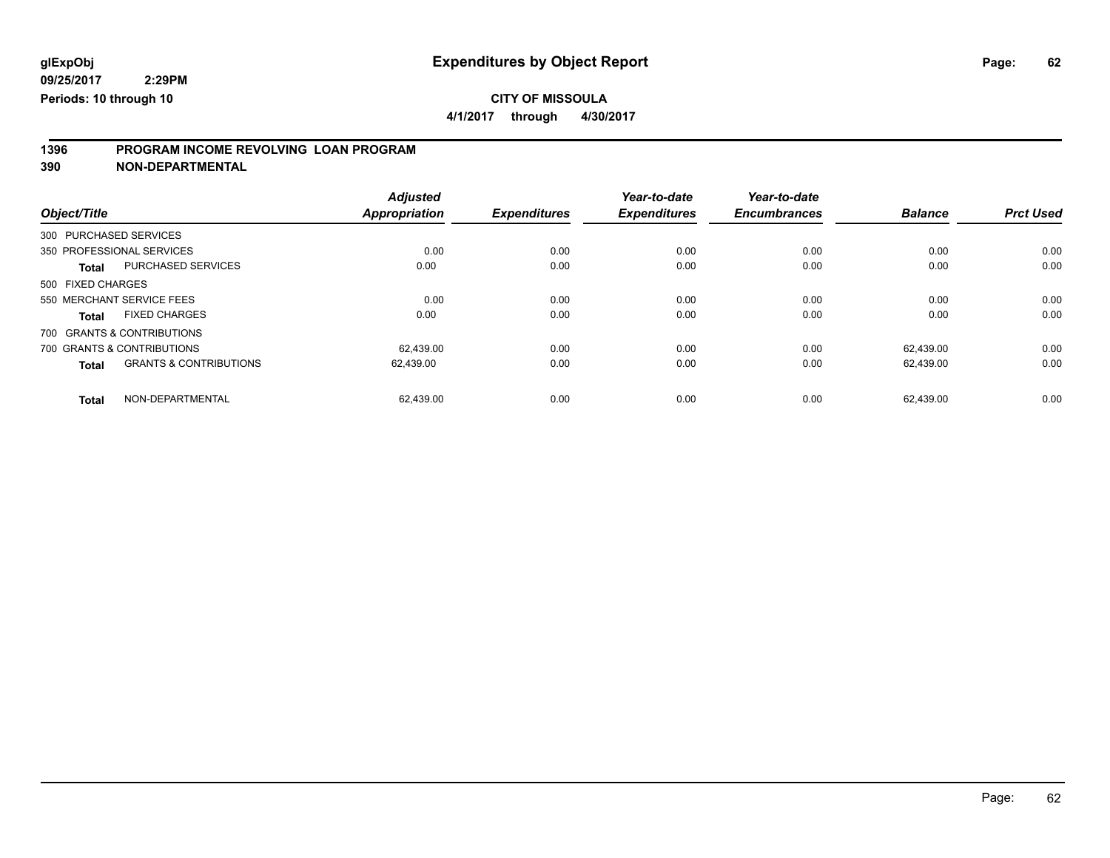**4/1/2017 through 4/30/2017**

# **1396 PROGRAM INCOME REVOLVING LOAN PROGRAM**

**390 NON-DEPARTMENTAL**

| Object/Title      |                                   | <b>Adjusted</b><br>Appropriation | <b>Expenditures</b> | Year-to-date<br><b>Expenditures</b> | Year-to-date<br><b>Encumbrances</b> | <b>Balance</b> | <b>Prct Used</b> |
|-------------------|-----------------------------------|----------------------------------|---------------------|-------------------------------------|-------------------------------------|----------------|------------------|
|                   | 300 PURCHASED SERVICES            |                                  |                     |                                     |                                     |                |                  |
|                   | 350 PROFESSIONAL SERVICES         | 0.00                             | 0.00                | 0.00                                | 0.00                                | 0.00           | 0.00             |
| <b>Total</b>      | <b>PURCHASED SERVICES</b>         | 0.00                             | 0.00                | 0.00                                | 0.00                                | 0.00           | 0.00             |
| 500 FIXED CHARGES |                                   |                                  |                     |                                     |                                     |                |                  |
|                   | 550 MERCHANT SERVICE FEES         | 0.00                             | 0.00                | 0.00                                | 0.00                                | 0.00           | 0.00             |
| <b>Total</b>      | <b>FIXED CHARGES</b>              | 0.00                             | 0.00                | 0.00                                | 0.00                                | 0.00           | 0.00             |
|                   | 700 GRANTS & CONTRIBUTIONS        |                                  |                     |                                     |                                     |                |                  |
|                   | 700 GRANTS & CONTRIBUTIONS        | 62.439.00                        | 0.00                | 0.00                                | 0.00                                | 62.439.00      | 0.00             |
| <b>Total</b>      | <b>GRANTS &amp; CONTRIBUTIONS</b> | 62.439.00                        | 0.00                | 0.00                                | 0.00                                | 62.439.00      | 0.00             |
| <b>Total</b>      | NON-DEPARTMENTAL                  | 62,439.00                        | 0.00                | 0.00                                | 0.00                                | 62.439.00      | 0.00             |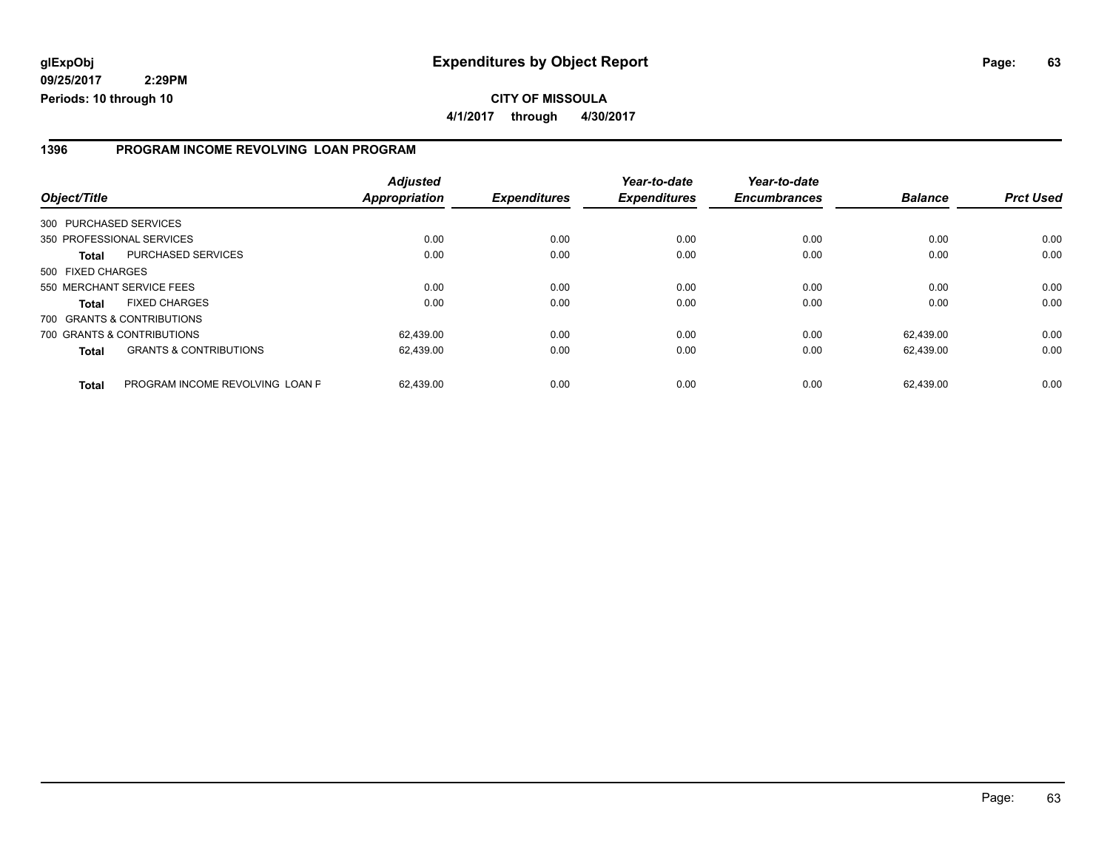#### **1396 PROGRAM INCOME REVOLVING LOAN PROGRAM**

| Object/Title      |                                   | <b>Adjusted</b><br><b>Appropriation</b> | <b>Expenditures</b> | Year-to-date<br><b>Expenditures</b> | Year-to-date<br><b>Encumbrances</b> | <b>Balance</b> | <b>Prct Used</b> |
|-------------------|-----------------------------------|-----------------------------------------|---------------------|-------------------------------------|-------------------------------------|----------------|------------------|
|                   | 300 PURCHASED SERVICES            |                                         |                     |                                     |                                     |                |                  |
|                   | 350 PROFESSIONAL SERVICES         | 0.00                                    | 0.00                | 0.00                                | 0.00                                | 0.00           | 0.00             |
| <b>Total</b>      | PURCHASED SERVICES                | 0.00                                    | 0.00                | 0.00                                | 0.00                                | 0.00           | 0.00             |
| 500 FIXED CHARGES |                                   |                                         |                     |                                     |                                     |                |                  |
|                   | 550 MERCHANT SERVICE FEES         | 0.00                                    | 0.00                | 0.00                                | 0.00                                | 0.00           | 0.00             |
| <b>Total</b>      | <b>FIXED CHARGES</b>              | 0.00                                    | 0.00                | 0.00                                | 0.00                                | 0.00           | 0.00             |
|                   | 700 GRANTS & CONTRIBUTIONS        |                                         |                     |                                     |                                     |                |                  |
|                   | 700 GRANTS & CONTRIBUTIONS        | 62,439.00                               | 0.00                | 0.00                                | 0.00                                | 62.439.00      | 0.00             |
| <b>Total</b>      | <b>GRANTS &amp; CONTRIBUTIONS</b> | 62,439.00                               | 0.00                | 0.00                                | 0.00                                | 62.439.00      | 0.00             |
| <b>Total</b>      | PROGRAM INCOME REVOLVING LOAN P   | 62.439.00                               | 0.00                | 0.00                                | 0.00                                | 62.439.00      | 0.00             |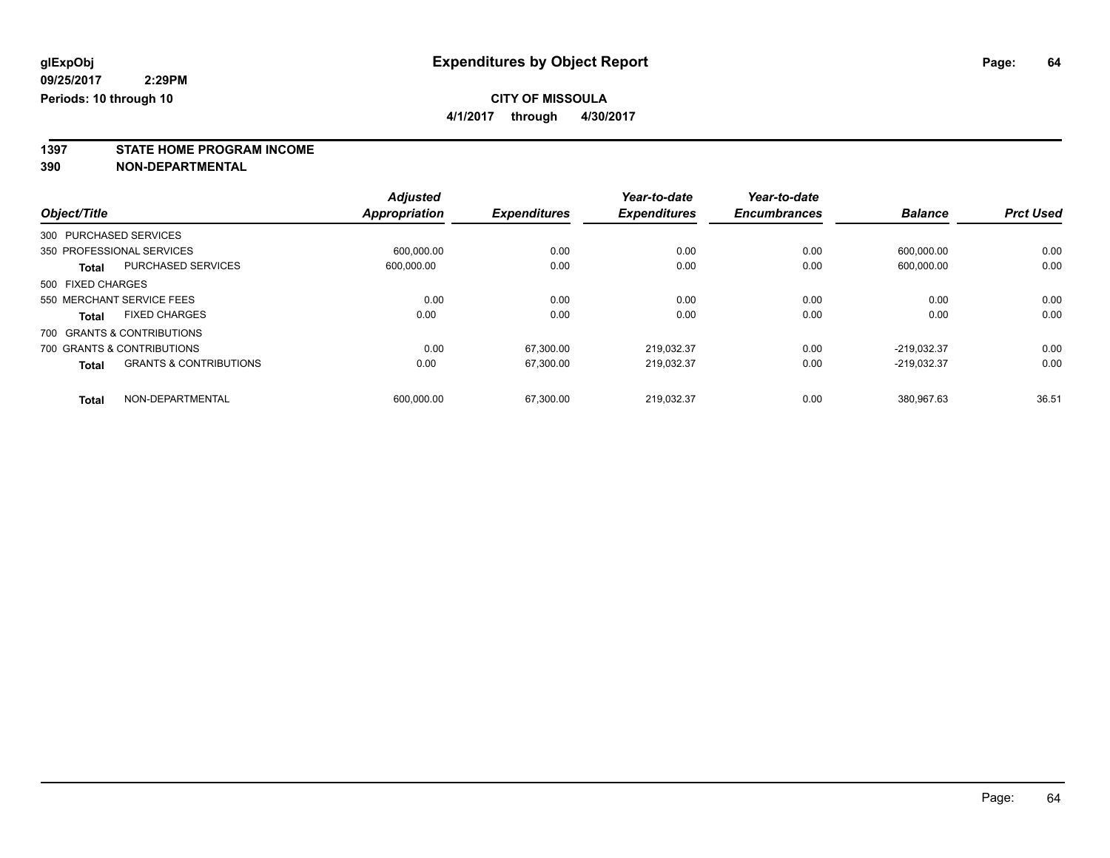**4/1/2017 through 4/30/2017**

**1397 STATE HOME PROGRAM INCOME**

**390 NON-DEPARTMENTAL**

|                   |                                   | <b>Adjusted</b>      | <b>Expenditures</b> | Year-to-date        | Year-to-date<br><b>Encumbrances</b> | <b>Balance</b> | <b>Prct Used</b> |
|-------------------|-----------------------------------|----------------------|---------------------|---------------------|-------------------------------------|----------------|------------------|
| Object/Title      |                                   | <b>Appropriation</b> |                     | <b>Expenditures</b> |                                     |                |                  |
|                   | 300 PURCHASED SERVICES            |                      |                     |                     |                                     |                |                  |
|                   | 350 PROFESSIONAL SERVICES         | 600.000.00           | 0.00                | 0.00                | 0.00                                | 600.000.00     | 0.00             |
| <b>Total</b>      | <b>PURCHASED SERVICES</b>         | 600.000.00           | 0.00                | 0.00                | 0.00                                | 600,000.00     | 0.00             |
| 500 FIXED CHARGES |                                   |                      |                     |                     |                                     |                |                  |
|                   | 550 MERCHANT SERVICE FEES         | 0.00                 | 0.00                | 0.00                | 0.00                                | 0.00           | 0.00             |
| <b>Total</b>      | <b>FIXED CHARGES</b>              | 0.00                 | 0.00                | 0.00                | 0.00                                | 0.00           | 0.00             |
|                   | 700 GRANTS & CONTRIBUTIONS        |                      |                     |                     |                                     |                |                  |
|                   | 700 GRANTS & CONTRIBUTIONS        | 0.00                 | 67.300.00           | 219.032.37          | 0.00                                | $-219.032.37$  | 0.00             |
| <b>Total</b>      | <b>GRANTS &amp; CONTRIBUTIONS</b> | 0.00                 | 67,300.00           | 219.032.37          | 0.00                                | $-219.032.37$  | 0.00             |
| <b>Total</b>      | NON-DEPARTMENTAL                  | 600.000.00           | 67.300.00           | 219.032.37          | 0.00                                | 380.967.63     | 36.51            |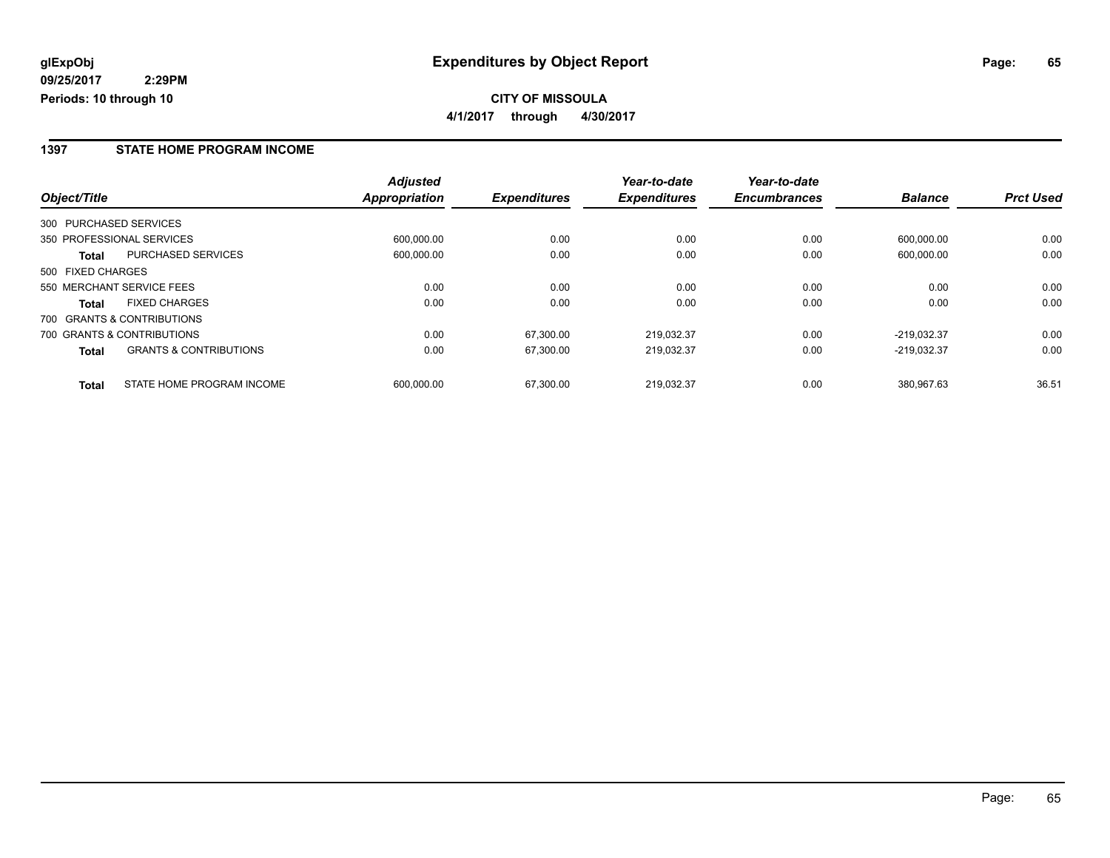### **1397 STATE HOME PROGRAM INCOME**

|                        |                                   | <b>Adjusted</b> |                     | Year-to-date<br><b>Expenditures</b> | Year-to-date<br><b>Encumbrances</b> |                |                  |
|------------------------|-----------------------------------|-----------------|---------------------|-------------------------------------|-------------------------------------|----------------|------------------|
| Object/Title           |                                   | Appropriation   | <b>Expenditures</b> |                                     |                                     | <b>Balance</b> | <b>Prct Used</b> |
| 300 PURCHASED SERVICES |                                   |                 |                     |                                     |                                     |                |                  |
|                        | 350 PROFESSIONAL SERVICES         | 600.000.00      | 0.00                | 0.00                                | 0.00                                | 600.000.00     | 0.00             |
| <b>Total</b>           | PURCHASED SERVICES                | 600.000.00      | 0.00                | 0.00                                | 0.00                                | 600.000.00     | 0.00             |
| 500 FIXED CHARGES      |                                   |                 |                     |                                     |                                     |                |                  |
|                        | 550 MERCHANT SERVICE FEES         | 0.00            | 0.00                | 0.00                                | 0.00                                | 0.00           | 0.00             |
| <b>Total</b>           | <b>FIXED CHARGES</b>              | 0.00            | 0.00                | 0.00                                | 0.00                                | 0.00           | 0.00             |
|                        | 700 GRANTS & CONTRIBUTIONS        |                 |                     |                                     |                                     |                |                  |
|                        | 700 GRANTS & CONTRIBUTIONS        | 0.00            | 67.300.00           | 219.032.37                          | 0.00                                | $-219.032.37$  | 0.00             |
| <b>Total</b>           | <b>GRANTS &amp; CONTRIBUTIONS</b> | 0.00            | 67,300.00           | 219.032.37                          | 0.00                                | $-219.032.37$  | 0.00             |
| <b>Total</b>           | STATE HOME PROGRAM INCOME         | 600.000.00      | 67,300.00           | 219.032.37                          | 0.00                                | 380.967.63     | 36.51            |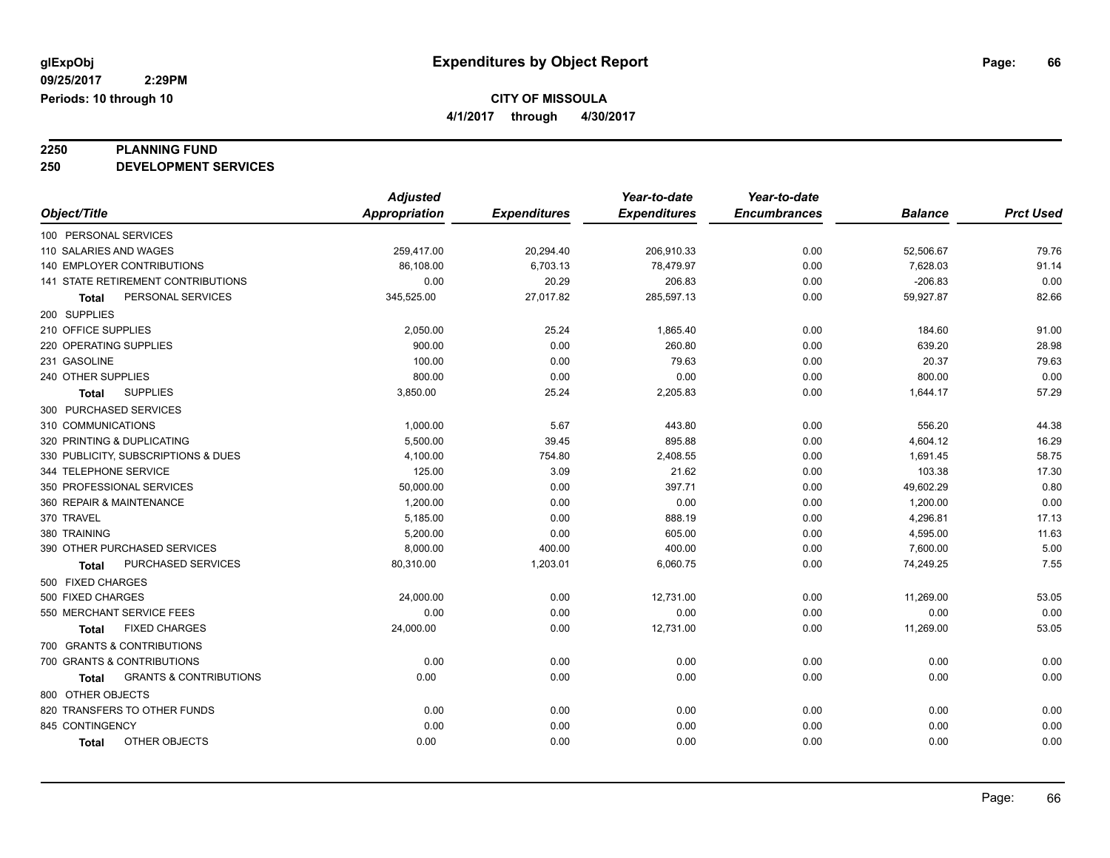**4/1/2017 through 4/30/2017**

# **2250 PLANNING FUND**

**250 DEVELOPMENT SERVICES**

|                                            | <b>Adjusted</b>      |                     | Year-to-date        | Year-to-date        |                |                  |
|--------------------------------------------|----------------------|---------------------|---------------------|---------------------|----------------|------------------|
| Object/Title                               | <b>Appropriation</b> | <b>Expenditures</b> | <b>Expenditures</b> | <b>Encumbrances</b> | <b>Balance</b> | <b>Prct Used</b> |
| 100 PERSONAL SERVICES                      |                      |                     |                     |                     |                |                  |
| 110 SALARIES AND WAGES                     | 259,417.00           | 20,294.40           | 206,910.33          | 0.00                | 52,506.67      | 79.76            |
| 140 EMPLOYER CONTRIBUTIONS                 | 86,108.00            | 6,703.13            | 78,479.97           | 0.00                | 7,628.03       | 91.14            |
| <b>141 STATE RETIREMENT CONTRIBUTIONS</b>  | 0.00                 | 20.29               | 206.83              | 0.00                | $-206.83$      | 0.00             |
| PERSONAL SERVICES<br>Total                 | 345,525.00           | 27,017.82           | 285,597.13          | 0.00                | 59,927.87      | 82.66            |
| 200 SUPPLIES                               |                      |                     |                     |                     |                |                  |
| 210 OFFICE SUPPLIES                        | 2,050.00             | 25.24               | 1,865.40            | 0.00                | 184.60         | 91.00            |
| 220 OPERATING SUPPLIES                     | 900.00               | 0.00                | 260.80              | 0.00                | 639.20         | 28.98            |
| 231 GASOLINE                               | 100.00               | 0.00                | 79.63               | 0.00                | 20.37          | 79.63            |
| 240 OTHER SUPPLIES                         | 800.00               | 0.00                | 0.00                | 0.00                | 800.00         | 0.00             |
| <b>SUPPLIES</b><br><b>Total</b>            | 3,850.00             | 25.24               | 2,205.83            | 0.00                | 1,644.17       | 57.29            |
| 300 PURCHASED SERVICES                     |                      |                     |                     |                     |                |                  |
| 310 COMMUNICATIONS                         | 1,000.00             | 5.67                | 443.80              | 0.00                | 556.20         | 44.38            |
| 320 PRINTING & DUPLICATING                 | 5,500.00             | 39.45               | 895.88              | 0.00                | 4,604.12       | 16.29            |
| 330 PUBLICITY, SUBSCRIPTIONS & DUES        | 4,100.00             | 754.80              | 2,408.55            | 0.00                | 1,691.45       | 58.75            |
| 344 TELEPHONE SERVICE                      | 125.00               | 3.09                | 21.62               | 0.00                | 103.38         | 17.30            |
| 350 PROFESSIONAL SERVICES                  | 50,000.00            | 0.00                | 397.71              | 0.00                | 49,602.29      | 0.80             |
| 360 REPAIR & MAINTENANCE                   | 1,200.00             | 0.00                | 0.00                | 0.00                | 1,200.00       | 0.00             |
| 370 TRAVEL                                 | 5,185.00             | 0.00                | 888.19              | 0.00                | 4,296.81       | 17.13            |
| 380 TRAINING                               | 5,200.00             | 0.00                | 605.00              | 0.00                | 4,595.00       | 11.63            |
| 390 OTHER PURCHASED SERVICES               | 8,000.00             | 400.00              | 400.00              | 0.00                | 7,600.00       | 5.00             |
| PURCHASED SERVICES<br><b>Total</b>         | 80,310.00            | 1,203.01            | 6,060.75            | 0.00                | 74,249.25      | 7.55             |
| 500 FIXED CHARGES                          |                      |                     |                     |                     |                |                  |
| 500 FIXED CHARGES                          | 24,000.00            | 0.00                | 12,731.00           | 0.00                | 11,269.00      | 53.05            |
| 550 MERCHANT SERVICE FEES                  | 0.00                 | 0.00                | 0.00                | 0.00                | 0.00           | 0.00             |
| <b>FIXED CHARGES</b><br>Total              | 24,000.00            | 0.00                | 12,731.00           | 0.00                | 11,269.00      | 53.05            |
| 700 GRANTS & CONTRIBUTIONS                 |                      |                     |                     |                     |                |                  |
| 700 GRANTS & CONTRIBUTIONS                 | 0.00                 | 0.00                | 0.00                | 0.00                | 0.00           | 0.00             |
| <b>GRANTS &amp; CONTRIBUTIONS</b><br>Total | 0.00                 | 0.00                | 0.00                | 0.00                | 0.00           | 0.00             |
| 800 OTHER OBJECTS                          |                      |                     |                     |                     |                |                  |
| 820 TRANSFERS TO OTHER FUNDS               | 0.00                 | 0.00                | 0.00                | 0.00                | 0.00           | 0.00             |
| 845 CONTINGENCY                            | 0.00                 | 0.00                | 0.00                | 0.00                | 0.00           | 0.00             |
| OTHER OBJECTS<br><b>Total</b>              | 0.00                 | 0.00                | 0.00                | 0.00                | 0.00           | 0.00             |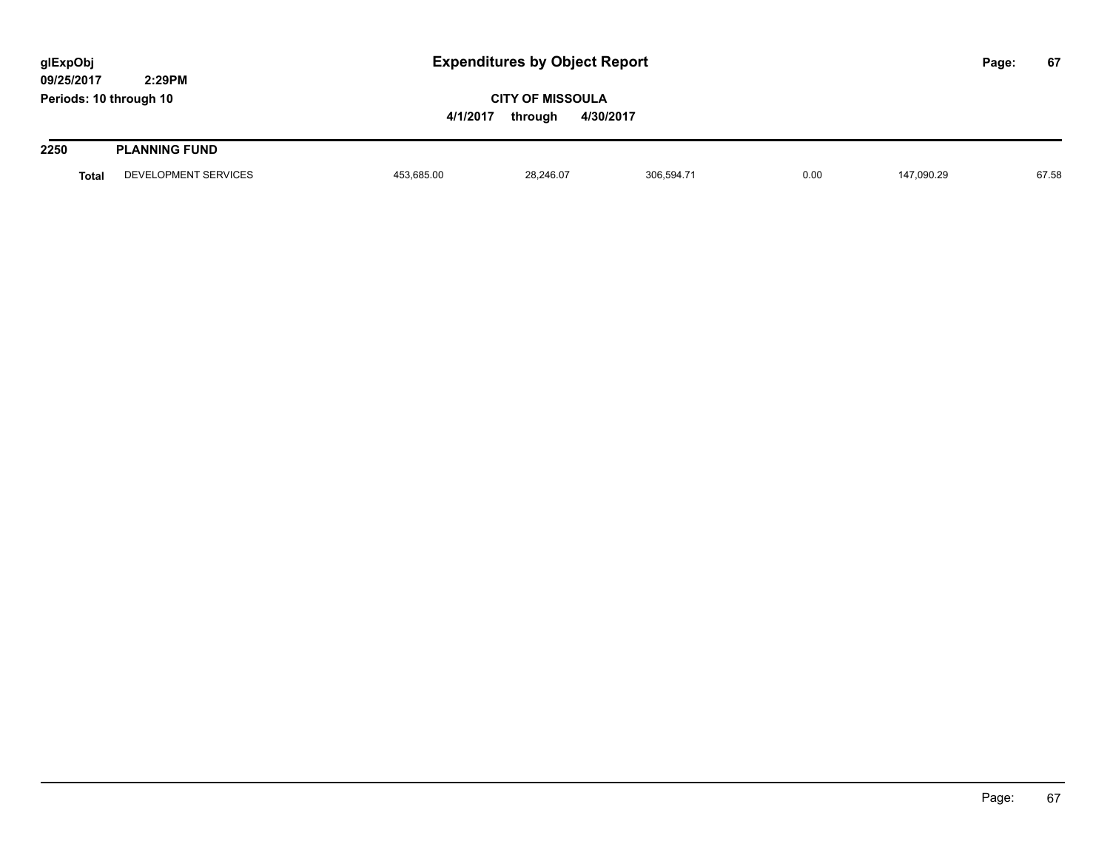| glExpObj<br>09/25/2017 | 2:29PM               |            | <b>Expenditures by Object Report</b>            |            |      |            |  | 67    |
|------------------------|----------------------|------------|-------------------------------------------------|------------|------|------------|--|-------|
| Periods: 10 through 10 |                      | 4/1/2017   | <b>CITY OF MISSOULA</b><br>4/30/2017<br>through |            |      |            |  |       |
| 2250                   | <b>PLANNING FUND</b> |            |                                                 |            |      |            |  |       |
| <b>Total</b>           | DEVELOPMENT SERVICES | 453,685.00 | 28,246.07                                       | 306,594.71 | 0.00 | 147.090.29 |  | 67.58 |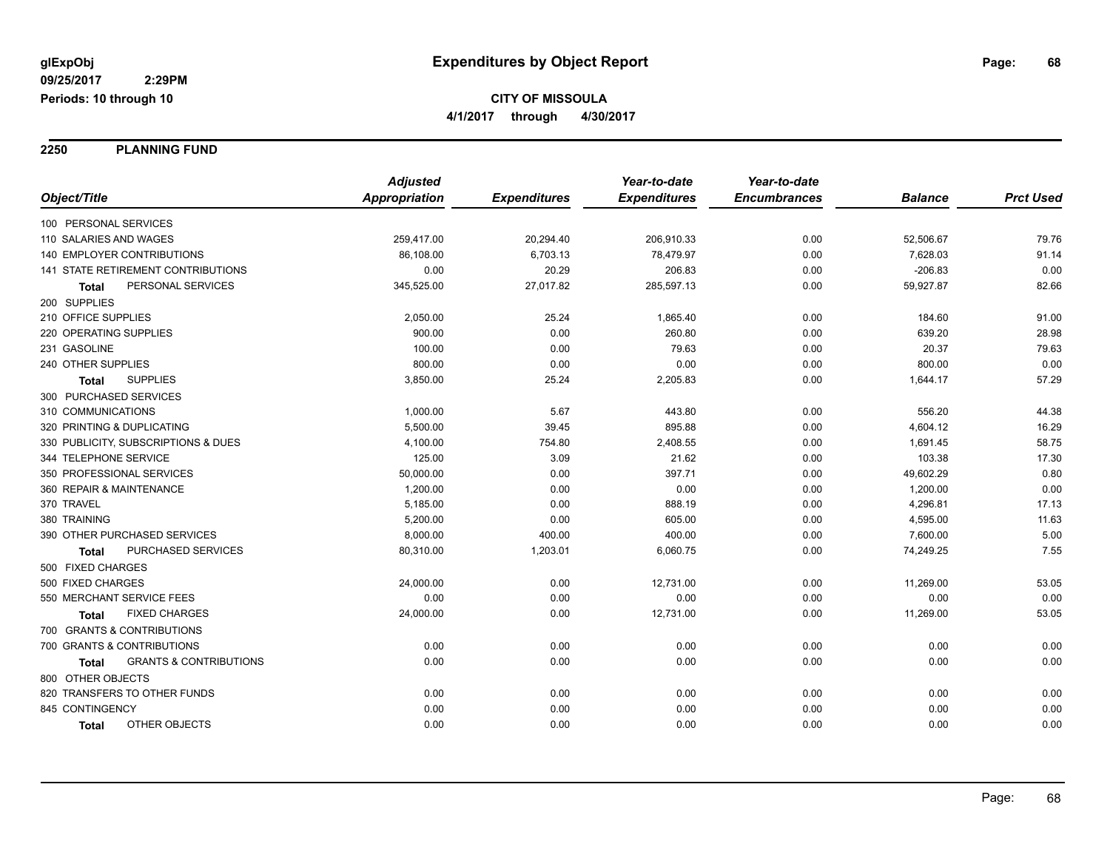**2250 PLANNING FUND**

|                                                   | <b>Adjusted</b>      |                     | Year-to-date        | Year-to-date        |                |                  |
|---------------------------------------------------|----------------------|---------------------|---------------------|---------------------|----------------|------------------|
| Object/Title                                      | <b>Appropriation</b> | <b>Expenditures</b> | <b>Expenditures</b> | <b>Encumbrances</b> | <b>Balance</b> | <b>Prct Used</b> |
| 100 PERSONAL SERVICES                             |                      |                     |                     |                     |                |                  |
| 110 SALARIES AND WAGES                            | 259,417.00           | 20,294.40           | 206,910.33          | 0.00                | 52,506.67      | 79.76            |
| <b>140 EMPLOYER CONTRIBUTIONS</b>                 | 86,108.00            | 6,703.13            | 78,479.97           | 0.00                | 7,628.03       | 91.14            |
| 141 STATE RETIREMENT CONTRIBUTIONS                | 0.00                 | 20.29               | 206.83              | 0.00                | $-206.83$      | 0.00             |
| PERSONAL SERVICES<br>Total                        | 345,525.00           | 27,017.82           | 285,597.13          | 0.00                | 59,927.87      | 82.66            |
| 200 SUPPLIES                                      |                      |                     |                     |                     |                |                  |
| 210 OFFICE SUPPLIES                               | 2,050.00             | 25.24               | 1,865.40            | 0.00                | 184.60         | 91.00            |
| 220 OPERATING SUPPLIES                            | 900.00               | 0.00                | 260.80              | 0.00                | 639.20         | 28.98            |
| 231 GASOLINE                                      | 100.00               | 0.00                | 79.63               | 0.00                | 20.37          | 79.63            |
| 240 OTHER SUPPLIES                                | 800.00               | 0.00                | 0.00                | 0.00                | 800.00         | 0.00             |
| <b>SUPPLIES</b><br>Total                          | 3,850.00             | 25.24               | 2,205.83            | 0.00                | 1,644.17       | 57.29            |
| 300 PURCHASED SERVICES                            |                      |                     |                     |                     |                |                  |
| 310 COMMUNICATIONS                                | 1,000.00             | 5.67                | 443.80              | 0.00                | 556.20         | 44.38            |
| 320 PRINTING & DUPLICATING                        | 5,500.00             | 39.45               | 895.88              | 0.00                | 4,604.12       | 16.29            |
| 330 PUBLICITY, SUBSCRIPTIONS & DUES               | 4,100.00             | 754.80              | 2,408.55            | 0.00                | 1,691.45       | 58.75            |
| 344 TELEPHONE SERVICE                             | 125.00               | 3.09                | 21.62               | 0.00                | 103.38         | 17.30            |
| 350 PROFESSIONAL SERVICES                         | 50,000.00            | 0.00                | 397.71              | 0.00                | 49,602.29      | 0.80             |
| 360 REPAIR & MAINTENANCE                          | 1,200.00             | 0.00                | 0.00                | 0.00                | 1,200.00       | 0.00             |
| 370 TRAVEL                                        | 5,185.00             | 0.00                | 888.19              | 0.00                | 4,296.81       | 17.13            |
| 380 TRAINING                                      | 5,200.00             | 0.00                | 605.00              | 0.00                | 4,595.00       | 11.63            |
| 390 OTHER PURCHASED SERVICES                      | 8,000.00             | 400.00              | 400.00              | 0.00                | 7,600.00       | 5.00             |
| PURCHASED SERVICES<br>Total                       | 80,310.00            | 1,203.01            | 6,060.75            | 0.00                | 74,249.25      | 7.55             |
| 500 FIXED CHARGES                                 |                      |                     |                     |                     |                |                  |
| 500 FIXED CHARGES                                 | 24,000.00            | 0.00                | 12,731.00           | 0.00                | 11,269.00      | 53.05            |
| 550 MERCHANT SERVICE FEES                         | 0.00                 | 0.00                | 0.00                | 0.00                | 0.00           | 0.00             |
| <b>FIXED CHARGES</b><br>Total                     | 24,000.00            | 0.00                | 12,731.00           | 0.00                | 11,269.00      | 53.05            |
| 700 GRANTS & CONTRIBUTIONS                        |                      |                     |                     |                     |                |                  |
| 700 GRANTS & CONTRIBUTIONS                        | 0.00                 | 0.00                | 0.00                | 0.00                | 0.00           | 0.00             |
| <b>GRANTS &amp; CONTRIBUTIONS</b><br><b>Total</b> | 0.00                 | 0.00                | 0.00                | 0.00                | 0.00           | 0.00             |
| 800 OTHER OBJECTS                                 |                      |                     |                     |                     |                |                  |
| 820 TRANSFERS TO OTHER FUNDS                      | 0.00                 | 0.00                | 0.00                | 0.00                | 0.00           | 0.00             |
| 845 CONTINGENCY                                   | 0.00                 | 0.00                | 0.00                | 0.00                | 0.00           | 0.00             |
| <b>OTHER OBJECTS</b><br><b>Total</b>              | 0.00                 | 0.00                | 0.00                | 0.00                | 0.00           | 0.00             |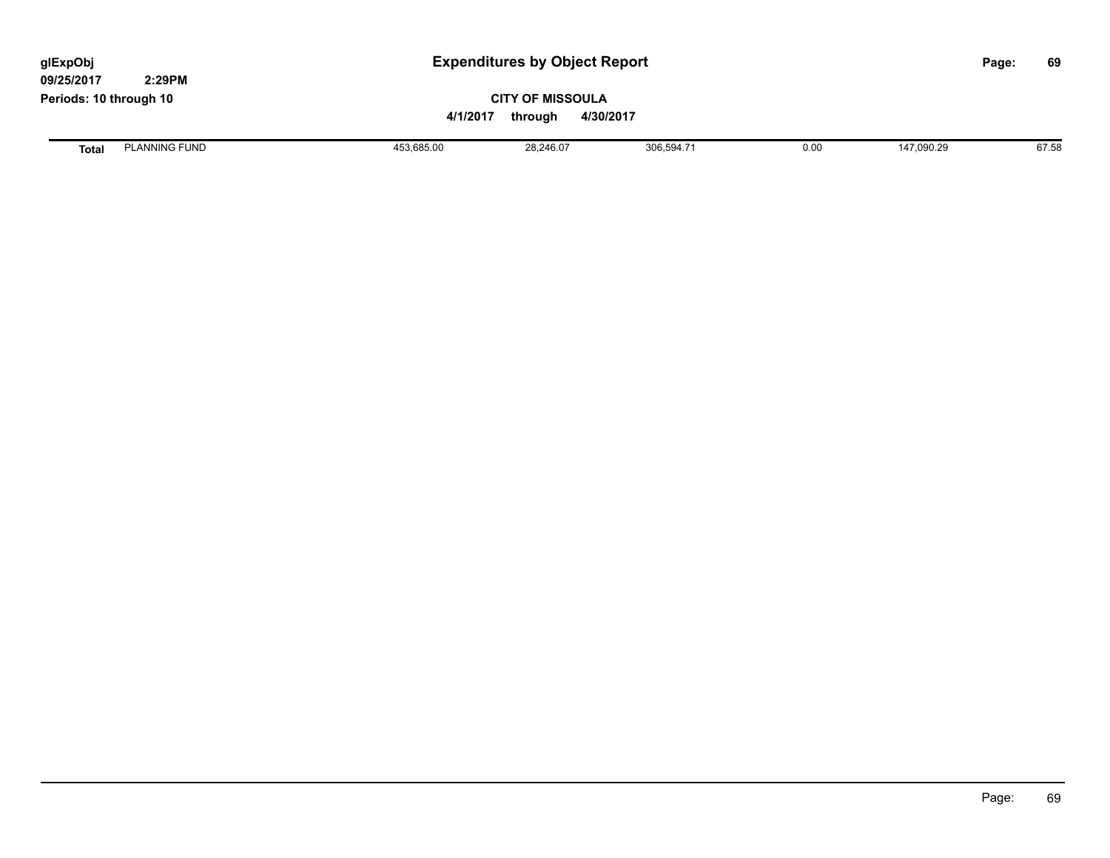| glExpObj<br>09/25/2017 | 2:29PM               |            | <b>Expenditures by Object Report</b>                        |            |      |            |  |       |
|------------------------|----------------------|------------|-------------------------------------------------------------|------------|------|------------|--|-------|
| Periods: 10 through 10 |                      |            | <b>CITY OF MISSOULA</b><br>4/1/2017<br>4/30/2017<br>through |            |      |            |  |       |
| <b>Total</b>           | <b>PLANNING FUND</b> | 453,685.00 | 28,246.07                                                   | 306,594.71 | 0.00 | 147,090.29 |  | 67.58 |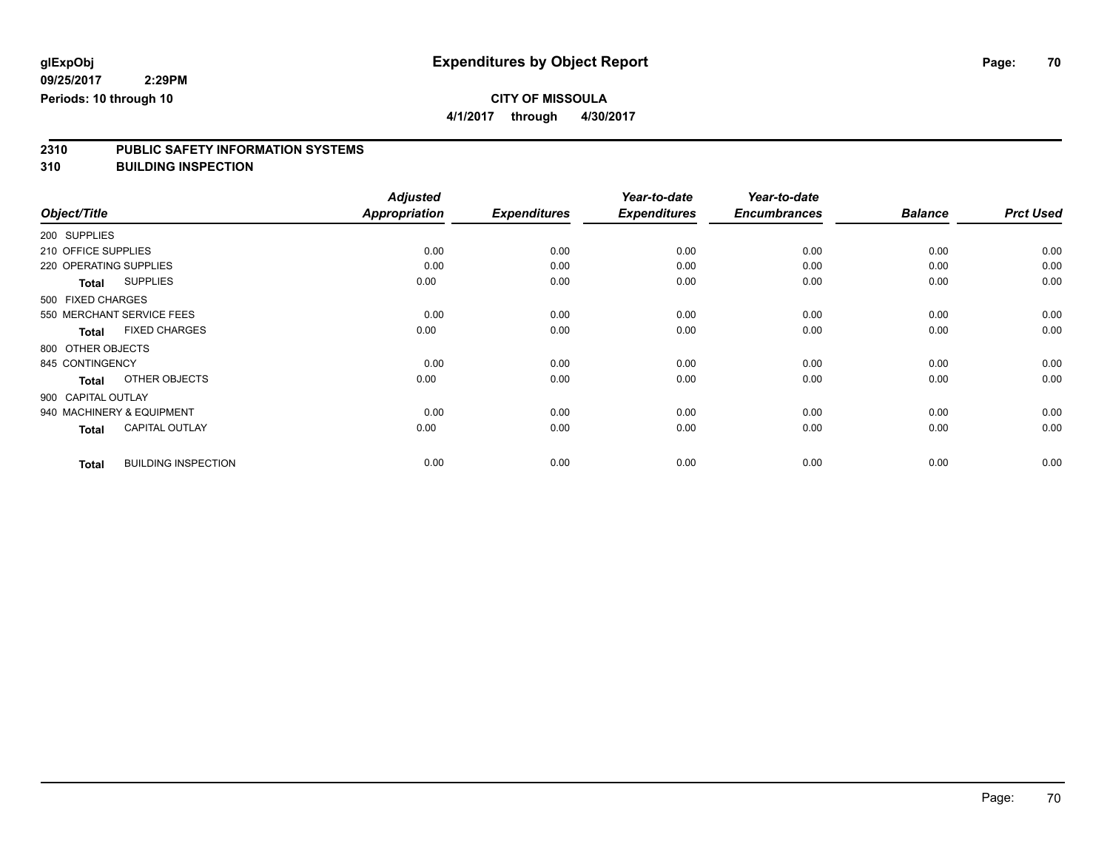**4/1/2017 through 4/30/2017**

# **2310 PUBLIC SAFETY INFORMATION SYSTEMS**

**310 BUILDING INSPECTION**

|                           |                            | <b>Adjusted</b>      |                     | Year-to-date        | Year-to-date        |                |                  |
|---------------------------|----------------------------|----------------------|---------------------|---------------------|---------------------|----------------|------------------|
| Object/Title              |                            | <b>Appropriation</b> | <b>Expenditures</b> | <b>Expenditures</b> | <b>Encumbrances</b> | <b>Balance</b> | <b>Prct Used</b> |
| 200 SUPPLIES              |                            |                      |                     |                     |                     |                |                  |
| 210 OFFICE SUPPLIES       |                            | 0.00                 | 0.00                | 0.00                | 0.00                | 0.00           | 0.00             |
| 220 OPERATING SUPPLIES    |                            | 0.00                 | 0.00                | 0.00                | 0.00                | 0.00           | 0.00             |
| <b>Total</b>              | <b>SUPPLIES</b>            | 0.00                 | 0.00                | 0.00                | 0.00                | 0.00           | 0.00             |
| 500 FIXED CHARGES         |                            |                      |                     |                     |                     |                |                  |
| 550 MERCHANT SERVICE FEES |                            | 0.00                 | 0.00                | 0.00                | 0.00                | 0.00           | 0.00             |
| <b>Total</b>              | <b>FIXED CHARGES</b>       | 0.00                 | 0.00                | 0.00                | 0.00                | 0.00           | 0.00             |
| 800 OTHER OBJECTS         |                            |                      |                     |                     |                     |                |                  |
| 845 CONTINGENCY           |                            | 0.00                 | 0.00                | 0.00                | 0.00                | 0.00           | 0.00             |
| <b>Total</b>              | OTHER OBJECTS              | 0.00                 | 0.00                | 0.00                | 0.00                | 0.00           | 0.00             |
| 900 CAPITAL OUTLAY        |                            |                      |                     |                     |                     |                |                  |
| 940 MACHINERY & EQUIPMENT |                            | 0.00                 | 0.00                | 0.00                | 0.00                | 0.00           | 0.00             |
| <b>Total</b>              | <b>CAPITAL OUTLAY</b>      | 0.00                 | 0.00                | 0.00                | 0.00                | 0.00           | 0.00             |
| <b>Total</b>              | <b>BUILDING INSPECTION</b> | 0.00                 | 0.00                | 0.00                | 0.00                | 0.00           | 0.00             |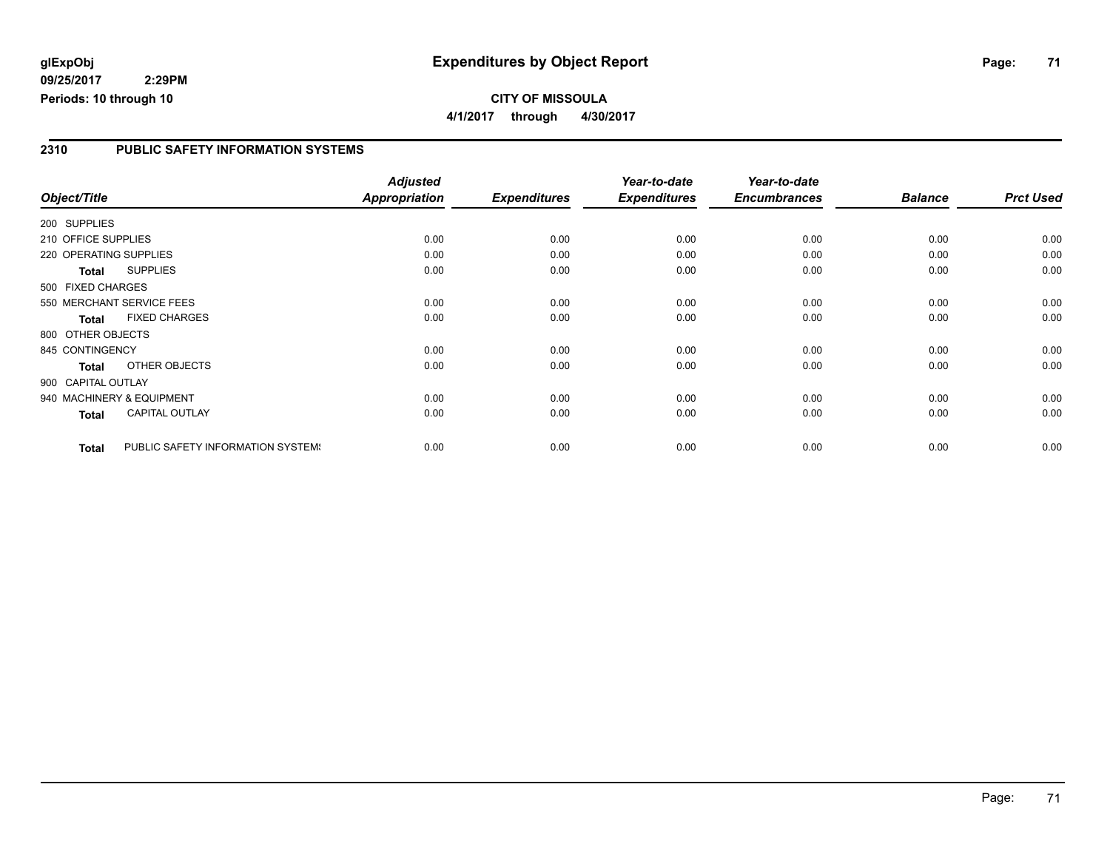## **glExpObj Expenditures by Object Report Page: 71**

**09/25/2017 2:29PM Periods: 10 through 10**

### **2310 PUBLIC SAFETY INFORMATION SYSTEMS**

|                        |                                   | <b>Adjusted</b> |                     | Year-to-date        | Year-to-date        |                |                  |
|------------------------|-----------------------------------|-----------------|---------------------|---------------------|---------------------|----------------|------------------|
| Object/Title           |                                   | Appropriation   | <b>Expenditures</b> | <b>Expenditures</b> | <b>Encumbrances</b> | <b>Balance</b> | <b>Prct Used</b> |
| 200 SUPPLIES           |                                   |                 |                     |                     |                     |                |                  |
| 210 OFFICE SUPPLIES    |                                   | 0.00            | 0.00                | 0.00                | 0.00                | 0.00           | 0.00             |
| 220 OPERATING SUPPLIES |                                   | 0.00            | 0.00                | 0.00                | 0.00                | 0.00           | 0.00             |
| Total                  | <b>SUPPLIES</b>                   | 0.00            | 0.00                | 0.00                | 0.00                | 0.00           | 0.00             |
| 500 FIXED CHARGES      |                                   |                 |                     |                     |                     |                |                  |
|                        | 550 MERCHANT SERVICE FEES         | 0.00            | 0.00                | 0.00                | 0.00                | 0.00           | 0.00             |
| <b>Total</b>           | <b>FIXED CHARGES</b>              | 0.00            | 0.00                | 0.00                | 0.00                | 0.00           | 0.00             |
| 800 OTHER OBJECTS      |                                   |                 |                     |                     |                     |                |                  |
| 845 CONTINGENCY        |                                   | 0.00            | 0.00                | 0.00                | 0.00                | 0.00           | 0.00             |
| <b>Total</b>           | OTHER OBJECTS                     | 0.00            | 0.00                | 0.00                | 0.00                | 0.00           | 0.00             |
| 900 CAPITAL OUTLAY     |                                   |                 |                     |                     |                     |                |                  |
|                        | 940 MACHINERY & EQUIPMENT         | 0.00            | 0.00                | 0.00                | 0.00                | 0.00           | 0.00             |
| Total                  | <b>CAPITAL OUTLAY</b>             | 0.00            | 0.00                | 0.00                | 0.00                | 0.00           | 0.00             |
| <b>Total</b>           | PUBLIC SAFETY INFORMATION SYSTEM! | 0.00            | 0.00                | 0.00                | 0.00                | 0.00           | 0.00             |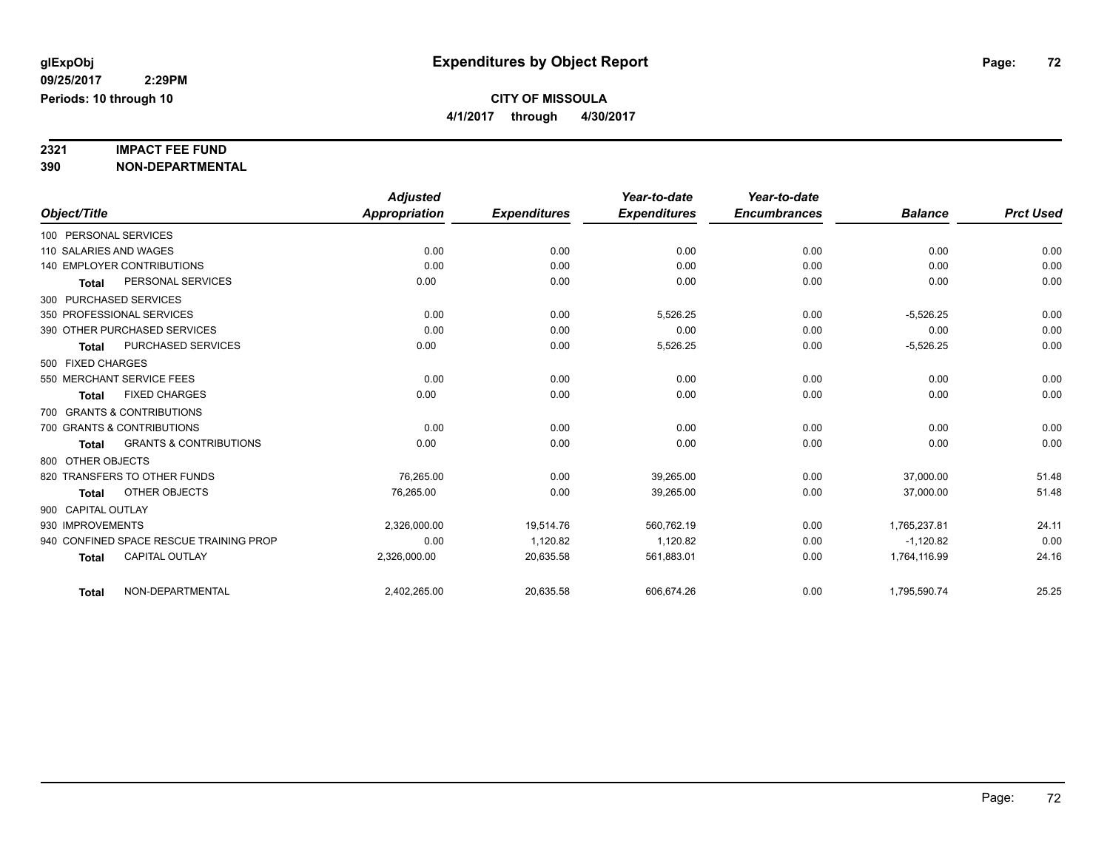# **2321 IMPACT FEE FUND**

**390 NON-DEPARTMENTAL**

|                                                   | <b>Adjusted</b> |                     | Year-to-date        | Year-to-date        |                |                  |
|---------------------------------------------------|-----------------|---------------------|---------------------|---------------------|----------------|------------------|
| Object/Title                                      | Appropriation   | <b>Expenditures</b> | <b>Expenditures</b> | <b>Encumbrances</b> | <b>Balance</b> | <b>Prct Used</b> |
| 100 PERSONAL SERVICES                             |                 |                     |                     |                     |                |                  |
| 110 SALARIES AND WAGES                            | 0.00            | 0.00                | 0.00                | 0.00                | 0.00           | 0.00             |
| <b>140 EMPLOYER CONTRIBUTIONS</b>                 | 0.00            | 0.00                | 0.00                | 0.00                | 0.00           | 0.00             |
| PERSONAL SERVICES<br><b>Total</b>                 | 0.00            | 0.00                | 0.00                | 0.00                | 0.00           | 0.00             |
| 300 PURCHASED SERVICES                            |                 |                     |                     |                     |                |                  |
| 350 PROFESSIONAL SERVICES                         | 0.00            | 0.00                | 5,526.25            | 0.00                | $-5,526.25$    | 0.00             |
| 390 OTHER PURCHASED SERVICES                      | 0.00            | 0.00                | 0.00                | 0.00                | 0.00           | 0.00             |
| PURCHASED SERVICES<br><b>Total</b>                | 0.00            | 0.00                | 5,526.25            | 0.00                | $-5,526.25$    | 0.00             |
| 500 FIXED CHARGES                                 |                 |                     |                     |                     |                |                  |
| 550 MERCHANT SERVICE FEES                         | 0.00            | 0.00                | 0.00                | 0.00                | 0.00           | 0.00             |
| <b>FIXED CHARGES</b><br><b>Total</b>              | 0.00            | 0.00                | 0.00                | 0.00                | 0.00           | 0.00             |
| 700 GRANTS & CONTRIBUTIONS                        |                 |                     |                     |                     |                |                  |
| 700 GRANTS & CONTRIBUTIONS                        | 0.00            | 0.00                | 0.00                | 0.00                | 0.00           | 0.00             |
| <b>GRANTS &amp; CONTRIBUTIONS</b><br><b>Total</b> | 0.00            | 0.00                | 0.00                | 0.00                | 0.00           | 0.00             |
| 800 OTHER OBJECTS                                 |                 |                     |                     |                     |                |                  |
| 820 TRANSFERS TO OTHER FUNDS                      | 76.265.00       | 0.00                | 39.265.00           | 0.00                | 37,000.00      | 51.48            |
| OTHER OBJECTS<br><b>Total</b>                     | 76,265.00       | 0.00                | 39,265.00           | 0.00                | 37,000.00      | 51.48            |
| 900 CAPITAL OUTLAY                                |                 |                     |                     |                     |                |                  |
| 930 IMPROVEMENTS                                  | 2,326,000.00    | 19.514.76           | 560,762.19          | 0.00                | 1.765.237.81   | 24.11            |
| 940 CONFINED SPACE RESCUE TRAINING PROP           | 0.00            | 1,120.82            | 1,120.82            | 0.00                | $-1,120.82$    | 0.00             |
| <b>CAPITAL OUTLAY</b><br><b>Total</b>             | 2,326,000.00    | 20,635.58           | 561,883.01          | 0.00                | 1,764,116.99   | 24.16            |
|                                                   |                 |                     |                     |                     |                |                  |
| NON-DEPARTMENTAL<br><b>Total</b>                  | 2,402,265.00    | 20,635.58           | 606,674.26          | 0.00                | 1,795,590.74   | 25.25            |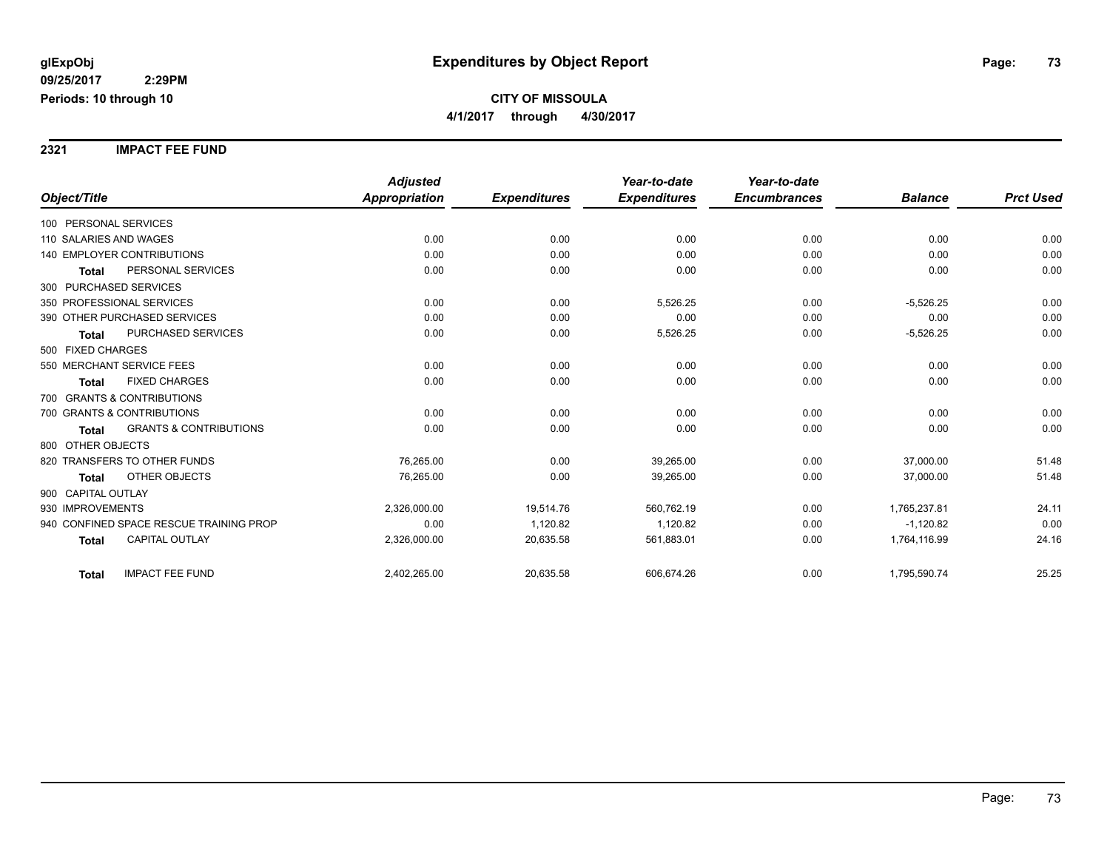**2321 IMPACT FEE FUND**

|                                                   | <b>Adjusted</b>      |                     | Year-to-date        | Year-to-date        |                |                  |
|---------------------------------------------------|----------------------|---------------------|---------------------|---------------------|----------------|------------------|
| Object/Title                                      | <b>Appropriation</b> | <b>Expenditures</b> | <b>Expenditures</b> | <b>Encumbrances</b> | <b>Balance</b> | <b>Prct Used</b> |
| 100 PERSONAL SERVICES                             |                      |                     |                     |                     |                |                  |
| 110 SALARIES AND WAGES                            | 0.00                 | 0.00                | 0.00                | 0.00                | 0.00           | 0.00             |
| <b>140 EMPLOYER CONTRIBUTIONS</b>                 | 0.00                 | 0.00                | 0.00                | 0.00                | 0.00           | 0.00             |
| PERSONAL SERVICES<br><b>Total</b>                 | 0.00                 | 0.00                | 0.00                | 0.00                | 0.00           | 0.00             |
| 300 PURCHASED SERVICES                            |                      |                     |                     |                     |                |                  |
| 350 PROFESSIONAL SERVICES                         | 0.00                 | 0.00                | 5,526.25            | 0.00                | $-5,526.25$    | 0.00             |
| 390 OTHER PURCHASED SERVICES                      | 0.00                 | 0.00                | 0.00                | 0.00                | 0.00           | 0.00             |
| PURCHASED SERVICES<br><b>Total</b>                | 0.00                 | 0.00                | 5,526.25            | 0.00                | $-5,526.25$    | 0.00             |
| 500 FIXED CHARGES                                 |                      |                     |                     |                     |                |                  |
| 550 MERCHANT SERVICE FEES                         | 0.00                 | 0.00                | 0.00                | 0.00                | 0.00           | 0.00             |
| <b>FIXED CHARGES</b><br><b>Total</b>              | 0.00                 | 0.00                | 0.00                | 0.00                | 0.00           | 0.00             |
| 700 GRANTS & CONTRIBUTIONS                        |                      |                     |                     |                     |                |                  |
| 700 GRANTS & CONTRIBUTIONS                        | 0.00                 | 0.00                | 0.00                | 0.00                | 0.00           | 0.00             |
| <b>GRANTS &amp; CONTRIBUTIONS</b><br><b>Total</b> | 0.00                 | 0.00                | 0.00                | 0.00                | 0.00           | 0.00             |
| 800 OTHER OBJECTS                                 |                      |                     |                     |                     |                |                  |
| 820 TRANSFERS TO OTHER FUNDS                      | 76,265.00            | 0.00                | 39,265.00           | 0.00                | 37,000.00      | 51.48            |
| OTHER OBJECTS<br><b>Total</b>                     | 76,265.00            | 0.00                | 39,265.00           | 0.00                | 37,000.00      | 51.48            |
| 900 CAPITAL OUTLAY                                |                      |                     |                     |                     |                |                  |
| 930 IMPROVEMENTS                                  | 2,326,000.00         | 19,514.76           | 560,762.19          | 0.00                | 1,765,237.81   | 24.11            |
| 940 CONFINED SPACE RESCUE TRAINING PROP           | 0.00                 | 1,120.82            | 1,120.82            | 0.00                | $-1,120.82$    | 0.00             |
| CAPITAL OUTLAY<br><b>Total</b>                    | 2,326,000.00         | 20,635.58           | 561,883.01          | 0.00                | 1,764,116.99   | 24.16            |
| <b>IMPACT FEE FUND</b><br><b>Total</b>            | 2,402,265.00         | 20,635.58           | 606,674.26          | 0.00                | 1,795,590.74   | 25.25            |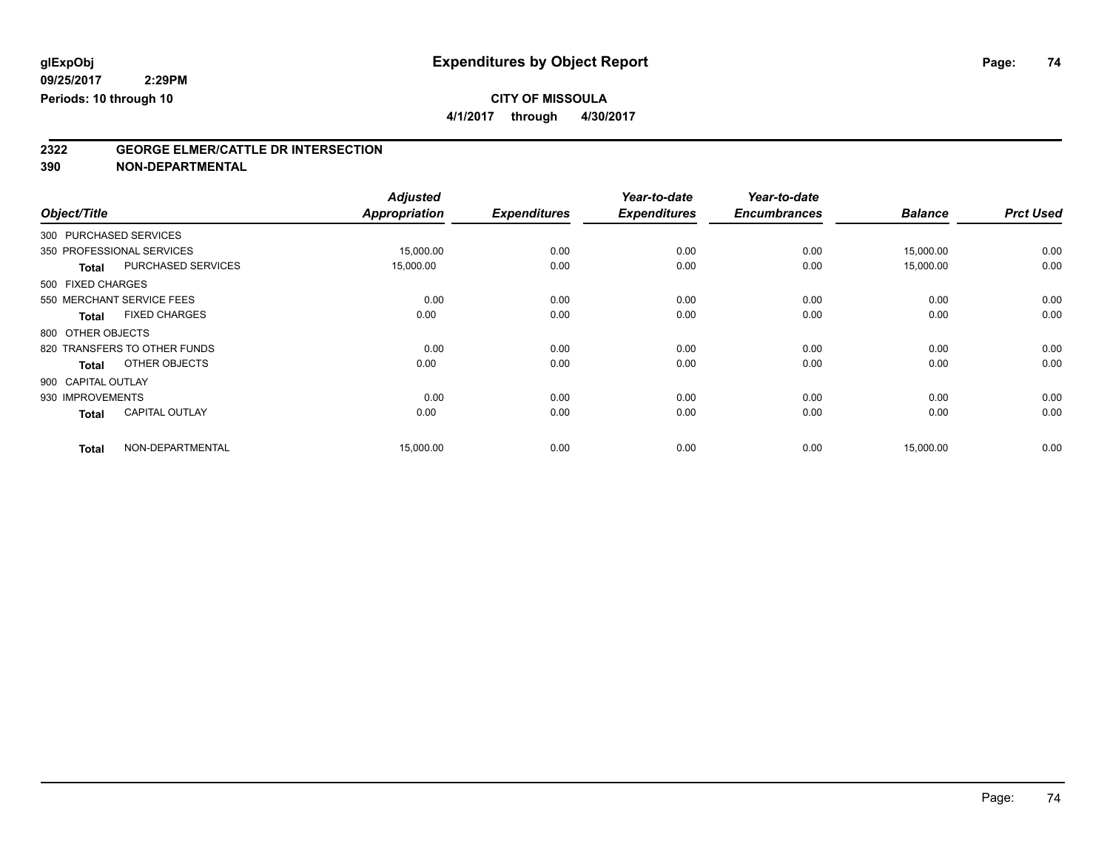**4/1/2017 through 4/30/2017**

# **2322 GEORGE ELMER/CATTLE DR INTERSECTION**

**390 NON-DEPARTMENTAL**

|                    |                              | <b>Adjusted</b> |                     | Year-to-date        | Year-to-date        |                |                  |
|--------------------|------------------------------|-----------------|---------------------|---------------------|---------------------|----------------|------------------|
| Object/Title       |                              | Appropriation   | <b>Expenditures</b> | <b>Expenditures</b> | <b>Encumbrances</b> | <b>Balance</b> | <b>Prct Used</b> |
|                    | 300 PURCHASED SERVICES       |                 |                     |                     |                     |                |                  |
|                    | 350 PROFESSIONAL SERVICES    | 15,000.00       | 0.00                | 0.00                | 0.00                | 15,000.00      | 0.00             |
| <b>Total</b>       | <b>PURCHASED SERVICES</b>    | 15,000.00       | 0.00                | 0.00                | 0.00                | 15,000.00      | 0.00             |
| 500 FIXED CHARGES  |                              |                 |                     |                     |                     |                |                  |
|                    | 550 MERCHANT SERVICE FEES    | 0.00            | 0.00                | 0.00                | 0.00                | 0.00           | 0.00             |
| <b>Total</b>       | <b>FIXED CHARGES</b>         | 0.00            | 0.00                | 0.00                | 0.00                | 0.00           | 0.00             |
| 800 OTHER OBJECTS  |                              |                 |                     |                     |                     |                |                  |
|                    | 820 TRANSFERS TO OTHER FUNDS | 0.00            | 0.00                | 0.00                | 0.00                | 0.00           | 0.00             |
| <b>Total</b>       | OTHER OBJECTS                | 0.00            | 0.00                | 0.00                | 0.00                | 0.00           | 0.00             |
| 900 CAPITAL OUTLAY |                              |                 |                     |                     |                     |                |                  |
| 930 IMPROVEMENTS   |                              | 0.00            | 0.00                | 0.00                | 0.00                | 0.00           | 0.00             |
| <b>Total</b>       | <b>CAPITAL OUTLAY</b>        | 0.00            | 0.00                | 0.00                | 0.00                | 0.00           | 0.00             |
| <b>Total</b>       | NON-DEPARTMENTAL             | 15,000.00       | 0.00                | 0.00                | 0.00                | 15,000.00      | 0.00             |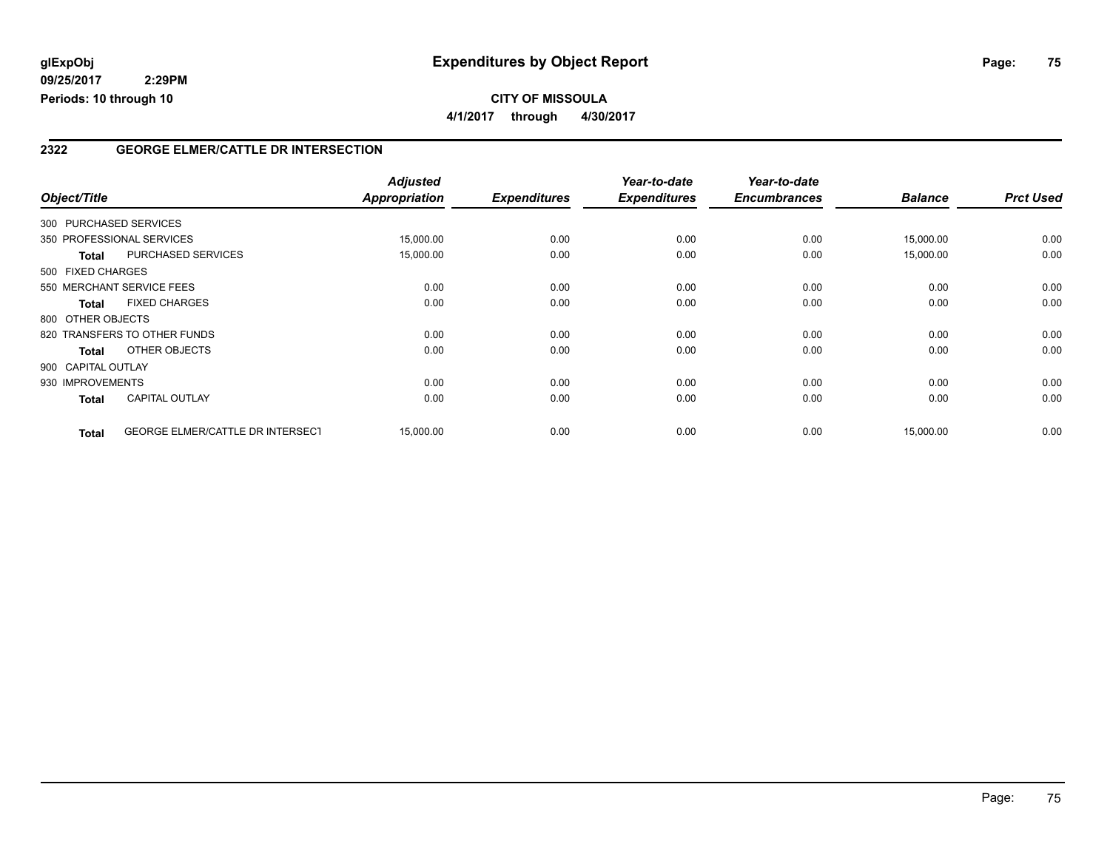#### **CITY OF MISSOULA 4/1/2017 through 4/30/2017**

#### **2322 GEORGE ELMER/CATTLE DR INTERSECTION**

| Object/Title                 |                                         | <b>Adjusted</b><br><b>Appropriation</b> | <b>Expenditures</b> | Year-to-date<br><b>Expenditures</b> | Year-to-date<br><b>Encumbrances</b> | <b>Balance</b> | <b>Prct Used</b> |
|------------------------------|-----------------------------------------|-----------------------------------------|---------------------|-------------------------------------|-------------------------------------|----------------|------------------|
| 300 PURCHASED SERVICES       |                                         |                                         |                     |                                     |                                     |                |                  |
|                              |                                         |                                         |                     |                                     |                                     |                |                  |
| 350 PROFESSIONAL SERVICES    |                                         | 15,000.00                               | 0.00                | 0.00                                | 0.00                                | 15,000.00      | 0.00             |
| <b>Total</b>                 | <b>PURCHASED SERVICES</b>               | 15,000.00                               | 0.00                | 0.00                                | 0.00                                | 15,000.00      | 0.00             |
| 500 FIXED CHARGES            |                                         |                                         |                     |                                     |                                     |                |                  |
| 550 MERCHANT SERVICE FEES    |                                         | 0.00                                    | 0.00                | 0.00                                | 0.00                                | 0.00           | 0.00             |
| <b>Total</b>                 | <b>FIXED CHARGES</b>                    | 0.00                                    | 0.00                | 0.00                                | 0.00                                | 0.00           | 0.00             |
| 800 OTHER OBJECTS            |                                         |                                         |                     |                                     |                                     |                |                  |
| 820 TRANSFERS TO OTHER FUNDS |                                         | 0.00                                    | 0.00                | 0.00                                | 0.00                                | 0.00           | 0.00             |
| Total                        | OTHER OBJECTS                           | 0.00                                    | 0.00                | 0.00                                | 0.00                                | 0.00           | 0.00             |
| 900 CAPITAL OUTLAY           |                                         |                                         |                     |                                     |                                     |                |                  |
| 930 IMPROVEMENTS             |                                         | 0.00                                    | 0.00                | 0.00                                | 0.00                                | 0.00           | 0.00             |
| <b>Total</b>                 | <b>CAPITAL OUTLAY</b>                   | 0.00                                    | 0.00                | 0.00                                | 0.00                                | 0.00           | 0.00             |
| <b>Total</b>                 | <b>GEORGE ELMER/CATTLE DR INTERSECT</b> | 15,000.00                               | 0.00                | 0.00                                | 0.00                                | 15,000.00      | 0.00             |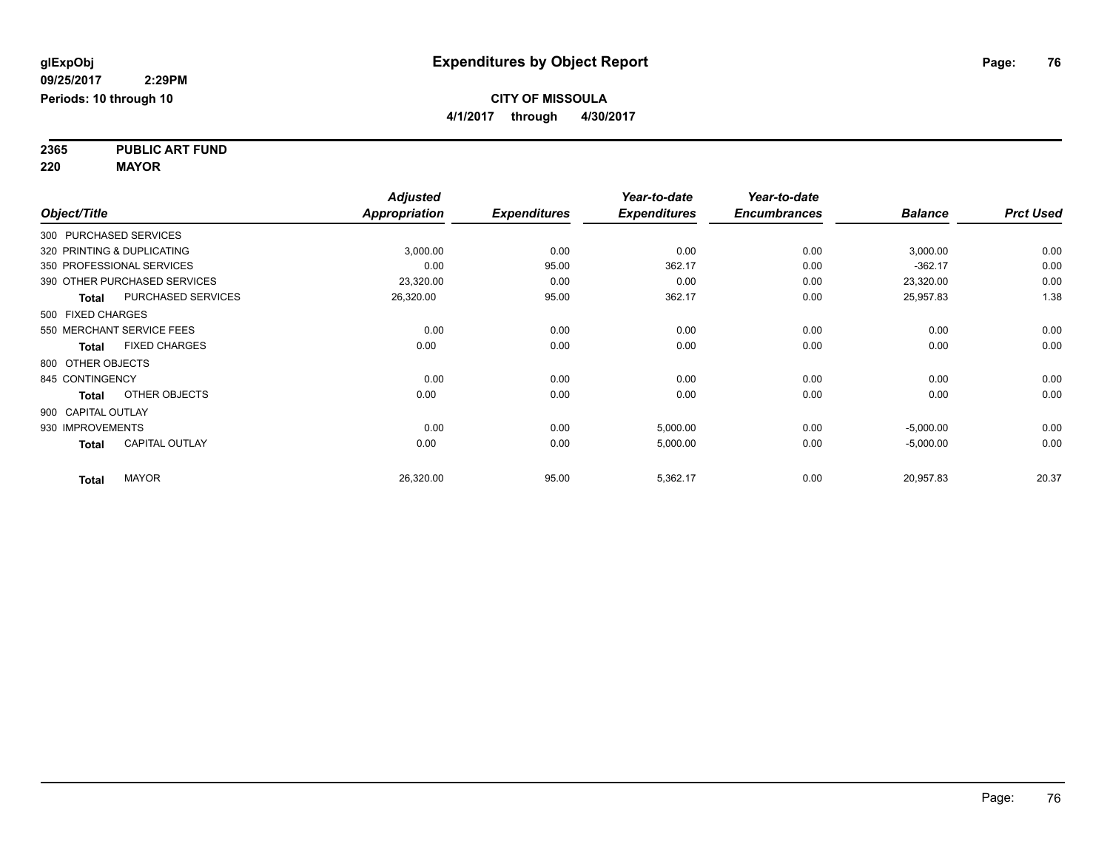**2365 PUBLIC ART FUND 220 MAYOR**

|                    |                              | <b>Adjusted</b>      |                     | Year-to-date        | Year-to-date        |                |                  |
|--------------------|------------------------------|----------------------|---------------------|---------------------|---------------------|----------------|------------------|
| Object/Title       |                              | <b>Appropriation</b> | <b>Expenditures</b> | <b>Expenditures</b> | <b>Encumbrances</b> | <b>Balance</b> | <b>Prct Used</b> |
|                    | 300 PURCHASED SERVICES       |                      |                     |                     |                     |                |                  |
|                    | 320 PRINTING & DUPLICATING   | 3,000.00             | 0.00                | 0.00                | 0.00                | 3,000.00       | 0.00             |
|                    | 350 PROFESSIONAL SERVICES    | 0.00                 | 95.00               | 362.17              | 0.00                | $-362.17$      | 0.00             |
|                    | 390 OTHER PURCHASED SERVICES | 23,320.00            | 0.00                | 0.00                | 0.00                | 23,320.00      | 0.00             |
| <b>Total</b>       | PURCHASED SERVICES           | 26,320.00            | 95.00               | 362.17              | 0.00                | 25,957.83      | 1.38             |
| 500 FIXED CHARGES  |                              |                      |                     |                     |                     |                |                  |
|                    | 550 MERCHANT SERVICE FEES    | 0.00                 | 0.00                | 0.00                | 0.00                | 0.00           | 0.00             |
| <b>Total</b>       | <b>FIXED CHARGES</b>         | 0.00                 | 0.00                | 0.00                | 0.00                | 0.00           | 0.00             |
| 800 OTHER OBJECTS  |                              |                      |                     |                     |                     |                |                  |
| 845 CONTINGENCY    |                              | 0.00                 | 0.00                | 0.00                | 0.00                | 0.00           | 0.00             |
| <b>Total</b>       | OTHER OBJECTS                | 0.00                 | 0.00                | 0.00                | 0.00                | 0.00           | 0.00             |
| 900 CAPITAL OUTLAY |                              |                      |                     |                     |                     |                |                  |
| 930 IMPROVEMENTS   |                              | 0.00                 | 0.00                | 5,000.00            | 0.00                | $-5,000.00$    | 0.00             |
| <b>Total</b>       | <b>CAPITAL OUTLAY</b>        | 0.00                 | 0.00                | 5,000.00            | 0.00                | $-5,000.00$    | 0.00             |
| <b>Total</b>       | <b>MAYOR</b>                 | 26,320.00            | 95.00               | 5,362.17            | 0.00                | 20,957.83      | 20.37            |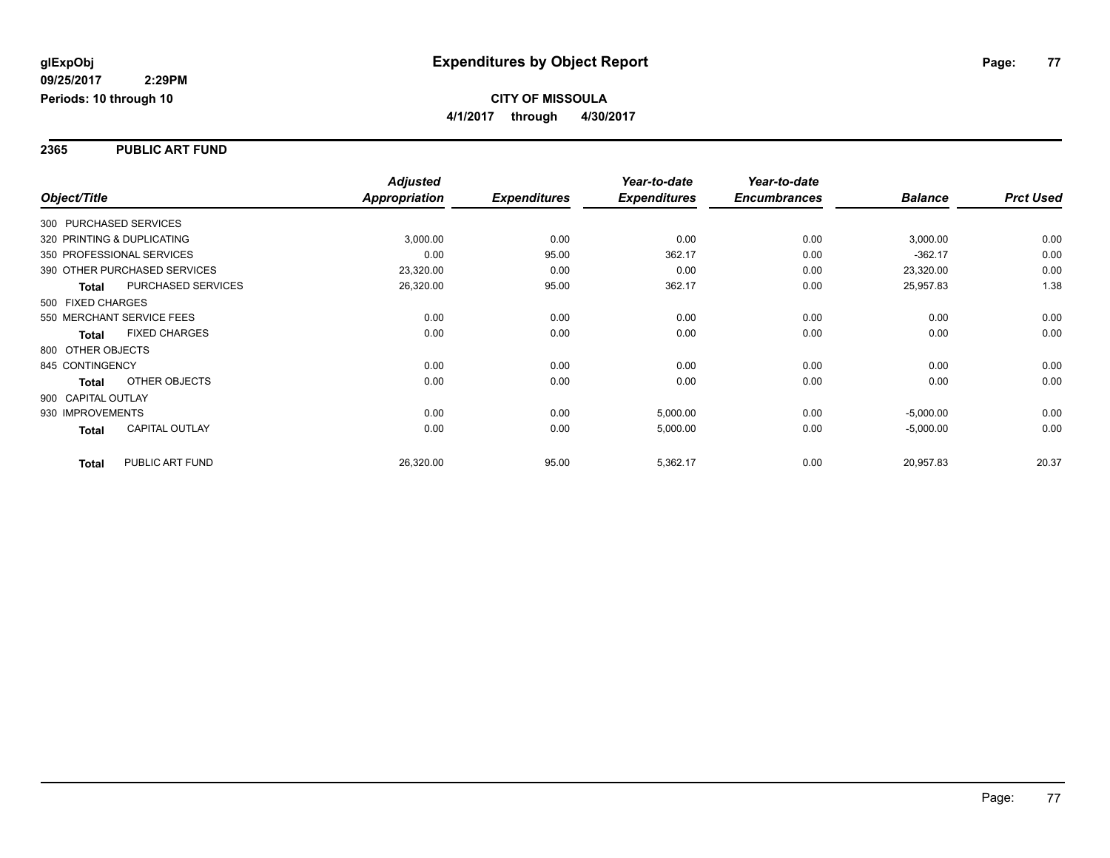#### **2365 PUBLIC ART FUND**

|                    |                              | <b>Adjusted</b>      |                     | Year-to-date        | Year-to-date        |                |                  |
|--------------------|------------------------------|----------------------|---------------------|---------------------|---------------------|----------------|------------------|
| Object/Title       |                              | <b>Appropriation</b> | <b>Expenditures</b> | <b>Expenditures</b> | <b>Encumbrances</b> | <b>Balance</b> | <b>Prct Used</b> |
|                    | 300 PURCHASED SERVICES       |                      |                     |                     |                     |                |                  |
|                    | 320 PRINTING & DUPLICATING   | 3,000.00             | 0.00                | 0.00                | 0.00                | 3,000.00       | 0.00             |
|                    | 350 PROFESSIONAL SERVICES    | 0.00                 | 95.00               | 362.17              | 0.00                | $-362.17$      | 0.00             |
|                    | 390 OTHER PURCHASED SERVICES | 23,320.00            | 0.00                | 0.00                | 0.00                | 23,320.00      | 0.00             |
| <b>Total</b>       | <b>PURCHASED SERVICES</b>    | 26,320.00            | 95.00               | 362.17              | 0.00                | 25,957.83      | 1.38             |
| 500 FIXED CHARGES  |                              |                      |                     |                     |                     |                |                  |
|                    | 550 MERCHANT SERVICE FEES    | 0.00                 | 0.00                | 0.00                | 0.00                | 0.00           | 0.00             |
| <b>Total</b>       | <b>FIXED CHARGES</b>         | 0.00                 | 0.00                | 0.00                | 0.00                | 0.00           | 0.00             |
| 800 OTHER OBJECTS  |                              |                      |                     |                     |                     |                |                  |
| 845 CONTINGENCY    |                              | 0.00                 | 0.00                | 0.00                | 0.00                | 0.00           | 0.00             |
| Total              | OTHER OBJECTS                | 0.00                 | 0.00                | 0.00                | 0.00                | 0.00           | 0.00             |
| 900 CAPITAL OUTLAY |                              |                      |                     |                     |                     |                |                  |
| 930 IMPROVEMENTS   |                              | 0.00                 | 0.00                | 5,000.00            | 0.00                | $-5,000.00$    | 0.00             |
| Total              | <b>CAPITAL OUTLAY</b>        | 0.00                 | 0.00                | 5,000.00            | 0.00                | $-5,000.00$    | 0.00             |
| <b>Total</b>       | PUBLIC ART FUND              | 26,320.00            | 95.00               | 5,362.17            | 0.00                | 20,957.83      | 20.37            |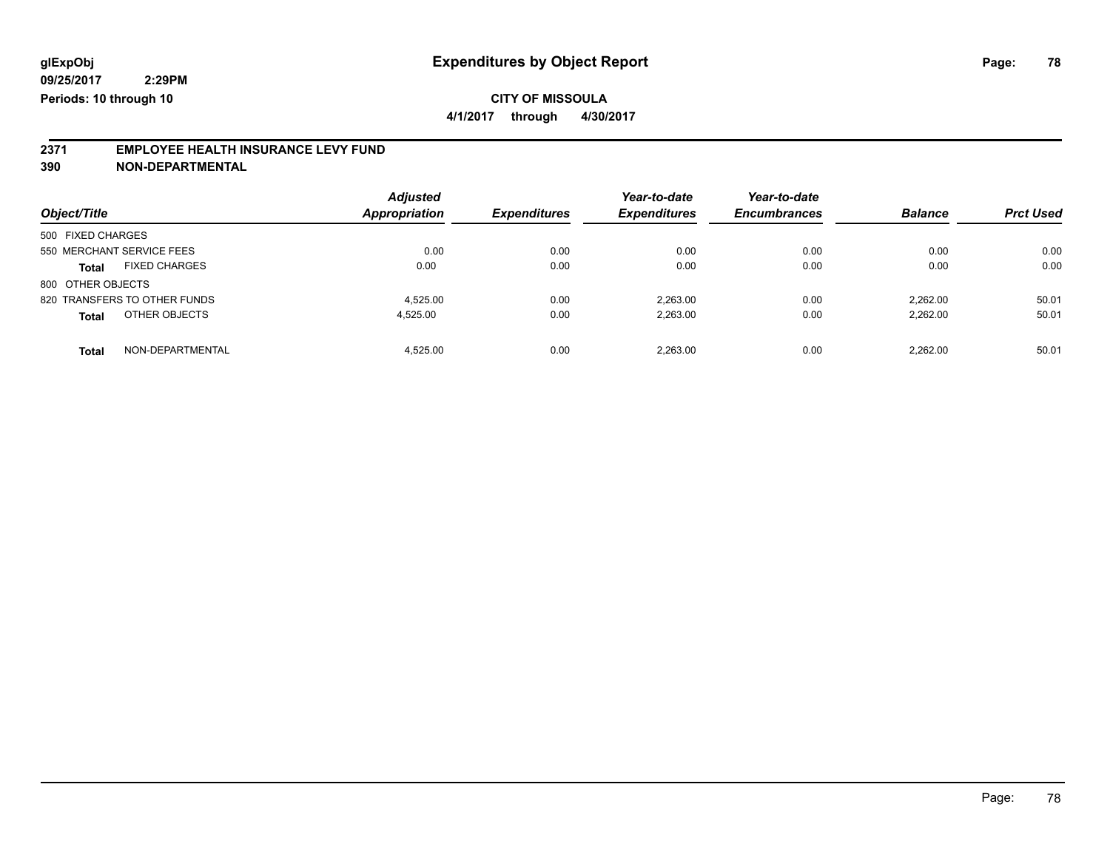**4/1/2017 through 4/30/2017**

# **2371 EMPLOYEE HEALTH INSURANCE LEVY FUND**

**390 NON-DEPARTMENTAL**

| Object/Title                         | <b>Adjusted</b><br><b>Appropriation</b> | <b>Expenditures</b> | Year-to-date<br><b>Expenditures</b> | Year-to-date<br><b>Encumbrances</b> | <b>Balance</b> | <b>Prct Used</b> |
|--------------------------------------|-----------------------------------------|---------------------|-------------------------------------|-------------------------------------|----------------|------------------|
| 500 FIXED CHARGES                    |                                         |                     |                                     |                                     |                |                  |
| 550 MERCHANT SERVICE FEES            | 0.00                                    | 0.00                | 0.00                                | 0.00                                | 0.00           | 0.00             |
| <b>FIXED CHARGES</b><br><b>Total</b> | 0.00                                    | 0.00                | 0.00                                | 0.00                                | 0.00           | 0.00             |
| 800 OTHER OBJECTS                    |                                         |                     |                                     |                                     |                |                  |
| 820 TRANSFERS TO OTHER FUNDS         | 4.525.00                                | 0.00                | 2.263.00                            | 0.00                                | 2.262.00       | 50.01            |
| OTHER OBJECTS<br><b>Total</b>        | 4.525.00                                | 0.00                | 2,263.00                            | 0.00                                | 2.262.00       | 50.01            |
| NON-DEPARTMENTAL<br><b>Total</b>     | 4.525.00                                | 0.00                | 2.263.00                            | 0.00                                | 2.262.00       | 50.01            |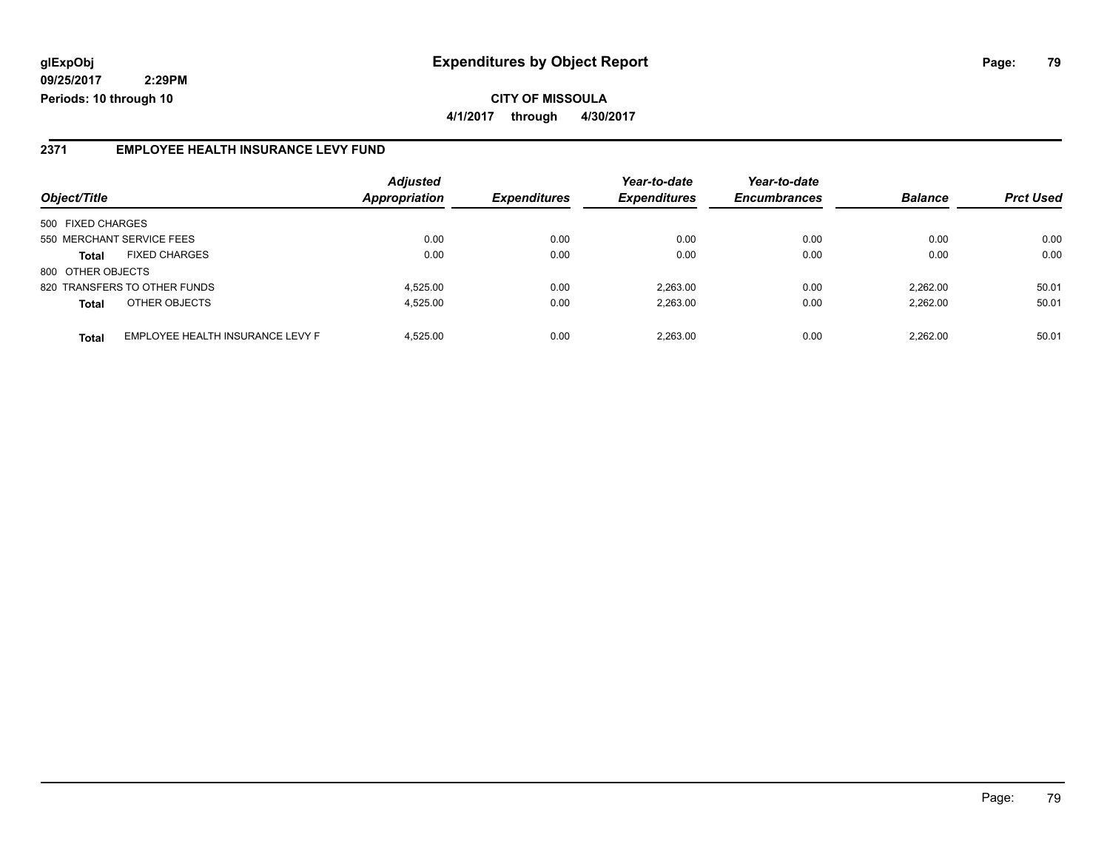#### **2371 EMPLOYEE HEALTH INSURANCE LEVY FUND**

|                           |                                  | <b>Adjusted</b>      |                     | Year-to-date        | Year-to-date        |                |                  |
|---------------------------|----------------------------------|----------------------|---------------------|---------------------|---------------------|----------------|------------------|
| Object/Title              |                                  | <b>Appropriation</b> | <b>Expenditures</b> | <b>Expenditures</b> | <b>Encumbrances</b> | <b>Balance</b> | <b>Prct Used</b> |
| 500 FIXED CHARGES         |                                  |                      |                     |                     |                     |                |                  |
| 550 MERCHANT SERVICE FEES |                                  | 0.00                 | 0.00                | 0.00                | 0.00                | 0.00           | 0.00             |
| <b>Total</b>              | <b>FIXED CHARGES</b>             | 0.00                 | 0.00                | 0.00                | 0.00                | 0.00           | 0.00             |
| 800 OTHER OBJECTS         |                                  |                      |                     |                     |                     |                |                  |
|                           | 820 TRANSFERS TO OTHER FUNDS     | 4.525.00             | 0.00                | 2.263.00            | 0.00                | 2.262.00       | 50.01            |
| <b>Total</b>              | OTHER OBJECTS                    | 4.525.00             | 0.00                | 2.263.00            | 0.00                | 2.262.00       | 50.01            |
| <b>Total</b>              | EMPLOYEE HEALTH INSURANCE LEVY F | 4.525.00             | 0.00                | 2.263.00            | 0.00                | 2.262.00       | 50.01            |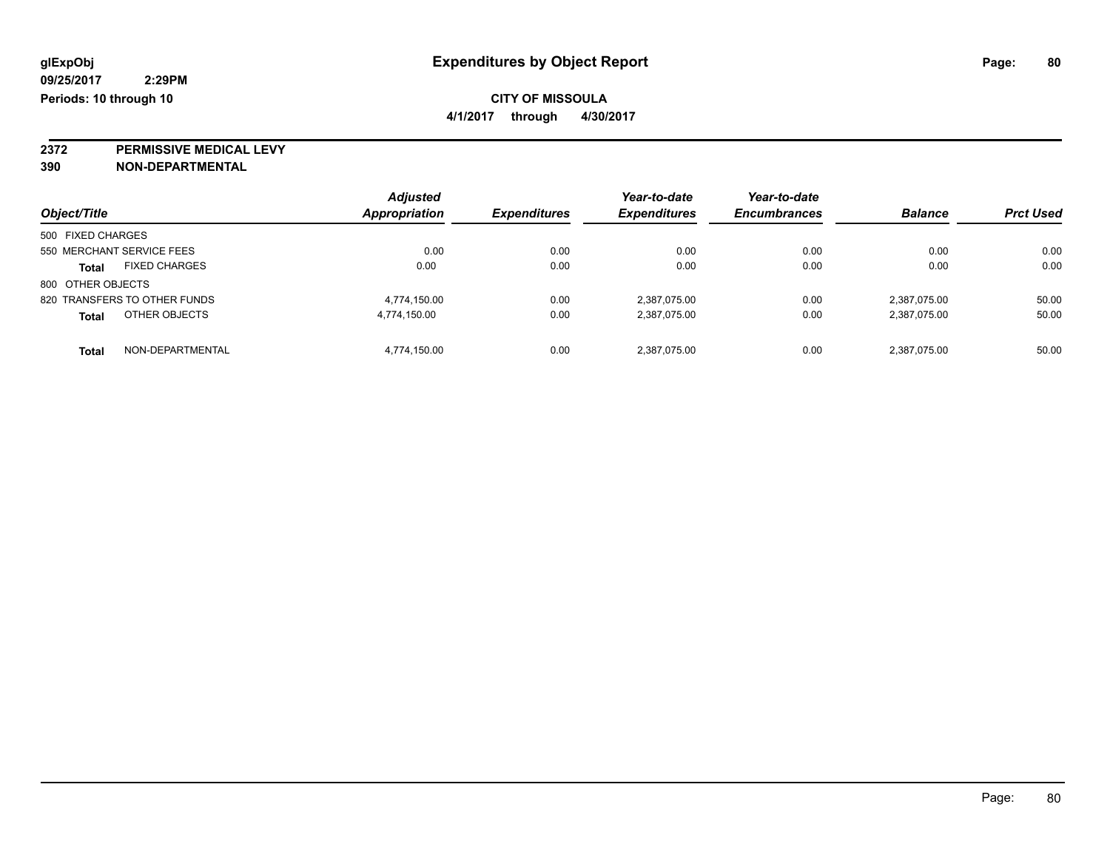**4/1/2017 through 4/30/2017**

**2372 PERMISSIVE MEDICAL LEVY**

**390 NON-DEPARTMENTAL**

| Object/Title                         | <b>Adjusted</b><br>Appropriation | <b>Expenditures</b> | Year-to-date<br><b>Expenditures</b> | Year-to-date<br><b>Encumbrances</b> | <b>Balance</b> | <b>Prct Used</b> |
|--------------------------------------|----------------------------------|---------------------|-------------------------------------|-------------------------------------|----------------|------------------|
| 500 FIXED CHARGES                    |                                  |                     |                                     |                                     |                |                  |
| 550 MERCHANT SERVICE FEES            | 0.00                             | 0.00                | 0.00                                | 0.00                                | 0.00           | 0.00             |
| <b>FIXED CHARGES</b><br><b>Total</b> | 0.00                             | 0.00                | 0.00                                | 0.00                                | 0.00           | 0.00             |
| 800 OTHER OBJECTS                    |                                  |                     |                                     |                                     |                |                  |
| 820 TRANSFERS TO OTHER FUNDS         | 4.774.150.00                     | 0.00                | 2.387.075.00                        | 0.00                                | 2,387,075.00   | 50.00            |
| OTHER OBJECTS<br><b>Total</b>        | 4,774,150.00                     | 0.00                | 2,387,075.00                        | 0.00                                | 2,387,075.00   | 50.00            |
| NON-DEPARTMENTAL<br><b>Total</b>     | 4.774.150.00                     | 0.00                | 2,387,075.00                        | 0.00                                | 2,387,075.00   | 50.00            |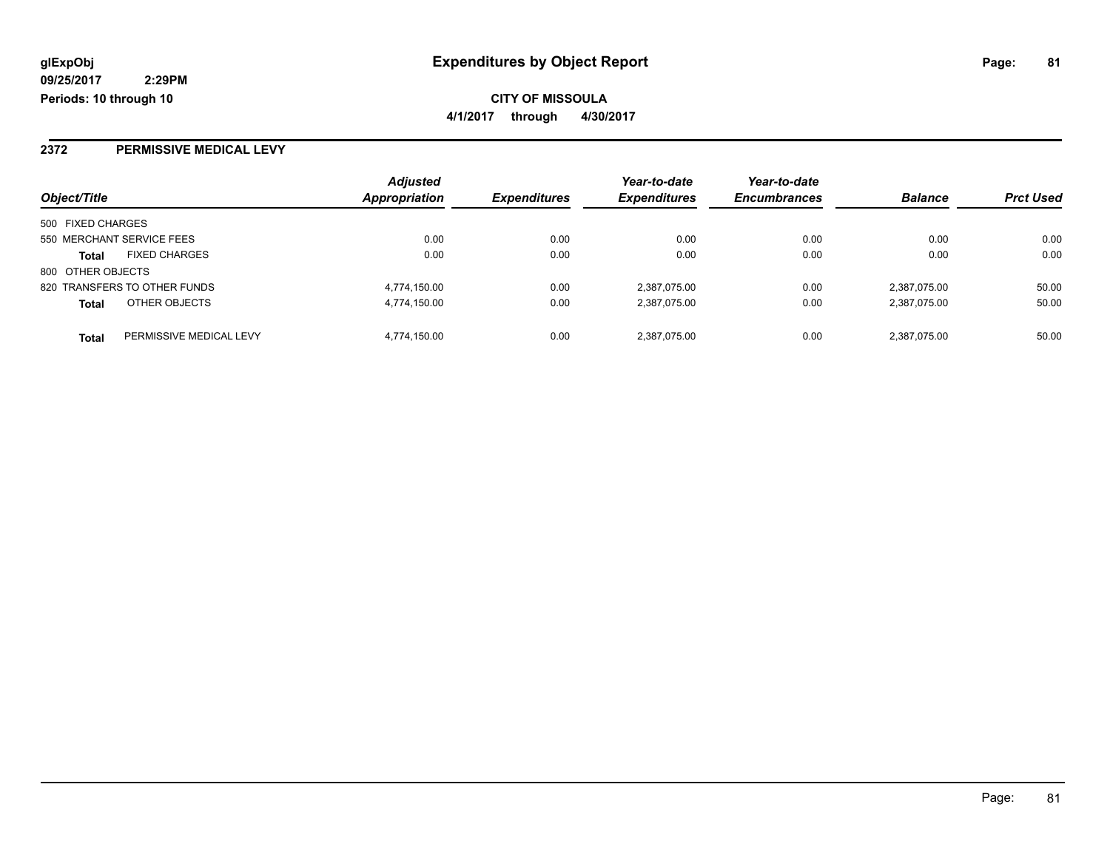#### **2372 PERMISSIVE MEDICAL LEVY**

| Object/Title                            | <b>Adjusted</b><br>Appropriation | <b>Expenditures</b> | Year-to-date<br><b>Expenditures</b> | Year-to-date<br><b>Encumbrances</b> | <b>Balance</b> | <b>Prct Used</b> |
|-----------------------------------------|----------------------------------|---------------------|-------------------------------------|-------------------------------------|----------------|------------------|
|                                         |                                  |                     |                                     |                                     |                |                  |
| 500 FIXED CHARGES                       |                                  |                     |                                     |                                     |                |                  |
| 550 MERCHANT SERVICE FEES               | 0.00                             | 0.00                | 0.00                                | 0.00                                | 0.00           | 0.00             |
| <b>FIXED CHARGES</b><br><b>Total</b>    | 0.00                             | 0.00                | 0.00                                | 0.00                                | 0.00           | 0.00             |
| 800 OTHER OBJECTS                       |                                  |                     |                                     |                                     |                |                  |
| 820 TRANSFERS TO OTHER FUNDS            | 4,774,150.00                     | 0.00                | 2,387,075.00                        | 0.00                                | 2,387,075.00   | 50.00            |
| OTHER OBJECTS<br><b>Total</b>           | 4,774,150.00                     | 0.00                | 2,387,075.00                        | 0.00                                | 2,387,075.00   | 50.00            |
| PERMISSIVE MEDICAL LEVY<br><b>Total</b> | 4,774,150.00                     | 0.00                | 2,387,075.00                        | 0.00                                | 2,387,075.00   | 50.00            |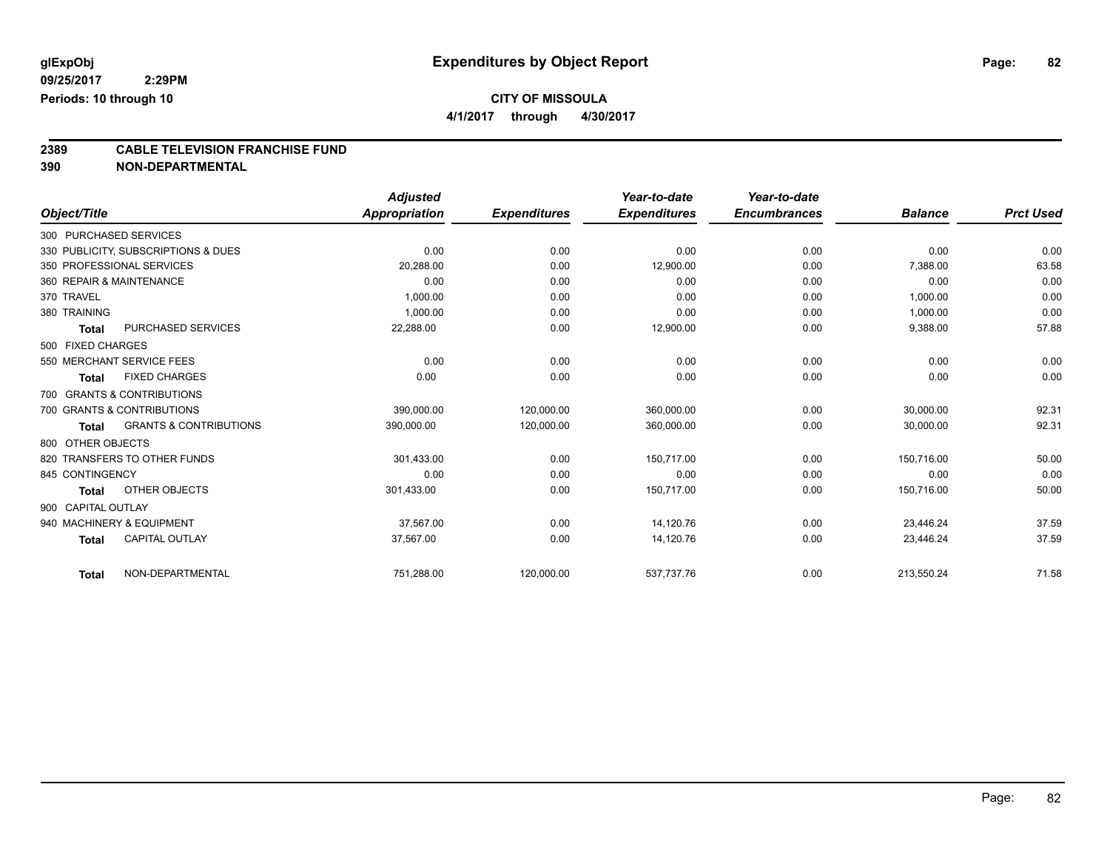**4/1/2017 through 4/30/2017**

# **2389 CABLE TELEVISION FRANCHISE FUND**

**390 NON-DEPARTMENTAL**

|                        |                                     | <b>Adjusted</b> |                     | Year-to-date        | Year-to-date        |                |                  |
|------------------------|-------------------------------------|-----------------|---------------------|---------------------|---------------------|----------------|------------------|
| Object/Title           |                                     | Appropriation   | <b>Expenditures</b> | <b>Expenditures</b> | <b>Encumbrances</b> | <b>Balance</b> | <b>Prct Used</b> |
| 300 PURCHASED SERVICES |                                     |                 |                     |                     |                     |                |                  |
|                        | 330 PUBLICITY, SUBSCRIPTIONS & DUES | 0.00            | 0.00                | 0.00                | 0.00                | 0.00           | 0.00             |
|                        | 350 PROFESSIONAL SERVICES           | 20,288.00       | 0.00                | 12,900.00           | 0.00                | 7,388.00       | 63.58            |
|                        | 360 REPAIR & MAINTENANCE            | 0.00            | 0.00                | 0.00                | 0.00                | 0.00           | 0.00             |
| 370 TRAVEL             |                                     | 1,000.00        | 0.00                | 0.00                | 0.00                | 1,000.00       | 0.00             |
| 380 TRAINING           |                                     | 1,000.00        | 0.00                | 0.00                | 0.00                | 1,000.00       | 0.00             |
| <b>Total</b>           | <b>PURCHASED SERVICES</b>           | 22,288.00       | 0.00                | 12,900.00           | 0.00                | 9,388.00       | 57.88            |
| 500 FIXED CHARGES      |                                     |                 |                     |                     |                     |                |                  |
|                        | 550 MERCHANT SERVICE FEES           | 0.00            | 0.00                | 0.00                | 0.00                | 0.00           | 0.00             |
| <b>Total</b>           | <b>FIXED CHARGES</b>                | 0.00            | 0.00                | 0.00                | 0.00                | 0.00           | 0.00             |
|                        | 700 GRANTS & CONTRIBUTIONS          |                 |                     |                     |                     |                |                  |
|                        | 700 GRANTS & CONTRIBUTIONS          | 390,000.00      | 120,000.00          | 360,000.00          | 0.00                | 30,000.00      | 92.31            |
| <b>Total</b>           | <b>GRANTS &amp; CONTRIBUTIONS</b>   | 390,000.00      | 120,000.00          | 360,000.00          | 0.00                | 30,000.00      | 92.31            |
| 800 OTHER OBJECTS      |                                     |                 |                     |                     |                     |                |                  |
|                        | 820 TRANSFERS TO OTHER FUNDS        | 301,433.00      | 0.00                | 150.717.00          | 0.00                | 150,716.00     | 50.00            |
| 845 CONTINGENCY        |                                     | 0.00            | 0.00                | 0.00                | 0.00                | 0.00           | 0.00             |
| <b>Total</b>           | OTHER OBJECTS                       | 301,433.00      | 0.00                | 150,717.00          | 0.00                | 150,716.00     | 50.00            |
| 900 CAPITAL OUTLAY     |                                     |                 |                     |                     |                     |                |                  |
|                        | 940 MACHINERY & EQUIPMENT           | 37,567.00       | 0.00                | 14,120.76           | 0.00                | 23,446.24      | 37.59            |
| <b>Total</b>           | CAPITAL OUTLAY                      | 37,567.00       | 0.00                | 14,120.76           | 0.00                | 23,446.24      | 37.59            |
| <b>Total</b>           | NON-DEPARTMENTAL                    | 751,288.00      | 120,000.00          | 537,737.76          | 0.00                | 213,550.24     | 71.58            |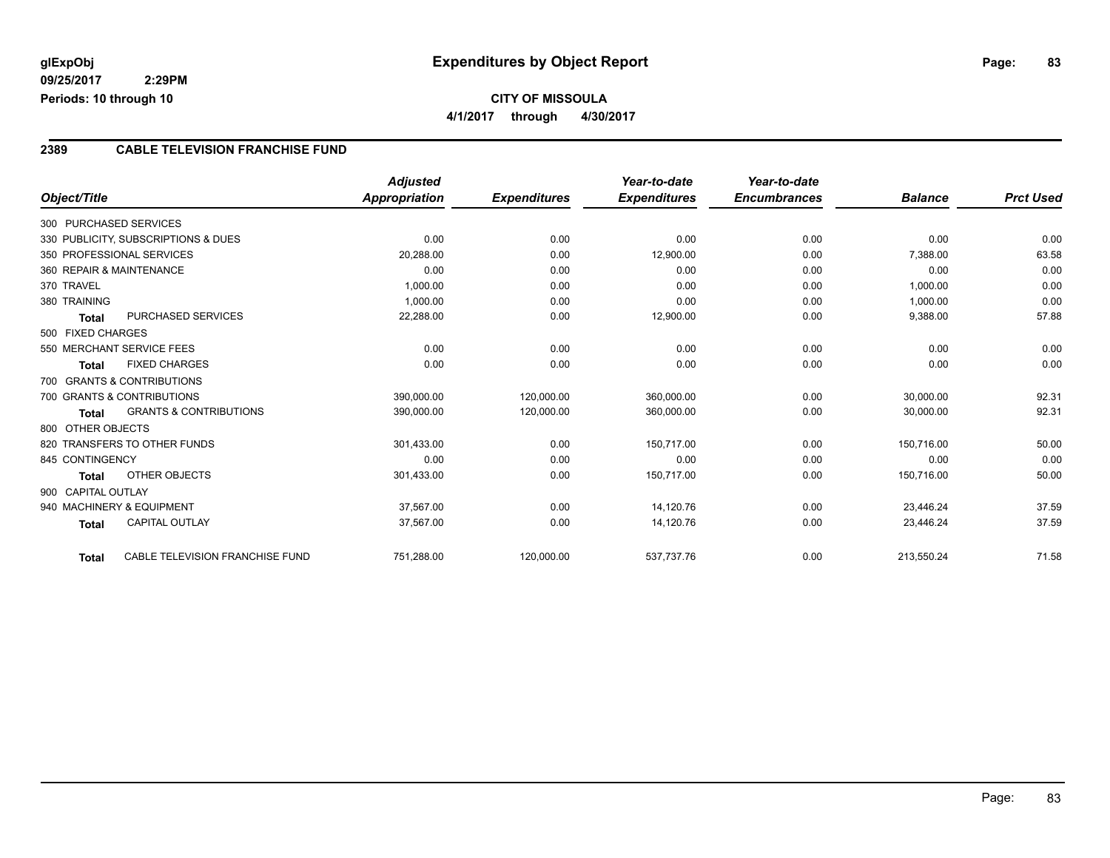### **CITY OF MISSOULA 4/1/2017 through 4/30/2017**

#### **2389 CABLE TELEVISION FRANCHISE FUND**

|                          |                                     | <b>Adjusted</b> |                     | Year-to-date        | Year-to-date        |                |                  |
|--------------------------|-------------------------------------|-----------------|---------------------|---------------------|---------------------|----------------|------------------|
| Object/Title             |                                     | Appropriation   | <b>Expenditures</b> | <b>Expenditures</b> | <b>Encumbrances</b> | <b>Balance</b> | <b>Prct Used</b> |
| 300 PURCHASED SERVICES   |                                     |                 |                     |                     |                     |                |                  |
|                          | 330 PUBLICITY, SUBSCRIPTIONS & DUES | 0.00            | 0.00                | 0.00                | 0.00                | 0.00           | 0.00             |
|                          | 350 PROFESSIONAL SERVICES           | 20,288.00       | 0.00                | 12,900.00           | 0.00                | 7,388.00       | 63.58            |
| 360 REPAIR & MAINTENANCE |                                     | 0.00            | 0.00                | 0.00                | 0.00                | 0.00           | 0.00             |
| 370 TRAVEL               |                                     | 1,000.00        | 0.00                | 0.00                | 0.00                | 1,000.00       | 0.00             |
| 380 TRAINING             |                                     | 1,000.00        | 0.00                | 0.00                | 0.00                | 1,000.00       | 0.00             |
| <b>Total</b>             | <b>PURCHASED SERVICES</b>           | 22,288.00       | 0.00                | 12,900.00           | 0.00                | 9,388.00       | 57.88            |
| 500 FIXED CHARGES        |                                     |                 |                     |                     |                     |                |                  |
|                          | 550 MERCHANT SERVICE FEES           | 0.00            | 0.00                | 0.00                | 0.00                | 0.00           | 0.00             |
| <b>Total</b>             | <b>FIXED CHARGES</b>                | 0.00            | 0.00                | 0.00                | 0.00                | 0.00           | 0.00             |
|                          | 700 GRANTS & CONTRIBUTIONS          |                 |                     |                     |                     |                |                  |
|                          | 700 GRANTS & CONTRIBUTIONS          | 390,000.00      | 120,000.00          | 360,000.00          | 0.00                | 30,000.00      | 92.31            |
| <b>Total</b>             | <b>GRANTS &amp; CONTRIBUTIONS</b>   | 390,000.00      | 120,000.00          | 360,000.00          | 0.00                | 30,000.00      | 92.31            |
| 800 OTHER OBJECTS        |                                     |                 |                     |                     |                     |                |                  |
|                          | 820 TRANSFERS TO OTHER FUNDS        | 301,433.00      | 0.00                | 150,717.00          | 0.00                | 150,716.00     | 50.00            |
| 845 CONTINGENCY          |                                     | 0.00            | 0.00                | 0.00                | 0.00                | 0.00           | 0.00             |
| Total                    | OTHER OBJECTS                       | 301,433.00      | 0.00                | 150,717.00          | 0.00                | 150,716.00     | 50.00            |
| 900 CAPITAL OUTLAY       |                                     |                 |                     |                     |                     |                |                  |
|                          | 940 MACHINERY & EQUIPMENT           | 37,567.00       | 0.00                | 14,120.76           | 0.00                | 23,446.24      | 37.59            |
| <b>Total</b>             | <b>CAPITAL OUTLAY</b>               | 37,567.00       | 0.00                | 14,120.76           | 0.00                | 23,446.24      | 37.59            |
| <b>Total</b>             | CABLE TELEVISION FRANCHISE FUND     | 751,288.00      | 120,000.00          | 537,737.76          | 0.00                | 213,550.24     | 71.58            |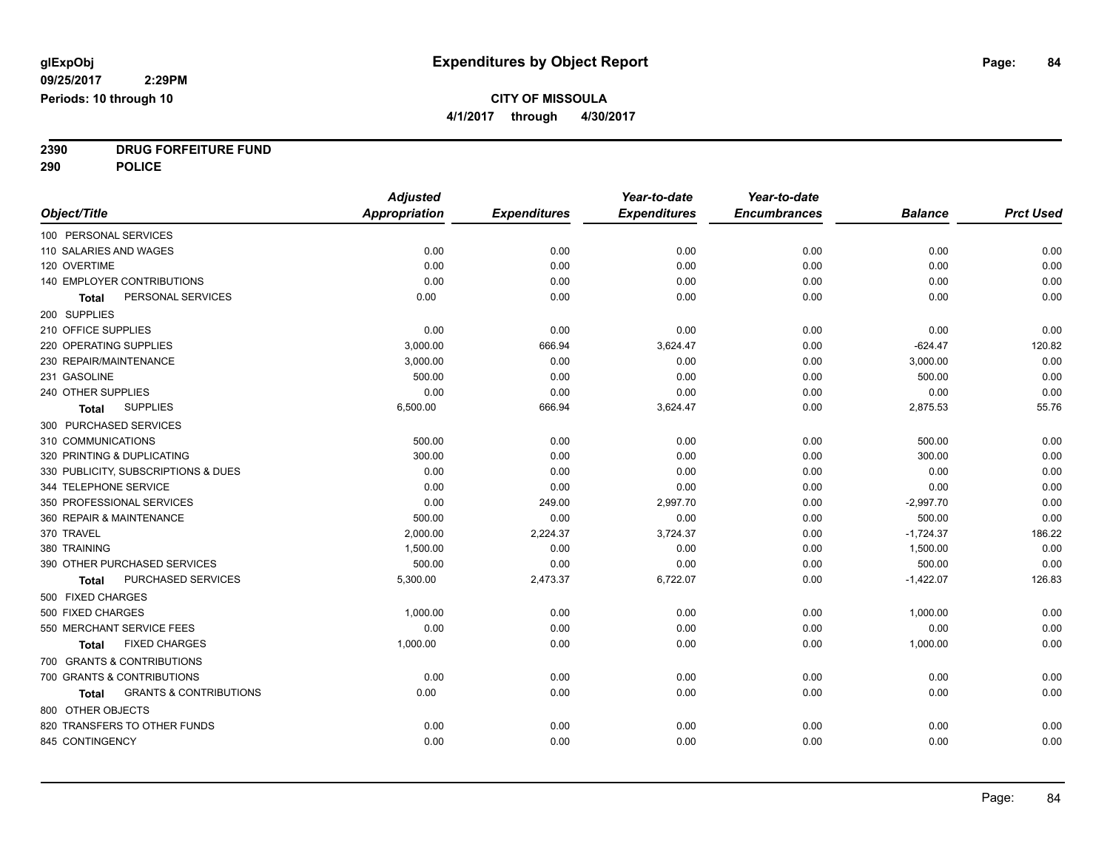**4/1/2017 through 4/30/2017**

**2390 DRUG FORFEITURE FUND**

**290 POLICE**

|                                            | <b>Adjusted</b>      |                     | Year-to-date        | Year-to-date        |                |                  |
|--------------------------------------------|----------------------|---------------------|---------------------|---------------------|----------------|------------------|
| Object/Title                               | <b>Appropriation</b> | <b>Expenditures</b> | <b>Expenditures</b> | <b>Encumbrances</b> | <b>Balance</b> | <b>Prct Used</b> |
| 100 PERSONAL SERVICES                      |                      |                     |                     |                     |                |                  |
| 110 SALARIES AND WAGES                     | 0.00                 | 0.00                | 0.00                | 0.00                | 0.00           | 0.00             |
| 120 OVERTIME                               | 0.00                 | 0.00                | 0.00                | 0.00                | 0.00           | 0.00             |
| 140 EMPLOYER CONTRIBUTIONS                 | 0.00                 | 0.00                | 0.00                | 0.00                | 0.00           | 0.00             |
| PERSONAL SERVICES<br>Total                 | 0.00                 | 0.00                | 0.00                | 0.00                | 0.00           | 0.00             |
| 200 SUPPLIES                               |                      |                     |                     |                     |                |                  |
| 210 OFFICE SUPPLIES                        | 0.00                 | 0.00                | 0.00                | 0.00                | 0.00           | 0.00             |
| 220 OPERATING SUPPLIES                     | 3,000.00             | 666.94              | 3,624.47            | 0.00                | $-624.47$      | 120.82           |
| 230 REPAIR/MAINTENANCE                     | 3,000.00             | 0.00                | 0.00                | 0.00                | 3,000.00       | 0.00             |
| 231 GASOLINE                               | 500.00               | 0.00                | 0.00                | 0.00                | 500.00         | 0.00             |
| 240 OTHER SUPPLIES                         | 0.00                 | 0.00                | 0.00                | 0.00                | 0.00           | 0.00             |
| <b>SUPPLIES</b><br>Total                   | 6,500.00             | 666.94              | 3,624.47            | 0.00                | 2,875.53       | 55.76            |
| 300 PURCHASED SERVICES                     |                      |                     |                     |                     |                |                  |
| 310 COMMUNICATIONS                         | 500.00               | 0.00                | 0.00                | 0.00                | 500.00         | 0.00             |
| 320 PRINTING & DUPLICATING                 | 300.00               | 0.00                | 0.00                | 0.00                | 300.00         | 0.00             |
| 330 PUBLICITY, SUBSCRIPTIONS & DUES        | 0.00                 | 0.00                | 0.00                | 0.00                | 0.00           | 0.00             |
| 344 TELEPHONE SERVICE                      | 0.00                 | 0.00                | 0.00                | 0.00                | 0.00           | 0.00             |
| 350 PROFESSIONAL SERVICES                  | 0.00                 | 249.00              | 2,997.70            | 0.00                | $-2,997.70$    | 0.00             |
| 360 REPAIR & MAINTENANCE                   | 500.00               | 0.00                | 0.00                | 0.00                | 500.00         | 0.00             |
| 370 TRAVEL                                 | 2.000.00             | 2.224.37            | 3,724.37            | 0.00                | $-1,724.37$    | 186.22           |
| 380 TRAINING                               | 1,500.00             | 0.00                | 0.00                | 0.00                | 1,500.00       | 0.00             |
| 390 OTHER PURCHASED SERVICES               | 500.00               | 0.00                | 0.00                | 0.00                | 500.00         | 0.00             |
| PURCHASED SERVICES<br>Total                | 5,300.00             | 2,473.37            | 6,722.07            | 0.00                | $-1,422.07$    | 126.83           |
| 500 FIXED CHARGES                          |                      |                     |                     |                     |                |                  |
| 500 FIXED CHARGES                          | 1,000.00             | 0.00                | 0.00                | 0.00                | 1,000.00       | 0.00             |
| 550 MERCHANT SERVICE FEES                  | 0.00                 | 0.00                | 0.00                | 0.00                | 0.00           | 0.00             |
| <b>FIXED CHARGES</b><br>Total              | 1,000.00             | 0.00                | 0.00                | 0.00                | 1,000.00       | 0.00             |
| 700 GRANTS & CONTRIBUTIONS                 |                      |                     |                     |                     |                |                  |
| 700 GRANTS & CONTRIBUTIONS                 | 0.00                 | 0.00                | 0.00                | 0.00                | 0.00           | 0.00             |
| <b>GRANTS &amp; CONTRIBUTIONS</b><br>Total | 0.00                 | 0.00                | 0.00                | 0.00                | 0.00           | 0.00             |
| 800 OTHER OBJECTS                          |                      |                     |                     |                     |                |                  |
| 820 TRANSFERS TO OTHER FUNDS               | 0.00                 | 0.00                | 0.00                | 0.00                | 0.00           | 0.00             |
| 845 CONTINGENCY                            | 0.00                 | 0.00                | 0.00                | 0.00                | 0.00           | 0.00             |
|                                            |                      |                     |                     |                     |                |                  |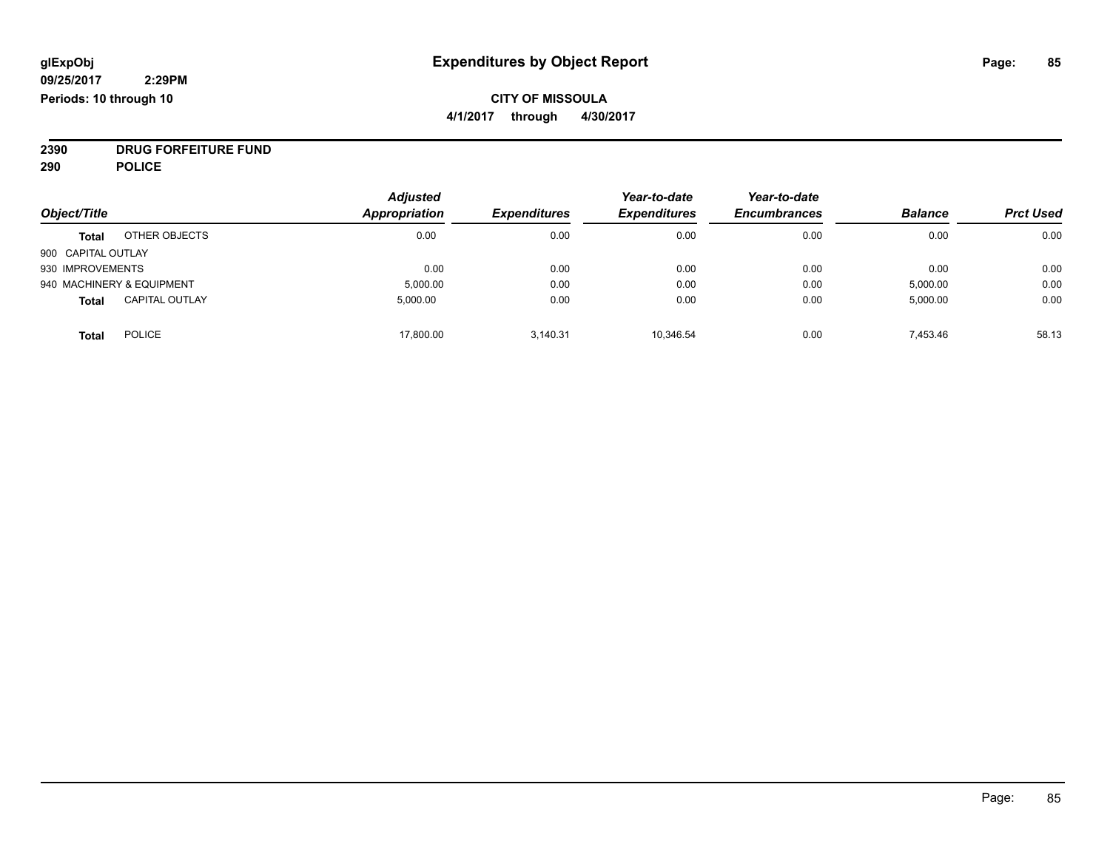#### **CITY OF MISSOULA 4/1/2017 through 4/30/2017**

**2390 DRUG FORFEITURE FUND**

**290 POLICE**

|                    |                           | <b>Adjusted</b>      |                     | Year-to-date        | Year-to-date        |                |                  |
|--------------------|---------------------------|----------------------|---------------------|---------------------|---------------------|----------------|------------------|
| Object/Title       |                           | <b>Appropriation</b> | <b>Expenditures</b> | <b>Expenditures</b> | <b>Encumbrances</b> | <b>Balance</b> | <b>Prct Used</b> |
| <b>Total</b>       | OTHER OBJECTS             | 0.00                 | 0.00                | 0.00                | 0.00                | 0.00           | 0.00             |
| 900 CAPITAL OUTLAY |                           |                      |                     |                     |                     |                |                  |
| 930 IMPROVEMENTS   |                           | 0.00                 | 0.00                | 0.00                | 0.00                | 0.00           | 0.00             |
|                    | 940 MACHINERY & EQUIPMENT | 5,000.00             | 0.00                | 0.00                | 0.00                | 5,000.00       | 0.00             |
| <b>Total</b>       | <b>CAPITAL OUTLAY</b>     | 5.000.00             | 0.00                | 0.00                | 0.00                | 5,000.00       | 0.00             |
| <b>Total</b>       | <b>POLICE</b>             | 17,800.00            | 3.140.31            | 10.346.54           | 0.00                | 7.453.46       | 58.13            |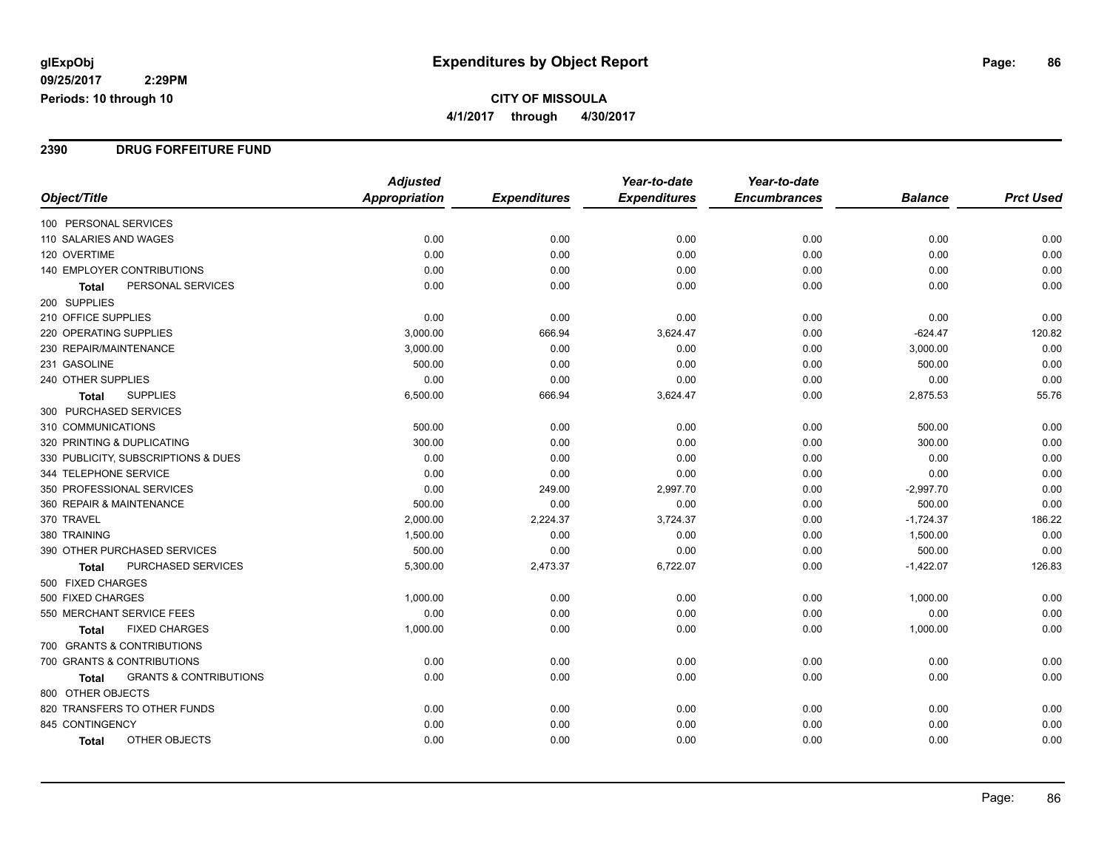**CITY OF MISSOULA 4/1/2017 through 4/30/2017**

#### **2390 DRUG FORFEITURE FUND**

|                                            | <b>Adjusted</b>      |                     | Year-to-date        | Year-to-date        |                |                  |
|--------------------------------------------|----------------------|---------------------|---------------------|---------------------|----------------|------------------|
| Object/Title                               | <b>Appropriation</b> | <b>Expenditures</b> | <b>Expenditures</b> | <b>Encumbrances</b> | <b>Balance</b> | <b>Prct Used</b> |
| 100 PERSONAL SERVICES                      |                      |                     |                     |                     |                |                  |
| 110 SALARIES AND WAGES                     | 0.00                 | 0.00                | 0.00                | 0.00                | 0.00           | 0.00             |
| 120 OVERTIME                               | 0.00                 | 0.00                | 0.00                | 0.00                | 0.00           | 0.00             |
| 140 EMPLOYER CONTRIBUTIONS                 | 0.00                 | 0.00                | 0.00                | 0.00                | 0.00           | 0.00             |
| PERSONAL SERVICES<br><b>Total</b>          | 0.00                 | 0.00                | 0.00                | 0.00                | 0.00           | 0.00             |
| 200 SUPPLIES                               |                      |                     |                     |                     |                |                  |
| 210 OFFICE SUPPLIES                        | 0.00                 | 0.00                | 0.00                | 0.00                | 0.00           | 0.00             |
| 220 OPERATING SUPPLIES                     | 3,000.00             | 666.94              | 3,624.47            | 0.00                | $-624.47$      | 120.82           |
| 230 REPAIR/MAINTENANCE                     | 3,000.00             | 0.00                | 0.00                | 0.00                | 3,000.00       | 0.00             |
| 231 GASOLINE                               | 500.00               | 0.00                | 0.00                | 0.00                | 500.00         | 0.00             |
| 240 OTHER SUPPLIES                         | 0.00                 | 0.00                | 0.00                | 0.00                | 0.00           | 0.00             |
| <b>SUPPLIES</b><br><b>Total</b>            | 6,500.00             | 666.94              | 3,624.47            | 0.00                | 2,875.53       | 55.76            |
| 300 PURCHASED SERVICES                     |                      |                     |                     |                     |                |                  |
| 310 COMMUNICATIONS                         | 500.00               | 0.00                | 0.00                | 0.00                | 500.00         | 0.00             |
| 320 PRINTING & DUPLICATING                 | 300.00               | 0.00                | 0.00                | 0.00                | 300.00         | 0.00             |
| 330 PUBLICITY, SUBSCRIPTIONS & DUES        | 0.00                 | 0.00                | 0.00                | 0.00                | 0.00           | 0.00             |
| 344 TELEPHONE SERVICE                      | 0.00                 | 0.00                | 0.00                | 0.00                | 0.00           | 0.00             |
| 350 PROFESSIONAL SERVICES                  | 0.00                 | 249.00              | 2,997.70            | 0.00                | $-2,997.70$    | 0.00             |
| 360 REPAIR & MAINTENANCE                   | 500.00               | 0.00                | 0.00                | 0.00                | 500.00         | 0.00             |
| 370 TRAVEL                                 | 2,000.00             | 2,224.37            | 3,724.37            | 0.00                | $-1,724.37$    | 186.22           |
| 380 TRAINING                               | 1,500.00             | 0.00                | 0.00                | 0.00                | 1,500.00       | 0.00             |
| 390 OTHER PURCHASED SERVICES               | 500.00               | 0.00                | 0.00                | 0.00                | 500.00         | 0.00             |
| PURCHASED SERVICES<br>Total                | 5,300.00             | 2,473.37            | 6,722.07            | 0.00                | $-1,422.07$    | 126.83           |
| 500 FIXED CHARGES                          |                      |                     |                     |                     |                |                  |
| 500 FIXED CHARGES                          | 1,000.00             | 0.00                | 0.00                | 0.00                | 1,000.00       | 0.00             |
| 550 MERCHANT SERVICE FEES                  | 0.00                 | 0.00                | 0.00                | 0.00                | 0.00           | 0.00             |
| <b>FIXED CHARGES</b><br>Total              | 1,000.00             | 0.00                | 0.00                | 0.00                | 1,000.00       | 0.00             |
| 700 GRANTS & CONTRIBUTIONS                 |                      |                     |                     |                     |                |                  |
| 700 GRANTS & CONTRIBUTIONS                 | 0.00                 | 0.00                | 0.00                | 0.00                | 0.00           | 0.00             |
| <b>GRANTS &amp; CONTRIBUTIONS</b><br>Total | 0.00                 | 0.00                | 0.00                | 0.00                | 0.00           | 0.00             |
| 800 OTHER OBJECTS                          |                      |                     |                     |                     |                |                  |
| 820 TRANSFERS TO OTHER FUNDS               | 0.00                 | 0.00                | 0.00                | 0.00                | 0.00           | 0.00             |
| 845 CONTINGENCY                            | 0.00                 | 0.00                | 0.00                | 0.00                | 0.00           | 0.00             |
| OTHER OBJECTS<br>Total                     | 0.00                 | 0.00                | 0.00                | 0.00                | 0.00           | 0.00             |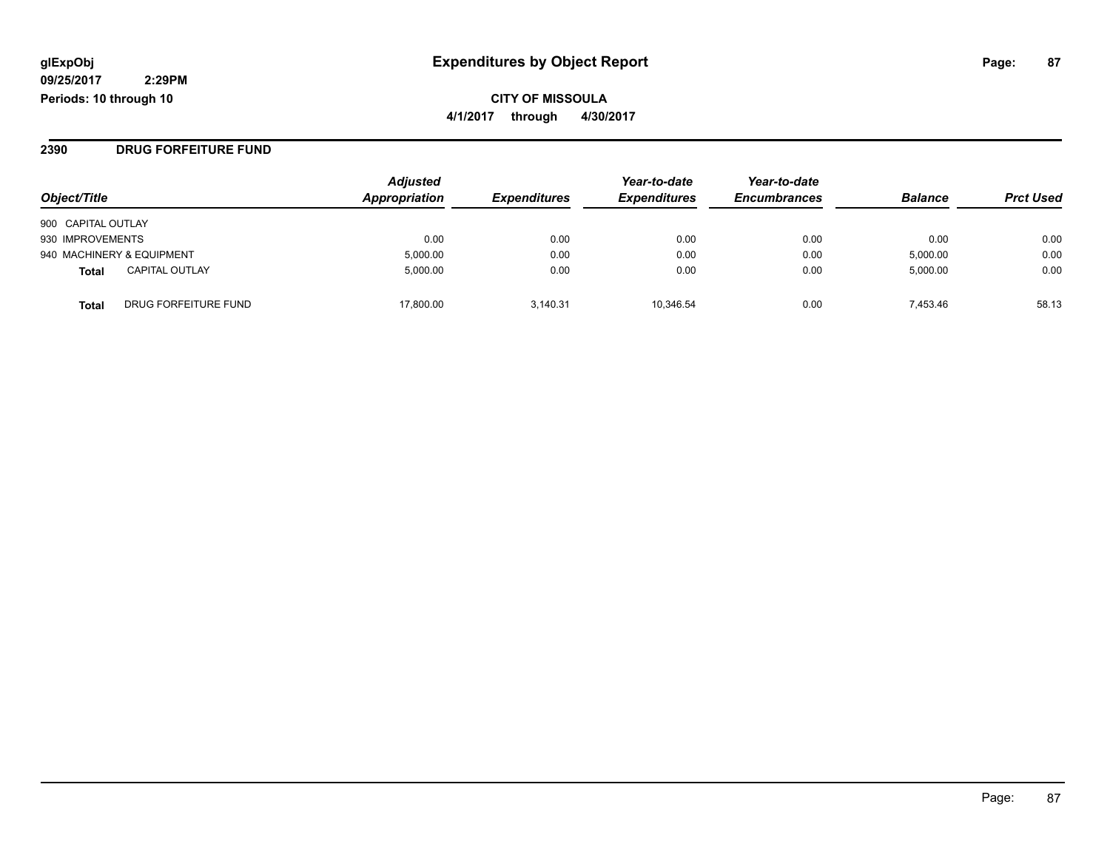#### **2390 DRUG FORFEITURE FUND**

| Object/Title                         | <b>Adjusted</b><br>Appropriation | <b>Expenditures</b> | Year-to-date<br><b>Expenditures</b> | Year-to-date<br><b>Encumbrances</b> | <b>Balance</b> | <b>Prct Used</b> |
|--------------------------------------|----------------------------------|---------------------|-------------------------------------|-------------------------------------|----------------|------------------|
| 900 CAPITAL OUTLAY                   |                                  |                     |                                     |                                     |                |                  |
| 930 IMPROVEMENTS                     | 0.00                             | 0.00                | 0.00                                | 0.00                                | 0.00           | 0.00             |
| 940 MACHINERY & EQUIPMENT            | 5,000.00                         | 0.00                | 0.00                                | 0.00                                | 5,000.00       | 0.00             |
| <b>CAPITAL OUTLAY</b><br>Total       | 5.000.00                         | 0.00                | 0.00                                | 0.00                                | 5,000.00       | 0.00             |
| DRUG FORFEITURE FUND<br><b>Total</b> | 17.800.00                        | 3.140.31            | 10.346.54                           | 0.00                                | 7.453.46       | 58.13            |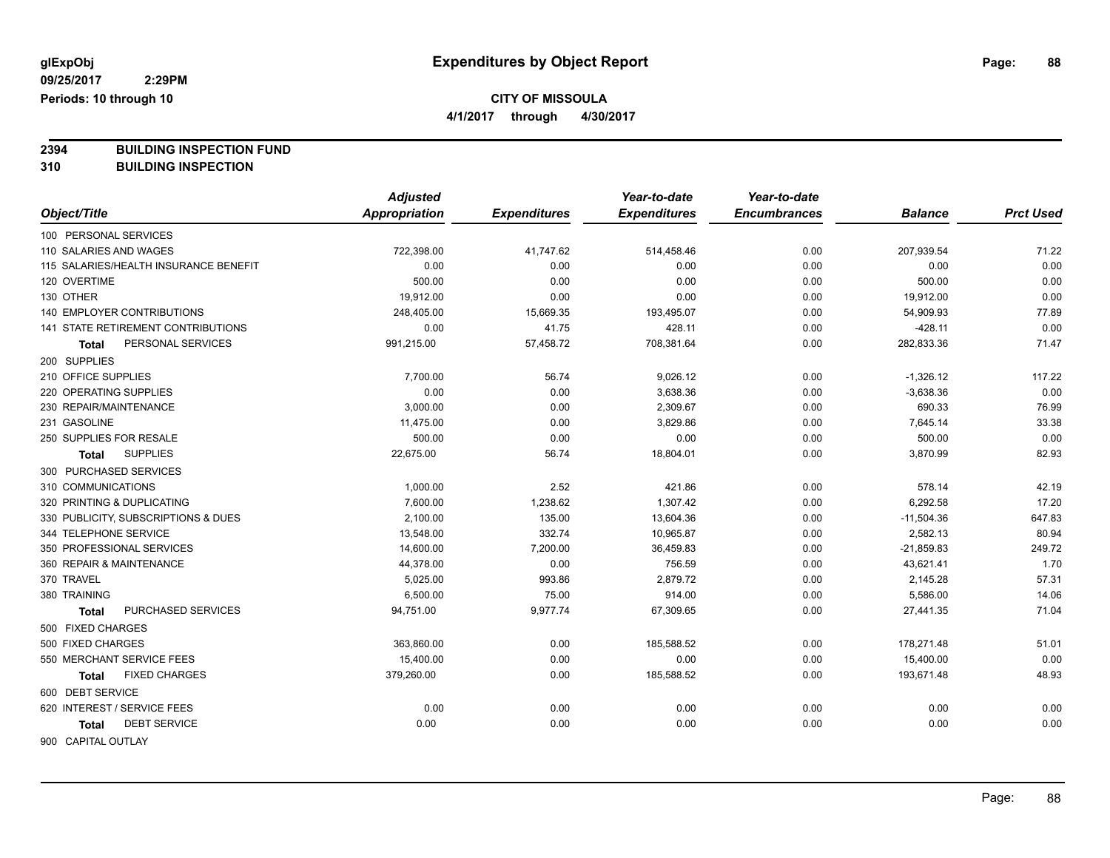**4/1/2017 through 4/30/2017**

**2394 BUILDING INSPECTION FUND**

**310 BUILDING INSPECTION**

|                                       | <b>Adjusted</b>      |                     | Year-to-date        | Year-to-date        |                |                  |
|---------------------------------------|----------------------|---------------------|---------------------|---------------------|----------------|------------------|
| Object/Title                          | <b>Appropriation</b> | <b>Expenditures</b> | <b>Expenditures</b> | <b>Encumbrances</b> | <b>Balance</b> | <b>Prct Used</b> |
| 100 PERSONAL SERVICES                 |                      |                     |                     |                     |                |                  |
| 110 SALARIES AND WAGES                | 722,398.00           | 41,747.62           | 514,458.46          | 0.00                | 207,939.54     | 71.22            |
| 115 SALARIES/HEALTH INSURANCE BENEFIT | 0.00                 | 0.00                | 0.00                | 0.00                | 0.00           | 0.00             |
| 120 OVERTIME                          | 500.00               | 0.00                | 0.00                | 0.00                | 500.00         | 0.00             |
| 130 OTHER                             | 19,912.00            | 0.00                | 0.00                | 0.00                | 19,912.00      | 0.00             |
| <b>140 EMPLOYER CONTRIBUTIONS</b>     | 248,405.00           | 15,669.35           | 193,495.07          | 0.00                | 54,909.93      | 77.89            |
| 141 STATE RETIREMENT CONTRIBUTIONS    | 0.00                 | 41.75               | 428.11              | 0.00                | $-428.11$      | 0.00             |
| PERSONAL SERVICES<br><b>Total</b>     | 991,215.00           | 57,458.72           | 708,381.64          | 0.00                | 282,833.36     | 71.47            |
| 200 SUPPLIES                          |                      |                     |                     |                     |                |                  |
| 210 OFFICE SUPPLIES                   | 7,700.00             | 56.74               | 9,026.12            | 0.00                | $-1,326.12$    | 117.22           |
| 220 OPERATING SUPPLIES                | 0.00                 | 0.00                | 3,638.36            | 0.00                | $-3,638.36$    | 0.00             |
| 230 REPAIR/MAINTENANCE                | 3,000.00             | 0.00                | 2,309.67            | 0.00                | 690.33         | 76.99            |
| 231 GASOLINE                          | 11,475.00            | 0.00                | 3,829.86            | 0.00                | 7,645.14       | 33.38            |
| 250 SUPPLIES FOR RESALE               | 500.00               | 0.00                | 0.00                | 0.00                | 500.00         | 0.00             |
| <b>SUPPLIES</b><br>Total              | 22,675.00            | 56.74               | 18,804.01           | 0.00                | 3,870.99       | 82.93            |
| 300 PURCHASED SERVICES                |                      |                     |                     |                     |                |                  |
| 310 COMMUNICATIONS                    | 1,000.00             | 2.52                | 421.86              | 0.00                | 578.14         | 42.19            |
| 320 PRINTING & DUPLICATING            | 7,600.00             | 1,238.62            | 1,307.42            | 0.00                | 6,292.58       | 17.20            |
| 330 PUBLICITY, SUBSCRIPTIONS & DUES   | 2,100.00             | 135.00              | 13,604.36           | 0.00                | $-11,504.36$   | 647.83           |
| 344 TELEPHONE SERVICE                 | 13,548.00            | 332.74              | 10,965.87           | 0.00                | 2,582.13       | 80.94            |
| 350 PROFESSIONAL SERVICES             | 14,600.00            | 7,200.00            | 36,459.83           | 0.00                | $-21,859.83$   | 249.72           |
| 360 REPAIR & MAINTENANCE              | 44,378.00            | 0.00                | 756.59              | 0.00                | 43,621.41      | 1.70             |
| 370 TRAVEL                            | 5,025.00             | 993.86              | 2,879.72            | 0.00                | 2,145.28       | 57.31            |
| 380 TRAINING                          | 6,500.00             | 75.00               | 914.00              | 0.00                | 5,586.00       | 14.06            |
| PURCHASED SERVICES<br><b>Total</b>    | 94,751.00            | 9,977.74            | 67,309.65           | 0.00                | 27,441.35      | 71.04            |
| 500 FIXED CHARGES                     |                      |                     |                     |                     |                |                  |
| 500 FIXED CHARGES                     | 363,860.00           | 0.00                | 185,588.52          | 0.00                | 178,271.48     | 51.01            |
| 550 MERCHANT SERVICE FEES             | 15,400.00            | 0.00                | 0.00                | 0.00                | 15,400.00      | 0.00             |
| <b>FIXED CHARGES</b><br>Total         | 379,260.00           | 0.00                | 185,588.52          | 0.00                | 193,671.48     | 48.93            |
| 600 DEBT SERVICE                      |                      |                     |                     |                     |                |                  |
| 620 INTEREST / SERVICE FEES           | 0.00                 | 0.00                | 0.00                | 0.00                | 0.00           | 0.00             |
| <b>DEBT SERVICE</b><br>Total          | 0.00                 | 0.00                | 0.00                | 0.00                | 0.00           | 0.00             |
| 900 CAPITAL OUTLAY                    |                      |                     |                     |                     |                |                  |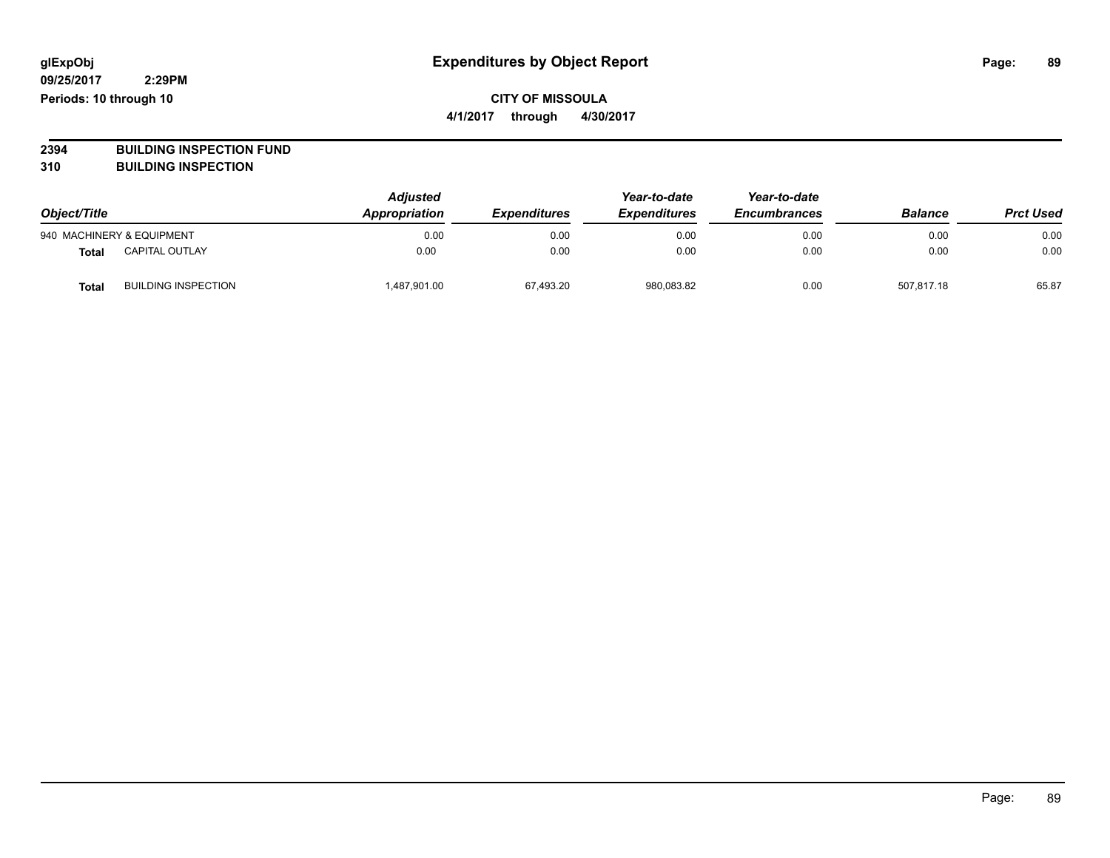#### **CITY OF MISSOULA 4/1/2017 through 4/30/2017**

**2394 BUILDING INSPECTION FUND**

**310 BUILDING INSPECTION**

| Object/Title |                            | <b>Adjusted</b><br>Appropriation | <b>Expenditures</b> | Year-to-date<br><b>Expenditures</b> | Year-to-date<br><b>Encumbrances</b> | <b>Balance</b> | <b>Prct Used</b> |
|--------------|----------------------------|----------------------------------|---------------------|-------------------------------------|-------------------------------------|----------------|------------------|
|              | 940 MACHINERY & EQUIPMENT  | 0.00                             | 0.00                | 0.00                                | 0.00                                | 0.00           | 0.00             |
| <b>Total</b> | <b>CAPITAL OUTLAY</b>      | 0.00                             | 0.00                | 0.00                                | 0.00                                | 0.00           | 0.00             |
| Total        | <b>BUILDING INSPECTION</b> | 487,901.00                       | 67,493.20           | 980,083.82                          | 0.00                                | 507.817.18     | 65.87            |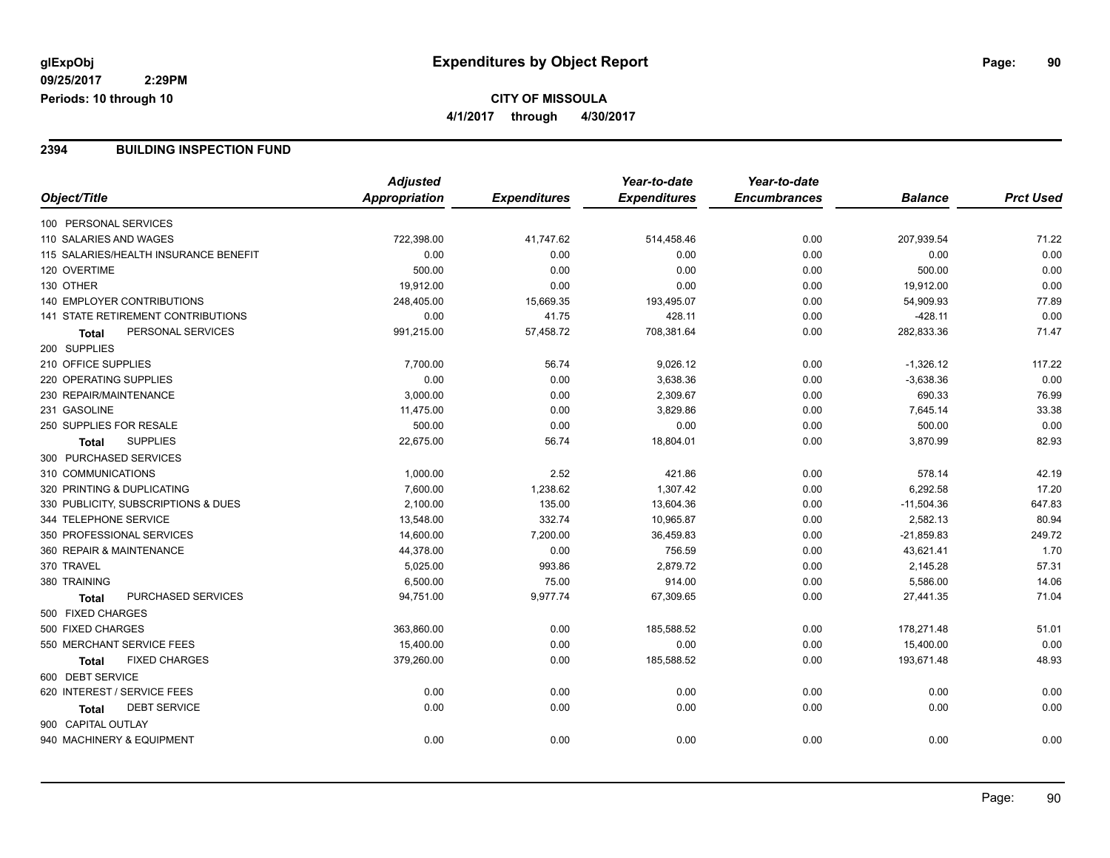#### **2394 BUILDING INSPECTION FUND**

|                                           | <b>Adjusted</b> |                     | Year-to-date        | Year-to-date        |                |                  |
|-------------------------------------------|-----------------|---------------------|---------------------|---------------------|----------------|------------------|
| Object/Title                              | Appropriation   | <b>Expenditures</b> | <b>Expenditures</b> | <b>Encumbrances</b> | <b>Balance</b> | <b>Prct Used</b> |
| 100 PERSONAL SERVICES                     |                 |                     |                     |                     |                |                  |
| 110 SALARIES AND WAGES                    | 722,398.00      | 41,747.62           | 514,458.46          | 0.00                | 207,939.54     | 71.22            |
| 115 SALARIES/HEALTH INSURANCE BENEFIT     | 0.00            | 0.00                | 0.00                | 0.00                | 0.00           | 0.00             |
| 120 OVERTIME                              | 500.00          | 0.00                | 0.00                | 0.00                | 500.00         | 0.00             |
| 130 OTHER                                 | 19,912.00       | 0.00                | 0.00                | 0.00                | 19,912.00      | 0.00             |
| 140 EMPLOYER CONTRIBUTIONS                | 248,405.00      | 15,669.35           | 193,495.07          | 0.00                | 54,909.93      | 77.89            |
| <b>141 STATE RETIREMENT CONTRIBUTIONS</b> | 0.00            | 41.75               | 428.11              | 0.00                | $-428.11$      | 0.00             |
| PERSONAL SERVICES<br>Total                | 991,215.00      | 57,458.72           | 708,381.64          | 0.00                | 282,833.36     | 71.47            |
| 200 SUPPLIES                              |                 |                     |                     |                     |                |                  |
| 210 OFFICE SUPPLIES                       | 7,700.00        | 56.74               | 9,026.12            | 0.00                | $-1,326.12$    | 117.22           |
| 220 OPERATING SUPPLIES                    | 0.00            | 0.00                | 3,638.36            | 0.00                | $-3,638.36$    | 0.00             |
| 230 REPAIR/MAINTENANCE                    | 3,000.00        | 0.00                | 2,309.67            | 0.00                | 690.33         | 76.99            |
| 231 GASOLINE                              | 11,475.00       | 0.00                | 3,829.86            | 0.00                | 7,645.14       | 33.38            |
| 250 SUPPLIES FOR RESALE                   | 500.00          | 0.00                | 0.00                | 0.00                | 500.00         | 0.00             |
| <b>SUPPLIES</b><br><b>Total</b>           | 22,675.00       | 56.74               | 18,804.01           | 0.00                | 3,870.99       | 82.93            |
| 300 PURCHASED SERVICES                    |                 |                     |                     |                     |                |                  |
| 310 COMMUNICATIONS                        | 1,000.00        | 2.52                | 421.86              | 0.00                | 578.14         | 42.19            |
| 320 PRINTING & DUPLICATING                | 7,600.00        | 1,238.62            | 1,307.42            | 0.00                | 6,292.58       | 17.20            |
| 330 PUBLICITY, SUBSCRIPTIONS & DUES       | 2,100.00        | 135.00              | 13,604.36           | 0.00                | $-11,504.36$   | 647.83           |
| 344 TELEPHONE SERVICE                     | 13,548.00       | 332.74              | 10,965.87           | 0.00                | 2,582.13       | 80.94            |
| 350 PROFESSIONAL SERVICES                 | 14,600.00       | 7,200.00            | 36,459.83           | 0.00                | $-21,859.83$   | 249.72           |
| 360 REPAIR & MAINTENANCE                  | 44,378.00       | 0.00                | 756.59              | 0.00                | 43,621.41      | 1.70             |
| 370 TRAVEL                                | 5,025.00        | 993.86              | 2,879.72            | 0.00                | 2,145.28       | 57.31            |
| 380 TRAINING                              | 6,500.00        | 75.00               | 914.00              | 0.00                | 5,586.00       | 14.06            |
| <b>PURCHASED SERVICES</b><br><b>Total</b> | 94,751.00       | 9,977.74            | 67,309.65           | 0.00                | 27,441.35      | 71.04            |
| 500 FIXED CHARGES                         |                 |                     |                     |                     |                |                  |
| 500 FIXED CHARGES                         | 363,860.00      | 0.00                | 185,588.52          | 0.00                | 178,271.48     | 51.01            |
| 550 MERCHANT SERVICE FEES                 | 15,400.00       | 0.00                | 0.00                | 0.00                | 15,400.00      | 0.00             |
| <b>FIXED CHARGES</b><br><b>Total</b>      | 379,260.00      | 0.00                | 185,588.52          | 0.00                | 193,671.48     | 48.93            |
| 600 DEBT SERVICE                          |                 |                     |                     |                     |                |                  |
| 620 INTEREST / SERVICE FEES               | 0.00            | 0.00                | 0.00                | 0.00                | 0.00           | 0.00             |
| <b>DEBT SERVICE</b><br>Total              | 0.00            | 0.00                | 0.00                | 0.00                | 0.00           | 0.00             |
| 900 CAPITAL OUTLAY                        |                 |                     |                     |                     |                |                  |
| 940 MACHINERY & EQUIPMENT                 | 0.00            | 0.00                | 0.00                | 0.00                | 0.00           | 0.00             |
|                                           |                 |                     |                     |                     |                |                  |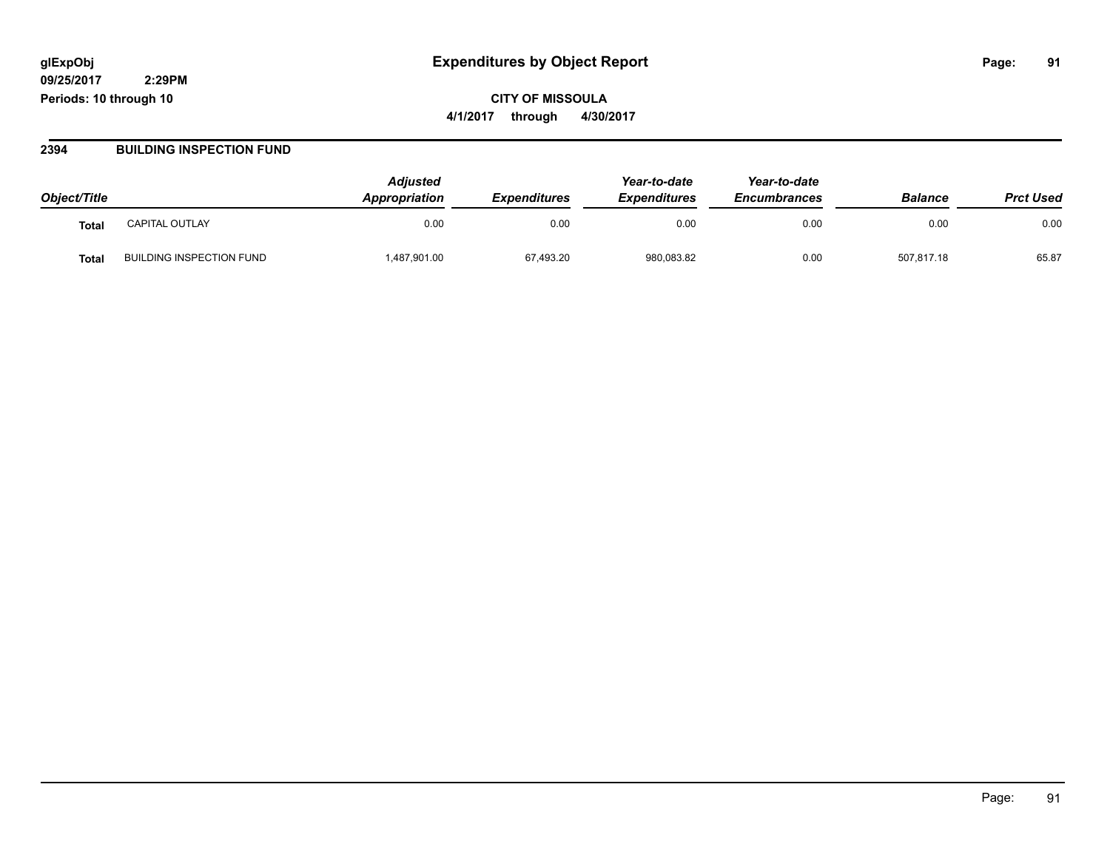### **09/25/2017 2:29PM**

**Periods: 10 through 10**

### **CITY OF MISSOULA 4/1/2017 through 4/30/2017**

#### **2394 BUILDING INSPECTION FUND**

| Object/Title      |                                 | <b>Adiusted</b><br>Appropriation | <b>Expenditures</b> | Year-to-date<br><b>Expenditures</b> | Year-to-date<br><b>Encumbrances</b> | <b>Balance</b> | <b>Prct Used</b> |
|-------------------|---------------------------------|----------------------------------|---------------------|-------------------------------------|-------------------------------------|----------------|------------------|
| Tota <sub>l</sub> | <b>CAPITAL OUTLAY</b>           | 0.00                             | 0.00                | 0.00                                | 0.00                                | 0.00           | 0.00             |
| Tota.             | <b>BUILDING INSPECTION FUND</b> | 1,487,901.00                     | 67,493.20           | 980,083.82                          | 0.00                                | 507.817.18     | 65.87            |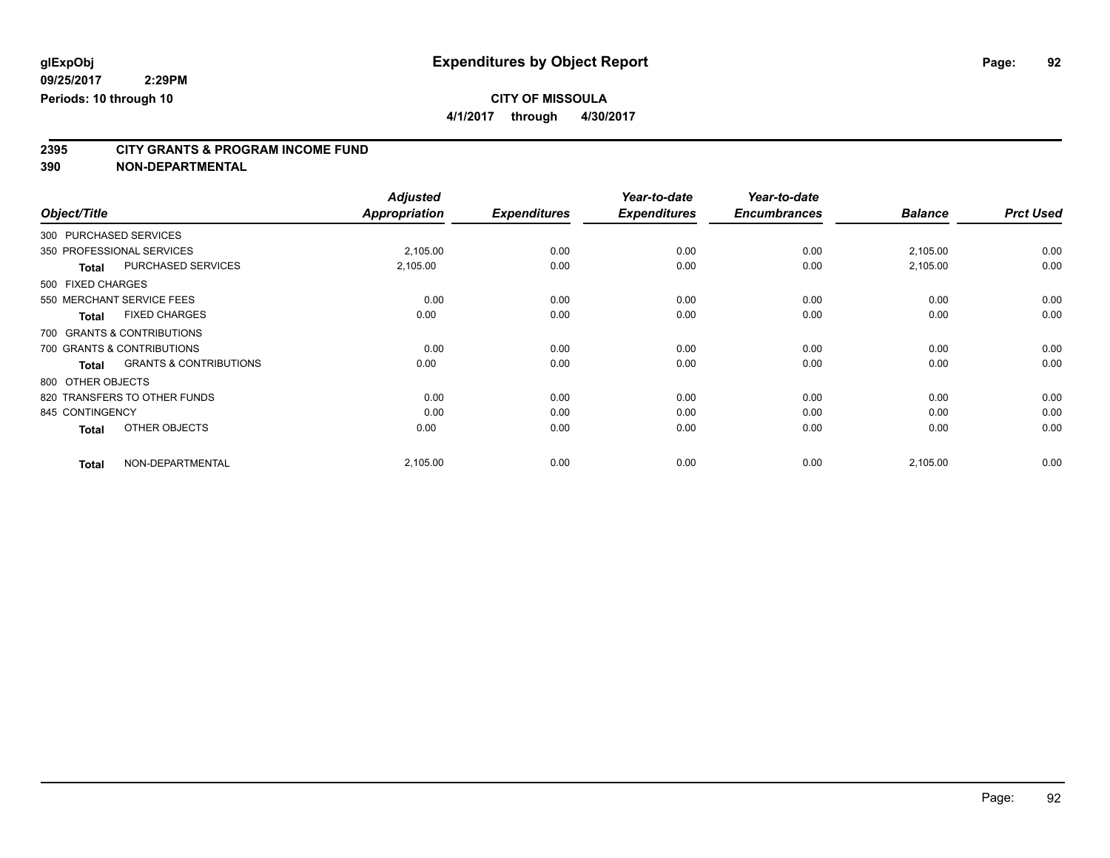**4/1/2017 through 4/30/2017**

# **2395 CITY GRANTS & PROGRAM INCOME FUND**

**390 NON-DEPARTMENTAL**

|                                            | <b>Adjusted</b>      |                     | Year-to-date        | Year-to-date        |                |                  |
|--------------------------------------------|----------------------|---------------------|---------------------|---------------------|----------------|------------------|
| Object/Title                               | <b>Appropriation</b> | <b>Expenditures</b> | <b>Expenditures</b> | <b>Encumbrances</b> | <b>Balance</b> | <b>Prct Used</b> |
| 300 PURCHASED SERVICES                     |                      |                     |                     |                     |                |                  |
| 350 PROFESSIONAL SERVICES                  | 2,105.00             | 0.00                | 0.00                | 0.00                | 2,105.00       | 0.00             |
| <b>PURCHASED SERVICES</b><br><b>Total</b>  | 2,105.00             | 0.00                | 0.00                | 0.00                | 2,105.00       | 0.00             |
| 500 FIXED CHARGES                          |                      |                     |                     |                     |                |                  |
| 550 MERCHANT SERVICE FEES                  | 0.00                 | 0.00                | 0.00                | 0.00                | 0.00           | 0.00             |
| <b>FIXED CHARGES</b><br><b>Total</b>       | 0.00                 | 0.00                | 0.00                | 0.00                | 0.00           | 0.00             |
| 700 GRANTS & CONTRIBUTIONS                 |                      |                     |                     |                     |                |                  |
| 700 GRANTS & CONTRIBUTIONS                 | 0.00                 | 0.00                | 0.00                | 0.00                | 0.00           | 0.00             |
| <b>GRANTS &amp; CONTRIBUTIONS</b><br>Total | 0.00                 | 0.00                | 0.00                | 0.00                | 0.00           | 0.00             |
| 800 OTHER OBJECTS                          |                      |                     |                     |                     |                |                  |
| 820 TRANSFERS TO OTHER FUNDS               | 0.00                 | 0.00                | 0.00                | 0.00                | 0.00           | 0.00             |
| 845 CONTINGENCY                            | 0.00                 | 0.00                | 0.00                | 0.00                | 0.00           | 0.00             |
| OTHER OBJECTS<br><b>Total</b>              | 0.00                 | 0.00                | 0.00                | 0.00                | 0.00           | 0.00             |
| NON-DEPARTMENTAL<br><b>Total</b>           | 2,105.00             | 0.00                | 0.00                | 0.00                | 2,105.00       | 0.00             |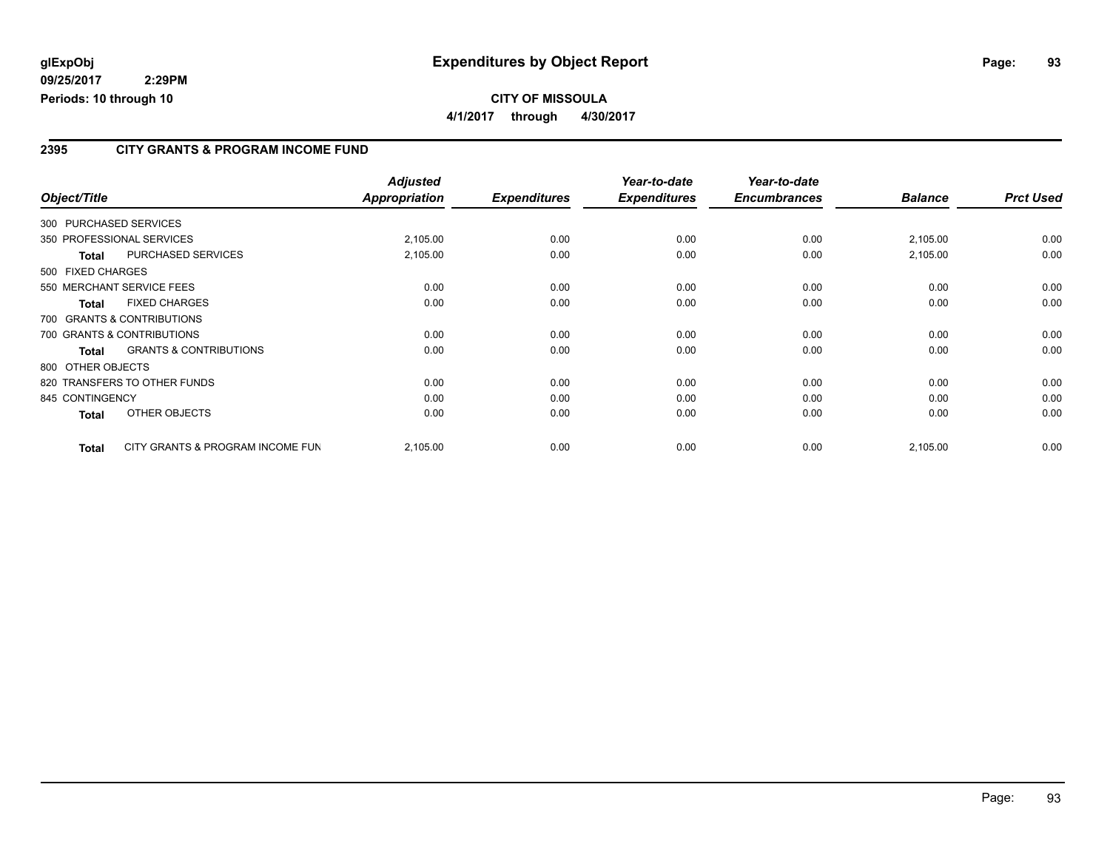#### **CITY OF MISSOULA 4/1/2017 through 4/30/2017**

#### **2395 CITY GRANTS & PROGRAM INCOME FUND**

|                   |                                   | <b>Adjusted</b>      |                     | Year-to-date        | Year-to-date        |                |                  |
|-------------------|-----------------------------------|----------------------|---------------------|---------------------|---------------------|----------------|------------------|
| Object/Title      |                                   | <b>Appropriation</b> | <b>Expenditures</b> | <b>Expenditures</b> | <b>Encumbrances</b> | <b>Balance</b> | <b>Prct Used</b> |
|                   | 300 PURCHASED SERVICES            |                      |                     |                     |                     |                |                  |
|                   | 350 PROFESSIONAL SERVICES         | 2,105.00             | 0.00                | 0.00                | 0.00                | 2,105.00       | 0.00             |
| <b>Total</b>      | <b>PURCHASED SERVICES</b>         | 2,105.00             | 0.00                | 0.00                | 0.00                | 2,105.00       | 0.00             |
| 500 FIXED CHARGES |                                   |                      |                     |                     |                     |                |                  |
|                   | 550 MERCHANT SERVICE FEES         | 0.00                 | 0.00                | 0.00                | 0.00                | 0.00           | 0.00             |
| Total             | <b>FIXED CHARGES</b>              | 0.00                 | 0.00                | 0.00                | 0.00                | 0.00           | 0.00             |
|                   | 700 GRANTS & CONTRIBUTIONS        |                      |                     |                     |                     |                |                  |
|                   | 700 GRANTS & CONTRIBUTIONS        | 0.00                 | 0.00                | 0.00                | 0.00                | 0.00           | 0.00             |
| <b>Total</b>      | <b>GRANTS &amp; CONTRIBUTIONS</b> | 0.00                 | 0.00                | 0.00                | 0.00                | 0.00           | 0.00             |
| 800 OTHER OBJECTS |                                   |                      |                     |                     |                     |                |                  |
|                   | 820 TRANSFERS TO OTHER FUNDS      | 0.00                 | 0.00                | 0.00                | 0.00                | 0.00           | 0.00             |
| 845 CONTINGENCY   |                                   | 0.00                 | 0.00                | 0.00                | 0.00                | 0.00           | 0.00             |
| Total             | OTHER OBJECTS                     | 0.00                 | 0.00                | 0.00                | 0.00                | 0.00           | 0.00             |
| <b>Total</b>      | CITY GRANTS & PROGRAM INCOME FUN  | 2,105.00             | 0.00                | 0.00                | 0.00                | 2,105.00       | 0.00             |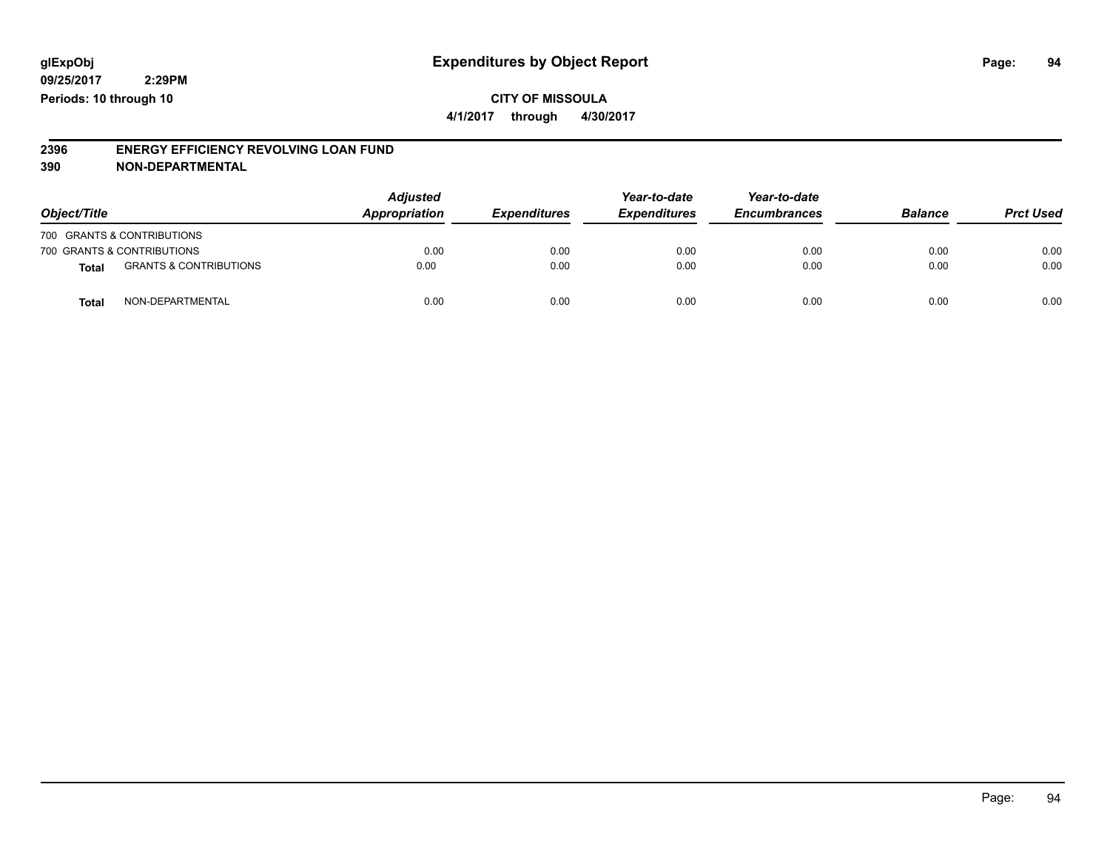#### **CITY OF MISSOULA 4/1/2017 through 4/30/2017**

#### **2396 ENERGY EFFICIENCY REVOLVING LOAN FUND 390 NON-DEPARTMENTAL**

|                                            | <b>Adjusted</b> |                     | Year-to-date        | Year-to-date<br><b>Encumbrances</b> |                |                  |
|--------------------------------------------|-----------------|---------------------|---------------------|-------------------------------------|----------------|------------------|
| Object/Title                               | Appropriation   | <b>Expenditures</b> | <b>Expenditures</b> |                                     | <b>Balance</b> | <b>Prct Used</b> |
| 700 GRANTS & CONTRIBUTIONS                 |                 |                     |                     |                                     |                |                  |
| 700 GRANTS & CONTRIBUTIONS                 | 0.00            | 0.00                | 0.00                | 0.00                                | 0.00           | 0.00             |
| <b>GRANTS &amp; CONTRIBUTIONS</b><br>Total | 0.00            | 0.00                | 0.00                | 0.00                                | 0.00           | 0.00             |
| NON-DEPARTMENTAL<br>Total                  | 0.00            | 0.00                | 0.00                | 0.00                                | 0.00           | 0.00             |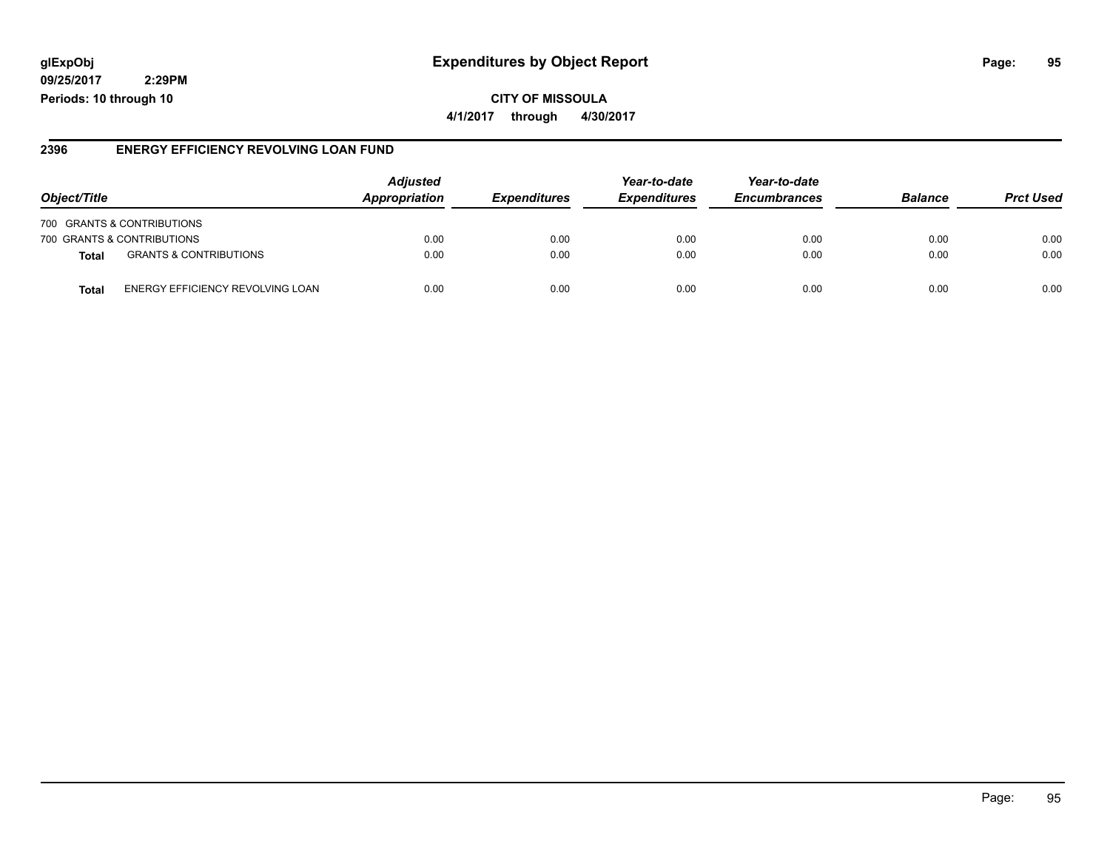### **glExpObj Expenditures by Object Report Page: 95**

**09/25/2017 2:29PM Periods: 10 through 10**

#### **2396 ENERGY EFFICIENCY REVOLVING LOAN FUND**

| Object/Title                                     | <b>Adjusted</b><br>Appropriation | <i><b>Expenditures</b></i> | Year-to-date<br><b>Expenditures</b> | Year-to-date<br><b>Encumbrances</b> | <b>Balance</b> | <b>Prct Used</b> |
|--------------------------------------------------|----------------------------------|----------------------------|-------------------------------------|-------------------------------------|----------------|------------------|
| 700 GRANTS & CONTRIBUTIONS                       |                                  |                            |                                     |                                     |                |                  |
| 700 GRANTS & CONTRIBUTIONS                       | 0.00                             | 0.00                       | 0.00                                | 0.00                                | 0.00           | 0.00             |
| <b>GRANTS &amp; CONTRIBUTIONS</b><br>Total       | 0.00                             | 0.00                       | 0.00                                | 0.00                                | 0.00           | 0.00             |
| ENERGY EFFICIENCY REVOLVING LOAN<br><b>Total</b> | 0.00                             | 0.00                       | 0.00                                | 0.00                                | 0.00           | 0.00             |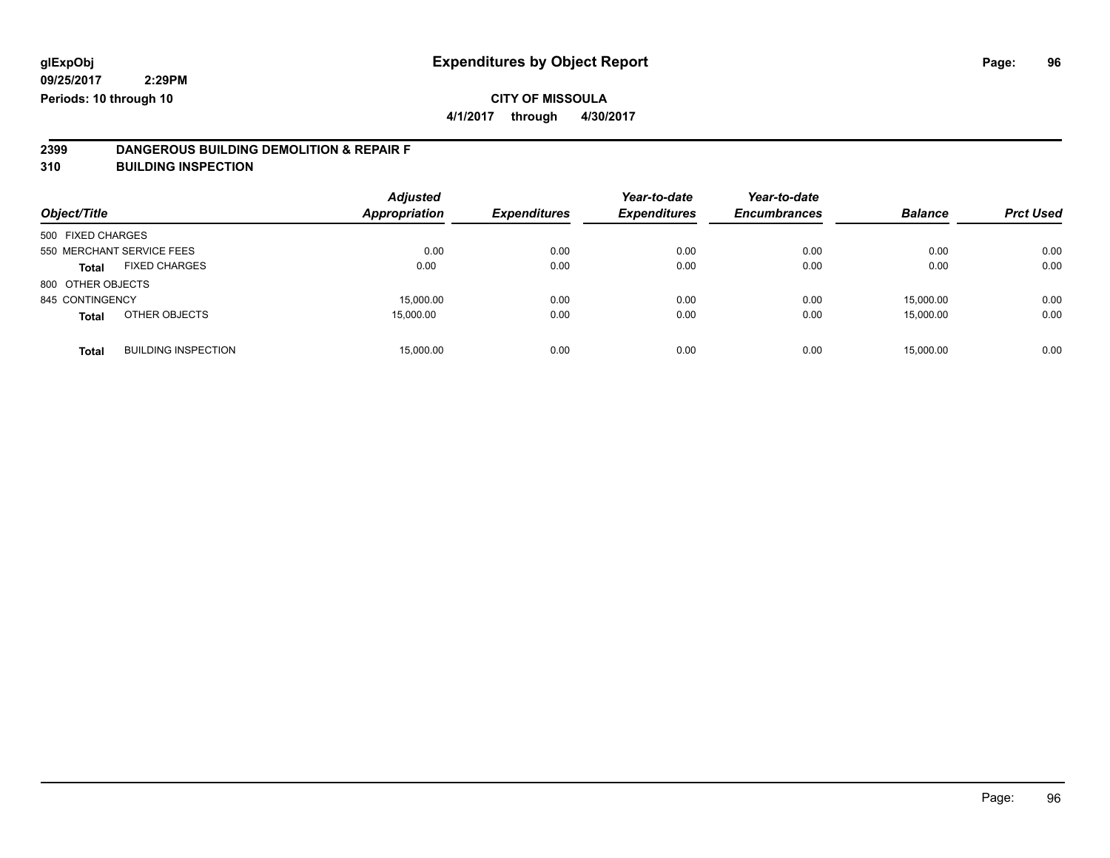**4/1/2017 through 4/30/2017**

# **2399 DANGEROUS BUILDING DEMOLITION & REPAIR F**

**310 BUILDING INSPECTION**

| Object/Title      |                            | <b>Adjusted</b><br><b>Appropriation</b> | <b>Expenditures</b> | Year-to-date<br><b>Expenditures</b> | Year-to-date<br><b>Encumbrances</b> | <b>Balance</b> | <b>Prct Used</b> |
|-------------------|----------------------------|-----------------------------------------|---------------------|-------------------------------------|-------------------------------------|----------------|------------------|
| 500 FIXED CHARGES |                            |                                         |                     |                                     |                                     |                |                  |
|                   | 550 MERCHANT SERVICE FEES  | 0.00                                    | 0.00                | 0.00                                | 0.00                                | 0.00           | 0.00             |
| Total             | <b>FIXED CHARGES</b>       | 0.00                                    | 0.00                | 0.00                                | 0.00                                | 0.00           | 0.00             |
| 800 OTHER OBJECTS |                            |                                         |                     |                                     |                                     |                |                  |
| 845 CONTINGENCY   |                            | 15,000.00                               | 0.00                | 0.00                                | 0.00                                | 15,000.00      | 0.00             |
| <b>Total</b>      | OTHER OBJECTS              | 15,000.00                               | 0.00                | 0.00                                | 0.00                                | 15.000.00      | 0.00             |
| <b>Total</b>      | <b>BUILDING INSPECTION</b> | 15,000.00                               | 0.00                | 0.00                                | 0.00                                | 15,000.00      | 0.00             |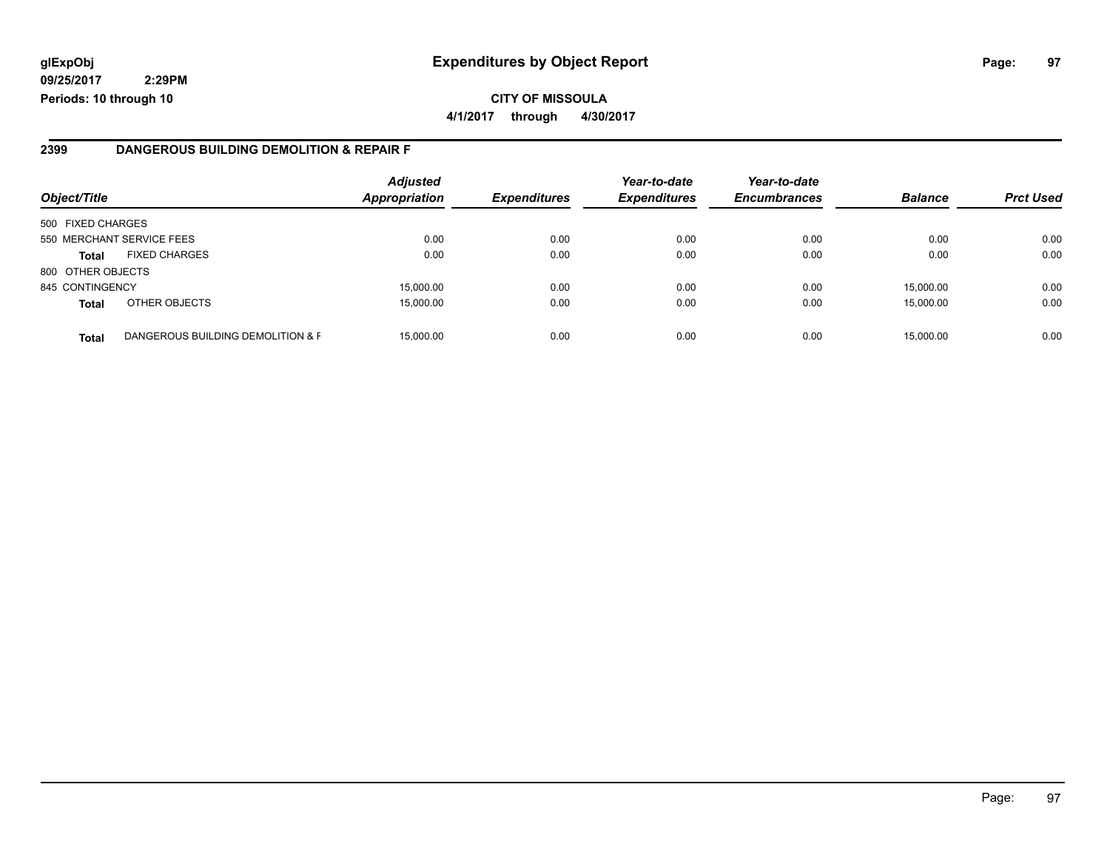#### **2399 DANGEROUS BUILDING DEMOLITION & REPAIR F**

| Object/Title      |                                   | <b>Adjusted</b><br><b>Appropriation</b> | <b>Expenditures</b> | Year-to-date<br><b>Expenditures</b> | Year-to-date<br><b>Encumbrances</b> | <b>Balance</b> | <b>Prct Used</b> |
|-------------------|-----------------------------------|-----------------------------------------|---------------------|-------------------------------------|-------------------------------------|----------------|------------------|
| 500 FIXED CHARGES |                                   |                                         |                     |                                     |                                     |                |                  |
|                   | 550 MERCHANT SERVICE FEES         | 0.00                                    | 0.00                | 0.00                                | 0.00                                | 0.00           | 0.00             |
| <b>Total</b>      | <b>FIXED CHARGES</b>              | 0.00                                    | 0.00                | 0.00                                | 0.00                                | 0.00           | 0.00             |
| 800 OTHER OBJECTS |                                   |                                         |                     |                                     |                                     |                |                  |
| 845 CONTINGENCY   |                                   | 15,000.00                               | 0.00                | 0.00                                | 0.00                                | 15.000.00      | 0.00             |
| <b>Total</b>      | OTHER OBJECTS                     | 15,000.00                               | 0.00                | 0.00                                | 0.00                                | 15,000.00      | 0.00             |
| <b>Total</b>      | DANGEROUS BUILDING DEMOLITION & F | 15,000.00                               | 0.00                | 0.00                                | 0.00                                | 15,000.00      | 0.00             |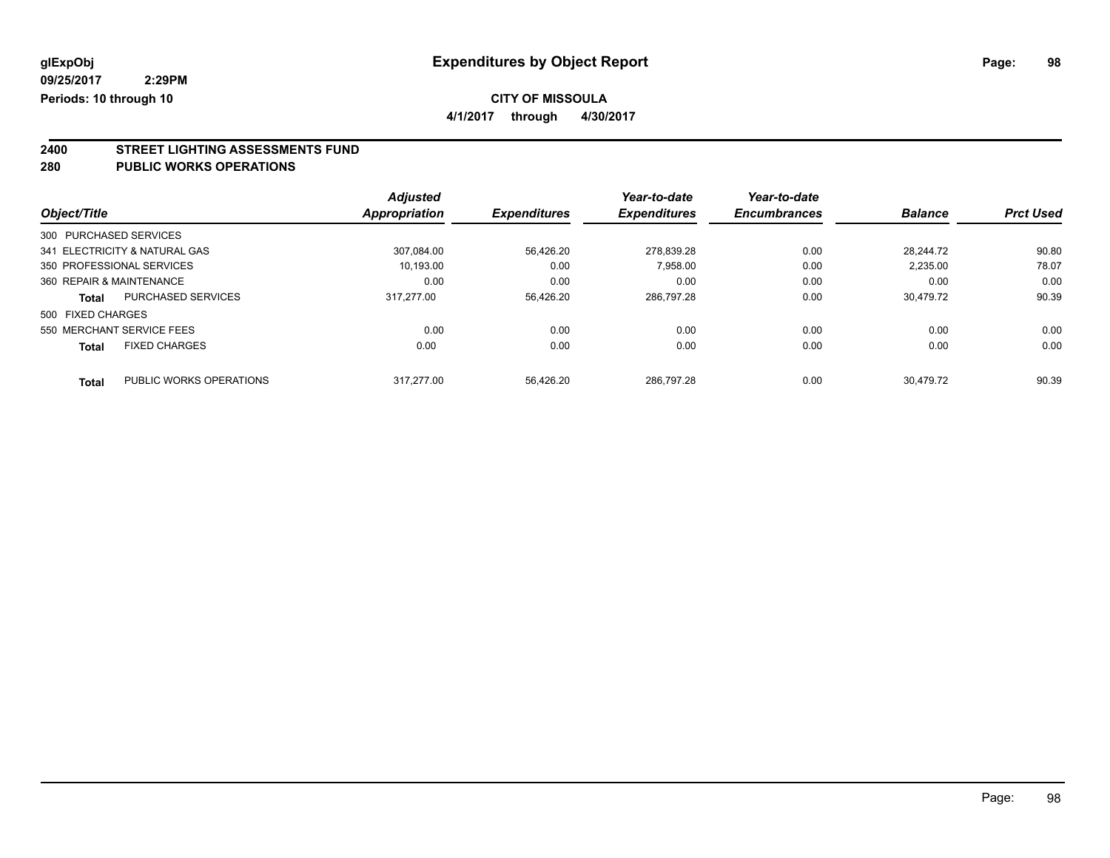**4/1/2017 through 4/30/2017**

# **2400 STREET LIGHTING ASSESSMENTS FUND**

#### **280 PUBLIC WORKS OPERATIONS**

|                          |                               | <b>Adjusted</b> |                     | Year-to-date        | Year-to-date        |                |                  |
|--------------------------|-------------------------------|-----------------|---------------------|---------------------|---------------------|----------------|------------------|
| Object/Title             |                               | Appropriation   | <b>Expenditures</b> | <b>Expenditures</b> | <b>Encumbrances</b> | <b>Balance</b> | <b>Prct Used</b> |
| 300 PURCHASED SERVICES   |                               |                 |                     |                     |                     |                |                  |
|                          | 341 ELECTRICITY & NATURAL GAS | 307.084.00      | 56.426.20           | 278.839.28          | 0.00                | 28.244.72      | 90.80            |
|                          | 350 PROFESSIONAL SERVICES     | 10.193.00       | 0.00                | 7.958.00            | 0.00                | 2.235.00       | 78.07            |
| 360 REPAIR & MAINTENANCE |                               | 0.00            | 0.00                | 0.00                | 0.00                | 0.00           | 0.00             |
| Total                    | <b>PURCHASED SERVICES</b>     | 317.277.00      | 56.426.20           | 286.797.28          | 0.00                | 30.479.72      | 90.39            |
| 500 FIXED CHARGES        |                               |                 |                     |                     |                     |                |                  |
|                          | 550 MERCHANT SERVICE FEES     | 0.00            | 0.00                | 0.00                | 0.00                | 0.00           | 0.00             |
| <b>Total</b>             | <b>FIXED CHARGES</b>          | 0.00            | 0.00                | 0.00                | 0.00                | 0.00           | 0.00             |
| <b>Total</b>             | PUBLIC WORKS OPERATIONS       | 317.277.00      | 56.426.20           | 286.797.28          | 0.00                | 30.479.72      | 90.39            |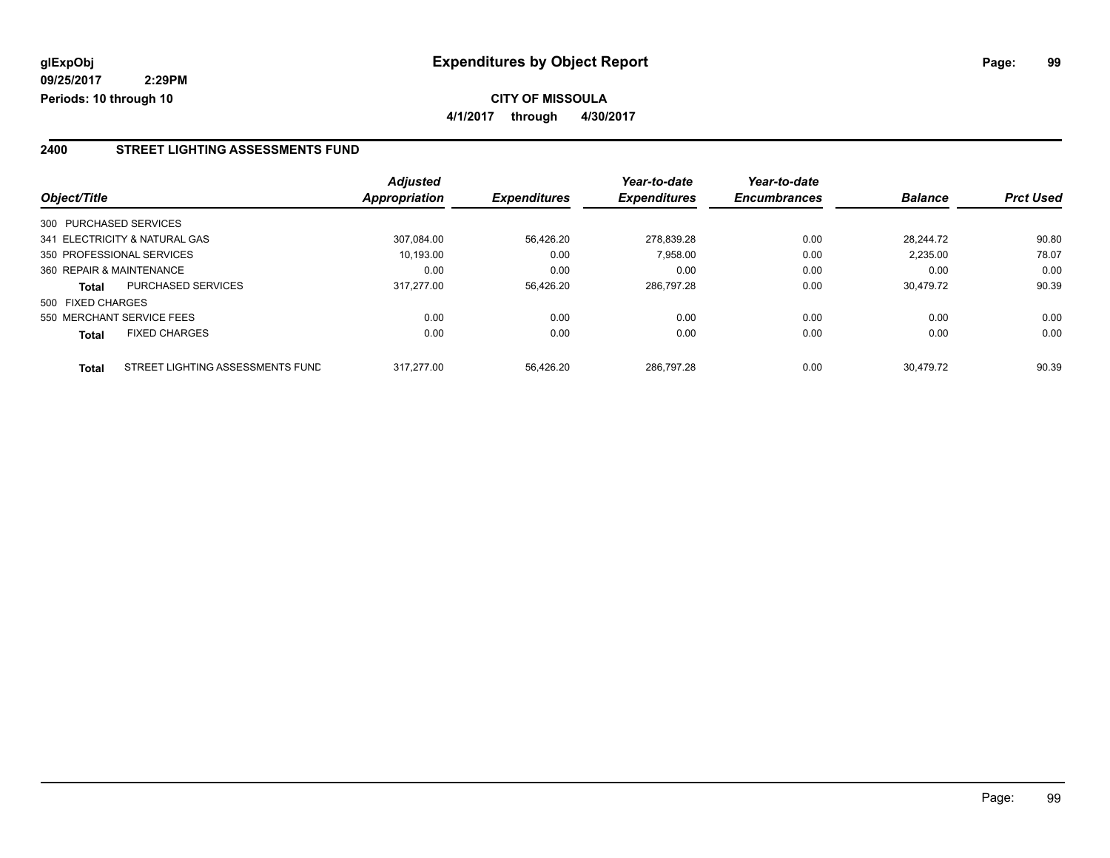**4/1/2017 through 4/30/2017**

#### **2400 STREET LIGHTING ASSESSMENTS FUND**

|                   |                                  | <b>Adjusted</b> |                     | Year-to-date        | Year-to-date        |                |                  |
|-------------------|----------------------------------|-----------------|---------------------|---------------------|---------------------|----------------|------------------|
| Object/Title      |                                  | Appropriation   | <b>Expenditures</b> | <b>Expenditures</b> | <b>Encumbrances</b> | <b>Balance</b> | <b>Prct Used</b> |
|                   | 300 PURCHASED SERVICES           |                 |                     |                     |                     |                |                  |
|                   | 341 ELECTRICITY & NATURAL GAS    | 307.084.00      | 56.426.20           | 278.839.28          | 0.00                | 28.244.72      | 90.80            |
|                   | 350 PROFESSIONAL SERVICES        | 10.193.00       | 0.00                | 7,958.00            | 0.00                | 2,235.00       | 78.07            |
|                   | 360 REPAIR & MAINTENANCE         | 0.00            | 0.00                | 0.00                | 0.00                | 0.00           | 0.00             |
| <b>Total</b>      | <b>PURCHASED SERVICES</b>        | 317.277.00      | 56,426.20           | 286.797.28          | 0.00                | 30.479.72      | 90.39            |
| 500 FIXED CHARGES |                                  |                 |                     |                     |                     |                |                  |
|                   | 550 MERCHANT SERVICE FEES        | 0.00            | 0.00                | 0.00                | 0.00                | 0.00           | 0.00             |
| <b>Total</b>      | <b>FIXED CHARGES</b>             | 0.00            | 0.00                | 0.00                | 0.00                | 0.00           | 0.00             |
| <b>Total</b>      | STREET LIGHTING ASSESSMENTS FUND | 317.277.00      | 56.426.20           | 286.797.28          | 0.00                | 30.479.72      | 90.39            |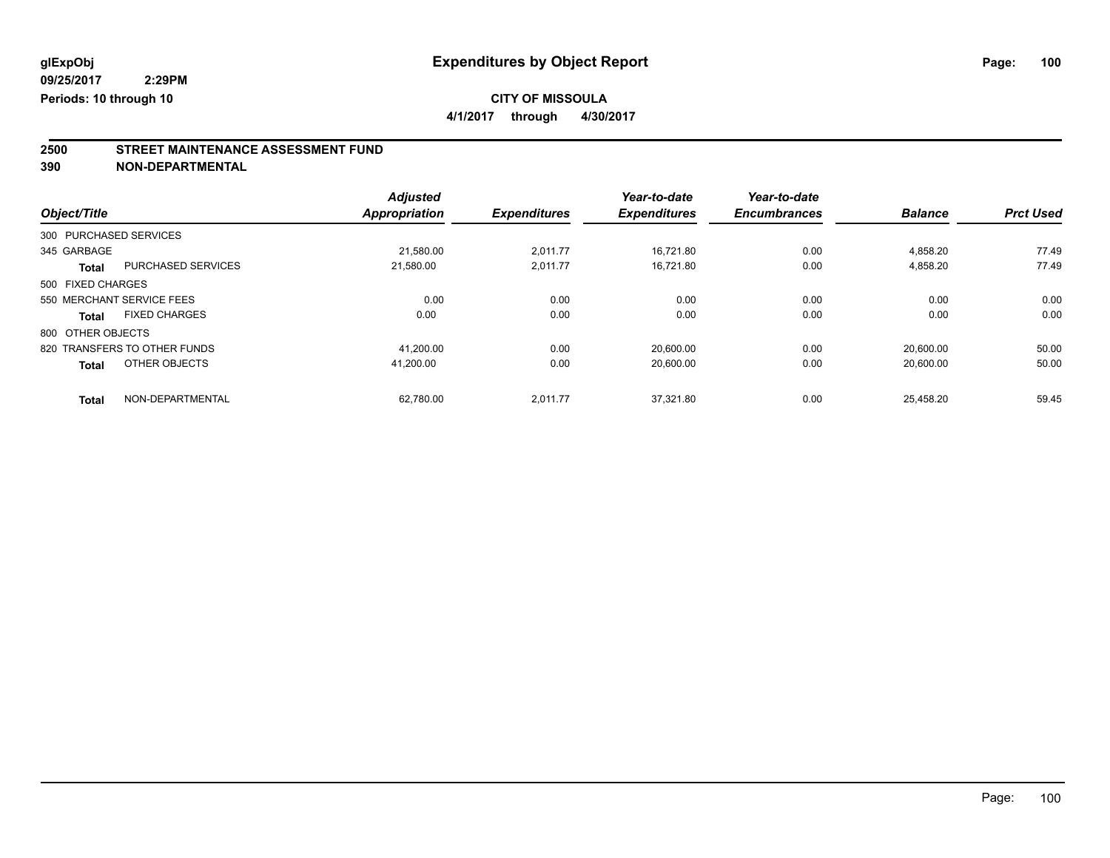**4/1/2017 through 4/30/2017**

## **2500 STREET MAINTENANCE ASSESSMENT FUND**

**390 NON-DEPARTMENTAL**

|                        |                              | <b>Adjusted</b>      |                     | Year-to-date        | Year-to-date        |                |                  |
|------------------------|------------------------------|----------------------|---------------------|---------------------|---------------------|----------------|------------------|
| Object/Title           |                              | <b>Appropriation</b> | <b>Expenditures</b> | <b>Expenditures</b> | <b>Encumbrances</b> | <b>Balance</b> | <b>Prct Used</b> |
| 300 PURCHASED SERVICES |                              |                      |                     |                     |                     |                |                  |
| 345 GARBAGE            |                              | 21,580.00            | 2.011.77            | 16.721.80           | 0.00                | 4.858.20       | 77.49            |
| <b>Total</b>           | <b>PURCHASED SERVICES</b>    | 21.580.00            | 2.011.77            | 16.721.80           | 0.00                | 4,858.20       | 77.49            |
| 500 FIXED CHARGES      |                              |                      |                     |                     |                     |                |                  |
|                        | 550 MERCHANT SERVICE FEES    | 0.00                 | 0.00                | 0.00                | 0.00                | 0.00           | 0.00             |
| <b>Total</b>           | <b>FIXED CHARGES</b>         | 0.00                 | 0.00                | 0.00                | 0.00                | 0.00           | 0.00             |
| 800 OTHER OBJECTS      |                              |                      |                     |                     |                     |                |                  |
|                        | 820 TRANSFERS TO OTHER FUNDS | 41.200.00            | 0.00                | 20.600.00           | 0.00                | 20.600.00      | 50.00            |
| <b>Total</b>           | OTHER OBJECTS                | 41.200.00            | 0.00                | 20.600.00           | 0.00                | 20,600.00      | 50.00            |
| <b>Total</b>           | NON-DEPARTMENTAL             | 62.780.00            | 2.011.77            | 37.321.80           | 0.00                | 25.458.20      | 59.45            |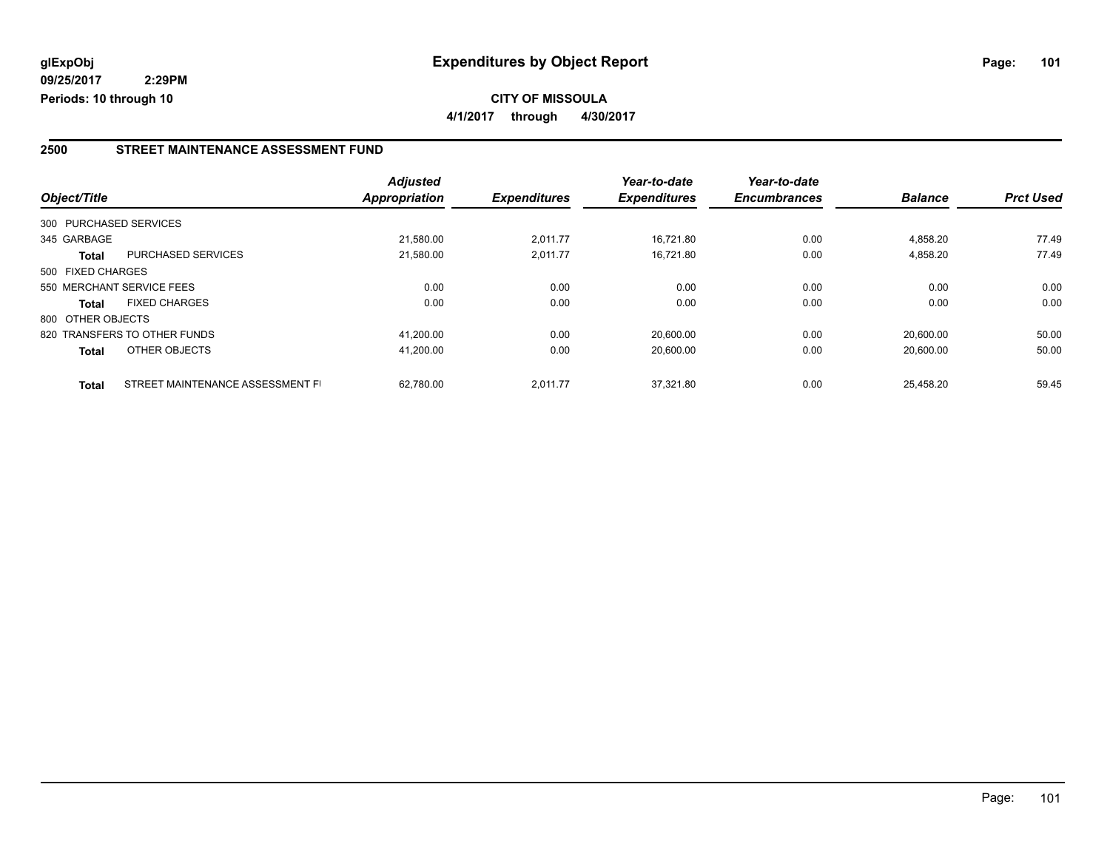#### **2500 STREET MAINTENANCE ASSESSMENT FUND**

|                        |                                  | <b>Adjusted</b> |                     | Year-to-date        | Year-to-date        |                |                  |
|------------------------|----------------------------------|-----------------|---------------------|---------------------|---------------------|----------------|------------------|
| Object/Title           |                                  | Appropriation   | <b>Expenditures</b> | <b>Expenditures</b> | <b>Encumbrances</b> | <b>Balance</b> | <b>Prct Used</b> |
| 300 PURCHASED SERVICES |                                  |                 |                     |                     |                     |                |                  |
| 345 GARBAGE            |                                  | 21.580.00       | 2.011.77            | 16.721.80           | 0.00                | 4.858.20       | 77.49            |
| <b>Total</b>           | PURCHASED SERVICES               | 21.580.00       | 2,011.77            | 16.721.80           | 0.00                | 4.858.20       | 77.49            |
| 500 FIXED CHARGES      |                                  |                 |                     |                     |                     |                |                  |
|                        | 550 MERCHANT SERVICE FEES        | 0.00            | 0.00                | 0.00                | 0.00                | 0.00           | 0.00             |
| <b>Total</b>           | <b>FIXED CHARGES</b>             | 0.00            | 0.00                | 0.00                | 0.00                | 0.00           | 0.00             |
| 800 OTHER OBJECTS      |                                  |                 |                     |                     |                     |                |                  |
|                        | 820 TRANSFERS TO OTHER FUNDS     | 41.200.00       | 0.00                | 20.600.00           | 0.00                | 20.600.00      | 50.00            |
| <b>Total</b>           | OTHER OBJECTS                    | 41,200.00       | 0.00                | 20,600.00           | 0.00                | 20,600.00      | 50.00            |
| <b>Total</b>           | STREET MAINTENANCE ASSESSMENT FI | 62.780.00       | 2.011.77            | 37.321.80           | 0.00                | 25.458.20      | 59.45            |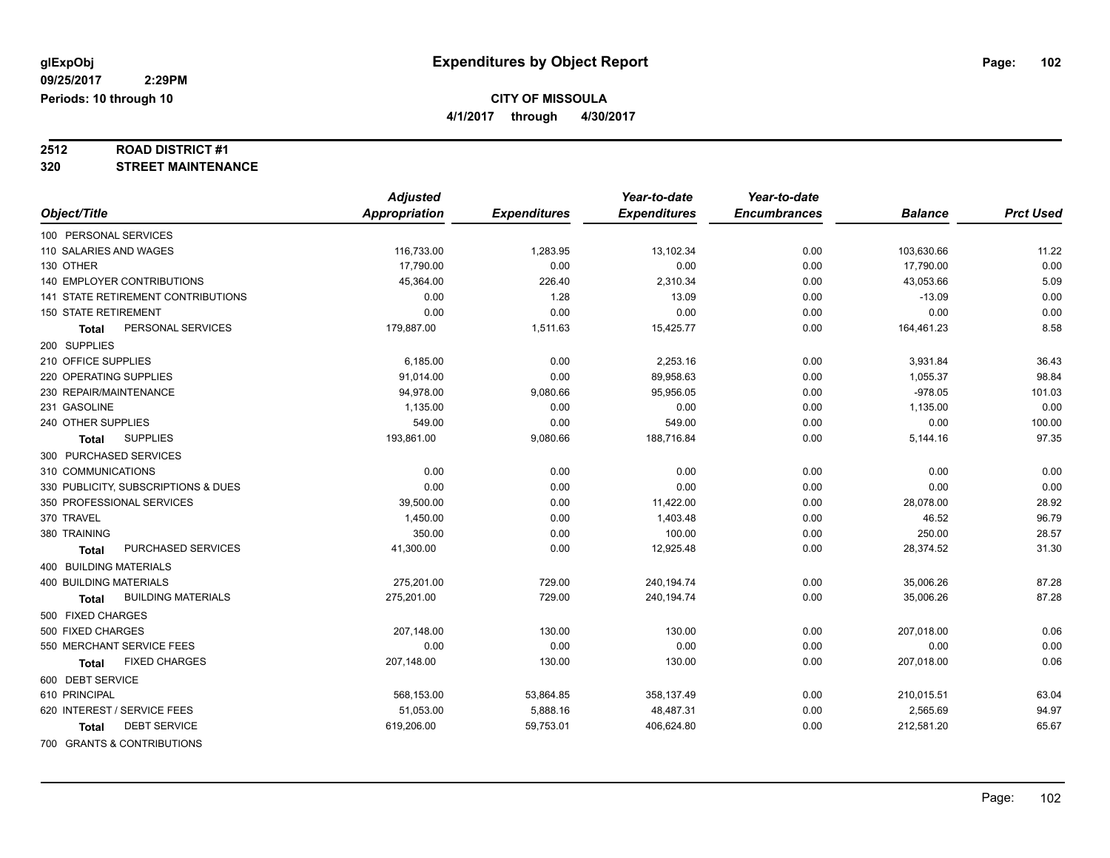**4/1/2017 through 4/30/2017**

# **2512 ROAD DISTRICT #1**

#### **320 STREET MAINTENANCE**

|                                           | <b>Adjusted</b> |                     | Year-to-date        | Year-to-date        |                |                  |
|-------------------------------------------|-----------------|---------------------|---------------------|---------------------|----------------|------------------|
| Object/Title                              | Appropriation   | <b>Expenditures</b> | <b>Expenditures</b> | <b>Encumbrances</b> | <b>Balance</b> | <b>Prct Used</b> |
| 100 PERSONAL SERVICES                     |                 |                     |                     |                     |                |                  |
| 110 SALARIES AND WAGES                    | 116,733.00      | 1,283.95            | 13,102.34           | 0.00                | 103,630.66     | 11.22            |
| 130 OTHER                                 | 17,790.00       | 0.00                | 0.00                | 0.00                | 17,790.00      | 0.00             |
| 140 EMPLOYER CONTRIBUTIONS                | 45,364.00       | 226.40              | 2,310.34            | 0.00                | 43,053.66      | 5.09             |
| <b>141 STATE RETIREMENT CONTRIBUTIONS</b> | 0.00            | 1.28                | 13.09               | 0.00                | $-13.09$       | 0.00             |
| <b>150 STATE RETIREMENT</b>               | 0.00            | 0.00                | 0.00                | 0.00                | 0.00           | 0.00             |
| PERSONAL SERVICES<br><b>Total</b>         | 179,887.00      | 1,511.63            | 15,425.77           | 0.00                | 164,461.23     | 8.58             |
| 200 SUPPLIES                              |                 |                     |                     |                     |                |                  |
| 210 OFFICE SUPPLIES                       | 6,185.00        | 0.00                | 2,253.16            | 0.00                | 3,931.84       | 36.43            |
| 220 OPERATING SUPPLIES                    | 91,014.00       | 0.00                | 89,958.63           | 0.00                | 1,055.37       | 98.84            |
| 230 REPAIR/MAINTENANCE                    | 94,978.00       | 9,080.66            | 95,956.05           | 0.00                | $-978.05$      | 101.03           |
| 231 GASOLINE                              | 1,135.00        | 0.00                | 0.00                | 0.00                | 1,135.00       | 0.00             |
| 240 OTHER SUPPLIES                        | 549.00          | 0.00                | 549.00              | 0.00                | 0.00           | 100.00           |
| <b>SUPPLIES</b><br><b>Total</b>           | 193,861.00      | 9,080.66            | 188,716.84          | 0.00                | 5,144.16       | 97.35            |
| 300 PURCHASED SERVICES                    |                 |                     |                     |                     |                |                  |
| 310 COMMUNICATIONS                        | 0.00            | 0.00                | 0.00                | 0.00                | 0.00           | 0.00             |
| 330 PUBLICITY, SUBSCRIPTIONS & DUES       | 0.00            | 0.00                | 0.00                | 0.00                | 0.00           | 0.00             |
| 350 PROFESSIONAL SERVICES                 | 39,500.00       | 0.00                | 11,422.00           | 0.00                | 28,078.00      | 28.92            |
| 370 TRAVEL                                | 1,450.00        | 0.00                | 1,403.48            | 0.00                | 46.52          | 96.79            |
| 380 TRAINING                              | 350.00          | 0.00                | 100.00              | 0.00                | 250.00         | 28.57            |
| PURCHASED SERVICES<br>Total               | 41,300.00       | 0.00                | 12,925.48           | 0.00                | 28,374.52      | 31.30            |
| <b>400 BUILDING MATERIALS</b>             |                 |                     |                     |                     |                |                  |
| <b>400 BUILDING MATERIALS</b>             | 275,201.00      | 729.00              | 240,194.74          | 0.00                | 35,006.26      | 87.28            |
| <b>BUILDING MATERIALS</b><br><b>Total</b> | 275,201.00      | 729.00              | 240,194.74          | 0.00                | 35,006.26      | 87.28            |
| 500 FIXED CHARGES                         |                 |                     |                     |                     |                |                  |
| 500 FIXED CHARGES                         | 207,148.00      | 130.00              | 130.00              | 0.00                | 207,018.00     | 0.06             |
| 550 MERCHANT SERVICE FEES                 | 0.00            | 0.00                | 0.00                | 0.00                | 0.00           | 0.00             |
| <b>FIXED CHARGES</b><br>Total             | 207,148.00      | 130.00              | 130.00              | 0.00                | 207,018.00     | 0.06             |
| 600 DEBT SERVICE                          |                 |                     |                     |                     |                |                  |
| 610 PRINCIPAL                             | 568,153.00      | 53,864.85           | 358,137.49          | 0.00                | 210,015.51     | 63.04            |
| 620 INTEREST / SERVICE FEES               | 51,053.00       | 5,888.16            | 48,487.31           | 0.00                | 2,565.69       | 94.97            |
| <b>DEBT SERVICE</b><br>Total              | 619,206.00      | 59,753.01           | 406,624.80          | 0.00                | 212,581.20     | 65.67            |
| 700 GRANTS & CONTRIBUTIONS                |                 |                     |                     |                     |                |                  |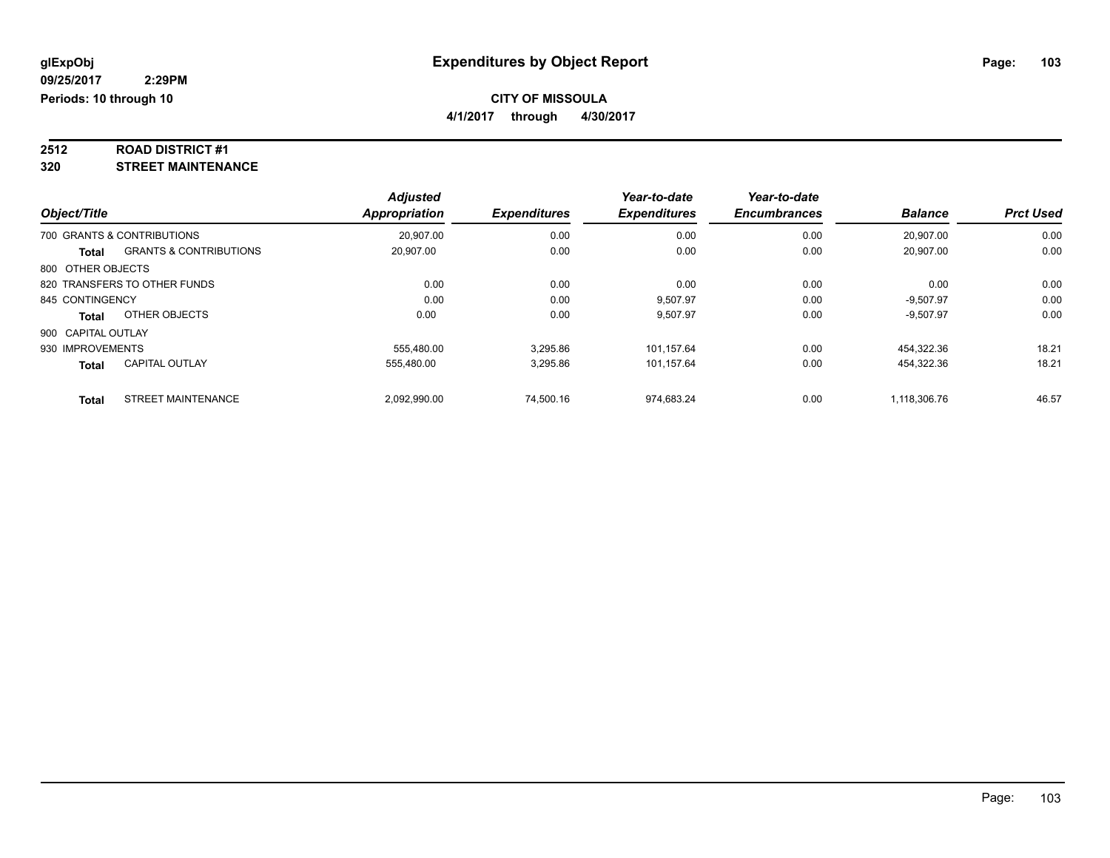**4/1/2017 through 4/30/2017**

# **2512 ROAD DISTRICT #1**

**320 STREET MAINTENANCE**

|                    |                                   | <b>Adjusted</b>      |                     | Year-to-date        | Year-to-date        |                |                  |
|--------------------|-----------------------------------|----------------------|---------------------|---------------------|---------------------|----------------|------------------|
| Object/Title       |                                   | <b>Appropriation</b> | <b>Expenditures</b> | <b>Expenditures</b> | <b>Encumbrances</b> | <b>Balance</b> | <b>Prct Used</b> |
|                    | 700 GRANTS & CONTRIBUTIONS        | 20,907.00            | 0.00                | 0.00                | 0.00                | 20,907.00      | 0.00             |
| Total              | <b>GRANTS &amp; CONTRIBUTIONS</b> | 20,907.00            | 0.00                | 0.00                | 0.00                | 20,907.00      | 0.00             |
| 800 OTHER OBJECTS  |                                   |                      |                     |                     |                     |                |                  |
|                    | 820 TRANSFERS TO OTHER FUNDS      | 0.00                 | 0.00                | 0.00                | 0.00                | 0.00           | 0.00             |
| 845 CONTINGENCY    |                                   | 0.00                 | 0.00                | 9.507.97            | 0.00                | $-9.507.97$    | 0.00             |
| <b>Total</b>       | OTHER OBJECTS                     | 0.00                 | 0.00                | 9,507.97            | 0.00                | $-9,507.97$    | 0.00             |
| 900 CAPITAL OUTLAY |                                   |                      |                     |                     |                     |                |                  |
| 930 IMPROVEMENTS   |                                   | 555.480.00           | 3,295.86            | 101,157.64          | 0.00                | 454.322.36     | 18.21            |
| <b>Total</b>       | <b>CAPITAL OUTLAY</b>             | 555,480.00           | 3,295.86            | 101,157.64          | 0.00                | 454,322.36     | 18.21            |
| <b>Total</b>       | <b>STREET MAINTENANCE</b>         | 2.092.990.00         | 74,500.16           | 974.683.24          | 0.00                | 1.118.306.76   | 46.57            |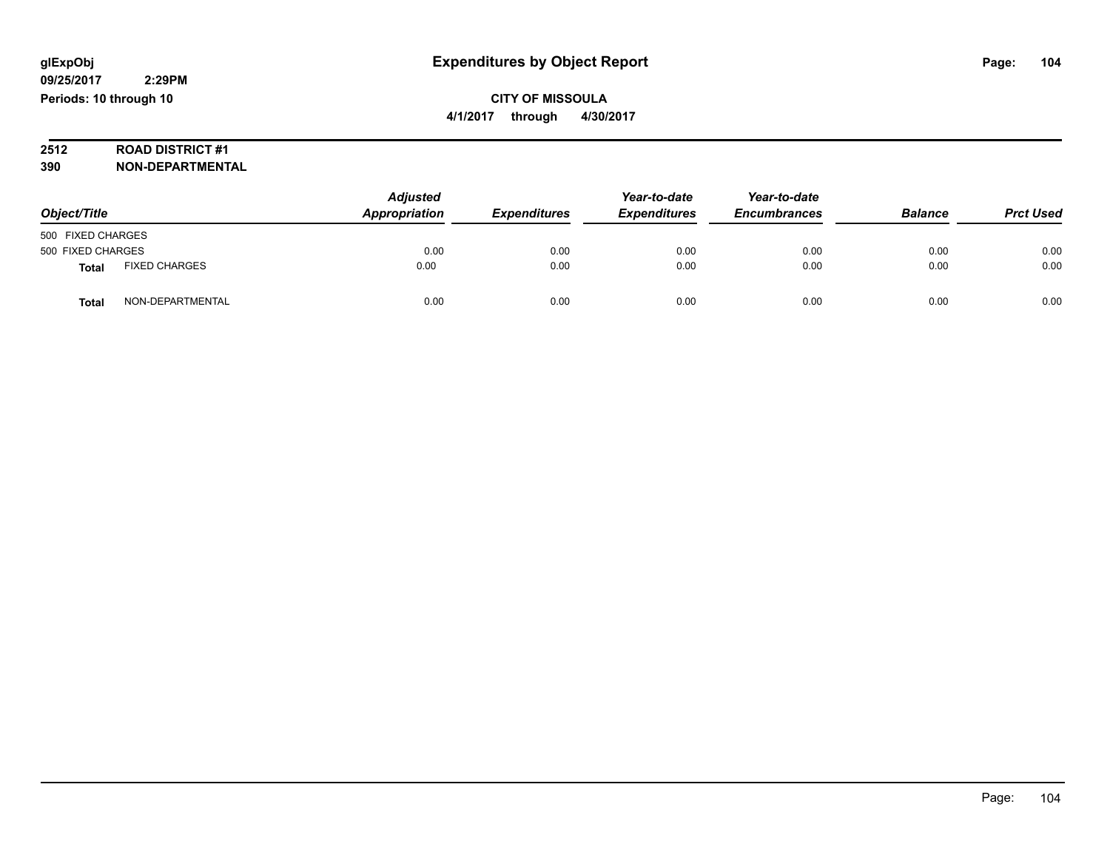# **2512 ROAD DISTRICT #1**

**390 NON-DEPARTMENTAL**

| Object/Title      |                      | <b>Adjusted</b><br>Appropriation | <b>Expenditures</b> | Year-to-date<br><b>Expenditures</b> | Year-to-date<br><b>Encumbrances</b> | <b>Balance</b> | <b>Prct Used</b> |
|-------------------|----------------------|----------------------------------|---------------------|-------------------------------------|-------------------------------------|----------------|------------------|
| 500 FIXED CHARGES |                      |                                  |                     |                                     |                                     |                |                  |
| 500 FIXED CHARGES |                      | 0.00                             | 0.00                | 0.00                                | 0.00                                | 0.00           | 0.00             |
| <b>Total</b>      | <b>FIXED CHARGES</b> | 0.00                             | 0.00                | 0.00                                | 0.00                                | 0.00           | 0.00             |
| Total             | NON-DEPARTMENTAL     | 0.00                             | 0.00                | 0.00                                | 0.00                                | 0.00           | 0.00             |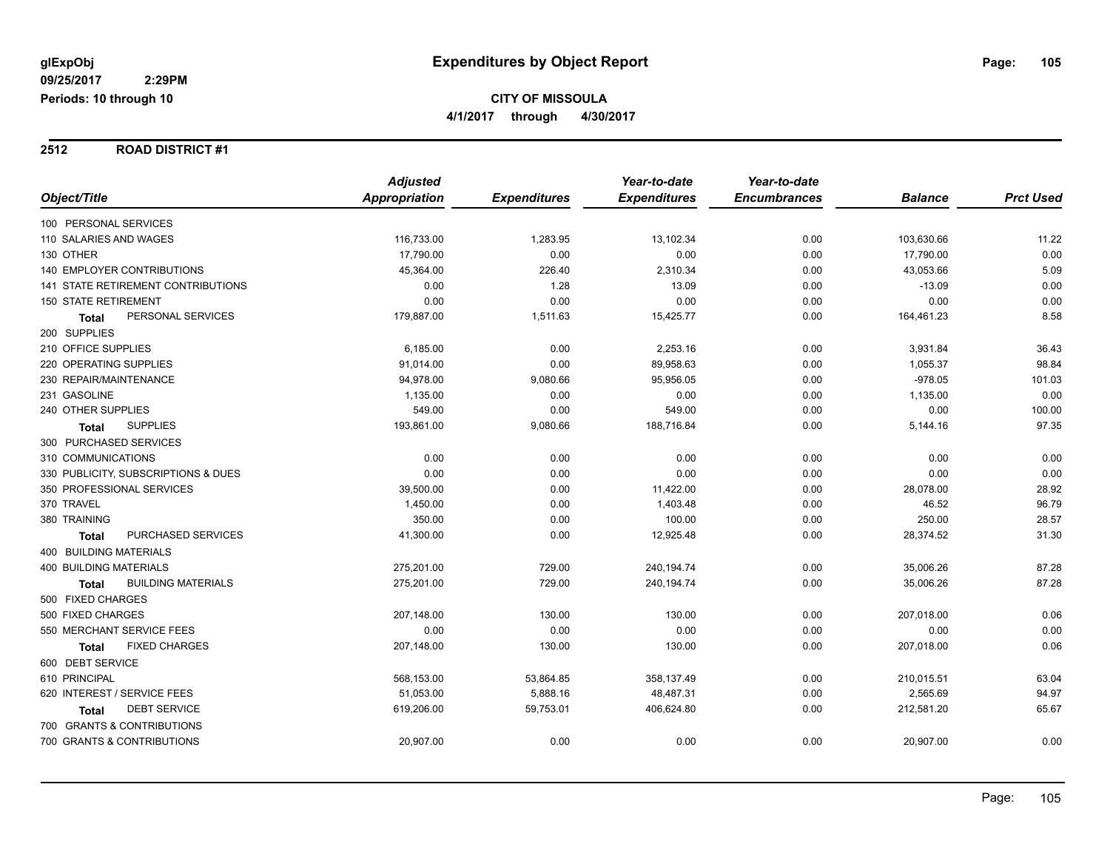#### **2512 ROAD DISTRICT #1**

|                                           | <b>Adjusted</b> |                     | Year-to-date        | Year-to-date        |                |                  |
|-------------------------------------------|-----------------|---------------------|---------------------|---------------------|----------------|------------------|
| Object/Title                              | Appropriation   | <b>Expenditures</b> | <b>Expenditures</b> | <b>Encumbrances</b> | <b>Balance</b> | <b>Prct Used</b> |
| 100 PERSONAL SERVICES                     |                 |                     |                     |                     |                |                  |
| 110 SALARIES AND WAGES                    | 116,733.00      | 1,283.95            | 13,102.34           | 0.00                | 103,630.66     | 11.22            |
| 130 OTHER                                 | 17,790.00       | 0.00                | 0.00                | 0.00                | 17,790.00      | 0.00             |
| <b>140 EMPLOYER CONTRIBUTIONS</b>         | 45,364.00       | 226.40              | 2,310.34            | 0.00                | 43,053.66      | 5.09             |
| <b>141 STATE RETIREMENT CONTRIBUTIONS</b> | 0.00            | 1.28                | 13.09               | 0.00                | $-13.09$       | 0.00             |
| <b>150 STATE RETIREMENT</b>               | 0.00            | 0.00                | 0.00                | 0.00                | 0.00           | 0.00             |
| PERSONAL SERVICES<br><b>Total</b>         | 179,887.00      | 1,511.63            | 15,425.77           | 0.00                | 164,461.23     | 8.58             |
| 200 SUPPLIES                              |                 |                     |                     |                     |                |                  |
| 210 OFFICE SUPPLIES                       | 6,185.00        | 0.00                | 2,253.16            | 0.00                | 3,931.84       | 36.43            |
| 220 OPERATING SUPPLIES                    | 91,014.00       | 0.00                | 89,958.63           | 0.00                | 1,055.37       | 98.84            |
| 230 REPAIR/MAINTENANCE                    | 94,978.00       | 9,080.66            | 95,956.05           | 0.00                | $-978.05$      | 101.03           |
| 231 GASOLINE                              | 1,135.00        | 0.00                | 0.00                | 0.00                | 1,135.00       | 0.00             |
| 240 OTHER SUPPLIES                        | 549.00          | 0.00                | 549.00              | 0.00                | 0.00           | 100.00           |
| <b>SUPPLIES</b><br>Total                  | 193,861.00      | 9,080.66            | 188,716.84          | 0.00                | 5,144.16       | 97.35            |
| 300 PURCHASED SERVICES                    |                 |                     |                     |                     |                |                  |
| 310 COMMUNICATIONS                        | 0.00            | 0.00                | 0.00                | 0.00                | 0.00           | 0.00             |
| 330 PUBLICITY, SUBSCRIPTIONS & DUES       | 0.00            | 0.00                | 0.00                | 0.00                | 0.00           | 0.00             |
| 350 PROFESSIONAL SERVICES                 | 39,500.00       | 0.00                | 11,422.00           | 0.00                | 28,078.00      | 28.92            |
| 370 TRAVEL                                | 1,450.00        | 0.00                | 1,403.48            | 0.00                | 46.52          | 96.79            |
| 380 TRAINING                              | 350.00          | 0.00                | 100.00              | 0.00                | 250.00         | 28.57            |
| PURCHASED SERVICES<br><b>Total</b>        | 41,300.00       | 0.00                | 12,925.48           | 0.00                | 28,374.52      | 31.30            |
| <b>400 BUILDING MATERIALS</b>             |                 |                     |                     |                     |                |                  |
| <b>400 BUILDING MATERIALS</b>             | 275,201.00      | 729.00              | 240,194.74          | 0.00                | 35,006.26      | 87.28            |
| <b>BUILDING MATERIALS</b><br><b>Total</b> | 275,201.00      | 729.00              | 240,194.74          | 0.00                | 35,006.26      | 87.28            |
| 500 FIXED CHARGES                         |                 |                     |                     |                     |                |                  |
| 500 FIXED CHARGES                         | 207,148.00      | 130.00              | 130.00              | 0.00                | 207,018.00     | 0.06             |
| 550 MERCHANT SERVICE FEES                 | 0.00            | 0.00                | 0.00                | 0.00                | 0.00           | 0.00             |
| <b>FIXED CHARGES</b><br>Total             | 207,148.00      | 130.00              | 130.00              | 0.00                | 207,018.00     | 0.06             |
| 600 DEBT SERVICE                          |                 |                     |                     |                     |                |                  |
| 610 PRINCIPAL                             | 568,153.00      | 53,864.85           | 358,137.49          | 0.00                | 210,015.51     | 63.04            |
| 620 INTEREST / SERVICE FEES               | 51,053.00       | 5,888.16            | 48,487.31           | 0.00                | 2,565.69       | 94.97            |
| <b>DEBT SERVICE</b><br><b>Total</b>       | 619,206.00      | 59,753.01           | 406,624.80          | 0.00                | 212,581.20     | 65.67            |
| 700 GRANTS & CONTRIBUTIONS                |                 |                     |                     |                     |                |                  |
| 700 GRANTS & CONTRIBUTIONS                | 20,907.00       | 0.00                | 0.00                | 0.00                | 20,907.00      | 0.00             |
|                                           |                 |                     |                     |                     |                |                  |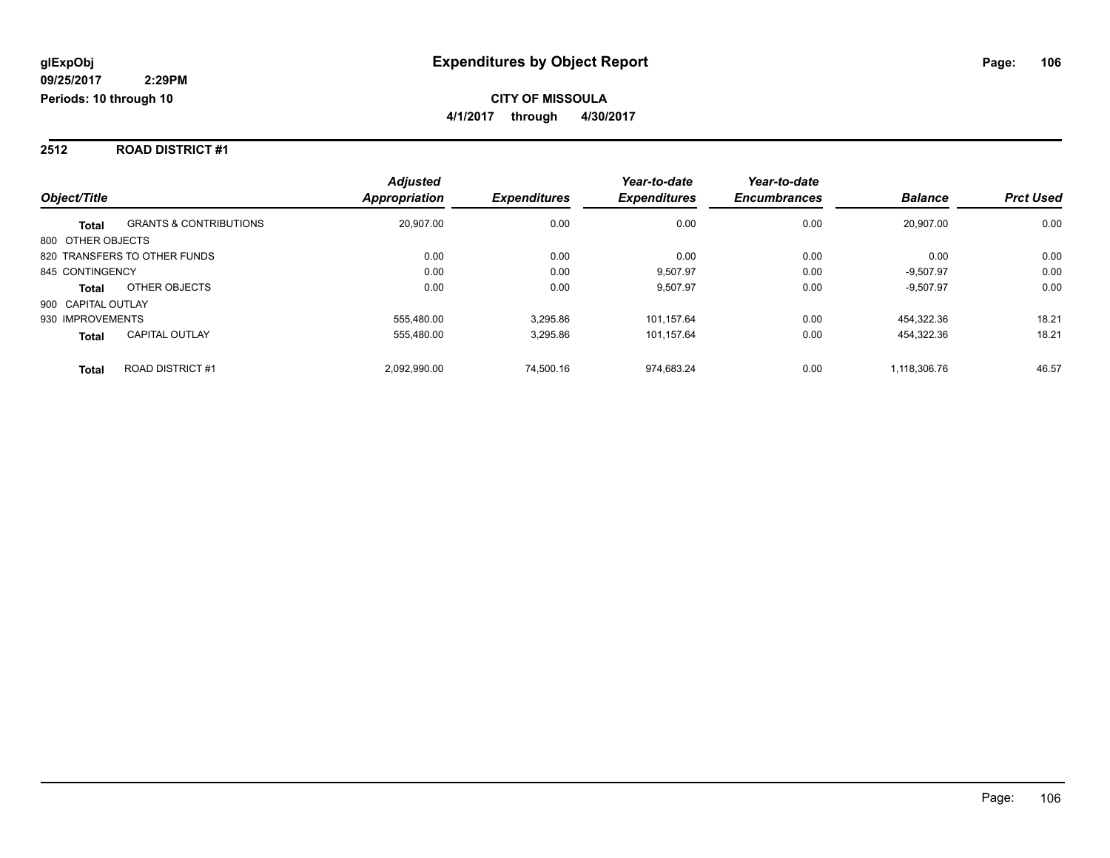#### **2512 ROAD DISTRICT #1**

|                                                   | <b>Adjusted</b>      |                     | Year-to-date        | Year-to-date        |                |                  |
|---------------------------------------------------|----------------------|---------------------|---------------------|---------------------|----------------|------------------|
| Object/Title                                      | <b>Appropriation</b> | <b>Expenditures</b> | <b>Expenditures</b> | <b>Encumbrances</b> | <b>Balance</b> | <b>Prct Used</b> |
| <b>GRANTS &amp; CONTRIBUTIONS</b><br><b>Total</b> | 20,907.00            | 0.00                | 0.00                | 0.00                | 20.907.00      | 0.00             |
| 800 OTHER OBJECTS                                 |                      |                     |                     |                     |                |                  |
| 820 TRANSFERS TO OTHER FUNDS                      | 0.00                 | 0.00                | 0.00                | 0.00                | 0.00           | 0.00             |
| 845 CONTINGENCY                                   | 0.00                 | 0.00                | 9.507.97            | 0.00                | $-9.507.97$    | 0.00             |
| OTHER OBJECTS<br><b>Total</b>                     | 0.00                 | 0.00                | 9.507.97            | 0.00                | $-9.507.97$    | 0.00             |
| 900 CAPITAL OUTLAY                                |                      |                     |                     |                     |                |                  |
| 930 IMPROVEMENTS                                  | 555.480.00           | 3.295.86            | 101.157.64          | 0.00                | 454.322.36     | 18.21            |
| <b>CAPITAL OUTLAY</b><br><b>Total</b>             | 555.480.00           | 3,295.86            | 101,157.64          | 0.00                | 454,322.36     | 18.21            |
| <b>ROAD DISTRICT #1</b><br><b>Total</b>           | 2.092.990.00         | 74.500.16           | 974.683.24          | 0.00                | 1.118.306.76   | 46.57            |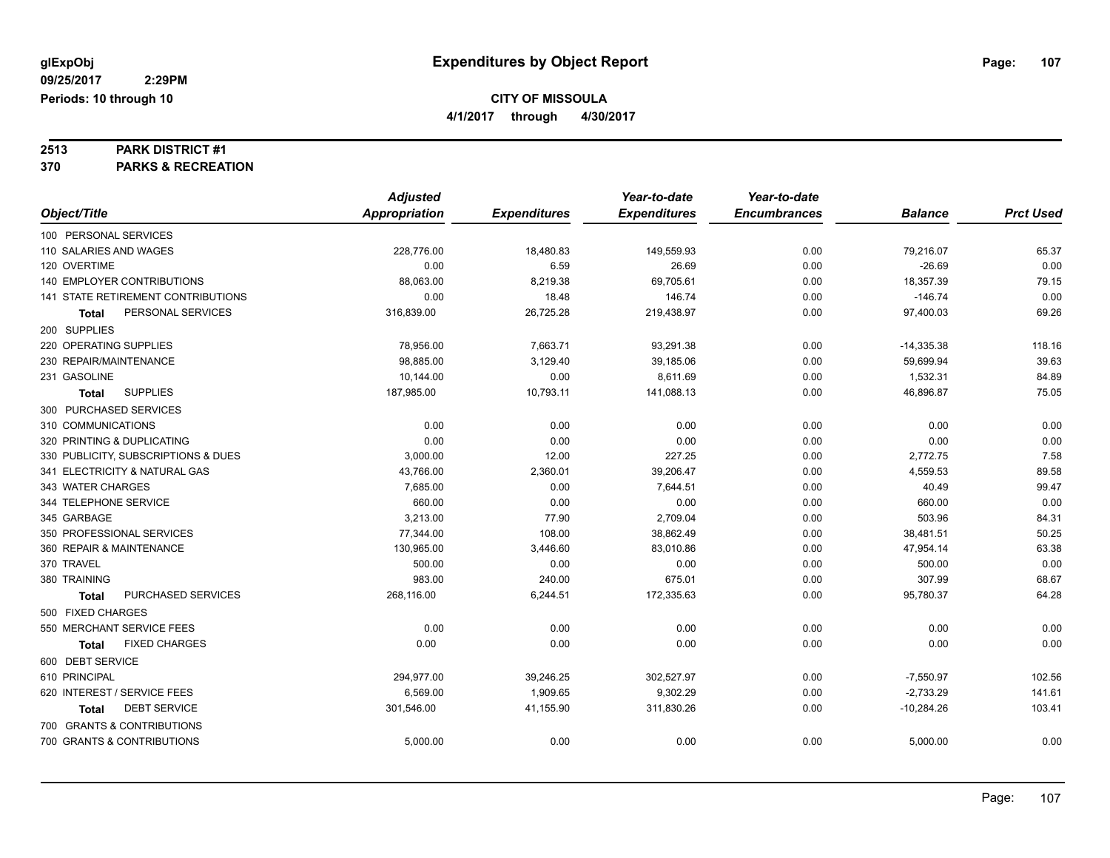**4/1/2017 through 4/30/2017**

# **2513 PARK DISTRICT #1**

**370 PARKS & RECREATION**

|                                      | <b>Adjusted</b> |                     | Year-to-date        | Year-to-date        |                |                  |
|--------------------------------------|-----------------|---------------------|---------------------|---------------------|----------------|------------------|
| Object/Title                         | Appropriation   | <b>Expenditures</b> | <b>Expenditures</b> | <b>Encumbrances</b> | <b>Balance</b> | <b>Prct Used</b> |
| 100 PERSONAL SERVICES                |                 |                     |                     |                     |                |                  |
| 110 SALARIES AND WAGES               | 228,776.00      | 18,480.83           | 149,559.93          | 0.00                | 79,216.07      | 65.37            |
| 120 OVERTIME                         | 0.00            | 6.59                | 26.69               | 0.00                | $-26.69$       | 0.00             |
| 140 EMPLOYER CONTRIBUTIONS           | 88,063.00       | 8,219.38            | 69,705.61           | 0.00                | 18,357.39      | 79.15            |
| 141 STATE RETIREMENT CONTRIBUTIONS   | 0.00            | 18.48               | 146.74              | 0.00                | $-146.74$      | 0.00             |
| PERSONAL SERVICES<br><b>Total</b>    | 316,839.00      | 26,725.28           | 219,438.97          | 0.00                | 97,400.03      | 69.26            |
| 200 SUPPLIES                         |                 |                     |                     |                     |                |                  |
| 220 OPERATING SUPPLIES               | 78,956.00       | 7,663.71            | 93,291.38           | 0.00                | $-14,335.38$   | 118.16           |
| 230 REPAIR/MAINTENANCE               | 98,885.00       | 3,129.40            | 39,185.06           | 0.00                | 59,699.94      | 39.63            |
| 231 GASOLINE                         | 10,144.00       | 0.00                | 8,611.69            | 0.00                | 1,532.31       | 84.89            |
| <b>SUPPLIES</b><br>Total             | 187,985.00      | 10,793.11           | 141,088.13          | 0.00                | 46,896.87      | 75.05            |
| 300 PURCHASED SERVICES               |                 |                     |                     |                     |                |                  |
| 310 COMMUNICATIONS                   | 0.00            | 0.00                | 0.00                | 0.00                | 0.00           | 0.00             |
| 320 PRINTING & DUPLICATING           | 0.00            | 0.00                | 0.00                | 0.00                | 0.00           | 0.00             |
| 330 PUBLICITY, SUBSCRIPTIONS & DUES  | 3,000.00        | 12.00               | 227.25              | 0.00                | 2,772.75       | 7.58             |
| 341 ELECTRICITY & NATURAL GAS        | 43,766.00       | 2,360.01            | 39,206.47           | 0.00                | 4,559.53       | 89.58            |
| 343 WATER CHARGES                    | 7,685.00        | 0.00                | 7,644.51            | 0.00                | 40.49          | 99.47            |
| 344 TELEPHONE SERVICE                | 660.00          | 0.00                | 0.00                | 0.00                | 660.00         | 0.00             |
| 345 GARBAGE                          | 3,213.00        | 77.90               | 2,709.04            | 0.00                | 503.96         | 84.31            |
| 350 PROFESSIONAL SERVICES            | 77,344.00       | 108.00              | 38,862.49           | 0.00                | 38,481.51      | 50.25            |
| 360 REPAIR & MAINTENANCE             | 130.965.00      | 3.446.60            | 83.010.86           | 0.00                | 47,954.14      | 63.38            |
| 370 TRAVEL                           | 500.00          | 0.00                | 0.00                | 0.00                | 500.00         | 0.00             |
| 380 TRAINING                         | 983.00          | 240.00              | 675.01              | 0.00                | 307.99         | 68.67            |
| PURCHASED SERVICES<br>Total          | 268,116.00      | 6,244.51            | 172,335.63          | 0.00                | 95,780.37      | 64.28            |
| 500 FIXED CHARGES                    |                 |                     |                     |                     |                |                  |
| 550 MERCHANT SERVICE FEES            | 0.00            | 0.00                | 0.00                | 0.00                | 0.00           | 0.00             |
| <b>FIXED CHARGES</b><br><b>Total</b> | 0.00            | 0.00                | 0.00                | 0.00                | 0.00           | 0.00             |
| 600 DEBT SERVICE                     |                 |                     |                     |                     |                |                  |
| 610 PRINCIPAL                        | 294,977.00      | 39,246.25           | 302,527.97          | 0.00                | $-7,550.97$    | 102.56           |
| 620 INTEREST / SERVICE FEES          | 6,569.00        | 1,909.65            | 9,302.29            | 0.00                | $-2,733.29$    | 141.61           |
| <b>DEBT SERVICE</b><br><b>Total</b>  | 301,546.00      | 41,155.90           | 311,830.26          | 0.00                | $-10,284.26$   | 103.41           |
| 700 GRANTS & CONTRIBUTIONS           |                 |                     |                     |                     |                |                  |
| 700 GRANTS & CONTRIBUTIONS           | 5,000.00        | 0.00                | 0.00                | 0.00                | 5,000.00       | 0.00             |
|                                      |                 |                     |                     |                     |                |                  |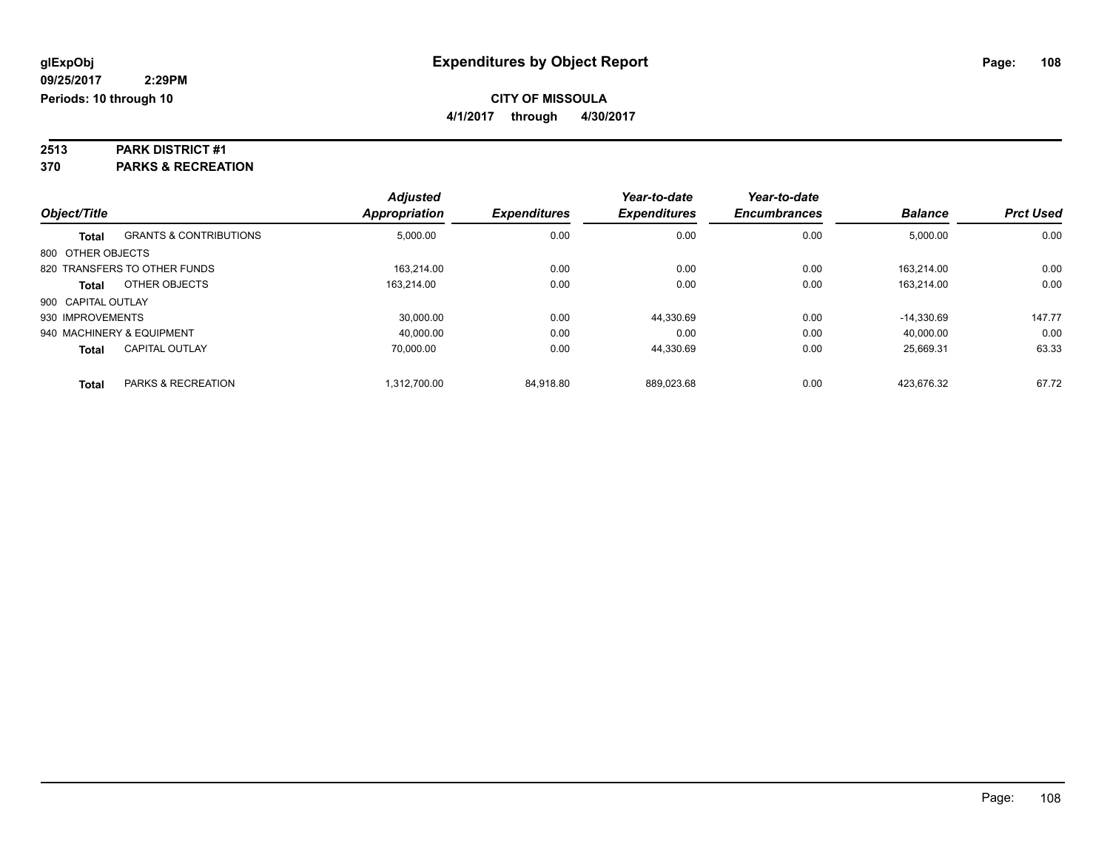**4/1/2017 through 4/30/2017**

# **2513 PARK DISTRICT #1**

**370 PARKS & RECREATION**

|                    |                                   | <b>Adjusted</b>      |                     | Year-to-date        | Year-to-date        |                |                  |
|--------------------|-----------------------------------|----------------------|---------------------|---------------------|---------------------|----------------|------------------|
| Object/Title       |                                   | <b>Appropriation</b> | <b>Expenditures</b> | <b>Expenditures</b> | <b>Encumbrances</b> | <b>Balance</b> | <b>Prct Used</b> |
| <b>Total</b>       | <b>GRANTS &amp; CONTRIBUTIONS</b> | 5,000.00             | 0.00                | 0.00                | 0.00                | 5,000.00       | 0.00             |
| 800 OTHER OBJECTS  |                                   |                      |                     |                     |                     |                |                  |
|                    | 820 TRANSFERS TO OTHER FUNDS      | 163.214.00           | 0.00                | 0.00                | 0.00                | 163.214.00     | 0.00             |
| <b>Total</b>       | OTHER OBJECTS                     | 163.214.00           | 0.00                | 0.00                | 0.00                | 163.214.00     | 0.00             |
| 900 CAPITAL OUTLAY |                                   |                      |                     |                     |                     |                |                  |
| 930 IMPROVEMENTS   |                                   | 30.000.00            | 0.00                | 44,330.69           | 0.00                | $-14.330.69$   | 147.77           |
|                    | 940 MACHINERY & EQUIPMENT         | 40,000.00            | 0.00                | 0.00                | 0.00                | 40,000.00      | 0.00             |
| <b>Total</b>       | <b>CAPITAL OUTLAY</b>             | 70.000.00            | 0.00                | 44,330.69           | 0.00                | 25.669.31      | 63.33            |
| <b>Total</b>       | PARKS & RECREATION                | 1.312.700.00         | 84.918.80           | 889.023.68          | 0.00                | 423.676.32     | 67.72            |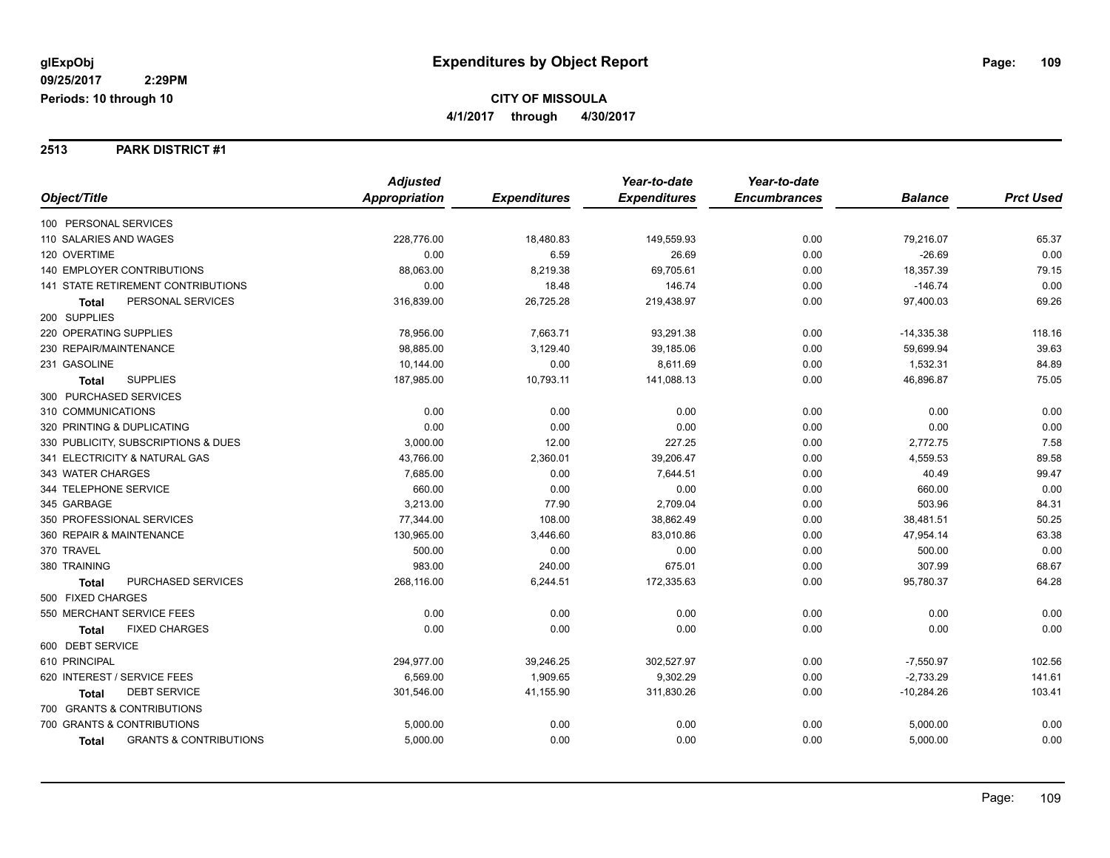#### **2513 PARK DISTRICT #1**

|                                                   | <b>Adjusted</b>      |                     | Year-to-date        | Year-to-date        |                |                  |
|---------------------------------------------------|----------------------|---------------------|---------------------|---------------------|----------------|------------------|
| Object/Title                                      | <b>Appropriation</b> | <b>Expenditures</b> | <b>Expenditures</b> | <b>Encumbrances</b> | <b>Balance</b> | <b>Prct Used</b> |
| 100 PERSONAL SERVICES                             |                      |                     |                     |                     |                |                  |
| 110 SALARIES AND WAGES                            | 228,776.00           | 18,480.83           | 149,559.93          | 0.00                | 79,216.07      | 65.37            |
| 120 OVERTIME                                      | 0.00                 | 6.59                | 26.69               | 0.00                | $-26.69$       | 0.00             |
| 140 EMPLOYER CONTRIBUTIONS                        | 88,063.00            | 8,219.38            | 69,705.61           | 0.00                | 18,357.39      | 79.15            |
| <b>141 STATE RETIREMENT CONTRIBUTIONS</b>         | 0.00                 | 18.48               | 146.74              | 0.00                | $-146.74$      | 0.00             |
| PERSONAL SERVICES<br>Total                        | 316,839.00           | 26,725.28           | 219,438.97          | 0.00                | 97,400.03      | 69.26            |
| 200 SUPPLIES                                      |                      |                     |                     |                     |                |                  |
| 220 OPERATING SUPPLIES                            | 78,956.00            | 7,663.71            | 93,291.38           | 0.00                | $-14,335.38$   | 118.16           |
| 230 REPAIR/MAINTENANCE                            | 98.885.00            | 3,129.40            | 39,185.06           | 0.00                | 59,699.94      | 39.63            |
| 231 GASOLINE                                      | 10,144.00            | 0.00                | 8,611.69            | 0.00                | 1,532.31       | 84.89            |
| <b>SUPPLIES</b><br><b>Total</b>                   | 187,985.00           | 10,793.11           | 141,088.13          | 0.00                | 46,896.87      | 75.05            |
| 300 PURCHASED SERVICES                            |                      |                     |                     |                     |                |                  |
| 310 COMMUNICATIONS                                | 0.00                 | 0.00                | 0.00                | 0.00                | 0.00           | 0.00             |
| 320 PRINTING & DUPLICATING                        | 0.00                 | 0.00                | 0.00                | 0.00                | 0.00           | 0.00             |
| 330 PUBLICITY, SUBSCRIPTIONS & DUES               | 3,000.00             | 12.00               | 227.25              | 0.00                | 2,772.75       | 7.58             |
| 341 ELECTRICITY & NATURAL GAS                     | 43,766.00            | 2,360.01            | 39,206.47           | 0.00                | 4,559.53       | 89.58            |
| 343 WATER CHARGES                                 | 7,685.00             | 0.00                | 7,644.51            | 0.00                | 40.49          | 99.47            |
| 344 TELEPHONE SERVICE                             | 660.00               | 0.00                | 0.00                | 0.00                | 660.00         | 0.00             |
| 345 GARBAGE                                       | 3,213.00             | 77.90               | 2,709.04            | 0.00                | 503.96         | 84.31            |
| 350 PROFESSIONAL SERVICES                         | 77,344.00            | 108.00              | 38,862.49           | 0.00                | 38,481.51      | 50.25            |
| 360 REPAIR & MAINTENANCE                          | 130,965.00           | 3,446.60            | 83,010.86           | 0.00                | 47,954.14      | 63.38            |
| 370 TRAVEL                                        | 500.00               | 0.00                | 0.00                | 0.00                | 500.00         | 0.00             |
| 380 TRAINING                                      | 983.00               | 240.00              | 675.01              | 0.00                | 307.99         | 68.67            |
| PURCHASED SERVICES<br><b>Total</b>                | 268,116.00           | 6,244.51            | 172,335.63          | 0.00                | 95,780.37      | 64.28            |
| 500 FIXED CHARGES                                 |                      |                     |                     |                     |                |                  |
| 550 MERCHANT SERVICE FEES                         | 0.00                 | 0.00                | 0.00                | 0.00                | 0.00           | 0.00             |
| <b>FIXED CHARGES</b><br><b>Total</b>              | 0.00                 | 0.00                | 0.00                | 0.00                | 0.00           | 0.00             |
| 600 DEBT SERVICE                                  |                      |                     |                     |                     |                |                  |
| 610 PRINCIPAL                                     | 294,977.00           | 39,246.25           | 302,527.97          | 0.00                | $-7,550.97$    | 102.56           |
| 620 INTEREST / SERVICE FEES                       | 6,569.00             | 1,909.65            | 9,302.29            | 0.00                | $-2,733.29$    | 141.61           |
| <b>DEBT SERVICE</b><br><b>Total</b>               | 301,546.00           | 41,155.90           | 311,830.26          | 0.00                | $-10,284.26$   | 103.41           |
| 700 GRANTS & CONTRIBUTIONS                        |                      |                     |                     |                     |                |                  |
| 700 GRANTS & CONTRIBUTIONS                        | 5,000.00             | 0.00                | 0.00                | 0.00                | 5,000.00       | 0.00             |
| <b>GRANTS &amp; CONTRIBUTIONS</b><br><b>Total</b> | 5,000.00             | 0.00                | 0.00                | 0.00                | 5,000.00       | 0.00             |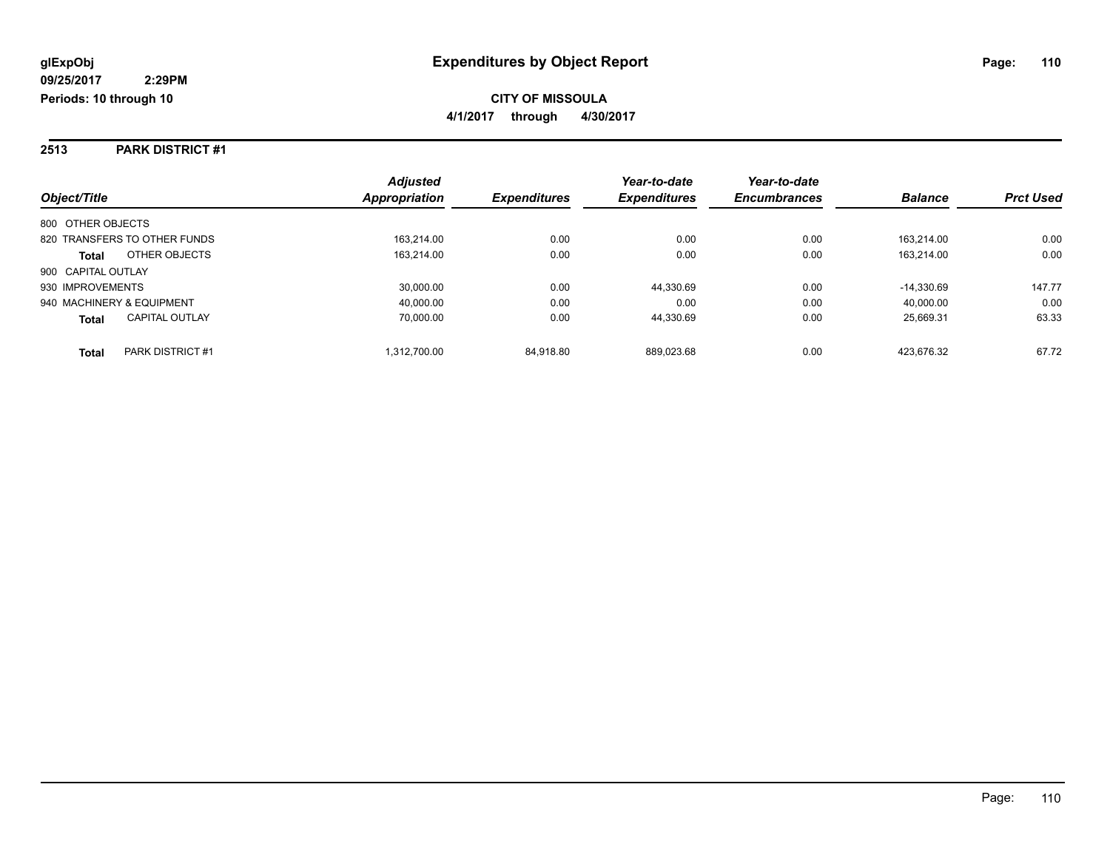#### **2513 PARK DISTRICT #1**

|                                       | <b>Adjusted</b> |                     | Year-to-date        | Year-to-date        |                |                  |
|---------------------------------------|-----------------|---------------------|---------------------|---------------------|----------------|------------------|
| Object/Title                          | Appropriation   | <b>Expenditures</b> | <b>Expenditures</b> | <b>Encumbrances</b> | <b>Balance</b> | <b>Prct Used</b> |
| 800 OTHER OBJECTS                     |                 |                     |                     |                     |                |                  |
| 820 TRANSFERS TO OTHER FUNDS          | 163.214.00      | 0.00                | 0.00                | 0.00                | 163.214.00     | 0.00             |
| OTHER OBJECTS<br><b>Total</b>         | 163,214.00      | 0.00                | 0.00                | 0.00                | 163.214.00     | 0.00             |
| 900 CAPITAL OUTLAY                    |                 |                     |                     |                     |                |                  |
| 930 IMPROVEMENTS                      | 30,000.00       | 0.00                | 44.330.69           | 0.00                | $-14.330.69$   | 147.77           |
| 940 MACHINERY & EQUIPMENT             | 40.000.00       | 0.00                | 0.00                | 0.00                | 40.000.00      | 0.00             |
| <b>CAPITAL OUTLAY</b><br><b>Total</b> | 70.000.00       | 0.00                | 44.330.69           | 0.00                | 25.669.31      | 63.33            |
| PARK DISTRICT #1<br>Total             | 1.312.700.00    | 84.918.80           | 889.023.68          | 0.00                | 423.676.32     | 67.72            |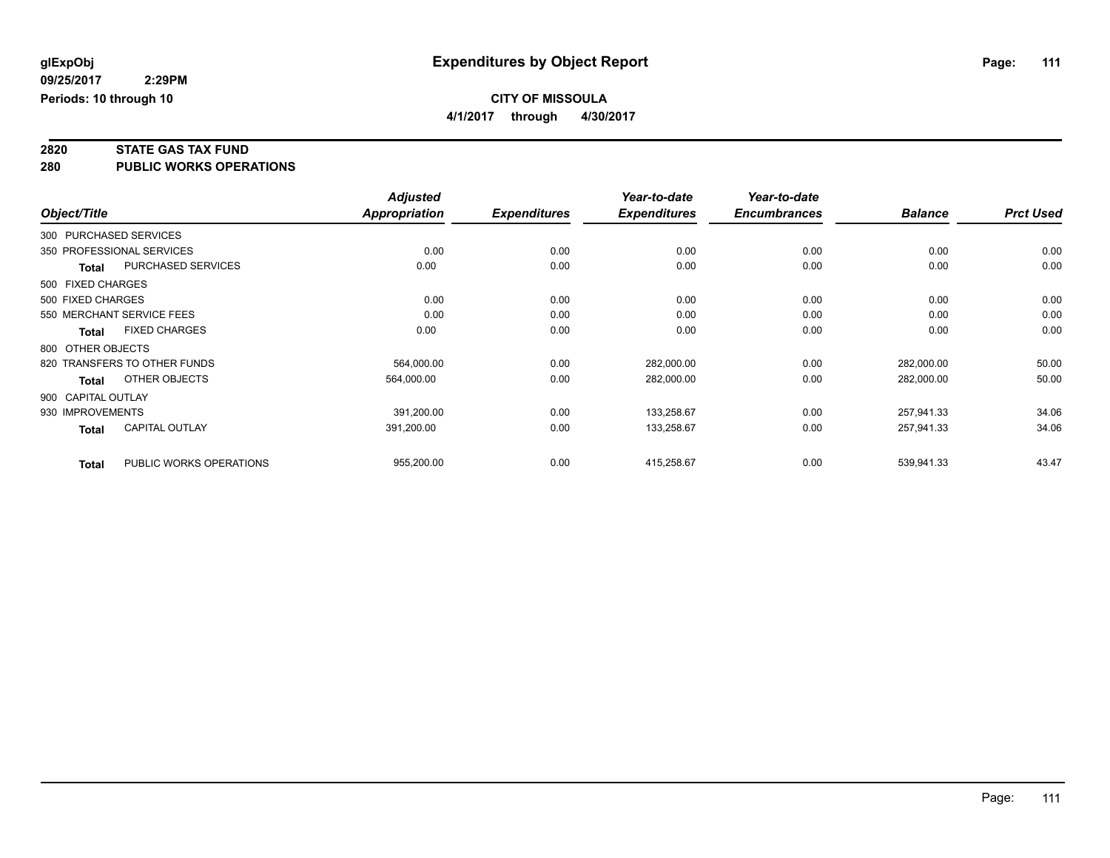**4/1/2017 through 4/30/2017**

# **2820 STATE GAS TAX FUND**

**280 PUBLIC WORKS OPERATIONS**

|                  |                              | <b>Adjusted</b> |                     | Year-to-date        | Year-to-date        |                |                  |
|------------------|------------------------------|-----------------|---------------------|---------------------|---------------------|----------------|------------------|
| Object/Title     |                              | Appropriation   | <b>Expenditures</b> | <b>Expenditures</b> | <b>Encumbrances</b> | <b>Balance</b> | <b>Prct Used</b> |
|                  | 300 PURCHASED SERVICES       |                 |                     |                     |                     |                |                  |
|                  | 350 PROFESSIONAL SERVICES    | 0.00            | 0.00                | 0.00                | 0.00                | 0.00           | 0.00             |
| <b>Total</b>     | PURCHASED SERVICES           | 0.00            | 0.00                | 0.00                | 0.00                | 0.00           | 0.00             |
|                  | 500 FIXED CHARGES            |                 |                     |                     |                     |                |                  |
|                  | 500 FIXED CHARGES            | 0.00            | 0.00                | 0.00                | 0.00                | 0.00           | 0.00             |
|                  | 550 MERCHANT SERVICE FEES    | 0.00            | 0.00                | 0.00                | 0.00                | 0.00           | 0.00             |
| Total            | <b>FIXED CHARGES</b>         | 0.00            | 0.00                | 0.00                | 0.00                | 0.00           | 0.00             |
|                  | 800 OTHER OBJECTS            |                 |                     |                     |                     |                |                  |
|                  | 820 TRANSFERS TO OTHER FUNDS | 564.000.00      | 0.00                | 282,000.00          | 0.00                | 282,000.00     | 50.00            |
| <b>Total</b>     | OTHER OBJECTS                | 564,000.00      | 0.00                | 282,000.00          | 0.00                | 282,000.00     | 50.00            |
|                  | 900 CAPITAL OUTLAY           |                 |                     |                     |                     |                |                  |
| 930 IMPROVEMENTS |                              | 391,200.00      | 0.00                | 133,258.67          | 0.00                | 257,941.33     | 34.06            |
| <b>Total</b>     | CAPITAL OUTLAY               | 391,200.00      | 0.00                | 133,258.67          | 0.00                | 257,941.33     | 34.06            |
| <b>Total</b>     | PUBLIC WORKS OPERATIONS      | 955,200.00      | 0.00                | 415,258.67          | 0.00                | 539,941.33     | 43.47            |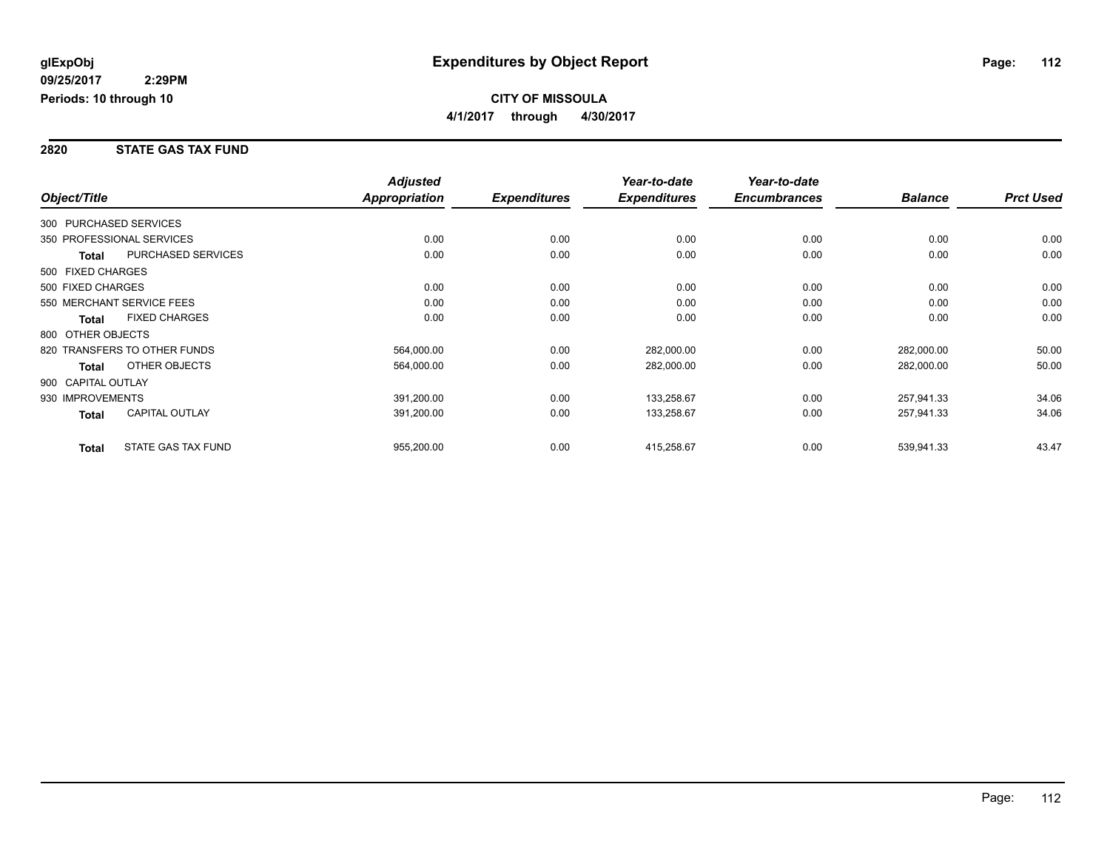### **2820 STATE GAS TAX FUND**

|                    |                              | <b>Adjusted</b> |                     | Year-to-date        | Year-to-date        |                |                  |
|--------------------|------------------------------|-----------------|---------------------|---------------------|---------------------|----------------|------------------|
| Object/Title       |                              | Appropriation   | <b>Expenditures</b> | <b>Expenditures</b> | <b>Encumbrances</b> | <b>Balance</b> | <b>Prct Used</b> |
|                    | 300 PURCHASED SERVICES       |                 |                     |                     |                     |                |                  |
|                    | 350 PROFESSIONAL SERVICES    | 0.00            | 0.00                | 0.00                | 0.00                | 0.00           | 0.00             |
| Total              | PURCHASED SERVICES           | 0.00            | 0.00                | 0.00                | 0.00                | 0.00           | 0.00             |
| 500 FIXED CHARGES  |                              |                 |                     |                     |                     |                |                  |
| 500 FIXED CHARGES  |                              | 0.00            | 0.00                | 0.00                | 0.00                | 0.00           | 0.00             |
|                    | 550 MERCHANT SERVICE FEES    | 0.00            | 0.00                | 0.00                | 0.00                | 0.00           | 0.00             |
| <b>Total</b>       | <b>FIXED CHARGES</b>         | 0.00            | 0.00                | 0.00                | 0.00                | 0.00           | 0.00             |
| 800 OTHER OBJECTS  |                              |                 |                     |                     |                     |                |                  |
|                    | 820 TRANSFERS TO OTHER FUNDS | 564,000.00      | 0.00                | 282,000.00          | 0.00                | 282,000.00     | 50.00            |
| Total              | OTHER OBJECTS                | 564,000.00      | 0.00                | 282,000.00          | 0.00                | 282,000.00     | 50.00            |
| 900 CAPITAL OUTLAY |                              |                 |                     |                     |                     |                |                  |
| 930 IMPROVEMENTS   |                              | 391,200.00      | 0.00                | 133,258.67          | 0.00                | 257,941.33     | 34.06            |
| Total              | <b>CAPITAL OUTLAY</b>        | 391,200.00      | 0.00                | 133,258.67          | 0.00                | 257,941.33     | 34.06            |
| <b>Total</b>       | STATE GAS TAX FUND           | 955,200.00      | 0.00                | 415,258.67          | 0.00                | 539,941.33     | 43.47            |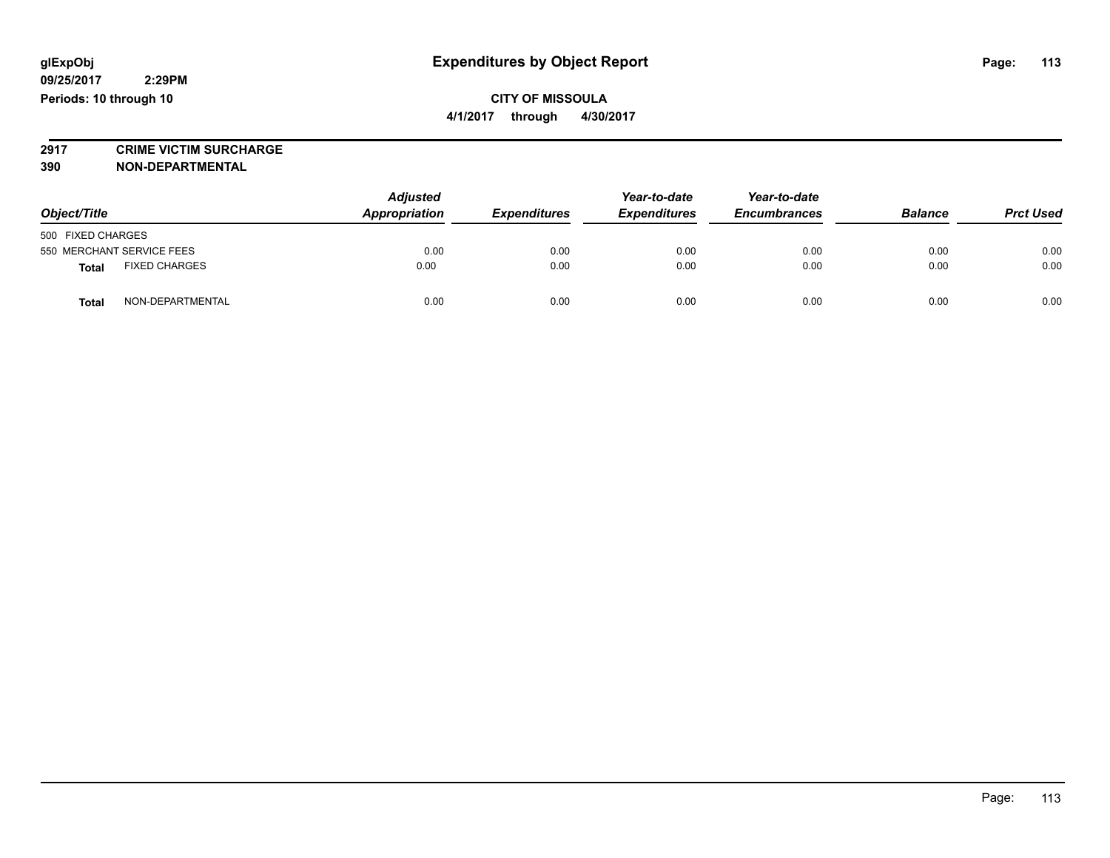**2917 CRIME VICTIM SURCHARGE**

**390 NON-DEPARTMENTAL**

| Object/Title                         | <b>Adjusted</b><br>Appropriation | <b>Expenditures</b> | Year-to-date<br><b>Expenditures</b> | Year-to-date<br><b>Encumbrances</b> | <b>Balance</b> | <b>Prct Used</b> |
|--------------------------------------|----------------------------------|---------------------|-------------------------------------|-------------------------------------|----------------|------------------|
| 500 FIXED CHARGES                    |                                  |                     |                                     |                                     |                |                  |
| 550 MERCHANT SERVICE FEES            | 0.00                             | 0.00                | 0.00                                | 0.00                                | 0.00           | 0.00             |
| <b>FIXED CHARGES</b><br><b>Total</b> | 0.00                             | 0.00                | 0.00                                | 0.00                                | 0.00           | 0.00             |
| NON-DEPARTMENTAL<br>Total            | 0.00                             | 0.00                | 0.00                                | 0.00                                | 0.00           | 0.00             |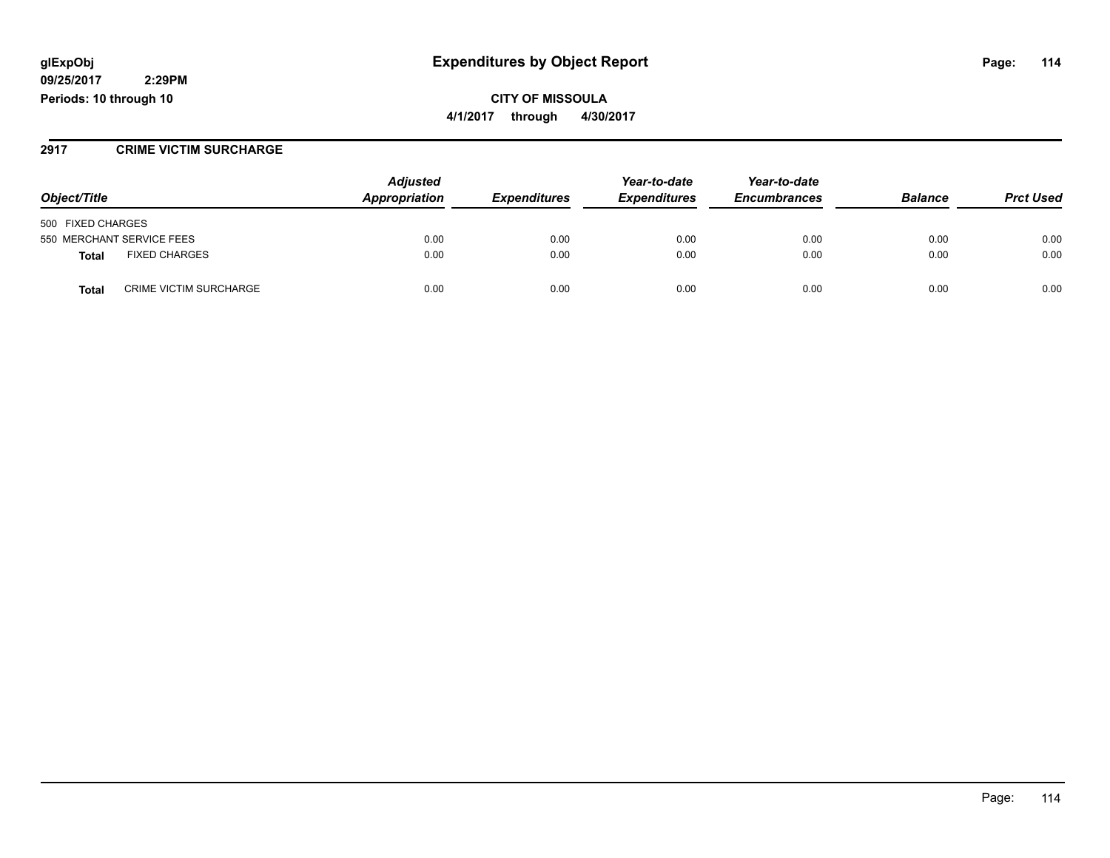## **glExpObj Expenditures by Object Report Page: 114**

**09/25/2017 2:29PM Periods: 10 through 10**

**CITY OF MISSOULA 4/1/2017 through 4/30/2017**

### **2917 CRIME VICTIM SURCHARGE**

| Object/Title                                  | <b>Adjusted</b><br>Appropriation | <b>Expenditures</b> | Year-to-date<br><b>Expenditures</b> | Year-to-date<br><b>Encumbrances</b> | <b>Balance</b> | <b>Prct Used</b> |
|-----------------------------------------------|----------------------------------|---------------------|-------------------------------------|-------------------------------------|----------------|------------------|
|                                               |                                  |                     |                                     |                                     |                |                  |
| 500 FIXED CHARGES                             |                                  |                     |                                     |                                     |                |                  |
| 550 MERCHANT SERVICE FEES                     | 0.00                             | 0.00                | 0.00                                | 0.00                                | 0.00           | 0.00             |
| <b>FIXED CHARGES</b><br><b>Total</b>          | 0.00                             | 0.00                | 0.00                                | 0.00                                | 0.00           | 0.00             |
| <b>CRIME VICTIM SURCHARGE</b><br><b>Total</b> | 0.00                             | 0.00                | 0.00                                | 0.00                                | 0.00           | 0.00             |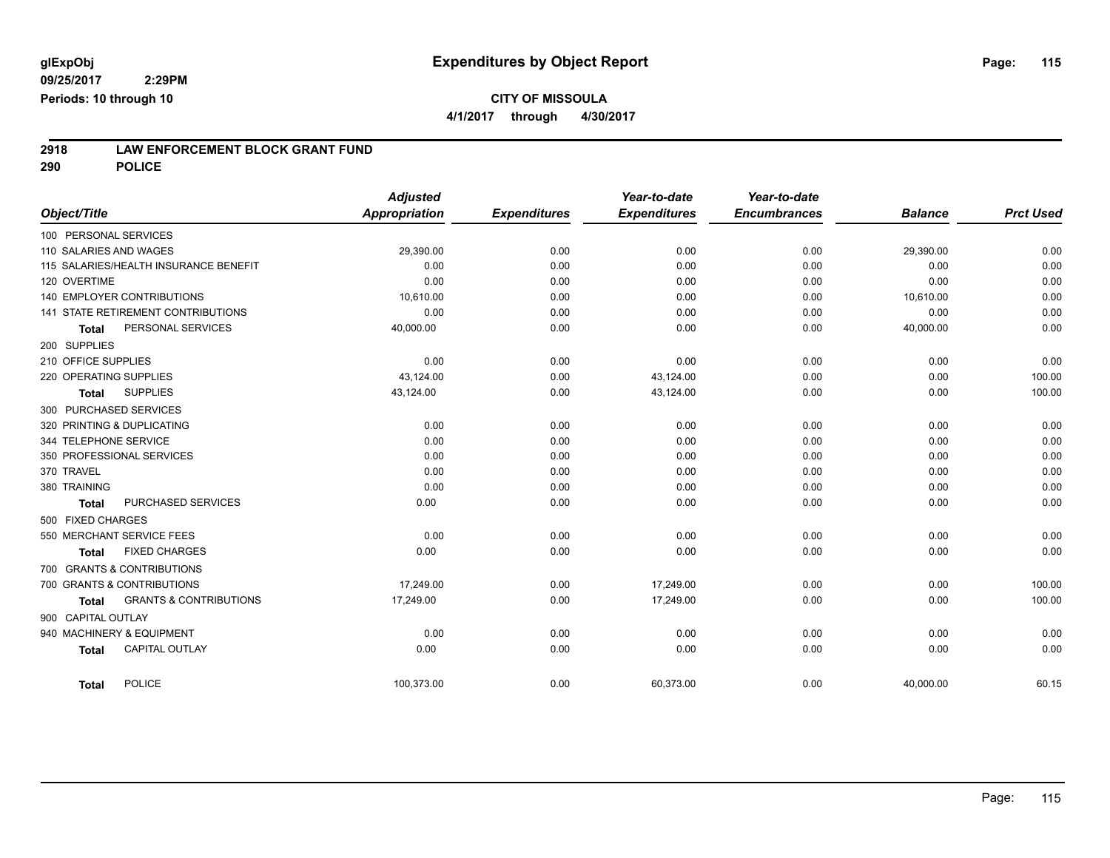**4/1/2017 through 4/30/2017**

# **2918 LAW ENFORCEMENT BLOCK GRANT FUND**

**290 POLICE**

| Object/Title               |                                       | <b>Adjusted</b><br><b>Appropriation</b> | <b>Expenditures</b> | Year-to-date<br><b>Expenditures</b> | Year-to-date<br><b>Encumbrances</b> | <b>Balance</b> | <b>Prct Used</b> |
|----------------------------|---------------------------------------|-----------------------------------------|---------------------|-------------------------------------|-------------------------------------|----------------|------------------|
| 100 PERSONAL SERVICES      |                                       |                                         |                     |                                     |                                     |                |                  |
| 110 SALARIES AND WAGES     |                                       | 29,390.00                               | 0.00                | 0.00                                | 0.00                                | 29,390.00      | 0.00             |
|                            | 115 SALARIES/HEALTH INSURANCE BENEFIT | 0.00                                    | 0.00                | 0.00                                | 0.00                                | 0.00           | 0.00             |
| 120 OVERTIME               |                                       | 0.00                                    | 0.00                | 0.00                                | 0.00                                | 0.00           | 0.00             |
|                            | <b>140 EMPLOYER CONTRIBUTIONS</b>     | 10,610.00                               | 0.00                | 0.00                                | 0.00                                | 10,610.00      | 0.00             |
|                            | 141 STATE RETIREMENT CONTRIBUTIONS    | 0.00                                    | 0.00                | 0.00                                | 0.00                                | 0.00           | 0.00             |
| <b>Total</b>               | PERSONAL SERVICES                     | 40,000.00                               | 0.00                | 0.00                                | 0.00                                | 40,000.00      | 0.00             |
| 200 SUPPLIES               |                                       |                                         |                     |                                     |                                     |                |                  |
| 210 OFFICE SUPPLIES        |                                       | 0.00                                    | 0.00                | 0.00                                | 0.00                                | 0.00           | 0.00             |
| 220 OPERATING SUPPLIES     |                                       | 43,124.00                               | 0.00                | 43,124.00                           | 0.00                                | 0.00           | 100.00           |
| <b>Total</b>               | <b>SUPPLIES</b>                       | 43,124.00                               | 0.00                | 43,124.00                           | 0.00                                | 0.00           | 100.00           |
| 300 PURCHASED SERVICES     |                                       |                                         |                     |                                     |                                     |                |                  |
| 320 PRINTING & DUPLICATING |                                       | 0.00                                    | 0.00                | 0.00                                | 0.00                                | 0.00           | 0.00             |
| 344 TELEPHONE SERVICE      |                                       | 0.00                                    | 0.00                | 0.00                                | 0.00                                | 0.00           | 0.00             |
| 350 PROFESSIONAL SERVICES  |                                       | 0.00                                    | 0.00                | 0.00                                | 0.00                                | 0.00           | 0.00             |
| 370 TRAVEL                 |                                       | 0.00                                    | 0.00                | 0.00                                | 0.00                                | 0.00           | 0.00             |
| 380 TRAINING               |                                       | 0.00                                    | 0.00                | 0.00                                | 0.00                                | 0.00           | 0.00             |
| <b>Total</b>               | PURCHASED SERVICES                    | 0.00                                    | 0.00                | 0.00                                | 0.00                                | 0.00           | 0.00             |
| 500 FIXED CHARGES          |                                       |                                         |                     |                                     |                                     |                |                  |
| 550 MERCHANT SERVICE FEES  |                                       | 0.00                                    | 0.00                | 0.00                                | 0.00                                | 0.00           | 0.00             |
| <b>Total</b>               | <b>FIXED CHARGES</b>                  | 0.00                                    | 0.00                | 0.00                                | 0.00                                | 0.00           | 0.00             |
|                            | 700 GRANTS & CONTRIBUTIONS            |                                         |                     |                                     |                                     |                |                  |
|                            | 700 GRANTS & CONTRIBUTIONS            | 17.249.00                               | 0.00                | 17.249.00                           | 0.00                                | 0.00           | 100.00           |
| <b>Total</b>               | <b>GRANTS &amp; CONTRIBUTIONS</b>     | 17,249.00                               | 0.00                | 17,249.00                           | 0.00                                | 0.00           | 100.00           |
| 900 CAPITAL OUTLAY         |                                       |                                         |                     |                                     |                                     |                |                  |
| 940 MACHINERY & EQUIPMENT  |                                       | 0.00                                    | 0.00                | 0.00                                | 0.00                                | 0.00           | 0.00             |
| <b>Total</b>               | <b>CAPITAL OUTLAY</b>                 | 0.00                                    | 0.00                | 0.00                                | 0.00                                | 0.00           | 0.00             |
| <b>Total</b>               | <b>POLICE</b>                         | 100,373.00                              | 0.00                | 60,373.00                           | 0.00                                | 40,000.00      | 60.15            |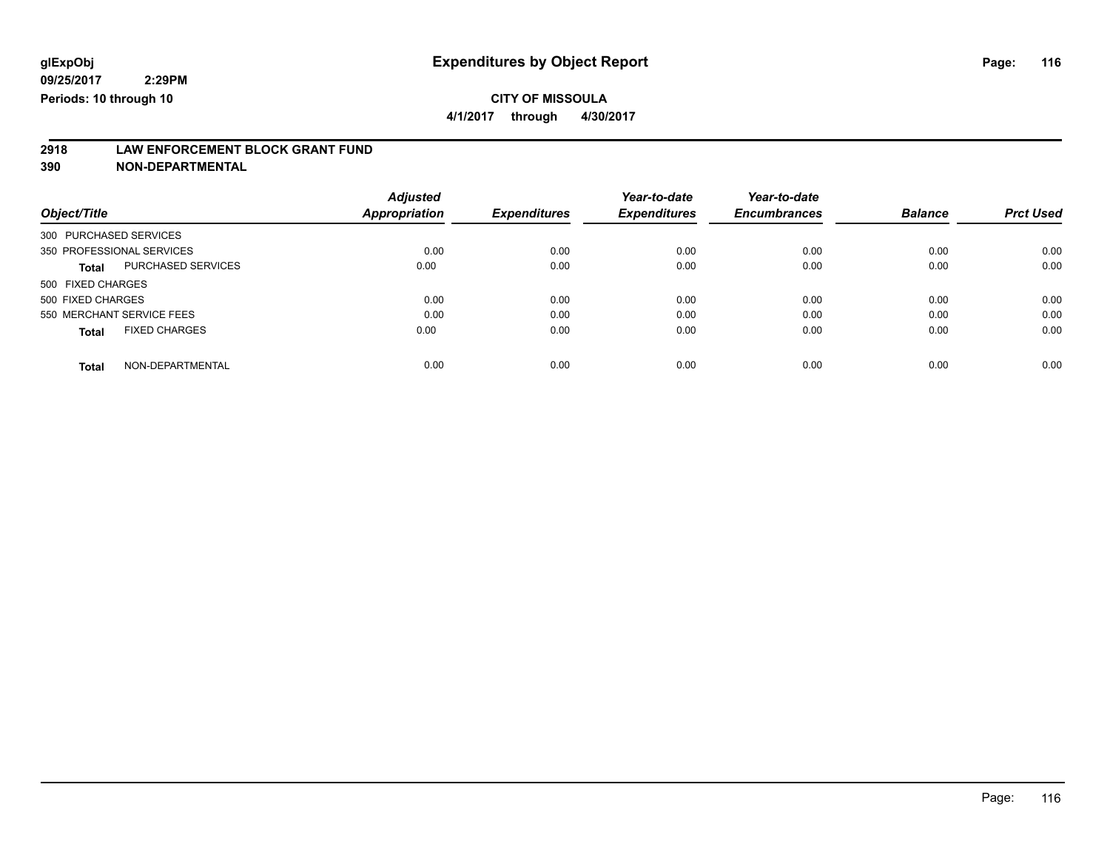**09/25/2017 2:29PM Periods: 10 through 10**

## **CITY OF MISSOULA**

**4/1/2017 through 4/30/2017**

# **2918 LAW ENFORCEMENT BLOCK GRANT FUND**

**390 NON-DEPARTMENTAL**

| Object/Title                         | <b>Adjusted</b><br>Appropriation | <b>Expenditures</b> | Year-to-date<br><b>Expenditures</b> | Year-to-date<br><b>Encumbrances</b> | <b>Balance</b> | <b>Prct Used</b> |
|--------------------------------------|----------------------------------|---------------------|-------------------------------------|-------------------------------------|----------------|------------------|
| 300 PURCHASED SERVICES               |                                  |                     |                                     |                                     |                |                  |
| 350 PROFESSIONAL SERVICES            | 0.00                             | 0.00                | 0.00                                | 0.00                                | 0.00           | 0.00             |
| PURCHASED SERVICES<br><b>Total</b>   | 0.00                             | 0.00                | 0.00                                | 0.00                                | 0.00           | 0.00             |
| 500 FIXED CHARGES                    |                                  |                     |                                     |                                     |                |                  |
| 500 FIXED CHARGES                    | 0.00                             | 0.00                | 0.00                                | 0.00                                | 0.00           | 0.00             |
| 550 MERCHANT SERVICE FEES            | 0.00                             | 0.00                | 0.00                                | 0.00                                | 0.00           | 0.00             |
| <b>FIXED CHARGES</b><br><b>Total</b> | 0.00                             | 0.00                | 0.00                                | 0.00                                | 0.00           | 0.00             |
| NON-DEPARTMENTAL<br><b>Total</b>     | 0.00                             | 0.00                | 0.00                                | 0.00                                | 0.00           | 0.00             |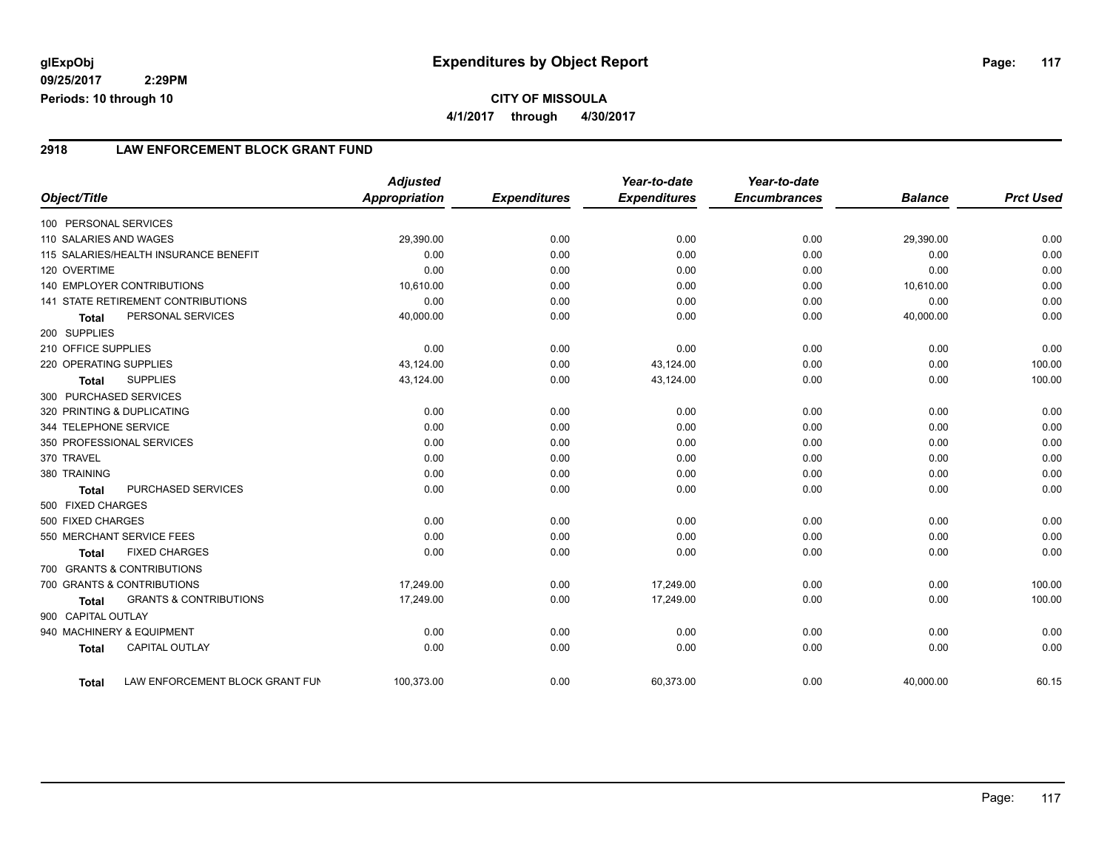**09/25/2017 2:29PM Periods: 10 through 10**

### **2918 LAW ENFORCEMENT BLOCK GRANT FUND**

|                        |                                           | <b>Adjusted</b> |                     | Year-to-date        | Year-to-date        |                |                  |
|------------------------|-------------------------------------------|-----------------|---------------------|---------------------|---------------------|----------------|------------------|
| Object/Title           |                                           | Appropriation   | <b>Expenditures</b> | <b>Expenditures</b> | <b>Encumbrances</b> | <b>Balance</b> | <b>Prct Used</b> |
| 100 PERSONAL SERVICES  |                                           |                 |                     |                     |                     |                |                  |
| 110 SALARIES AND WAGES |                                           | 29.390.00       | 0.00                | 0.00                | 0.00                | 29.390.00      | 0.00             |
|                        | 115 SALARIES/HEALTH INSURANCE BENEFIT     | 0.00            | 0.00                | 0.00                | 0.00                | 0.00           | 0.00             |
| 120 OVERTIME           |                                           | 0.00            | 0.00                | 0.00                | 0.00                | 0.00           | 0.00             |
|                        | <b>140 EMPLOYER CONTRIBUTIONS</b>         | 10,610.00       | 0.00                | 0.00                | 0.00                | 10,610.00      | 0.00             |
|                        | <b>141 STATE RETIREMENT CONTRIBUTIONS</b> | 0.00            | 0.00                | 0.00                | 0.00                | 0.00           | 0.00             |
| <b>Total</b>           | PERSONAL SERVICES                         | 40,000.00       | 0.00                | 0.00                | 0.00                | 40,000.00      | 0.00             |
| 200 SUPPLIES           |                                           |                 |                     |                     |                     |                |                  |
| 210 OFFICE SUPPLIES    |                                           | 0.00            | 0.00                | 0.00                | 0.00                | 0.00           | 0.00             |
| 220 OPERATING SUPPLIES |                                           | 43,124.00       | 0.00                | 43,124.00           | 0.00                | 0.00           | 100.00           |
| <b>Total</b>           | <b>SUPPLIES</b>                           | 43,124.00       | 0.00                | 43,124.00           | 0.00                | 0.00           | 100.00           |
| 300 PURCHASED SERVICES |                                           |                 |                     |                     |                     |                |                  |
|                        | 320 PRINTING & DUPLICATING                | 0.00            | 0.00                | 0.00                | 0.00                | 0.00           | 0.00             |
| 344 TELEPHONE SERVICE  |                                           | 0.00            | 0.00                | 0.00                | 0.00                | 0.00           | 0.00             |
|                        | 350 PROFESSIONAL SERVICES                 | 0.00            | 0.00                | 0.00                | 0.00                | 0.00           | 0.00             |
| 370 TRAVEL             |                                           | 0.00            | 0.00                | 0.00                | 0.00                | 0.00           | 0.00             |
| 380 TRAINING           |                                           | 0.00            | 0.00                | 0.00                | 0.00                | 0.00           | 0.00             |
| <b>Total</b>           | PURCHASED SERVICES                        | 0.00            | 0.00                | 0.00                | 0.00                | 0.00           | 0.00             |
| 500 FIXED CHARGES      |                                           |                 |                     |                     |                     |                |                  |
| 500 FIXED CHARGES      |                                           | 0.00            | 0.00                | 0.00                | 0.00                | 0.00           | 0.00             |
|                        | 550 MERCHANT SERVICE FEES                 | 0.00            | 0.00                | 0.00                | 0.00                | 0.00           | 0.00             |
| <b>Total</b>           | <b>FIXED CHARGES</b>                      | 0.00            | 0.00                | 0.00                | 0.00                | 0.00           | 0.00             |
|                        | 700 GRANTS & CONTRIBUTIONS                |                 |                     |                     |                     |                |                  |
|                        | 700 GRANTS & CONTRIBUTIONS                | 17,249.00       | 0.00                | 17,249.00           | 0.00                | 0.00           | 100.00           |
| <b>Total</b>           | <b>GRANTS &amp; CONTRIBUTIONS</b>         | 17,249.00       | 0.00                | 17,249.00           | 0.00                | 0.00           | 100.00           |
| 900 CAPITAL OUTLAY     |                                           |                 |                     |                     |                     |                |                  |
|                        | 940 MACHINERY & EQUIPMENT                 | 0.00            | 0.00                | 0.00                | 0.00                | 0.00           | 0.00             |
| <b>Total</b>           | <b>CAPITAL OUTLAY</b>                     | 0.00            | 0.00                | 0.00                | 0.00                | 0.00           | 0.00             |
| <b>Total</b>           | LAW ENFORCEMENT BLOCK GRANT FUN           | 100,373.00      | 0.00                | 60,373.00           | 0.00                | 40,000.00      | 60.15            |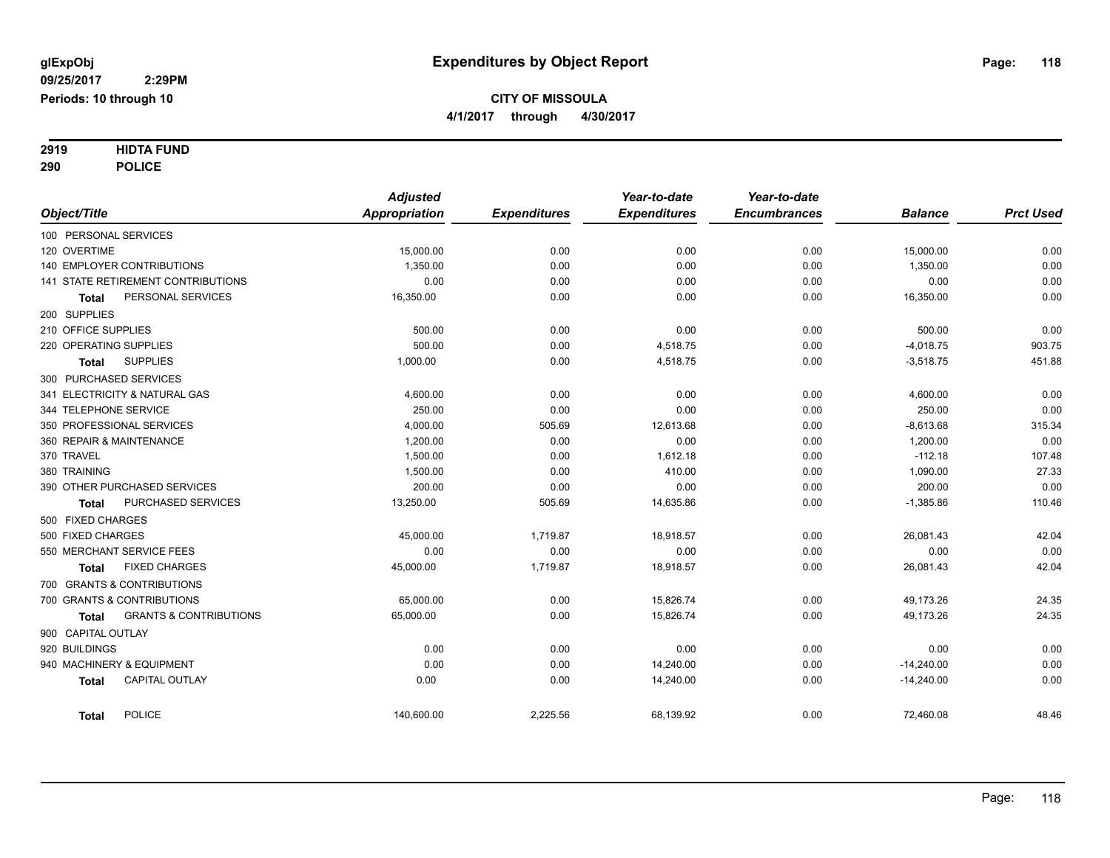# **2919 HIDTA FUND**

**290 POLICE**

|                                            | <b>Adjusted</b> |                     | Year-to-date        | Year-to-date        |                |                  |
|--------------------------------------------|-----------------|---------------------|---------------------|---------------------|----------------|------------------|
| Object/Title                               | Appropriation   | <b>Expenditures</b> | <b>Expenditures</b> | <b>Encumbrances</b> | <b>Balance</b> | <b>Prct Used</b> |
| 100 PERSONAL SERVICES                      |                 |                     |                     |                     |                |                  |
| 120 OVERTIME                               | 15,000.00       | 0.00                | 0.00                | 0.00                | 15,000.00      | 0.00             |
| <b>140 EMPLOYER CONTRIBUTIONS</b>          | 1,350.00        | 0.00                | 0.00                | 0.00                | 1,350.00       | 0.00             |
| 141 STATE RETIREMENT CONTRIBUTIONS         | 0.00            | 0.00                | 0.00                | 0.00                | 0.00           | 0.00             |
| PERSONAL SERVICES<br><b>Total</b>          | 16,350.00       | 0.00                | 0.00                | 0.00                | 16,350.00      | 0.00             |
| 200 SUPPLIES                               |                 |                     |                     |                     |                |                  |
| 210 OFFICE SUPPLIES                        | 500.00          | 0.00                | 0.00                | 0.00                | 500.00         | 0.00             |
| 220 OPERATING SUPPLIES                     | 500.00          | 0.00                | 4,518.75            | 0.00                | $-4,018.75$    | 903.75           |
| <b>SUPPLIES</b><br>Total                   | 1,000.00        | 0.00                | 4,518.75            | 0.00                | $-3,518.75$    | 451.88           |
| 300 PURCHASED SERVICES                     |                 |                     |                     |                     |                |                  |
| 341 ELECTRICITY & NATURAL GAS              | 4,600.00        | 0.00                | 0.00                | 0.00                | 4,600.00       | 0.00             |
| 344 TELEPHONE SERVICE                      | 250.00          | 0.00                | 0.00                | 0.00                | 250.00         | 0.00             |
| 350 PROFESSIONAL SERVICES                  | 4,000.00        | 505.69              | 12,613.68           | 0.00                | $-8,613.68$    | 315.34           |
| 360 REPAIR & MAINTENANCE                   | 1,200.00        | 0.00                | 0.00                | 0.00                | 1,200.00       | 0.00             |
| 370 TRAVEL                                 | 1,500.00        | 0.00                | 1,612.18            | 0.00                | $-112.18$      | 107.48           |
| 380 TRAINING                               | 1,500.00        | 0.00                | 410.00              | 0.00                | 1,090.00       | 27.33            |
| 390 OTHER PURCHASED SERVICES               | 200.00          | 0.00                | 0.00                | 0.00                | 200.00         | 0.00             |
| PURCHASED SERVICES<br>Total                | 13,250.00       | 505.69              | 14,635.86           | 0.00                | $-1,385.86$    | 110.46           |
| 500 FIXED CHARGES                          |                 |                     |                     |                     |                |                  |
| 500 FIXED CHARGES                          | 45,000.00       | 1,719.87            | 18,918.57           | 0.00                | 26,081.43      | 42.04            |
| 550 MERCHANT SERVICE FEES                  | 0.00            | 0.00                | 0.00                | 0.00                | 0.00           | 0.00             |
| <b>FIXED CHARGES</b><br><b>Total</b>       | 45,000.00       | 1,719.87            | 18,918.57           | 0.00                | 26,081.43      | 42.04            |
| 700 GRANTS & CONTRIBUTIONS                 |                 |                     |                     |                     |                |                  |
| 700 GRANTS & CONTRIBUTIONS                 | 65,000.00       | 0.00                | 15,826.74           | 0.00                | 49,173.26      | 24.35            |
| <b>GRANTS &amp; CONTRIBUTIONS</b><br>Total | 65,000.00       | 0.00                | 15,826.74           | 0.00                | 49,173.26      | 24.35            |
| 900 CAPITAL OUTLAY                         |                 |                     |                     |                     |                |                  |
| 920 BUILDINGS                              | 0.00            | 0.00                | 0.00                | 0.00                | 0.00           | 0.00             |
| 940 MACHINERY & EQUIPMENT                  | 0.00            | 0.00                | 14,240.00           | 0.00                | $-14,240.00$   | 0.00             |
| <b>CAPITAL OUTLAY</b><br><b>Total</b>      | 0.00            | 0.00                | 14,240.00           | 0.00                | $-14,240.00$   | 0.00             |
| POLICE<br><b>Total</b>                     | 140,600.00      | 2,225.56            | 68,139.92           | 0.00                | 72,460.08      | 48.46            |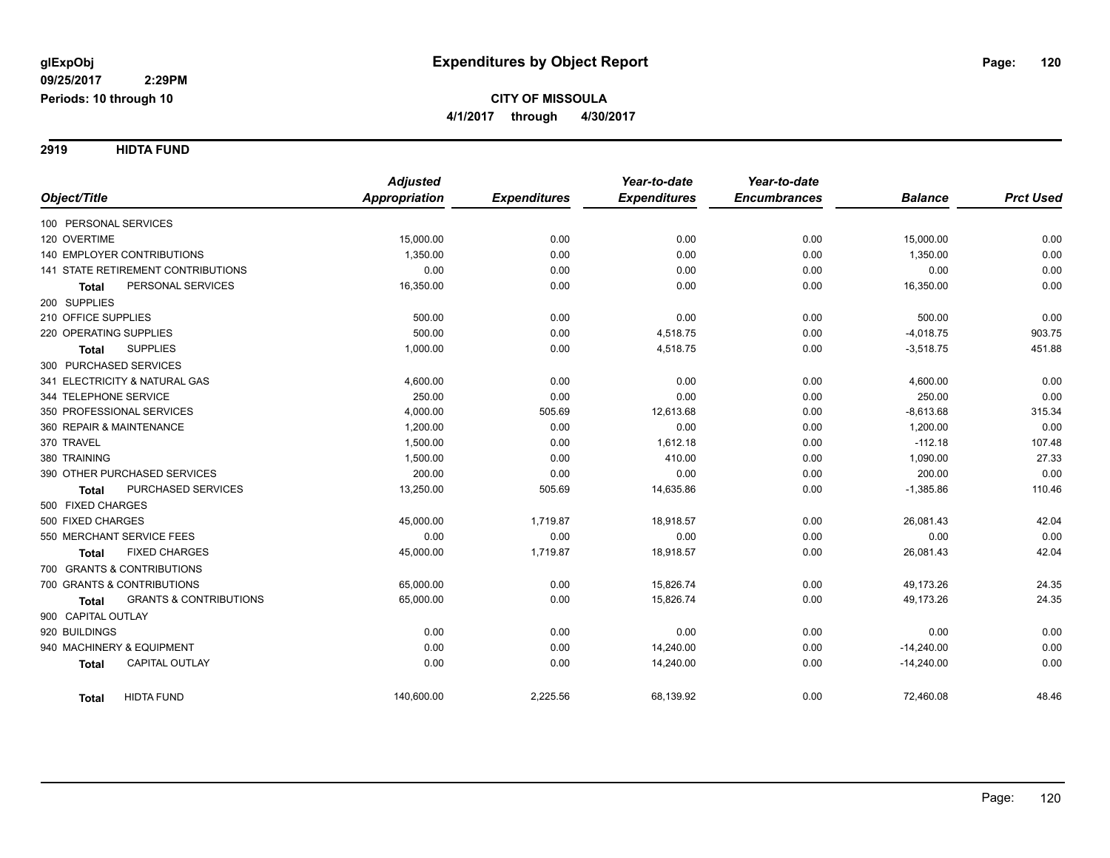**2919 HIDTA FUND**

|                                                   | <b>Adjusted</b>      |                     | Year-to-date        | Year-to-date        |                |                  |
|---------------------------------------------------|----------------------|---------------------|---------------------|---------------------|----------------|------------------|
| Object/Title                                      | <b>Appropriation</b> | <b>Expenditures</b> | <b>Expenditures</b> | <b>Encumbrances</b> | <b>Balance</b> | <b>Prct Used</b> |
| 100 PERSONAL SERVICES                             |                      |                     |                     |                     |                |                  |
| 120 OVERTIME                                      | 15,000.00            | 0.00                | 0.00                | 0.00                | 15,000.00      | 0.00             |
| 140 EMPLOYER CONTRIBUTIONS                        | 1,350.00             | 0.00                | 0.00                | 0.00                | 1,350.00       | 0.00             |
| <b>141 STATE RETIREMENT CONTRIBUTIONS</b>         | 0.00                 | 0.00                | 0.00                | 0.00                | 0.00           | 0.00             |
| PERSONAL SERVICES<br><b>Total</b>                 | 16,350.00            | 0.00                | 0.00                | 0.00                | 16,350.00      | 0.00             |
| 200 SUPPLIES                                      |                      |                     |                     |                     |                |                  |
| 210 OFFICE SUPPLIES                               | 500.00               | 0.00                | 0.00                | 0.00                | 500.00         | 0.00             |
| 220 OPERATING SUPPLIES                            | 500.00               | 0.00                | 4,518.75            | 0.00                | $-4,018.75$    | 903.75           |
| <b>SUPPLIES</b><br><b>Total</b>                   | 1,000.00             | 0.00                | 4,518.75            | 0.00                | $-3,518.75$    | 451.88           |
| 300 PURCHASED SERVICES                            |                      |                     |                     |                     |                |                  |
| 341 ELECTRICITY & NATURAL GAS                     | 4,600.00             | 0.00                | 0.00                | 0.00                | 4,600.00       | 0.00             |
| 344 TELEPHONE SERVICE                             | 250.00               | 0.00                | 0.00                | 0.00                | 250.00         | 0.00             |
| 350 PROFESSIONAL SERVICES                         | 4,000.00             | 505.69              | 12,613.68           | 0.00                | $-8,613.68$    | 315.34           |
| 360 REPAIR & MAINTENANCE                          | 1,200.00             | 0.00                | 0.00                | 0.00                | 1,200.00       | 0.00             |
| 370 TRAVEL                                        | 1,500.00             | 0.00                | 1,612.18            | 0.00                | $-112.18$      | 107.48           |
| 380 TRAINING                                      | 1,500.00             | 0.00                | 410.00              | 0.00                | 1,090.00       | 27.33            |
| 390 OTHER PURCHASED SERVICES                      | 200.00               | 0.00                | 0.00                | 0.00                | 200.00         | 0.00             |
| PURCHASED SERVICES<br><b>Total</b>                | 13,250.00            | 505.69              | 14,635.86           | 0.00                | $-1,385.86$    | 110.46           |
| 500 FIXED CHARGES                                 |                      |                     |                     |                     |                |                  |
| 500 FIXED CHARGES                                 | 45,000.00            | 1,719.87            | 18,918.57           | 0.00                | 26,081.43      | 42.04            |
| 550 MERCHANT SERVICE FEES                         | 0.00                 | 0.00                | 0.00                | 0.00                | 0.00           | 0.00             |
| <b>FIXED CHARGES</b><br><b>Total</b>              | 45,000.00            | 1,719.87            | 18,918.57           | 0.00                | 26,081.43      | 42.04            |
| 700 GRANTS & CONTRIBUTIONS                        |                      |                     |                     |                     |                |                  |
| 700 GRANTS & CONTRIBUTIONS                        | 65,000.00            | 0.00                | 15,826.74           | 0.00                | 49,173.26      | 24.35            |
| <b>GRANTS &amp; CONTRIBUTIONS</b><br><b>Total</b> | 65,000.00            | 0.00                | 15,826.74           | 0.00                | 49,173.26      | 24.35            |
| 900 CAPITAL OUTLAY                                |                      |                     |                     |                     |                |                  |
| 920 BUILDINGS                                     | 0.00                 | 0.00                | 0.00                | 0.00                | 0.00           | 0.00             |
| 940 MACHINERY & EQUIPMENT                         | 0.00                 | 0.00                | 14,240.00           | 0.00                | $-14,240.00$   | 0.00             |
| <b>CAPITAL OUTLAY</b><br><b>Total</b>             | 0.00                 | 0.00                | 14,240.00           | 0.00                | $-14,240.00$   | 0.00             |
| <b>HIDTA FUND</b><br><b>Total</b>                 | 140,600.00           | 2,225.56            | 68,139.92           | 0.00                | 72,460.08      | 48.46            |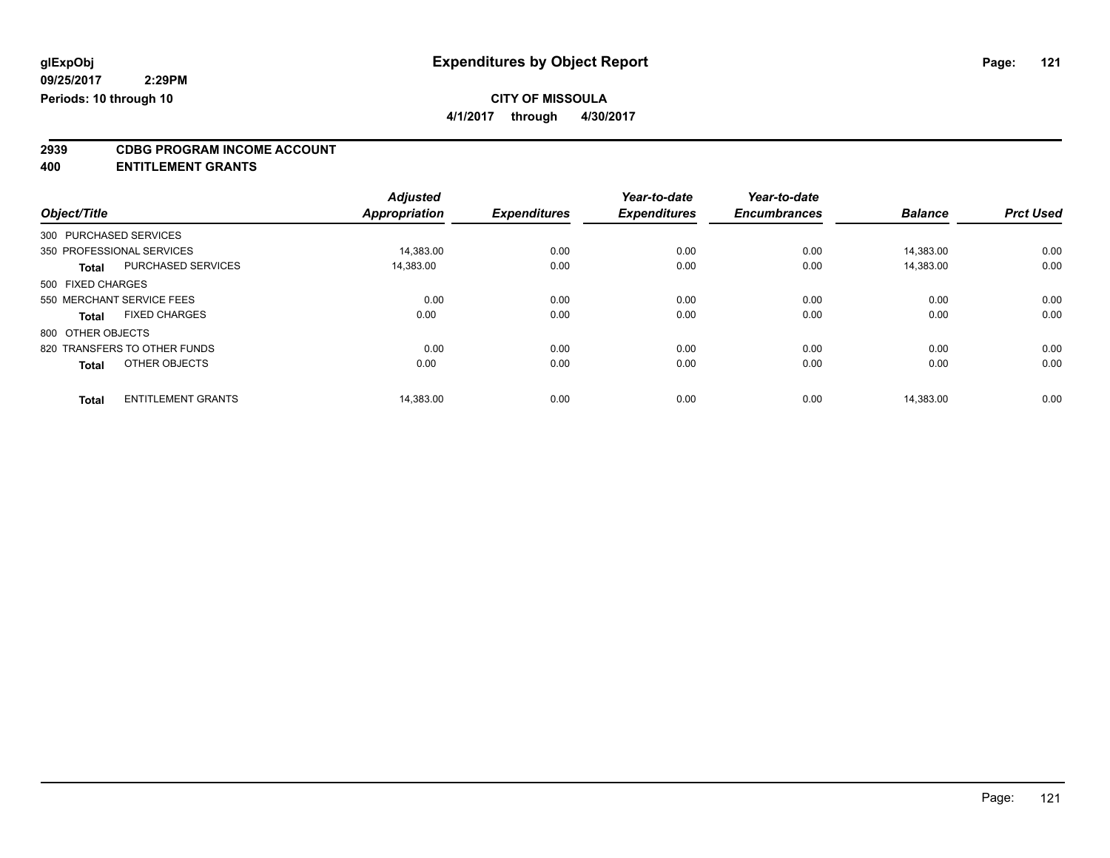**4/1/2017 through 4/30/2017**

# **2939 CDBG PROGRAM INCOME ACCOUNT**

**400 ENTITLEMENT GRANTS**

|                   |                              | <b>Adjusted</b>      |                     | Year-to-date        | Year-to-date        |                |                  |
|-------------------|------------------------------|----------------------|---------------------|---------------------|---------------------|----------------|------------------|
| Object/Title      |                              | <b>Appropriation</b> | <b>Expenditures</b> | <b>Expenditures</b> | <b>Encumbrances</b> | <b>Balance</b> | <b>Prct Used</b> |
|                   | 300 PURCHASED SERVICES       |                      |                     |                     |                     |                |                  |
|                   | 350 PROFESSIONAL SERVICES    | 14,383.00            | 0.00                | 0.00                | 0.00                | 14.383.00      | 0.00             |
| <b>Total</b>      | PURCHASED SERVICES           | 14.383.00            | 0.00                | 0.00                | 0.00                | 14.383.00      | 0.00             |
| 500 FIXED CHARGES |                              |                      |                     |                     |                     |                |                  |
|                   | 550 MERCHANT SERVICE FEES    | 0.00                 | 0.00                | 0.00                | 0.00                | 0.00           | 0.00             |
| Total             | <b>FIXED CHARGES</b>         | 0.00                 | 0.00                | 0.00                | 0.00                | 0.00           | 0.00             |
| 800 OTHER OBJECTS |                              |                      |                     |                     |                     |                |                  |
|                   | 820 TRANSFERS TO OTHER FUNDS | 0.00                 | 0.00                | 0.00                | 0.00                | 0.00           | 0.00             |
| <b>Total</b>      | OTHER OBJECTS                | 0.00                 | 0.00                | 0.00                | 0.00                | 0.00           | 0.00             |
|                   |                              |                      |                     |                     |                     |                |                  |
| <b>Total</b>      | <b>ENTITLEMENT GRANTS</b>    | 14,383.00            | 0.00                | 0.00                | 0.00                | 14.383.00      | 0.00             |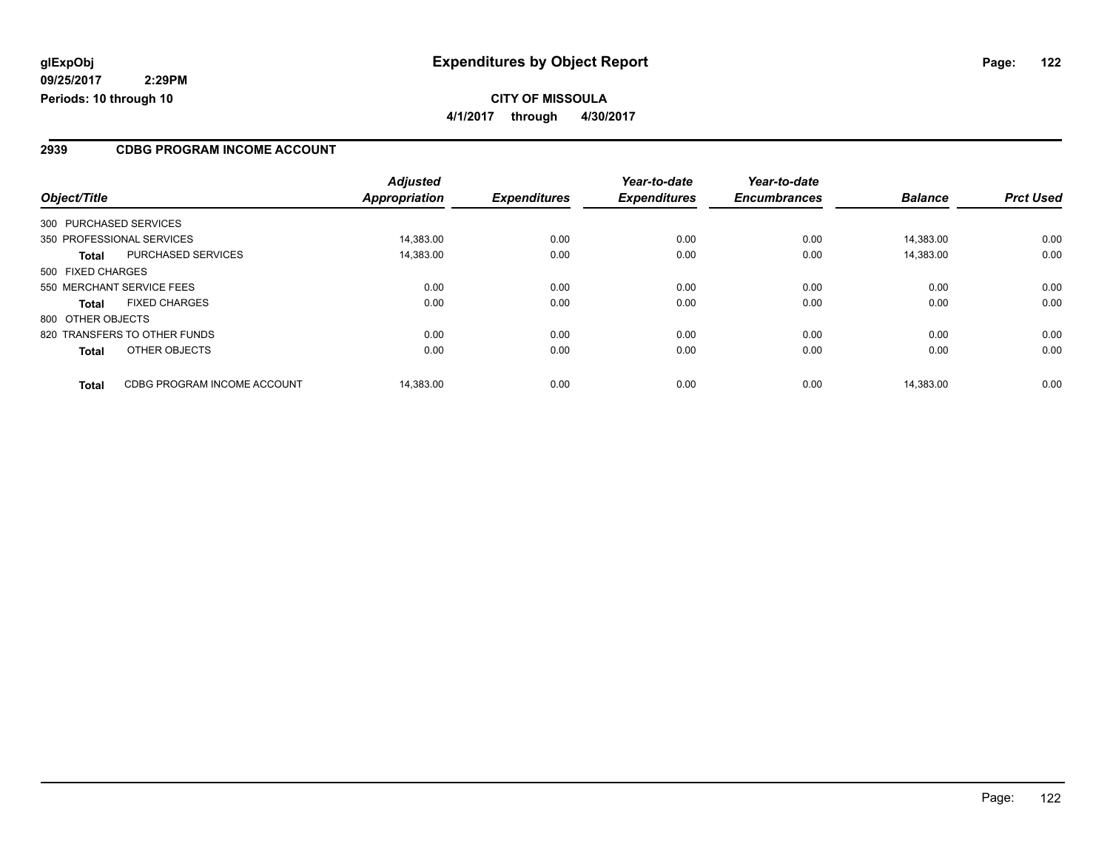**09/25/2017 2:29PM Periods: 10 through 10**

## **CITY OF MISSOULA 4/1/2017 through 4/30/2017**

### **2939 CDBG PROGRAM INCOME ACCOUNT**

| Object/Title                                | <b>Adjusted</b><br>Appropriation | <b>Expenditures</b> | Year-to-date<br><b>Expenditures</b> | Year-to-date<br><b>Encumbrances</b> | <b>Balance</b> | <b>Prct Used</b> |
|---------------------------------------------|----------------------------------|---------------------|-------------------------------------|-------------------------------------|----------------|------------------|
|                                             |                                  |                     |                                     |                                     |                |                  |
| 300 PURCHASED SERVICES                      |                                  |                     |                                     |                                     |                |                  |
| 350 PROFESSIONAL SERVICES                   | 14.383.00                        | 0.00                | 0.00                                | 0.00                                | 14.383.00      | 0.00             |
| <b>PURCHASED SERVICES</b><br><b>Total</b>   | 14,383.00                        | 0.00                | 0.00                                | 0.00                                | 14,383.00      | 0.00             |
| 500 FIXED CHARGES                           |                                  |                     |                                     |                                     |                |                  |
| 550 MERCHANT SERVICE FEES                   | 0.00                             | 0.00                | 0.00                                | 0.00                                | 0.00           | 0.00             |
| <b>FIXED CHARGES</b><br><b>Total</b>        | 0.00                             | 0.00                | 0.00                                | 0.00                                | 0.00           | 0.00             |
| 800 OTHER OBJECTS                           |                                  |                     |                                     |                                     |                |                  |
| 820 TRANSFERS TO OTHER FUNDS                | 0.00                             | 0.00                | 0.00                                | 0.00                                | 0.00           | 0.00             |
| <b>OTHER OBJECTS</b><br><b>Total</b>        | 0.00                             | 0.00                | 0.00                                | 0.00                                | 0.00           | 0.00             |
| CDBG PROGRAM INCOME ACCOUNT<br><b>Total</b> | 14.383.00                        | 0.00                | 0.00                                | 0.00                                | 14.383.00      | 0.00             |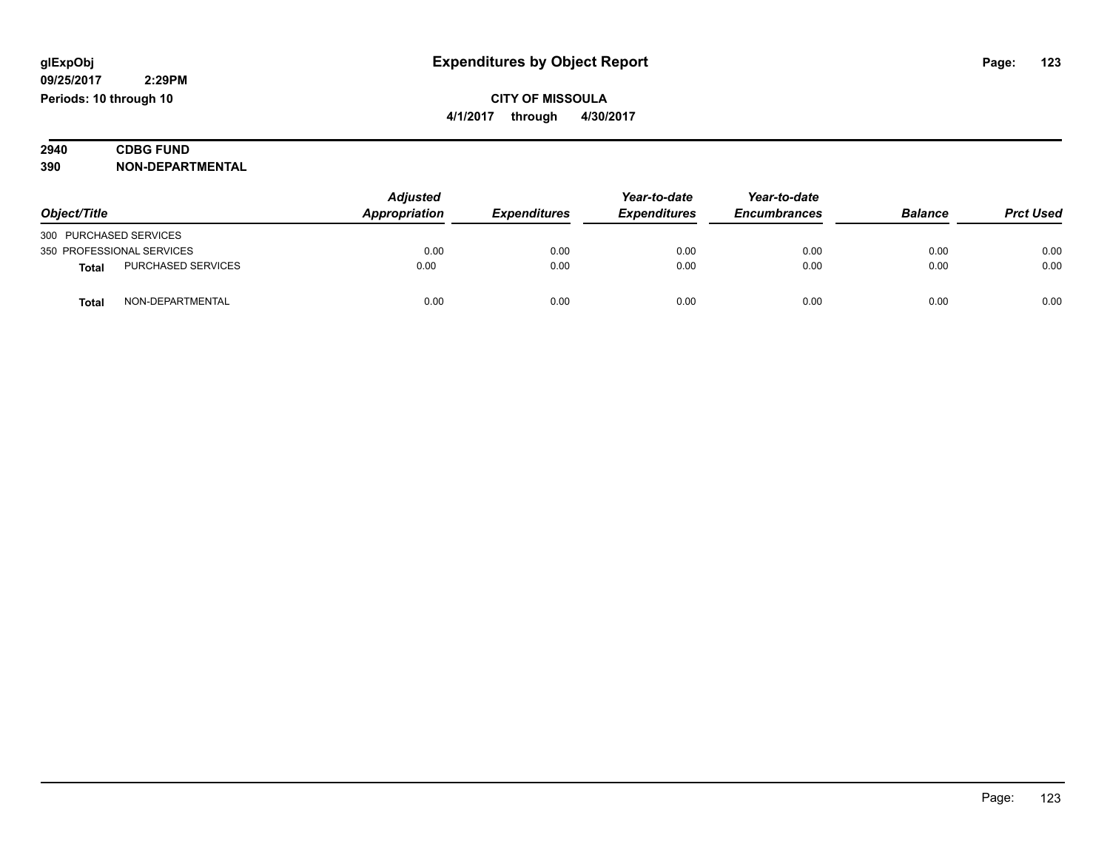## **2940 CDBG FUND**<br> **390 NON-DEPART 390 NON-DEPARTMENTAL**

|                        |                           | <b>Adjusted</b> |                     | Year-to-date        | Year-to-date        |                |                  |
|------------------------|---------------------------|-----------------|---------------------|---------------------|---------------------|----------------|------------------|
| Object/Title           |                           | Appropriation   | <b>Expenditures</b> | <b>Expenditures</b> | <b>Encumbrances</b> | <b>Balance</b> | <b>Prct Used</b> |
| 300 PURCHASED SERVICES |                           |                 |                     |                     |                     |                |                  |
|                        | 350 PROFESSIONAL SERVICES | 0.00            | 0.00                | 0.00                | 0.00                | 0.00           | 0.00             |
| <b>Total</b>           | <b>PURCHASED SERVICES</b> | 0.00            | 0.00                | 0.00                | 0.00                | 0.00           | 0.00             |
| <b>Tota</b>            | NON-DEPARTMENTAL          | 0.00            | 0.00                | 0.00                | 0.00                | 0.00           | 0.00             |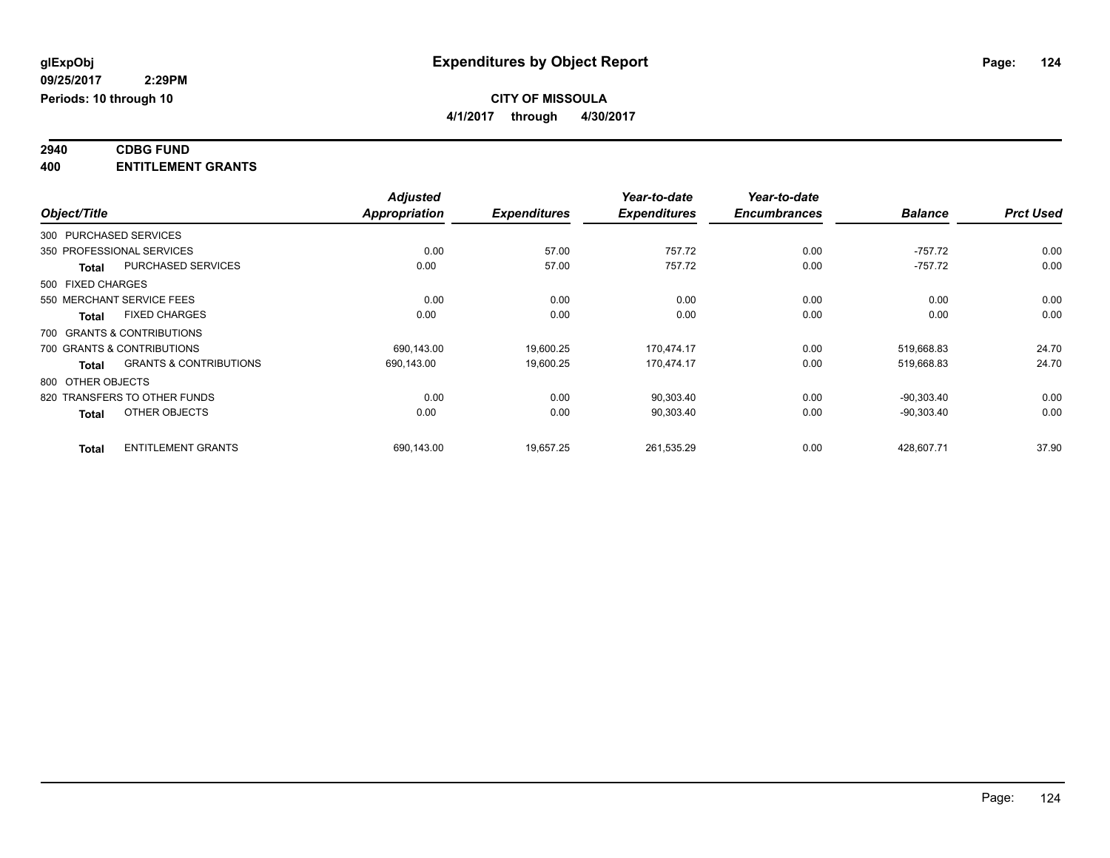### **2940 CDBG FUND 400 ENTITLEMENT GRANTS**

|                   |                                   | <b>Adjusted</b>      |                     | Year-to-date        | Year-to-date        |                |                  |
|-------------------|-----------------------------------|----------------------|---------------------|---------------------|---------------------|----------------|------------------|
| Object/Title      |                                   | <b>Appropriation</b> | <b>Expenditures</b> | <b>Expenditures</b> | <b>Encumbrances</b> | <b>Balance</b> | <b>Prct Used</b> |
|                   | 300 PURCHASED SERVICES            |                      |                     |                     |                     |                |                  |
|                   | 350 PROFESSIONAL SERVICES         | 0.00                 | 57.00               | 757.72              | 0.00                | $-757.72$      | 0.00             |
| <b>Total</b>      | <b>PURCHASED SERVICES</b>         | 0.00                 | 57.00               | 757.72              | 0.00                | $-757.72$      | 0.00             |
| 500 FIXED CHARGES |                                   |                      |                     |                     |                     |                |                  |
|                   | 550 MERCHANT SERVICE FEES         | 0.00                 | 0.00                | 0.00                | 0.00                | 0.00           | 0.00             |
| <b>Total</b>      | <b>FIXED CHARGES</b>              | 0.00                 | 0.00                | 0.00                | 0.00                | 0.00           | 0.00             |
|                   | 700 GRANTS & CONTRIBUTIONS        |                      |                     |                     |                     |                |                  |
|                   | 700 GRANTS & CONTRIBUTIONS        | 690,143.00           | 19,600.25           | 170,474.17          | 0.00                | 519,668.83     | 24.70            |
| <b>Total</b>      | <b>GRANTS &amp; CONTRIBUTIONS</b> | 690,143.00           | 19,600.25           | 170,474.17          | 0.00                | 519,668.83     | 24.70            |
|                   | 800 OTHER OBJECTS                 |                      |                     |                     |                     |                |                  |
|                   | 820 TRANSFERS TO OTHER FUNDS      | 0.00                 | 0.00                | 90,303.40           | 0.00                | $-90.303.40$   | 0.00             |
| <b>Total</b>      | OTHER OBJECTS                     | 0.00                 | 0.00                | 90,303.40           | 0.00                | $-90,303.40$   | 0.00             |
| <b>Total</b>      | <b>ENTITLEMENT GRANTS</b>         | 690,143.00           | 19,657.25           | 261,535.29          | 0.00                | 428,607.71     | 37.90            |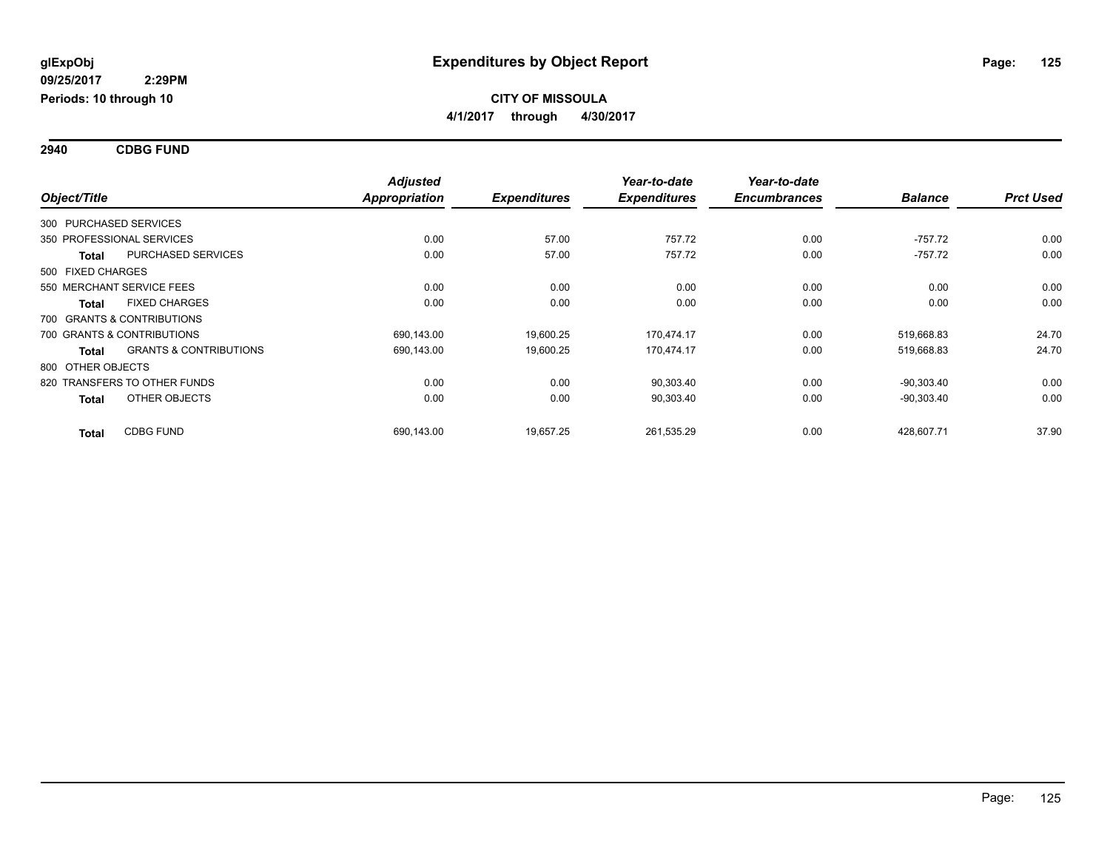**2940 CDBG FUND**

|                   |                                   | <b>Adjusted</b>      |                     | Year-to-date        | Year-to-date        |                |                  |
|-------------------|-----------------------------------|----------------------|---------------------|---------------------|---------------------|----------------|------------------|
| Object/Title      |                                   | <b>Appropriation</b> | <b>Expenditures</b> | <b>Expenditures</b> | <b>Encumbrances</b> | <b>Balance</b> | <b>Prct Used</b> |
|                   | 300 PURCHASED SERVICES            |                      |                     |                     |                     |                |                  |
|                   | 350 PROFESSIONAL SERVICES         | 0.00                 | 57.00               | 757.72              | 0.00                | $-757.72$      | 0.00             |
| <b>Total</b>      | PURCHASED SERVICES                | 0.00                 | 57.00               | 757.72              | 0.00                | $-757.72$      | 0.00             |
| 500 FIXED CHARGES |                                   |                      |                     |                     |                     |                |                  |
|                   | 550 MERCHANT SERVICE FEES         | 0.00                 | 0.00                | 0.00                | 0.00                | 0.00           | 0.00             |
| <b>Total</b>      | <b>FIXED CHARGES</b>              | 0.00                 | 0.00                | 0.00                | 0.00                | 0.00           | 0.00             |
|                   | 700 GRANTS & CONTRIBUTIONS        |                      |                     |                     |                     |                |                  |
|                   | 700 GRANTS & CONTRIBUTIONS        | 690,143.00           | 19,600.25           | 170,474.17          | 0.00                | 519,668.83     | 24.70            |
| <b>Total</b>      | <b>GRANTS &amp; CONTRIBUTIONS</b> | 690,143.00           | 19,600.25           | 170,474.17          | 0.00                | 519,668.83     | 24.70            |
| 800 OTHER OBJECTS |                                   |                      |                     |                     |                     |                |                  |
|                   | 820 TRANSFERS TO OTHER FUNDS      | 0.00                 | 0.00                | 90,303.40           | 0.00                | $-90,303.40$   | 0.00             |
| <b>Total</b>      | OTHER OBJECTS                     | 0.00                 | 0.00                | 90,303.40           | 0.00                | $-90,303.40$   | 0.00             |
| <b>Total</b>      | <b>CDBG FUND</b>                  | 690,143.00           | 19,657.25           | 261,535.29          | 0.00                | 428,607.71     | 37.90            |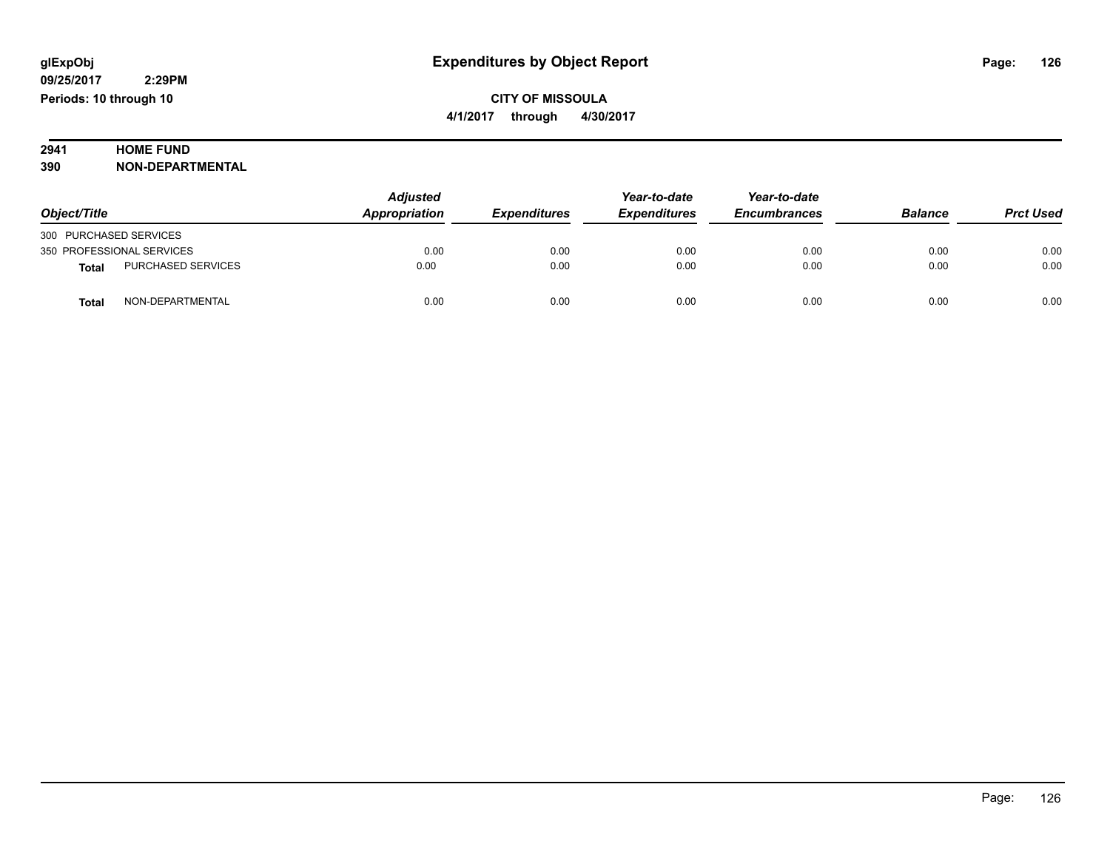# **2941 HOME FUND<br>390 NON-DEPART**

**390 NON-DEPARTMENTAL**

|                                    | Adjusted      |                     | Year-to-date        | Year-to-date        |                |                  |
|------------------------------------|---------------|---------------------|---------------------|---------------------|----------------|------------------|
| Object/Title                       | Appropriation | <b>Expenditures</b> | <b>Expenditures</b> | <b>Encumbrances</b> | <b>Balance</b> | <b>Prct Used</b> |
| 300 PURCHASED SERVICES             |               |                     |                     |                     |                |                  |
| 350 PROFESSIONAL SERVICES          | 0.00          | 0.00                | 0.00                | 0.00                | 0.00           | 0.00             |
| PURCHASED SERVICES<br><b>Total</b> | 0.00          | 0.00                | 0.00                | 0.00                | 0.00           | 0.00             |
| NON-DEPARTMENTAL<br><b>Total</b>   | 0.00          | 0.00                | 0.00                | 0.00                | 0.00           | 0.00             |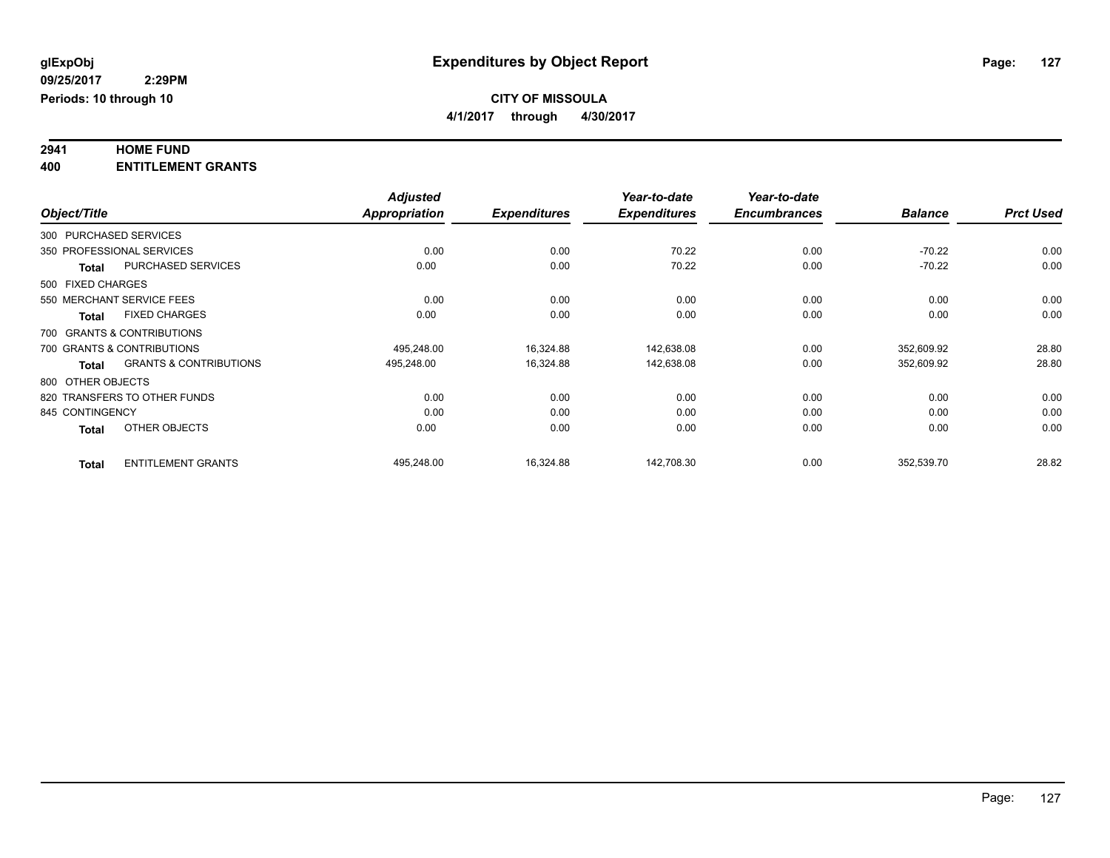# **2941 HOME FUND**

**400 ENTITLEMENT GRANTS**

|              |                                                   | <b>Adjusted</b>      |                     | Year-to-date        | Year-to-date        |                |                  |
|--------------|---------------------------------------------------|----------------------|---------------------|---------------------|---------------------|----------------|------------------|
| Object/Title |                                                   | <b>Appropriation</b> | <b>Expenditures</b> | <b>Expenditures</b> | <b>Encumbrances</b> | <b>Balance</b> | <b>Prct Used</b> |
|              | 300 PURCHASED SERVICES                            |                      |                     |                     |                     |                |                  |
|              | 350 PROFESSIONAL SERVICES                         | 0.00                 | 0.00                | 70.22               | 0.00                | $-70.22$       | 0.00             |
|              | <b>PURCHASED SERVICES</b><br>Total                | 0.00                 | 0.00                | 70.22               | 0.00                | $-70.22$       | 0.00             |
|              | 500 FIXED CHARGES                                 |                      |                     |                     |                     |                |                  |
|              | 550 MERCHANT SERVICE FEES                         | 0.00                 | 0.00                | 0.00                | 0.00                | 0.00           | 0.00             |
|              | <b>FIXED CHARGES</b><br><b>Total</b>              | 0.00                 | 0.00                | 0.00                | 0.00                | 0.00           | 0.00             |
|              | 700 GRANTS & CONTRIBUTIONS                        |                      |                     |                     |                     |                |                  |
|              | 700 GRANTS & CONTRIBUTIONS                        | 495,248.00           | 16,324.88           | 142,638.08          | 0.00                | 352,609.92     | 28.80            |
|              | <b>GRANTS &amp; CONTRIBUTIONS</b><br><b>Total</b> | 495,248.00           | 16,324.88           | 142,638.08          | 0.00                | 352,609.92     | 28.80            |
|              | 800 OTHER OBJECTS                                 |                      |                     |                     |                     |                |                  |
|              | 820 TRANSFERS TO OTHER FUNDS                      | 0.00                 | 0.00                | 0.00                | 0.00                | 0.00           | 0.00             |
|              | 845 CONTINGENCY                                   | 0.00                 | 0.00                | 0.00                | 0.00                | 0.00           | 0.00             |
|              | OTHER OBJECTS<br><b>Total</b>                     | 0.00                 | 0.00                | 0.00                | 0.00                | 0.00           | 0.00             |
|              | <b>ENTITLEMENT GRANTS</b><br><b>Total</b>         | 495,248.00           | 16,324.88           | 142,708.30          | 0.00                | 352,539.70     | 28.82            |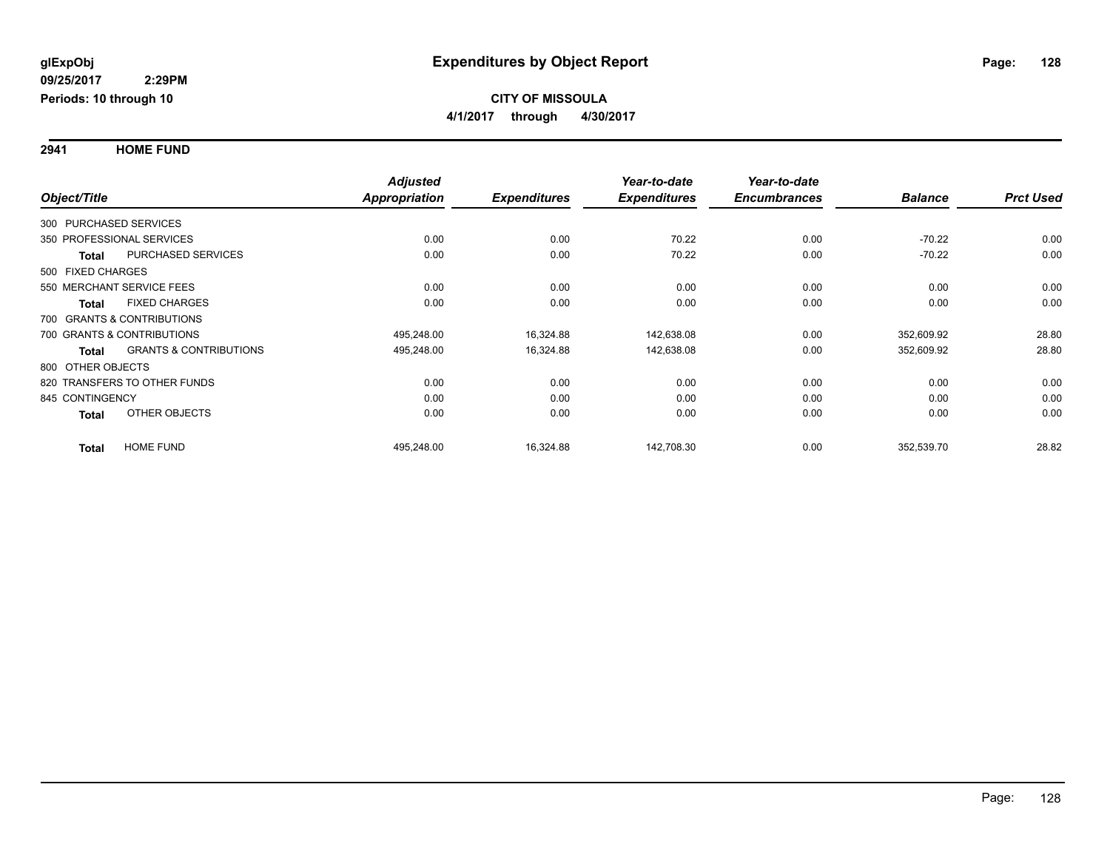**2941 HOME FUND**

|                            |                                   | <b>Adjusted</b> |                     | Year-to-date        | Year-to-date        |                |                  |
|----------------------------|-----------------------------------|-----------------|---------------------|---------------------|---------------------|----------------|------------------|
| Object/Title               |                                   | Appropriation   | <b>Expenditures</b> | <b>Expenditures</b> | <b>Encumbrances</b> | <b>Balance</b> | <b>Prct Used</b> |
| 300 PURCHASED SERVICES     |                                   |                 |                     |                     |                     |                |                  |
| 350 PROFESSIONAL SERVICES  |                                   | 0.00            | 0.00                | 70.22               | 0.00                | $-70.22$       | 0.00             |
| <b>Total</b>               | <b>PURCHASED SERVICES</b>         | 0.00            | 0.00                | 70.22               | 0.00                | $-70.22$       | 0.00             |
| 500 FIXED CHARGES          |                                   |                 |                     |                     |                     |                |                  |
| 550 MERCHANT SERVICE FEES  |                                   | 0.00            | 0.00                | 0.00                | 0.00                | 0.00           | 0.00             |
| <b>Total</b>               | <b>FIXED CHARGES</b>              | 0.00            | 0.00                | 0.00                | 0.00                | 0.00           | 0.00             |
| 700 GRANTS & CONTRIBUTIONS |                                   |                 |                     |                     |                     |                |                  |
| 700 GRANTS & CONTRIBUTIONS |                                   | 495,248.00      | 16,324.88           | 142,638.08          | 0.00                | 352,609.92     | 28.80            |
| <b>Total</b>               | <b>GRANTS &amp; CONTRIBUTIONS</b> | 495,248.00      | 16,324.88           | 142,638.08          | 0.00                | 352,609.92     | 28.80            |
| 800 OTHER OBJECTS          |                                   |                 |                     |                     |                     |                |                  |
|                            | 820 TRANSFERS TO OTHER FUNDS      | 0.00            | 0.00                | 0.00                | 0.00                | 0.00           | 0.00             |
| 845 CONTINGENCY            |                                   | 0.00            | 0.00                | 0.00                | 0.00                | 0.00           | 0.00             |
| <b>Total</b>               | OTHER OBJECTS                     | 0.00            | 0.00                | 0.00                | 0.00                | 0.00           | 0.00             |
| <b>Total</b>               | <b>HOME FUND</b>                  | 495,248.00      | 16,324.88           | 142,708.30          | 0.00                | 352,539.70     | 28.82            |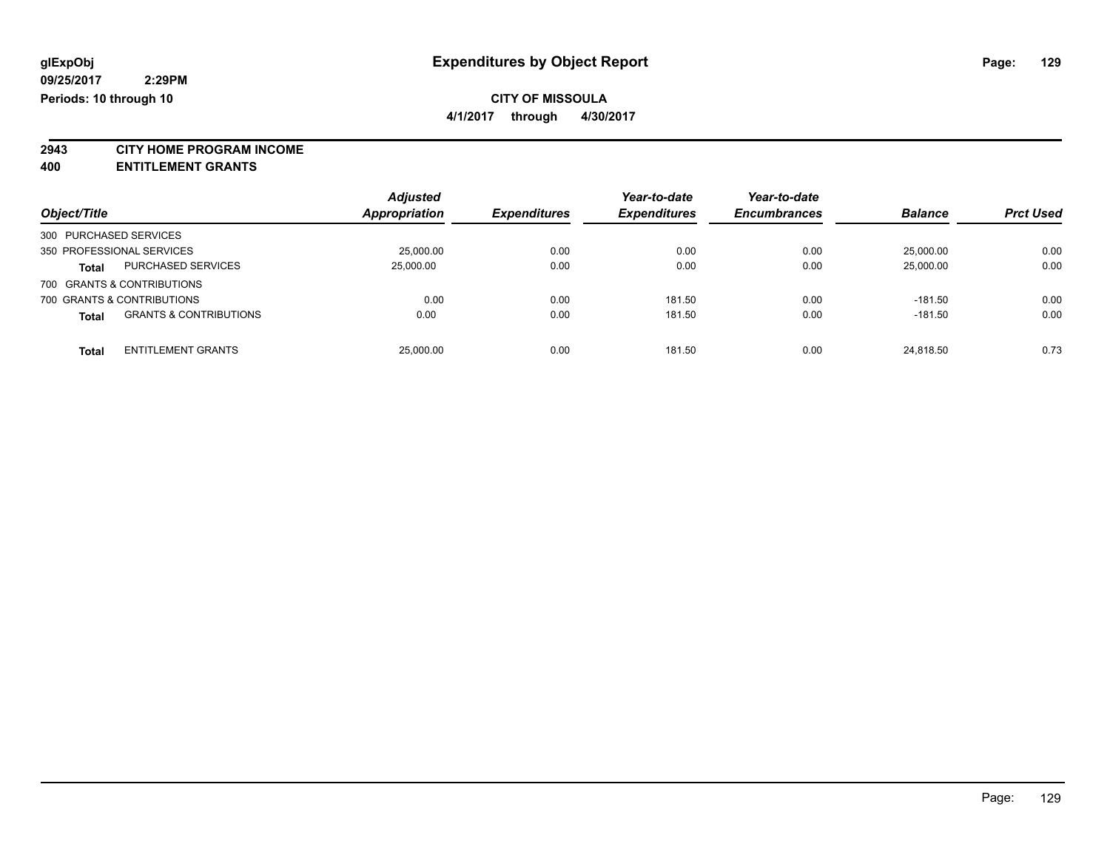**4/1/2017 through 4/30/2017**

**2943 CITY HOME PROGRAM INCOME**

**400 ENTITLEMENT GRANTS**

| Object/Title               |                                   | <b>Adjusted</b><br>Appropriation | <b>Expenditures</b> | Year-to-date<br><b>Expenditures</b> | Year-to-date<br><b>Encumbrances</b> | <b>Balance</b> | <b>Prct Used</b> |
|----------------------------|-----------------------------------|----------------------------------|---------------------|-------------------------------------|-------------------------------------|----------------|------------------|
| 300 PURCHASED SERVICES     |                                   |                                  |                     |                                     |                                     |                |                  |
|                            |                                   |                                  |                     |                                     |                                     |                |                  |
| 350 PROFESSIONAL SERVICES  |                                   | 25,000,00                        | 0.00                | 0.00                                | 0.00                                | 25,000.00      | 0.00             |
| <b>Total</b>               | <b>PURCHASED SERVICES</b>         | 25.000.00                        | 0.00                | 0.00                                | 0.00                                | 25,000.00      | 0.00             |
| 700 GRANTS & CONTRIBUTIONS |                                   |                                  |                     |                                     |                                     |                |                  |
| 700 GRANTS & CONTRIBUTIONS |                                   | 0.00                             | 0.00                | 181.50                              | 0.00                                | $-181.50$      | 0.00             |
| <b>Total</b>               | <b>GRANTS &amp; CONTRIBUTIONS</b> | 0.00                             | 0.00                | 181.50                              | 0.00                                | $-181.50$      | 0.00             |
| <b>Total</b>               | <b>ENTITLEMENT GRANTS</b>         | 25,000.00                        | 0.00                | 181.50                              | 0.00                                | 24.818.50      | 0.73             |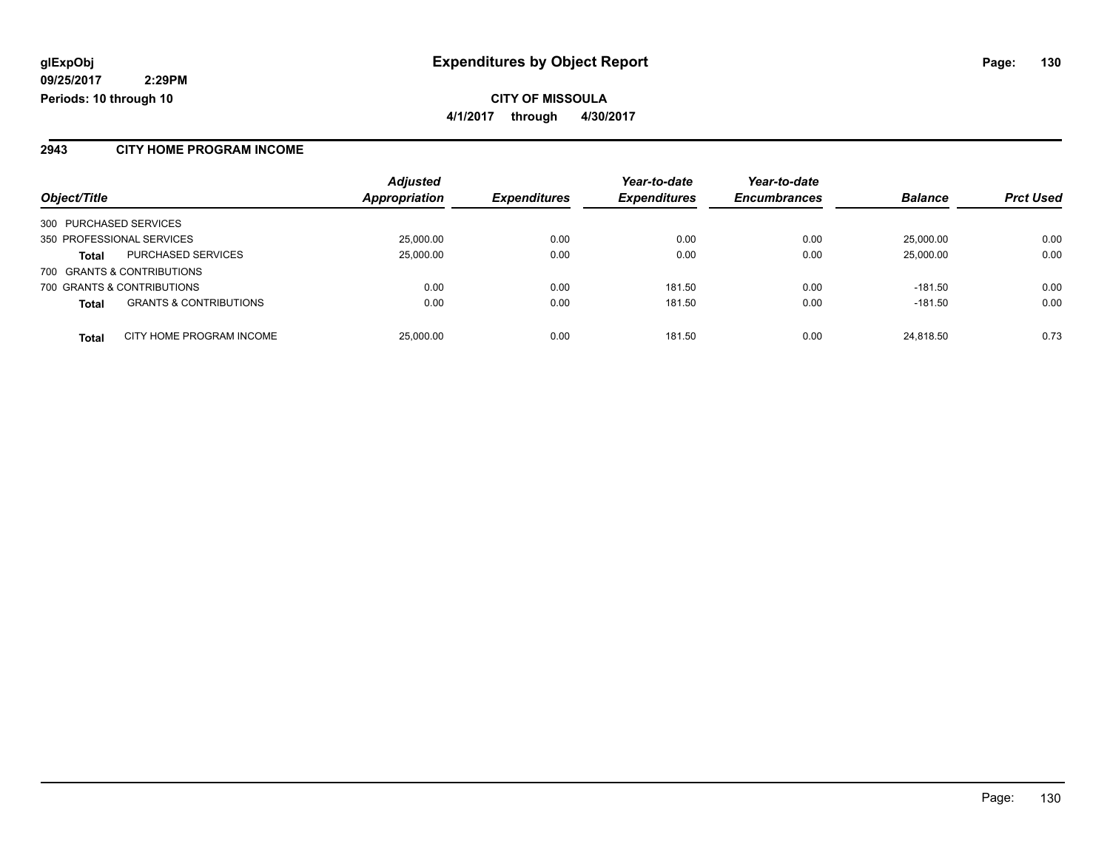**09/25/2017 2:29PM Periods: 10 through 10**

**CITY OF MISSOULA 4/1/2017 through 4/30/2017**

### **2943 CITY HOME PROGRAM INCOME**

| Object/Title                                      | <b>Adjusted</b><br>Appropriation | <b>Expenditures</b> | Year-to-date<br><b>Expenditures</b> | Year-to-date<br><b>Encumbrances</b> | <b>Balance</b> | <b>Prct Used</b> |
|---------------------------------------------------|----------------------------------|---------------------|-------------------------------------|-------------------------------------|----------------|------------------|
|                                                   |                                  |                     |                                     |                                     |                |                  |
| 300 PURCHASED SERVICES                            |                                  |                     |                                     |                                     |                |                  |
| 350 PROFESSIONAL SERVICES                         | 25,000.00                        | 0.00                | 0.00                                | 0.00                                | 25,000.00      | 0.00             |
| <b>PURCHASED SERVICES</b><br><b>Total</b>         | 25,000.00                        | 0.00                | 0.00                                | 0.00                                | 25,000.00      | 0.00             |
| 700 GRANTS & CONTRIBUTIONS                        |                                  |                     |                                     |                                     |                |                  |
| 700 GRANTS & CONTRIBUTIONS                        | 0.00                             | 0.00                | 181.50                              | 0.00                                | $-181.50$      | 0.00             |
| <b>GRANTS &amp; CONTRIBUTIONS</b><br><b>Total</b> | 0.00                             | 0.00                | 181.50                              | 0.00                                | $-181.50$      | 0.00             |
| CITY HOME PROGRAM INCOME<br><b>Total</b>          | 25,000.00                        | 0.00                | 181.50                              | 0.00                                | 24,818.50      | 0.73             |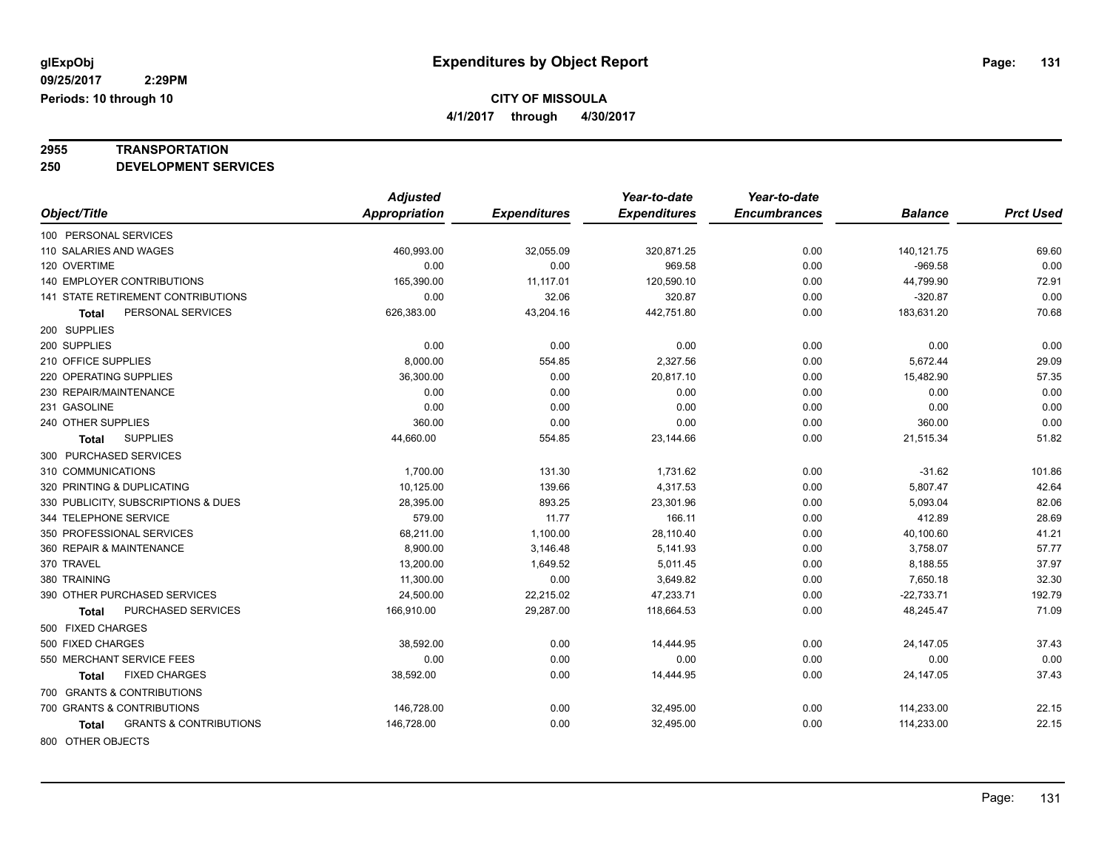**4/1/2017 through 4/30/2017**

# **2955 TRANSPORTATION**

**250 DEVELOPMENT SERVICES**

|                                            | <b>Adjusted</b>      |                     | Year-to-date        | Year-to-date        |                |                  |
|--------------------------------------------|----------------------|---------------------|---------------------|---------------------|----------------|------------------|
| Object/Title                               | <b>Appropriation</b> | <b>Expenditures</b> | <b>Expenditures</b> | <b>Encumbrances</b> | <b>Balance</b> | <b>Prct Used</b> |
| 100 PERSONAL SERVICES                      |                      |                     |                     |                     |                |                  |
| 110 SALARIES AND WAGES                     | 460,993.00           | 32,055.09           | 320,871.25          | 0.00                | 140,121.75     | 69.60            |
| 120 OVERTIME                               | 0.00                 | 0.00                | 969.58              | 0.00                | $-969.58$      | 0.00             |
| 140 EMPLOYER CONTRIBUTIONS                 | 165,390.00           | 11,117.01           | 120,590.10          | 0.00                | 44,799.90      | 72.91            |
| 141 STATE RETIREMENT CONTRIBUTIONS         | 0.00                 | 32.06               | 320.87              | 0.00                | $-320.87$      | 0.00             |
| PERSONAL SERVICES<br><b>Total</b>          | 626,383.00           | 43,204.16           | 442,751.80          | 0.00                | 183,631.20     | 70.68            |
| 200 SUPPLIES                               |                      |                     |                     |                     |                |                  |
| 200 SUPPLIES                               | 0.00                 | 0.00                | 0.00                | 0.00                | 0.00           | 0.00             |
| 210 OFFICE SUPPLIES                        | 8,000.00             | 554.85              | 2,327.56            | 0.00                | 5,672.44       | 29.09            |
| 220 OPERATING SUPPLIES                     | 36,300.00            | 0.00                | 20,817.10           | 0.00                | 15,482.90      | 57.35            |
| 230 REPAIR/MAINTENANCE                     | 0.00                 | 0.00                | 0.00                | 0.00                | 0.00           | 0.00             |
| 231 GASOLINE                               | 0.00                 | 0.00                | 0.00                | 0.00                | 0.00           | 0.00             |
| 240 OTHER SUPPLIES                         | 360.00               | 0.00                | 0.00                | 0.00                | 360.00         | 0.00             |
| <b>SUPPLIES</b><br><b>Total</b>            | 44,660.00            | 554.85              | 23,144.66           | 0.00                | 21,515.34      | 51.82            |
| 300 PURCHASED SERVICES                     |                      |                     |                     |                     |                |                  |
| 310 COMMUNICATIONS                         | 1,700.00             | 131.30              | 1,731.62            | 0.00                | $-31.62$       | 101.86           |
| 320 PRINTING & DUPLICATING                 | 10,125.00            | 139.66              | 4,317.53            | 0.00                | 5,807.47       | 42.64            |
| 330 PUBLICITY, SUBSCRIPTIONS & DUES        | 28,395.00            | 893.25              | 23,301.96           | 0.00                | 5,093.04       | 82.06            |
| 344 TELEPHONE SERVICE                      | 579.00               | 11.77               | 166.11              | 0.00                | 412.89         | 28.69            |
| 350 PROFESSIONAL SERVICES                  | 68,211.00            | 1,100.00            | 28,110.40           | 0.00                | 40,100.60      | 41.21            |
| 360 REPAIR & MAINTENANCE                   | 8,900.00             | 3,146.48            | 5,141.93            | 0.00                | 3,758.07       | 57.77            |
| 370 TRAVEL                                 | 13,200.00            | 1,649.52            | 5,011.45            | 0.00                | 8,188.55       | 37.97            |
| 380 TRAINING                               | 11,300.00            | 0.00                | 3,649.82            | 0.00                | 7,650.18       | 32.30            |
| 390 OTHER PURCHASED SERVICES               | 24,500.00            | 22,215.02           | 47,233.71           | 0.00                | $-22,733.71$   | 192.79           |
| PURCHASED SERVICES<br><b>Total</b>         | 166,910.00           | 29,287.00           | 118,664.53          | 0.00                | 48,245.47      | 71.09            |
| 500 FIXED CHARGES                          |                      |                     |                     |                     |                |                  |
| 500 FIXED CHARGES                          | 38,592.00            | 0.00                | 14,444.95           | 0.00                | 24,147.05      | 37.43            |
| 550 MERCHANT SERVICE FEES                  | 0.00                 | 0.00                | 0.00                | 0.00                | 0.00           | 0.00             |
| <b>FIXED CHARGES</b><br>Total              | 38,592.00            | 0.00                | 14,444.95           | 0.00                | 24,147.05      | 37.43            |
| 700 GRANTS & CONTRIBUTIONS                 |                      |                     |                     |                     |                |                  |
| 700 GRANTS & CONTRIBUTIONS                 | 146,728.00           | 0.00                | 32,495.00           | 0.00                | 114,233.00     | 22.15            |
| <b>GRANTS &amp; CONTRIBUTIONS</b><br>Total | 146,728.00           | 0.00                | 32,495.00           | 0.00                | 114,233.00     | 22.15            |
| 800 OTHER OBJECTS                          |                      |                     |                     |                     |                |                  |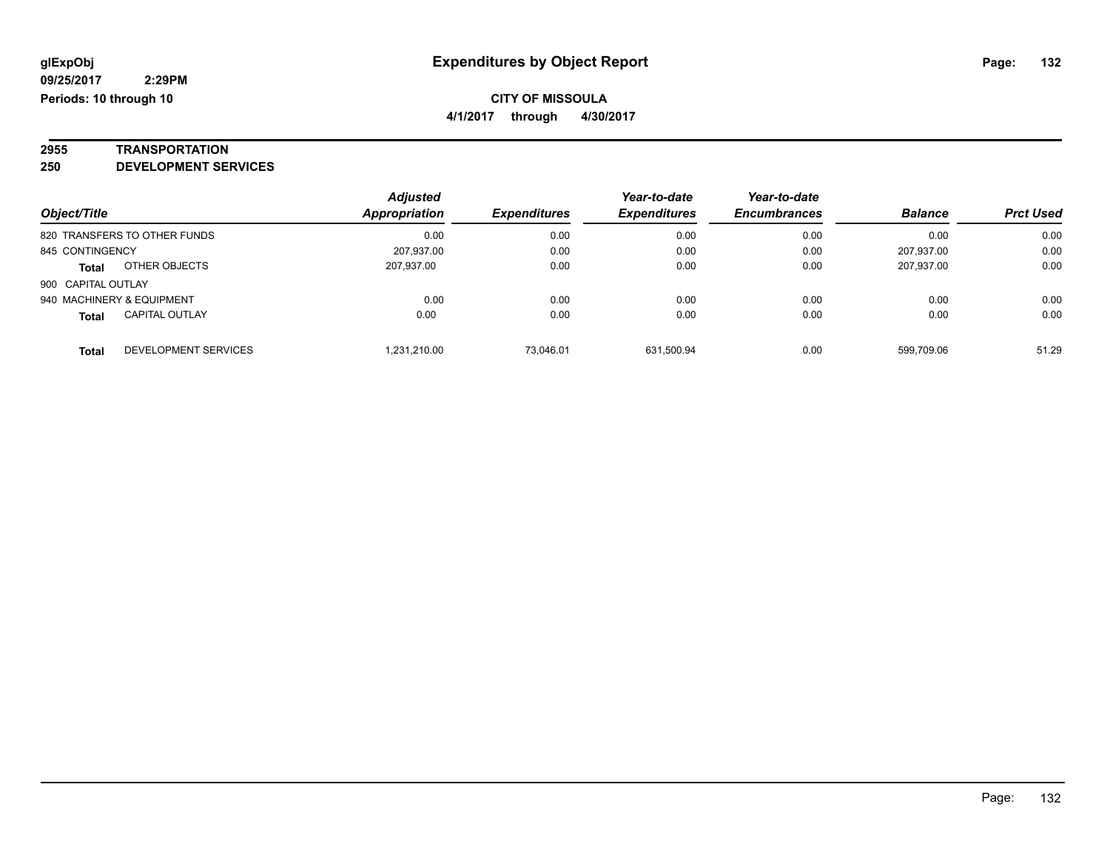**4/1/2017 through 4/30/2017**

# **2955 TRANSPORTATION**

**250 DEVELOPMENT SERVICES**

| Object/Title                          | <b>Adjusted</b><br>Appropriation | <b>Expenditures</b> | Year-to-date<br><b>Expenditures</b> | Year-to-date<br><b>Encumbrances</b> | <b>Balance</b> | <b>Prct Used</b> |
|---------------------------------------|----------------------------------|---------------------|-------------------------------------|-------------------------------------|----------------|------------------|
| 820 TRANSFERS TO OTHER FUNDS          |                                  | 0.00<br>0.00        | 0.00                                | 0.00                                | 0.00           | 0.00             |
| 845 CONTINGENCY                       | 207,937.00                       | 0.00                | 0.00                                | 0.00                                | 207,937.00     | 0.00             |
| OTHER OBJECTS<br><b>Total</b>         | 207,937.00                       | 0.00                | 0.00                                | 0.00                                | 207,937.00     | 0.00             |
| 900 CAPITAL OUTLAY                    |                                  |                     |                                     |                                     |                |                  |
| 940 MACHINERY & EQUIPMENT             |                                  | 0.00<br>0.00        | 0.00                                | 0.00                                | 0.00           | 0.00             |
| <b>CAPITAL OUTLAY</b><br><b>Total</b> | 0.00                             | 0.00                | 0.00                                | 0.00                                | 0.00           | 0.00             |
| DEVELOPMENT SERVICES<br><b>Total</b>  | 1,231,210.00                     | 73.046.01           | 631.500.94                          | 0.00                                | 599.709.06     | 51.29            |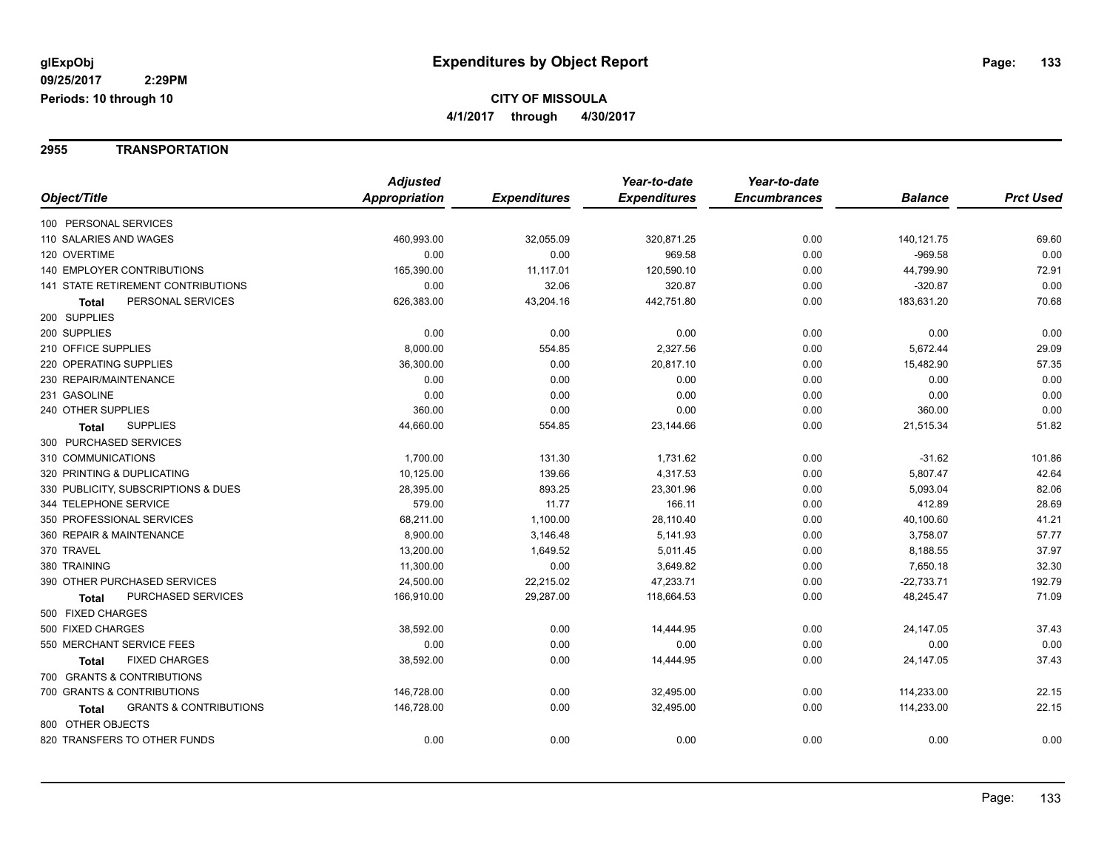#### **2955 TRANSPORTATION**

|                                            | <b>Adjusted</b> |                     | Year-to-date        | Year-to-date        |                |                  |
|--------------------------------------------|-----------------|---------------------|---------------------|---------------------|----------------|------------------|
| Object/Title                               | Appropriation   | <b>Expenditures</b> | <b>Expenditures</b> | <b>Encumbrances</b> | <b>Balance</b> | <b>Prct Used</b> |
| 100 PERSONAL SERVICES                      |                 |                     |                     |                     |                |                  |
| 110 SALARIES AND WAGES                     | 460,993.00      | 32,055.09           | 320,871.25          | 0.00                | 140,121.75     | 69.60            |
| 120 OVERTIME                               | 0.00            | 0.00                | 969.58              | 0.00                | $-969.58$      | 0.00             |
| 140 EMPLOYER CONTRIBUTIONS                 | 165,390.00      | 11,117.01           | 120,590.10          | 0.00                | 44,799.90      | 72.91            |
| <b>141 STATE RETIREMENT CONTRIBUTIONS</b>  | 0.00            | 32.06               | 320.87              | 0.00                | $-320.87$      | 0.00             |
| PERSONAL SERVICES<br>Total                 | 626,383.00      | 43,204.16           | 442,751.80          | 0.00                | 183,631.20     | 70.68            |
| 200 SUPPLIES                               |                 |                     |                     |                     |                |                  |
| 200 SUPPLIES                               | 0.00            | 0.00                | 0.00                | 0.00                | 0.00           | 0.00             |
| 210 OFFICE SUPPLIES                        | 8,000.00        | 554.85              | 2,327.56            | 0.00                | 5,672.44       | 29.09            |
| 220 OPERATING SUPPLIES                     | 36,300.00       | 0.00                | 20,817.10           | 0.00                | 15,482.90      | 57.35            |
| 230 REPAIR/MAINTENANCE                     | 0.00            | 0.00                | 0.00                | 0.00                | 0.00           | 0.00             |
| 231 GASOLINE                               | 0.00            | 0.00                | 0.00                | 0.00                | 0.00           | 0.00             |
| 240 OTHER SUPPLIES                         | 360.00          | 0.00                | 0.00                | 0.00                | 360.00         | 0.00             |
| <b>SUPPLIES</b><br>Total                   | 44,660.00       | 554.85              | 23,144.66           | 0.00                | 21,515.34      | 51.82            |
| 300 PURCHASED SERVICES                     |                 |                     |                     |                     |                |                  |
| 310 COMMUNICATIONS                         | 1,700.00        | 131.30              | 1,731.62            | 0.00                | $-31.62$       | 101.86           |
| 320 PRINTING & DUPLICATING                 | 10,125.00       | 139.66              | 4,317.53            | 0.00                | 5,807.47       | 42.64            |
| 330 PUBLICITY, SUBSCRIPTIONS & DUES        | 28,395.00       | 893.25              | 23,301.96           | 0.00                | 5,093.04       | 82.06            |
| 344 TELEPHONE SERVICE                      | 579.00          | 11.77               | 166.11              | 0.00                | 412.89         | 28.69            |
| 350 PROFESSIONAL SERVICES                  | 68,211.00       | 1,100.00            | 28,110.40           | 0.00                | 40,100.60      | 41.21            |
| 360 REPAIR & MAINTENANCE                   | 8,900.00        | 3,146.48            | 5,141.93            | 0.00                | 3,758.07       | 57.77            |
| 370 TRAVEL                                 | 13,200.00       | 1,649.52            | 5,011.45            | 0.00                | 8,188.55       | 37.97            |
| 380 TRAINING                               | 11,300.00       | 0.00                | 3,649.82            | 0.00                | 7,650.18       | 32.30            |
| 390 OTHER PURCHASED SERVICES               | 24,500.00       | 22,215.02           | 47,233.71           | 0.00                | $-22,733.71$   | 192.79           |
| PURCHASED SERVICES<br><b>Total</b>         | 166,910.00      | 29,287.00           | 118,664.53          | 0.00                | 48,245.47      | 71.09            |
| 500 FIXED CHARGES                          |                 |                     |                     |                     |                |                  |
| 500 FIXED CHARGES                          | 38,592.00       | 0.00                | 14,444.95           | 0.00                | 24,147.05      | 37.43            |
| 550 MERCHANT SERVICE FEES                  | 0.00            | 0.00                | 0.00                | 0.00                | 0.00           | 0.00             |
| <b>FIXED CHARGES</b><br><b>Total</b>       | 38,592.00       | 0.00                | 14,444.95           | 0.00                | 24,147.05      | 37.43            |
| 700 GRANTS & CONTRIBUTIONS                 |                 |                     |                     |                     |                |                  |
| 700 GRANTS & CONTRIBUTIONS                 | 146,728.00      | 0.00                | 32,495.00           | 0.00                | 114,233.00     | 22.15            |
| <b>GRANTS &amp; CONTRIBUTIONS</b><br>Total | 146,728.00      | 0.00                | 32,495.00           | 0.00                | 114,233.00     | 22.15            |
| 800 OTHER OBJECTS                          |                 |                     |                     |                     |                |                  |
| 820 TRANSFERS TO OTHER FUNDS               | 0.00            | 0.00                | 0.00                | 0.00                | 0.00           | 0.00             |
|                                            |                 |                     |                     |                     |                |                  |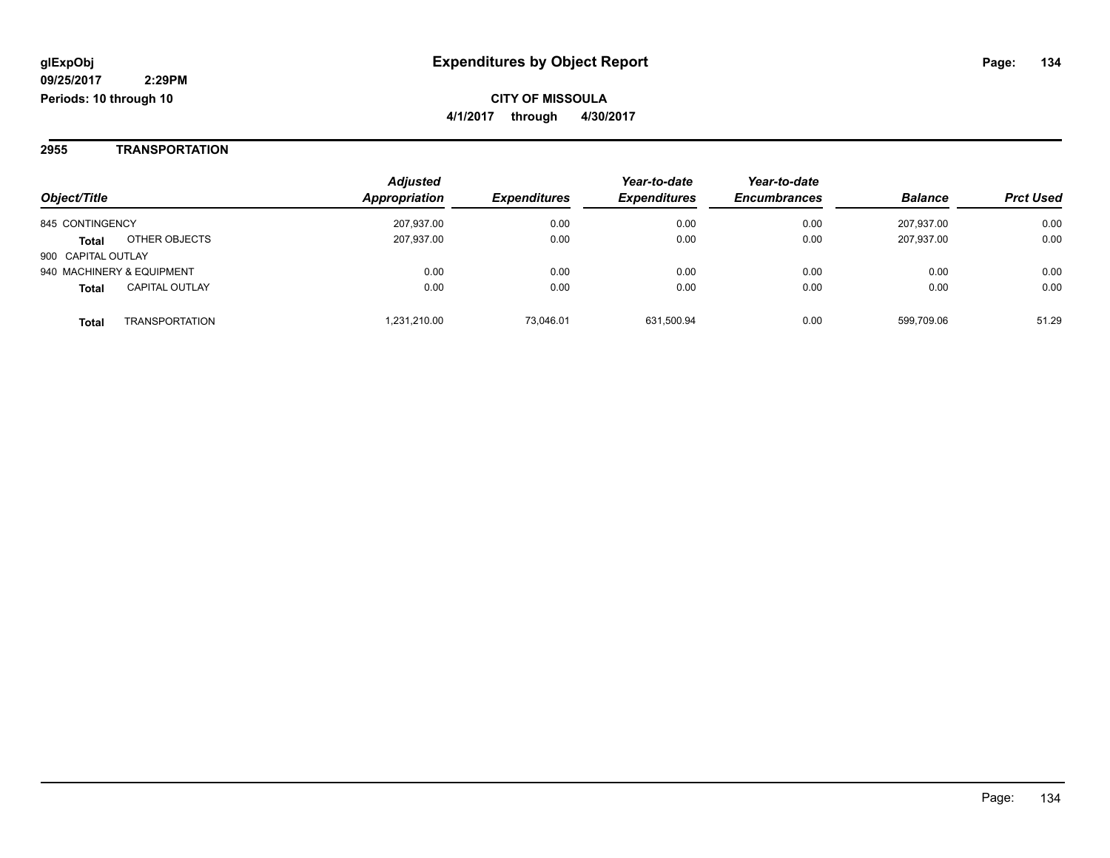### **2955 TRANSPORTATION**

| Object/Title       |                           | <b>Adjusted</b><br>Appropriation | <b>Expenditures</b> | Year-to-date<br><b>Expenditures</b> | Year-to-date<br><b>Encumbrances</b> | <b>Balance</b> | <b>Prct Used</b> |
|--------------------|---------------------------|----------------------------------|---------------------|-------------------------------------|-------------------------------------|----------------|------------------|
| 845 CONTINGENCY    |                           | 207.937.00                       | 0.00                | 0.00                                | 0.00                                | 207.937.00     | 0.00             |
| <b>Total</b>       | OTHER OBJECTS             | 207,937.00                       | 0.00                | 0.00                                | 0.00                                | 207,937.00     | 0.00             |
| 900 CAPITAL OUTLAY |                           |                                  |                     |                                     |                                     |                |                  |
|                    | 940 MACHINERY & EQUIPMENT | 0.00                             | 0.00                | 0.00                                | 0.00                                | 0.00           | 0.00             |
| <b>Total</b>       | <b>CAPITAL OUTLAY</b>     | 0.00                             | 0.00                | 0.00                                | 0.00                                | 0.00           | 0.00             |
| <b>Total</b>       | <b>TRANSPORTATION</b>     | .231.210.00                      | 73.046.01           | 631,500.94                          | 0.00                                | 599,709.06     | 51.29            |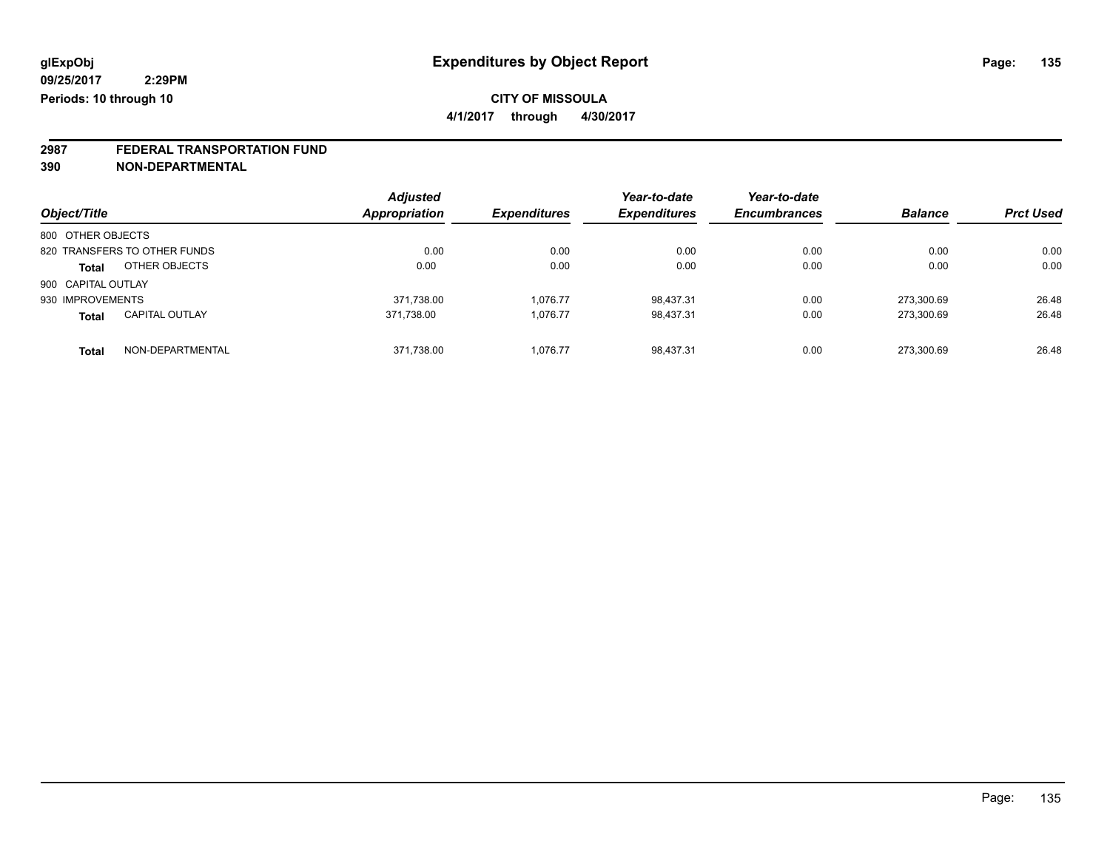**4/1/2017 through 4/30/2017**

# **2987 FEDERAL TRANSPORTATION FUND**

**390 NON-DEPARTMENTAL**

| Object/Title                          | <b>Adjusted</b><br>Appropriation | <b>Expenditures</b> | Year-to-date<br><b>Expenditures</b> | Year-to-date<br><b>Encumbrances</b> | <b>Balance</b> | <b>Prct Used</b> |
|---------------------------------------|----------------------------------|---------------------|-------------------------------------|-------------------------------------|----------------|------------------|
| 800 OTHER OBJECTS                     |                                  |                     |                                     |                                     |                |                  |
| 820 TRANSFERS TO OTHER FUNDS          | 0.00                             | 0.00                | 0.00                                | 0.00                                | 0.00           | 0.00             |
| OTHER OBJECTS<br><b>Total</b>         | 0.00                             | 0.00                | 0.00                                | 0.00                                | 0.00           | 0.00             |
| 900 CAPITAL OUTLAY                    |                                  |                     |                                     |                                     |                |                  |
| 930 IMPROVEMENTS                      | 371,738.00                       | 1.076.77            | 98,437.31                           | 0.00                                | 273.300.69     | 26.48            |
| <b>CAPITAL OUTLAY</b><br><b>Total</b> | 371.738.00                       | 1.076.77            | 98.437.31                           | 0.00                                | 273.300.69     | 26.48            |
| NON-DEPARTMENTAL<br><b>Total</b>      | 371,738.00                       | 1.076.77            | 98.437.31                           | 0.00                                | 273.300.69     | 26.48            |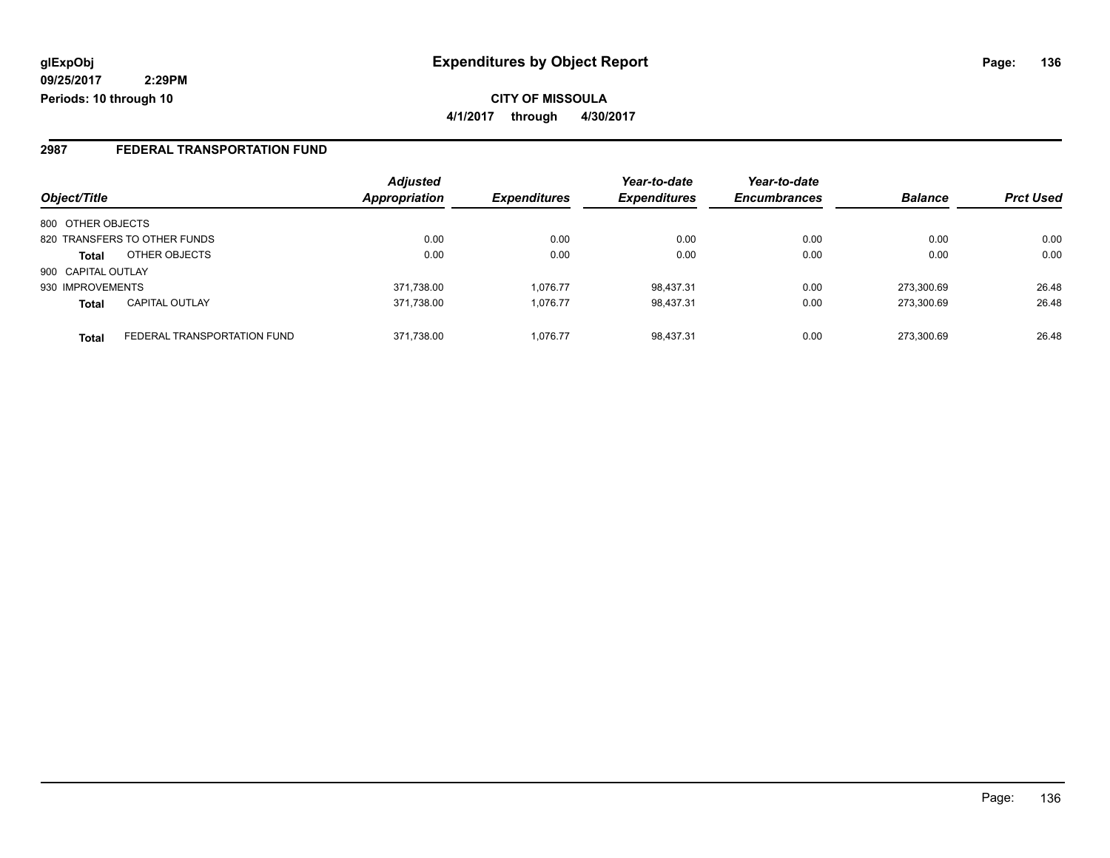**09/25/2017 2:29PM Periods: 10 through 10**

**CITY OF MISSOULA 4/1/2017 through 4/30/2017**

### **2987 FEDERAL TRANSPORTATION FUND**

|                    |                              | <b>Adjusted</b> |                     | Year-to-date        | Year-to-date        |                |                  |
|--------------------|------------------------------|-----------------|---------------------|---------------------|---------------------|----------------|------------------|
| Object/Title       |                              | Appropriation   | <b>Expenditures</b> | <b>Expenditures</b> | <b>Encumbrances</b> | <b>Balance</b> | <b>Prct Used</b> |
| 800 OTHER OBJECTS  |                              |                 |                     |                     |                     |                |                  |
|                    | 820 TRANSFERS TO OTHER FUNDS | 0.00            | 0.00                | 0.00                | 0.00                | 0.00           | 0.00             |
| <b>Total</b>       | OTHER OBJECTS                | 0.00            | 0.00                | 0.00                | 0.00                | 0.00           | 0.00             |
| 900 CAPITAL OUTLAY |                              |                 |                     |                     |                     |                |                  |
| 930 IMPROVEMENTS   |                              | 371,738.00      | 1.076.77            | 98.437.31           | 0.00                | 273.300.69     | 26.48            |
| <b>Total</b>       | <b>CAPITAL OUTLAY</b>        | 371,738.00      | 1.076.77            | 98.437.31           | 0.00                | 273.300.69     | 26.48            |
| <b>Total</b>       | FEDERAL TRANSPORTATION FUND  | 371,738.00      | 1.076.77            | 98.437.31           | 0.00                | 273.300.69     | 26.48            |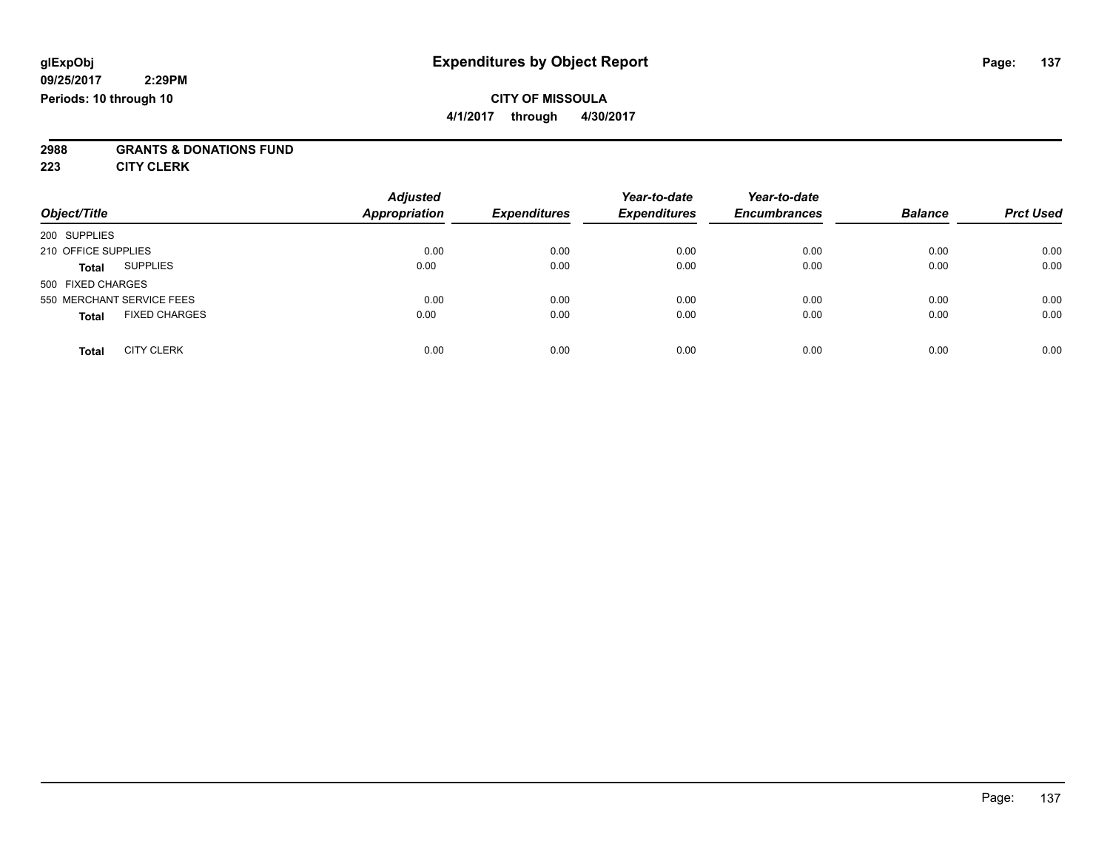#### **09/25/2017 2:29PM Periods: 10 through 10**

## **CITY OF MISSOULA**

**4/1/2017 through 4/30/2017**

# **2988 GRANTS & DONATIONS FUND**

**223 CITY CLERK**

| Object/Title                         | <b>Adjusted</b><br>Appropriation | <b>Expenditures</b> | Year-to-date<br><b>Expenditures</b> | Year-to-date<br><b>Encumbrances</b> | <b>Balance</b> | <b>Prct Used</b> |
|--------------------------------------|----------------------------------|---------------------|-------------------------------------|-------------------------------------|----------------|------------------|
| 200 SUPPLIES                         |                                  |                     |                                     |                                     |                |                  |
| 210 OFFICE SUPPLIES                  | 0.00                             | 0.00                | 0.00                                | 0.00                                | 0.00           | 0.00             |
| <b>SUPPLIES</b><br><b>Total</b>      | 0.00                             | 0.00                | 0.00                                | 0.00                                | 0.00           | 0.00             |
| 500 FIXED CHARGES                    |                                  |                     |                                     |                                     |                |                  |
| 550 MERCHANT SERVICE FEES            | 0.00                             | 0.00                | 0.00                                | 0.00                                | 0.00           | 0.00             |
| <b>FIXED CHARGES</b><br><b>Total</b> | 0.00                             | 0.00                | 0.00                                | 0.00                                | 0.00           | 0.00             |
| <b>CITY CLERK</b><br><b>Total</b>    | 0.00                             | 0.00                | 0.00                                | 0.00                                | 0.00           | 0.00             |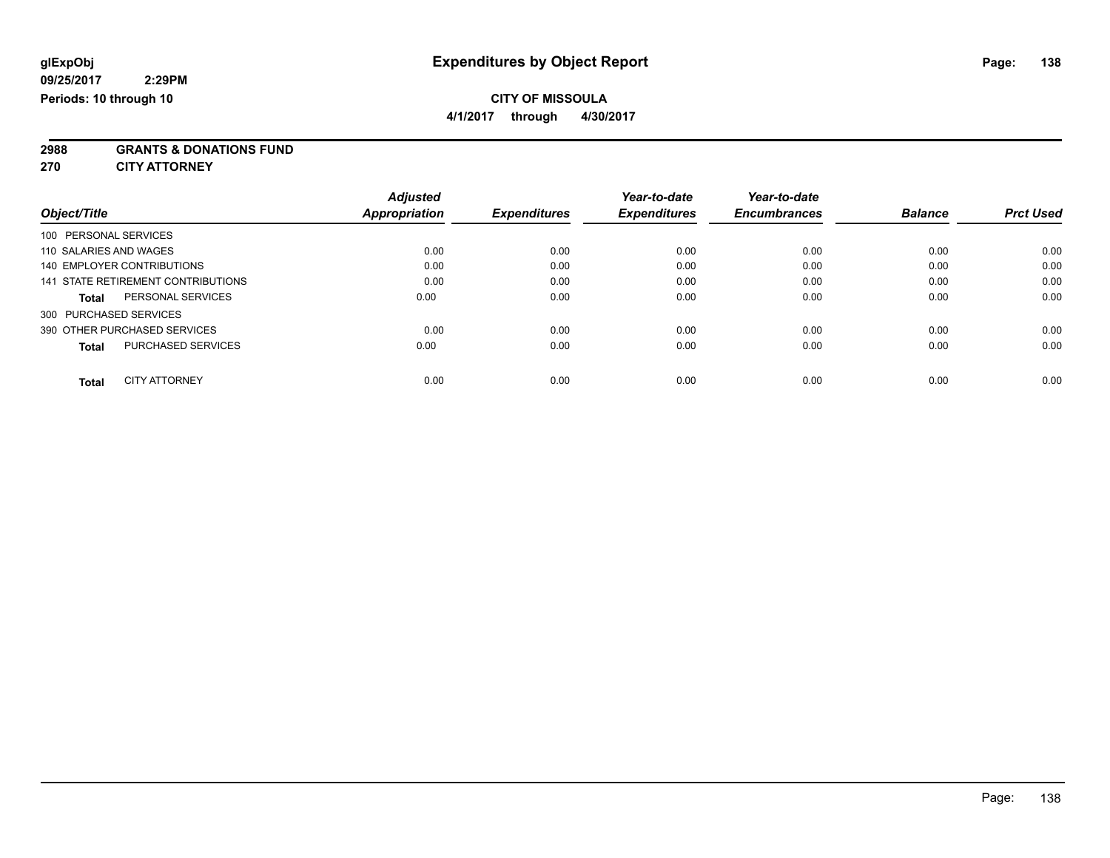**4/1/2017 through 4/30/2017**

**2988 GRANTS & DONATIONS FUND**

**270 CITY ATTORNEY**

| Object/Title                              | <b>Adjusted</b><br>Appropriation | <b>Expenditures</b> | Year-to-date<br><b>Expenditures</b> | Year-to-date<br><b>Encumbrances</b> | <b>Balance</b> | <b>Prct Used</b> |
|-------------------------------------------|----------------------------------|---------------------|-------------------------------------|-------------------------------------|----------------|------------------|
| 100 PERSONAL SERVICES                     |                                  |                     |                                     |                                     |                |                  |
| 110 SALARIES AND WAGES                    | 0.00                             | 0.00                | 0.00                                | 0.00                                | 0.00           | 0.00             |
| 140 EMPLOYER CONTRIBUTIONS                | 0.00                             | 0.00                | 0.00                                | 0.00                                | 0.00           | 0.00             |
| 141 STATE RETIREMENT CONTRIBUTIONS        | 0.00                             | 0.00                | 0.00                                | 0.00                                | 0.00           | 0.00             |
| PERSONAL SERVICES<br><b>Total</b>         | 0.00                             | 0.00                | 0.00                                | 0.00                                | 0.00           | 0.00             |
| 300 PURCHASED SERVICES                    |                                  |                     |                                     |                                     |                |                  |
| 390 OTHER PURCHASED SERVICES              | 0.00                             | 0.00                | 0.00                                | 0.00                                | 0.00           | 0.00             |
| <b>PURCHASED SERVICES</b><br><b>Total</b> | 0.00                             | 0.00                | 0.00                                | 0.00                                | 0.00           | 0.00             |
| <b>CITY ATTORNEY</b><br><b>Total</b>      | 0.00                             | 0.00                | 0.00                                | 0.00                                | 0.00           | 0.00             |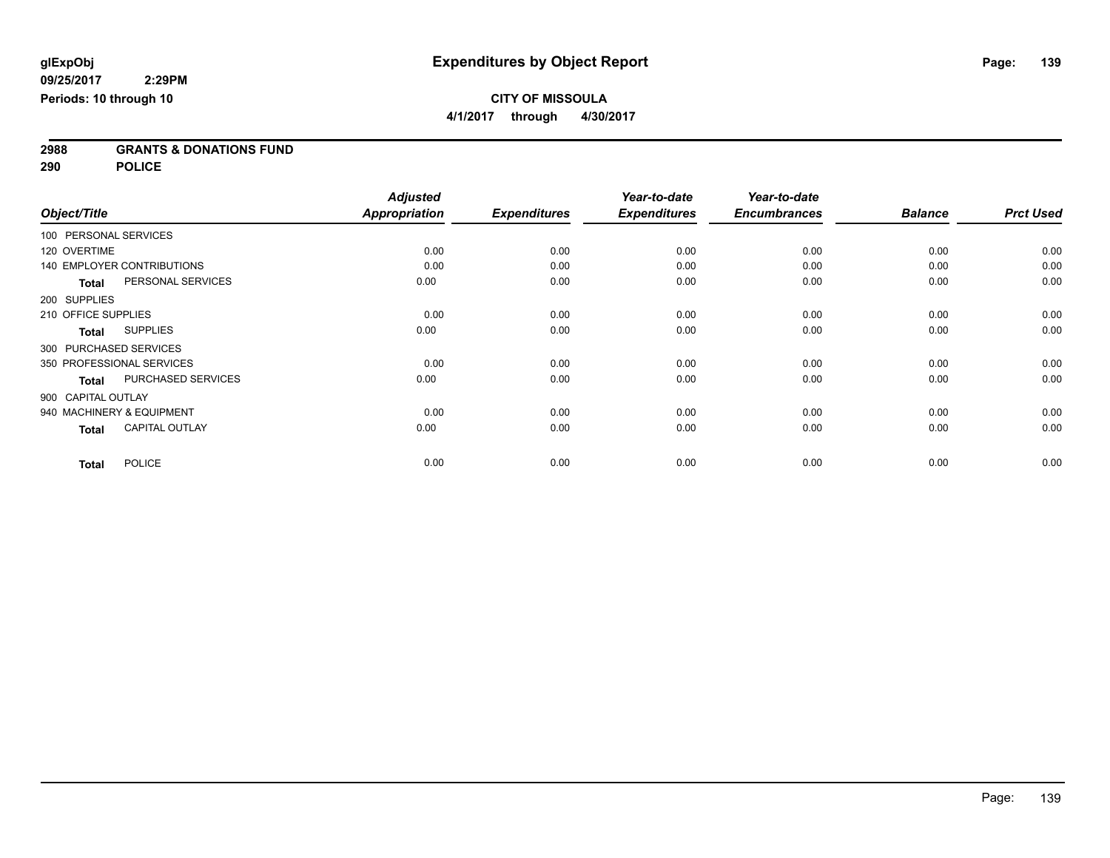**2988 GRANTS & DONATIONS FUND**

**290 POLICE**

|                       |                                   | <b>Adjusted</b>      |                     | Year-to-date        | Year-to-date        |                |                  |
|-----------------------|-----------------------------------|----------------------|---------------------|---------------------|---------------------|----------------|------------------|
| Object/Title          |                                   | <b>Appropriation</b> | <b>Expenditures</b> | <b>Expenditures</b> | <b>Encumbrances</b> | <b>Balance</b> | <b>Prct Used</b> |
| 100 PERSONAL SERVICES |                                   |                      |                     |                     |                     |                |                  |
| 120 OVERTIME          |                                   | 0.00                 | 0.00                | 0.00                | 0.00                | 0.00           | 0.00             |
|                       | <b>140 EMPLOYER CONTRIBUTIONS</b> | 0.00                 | 0.00                | 0.00                | 0.00                | 0.00           | 0.00             |
| <b>Total</b>          | PERSONAL SERVICES                 | 0.00                 | 0.00                | 0.00                | 0.00                | 0.00           | 0.00             |
| 200 SUPPLIES          |                                   |                      |                     |                     |                     |                |                  |
| 210 OFFICE SUPPLIES   |                                   | 0.00                 | 0.00                | 0.00                | 0.00                | 0.00           | 0.00             |
| <b>Total</b>          | <b>SUPPLIES</b>                   | 0.00                 | 0.00                | 0.00                | 0.00                | 0.00           | 0.00             |
|                       | 300 PURCHASED SERVICES            |                      |                     |                     |                     |                |                  |
|                       | 350 PROFESSIONAL SERVICES         | 0.00                 | 0.00                | 0.00                | 0.00                | 0.00           | 0.00             |
| <b>Total</b>          | PURCHASED SERVICES                | 0.00                 | 0.00                | 0.00                | 0.00                | 0.00           | 0.00             |
| 900 CAPITAL OUTLAY    |                                   |                      |                     |                     |                     |                |                  |
|                       | 940 MACHINERY & EQUIPMENT         | 0.00                 | 0.00                | 0.00                | 0.00                | 0.00           | 0.00             |
| <b>Total</b>          | <b>CAPITAL OUTLAY</b>             | 0.00                 | 0.00                | 0.00                | 0.00                | 0.00           | 0.00             |
| <b>Total</b>          | <b>POLICE</b>                     | 0.00                 | 0.00                | 0.00                | 0.00                | 0.00           | 0.00             |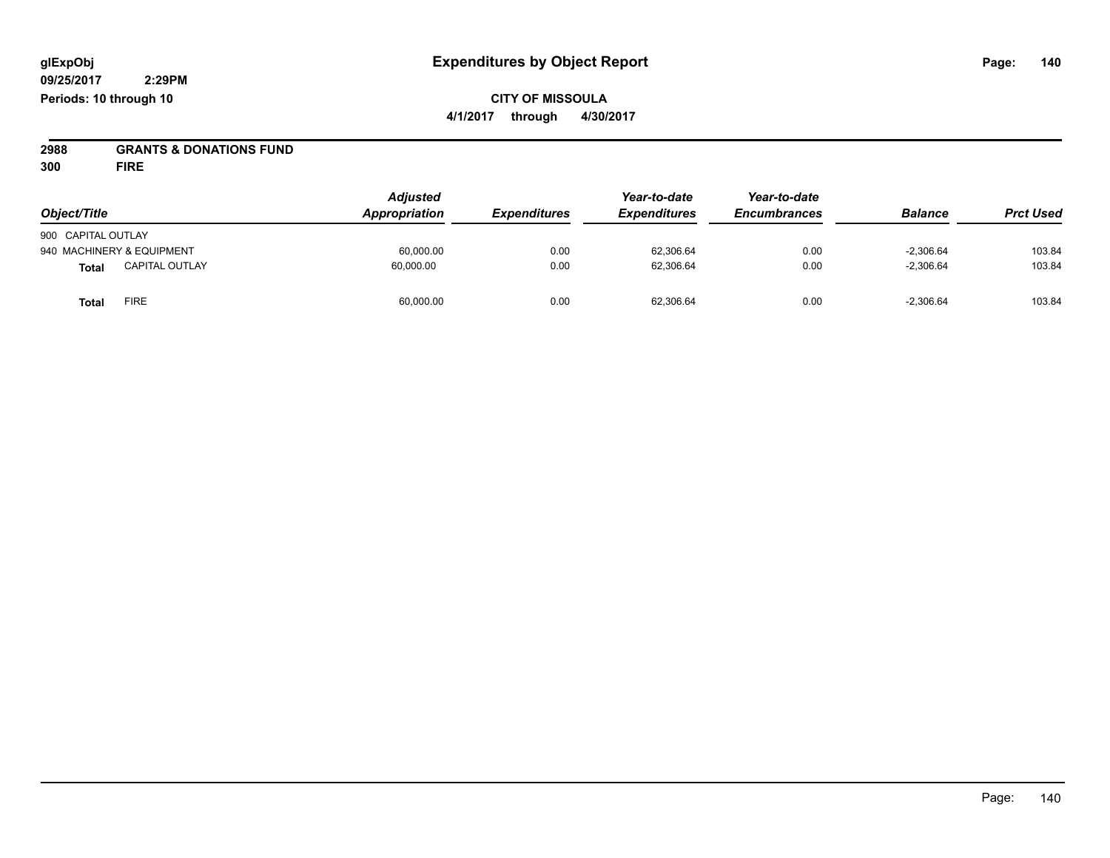# **2988 GRANTS & DONATIONS FUND**

**300 FIRE**

| Object/Title                   | <b>Adjusted</b><br>Appropriation | <b>Expenditures</b> | Year-to-date<br><b>Expenditures</b> | Year-to-date<br><b>Encumbrances</b> | <b>Balance</b> | <b>Prct Used</b> |
|--------------------------------|----------------------------------|---------------------|-------------------------------------|-------------------------------------|----------------|------------------|
| 900 CAPITAL OUTLAY             |                                  |                     |                                     |                                     |                |                  |
| 940 MACHINERY & EQUIPMENT      | 60,000.00                        | 0.00                | 62,306.64                           | 0.00                                | $-2,306.64$    | 103.84           |
| <b>CAPITAL OUTLAY</b><br>Total | 60,000.00                        | 0.00                | 62,306.64                           | 0.00                                | $-2,306.64$    | 103.84           |
| <b>FIRE</b><br>Total           | 60,000.00                        | 0.00                | 62,306.64                           | 0.00                                | $-2,306.64$    | 103.84           |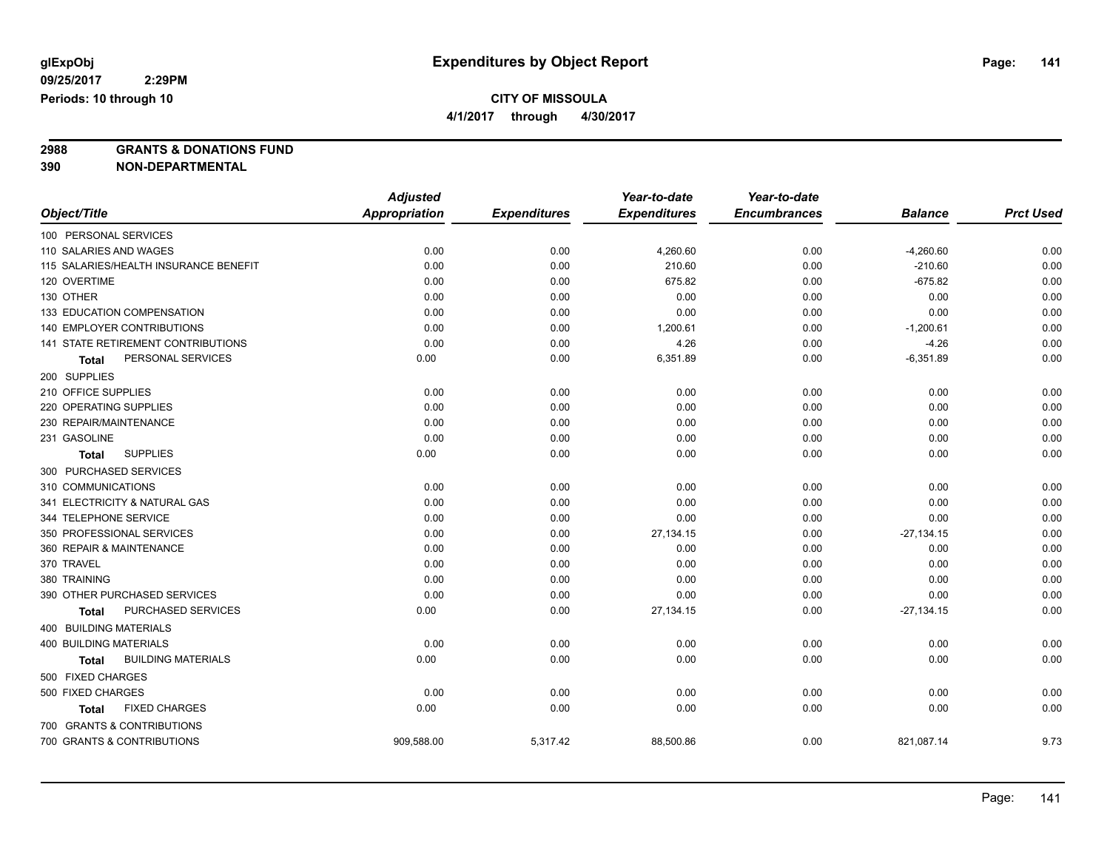**4/1/2017 through 4/30/2017**

**2988 GRANTS & DONATIONS FUND**

**390 NON-DEPARTMENTAL**

|                                       | <b>Adjusted</b>      |                     | Year-to-date        | Year-to-date        |                |                  |
|---------------------------------------|----------------------|---------------------|---------------------|---------------------|----------------|------------------|
| Object/Title                          | <b>Appropriation</b> | <b>Expenditures</b> | <b>Expenditures</b> | <b>Encumbrances</b> | <b>Balance</b> | <b>Prct Used</b> |
| 100 PERSONAL SERVICES                 |                      |                     |                     |                     |                |                  |
| 110 SALARIES AND WAGES                | 0.00                 | 0.00                | 4,260.60            | 0.00                | $-4,260.60$    | 0.00             |
| 115 SALARIES/HEALTH INSURANCE BENEFIT | 0.00                 | 0.00                | 210.60              | 0.00                | $-210.60$      | 0.00             |
| 120 OVERTIME                          | 0.00                 | 0.00                | 675.82              | 0.00                | $-675.82$      | 0.00             |
| 130 OTHER                             | 0.00                 | 0.00                | 0.00                | 0.00                | 0.00           | 0.00             |
| 133 EDUCATION COMPENSATION            | 0.00                 | 0.00                | 0.00                | 0.00                | 0.00           | 0.00             |
| <b>140 EMPLOYER CONTRIBUTIONS</b>     | 0.00                 | 0.00                | 1,200.61            | 0.00                | $-1,200.61$    | 0.00             |
| 141 STATE RETIREMENT CONTRIBUTIONS    | 0.00                 | 0.00                | 4.26                | 0.00                | $-4.26$        | 0.00             |
| PERSONAL SERVICES<br>Total            | 0.00                 | 0.00                | 6,351.89            | 0.00                | $-6,351.89$    | 0.00             |
| 200 SUPPLIES                          |                      |                     |                     |                     |                |                  |
| 210 OFFICE SUPPLIES                   | 0.00                 | 0.00                | 0.00                | 0.00                | 0.00           | 0.00             |
| 220 OPERATING SUPPLIES                | 0.00                 | 0.00                | 0.00                | 0.00                | 0.00           | 0.00             |
| 230 REPAIR/MAINTENANCE                | 0.00                 | 0.00                | 0.00                | 0.00                | 0.00           | 0.00             |
| 231 GASOLINE                          | 0.00                 | 0.00                | 0.00                | 0.00                | 0.00           | 0.00             |
| <b>SUPPLIES</b><br><b>Total</b>       | 0.00                 | 0.00                | 0.00                | 0.00                | 0.00           | 0.00             |
| 300 PURCHASED SERVICES                |                      |                     |                     |                     |                |                  |
| 310 COMMUNICATIONS                    | 0.00                 | 0.00                | 0.00                | 0.00                | 0.00           | 0.00             |
| 341 ELECTRICITY & NATURAL GAS         | 0.00                 | 0.00                | 0.00                | 0.00                | 0.00           | 0.00             |
| 344 TELEPHONE SERVICE                 | 0.00                 | 0.00                | 0.00                | 0.00                | 0.00           | 0.00             |
| 350 PROFESSIONAL SERVICES             | 0.00                 | 0.00                | 27,134.15           | 0.00                | $-27,134.15$   | 0.00             |
| 360 REPAIR & MAINTENANCE              | 0.00                 | 0.00                | 0.00                | 0.00                | 0.00           | 0.00             |
| 370 TRAVEL                            | 0.00                 | 0.00                | 0.00                | 0.00                | 0.00           | 0.00             |
| 380 TRAINING                          | 0.00                 | 0.00                | 0.00                | 0.00                | 0.00           | 0.00             |
| 390 OTHER PURCHASED SERVICES          | 0.00                 | 0.00                | 0.00                | 0.00                | 0.00           | 0.00             |
| PURCHASED SERVICES<br>Total           | 0.00                 | 0.00                | 27,134.15           | 0.00                | $-27,134.15$   | 0.00             |
| 400 BUILDING MATERIALS                |                      |                     |                     |                     |                |                  |
| <b>400 BUILDING MATERIALS</b>         | 0.00                 | 0.00                | 0.00                | 0.00                | 0.00           | 0.00             |
| <b>BUILDING MATERIALS</b><br>Total    | 0.00                 | 0.00                | 0.00                | 0.00                | 0.00           | 0.00             |
| 500 FIXED CHARGES                     |                      |                     |                     |                     |                |                  |
| 500 FIXED CHARGES                     | 0.00                 | 0.00                | 0.00                | 0.00                | 0.00           | 0.00             |
| <b>FIXED CHARGES</b><br>Total         | 0.00                 | 0.00                | 0.00                | 0.00                | 0.00           | 0.00             |
| 700 GRANTS & CONTRIBUTIONS            |                      |                     |                     |                     |                |                  |
| 700 GRANTS & CONTRIBUTIONS            | 909,588.00           | 5,317.42            | 88,500.86           | 0.00                | 821,087.14     | 9.73             |
|                                       |                      |                     |                     |                     |                |                  |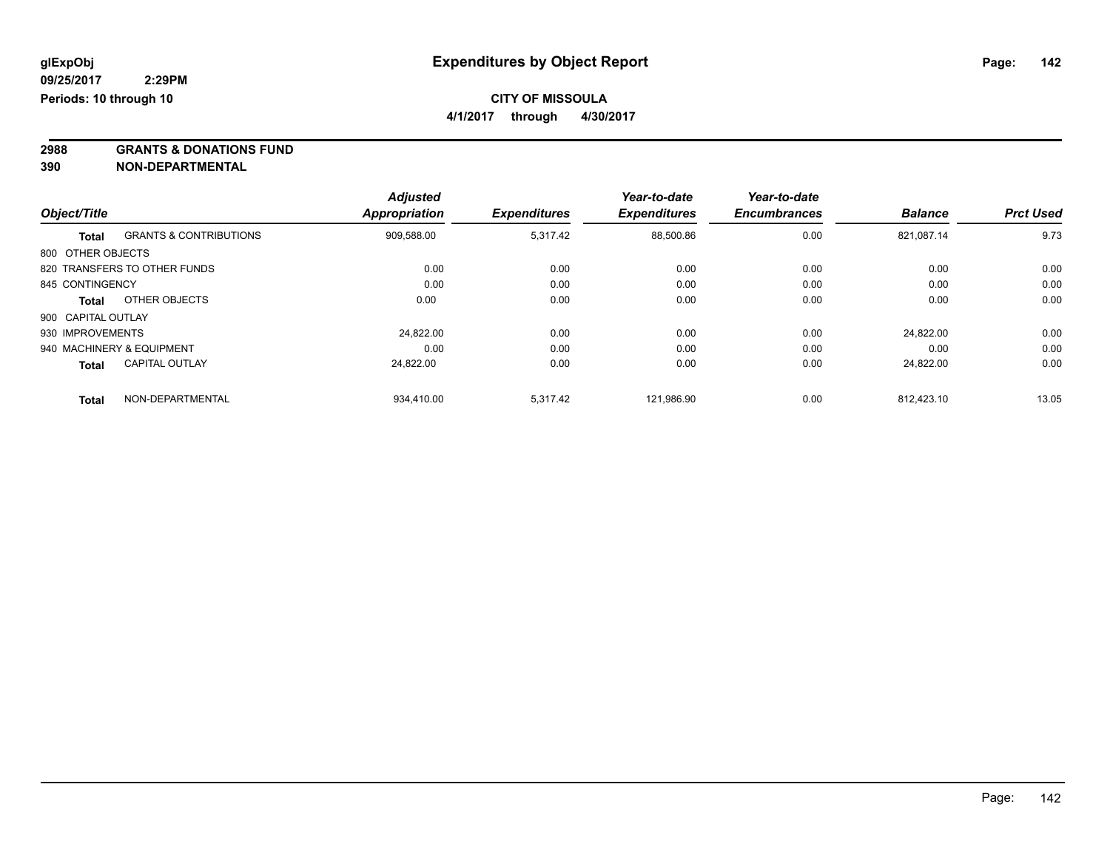**4/1/2017 through 4/30/2017**

**2988 GRANTS & DONATIONS FUND**

**390 NON-DEPARTMENTAL**

|                    |                                   | <b>Adjusted</b> |                     | Year-to-date        | Year-to-date        |                |                  |
|--------------------|-----------------------------------|-----------------|---------------------|---------------------|---------------------|----------------|------------------|
| Object/Title       |                                   | Appropriation   | <b>Expenditures</b> | <b>Expenditures</b> | <b>Encumbrances</b> | <b>Balance</b> | <b>Prct Used</b> |
| Total              | <b>GRANTS &amp; CONTRIBUTIONS</b> | 909,588.00      | 5,317.42            | 88,500.86           | 0.00                | 821.087.14     | 9.73             |
| 800 OTHER OBJECTS  |                                   |                 |                     |                     |                     |                |                  |
|                    | 820 TRANSFERS TO OTHER FUNDS      | 0.00            | 0.00                | 0.00                | 0.00                | 0.00           | 0.00             |
| 845 CONTINGENCY    |                                   | 0.00            | 0.00                | 0.00                | 0.00                | 0.00           | 0.00             |
| Total              | OTHER OBJECTS                     | 0.00            | 0.00                | 0.00                | 0.00                | 0.00           | 0.00             |
| 900 CAPITAL OUTLAY |                                   |                 |                     |                     |                     |                |                  |
| 930 IMPROVEMENTS   |                                   | 24.822.00       | 0.00                | 0.00                | 0.00                | 24.822.00      | 0.00             |
|                    | 940 MACHINERY & EQUIPMENT         | 0.00            | 0.00                | 0.00                | 0.00                | 0.00           | 0.00             |
| <b>Total</b>       | <b>CAPITAL OUTLAY</b>             | 24.822.00       | 0.00                | 0.00                | 0.00                | 24.822.00      | 0.00             |
| <b>Total</b>       | NON-DEPARTMENTAL                  | 934,410.00      | 5,317.42            | 121,986.90          | 0.00                | 812.423.10     | 13.05            |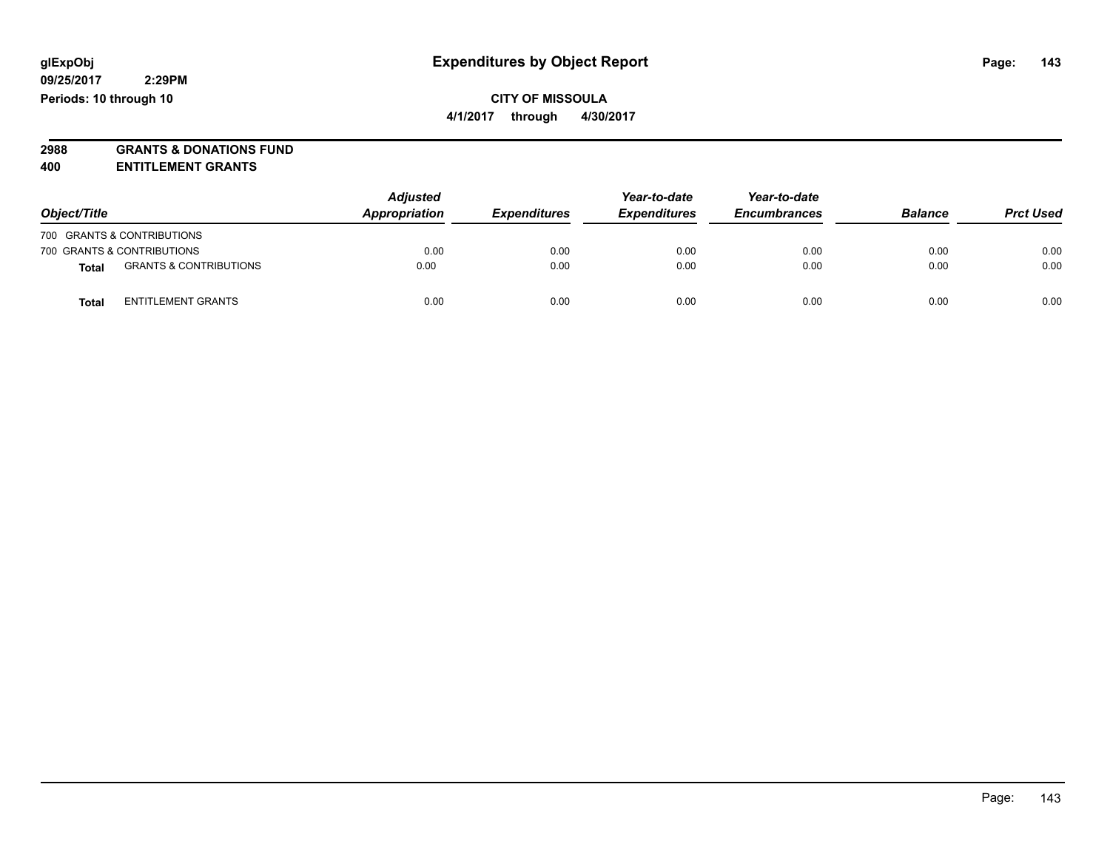**2988 GRANTS & DONATIONS FUND**

**400 ENTITLEMENT GRANTS**

| Object/Title |                                   | <b>Adjusted</b><br>Appropriation | <b>Expenditures</b> | Year-to-date<br><b>Expenditures</b> | Year-to-date<br><b>Encumbrances</b> | <b>Balance</b> | <b>Prct Used</b> |
|--------------|-----------------------------------|----------------------------------|---------------------|-------------------------------------|-------------------------------------|----------------|------------------|
|              | 700 GRANTS & CONTRIBUTIONS        |                                  |                     |                                     |                                     |                |                  |
|              | 700 GRANTS & CONTRIBUTIONS        | 0.00                             | 0.00                | 0.00                                | 0.00                                | 0.00           | 0.00             |
| Total        | <b>GRANTS &amp; CONTRIBUTIONS</b> | 0.00                             | 0.00                | 0.00                                | 0.00                                | 0.00           | 0.00             |
| Total        | <b>ENTITLEMENT GRANTS</b>         | 0.00                             | 0.00                | 0.00                                | 0.00                                | 0.00           | 0.00             |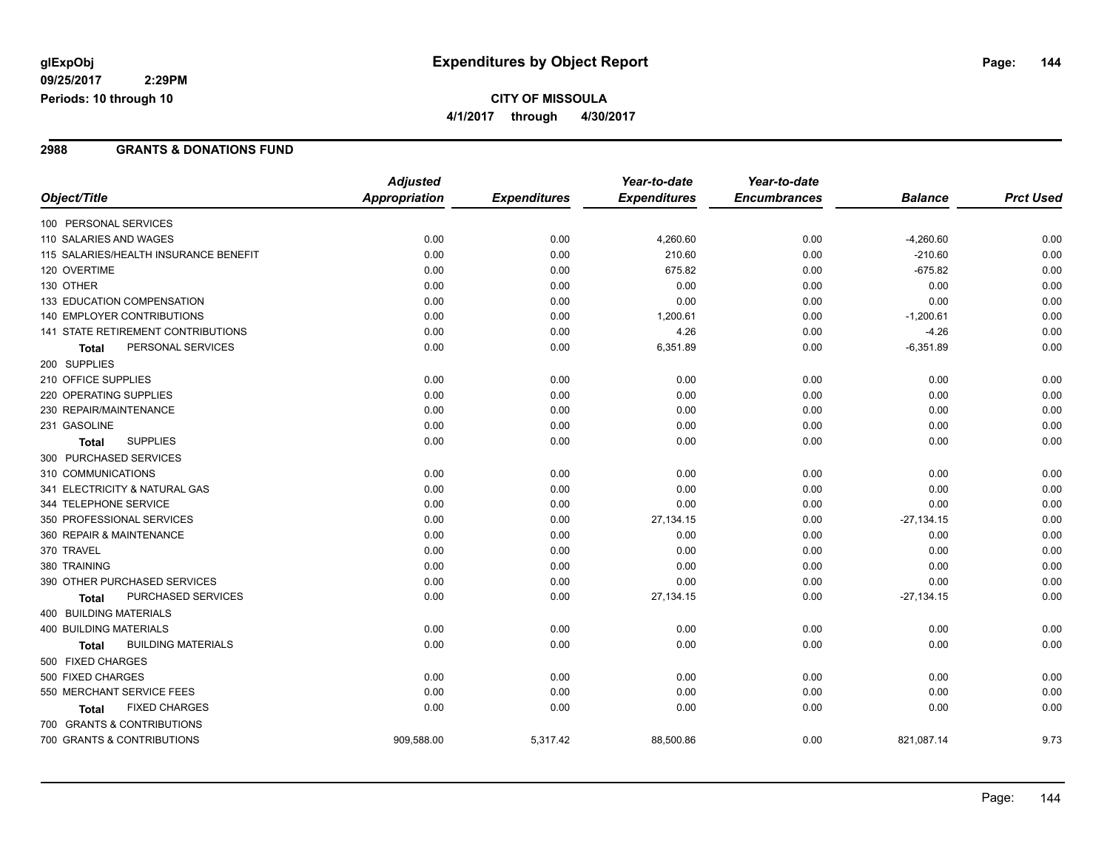**09/25/2017 2:29PM Periods: 10 through 10**

## **CITY OF MISSOULA 4/1/2017 through 4/30/2017**

### **2988 GRANTS & DONATIONS FUND**

|                                           | <b>Adjusted</b>      |                     | Year-to-date        | Year-to-date        |                |                  |
|-------------------------------------------|----------------------|---------------------|---------------------|---------------------|----------------|------------------|
| Object/Title                              | <b>Appropriation</b> | <b>Expenditures</b> | <b>Expenditures</b> | <b>Encumbrances</b> | <b>Balance</b> | <b>Prct Used</b> |
| 100 PERSONAL SERVICES                     |                      |                     |                     |                     |                |                  |
| 110 SALARIES AND WAGES                    | 0.00                 | 0.00                | 4,260.60            | 0.00                | $-4,260.60$    | 0.00             |
| 115 SALARIES/HEALTH INSURANCE BENEFIT     | 0.00                 | 0.00                | 210.60              | 0.00                | $-210.60$      | 0.00             |
| 120 OVERTIME                              | 0.00                 | 0.00                | 675.82              | 0.00                | $-675.82$      | 0.00             |
| 130 OTHER                                 | 0.00                 | 0.00                | 0.00                | 0.00                | 0.00           | 0.00             |
| 133 EDUCATION COMPENSATION                | 0.00                 | 0.00                | 0.00                | 0.00                | 0.00           | 0.00             |
| 140 EMPLOYER CONTRIBUTIONS                | 0.00                 | 0.00                | 1,200.61            | 0.00                | $-1,200.61$    | 0.00             |
| <b>141 STATE RETIREMENT CONTRIBUTIONS</b> | 0.00                 | 0.00                | 4.26                | 0.00                | $-4.26$        | 0.00             |
| PERSONAL SERVICES<br><b>Total</b>         | 0.00                 | 0.00                | 6,351.89            | 0.00                | $-6,351.89$    | 0.00             |
| 200 SUPPLIES                              |                      |                     |                     |                     |                |                  |
| 210 OFFICE SUPPLIES                       | 0.00                 | 0.00                | 0.00                | 0.00                | 0.00           | 0.00             |
| 220 OPERATING SUPPLIES                    | 0.00                 | 0.00                | 0.00                | 0.00                | 0.00           | 0.00             |
| 230 REPAIR/MAINTENANCE                    | 0.00                 | 0.00                | 0.00                | 0.00                | 0.00           | 0.00             |
| 231 GASOLINE                              | 0.00                 | 0.00                | 0.00                | 0.00                | 0.00           | 0.00             |
| <b>SUPPLIES</b><br><b>Total</b>           | 0.00                 | 0.00                | 0.00                | 0.00                | 0.00           | 0.00             |
| 300 PURCHASED SERVICES                    |                      |                     |                     |                     |                |                  |
| 310 COMMUNICATIONS                        | 0.00                 | 0.00                | 0.00                | 0.00                | 0.00           | 0.00             |
| 341 ELECTRICITY & NATURAL GAS             | 0.00                 | 0.00                | 0.00                | 0.00                | 0.00           | 0.00             |
| 344 TELEPHONE SERVICE                     | 0.00                 | 0.00                | 0.00                | 0.00                | 0.00           | 0.00             |
| 350 PROFESSIONAL SERVICES                 | 0.00                 | 0.00                | 27,134.15           | 0.00                | $-27,134.15$   | 0.00             |
| 360 REPAIR & MAINTENANCE                  | 0.00                 | 0.00                | 0.00                | 0.00                | 0.00           | 0.00             |
| 370 TRAVEL                                | 0.00                 | 0.00                | 0.00                | 0.00                | 0.00           | 0.00             |
| 380 TRAINING                              | 0.00                 | 0.00                | 0.00                | 0.00                | 0.00           | 0.00             |
| 390 OTHER PURCHASED SERVICES              | 0.00                 | 0.00                | 0.00                | 0.00                | 0.00           | 0.00             |
| PURCHASED SERVICES<br><b>Total</b>        | 0.00                 | 0.00                | 27,134.15           | 0.00                | $-27,134.15$   | 0.00             |
| 400 BUILDING MATERIALS                    |                      |                     |                     |                     |                |                  |
| <b>400 BUILDING MATERIALS</b>             | 0.00                 | 0.00                | 0.00                | 0.00                | 0.00           | 0.00             |
| <b>BUILDING MATERIALS</b><br><b>Total</b> | 0.00                 | 0.00                | 0.00                | 0.00                | 0.00           | 0.00             |
| 500 FIXED CHARGES                         |                      |                     |                     |                     |                |                  |
| 500 FIXED CHARGES                         | 0.00                 | 0.00                | 0.00                | 0.00                | 0.00           | 0.00             |
| 550 MERCHANT SERVICE FEES                 | 0.00                 | 0.00                | 0.00                | 0.00                | 0.00           | 0.00             |
| <b>FIXED CHARGES</b><br><b>Total</b>      | 0.00                 | 0.00                | 0.00                | 0.00                | 0.00           | 0.00             |
| 700 GRANTS & CONTRIBUTIONS                |                      |                     |                     |                     |                |                  |
| 700 GRANTS & CONTRIBUTIONS                | 909,588.00           | 5,317.42            | 88,500.86           | 0.00                | 821,087.14     | 9.73             |
|                                           |                      |                     |                     |                     |                |                  |

Page: 144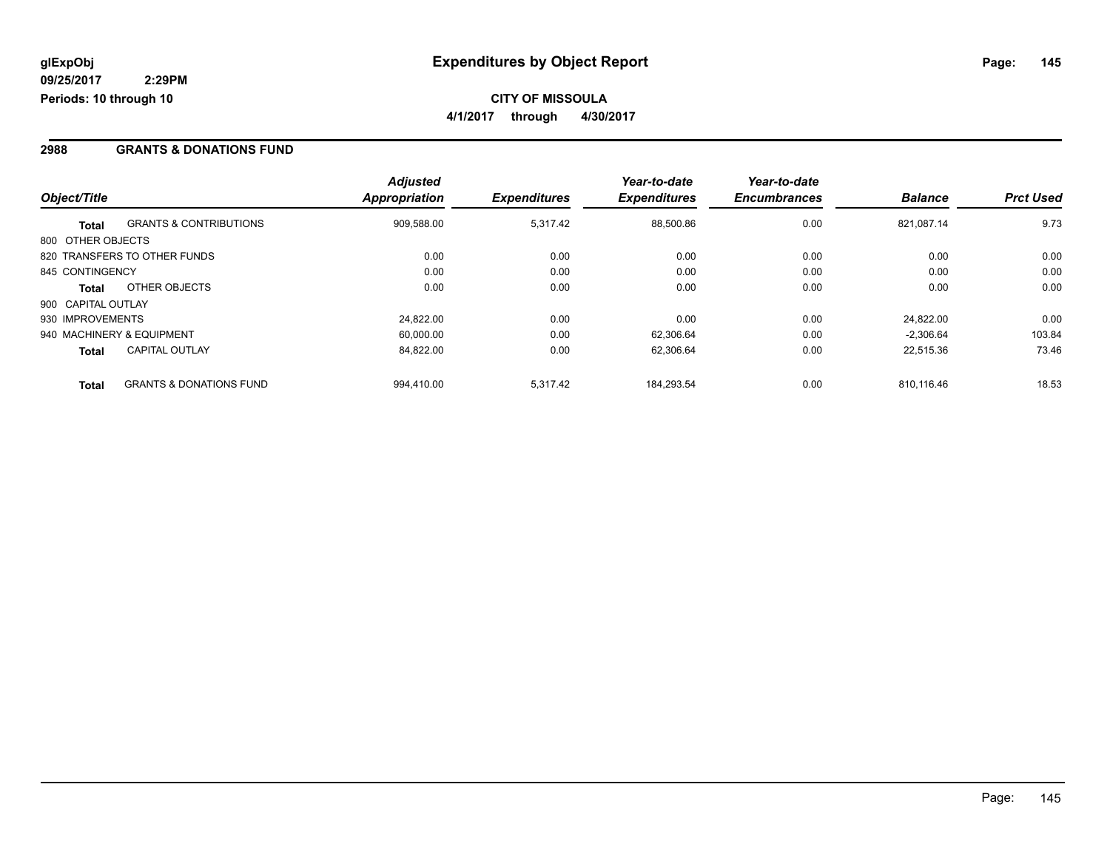### **2988 GRANTS & DONATIONS FUND**

|                    |                                    | <b>Adjusted</b> |                     | Year-to-date        | Year-to-date        |                |                  |
|--------------------|------------------------------------|-----------------|---------------------|---------------------|---------------------|----------------|------------------|
| Object/Title       |                                    | Appropriation   | <b>Expenditures</b> | <b>Expenditures</b> | <b>Encumbrances</b> | <b>Balance</b> | <b>Prct Used</b> |
| <b>Total</b>       | <b>GRANTS &amp; CONTRIBUTIONS</b>  | 909,588.00      | 5,317.42            | 88,500.86           | 0.00                | 821.087.14     | 9.73             |
| 800 OTHER OBJECTS  |                                    |                 |                     |                     |                     |                |                  |
|                    | 820 TRANSFERS TO OTHER FUNDS       | 0.00            | 0.00                | 0.00                | 0.00                | 0.00           | 0.00             |
| 845 CONTINGENCY    |                                    | 0.00            | 0.00                | 0.00                | 0.00                | 0.00           | 0.00             |
| <b>Total</b>       | OTHER OBJECTS                      | 0.00            | 0.00                | 0.00                | 0.00                | 0.00           | 0.00             |
| 900 CAPITAL OUTLAY |                                    |                 |                     |                     |                     |                |                  |
| 930 IMPROVEMENTS   |                                    | 24.822.00       | 0.00                | 0.00                | 0.00                | 24.822.00      | 0.00             |
|                    | 940 MACHINERY & EQUIPMENT          | 60,000.00       | 0.00                | 62,306.64           | 0.00                | $-2,306.64$    | 103.84           |
| <b>Total</b>       | <b>CAPITAL OUTLAY</b>              | 84,822.00       | 0.00                | 62,306.64           | 0.00                | 22.515.36      | 73.46            |
| <b>Total</b>       | <b>GRANTS &amp; DONATIONS FUND</b> | 994.410.00      | 5,317.42            | 184.293.54          | 0.00                | 810.116.46     | 18.53            |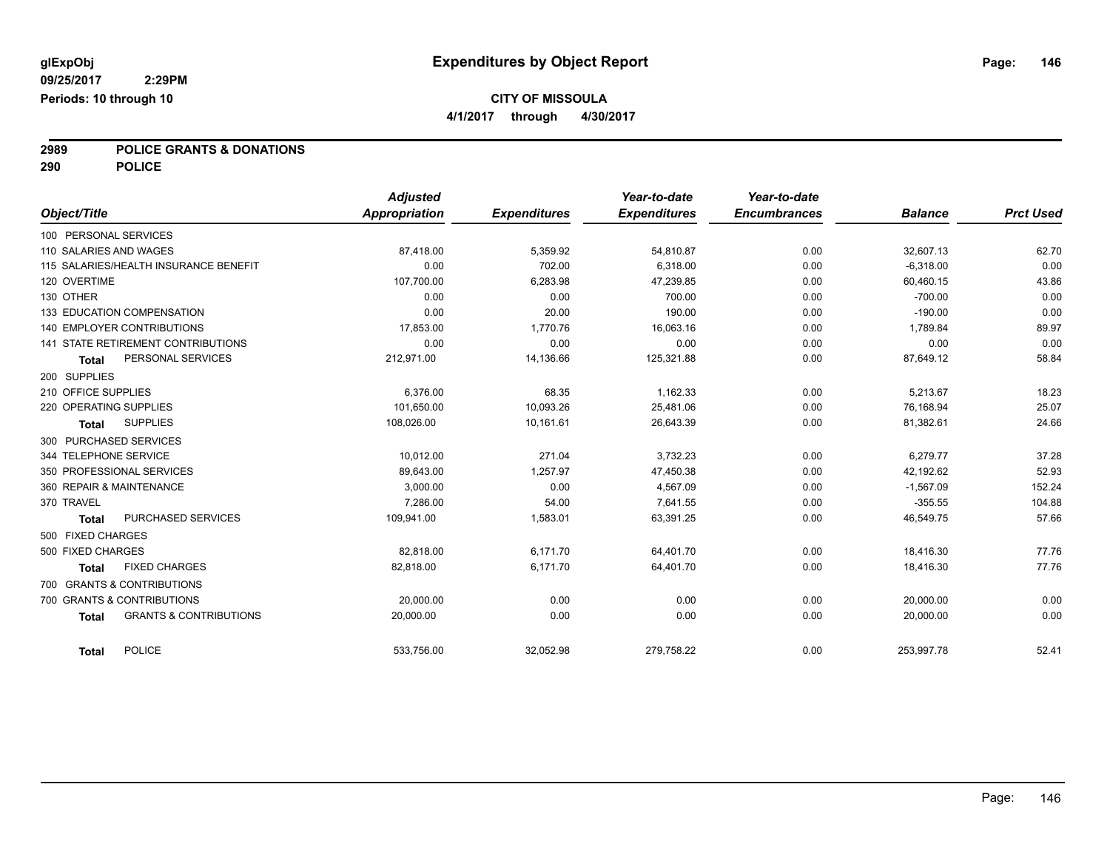**4/1/2017 through 4/30/2017**

**2989 POLICE GRANTS & DONATIONS**

**290 POLICE**

|                        |                                       | <b>Adjusted</b> |                     | Year-to-date        | Year-to-date        |                |                  |
|------------------------|---------------------------------------|-----------------|---------------------|---------------------|---------------------|----------------|------------------|
| Object/Title           |                                       | Appropriation   | <b>Expenditures</b> | <b>Expenditures</b> | <b>Encumbrances</b> | <b>Balance</b> | <b>Prct Used</b> |
| 100 PERSONAL SERVICES  |                                       |                 |                     |                     |                     |                |                  |
| 110 SALARIES AND WAGES |                                       | 87,418.00       | 5,359.92            | 54,810.87           | 0.00                | 32,607.13      | 62.70            |
|                        | 115 SALARIES/HEALTH INSURANCE BENEFIT | 0.00            | 702.00              | 6.318.00            | 0.00                | $-6,318.00$    | 0.00             |
| 120 OVERTIME           |                                       | 107,700.00      | 6,283.98            | 47,239.85           | 0.00                | 60,460.15      | 43.86            |
| 130 OTHER              |                                       | 0.00            | 0.00                | 700.00              | 0.00                | $-700.00$      | 0.00             |
|                        | 133 EDUCATION COMPENSATION            | 0.00            | 20.00               | 190.00              | 0.00                | $-190.00$      | 0.00             |
|                        | 140 EMPLOYER CONTRIBUTIONS            | 17,853.00       | 1,770.76            | 16,063.16           | 0.00                | 1,789.84       | 89.97            |
|                        | 141 STATE RETIREMENT CONTRIBUTIONS    | 0.00            | 0.00                | 0.00                | 0.00                | 0.00           | 0.00             |
| Total                  | PERSONAL SERVICES                     | 212,971.00      | 14,136.66           | 125,321.88          | 0.00                | 87,649.12      | 58.84            |
| 200 SUPPLIES           |                                       |                 |                     |                     |                     |                |                  |
| 210 OFFICE SUPPLIES    |                                       | 6.376.00        | 68.35               | 1,162.33            | 0.00                | 5,213.67       | 18.23            |
| 220 OPERATING SUPPLIES |                                       | 101.650.00      | 10,093.26           | 25.481.06           | 0.00                | 76.168.94      | 25.07            |
| <b>Total</b>           | <b>SUPPLIES</b>                       | 108,026.00      | 10,161.61           | 26,643.39           | 0.00                | 81,382.61      | 24.66            |
| 300 PURCHASED SERVICES |                                       |                 |                     |                     |                     |                |                  |
| 344 TELEPHONE SERVICE  |                                       | 10,012.00       | 271.04              | 3.732.23            | 0.00                | 6,279.77       | 37.28            |
|                        | 350 PROFESSIONAL SERVICES             | 89,643.00       | 1,257.97            | 47,450.38           | 0.00                | 42,192.62      | 52.93            |
|                        | 360 REPAIR & MAINTENANCE              | 3,000.00        | 0.00                | 4,567.09            | 0.00                | $-1,567.09$    | 152.24           |
| 370 TRAVEL             |                                       | 7.286.00        | 54.00               | 7.641.55            | 0.00                | $-355.55$      | 104.88           |
| <b>Total</b>           | PURCHASED SERVICES                    | 109,941.00      | 1,583.01            | 63,391.25           | 0.00                | 46,549.75      | 57.66            |
| 500 FIXED CHARGES      |                                       |                 |                     |                     |                     |                |                  |
| 500 FIXED CHARGES      |                                       | 82.818.00       | 6.171.70            | 64.401.70           | 0.00                | 18.416.30      | 77.76            |
| <b>Total</b>           | <b>FIXED CHARGES</b>                  | 82,818.00       | 6,171.70            | 64,401.70           | 0.00                | 18,416.30      | 77.76            |
|                        | 700 GRANTS & CONTRIBUTIONS            |                 |                     |                     |                     |                |                  |
|                        | 700 GRANTS & CONTRIBUTIONS            | 20.000.00       | 0.00                | 0.00                | 0.00                | 20,000.00      | 0.00             |
| <b>Total</b>           | <b>GRANTS &amp; CONTRIBUTIONS</b>     | 20,000.00       | 0.00                | 0.00                | 0.00                | 20,000.00      | 0.00             |
|                        |                                       |                 |                     |                     |                     |                |                  |
| Total                  | <b>POLICE</b>                         | 533,756.00      | 32,052.98           | 279,758.22          | 0.00                | 253,997.78     | 52.41            |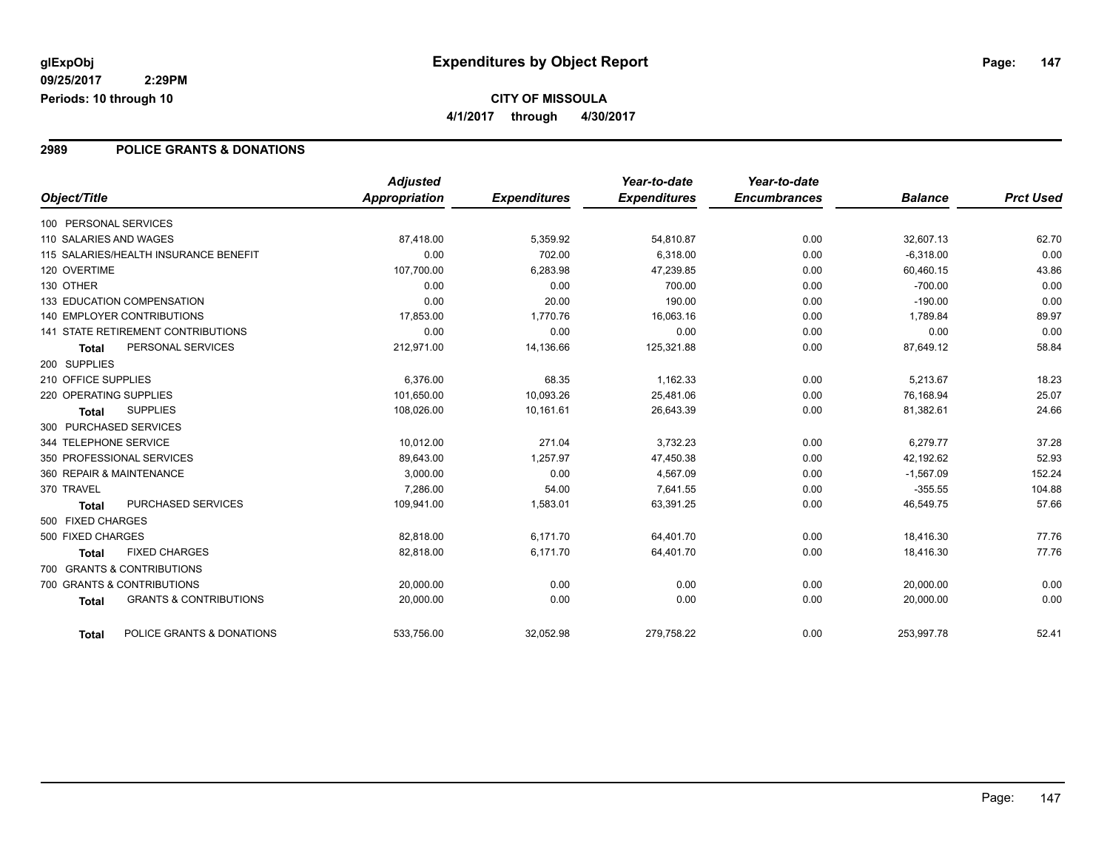### **2989 POLICE GRANTS & DONATIONS**

|                                                   | <b>Adjusted</b>      |                     | Year-to-date        | Year-to-date        |                |                  |
|---------------------------------------------------|----------------------|---------------------|---------------------|---------------------|----------------|------------------|
| Object/Title                                      | <b>Appropriation</b> | <b>Expenditures</b> | <b>Expenditures</b> | <b>Encumbrances</b> | <b>Balance</b> | <b>Prct Used</b> |
| 100 PERSONAL SERVICES                             |                      |                     |                     |                     |                |                  |
| 110 SALARIES AND WAGES                            | 87,418.00            | 5,359.92            | 54,810.87           | 0.00                | 32,607.13      | 62.70            |
| 115 SALARIES/HEALTH INSURANCE BENEFIT             | 0.00                 | 702.00              | 6,318.00            | 0.00                | $-6,318.00$    | 0.00             |
| 120 OVERTIME                                      | 107,700.00           | 6,283.98            | 47,239.85           | 0.00                | 60,460.15      | 43.86            |
| 130 OTHER                                         | 0.00                 | 0.00                | 700.00              | 0.00                | $-700.00$      | 0.00             |
| 133 EDUCATION COMPENSATION                        | 0.00                 | 20.00               | 190.00              | 0.00                | $-190.00$      | 0.00             |
| <b>140 EMPLOYER CONTRIBUTIONS</b>                 | 17,853.00            | 1,770.76            | 16,063.16           | 0.00                | 1,789.84       | 89.97            |
| <b>141 STATE RETIREMENT CONTRIBUTIONS</b>         | 0.00                 | 0.00                | 0.00                | 0.00                | 0.00           | 0.00             |
| PERSONAL SERVICES<br>Total                        | 212,971.00           | 14,136.66           | 125,321.88          | 0.00                | 87,649.12      | 58.84            |
| 200 SUPPLIES                                      |                      |                     |                     |                     |                |                  |
| 210 OFFICE SUPPLIES                               | 6,376.00             | 68.35               | 1,162.33            | 0.00                | 5,213.67       | 18.23            |
| 220 OPERATING SUPPLIES                            | 101,650.00           | 10,093.26           | 25,481.06           | 0.00                | 76,168.94      | 25.07            |
| <b>SUPPLIES</b><br><b>Total</b>                   | 108,026.00           | 10,161.61           | 26,643.39           | 0.00                | 81,382.61      | 24.66            |
| 300 PURCHASED SERVICES                            |                      |                     |                     |                     |                |                  |
| 344 TELEPHONE SERVICE                             | 10,012.00            | 271.04              | 3,732.23            | 0.00                | 6,279.77       | 37.28            |
| 350 PROFESSIONAL SERVICES                         | 89,643.00            | 1,257.97            | 47,450.38           | 0.00                | 42,192.62      | 52.93            |
| 360 REPAIR & MAINTENANCE                          | 3,000.00             | 0.00                | 4,567.09            | 0.00                | $-1,567.09$    | 152.24           |
| 370 TRAVEL                                        | 7,286.00             | 54.00               | 7,641.55            | 0.00                | $-355.55$      | 104.88           |
| PURCHASED SERVICES<br>Total                       | 109,941.00           | 1,583.01            | 63,391.25           | 0.00                | 46,549.75      | 57.66            |
| 500 FIXED CHARGES                                 |                      |                     |                     |                     |                |                  |
| 500 FIXED CHARGES                                 | 82,818.00            | 6,171.70            | 64,401.70           | 0.00                | 18,416.30      | 77.76            |
| <b>FIXED CHARGES</b><br><b>Total</b>              | 82.818.00            | 6.171.70            | 64,401.70           | 0.00                | 18,416.30      | 77.76            |
| 700 GRANTS & CONTRIBUTIONS                        |                      |                     |                     |                     |                |                  |
| 700 GRANTS & CONTRIBUTIONS                        | 20,000.00            | 0.00                | 0.00                | 0.00                | 20.000.00      | 0.00             |
| <b>GRANTS &amp; CONTRIBUTIONS</b><br><b>Total</b> | 20,000.00            | 0.00                | 0.00                | 0.00                | 20,000.00      | 0.00             |
| POLICE GRANTS & DONATIONS<br><b>Total</b>         | 533,756.00           | 32,052.98           | 279,758.22          | 0.00                | 253,997.78     | 52.41            |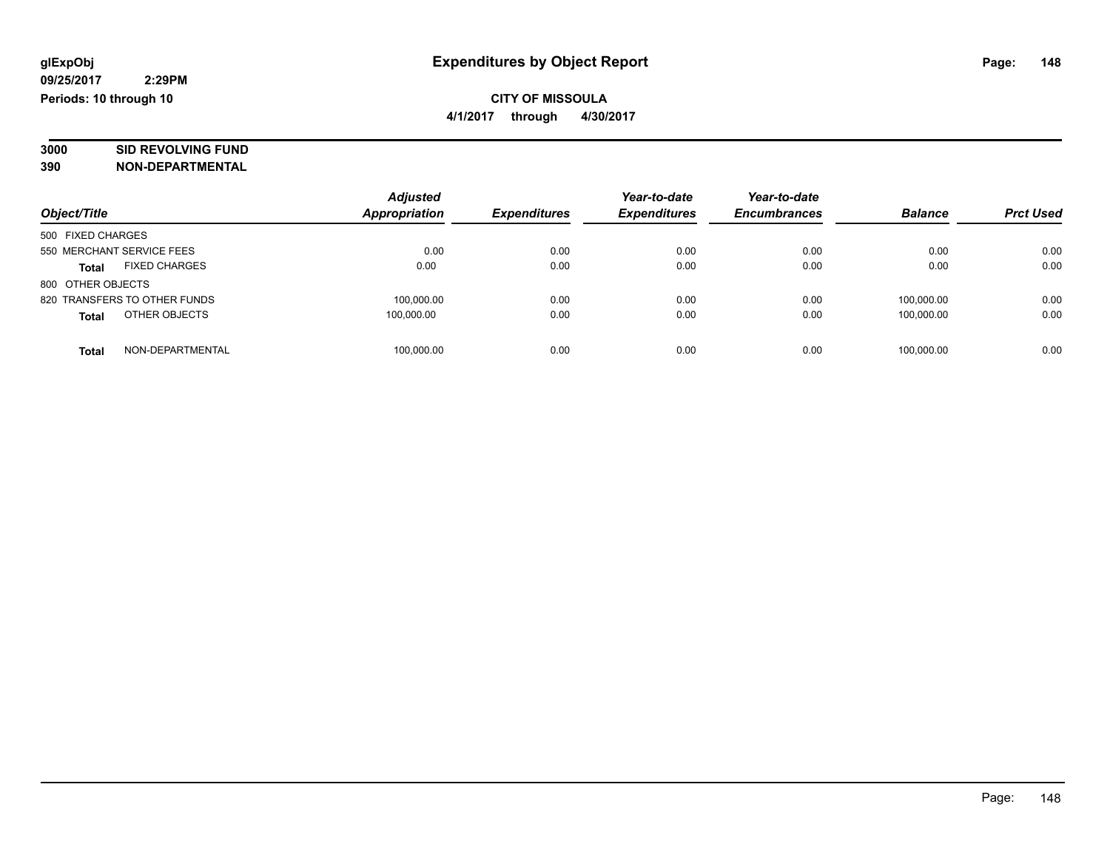# **3000 SID REVOLVING FUND**

|                                      | <b>Adjusted</b>      |                     | Year-to-date        | Year-to-date        |                |                  |
|--------------------------------------|----------------------|---------------------|---------------------|---------------------|----------------|------------------|
| Object/Title                         | <b>Appropriation</b> | <b>Expenditures</b> | <b>Expenditures</b> | <b>Encumbrances</b> | <b>Balance</b> | <b>Prct Used</b> |
| 500 FIXED CHARGES                    |                      |                     |                     |                     |                |                  |
| 550 MERCHANT SERVICE FEES            | 0.00                 | 0.00                | 0.00                | 0.00                | 0.00           | 0.00             |
| <b>FIXED CHARGES</b><br><b>Total</b> | 0.00                 | 0.00                | 0.00                | 0.00                | 0.00           | 0.00             |
| 800 OTHER OBJECTS                    |                      |                     |                     |                     |                |                  |
| 820 TRANSFERS TO OTHER FUNDS         | 100,000.00           | 0.00                | 0.00                | 0.00                | 100.000.00     | 0.00             |
| OTHER OBJECTS<br><b>Total</b>        | 100.000.00           | 0.00                | 0.00                | 0.00                | 100.000.00     | 0.00             |
| NON-DEPARTMENTAL<br>Total            | 100,000.00           | 0.00                | 0.00                | 0.00                | 100.000.00     | 0.00             |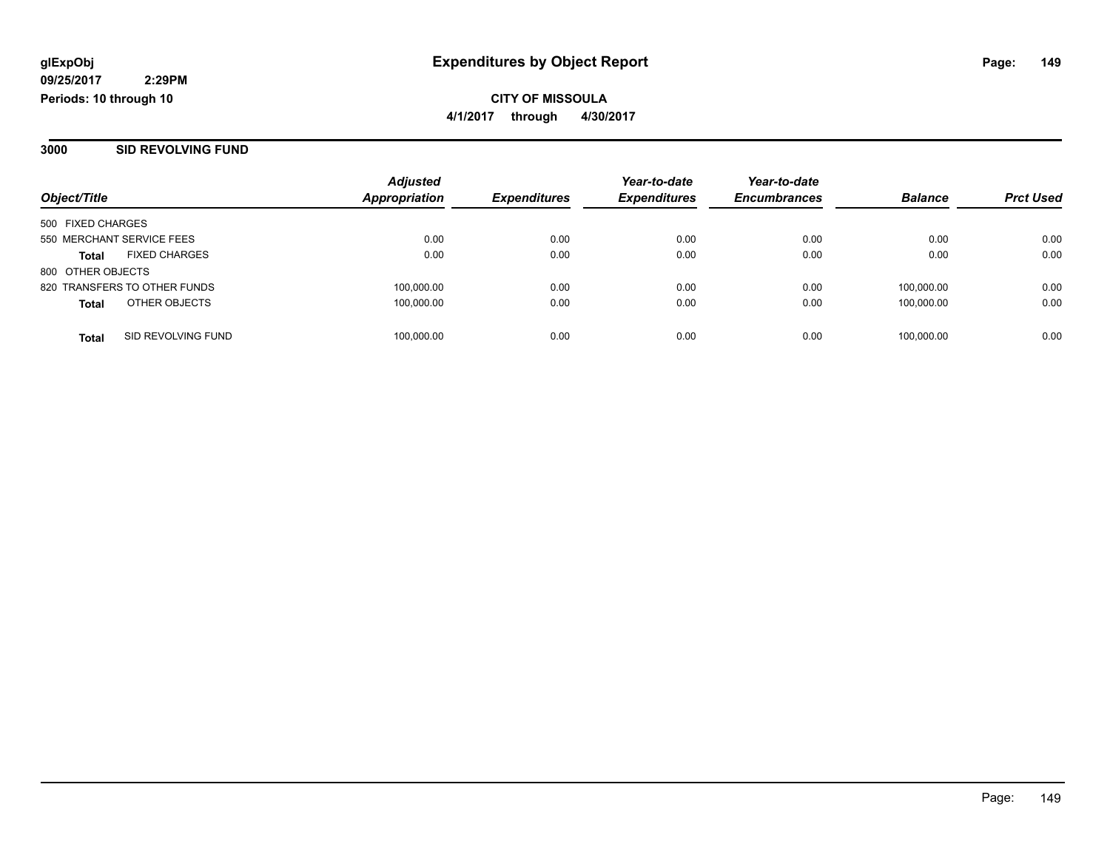#### **3000 SID REVOLVING FUND**

|                                      | <b>Adjusted</b>      |                     | Year-to-date        | Year-to-date        |                |                  |
|--------------------------------------|----------------------|---------------------|---------------------|---------------------|----------------|------------------|
| Object/Title                         | <b>Appropriation</b> | <b>Expenditures</b> | <b>Expenditures</b> | <b>Encumbrances</b> | <b>Balance</b> | <b>Prct Used</b> |
| 500 FIXED CHARGES                    |                      |                     |                     |                     |                |                  |
| 550 MERCHANT SERVICE FEES            | 0.00                 | 0.00                | 0.00                | 0.00                | 0.00           | 0.00             |
| <b>FIXED CHARGES</b><br><b>Total</b> | 0.00                 | 0.00                | 0.00                | 0.00                | 0.00           | 0.00             |
| 800 OTHER OBJECTS                    |                      |                     |                     |                     |                |                  |
| 820 TRANSFERS TO OTHER FUNDS         | 100,000.00           | 0.00                | 0.00                | 0.00                | 100.000.00     | 0.00             |
| OTHER OBJECTS<br><b>Total</b>        | 100.000.00           | 0.00                | 0.00                | 0.00                | 100.000.00     | 0.00             |
| SID REVOLVING FUND<br><b>Total</b>   | 100,000.00           | 0.00                | 0.00                | 0.00                | 100,000.00     | 0.00             |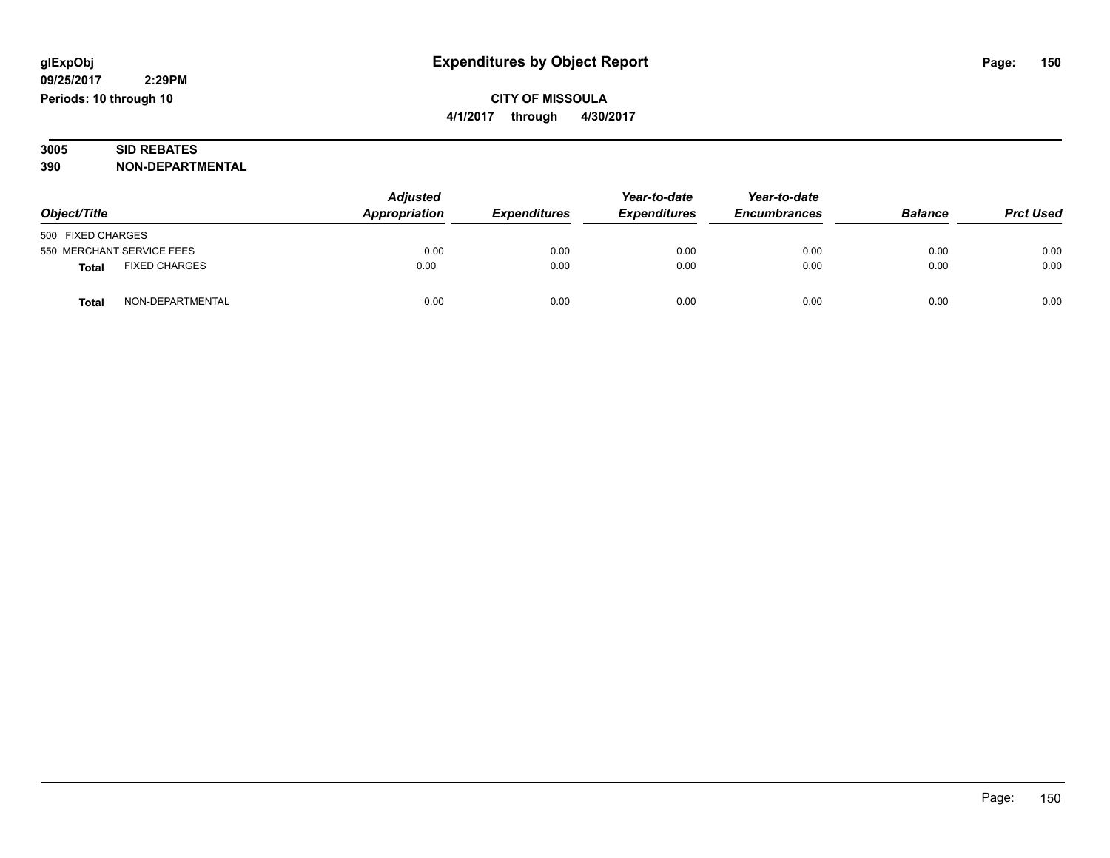### **3005 SID REBATES 390 NON-DEPARTMENTAL**

| Object/Title                         | <b>Adjusted</b><br>Appropriation | <b>Expenditures</b> | Year-to-date<br><b>Expenditures</b> | Year-to-date<br><b>Encumbrances</b> | <b>Balance</b> | <b>Prct Used</b> |
|--------------------------------------|----------------------------------|---------------------|-------------------------------------|-------------------------------------|----------------|------------------|
| 500 FIXED CHARGES                    |                                  |                     |                                     |                                     |                |                  |
| 550 MERCHANT SERVICE FEES            | 0.00                             | 0.00                | 0.00                                | 0.00                                | 0.00           | 0.00             |
| <b>FIXED CHARGES</b><br><b>Total</b> | 0.00                             | 0.00                | 0.00                                | 0.00                                | 0.00           | 0.00             |
| NON-DEPARTMENTAL<br><b>Total</b>     | 0.00                             | 0.00                | 0.00                                | 0.00                                | 0.00           | 0.00             |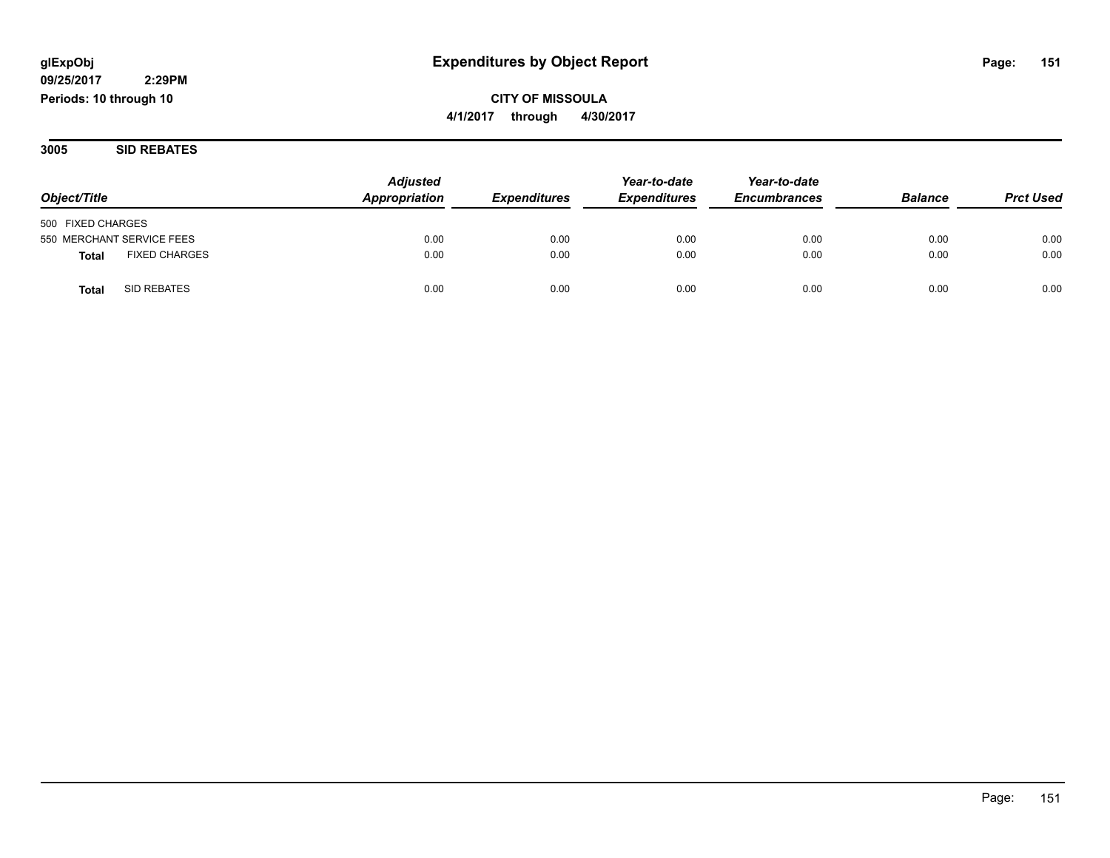**CITY OF MISSOULA 4/1/2017 through 4/30/2017**

**3005 SID REBATES**

| Object/Title                         | <b>Adjusted</b><br>Appropriation | <b>Expenditures</b> | Year-to-date<br><b>Expenditures</b> | Year-to-date<br><b>Encumbrances</b> | <b>Balance</b> | <b>Prct Used</b> |
|--------------------------------------|----------------------------------|---------------------|-------------------------------------|-------------------------------------|----------------|------------------|
|                                      |                                  |                     |                                     |                                     |                |                  |
| 500 FIXED CHARGES                    |                                  |                     |                                     |                                     |                |                  |
| 550 MERCHANT SERVICE FEES            | 0.00                             | 0.00                | 0.00                                | 0.00                                | 0.00           | 0.00             |
| <b>FIXED CHARGES</b><br><b>Total</b> | 0.00                             | 0.00                | 0.00                                | 0.00                                | 0.00           | 0.00             |
| SID REBATES<br>Total                 | 0.00                             | 0.00                | 0.00                                | 0.00                                | 0.00           | 0.00             |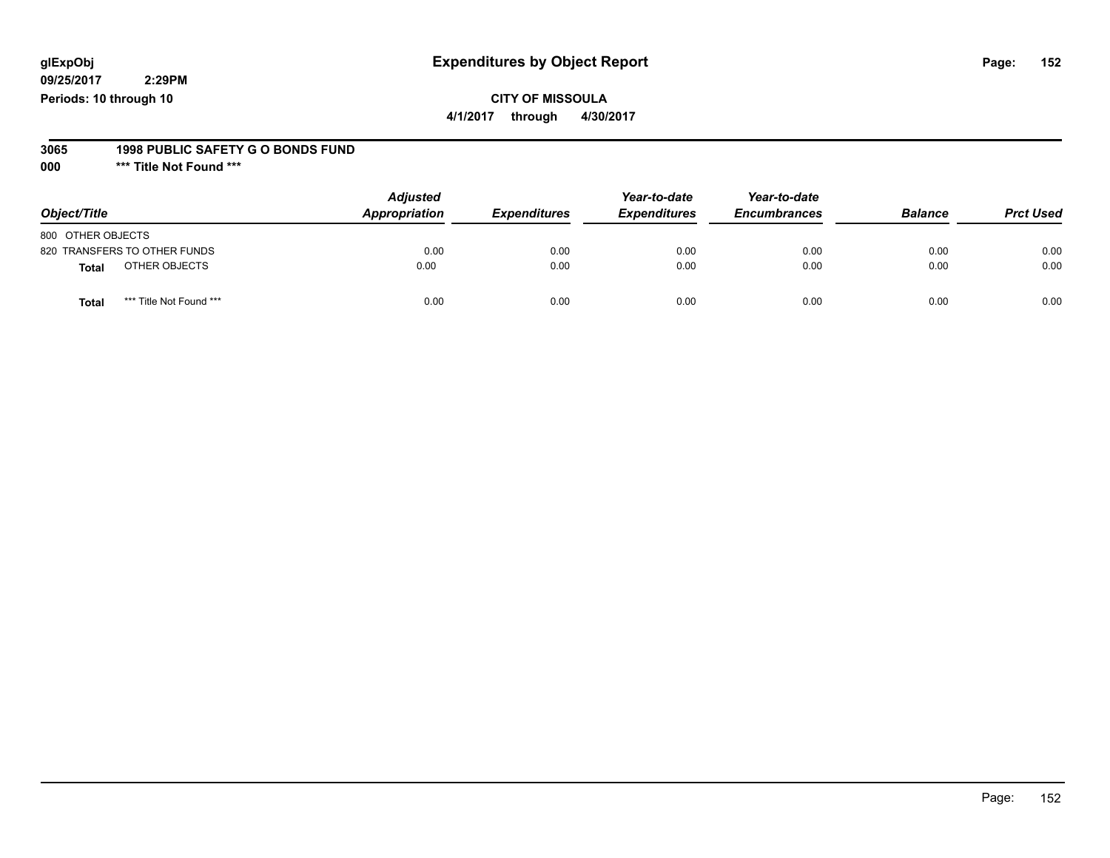### **CITY OF MISSOULA**

**4/1/2017 through 4/30/2017**

#### **3065 1998 PUBLIC SAFETY G O BONDS FUND**

**000 \*\*\* Title Not Found \*\*\***

| Object/Title                            | <b>Adjusted</b><br>Appropriation | <b>Expenditures</b> | Year-to-date<br><b>Expenditures</b> | Year-to-date<br><b>Encumbrances</b> | <b>Balance</b> | <b>Prct Used</b> |
|-----------------------------------------|----------------------------------|---------------------|-------------------------------------|-------------------------------------|----------------|------------------|
| 800 OTHER OBJECTS                       |                                  |                     |                                     |                                     |                |                  |
| 820 TRANSFERS TO OTHER FUNDS            | 0.00                             | 0.00                | 0.00                                | 0.00                                | 0.00           | 0.00             |
| OTHER OBJECTS<br><b>Total</b>           | 0.00                             | 0.00                | 0.00                                | 0.00                                | 0.00           | 0.00             |
| *** Title Not Found ***<br><b>Total</b> | 0.00                             | 0.00                | 0.00                                | 0.00                                | 0.00           | 0.00             |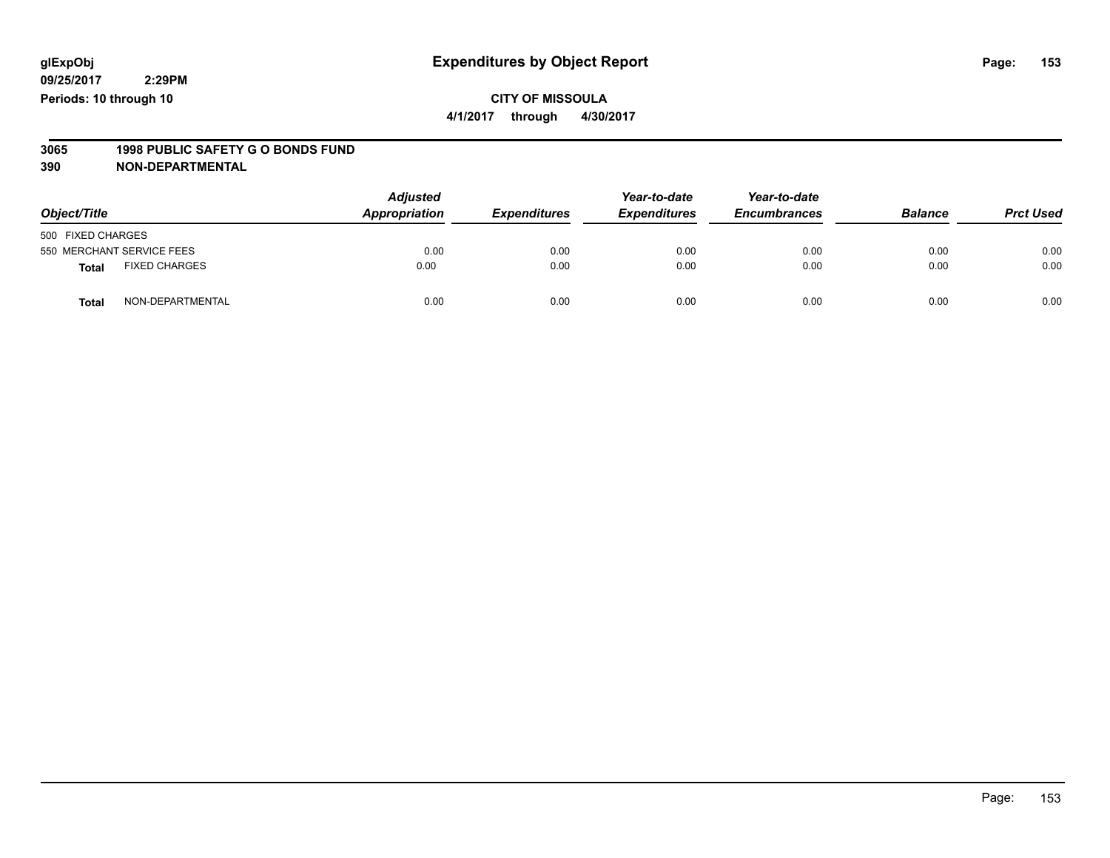### **CITY OF MISSOULA 4/1/2017 through 4/30/2017**

# **3065 1998 PUBLIC SAFETY G O BONDS FUND**

| Object/Title      |                           | <b>Adjusted</b><br>Appropriation | <b>Expenditures</b> | Year-to-date<br><b>Expenditures</b> | Year-to-date<br><b>Encumbrances</b> | <b>Balance</b> | <b>Prct Used</b> |
|-------------------|---------------------------|----------------------------------|---------------------|-------------------------------------|-------------------------------------|----------------|------------------|
| 500 FIXED CHARGES |                           |                                  |                     |                                     |                                     |                |                  |
|                   | 550 MERCHANT SERVICE FEES | 0.00                             | 0.00                | 0.00                                | 0.00                                | 0.00           | 0.00             |
| <b>Total</b>      | <b>FIXED CHARGES</b>      | 0.00                             | 0.00                | 0.00                                | 0.00                                | 0.00           | 0.00             |
| <b>Total</b>      | NON-DEPARTMENTAL          | 0.00                             | 0.00                | 0.00                                | 0.00                                | 0.00           | 0.00             |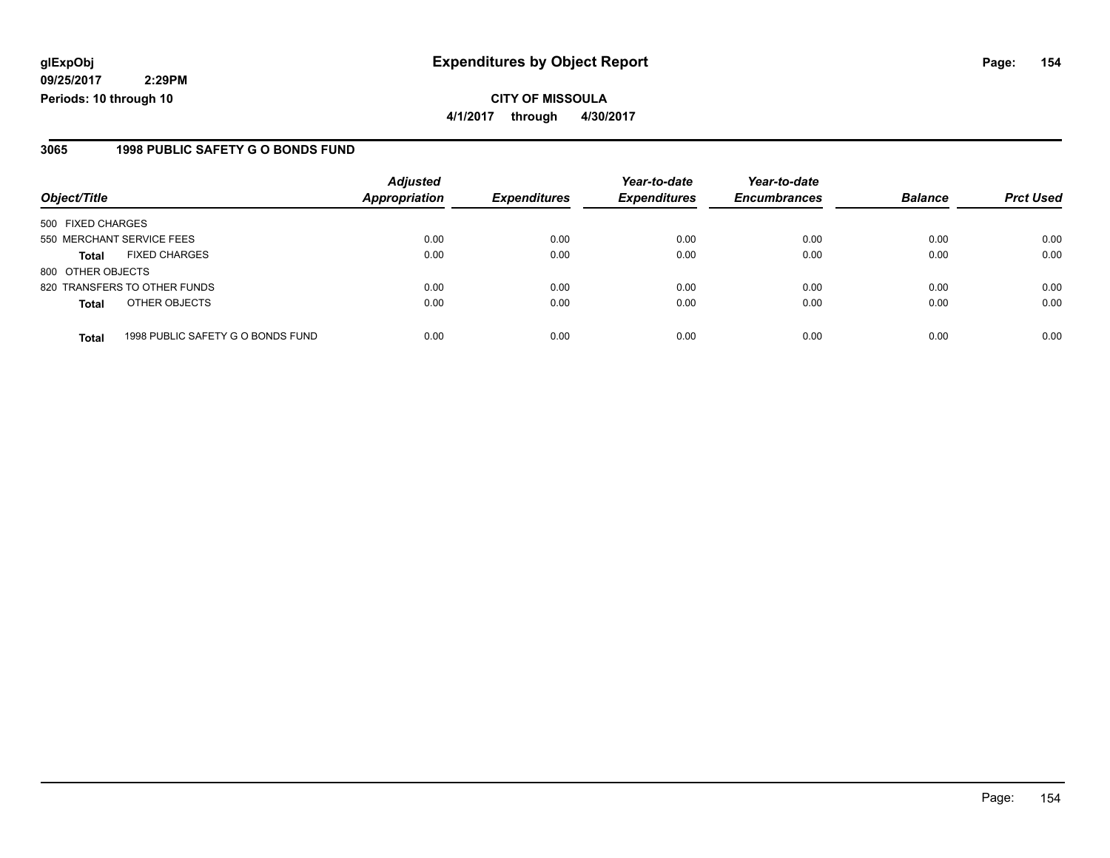**CITY OF MISSOULA 4/1/2017 through 4/30/2017**

### **3065 1998 PUBLIC SAFETY G O BONDS FUND**

| Object/Title              |                                   | <b>Adjusted</b><br><b>Appropriation</b> |                     | Year-to-date        | Year-to-date<br><b>Encumbrances</b> | <b>Balance</b> |                  |
|---------------------------|-----------------------------------|-----------------------------------------|---------------------|---------------------|-------------------------------------|----------------|------------------|
|                           |                                   |                                         | <b>Expenditures</b> | <b>Expenditures</b> |                                     |                | <b>Prct Used</b> |
| 500 FIXED CHARGES         |                                   |                                         |                     |                     |                                     |                |                  |
| 550 MERCHANT SERVICE FEES |                                   | 0.00                                    | 0.00                | 0.00                | 0.00                                | 0.00           | 0.00             |
| <b>Total</b>              | <b>FIXED CHARGES</b>              | 0.00                                    | 0.00                | 0.00                | 0.00                                | 0.00           | 0.00             |
| 800 OTHER OBJECTS         |                                   |                                         |                     |                     |                                     |                |                  |
|                           | 820 TRANSFERS TO OTHER FUNDS      | 0.00                                    | 0.00                | 0.00                | 0.00                                | 0.00           | 0.00             |
| <b>Total</b>              | OTHER OBJECTS                     | 0.00                                    | 0.00                | 0.00                | 0.00                                | 0.00           | 0.00             |
| <b>Total</b>              | 1998 PUBLIC SAFETY G O BONDS FUND | 0.00                                    | 0.00                | 0.00                | 0.00                                | 0.00           | 0.00             |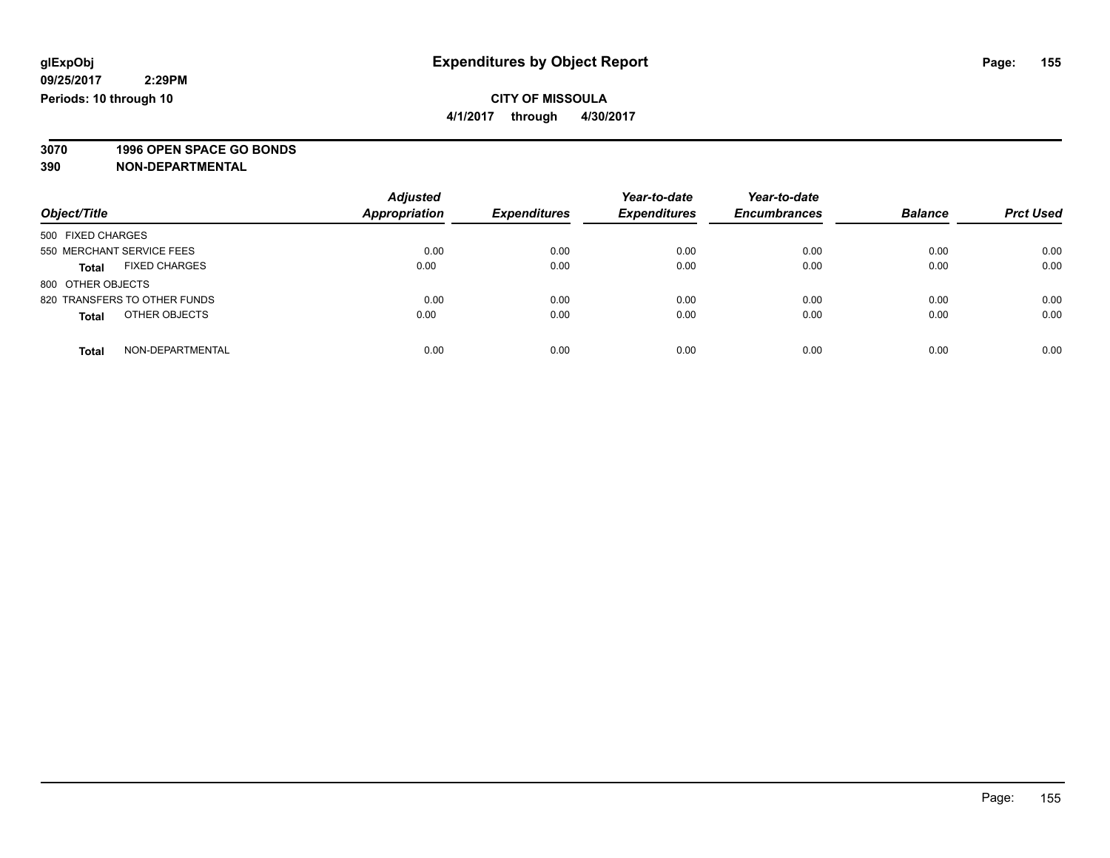**4/1/2017 through 4/30/2017**

# **3070 1996 OPEN SPACE GO BONDS**

| Object/Title                         | <b>Adjusted</b><br>Appropriation | <b>Expenditures</b> | Year-to-date<br><b>Expenditures</b> | Year-to-date<br><b>Encumbrances</b> | <b>Balance</b> | <b>Prct Used</b> |
|--------------------------------------|----------------------------------|---------------------|-------------------------------------|-------------------------------------|----------------|------------------|
| 500 FIXED CHARGES                    |                                  |                     |                                     |                                     |                |                  |
| 550 MERCHANT SERVICE FEES            | 0.00                             | 0.00                | 0.00                                | 0.00                                | 0.00           | 0.00             |
| <b>FIXED CHARGES</b><br><b>Total</b> | 0.00                             | 0.00                | 0.00                                | 0.00                                | 0.00           | 0.00             |
| 800 OTHER OBJECTS                    |                                  |                     |                                     |                                     |                |                  |
| 820 TRANSFERS TO OTHER FUNDS         | 0.00                             | 0.00                | 0.00                                | 0.00                                | 0.00           | 0.00             |
| OTHER OBJECTS<br><b>Total</b>        | 0.00                             | 0.00                | 0.00                                | 0.00                                | 0.00           | 0.00             |
| NON-DEPARTMENTAL<br><b>Total</b>     | 0.00                             | 0.00                | 0.00                                | 0.00                                | 0.00           | 0.00             |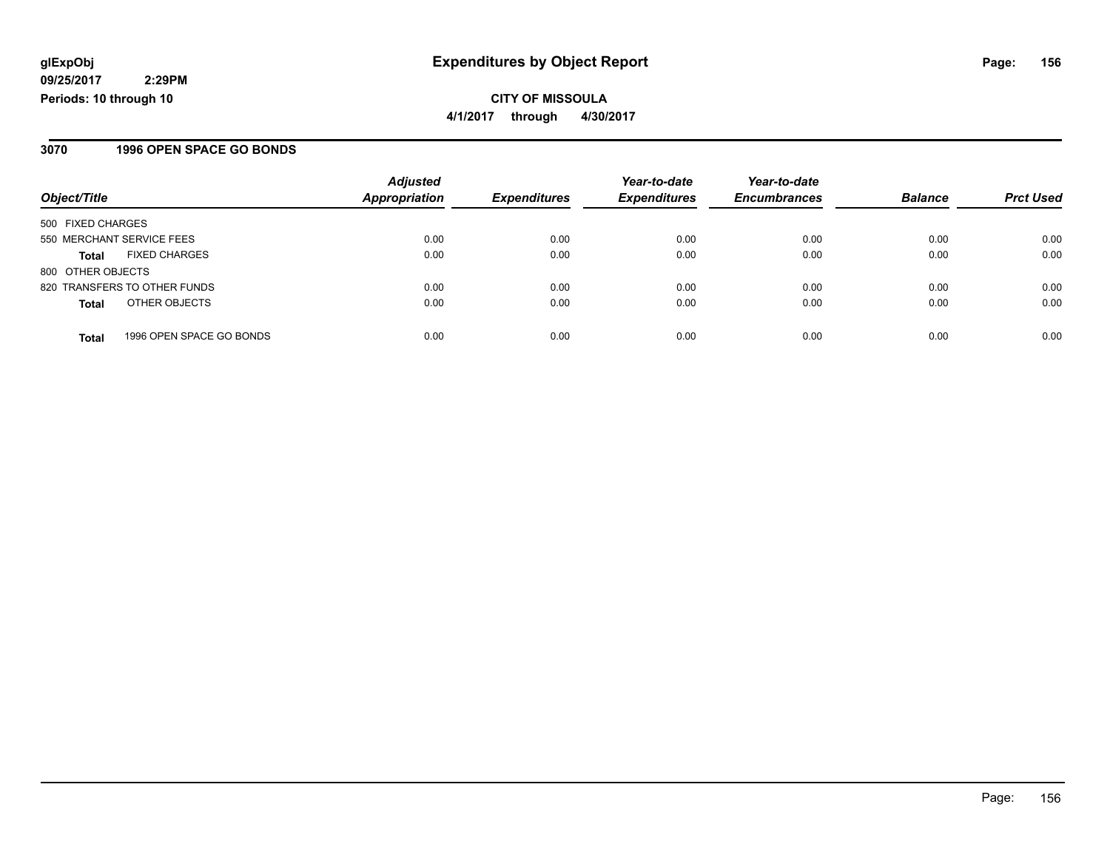**CITY OF MISSOULA 4/1/2017 through 4/30/2017**

### **3070 1996 OPEN SPACE GO BONDS**

| Object/Title              |                              | <b>Adjusted</b><br><b>Appropriation</b> | <b>Expenditures</b> | Year-to-date<br><b>Expenditures</b> | Year-to-date<br><b>Encumbrances</b> | <b>Balance</b> |                  |
|---------------------------|------------------------------|-----------------------------------------|---------------------|-------------------------------------|-------------------------------------|----------------|------------------|
|                           |                              |                                         |                     |                                     |                                     |                | <b>Prct Used</b> |
| 500 FIXED CHARGES         |                              |                                         |                     |                                     |                                     |                |                  |
| 550 MERCHANT SERVICE FEES |                              | 0.00                                    | 0.00                | 0.00                                | 0.00                                | 0.00           | 0.00             |
| <b>Total</b>              | <b>FIXED CHARGES</b>         | 0.00                                    | 0.00                | 0.00                                | 0.00                                | 0.00           | 0.00             |
| 800 OTHER OBJECTS         |                              |                                         |                     |                                     |                                     |                |                  |
|                           | 820 TRANSFERS TO OTHER FUNDS | 0.00                                    | 0.00                | 0.00                                | 0.00                                | 0.00           | 0.00             |
| <b>Total</b>              | OTHER OBJECTS                | 0.00                                    | 0.00                | 0.00                                | 0.00                                | 0.00           | 0.00             |
| <b>Total</b>              | 1996 OPEN SPACE GO BONDS     | 0.00                                    | 0.00                | 0.00                                | 0.00                                | 0.00           | 0.00             |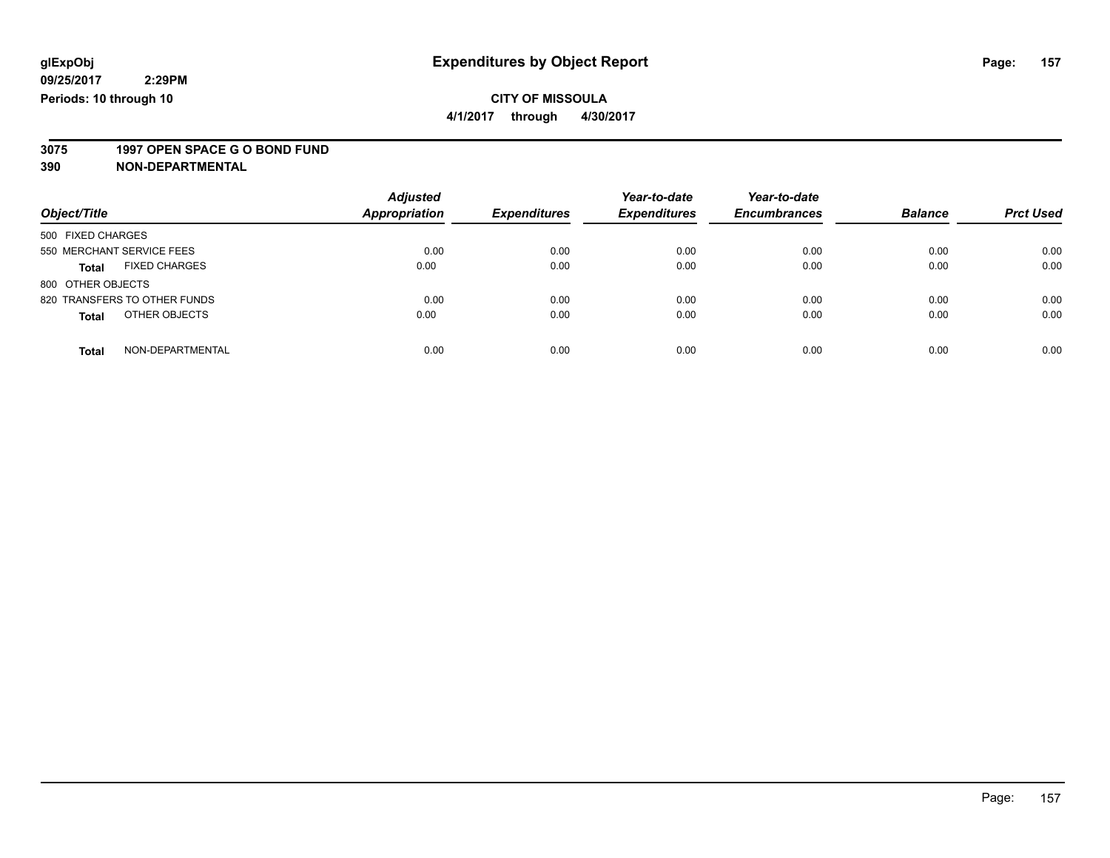**4/1/2017 through 4/30/2017**

# **3075 1997 OPEN SPACE G O BOND FUND**

| Object/Title                         | <b>Adjusted</b><br><b>Appropriation</b> | <b>Expenditures</b> | Year-to-date<br><b>Expenditures</b> | Year-to-date<br><b>Encumbrances</b> | <b>Balance</b> | <b>Prct Used</b> |
|--------------------------------------|-----------------------------------------|---------------------|-------------------------------------|-------------------------------------|----------------|------------------|
| 500 FIXED CHARGES                    |                                         |                     |                                     |                                     |                |                  |
| 550 MERCHANT SERVICE FEES            | 0.00                                    | 0.00                | 0.00                                | 0.00                                | 0.00           | 0.00             |
| <b>FIXED CHARGES</b><br><b>Total</b> | 0.00                                    | 0.00                | 0.00                                | 0.00                                | 0.00           | 0.00             |
| 800 OTHER OBJECTS                    |                                         |                     |                                     |                                     |                |                  |
| 820 TRANSFERS TO OTHER FUNDS         | 0.00                                    | 0.00                | 0.00                                | 0.00                                | 0.00           | 0.00             |
| OTHER OBJECTS<br><b>Total</b>        | 0.00                                    | 0.00                | 0.00                                | 0.00                                | 0.00           | 0.00             |
| NON-DEPARTMENTAL<br><b>Total</b>     | 0.00                                    | 0.00                | 0.00                                | 0.00                                | 0.00           | 0.00             |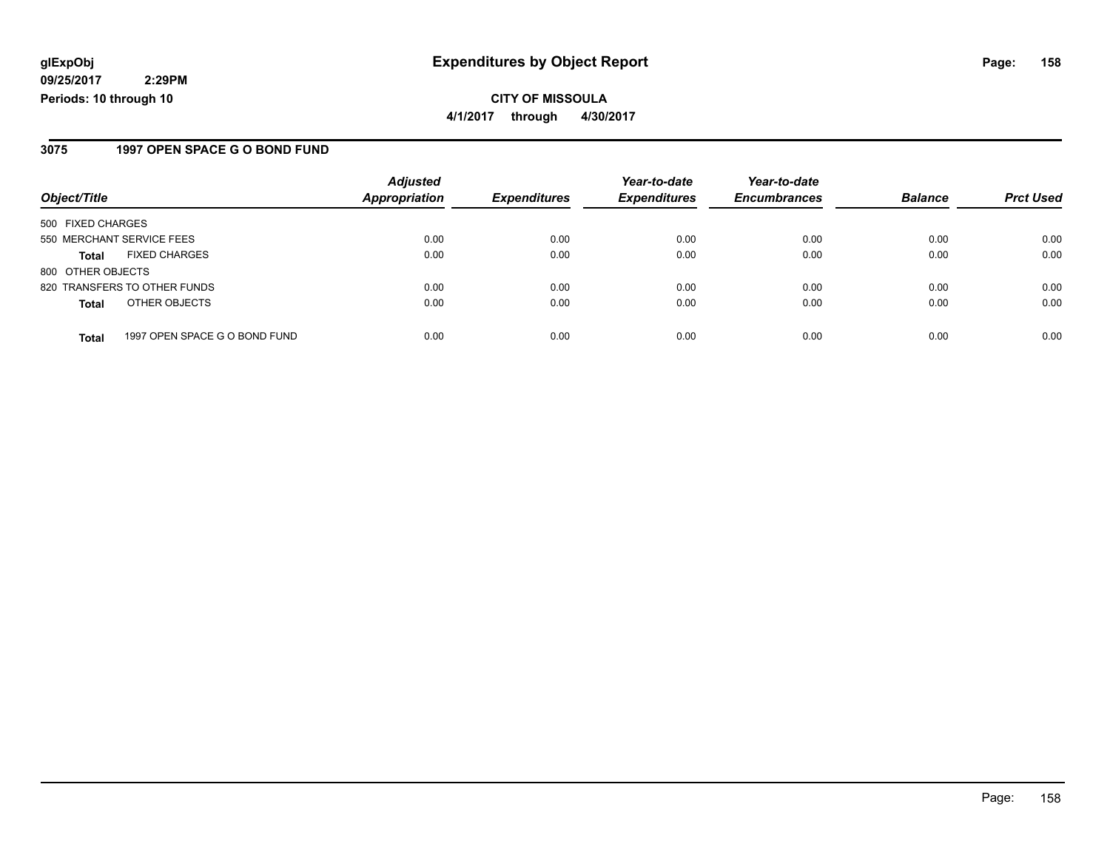**CITY OF MISSOULA 4/1/2017 through 4/30/2017**

### **3075 1997 OPEN SPACE G O BOND FUND**

| Object/Title              |                               | <b>Adjusted</b><br><b>Appropriation</b> | <b>Expenditures</b> | Year-to-date<br><b>Expenditures</b> | Year-to-date<br><b>Encumbrances</b> | <b>Balance</b> | <b>Prct Used</b> |
|---------------------------|-------------------------------|-----------------------------------------|---------------------|-------------------------------------|-------------------------------------|----------------|------------------|
|                           |                               |                                         |                     |                                     |                                     |                |                  |
| 550 MERCHANT SERVICE FEES |                               | 0.00                                    | 0.00                | 0.00                                | 0.00                                | 0.00           | 0.00             |
| <b>Total</b>              | <b>FIXED CHARGES</b>          | 0.00                                    | 0.00                | 0.00                                | 0.00                                | 0.00           | 0.00             |
| 800 OTHER OBJECTS         |                               |                                         |                     |                                     |                                     |                |                  |
|                           | 820 TRANSFERS TO OTHER FUNDS  | 0.00                                    | 0.00                | 0.00                                | 0.00                                | 0.00           | 0.00             |
| <b>Total</b>              | OTHER OBJECTS                 | 0.00                                    | 0.00                | 0.00                                | 0.00                                | 0.00           | 0.00             |
| <b>Total</b>              | 1997 OPEN SPACE G O BOND FUND | 0.00                                    | 0.00                | 0.00                                | 0.00                                | 0.00           | 0.00             |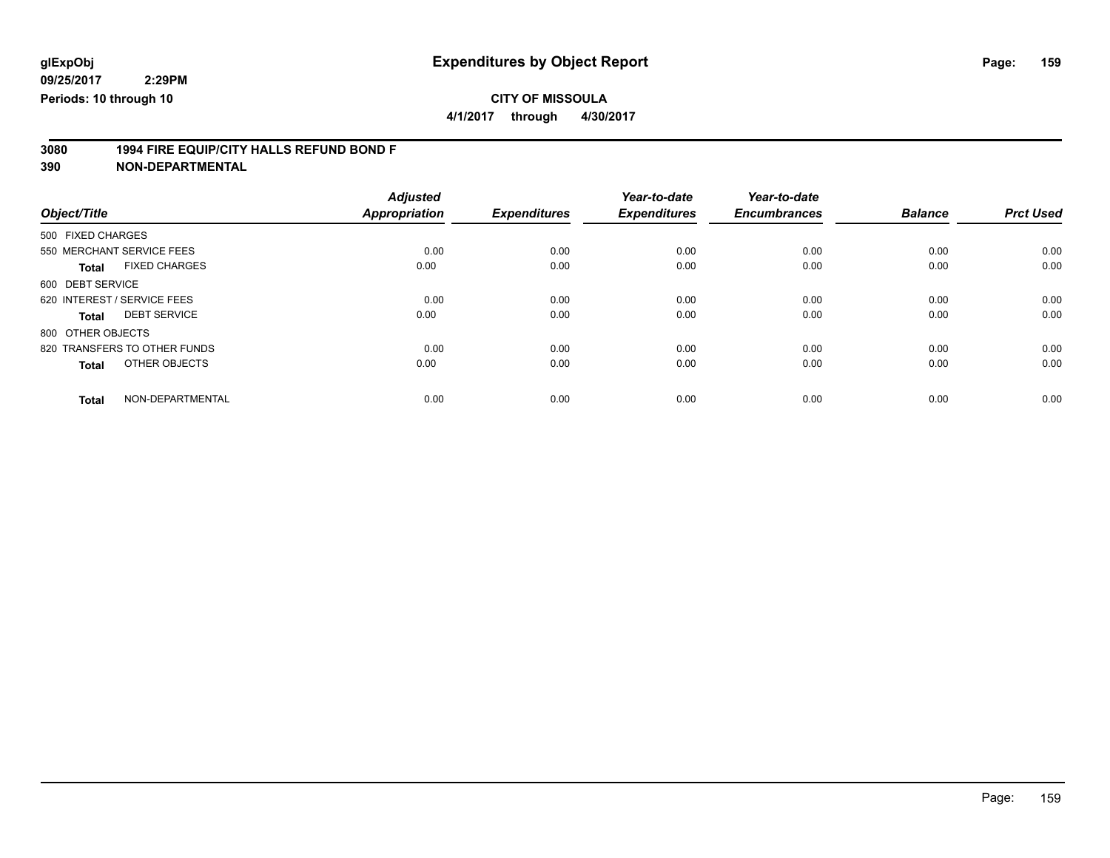**4/1/2017 through 4/30/2017**

# **3080 1994 FIRE EQUIP/CITY HALLS REFUND BOND F**

|                                      | <b>Adjusted</b> |                     | Year-to-date        | Year-to-date        |                |                  |
|--------------------------------------|-----------------|---------------------|---------------------|---------------------|----------------|------------------|
| Object/Title                         | Appropriation   | <b>Expenditures</b> | <b>Expenditures</b> | <b>Encumbrances</b> | <b>Balance</b> | <b>Prct Used</b> |
| 500 FIXED CHARGES                    |                 |                     |                     |                     |                |                  |
| 550 MERCHANT SERVICE FEES            | 0.00            | 0.00                | 0.00                | 0.00                | 0.00           | 0.00             |
| <b>FIXED CHARGES</b><br><b>Total</b> | 0.00            | 0.00                | 0.00                | 0.00                | 0.00           | 0.00             |
| 600 DEBT SERVICE                     |                 |                     |                     |                     |                |                  |
| 620 INTEREST / SERVICE FEES          | 0.00            | 0.00                | 0.00                | 0.00                | 0.00           | 0.00             |
| <b>DEBT SERVICE</b><br>Total         | 0.00            | 0.00                | 0.00                | 0.00                | 0.00           | 0.00             |
| 800 OTHER OBJECTS                    |                 |                     |                     |                     |                |                  |
| 820 TRANSFERS TO OTHER FUNDS         | 0.00            | 0.00                | 0.00                | 0.00                | 0.00           | 0.00             |
| OTHER OBJECTS<br><b>Total</b>        | 0.00            | 0.00                | 0.00                | 0.00                | 0.00           | 0.00             |
|                                      |                 |                     |                     |                     |                |                  |
| NON-DEPARTMENTAL<br><b>Total</b>     | 0.00            | 0.00                | 0.00                | 0.00                | 0.00           | 0.00             |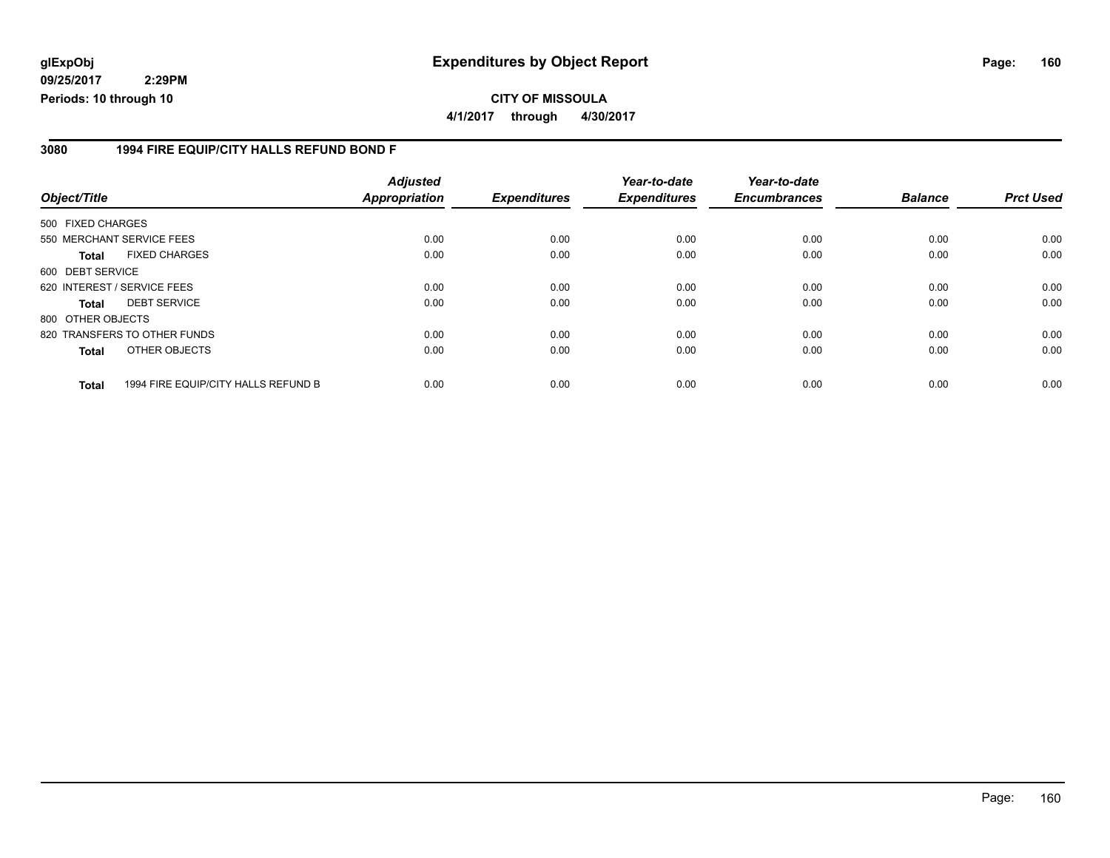### **glExpObj Expenditures by Object Report Page: 160**

**09/25/2017 2:29PM Periods: 10 through 10**

**CITY OF MISSOULA 4/1/2017 through 4/30/2017**

#### **3080 1994 FIRE EQUIP/CITY HALLS REFUND BOND F**

| Object/Title      |                                     | <b>Adjusted</b><br>Appropriation | <b>Expenditures</b> | Year-to-date<br><b>Expenditures</b> | Year-to-date<br><b>Encumbrances</b> | <b>Balance</b> | <b>Prct Used</b> |
|-------------------|-------------------------------------|----------------------------------|---------------------|-------------------------------------|-------------------------------------|----------------|------------------|
|                   |                                     |                                  |                     |                                     |                                     |                |                  |
| 500 FIXED CHARGES |                                     |                                  |                     |                                     |                                     |                |                  |
|                   | 550 MERCHANT SERVICE FEES           | 0.00                             | 0.00                | 0.00                                | 0.00                                | 0.00           | 0.00             |
| Total             | <b>FIXED CHARGES</b>                | 0.00                             | 0.00                | 0.00                                | 0.00                                | 0.00           | 0.00             |
| 600 DEBT SERVICE  |                                     |                                  |                     |                                     |                                     |                |                  |
|                   | 620 INTEREST / SERVICE FEES         | 0.00                             | 0.00                | 0.00                                | 0.00                                | 0.00           | 0.00             |
| Total             | <b>DEBT SERVICE</b>                 | 0.00                             | 0.00                | 0.00                                | 0.00                                | 0.00           | 0.00             |
| 800 OTHER OBJECTS |                                     |                                  |                     |                                     |                                     |                |                  |
|                   | 820 TRANSFERS TO OTHER FUNDS        | 0.00                             | 0.00                | 0.00                                | 0.00                                | 0.00           | 0.00             |
| <b>Total</b>      | OTHER OBJECTS                       | 0.00                             | 0.00                | 0.00                                | 0.00                                | 0.00           | 0.00             |
| <b>Total</b>      | 1994 FIRE EQUIP/CITY HALLS REFUND B | 0.00                             | 0.00                | 0.00                                | 0.00                                | 0.00           | 0.00             |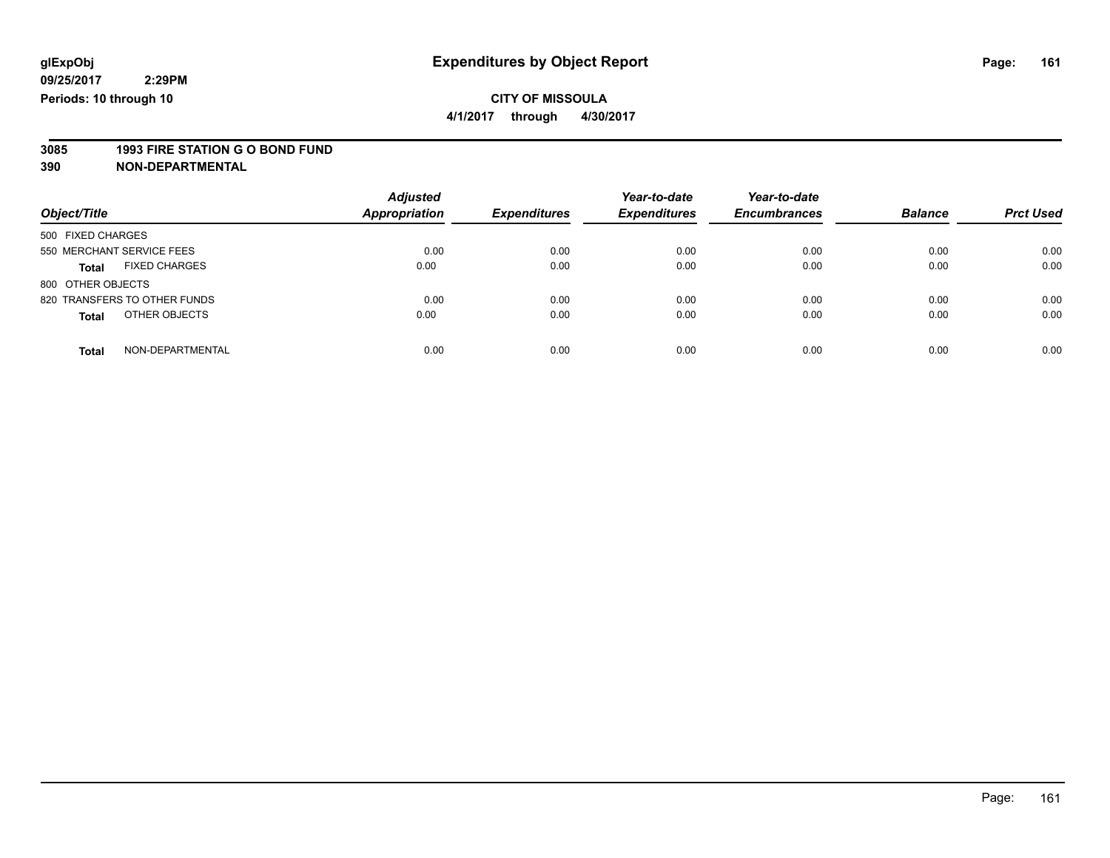**4/1/2017 through 4/30/2017**

# **3085 1993 FIRE STATION G O BOND FUND**

| Object/Title                         | <b>Adjusted</b><br>Appropriation | <b>Expenditures</b> | Year-to-date<br><b>Expenditures</b> | Year-to-date<br><b>Encumbrances</b> | <b>Balance</b> | <b>Prct Used</b> |
|--------------------------------------|----------------------------------|---------------------|-------------------------------------|-------------------------------------|----------------|------------------|
| 500 FIXED CHARGES                    |                                  |                     |                                     |                                     |                |                  |
| 550 MERCHANT SERVICE FEES            | 0.00                             | 0.00                | 0.00                                | 0.00                                | 0.00           | 0.00             |
| <b>FIXED CHARGES</b><br><b>Total</b> | 0.00                             | 0.00                | 0.00                                | 0.00                                | 0.00           | 0.00             |
| 800 OTHER OBJECTS                    |                                  |                     |                                     |                                     |                |                  |
| 820 TRANSFERS TO OTHER FUNDS         | 0.00                             | 0.00                | 0.00                                | 0.00                                | 0.00           | 0.00             |
| OTHER OBJECTS<br><b>Total</b>        | 0.00                             | 0.00                | 0.00                                | 0.00                                | 0.00           | 0.00             |
| NON-DEPARTMENTAL<br><b>Total</b>     | 0.00                             | 0.00                | 0.00                                | 0.00                                | 0.00           | 0.00             |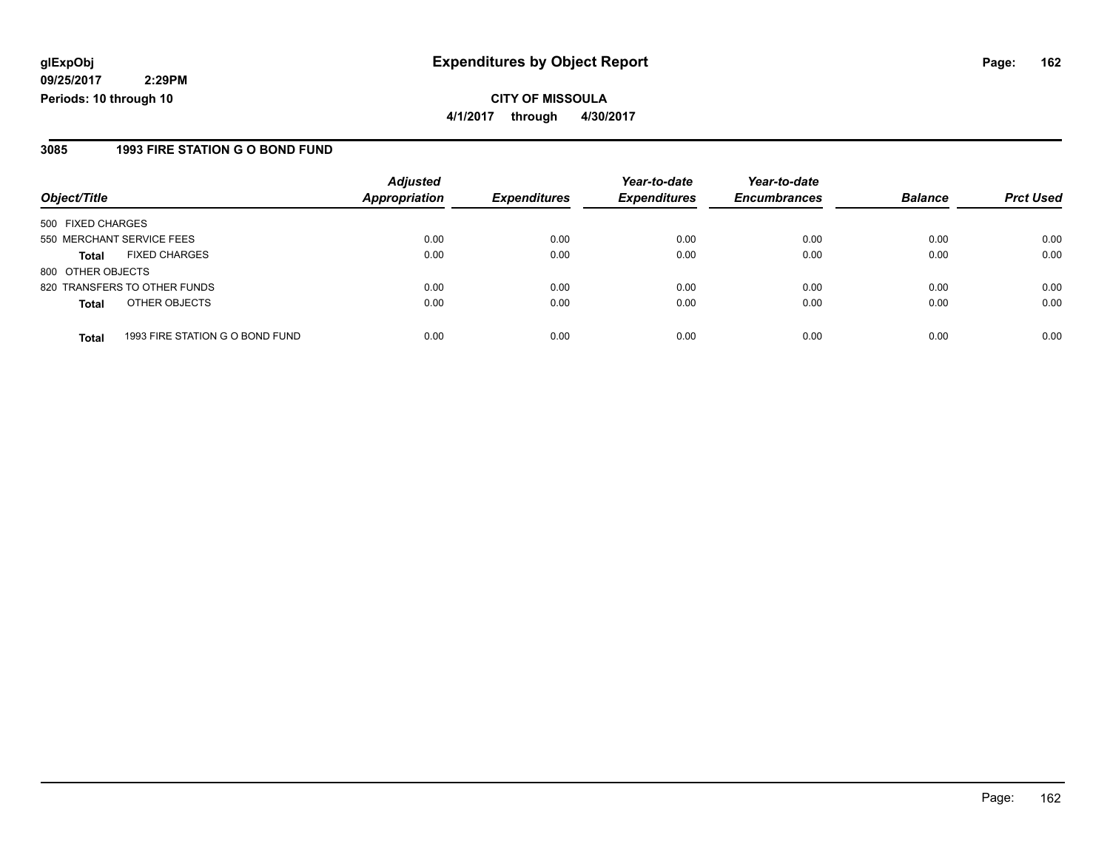**CITY OF MISSOULA 4/1/2017 through 4/30/2017**

### **3085 1993 FIRE STATION G O BOND FUND**

|                   |                                 | <b>Adjusted</b>      |                     | Year-to-date        | Year-to-date        |                |                  |
|-------------------|---------------------------------|----------------------|---------------------|---------------------|---------------------|----------------|------------------|
| Object/Title      |                                 | <b>Appropriation</b> | <b>Expenditures</b> | <b>Expenditures</b> | <b>Encumbrances</b> | <b>Balance</b> | <b>Prct Used</b> |
| 500 FIXED CHARGES |                                 |                      |                     |                     |                     |                |                  |
|                   | 550 MERCHANT SERVICE FEES       | 0.00                 | 0.00                | 0.00                | 0.00                | 0.00           | 0.00             |
| <b>Total</b>      | <b>FIXED CHARGES</b>            | 0.00                 | 0.00                | 0.00                | 0.00                | 0.00           | 0.00             |
| 800 OTHER OBJECTS |                                 |                      |                     |                     |                     |                |                  |
|                   | 820 TRANSFERS TO OTHER FUNDS    | 0.00                 | 0.00                | 0.00                | 0.00                | 0.00           | 0.00             |
| <b>Total</b>      | OTHER OBJECTS                   | 0.00                 | 0.00                | 0.00                | 0.00                | 0.00           | 0.00             |
| <b>Total</b>      | 1993 FIRE STATION G O BOND FUND | 0.00                 | 0.00                | 0.00                | 0.00                | 0.00           | 0.00             |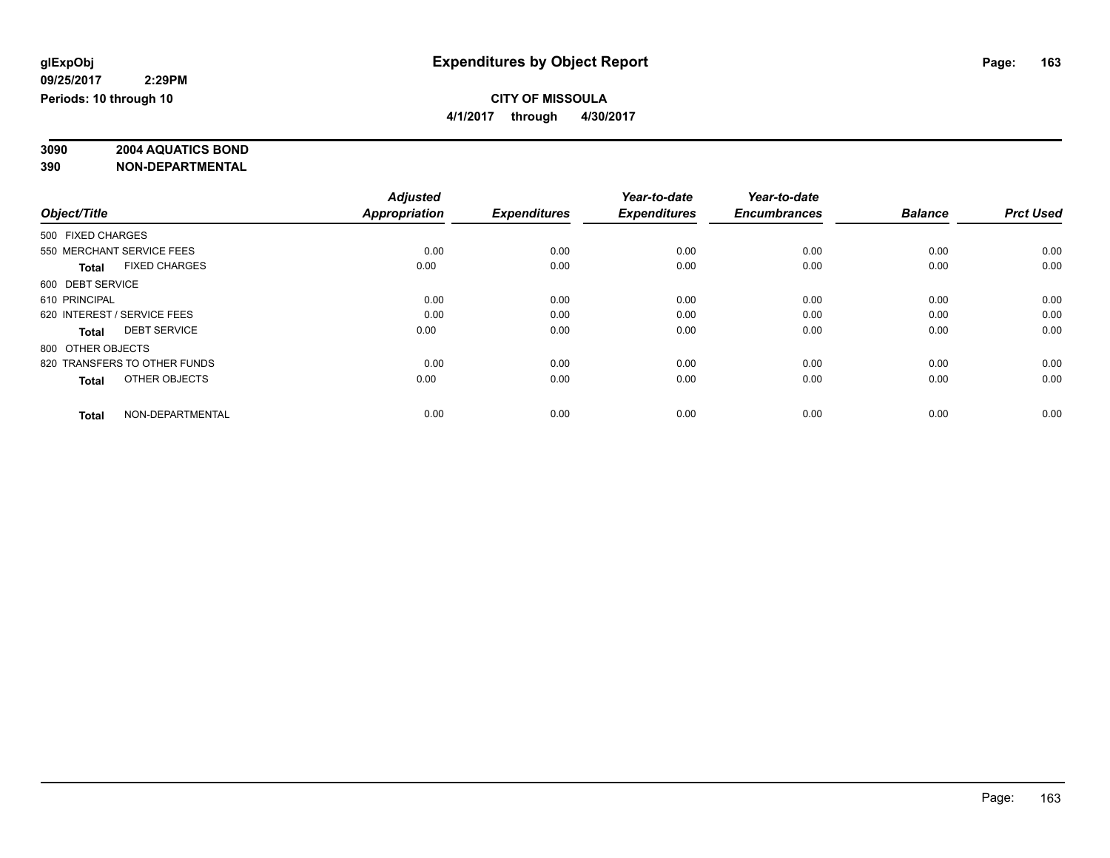# **3090 2004 AQUATICS BOND**

|                              |                      | <b>Adjusted</b> |                     | Year-to-date        | Year-to-date        |                |                  |
|------------------------------|----------------------|-----------------|---------------------|---------------------|---------------------|----------------|------------------|
| Object/Title                 |                      | Appropriation   | <b>Expenditures</b> | <b>Expenditures</b> | <b>Encumbrances</b> | <b>Balance</b> | <b>Prct Used</b> |
| 500 FIXED CHARGES            |                      |                 |                     |                     |                     |                |                  |
| 550 MERCHANT SERVICE FEES    |                      | 0.00            | 0.00                | 0.00                | 0.00                | 0.00           | 0.00             |
| <b>Total</b>                 | <b>FIXED CHARGES</b> | 0.00            | 0.00                | 0.00                | 0.00                | 0.00           | 0.00             |
| 600 DEBT SERVICE             |                      |                 |                     |                     |                     |                |                  |
| 610 PRINCIPAL                |                      | 0.00            | 0.00                | 0.00                | 0.00                | 0.00           | 0.00             |
| 620 INTEREST / SERVICE FEES  |                      | 0.00            | 0.00                | 0.00                | 0.00                | 0.00           | 0.00             |
| <b>Total</b>                 | <b>DEBT SERVICE</b>  | 0.00            | 0.00                | 0.00                | 0.00                | 0.00           | 0.00             |
| 800 OTHER OBJECTS            |                      |                 |                     |                     |                     |                |                  |
| 820 TRANSFERS TO OTHER FUNDS |                      | 0.00            | 0.00                | 0.00                | 0.00                | 0.00           | 0.00             |
| <b>Total</b>                 | OTHER OBJECTS        | 0.00            | 0.00                | 0.00                | 0.00                | 0.00           | 0.00             |
|                              |                      |                 |                     |                     |                     |                |                  |
| <b>Total</b>                 | NON-DEPARTMENTAL     | 0.00            | 0.00                | 0.00                | 0.00                | 0.00           | 0.00             |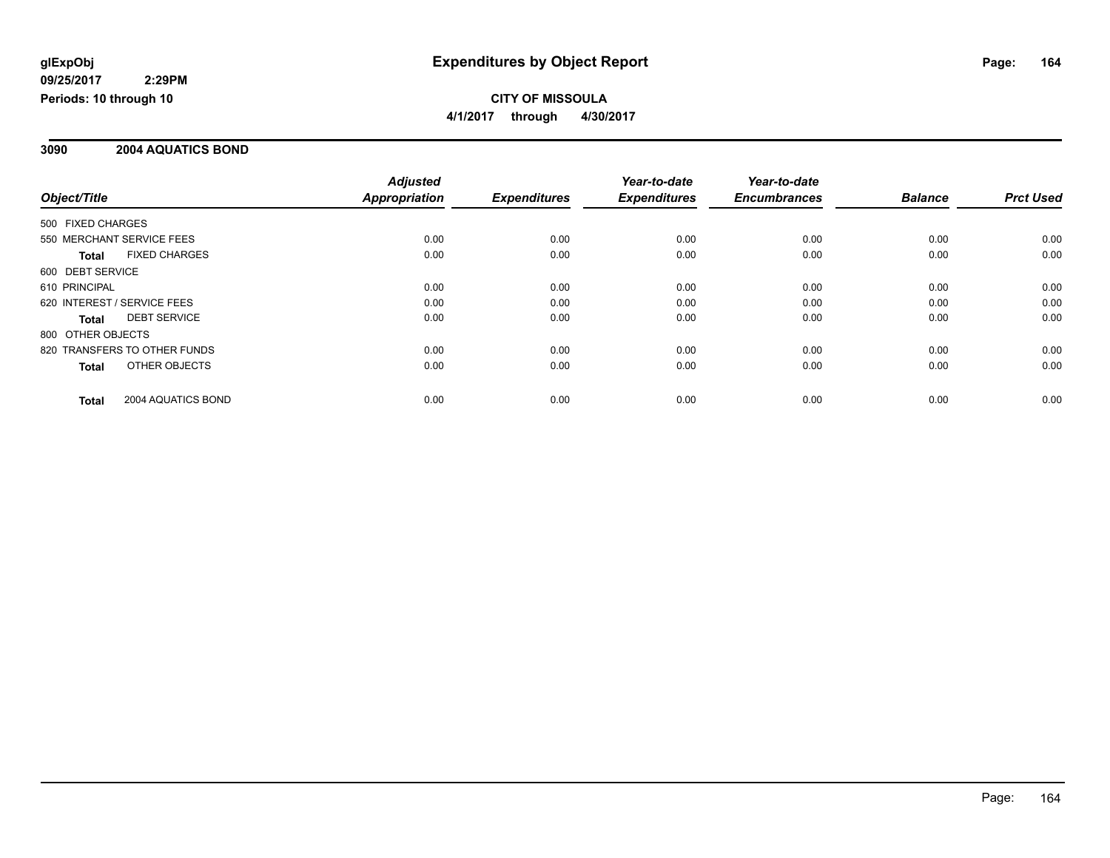### **3090 2004 AQUATICS BOND**

|                                      | <b>Adjusted</b>      |                     | Year-to-date        | Year-to-date        |                |                  |
|--------------------------------------|----------------------|---------------------|---------------------|---------------------|----------------|------------------|
| Object/Title                         | <b>Appropriation</b> | <b>Expenditures</b> | <b>Expenditures</b> | <b>Encumbrances</b> | <b>Balance</b> | <b>Prct Used</b> |
| 500 FIXED CHARGES                    |                      |                     |                     |                     |                |                  |
| 550 MERCHANT SERVICE FEES            | 0.00                 | 0.00                | 0.00                | 0.00                | 0.00           | 0.00             |
| <b>FIXED CHARGES</b><br><b>Total</b> | 0.00                 | 0.00                | 0.00                | 0.00                | 0.00           | 0.00             |
| 600 DEBT SERVICE                     |                      |                     |                     |                     |                |                  |
| 610 PRINCIPAL                        | 0.00                 | 0.00                | 0.00                | 0.00                | 0.00           | 0.00             |
| 620 INTEREST / SERVICE FEES          | 0.00                 | 0.00                | 0.00                | 0.00                | 0.00           | 0.00             |
| <b>DEBT SERVICE</b><br>Total         | 0.00                 | 0.00                | 0.00                | 0.00                | 0.00           | 0.00             |
| 800 OTHER OBJECTS                    |                      |                     |                     |                     |                |                  |
| 820 TRANSFERS TO OTHER FUNDS         | 0.00                 | 0.00                | 0.00                | 0.00                | 0.00           | 0.00             |
| OTHER OBJECTS<br>Total               | 0.00                 | 0.00                | 0.00                | 0.00                | 0.00           | 0.00             |
| 2004 AQUATICS BOND<br><b>Total</b>   | 0.00                 | 0.00                | 0.00                | 0.00                | 0.00           | 0.00             |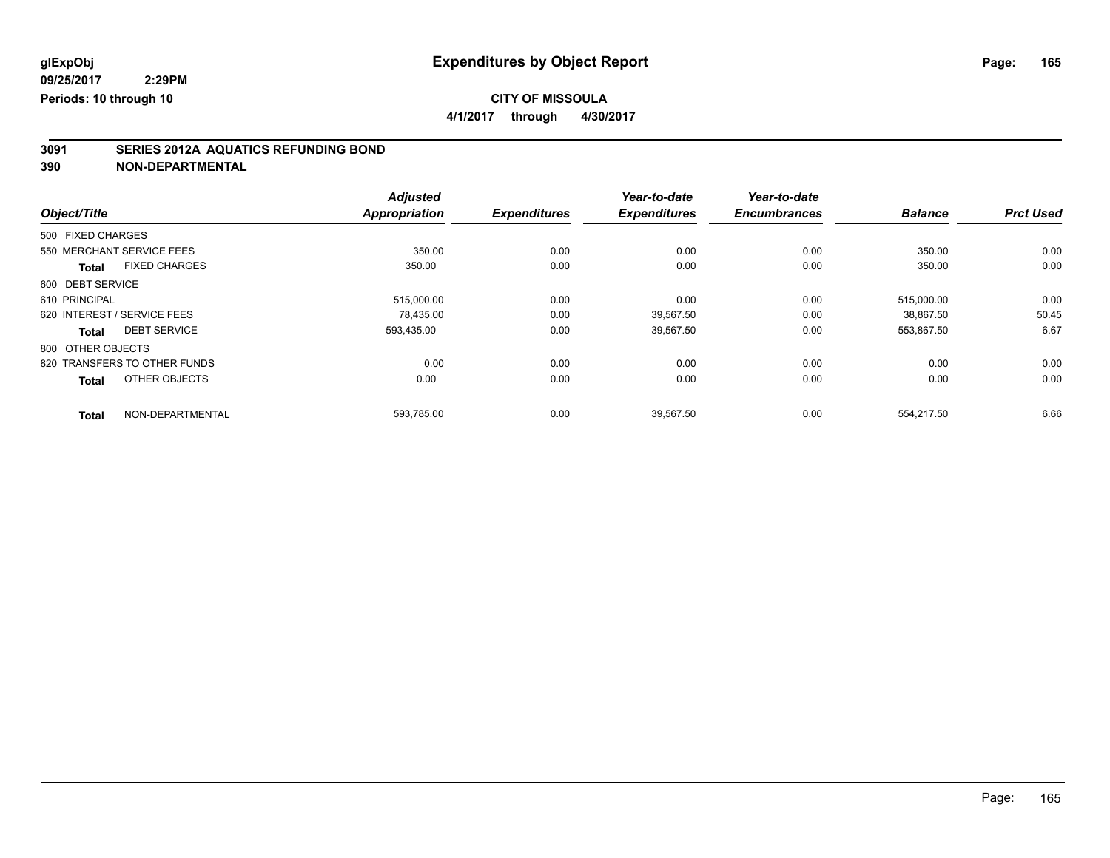**4/1/2017 through 4/30/2017**

# **3091 SERIES 2012A AQUATICS REFUNDING BOND**

|                              |                      | <b>Adjusted</b> |                     | Year-to-date        | Year-to-date        |                |                  |
|------------------------------|----------------------|-----------------|---------------------|---------------------|---------------------|----------------|------------------|
| Object/Title                 |                      | Appropriation   | <b>Expenditures</b> | <b>Expenditures</b> | <b>Encumbrances</b> | <b>Balance</b> | <b>Prct Used</b> |
| 500 FIXED CHARGES            |                      |                 |                     |                     |                     |                |                  |
| 550 MERCHANT SERVICE FEES    |                      | 350.00          | 0.00                | 0.00                | 0.00                | 350.00         | 0.00             |
| <b>Total</b>                 | <b>FIXED CHARGES</b> | 350.00          | 0.00                | 0.00                | 0.00                | 350.00         | 0.00             |
| 600 DEBT SERVICE             |                      |                 |                     |                     |                     |                |                  |
| 610 PRINCIPAL                |                      | 515,000.00      | 0.00                | 0.00                | 0.00                | 515,000.00     | 0.00             |
| 620 INTEREST / SERVICE FEES  |                      | 78.435.00       | 0.00                | 39.567.50           | 0.00                | 38.867.50      | 50.45            |
| Total                        | <b>DEBT SERVICE</b>  | 593,435.00      | 0.00                | 39,567.50           | 0.00                | 553,867.50     | 6.67             |
| 800 OTHER OBJECTS            |                      |                 |                     |                     |                     |                |                  |
| 820 TRANSFERS TO OTHER FUNDS |                      | 0.00            | 0.00                | 0.00                | 0.00                | 0.00           | 0.00             |
| <b>Total</b>                 | OTHER OBJECTS        | 0.00            | 0.00                | 0.00                | 0.00                | 0.00           | 0.00             |
| <b>Total</b>                 | NON-DEPARTMENTAL     | 593,785.00      | 0.00                | 39,567.50           | 0.00                | 554.217.50     | 6.66             |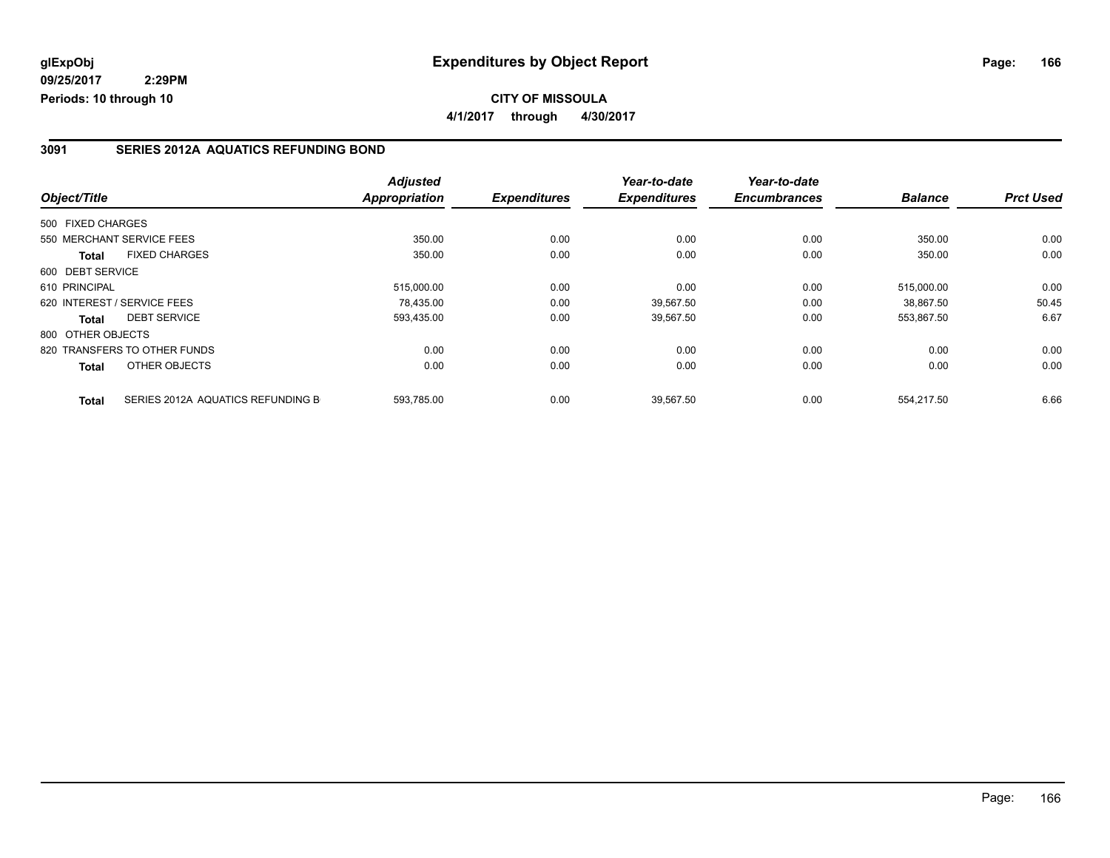### **CITY OF MISSOULA 4/1/2017 through 4/30/2017**

### **3091 SERIES 2012A AQUATICS REFUNDING BOND**

|                   |                                   | <b>Adjusted</b>      |                     | Year-to-date        | Year-to-date        |                |                  |
|-------------------|-----------------------------------|----------------------|---------------------|---------------------|---------------------|----------------|------------------|
| Object/Title      |                                   | <b>Appropriation</b> | <b>Expenditures</b> | <b>Expenditures</b> | <b>Encumbrances</b> | <b>Balance</b> | <b>Prct Used</b> |
| 500 FIXED CHARGES |                                   |                      |                     |                     |                     |                |                  |
|                   | 550 MERCHANT SERVICE FEES         | 350.00               | 0.00                | 0.00                | 0.00                | 350.00         | 0.00             |
| <b>Total</b>      | <b>FIXED CHARGES</b>              | 350.00               | 0.00                | 0.00                | 0.00                | 350.00         | 0.00             |
| 600 DEBT SERVICE  |                                   |                      |                     |                     |                     |                |                  |
| 610 PRINCIPAL     |                                   | 515.000.00           | 0.00                | 0.00                | 0.00                | 515.000.00     | 0.00             |
|                   | 620 INTEREST / SERVICE FEES       | 78.435.00            | 0.00                | 39.567.50           | 0.00                | 38.867.50      | 50.45            |
| Total             | <b>DEBT SERVICE</b>               | 593,435.00           | 0.00                | 39,567.50           | 0.00                | 553,867.50     | 6.67             |
| 800 OTHER OBJECTS |                                   |                      |                     |                     |                     |                |                  |
|                   | 820 TRANSFERS TO OTHER FUNDS      | 0.00                 | 0.00                | 0.00                | 0.00                | 0.00           | 0.00             |
| Total             | OTHER OBJECTS                     | 0.00                 | 0.00                | 0.00                | 0.00                | 0.00           | 0.00             |
| Total             | SERIES 2012A AQUATICS REFUNDING B | 593,785.00           | 0.00                | 39,567.50           | 0.00                | 554.217.50     | 6.66             |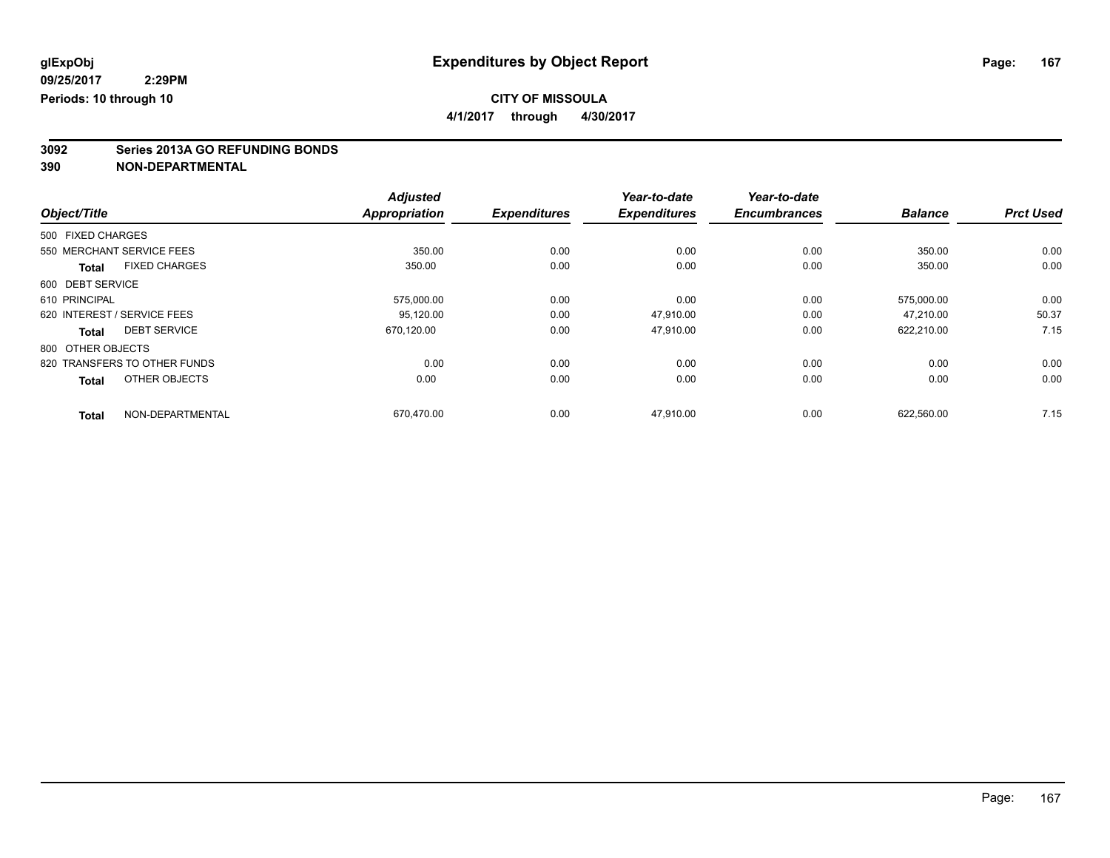**4/1/2017 through 4/30/2017**

# **3092 Series 2013A GO REFUNDING BONDS**

|                                      | <b>Adjusted</b>      |                     | Year-to-date        | Year-to-date        |                |                  |
|--------------------------------------|----------------------|---------------------|---------------------|---------------------|----------------|------------------|
| Object/Title                         | <b>Appropriation</b> | <b>Expenditures</b> | <b>Expenditures</b> | <b>Encumbrances</b> | <b>Balance</b> | <b>Prct Used</b> |
| 500 FIXED CHARGES                    |                      |                     |                     |                     |                |                  |
| 550 MERCHANT SERVICE FEES            | 350.00               | 0.00                | 0.00                | 0.00                | 350.00         | 0.00             |
| <b>FIXED CHARGES</b><br><b>Total</b> | 350.00               | 0.00                | 0.00                | 0.00                | 350.00         | 0.00             |
| 600 DEBT SERVICE                     |                      |                     |                     |                     |                |                  |
| 610 PRINCIPAL                        | 575,000.00           | 0.00                | 0.00                | 0.00                | 575.000.00     | 0.00             |
| 620 INTEREST / SERVICE FEES          | 95,120.00            | 0.00                | 47,910.00           | 0.00                | 47.210.00      | 50.37            |
| <b>DEBT SERVICE</b><br><b>Total</b>  | 670,120.00           | 0.00                | 47,910.00           | 0.00                | 622,210.00     | 7.15             |
| 800 OTHER OBJECTS                    |                      |                     |                     |                     |                |                  |
| 820 TRANSFERS TO OTHER FUNDS         | 0.00                 | 0.00                | 0.00                | 0.00                | 0.00           | 0.00             |
| OTHER OBJECTS<br><b>Total</b>        | 0.00                 | 0.00                | 0.00                | 0.00                | 0.00           | 0.00             |
| NON-DEPARTMENTAL<br><b>Total</b>     | 670,470.00           | 0.00                | 47,910.00           | 0.00                | 622,560.00     | 7.15             |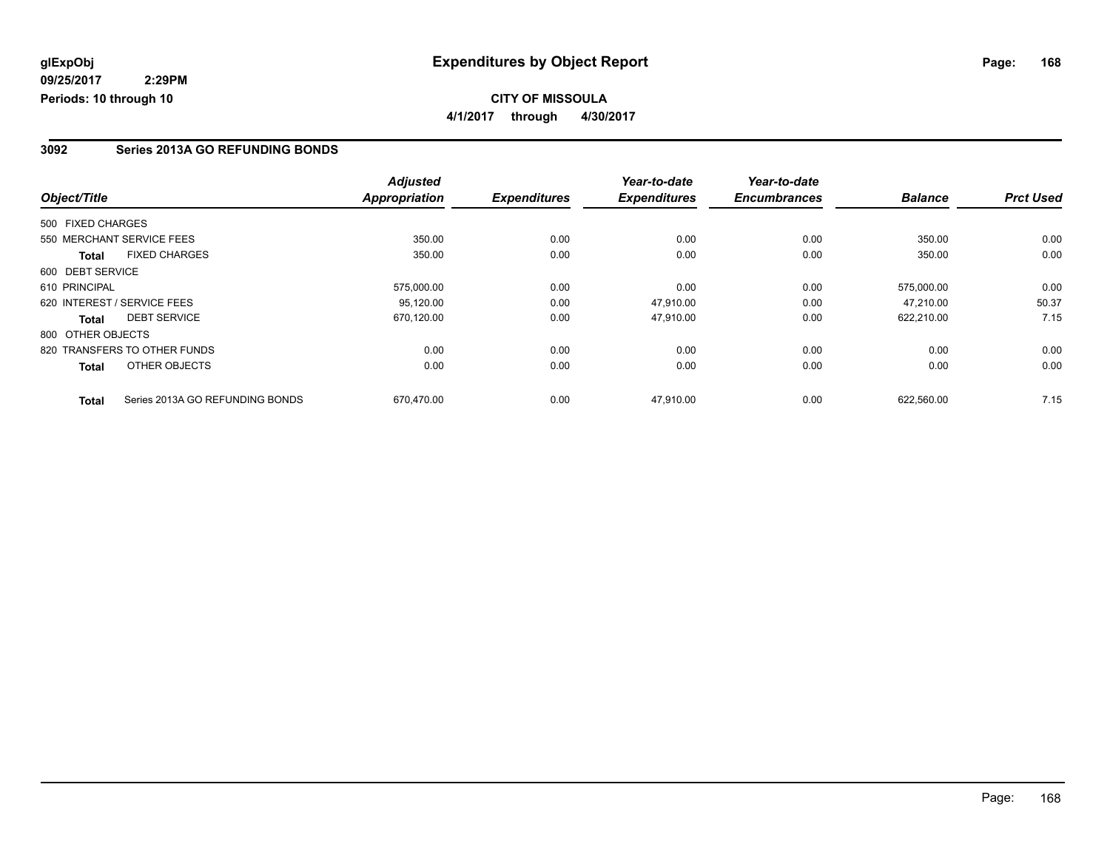### **CITY OF MISSOULA 4/1/2017 through 4/30/2017**

### **3092 Series 2013A GO REFUNDING BONDS**

|                                                 | <b>Adjusted</b>      |                     | Year-to-date        | Year-to-date        |                |                  |
|-------------------------------------------------|----------------------|---------------------|---------------------|---------------------|----------------|------------------|
| Object/Title                                    | <b>Appropriation</b> | <b>Expenditures</b> | <b>Expenditures</b> | <b>Encumbrances</b> | <b>Balance</b> | <b>Prct Used</b> |
| 500 FIXED CHARGES                               |                      |                     |                     |                     |                |                  |
| 550 MERCHANT SERVICE FEES                       | 350.00               | 0.00                | 0.00                | 0.00                | 350.00         | 0.00             |
| <b>FIXED CHARGES</b><br><b>Total</b>            | 350.00               | 0.00                | 0.00                | 0.00                | 350.00         | 0.00             |
| 600 DEBT SERVICE                                |                      |                     |                     |                     |                |                  |
| 610 PRINCIPAL                                   | 575,000.00           | 0.00                | 0.00                | 0.00                | 575.000.00     | 0.00             |
| 620 INTEREST / SERVICE FEES                     | 95,120.00            | 0.00                | 47.910.00           | 0.00                | 47.210.00      | 50.37            |
| <b>DEBT SERVICE</b><br>Total                    | 670,120.00           | 0.00                | 47,910.00           | 0.00                | 622,210.00     | 7.15             |
| 800 OTHER OBJECTS                               |                      |                     |                     |                     |                |                  |
| 820 TRANSFERS TO OTHER FUNDS                    | 0.00                 | 0.00                | 0.00                | 0.00                | 0.00           | 0.00             |
| OTHER OBJECTS<br>Total                          | 0.00                 | 0.00                | 0.00                | 0.00                | 0.00           | 0.00             |
| Series 2013A GO REFUNDING BONDS<br><b>Total</b> | 670,470.00           | 0.00                | 47,910.00           | 0.00                | 622,560.00     | 7.15             |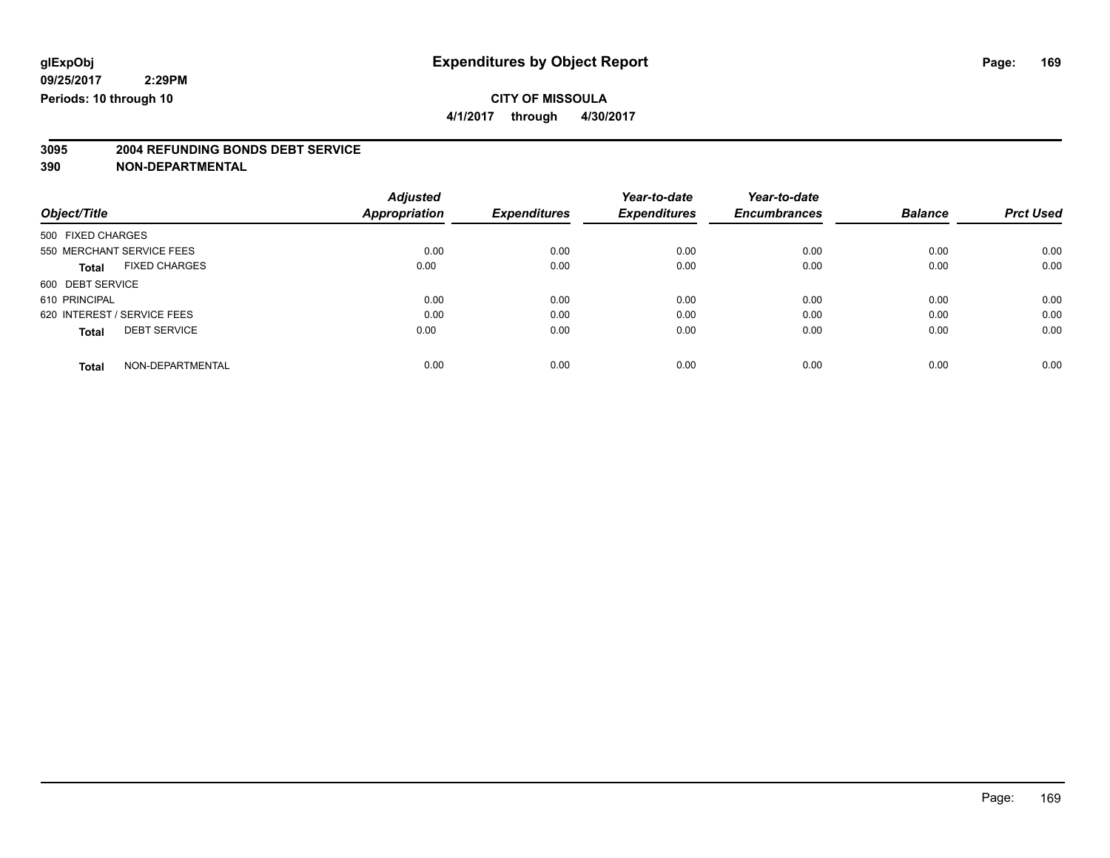**4/1/2017 through 4/30/2017**

# **3095 2004 REFUNDING BONDS DEBT SERVICE**

|                             |                      | <b>Adjusted</b>      |                     | Year-to-date        | Year-to-date        |                |                  |
|-----------------------------|----------------------|----------------------|---------------------|---------------------|---------------------|----------------|------------------|
| Object/Title                |                      | <b>Appropriation</b> | <b>Expenditures</b> | <b>Expenditures</b> | <b>Encumbrances</b> | <b>Balance</b> | <b>Prct Used</b> |
| 500 FIXED CHARGES           |                      |                      |                     |                     |                     |                |                  |
| 550 MERCHANT SERVICE FEES   |                      | 0.00                 | 0.00                | 0.00                | 0.00                | 0.00           | 0.00             |
| <b>Total</b>                | <b>FIXED CHARGES</b> | 0.00                 | 0.00                | 0.00                | 0.00                | 0.00           | 0.00             |
| 600 DEBT SERVICE            |                      |                      |                     |                     |                     |                |                  |
| 610 PRINCIPAL               |                      | 0.00                 | 0.00                | 0.00                | 0.00                | 0.00           | 0.00             |
| 620 INTEREST / SERVICE FEES |                      | 0.00                 | 0.00                | 0.00                | 0.00                | 0.00           | 0.00             |
| <b>Total</b>                | <b>DEBT SERVICE</b>  | 0.00                 | 0.00                | 0.00                | 0.00                | 0.00           | 0.00             |
| <b>Total</b>                | NON-DEPARTMENTAL     | 0.00                 | 0.00                | 0.00                | 0.00                | 0.00           | 0.00             |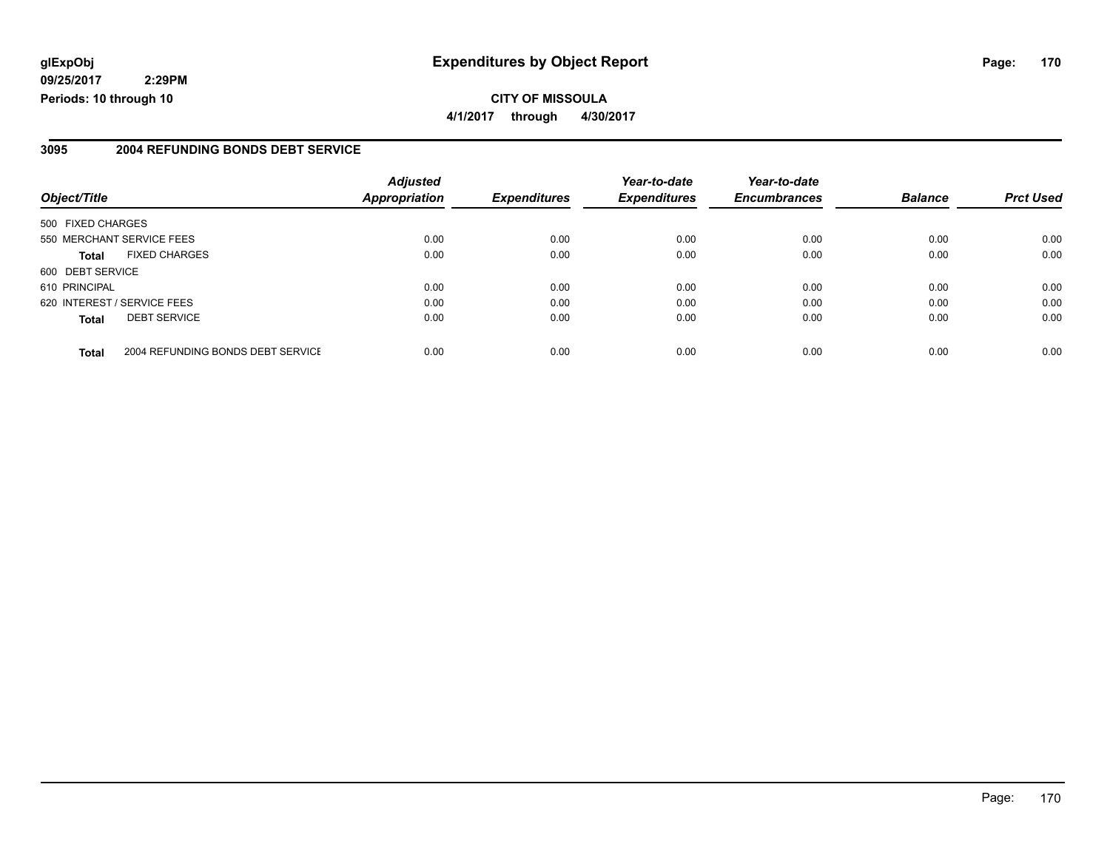### **glExpObj Expenditures by Object Report Page: 170**

**09/25/2017 2:29PM Periods: 10 through 10**

### **3095 2004 REFUNDING BONDS DEBT SERVICE**

| Object/Title      |                                   | <b>Adjusted</b><br><b>Appropriation</b> | <b>Expenditures</b> | Year-to-date<br><b>Expenditures</b> | Year-to-date<br><b>Encumbrances</b> | <b>Balance</b> | <b>Prct Used</b> |
|-------------------|-----------------------------------|-----------------------------------------|---------------------|-------------------------------------|-------------------------------------|----------------|------------------|
|                   |                                   |                                         |                     |                                     |                                     |                |                  |
| 500 FIXED CHARGES |                                   |                                         |                     |                                     |                                     |                |                  |
|                   | 550 MERCHANT SERVICE FEES         | 0.00                                    | 0.00                | 0.00                                | 0.00                                | 0.00           | 0.00             |
| Total             | <b>FIXED CHARGES</b>              | 0.00                                    | 0.00                | 0.00                                | 0.00                                | 0.00           | 0.00             |
| 600 DEBT SERVICE  |                                   |                                         |                     |                                     |                                     |                |                  |
| 610 PRINCIPAL     |                                   | 0.00                                    | 0.00                | 0.00                                | 0.00                                | 0.00           | 0.00             |
|                   | 620 INTEREST / SERVICE FEES       | 0.00                                    | 0.00                | 0.00                                | 0.00                                | 0.00           | 0.00             |
| <b>Total</b>      | <b>DEBT SERVICE</b>               | 0.00                                    | 0.00                | 0.00                                | 0.00                                | 0.00           | 0.00             |
| <b>Total</b>      | 2004 REFUNDING BONDS DEBT SERVICE | 0.00                                    | 0.00                | 0.00                                | 0.00                                | 0.00           | 0.00             |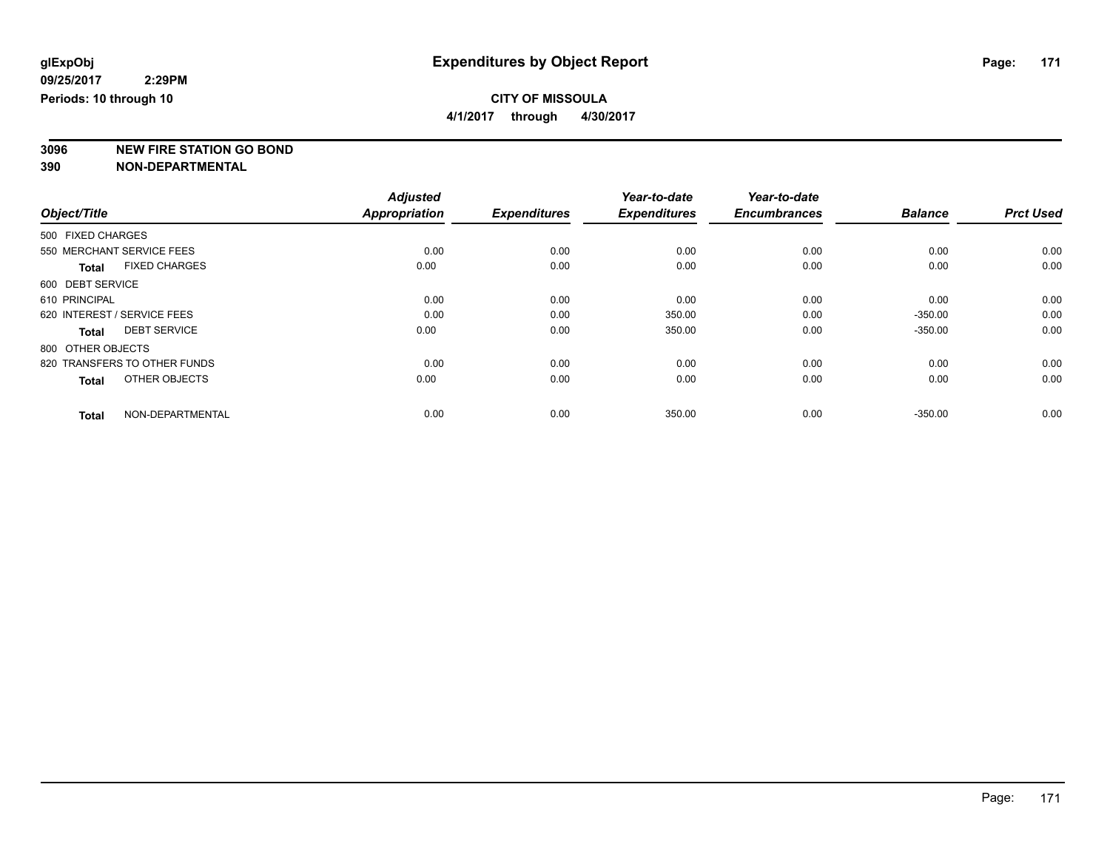**4/1/2017 through 4/30/2017**

**3096 NEW FIRE STATION GO BOND**

|                                      | <b>Adjusted</b>      |                     | Year-to-date        | Year-to-date        |                |                  |
|--------------------------------------|----------------------|---------------------|---------------------|---------------------|----------------|------------------|
| Object/Title                         | <b>Appropriation</b> | <b>Expenditures</b> | <b>Expenditures</b> | <b>Encumbrances</b> | <b>Balance</b> | <b>Prct Used</b> |
| 500 FIXED CHARGES                    |                      |                     |                     |                     |                |                  |
| 550 MERCHANT SERVICE FEES            | 0.00                 | 0.00                | 0.00                | 0.00                | 0.00           | 0.00             |
| <b>FIXED CHARGES</b><br><b>Total</b> | 0.00                 | 0.00                | 0.00                | 0.00                | 0.00           | 0.00             |
| 600 DEBT SERVICE                     |                      |                     |                     |                     |                |                  |
| 610 PRINCIPAL                        | 0.00                 | 0.00                | 0.00                | 0.00                | 0.00           | 0.00             |
| 620 INTEREST / SERVICE FEES          | 0.00                 | 0.00                | 350.00              | 0.00                | $-350.00$      | 0.00             |
| <b>DEBT SERVICE</b><br>Total         | 0.00                 | 0.00                | 350.00              | 0.00                | $-350.00$      | 0.00             |
| 800 OTHER OBJECTS                    |                      |                     |                     |                     |                |                  |
| 820 TRANSFERS TO OTHER FUNDS         | 0.00                 | 0.00                | 0.00                | 0.00                | 0.00           | 0.00             |
| OTHER OBJECTS<br><b>Total</b>        | 0.00                 | 0.00                | 0.00                | 0.00                | 0.00           | 0.00             |
| NON-DEPARTMENTAL<br><b>Total</b>     | 0.00                 | 0.00                | 350.00              | 0.00                | $-350.00$      | 0.00             |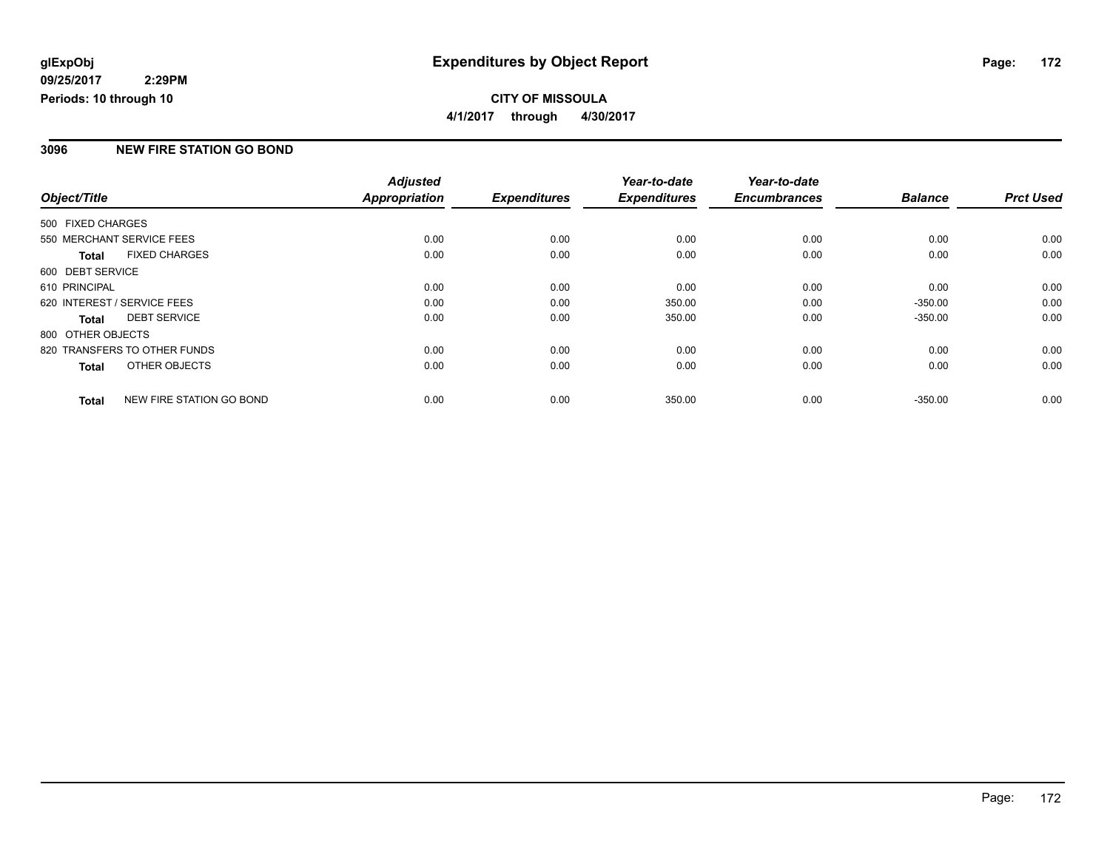### **CITY OF MISSOULA 4/1/2017 through 4/30/2017**

### **3096 NEW FIRE STATION GO BOND**

|                   |                              | <b>Adjusted</b>      |                     | Year-to-date        | Year-to-date        |                |                  |
|-------------------|------------------------------|----------------------|---------------------|---------------------|---------------------|----------------|------------------|
| Object/Title      |                              | <b>Appropriation</b> | <b>Expenditures</b> | <b>Expenditures</b> | <b>Encumbrances</b> | <b>Balance</b> | <b>Prct Used</b> |
| 500 FIXED CHARGES |                              |                      |                     |                     |                     |                |                  |
|                   | 550 MERCHANT SERVICE FEES    | 0.00                 | 0.00                | 0.00                | 0.00                | 0.00           | 0.00             |
| <b>Total</b>      | <b>FIXED CHARGES</b>         | 0.00                 | 0.00                | 0.00                | 0.00                | 0.00           | 0.00             |
| 600 DEBT SERVICE  |                              |                      |                     |                     |                     |                |                  |
| 610 PRINCIPAL     |                              | 0.00                 | 0.00                | 0.00                | 0.00                | 0.00           | 0.00             |
|                   | 620 INTEREST / SERVICE FEES  | 0.00                 | 0.00                | 350.00              | 0.00                | $-350.00$      | 0.00             |
| <b>Total</b>      | <b>DEBT SERVICE</b>          | 0.00                 | 0.00                | 350.00              | 0.00                | $-350.00$      | 0.00             |
| 800 OTHER OBJECTS |                              |                      |                     |                     |                     |                |                  |
|                   | 820 TRANSFERS TO OTHER FUNDS | 0.00                 | 0.00                | 0.00                | 0.00                | 0.00           | 0.00             |
| <b>Total</b>      | OTHER OBJECTS                | 0.00                 | 0.00                | 0.00                | 0.00                | 0.00           | 0.00             |
| <b>Total</b>      | NEW FIRE STATION GO BOND     | 0.00                 | 0.00                | 350.00              | 0.00                | $-350.00$      | 0.00             |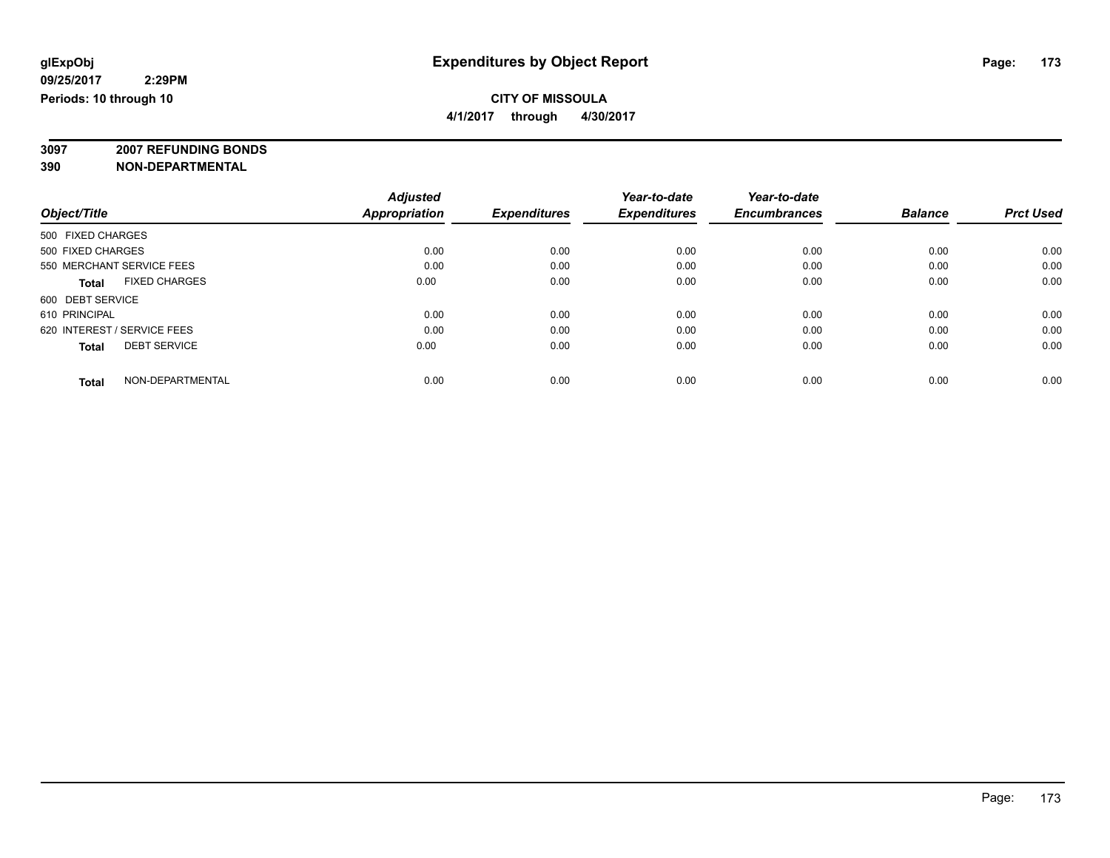**4/1/2017 through 4/30/2017**

**3097 2007 REFUNDING BONDS**

| Object/Title                         | <b>Adjusted</b><br><b>Appropriation</b> | <b>Expenditures</b> | Year-to-date<br><b>Expenditures</b> | Year-to-date<br><b>Encumbrances</b> | <b>Balance</b> | <b>Prct Used</b> |
|--------------------------------------|-----------------------------------------|---------------------|-------------------------------------|-------------------------------------|----------------|------------------|
| 500 FIXED CHARGES                    |                                         |                     |                                     |                                     |                |                  |
| 500 FIXED CHARGES                    | 0.00                                    | 0.00                | 0.00                                | 0.00                                | 0.00           | 0.00             |
| 550 MERCHANT SERVICE FEES            | 0.00                                    | 0.00                | 0.00                                | 0.00                                | 0.00           | 0.00             |
| <b>FIXED CHARGES</b><br><b>Total</b> | 0.00                                    | 0.00                | 0.00                                | 0.00                                | 0.00           | 0.00             |
| 600 DEBT SERVICE                     |                                         |                     |                                     |                                     |                |                  |
| 610 PRINCIPAL                        | 0.00                                    | 0.00                | 0.00                                | 0.00                                | 0.00           | 0.00             |
| 620 INTEREST / SERVICE FEES          | 0.00                                    | 0.00                | 0.00                                | 0.00                                | 0.00           | 0.00             |
| <b>DEBT SERVICE</b><br><b>Total</b>  | 0.00                                    | 0.00                | 0.00                                | 0.00                                | 0.00           | 0.00             |
| NON-DEPARTMENTAL<br><b>Total</b>     | 0.00                                    | 0.00                | 0.00                                | 0.00                                | 0.00           | 0.00             |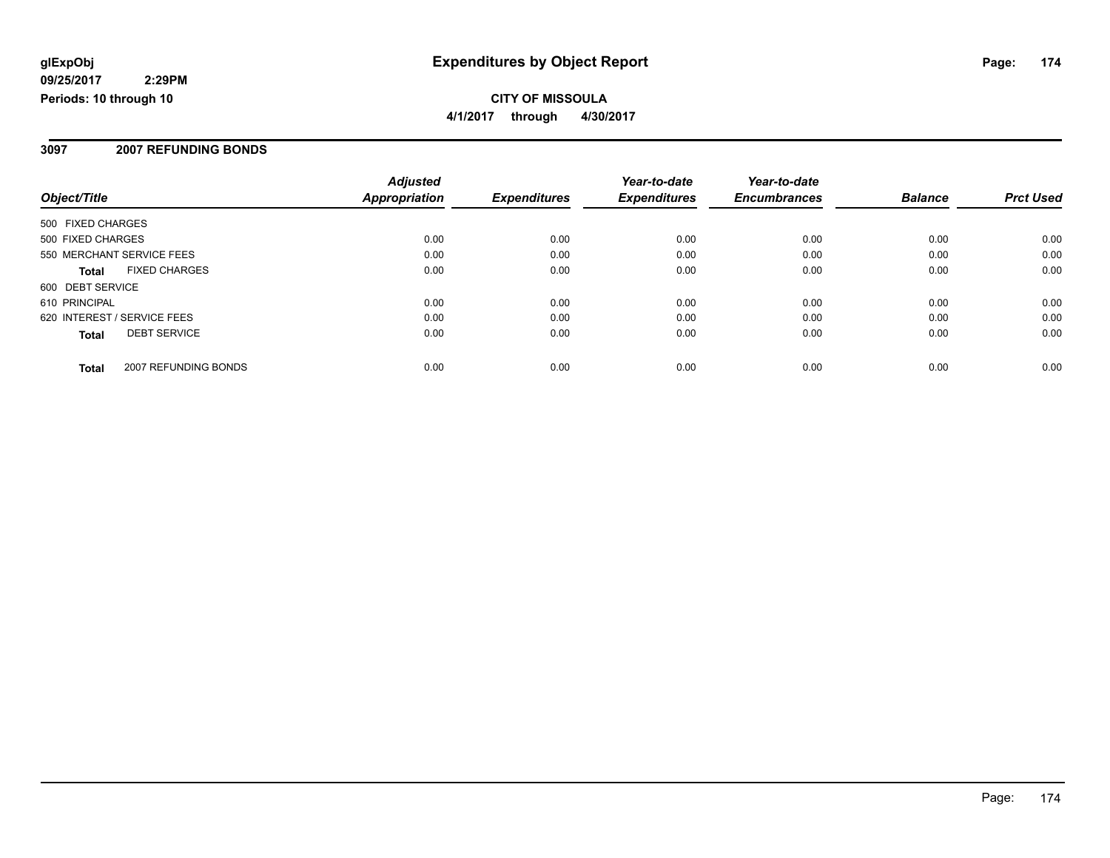**CITY OF MISSOULA 4/1/2017 through 4/30/2017**

### **3097 2007 REFUNDING BONDS**

|                             |                      | <b>Adjusted</b>      |                     | Year-to-date        | Year-to-date        |                |                  |
|-----------------------------|----------------------|----------------------|---------------------|---------------------|---------------------|----------------|------------------|
| Object/Title                |                      | <b>Appropriation</b> | <b>Expenditures</b> | <b>Expenditures</b> | <b>Encumbrances</b> | <b>Balance</b> | <b>Prct Used</b> |
| 500 FIXED CHARGES           |                      |                      |                     |                     |                     |                |                  |
| 500 FIXED CHARGES           |                      | 0.00                 | 0.00                | 0.00                | 0.00                | 0.00           | 0.00             |
| 550 MERCHANT SERVICE FEES   |                      | 0.00                 | 0.00                | 0.00                | 0.00                | 0.00           | 0.00             |
| <b>Total</b>                | <b>FIXED CHARGES</b> | 0.00                 | 0.00                | 0.00                | 0.00                | 0.00           | 0.00             |
| 600 DEBT SERVICE            |                      |                      |                     |                     |                     |                |                  |
| 610 PRINCIPAL               |                      | 0.00                 | 0.00                | 0.00                | 0.00                | 0.00           | 0.00             |
| 620 INTEREST / SERVICE FEES |                      | 0.00                 | 0.00                | 0.00                | 0.00                | 0.00           | 0.00             |
| <b>Total</b>                | <b>DEBT SERVICE</b>  | 0.00                 | 0.00                | 0.00                | 0.00                | 0.00           | 0.00             |
| <b>Total</b>                | 2007 REFUNDING BONDS | 0.00                 | 0.00                | 0.00                | 0.00                | 0.00           | 0.00             |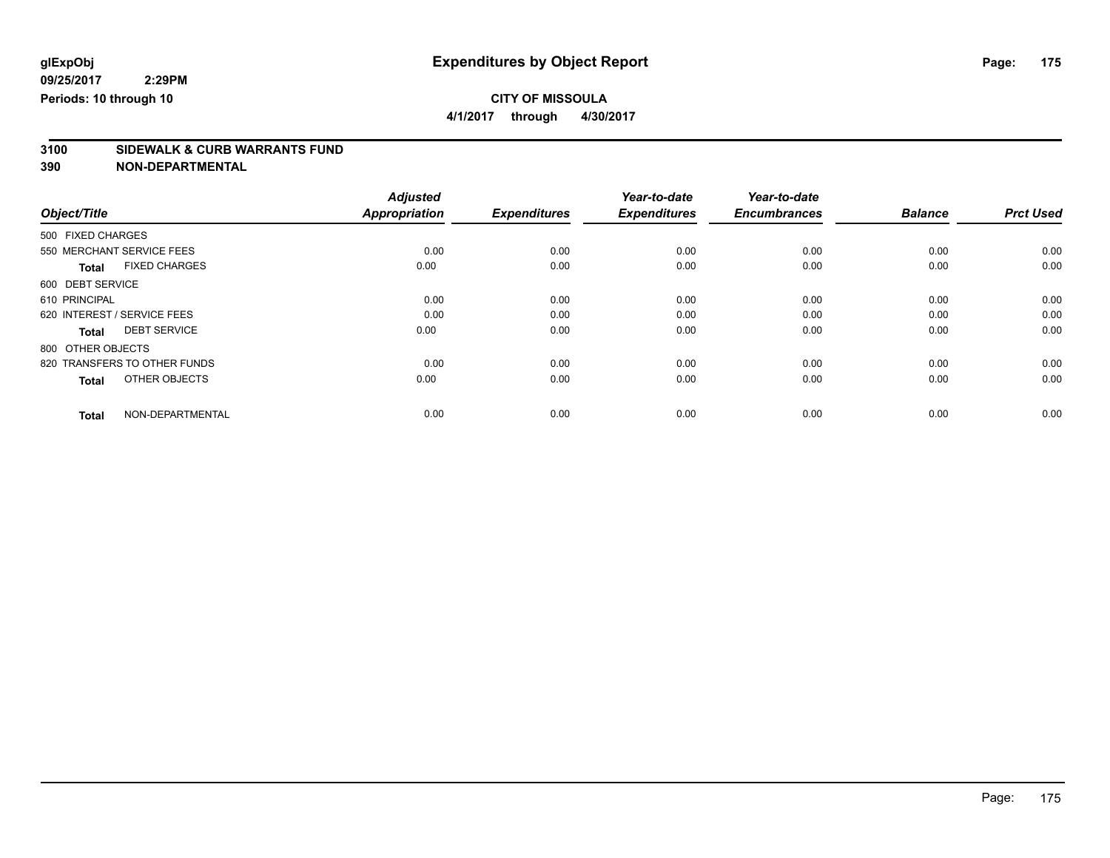**4/1/2017 through 4/30/2017**

# **3100 SIDEWALK & CURB WARRANTS FUND**

|                                      | <b>Adjusted</b>      |                     | Year-to-date        | Year-to-date        |                |                  |
|--------------------------------------|----------------------|---------------------|---------------------|---------------------|----------------|------------------|
| Object/Title                         | <b>Appropriation</b> | <b>Expenditures</b> | <b>Expenditures</b> | <b>Encumbrances</b> | <b>Balance</b> | <b>Prct Used</b> |
| 500 FIXED CHARGES                    |                      |                     |                     |                     |                |                  |
| 550 MERCHANT SERVICE FEES            | 0.00                 | 0.00                | 0.00                | 0.00                | 0.00           | 0.00             |
| <b>FIXED CHARGES</b><br><b>Total</b> | 0.00                 | 0.00                | 0.00                | 0.00                | 0.00           | 0.00             |
| 600 DEBT SERVICE                     |                      |                     |                     |                     |                |                  |
| 610 PRINCIPAL                        | 0.00                 | 0.00                | 0.00                | 0.00                | 0.00           | 0.00             |
| 620 INTEREST / SERVICE FEES          | 0.00                 | 0.00                | 0.00                | 0.00                | 0.00           | 0.00             |
| <b>DEBT SERVICE</b><br><b>Total</b>  | 0.00                 | 0.00                | 0.00                | 0.00                | 0.00           | 0.00             |
| 800 OTHER OBJECTS                    |                      |                     |                     |                     |                |                  |
| 820 TRANSFERS TO OTHER FUNDS         | 0.00                 | 0.00                | 0.00                | 0.00                | 0.00           | 0.00             |
| OTHER OBJECTS<br>Total               | 0.00                 | 0.00                | 0.00                | 0.00                | 0.00           | 0.00             |
|                                      |                      |                     |                     |                     |                |                  |
| NON-DEPARTMENTAL<br><b>Total</b>     | 0.00                 | 0.00                | 0.00                | 0.00                | 0.00           | 0.00             |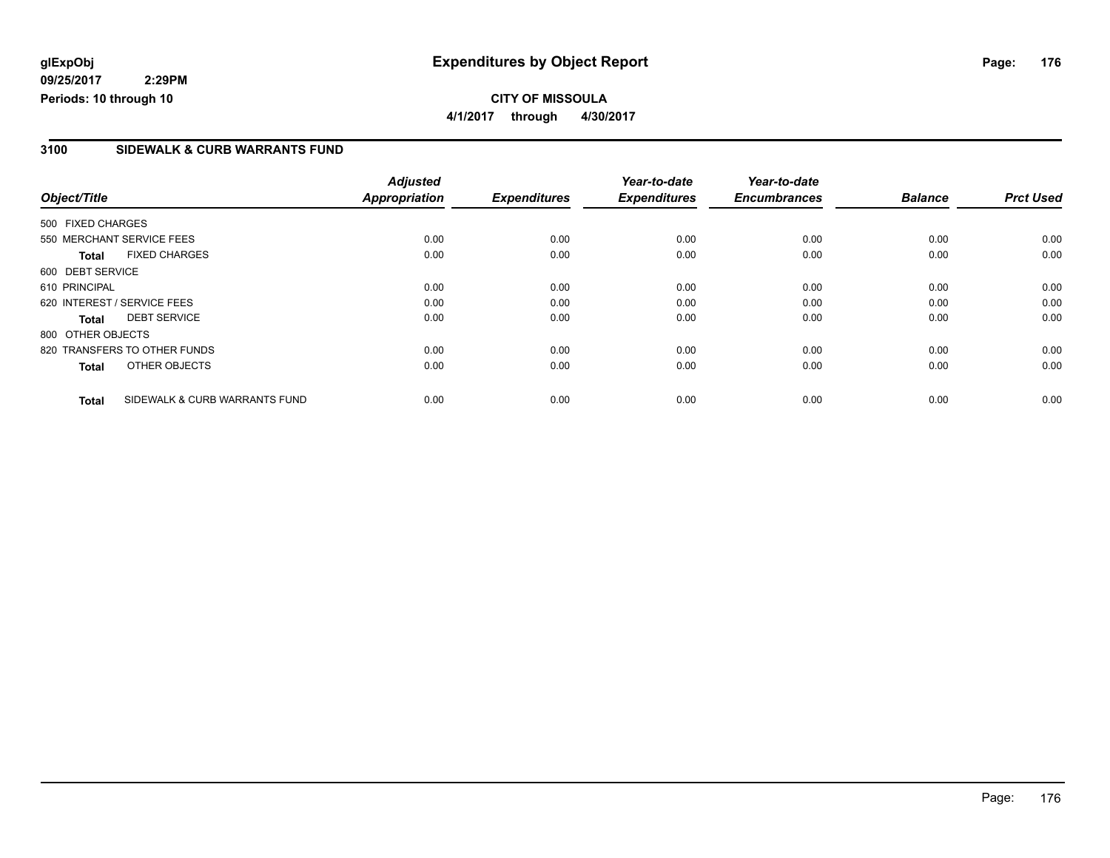### **3100 SIDEWALK & CURB WARRANTS FUND**

|                   |                               | <b>Adjusted</b>      |                     | Year-to-date        | Year-to-date        |                |                  |
|-------------------|-------------------------------|----------------------|---------------------|---------------------|---------------------|----------------|------------------|
| Object/Title      |                               | <b>Appropriation</b> | <b>Expenditures</b> | <b>Expenditures</b> | <b>Encumbrances</b> | <b>Balance</b> | <b>Prct Used</b> |
| 500 FIXED CHARGES |                               |                      |                     |                     |                     |                |                  |
|                   | 550 MERCHANT SERVICE FEES     | 0.00                 | 0.00                | 0.00                | 0.00                | 0.00           | 0.00             |
| <b>Total</b>      | <b>FIXED CHARGES</b>          | 0.00                 | 0.00                | 0.00                | 0.00                | 0.00           | 0.00             |
| 600 DEBT SERVICE  |                               |                      |                     |                     |                     |                |                  |
| 610 PRINCIPAL     |                               | 0.00                 | 0.00                | 0.00                | 0.00                | 0.00           | 0.00             |
|                   | 620 INTEREST / SERVICE FEES   | 0.00                 | 0.00                | 0.00                | 0.00                | 0.00           | 0.00             |
| Total             | <b>DEBT SERVICE</b>           | 0.00                 | 0.00                | 0.00                | 0.00                | 0.00           | 0.00             |
| 800 OTHER OBJECTS |                               |                      |                     |                     |                     |                |                  |
|                   | 820 TRANSFERS TO OTHER FUNDS  | 0.00                 | 0.00                | 0.00                | 0.00                | 0.00           | 0.00             |
| <b>Total</b>      | OTHER OBJECTS                 | 0.00                 | 0.00                | 0.00                | 0.00                | 0.00           | 0.00             |
| <b>Total</b>      | SIDEWALK & CURB WARRANTS FUND | 0.00                 | 0.00                | 0.00                | 0.00                | 0.00           | 0.00             |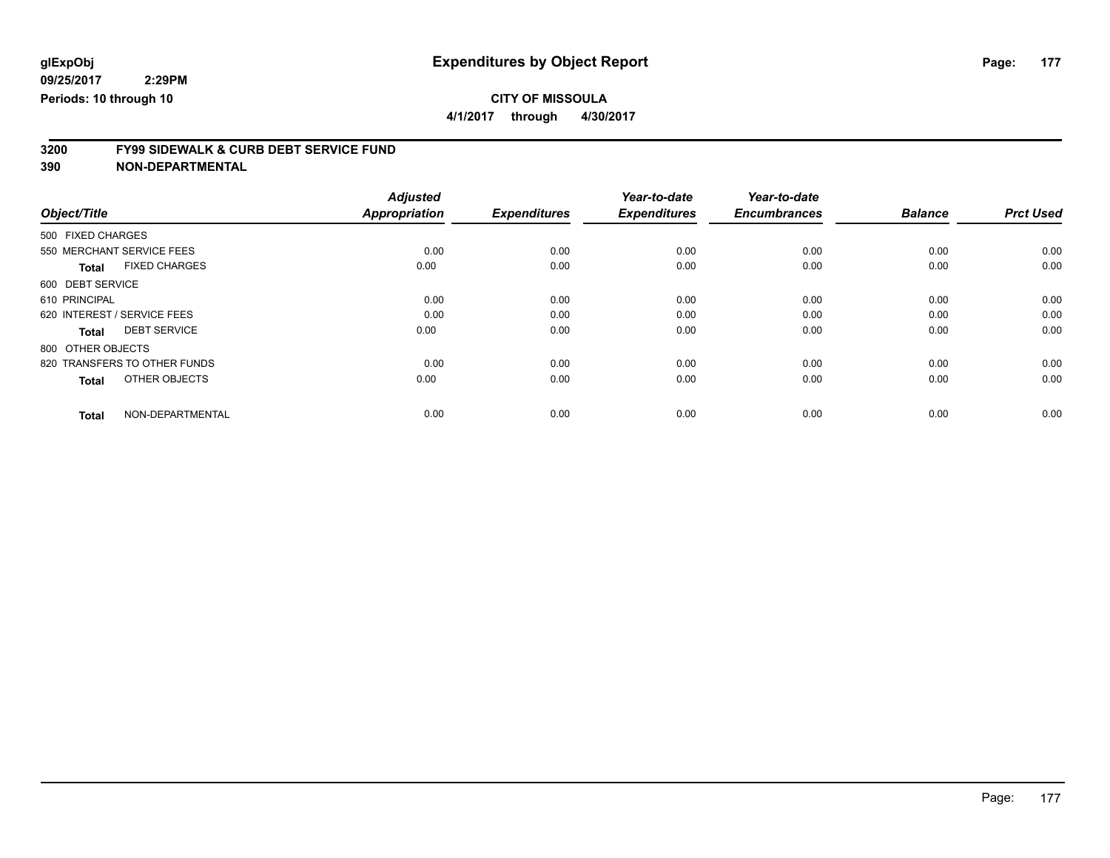**4/1/2017 through 4/30/2017**

# **3200 FY99 SIDEWALK & CURB DEBT SERVICE FUND**

|                                      | <b>Adjusted</b>      |                     | Year-to-date        | Year-to-date        |                |                  |
|--------------------------------------|----------------------|---------------------|---------------------|---------------------|----------------|------------------|
| Object/Title                         | <b>Appropriation</b> | <b>Expenditures</b> | <b>Expenditures</b> | <b>Encumbrances</b> | <b>Balance</b> | <b>Prct Used</b> |
| 500 FIXED CHARGES                    |                      |                     |                     |                     |                |                  |
| 550 MERCHANT SERVICE FEES            | 0.00                 | 0.00                | 0.00                | 0.00                | 0.00           | 0.00             |
| <b>FIXED CHARGES</b><br><b>Total</b> | 0.00                 | 0.00                | 0.00                | 0.00                | 0.00           | 0.00             |
| 600 DEBT SERVICE                     |                      |                     |                     |                     |                |                  |
| 610 PRINCIPAL                        | 0.00                 | 0.00                | 0.00                | 0.00                | 0.00           | 0.00             |
| 620 INTEREST / SERVICE FEES          | 0.00                 | 0.00                | 0.00                | 0.00                | 0.00           | 0.00             |
| <b>DEBT SERVICE</b><br>Total         | 0.00                 | 0.00                | 0.00                | 0.00                | 0.00           | 0.00             |
| 800 OTHER OBJECTS                    |                      |                     |                     |                     |                |                  |
| 820 TRANSFERS TO OTHER FUNDS         | 0.00                 | 0.00                | 0.00                | 0.00                | 0.00           | 0.00             |
| OTHER OBJECTS<br><b>Total</b>        | 0.00                 | 0.00                | 0.00                | 0.00                | 0.00           | 0.00             |
|                                      |                      |                     |                     |                     |                |                  |
| NON-DEPARTMENTAL<br><b>Total</b>     | 0.00                 | 0.00                | 0.00                | 0.00                | 0.00           | 0.00             |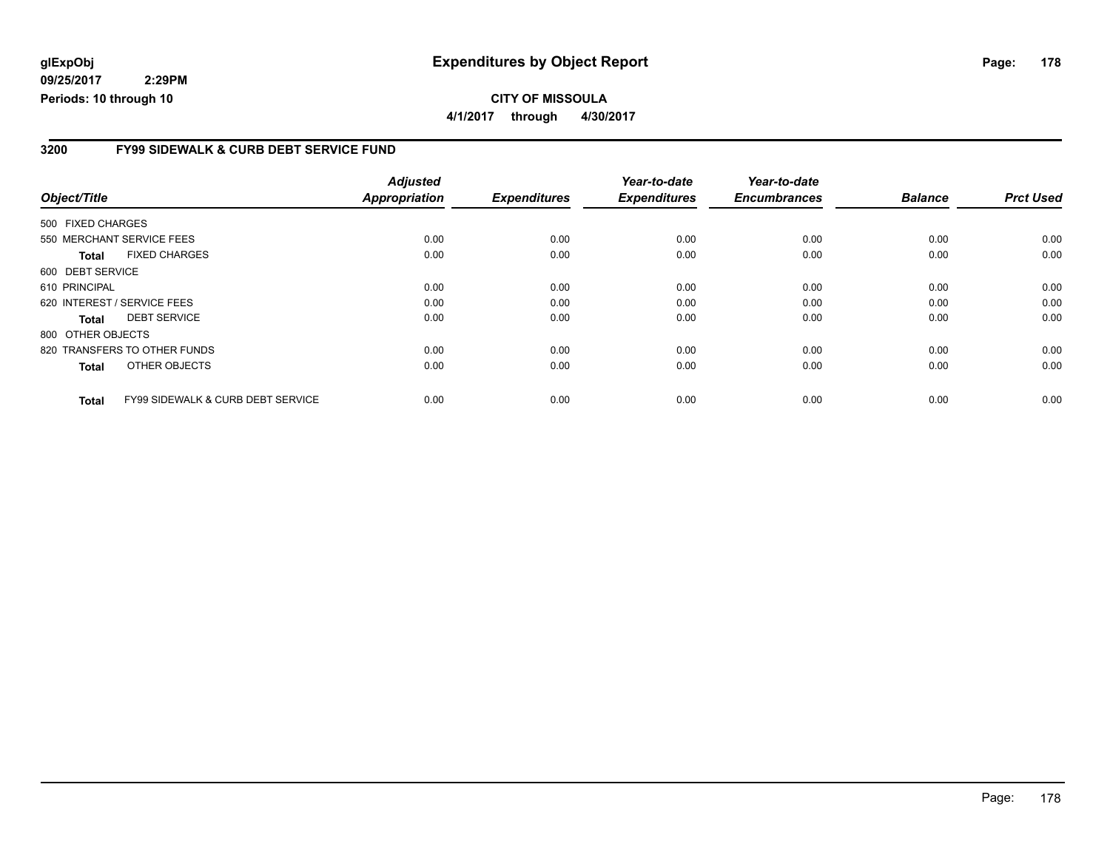### **glExpObj Expenditures by Object Report Page: 178**

**09/25/2017 2:29PM Periods: 10 through 10**

### **3200 FY99 SIDEWALK & CURB DEBT SERVICE FUND**

| Object/Title      |                                              | <b>Adjusted</b><br><b>Appropriation</b> | <b>Expenditures</b> | Year-to-date<br><b>Expenditures</b> | Year-to-date<br><b>Encumbrances</b> | <b>Balance</b> | <b>Prct Used</b> |
|-------------------|----------------------------------------------|-----------------------------------------|---------------------|-------------------------------------|-------------------------------------|----------------|------------------|
| 500 FIXED CHARGES |                                              |                                         |                     |                                     |                                     |                |                  |
|                   | 550 MERCHANT SERVICE FEES                    | 0.00                                    | 0.00                | 0.00                                | 0.00                                | 0.00           | 0.00             |
| <b>Total</b>      | <b>FIXED CHARGES</b>                         | 0.00                                    | 0.00                | 0.00                                | 0.00                                | 0.00           | 0.00             |
| 600 DEBT SERVICE  |                                              |                                         |                     |                                     |                                     |                |                  |
| 610 PRINCIPAL     |                                              | 0.00                                    | 0.00                | 0.00                                | 0.00                                | 0.00           | 0.00             |
|                   | 620 INTEREST / SERVICE FEES                  | 0.00                                    | 0.00                | 0.00                                | 0.00                                | 0.00           | 0.00             |
| <b>Total</b>      | <b>DEBT SERVICE</b>                          | 0.00                                    | 0.00                | 0.00                                | 0.00                                | 0.00           | 0.00             |
| 800 OTHER OBJECTS |                                              |                                         |                     |                                     |                                     |                |                  |
|                   | 820 TRANSFERS TO OTHER FUNDS                 | 0.00                                    | 0.00                | 0.00                                | 0.00                                | 0.00           | 0.00             |
| <b>Total</b>      | OTHER OBJECTS                                | 0.00                                    | 0.00                | 0.00                                | 0.00                                | 0.00           | 0.00             |
| <b>Total</b>      | <b>FY99 SIDEWALK &amp; CURB DEBT SERVICE</b> | 0.00                                    | 0.00                | 0.00                                | 0.00                                | 0.00           | 0.00             |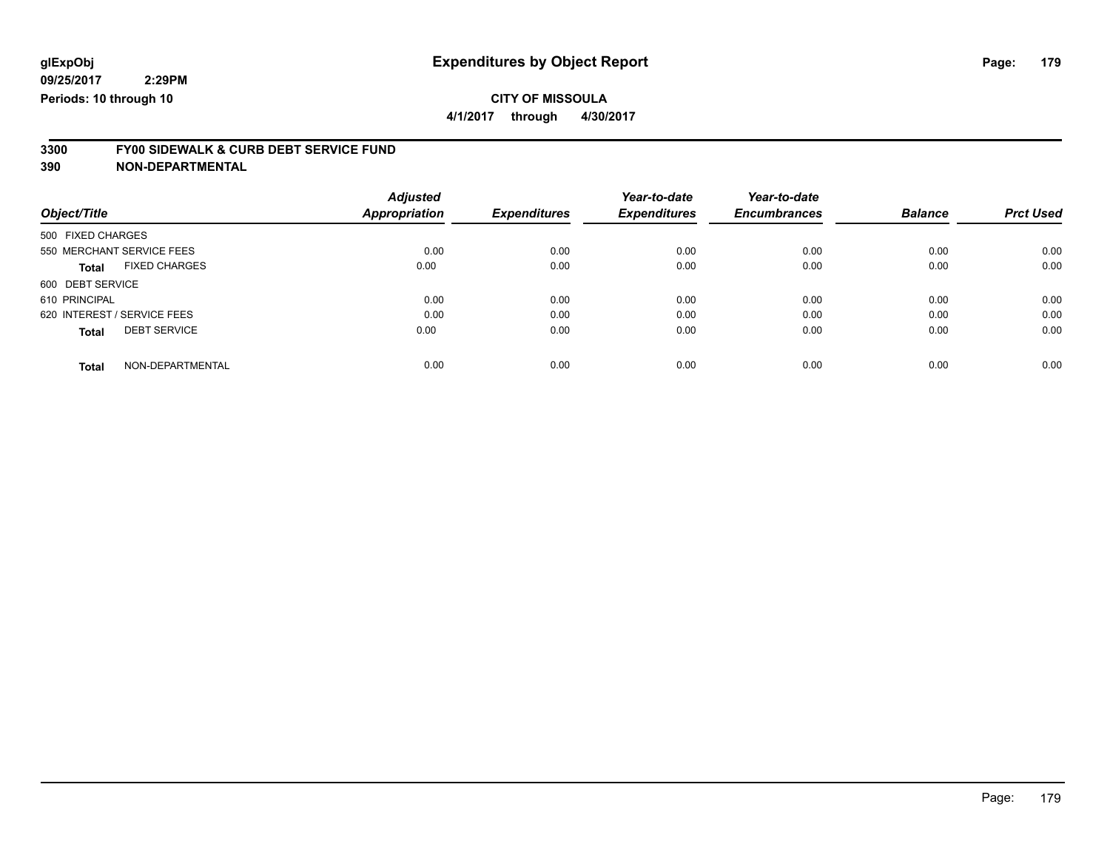**4/1/2017 through 4/30/2017**

# **3300 FY00 SIDEWALK & CURB DEBT SERVICE FUND**

|                             |                      | <b>Adjusted</b>      |                     | Year-to-date        | Year-to-date        |                |                  |
|-----------------------------|----------------------|----------------------|---------------------|---------------------|---------------------|----------------|------------------|
| Object/Title                |                      | <b>Appropriation</b> | <b>Expenditures</b> | <b>Expenditures</b> | <b>Encumbrances</b> | <b>Balance</b> | <b>Prct Used</b> |
| 500 FIXED CHARGES           |                      |                      |                     |                     |                     |                |                  |
| 550 MERCHANT SERVICE FEES   |                      | 0.00                 | 0.00                | 0.00                | 0.00                | 0.00           | 0.00             |
| <b>Total</b>                | <b>FIXED CHARGES</b> | 0.00                 | 0.00                | 0.00                | 0.00                | 0.00           | 0.00             |
| 600 DEBT SERVICE            |                      |                      |                     |                     |                     |                |                  |
| 610 PRINCIPAL               |                      | 0.00                 | 0.00                | 0.00                | 0.00                | 0.00           | 0.00             |
| 620 INTEREST / SERVICE FEES |                      | 0.00                 | 0.00                | 0.00                | 0.00                | 0.00           | 0.00             |
| <b>Total</b>                | <b>DEBT SERVICE</b>  | 0.00                 | 0.00                | 0.00                | 0.00                | 0.00           | 0.00             |
| <b>Total</b>                | NON-DEPARTMENTAL     | 0.00                 | 0.00                | 0.00                | 0.00                | 0.00           | 0.00             |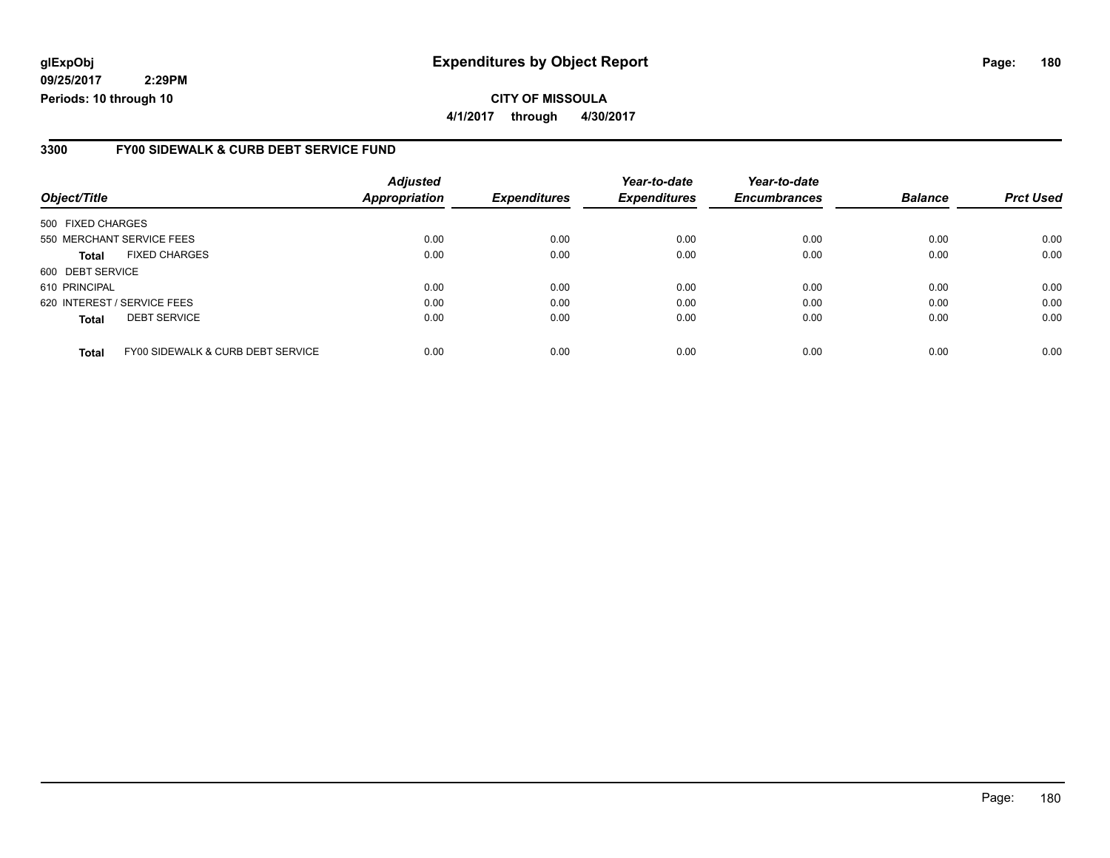### **glExpObj Expenditures by Object Report Page: 180**

**09/25/2017 2:29PM Periods: 10 through 10**

**CITY OF MISSOULA 4/1/2017 through 4/30/2017**

#### **3300 FY00 SIDEWALK & CURB DEBT SERVICE FUND**

| Object/Title                |                                   | <b>Adjusted</b><br>Appropriation | <b>Expenditures</b> | Year-to-date<br><b>Expenditures</b> | Year-to-date<br><b>Encumbrances</b> | <b>Balance</b> | <b>Prct Used</b> |
|-----------------------------|-----------------------------------|----------------------------------|---------------------|-------------------------------------|-------------------------------------|----------------|------------------|
| 500 FIXED CHARGES           |                                   |                                  |                     |                                     |                                     |                |                  |
|                             |                                   |                                  |                     |                                     |                                     |                |                  |
| 550 MERCHANT SERVICE FEES   |                                   | 0.00                             | 0.00                | 0.00                                | 0.00                                | 0.00           | 0.00             |
| <b>Total</b>                | <b>FIXED CHARGES</b>              | 0.00                             | 0.00                | 0.00                                | 0.00                                | 0.00           | 0.00             |
| 600 DEBT SERVICE            |                                   |                                  |                     |                                     |                                     |                |                  |
| 610 PRINCIPAL               |                                   | 0.00                             | 0.00                | 0.00                                | 0.00                                | 0.00           | 0.00             |
| 620 INTEREST / SERVICE FEES |                                   | 0.00                             | 0.00                | 0.00                                | 0.00                                | 0.00           | 0.00             |
| <b>Total</b>                | <b>DEBT SERVICE</b>               | 0.00                             | 0.00                | 0.00                                | 0.00                                | 0.00           | 0.00             |
|                             |                                   |                                  |                     |                                     |                                     |                |                  |
| <b>Total</b>                | FY00 SIDEWALK & CURB DEBT SERVICE | 0.00                             | 0.00                | 0.00                                | 0.00                                | 0.00           | 0.00             |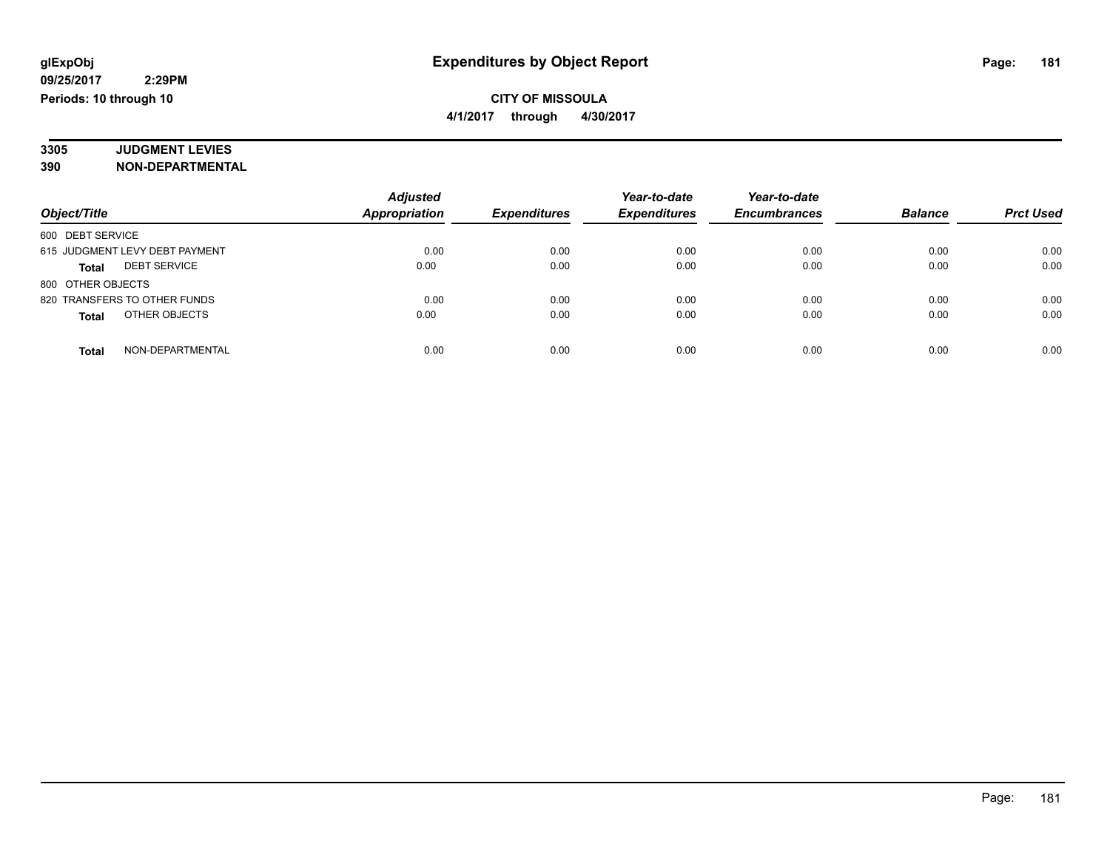### **CITY OF MISSOULA 4/1/2017 through 4/30/2017**

#### **3305 JUDGMENT LEVIES 390 NON-DEPARTMENTAL**

|                                     | <b>Adjusted</b>      |                     | Year-to-date        | Year-to-date        |                |                  |
|-------------------------------------|----------------------|---------------------|---------------------|---------------------|----------------|------------------|
| Object/Title                        | <b>Appropriation</b> | <b>Expenditures</b> | <b>Expenditures</b> | <b>Encumbrances</b> | <b>Balance</b> | <b>Prct Used</b> |
| 600 DEBT SERVICE                    |                      |                     |                     |                     |                |                  |
| 615 JUDGMENT LEVY DEBT PAYMENT      | 0.00                 | 0.00                | 0.00                | 0.00                | 0.00           | 0.00             |
| <b>DEBT SERVICE</b><br><b>Total</b> | 0.00                 | 0.00                | 0.00                | 0.00                | 0.00           | 0.00             |
| 800 OTHER OBJECTS                   |                      |                     |                     |                     |                |                  |
| 820 TRANSFERS TO OTHER FUNDS        | 0.00                 | 0.00                | 0.00                | 0.00                | 0.00           | 0.00             |
| OTHER OBJECTS<br>Total              | 0.00                 | 0.00                | 0.00                | 0.00                | 0.00           | 0.00             |
| NON-DEPARTMENTAL<br><b>Total</b>    | 0.00                 | 0.00                | 0.00                | 0.00                | 0.00           | 0.00             |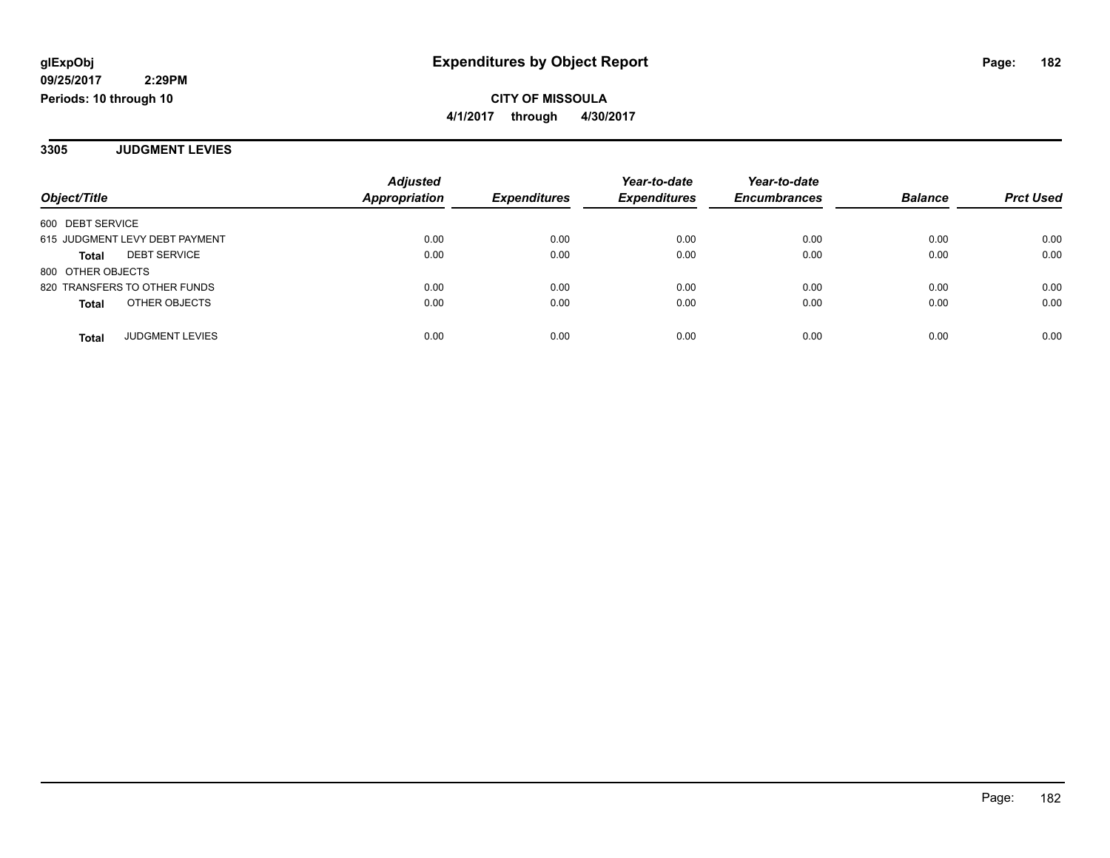**CITY OF MISSOULA 4/1/2017 through 4/30/2017**

**3305 JUDGMENT LEVIES**

|                                        | <b>Adjusted</b> |                     | Year-to-date        | Year-to-date        |                |                  |
|----------------------------------------|-----------------|---------------------|---------------------|---------------------|----------------|------------------|
| Object/Title                           | Appropriation   | <b>Expenditures</b> | <b>Expenditures</b> | <b>Encumbrances</b> | <b>Balance</b> | <b>Prct Used</b> |
| 600 DEBT SERVICE                       |                 |                     |                     |                     |                |                  |
| 615 JUDGMENT LEVY DEBT PAYMENT         | 0.00            | 0.00                | 0.00                | 0.00                | 0.00           | 0.00             |
| <b>DEBT SERVICE</b><br>Total           | 0.00            | 0.00                | 0.00                | 0.00                | 0.00           | 0.00             |
| 800 OTHER OBJECTS                      |                 |                     |                     |                     |                |                  |
| 820 TRANSFERS TO OTHER FUNDS           | 0.00            | 0.00                | 0.00                | 0.00                | 0.00           | 0.00             |
| OTHER OBJECTS<br><b>Total</b>          | 0.00            | 0.00                | 0.00                | 0.00                | 0.00           | 0.00             |
|                                        |                 |                     |                     |                     |                |                  |
| <b>JUDGMENT LEVIES</b><br><b>Total</b> | 0.00            | 0.00                | 0.00                | 0.00                | 0.00           | 0.00             |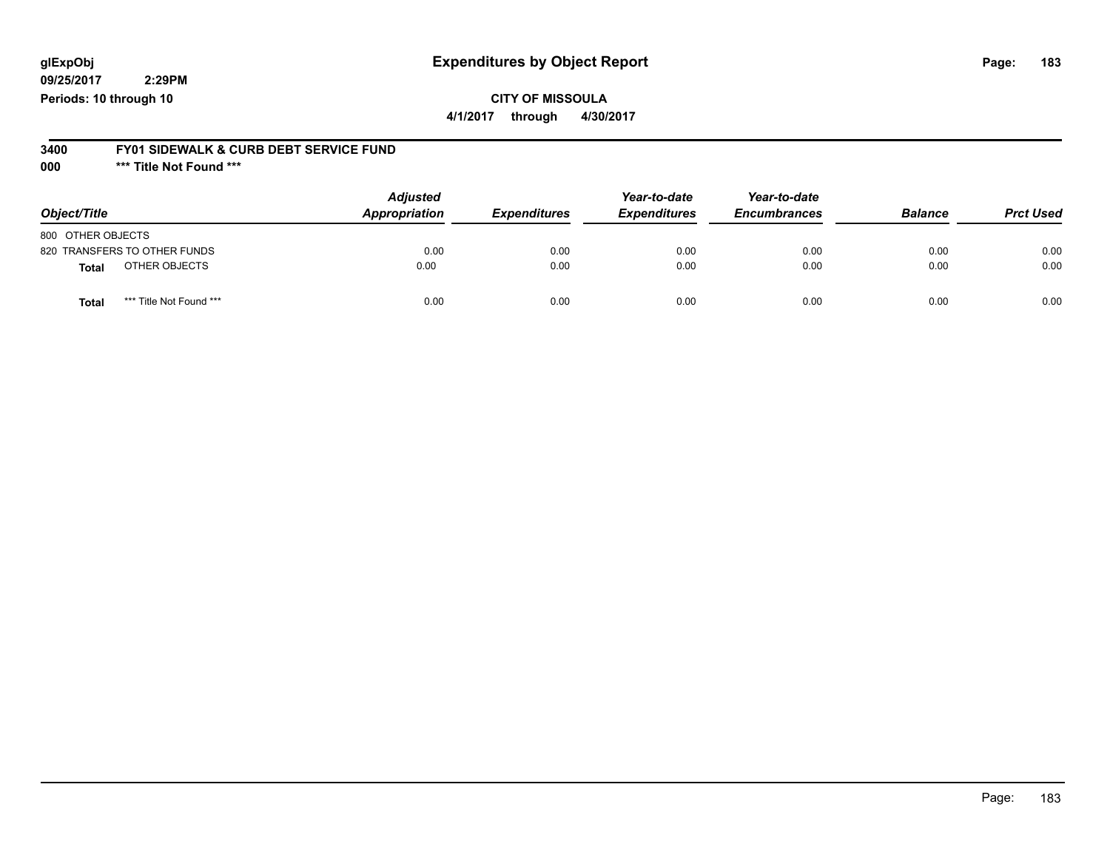## **glExpObj Expenditures by Object Report Page: 183**

**09/25/2017 2:29PM Periods: 10 through 10**

**CITY OF MISSOULA**

**4/1/2017 through 4/30/2017**

#### **3400 FY01 SIDEWALK & CURB DEBT SERVICE FUND**

**000 \*\*\* Title Not Found \*\*\***

| Object/Title                            | <b>Adjusted</b><br>Appropriation | <b>Expenditures</b> | Year-to-date<br><b>Expenditures</b> | Year-to-date<br><b>Encumbrances</b> | <b>Balance</b> | <b>Prct Used</b> |
|-----------------------------------------|----------------------------------|---------------------|-------------------------------------|-------------------------------------|----------------|------------------|
| 800 OTHER OBJECTS                       |                                  |                     |                                     |                                     |                |                  |
| 820 TRANSFERS TO OTHER FUNDS            | 0.00                             | 0.00                | 0.00                                | 0.00                                | 0.00           | 0.00             |
| OTHER OBJECTS<br><b>Total</b>           | 0.00                             | 0.00                | 0.00                                | 0.00                                | 0.00           | 0.00             |
| *** Title Not Found ***<br><b>Total</b> | 0.00                             | 0.00                | 0.00                                | 0.00                                | 0.00           | 0.00             |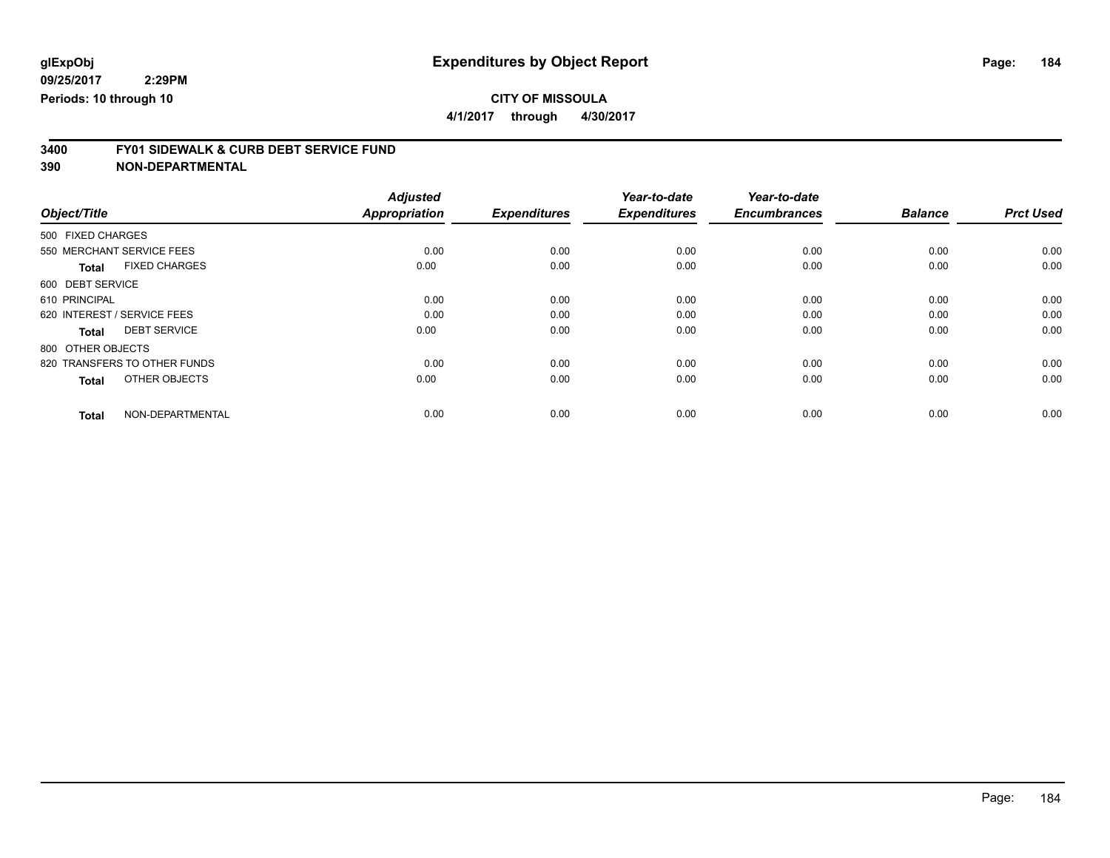**4/1/2017 through 4/30/2017**

# **3400 FY01 SIDEWALK & CURB DEBT SERVICE FUND**

| Object/Title                         | <b>Adjusted</b><br>Appropriation | <b>Expenditures</b> | Year-to-date<br><b>Expenditures</b> | Year-to-date<br><b>Encumbrances</b> | <b>Balance</b> | <b>Prct Used</b> |
|--------------------------------------|----------------------------------|---------------------|-------------------------------------|-------------------------------------|----------------|------------------|
|                                      |                                  |                     |                                     |                                     |                |                  |
| 500 FIXED CHARGES                    |                                  |                     |                                     |                                     |                |                  |
| 550 MERCHANT SERVICE FEES            | 0.00                             | 0.00                | 0.00                                | 0.00                                | 0.00           | 0.00             |
| <b>FIXED CHARGES</b><br><b>Total</b> | 0.00                             | 0.00                | 0.00                                | 0.00                                | 0.00           | 0.00             |
| 600 DEBT SERVICE                     |                                  |                     |                                     |                                     |                |                  |
| 610 PRINCIPAL                        | 0.00                             | 0.00                | 0.00                                | 0.00                                | 0.00           | 0.00             |
| 620 INTEREST / SERVICE FEES          | 0.00                             | 0.00                | 0.00                                | 0.00                                | 0.00           | 0.00             |
| <b>DEBT SERVICE</b><br><b>Total</b>  | 0.00                             | 0.00                | 0.00                                | 0.00                                | 0.00           | 0.00             |
| 800 OTHER OBJECTS                    |                                  |                     |                                     |                                     |                |                  |
| 820 TRANSFERS TO OTHER FUNDS         | 0.00                             | 0.00                | 0.00                                | 0.00                                | 0.00           | 0.00             |
| OTHER OBJECTS<br><b>Total</b>        | 0.00                             | 0.00                | 0.00                                | 0.00                                | 0.00           | 0.00             |
|                                      |                                  |                     |                                     |                                     |                |                  |
| NON-DEPARTMENTAL<br><b>Total</b>     | 0.00                             | 0.00                | 0.00                                | 0.00                                | 0.00           | 0.00             |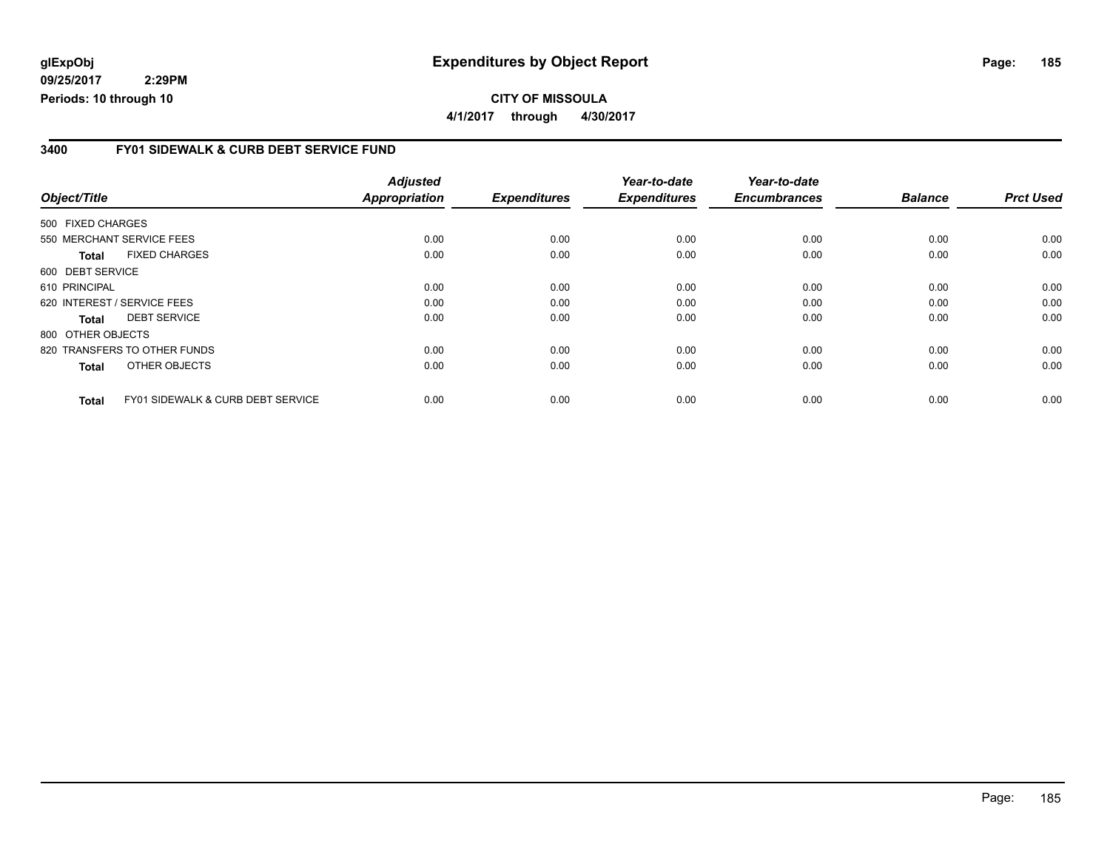### **glExpObj Expenditures by Object Report Page: 185**

**09/25/2017 2:29PM Periods: 10 through 10**

#### **3400 FY01 SIDEWALK & CURB DEBT SERVICE FUND**

| Object/Title      |                                              | <b>Adjusted</b><br><b>Appropriation</b> | <b>Expenditures</b> | Year-to-date<br><b>Expenditures</b> | Year-to-date<br><b>Encumbrances</b> | <b>Balance</b> | <b>Prct Used</b> |
|-------------------|----------------------------------------------|-----------------------------------------|---------------------|-------------------------------------|-------------------------------------|----------------|------------------|
| 500 FIXED CHARGES |                                              |                                         |                     |                                     |                                     |                |                  |
|                   | 550 MERCHANT SERVICE FEES                    | 0.00                                    | 0.00                | 0.00                                | 0.00                                | 0.00           | 0.00             |
| <b>Total</b>      | <b>FIXED CHARGES</b>                         | 0.00                                    | 0.00                | 0.00                                | 0.00                                | 0.00           | 0.00             |
| 600 DEBT SERVICE  |                                              |                                         |                     |                                     |                                     |                |                  |
| 610 PRINCIPAL     |                                              | 0.00                                    | 0.00                | 0.00                                | 0.00                                | 0.00           | 0.00             |
|                   | 620 INTEREST / SERVICE FEES                  | 0.00                                    | 0.00                | 0.00                                | 0.00                                | 0.00           | 0.00             |
| <b>Total</b>      | <b>DEBT SERVICE</b>                          | 0.00                                    | 0.00                | 0.00                                | 0.00                                | 0.00           | 0.00             |
| 800 OTHER OBJECTS |                                              |                                         |                     |                                     |                                     |                |                  |
|                   | 820 TRANSFERS TO OTHER FUNDS                 | 0.00                                    | 0.00                | 0.00                                | 0.00                                | 0.00           | 0.00             |
| <b>Total</b>      | OTHER OBJECTS                                | 0.00                                    | 0.00                | 0.00                                | 0.00                                | 0.00           | 0.00             |
| <b>Total</b>      | <b>FY01 SIDEWALK &amp; CURB DEBT SERVICE</b> | 0.00                                    | 0.00                | 0.00                                | 0.00                                | 0.00           | 0.00             |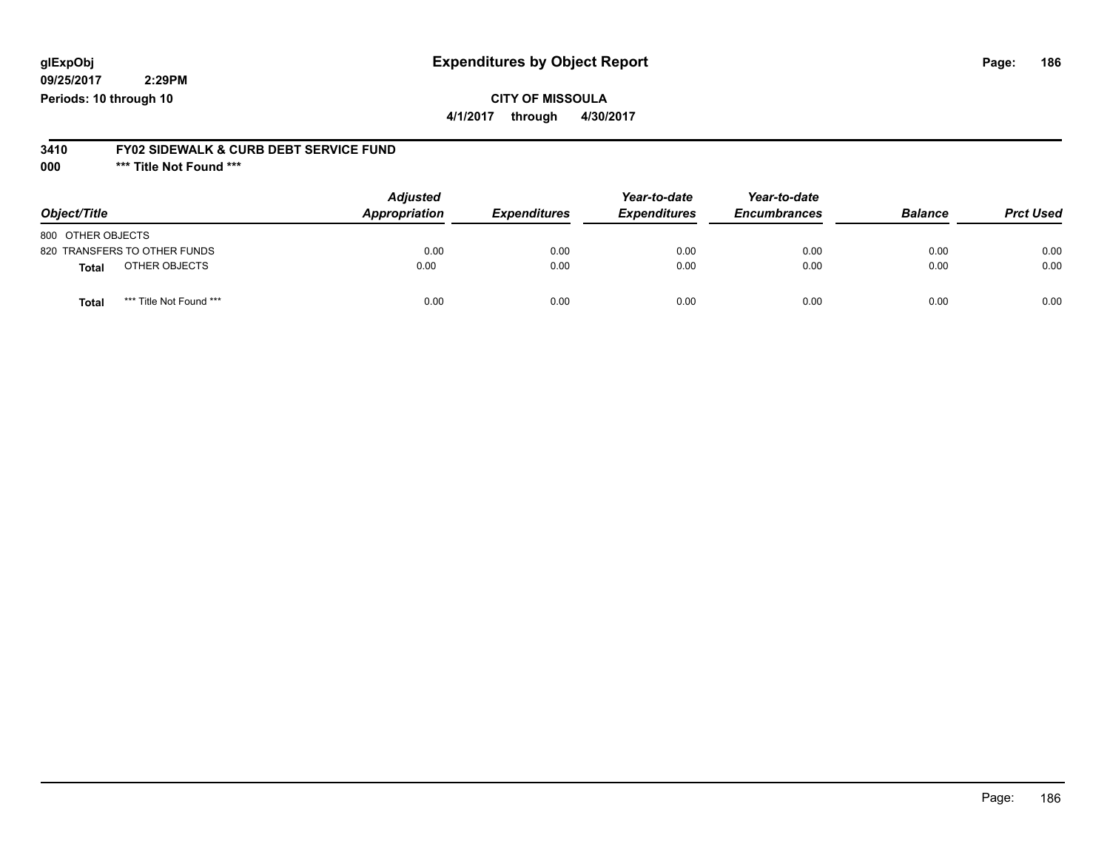## **glExpObj Expenditures by Object Report Page: 186**

**09/25/2017 2:29PM Periods: 10 through 10**

**CITY OF MISSOULA**

**4/1/2017 through 4/30/2017**

#### **3410 FY02 SIDEWALK & CURB DEBT SERVICE FUND**

**000 \*\*\* Title Not Found \*\*\***

| Object/Title                     | <b>Adjusted</b><br>Appropriation | <b>Expenditures</b> | Year-to-date<br><b>Expenditures</b> | Year-to-date<br><b>Encumbrances</b> | <b>Balance</b> | <b>Prct Used</b> |
|----------------------------------|----------------------------------|---------------------|-------------------------------------|-------------------------------------|----------------|------------------|
| 800 OTHER OBJECTS                |                                  |                     |                                     |                                     |                |                  |
| 820 TRANSFERS TO OTHER FUNDS     | 0.00                             | 0.00                | 0.00                                | 0.00                                | 0.00           | 0.00             |
| OTHER OBJECTS<br>Total           | 0.00                             | 0.00                | 0.00                                | 0.00                                | 0.00           | 0.00             |
| *** Title Not Found ***<br>Total | 0.00                             | 0.00                | 0.00                                | 0.00                                | 0.00           | 0.00             |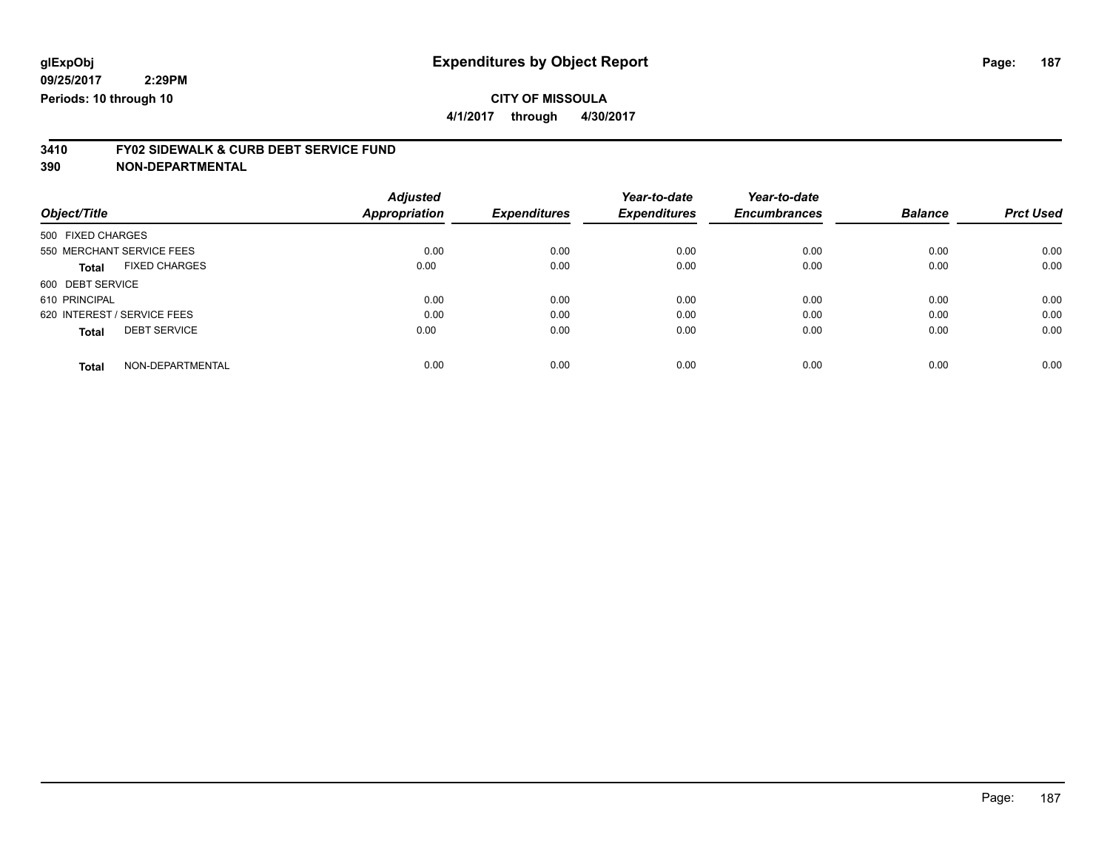**4/1/2017 through 4/30/2017**

# **3410 FY02 SIDEWALK & CURB DEBT SERVICE FUND**

|                                      | <b>Adjusted</b> |                     | Year-to-date        | Year-to-date        |                |                  |
|--------------------------------------|-----------------|---------------------|---------------------|---------------------|----------------|------------------|
| Object/Title                         | Appropriation   | <b>Expenditures</b> | <b>Expenditures</b> | <b>Encumbrances</b> | <b>Balance</b> | <b>Prct Used</b> |
| 500 FIXED CHARGES                    |                 |                     |                     |                     |                |                  |
| 550 MERCHANT SERVICE FEES            | 0.00            | 0.00                | 0.00                | 0.00                | 0.00           | 0.00             |
| <b>FIXED CHARGES</b><br><b>Total</b> | 0.00            | 0.00                | 0.00                | 0.00                | 0.00           | 0.00             |
| 600 DEBT SERVICE                     |                 |                     |                     |                     |                |                  |
| 610 PRINCIPAL                        | 0.00            | 0.00                | 0.00                | 0.00                | 0.00           | 0.00             |
| 620 INTEREST / SERVICE FEES          | 0.00            | 0.00                | 0.00                | 0.00                | 0.00           | 0.00             |
| <b>DEBT SERVICE</b><br><b>Total</b>  | 0.00            | 0.00                | 0.00                | 0.00                | 0.00           | 0.00             |
| NON-DEPARTMENTAL<br><b>Total</b>     | 0.00            | 0.00                | 0.00                | 0.00                | 0.00           | 0.00             |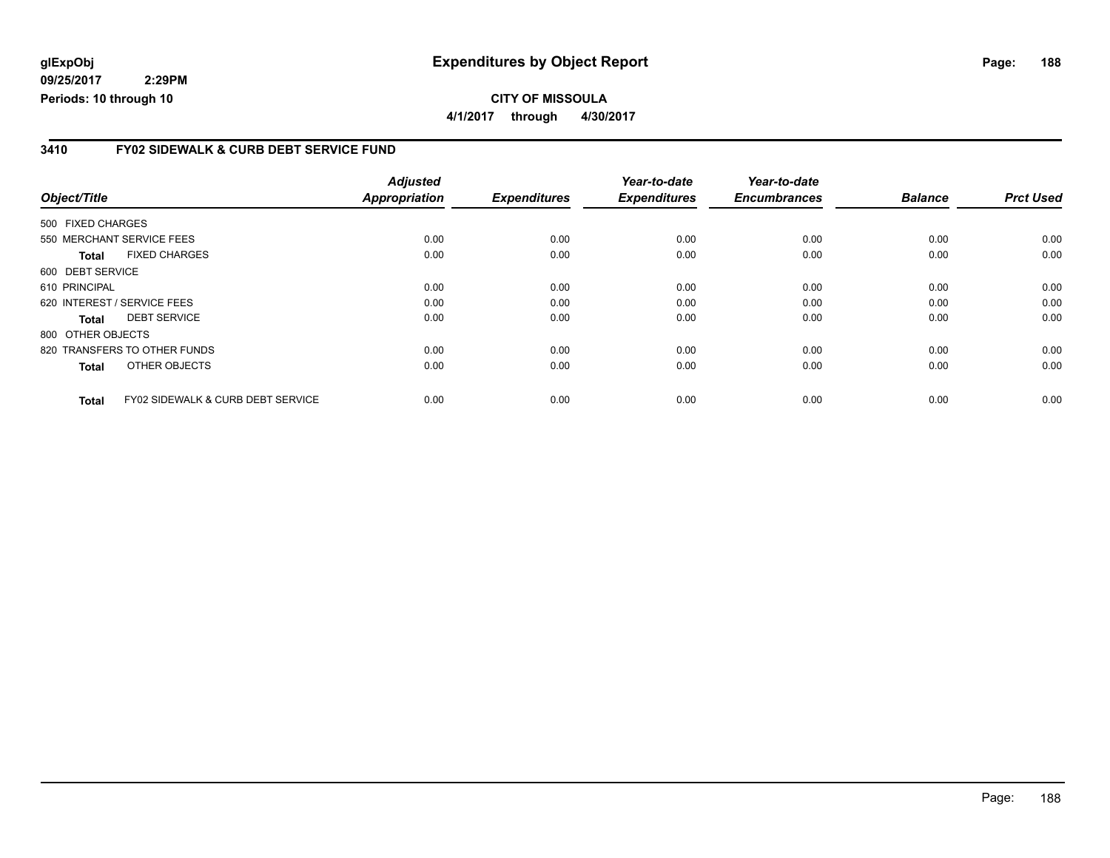## **glExpObj Expenditures by Object Report Page: 188**

**09/25/2017 2:29PM Periods: 10 through 10**

**4/1/2017 through 4/30/2017**

#### **3410 FY02 SIDEWALK & CURB DEBT SERVICE FUND**

|                             |                                              | <b>Adjusted</b>      |                     | Year-to-date        | Year-to-date        |                |                  |
|-----------------------------|----------------------------------------------|----------------------|---------------------|---------------------|---------------------|----------------|------------------|
| Object/Title                |                                              | <b>Appropriation</b> | <b>Expenditures</b> | <b>Expenditures</b> | <b>Encumbrances</b> | <b>Balance</b> | <b>Prct Used</b> |
| 500 FIXED CHARGES           |                                              |                      |                     |                     |                     |                |                  |
| 550 MERCHANT SERVICE FEES   |                                              | 0.00                 | 0.00                | 0.00                | 0.00                | 0.00           | 0.00             |
| Total                       | <b>FIXED CHARGES</b>                         | 0.00                 | 0.00                | 0.00                | 0.00                | 0.00           | 0.00             |
| 600 DEBT SERVICE            |                                              |                      |                     |                     |                     |                |                  |
| 610 PRINCIPAL               |                                              | 0.00                 | 0.00                | 0.00                | 0.00                | 0.00           | 0.00             |
| 620 INTEREST / SERVICE FEES |                                              | 0.00                 | 0.00                | 0.00                | 0.00                | 0.00           | 0.00             |
| <b>Total</b>                | <b>DEBT SERVICE</b>                          | 0.00                 | 0.00                | 0.00                | 0.00                | 0.00           | 0.00             |
| 800 OTHER OBJECTS           |                                              |                      |                     |                     |                     |                |                  |
|                             | 820 TRANSFERS TO OTHER FUNDS                 | 0.00                 | 0.00                | 0.00                | 0.00                | 0.00           | 0.00             |
| <b>Total</b>                | OTHER OBJECTS                                | 0.00                 | 0.00                | 0.00                | 0.00                | 0.00           | 0.00             |
| <b>Total</b>                | <b>FY02 SIDEWALK &amp; CURB DEBT SERVICE</b> | 0.00                 | 0.00                | 0.00                | 0.00                | 0.00           | 0.00             |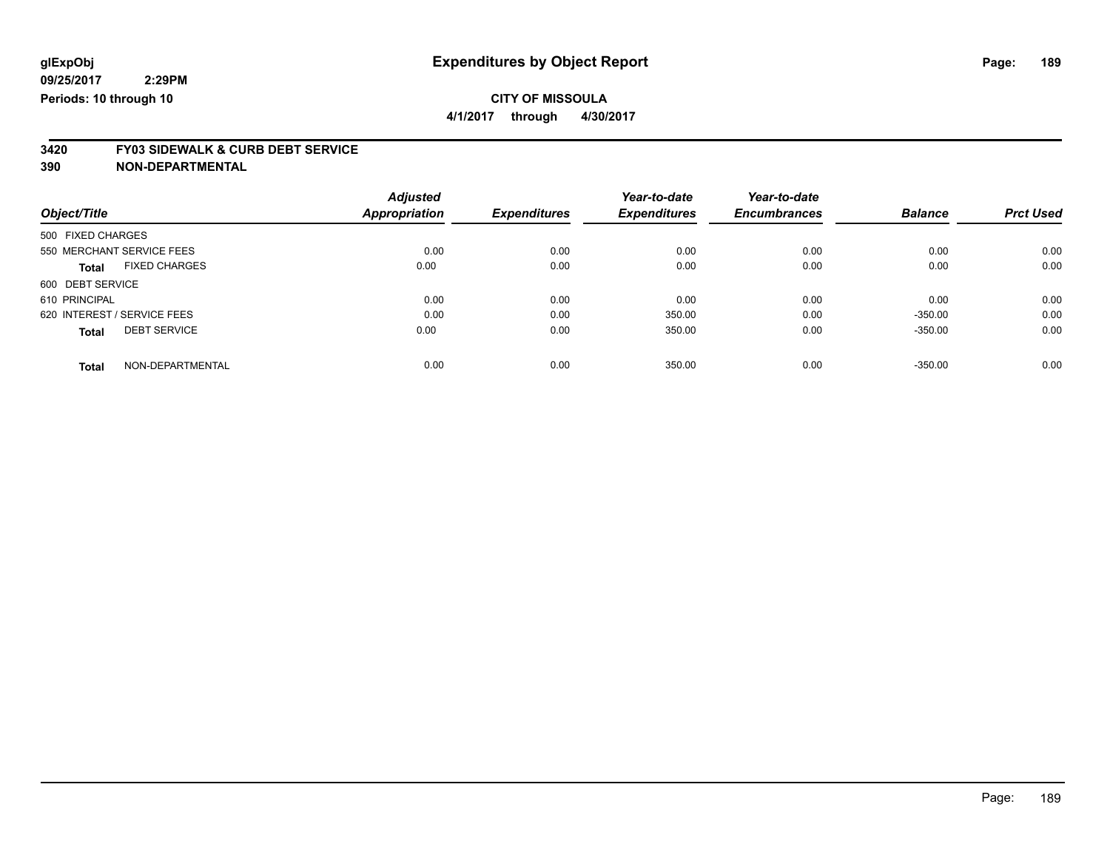**4/1/2017 through 4/30/2017**

# **3420 FY03 SIDEWALK & CURB DEBT SERVICE**

|                             |                      | <b>Adjusted</b>      |                     | Year-to-date        | Year-to-date        |                |                  |
|-----------------------------|----------------------|----------------------|---------------------|---------------------|---------------------|----------------|------------------|
| Object/Title                |                      | <b>Appropriation</b> | <b>Expenditures</b> | <b>Expenditures</b> | <b>Encumbrances</b> | <b>Balance</b> | <b>Prct Used</b> |
| 500 FIXED CHARGES           |                      |                      |                     |                     |                     |                |                  |
| 550 MERCHANT SERVICE FEES   |                      | 0.00                 | 0.00                | 0.00                | 0.00                | 0.00           | 0.00             |
| <b>Total</b>                | <b>FIXED CHARGES</b> | 0.00                 | 0.00                | 0.00                | 0.00                | 0.00           | 0.00             |
| 600 DEBT SERVICE            |                      |                      |                     |                     |                     |                |                  |
| 610 PRINCIPAL               |                      | 0.00                 | 0.00                | 0.00                | 0.00                | 0.00           | 0.00             |
| 620 INTEREST / SERVICE FEES |                      | 0.00                 | 0.00                | 350.00              | 0.00                | $-350.00$      | 0.00             |
| <b>Total</b>                | <b>DEBT SERVICE</b>  | 0.00                 | 0.00                | 350.00              | 0.00                | $-350.00$      | 0.00             |
| <b>Total</b>                | NON-DEPARTMENTAL     | 0.00                 | 0.00                | 350.00              | 0.00                | $-350.00$      | 0.00             |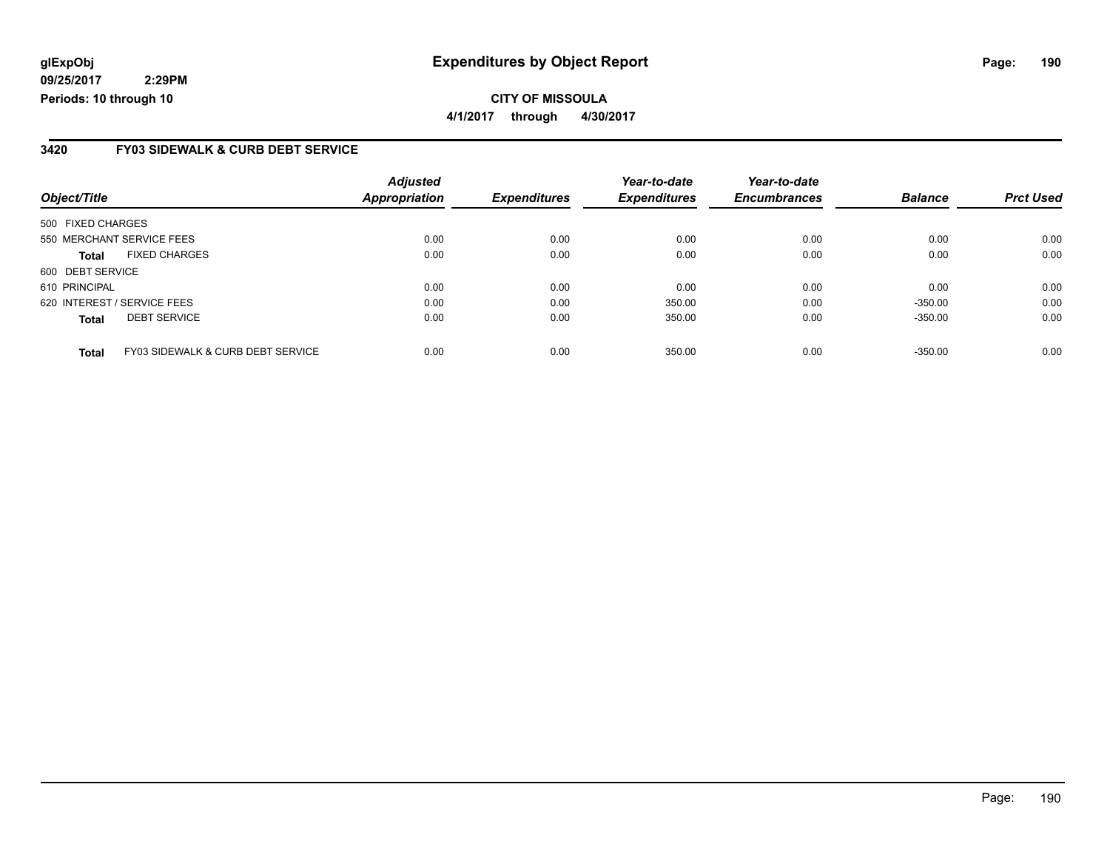## **glExpObj Expenditures by Object Report Page: 190**

**09/25/2017 2:29PM Periods: 10 through 10**

#### **3420 FY03 SIDEWALK & CURB DEBT SERVICE**

| Object/Title                |                                   | <b>Adjusted</b><br><b>Appropriation</b> | <b>Expenditures</b> | Year-to-date<br><b>Expenditures</b> | Year-to-date<br><b>Encumbrances</b> | <b>Balance</b> | <b>Prct Used</b> |
|-----------------------------|-----------------------------------|-----------------------------------------|---------------------|-------------------------------------|-------------------------------------|----------------|------------------|
|                             |                                   |                                         |                     |                                     |                                     |                |                  |
| 500 FIXED CHARGES           |                                   |                                         |                     |                                     |                                     |                |                  |
| 550 MERCHANT SERVICE FEES   |                                   | 0.00                                    | 0.00                | 0.00                                | 0.00                                | 0.00           | 0.00             |
| Total                       | <b>FIXED CHARGES</b>              | 0.00                                    | 0.00                | 0.00                                | 0.00                                | 0.00           | 0.00             |
| 600 DEBT SERVICE            |                                   |                                         |                     |                                     |                                     |                |                  |
| 610 PRINCIPAL               |                                   | 0.00                                    | 0.00                | 0.00                                | 0.00                                | 0.00           | 0.00             |
| 620 INTEREST / SERVICE FEES |                                   | 0.00                                    | 0.00                | 350.00                              | 0.00                                | $-350.00$      | 0.00             |
| <b>Total</b>                | <b>DEBT SERVICE</b>               | 0.00                                    | 0.00                | 350.00                              | 0.00                                | $-350.00$      | 0.00             |
| <b>Total</b>                | FY03 SIDEWALK & CURB DEBT SERVICE | 0.00                                    | 0.00                | 350.00                              | 0.00                                | $-350.00$      | 0.00             |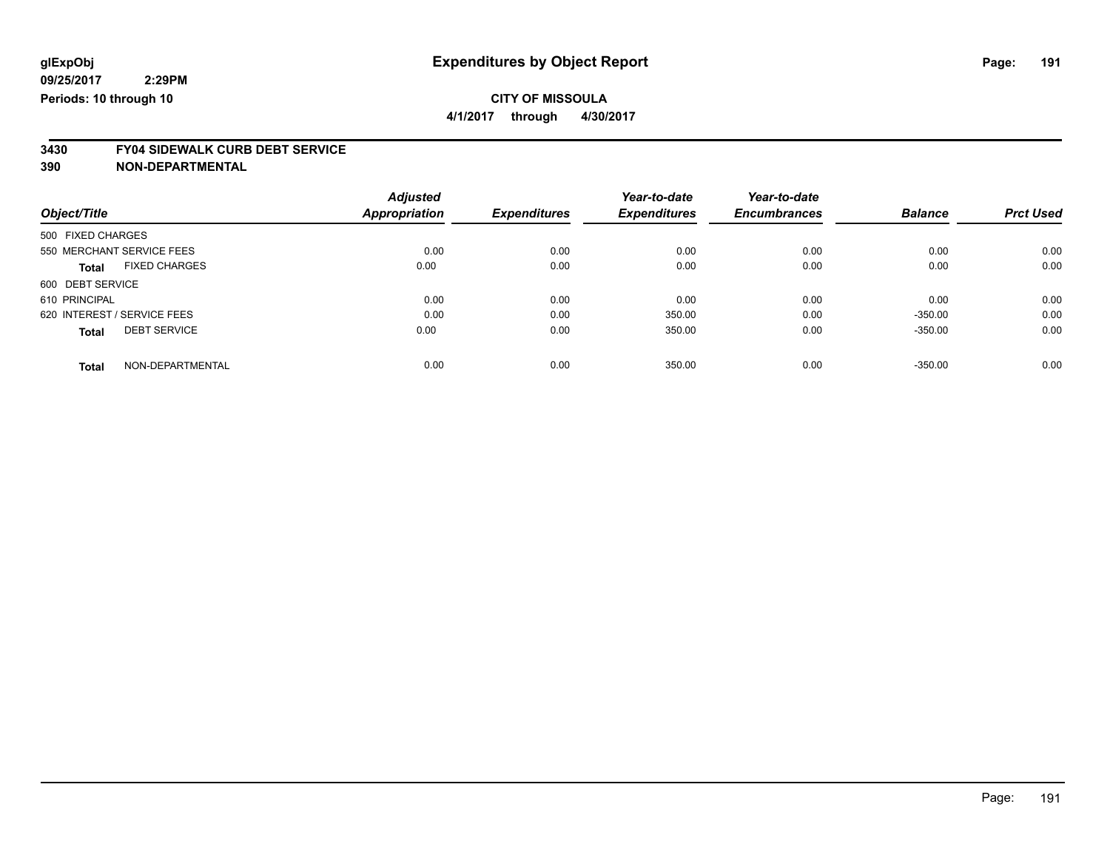**4/1/2017 through 4/30/2017**

# **3430 FY04 SIDEWALK CURB DEBT SERVICE**

|                             |                      | <b>Adjusted</b>      |                     | Year-to-date        | Year-to-date        |                |                  |
|-----------------------------|----------------------|----------------------|---------------------|---------------------|---------------------|----------------|------------------|
| Object/Title                |                      | <b>Appropriation</b> | <b>Expenditures</b> | <b>Expenditures</b> | <b>Encumbrances</b> | <b>Balance</b> | <b>Prct Used</b> |
| 500 FIXED CHARGES           |                      |                      |                     |                     |                     |                |                  |
| 550 MERCHANT SERVICE FEES   |                      | 0.00                 | 0.00                | 0.00                | 0.00                | 0.00           | 0.00             |
| <b>Total</b>                | <b>FIXED CHARGES</b> | 0.00                 | 0.00                | 0.00                | 0.00                | 0.00           | 0.00             |
| 600 DEBT SERVICE            |                      |                      |                     |                     |                     |                |                  |
| 610 PRINCIPAL               |                      | 0.00                 | 0.00                | 0.00                | 0.00                | 0.00           | 0.00             |
| 620 INTEREST / SERVICE FEES |                      | 0.00                 | 0.00                | 350.00              | 0.00                | $-350.00$      | 0.00             |
| <b>Total</b>                | <b>DEBT SERVICE</b>  | 0.00                 | 0.00                | 350.00              | 0.00                | $-350.00$      | 0.00             |
| <b>Total</b>                | NON-DEPARTMENTAL     | 0.00                 | 0.00                | 350.00              | 0.00                | $-350.00$      | 0.00             |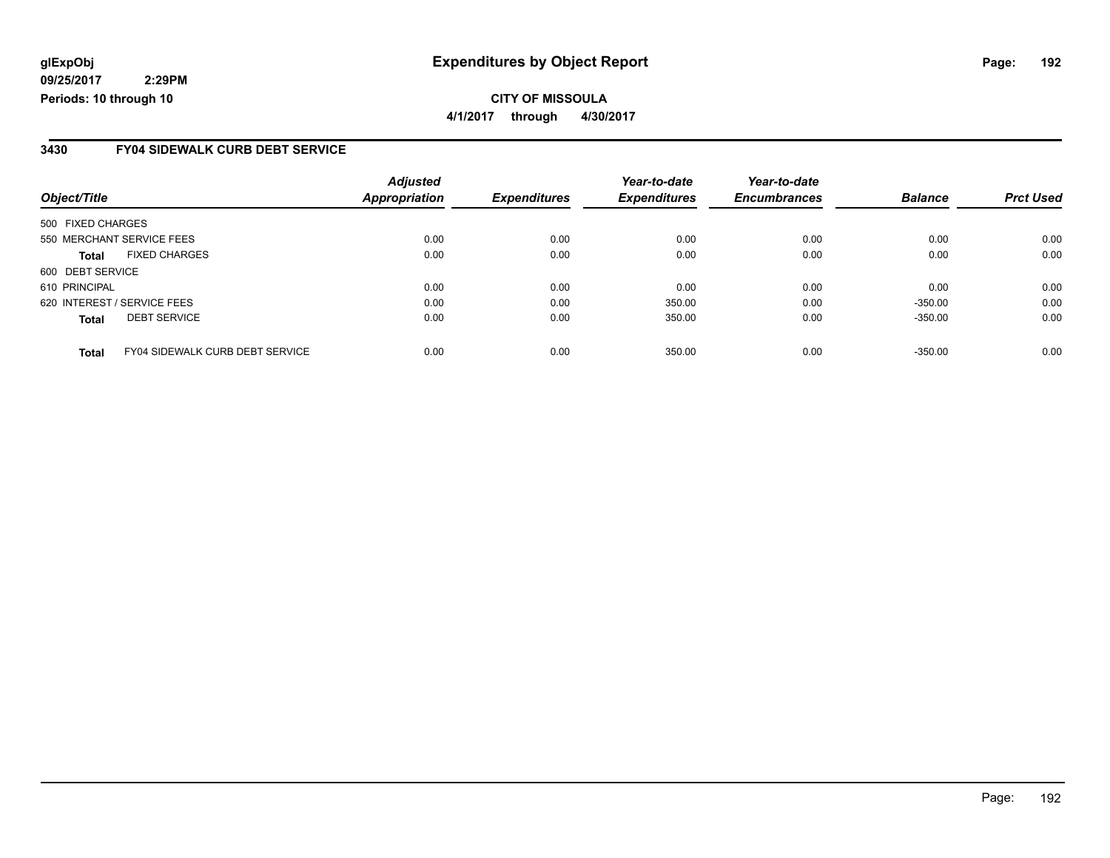**CITY OF MISSOULA 4/1/2017 through 4/30/2017**

### **3430 FY04 SIDEWALK CURB DEBT SERVICE**

| Object/Title                                           | <b>Adjusted</b><br><b>Appropriation</b> | <b>Expenditures</b> | Year-to-date<br><b>Expenditures</b> | Year-to-date<br><b>Encumbrances</b> | <b>Balance</b> | <b>Prct Used</b> |
|--------------------------------------------------------|-----------------------------------------|---------------------|-------------------------------------|-------------------------------------|----------------|------------------|
|                                                        |                                         |                     |                                     |                                     |                |                  |
| 500 FIXED CHARGES                                      |                                         |                     |                                     |                                     |                |                  |
| 550 MERCHANT SERVICE FEES                              | 0.00                                    | 0.00                | 0.00                                | 0.00                                | 0.00           | 0.00             |
| <b>FIXED CHARGES</b><br><b>Total</b>                   | 0.00                                    | 0.00                | 0.00                                | 0.00                                | 0.00           | 0.00             |
| 600 DEBT SERVICE                                       |                                         |                     |                                     |                                     |                |                  |
| 610 PRINCIPAL                                          | 0.00                                    | 0.00                | 0.00                                | 0.00                                | 0.00           | 0.00             |
| 620 INTEREST / SERVICE FEES                            | 0.00                                    | 0.00                | 350.00                              | 0.00                                | $-350.00$      | 0.00             |
| <b>DEBT SERVICE</b><br><b>Total</b>                    | 0.00                                    | 0.00                | 350.00                              | 0.00                                | $-350.00$      | 0.00             |
| <b>FY04 SIDEWALK CURB DEBT SERVICE</b><br><b>Total</b> | 0.00                                    | 0.00                | 350.00                              | 0.00                                | $-350.00$      | 0.00             |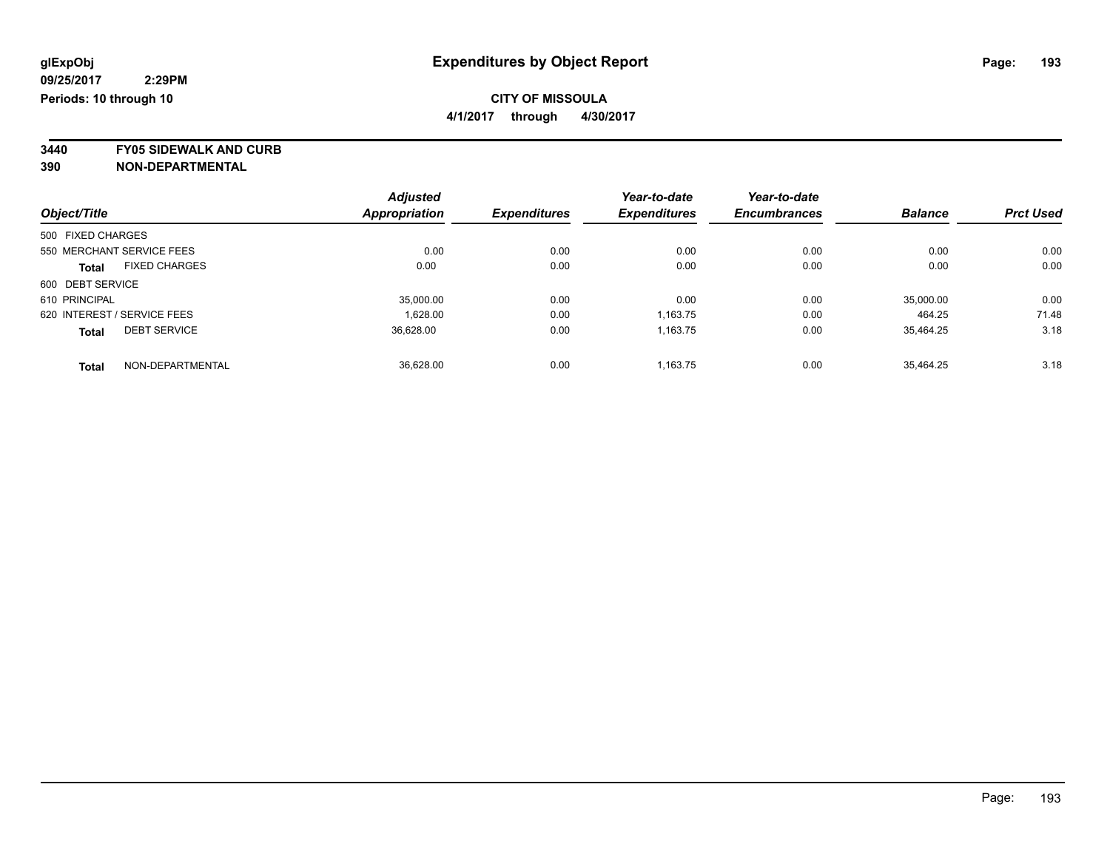**4/1/2017 through 4/30/2017**

**3440 FY05 SIDEWALK AND CURB**

|                                      | <b>Adjusted</b> |                     | Year-to-date        | Year-to-date        |                |                  |
|--------------------------------------|-----------------|---------------------|---------------------|---------------------|----------------|------------------|
| Object/Title                         | Appropriation   | <b>Expenditures</b> | <b>Expenditures</b> | <b>Encumbrances</b> | <b>Balance</b> | <b>Prct Used</b> |
| 500 FIXED CHARGES                    |                 |                     |                     |                     |                |                  |
| 550 MERCHANT SERVICE FEES            | 0.00            | 0.00                | 0.00                | 0.00                | 0.00           | 0.00             |
| <b>FIXED CHARGES</b><br><b>Total</b> | 0.00            | 0.00                | 0.00                | 0.00                | 0.00           | 0.00             |
| 600 DEBT SERVICE                     |                 |                     |                     |                     |                |                  |
| 610 PRINCIPAL                        | 35,000.00       | 0.00                | 0.00                | 0.00                | 35,000.00      | 0.00             |
| 620 INTEREST / SERVICE FEES          | 1.628.00        | 0.00                | 1.163.75            | 0.00                | 464.25         | 71.48            |
| <b>DEBT SERVICE</b><br><b>Total</b>  | 36,628.00       | 0.00                | 1,163.75            | 0.00                | 35.464.25      | 3.18             |
| NON-DEPARTMENTAL<br><b>Total</b>     | 36.628.00       | 0.00                | 1.163.75            | 0.00                | 35.464.25      | 3.18             |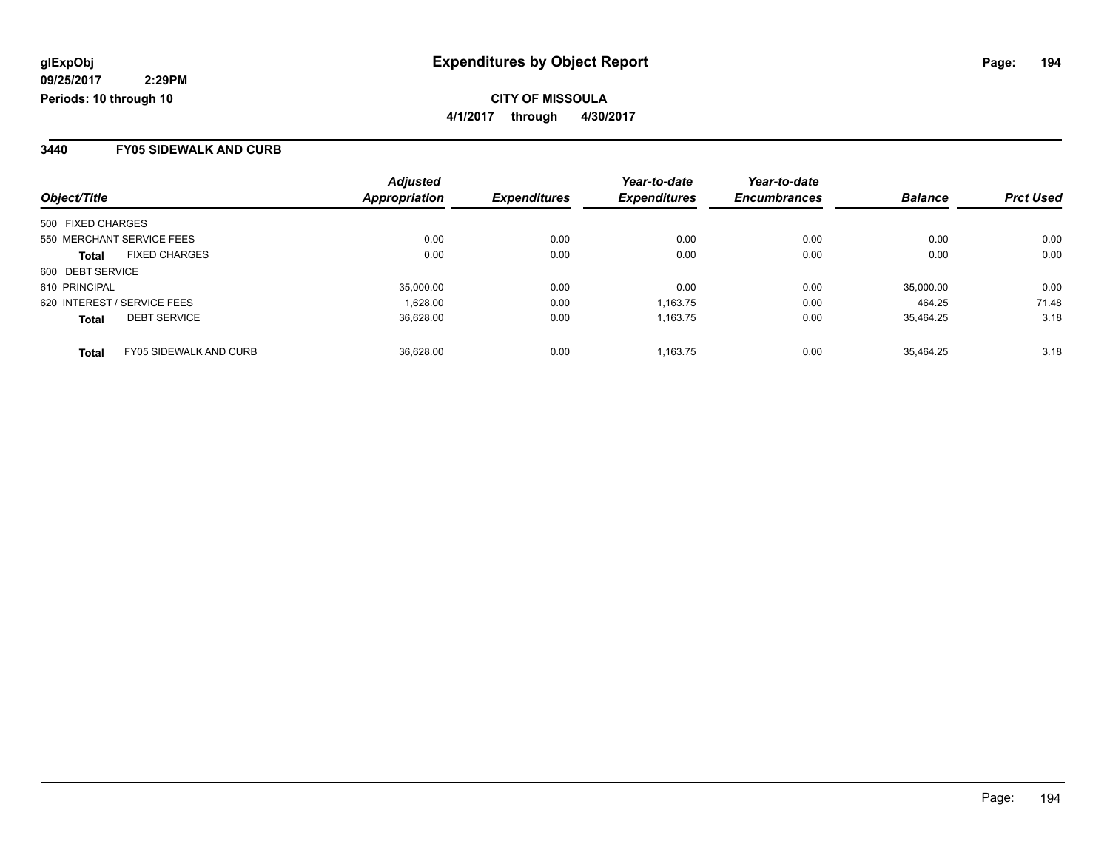**CITY OF MISSOULA 4/1/2017 through 4/30/2017**

#### **3440 FY05 SIDEWALK AND CURB**

| Object/Title                                  | <b>Adjusted</b><br>Appropriation | <b>Expenditures</b> | Year-to-date<br><b>Expenditures</b> | Year-to-date<br><b>Encumbrances</b> | <b>Balance</b> | <b>Prct Used</b> |
|-----------------------------------------------|----------------------------------|---------------------|-------------------------------------|-------------------------------------|----------------|------------------|
|                                               |                                  |                     |                                     |                                     |                |                  |
| 500 FIXED CHARGES                             |                                  |                     |                                     |                                     |                |                  |
| 550 MERCHANT SERVICE FEES                     | 0.00                             | 0.00                | 0.00                                | 0.00                                | 0.00           | 0.00             |
| <b>FIXED CHARGES</b><br><b>Total</b>          | 0.00                             | 0.00                | 0.00                                | 0.00                                | 0.00           | 0.00             |
| 600 DEBT SERVICE                              |                                  |                     |                                     |                                     |                |                  |
| 610 PRINCIPAL                                 | 35,000.00                        | 0.00                | 0.00                                | 0.00                                | 35,000.00      | 0.00             |
| 620 INTEREST / SERVICE FEES                   | 1.628.00                         | 0.00                | 1,163.75                            | 0.00                                | 464.25         | 71.48            |
| <b>DEBT SERVICE</b><br><b>Total</b>           | 36.628.00                        | 0.00                | 1,163.75                            | 0.00                                | 35.464.25      | 3.18             |
| <b>FY05 SIDEWALK AND CURB</b><br><b>Total</b> | 36.628.00                        | 0.00                | 1.163.75                            | 0.00                                | 35.464.25      | 3.18             |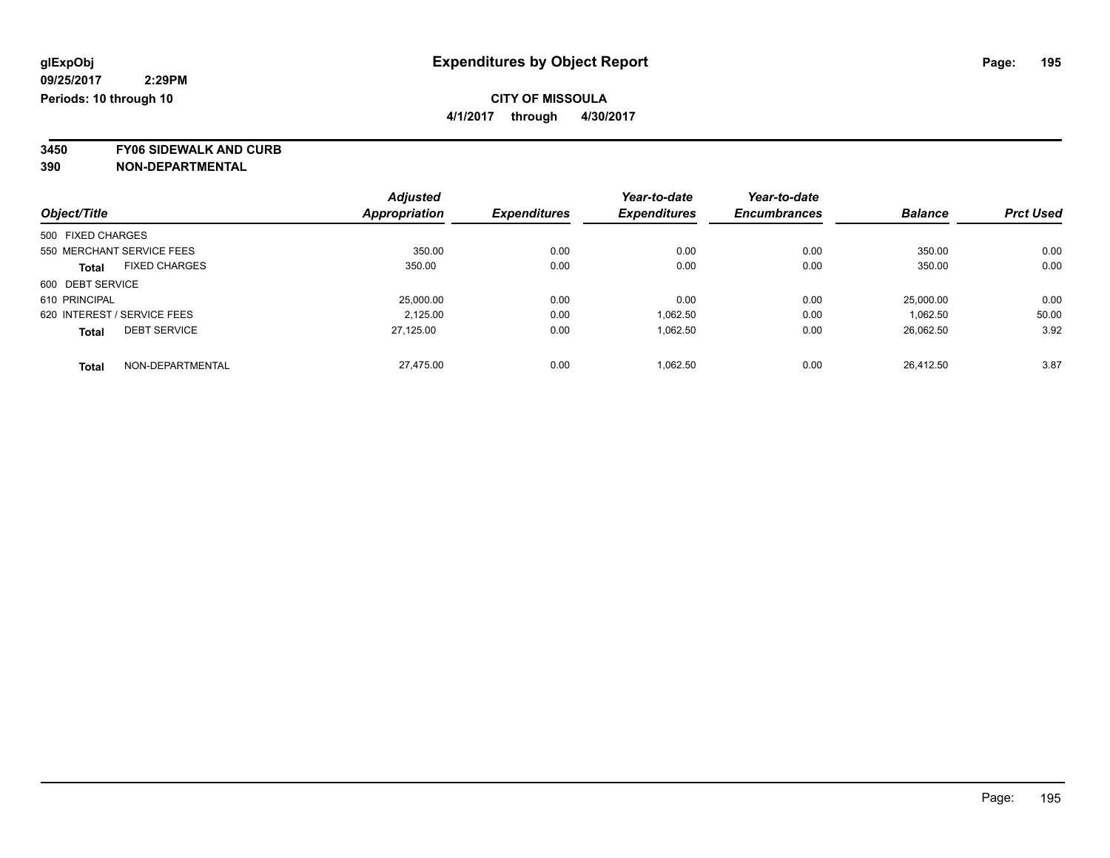**4/1/2017 through 4/30/2017**

**3450 FY06 SIDEWALK AND CURB**

|                   |                             | <b>Adjusted</b> |                     | Year-to-date        | Year-to-date        |                |                  |
|-------------------|-----------------------------|-----------------|---------------------|---------------------|---------------------|----------------|------------------|
| Object/Title      |                             | Appropriation   | <b>Expenditures</b> | <b>Expenditures</b> | <b>Encumbrances</b> | <b>Balance</b> | <b>Prct Used</b> |
| 500 FIXED CHARGES |                             |                 |                     |                     |                     |                |                  |
|                   | 550 MERCHANT SERVICE FEES   | 350.00          | 0.00                | 0.00                | 0.00                | 350.00         | 0.00             |
| <b>Total</b>      | <b>FIXED CHARGES</b>        | 350.00          | 0.00                | 0.00                | 0.00                | 350.00         | 0.00             |
| 600 DEBT SERVICE  |                             |                 |                     |                     |                     |                |                  |
| 610 PRINCIPAL     |                             | 25,000.00       | 0.00                | 0.00                | 0.00                | 25.000.00      | 0.00             |
|                   | 620 INTEREST / SERVICE FEES | 2.125.00        | 0.00                | 1.062.50            | 0.00                | 1.062.50       | 50.00            |
| <b>Total</b>      | <b>DEBT SERVICE</b>         | 27.125.00       | 0.00                | 1.062.50            | 0.00                | 26,062.50      | 3.92             |
| <b>Total</b>      | NON-DEPARTMENTAL            | 27.475.00       | 0.00                | 1.062.50            | 0.00                | 26.412.50      | 3.87             |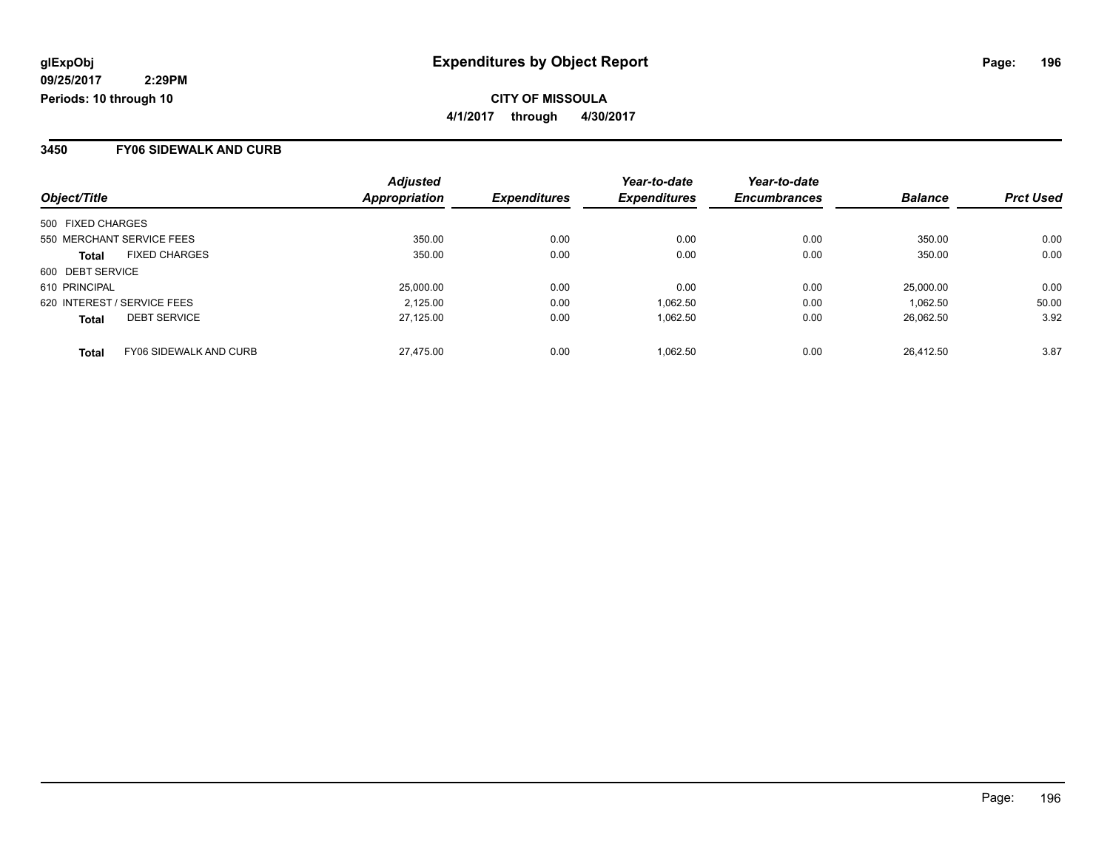**CITY OF MISSOULA 4/1/2017 through 4/30/2017**

#### **3450 FY06 SIDEWALK AND CURB**

| Object/Title      |                               | <b>Adjusted</b><br>Appropriation | <b>Expenditures</b> | Year-to-date<br><b>Expenditures</b> | Year-to-date<br><b>Encumbrances</b> | <b>Balance</b> | <b>Prct Used</b> |
|-------------------|-------------------------------|----------------------------------|---------------------|-------------------------------------|-------------------------------------|----------------|------------------|
| 500 FIXED CHARGES |                               |                                  |                     |                                     |                                     |                |                  |
|                   |                               |                                  |                     |                                     |                                     |                |                  |
|                   | 550 MERCHANT SERVICE FEES     | 350.00                           | 0.00                | 0.00                                | 0.00                                | 350.00         | 0.00             |
| <b>Total</b>      | <b>FIXED CHARGES</b>          | 350.00                           | 0.00                | 0.00                                | 0.00                                | 350.00         | 0.00             |
| 600 DEBT SERVICE  |                               |                                  |                     |                                     |                                     |                |                  |
| 610 PRINCIPAL     |                               | 25,000.00                        | 0.00                | 0.00                                | 0.00                                | 25,000.00      | 0.00             |
|                   | 620 INTEREST / SERVICE FEES   | 2,125.00                         | 0.00                | 1,062.50                            | 0.00                                | 1.062.50       | 50.00            |
| <b>Total</b>      | <b>DEBT SERVICE</b>           | 27,125.00                        | 0.00                | 1,062.50                            | 0.00                                | 26.062.50      | 3.92             |
| <b>Total</b>      | <b>FY06 SIDEWALK AND CURB</b> | 27.475.00                        | 0.00                | 1.062.50                            | 0.00                                | 26.412.50      | 3.87             |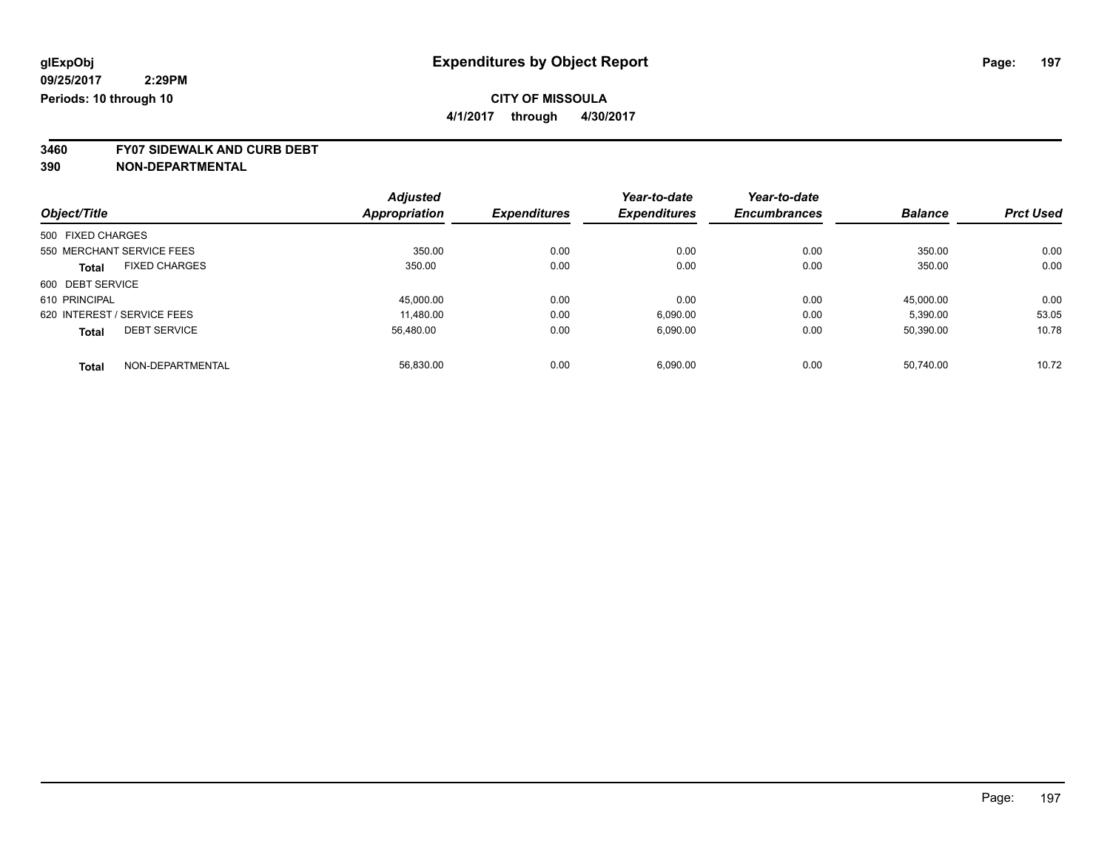**4/1/2017 through 4/30/2017**

**3460 FY07 SIDEWALK AND CURB DEBT**

|                   |                             | <b>Adjusted</b>      |                     | Year-to-date        | Year-to-date        |                |                  |
|-------------------|-----------------------------|----------------------|---------------------|---------------------|---------------------|----------------|------------------|
| Object/Title      |                             | <b>Appropriation</b> | <b>Expenditures</b> | <b>Expenditures</b> | <b>Encumbrances</b> | <b>Balance</b> | <b>Prct Used</b> |
| 500 FIXED CHARGES |                             |                      |                     |                     |                     |                |                  |
|                   | 550 MERCHANT SERVICE FEES   | 350.00               | 0.00                | 0.00                | 0.00                | 350.00         | 0.00             |
| <b>Total</b>      | <b>FIXED CHARGES</b>        | 350.00               | 0.00                | 0.00                | 0.00                | 350.00         | 0.00             |
| 600 DEBT SERVICE  |                             |                      |                     |                     |                     |                |                  |
| 610 PRINCIPAL     |                             | 45,000.00            | 0.00                | 0.00                | 0.00                | 45,000.00      | 0.00             |
|                   | 620 INTEREST / SERVICE FEES | 11.480.00            | 0.00                | 6,090.00            | 0.00                | 5,390.00       | 53.05            |
| <b>Total</b>      | <b>DEBT SERVICE</b>         | 56,480.00            | 0.00                | 6,090.00            | 0.00                | 50,390.00      | 10.78            |
| <b>Total</b>      | NON-DEPARTMENTAL            | 56.830.00            | 0.00                | 6.090.00            | 0.00                | 50.740.00      | 10.72            |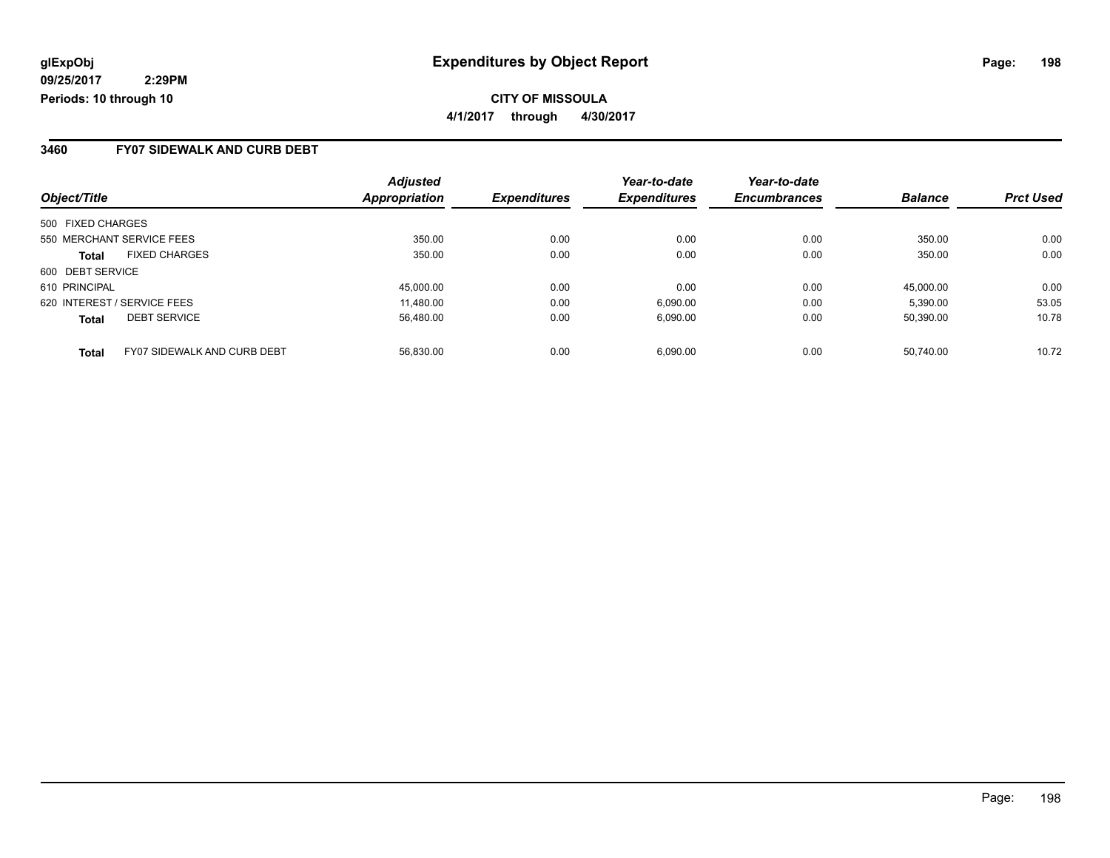### **3460 FY07 SIDEWALK AND CURB DEBT**

|                             |                                    | <b>Adjusted</b>      |                     | Year-to-date        | Year-to-date        |                |                  |
|-----------------------------|------------------------------------|----------------------|---------------------|---------------------|---------------------|----------------|------------------|
| Object/Title                |                                    | <b>Appropriation</b> | <b>Expenditures</b> | <b>Expenditures</b> | <b>Encumbrances</b> | <b>Balance</b> | <b>Prct Used</b> |
| 500 FIXED CHARGES           |                                    |                      |                     |                     |                     |                |                  |
| 550 MERCHANT SERVICE FEES   |                                    | 350.00               | 0.00                | 0.00                | 0.00                | 350.00         | 0.00             |
| <b>Total</b>                | <b>FIXED CHARGES</b>               | 350.00               | 0.00                | 0.00                | 0.00                | 350.00         | 0.00             |
| 600 DEBT SERVICE            |                                    |                      |                     |                     |                     |                |                  |
| 610 PRINCIPAL               |                                    | 45.000.00            | 0.00                | 0.00                | 0.00                | 45.000.00      | 0.00             |
| 620 INTEREST / SERVICE FEES |                                    | 11.480.00            | 0.00                | 6,090.00            | 0.00                | 5.390.00       | 53.05            |
| <b>Total</b>                | <b>DEBT SERVICE</b>                | 56.480.00            | 0.00                | 6,090.00            | 0.00                | 50.390.00      | 10.78            |
| <b>Total</b>                | <b>FY07 SIDEWALK AND CURB DEBT</b> | 56.830.00            | 0.00                | 6.090.00            | 0.00                | 50.740.00      | 10.72            |

Page: 198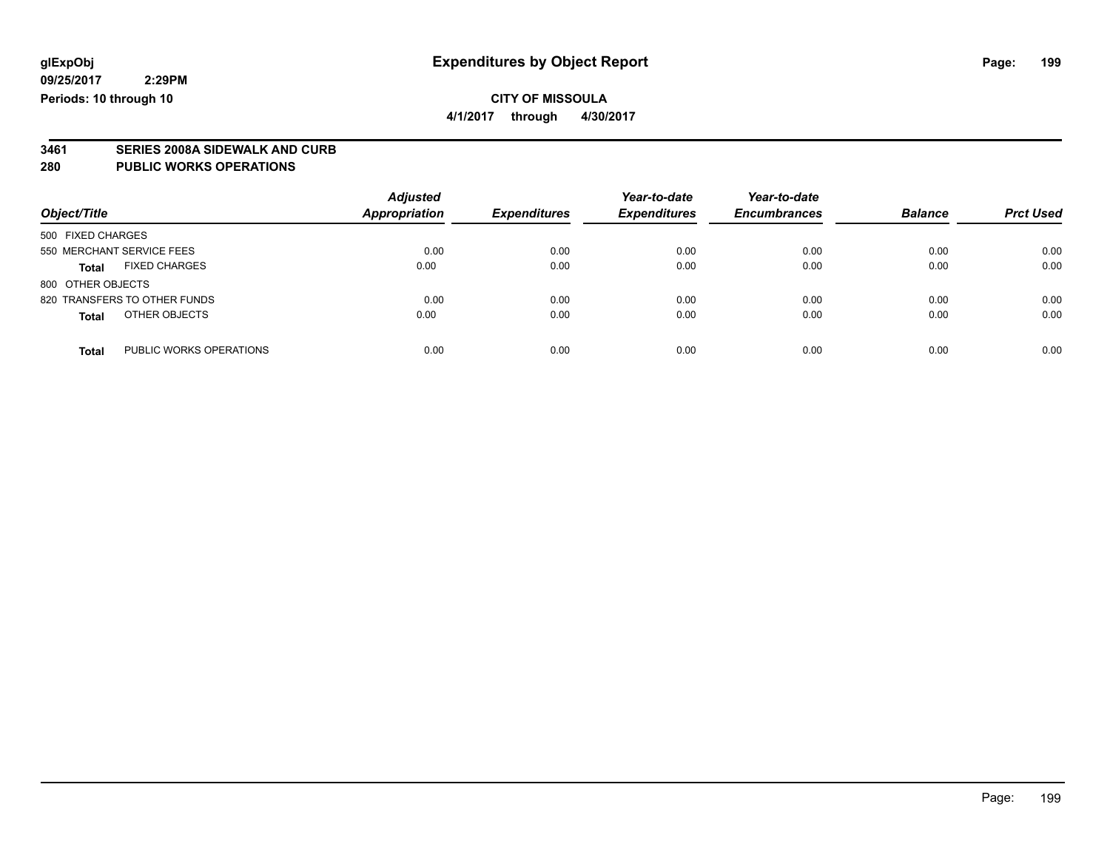# **CITY OF MISSOULA**

**4/1/2017 through 4/30/2017**

# **3461 SERIES 2008A SIDEWALK AND CURB**

#### **280 PUBLIC WORKS OPERATIONS**

| Object/Title                            | <b>Adjusted</b><br><b>Appropriation</b> | <b>Expenditures</b> | Year-to-date<br><b>Expenditures</b> | Year-to-date<br><b>Encumbrances</b> | <b>Balance</b> | <b>Prct Used</b> |
|-----------------------------------------|-----------------------------------------|---------------------|-------------------------------------|-------------------------------------|----------------|------------------|
| 500 FIXED CHARGES                       |                                         |                     |                                     |                                     |                |                  |
| 550 MERCHANT SERVICE FEES               | 0.00                                    | 0.00                | 0.00                                | 0.00                                | 0.00           | 0.00             |
| <b>FIXED CHARGES</b><br><b>Total</b>    | 0.00                                    | 0.00                | 0.00                                | 0.00                                | 0.00           | 0.00             |
| 800 OTHER OBJECTS                       |                                         |                     |                                     |                                     |                |                  |
| 820 TRANSFERS TO OTHER FUNDS            | 0.00                                    | 0.00                | 0.00                                | 0.00                                | 0.00           | 0.00             |
| OTHER OBJECTS<br><b>Total</b>           | 0.00                                    | 0.00                | 0.00                                | 0.00                                | 0.00           | 0.00             |
| PUBLIC WORKS OPERATIONS<br><b>Total</b> | 0.00                                    | 0.00                | 0.00                                | 0.00                                | 0.00           | 0.00             |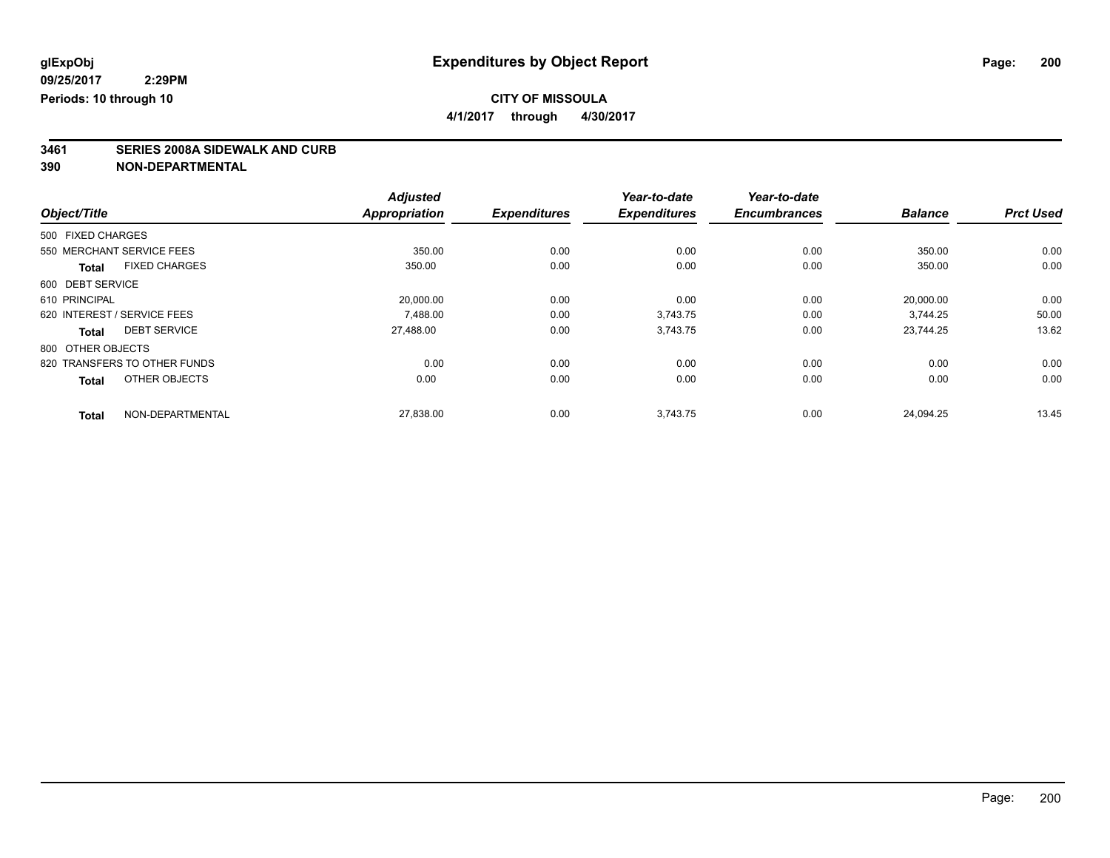**4/1/2017 through 4/30/2017**

# **3461 SERIES 2008A SIDEWALK AND CURB**

|                                      | <b>Adjusted</b>      |                     | Year-to-date        | Year-to-date        |                |                  |
|--------------------------------------|----------------------|---------------------|---------------------|---------------------|----------------|------------------|
| Object/Title                         | <b>Appropriation</b> | <b>Expenditures</b> | <b>Expenditures</b> | <b>Encumbrances</b> | <b>Balance</b> | <b>Prct Used</b> |
| 500 FIXED CHARGES                    |                      |                     |                     |                     |                |                  |
| 550 MERCHANT SERVICE FEES            | 350.00               | 0.00                | 0.00                | 0.00                | 350.00         | 0.00             |
| <b>FIXED CHARGES</b><br><b>Total</b> | 350.00               | 0.00                | 0.00                | 0.00                | 350.00         | 0.00             |
| 600 DEBT SERVICE                     |                      |                     |                     |                     |                |                  |
| 610 PRINCIPAL                        | 20,000.00            | 0.00                | 0.00                | 0.00                | 20,000.00      | 0.00             |
| 620 INTEREST / SERVICE FEES          | 7.488.00             | 0.00                | 3.743.75            | 0.00                | 3.744.25       | 50.00            |
| <b>DEBT SERVICE</b><br><b>Total</b>  | 27,488.00            | 0.00                | 3,743.75            | 0.00                | 23.744.25      | 13.62            |
| 800 OTHER OBJECTS                    |                      |                     |                     |                     |                |                  |
| 820 TRANSFERS TO OTHER FUNDS         | 0.00                 | 0.00                | 0.00                | 0.00                | 0.00           | 0.00             |
| OTHER OBJECTS<br><b>Total</b>        | 0.00                 | 0.00                | 0.00                | 0.00                | 0.00           | 0.00             |
| NON-DEPARTMENTAL<br><b>Total</b>     | 27,838.00            | 0.00                | 3,743.75            | 0.00                | 24.094.25      | 13.45            |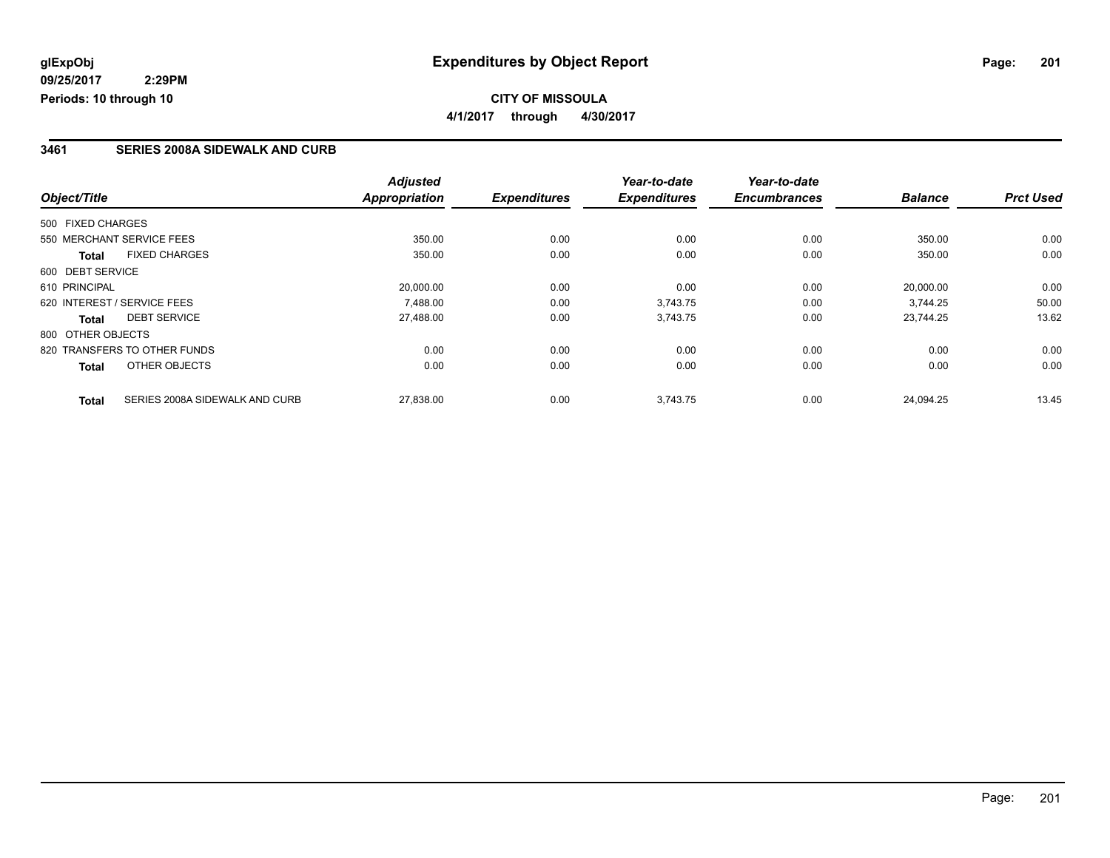### **CITY OF MISSOULA 4/1/2017 through 4/30/2017**

### **3461 SERIES 2008A SIDEWALK AND CURB**

|                                      |                                | <b>Adjusted</b>      |                     | Year-to-date        | Year-to-date        |                |                  |
|--------------------------------------|--------------------------------|----------------------|---------------------|---------------------|---------------------|----------------|------------------|
| Object/Title                         |                                | <b>Appropriation</b> | <b>Expenditures</b> | <b>Expenditures</b> | <b>Encumbrances</b> | <b>Balance</b> | <b>Prct Used</b> |
| 500 FIXED CHARGES                    |                                |                      |                     |                     |                     |                |                  |
| 550 MERCHANT SERVICE FEES            |                                | 350.00               | 0.00                | 0.00                | 0.00                | 350.00         | 0.00             |
| <b>FIXED CHARGES</b><br><b>Total</b> |                                | 350.00               | 0.00                | 0.00                | 0.00                | 350.00         | 0.00             |
| 600 DEBT SERVICE                     |                                |                      |                     |                     |                     |                |                  |
| 610 PRINCIPAL                        |                                | 20,000.00            | 0.00                | 0.00                | 0.00                | 20,000.00      | 0.00             |
| 620 INTEREST / SERVICE FEES          |                                | 7.488.00             | 0.00                | 3,743.75            | 0.00                | 3.744.25       | 50.00            |
| <b>DEBT SERVICE</b><br><b>Total</b>  |                                | 27,488.00            | 0.00                | 3,743.75            | 0.00                | 23.744.25      | 13.62            |
| 800 OTHER OBJECTS                    |                                |                      |                     |                     |                     |                |                  |
| 820 TRANSFERS TO OTHER FUNDS         |                                | 0.00                 | 0.00                | 0.00                | 0.00                | 0.00           | 0.00             |
| OTHER OBJECTS<br><b>Total</b>        |                                | 0.00                 | 0.00                | 0.00                | 0.00                | 0.00           | 0.00             |
| <b>Total</b>                         | SERIES 2008A SIDEWALK AND CURB | 27,838.00            | 0.00                | 3,743.75            | 0.00                | 24.094.25      | 13.45            |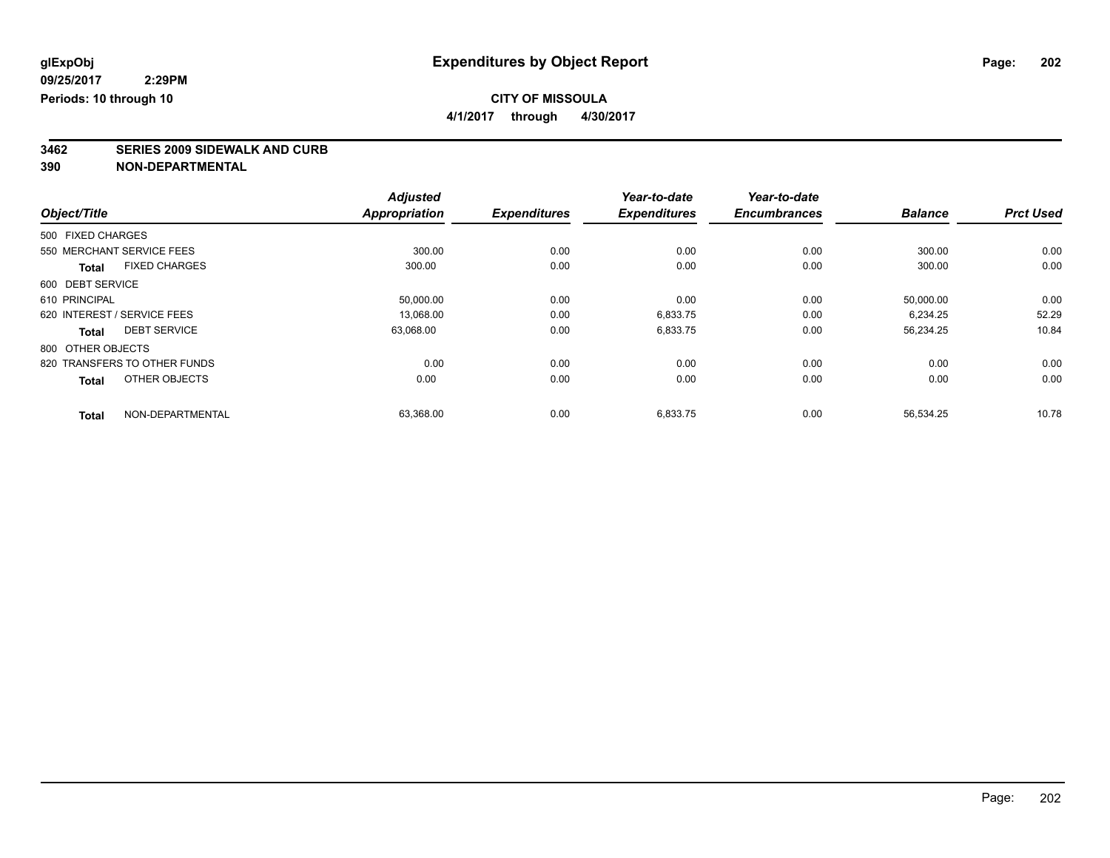**4/1/2017 through 4/30/2017**

# **3462 SERIES 2009 SIDEWALK AND CURB**

|                                      | <b>Adjusted</b>      |                     | Year-to-date        | Year-to-date        |                |                  |
|--------------------------------------|----------------------|---------------------|---------------------|---------------------|----------------|------------------|
| Object/Title                         | <b>Appropriation</b> | <b>Expenditures</b> | <b>Expenditures</b> | <b>Encumbrances</b> | <b>Balance</b> | <b>Prct Used</b> |
| 500 FIXED CHARGES                    |                      |                     |                     |                     |                |                  |
| 550 MERCHANT SERVICE FEES            | 300.00               | 0.00                | 0.00                | 0.00                | 300.00         | 0.00             |
| <b>FIXED CHARGES</b><br><b>Total</b> | 300.00               | 0.00                | 0.00                | 0.00                | 300.00         | 0.00             |
| 600 DEBT SERVICE                     |                      |                     |                     |                     |                |                  |
| 610 PRINCIPAL                        | 50,000.00            | 0.00                | 0.00                | 0.00                | 50,000.00      | 0.00             |
| 620 INTEREST / SERVICE FEES          | 13,068.00            | 0.00                | 6,833.75            | 0.00                | 6.234.25       | 52.29            |
| <b>DEBT SERVICE</b><br><b>Total</b>  | 63,068.00            | 0.00                | 6,833.75            | 0.00                | 56,234.25      | 10.84            |
| 800 OTHER OBJECTS                    |                      |                     |                     |                     |                |                  |
| 820 TRANSFERS TO OTHER FUNDS         | 0.00                 | 0.00                | 0.00                | 0.00                | 0.00           | 0.00             |
| OTHER OBJECTS<br><b>Total</b>        | 0.00                 | 0.00                | 0.00                | 0.00                | 0.00           | 0.00             |
| NON-DEPARTMENTAL<br><b>Total</b>     | 63,368.00            | 0.00                | 6,833.75            | 0.00                | 56,534.25      | 10.78            |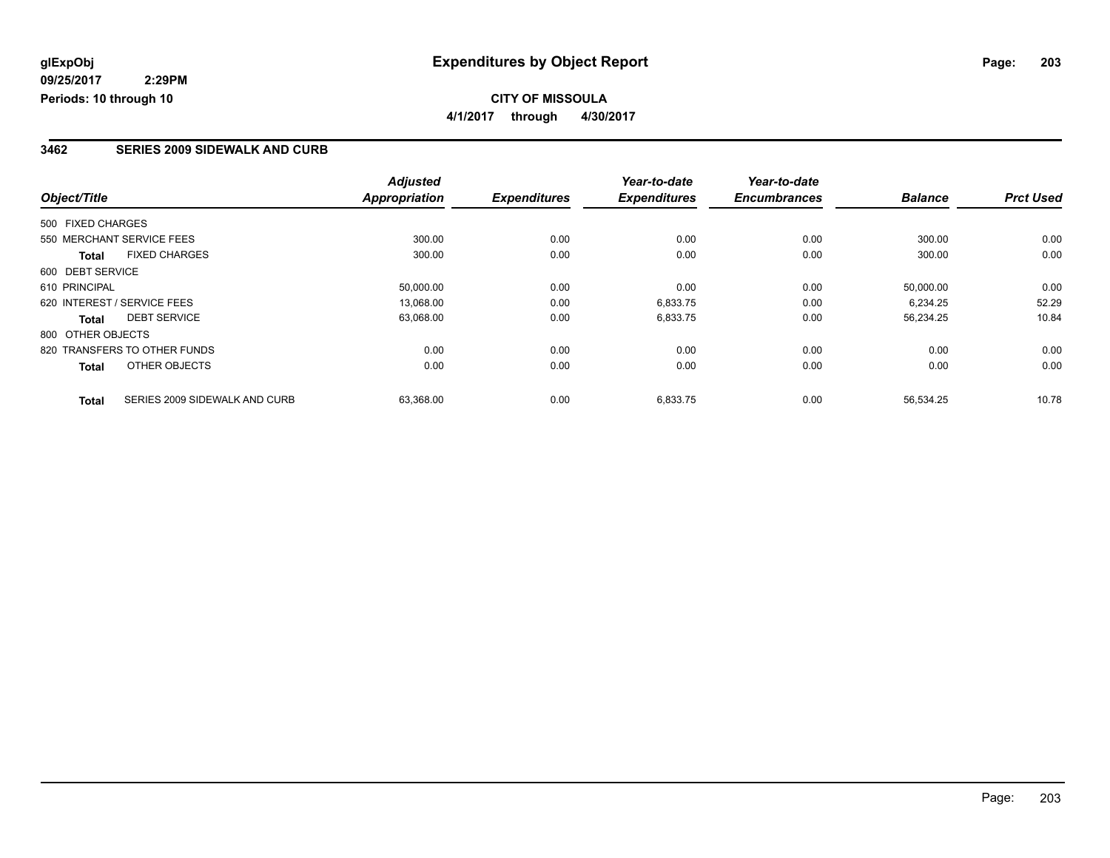### **3462 SERIES 2009 SIDEWALK AND CURB**

|                                               | <b>Adjusted</b>      |                     | Year-to-date        | Year-to-date        |                |                  |
|-----------------------------------------------|----------------------|---------------------|---------------------|---------------------|----------------|------------------|
| Object/Title                                  | <b>Appropriation</b> | <b>Expenditures</b> | <b>Expenditures</b> | <b>Encumbrances</b> | <b>Balance</b> | <b>Prct Used</b> |
| 500 FIXED CHARGES                             |                      |                     |                     |                     |                |                  |
| 550 MERCHANT SERVICE FEES                     | 300.00               | 0.00                | 0.00                | 0.00                | 300.00         | 0.00             |
| <b>FIXED CHARGES</b><br><b>Total</b>          | 300.00               | 0.00                | 0.00                | 0.00                | 300.00         | 0.00             |
| 600 DEBT SERVICE                              |                      |                     |                     |                     |                |                  |
| 610 PRINCIPAL                                 | 50.000.00            | 0.00                | 0.00                | 0.00                | 50.000.00      | 0.00             |
| 620 INTEREST / SERVICE FEES                   | 13,068.00            | 0.00                | 6,833.75            | 0.00                | 6,234.25       | 52.29            |
| <b>DEBT SERVICE</b><br><b>Total</b>           | 63,068.00            | 0.00                | 6,833.75            | 0.00                | 56,234.25      | 10.84            |
| 800 OTHER OBJECTS                             |                      |                     |                     |                     |                |                  |
| 820 TRANSFERS TO OTHER FUNDS                  | 0.00                 | 0.00                | 0.00                | 0.00                | 0.00           | 0.00             |
| OTHER OBJECTS<br><b>Total</b>                 | 0.00                 | 0.00                | 0.00                | 0.00                | 0.00           | 0.00             |
| SERIES 2009 SIDEWALK AND CURB<br><b>Total</b> | 63,368.00            | 0.00                | 6,833.75            | 0.00                | 56,534.25      | 10.78            |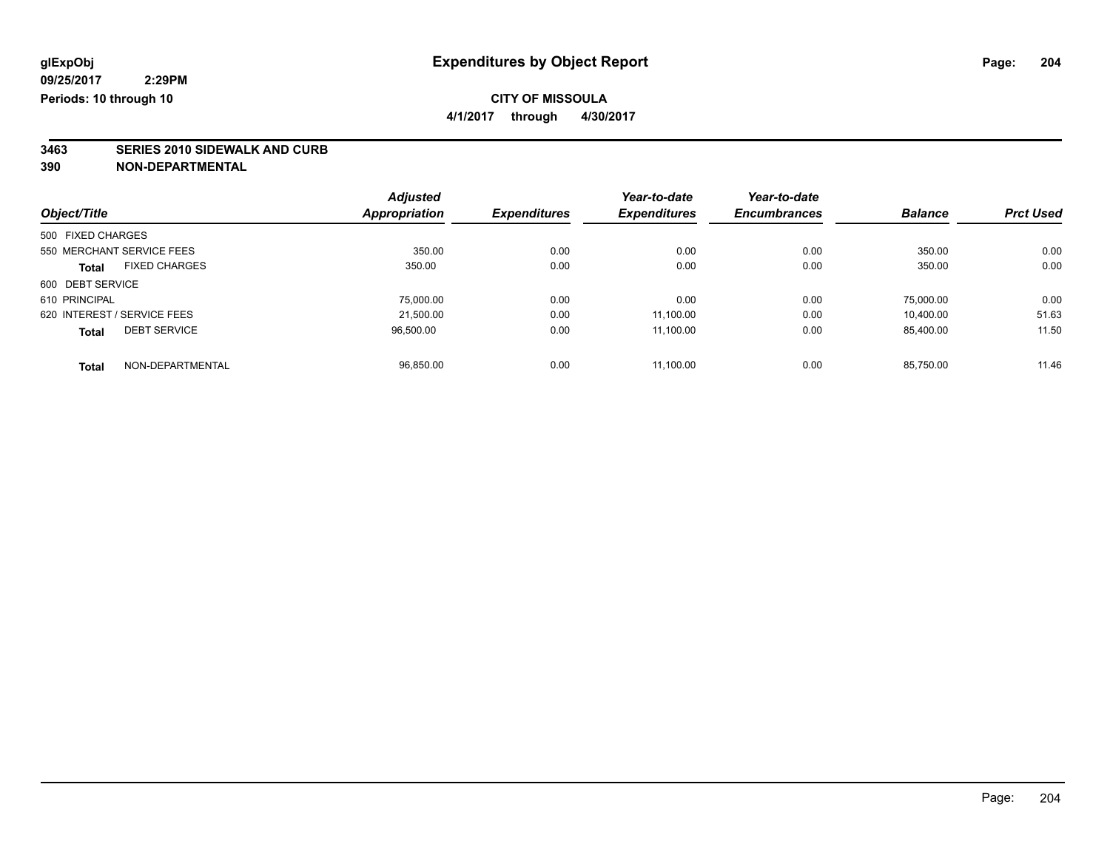**4/1/2017 through 4/30/2017**

# **3463 SERIES 2010 SIDEWALK AND CURB**

|                             |                      | <b>Adjusted</b>      |                     | Year-to-date        | Year-to-date        |                |                  |
|-----------------------------|----------------------|----------------------|---------------------|---------------------|---------------------|----------------|------------------|
| Object/Title                |                      | <b>Appropriation</b> | <b>Expenditures</b> | <b>Expenditures</b> | <b>Encumbrances</b> | <b>Balance</b> | <b>Prct Used</b> |
| 500 FIXED CHARGES           |                      |                      |                     |                     |                     |                |                  |
| 550 MERCHANT SERVICE FEES   |                      | 350.00               | 0.00                | 0.00                | 0.00                | 350.00         | 0.00             |
| <b>Total</b>                | <b>FIXED CHARGES</b> | 350.00               | 0.00                | 0.00                | 0.00                | 350.00         | 0.00             |
| 600 DEBT SERVICE            |                      |                      |                     |                     |                     |                |                  |
| 610 PRINCIPAL               |                      | 75,000.00            | 0.00                | 0.00                | 0.00                | 75.000.00      | 0.00             |
| 620 INTEREST / SERVICE FEES |                      | 21.500.00            | 0.00                | 11.100.00           | 0.00                | 10.400.00      | 51.63            |
| <b>Total</b>                | <b>DEBT SERVICE</b>  | 96.500.00            | 0.00                | 11.100.00           | 0.00                | 85.400.00      | 11.50            |
| <b>Total</b>                | NON-DEPARTMENTAL     | 96.850.00            | 0.00                | 11.100.00           | 0.00                | 85.750.00      | 11.46            |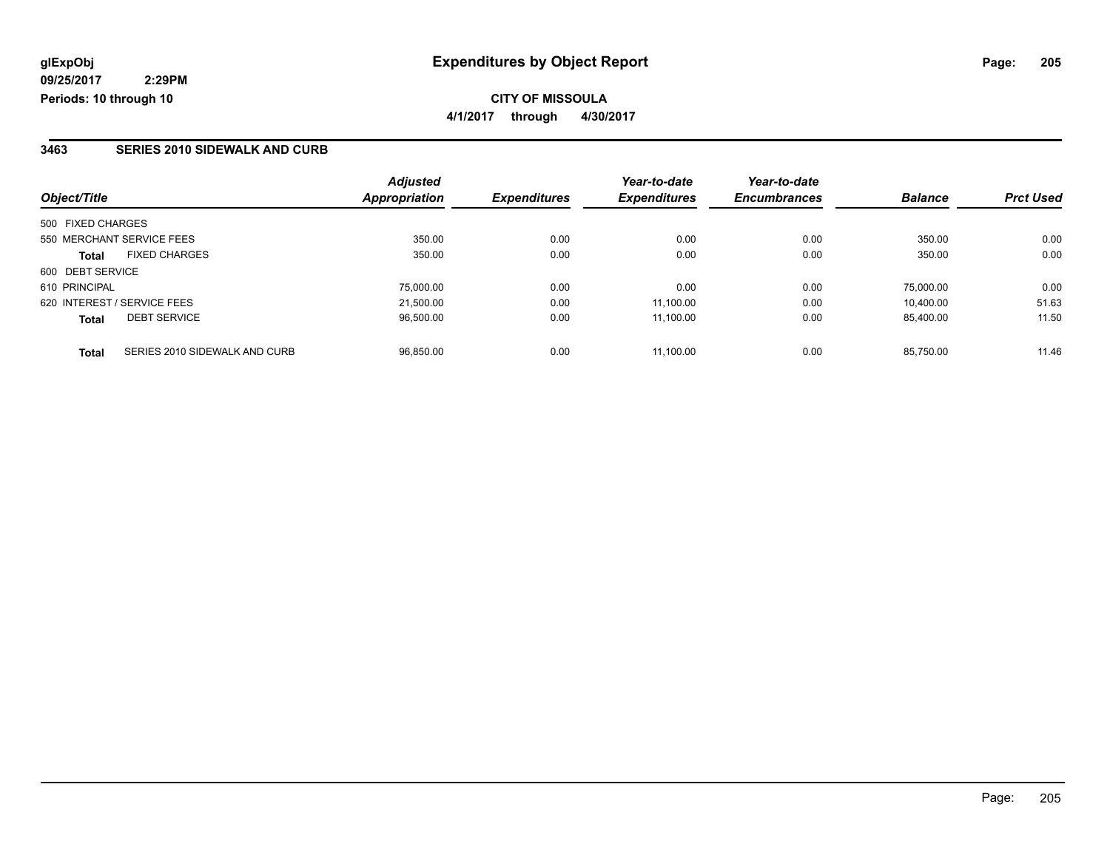### **CITY OF MISSOULA 4/1/2017 through 4/30/2017**

### **3463 SERIES 2010 SIDEWALK AND CURB**

| Object/Title                                  | <b>Adjusted</b><br><b>Appropriation</b> | <b>Expenditures</b> | Year-to-date<br><b>Expenditures</b> | Year-to-date<br><b>Encumbrances</b> | <b>Balance</b> | <b>Prct Used</b> |
|-----------------------------------------------|-----------------------------------------|---------------------|-------------------------------------|-------------------------------------|----------------|------------------|
|                                               |                                         |                     |                                     |                                     |                |                  |
| 500 FIXED CHARGES                             |                                         |                     |                                     |                                     |                |                  |
| 550 MERCHANT SERVICE FEES                     | 350.00                                  | 0.00                | 0.00                                | 0.00                                | 350.00         | 0.00             |
| <b>FIXED CHARGES</b><br><b>Total</b>          | 350.00                                  | 0.00                | 0.00                                | 0.00                                | 350.00         | 0.00             |
| 600 DEBT SERVICE                              |                                         |                     |                                     |                                     |                |                  |
| 610 PRINCIPAL                                 | 75,000.00                               | 0.00                | 0.00                                | 0.00                                | 75.000.00      | 0.00             |
| 620 INTEREST / SERVICE FEES                   | 21.500.00                               | 0.00                | 11.100.00                           | 0.00                                | 10.400.00      | 51.63            |
| <b>DEBT SERVICE</b><br><b>Total</b>           | 96.500.00                               | 0.00                | 11.100.00                           | 0.00                                | 85.400.00      | 11.50            |
| SERIES 2010 SIDEWALK AND CURB<br><b>Total</b> | 96.850.00                               | 0.00                | 11.100.00                           | 0.00                                | 85.750.00      | 11.46            |

Page: 205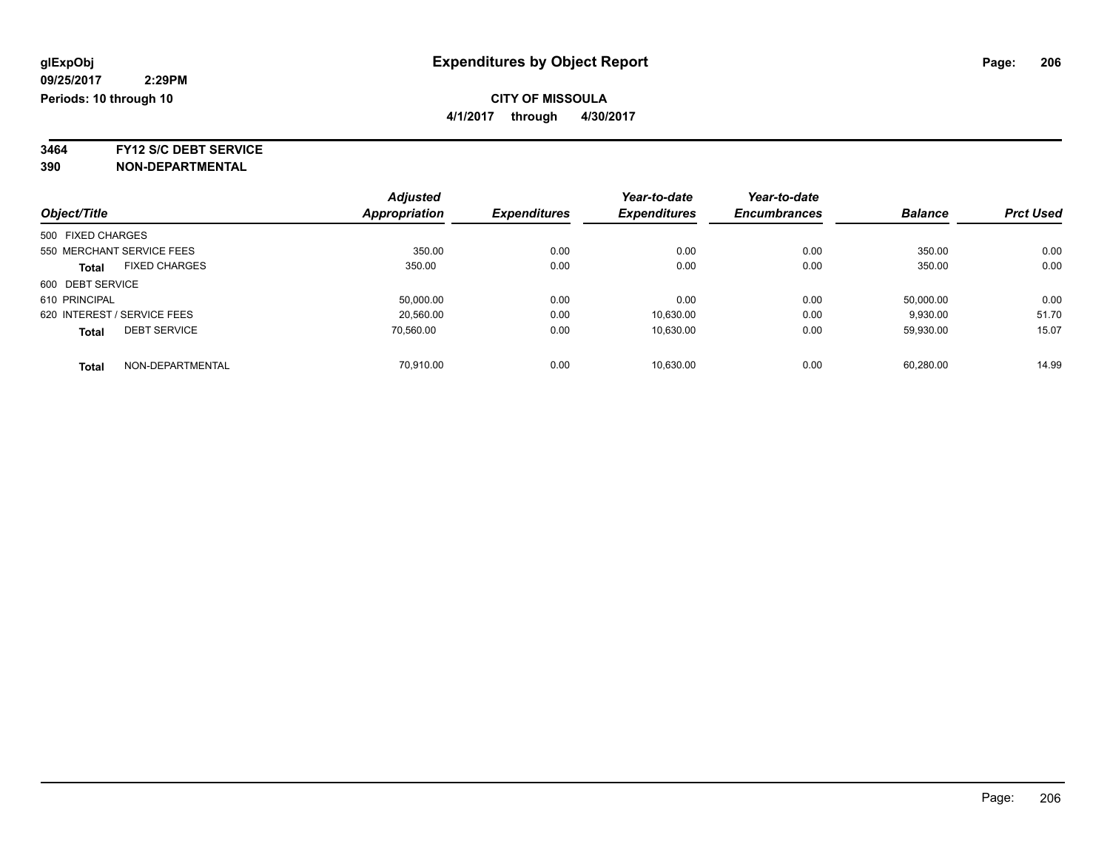**4/1/2017 through 4/30/2017**

**3464 FY12 S/C DEBT SERVICE**

|                                      | <b>Adjusted</b> |                     | Year-to-date        | Year-to-date        |                |                  |
|--------------------------------------|-----------------|---------------------|---------------------|---------------------|----------------|------------------|
| Object/Title                         | Appropriation   | <b>Expenditures</b> | <b>Expenditures</b> | <b>Encumbrances</b> | <b>Balance</b> | <b>Prct Used</b> |
| 500 FIXED CHARGES                    |                 |                     |                     |                     |                |                  |
| 550 MERCHANT SERVICE FEES            | 350.00          | 0.00                | 0.00                | 0.00                | 350.00         | 0.00             |
| <b>FIXED CHARGES</b><br><b>Total</b> | 350.00          | 0.00                | 0.00                | 0.00                | 350.00         | 0.00             |
| 600 DEBT SERVICE                     |                 |                     |                     |                     |                |                  |
| 610 PRINCIPAL                        | 50.000.00       | 0.00                | 0.00                | 0.00                | 50,000.00      | 0.00             |
| 620 INTEREST / SERVICE FEES          | 20,560.00       | 0.00                | 10,630.00           | 0.00                | 9,930.00       | 51.70            |
| <b>DEBT SERVICE</b><br><b>Total</b>  | 70.560.00       | 0.00                | 10,630.00           | 0.00                | 59.930.00      | 15.07            |
| NON-DEPARTMENTAL<br><b>Total</b>     | 70.910.00       | 0.00                | 10.630.00           | 0.00                | 60.280.00      | 14.99            |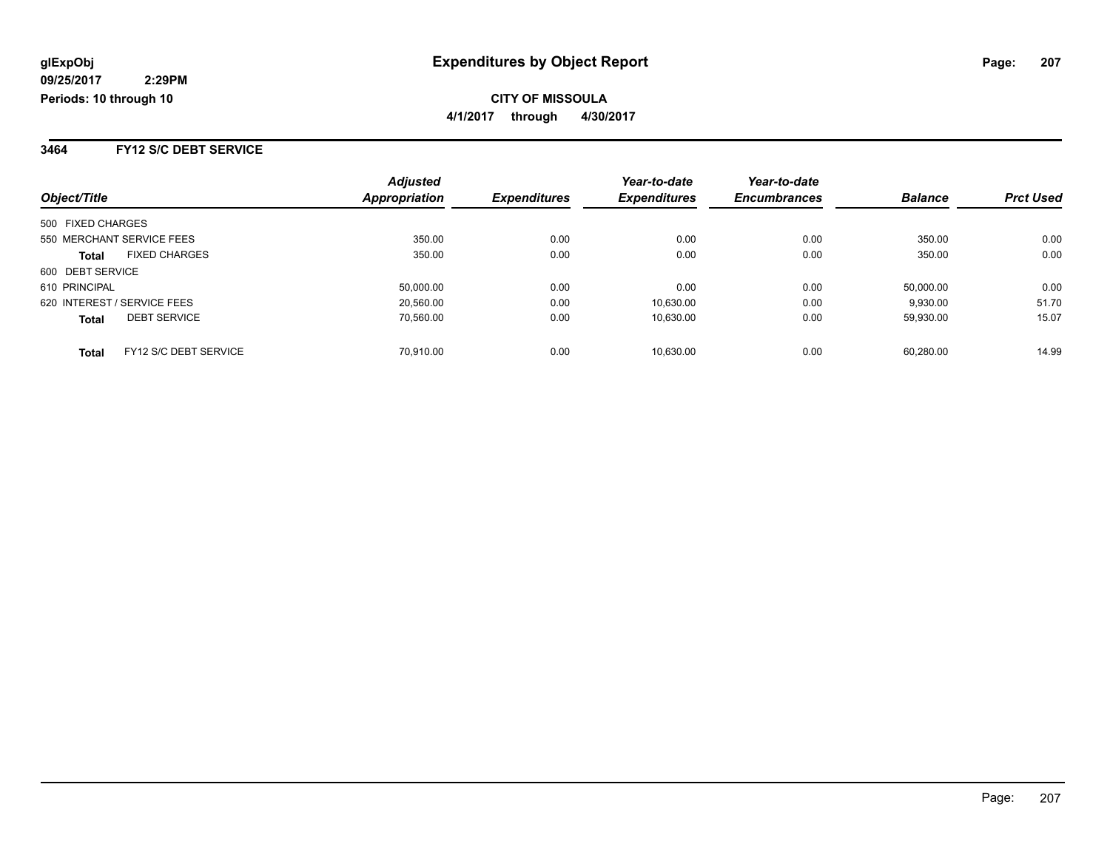**CITY OF MISSOULA 4/1/2017 through 4/30/2017**

#### **3464 FY12 S/C DEBT SERVICE**

| Object/Title                          | <b>Adjusted</b><br>Appropriation | <b>Expenditures</b> | Year-to-date<br><b>Expenditures</b> | Year-to-date<br><b>Encumbrances</b> | <b>Balance</b> | <b>Prct Used</b> |
|---------------------------------------|----------------------------------|---------------------|-------------------------------------|-------------------------------------|----------------|------------------|
|                                       |                                  |                     |                                     |                                     |                |                  |
| 500 FIXED CHARGES                     |                                  |                     |                                     |                                     |                |                  |
| 550 MERCHANT SERVICE FEES             | 350.00                           | 0.00                | 0.00                                | 0.00                                | 350.00         | 0.00             |
| <b>FIXED CHARGES</b><br><b>Total</b>  | 350.00                           | 0.00                | 0.00                                | 0.00                                | 350.00         | 0.00             |
| 600 DEBT SERVICE                      |                                  |                     |                                     |                                     |                |                  |
| 610 PRINCIPAL                         | 50,000.00                        | 0.00                | 0.00                                | 0.00                                | 50.000.00      | 0.00             |
| 620 INTEREST / SERVICE FEES           | 20.560.00                        | 0.00                | 10.630.00                           | 0.00                                | 9.930.00       | 51.70            |
| <b>DEBT SERVICE</b><br><b>Total</b>   | 70.560.00                        | 0.00                | 10.630.00                           | 0.00                                | 59,930.00      | 15.07            |
| FY12 S/C DEBT SERVICE<br><b>Total</b> | 70.910.00                        | 0.00                | 10.630.00                           | 0.00                                | 60.280.00      | 14.99            |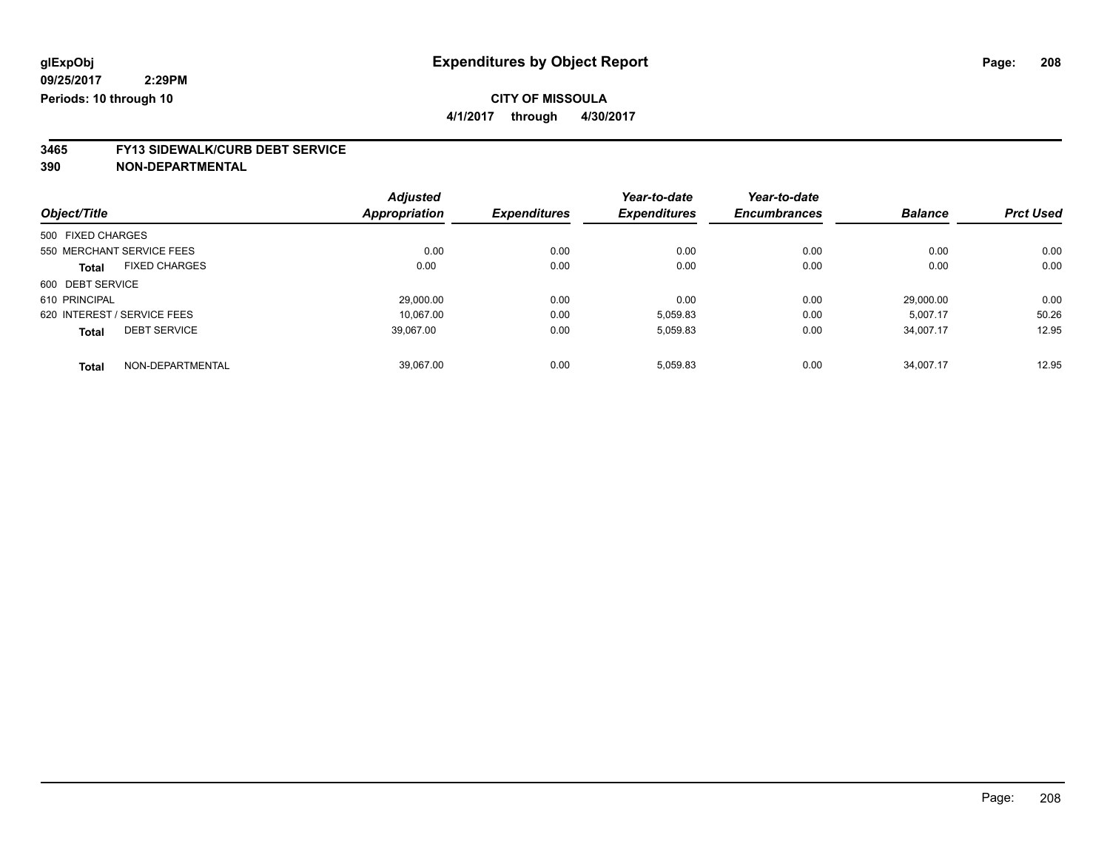**4/1/2017 through 4/30/2017**

# **3465 FY13 SIDEWALK/CURB DEBT SERVICE**

|                   |                             | <b>Adjusted</b>      |                     | Year-to-date        | Year-to-date        |                |                  |
|-------------------|-----------------------------|----------------------|---------------------|---------------------|---------------------|----------------|------------------|
| Object/Title      |                             | <b>Appropriation</b> | <b>Expenditures</b> | <b>Expenditures</b> | <b>Encumbrances</b> | <b>Balance</b> | <b>Prct Used</b> |
| 500 FIXED CHARGES |                             |                      |                     |                     |                     |                |                  |
|                   | 550 MERCHANT SERVICE FEES   | 0.00                 | 0.00                | 0.00                | 0.00                | 0.00           | 0.00             |
| <b>Total</b>      | <b>FIXED CHARGES</b>        | 0.00                 | 0.00                | 0.00                | 0.00                | 0.00           | 0.00             |
| 600 DEBT SERVICE  |                             |                      |                     |                     |                     |                |                  |
| 610 PRINCIPAL     |                             | 29.000.00            | 0.00                | 0.00                | 0.00                | 29.000.00      | 0.00             |
|                   | 620 INTEREST / SERVICE FEES | 10.067.00            | 0.00                | 5,059.83            | 0.00                | 5,007.17       | 50.26            |
| <b>Total</b>      | <b>DEBT SERVICE</b>         | 39,067.00            | 0.00                | 5,059.83            | 0.00                | 34,007.17      | 12.95            |
| <b>Total</b>      | NON-DEPARTMENTAL            | 39.067.00            | 0.00                | 5,059.83            | 0.00                | 34.007.17      | 12.95            |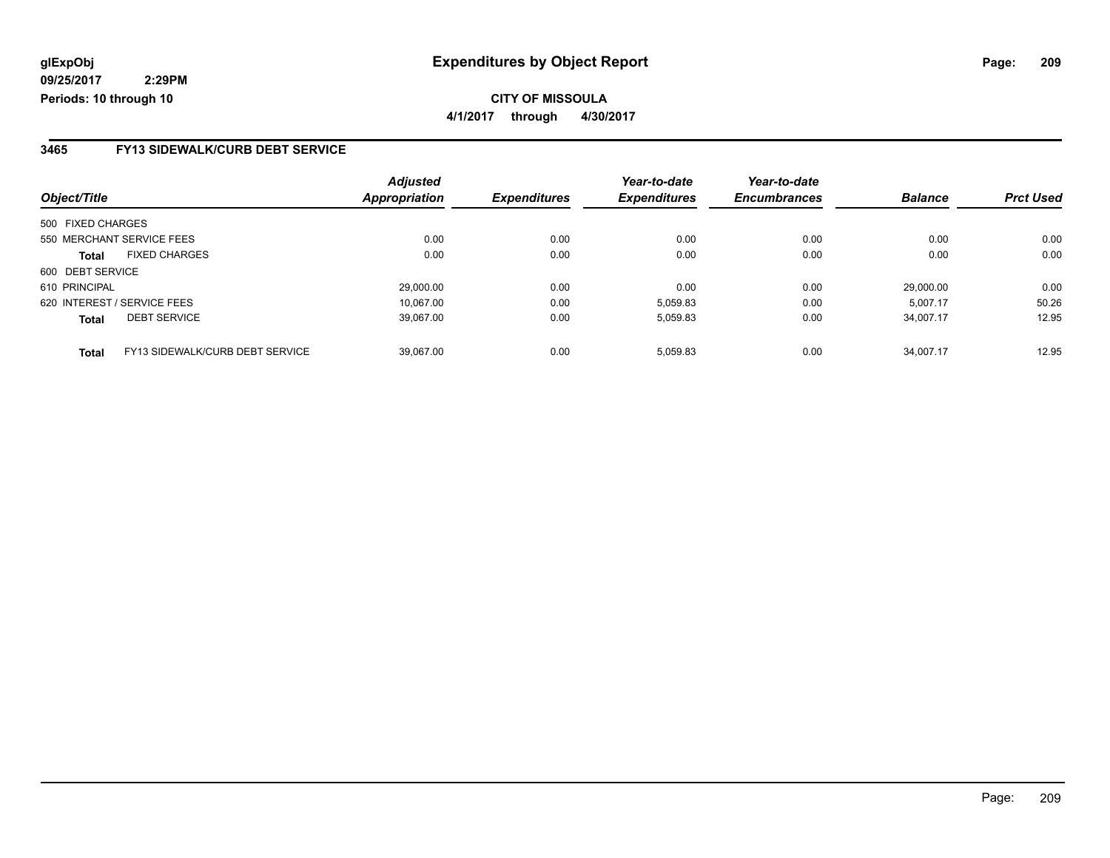### **3465 FY13 SIDEWALK/CURB DEBT SERVICE**

|                   |                                 | <b>Adjusted</b>      |                     | Year-to-date        | Year-to-date        |                |                  |
|-------------------|---------------------------------|----------------------|---------------------|---------------------|---------------------|----------------|------------------|
| Object/Title      |                                 | <b>Appropriation</b> | <b>Expenditures</b> | <b>Expenditures</b> | <b>Encumbrances</b> | <b>Balance</b> | <b>Prct Used</b> |
| 500 FIXED CHARGES |                                 |                      |                     |                     |                     |                |                  |
|                   | 550 MERCHANT SERVICE FEES       | 0.00                 | 0.00                | 0.00                | 0.00                | 0.00           | 0.00             |
| <b>Total</b>      | <b>FIXED CHARGES</b>            | 0.00                 | 0.00                | 0.00                | 0.00                | 0.00           | 0.00             |
| 600 DEBT SERVICE  |                                 |                      |                     |                     |                     |                |                  |
| 610 PRINCIPAL     |                                 | 29.000.00            | 0.00                | 0.00                | 0.00                | 29.000.00      | 0.00             |
|                   | 620 INTEREST / SERVICE FEES     | 10.067.00            | 0.00                | 5,059.83            | 0.00                | 5.007.17       | 50.26            |
| <b>Total</b>      | <b>DEBT SERVICE</b>             | 39.067.00            | 0.00                | 5,059.83            | 0.00                | 34.007.17      | 12.95            |
| <b>Total</b>      | FY13 SIDEWALK/CURB DEBT SERVICE | 39.067.00            | 0.00                | 5.059.83            | 0.00                | 34.007.17      | 12.95            |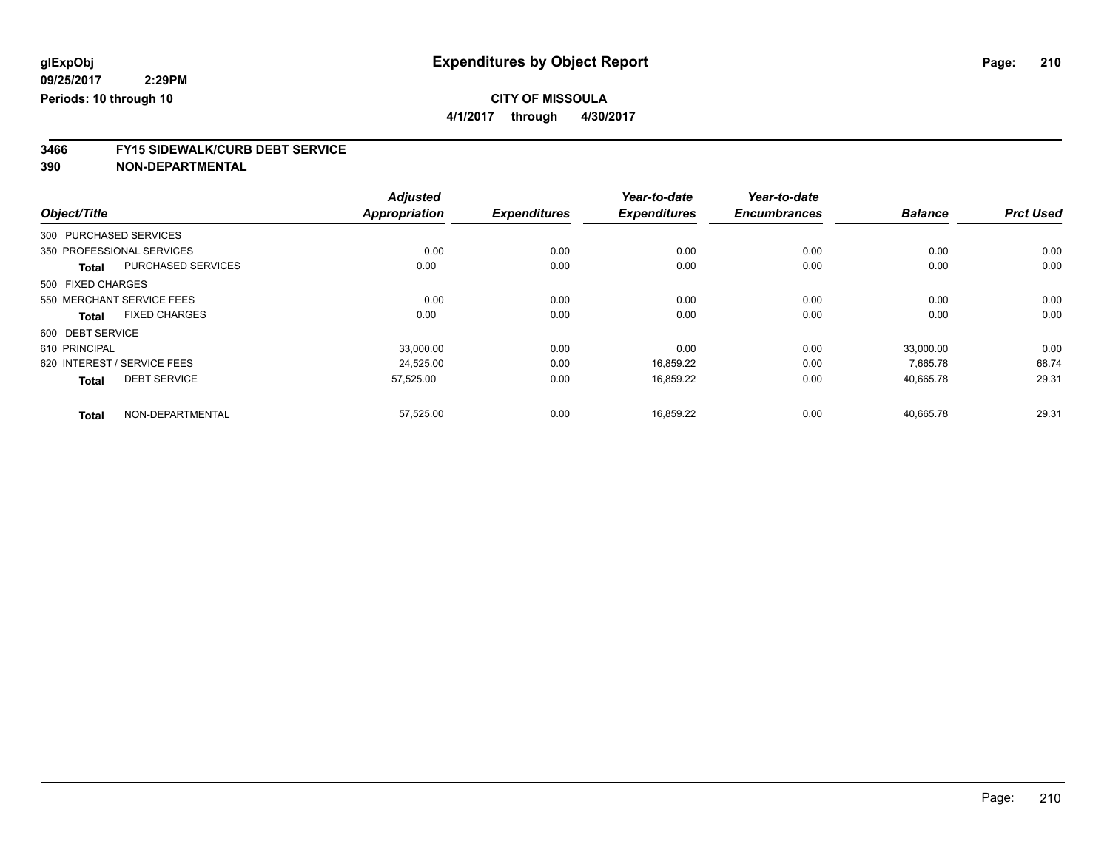**4/1/2017 through 4/30/2017**

# **3466 FY15 SIDEWALK/CURB DEBT SERVICE**

|                   |                             | <b>Adjusted</b>      |                     | Year-to-date        | Year-to-date        |                |                  |
|-------------------|-----------------------------|----------------------|---------------------|---------------------|---------------------|----------------|------------------|
| Object/Title      |                             | <b>Appropriation</b> | <b>Expenditures</b> | <b>Expenditures</b> | <b>Encumbrances</b> | <b>Balance</b> | <b>Prct Used</b> |
|                   | 300 PURCHASED SERVICES      |                      |                     |                     |                     |                |                  |
|                   | 350 PROFESSIONAL SERVICES   | 0.00                 | 0.00                | 0.00                | 0.00                | 0.00           | 0.00             |
| <b>Total</b>      | <b>PURCHASED SERVICES</b>   | 0.00                 | 0.00                | 0.00                | 0.00                | 0.00           | 0.00             |
| 500 FIXED CHARGES |                             |                      |                     |                     |                     |                |                  |
|                   | 550 MERCHANT SERVICE FEES   | 0.00                 | 0.00                | 0.00                | 0.00                | 0.00           | 0.00             |
| <b>Total</b>      | <b>FIXED CHARGES</b>        | 0.00                 | 0.00                | 0.00                | 0.00                | 0.00           | 0.00             |
| 600 DEBT SERVICE  |                             |                      |                     |                     |                     |                |                  |
| 610 PRINCIPAL     |                             | 33,000.00            | 0.00                | 0.00                | 0.00                | 33,000.00      | 0.00             |
|                   | 620 INTEREST / SERVICE FEES | 24,525.00            | 0.00                | 16,859.22           | 0.00                | 7,665.78       | 68.74            |
| <b>Total</b>      | <b>DEBT SERVICE</b>         | 57,525.00            | 0.00                | 16,859.22           | 0.00                | 40,665.78      | 29.31            |
| <b>Total</b>      | NON-DEPARTMENTAL            | 57,525.00            | 0.00                | 16,859.22           | 0.00                | 40,665.78      | 29.31            |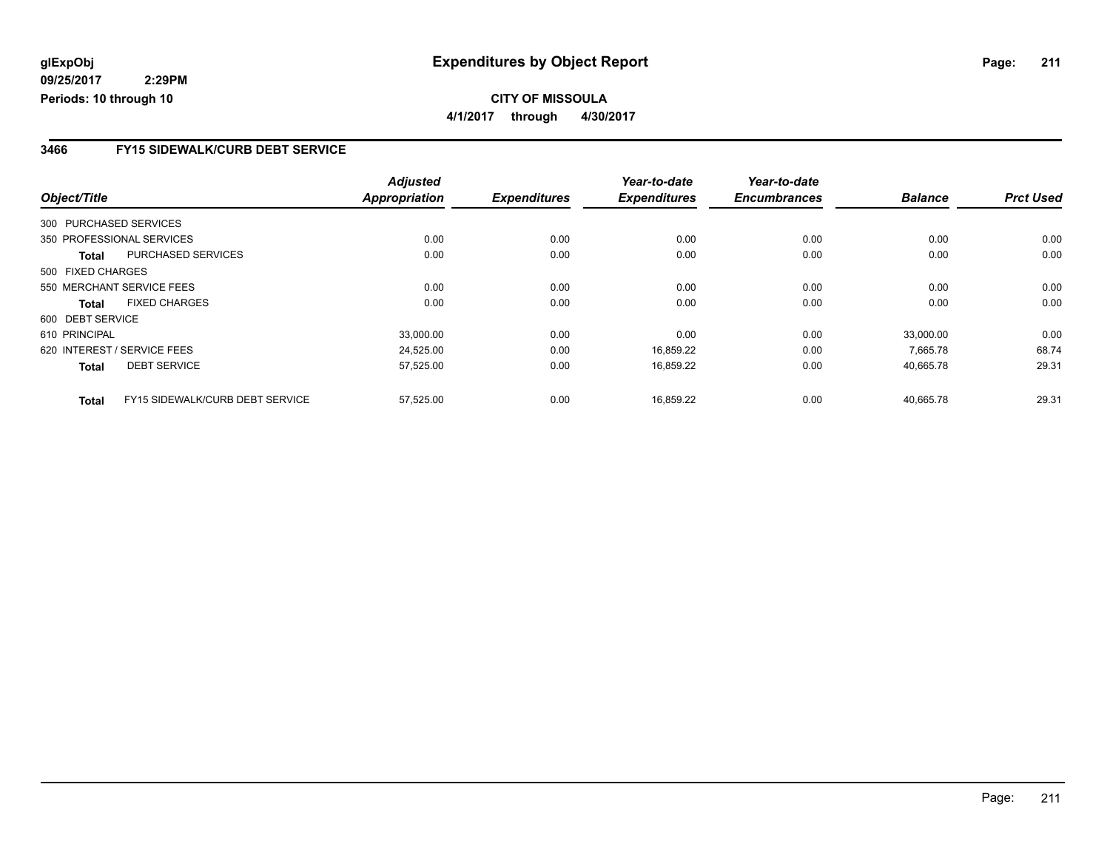### **CITY OF MISSOULA 4/1/2017 through 4/30/2017**

### **3466 FY15 SIDEWALK/CURB DEBT SERVICE**

|                   |                                 | <b>Adjusted</b>      |                     | Year-to-date        | Year-to-date        |                |                  |
|-------------------|---------------------------------|----------------------|---------------------|---------------------|---------------------|----------------|------------------|
| Object/Title      |                                 | <b>Appropriation</b> | <b>Expenditures</b> | <b>Expenditures</b> | <b>Encumbrances</b> | <b>Balance</b> | <b>Prct Used</b> |
|                   | 300 PURCHASED SERVICES          |                      |                     |                     |                     |                |                  |
|                   | 350 PROFESSIONAL SERVICES       | 0.00                 | 0.00                | 0.00                | 0.00                | 0.00           | 0.00             |
| Total             | <b>PURCHASED SERVICES</b>       | 0.00                 | 0.00                | 0.00                | 0.00                | 0.00           | 0.00             |
| 500 FIXED CHARGES |                                 |                      |                     |                     |                     |                |                  |
|                   | 550 MERCHANT SERVICE FEES       | 0.00                 | 0.00                | 0.00                | 0.00                | 0.00           | 0.00             |
| Total             | <b>FIXED CHARGES</b>            | 0.00                 | 0.00                | 0.00                | 0.00                | 0.00           | 0.00             |
| 600 DEBT SERVICE  |                                 |                      |                     |                     |                     |                |                  |
| 610 PRINCIPAL     |                                 | 33,000.00            | 0.00                | 0.00                | 0.00                | 33,000.00      | 0.00             |
|                   | 620 INTEREST / SERVICE FEES     | 24,525.00            | 0.00                | 16.859.22           | 0.00                | 7.665.78       | 68.74            |
| <b>Total</b>      | <b>DEBT SERVICE</b>             | 57,525.00            | 0.00                | 16,859.22           | 0.00                | 40,665.78      | 29.31            |
| <b>Total</b>      | FY15 SIDEWALK/CURB DEBT SERVICE | 57,525.00            | 0.00                | 16.859.22           | 0.00                | 40.665.78      | 29.31            |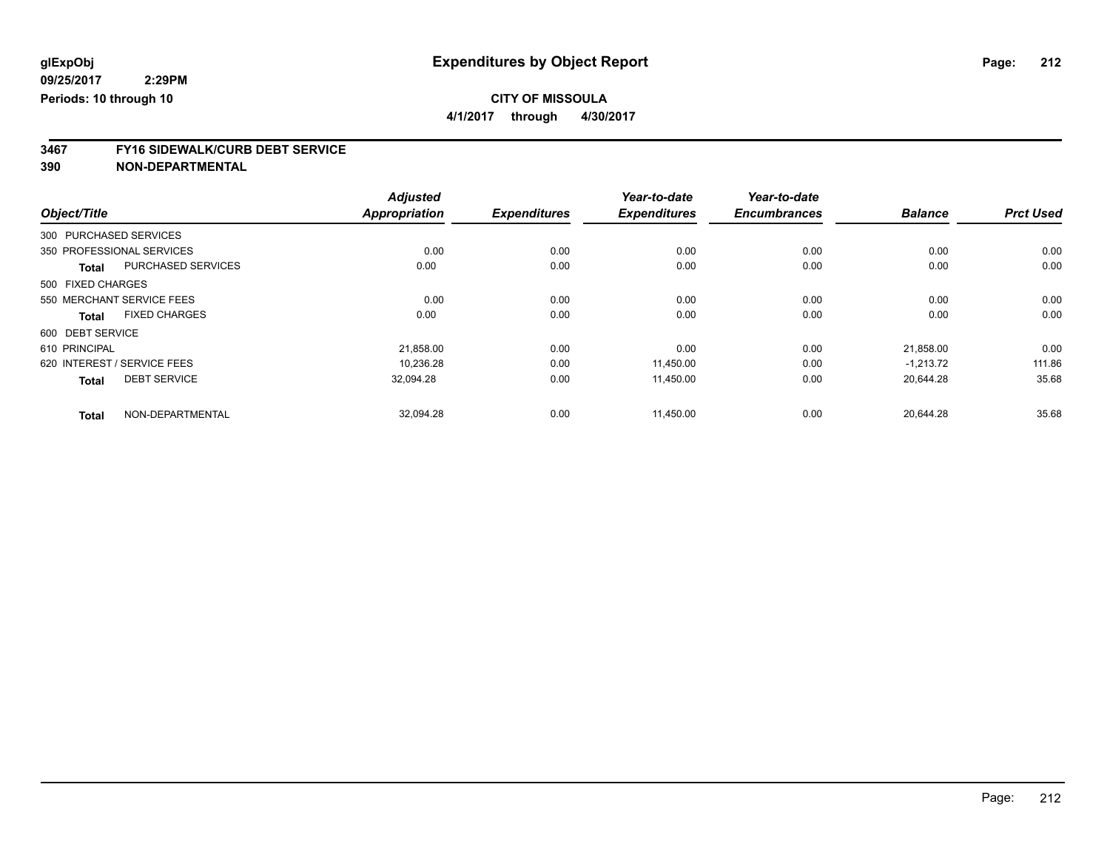**4/1/2017 through 4/30/2017**

# **3467 FY16 SIDEWALK/CURB DEBT SERVICE**

|                   |                             | <b>Adjusted</b>      |                     | Year-to-date        | Year-to-date        |                |                  |
|-------------------|-----------------------------|----------------------|---------------------|---------------------|---------------------|----------------|------------------|
| Object/Title      |                             | <b>Appropriation</b> | <b>Expenditures</b> | <b>Expenditures</b> | <b>Encumbrances</b> | <b>Balance</b> | <b>Prct Used</b> |
|                   | 300 PURCHASED SERVICES      |                      |                     |                     |                     |                |                  |
|                   | 350 PROFESSIONAL SERVICES   | 0.00                 | 0.00                | 0.00                | 0.00                | 0.00           | 0.00             |
| <b>Total</b>      | <b>PURCHASED SERVICES</b>   | 0.00                 | 0.00                | 0.00                | 0.00                | 0.00           | 0.00             |
| 500 FIXED CHARGES |                             |                      |                     |                     |                     |                |                  |
|                   | 550 MERCHANT SERVICE FEES   | 0.00                 | 0.00                | 0.00                | 0.00                | 0.00           | 0.00             |
| <b>Total</b>      | <b>FIXED CHARGES</b>        | 0.00                 | 0.00                | 0.00                | 0.00                | 0.00           | 0.00             |
| 600 DEBT SERVICE  |                             |                      |                     |                     |                     |                |                  |
| 610 PRINCIPAL     |                             | 21,858.00            | 0.00                | 0.00                | 0.00                | 21,858.00      | 0.00             |
|                   | 620 INTEREST / SERVICE FEES | 10,236.28            | 0.00                | 11,450.00           | 0.00                | $-1.213.72$    | 111.86           |
| <b>Total</b>      | <b>DEBT SERVICE</b>         | 32,094.28            | 0.00                | 11,450.00           | 0.00                | 20,644.28      | 35.68            |
| <b>Total</b>      | NON-DEPARTMENTAL            | 32,094.28            | 0.00                | 11,450.00           | 0.00                | 20,644.28      | 35.68            |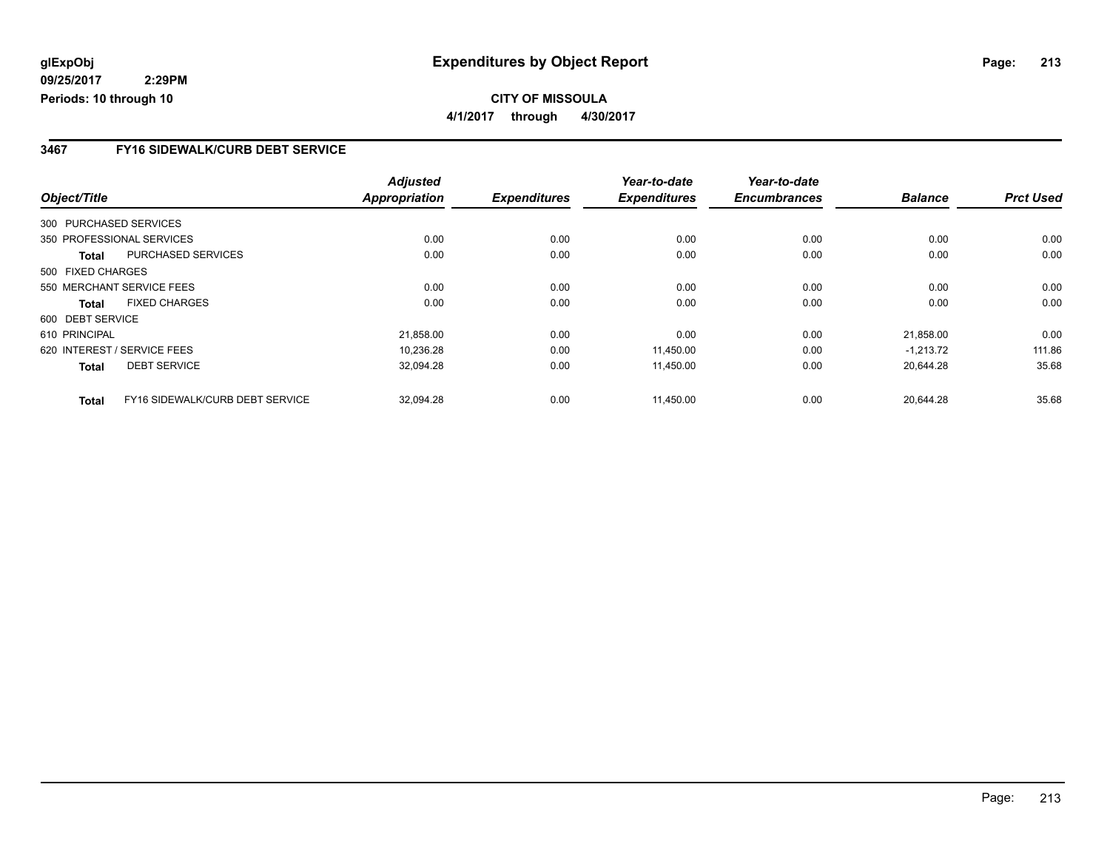### **CITY OF MISSOULA 4/1/2017 through 4/30/2017**

### **3467 FY16 SIDEWALK/CURB DEBT SERVICE**

|                   |                                 | <b>Adjusted</b>      |                     | Year-to-date        | Year-to-date        |                |                  |
|-------------------|---------------------------------|----------------------|---------------------|---------------------|---------------------|----------------|------------------|
| Object/Title      |                                 | <b>Appropriation</b> | <b>Expenditures</b> | <b>Expenditures</b> | <b>Encumbrances</b> | <b>Balance</b> | <b>Prct Used</b> |
|                   | 300 PURCHASED SERVICES          |                      |                     |                     |                     |                |                  |
|                   | 350 PROFESSIONAL SERVICES       | 0.00                 | 0.00                | 0.00                | 0.00                | 0.00           | 0.00             |
| Total             | PURCHASED SERVICES              | 0.00                 | 0.00                | 0.00                | 0.00                | 0.00           | 0.00             |
| 500 FIXED CHARGES |                                 |                      |                     |                     |                     |                |                  |
|                   | 550 MERCHANT SERVICE FEES       | 0.00                 | 0.00                | 0.00                | 0.00                | 0.00           | 0.00             |
| Total             | <b>FIXED CHARGES</b>            | 0.00                 | 0.00                | 0.00                | 0.00                | 0.00           | 0.00             |
| 600 DEBT SERVICE  |                                 |                      |                     |                     |                     |                |                  |
| 610 PRINCIPAL     |                                 | 21,858.00            | 0.00                | 0.00                | 0.00                | 21,858.00      | 0.00             |
|                   | 620 INTEREST / SERVICE FEES     | 10.236.28            | 0.00                | 11,450.00           | 0.00                | $-1.213.72$    | 111.86           |
| <b>Total</b>      | <b>DEBT SERVICE</b>             | 32,094.28            | 0.00                | 11,450.00           | 0.00                | 20.644.28      | 35.68            |
| <b>Total</b>      | FY16 SIDEWALK/CURB DEBT SERVICE | 32.094.28            | 0.00                | 11.450.00           | 0.00                | 20.644.28      | 35.68            |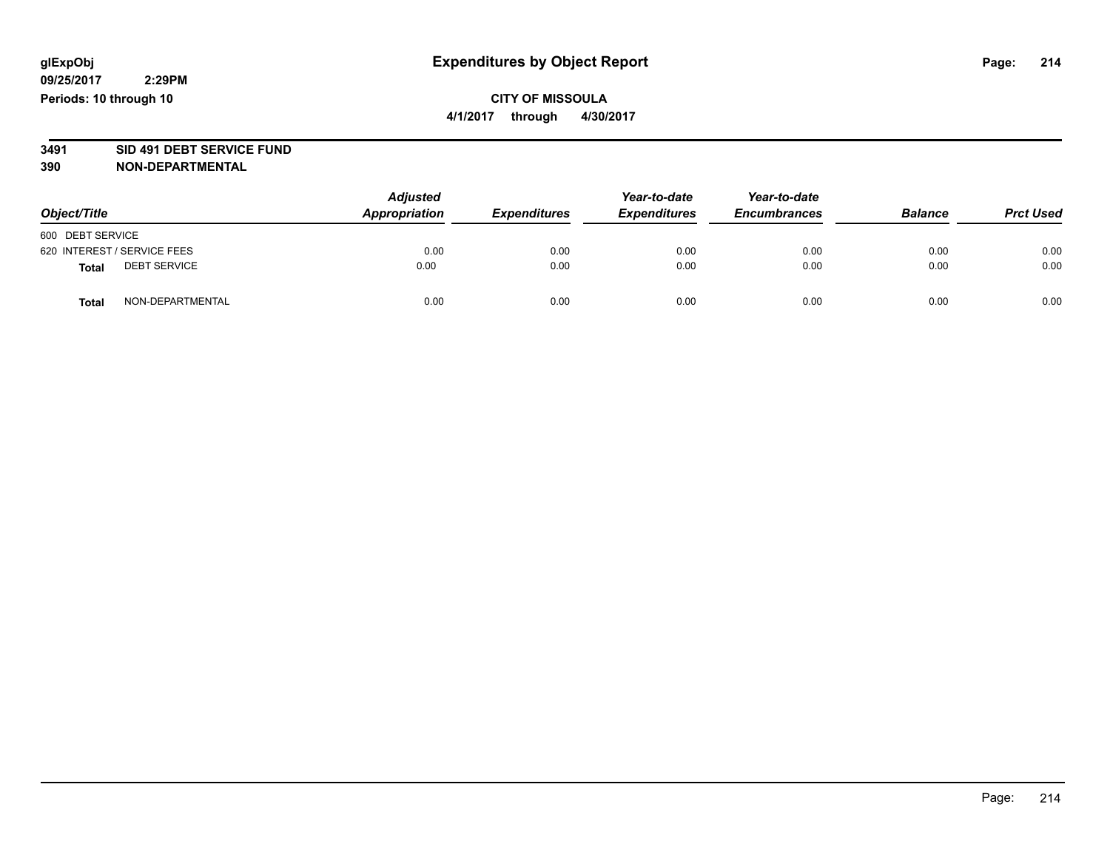### **CITY OF MISSOULA 4/1/2017 through 4/30/2017**

# **3491 SID 491 DEBT SERVICE FUND**

| Object/Title     |                             | <b>Adjusted</b><br>Appropriation | <b>Expenditures</b> | Year-to-date<br><b>Expenditures</b> | Year-to-date<br><b>Encumbrances</b> | <b>Balance</b> | <b>Prct Used</b> |
|------------------|-----------------------------|----------------------------------|---------------------|-------------------------------------|-------------------------------------|----------------|------------------|
| 600 DEBT SERVICE |                             |                                  |                     |                                     |                                     |                |                  |
|                  | 620 INTEREST / SERVICE FEES | 0.00                             | 0.00                | 0.00                                | 0.00                                | 0.00           | 0.00             |
| <b>Total</b>     | <b>DEBT SERVICE</b>         | 0.00                             | 0.00                | 0.00                                | 0.00                                | 0.00           | 0.00             |
| <b>Total</b>     | NON-DEPARTMENTAL            | 0.00                             | 0.00                | 0.00                                | 0.00                                | 0.00           | 0.00             |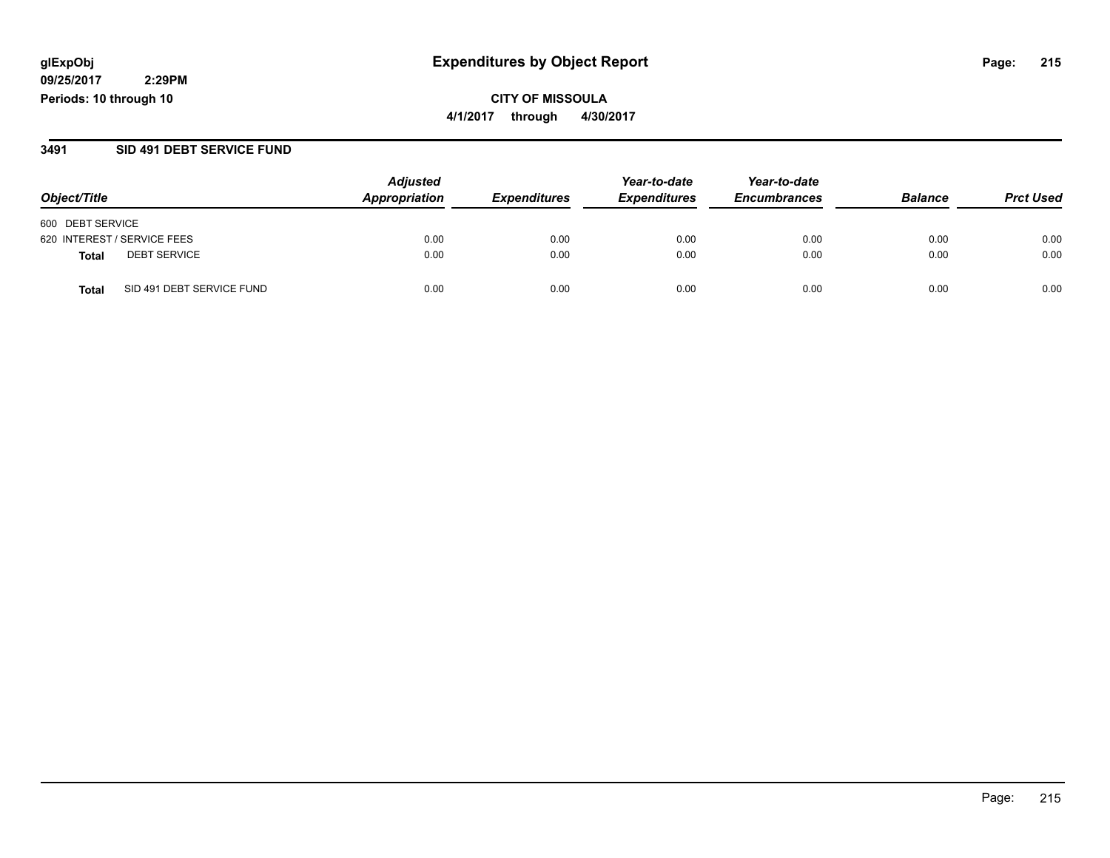**CITY OF MISSOULA 4/1/2017 through 4/30/2017**

#### **3491 SID 491 DEBT SERVICE FUND**

|                                           | <b>Adjusted</b> | Year-to-date        | Year-to-date        |                     |                |                  |
|-------------------------------------------|-----------------|---------------------|---------------------|---------------------|----------------|------------------|
| Object/Title                              | Appropriation   | <b>Expenditures</b> | <b>Expenditures</b> | <b>Encumbrances</b> | <b>Balance</b> | <b>Prct Used</b> |
| 600 DEBT SERVICE                          |                 |                     |                     |                     |                |                  |
| 620 INTEREST / SERVICE FEES               | 0.00            | 0.00                | 0.00                | 0.00                | 0.00           | 0.00             |
| <b>DEBT SERVICE</b><br><b>Total</b>       | 0.00            | 0.00                | 0.00                | 0.00                | 0.00           | 0.00             |
| SID 491 DEBT SERVICE FUND<br><b>Total</b> | 0.00            | 0.00                | 0.00                | 0.00                | 0.00           | 0.00             |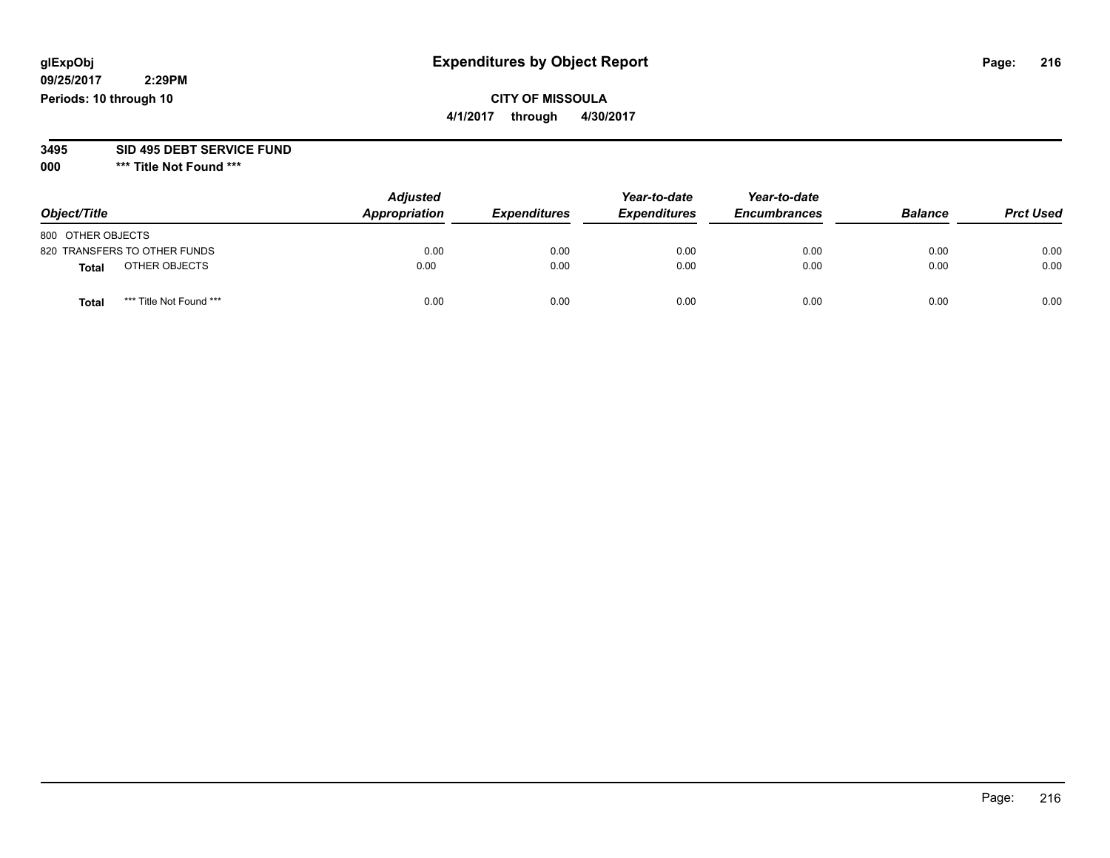# **CITY OF MISSOULA**

**4/1/2017 through 4/30/2017**

# **3495 SID 495 DEBT SERVICE FUND**

**000 \*\*\* Title Not Found \*\*\***

| Object/Title                            | <b>Adjusted</b><br>Appropriation | <b>Expenditures</b> | Year-to-date<br><b>Expenditures</b> | Year-to-date<br><b>Encumbrances</b> | <b>Balance</b> | <b>Prct Used</b> |
|-----------------------------------------|----------------------------------|---------------------|-------------------------------------|-------------------------------------|----------------|------------------|
| 800 OTHER OBJECTS                       |                                  |                     |                                     |                                     |                |                  |
| 820 TRANSFERS TO OTHER FUNDS            | 0.00                             | 0.00                | 0.00                                | 0.00                                | 0.00           | 0.00             |
| OTHER OBJECTS<br>Total                  | 0.00                             | 0.00                | 0.00                                | 0.00                                | 0.00           | 0.00             |
| *** Title Not Found ***<br><b>Total</b> | 0.00                             | 0.00                | 0.00                                | 0.00                                | 0.00           | 0.00             |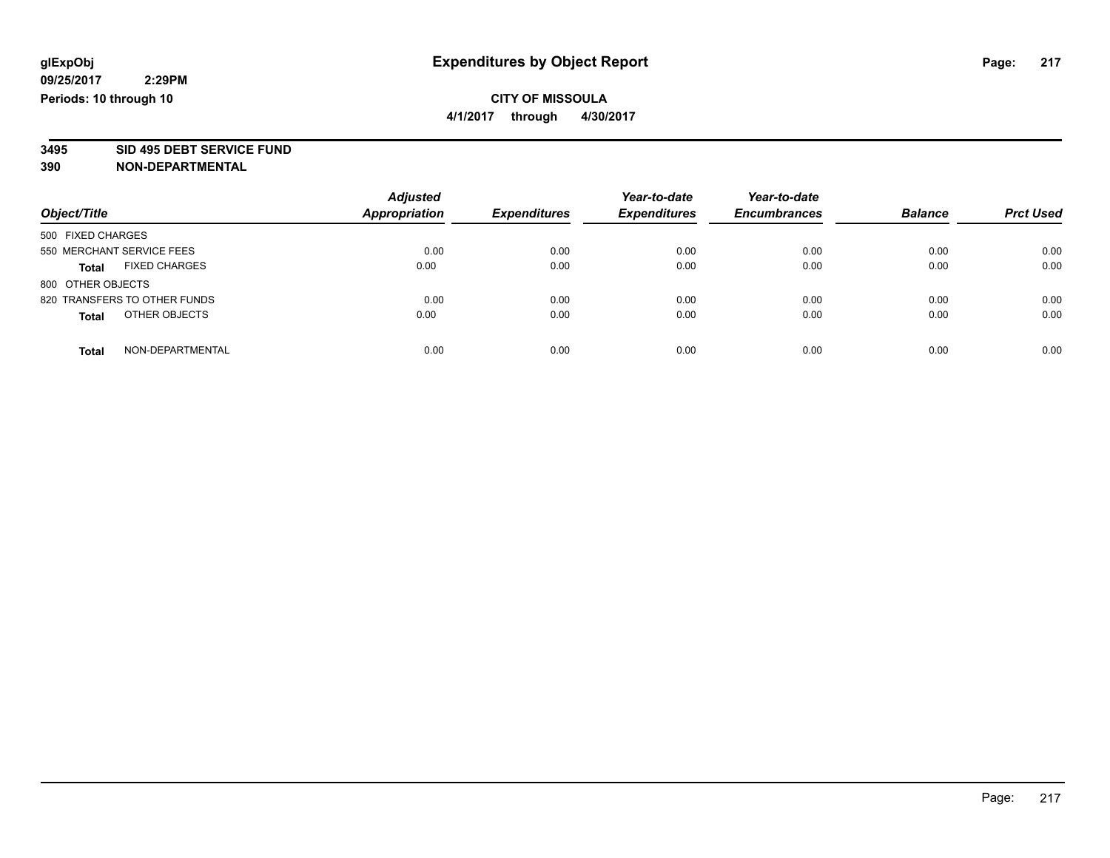**4/1/2017 through 4/30/2017**

# **3495 SID 495 DEBT SERVICE FUND**

| Object/Title                         | <b>Adjusted</b><br><b>Appropriation</b> | <b>Expenditures</b> | Year-to-date<br><b>Expenditures</b> | Year-to-date<br><b>Encumbrances</b> | <b>Balance</b> | <b>Prct Used</b> |
|--------------------------------------|-----------------------------------------|---------------------|-------------------------------------|-------------------------------------|----------------|------------------|
|                                      |                                         |                     |                                     |                                     |                |                  |
| 500 FIXED CHARGES                    |                                         |                     |                                     |                                     |                |                  |
| 550 MERCHANT SERVICE FEES            | 0.00                                    | 0.00                | 0.00                                | 0.00                                | 0.00           | 0.00             |
| <b>FIXED CHARGES</b><br><b>Total</b> | 0.00                                    | 0.00                | 0.00                                | 0.00                                | 0.00           | 0.00             |
| 800 OTHER OBJECTS                    |                                         |                     |                                     |                                     |                |                  |
| 820 TRANSFERS TO OTHER FUNDS         | 0.00                                    | 0.00                | 0.00                                | 0.00                                | 0.00           | 0.00             |
| OTHER OBJECTS<br><b>Total</b>        | 0.00                                    | 0.00                | 0.00                                | 0.00                                | 0.00           | 0.00             |
| NON-DEPARTMENTAL<br><b>Total</b>     | 0.00                                    | 0.00                | 0.00                                | 0.00                                | 0.00           | 0.00             |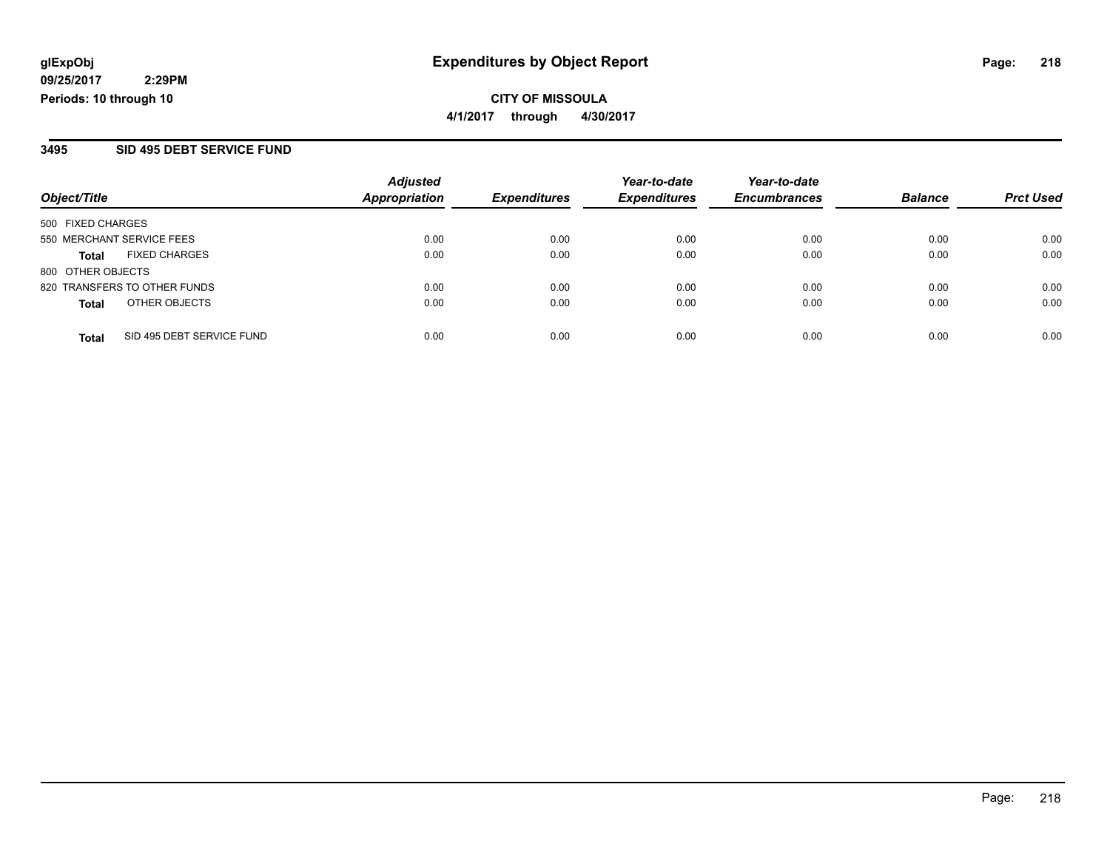**CITY OF MISSOULA 4/1/2017 through 4/30/2017**

#### **3495 SID 495 DEBT SERVICE FUND**

|                              |                           | <b>Adjusted</b><br><b>Appropriation</b> | <b>Expenditures</b> | Year-to-date<br><b>Expenditures</b> | Year-to-date     | <b>Balance</b> |      |
|------------------------------|---------------------------|-----------------------------------------|---------------------|-------------------------------------|------------------|----------------|------|
| Object/Title                 | <b>Encumbrances</b>       |                                         |                     |                                     | <b>Prct Used</b> |                |      |
| 500 FIXED CHARGES            |                           |                                         |                     |                                     |                  |                |      |
| 550 MERCHANT SERVICE FEES    |                           | 0.00                                    | 0.00                | 0.00                                | 0.00             | 0.00           | 0.00 |
| Total                        | <b>FIXED CHARGES</b>      | 0.00                                    | 0.00                | 0.00                                | 0.00             | 0.00           | 0.00 |
| 800 OTHER OBJECTS            |                           |                                         |                     |                                     |                  |                |      |
| 820 TRANSFERS TO OTHER FUNDS |                           | 0.00                                    | 0.00                | 0.00                                | 0.00             | 0.00           | 0.00 |
| <b>Total</b>                 | OTHER OBJECTS             | 0.00                                    | 0.00                | 0.00                                | 0.00             | 0.00           | 0.00 |
| <b>Total</b>                 | SID 495 DEBT SERVICE FUND | 0.00                                    | 0.00                | 0.00                                | 0.00             | 0.00           | 0.00 |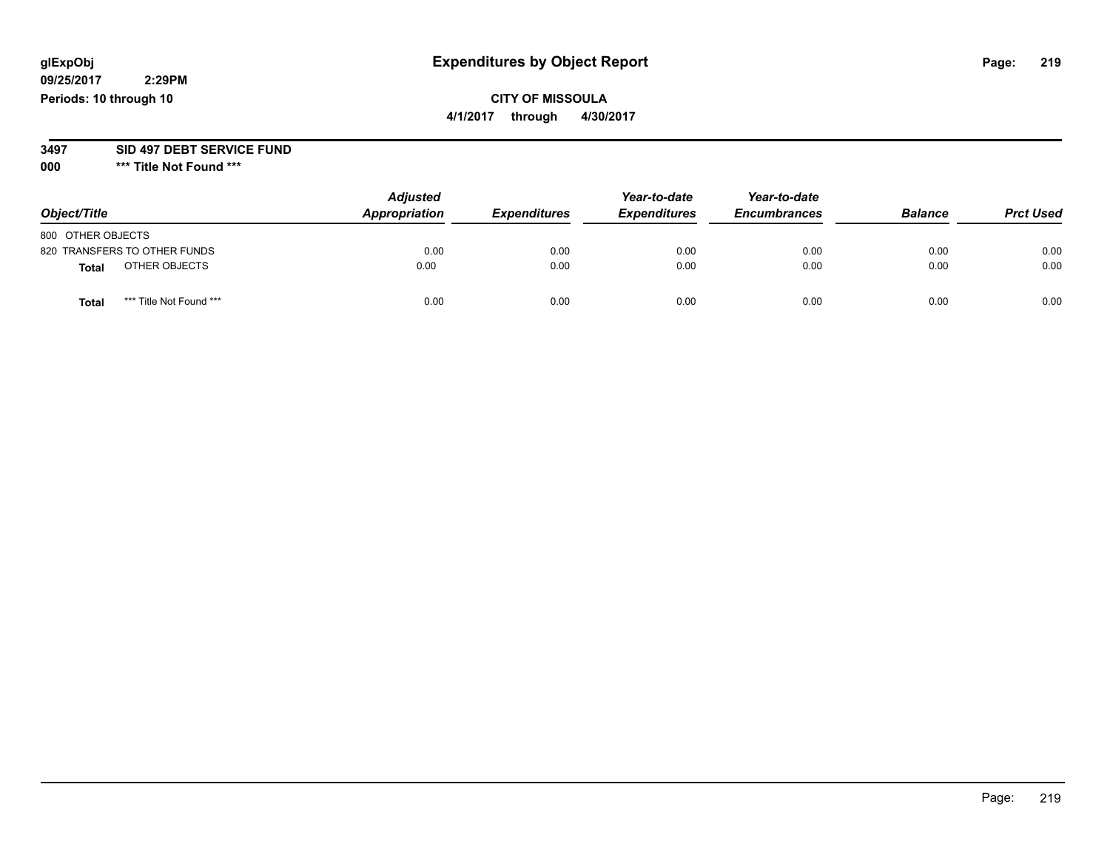#### **CITY OF MISSOULA 4/1/2017 through 4/30/2017**

**3497 SID 497 DEBT SERVICE FUND**

| Object/Title      |                              | <b>Adjusted</b><br>Appropriation | <b>Expenditures</b> | Year-to-date<br><b>Expenditures</b> | Year-to-date<br><b>Encumbrances</b> | <b>Balance</b> | <b>Prct Used</b> |
|-------------------|------------------------------|----------------------------------|---------------------|-------------------------------------|-------------------------------------|----------------|------------------|
| 800 OTHER OBJECTS |                              |                                  |                     |                                     |                                     |                |                  |
|                   | 820 TRANSFERS TO OTHER FUNDS | 0.00                             | 0.00                | 0.00                                | 0.00                                | 0.00           | 0.00             |
| <b>Total</b>      | OTHER OBJECTS                | 0.00                             | 0.00                | 0.00                                | 0.00                                | 0.00           | 0.00             |
| <b>Total</b>      | *** Title Not Found ***      | 0.00                             | 0.00                | 0.00                                | 0.00                                | 0.00           | 0.00             |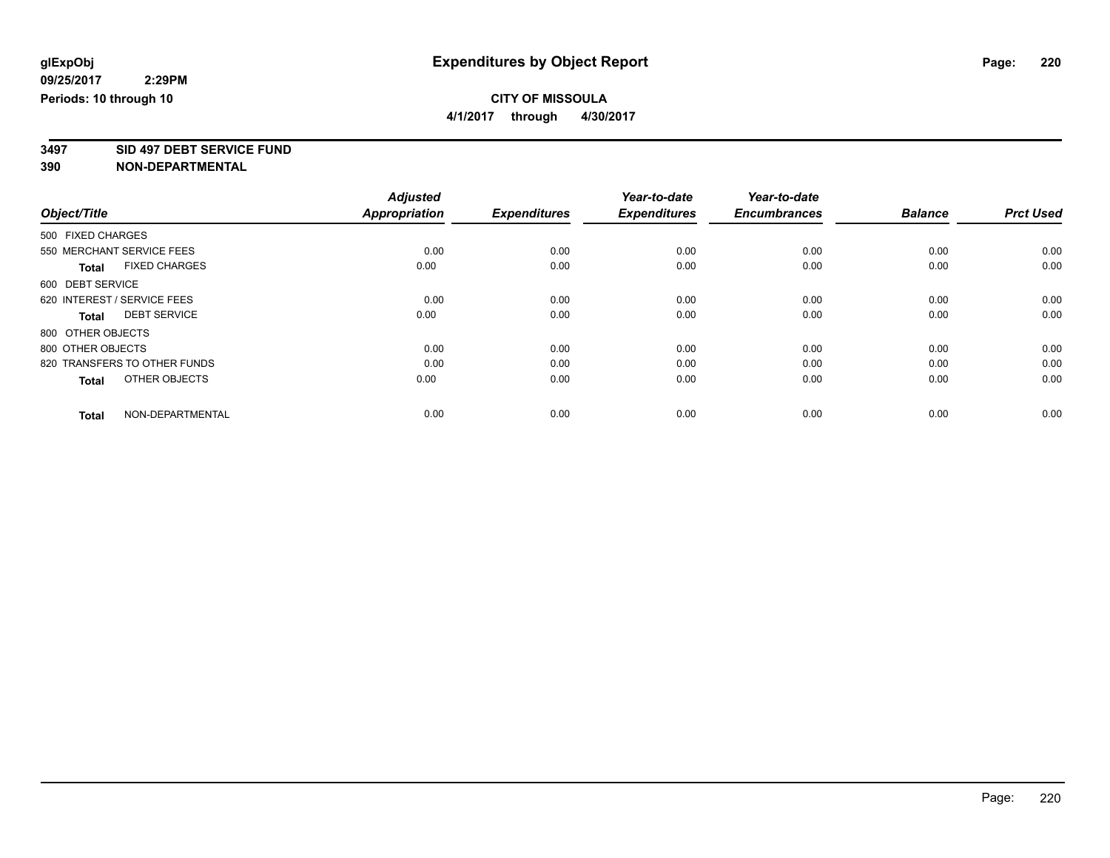**4/1/2017 through 4/30/2017**

**3497 SID 497 DEBT SERVICE FUND**

|                                      | <b>Adjusted</b>      | <b>Expenditures</b> | Year-to-date<br><b>Expenditures</b> | Year-to-date<br><b>Encumbrances</b> | <b>Balance</b> |                  |
|--------------------------------------|----------------------|---------------------|-------------------------------------|-------------------------------------|----------------|------------------|
| Object/Title                         | <b>Appropriation</b> |                     |                                     |                                     |                | <b>Prct Used</b> |
| 500 FIXED CHARGES                    |                      |                     |                                     |                                     |                |                  |
| 550 MERCHANT SERVICE FEES            | 0.00                 | 0.00                | 0.00                                | 0.00                                | 0.00           | 0.00             |
| <b>FIXED CHARGES</b><br><b>Total</b> | 0.00                 | 0.00                | 0.00                                | 0.00                                | 0.00           | 0.00             |
| 600 DEBT SERVICE                     |                      |                     |                                     |                                     |                |                  |
| 620 INTEREST / SERVICE FEES          | 0.00                 | 0.00                | 0.00                                | 0.00                                | 0.00           | 0.00             |
| <b>DEBT SERVICE</b><br>Total         | 0.00                 | 0.00                | 0.00                                | 0.00                                | 0.00           | 0.00             |
| 800 OTHER OBJECTS                    |                      |                     |                                     |                                     |                |                  |
| 800 OTHER OBJECTS                    | 0.00                 | 0.00                | 0.00                                | 0.00                                | 0.00           | 0.00             |
| 820 TRANSFERS TO OTHER FUNDS         | 0.00                 | 0.00                | 0.00                                | 0.00                                | 0.00           | 0.00             |
| OTHER OBJECTS<br><b>Total</b>        | 0.00                 | 0.00                | 0.00                                | 0.00                                | 0.00           | 0.00             |
|                                      |                      |                     |                                     |                                     |                |                  |
| NON-DEPARTMENTAL<br><b>Total</b>     | 0.00                 | 0.00                | 0.00                                | 0.00                                | 0.00           | 0.00             |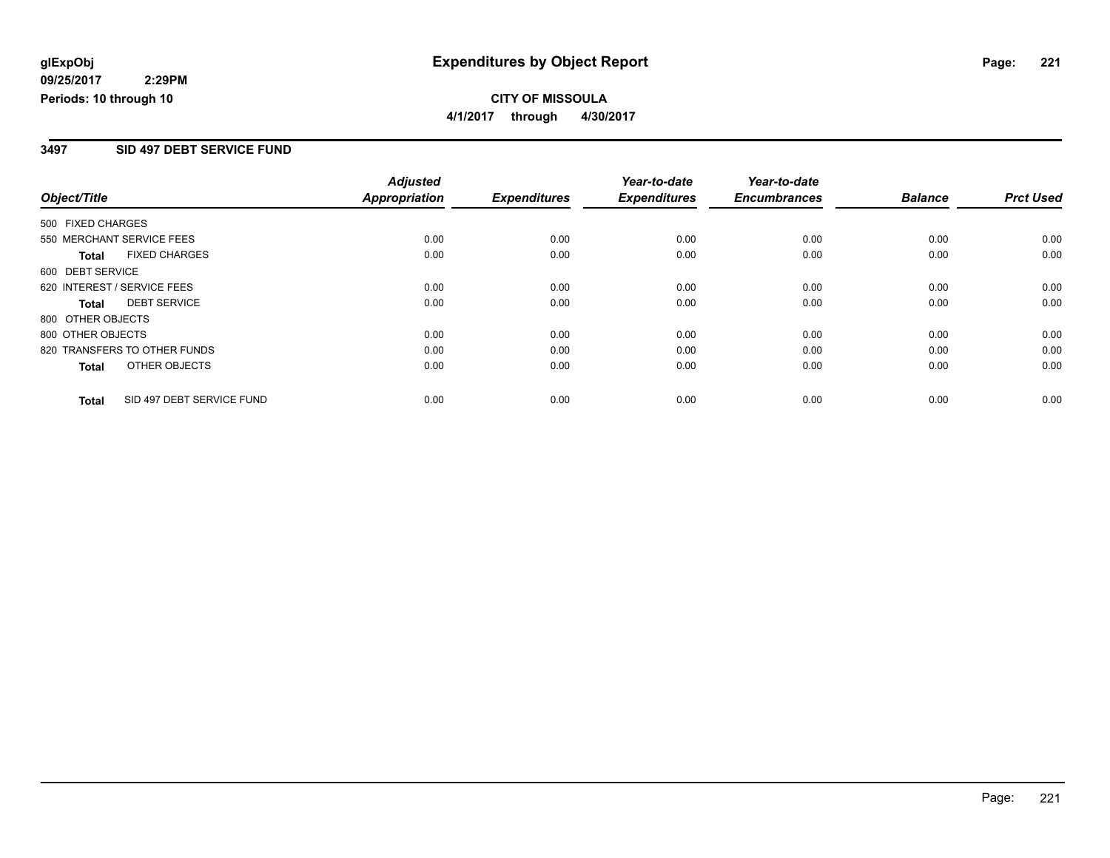**CITY OF MISSOULA 4/1/2017 through 4/30/2017**

#### **3497 SID 497 DEBT SERVICE FUND**

|                                           | <b>Adjusted</b>      |                     | Year-to-date        | Year-to-date        |                |                  |
|-------------------------------------------|----------------------|---------------------|---------------------|---------------------|----------------|------------------|
| Object/Title                              | <b>Appropriation</b> | <b>Expenditures</b> | <b>Expenditures</b> | <b>Encumbrances</b> | <b>Balance</b> | <b>Prct Used</b> |
| 500 FIXED CHARGES                         |                      |                     |                     |                     |                |                  |
| 550 MERCHANT SERVICE FEES                 | 0.00                 | 0.00                | 0.00                | 0.00                | 0.00           | 0.00             |
| <b>FIXED CHARGES</b><br>Total             | 0.00                 | 0.00                | 0.00                | 0.00                | 0.00           | 0.00             |
| 600 DEBT SERVICE                          |                      |                     |                     |                     |                |                  |
| 620 INTEREST / SERVICE FEES               | 0.00                 | 0.00                | 0.00                | 0.00                | 0.00           | 0.00             |
| <b>DEBT SERVICE</b><br><b>Total</b>       | 0.00                 | 0.00                | 0.00                | 0.00                | 0.00           | 0.00             |
| 800 OTHER OBJECTS                         |                      |                     |                     |                     |                |                  |
| 800 OTHER OBJECTS                         | 0.00                 | 0.00                | 0.00                | 0.00                | 0.00           | 0.00             |
| 820 TRANSFERS TO OTHER FUNDS              | 0.00                 | 0.00                | 0.00                | 0.00                | 0.00           | 0.00             |
| OTHER OBJECTS<br><b>Total</b>             | 0.00                 | 0.00                | 0.00                | 0.00                | 0.00           | 0.00             |
| SID 497 DEBT SERVICE FUND<br><b>Total</b> | 0.00                 | 0.00                | 0.00                | 0.00                | 0.00           | 0.00             |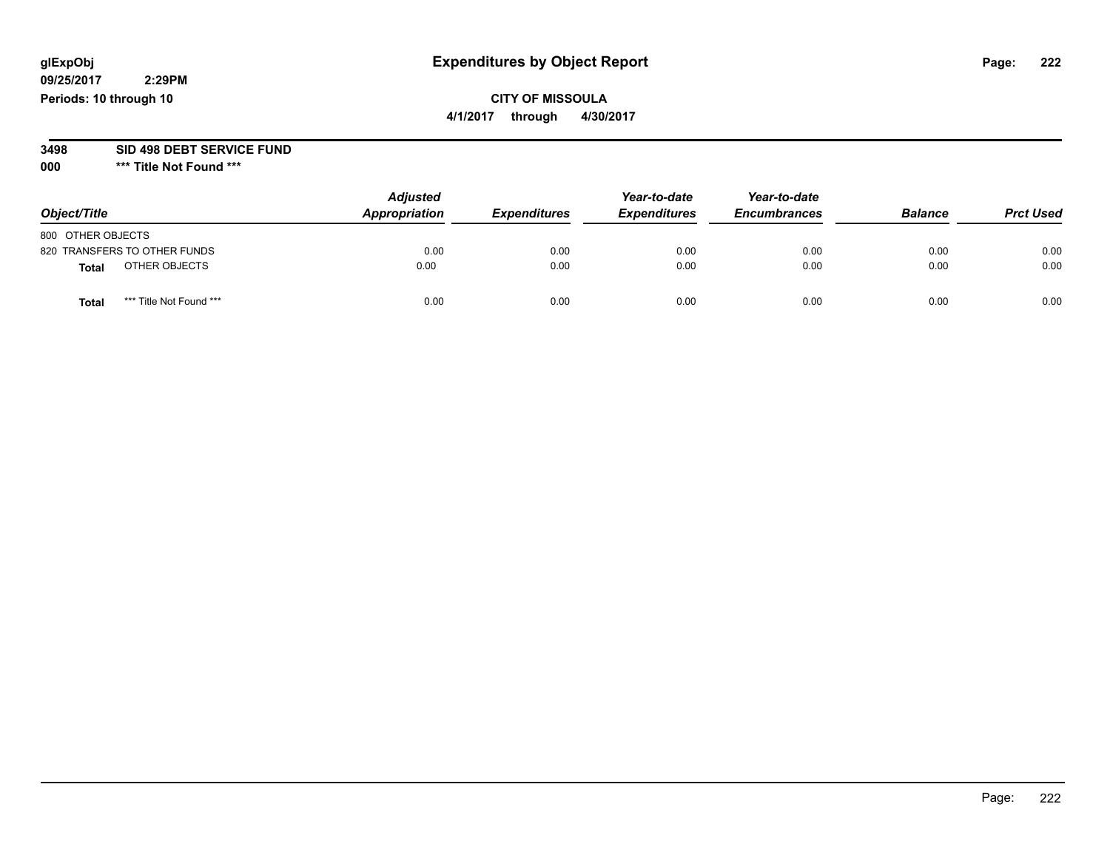## **CITY OF MISSOULA**

**4/1/2017 through 4/30/2017**

# **3498 SID 498 DEBT SERVICE FUND**

| Object/Title                            | <b>Adjusted</b><br>Appropriation | <b>Expenditures</b> | Year-to-date<br><b>Expenditures</b> | Year-to-date<br><b>Encumbrances</b> | <b>Balance</b> | <b>Prct Used</b> |
|-----------------------------------------|----------------------------------|---------------------|-------------------------------------|-------------------------------------|----------------|------------------|
| 800 OTHER OBJECTS                       |                                  |                     |                                     |                                     |                |                  |
| 820 TRANSFERS TO OTHER FUNDS            | 0.00                             | 0.00                | 0.00                                | 0.00                                | 0.00           | 0.00             |
| OTHER OBJECTS<br>Total                  | 0.00                             | 0.00                | 0.00                                | 0.00                                | 0.00           | 0.00             |
| *** Title Not Found ***<br><b>Total</b> | 0.00                             | 0.00                | 0.00                                | 0.00                                | 0.00           | 0.00             |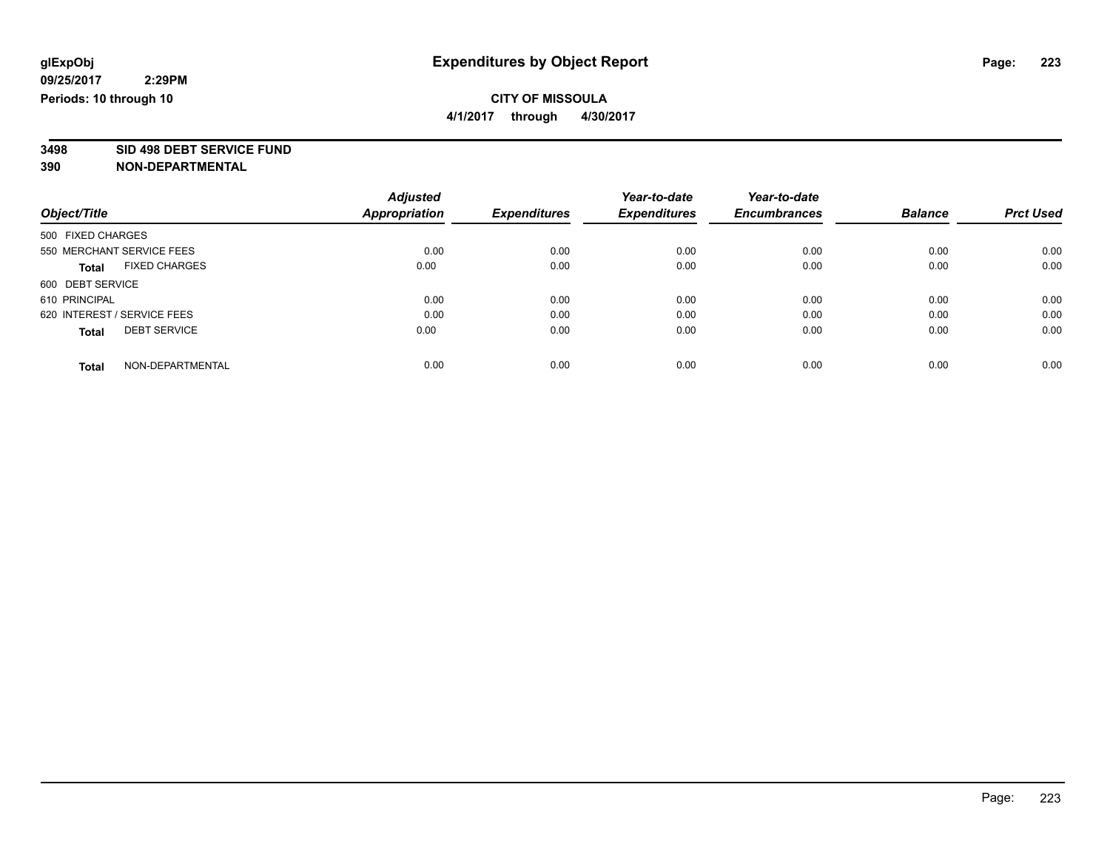**4/1/2017 through 4/30/2017**

**3498 SID 498 DEBT SERVICE FUND**

|                                      | <b>Adjusted</b>      |                     | Year-to-date        | Year-to-date        |                |                  |
|--------------------------------------|----------------------|---------------------|---------------------|---------------------|----------------|------------------|
| Object/Title                         | <b>Appropriation</b> | <b>Expenditures</b> | <b>Expenditures</b> | <b>Encumbrances</b> | <b>Balance</b> | <b>Prct Used</b> |
| 500 FIXED CHARGES                    |                      |                     |                     |                     |                |                  |
| 550 MERCHANT SERVICE FEES            | 0.00                 | 0.00                | 0.00                | 0.00                | 0.00           | 0.00             |
| <b>FIXED CHARGES</b><br><b>Total</b> | 0.00                 | 0.00                | 0.00                | 0.00                | 0.00           | 0.00             |
| 600 DEBT SERVICE                     |                      |                     |                     |                     |                |                  |
| 610 PRINCIPAL                        | 0.00                 | 0.00                | 0.00                | 0.00                | 0.00           | 0.00             |
| 620 INTEREST / SERVICE FEES          | 0.00                 | 0.00                | 0.00                | 0.00                | 0.00           | 0.00             |
| <b>DEBT SERVICE</b><br><b>Total</b>  | 0.00                 | 0.00                | 0.00                | 0.00                | 0.00           | 0.00             |
| NON-DEPARTMENTAL<br><b>Total</b>     | 0.00                 | 0.00                | 0.00                | 0.00                | 0.00           | 0.00             |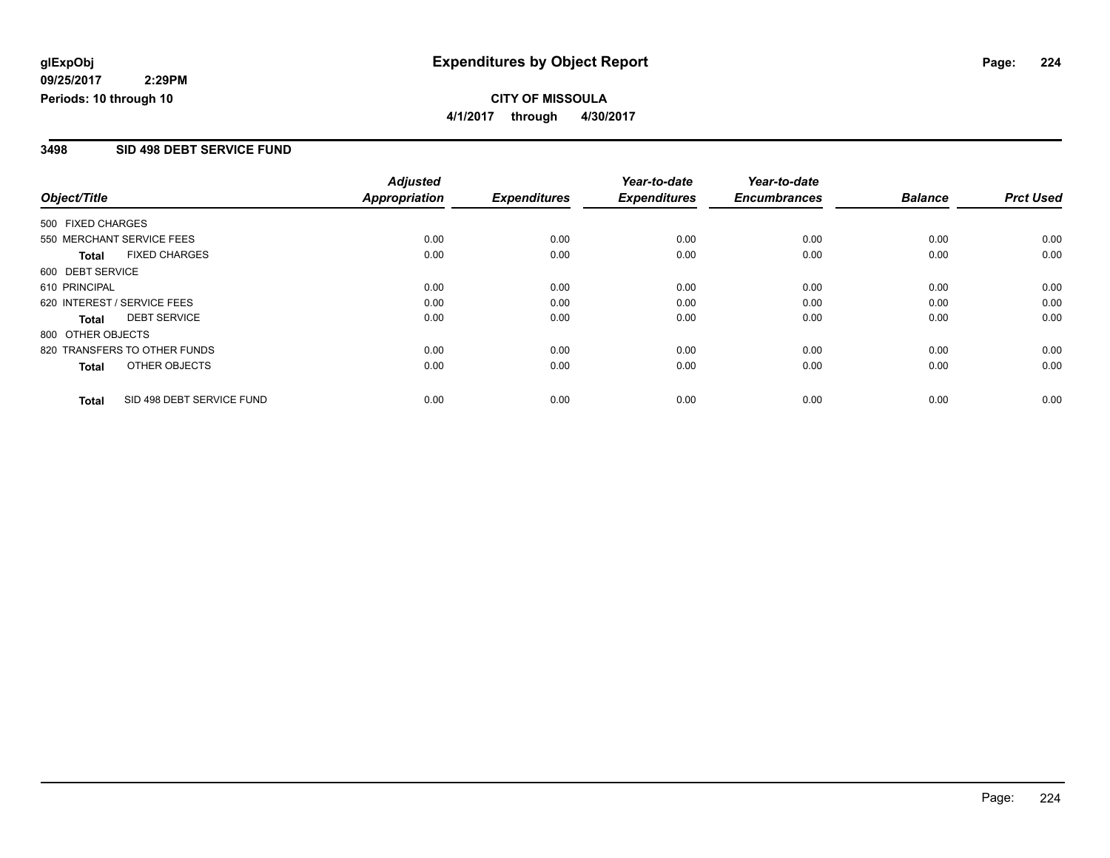#### **CITY OF MISSOULA 4/1/2017 through 4/30/2017**

#### **3498 SID 498 DEBT SERVICE FUND**

|                             |                              | <b>Adjusted</b>      | Year-to-date        | Year-to-date        |                     |                |                  |
|-----------------------------|------------------------------|----------------------|---------------------|---------------------|---------------------|----------------|------------------|
| Object/Title                |                              | <b>Appropriation</b> | <b>Expenditures</b> | <b>Expenditures</b> | <b>Encumbrances</b> | <b>Balance</b> | <b>Prct Used</b> |
| 500 FIXED CHARGES           |                              |                      |                     |                     |                     |                |                  |
| 550 MERCHANT SERVICE FEES   |                              | 0.00                 | 0.00                | 0.00                | 0.00                | 0.00           | 0.00             |
| <b>Total</b>                | <b>FIXED CHARGES</b>         | 0.00                 | 0.00                | 0.00                | 0.00                | 0.00           | 0.00             |
| 600 DEBT SERVICE            |                              |                      |                     |                     |                     |                |                  |
| 610 PRINCIPAL               |                              | 0.00                 | 0.00                | 0.00                | 0.00                | 0.00           | 0.00             |
| 620 INTEREST / SERVICE FEES |                              | 0.00                 | 0.00                | 0.00                | 0.00                | 0.00           | 0.00             |
| Total                       | <b>DEBT SERVICE</b>          | 0.00                 | 0.00                | 0.00                | 0.00                | 0.00           | 0.00             |
| 800 OTHER OBJECTS           |                              |                      |                     |                     |                     |                |                  |
|                             | 820 TRANSFERS TO OTHER FUNDS | 0.00                 | 0.00                | 0.00                | 0.00                | 0.00           | 0.00             |
| Total                       | OTHER OBJECTS                | 0.00                 | 0.00                | 0.00                | 0.00                | 0.00           | 0.00             |
| <b>Total</b>                | SID 498 DEBT SERVICE FUND    | 0.00                 | 0.00                | 0.00                | 0.00                | 0.00           | 0.00             |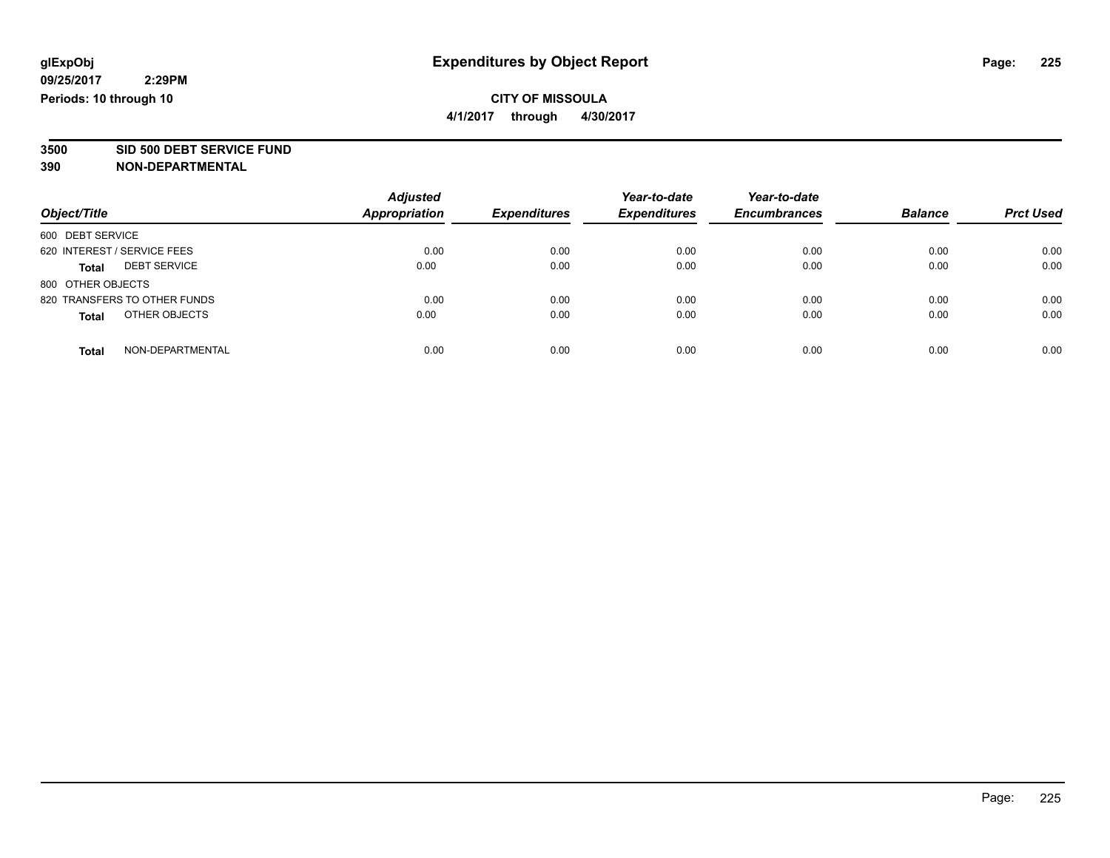**4/1/2017 through 4/30/2017**

**3500 SID 500 DEBT SERVICE FUND**

| Object/Title                        | <b>Adjusted</b><br><b>Appropriation</b> | <b>Expenditures</b> | Year-to-date<br><b>Expenditures</b> | Year-to-date<br><b>Encumbrances</b> | <b>Balance</b> | <b>Prct Used</b> |
|-------------------------------------|-----------------------------------------|---------------------|-------------------------------------|-------------------------------------|----------------|------------------|
| 600 DEBT SERVICE                    |                                         |                     |                                     |                                     |                |                  |
| 620 INTEREST / SERVICE FEES         | 0.00                                    | 0.00                | 0.00                                | 0.00                                | 0.00           | 0.00             |
| <b>DEBT SERVICE</b><br><b>Total</b> | 0.00                                    | 0.00                | 0.00                                | 0.00                                | 0.00           | 0.00             |
| 800 OTHER OBJECTS                   |                                         |                     |                                     |                                     |                |                  |
| 820 TRANSFERS TO OTHER FUNDS        | 0.00                                    | 0.00                | 0.00                                | 0.00                                | 0.00           | 0.00             |
| OTHER OBJECTS<br><b>Total</b>       | 0.00                                    | 0.00                | 0.00                                | 0.00                                | 0.00           | 0.00             |
| NON-DEPARTMENTAL<br><b>Total</b>    | 0.00                                    | 0.00                | 0.00                                | 0.00                                | 0.00           | 0.00             |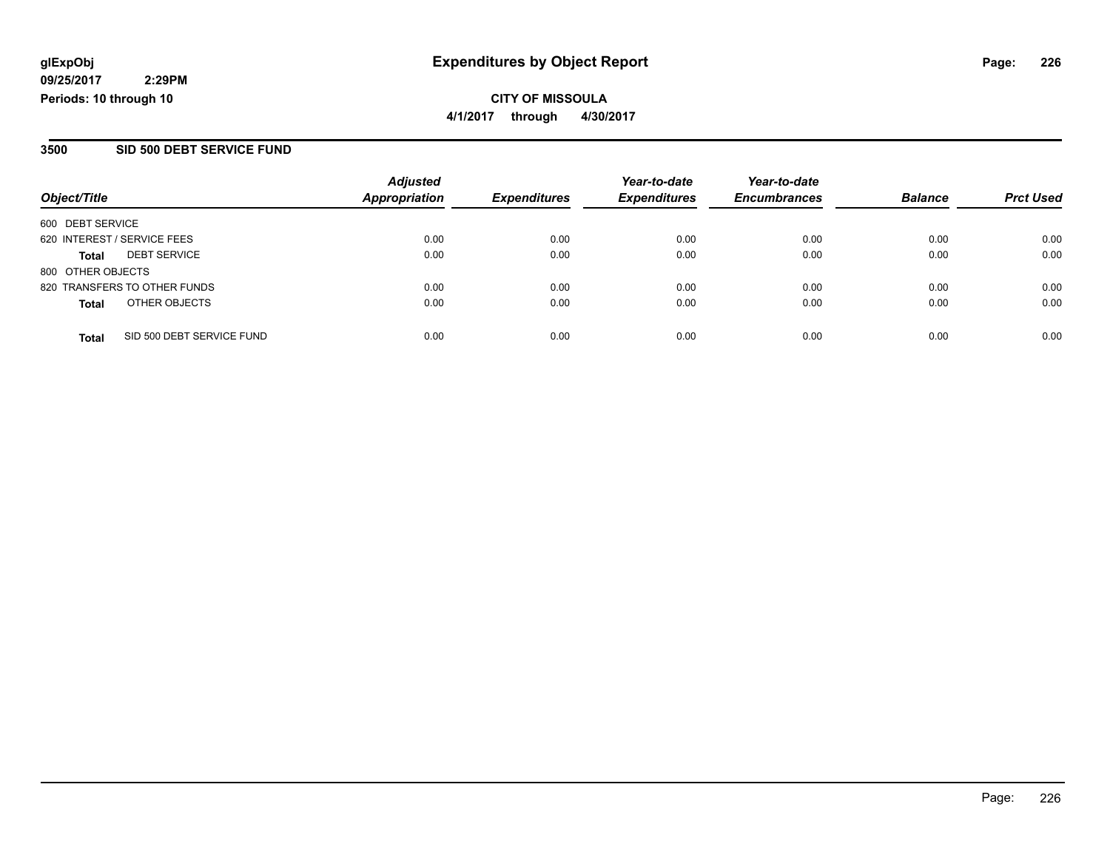#### **CITY OF MISSOULA 4/1/2017 through 4/30/2017**

#### **3500 SID 500 DEBT SERVICE FUND**

| Object/Title                        | <b>Adjusted</b><br><b>Appropriation</b> | <b>Expenditures</b> | Year-to-date<br><b>Expenditures</b> | Year-to-date<br><b>Encumbrances</b> | <b>Balance</b> | <b>Prct Used</b> |
|-------------------------------------|-----------------------------------------|---------------------|-------------------------------------|-------------------------------------|----------------|------------------|
|                                     |                                         |                     |                                     |                                     |                |                  |
| 600 DEBT SERVICE                    |                                         |                     |                                     |                                     |                |                  |
| 620 INTEREST / SERVICE FEES         | 0.00                                    | 0.00                | 0.00                                | 0.00                                | 0.00           | 0.00             |
| <b>DEBT SERVICE</b><br><b>Total</b> | 0.00                                    | 0.00                | 0.00                                | 0.00                                | 0.00           | 0.00             |
| 800 OTHER OBJECTS                   |                                         |                     |                                     |                                     |                |                  |
| 820 TRANSFERS TO OTHER FUNDS        | 0.00                                    | 0.00                | 0.00                                | 0.00                                | 0.00           | 0.00             |
| OTHER OBJECTS<br><b>Total</b>       | 0.00                                    | 0.00                | 0.00                                | 0.00                                | 0.00           | 0.00             |
| SID 500 DEBT SERVICE FUND           | 0.00                                    | 0.00                | 0.00                                | 0.00                                | 0.00           | 0.00             |
| <b>Total</b>                        |                                         |                     |                                     |                                     |                |                  |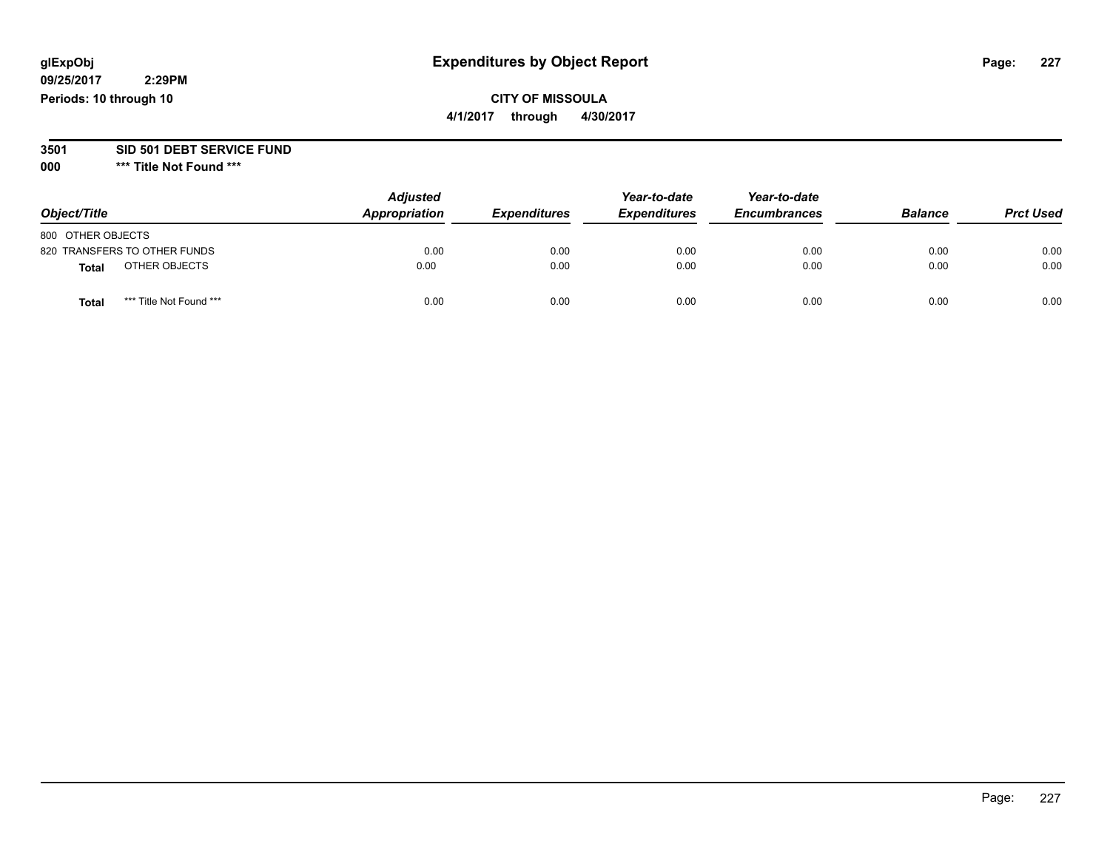## **CITY OF MISSOULA**

**4/1/2017 through 4/30/2017**

#### **3501 SID 501 DEBT SERVICE FUND**

| Object/Title                     | <b>Adjusted</b><br>Appropriation | <b>Expenditures</b> | Year-to-date<br><b>Expenditures</b> | Year-to-date<br><b>Encumbrances</b> | <b>Balance</b> | <b>Prct Used</b> |
|----------------------------------|----------------------------------|---------------------|-------------------------------------|-------------------------------------|----------------|------------------|
| 800 OTHER OBJECTS                |                                  |                     |                                     |                                     |                |                  |
| 820 TRANSFERS TO OTHER FUNDS     | 0.00                             | 0.00                | 0.00                                | 0.00                                | 0.00           | 0.00             |
| OTHER OBJECTS<br>Total           | 0.00                             | 0.00                | 0.00                                | 0.00                                | 0.00           | 0.00             |
| *** Title Not Found ***<br>Total | 0.00                             | 0.00                | 0.00                                | 0.00                                | 0.00           | 0.00             |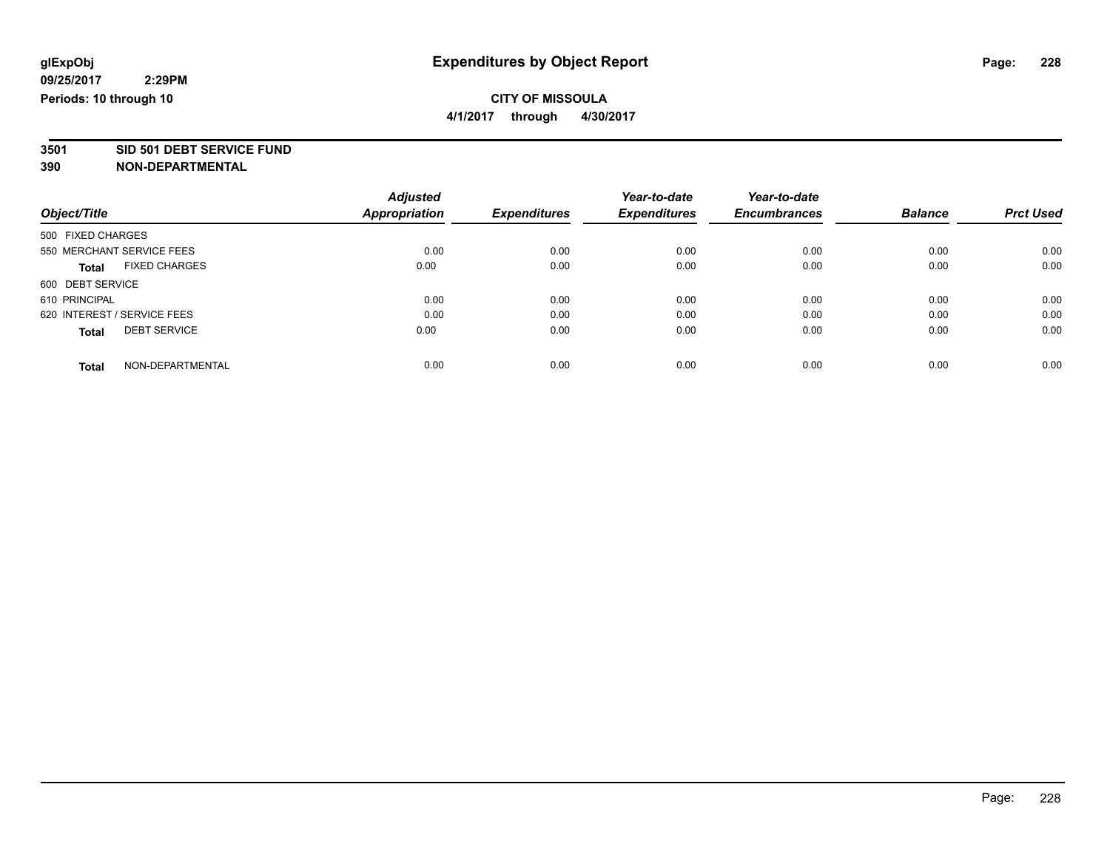**4/1/2017 through 4/30/2017**

# **3501 SID 501 DEBT SERVICE FUND**

|                                      | <b>Adjusted</b>      |                     | Year-to-date        | Year-to-date        |                |                  |
|--------------------------------------|----------------------|---------------------|---------------------|---------------------|----------------|------------------|
| Object/Title                         | <b>Appropriation</b> | <b>Expenditures</b> | <b>Expenditures</b> | <b>Encumbrances</b> | <b>Balance</b> | <b>Prct Used</b> |
| 500 FIXED CHARGES                    |                      |                     |                     |                     |                |                  |
| 550 MERCHANT SERVICE FEES            | 0.00                 | 0.00                | 0.00                | 0.00                | 0.00           | 0.00             |
| <b>FIXED CHARGES</b><br><b>Total</b> | 0.00                 | 0.00                | 0.00                | 0.00                | 0.00           | 0.00             |
| 600 DEBT SERVICE                     |                      |                     |                     |                     |                |                  |
| 610 PRINCIPAL                        | 0.00                 | 0.00                | 0.00                | 0.00                | 0.00           | 0.00             |
| 620 INTEREST / SERVICE FEES          | 0.00                 | 0.00                | 0.00                | 0.00                | 0.00           | 0.00             |
| <b>DEBT SERVICE</b><br><b>Total</b>  | 0.00                 | 0.00                | 0.00                | 0.00                | 0.00           | 0.00             |
| NON-DEPARTMENTAL<br>Total            | 0.00                 | 0.00                | 0.00                | 0.00                | 0.00           | 0.00             |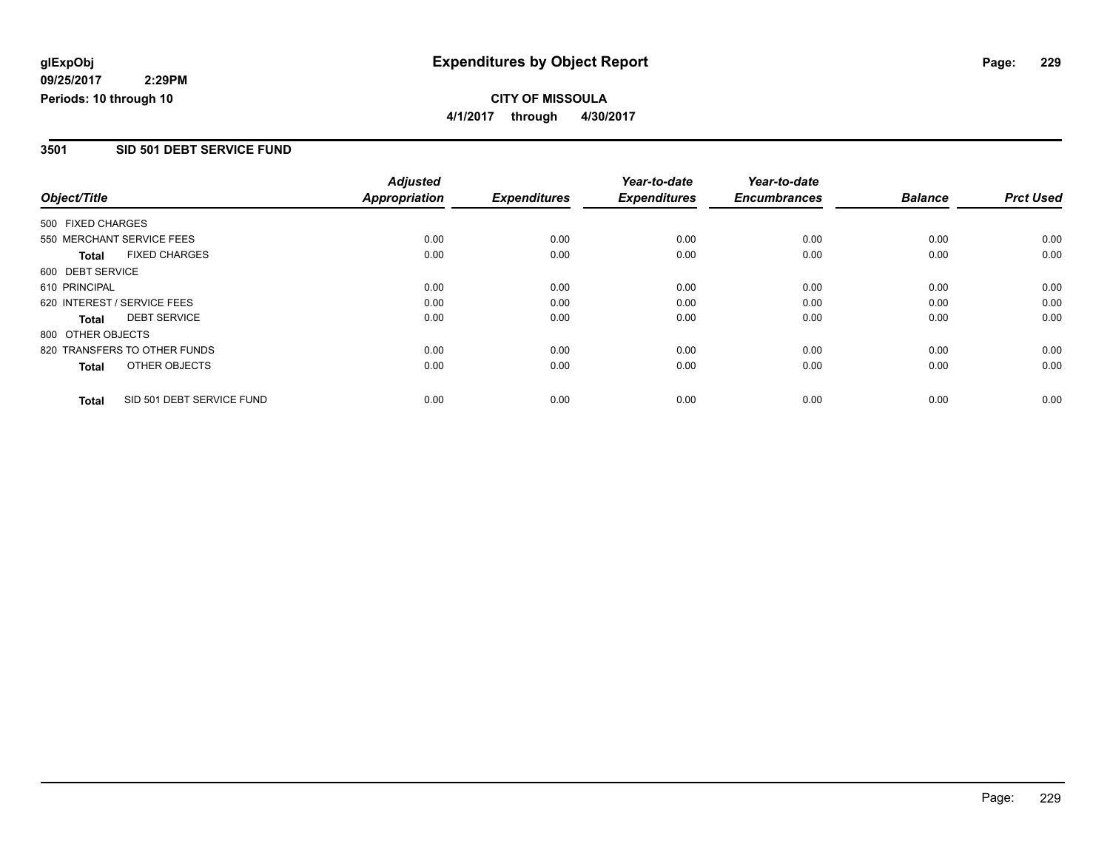#### **CITY OF MISSOULA 4/1/2017 through 4/30/2017**

#### **3501 SID 501 DEBT SERVICE FUND**

|                   |                              | <b>Adjusted</b> |                     | Year-to-date        | Year-to-date        |                |                  |
|-------------------|------------------------------|-----------------|---------------------|---------------------|---------------------|----------------|------------------|
| Object/Title      |                              | Appropriation   | <b>Expenditures</b> | <b>Expenditures</b> | <b>Encumbrances</b> | <b>Balance</b> | <b>Prct Used</b> |
| 500 FIXED CHARGES |                              |                 |                     |                     |                     |                |                  |
|                   | 550 MERCHANT SERVICE FEES    | 0.00            | 0.00                | 0.00                | 0.00                | 0.00           | 0.00             |
| <b>Total</b>      | <b>FIXED CHARGES</b>         | 0.00            | 0.00                | 0.00                | 0.00                | 0.00           | 0.00             |
| 600 DEBT SERVICE  |                              |                 |                     |                     |                     |                |                  |
| 610 PRINCIPAL     |                              | 0.00            | 0.00                | 0.00                | 0.00                | 0.00           | 0.00             |
|                   | 620 INTEREST / SERVICE FEES  | 0.00            | 0.00                | 0.00                | 0.00                | 0.00           | 0.00             |
| <b>Total</b>      | <b>DEBT SERVICE</b>          | 0.00            | 0.00                | 0.00                | 0.00                | 0.00           | 0.00             |
| 800 OTHER OBJECTS |                              |                 |                     |                     |                     |                |                  |
|                   | 820 TRANSFERS TO OTHER FUNDS | 0.00            | 0.00                | 0.00                | 0.00                | 0.00           | 0.00             |
| <b>Total</b>      | OTHER OBJECTS                | 0.00            | 0.00                | 0.00                | 0.00                | 0.00           | 0.00             |
| <b>Total</b>      | SID 501 DEBT SERVICE FUND    | 0.00            | 0.00                | 0.00                | 0.00                | 0.00           | 0.00             |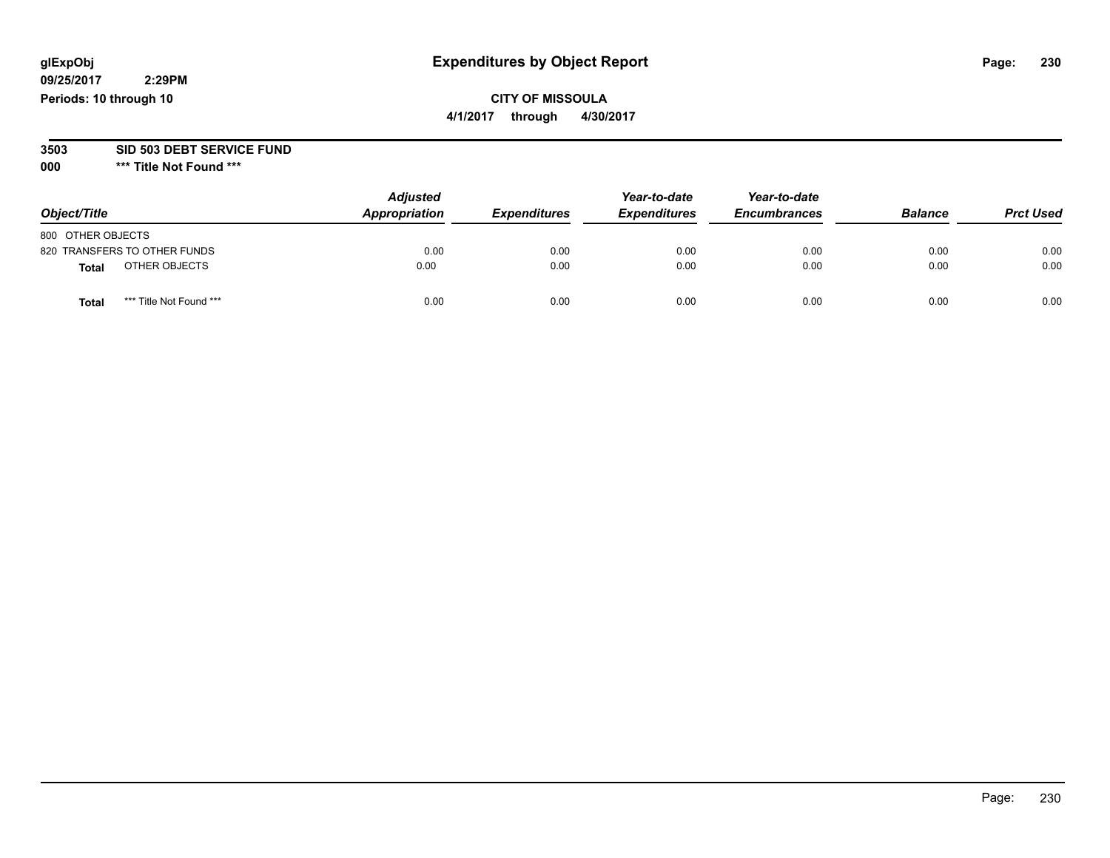## **CITY OF MISSOULA**

**4/1/2017 through 4/30/2017**

#### **3503 SID 503 DEBT SERVICE FUND**

| Object/Title                     | <b>Adjusted</b><br>Appropriation | <b>Expenditures</b> | Year-to-date<br><b>Expenditures</b> | Year-to-date<br><b>Encumbrances</b> | <b>Balance</b> | <b>Prct Used</b> |
|----------------------------------|----------------------------------|---------------------|-------------------------------------|-------------------------------------|----------------|------------------|
| 800 OTHER OBJECTS                |                                  |                     |                                     |                                     |                |                  |
| 820 TRANSFERS TO OTHER FUNDS     | 0.00                             | 0.00                | 0.00                                | 0.00                                | 0.00           | 0.00             |
| OTHER OBJECTS<br><b>Total</b>    | 0.00                             | 0.00                | 0.00                                | 0.00                                | 0.00           | 0.00             |
| *** Title Not Found ***<br>Total | 0.00                             | 0.00                | 0.00                                | 0.00                                | 0.00           | 0.00             |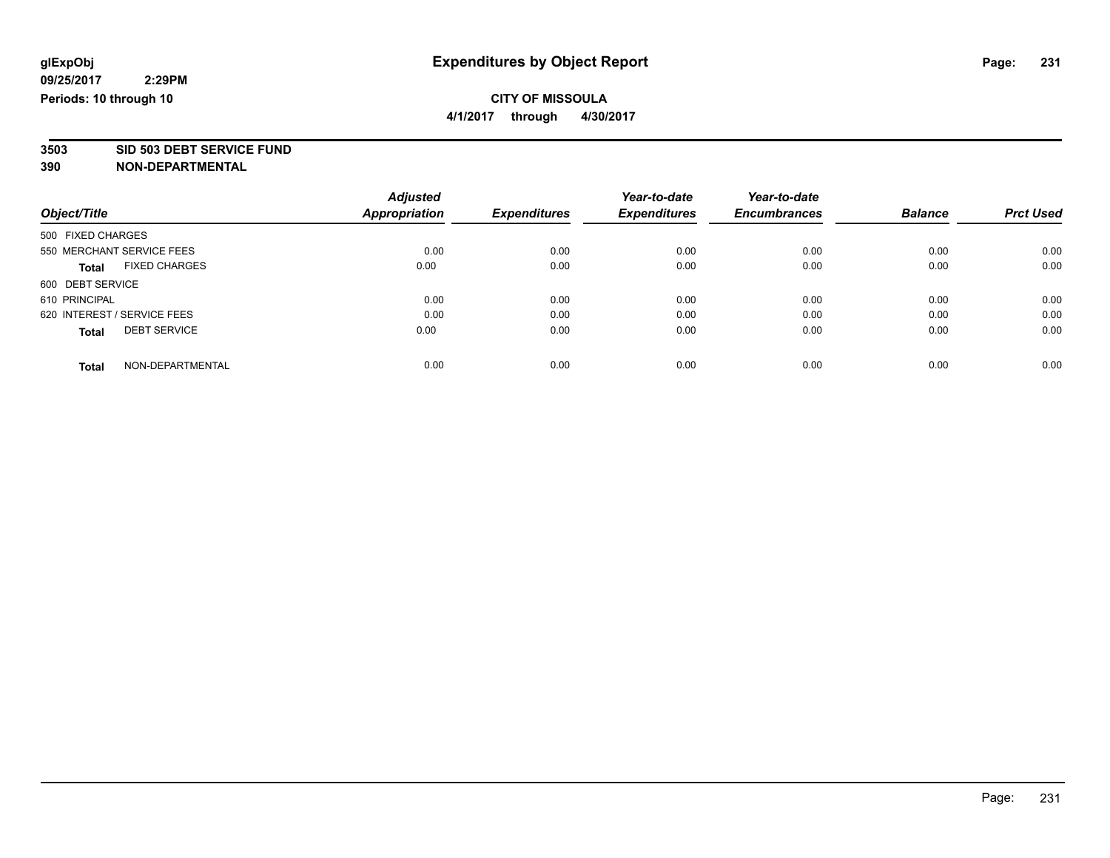**4/1/2017 through 4/30/2017**

# **3503 SID 503 DEBT SERVICE FUND**

|                                      | <b>Adjusted</b>      | <b>Expenditures</b> | Year-to-date<br><b>Expenditures</b> | Year-to-date<br><b>Encumbrances</b> | <b>Balance</b> | <b>Prct Used</b> |
|--------------------------------------|----------------------|---------------------|-------------------------------------|-------------------------------------|----------------|------------------|
| Object/Title                         | <b>Appropriation</b> |                     |                                     |                                     |                |                  |
| 500 FIXED CHARGES                    |                      |                     |                                     |                                     |                |                  |
| 550 MERCHANT SERVICE FEES            | 0.00                 | 0.00                | 0.00                                | 0.00                                | 0.00           | 0.00             |
| <b>FIXED CHARGES</b><br><b>Total</b> | 0.00                 | 0.00                | 0.00                                | 0.00                                | 0.00           | 0.00             |
| 600 DEBT SERVICE                     |                      |                     |                                     |                                     |                |                  |
| 610 PRINCIPAL                        | 0.00                 | 0.00                | 0.00                                | 0.00                                | 0.00           | 0.00             |
| 620 INTEREST / SERVICE FEES          | 0.00                 | 0.00                | 0.00                                | 0.00                                | 0.00           | 0.00             |
| <b>DEBT SERVICE</b><br><b>Total</b>  | 0.00                 | 0.00                | 0.00                                | 0.00                                | 0.00           | 0.00             |
|                                      |                      |                     |                                     |                                     |                |                  |
| NON-DEPARTMENTAL<br><b>Total</b>     | 0.00                 | 0.00                | 0.00                                | 0.00                                | 0.00           | 0.00             |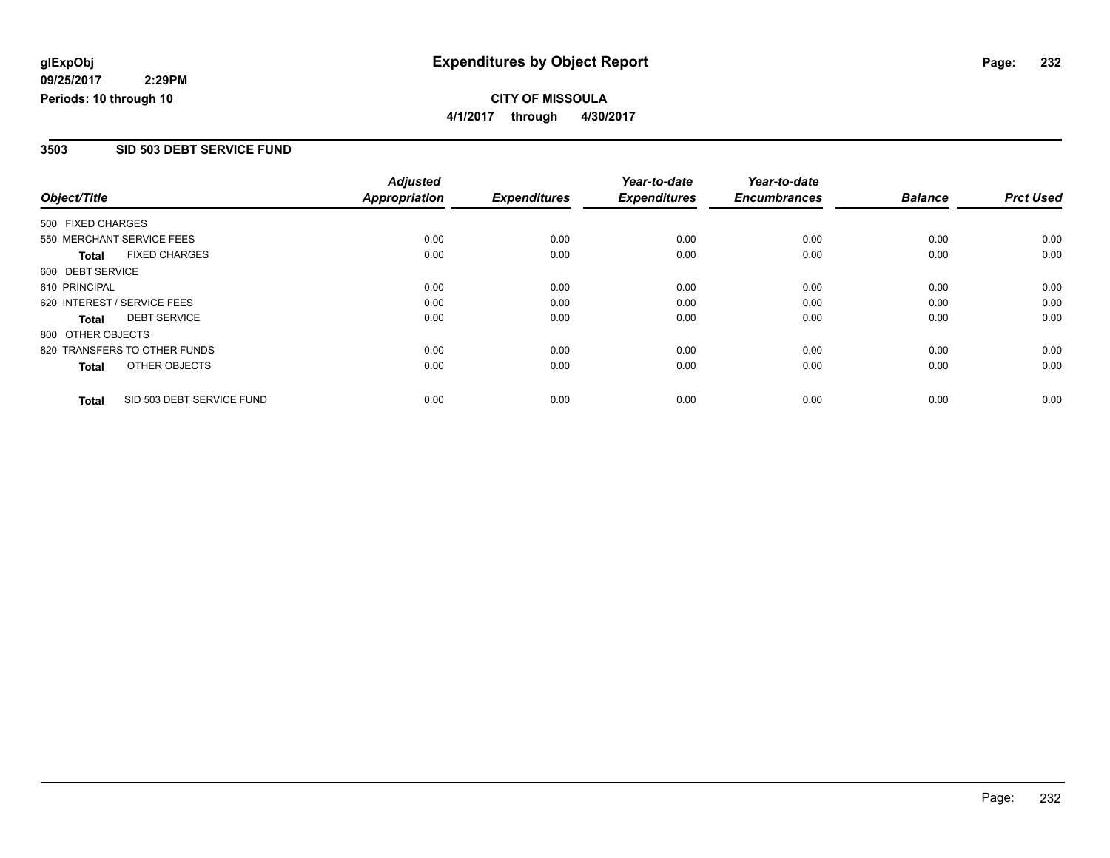#### **CITY OF MISSOULA 4/1/2017 through 4/30/2017**

#### **3503 SID 503 DEBT SERVICE FUND**

|                   |                              | <b>Adjusted</b>      |                     | Year-to-date        | Year-to-date        |                |                  |
|-------------------|------------------------------|----------------------|---------------------|---------------------|---------------------|----------------|------------------|
| Object/Title      |                              | <b>Appropriation</b> | <b>Expenditures</b> | <b>Expenditures</b> | <b>Encumbrances</b> | <b>Balance</b> | <b>Prct Used</b> |
| 500 FIXED CHARGES |                              |                      |                     |                     |                     |                |                  |
|                   | 550 MERCHANT SERVICE FEES    | 0.00                 | 0.00                | 0.00                | 0.00                | 0.00           | 0.00             |
| <b>Total</b>      | <b>FIXED CHARGES</b>         | 0.00                 | 0.00                | 0.00                | 0.00                | 0.00           | 0.00             |
| 600 DEBT SERVICE  |                              |                      |                     |                     |                     |                |                  |
| 610 PRINCIPAL     |                              | 0.00                 | 0.00                | 0.00                | 0.00                | 0.00           | 0.00             |
|                   | 620 INTEREST / SERVICE FEES  | 0.00                 | 0.00                | 0.00                | 0.00                | 0.00           | 0.00             |
| Total             | <b>DEBT SERVICE</b>          | 0.00                 | 0.00                | 0.00                | 0.00                | 0.00           | 0.00             |
| 800 OTHER OBJECTS |                              |                      |                     |                     |                     |                |                  |
|                   | 820 TRANSFERS TO OTHER FUNDS | 0.00                 | 0.00                | 0.00                | 0.00                | 0.00           | 0.00             |
| <b>Total</b>      | OTHER OBJECTS                | 0.00                 | 0.00                | 0.00                | 0.00                | 0.00           | 0.00             |
| <b>Total</b>      | SID 503 DEBT SERVICE FUND    | 0.00                 | 0.00                | 0.00                | 0.00                | 0.00           | 0.00             |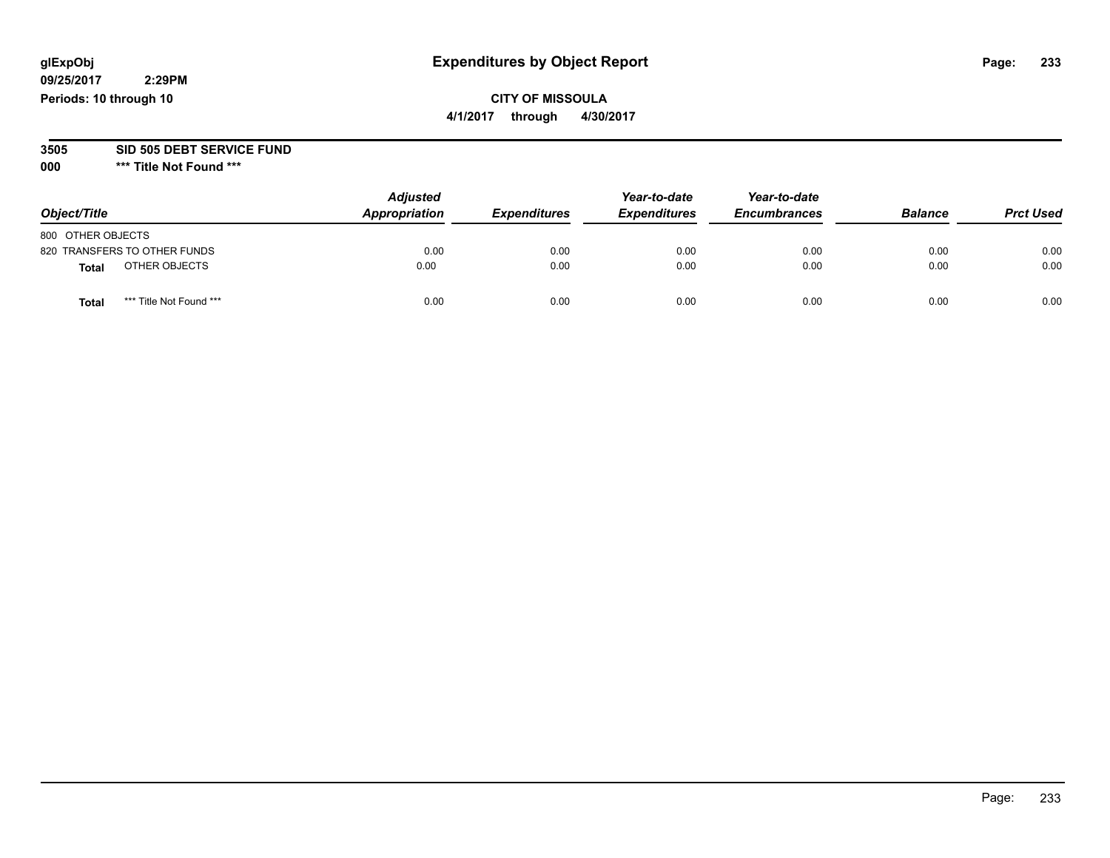## **CITY OF MISSOULA**

**4/1/2017 through 4/30/2017**

#### **3505 SID 505 DEBT SERVICE FUND**

| Object/Title                            | <b>Adjusted</b><br>Appropriation | <b>Expenditures</b> | Year-to-date<br><b>Expenditures</b> | Year-to-date<br><b>Encumbrances</b> | <b>Balance</b> | <b>Prct Used</b> |
|-----------------------------------------|----------------------------------|---------------------|-------------------------------------|-------------------------------------|----------------|------------------|
| 800 OTHER OBJECTS                       |                                  |                     |                                     |                                     |                |                  |
| 820 TRANSFERS TO OTHER FUNDS            | 0.00                             | 0.00                | 0.00                                | 0.00                                | 0.00           | 0.00             |
| OTHER OBJECTS<br>Total                  | 0.00                             | 0.00                | 0.00                                | 0.00                                | 0.00           | 0.00             |
| *** Title Not Found ***<br><b>Total</b> | 0.00                             | 0.00                | 0.00                                | 0.00                                | 0.00           | 0.00             |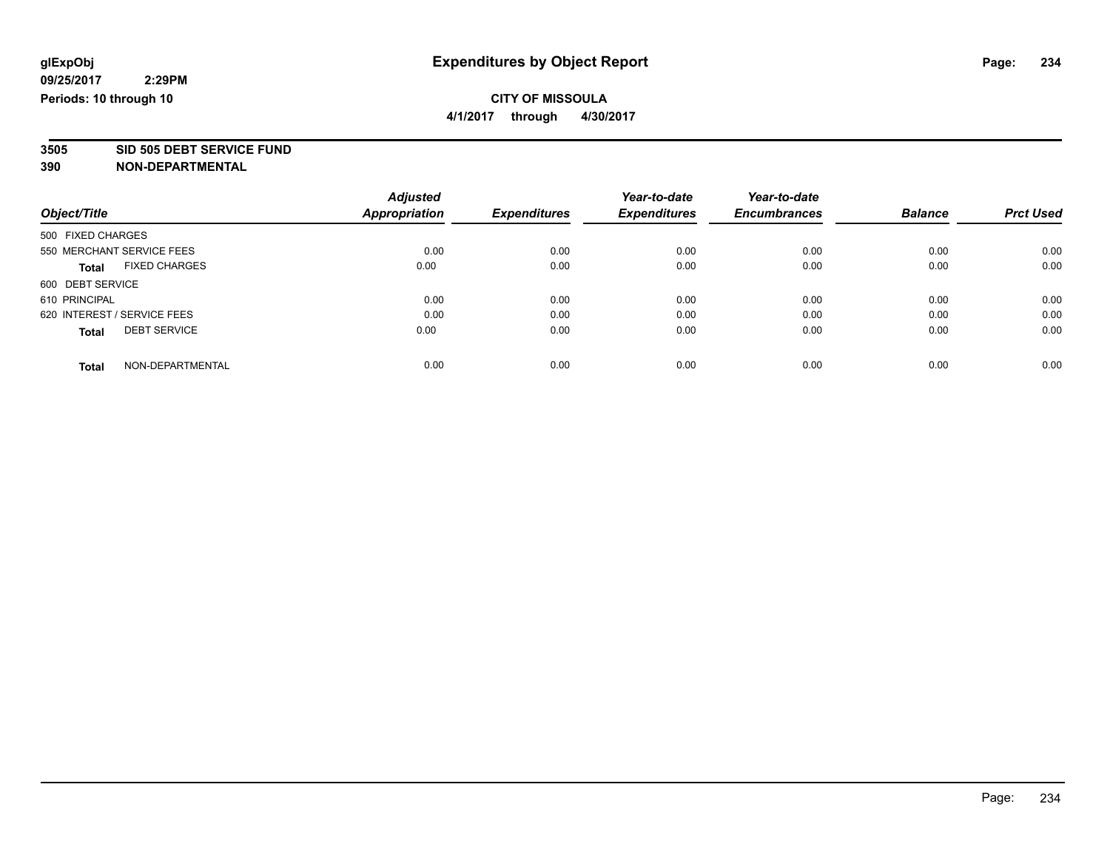**4/1/2017 through 4/30/2017**

# **3505 SID 505 DEBT SERVICE FUND**

|                             |                      | <b>Adjusted</b> |                     | Year-to-date        | Year-to-date        |                |                  |
|-----------------------------|----------------------|-----------------|---------------------|---------------------|---------------------|----------------|------------------|
| Object/Title                |                      | Appropriation   | <b>Expenditures</b> | <b>Expenditures</b> | <b>Encumbrances</b> | <b>Balance</b> | <b>Prct Used</b> |
| 500 FIXED CHARGES           |                      |                 |                     |                     |                     |                |                  |
| 550 MERCHANT SERVICE FEES   |                      | 0.00            | 0.00                | 0.00                | 0.00                | 0.00           | 0.00             |
| <b>Total</b>                | <b>FIXED CHARGES</b> | 0.00            | 0.00                | 0.00                | 0.00                | 0.00           | 0.00             |
| 600 DEBT SERVICE            |                      |                 |                     |                     |                     |                |                  |
| 610 PRINCIPAL               |                      | 0.00            | 0.00                | 0.00                | 0.00                | 0.00           | 0.00             |
| 620 INTEREST / SERVICE FEES |                      | 0.00            | 0.00                | 0.00                | 0.00                | 0.00           | 0.00             |
| <b>Total</b>                | <b>DEBT SERVICE</b>  | 0.00            | 0.00                | 0.00                | 0.00                | 0.00           | 0.00             |
| <b>Total</b>                | NON-DEPARTMENTAL     | 0.00            | 0.00                | 0.00                | 0.00                | 0.00           | 0.00             |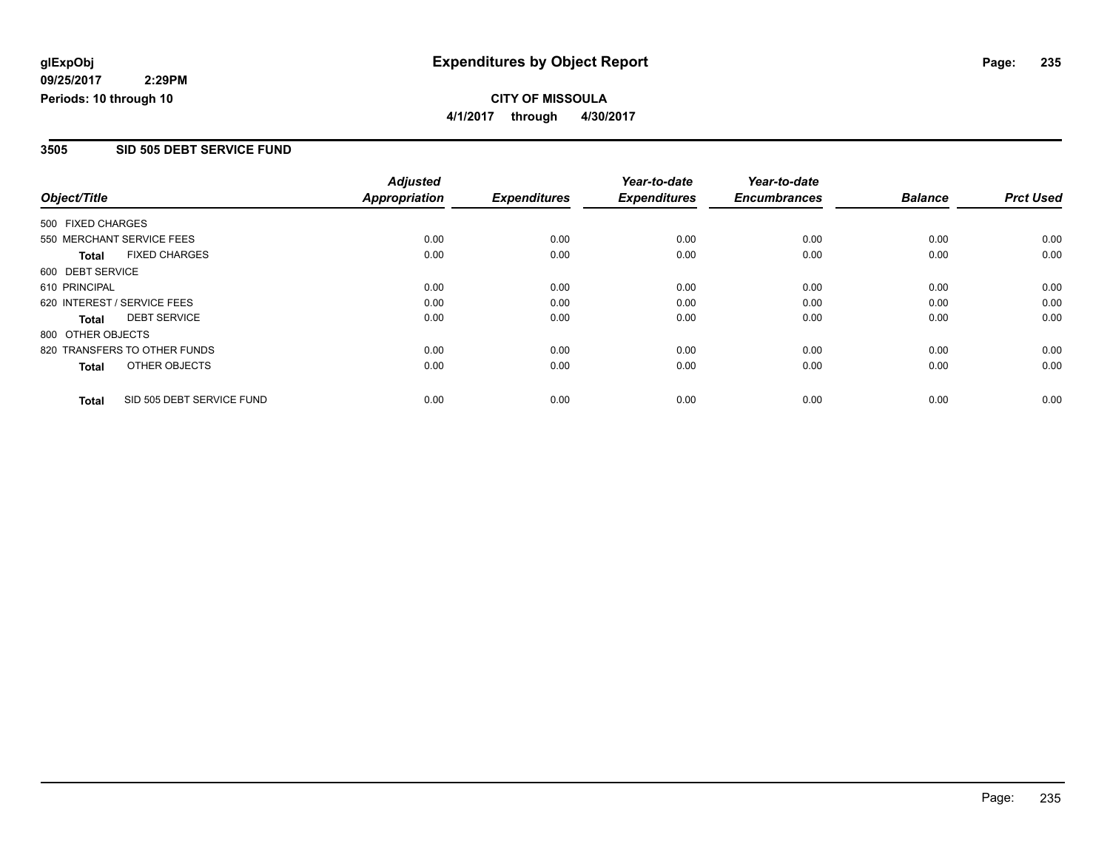#### **CITY OF MISSOULA 4/1/2017 through 4/30/2017**

#### **3505 SID 505 DEBT SERVICE FUND**

|                   |                              | <b>Adjusted</b>      |                     | Year-to-date        | Year-to-date        |                |                  |
|-------------------|------------------------------|----------------------|---------------------|---------------------|---------------------|----------------|------------------|
| Object/Title      |                              | <b>Appropriation</b> | <b>Expenditures</b> | <b>Expenditures</b> | <b>Encumbrances</b> | <b>Balance</b> | <b>Prct Used</b> |
| 500 FIXED CHARGES |                              |                      |                     |                     |                     |                |                  |
|                   | 550 MERCHANT SERVICE FEES    | 0.00                 | 0.00                | 0.00                | 0.00                | 0.00           | 0.00             |
| <b>Total</b>      | <b>FIXED CHARGES</b>         | 0.00                 | 0.00                | 0.00                | 0.00                | 0.00           | 0.00             |
| 600 DEBT SERVICE  |                              |                      |                     |                     |                     |                |                  |
| 610 PRINCIPAL     |                              | 0.00                 | 0.00                | 0.00                | 0.00                | 0.00           | 0.00             |
|                   | 620 INTEREST / SERVICE FEES  | 0.00                 | 0.00                | 0.00                | 0.00                | 0.00           | 0.00             |
| Total             | <b>DEBT SERVICE</b>          | 0.00                 | 0.00                | 0.00                | 0.00                | 0.00           | 0.00             |
| 800 OTHER OBJECTS |                              |                      |                     |                     |                     |                |                  |
|                   | 820 TRANSFERS TO OTHER FUNDS | 0.00                 | 0.00                | 0.00                | 0.00                | 0.00           | 0.00             |
| <b>Total</b>      | OTHER OBJECTS                | 0.00                 | 0.00                | 0.00                | 0.00                | 0.00           | 0.00             |
| <b>Total</b>      | SID 505 DEBT SERVICE FUND    | 0.00                 | 0.00                | 0.00                | 0.00                | 0.00           | 0.00             |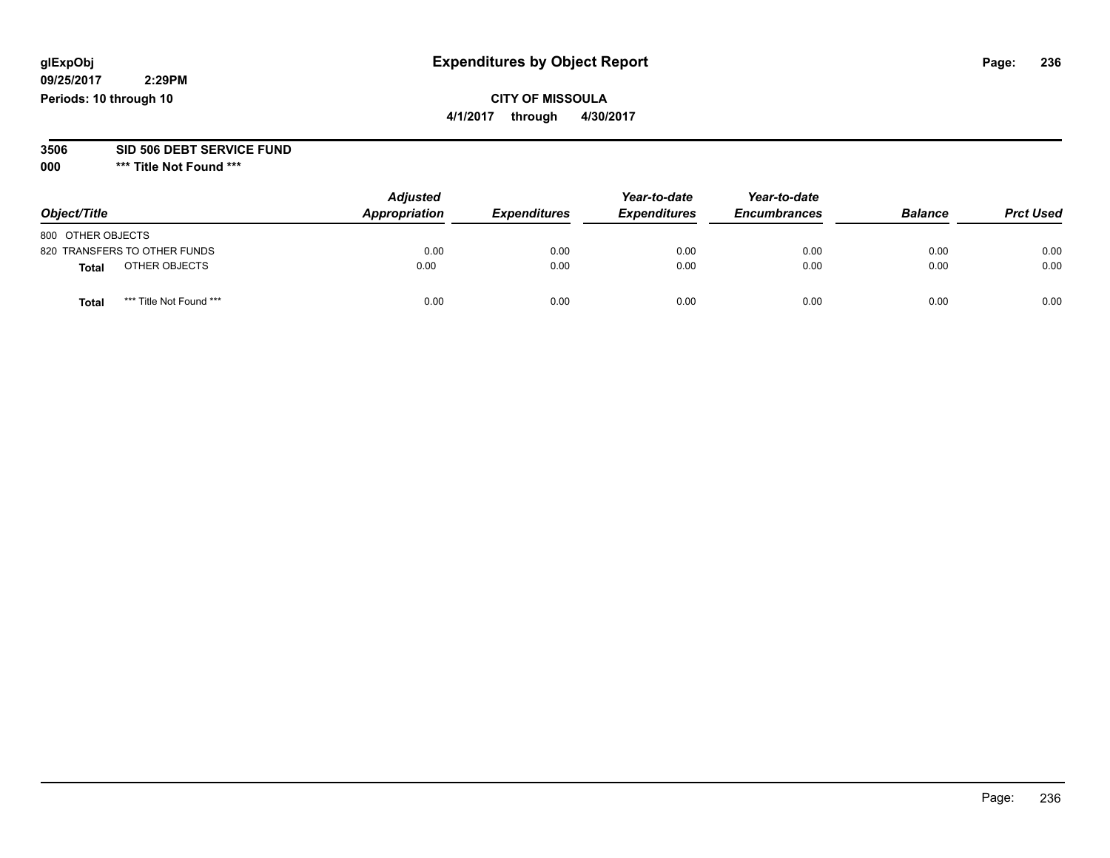## **CITY OF MISSOULA**

**4/1/2017 through 4/30/2017**

#### **3506 SID 506 DEBT SERVICE FUND**

| Object/Title                            | <b>Adjusted</b><br>Appropriation | <b>Expenditures</b> | Year-to-date<br><b>Expenditures</b> | Year-to-date<br><b>Encumbrances</b> | <b>Balance</b> | <b>Prct Used</b> |
|-----------------------------------------|----------------------------------|---------------------|-------------------------------------|-------------------------------------|----------------|------------------|
| 800 OTHER OBJECTS                       |                                  |                     |                                     |                                     |                |                  |
| 820 TRANSFERS TO OTHER FUNDS            | 0.00                             | 0.00                | 0.00                                | 0.00                                | 0.00           | 0.00             |
| OTHER OBJECTS<br>Total                  | 0.00                             | 0.00                | 0.00                                | 0.00                                | 0.00           | 0.00             |
| *** Title Not Found ***<br><b>Total</b> | 0.00                             | 0.00                | 0.00                                | 0.00                                | 0.00           | 0.00             |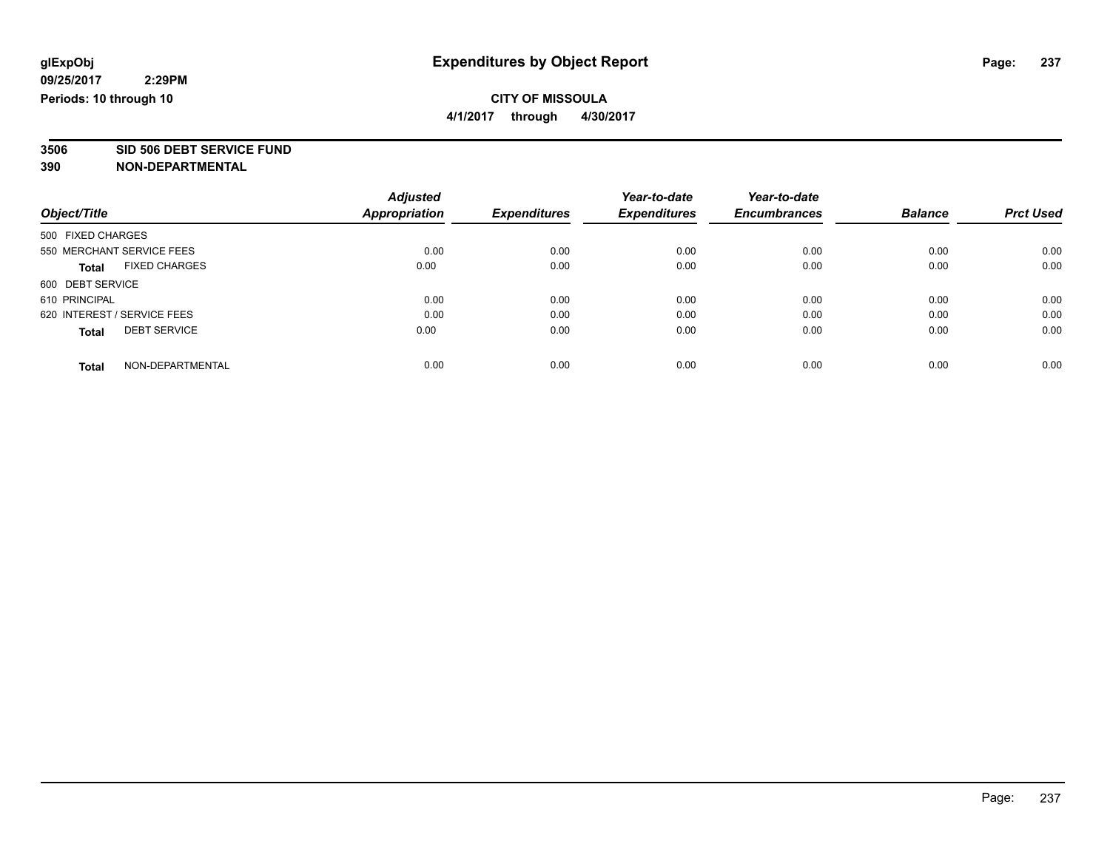**4/1/2017 through 4/30/2017**

# **3506 SID 506 DEBT SERVICE FUND**

|                             |                      | <b>Adjusted</b> |                     | Year-to-date        | Year-to-date        |                |                  |
|-----------------------------|----------------------|-----------------|---------------------|---------------------|---------------------|----------------|------------------|
| Object/Title                |                      | Appropriation   | <b>Expenditures</b> | <b>Expenditures</b> | <b>Encumbrances</b> | <b>Balance</b> | <b>Prct Used</b> |
| 500 FIXED CHARGES           |                      |                 |                     |                     |                     |                |                  |
| 550 MERCHANT SERVICE FEES   |                      | 0.00            | 0.00                | 0.00                | 0.00                | 0.00           | 0.00             |
| <b>Total</b>                | <b>FIXED CHARGES</b> | 0.00            | 0.00                | 0.00                | 0.00                | 0.00           | 0.00             |
| 600 DEBT SERVICE            |                      |                 |                     |                     |                     |                |                  |
| 610 PRINCIPAL               |                      | 0.00            | 0.00                | 0.00                | 0.00                | 0.00           | 0.00             |
| 620 INTEREST / SERVICE FEES |                      | 0.00            | 0.00                | 0.00                | 0.00                | 0.00           | 0.00             |
| <b>Total</b>                | <b>DEBT SERVICE</b>  | 0.00            | 0.00                | 0.00                | 0.00                | 0.00           | 0.00             |
| <b>Total</b>                | NON-DEPARTMENTAL     | 0.00            | 0.00                | 0.00                | 0.00                | 0.00           | 0.00             |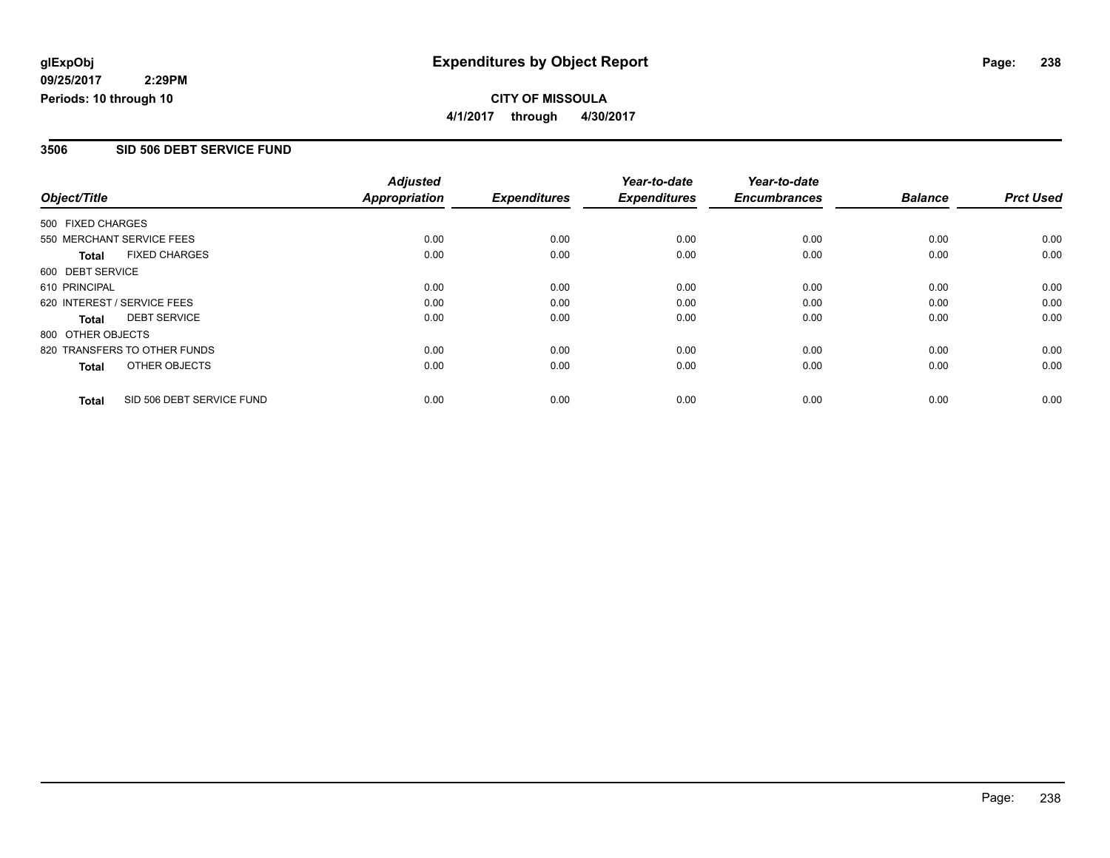**CITY OF MISSOULA 4/1/2017 through 4/30/2017**

#### **3506 SID 506 DEBT SERVICE FUND**

|                   |                              | <b>Adjusted</b>      |                     | Year-to-date        | Year-to-date        |                |                  |
|-------------------|------------------------------|----------------------|---------------------|---------------------|---------------------|----------------|------------------|
| Object/Title      |                              | <b>Appropriation</b> | <b>Expenditures</b> | <b>Expenditures</b> | <b>Encumbrances</b> | <b>Balance</b> | <b>Prct Used</b> |
| 500 FIXED CHARGES |                              |                      |                     |                     |                     |                |                  |
|                   | 550 MERCHANT SERVICE FEES    | 0.00                 | 0.00                | 0.00                | 0.00                | 0.00           | 0.00             |
| <b>Total</b>      | <b>FIXED CHARGES</b>         | 0.00                 | 0.00                | 0.00                | 0.00                | 0.00           | 0.00             |
| 600 DEBT SERVICE  |                              |                      |                     |                     |                     |                |                  |
| 610 PRINCIPAL     |                              | 0.00                 | 0.00                | 0.00                | 0.00                | 0.00           | 0.00             |
|                   | 620 INTEREST / SERVICE FEES  | 0.00                 | 0.00                | 0.00                | 0.00                | 0.00           | 0.00             |
| Total             | <b>DEBT SERVICE</b>          | 0.00                 | 0.00                | 0.00                | 0.00                | 0.00           | 0.00             |
| 800 OTHER OBJECTS |                              |                      |                     |                     |                     |                |                  |
|                   | 820 TRANSFERS TO OTHER FUNDS | 0.00                 | 0.00                | 0.00                | 0.00                | 0.00           | 0.00             |
| Total             | OTHER OBJECTS                | 0.00                 | 0.00                | 0.00                | 0.00                | 0.00           | 0.00             |
| <b>Total</b>      | SID 506 DEBT SERVICE FUND    | 0.00                 | 0.00                | 0.00                | 0.00                | 0.00           | 0.00             |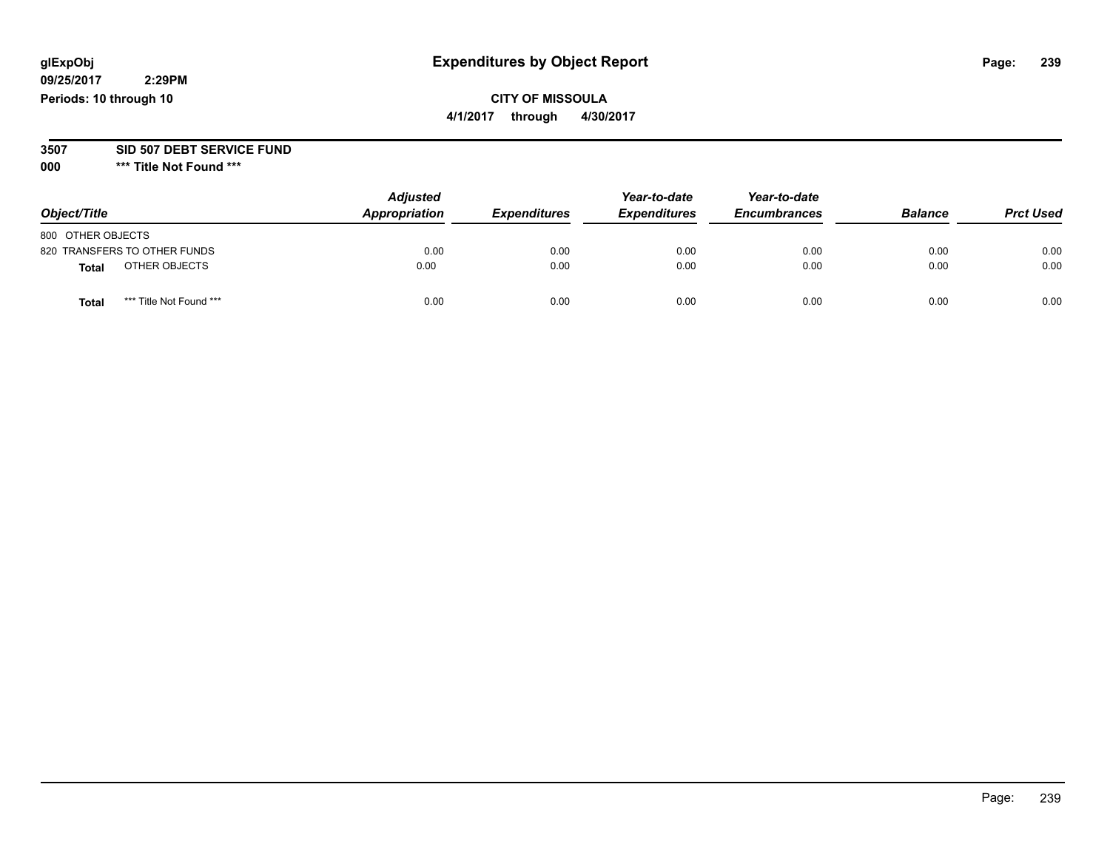## **CITY OF MISSOULA**

**4/1/2017 through 4/30/2017**

#### **3507 SID 507 DEBT SERVICE FUND**

| Object/Title                            | <b>Adjusted</b><br>Appropriation | <b>Expenditures</b> | Year-to-date<br><b>Expenditures</b> | Year-to-date<br><b>Encumbrances</b> | <b>Balance</b> | <b>Prct Used</b> |
|-----------------------------------------|----------------------------------|---------------------|-------------------------------------|-------------------------------------|----------------|------------------|
| 800 OTHER OBJECTS                       |                                  |                     |                                     |                                     |                |                  |
| 820 TRANSFERS TO OTHER FUNDS            | 0.00                             | 0.00                | 0.00                                | 0.00                                | 0.00           | 0.00             |
| OTHER OBJECTS<br>Total                  | 0.00                             | 0.00                | 0.00                                | 0.00                                | 0.00           | 0.00             |
| *** Title Not Found ***<br><b>Total</b> | 0.00                             | 0.00                | 0.00                                | 0.00                                | 0.00           | 0.00             |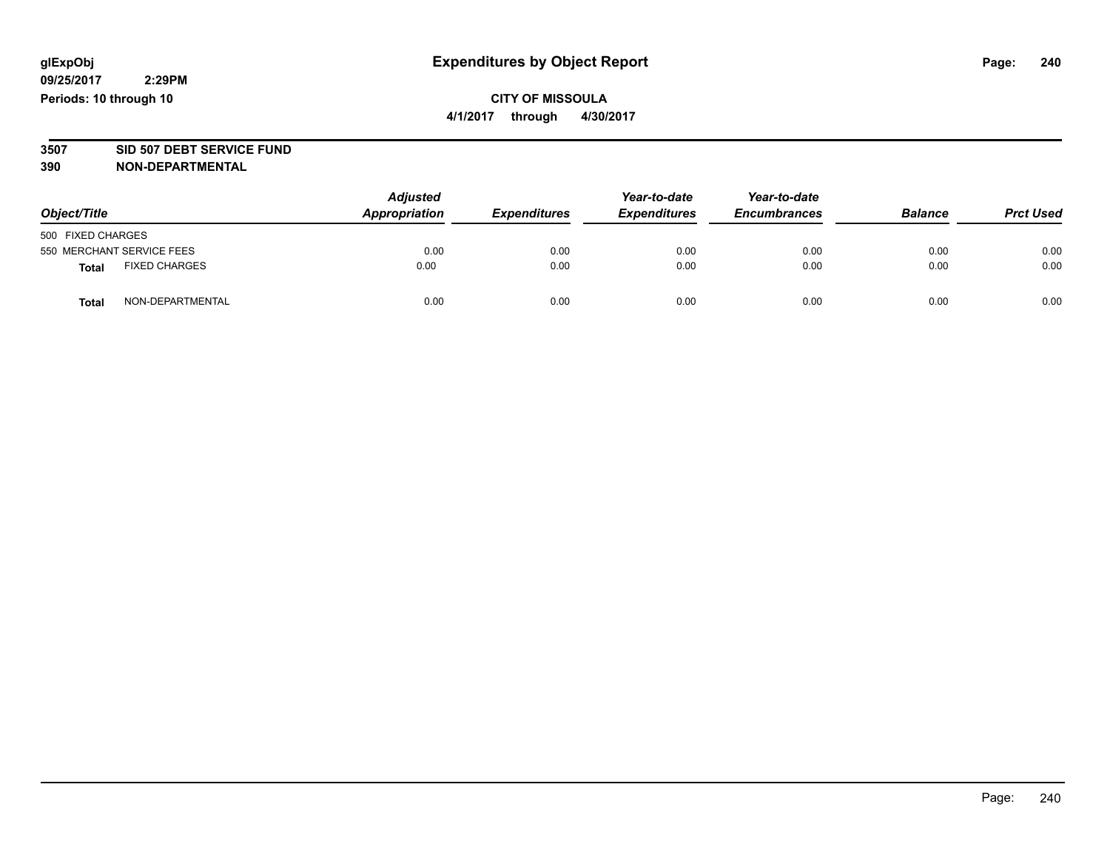#### **CITY OF MISSOULA 4/1/2017 through 4/30/2017**

# **3507 SID 507 DEBT SERVICE FUND**

| Object/Title                         | <b>Adjusted</b><br>Appropriation | <b>Expenditures</b> | Year-to-date<br><b>Expenditures</b> | Year-to-date<br><b>Encumbrances</b> | <b>Balance</b> | <b>Prct Used</b> |
|--------------------------------------|----------------------------------|---------------------|-------------------------------------|-------------------------------------|----------------|------------------|
| 500 FIXED CHARGES                    |                                  |                     |                                     |                                     |                |                  |
| 550 MERCHANT SERVICE FEES            | 0.00                             | 0.00                | 0.00                                | 0.00                                | 0.00           | 0.00             |
| <b>FIXED CHARGES</b><br><b>Total</b> | 0.00                             | 0.00                | 0.00                                | 0.00                                | 0.00           | 0.00             |
| NON-DEPARTMENTAL<br>Total            | 0.00                             | 0.00                | 0.00                                | 0.00                                | 0.00           | 0.00             |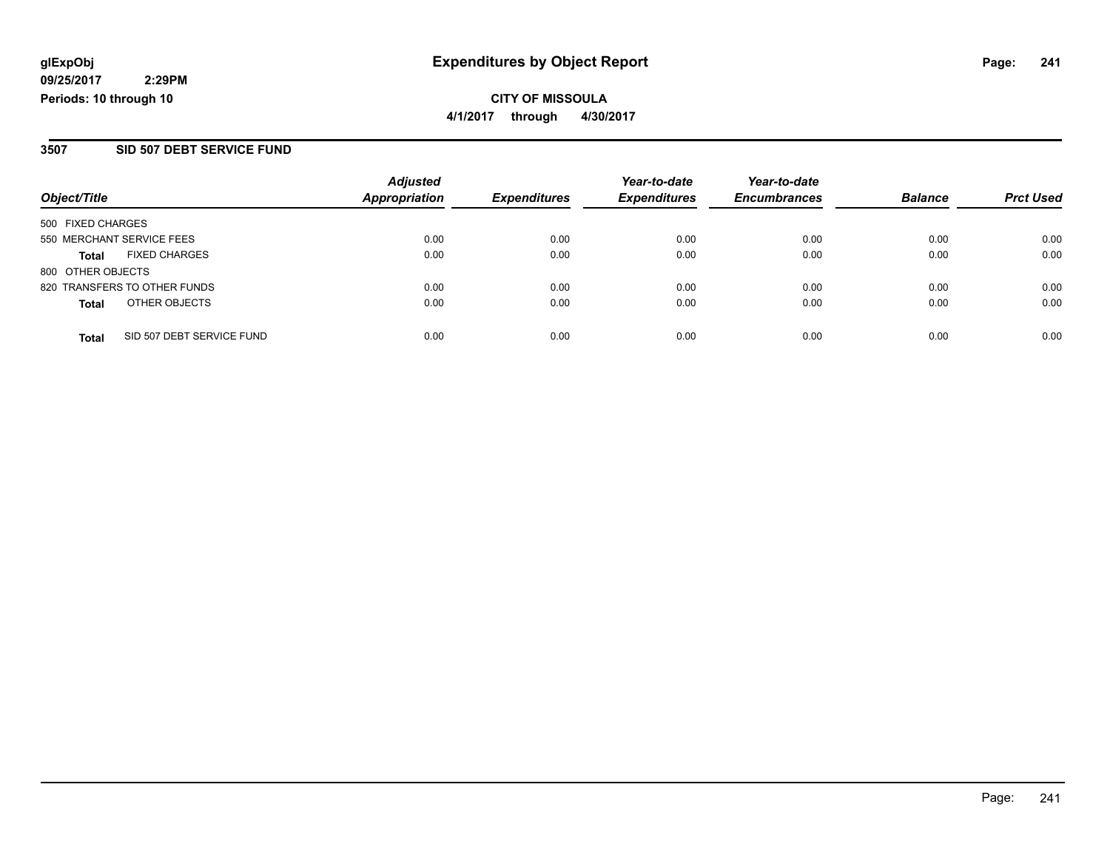**CITY OF MISSOULA 4/1/2017 through 4/30/2017**

#### **3507 SID 507 DEBT SERVICE FUND**

|                                           | <b>Adjusted</b>      |                     | Year-to-date        | Year-to-date        |                |                  |
|-------------------------------------------|----------------------|---------------------|---------------------|---------------------|----------------|------------------|
| Object/Title                              | <b>Appropriation</b> | <b>Expenditures</b> | <b>Expenditures</b> | <b>Encumbrances</b> | <b>Balance</b> | <b>Prct Used</b> |
| 500 FIXED CHARGES                         |                      |                     |                     |                     |                |                  |
| 550 MERCHANT SERVICE FEES                 | 0.00                 | 0.00                | 0.00                | 0.00                | 0.00           | 0.00             |
| <b>FIXED CHARGES</b><br>Total             | 0.00                 | 0.00                | 0.00                | 0.00                | 0.00           | 0.00             |
| 800 OTHER OBJECTS                         |                      |                     |                     |                     |                |                  |
| 820 TRANSFERS TO OTHER FUNDS              | 0.00                 | 0.00                | 0.00                | 0.00                | 0.00           | 0.00             |
| OTHER OBJECTS<br><b>Total</b>             | 0.00                 | 0.00                | 0.00                | 0.00                | 0.00           | 0.00             |
| SID 507 DEBT SERVICE FUND<br><b>Total</b> | 0.00                 | 0.00                | 0.00                | 0.00                | 0.00           | 0.00             |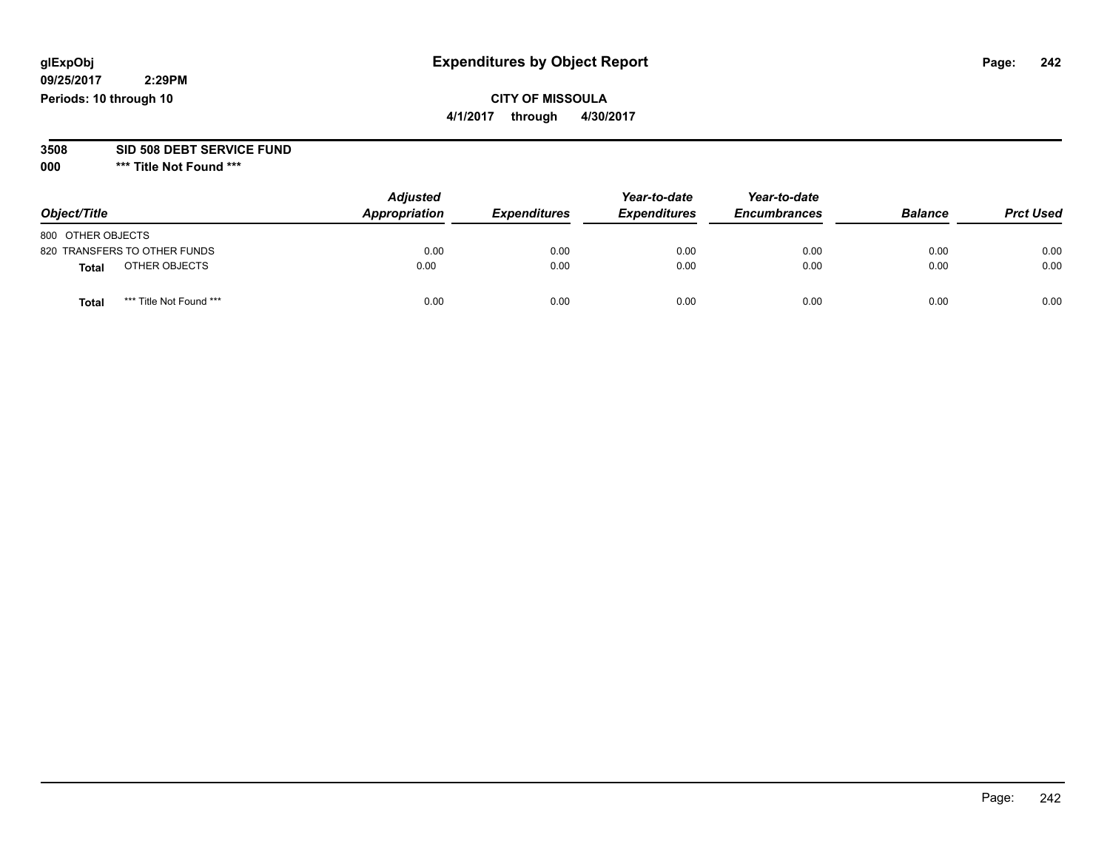## **CITY OF MISSOULA**

**4/1/2017 through 4/30/2017**

#### **3508 SID 508 DEBT SERVICE FUND**

| Object/Title                            | <b>Adjusted</b><br>Appropriation | <b>Expenditures</b> | Year-to-date<br><b>Expenditures</b> | Year-to-date<br><b>Encumbrances</b> | <b>Balance</b> | <b>Prct Used</b> |
|-----------------------------------------|----------------------------------|---------------------|-------------------------------------|-------------------------------------|----------------|------------------|
| 800 OTHER OBJECTS                       |                                  |                     |                                     |                                     |                |                  |
| 820 TRANSFERS TO OTHER FUNDS            | 0.00                             | 0.00                | 0.00                                | 0.00                                | 0.00           | 0.00             |
| OTHER OBJECTS<br>Total                  | 0.00                             | 0.00                | 0.00                                | 0.00                                | 0.00           | 0.00             |
| *** Title Not Found ***<br><b>Total</b> | 0.00                             | 0.00                | 0.00                                | 0.00                                | 0.00           | 0.00             |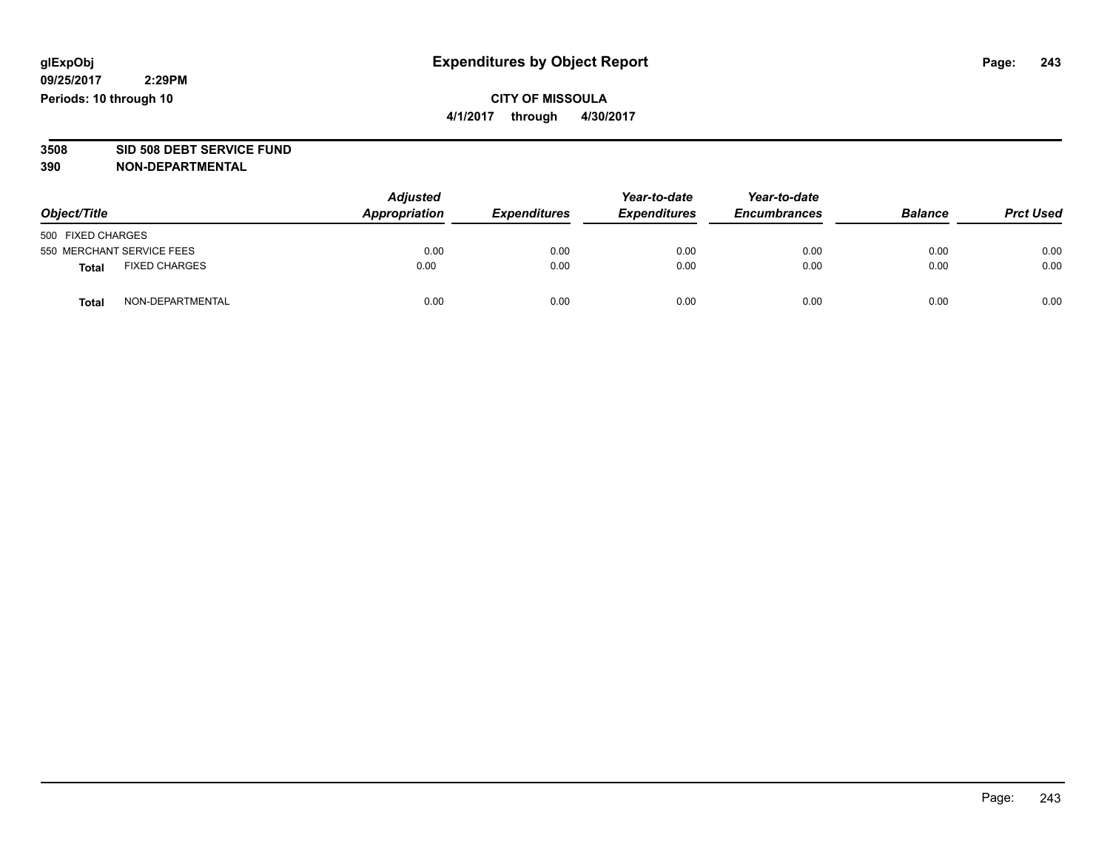#### **CITY OF MISSOULA 4/1/2017 through 4/30/2017**

# **3508 SID 508 DEBT SERVICE FUND**

| Object/Title                         | <b>Adjusted</b><br><b>Appropriation</b> | <b>Expenditures</b> | Year-to-date<br><b>Expenditures</b> | Year-to-date<br><b>Encumbrances</b> | <b>Balance</b> | <b>Prct Used</b> |
|--------------------------------------|-----------------------------------------|---------------------|-------------------------------------|-------------------------------------|----------------|------------------|
| 500 FIXED CHARGES                    |                                         |                     |                                     |                                     |                |                  |
| 550 MERCHANT SERVICE FEES            | 0.00                                    | 0.00                | 0.00                                | 0.00                                | 0.00           | 0.00             |
| <b>FIXED CHARGES</b><br><b>Total</b> | 0.00                                    | 0.00                | 0.00                                | 0.00                                | 0.00           | 0.00             |
| NON-DEPARTMENTAL<br><b>Total</b>     | 0.00                                    | 0.00                | 0.00                                | 0.00                                | 0.00           | 0.00             |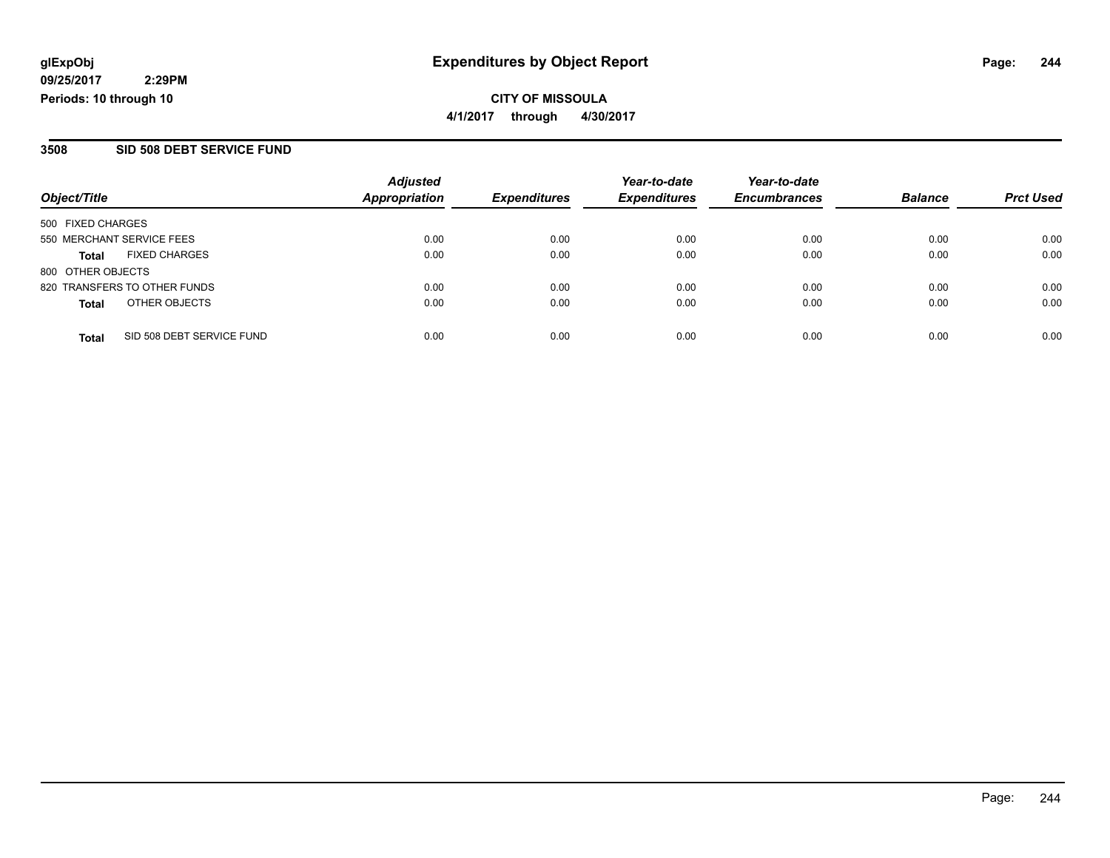#### **CITY OF MISSOULA 4/1/2017 through 4/30/2017**

#### **3508 SID 508 DEBT SERVICE FUND**

| Object/Title              |                              | <b>Adjusted</b>      | <b>Expenditures</b> | Year-to-date<br><b>Expenditures</b> | Year-to-date<br><b>Encumbrances</b> | <b>Balance</b> |                  |
|---------------------------|------------------------------|----------------------|---------------------|-------------------------------------|-------------------------------------|----------------|------------------|
|                           |                              | <b>Appropriation</b> |                     |                                     |                                     |                | <b>Prct Used</b> |
| 500 FIXED CHARGES         |                              |                      |                     |                                     |                                     |                |                  |
| 550 MERCHANT SERVICE FEES |                              | 0.00                 | 0.00                | 0.00                                | 0.00                                | 0.00           | 0.00             |
| <b>Total</b>              | <b>FIXED CHARGES</b>         | 0.00                 | 0.00                | 0.00                                | 0.00                                | 0.00           | 0.00             |
| 800 OTHER OBJECTS         |                              |                      |                     |                                     |                                     |                |                  |
|                           | 820 TRANSFERS TO OTHER FUNDS | 0.00                 | 0.00                | 0.00                                | 0.00                                | 0.00           | 0.00             |
| <b>Total</b>              | OTHER OBJECTS                | 0.00                 | 0.00                | 0.00                                | 0.00                                | 0.00           | 0.00             |
| <b>Total</b>              | SID 508 DEBT SERVICE FUND    | 0.00                 | 0.00                | 0.00                                | 0.00                                | 0.00           | 0.00             |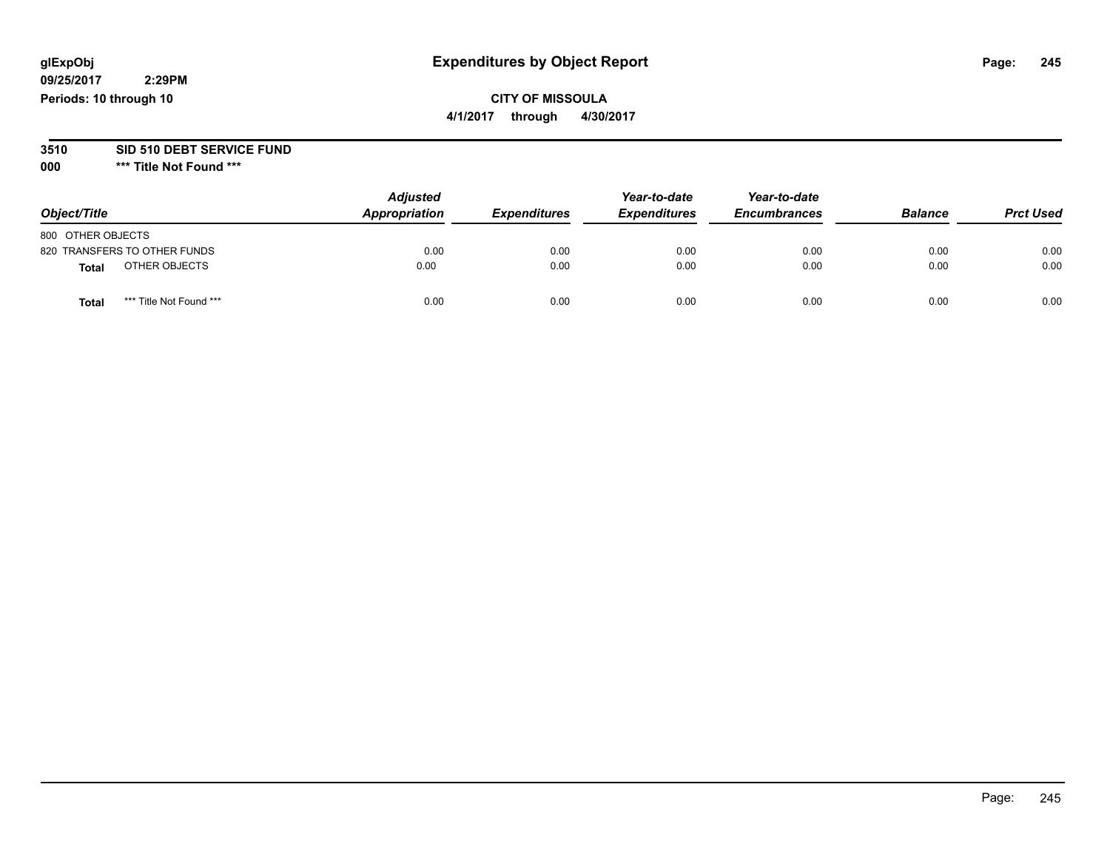## **CITY OF MISSOULA**

**4/1/2017 through 4/30/2017**

# **3510 SID 510 DEBT SERVICE FUND**

| Object/Title                     | <b>Adjusted</b><br>Appropriation | <b>Expenditures</b> | Year-to-date<br><b>Expenditures</b> | Year-to-date<br><b>Encumbrances</b> | <b>Balance</b> | <b>Prct Used</b> |
|----------------------------------|----------------------------------|---------------------|-------------------------------------|-------------------------------------|----------------|------------------|
| 800 OTHER OBJECTS                |                                  |                     |                                     |                                     |                |                  |
| 820 TRANSFERS TO OTHER FUNDS     | 0.00                             | 0.00                | 0.00                                | 0.00                                | 0.00           | 0.00             |
| OTHER OBJECTS<br><b>Total</b>    | 0.00                             | 0.00                | 0.00                                | 0.00                                | 0.00           | 0.00             |
| *** Title Not Found ***<br>Total | 0.00                             | 0.00                | 0.00                                | 0.00                                | 0.00           | 0.00             |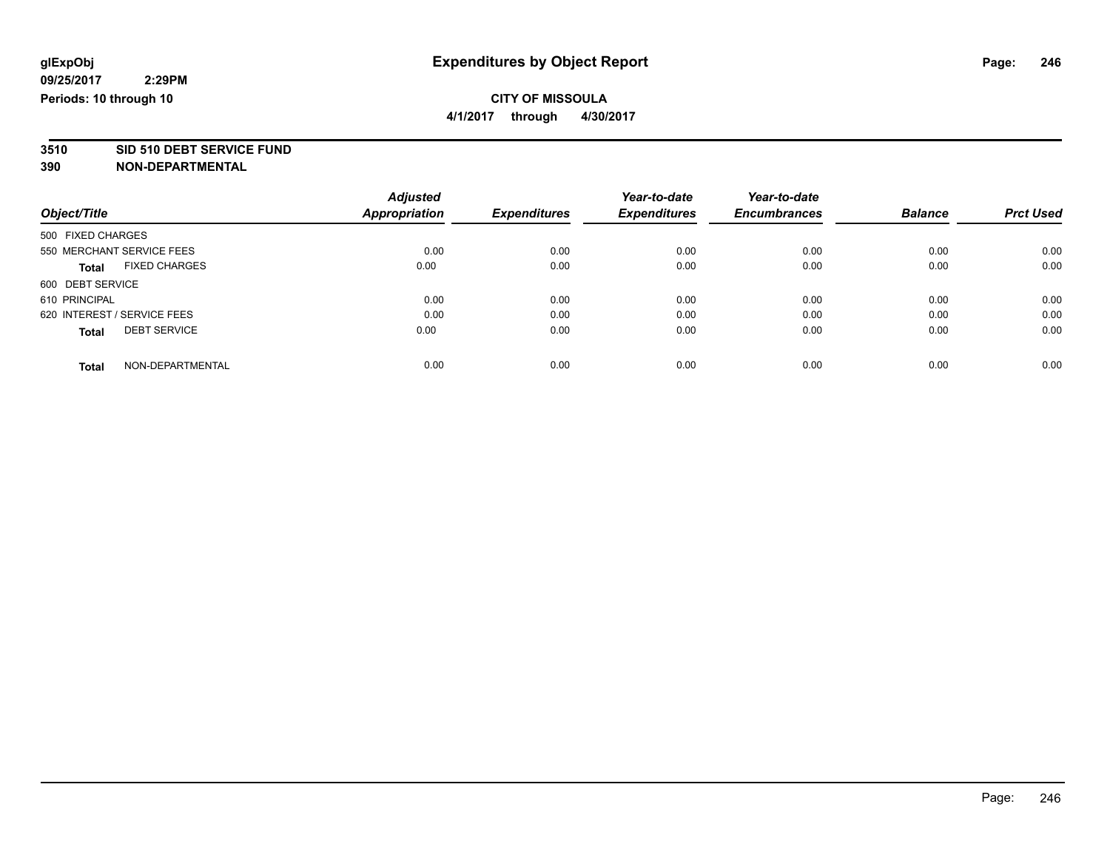**4/1/2017 through 4/30/2017**

# **3510 SID 510 DEBT SERVICE FUND**

|                                      | <b>Adjusted</b>      |                     | Year-to-date        | Year-to-date        |                |                  |
|--------------------------------------|----------------------|---------------------|---------------------|---------------------|----------------|------------------|
| Object/Title                         | <b>Appropriation</b> | <b>Expenditures</b> | <b>Expenditures</b> | <b>Encumbrances</b> | <b>Balance</b> | <b>Prct Used</b> |
| 500 FIXED CHARGES                    |                      |                     |                     |                     |                |                  |
| 550 MERCHANT SERVICE FEES            | 0.00                 | 0.00                | 0.00                | 0.00                | 0.00           | 0.00             |
| <b>FIXED CHARGES</b><br><b>Total</b> | 0.00                 | 0.00                | 0.00                | 0.00                | 0.00           | 0.00             |
| 600 DEBT SERVICE                     |                      |                     |                     |                     |                |                  |
| 610 PRINCIPAL                        | 0.00                 | 0.00                | 0.00                | 0.00                | 0.00           | 0.00             |
| 620 INTEREST / SERVICE FEES          | 0.00                 | 0.00                | 0.00                | 0.00                | 0.00           | 0.00             |
| <b>DEBT SERVICE</b><br><b>Total</b>  | 0.00                 | 0.00                | 0.00                | 0.00                | 0.00           | 0.00             |
| NON-DEPARTMENTAL<br><b>Total</b>     | 0.00                 | 0.00                | 0.00                | 0.00                | 0.00           | 0.00             |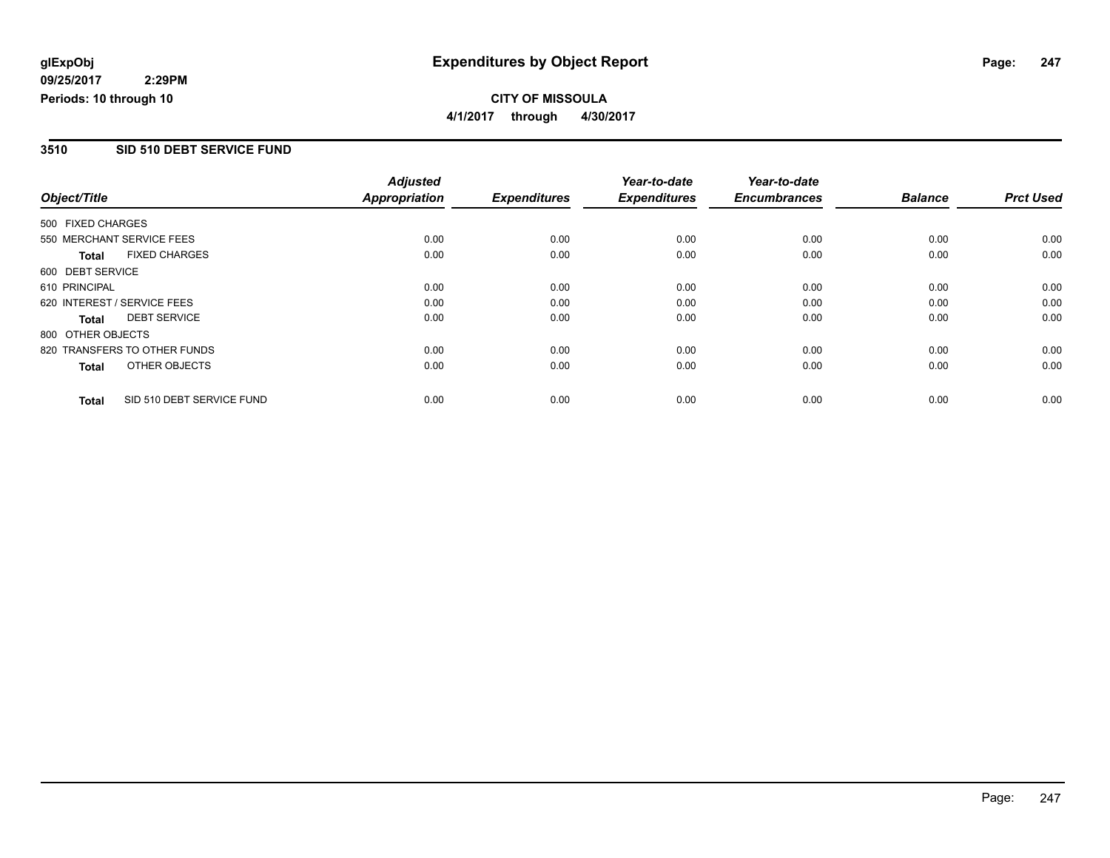#### **CITY OF MISSOULA 4/1/2017 through 4/30/2017**

#### **3510 SID 510 DEBT SERVICE FUND**

|                              |                           | <b>Adjusted</b>      |                     | Year-to-date        | Year-to-date        |                |                  |
|------------------------------|---------------------------|----------------------|---------------------|---------------------|---------------------|----------------|------------------|
| Object/Title                 |                           | <b>Appropriation</b> | <b>Expenditures</b> | <b>Expenditures</b> | <b>Encumbrances</b> | <b>Balance</b> | <b>Prct Used</b> |
| 500 FIXED CHARGES            |                           |                      |                     |                     |                     |                |                  |
| 550 MERCHANT SERVICE FEES    |                           | 0.00                 | 0.00                | 0.00                | 0.00                | 0.00           | 0.00             |
| <b>Total</b>                 | <b>FIXED CHARGES</b>      | 0.00                 | 0.00                | 0.00                | 0.00                | 0.00           | 0.00             |
| 600 DEBT SERVICE             |                           |                      |                     |                     |                     |                |                  |
| 610 PRINCIPAL                |                           | 0.00                 | 0.00                | 0.00                | 0.00                | 0.00           | 0.00             |
| 620 INTEREST / SERVICE FEES  |                           | 0.00                 | 0.00                | 0.00                | 0.00                | 0.00           | 0.00             |
| Total                        | <b>DEBT SERVICE</b>       | 0.00                 | 0.00                | 0.00                | 0.00                | 0.00           | 0.00             |
| 800 OTHER OBJECTS            |                           |                      |                     |                     |                     |                |                  |
| 820 TRANSFERS TO OTHER FUNDS |                           | 0.00                 | 0.00                | 0.00                | 0.00                | 0.00           | 0.00             |
| <b>Total</b>                 | OTHER OBJECTS             | 0.00                 | 0.00                | 0.00                | 0.00                | 0.00           | 0.00             |
| <b>Total</b>                 | SID 510 DEBT SERVICE FUND | 0.00                 | 0.00                | 0.00                | 0.00                | 0.00           | 0.00             |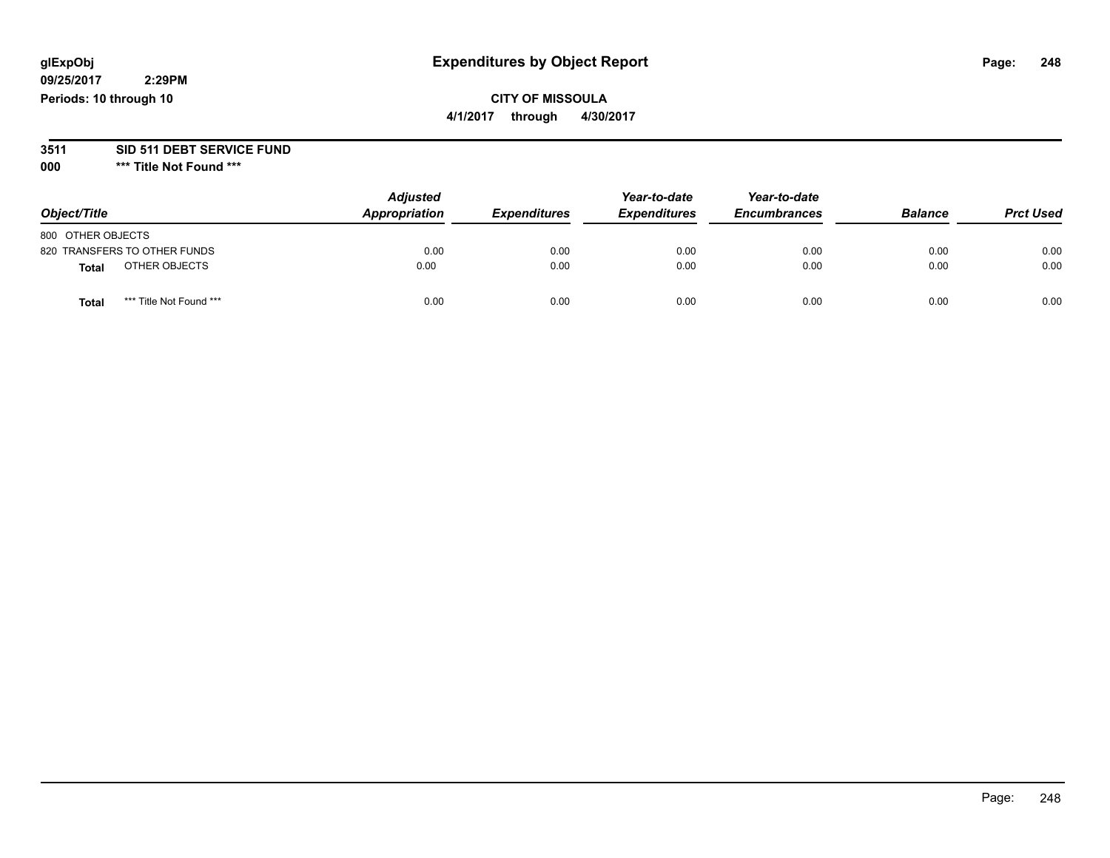## **CITY OF MISSOULA**

**4/1/2017 through 4/30/2017**

# **3511 SID 511 DEBT SERVICE FUND**

| Object/Title                            | <b>Adjusted</b><br>Appropriation | <b>Expenditures</b> | Year-to-date<br><b>Expenditures</b> | Year-to-date<br><b>Encumbrances</b> | <b>Balance</b> | <b>Prct Used</b> |
|-----------------------------------------|----------------------------------|---------------------|-------------------------------------|-------------------------------------|----------------|------------------|
| 800 OTHER OBJECTS                       |                                  |                     |                                     |                                     |                |                  |
| 820 TRANSFERS TO OTHER FUNDS            | 0.00                             | 0.00                | 0.00                                | 0.00                                | 0.00           | 0.00             |
| OTHER OBJECTS<br>Total                  | 0.00                             | 0.00                | 0.00                                | 0.00                                | 0.00           | 0.00             |
| *** Title Not Found ***<br><b>Total</b> | 0.00                             | 0.00                | 0.00                                | 0.00                                | 0.00           | 0.00             |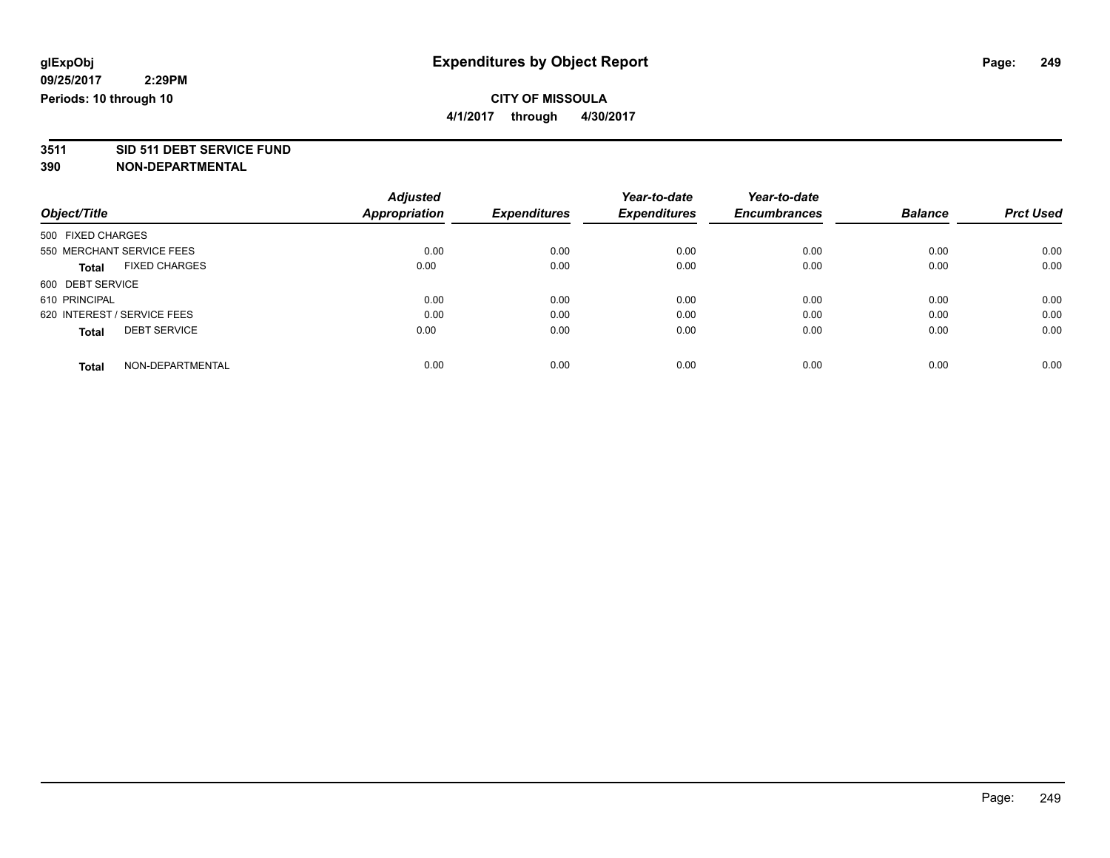**4/1/2017 through 4/30/2017**

# **3511 SID 511 DEBT SERVICE FUND**

| Object/Title                |                      | <b>Adjusted</b> |                     | Year-to-date        | Year-to-date        | <b>Balance</b> | <b>Prct Used</b> |
|-----------------------------|----------------------|-----------------|---------------------|---------------------|---------------------|----------------|------------------|
|                             |                      | Appropriation   | <b>Expenditures</b> | <b>Expenditures</b> | <b>Encumbrances</b> |                |                  |
| 500 FIXED CHARGES           |                      |                 |                     |                     |                     |                |                  |
| 550 MERCHANT SERVICE FEES   |                      | 0.00            | 0.00                | 0.00                | 0.00                | 0.00           | 0.00             |
| <b>Total</b>                | <b>FIXED CHARGES</b> | 0.00            | 0.00                | 0.00                | 0.00                | 0.00           | 0.00             |
| 600 DEBT SERVICE            |                      |                 |                     |                     |                     |                |                  |
| 610 PRINCIPAL               |                      | 0.00            | 0.00                | 0.00                | 0.00                | 0.00           | 0.00             |
| 620 INTEREST / SERVICE FEES |                      | 0.00            | 0.00                | 0.00                | 0.00                | 0.00           | 0.00             |
| <b>Total</b>                | <b>DEBT SERVICE</b>  | 0.00            | 0.00                | 0.00                | 0.00                | 0.00           | 0.00             |
| <b>Total</b>                | NON-DEPARTMENTAL     | 0.00            | 0.00                | 0.00                | 0.00                | 0.00           | 0.00             |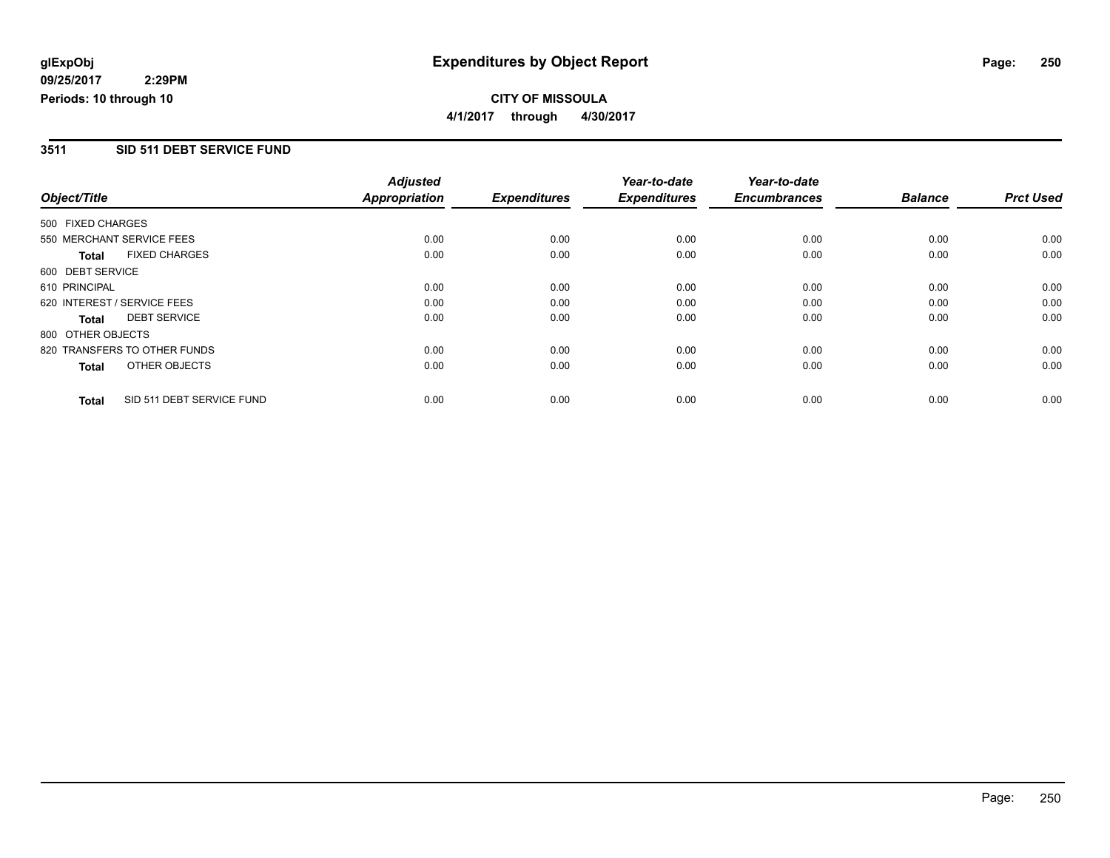**CITY OF MISSOULA 4/1/2017 through 4/30/2017**

#### **3511 SID 511 DEBT SERVICE FUND**

|                   |                              | <b>Adjusted</b> |                     | Year-to-date        | Year-to-date        |                |                  |
|-------------------|------------------------------|-----------------|---------------------|---------------------|---------------------|----------------|------------------|
| Object/Title      |                              | Appropriation   | <b>Expenditures</b> | <b>Expenditures</b> | <b>Encumbrances</b> | <b>Balance</b> | <b>Prct Used</b> |
| 500 FIXED CHARGES |                              |                 |                     |                     |                     |                |                  |
|                   | 550 MERCHANT SERVICE FEES    | 0.00            | 0.00                | 0.00                | 0.00                | 0.00           | 0.00             |
| Total             | <b>FIXED CHARGES</b>         | 0.00            | 0.00                | 0.00                | 0.00                | 0.00           | 0.00             |
| 600 DEBT SERVICE  |                              |                 |                     |                     |                     |                |                  |
| 610 PRINCIPAL     |                              | 0.00            | 0.00                | 0.00                | 0.00                | 0.00           | 0.00             |
|                   | 620 INTEREST / SERVICE FEES  | 0.00            | 0.00                | 0.00                | 0.00                | 0.00           | 0.00             |
| Total             | <b>DEBT SERVICE</b>          | 0.00            | 0.00                | 0.00                | 0.00                | 0.00           | 0.00             |
| 800 OTHER OBJECTS |                              |                 |                     |                     |                     |                |                  |
|                   | 820 TRANSFERS TO OTHER FUNDS | 0.00            | 0.00                | 0.00                | 0.00                | 0.00           | 0.00             |
| Total             | OTHER OBJECTS                | 0.00            | 0.00                | 0.00                | 0.00                | 0.00           | 0.00             |
| <b>Total</b>      | SID 511 DEBT SERVICE FUND    | 0.00            | 0.00                | 0.00                | 0.00                | 0.00           | 0.00             |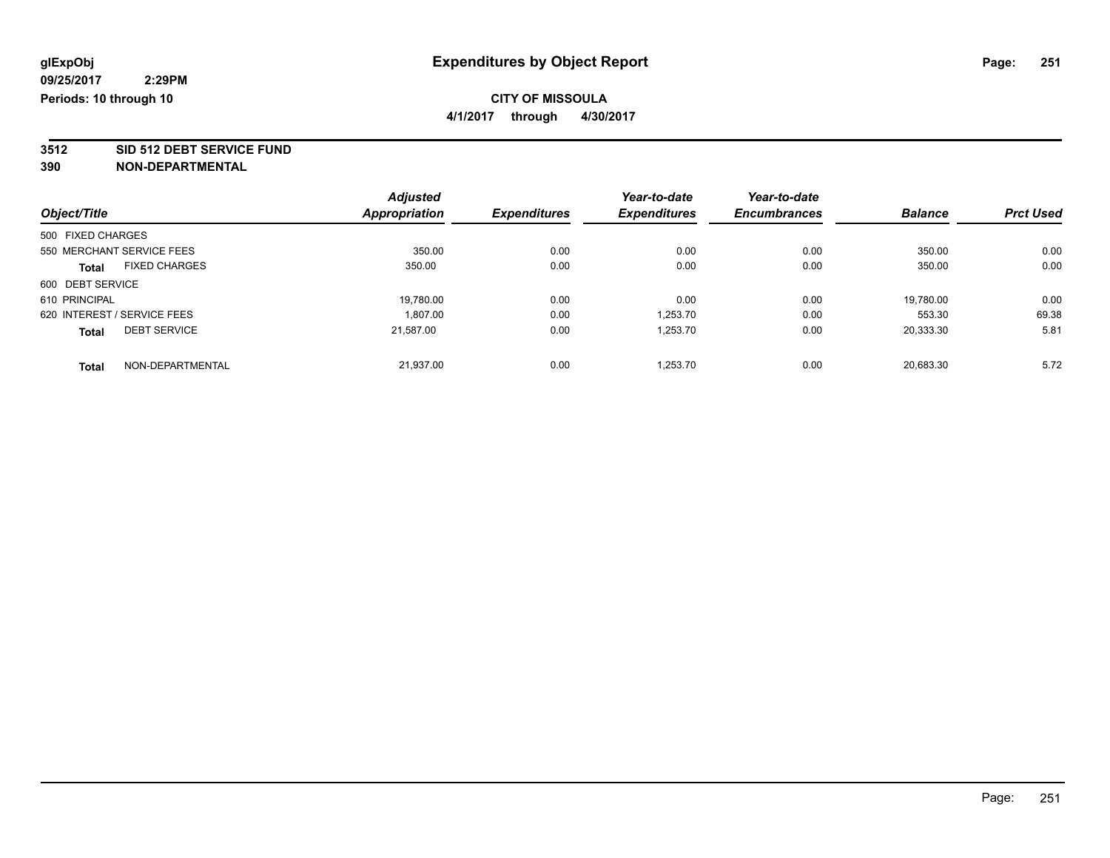**4/1/2017 through 4/30/2017**

**3512 SID 512 DEBT SERVICE FUND**

| Object/Title      |                             | <b>Adjusted</b> | <b>Expenditures</b> | Year-to-date        | Year-to-date        | <b>Balance</b> | <b>Prct Used</b> |
|-------------------|-----------------------------|-----------------|---------------------|---------------------|---------------------|----------------|------------------|
|                   |                             | Appropriation   |                     | <b>Expenditures</b> | <b>Encumbrances</b> |                |                  |
| 500 FIXED CHARGES |                             |                 |                     |                     |                     |                |                  |
|                   | 550 MERCHANT SERVICE FEES   | 350.00          | 0.00                | 0.00                | 0.00                | 350.00         | 0.00             |
| <b>Total</b>      | <b>FIXED CHARGES</b>        | 350.00          | 0.00                | 0.00                | 0.00                | 350.00         | 0.00             |
| 600 DEBT SERVICE  |                             |                 |                     |                     |                     |                |                  |
| 610 PRINCIPAL     |                             | 19,780.00       | 0.00                | 0.00                | 0.00                | 19,780.00      | 0.00             |
|                   | 620 INTEREST / SERVICE FEES | 1.807.00        | 0.00                | 1.253.70            | 0.00                | 553.30         | 69.38            |
| <b>Total</b>      | <b>DEBT SERVICE</b>         | 21,587.00       | 0.00                | 1,253.70            | 0.00                | 20,333.30      | 5.81             |
| <b>Total</b>      | NON-DEPARTMENTAL            | 21.937.00       | 0.00                | 1.253.70            | 0.00                | 20.683.30      | 5.72             |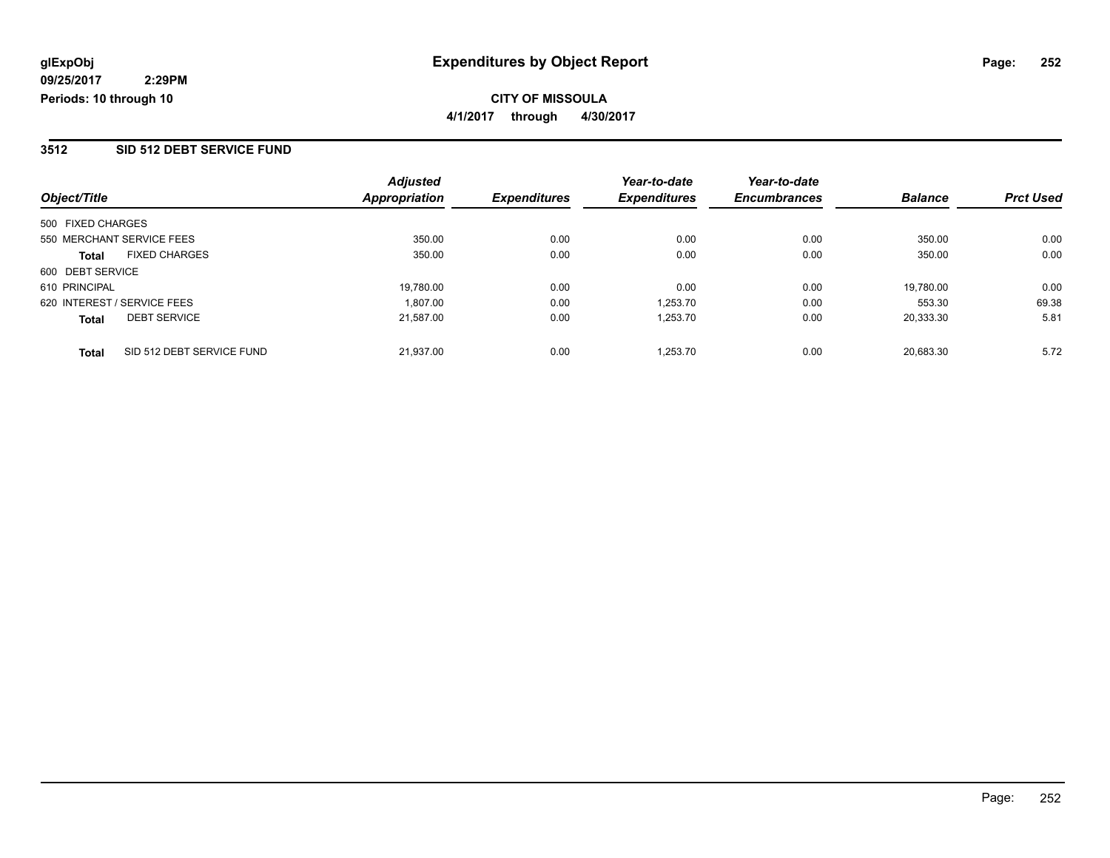#### **CITY OF MISSOULA 4/1/2017 through 4/30/2017**

#### **3512 SID 512 DEBT SERVICE FUND**

| Object/Title                              | <b>Adjusted</b><br>Appropriation | <b>Expenditures</b> | Year-to-date<br><b>Expenditures</b> | Year-to-date<br><b>Encumbrances</b> | <b>Balance</b> | <b>Prct Used</b> |
|-------------------------------------------|----------------------------------|---------------------|-------------------------------------|-------------------------------------|----------------|------------------|
| 500 FIXED CHARGES                         |                                  |                     |                                     |                                     |                |                  |
| 550 MERCHANT SERVICE FEES                 | 350.00                           | 0.00                | 0.00                                | 0.00                                | 350.00         | 0.00             |
| <b>FIXED CHARGES</b><br><b>Total</b>      | 350.00                           | 0.00                | 0.00                                | 0.00                                | 350.00         | 0.00             |
| 600 DEBT SERVICE                          |                                  |                     |                                     |                                     |                |                  |
| 610 PRINCIPAL                             | 19.780.00                        | 0.00                | 0.00                                | 0.00                                | 19,780.00      | 0.00             |
| 620 INTEREST / SERVICE FEES               | 1,807.00                         | 0.00                | 1.253.70                            | 0.00                                | 553.30         | 69.38            |
| <b>DEBT SERVICE</b><br><b>Total</b>       | 21.587.00                        | 0.00                | 1.253.70                            | 0.00                                | 20.333.30      | 5.81             |
| SID 512 DEBT SERVICE FUND<br><b>Total</b> | 21.937.00                        | 0.00                | 1.253.70                            | 0.00                                | 20.683.30      | 5.72             |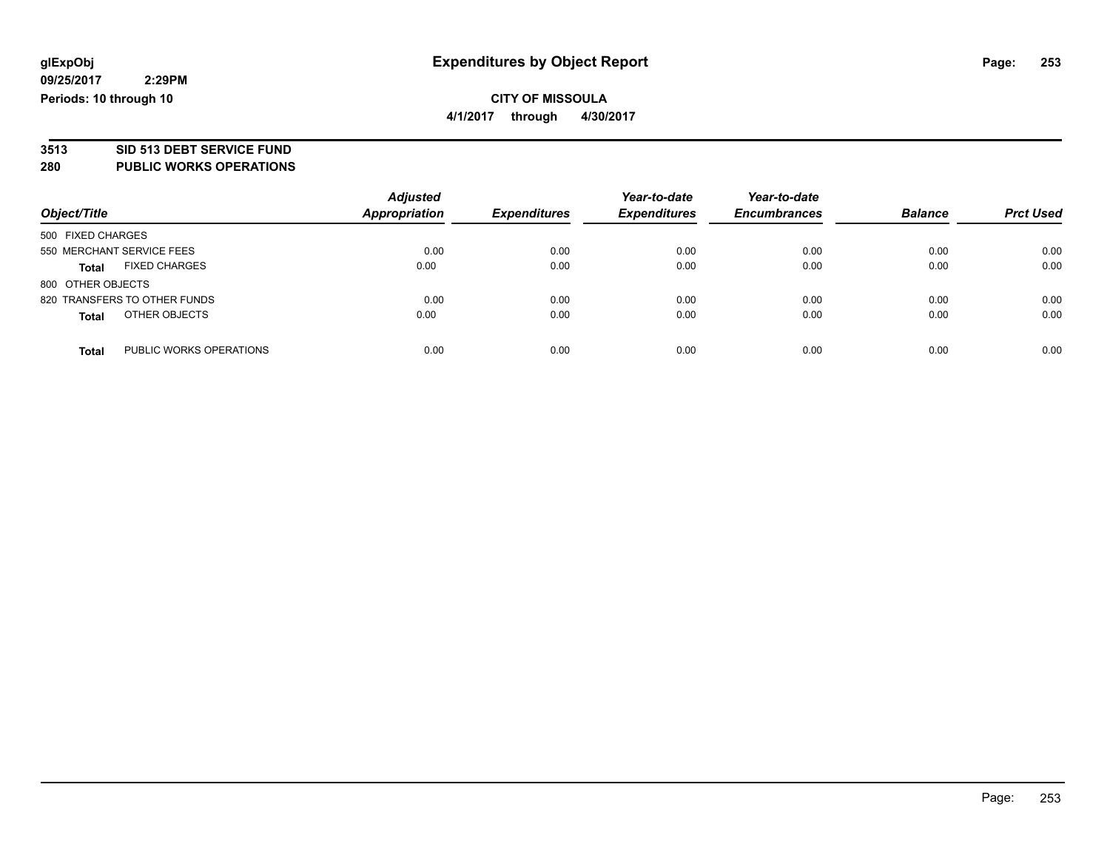### **CITY OF MISSOULA 4/1/2017 through 4/30/2017**

**3513 SID 513 DEBT SERVICE FUND**

**280 PUBLIC WORKS OPERATIONS**

| Object/Title                         | <b>Adjusted</b><br>Appropriation | <b>Expenditures</b> | Year-to-date<br><b>Expenditures</b> | Year-to-date<br><b>Encumbrances</b> | <b>Balance</b> | <b>Prct Used</b> |
|--------------------------------------|----------------------------------|---------------------|-------------------------------------|-------------------------------------|----------------|------------------|
| 500 FIXED CHARGES                    |                                  |                     |                                     |                                     |                |                  |
| 550 MERCHANT SERVICE FEES            | 0.00                             | 0.00                | 0.00                                | 0.00                                | 0.00           | 0.00             |
| <b>FIXED CHARGES</b><br><b>Total</b> | 0.00                             | 0.00                | 0.00                                | 0.00                                | 0.00           | 0.00             |
| 800 OTHER OBJECTS                    |                                  |                     |                                     |                                     |                |                  |
| 820 TRANSFERS TO OTHER FUNDS         | 0.00                             | 0.00                | 0.00                                | 0.00                                | 0.00           | 0.00             |
| OTHER OBJECTS<br><b>Total</b>        | 0.00                             | 0.00                | 0.00                                | 0.00                                | 0.00           | 0.00             |
| PUBLIC WORKS OPERATIONS<br>Total     | 0.00                             | 0.00                | 0.00                                | 0.00                                | 0.00           | 0.00             |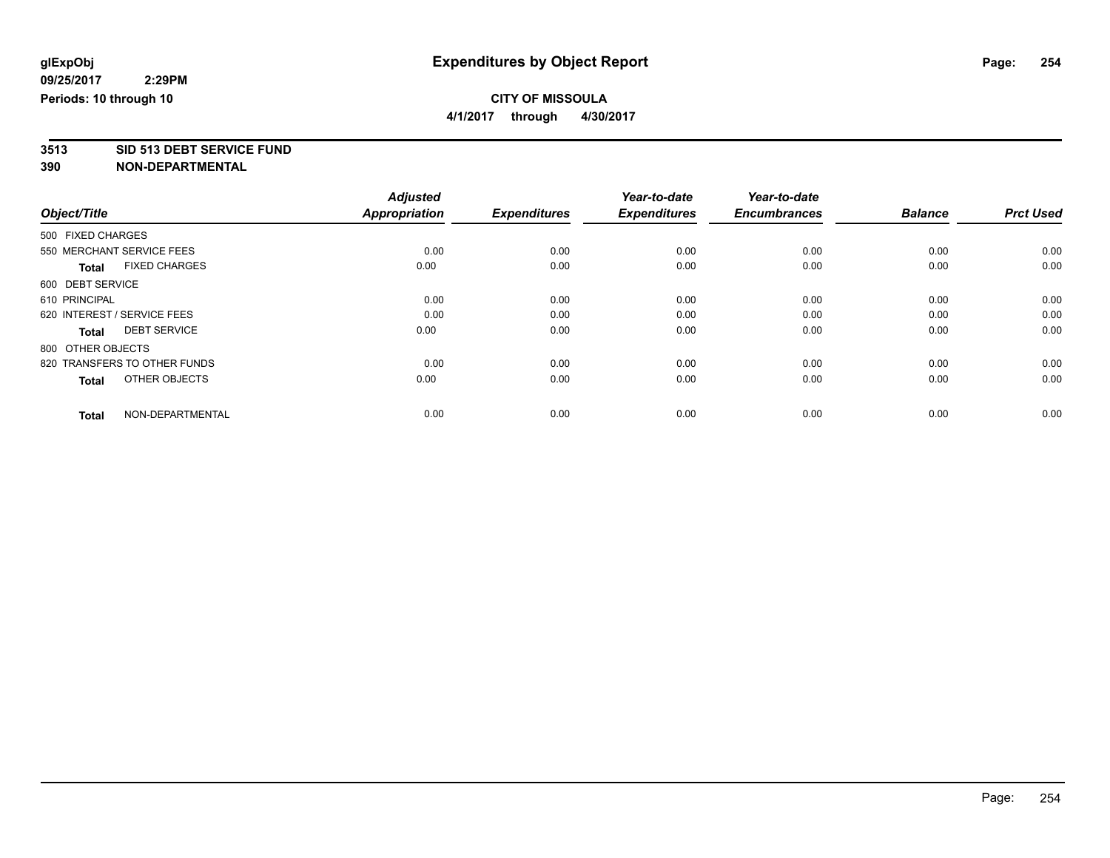**4/1/2017 through 4/30/2017**

**3513 SID 513 DEBT SERVICE FUND**

|                                      | <b>Adjusted</b>      |                     | Year-to-date        | Year-to-date        |                |                  |
|--------------------------------------|----------------------|---------------------|---------------------|---------------------|----------------|------------------|
| Object/Title                         | <b>Appropriation</b> | <b>Expenditures</b> | <b>Expenditures</b> | <b>Encumbrances</b> | <b>Balance</b> | <b>Prct Used</b> |
| 500 FIXED CHARGES                    |                      |                     |                     |                     |                |                  |
| 550 MERCHANT SERVICE FEES            | 0.00                 | 0.00                | 0.00                | 0.00                | 0.00           | 0.00             |
| <b>FIXED CHARGES</b><br><b>Total</b> | 0.00                 | 0.00                | 0.00                | 0.00                | 0.00           | 0.00             |
| 600 DEBT SERVICE                     |                      |                     |                     |                     |                |                  |
| 610 PRINCIPAL                        | 0.00                 | 0.00                | 0.00                | 0.00                | 0.00           | 0.00             |
| 620 INTEREST / SERVICE FEES          | 0.00                 | 0.00                | 0.00                | 0.00                | 0.00           | 0.00             |
| <b>DEBT SERVICE</b><br><b>Total</b>  | 0.00                 | 0.00                | 0.00                | 0.00                | 0.00           | 0.00             |
| 800 OTHER OBJECTS                    |                      |                     |                     |                     |                |                  |
| 820 TRANSFERS TO OTHER FUNDS         | 0.00                 | 0.00                | 0.00                | 0.00                | 0.00           | 0.00             |
| OTHER OBJECTS<br><b>Total</b>        | 0.00                 | 0.00                | 0.00                | 0.00                | 0.00           | 0.00             |
|                                      |                      |                     |                     |                     |                |                  |
| NON-DEPARTMENTAL<br><b>Total</b>     | 0.00                 | 0.00                | 0.00                | 0.00                | 0.00           | 0.00             |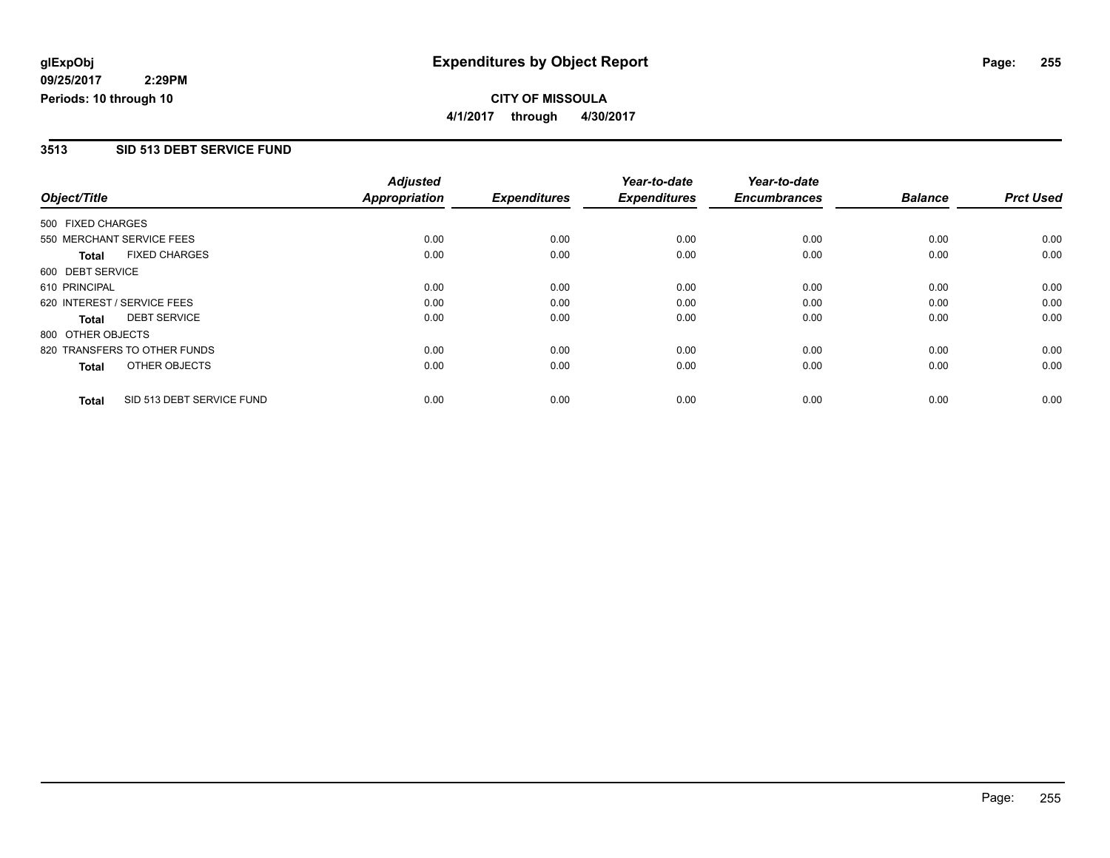**CITY OF MISSOULA 4/1/2017 through 4/30/2017**

### **3513 SID 513 DEBT SERVICE FUND**

|                              |                           | <b>Adjusted</b><br><b>Appropriation</b> |                     | Year-to-date<br><b>Expenditures</b> | Year-to-date | <b>Balance</b> | <b>Prct Used</b> |
|------------------------------|---------------------------|-----------------------------------------|---------------------|-------------------------------------|--------------|----------------|------------------|
| Object/Title                 | <b>Expenditures</b>       |                                         | <b>Encumbrances</b> |                                     |              |                |                  |
| 500 FIXED CHARGES            |                           |                                         |                     |                                     |              |                |                  |
| 550 MERCHANT SERVICE FEES    |                           | 0.00                                    | 0.00                | 0.00                                | 0.00         | 0.00           | 0.00             |
| <b>Total</b>                 | <b>FIXED CHARGES</b>      | 0.00                                    | 0.00                | 0.00                                | 0.00         | 0.00           | 0.00             |
| 600 DEBT SERVICE             |                           |                                         |                     |                                     |              |                |                  |
| 610 PRINCIPAL                |                           | 0.00                                    | 0.00                | 0.00                                | 0.00         | 0.00           | 0.00             |
| 620 INTEREST / SERVICE FEES  |                           | 0.00                                    | 0.00                | 0.00                                | 0.00         | 0.00           | 0.00             |
| Total                        | <b>DEBT SERVICE</b>       | 0.00                                    | 0.00                | 0.00                                | 0.00         | 0.00           | 0.00             |
| 800 OTHER OBJECTS            |                           |                                         |                     |                                     |              |                |                  |
| 820 TRANSFERS TO OTHER FUNDS |                           | 0.00                                    | 0.00                | 0.00                                | 0.00         | 0.00           | 0.00             |
| <b>Total</b>                 | OTHER OBJECTS             | 0.00                                    | 0.00                | 0.00                                | 0.00         | 0.00           | 0.00             |
| <b>Total</b>                 | SID 513 DEBT SERVICE FUND | 0.00                                    | 0.00                | 0.00                                | 0.00         | 0.00           | 0.00             |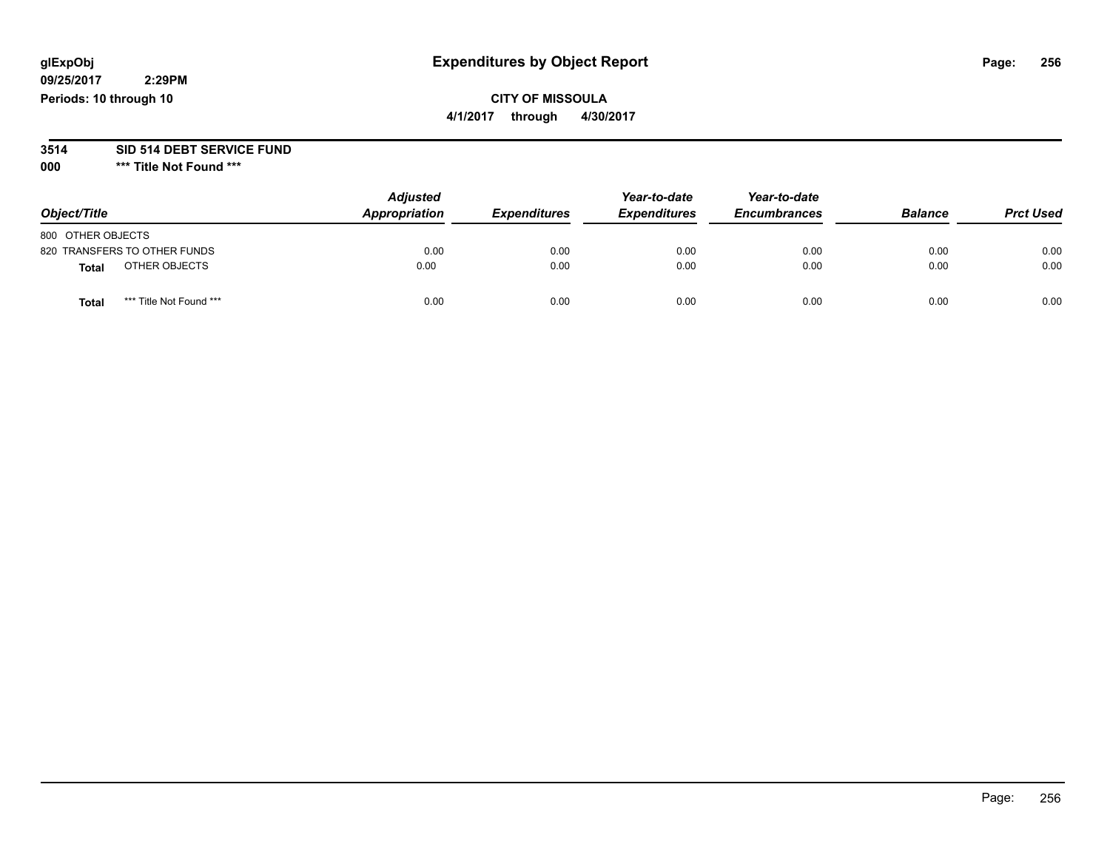## **CITY OF MISSOULA**

**4/1/2017 through 4/30/2017**

#### **3514 SID 514 DEBT SERVICE FUND**

**000 \*\*\* Title Not Found \*\*\***

| Object/Title                     | <b>Adjusted</b><br>Appropriation | <b>Expenditures</b> | Year-to-date<br><b>Expenditures</b> | Year-to-date<br><b>Encumbrances</b> | <b>Balance</b> | <b>Prct Used</b> |
|----------------------------------|----------------------------------|---------------------|-------------------------------------|-------------------------------------|----------------|------------------|
| 800 OTHER OBJECTS                |                                  |                     |                                     |                                     |                |                  |
| 820 TRANSFERS TO OTHER FUNDS     | 0.00                             | 0.00                | 0.00                                | 0.00                                | 0.00           | 0.00             |
| OTHER OBJECTS<br>Total           | 0.00                             | 0.00                | 0.00                                | 0.00                                | 0.00           | 0.00             |
| *** Title Not Found ***<br>Total | 0.00                             | 0.00                | 0.00                                | 0.00                                | 0.00           | 0.00             |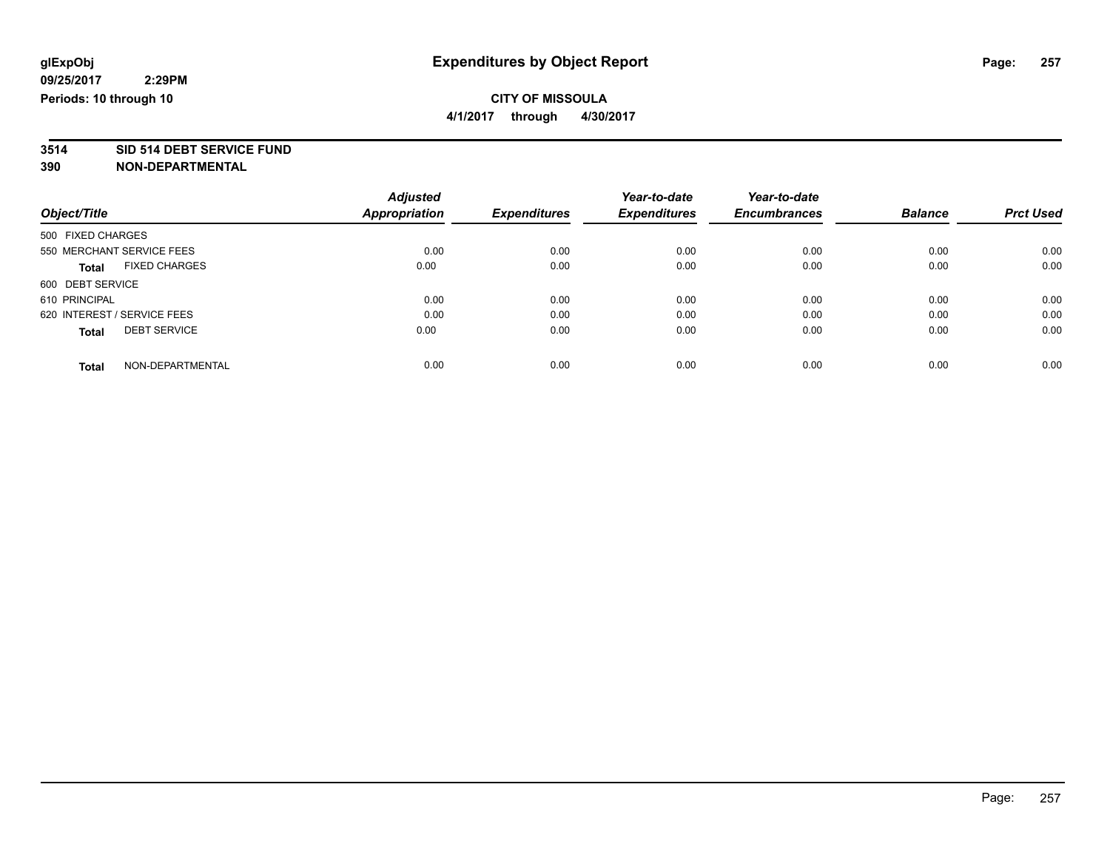**4/1/2017 through 4/30/2017**

# **3514 SID 514 DEBT SERVICE FUND**

|                                      | <b>Adjusted</b>      |                     | Year-to-date        | Year-to-date        |                |                  |
|--------------------------------------|----------------------|---------------------|---------------------|---------------------|----------------|------------------|
| Object/Title                         | <b>Appropriation</b> | <b>Expenditures</b> | <b>Expenditures</b> | <b>Encumbrances</b> | <b>Balance</b> | <b>Prct Used</b> |
| 500 FIXED CHARGES                    |                      |                     |                     |                     |                |                  |
| 550 MERCHANT SERVICE FEES            | 0.00                 | 0.00                | 0.00                | 0.00                | 0.00           | 0.00             |
| <b>FIXED CHARGES</b><br><b>Total</b> | 0.00                 | 0.00                | 0.00                | 0.00                | 0.00           | 0.00             |
| 600 DEBT SERVICE                     |                      |                     |                     |                     |                |                  |
| 610 PRINCIPAL                        | 0.00                 | 0.00                | 0.00                | 0.00                | 0.00           | 0.00             |
| 620 INTEREST / SERVICE FEES          | 0.00                 | 0.00                | 0.00                | 0.00                | 0.00           | 0.00             |
| <b>DEBT SERVICE</b><br><b>Total</b>  | 0.00                 | 0.00                | 0.00                | 0.00                | 0.00           | 0.00             |
| NON-DEPARTMENTAL<br><b>Total</b>     | 0.00                 | 0.00                | 0.00                | 0.00                | 0.00           | 0.00             |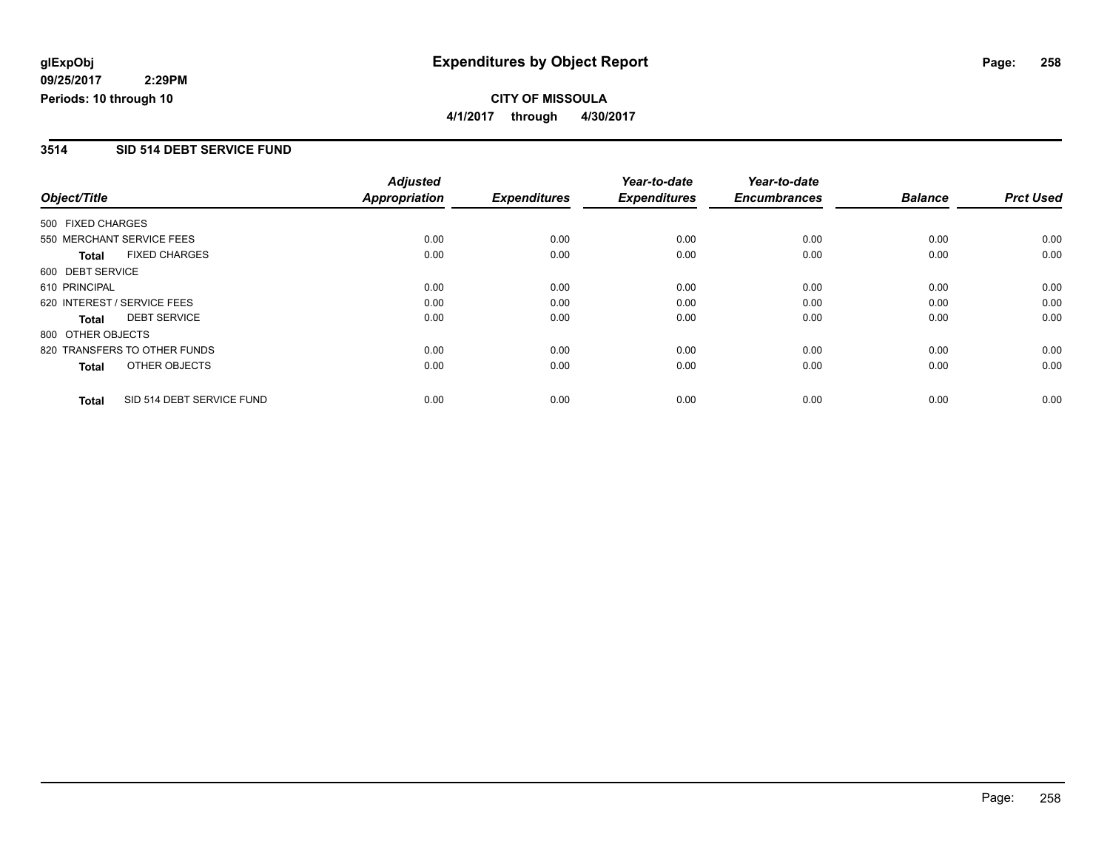**CITY OF MISSOULA 4/1/2017 through 4/30/2017**

### **3514 SID 514 DEBT SERVICE FUND**

|                   |                              | <b>Adjusted</b> |                     | Year-to-date        | Year-to-date        |                |                  |
|-------------------|------------------------------|-----------------|---------------------|---------------------|---------------------|----------------|------------------|
| Object/Title      |                              | Appropriation   | <b>Expenditures</b> | <b>Expenditures</b> | <b>Encumbrances</b> | <b>Balance</b> | <b>Prct Used</b> |
| 500 FIXED CHARGES |                              |                 |                     |                     |                     |                |                  |
|                   | 550 MERCHANT SERVICE FEES    | 0.00            | 0.00                | 0.00                | 0.00                | 0.00           | 0.00             |
| <b>Total</b>      | <b>FIXED CHARGES</b>         | 0.00            | 0.00                | 0.00                | 0.00                | 0.00           | 0.00             |
| 600 DEBT SERVICE  |                              |                 |                     |                     |                     |                |                  |
| 610 PRINCIPAL     |                              | 0.00            | 0.00                | 0.00                | 0.00                | 0.00           | 0.00             |
|                   | 620 INTEREST / SERVICE FEES  | 0.00            | 0.00                | 0.00                | 0.00                | 0.00           | 0.00             |
| Total             | <b>DEBT SERVICE</b>          | 0.00            | 0.00                | 0.00                | 0.00                | 0.00           | 0.00             |
| 800 OTHER OBJECTS |                              |                 |                     |                     |                     |                |                  |
|                   | 820 TRANSFERS TO OTHER FUNDS | 0.00            | 0.00                | 0.00                | 0.00                | 0.00           | 0.00             |
| <b>Total</b>      | OTHER OBJECTS                | 0.00            | 0.00                | 0.00                | 0.00                | 0.00           | 0.00             |
| <b>Total</b>      | SID 514 DEBT SERVICE FUND    | 0.00            | 0.00                | 0.00                | 0.00                | 0.00           | 0.00             |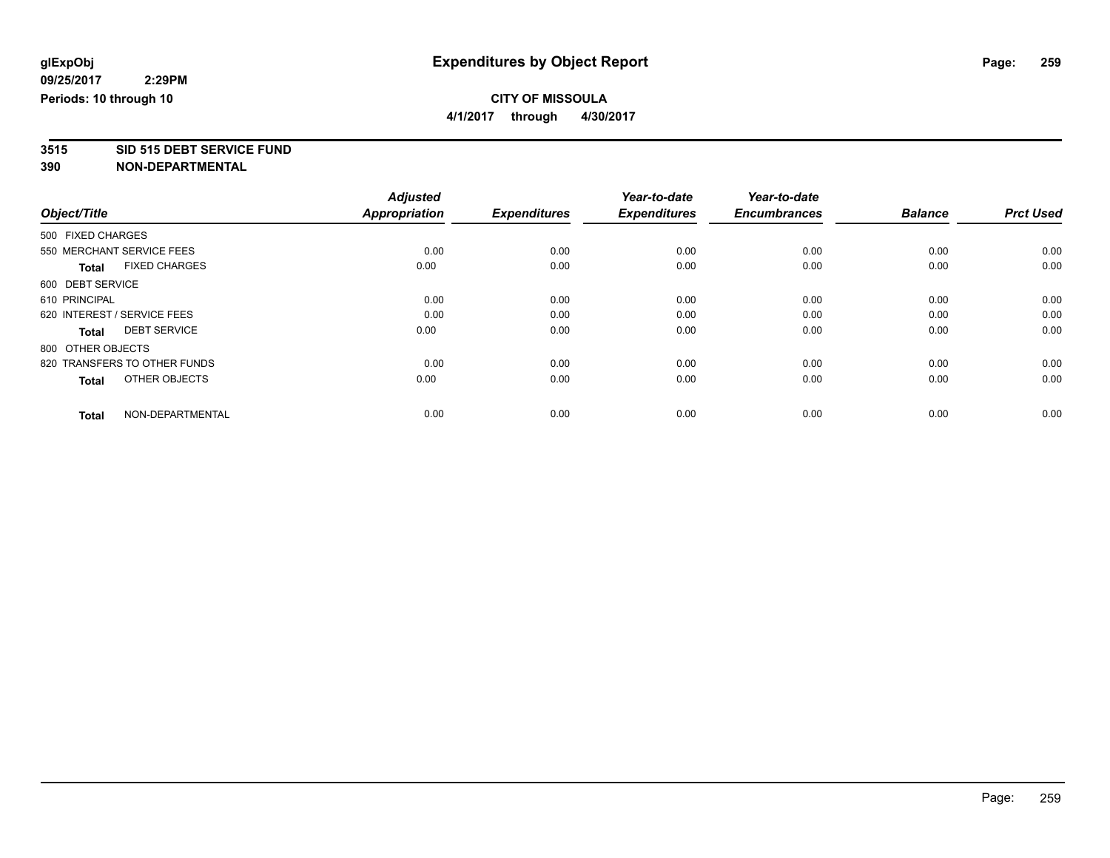**4/1/2017 through 4/30/2017**

# **3515 SID 515 DEBT SERVICE FUND**

|                                      | <b>Adjusted</b>      |                     | Year-to-date        | Year-to-date        |                |                  |
|--------------------------------------|----------------------|---------------------|---------------------|---------------------|----------------|------------------|
| Object/Title                         | <b>Appropriation</b> | <b>Expenditures</b> | <b>Expenditures</b> | <b>Encumbrances</b> | <b>Balance</b> | <b>Prct Used</b> |
| 500 FIXED CHARGES                    |                      |                     |                     |                     |                |                  |
| 550 MERCHANT SERVICE FEES            | 0.00                 | 0.00                | 0.00                | 0.00                | 0.00           | 0.00             |
| <b>FIXED CHARGES</b><br><b>Total</b> | 0.00                 | 0.00                | 0.00                | 0.00                | 0.00           | 0.00             |
| 600 DEBT SERVICE                     |                      |                     |                     |                     |                |                  |
| 610 PRINCIPAL                        | 0.00                 | 0.00                | 0.00                | 0.00                | 0.00           | 0.00             |
| 620 INTEREST / SERVICE FEES          | 0.00                 | 0.00                | 0.00                | 0.00                | 0.00           | 0.00             |
| <b>DEBT SERVICE</b><br><b>Total</b>  | 0.00                 | 0.00                | 0.00                | 0.00                | 0.00           | 0.00             |
| 800 OTHER OBJECTS                    |                      |                     |                     |                     |                |                  |
| 820 TRANSFERS TO OTHER FUNDS         | 0.00                 | 0.00                | 0.00                | 0.00                | 0.00           | 0.00             |
| OTHER OBJECTS<br>Total               | 0.00                 | 0.00                | 0.00                | 0.00                | 0.00           | 0.00             |
|                                      |                      |                     |                     |                     |                |                  |
| NON-DEPARTMENTAL<br><b>Total</b>     | 0.00                 | 0.00                | 0.00                | 0.00                | 0.00           | 0.00             |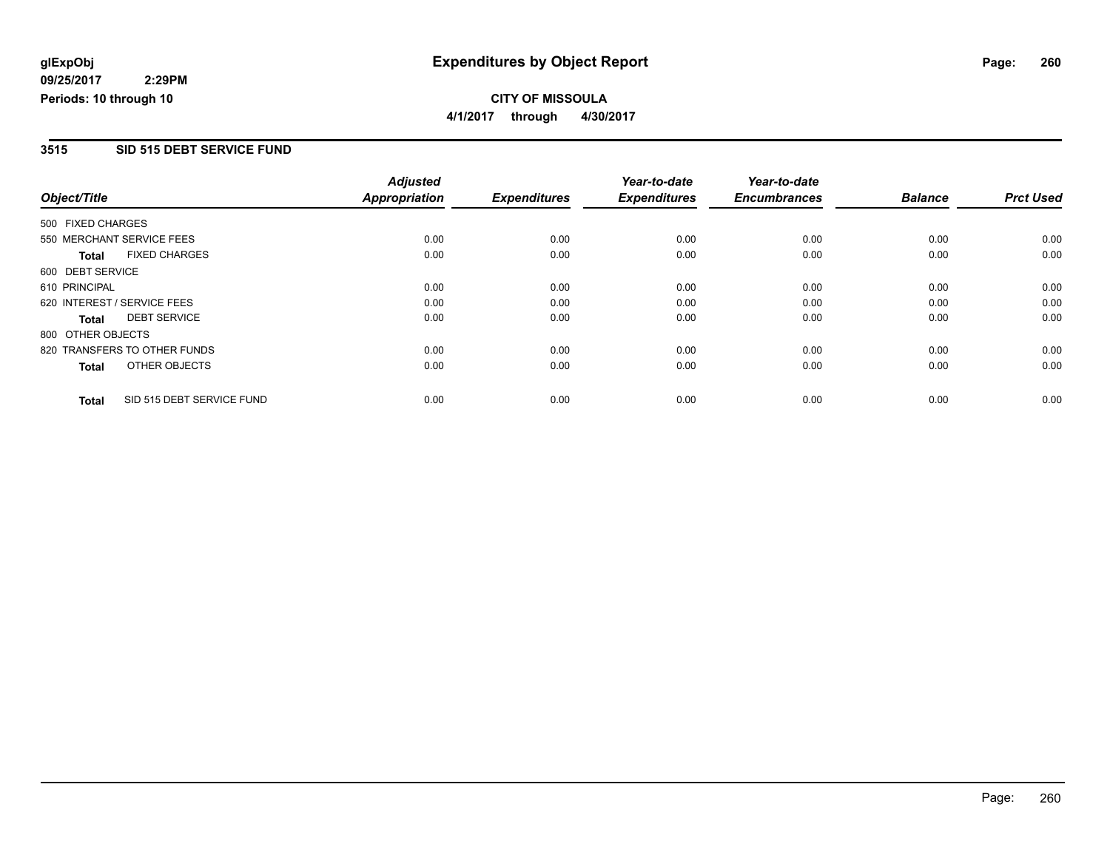### **CITY OF MISSOULA 4/1/2017 through 4/30/2017**

### **3515 SID 515 DEBT SERVICE FUND**

|                             |                              | <b>Adjusted</b> |                     | Year-to-date        | Year-to-date        |                |                  |
|-----------------------------|------------------------------|-----------------|---------------------|---------------------|---------------------|----------------|------------------|
| Object/Title                |                              | Appropriation   | <b>Expenditures</b> | <b>Expenditures</b> | <b>Encumbrances</b> | <b>Balance</b> | <b>Prct Used</b> |
| 500 FIXED CHARGES           |                              |                 |                     |                     |                     |                |                  |
| 550 MERCHANT SERVICE FEES   |                              | 0.00            | 0.00                | 0.00                | 0.00                | 0.00           | 0.00             |
| <b>Total</b>                | <b>FIXED CHARGES</b>         | 0.00            | 0.00                | 0.00                | 0.00                | 0.00           | 0.00             |
| 600 DEBT SERVICE            |                              |                 |                     |                     |                     |                |                  |
| 610 PRINCIPAL               |                              | 0.00            | 0.00                | 0.00                | 0.00                | 0.00           | 0.00             |
| 620 INTEREST / SERVICE FEES |                              | 0.00            | 0.00                | 0.00                | 0.00                | 0.00           | 0.00             |
| <b>Total</b>                | <b>DEBT SERVICE</b>          | 0.00            | 0.00                | 0.00                | 0.00                | 0.00           | 0.00             |
| 800 OTHER OBJECTS           |                              |                 |                     |                     |                     |                |                  |
|                             | 820 TRANSFERS TO OTHER FUNDS | 0.00            | 0.00                | 0.00                | 0.00                | 0.00           | 0.00             |
| <b>Total</b>                | OTHER OBJECTS                | 0.00            | 0.00                | 0.00                | 0.00                | 0.00           | 0.00             |
| <b>Total</b>                | SID 515 DEBT SERVICE FUND    | 0.00            | 0.00                | 0.00                | 0.00                | 0.00           | 0.00             |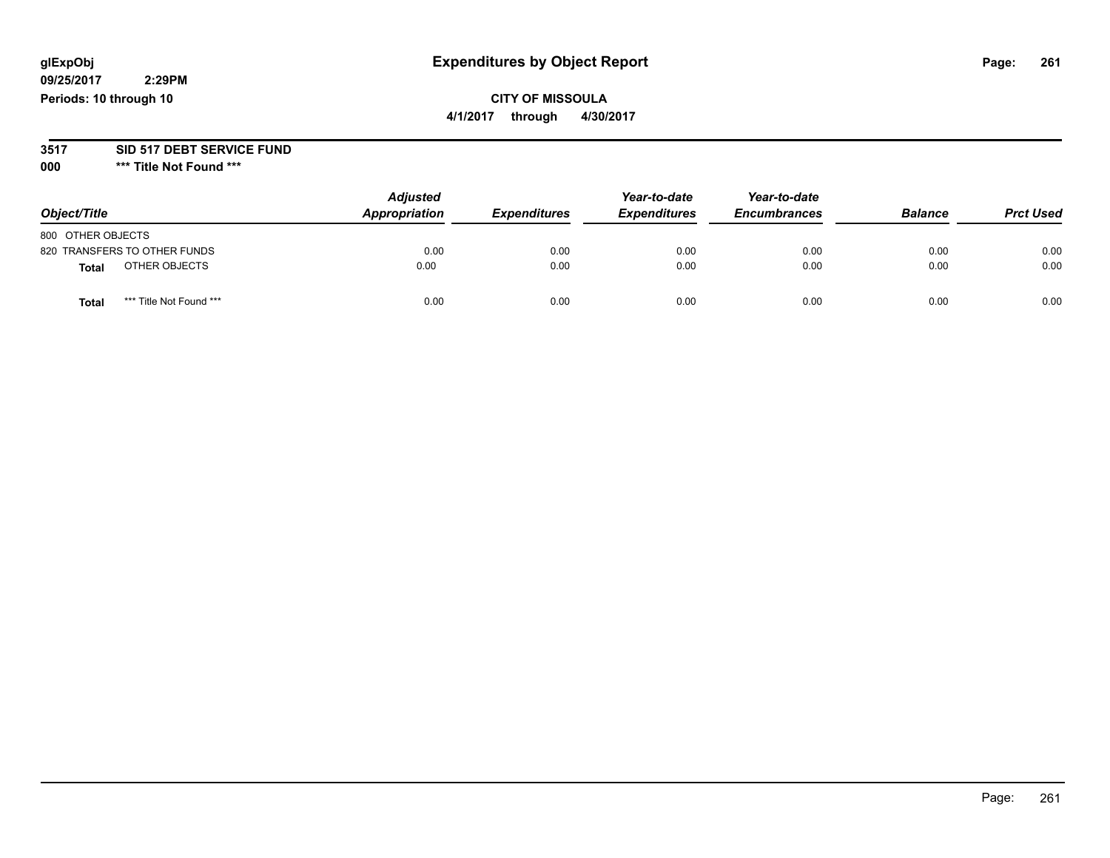## **CITY OF MISSOULA**

**4/1/2017 through 4/30/2017**

### **3517 SID 517 DEBT SERVICE FUND**

**000 \*\*\* Title Not Found \*\*\***

| Object/Title                            | <b>Adjusted</b><br>Appropriation | <b>Expenditures</b> | Year-to-date<br><b>Expenditures</b> | Year-to-date<br><b>Encumbrances</b> | <b>Balance</b> | <b>Prct Used</b> |
|-----------------------------------------|----------------------------------|---------------------|-------------------------------------|-------------------------------------|----------------|------------------|
| 800 OTHER OBJECTS                       |                                  |                     |                                     |                                     |                |                  |
| 820 TRANSFERS TO OTHER FUNDS            | 0.00                             | 0.00                | 0.00                                | 0.00                                | 0.00           | 0.00             |
| OTHER OBJECTS<br>Total                  | 0.00                             | 0.00                | 0.00                                | 0.00                                | 0.00           | 0.00             |
| *** Title Not Found ***<br><b>Total</b> | 0.00                             | 0.00                | 0.00                                | 0.00                                | 0.00           | 0.00             |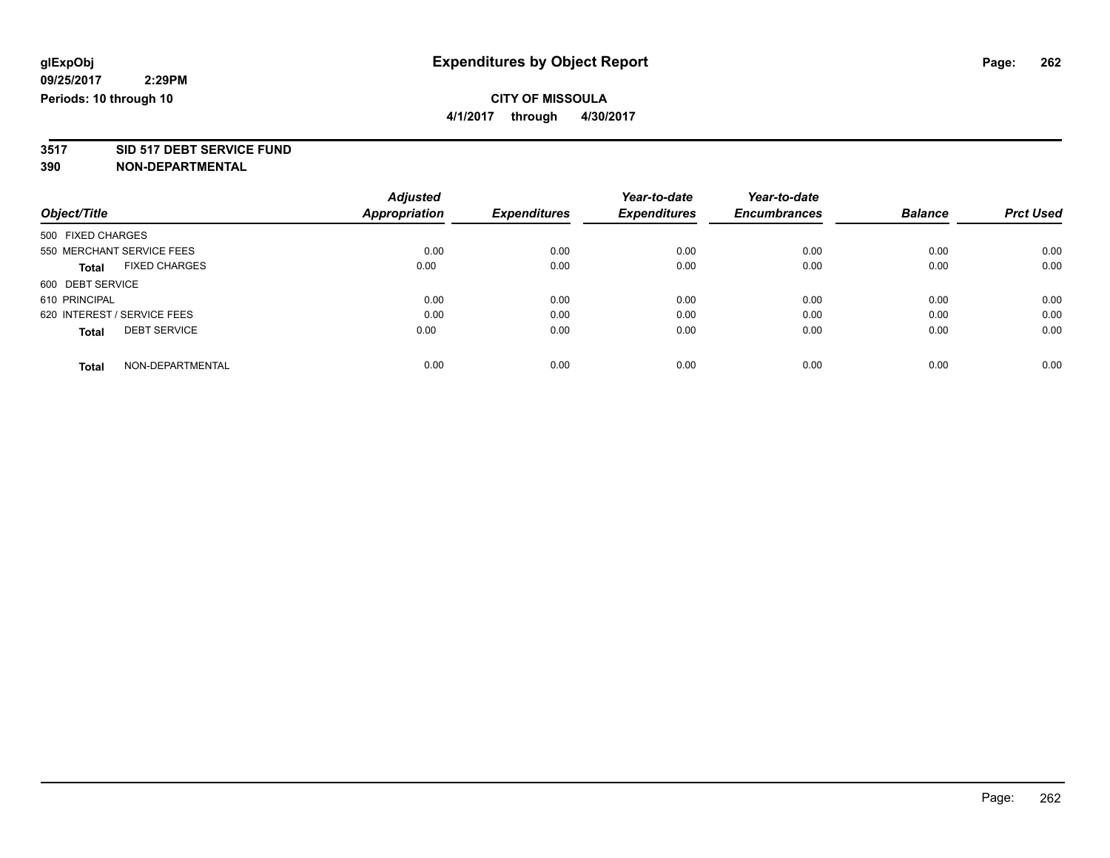**4/1/2017 through 4/30/2017**

# **3517 SID 517 DEBT SERVICE FUND**

|                                      | <b>Adjusted</b>      | <b>Expenditures</b> | Year-to-date        | Year-to-date        |                |                  |
|--------------------------------------|----------------------|---------------------|---------------------|---------------------|----------------|------------------|
| Object/Title                         | <b>Appropriation</b> |                     | <b>Expenditures</b> | <b>Encumbrances</b> | <b>Balance</b> | <b>Prct Used</b> |
| 500 FIXED CHARGES                    |                      |                     |                     |                     |                |                  |
| 550 MERCHANT SERVICE FEES            | 0.00                 | 0.00                | 0.00                | 0.00                | 0.00           | 0.00             |
| <b>FIXED CHARGES</b><br><b>Total</b> | 0.00                 | 0.00                | 0.00                | 0.00                | 0.00           | 0.00             |
| 600 DEBT SERVICE                     |                      |                     |                     |                     |                |                  |
| 610 PRINCIPAL                        | 0.00                 | 0.00                | 0.00                | 0.00                | 0.00           | 0.00             |
| 620 INTEREST / SERVICE FEES          | 0.00                 | 0.00                | 0.00                | 0.00                | 0.00           | 0.00             |
| <b>DEBT SERVICE</b><br><b>Total</b>  | 0.00                 | 0.00                | 0.00                | 0.00                | 0.00           | 0.00             |
| NON-DEPARTMENTAL<br>Total            | 0.00                 | 0.00                | 0.00                | 0.00                | 0.00           | 0.00             |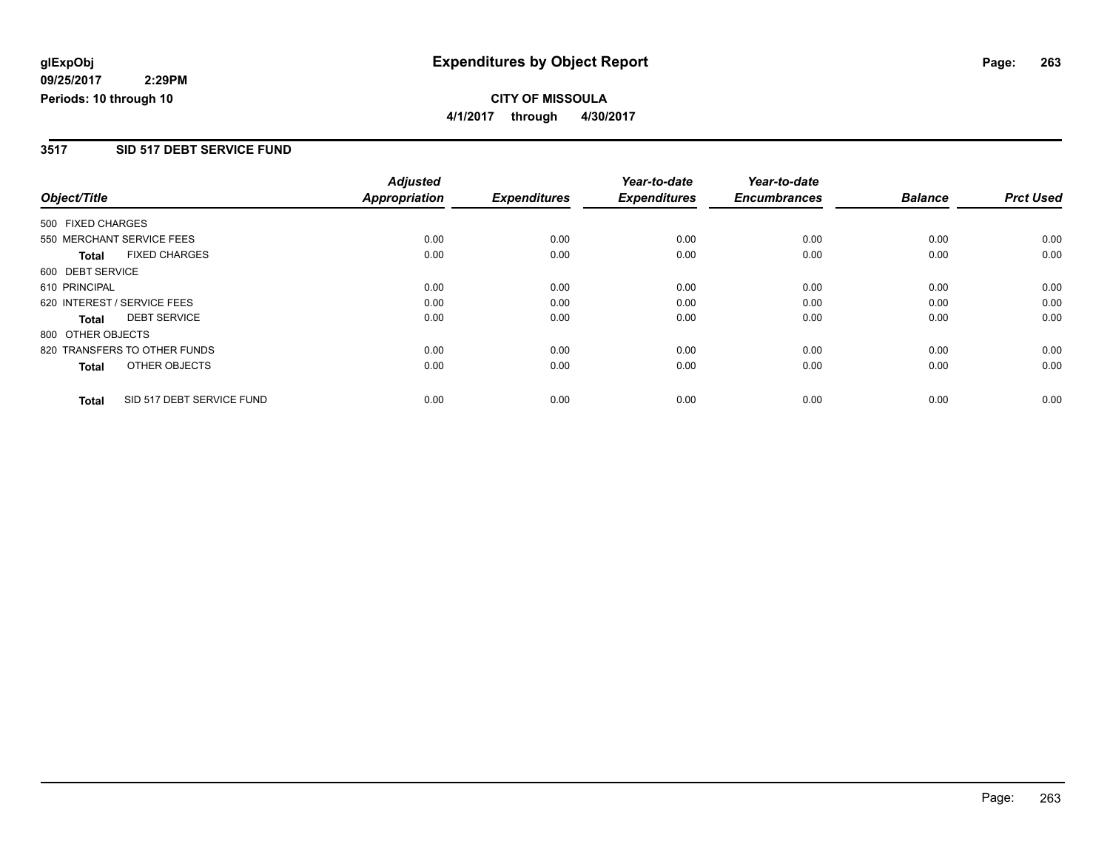**CITY OF MISSOULA 4/1/2017 through 4/30/2017**

### **3517 SID 517 DEBT SERVICE FUND**

|                              |                           | <b>Adjusted</b><br><b>Appropriation</b> |      | Year-to-date<br><b>Expenditures</b> | Year-to-date<br><b>Encumbrances</b> | <b>Balance</b> | <b>Prct Used</b> |
|------------------------------|---------------------------|-----------------------------------------|------|-------------------------------------|-------------------------------------|----------------|------------------|
| Object/Title                 | <b>Expenditures</b>       |                                         |      |                                     |                                     |                |                  |
| 500 FIXED CHARGES            |                           |                                         |      |                                     |                                     |                |                  |
| 550 MERCHANT SERVICE FEES    |                           | 0.00                                    | 0.00 | 0.00                                | 0.00                                | 0.00           | 0.00             |
| <b>Total</b>                 | <b>FIXED CHARGES</b>      | 0.00                                    | 0.00 | 0.00                                | 0.00                                | 0.00           | 0.00             |
| 600 DEBT SERVICE             |                           |                                         |      |                                     |                                     |                |                  |
| 610 PRINCIPAL                |                           | 0.00                                    | 0.00 | 0.00                                | 0.00                                | 0.00           | 0.00             |
| 620 INTEREST / SERVICE FEES  |                           | 0.00                                    | 0.00 | 0.00                                | 0.00                                | 0.00           | 0.00             |
| Total                        | <b>DEBT SERVICE</b>       | 0.00                                    | 0.00 | 0.00                                | 0.00                                | 0.00           | 0.00             |
| 800 OTHER OBJECTS            |                           |                                         |      |                                     |                                     |                |                  |
| 820 TRANSFERS TO OTHER FUNDS |                           | 0.00                                    | 0.00 | 0.00                                | 0.00                                | 0.00           | 0.00             |
| <b>Total</b>                 | OTHER OBJECTS             | 0.00                                    | 0.00 | 0.00                                | 0.00                                | 0.00           | 0.00             |
| <b>Total</b>                 | SID 517 DEBT SERVICE FUND | 0.00                                    | 0.00 | 0.00                                | 0.00                                | 0.00           | 0.00             |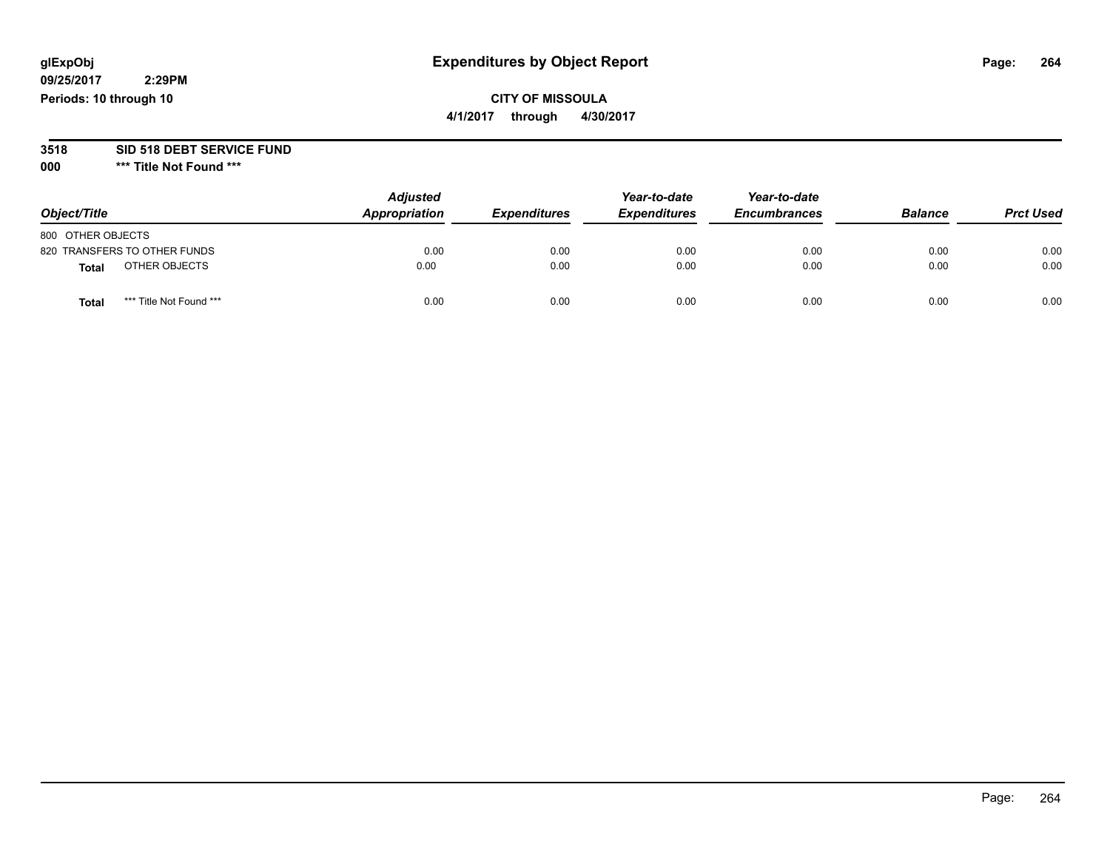## **CITY OF MISSOULA**

**4/1/2017 through 4/30/2017**

# **3518 SID 518 DEBT SERVICE FUND**

**000 \*\*\* Title Not Found \*\*\***

| Object/Title                     | <b>Adjusted</b><br>Appropriation | <b>Expenditures</b> | Year-to-date<br><b>Expenditures</b> | Year-to-date<br><b>Encumbrances</b> | <b>Balance</b> | <b>Prct Used</b> |
|----------------------------------|----------------------------------|---------------------|-------------------------------------|-------------------------------------|----------------|------------------|
| 800 OTHER OBJECTS                |                                  |                     |                                     |                                     |                |                  |
| 820 TRANSFERS TO OTHER FUNDS     | 0.00                             | 0.00                | 0.00                                | 0.00                                | 0.00           | 0.00             |
| OTHER OBJECTS<br><b>Total</b>    | 0.00                             | 0.00                | 0.00                                | 0.00                                | 0.00           | 0.00             |
| *** Title Not Found ***<br>Total | 0.00                             | 0.00                | 0.00                                | 0.00                                | 0.00           | 0.00             |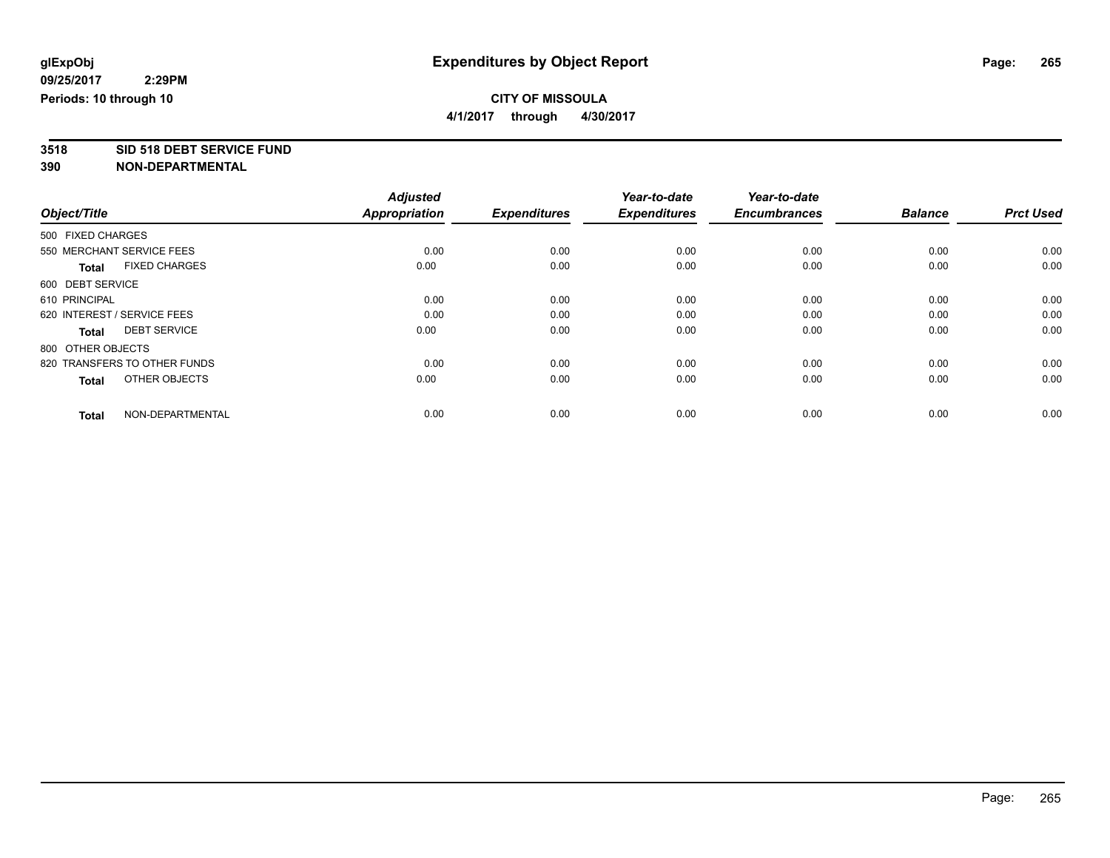**4/1/2017 through 4/30/2017**

**3518 SID 518 DEBT SERVICE FUND**

|                                      | <b>Adjusted</b>      | <b>Expenditures</b> | Year-to-date<br><b>Expenditures</b> | Year-to-date<br><b>Encumbrances</b> | <b>Balance</b> | <b>Prct Used</b> |
|--------------------------------------|----------------------|---------------------|-------------------------------------|-------------------------------------|----------------|------------------|
| Object/Title                         | <b>Appropriation</b> |                     |                                     |                                     |                |                  |
| 500 FIXED CHARGES                    |                      |                     |                                     |                                     |                |                  |
| 550 MERCHANT SERVICE FEES            | 0.00                 | 0.00                | 0.00                                | 0.00                                | 0.00           | 0.00             |
| <b>FIXED CHARGES</b><br><b>Total</b> | 0.00                 | 0.00                | 0.00                                | 0.00                                | 0.00           | 0.00             |
| 600 DEBT SERVICE                     |                      |                     |                                     |                                     |                |                  |
| 610 PRINCIPAL                        | 0.00                 | 0.00                | 0.00                                | 0.00                                | 0.00           | 0.00             |
| 620 INTEREST / SERVICE FEES          | 0.00                 | 0.00                | 0.00                                | 0.00                                | 0.00           | 0.00             |
| <b>DEBT SERVICE</b><br><b>Total</b>  | 0.00                 | 0.00                | 0.00                                | 0.00                                | 0.00           | 0.00             |
| 800 OTHER OBJECTS                    |                      |                     |                                     |                                     |                |                  |
| 820 TRANSFERS TO OTHER FUNDS         | 0.00                 | 0.00                | 0.00                                | 0.00                                | 0.00           | 0.00             |
| OTHER OBJECTS<br>Total               | 0.00                 | 0.00                | 0.00                                | 0.00                                | 0.00           | 0.00             |
|                                      |                      |                     |                                     |                                     |                |                  |
| NON-DEPARTMENTAL<br><b>Total</b>     | 0.00                 | 0.00                | 0.00                                | 0.00                                | 0.00           | 0.00             |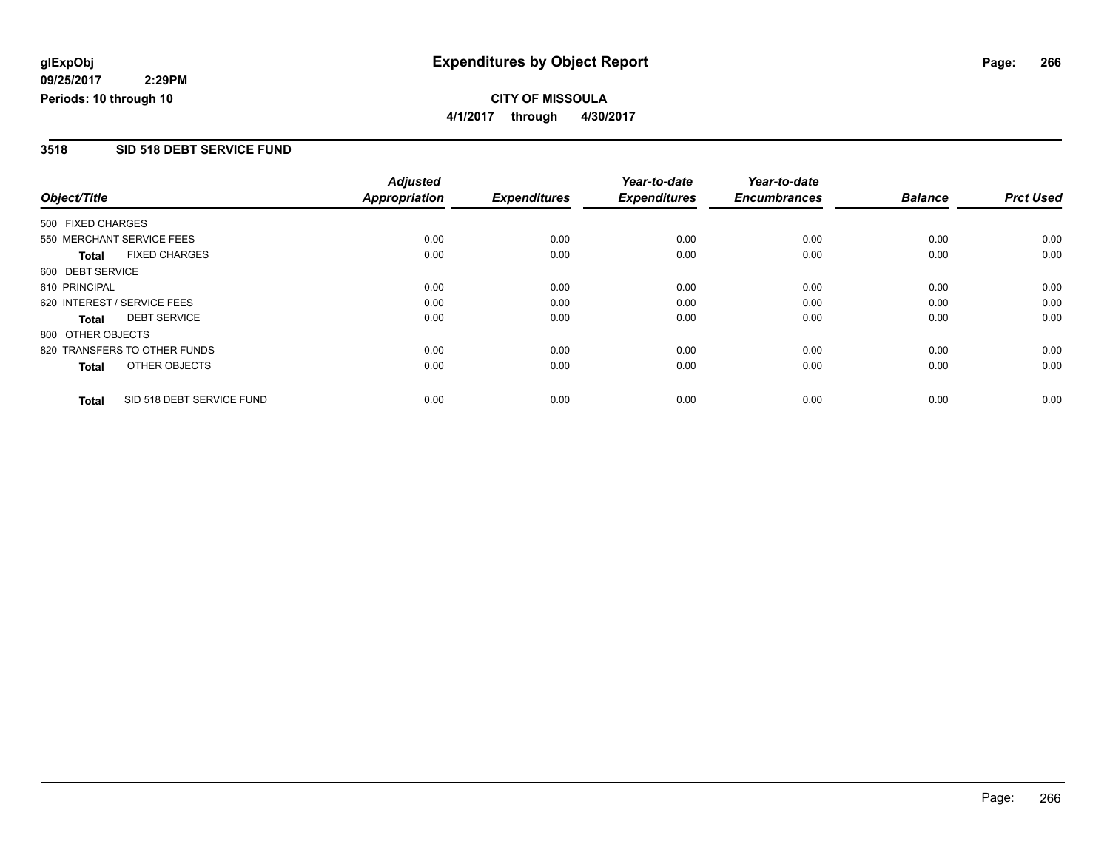### **CITY OF MISSOULA 4/1/2017 through 4/30/2017**

### **3518 SID 518 DEBT SERVICE FUND**

|                              |                           | <b>Adjusted</b>      |                     | Year-to-date        | Year-to-date        |                |                  |
|------------------------------|---------------------------|----------------------|---------------------|---------------------|---------------------|----------------|------------------|
| Object/Title                 |                           | <b>Appropriation</b> | <b>Expenditures</b> | <b>Expenditures</b> | <b>Encumbrances</b> | <b>Balance</b> | <b>Prct Used</b> |
| 500 FIXED CHARGES            |                           |                      |                     |                     |                     |                |                  |
| 550 MERCHANT SERVICE FEES    |                           | 0.00                 | 0.00                | 0.00                | 0.00                | 0.00           | 0.00             |
| <b>Total</b>                 | <b>FIXED CHARGES</b>      | 0.00                 | 0.00                | 0.00                | 0.00                | 0.00           | 0.00             |
| 600 DEBT SERVICE             |                           |                      |                     |                     |                     |                |                  |
| 610 PRINCIPAL                |                           | 0.00                 | 0.00                | 0.00                | 0.00                | 0.00           | 0.00             |
| 620 INTEREST / SERVICE FEES  |                           | 0.00                 | 0.00                | 0.00                | 0.00                | 0.00           | 0.00             |
| Total                        | <b>DEBT SERVICE</b>       | 0.00                 | 0.00                | 0.00                | 0.00                | 0.00           | 0.00             |
| 800 OTHER OBJECTS            |                           |                      |                     |                     |                     |                |                  |
| 820 TRANSFERS TO OTHER FUNDS |                           | 0.00                 | 0.00                | 0.00                | 0.00                | 0.00           | 0.00             |
| <b>Total</b>                 | OTHER OBJECTS             | 0.00                 | 0.00                | 0.00                | 0.00                | 0.00           | 0.00             |
| <b>Total</b>                 | SID 518 DEBT SERVICE FUND | 0.00                 | 0.00                | 0.00                | 0.00                | 0.00           | 0.00             |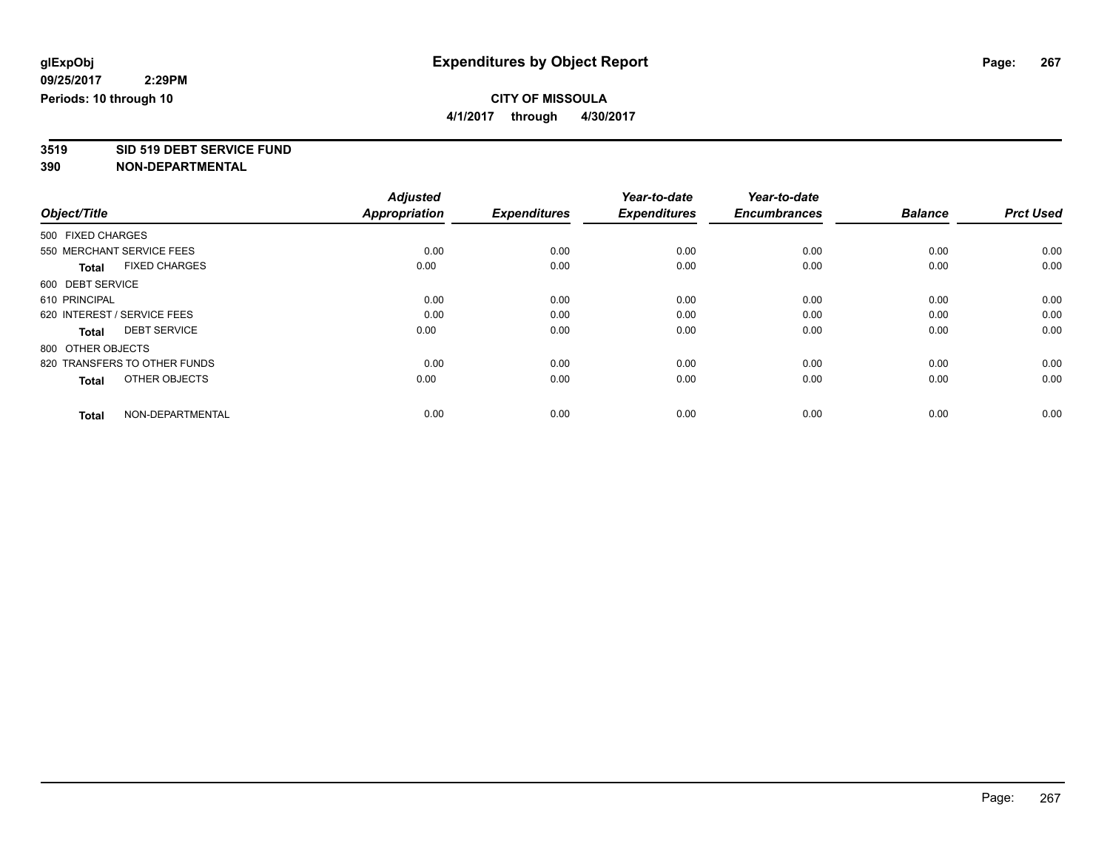**4/1/2017 through 4/30/2017**

# **3519 SID 519 DEBT SERVICE FUND**

|                                      | <b>Adjusted</b>      |                     | Year-to-date        | Year-to-date        |                |                  |
|--------------------------------------|----------------------|---------------------|---------------------|---------------------|----------------|------------------|
| Object/Title                         | <b>Appropriation</b> | <b>Expenditures</b> | <b>Expenditures</b> | <b>Encumbrances</b> | <b>Balance</b> | <b>Prct Used</b> |
| 500 FIXED CHARGES                    |                      |                     |                     |                     |                |                  |
| 550 MERCHANT SERVICE FEES            | 0.00                 | 0.00                | 0.00                | 0.00                | 0.00           | 0.00             |
| <b>FIXED CHARGES</b><br><b>Total</b> | 0.00                 | 0.00                | 0.00                | 0.00                | 0.00           | 0.00             |
| 600 DEBT SERVICE                     |                      |                     |                     |                     |                |                  |
| 610 PRINCIPAL                        | 0.00                 | 0.00                | 0.00                | 0.00                | 0.00           | 0.00             |
| 620 INTEREST / SERVICE FEES          | 0.00                 | 0.00                | 0.00                | 0.00                | 0.00           | 0.00             |
| <b>DEBT SERVICE</b><br><b>Total</b>  | 0.00                 | 0.00                | 0.00                | 0.00                | 0.00           | 0.00             |
| 800 OTHER OBJECTS                    |                      |                     |                     |                     |                |                  |
| 820 TRANSFERS TO OTHER FUNDS         | 0.00                 | 0.00                | 0.00                | 0.00                | 0.00           | 0.00             |
| OTHER OBJECTS<br><b>Total</b>        | 0.00                 | 0.00                | 0.00                | 0.00                | 0.00           | 0.00             |
|                                      |                      |                     |                     |                     |                |                  |
| NON-DEPARTMENTAL<br><b>Total</b>     | 0.00                 | 0.00                | 0.00                | 0.00                | 0.00           | 0.00             |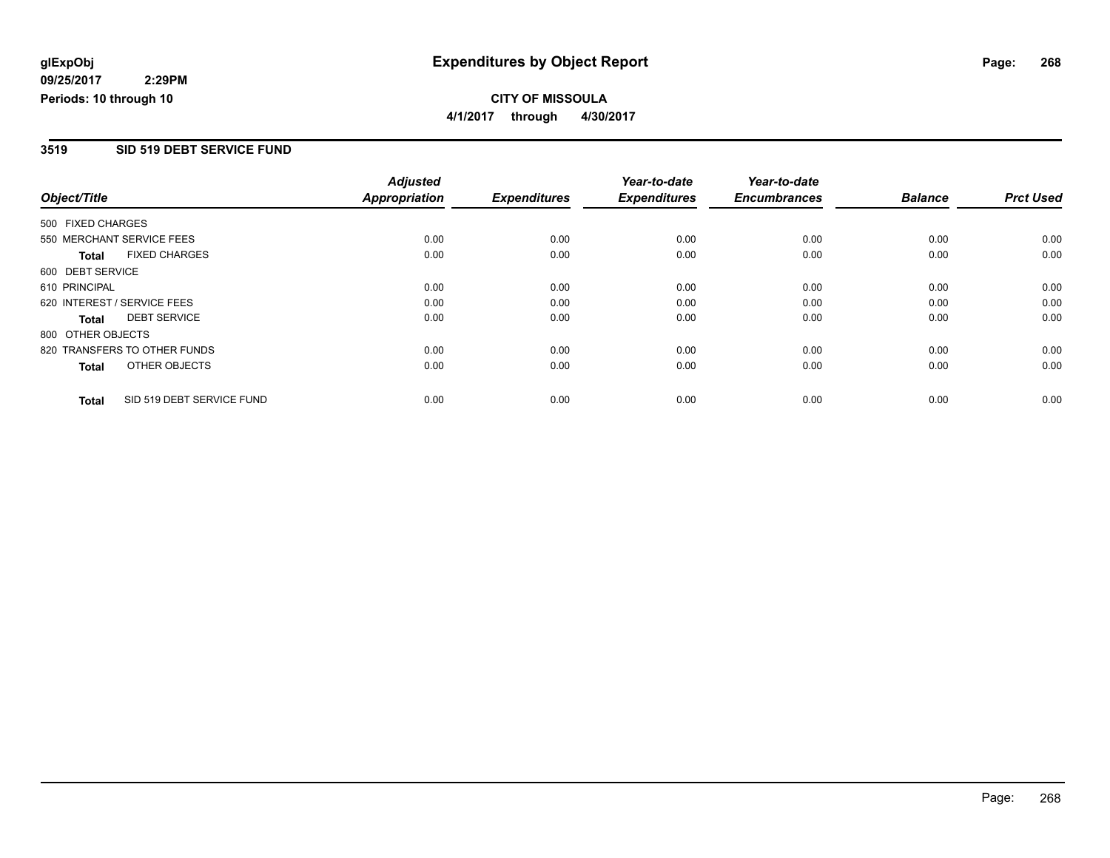**CITY OF MISSOULA 4/1/2017 through 4/30/2017**

### **3519 SID 519 DEBT SERVICE FUND**

|                                      |                           | <b>Adjusted</b>      |                     | Year-to-date        | Year-to-date        |                |                  |
|--------------------------------------|---------------------------|----------------------|---------------------|---------------------|---------------------|----------------|------------------|
| Object/Title                         |                           | <b>Appropriation</b> | <b>Expenditures</b> | <b>Expenditures</b> | <b>Encumbrances</b> | <b>Balance</b> | <b>Prct Used</b> |
| 500 FIXED CHARGES                    |                           |                      |                     |                     |                     |                |                  |
| 550 MERCHANT SERVICE FEES            |                           | 0.00                 | 0.00                | 0.00                | 0.00                | 0.00           | 0.00             |
| <b>FIXED CHARGES</b><br><b>Total</b> |                           | 0.00                 | 0.00                | 0.00                | 0.00                | 0.00           | 0.00             |
| 600 DEBT SERVICE                     |                           |                      |                     |                     |                     |                |                  |
| 610 PRINCIPAL                        |                           | 0.00                 | 0.00                | 0.00                | 0.00                | 0.00           | 0.00             |
| 620 INTEREST / SERVICE FEES          |                           | 0.00                 | 0.00                | 0.00                | 0.00                | 0.00           | 0.00             |
| <b>DEBT SERVICE</b><br>Total         |                           | 0.00                 | 0.00                | 0.00                | 0.00                | 0.00           | 0.00             |
| 800 OTHER OBJECTS                    |                           |                      |                     |                     |                     |                |                  |
| 820 TRANSFERS TO OTHER FUNDS         |                           | 0.00                 | 0.00                | 0.00                | 0.00                | 0.00           | 0.00             |
| OTHER OBJECTS<br><b>Total</b>        |                           | 0.00                 | 0.00                | 0.00                | 0.00                | 0.00           | 0.00             |
| <b>Total</b>                         | SID 519 DEBT SERVICE FUND | 0.00                 | 0.00                | 0.00                | 0.00                | 0.00           | 0.00             |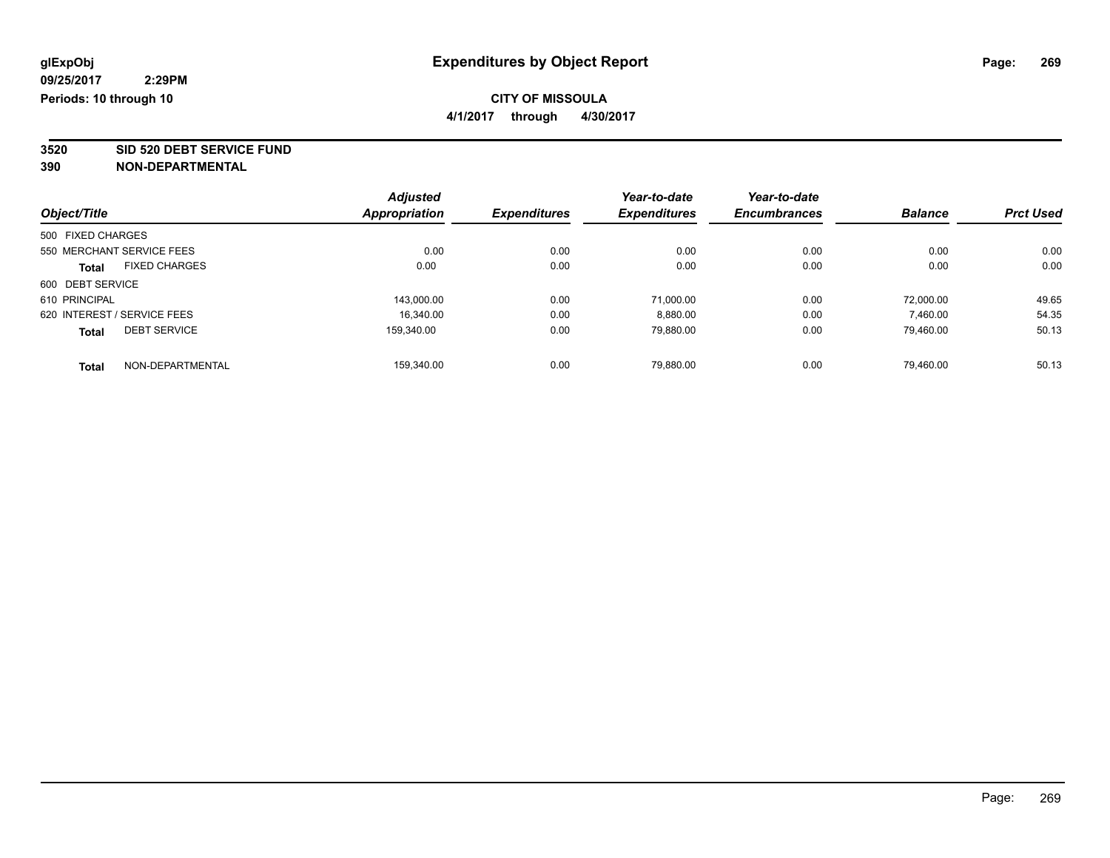**4/1/2017 through 4/30/2017**

**3520 SID 520 DEBT SERVICE FUND**

|                   |                             | <b>Adjusted</b>      |                     | Year-to-date        | Year-to-date        |                |                  |
|-------------------|-----------------------------|----------------------|---------------------|---------------------|---------------------|----------------|------------------|
| Object/Title      |                             | <b>Appropriation</b> | <b>Expenditures</b> | <b>Expenditures</b> | <b>Encumbrances</b> | <b>Balance</b> | <b>Prct Used</b> |
| 500 FIXED CHARGES |                             |                      |                     |                     |                     |                |                  |
|                   | 550 MERCHANT SERVICE FEES   | 0.00                 | 0.00                | 0.00                | 0.00                | 0.00           | 0.00             |
| <b>Total</b>      | <b>FIXED CHARGES</b>        | 0.00                 | 0.00                | 0.00                | 0.00                | 0.00           | 0.00             |
| 600 DEBT SERVICE  |                             |                      |                     |                     |                     |                |                  |
| 610 PRINCIPAL     |                             | 143.000.00           | 0.00                | 71.000.00           | 0.00                | 72.000.00      | 49.65            |
|                   | 620 INTEREST / SERVICE FEES | 16.340.00            | 0.00                | 8,880.00            | 0.00                | 7,460.00       | 54.35            |
| <b>Total</b>      | <b>DEBT SERVICE</b>         | 159.340.00           | 0.00                | 79.880.00           | 0.00                | 79.460.00      | 50.13            |
| <b>Total</b>      | NON-DEPARTMENTAL            | 159,340.00           | 0.00                | 79.880.00           | 0.00                | 79.460.00      | 50.13            |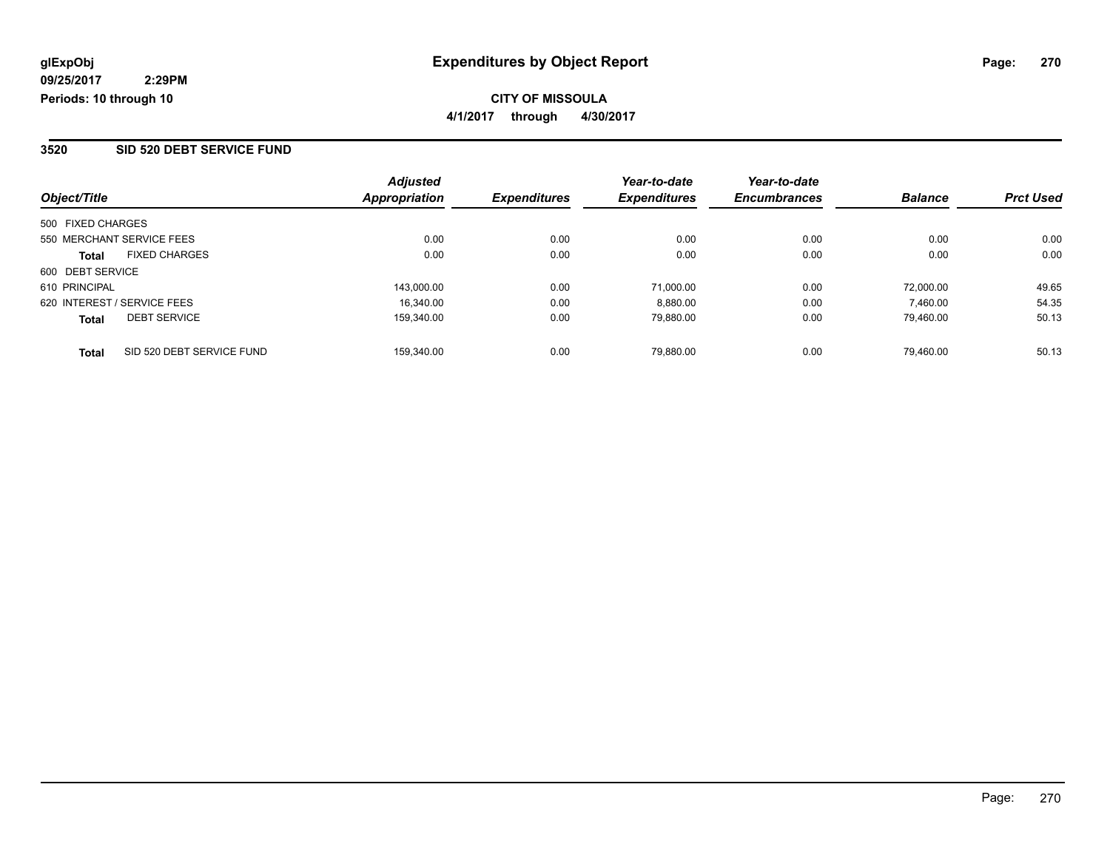### **CITY OF MISSOULA 4/1/2017 through 4/30/2017**

### **3520 SID 520 DEBT SERVICE FUND**

| Object/Title                              | <b>Adjusted</b><br>Appropriation | <b>Expenditures</b> | Year-to-date<br><b>Expenditures</b> | Year-to-date<br><b>Encumbrances</b> | <b>Balance</b> | <b>Prct Used</b> |
|-------------------------------------------|----------------------------------|---------------------|-------------------------------------|-------------------------------------|----------------|------------------|
| 500 FIXED CHARGES                         |                                  |                     |                                     |                                     |                |                  |
| 550 MERCHANT SERVICE FEES                 | 0.00                             | 0.00                | 0.00                                | 0.00                                | 0.00           | 0.00             |
| <b>FIXED CHARGES</b><br><b>Total</b>      | 0.00                             | 0.00                | 0.00                                | 0.00                                | 0.00           | 0.00             |
| 600 DEBT SERVICE                          |                                  |                     |                                     |                                     |                |                  |
| 610 PRINCIPAL                             | 143.000.00                       | 0.00                | 71,000.00                           | 0.00                                | 72.000.00      | 49.65            |
| 620 INTEREST / SERVICE FEES               | 16.340.00                        | 0.00                | 8,880.00                            | 0.00                                | 7,460.00       | 54.35            |
| <b>DEBT SERVICE</b><br><b>Total</b>       | 159.340.00                       | 0.00                | 79,880.00                           | 0.00                                | 79.460.00      | 50.13            |
| SID 520 DEBT SERVICE FUND<br><b>Total</b> | 159.340.00                       | 0.00                | 79,880.00                           | 0.00                                | 79.460.00      | 50.13            |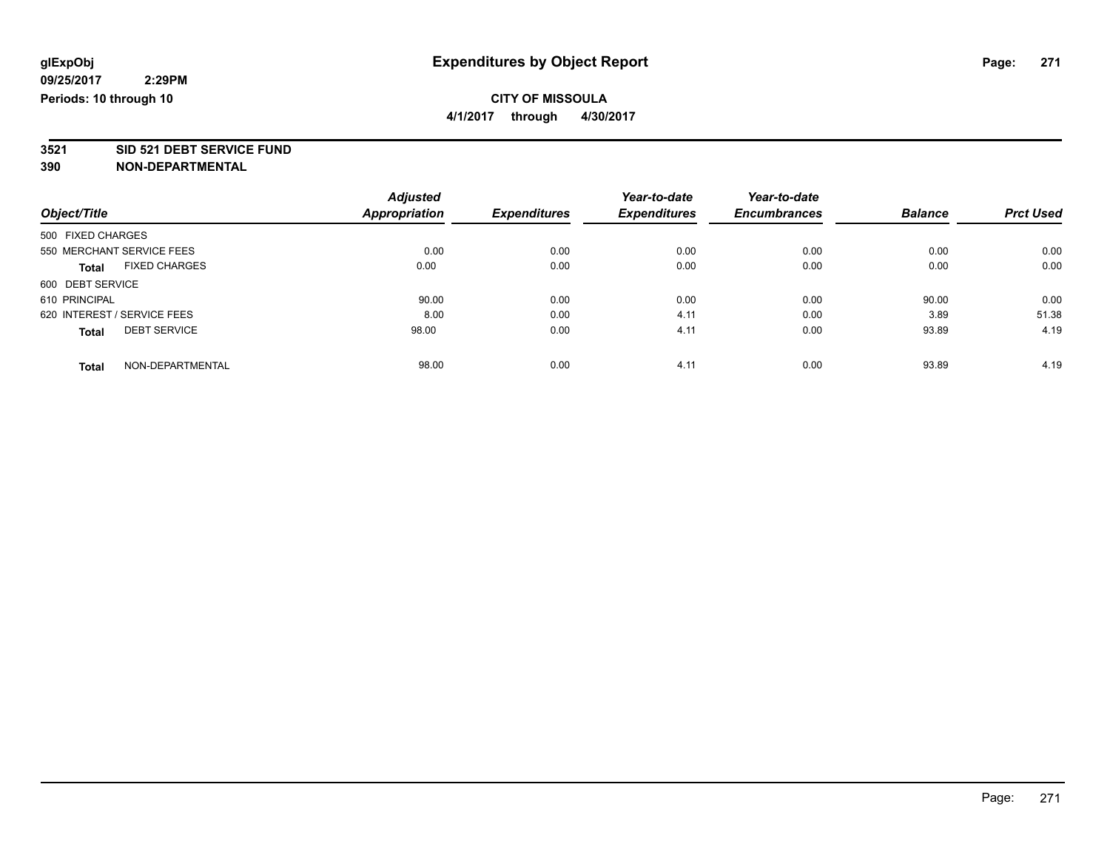**4/1/2017 through 4/30/2017**

# **3521 SID 521 DEBT SERVICE FUND**

|                                      | <b>Adjusted</b>      |                     | Year-to-date        | Year-to-date        |                |                  |
|--------------------------------------|----------------------|---------------------|---------------------|---------------------|----------------|------------------|
| Object/Title                         | <b>Appropriation</b> | <b>Expenditures</b> | <b>Expenditures</b> | <b>Encumbrances</b> | <b>Balance</b> | <b>Prct Used</b> |
| 500 FIXED CHARGES                    |                      |                     |                     |                     |                |                  |
| 550 MERCHANT SERVICE FEES            | 0.00                 | 0.00                | 0.00                | 0.00                | 0.00           | 0.00             |
| <b>FIXED CHARGES</b><br><b>Total</b> | 0.00                 | 0.00                | 0.00                | 0.00                | 0.00           | 0.00             |
| 600 DEBT SERVICE                     |                      |                     |                     |                     |                |                  |
| 610 PRINCIPAL                        | 90.00                | 0.00                | 0.00                | 0.00                | 90.00          | 0.00             |
| 620 INTEREST / SERVICE FEES          | 8.00                 | 0.00                | 4.11                | 0.00                | 3.89           | 51.38            |
| <b>DEBT SERVICE</b><br><b>Total</b>  | 98.00                | 0.00                | 4.11                | 0.00                | 93.89          | 4.19             |
| NON-DEPARTMENTAL<br><b>Total</b>     | 98.00                | 0.00                | 4.11                | 0.00                | 93.89          | 4.19             |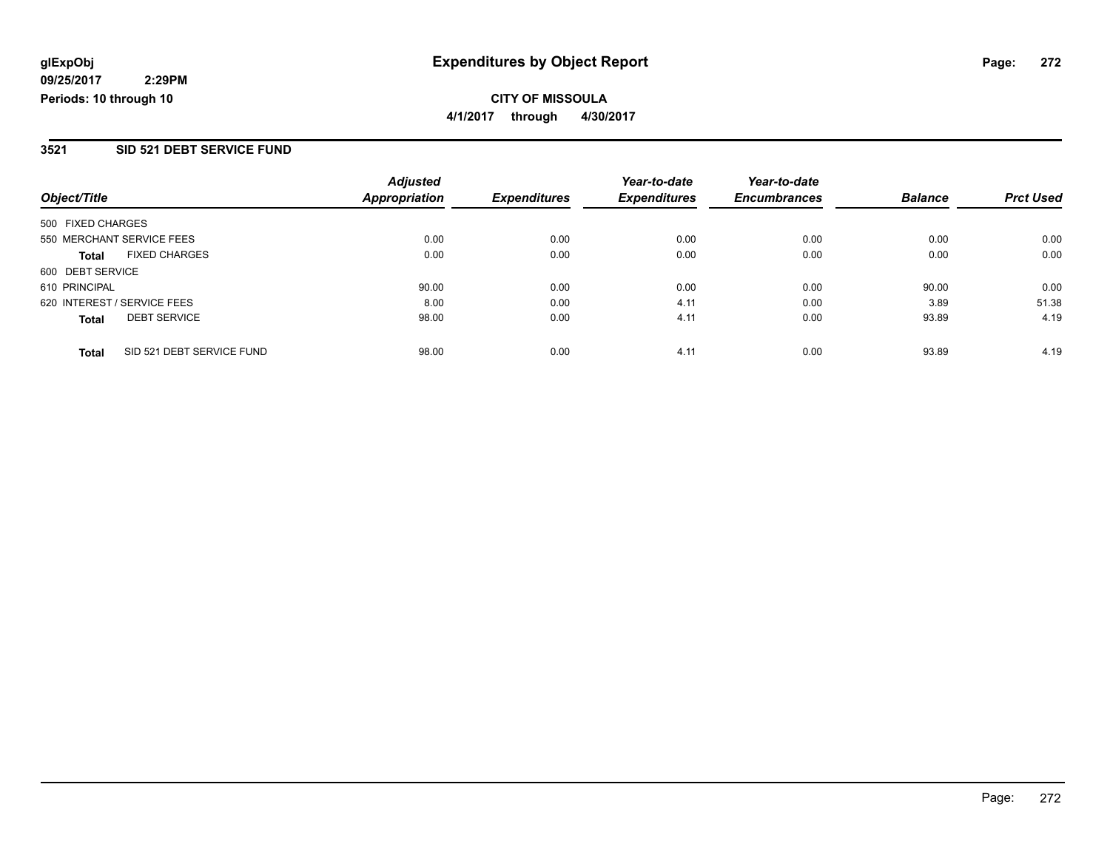**CITY OF MISSOULA 4/1/2017 through 4/30/2017**

### **3521 SID 521 DEBT SERVICE FUND**

| Object/Title                |                           | <b>Adjusted</b><br><b>Appropriation</b> | <b>Expenditures</b> | Year-to-date<br><b>Expenditures</b> | Year-to-date<br><b>Encumbrances</b> | <b>Balance</b> | <b>Prct Used</b> |
|-----------------------------|---------------------------|-----------------------------------------|---------------------|-------------------------------------|-------------------------------------|----------------|------------------|
| 500 FIXED CHARGES           |                           |                                         |                     |                                     |                                     |                |                  |
|                             |                           |                                         |                     |                                     |                                     |                |                  |
| 550 MERCHANT SERVICE FEES   |                           | 0.00                                    | 0.00                | 0.00                                | 0.00                                | 0.00           | 0.00             |
| <b>Total</b>                | <b>FIXED CHARGES</b>      | 0.00                                    | 0.00                | 0.00                                | 0.00                                | 0.00           | 0.00             |
| 600 DEBT SERVICE            |                           |                                         |                     |                                     |                                     |                |                  |
| 610 PRINCIPAL               |                           | 90.00                                   | 0.00                | 0.00                                | 0.00                                | 90.00          | 0.00             |
| 620 INTEREST / SERVICE FEES |                           | 8.00                                    | 0.00                | 4.11                                | 0.00                                | 3.89           | 51.38            |
| <b>Total</b>                | <b>DEBT SERVICE</b>       | 98.00                                   | 0.00                | 4.11                                | 0.00                                | 93.89          | 4.19             |
| <b>Total</b>                | SID 521 DEBT SERVICE FUND | 98.00                                   | 0.00                | 4.11                                | 0.00                                | 93.89          | 4.19             |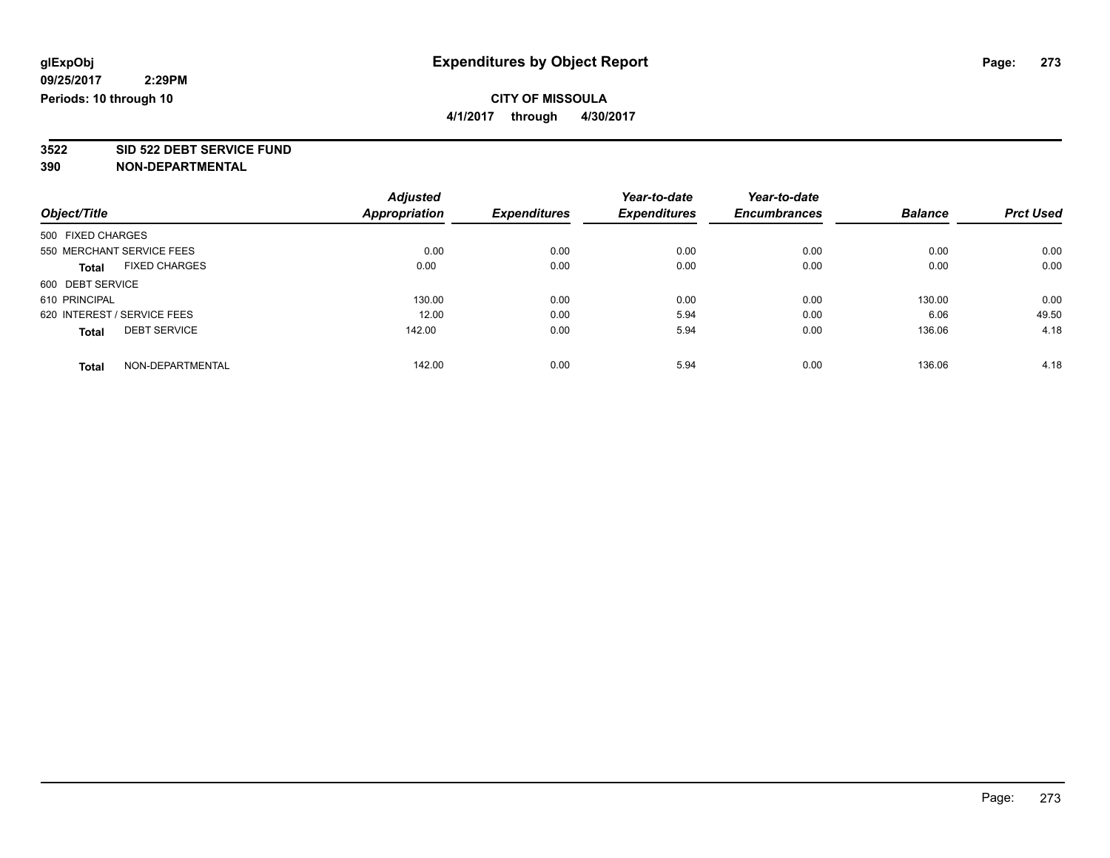**4/1/2017 through 4/30/2017**

# **3522 SID 522 DEBT SERVICE FUND**

|                             |                      | <b>Adjusted</b> |                     | Year-to-date        | Year-to-date        |                |                  |
|-----------------------------|----------------------|-----------------|---------------------|---------------------|---------------------|----------------|------------------|
| Object/Title                |                      | Appropriation   | <b>Expenditures</b> | <b>Expenditures</b> | <b>Encumbrances</b> | <b>Balance</b> | <b>Prct Used</b> |
| 500 FIXED CHARGES           |                      |                 |                     |                     |                     |                |                  |
| 550 MERCHANT SERVICE FEES   |                      | 0.00            | 0.00                | 0.00                | 0.00                | 0.00           | 0.00             |
| <b>Total</b>                | <b>FIXED CHARGES</b> | 0.00            | 0.00                | 0.00                | 0.00                | 0.00           | 0.00             |
| 600 DEBT SERVICE            |                      |                 |                     |                     |                     |                |                  |
| 610 PRINCIPAL               |                      | 130.00          | 0.00                | 0.00                | 0.00                | 130.00         | 0.00             |
| 620 INTEREST / SERVICE FEES |                      | 12.00           | 0.00                | 5.94                | 0.00                | 6.06           | 49.50            |
| <b>Total</b>                | <b>DEBT SERVICE</b>  | 142.00          | 0.00                | 5.94                | 0.00                | 136.06         | 4.18             |
| <b>Total</b>                | NON-DEPARTMENTAL     | 142.00          | 0.00                | 5.94                | 0.00                | 136.06         | 4.18             |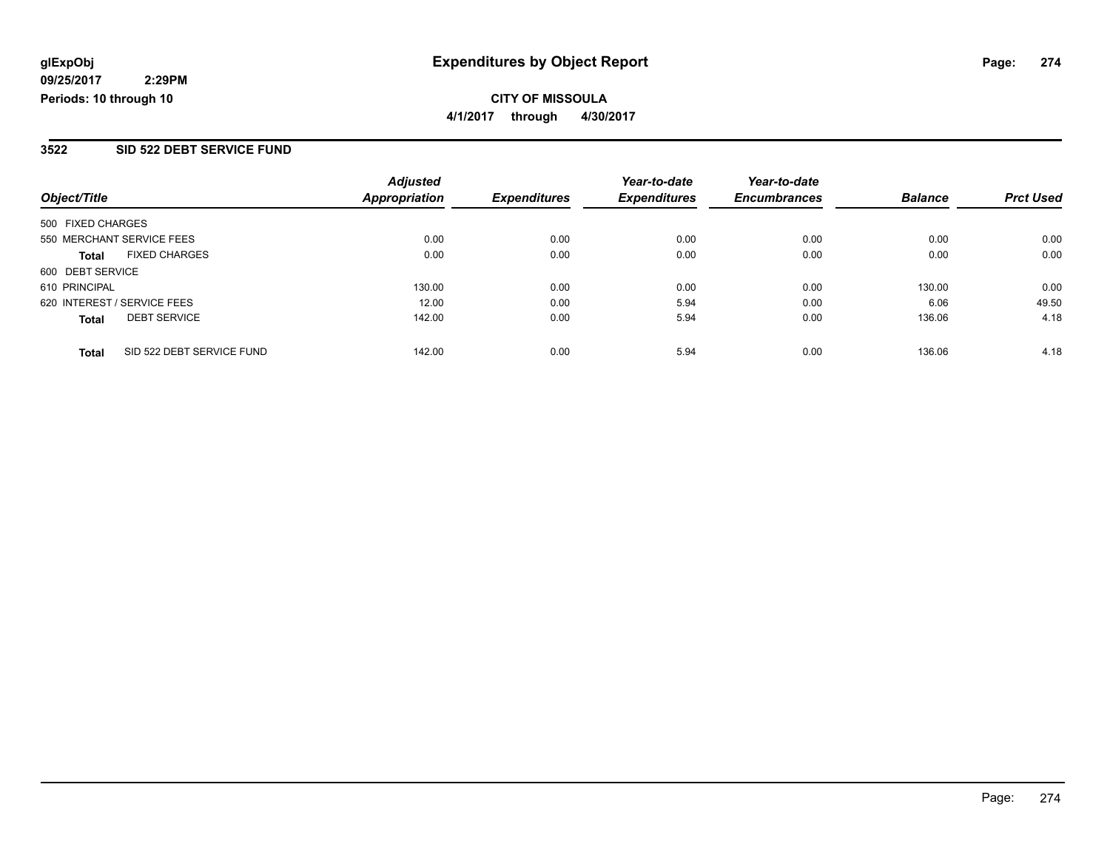### **CITY OF MISSOULA 4/1/2017 through 4/30/2017**

### **3522 SID 522 DEBT SERVICE FUND**

|                                           | <b>Adjusted</b>      |                     | Year-to-date        | Year-to-date        |                |                  |
|-------------------------------------------|----------------------|---------------------|---------------------|---------------------|----------------|------------------|
| Object/Title                              | <b>Appropriation</b> | <b>Expenditures</b> | <b>Expenditures</b> | <b>Encumbrances</b> | <b>Balance</b> | <b>Prct Used</b> |
| 500 FIXED CHARGES                         |                      |                     |                     |                     |                |                  |
| 550 MERCHANT SERVICE FEES                 | 0.00                 | 0.00                | 0.00                | 0.00                | 0.00           | 0.00             |
| <b>FIXED CHARGES</b><br><b>Total</b>      | 0.00                 | 0.00                | 0.00                | 0.00                | 0.00           | 0.00             |
| 600 DEBT SERVICE                          |                      |                     |                     |                     |                |                  |
| 610 PRINCIPAL                             | 130.00               | 0.00                | 0.00                | 0.00                | 130.00         | 0.00             |
| 620 INTEREST / SERVICE FEES               | 12.00                | 0.00                | 5.94                | 0.00                | 6.06           | 49.50            |
| <b>DEBT SERVICE</b><br><b>Total</b>       | 142.00               | 0.00                | 5.94                | 0.00                | 136.06         | 4.18             |
| SID 522 DEBT SERVICE FUND<br><b>Total</b> | 142.00               | 0.00                | 5.94                | 0.00                | 136.06         | 4.18             |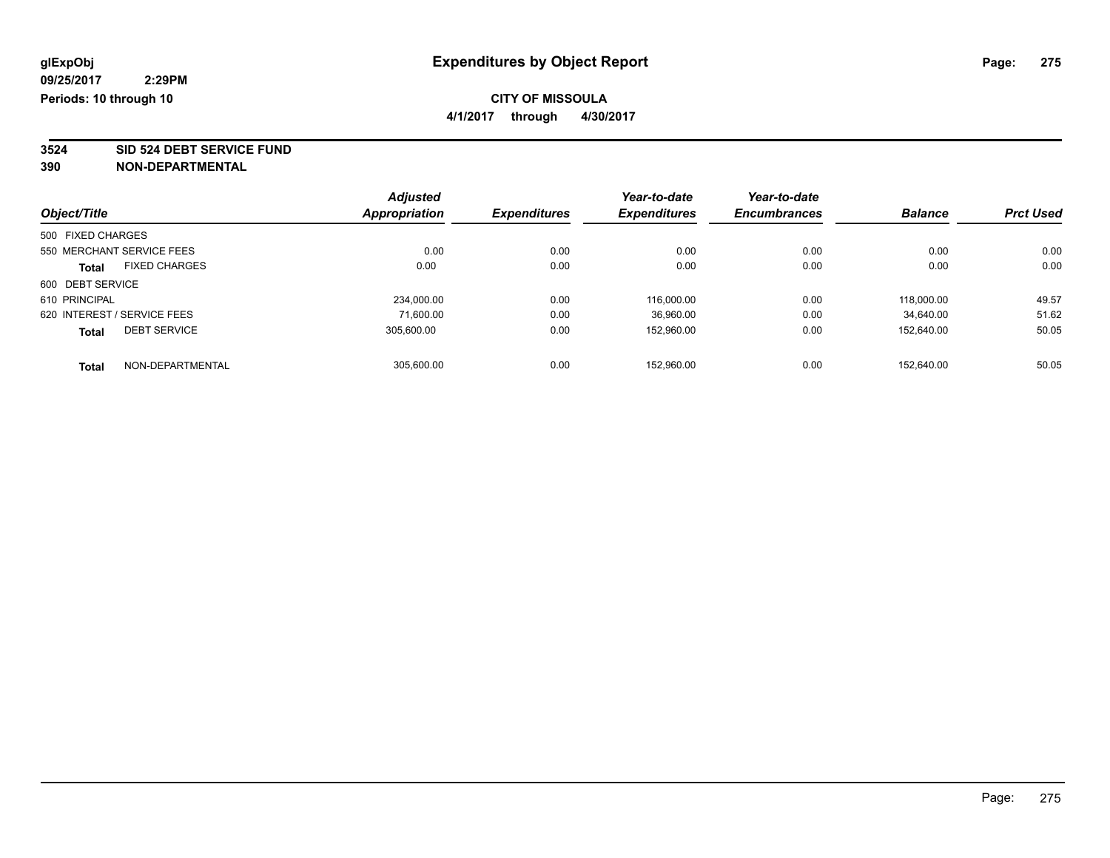**4/1/2017 through 4/30/2017**

**3524 SID 524 DEBT SERVICE FUND**

|                                      | <b>Adjusted</b> |                     | Year-to-date        | Year-to-date        |                |                  |
|--------------------------------------|-----------------|---------------------|---------------------|---------------------|----------------|------------------|
| Object/Title                         | Appropriation   | <b>Expenditures</b> | <b>Expenditures</b> | <b>Encumbrances</b> | <b>Balance</b> | <b>Prct Used</b> |
| 500 FIXED CHARGES                    |                 |                     |                     |                     |                |                  |
| 550 MERCHANT SERVICE FEES            | 0.00            | 0.00                | 0.00                | 0.00                | 0.00           | 0.00             |
| <b>FIXED CHARGES</b><br><b>Total</b> | 0.00            | 0.00                | 0.00                | 0.00                | 0.00           | 0.00             |
| 600 DEBT SERVICE                     |                 |                     |                     |                     |                |                  |
| 610 PRINCIPAL                        | 234,000.00      | 0.00                | 116,000.00          | 0.00                | 118,000.00     | 49.57            |
| 620 INTEREST / SERVICE FEES          | 71.600.00       | 0.00                | 36,960.00           | 0.00                | 34.640.00      | 51.62            |
| <b>DEBT SERVICE</b><br><b>Total</b>  | 305.600.00      | 0.00                | 152,960.00          | 0.00                | 152.640.00     | 50.05            |
| NON-DEPARTMENTAL<br><b>Total</b>     | 305.600.00      | 0.00                | 152.960.00          | 0.00                | 152.640.00     | 50.05            |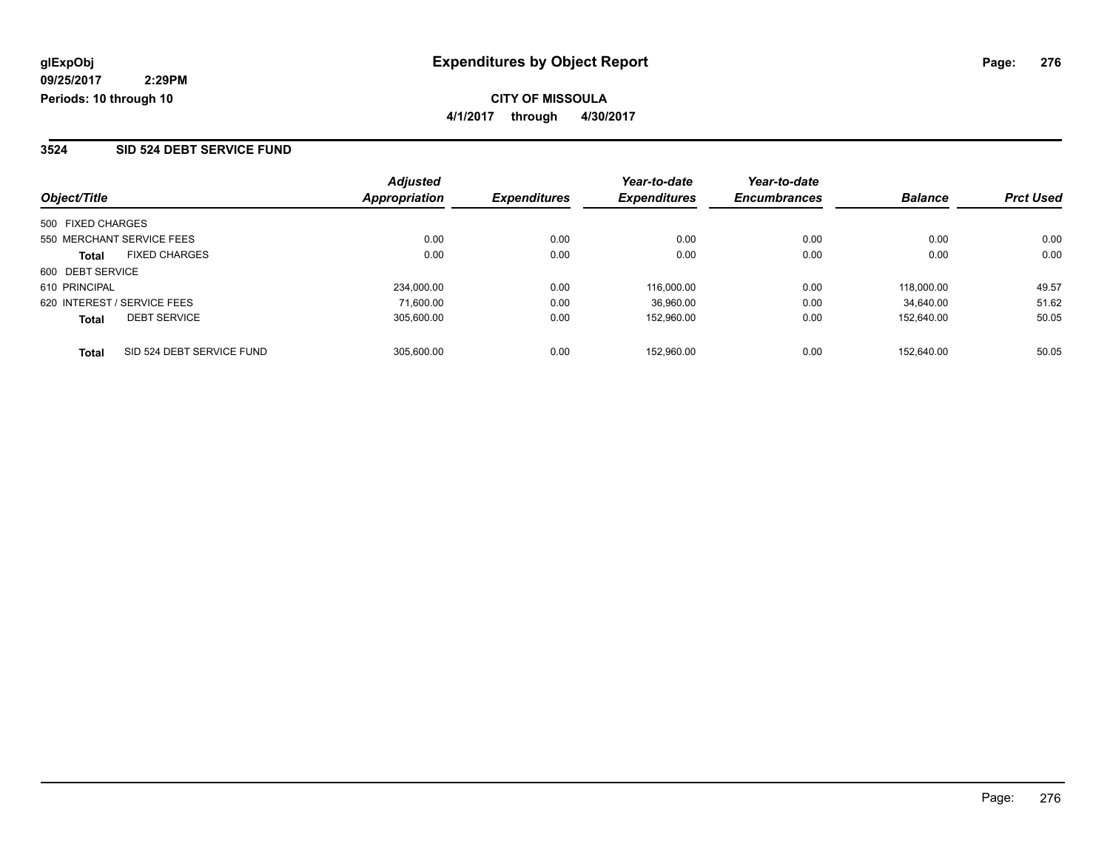### **CITY OF MISSOULA 4/1/2017 through 4/30/2017**

### **3524 SID 524 DEBT SERVICE FUND**

|                             |                           | <b>Adjusted</b>      |                     | Year-to-date        | Year-to-date        | <b>Balance</b> | <b>Prct Used</b> |
|-----------------------------|---------------------------|----------------------|---------------------|---------------------|---------------------|----------------|------------------|
| Object/Title                |                           | <b>Appropriation</b> | <b>Expenditures</b> | <b>Expenditures</b> | <b>Encumbrances</b> |                |                  |
| 500 FIXED CHARGES           |                           |                      |                     |                     |                     |                |                  |
| 550 MERCHANT SERVICE FEES   |                           | 0.00                 | 0.00                | 0.00                | 0.00                | 0.00           | 0.00             |
| <b>Total</b>                | <b>FIXED CHARGES</b>      | 0.00                 | 0.00                | 0.00                | 0.00                | 0.00           | 0.00             |
| 600 DEBT SERVICE            |                           |                      |                     |                     |                     |                |                  |
| 610 PRINCIPAL               |                           | 234.000.00           | 0.00                | 116.000.00          | 0.00                | 118.000.00     | 49.57            |
| 620 INTEREST / SERVICE FEES |                           | 71.600.00            | 0.00                | 36,960.00           | 0.00                | 34.640.00      | 51.62            |
| <b>Total</b>                | <b>DEBT SERVICE</b>       | 305.600.00           | 0.00                | 152.960.00          | 0.00                | 152.640.00     | 50.05            |
| <b>Total</b>                | SID 524 DEBT SERVICE FUND | 305.600.00           | 0.00                | 152.960.00          | 0.00                | 152.640.00     | 50.05            |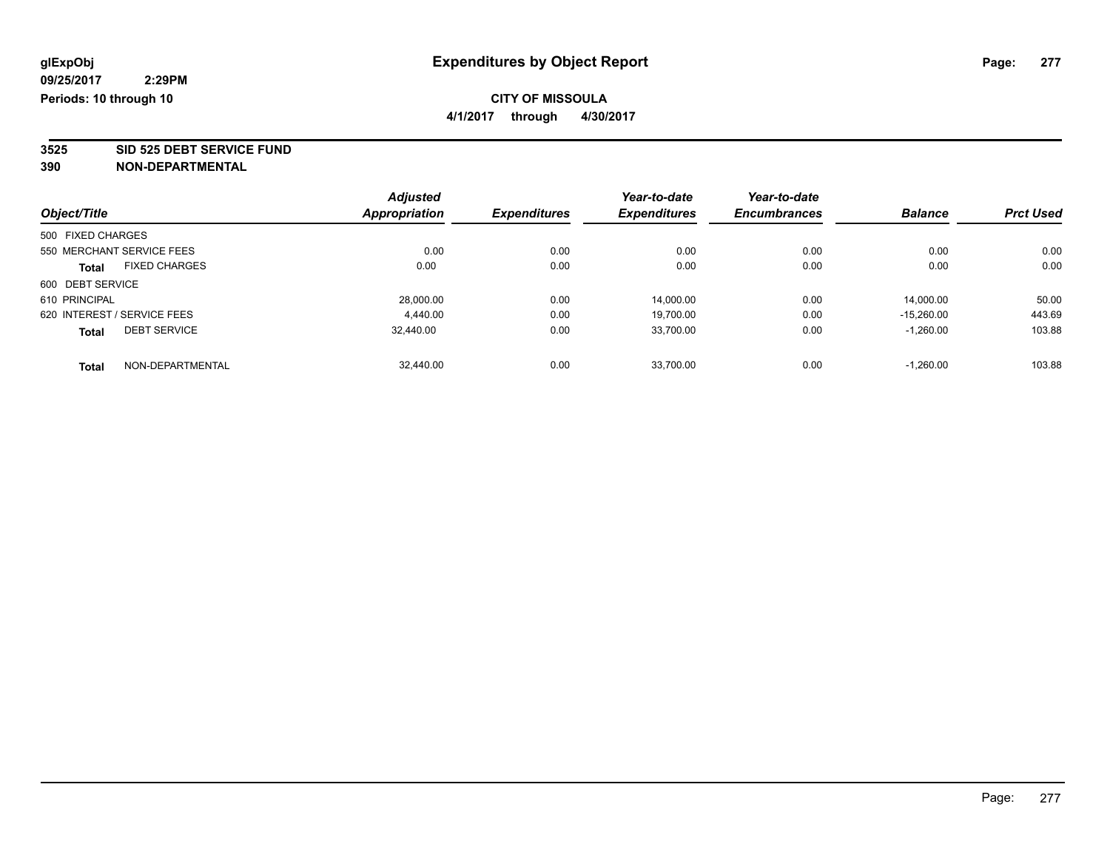**4/1/2017 through 4/30/2017**

**3525 SID 525 DEBT SERVICE FUND**

|                   |                             | <b>Adjusted</b>      |                     | Year-to-date        | Year-to-date        |                |                  |
|-------------------|-----------------------------|----------------------|---------------------|---------------------|---------------------|----------------|------------------|
| Object/Title      |                             | <b>Appropriation</b> | <b>Expenditures</b> | <b>Expenditures</b> | <b>Encumbrances</b> | <b>Balance</b> | <b>Prct Used</b> |
| 500 FIXED CHARGES |                             |                      |                     |                     |                     |                |                  |
|                   | 550 MERCHANT SERVICE FEES   | 0.00                 | 0.00                | 0.00                | 0.00                | 0.00           | 0.00             |
| Total             | <b>FIXED CHARGES</b>        | 0.00                 | 0.00                | 0.00                | 0.00                | 0.00           | 0.00             |
| 600 DEBT SERVICE  |                             |                      |                     |                     |                     |                |                  |
| 610 PRINCIPAL     |                             | 28.000.00            | 0.00                | 14,000.00           | 0.00                | 14.000.00      | 50.00            |
|                   | 620 INTEREST / SERVICE FEES | 4.440.00             | 0.00                | 19.700.00           | 0.00                | $-15.260.00$   | 443.69           |
| <b>Total</b>      | <b>DEBT SERVICE</b>         | 32.440.00            | 0.00                | 33.700.00           | 0.00                | $-1,260.00$    | 103.88           |
| <b>Total</b>      | NON-DEPARTMENTAL            | 32.440.00            | 0.00                | 33.700.00           | 0.00                | $-1.260.00$    | 103.88           |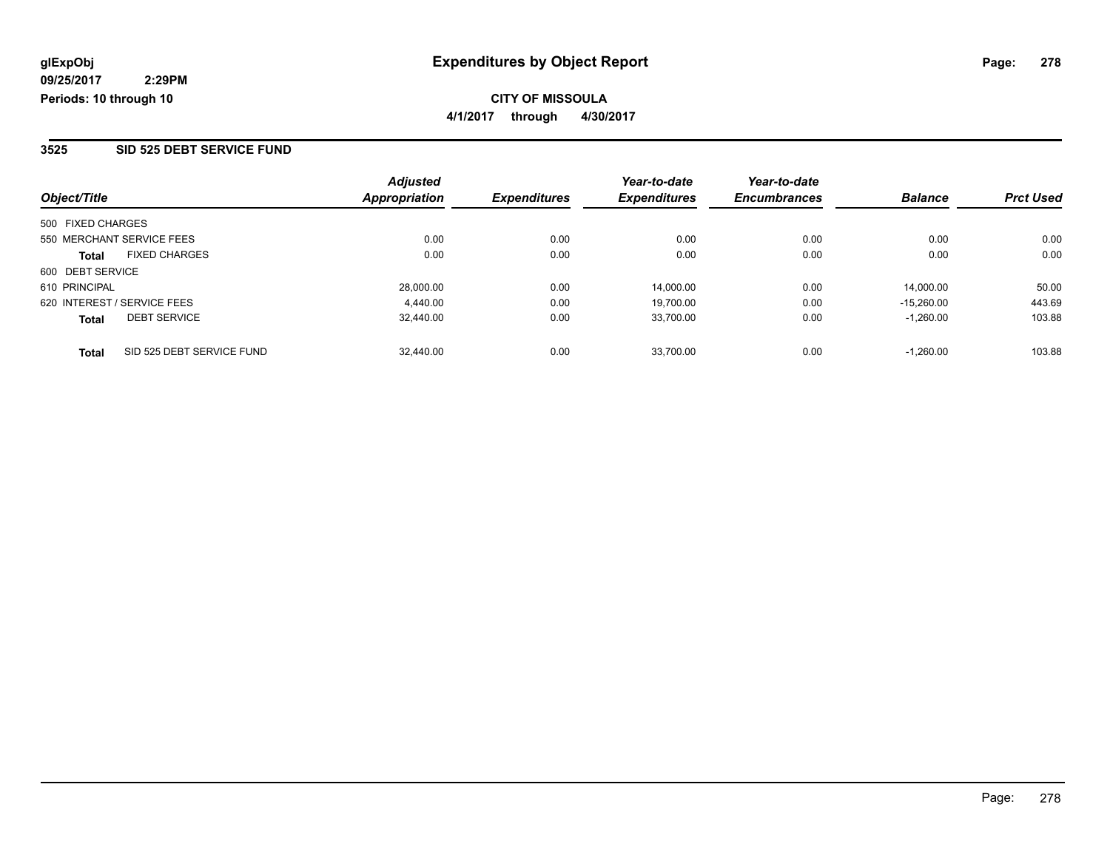**CITY OF MISSOULA 4/1/2017 through 4/30/2017**

### **3525 SID 525 DEBT SERVICE FUND**

| Object/Title                              | <b>Adjusted</b><br>Appropriation | <b>Expenditures</b> | Year-to-date<br><b>Expenditures</b> | Year-to-date<br><b>Encumbrances</b> | <b>Balance</b> | <b>Prct Used</b> |
|-------------------------------------------|----------------------------------|---------------------|-------------------------------------|-------------------------------------|----------------|------------------|
| 500 FIXED CHARGES                         |                                  |                     |                                     |                                     |                |                  |
| 550 MERCHANT SERVICE FEES                 | 0.00                             | 0.00                | 0.00                                | 0.00                                | 0.00           | 0.00             |
| <b>FIXED CHARGES</b><br><b>Total</b>      | 0.00                             | 0.00                | 0.00                                | 0.00                                | 0.00           | 0.00             |
| 600 DEBT SERVICE                          |                                  |                     |                                     |                                     |                |                  |
| 610 PRINCIPAL                             | 28,000.00                        | 0.00                | 14.000.00                           | 0.00                                | 14.000.00      | 50.00            |
| 620 INTEREST / SERVICE FEES               | 4.440.00                         | 0.00                | 19,700.00                           | 0.00                                | $-15.260.00$   | 443.69           |
| <b>DEBT SERVICE</b><br><b>Total</b>       | 32.440.00                        | 0.00                | 33,700.00                           | 0.00                                | $-1.260.00$    | 103.88           |
| SID 525 DEBT SERVICE FUND<br><b>Total</b> | 32,440.00                        | 0.00                | 33.700.00                           | 0.00                                | $-1.260.00$    | 103.88           |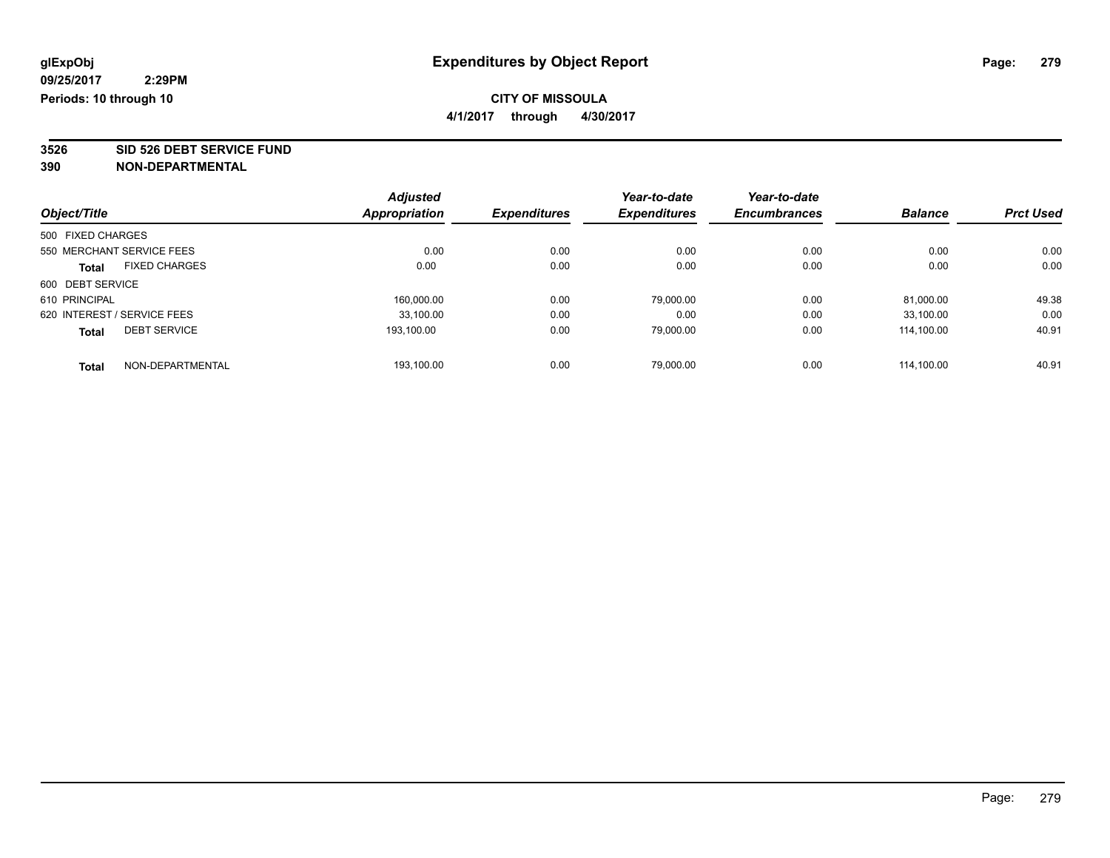**4/1/2017 through 4/30/2017**

**3526 SID 526 DEBT SERVICE FUND**

|                   |                             | <b>Adjusted</b>      |                     | Year-to-date        | Year-to-date        |                |                  |
|-------------------|-----------------------------|----------------------|---------------------|---------------------|---------------------|----------------|------------------|
| Object/Title      |                             | <b>Appropriation</b> | <b>Expenditures</b> | <b>Expenditures</b> | <b>Encumbrances</b> | <b>Balance</b> | <b>Prct Used</b> |
| 500 FIXED CHARGES |                             |                      |                     |                     |                     |                |                  |
|                   | 550 MERCHANT SERVICE FEES   | 0.00                 | 0.00                | 0.00                | 0.00                | 0.00           | 0.00             |
| <b>Total</b>      | <b>FIXED CHARGES</b>        | 0.00                 | 0.00                | 0.00                | 0.00                | 0.00           | 0.00             |
| 600 DEBT SERVICE  |                             |                      |                     |                     |                     |                |                  |
| 610 PRINCIPAL     |                             | 160.000.00           | 0.00                | 79,000.00           | 0.00                | 81,000.00      | 49.38            |
|                   | 620 INTEREST / SERVICE FEES | 33.100.00            | 0.00                | 0.00                | 0.00                | 33.100.00      | 0.00             |
| <b>Total</b>      | <b>DEBT SERVICE</b>         | 193.100.00           | 0.00                | 79.000.00           | 0.00                | 114.100.00     | 40.91            |
| <b>Total</b>      | NON-DEPARTMENTAL            | 193.100.00           | 0.00                | 79.000.00           | 0.00                | 114.100.00     | 40.91            |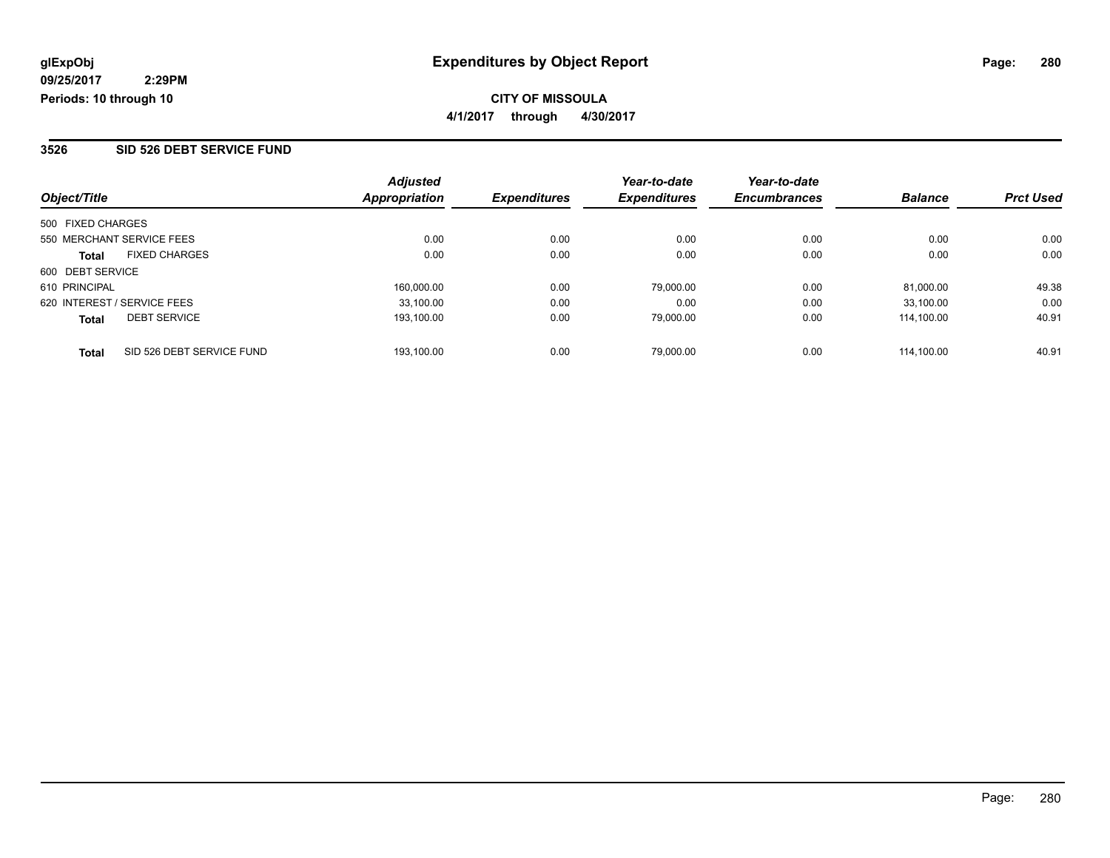**CITY OF MISSOULA 4/1/2017 through 4/30/2017**

#### **3526 SID 526 DEBT SERVICE FUND**

| Object/Title                              | <b>Adjusted</b><br>Appropriation | <b>Expenditures</b> | Year-to-date<br><b>Expenditures</b> | Year-to-date<br><b>Encumbrances</b> | <b>Balance</b> | <b>Prct Used</b> |
|-------------------------------------------|----------------------------------|---------------------|-------------------------------------|-------------------------------------|----------------|------------------|
| 500 FIXED CHARGES                         |                                  |                     |                                     |                                     |                |                  |
| 550 MERCHANT SERVICE FEES                 | 0.00                             | 0.00                | 0.00                                | 0.00                                | 0.00           | 0.00             |
| <b>FIXED CHARGES</b><br><b>Total</b>      | 0.00                             | 0.00                | 0.00                                | 0.00                                | 0.00           | 0.00             |
| 600 DEBT SERVICE                          |                                  |                     |                                     |                                     |                |                  |
| 610 PRINCIPAL                             | 160.000.00                       | 0.00                | 79,000.00                           | 0.00                                | 81.000.00      | 49.38            |
| 620 INTEREST / SERVICE FEES               | 33,100.00                        | 0.00                | 0.00                                | 0.00                                | 33.100.00      | 0.00             |
| <b>DEBT SERVICE</b><br><b>Total</b>       | 193.100.00                       | 0.00                | 79,000.00                           | 0.00                                | 114.100.00     | 40.91            |
| SID 526 DEBT SERVICE FUND<br><b>Total</b> | 193.100.00                       | 0.00                | 79,000.00                           | 0.00                                | 114.100.00     | 40.91            |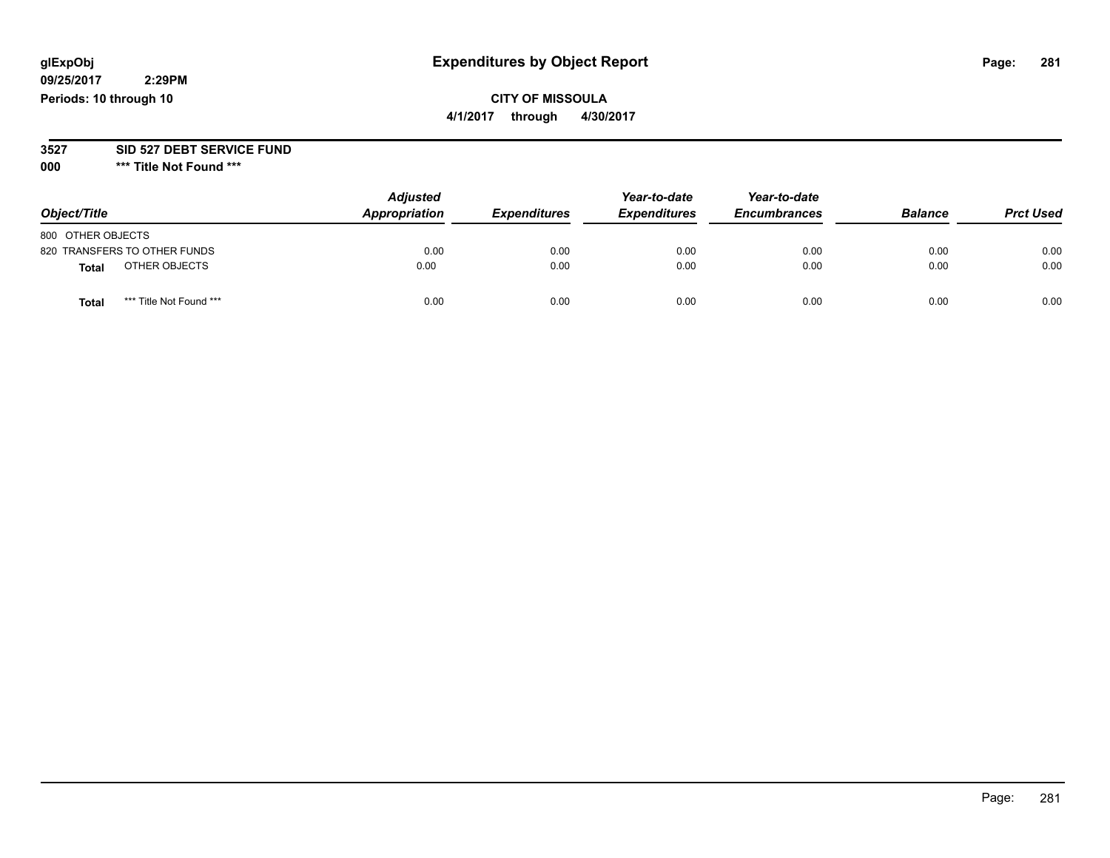## **CITY OF MISSOULA**

**4/1/2017 through 4/30/2017**

#### **3527 SID 527 DEBT SERVICE FUND**

**000 \*\*\* Title Not Found \*\*\***

| Object/Title                            | <b>Adjusted</b><br>Appropriation | <b>Expenditures</b> | Year-to-date<br><b>Expenditures</b> | Year-to-date<br><b>Encumbrances</b> | <b>Balance</b> | <b>Prct Used</b> |
|-----------------------------------------|----------------------------------|---------------------|-------------------------------------|-------------------------------------|----------------|------------------|
| 800 OTHER OBJECTS                       |                                  |                     |                                     |                                     |                |                  |
| 820 TRANSFERS TO OTHER FUNDS            | 0.00                             | 0.00                | 0.00                                | 0.00                                | 0.00           | 0.00             |
| OTHER OBJECTS<br>Total                  | 0.00                             | 0.00                | 0.00                                | 0.00                                | 0.00           | 0.00             |
| *** Title Not Found ***<br><b>Total</b> | 0.00                             | 0.00                | 0.00                                | 0.00                                | 0.00           | 0.00             |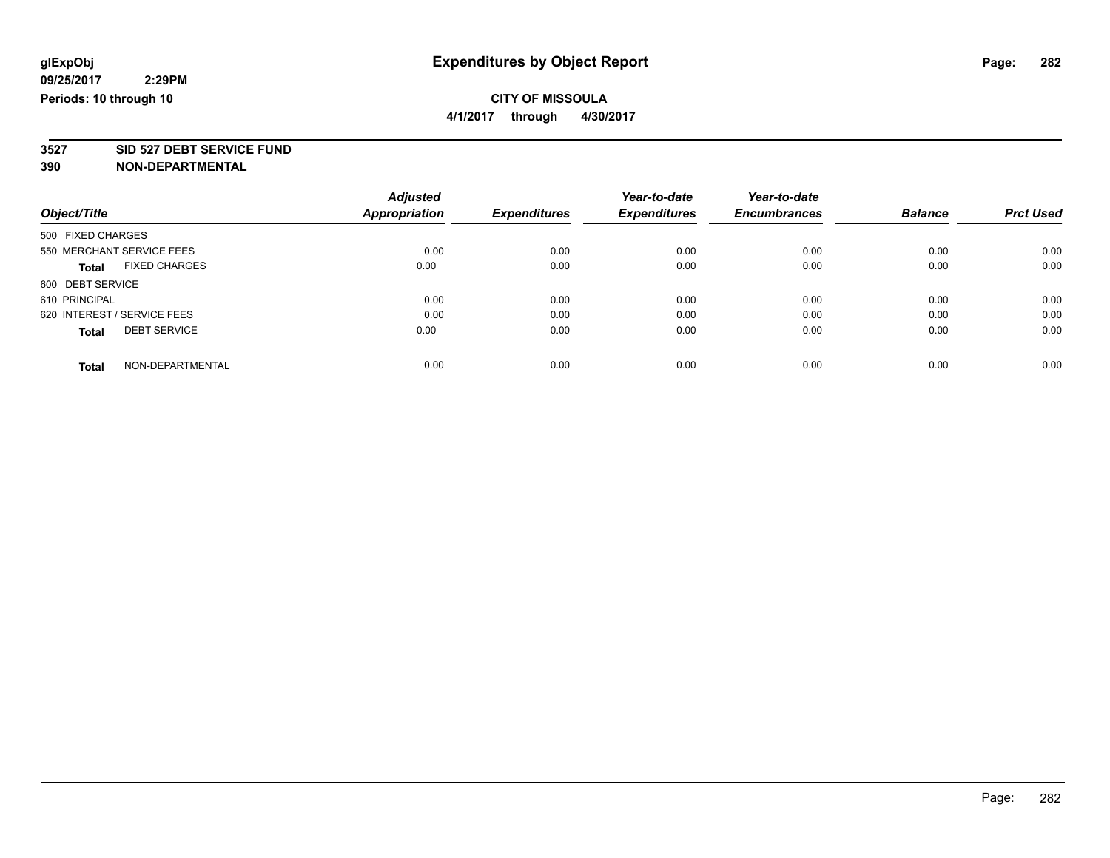**4/1/2017 through 4/30/2017**

**3527 SID 527 DEBT SERVICE FUND**

|                             |                      | <b>Adjusted</b> |                     | Year-to-date        | Year-to-date        |                |                  |
|-----------------------------|----------------------|-----------------|---------------------|---------------------|---------------------|----------------|------------------|
| Object/Title                |                      | Appropriation   | <b>Expenditures</b> | <b>Expenditures</b> | <b>Encumbrances</b> | <b>Balance</b> | <b>Prct Used</b> |
| 500 FIXED CHARGES           |                      |                 |                     |                     |                     |                |                  |
| 550 MERCHANT SERVICE FEES   |                      | 0.00            | 0.00                | 0.00                | 0.00                | 0.00           | 0.00             |
| <b>Total</b>                | <b>FIXED CHARGES</b> | 0.00            | 0.00                | 0.00                | 0.00                | 0.00           | 0.00             |
| 600 DEBT SERVICE            |                      |                 |                     |                     |                     |                |                  |
| 610 PRINCIPAL               |                      | 0.00            | 0.00                | 0.00                | 0.00                | 0.00           | 0.00             |
| 620 INTEREST / SERVICE FEES |                      | 0.00            | 0.00                | 0.00                | 0.00                | 0.00           | 0.00             |
| <b>Total</b>                | <b>DEBT SERVICE</b>  | 0.00            | 0.00                | 0.00                | 0.00                | 0.00           | 0.00             |
| <b>Total</b>                | NON-DEPARTMENTAL     | 0.00            | 0.00                | 0.00                | 0.00                | 0.00           | 0.00             |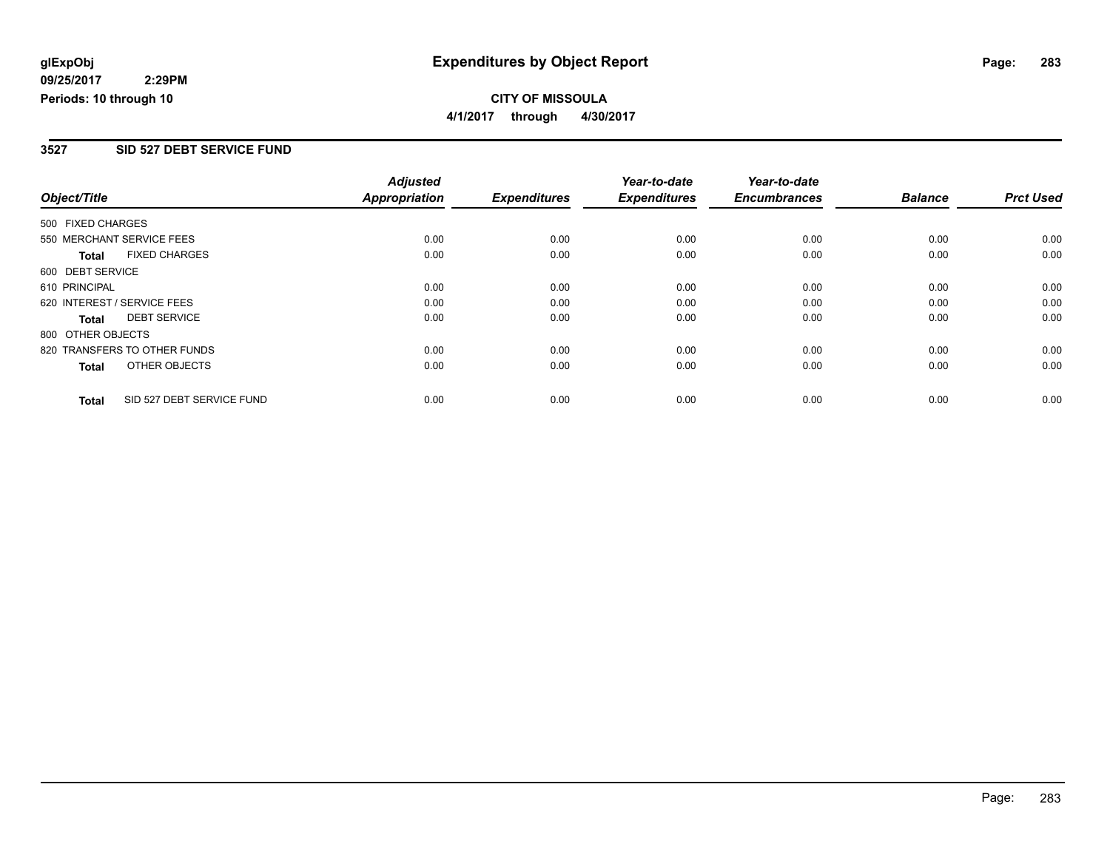### **CITY OF MISSOULA 4/1/2017 through 4/30/2017**

### **3527 SID 527 DEBT SERVICE FUND**

|                             |                              | <b>Adjusted</b>      |                     | Year-to-date        | Year-to-date        |                |                  |
|-----------------------------|------------------------------|----------------------|---------------------|---------------------|---------------------|----------------|------------------|
| Object/Title                |                              | <b>Appropriation</b> | <b>Expenditures</b> | <b>Expenditures</b> | <b>Encumbrances</b> | <b>Balance</b> | <b>Prct Used</b> |
| 500 FIXED CHARGES           |                              |                      |                     |                     |                     |                |                  |
|                             | 550 MERCHANT SERVICE FEES    | 0.00                 | 0.00                | 0.00                | 0.00                | 0.00           | 0.00             |
| <b>Total</b>                | <b>FIXED CHARGES</b>         | 0.00                 | 0.00                | 0.00                | 0.00                | 0.00           | 0.00             |
| 600 DEBT SERVICE            |                              |                      |                     |                     |                     |                |                  |
| 610 PRINCIPAL               |                              | 0.00                 | 0.00                | 0.00                | 0.00                | 0.00           | 0.00             |
| 620 INTEREST / SERVICE FEES |                              | 0.00                 | 0.00                | 0.00                | 0.00                | 0.00           | 0.00             |
| Total                       | <b>DEBT SERVICE</b>          | 0.00                 | 0.00                | 0.00                | 0.00                | 0.00           | 0.00             |
| 800 OTHER OBJECTS           |                              |                      |                     |                     |                     |                |                  |
|                             | 820 TRANSFERS TO OTHER FUNDS | 0.00                 | 0.00                | 0.00                | 0.00                | 0.00           | 0.00             |
| Total                       | OTHER OBJECTS                | 0.00                 | 0.00                | 0.00                | 0.00                | 0.00           | 0.00             |
| <b>Total</b>                | SID 527 DEBT SERVICE FUND    | 0.00                 | 0.00                | 0.00                | 0.00                | 0.00           | 0.00             |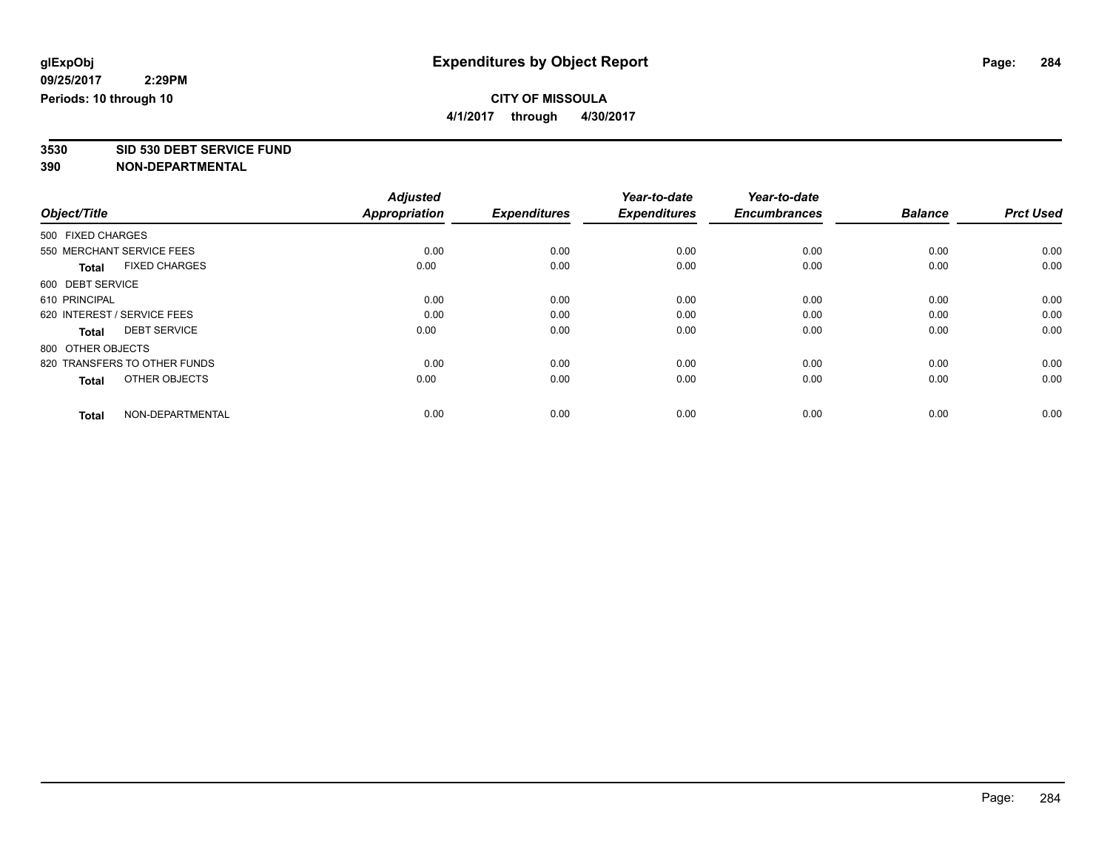**4/1/2017 through 4/30/2017**

**3530 SID 530 DEBT SERVICE FUND**

|                                      | <b>Adjusted</b>      |                     | Year-to-date        | Year-to-date        |                |                  |
|--------------------------------------|----------------------|---------------------|---------------------|---------------------|----------------|------------------|
| Object/Title                         | <b>Appropriation</b> | <b>Expenditures</b> | <b>Expenditures</b> | <b>Encumbrances</b> | <b>Balance</b> | <b>Prct Used</b> |
| 500 FIXED CHARGES                    |                      |                     |                     |                     |                |                  |
| 550 MERCHANT SERVICE FEES            | 0.00                 | 0.00                | 0.00                | 0.00                | 0.00           | 0.00             |
| <b>FIXED CHARGES</b><br><b>Total</b> | 0.00                 | 0.00                | 0.00                | 0.00                | 0.00           | 0.00             |
| 600 DEBT SERVICE                     |                      |                     |                     |                     |                |                  |
| 610 PRINCIPAL                        | 0.00                 | 0.00                | 0.00                | 0.00                | 0.00           | 0.00             |
| 620 INTEREST / SERVICE FEES          | 0.00                 | 0.00                | 0.00                | 0.00                | 0.00           | 0.00             |
| <b>DEBT SERVICE</b><br><b>Total</b>  | 0.00                 | 0.00                | 0.00                | 0.00                | 0.00           | 0.00             |
| 800 OTHER OBJECTS                    |                      |                     |                     |                     |                |                  |
| 820 TRANSFERS TO OTHER FUNDS         | 0.00                 | 0.00                | 0.00                | 0.00                | 0.00           | 0.00             |
| OTHER OBJECTS<br><b>Total</b>        | 0.00                 | 0.00                | 0.00                | 0.00                | 0.00           | 0.00             |
|                                      |                      |                     |                     |                     |                |                  |
| NON-DEPARTMENTAL<br><b>Total</b>     | 0.00                 | 0.00                | 0.00                | 0.00                | 0.00           | 0.00             |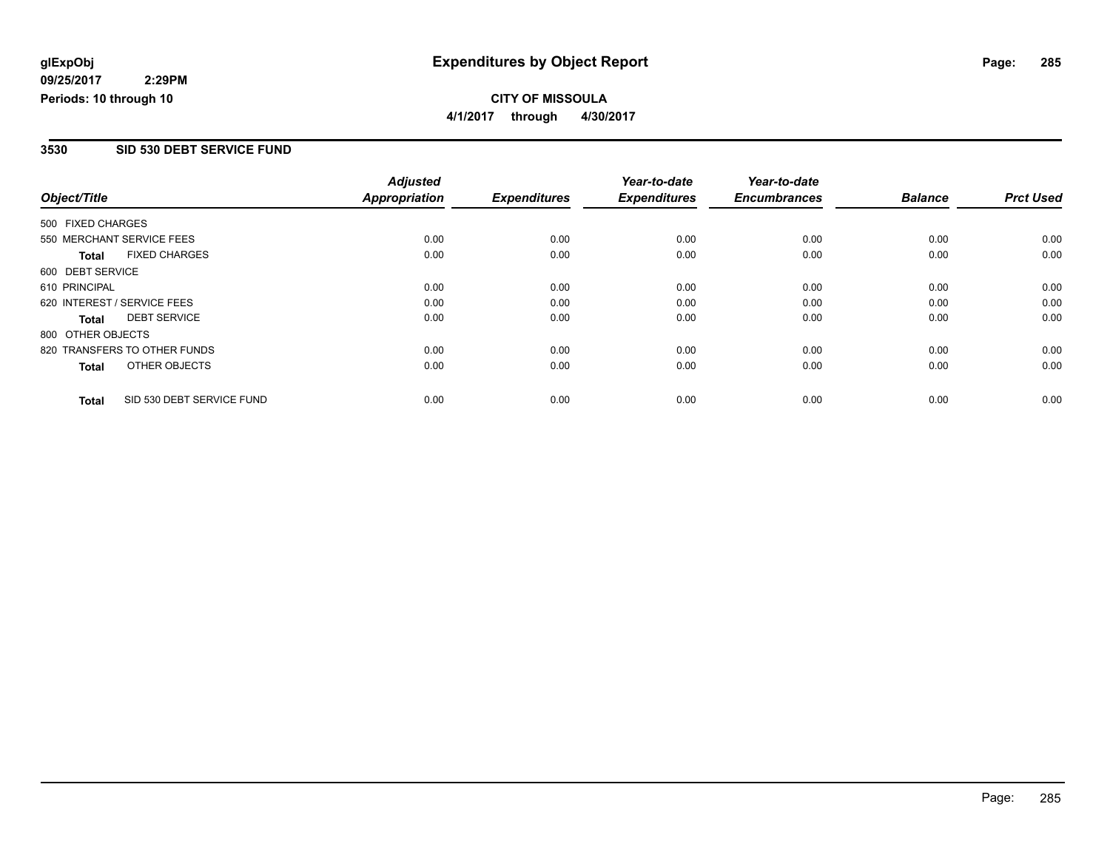### **CITY OF MISSOULA 4/1/2017 through 4/30/2017**

### **3530 SID 530 DEBT SERVICE FUND**

|                   |                              | <b>Adjusted</b>      |                     | Year-to-date        | Year-to-date        |                |                  |
|-------------------|------------------------------|----------------------|---------------------|---------------------|---------------------|----------------|------------------|
| Object/Title      |                              | <b>Appropriation</b> | <b>Expenditures</b> | <b>Expenditures</b> | <b>Encumbrances</b> | <b>Balance</b> | <b>Prct Used</b> |
| 500 FIXED CHARGES |                              |                      |                     |                     |                     |                |                  |
|                   | 550 MERCHANT SERVICE FEES    | 0.00                 | 0.00                | 0.00                | 0.00                | 0.00           | 0.00             |
| <b>Total</b>      | <b>FIXED CHARGES</b>         | 0.00                 | 0.00                | 0.00                | 0.00                | 0.00           | 0.00             |
| 600 DEBT SERVICE  |                              |                      |                     |                     |                     |                |                  |
| 610 PRINCIPAL     |                              | 0.00                 | 0.00                | 0.00                | 0.00                | 0.00           | 0.00             |
|                   | 620 INTEREST / SERVICE FEES  | 0.00                 | 0.00                | 0.00                | 0.00                | 0.00           | 0.00             |
| Total             | <b>DEBT SERVICE</b>          | 0.00                 | 0.00                | 0.00                | 0.00                | 0.00           | 0.00             |
| 800 OTHER OBJECTS |                              |                      |                     |                     |                     |                |                  |
|                   | 820 TRANSFERS TO OTHER FUNDS | 0.00                 | 0.00                | 0.00                | 0.00                | 0.00           | 0.00             |
| <b>Total</b>      | OTHER OBJECTS                | 0.00                 | 0.00                | 0.00                | 0.00                | 0.00           | 0.00             |
| <b>Total</b>      | SID 530 DEBT SERVICE FUND    | 0.00                 | 0.00                | 0.00                | 0.00                | 0.00           | 0.00             |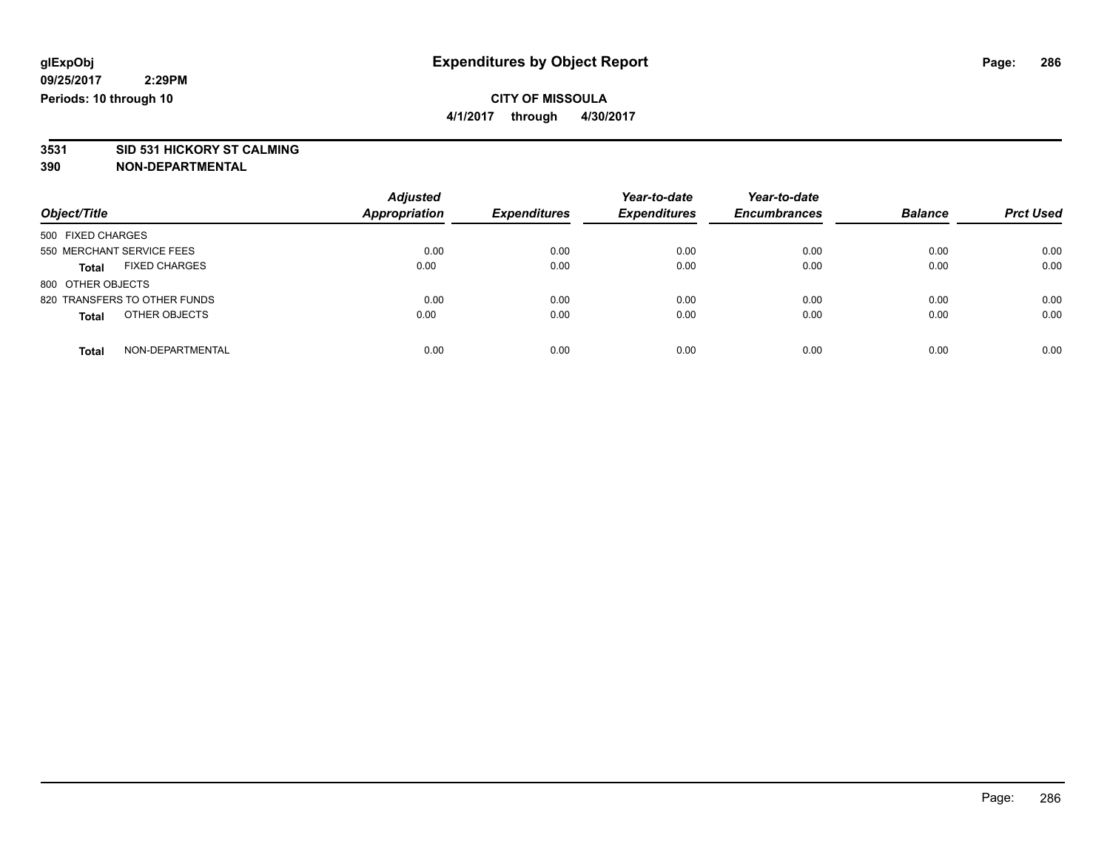**4/1/2017 through 4/30/2017**

# **3531 SID 531 HICKORY ST CALMING**

| Object/Title                         | <b>Adjusted</b><br>Appropriation | <b>Expenditures</b> | Year-to-date<br><b>Expenditures</b> | Year-to-date<br><b>Encumbrances</b> | <b>Balance</b> | <b>Prct Used</b> |
|--------------------------------------|----------------------------------|---------------------|-------------------------------------|-------------------------------------|----------------|------------------|
| 500 FIXED CHARGES                    |                                  |                     |                                     |                                     |                |                  |
| 550 MERCHANT SERVICE FEES            | 0.00                             | 0.00                | 0.00                                | 0.00                                | 0.00           | 0.00             |
| <b>FIXED CHARGES</b><br><b>Total</b> | 0.00                             | 0.00                | 0.00                                | 0.00                                | 0.00           | 0.00             |
| 800 OTHER OBJECTS                    |                                  |                     |                                     |                                     |                |                  |
| 820 TRANSFERS TO OTHER FUNDS         | 0.00                             | 0.00                | 0.00                                | 0.00                                | 0.00           | 0.00             |
| OTHER OBJECTS<br><b>Total</b>        | 0.00                             | 0.00                | 0.00                                | 0.00                                | 0.00           | 0.00             |
| NON-DEPARTMENTAL<br><b>Total</b>     | 0.00                             | 0.00                | 0.00                                | 0.00                                | 0.00           | 0.00             |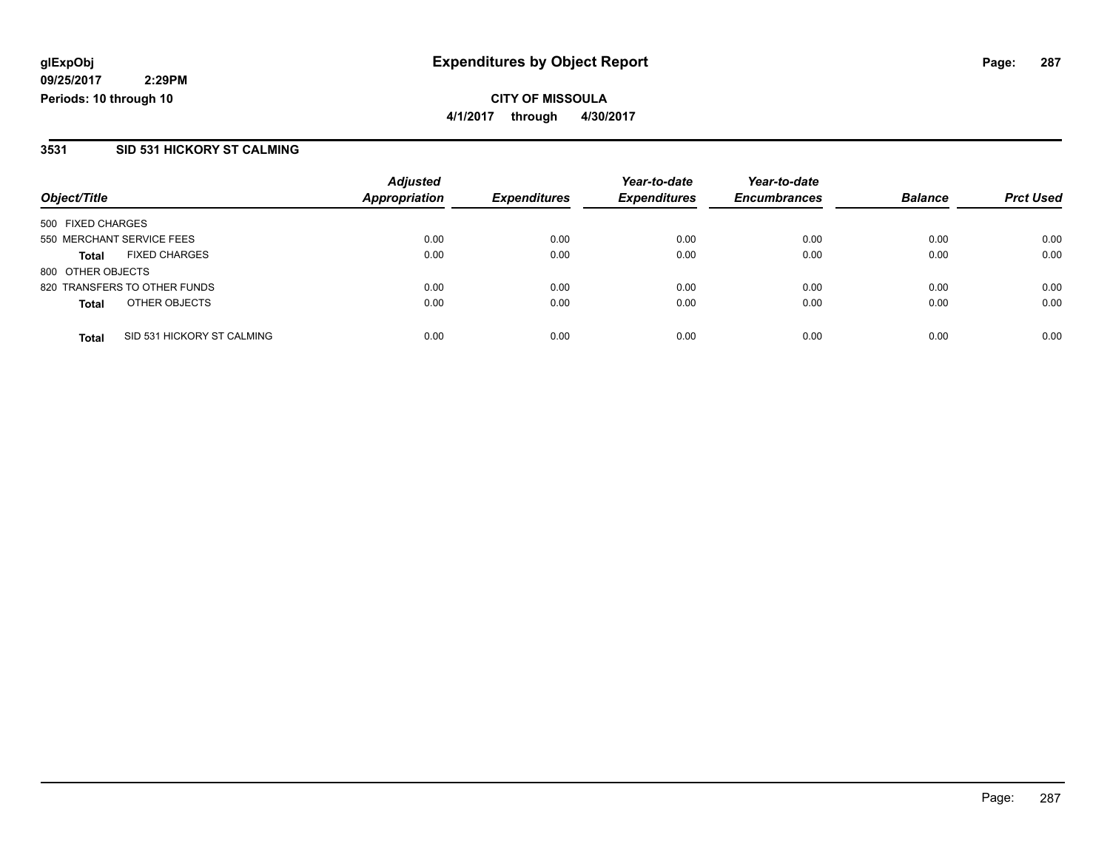**CITY OF MISSOULA 4/1/2017 through 4/30/2017**

### **3531 SID 531 HICKORY ST CALMING**

|                                            | <b>Adjusted</b>      |                     | Year-to-date        | Year-to-date        |                |                  |
|--------------------------------------------|----------------------|---------------------|---------------------|---------------------|----------------|------------------|
| Object/Title                               | <b>Appropriation</b> | <b>Expenditures</b> | <b>Expenditures</b> | <b>Encumbrances</b> | <b>Balance</b> | <b>Prct Used</b> |
| 500 FIXED CHARGES                          |                      |                     |                     |                     |                |                  |
| 550 MERCHANT SERVICE FEES                  | 0.00                 | 0.00                | 0.00                | 0.00                | 0.00           | 0.00             |
| <b>FIXED CHARGES</b><br><b>Total</b>       | 0.00                 | 0.00                | 0.00                | 0.00                | 0.00           | 0.00             |
| 800 OTHER OBJECTS                          |                      |                     |                     |                     |                |                  |
| 820 TRANSFERS TO OTHER FUNDS               | 0.00                 | 0.00                | 0.00                | 0.00                | 0.00           | 0.00             |
| OTHER OBJECTS<br><b>Total</b>              | 0.00                 | 0.00                | 0.00                | 0.00                | 0.00           | 0.00             |
| SID 531 HICKORY ST CALMING<br><b>Total</b> | 0.00                 | 0.00                | 0.00                | 0.00                | 0.00           | 0.00             |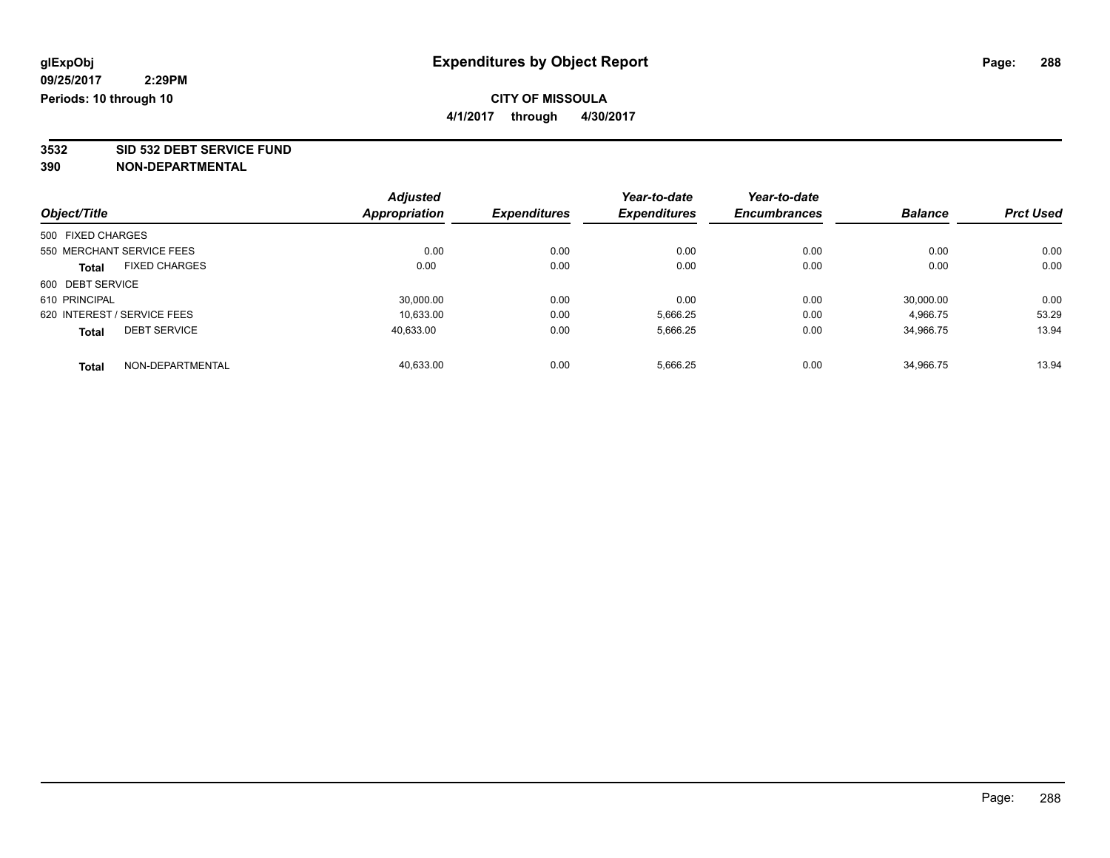**4/1/2017 through 4/30/2017**

**3532 SID 532 DEBT SERVICE FUND**

|                   |                             | <b>Adjusted</b>      |                     | Year-to-date        | Year-to-date        |                |                  |
|-------------------|-----------------------------|----------------------|---------------------|---------------------|---------------------|----------------|------------------|
| Object/Title      |                             | <b>Appropriation</b> | <b>Expenditures</b> | <b>Expenditures</b> | <b>Encumbrances</b> | <b>Balance</b> | <b>Prct Used</b> |
| 500 FIXED CHARGES |                             |                      |                     |                     |                     |                |                  |
|                   | 550 MERCHANT SERVICE FEES   | 0.00                 | 0.00                | 0.00                | 0.00                | 0.00           | 0.00             |
| <b>Total</b>      | <b>FIXED CHARGES</b>        | 0.00                 | 0.00                | 0.00                | 0.00                | 0.00           | 0.00             |
| 600 DEBT SERVICE  |                             |                      |                     |                     |                     |                |                  |
| 610 PRINCIPAL     |                             | 30.000.00            | 0.00                | 0.00                | 0.00                | 30,000.00      | 0.00             |
|                   | 620 INTEREST / SERVICE FEES | 10.633.00            | 0.00                | 5,666.25            | 0.00                | 4,966.75       | 53.29            |
| <b>Total</b>      | <b>DEBT SERVICE</b>         | 40.633.00            | 0.00                | 5,666.25            | 0.00                | 34.966.75      | 13.94            |
| <b>Total</b>      | NON-DEPARTMENTAL            | 40.633.00            | 0.00                | 5.666.25            | 0.00                | 34.966.75      | 13.94            |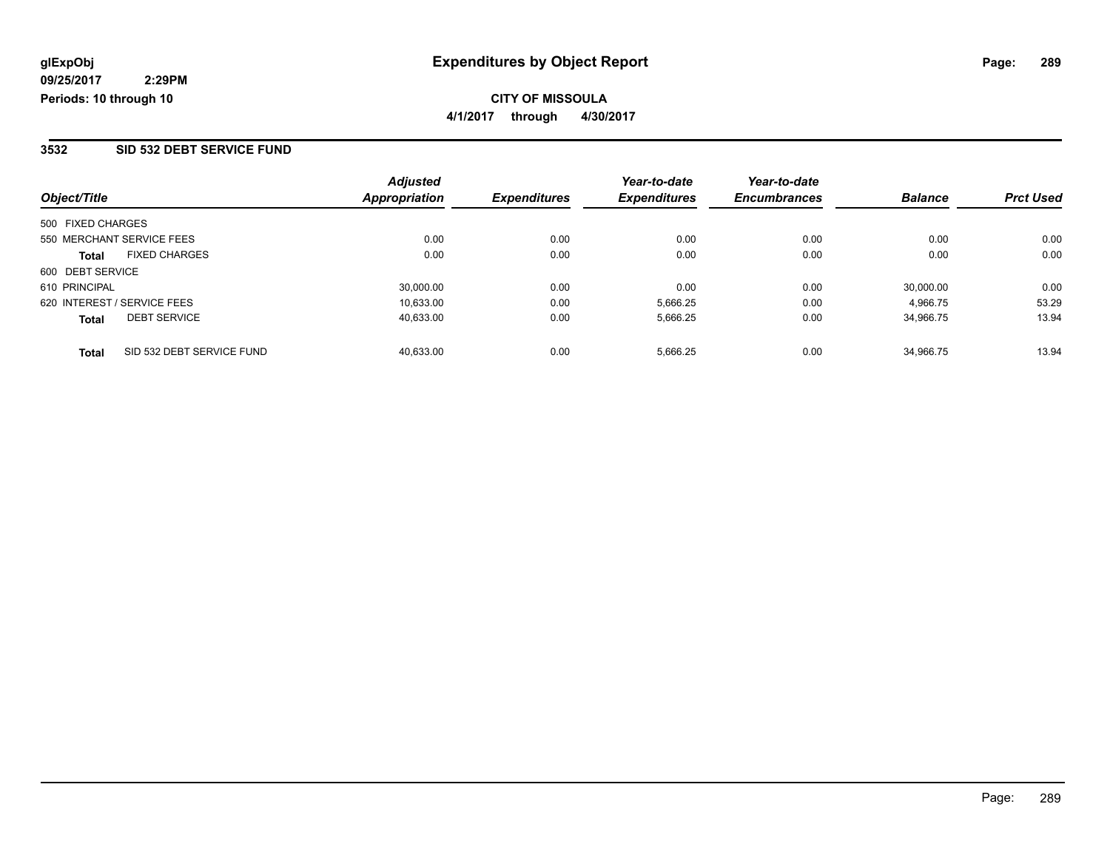### **3532 SID 532 DEBT SERVICE FUND**

| Object/Title                              | <b>Adjusted</b><br>Appropriation | <b>Expenditures</b> | Year-to-date<br><b>Expenditures</b> | Year-to-date<br><b>Encumbrances</b> | <b>Balance</b> | <b>Prct Used</b> |
|-------------------------------------------|----------------------------------|---------------------|-------------------------------------|-------------------------------------|----------------|------------------|
| 500 FIXED CHARGES                         |                                  |                     |                                     |                                     |                |                  |
| 550 MERCHANT SERVICE FEES                 | 0.00                             | 0.00                | 0.00                                | 0.00                                | 0.00           | 0.00             |
| <b>FIXED CHARGES</b><br><b>Total</b>      | 0.00                             | 0.00                | 0.00                                | 0.00                                | 0.00           | 0.00             |
| 600 DEBT SERVICE                          |                                  |                     |                                     |                                     |                |                  |
| 610 PRINCIPAL                             | 30,000.00                        | 0.00                | 0.00                                | 0.00                                | 30,000.00      | 0.00             |
| 620 INTEREST / SERVICE FEES               | 10.633.00                        | 0.00                | 5,666.25                            | 0.00                                | 4,966.75       | 53.29            |
| <b>DEBT SERVICE</b><br><b>Total</b>       | 40,633.00                        | 0.00                | 5,666.25                            | 0.00                                | 34.966.75      | 13.94            |
| SID 532 DEBT SERVICE FUND<br><b>Total</b> | 40.633.00                        | 0.00                | 5.666.25                            | 0.00                                | 34.966.75      | 13.94            |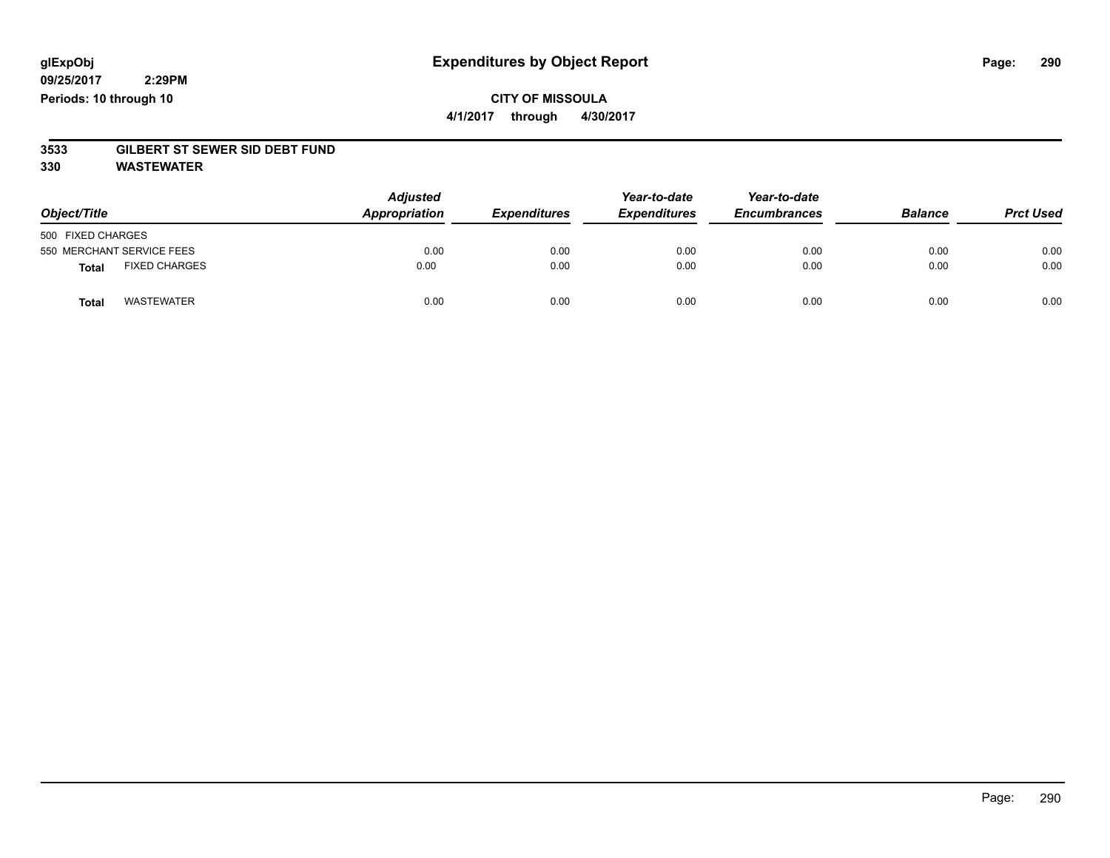## **CITY OF MISSOULA 4/1/2017 through 4/30/2017**

# **3533 GILBERT ST SEWER SID DEBT FUND**

**330 WASTEWATER**

| Object/Title                         | <b>Adjusted</b><br>Appropriation | <b>Expenditures</b> | Year-to-date<br><b>Expenditures</b> | Year-to-date<br><b>Encumbrances</b> | <b>Balance</b> | <b>Prct Used</b> |
|--------------------------------------|----------------------------------|---------------------|-------------------------------------|-------------------------------------|----------------|------------------|
| 500 FIXED CHARGES                    |                                  |                     |                                     |                                     |                |                  |
| 550 MERCHANT SERVICE FEES            | 0.00                             | 0.00                | 0.00                                | 0.00                                | 0.00           | 0.00             |
| <b>FIXED CHARGES</b><br><b>Total</b> | 0.00                             | 0.00                | 0.00                                | 0.00                                | 0.00           | 0.00             |
| <b>WASTEWATER</b><br>Total           | 0.00                             | 0.00                | 0.00                                | 0.00                                | 0.00           | 0.00             |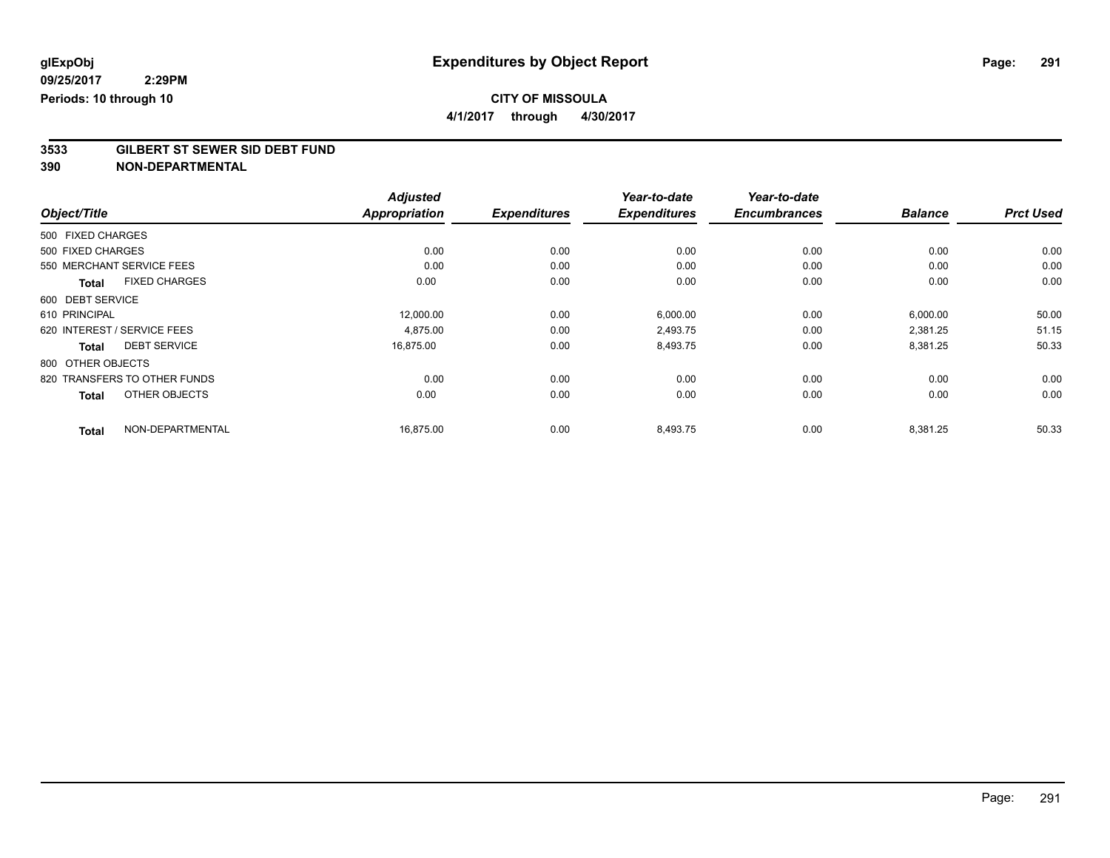**4/1/2017 through 4/30/2017**

# **3533 GILBERT ST SEWER SID DEBT FUND**

|                                      | <b>Adjusted</b>      |                     | Year-to-date        | Year-to-date        |                |                  |
|--------------------------------------|----------------------|---------------------|---------------------|---------------------|----------------|------------------|
| Object/Title                         | <b>Appropriation</b> | <b>Expenditures</b> | <b>Expenditures</b> | <b>Encumbrances</b> | <b>Balance</b> | <b>Prct Used</b> |
| 500 FIXED CHARGES                    |                      |                     |                     |                     |                |                  |
| 500 FIXED CHARGES                    | 0.00                 | 0.00                | 0.00                | 0.00                | 0.00           | 0.00             |
| 550 MERCHANT SERVICE FEES            | 0.00                 | 0.00                | 0.00                | 0.00                | 0.00           | 0.00             |
| <b>FIXED CHARGES</b><br><b>Total</b> | 0.00                 | 0.00                | 0.00                | 0.00                | 0.00           | 0.00             |
| 600 DEBT SERVICE                     |                      |                     |                     |                     |                |                  |
| 610 PRINCIPAL                        | 12,000.00            | 0.00                | 6,000.00            | 0.00                | 6,000.00       | 50.00            |
| 620 INTEREST / SERVICE FEES          | 4,875.00             | 0.00                | 2,493.75            | 0.00                | 2,381.25       | 51.15            |
| <b>DEBT SERVICE</b><br><b>Total</b>  | 16,875.00            | 0.00                | 8,493.75            | 0.00                | 8,381.25       | 50.33            |
| 800 OTHER OBJECTS                    |                      |                     |                     |                     |                |                  |
| 820 TRANSFERS TO OTHER FUNDS         | 0.00                 | 0.00                | 0.00                | 0.00                | 0.00           | 0.00             |
| OTHER OBJECTS<br><b>Total</b>        | 0.00                 | 0.00                | 0.00                | 0.00                | 0.00           | 0.00             |
| NON-DEPARTMENTAL<br><b>Total</b>     | 16,875.00            | 0.00                | 8,493.75            | 0.00                | 8,381.25       | 50.33            |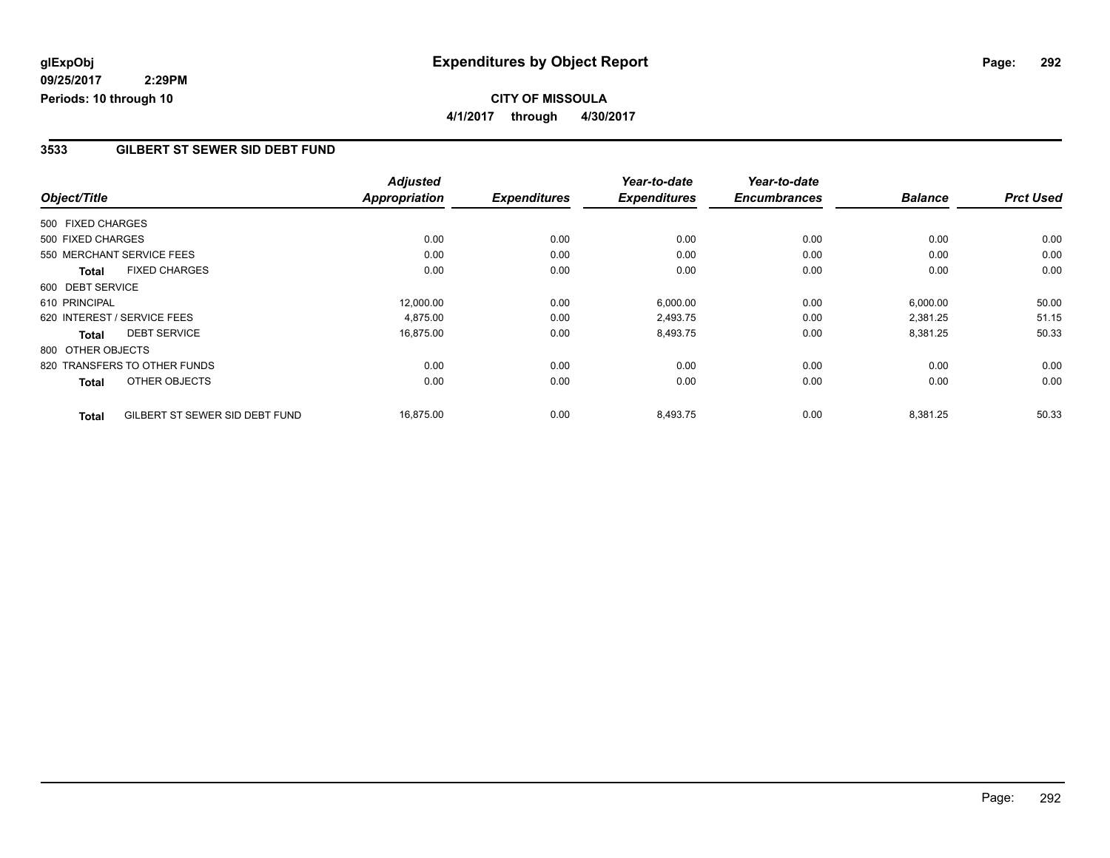## **CITY OF MISSOULA 4/1/2017 through 4/30/2017**

### **3533 GILBERT ST SEWER SID DEBT FUND**

|                   |                                | <b>Adjusted</b>      |                     | Year-to-date        | Year-to-date        |                |                  |
|-------------------|--------------------------------|----------------------|---------------------|---------------------|---------------------|----------------|------------------|
| Object/Title      |                                | <b>Appropriation</b> | <b>Expenditures</b> | <b>Expenditures</b> | <b>Encumbrances</b> | <b>Balance</b> | <b>Prct Used</b> |
| 500 FIXED CHARGES |                                |                      |                     |                     |                     |                |                  |
| 500 FIXED CHARGES |                                | 0.00                 | 0.00                | 0.00                | 0.00                | 0.00           | 0.00             |
|                   | 550 MERCHANT SERVICE FEES      | 0.00                 | 0.00                | 0.00                | 0.00                | 0.00           | 0.00             |
| <b>Total</b>      | <b>FIXED CHARGES</b>           | 0.00                 | 0.00                | 0.00                | 0.00                | 0.00           | 0.00             |
| 600 DEBT SERVICE  |                                |                      |                     |                     |                     |                |                  |
| 610 PRINCIPAL     |                                | 12,000.00            | 0.00                | 6,000.00            | 0.00                | 6,000.00       | 50.00            |
|                   | 620 INTEREST / SERVICE FEES    | 4,875.00             | 0.00                | 2,493.75            | 0.00                | 2,381.25       | 51.15            |
| <b>Total</b>      | <b>DEBT SERVICE</b>            | 16,875.00            | 0.00                | 8,493.75            | 0.00                | 8,381.25       | 50.33            |
| 800 OTHER OBJECTS |                                |                      |                     |                     |                     |                |                  |
|                   | 820 TRANSFERS TO OTHER FUNDS   | 0.00                 | 0.00                | 0.00                | 0.00                | 0.00           | 0.00             |
| <b>Total</b>      | OTHER OBJECTS                  | 0.00                 | 0.00                | 0.00                | 0.00                | 0.00           | 0.00             |
| <b>Total</b>      | GILBERT ST SEWER SID DEBT FUND | 16,875.00            | 0.00                | 8,493.75            | 0.00                | 8,381.25       | 50.33            |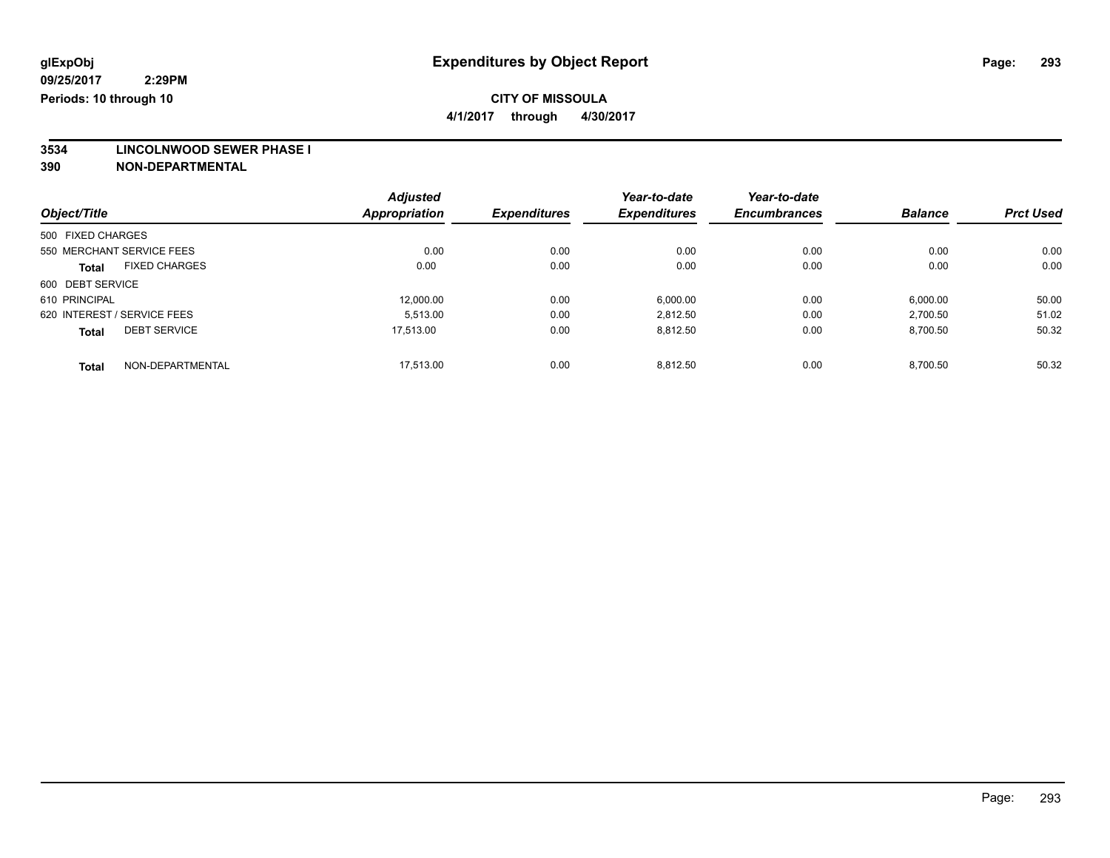**4/1/2017 through 4/30/2017**

**3534 LINCOLNWOOD SEWER PHASE I**

|                             |                      | <b>Adjusted</b> |                     | Year-to-date        | Year-to-date        |                |                  |
|-----------------------------|----------------------|-----------------|---------------------|---------------------|---------------------|----------------|------------------|
| Object/Title                |                      | Appropriation   | <b>Expenditures</b> | <b>Expenditures</b> | <b>Encumbrances</b> | <b>Balance</b> | <b>Prct Used</b> |
| 500 FIXED CHARGES           |                      |                 |                     |                     |                     |                |                  |
| 550 MERCHANT SERVICE FEES   |                      | 0.00            | 0.00                | 0.00                | 0.00                | 0.00           | 0.00             |
| <b>Total</b>                | <b>FIXED CHARGES</b> | 0.00            | 0.00                | 0.00                | 0.00                | 0.00           | 0.00             |
| 600 DEBT SERVICE            |                      |                 |                     |                     |                     |                |                  |
| 610 PRINCIPAL               |                      | 12.000.00       | 0.00                | 6,000.00            | 0.00                | 6,000.00       | 50.00            |
| 620 INTEREST / SERVICE FEES |                      | 5.513.00        | 0.00                | 2,812.50            | 0.00                | 2,700.50       | 51.02            |
| <b>Total</b>                | <b>DEBT SERVICE</b>  | 17.513.00       | 0.00                | 8,812.50            | 0.00                | 8,700.50       | 50.32            |
| <b>Total</b>                | NON-DEPARTMENTAL     | 17.513.00       | 0.00                | 8.812.50            | 0.00                | 8.700.50       | 50.32            |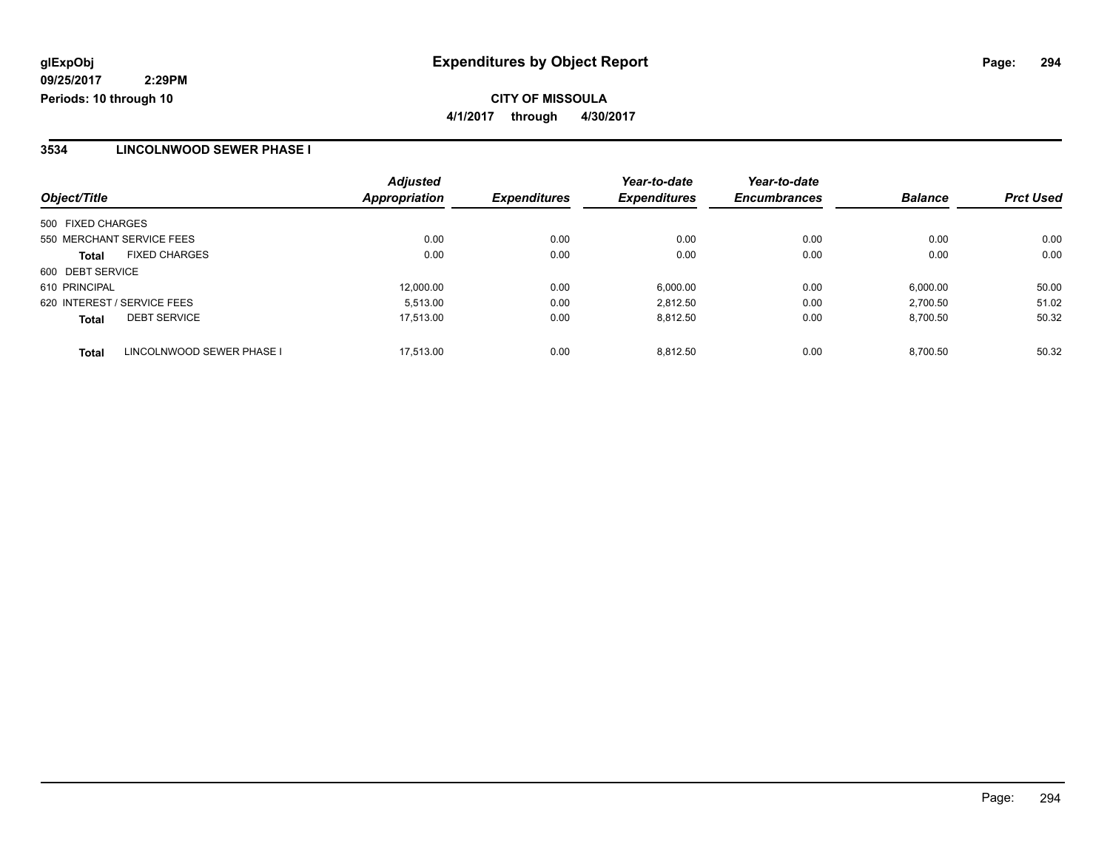### **3534 LINCOLNWOOD SEWER PHASE I**

|                             |                           | <b>Adjusted</b>      |                     | Year-to-date        | Year-to-date        |                |                  |
|-----------------------------|---------------------------|----------------------|---------------------|---------------------|---------------------|----------------|------------------|
| Object/Title                |                           | <b>Appropriation</b> | <b>Expenditures</b> | <b>Expenditures</b> | <b>Encumbrances</b> | <b>Balance</b> | <b>Prct Used</b> |
| 500 FIXED CHARGES           |                           |                      |                     |                     |                     |                |                  |
| 550 MERCHANT SERVICE FEES   |                           | 0.00                 | 0.00                | 0.00                | 0.00                | 0.00           | 0.00             |
| <b>Total</b>                | <b>FIXED CHARGES</b>      | 0.00                 | 0.00                | 0.00                | 0.00                | 0.00           | 0.00             |
| 600 DEBT SERVICE            |                           |                      |                     |                     |                     |                |                  |
| 610 PRINCIPAL               |                           | 12,000.00            | 0.00                | 6,000.00            | 0.00                | 6,000.00       | 50.00            |
| 620 INTEREST / SERVICE FEES |                           | 5.513.00             | 0.00                | 2.812.50            | 0.00                | 2.700.50       | 51.02            |
| <b>Total</b>                | <b>DEBT SERVICE</b>       | 17.513.00            | 0.00                | 8.812.50            | 0.00                | 8.700.50       | 50.32            |
| <b>Total</b>                | LINCOLNWOOD SEWER PHASE I | 17.513.00            | 0.00                | 8.812.50            | 0.00                | 8.700.50       | 50.32            |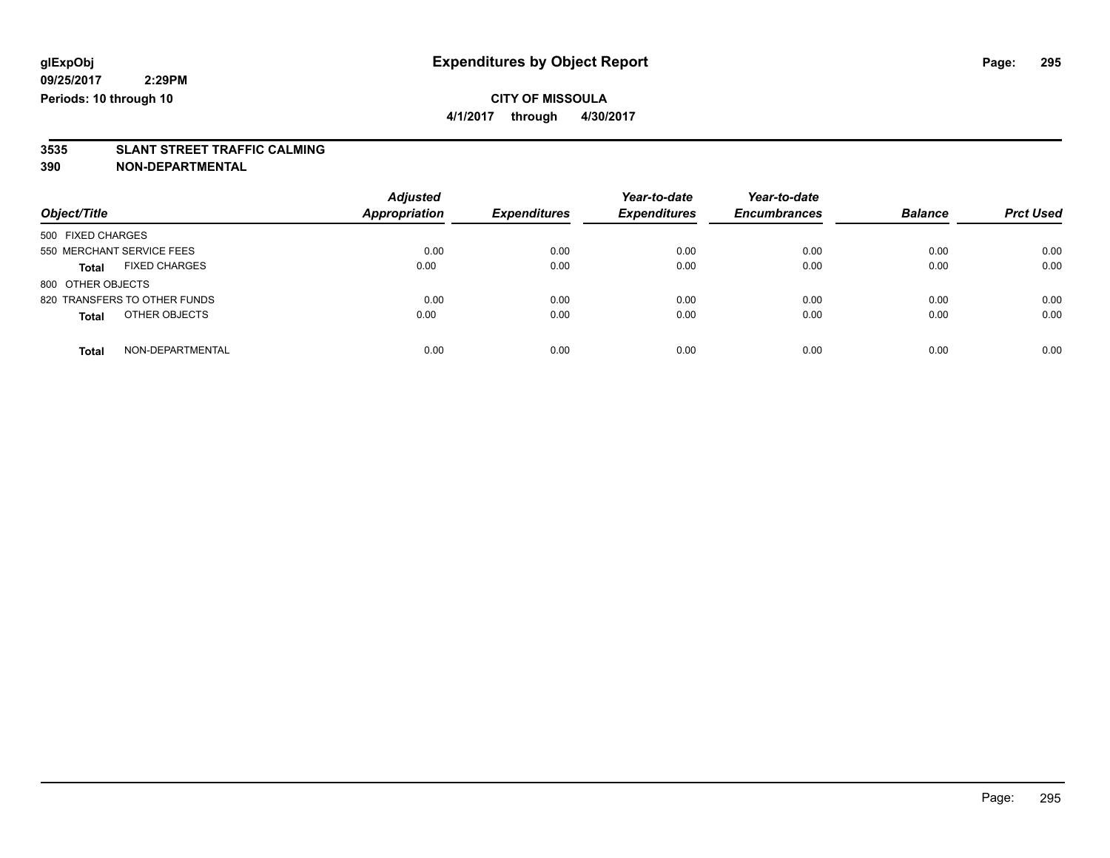**4/1/2017 through 4/30/2017**

# **3535 SLANT STREET TRAFFIC CALMING**

| Object/Title                         | <b>Adjusted</b><br><b>Appropriation</b> | <b>Expenditures</b> | Year-to-date<br><b>Expenditures</b> | Year-to-date<br><b>Encumbrances</b> | <b>Balance</b> | <b>Prct Used</b> |
|--------------------------------------|-----------------------------------------|---------------------|-------------------------------------|-------------------------------------|----------------|------------------|
|                                      |                                         |                     |                                     |                                     |                |                  |
| 500 FIXED CHARGES                    |                                         |                     |                                     |                                     |                |                  |
| 550 MERCHANT SERVICE FEES            | 0.00                                    | 0.00                | 0.00                                | 0.00                                | 0.00           | 0.00             |
| <b>FIXED CHARGES</b><br><b>Total</b> | 0.00                                    | 0.00                | 0.00                                | 0.00                                | 0.00           | 0.00             |
| 800 OTHER OBJECTS                    |                                         |                     |                                     |                                     |                |                  |
| 820 TRANSFERS TO OTHER FUNDS         | 0.00                                    | 0.00                | 0.00                                | 0.00                                | 0.00           | 0.00             |
| OTHER OBJECTS<br><b>Total</b>        | 0.00                                    | 0.00                | 0.00                                | 0.00                                | 0.00           | 0.00             |
| NON-DEPARTMENTAL<br><b>Total</b>     | 0.00                                    | 0.00                | 0.00                                | 0.00                                | 0.00           | 0.00             |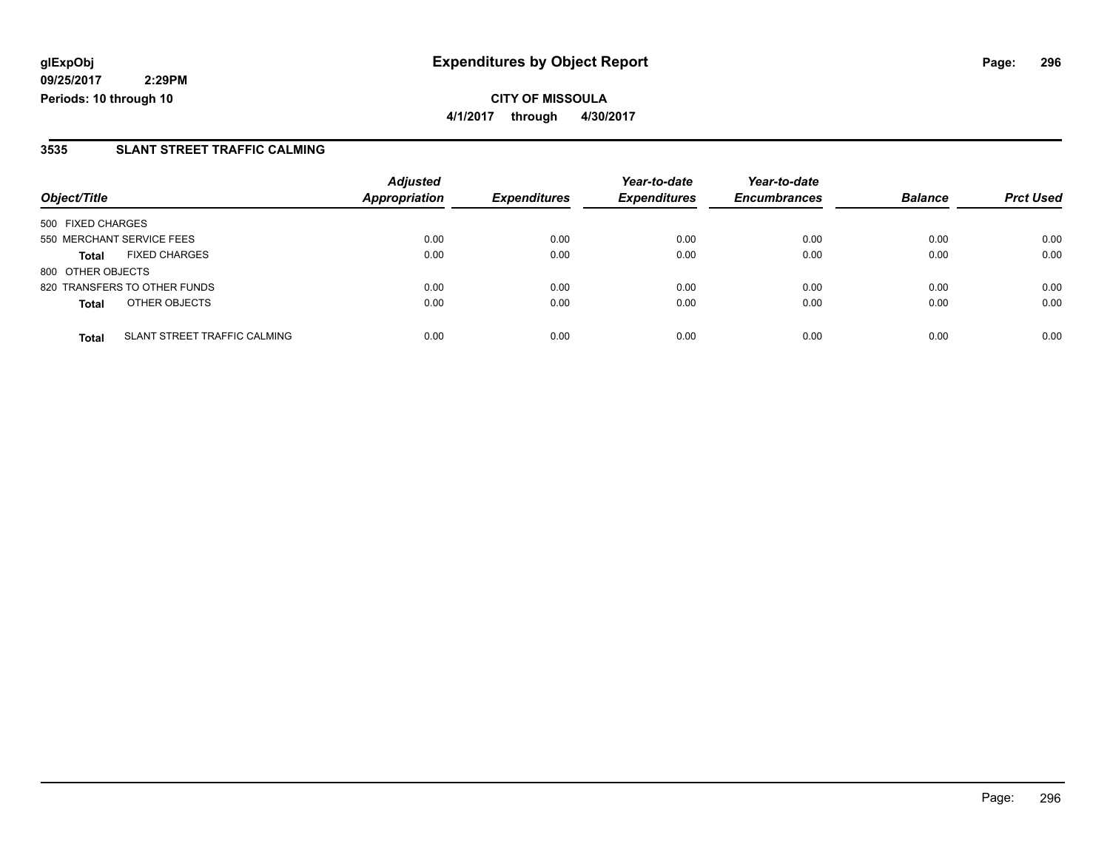**CITY OF MISSOULA 4/1/2017 through 4/30/2017**

### **3535 SLANT STREET TRAFFIC CALMING**

|                              |                                     | <b>Adjusted</b>      |                     | Year-to-date        | Year-to-date        |                |                  |
|------------------------------|-------------------------------------|----------------------|---------------------|---------------------|---------------------|----------------|------------------|
| Object/Title                 |                                     | <b>Appropriation</b> | <b>Expenditures</b> | <b>Expenditures</b> | <b>Encumbrances</b> | <b>Balance</b> | <b>Prct Used</b> |
| 500 FIXED CHARGES            |                                     |                      |                     |                     |                     |                |                  |
| 550 MERCHANT SERVICE FEES    |                                     | 0.00                 | 0.00                | 0.00                | 0.00                | 0.00           | 0.00             |
| <b>Total</b>                 | <b>FIXED CHARGES</b>                | 0.00                 | 0.00                | 0.00                | 0.00                | 0.00           | 0.00             |
| 800 OTHER OBJECTS            |                                     |                      |                     |                     |                     |                |                  |
| 820 TRANSFERS TO OTHER FUNDS |                                     | 0.00                 | 0.00                | 0.00                | 0.00                | 0.00           | 0.00             |
| <b>Total</b>                 | OTHER OBJECTS                       | 0.00                 | 0.00                | 0.00                | 0.00                | 0.00           | 0.00             |
| <b>Total</b>                 | <b>SLANT STREET TRAFFIC CALMING</b> | 0.00                 | 0.00                | 0.00                | 0.00                | 0.00           | 0.00             |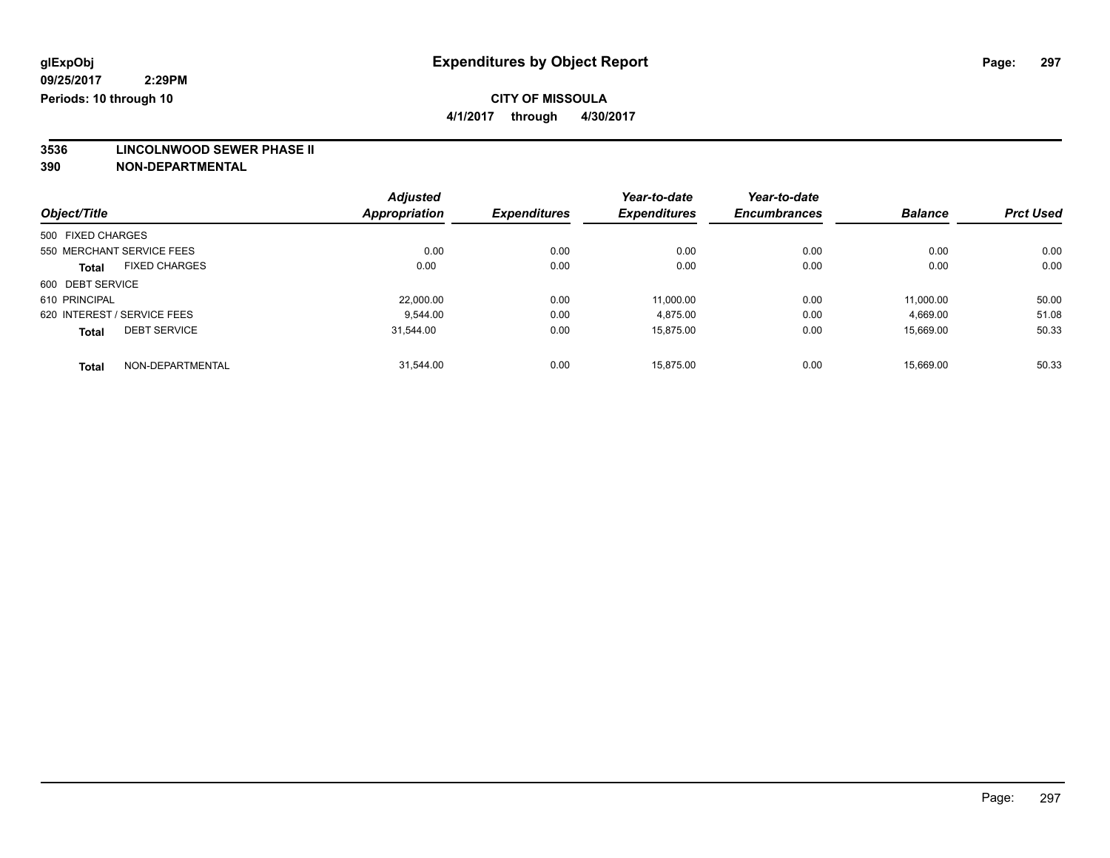**4/1/2017 through 4/30/2017**

**3536 LINCOLNWOOD SEWER PHASE II**

|                             |                      | <b>Adjusted</b>      |                     | Year-to-date        | Year-to-date        |                |                  |
|-----------------------------|----------------------|----------------------|---------------------|---------------------|---------------------|----------------|------------------|
| Object/Title                |                      | <b>Appropriation</b> | <b>Expenditures</b> | <b>Expenditures</b> | <b>Encumbrances</b> | <b>Balance</b> | <b>Prct Used</b> |
| 500 FIXED CHARGES           |                      |                      |                     |                     |                     |                |                  |
| 550 MERCHANT SERVICE FEES   |                      | 0.00                 | 0.00                | 0.00                | 0.00                | 0.00           | 0.00             |
| <b>Total</b>                | <b>FIXED CHARGES</b> | 0.00                 | 0.00                | 0.00                | 0.00                | 0.00           | 0.00             |
| 600 DEBT SERVICE            |                      |                      |                     |                     |                     |                |                  |
| 610 PRINCIPAL               |                      | 22,000.00            | 0.00                | 11.000.00           | 0.00                | 11.000.00      | 50.00            |
| 620 INTEREST / SERVICE FEES |                      | 9.544.00             | 0.00                | 4,875.00            | 0.00                | 4,669.00       | 51.08            |
| <b>Total</b>                | <b>DEBT SERVICE</b>  | 31,544.00            | 0.00                | 15,875.00           | 0.00                | 15,669.00      | 50.33            |
| <b>Total</b>                | NON-DEPARTMENTAL     | 31.544.00            | 0.00                | 15.875.00           | 0.00                | 15.669.00      | 50.33            |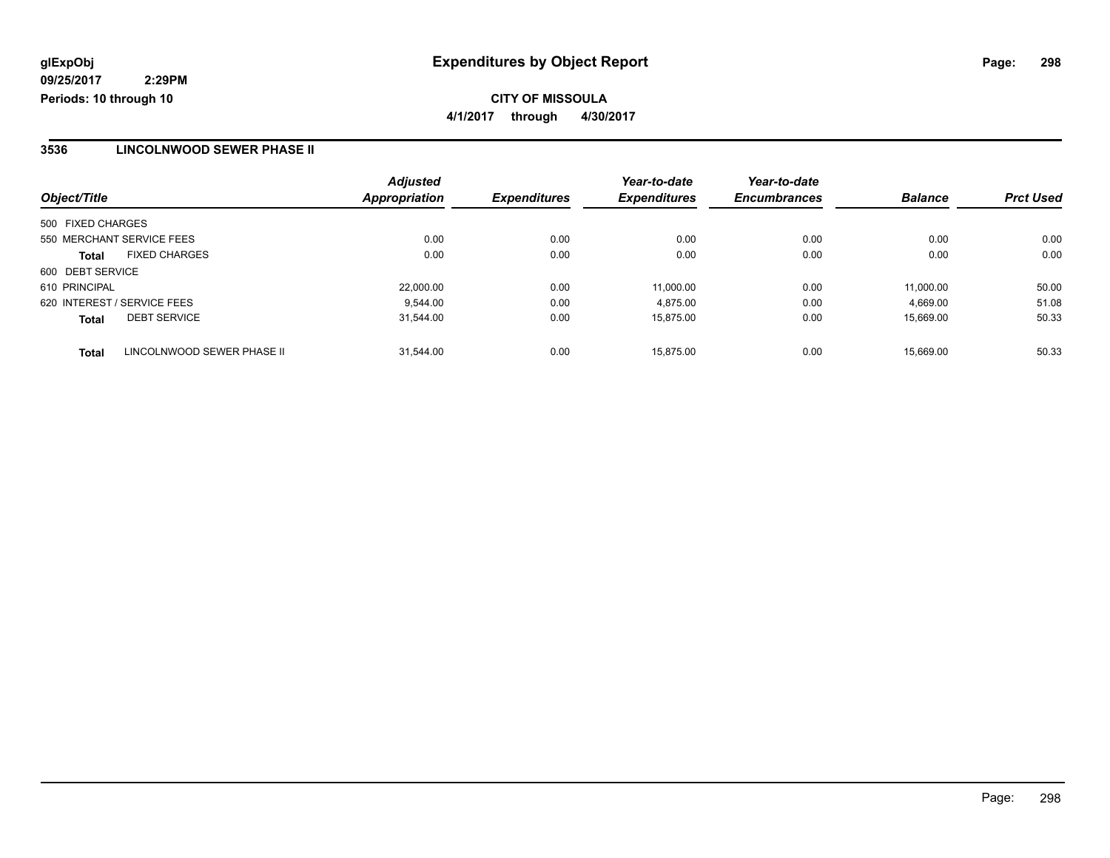### **3536 LINCOLNWOOD SEWER PHASE II**

| Object/Title                               | <b>Adjusted</b><br><b>Appropriation</b> | <b>Expenditures</b> | Year-to-date<br><b>Expenditures</b> | Year-to-date<br><b>Encumbrances</b> | <b>Balance</b> | <b>Prct Used</b> |
|--------------------------------------------|-----------------------------------------|---------------------|-------------------------------------|-------------------------------------|----------------|------------------|
|                                            |                                         |                     |                                     |                                     |                |                  |
| 500 FIXED CHARGES                          |                                         |                     |                                     |                                     |                |                  |
| 550 MERCHANT SERVICE FEES                  | 0.00                                    | 0.00                | 0.00                                | 0.00                                | 0.00           | 0.00             |
| <b>FIXED CHARGES</b><br><b>Total</b>       | 0.00                                    | 0.00                | 0.00                                | 0.00                                | 0.00           | 0.00             |
| 600 DEBT SERVICE                           |                                         |                     |                                     |                                     |                |                  |
| 610 PRINCIPAL                              | 22,000.00                               | 0.00                | 11.000.00                           | 0.00                                | 11.000.00      | 50.00            |
| 620 INTEREST / SERVICE FEES                | 9.544.00                                | 0.00                | 4.875.00                            | 0.00                                | 4,669.00       | 51.08            |
| <b>DEBT SERVICE</b><br><b>Total</b>        | 31.544.00                               | 0.00                | 15.875.00                           | 0.00                                | 15.669.00      | 50.33            |
| LINCOLNWOOD SEWER PHASE II<br><b>Total</b> | 31.544.00                               | 0.00                | 15.875.00                           | 0.00                                | 15.669.00      | 50.33            |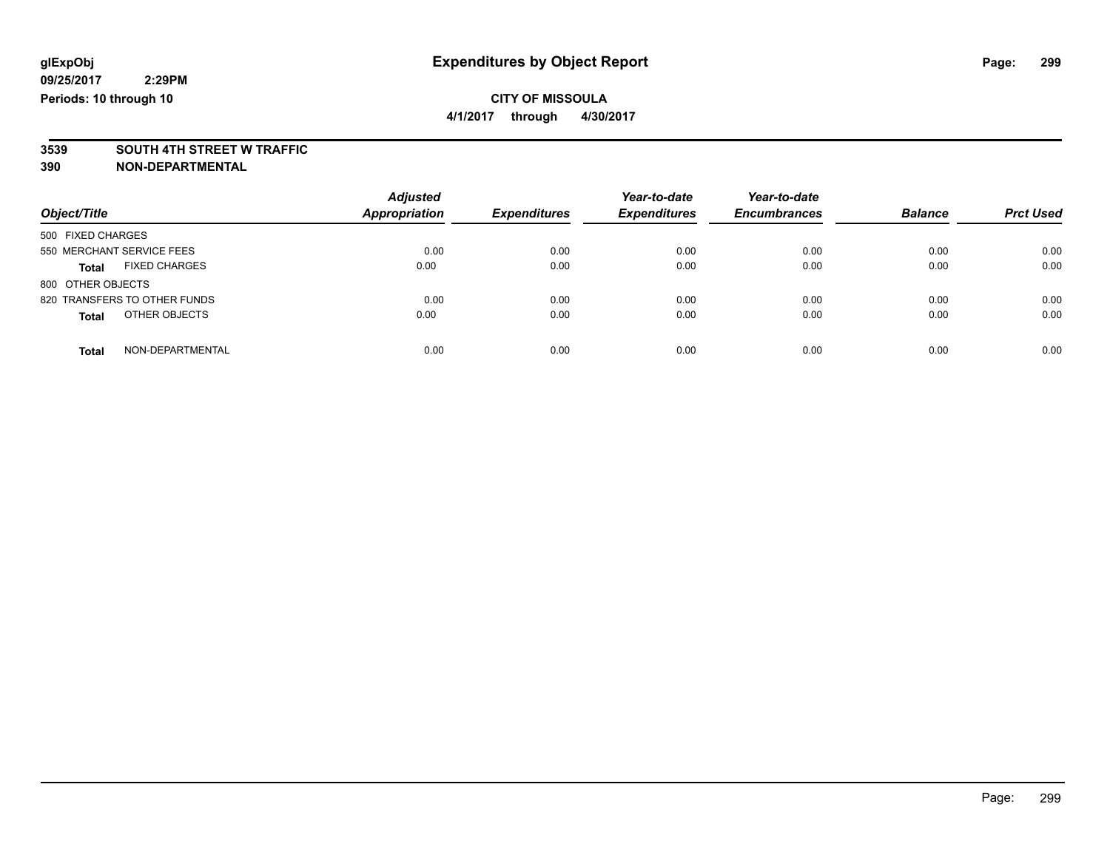**4/1/2017 through 4/30/2017**

# **3539 SOUTH 4TH STREET W TRAFFIC**

| Object/Title                         | <b>Adjusted</b><br><b>Appropriation</b> | <b>Expenditures</b> | Year-to-date<br><b>Expenditures</b> | Year-to-date<br><b>Encumbrances</b> | <b>Balance</b> | <b>Prct Used</b> |
|--------------------------------------|-----------------------------------------|---------------------|-------------------------------------|-------------------------------------|----------------|------------------|
| 500 FIXED CHARGES                    |                                         |                     |                                     |                                     |                |                  |
| 550 MERCHANT SERVICE FEES            | 0.00                                    | 0.00                | 0.00                                | 0.00                                | 0.00           | 0.00             |
| <b>FIXED CHARGES</b><br><b>Total</b> | 0.00                                    | 0.00                | 0.00                                | 0.00                                | 0.00           | 0.00             |
| 800 OTHER OBJECTS                    |                                         |                     |                                     |                                     |                |                  |
| 820 TRANSFERS TO OTHER FUNDS         | 0.00                                    | 0.00                | 0.00                                | 0.00                                | 0.00           | 0.00             |
| OTHER OBJECTS<br><b>Total</b>        | 0.00                                    | 0.00                | 0.00                                | 0.00                                | 0.00           | 0.00             |
| NON-DEPARTMENTAL<br><b>Total</b>     | 0.00                                    | 0.00                | 0.00                                | 0.00                                | 0.00           | 0.00             |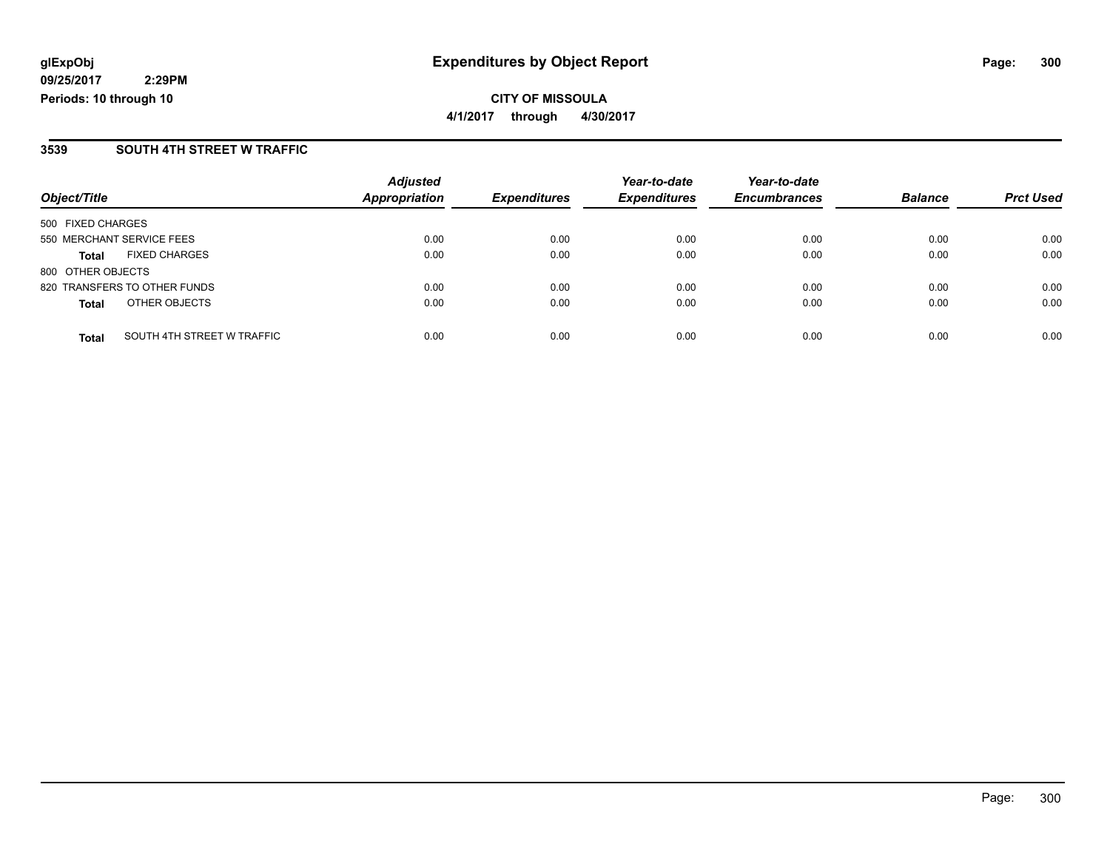**CITY OF MISSOULA 4/1/2017 through 4/30/2017**

### **3539 SOUTH 4TH STREET W TRAFFIC**

| Object/Title                               | <b>Adjusted</b><br>Appropriation | <b>Expenditures</b> | Year-to-date<br><b>Expenditures</b> | Year-to-date<br><b>Encumbrances</b> | <b>Balance</b> | <b>Prct Used</b> |
|--------------------------------------------|----------------------------------|---------------------|-------------------------------------|-------------------------------------|----------------|------------------|
| 500 FIXED CHARGES                          |                                  |                     |                                     |                                     |                |                  |
| 550 MERCHANT SERVICE FEES                  | 0.00                             | 0.00                | 0.00                                | 0.00                                | 0.00           | 0.00             |
| <b>FIXED CHARGES</b><br><b>Total</b>       | 0.00                             | 0.00                | 0.00                                | 0.00                                | 0.00           | 0.00             |
| 800 OTHER OBJECTS                          |                                  |                     |                                     |                                     |                |                  |
| 820 TRANSFERS TO OTHER FUNDS               | 0.00                             | 0.00                | 0.00                                | 0.00                                | 0.00           | 0.00             |
| OTHER OBJECTS<br><b>Total</b>              | 0.00                             | 0.00                | 0.00                                | 0.00                                | 0.00           | 0.00             |
| SOUTH 4TH STREET W TRAFFIC<br><b>Total</b> | 0.00                             | 0.00                | 0.00                                | 0.00                                | 0.00           | 0.00             |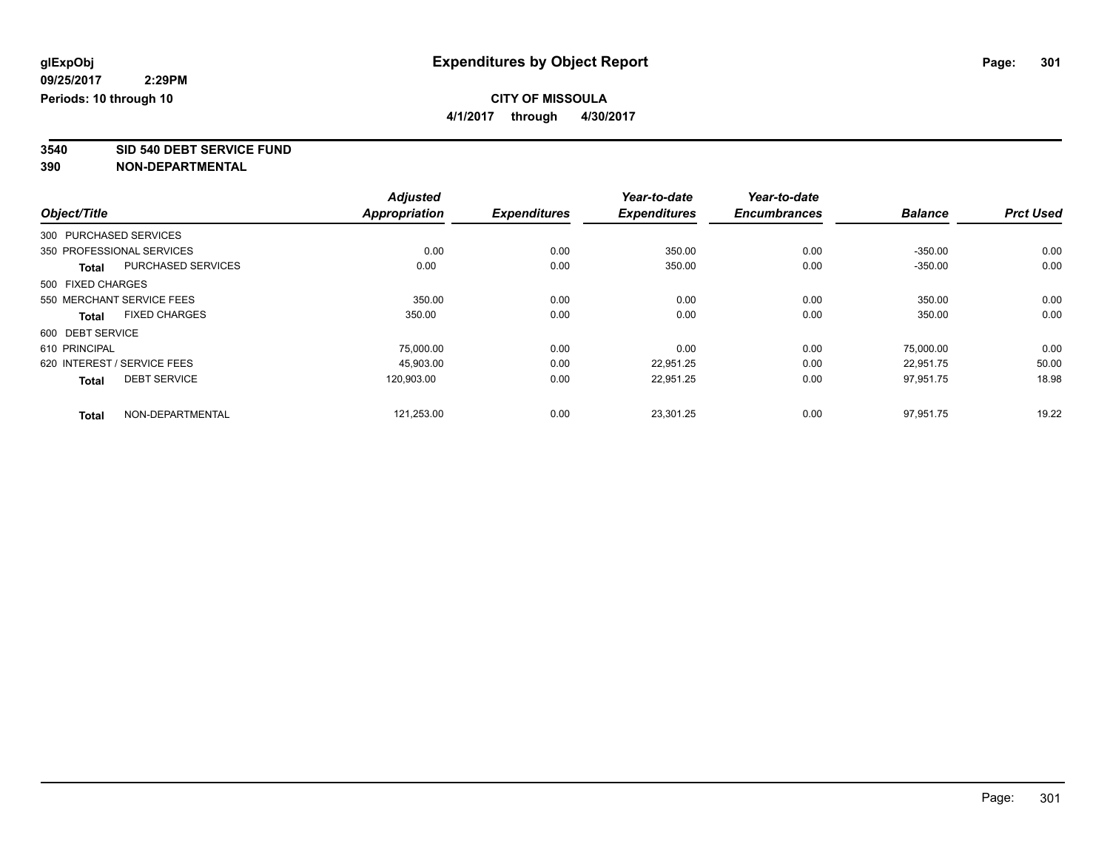**4/1/2017 through 4/30/2017**

**3540 SID 540 DEBT SERVICE FUND**

|                   |                             | <b>Adjusted</b>      |                     | Year-to-date        | Year-to-date        |                |                  |
|-------------------|-----------------------------|----------------------|---------------------|---------------------|---------------------|----------------|------------------|
| Object/Title      |                             | <b>Appropriation</b> | <b>Expenditures</b> | <b>Expenditures</b> | <b>Encumbrances</b> | <b>Balance</b> | <b>Prct Used</b> |
|                   | 300 PURCHASED SERVICES      |                      |                     |                     |                     |                |                  |
|                   | 350 PROFESSIONAL SERVICES   | 0.00                 | 0.00                | 350.00              | 0.00                | $-350.00$      | 0.00             |
| <b>Total</b>      | <b>PURCHASED SERVICES</b>   | 0.00                 | 0.00                | 350.00              | 0.00                | $-350.00$      | 0.00             |
| 500 FIXED CHARGES |                             |                      |                     |                     |                     |                |                  |
|                   | 550 MERCHANT SERVICE FEES   | 350.00               | 0.00                | 0.00                | 0.00                | 350.00         | 0.00             |
| <b>Total</b>      | <b>FIXED CHARGES</b>        | 350.00               | 0.00                | 0.00                | 0.00                | 350.00         | 0.00             |
| 600 DEBT SERVICE  |                             |                      |                     |                     |                     |                |                  |
| 610 PRINCIPAL     |                             | 75.000.00            | 0.00                | 0.00                | 0.00                | 75.000.00      | 0.00             |
|                   | 620 INTEREST / SERVICE FEES | 45,903.00            | 0.00                | 22,951.25           | 0.00                | 22,951.75      | 50.00            |
| <b>Total</b>      | <b>DEBT SERVICE</b>         | 120.903.00           | 0.00                | 22,951.25           | 0.00                | 97,951.75      | 18.98            |
| <b>Total</b>      | NON-DEPARTMENTAL            | 121,253.00           | 0.00                | 23,301.25           | 0.00                | 97,951.75      | 19.22            |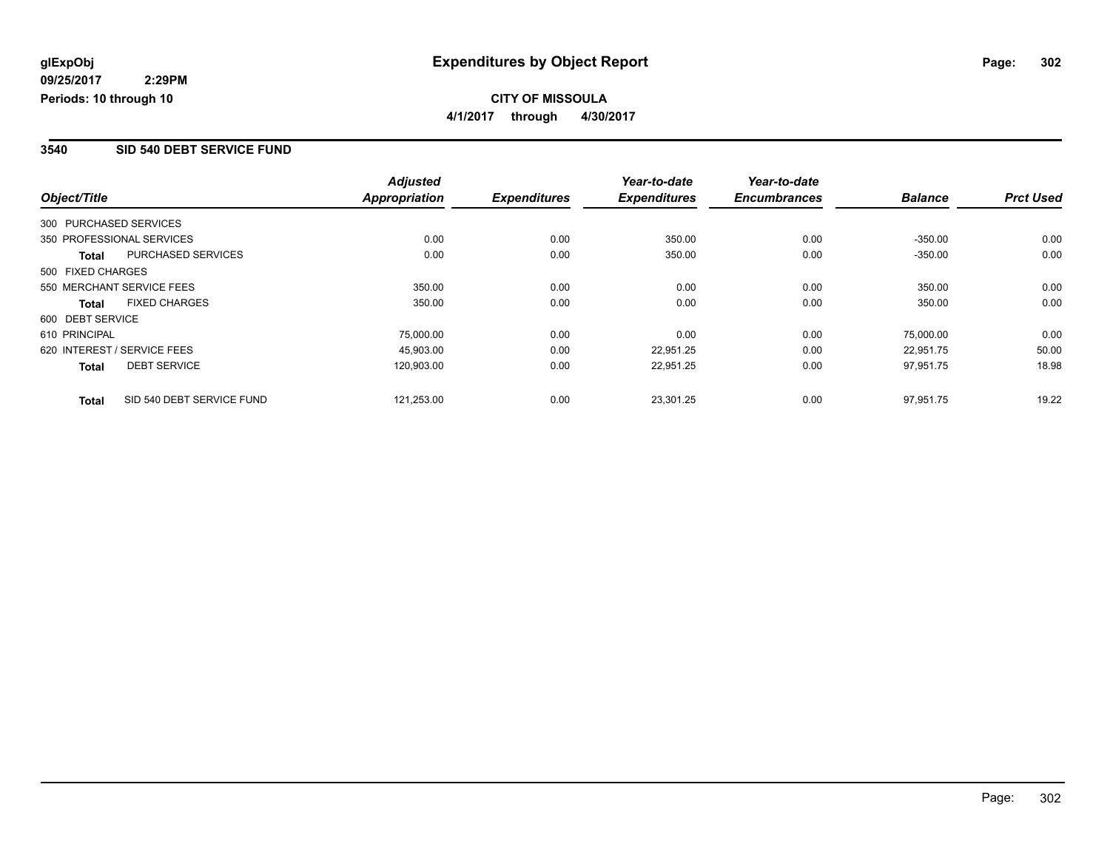### **3540 SID 540 DEBT SERVICE FUND**

|                        |                             | <b>Adjusted</b>      |                     | Year-to-date        | Year-to-date        |                |                  |
|------------------------|-----------------------------|----------------------|---------------------|---------------------|---------------------|----------------|------------------|
| Object/Title           |                             | <b>Appropriation</b> | <b>Expenditures</b> | <b>Expenditures</b> | <b>Encumbrances</b> | <b>Balance</b> | <b>Prct Used</b> |
| 300 PURCHASED SERVICES |                             |                      |                     |                     |                     |                |                  |
|                        | 350 PROFESSIONAL SERVICES   | 0.00                 | 0.00                | 350.00              | 0.00                | $-350.00$      | 0.00             |
| Total                  | PURCHASED SERVICES          | 0.00                 | 0.00                | 350.00              | 0.00                | $-350.00$      | 0.00             |
| 500 FIXED CHARGES      |                             |                      |                     |                     |                     |                |                  |
|                        | 550 MERCHANT SERVICE FEES   | 350.00               | 0.00                | 0.00                | 0.00                | 350.00         | 0.00             |
| Total                  | <b>FIXED CHARGES</b>        | 350.00               | 0.00                | 0.00                | 0.00                | 350.00         | 0.00             |
| 600 DEBT SERVICE       |                             |                      |                     |                     |                     |                |                  |
| 610 PRINCIPAL          |                             | 75,000.00            | 0.00                | 0.00                | 0.00                | 75.000.00      | 0.00             |
|                        | 620 INTEREST / SERVICE FEES | 45.903.00            | 0.00                | 22.951.25           | 0.00                | 22.951.75      | 50.00            |
| <b>Total</b>           | <b>DEBT SERVICE</b>         | 120,903.00           | 0.00                | 22,951.25           | 0.00                | 97,951.75      | 18.98            |
| <b>Total</b>           | SID 540 DEBT SERVICE FUND   | 121,253.00           | 0.00                | 23,301.25           | 0.00                | 97.951.75      | 19.22            |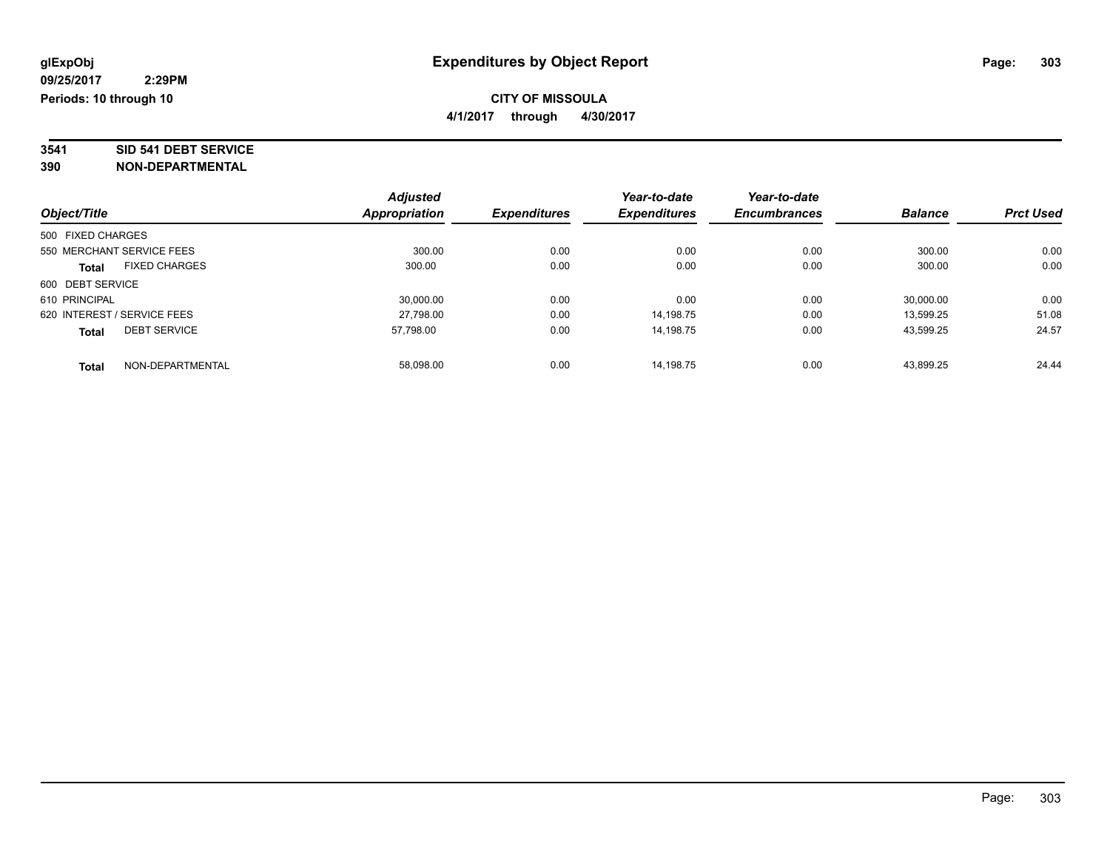# **3541 SID 541 DEBT SERVICE**

|                   |                             | <b>Adjusted</b> |                     | Year-to-date        | Year-to-date        |                |                  |
|-------------------|-----------------------------|-----------------|---------------------|---------------------|---------------------|----------------|------------------|
| Object/Title      |                             | Appropriation   | <b>Expenditures</b> | <b>Expenditures</b> | <b>Encumbrances</b> | <b>Balance</b> | <b>Prct Used</b> |
| 500 FIXED CHARGES |                             |                 |                     |                     |                     |                |                  |
|                   | 550 MERCHANT SERVICE FEES   | 300.00          | 0.00                | 0.00                | 0.00                | 300.00         | 0.00             |
| <b>Total</b>      | <b>FIXED CHARGES</b>        | 300.00          | 0.00                | 0.00                | 0.00                | 300.00         | 0.00             |
| 600 DEBT SERVICE  |                             |                 |                     |                     |                     |                |                  |
| 610 PRINCIPAL     |                             | 30.000.00       | 0.00                | 0.00                | 0.00                | 30,000.00      | 0.00             |
|                   | 620 INTEREST / SERVICE FEES | 27,798.00       | 0.00                | 14,198.75           | 0.00                | 13,599.25      | 51.08            |
| <b>Total</b>      | <b>DEBT SERVICE</b>         | 57.798.00       | 0.00                | 14.198.75           | 0.00                | 43,599.25      | 24.57            |
| <b>Total</b>      | NON-DEPARTMENTAL            | 58.098.00       | 0.00                | 14.198.75           | 0.00                | 43.899.25      | 24.44            |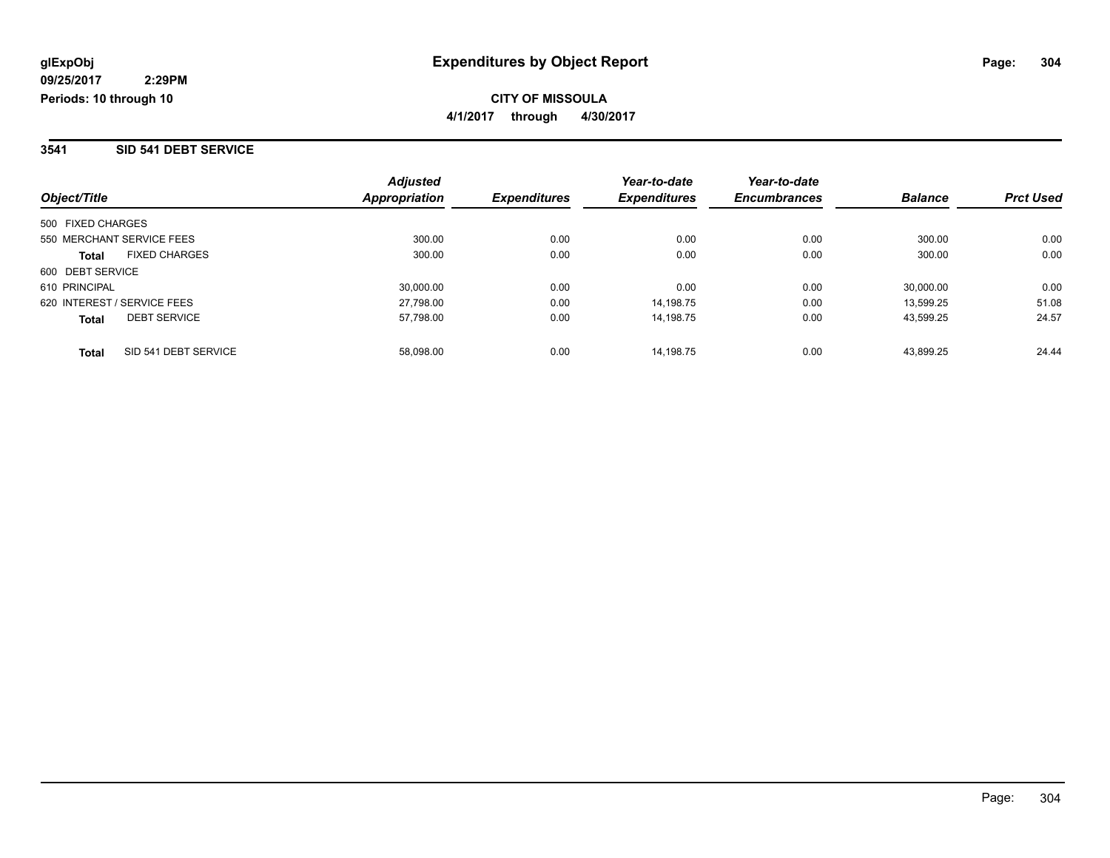#### **3541 SID 541 DEBT SERVICE**

| Object/Title                         | <b>Adjusted</b><br>Appropriation | <b>Expenditures</b> | Year-to-date<br><b>Expenditures</b> | Year-to-date<br><b>Encumbrances</b> | <b>Balance</b> | <b>Prct Used</b> |
|--------------------------------------|----------------------------------|---------------------|-------------------------------------|-------------------------------------|----------------|------------------|
| 500 FIXED CHARGES                    |                                  |                     |                                     |                                     |                |                  |
| 550 MERCHANT SERVICE FEES            | 300.00                           | 0.00                | 0.00                                | 0.00                                | 300.00         | 0.00             |
| <b>FIXED CHARGES</b><br><b>Total</b> | 300.00                           | 0.00                | 0.00                                | 0.00                                | 300.00         | 0.00             |
| 600 DEBT SERVICE                     |                                  |                     |                                     |                                     |                |                  |
| 610 PRINCIPAL                        | 30,000.00                        | 0.00                | 0.00                                | 0.00                                | 30,000.00      | 0.00             |
| 620 INTEREST / SERVICE FEES          | 27,798.00                        | 0.00                | 14.198.75                           | 0.00                                | 13.599.25      | 51.08            |
| <b>DEBT SERVICE</b><br><b>Total</b>  | 57,798.00                        | 0.00                | 14.198.75                           | 0.00                                | 43,599.25      | 24.57            |
| SID 541 DEBT SERVICE<br><b>Total</b> | 58.098.00                        | 0.00                | 14.198.75                           | 0.00                                | 43.899.25      | 24.44            |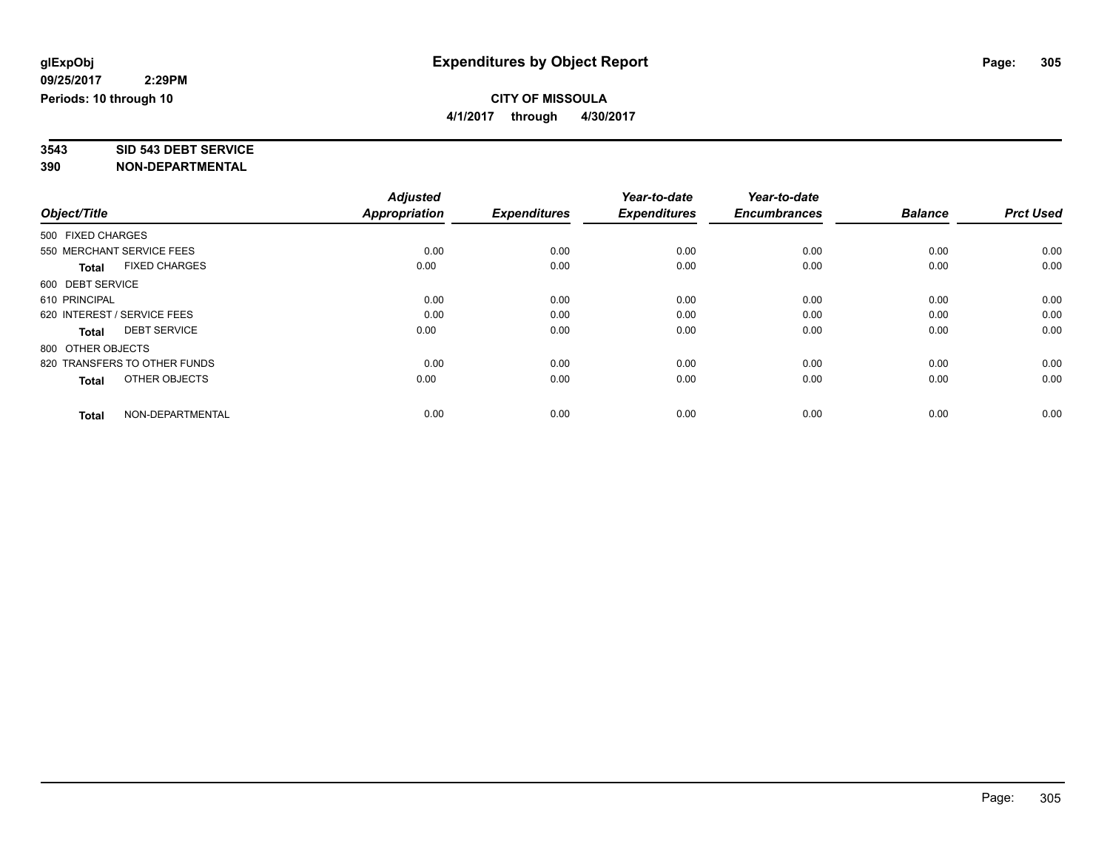**3543 SID 543 DEBT SERVICE**

|                                      | <b>Adjusted</b>      |                     | Year-to-date        | Year-to-date        |                |                  |
|--------------------------------------|----------------------|---------------------|---------------------|---------------------|----------------|------------------|
| Object/Title                         | <b>Appropriation</b> | <b>Expenditures</b> | <b>Expenditures</b> | <b>Encumbrances</b> | <b>Balance</b> | <b>Prct Used</b> |
| 500 FIXED CHARGES                    |                      |                     |                     |                     |                |                  |
| 550 MERCHANT SERVICE FEES            | 0.00                 | 0.00                | 0.00                | 0.00                | 0.00           | 0.00             |
| <b>FIXED CHARGES</b><br><b>Total</b> | 0.00                 | 0.00                | 0.00                | 0.00                | 0.00           | 0.00             |
| 600 DEBT SERVICE                     |                      |                     |                     |                     |                |                  |
| 610 PRINCIPAL                        | 0.00                 | 0.00                | 0.00                | 0.00                | 0.00           | 0.00             |
| 620 INTEREST / SERVICE FEES          | 0.00                 | 0.00                | 0.00                | 0.00                | 0.00           | 0.00             |
| <b>DEBT SERVICE</b><br><b>Total</b>  | 0.00                 | 0.00                | 0.00                | 0.00                | 0.00           | 0.00             |
| 800 OTHER OBJECTS                    |                      |                     |                     |                     |                |                  |
| 820 TRANSFERS TO OTHER FUNDS         | 0.00                 | 0.00                | 0.00                | 0.00                | 0.00           | 0.00             |
| OTHER OBJECTS<br><b>Total</b>        | 0.00                 | 0.00                | 0.00                | 0.00                | 0.00           | 0.00             |
|                                      |                      |                     |                     |                     |                |                  |
| NON-DEPARTMENTAL<br><b>Total</b>     | 0.00                 | 0.00                | 0.00                | 0.00                | 0.00           | 0.00             |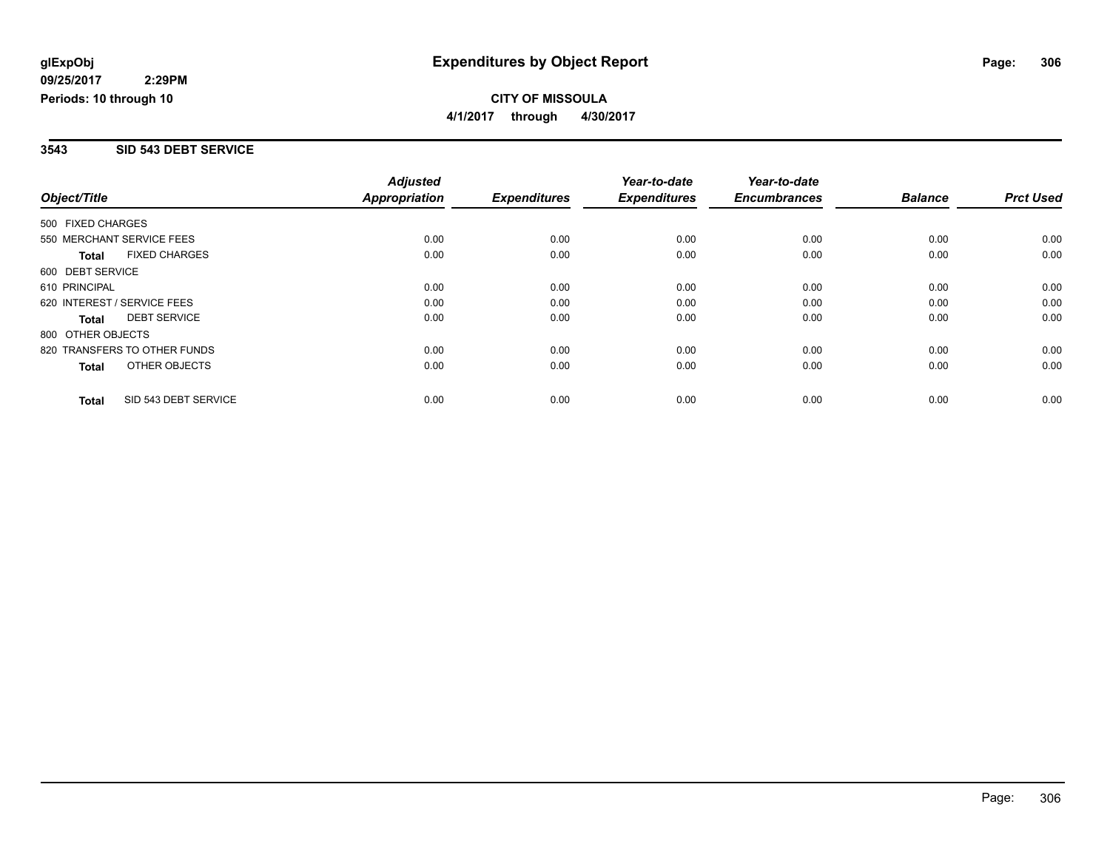### **3543 SID 543 DEBT SERVICE**

|                              |                      | <b>Adjusted</b>      |                     | Year-to-date        | Year-to-date        |                |                  |
|------------------------------|----------------------|----------------------|---------------------|---------------------|---------------------|----------------|------------------|
| Object/Title                 |                      | <b>Appropriation</b> | <b>Expenditures</b> | <b>Expenditures</b> | <b>Encumbrances</b> | <b>Balance</b> | <b>Prct Used</b> |
| 500 FIXED CHARGES            |                      |                      |                     |                     |                     |                |                  |
| 550 MERCHANT SERVICE FEES    |                      | 0.00                 | 0.00                | 0.00                | 0.00                | 0.00           | 0.00             |
| <b>Total</b>                 | <b>FIXED CHARGES</b> | 0.00                 | 0.00                | 0.00                | 0.00                | 0.00           | 0.00             |
| 600 DEBT SERVICE             |                      |                      |                     |                     |                     |                |                  |
| 610 PRINCIPAL                |                      | 0.00                 | 0.00                | 0.00                | 0.00                | 0.00           | 0.00             |
| 620 INTEREST / SERVICE FEES  |                      | 0.00                 | 0.00                | 0.00                | 0.00                | 0.00           | 0.00             |
| Total                        | <b>DEBT SERVICE</b>  | 0.00                 | 0.00                | 0.00                | 0.00                | 0.00           | 0.00             |
| 800 OTHER OBJECTS            |                      |                      |                     |                     |                     |                |                  |
| 820 TRANSFERS TO OTHER FUNDS |                      | 0.00                 | 0.00                | 0.00                | 0.00                | 0.00           | 0.00             |
| Total                        | OTHER OBJECTS        | 0.00                 | 0.00                | 0.00                | 0.00                | 0.00           | 0.00             |
| <b>Total</b>                 | SID 543 DEBT SERVICE | 0.00                 | 0.00                | 0.00                | 0.00                | 0.00           | 0.00             |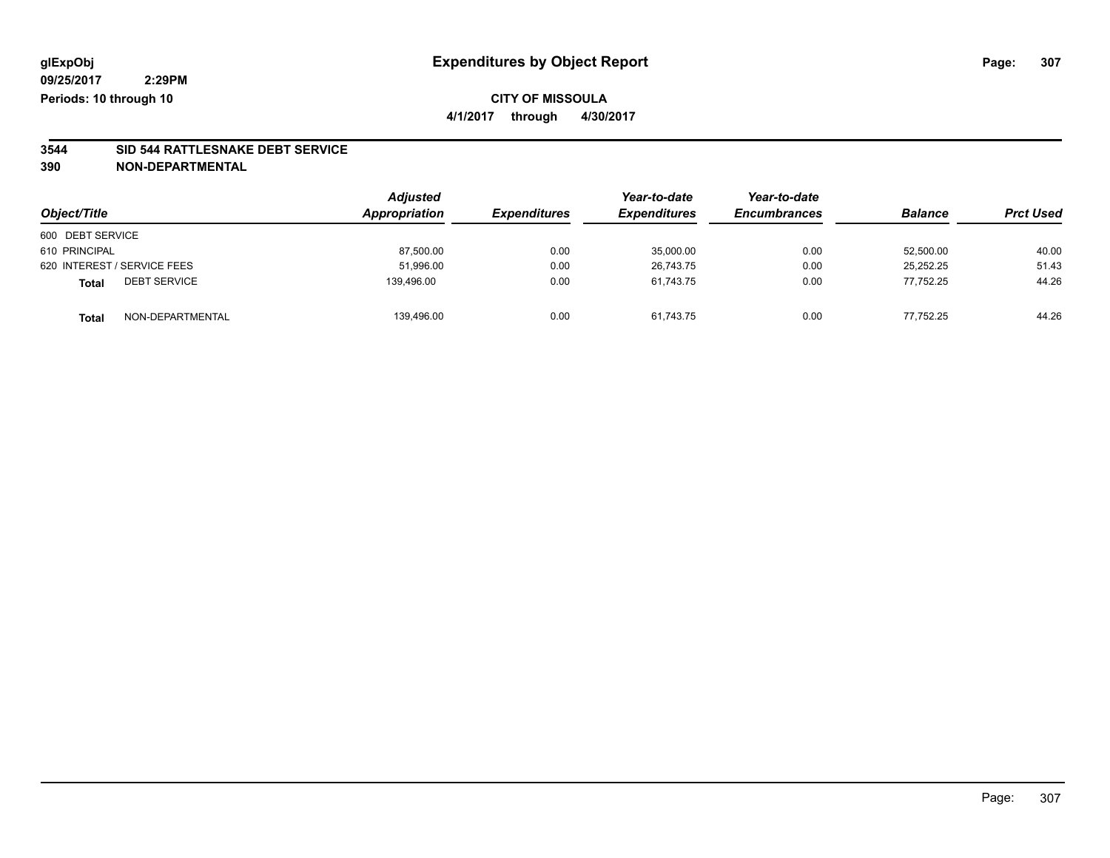**4/1/2017 through 4/30/2017**

# **3544 SID 544 RATTLESNAKE DEBT SERVICE**

| Object/Title                        | <b>Adjusted</b><br>Appropriation | <i><b>Expenditures</b></i> | Year-to-date<br><b>Expenditures</b> | Year-to-date<br><b>Encumbrances</b> | <b>Balance</b> | <b>Prct Used</b> |
|-------------------------------------|----------------------------------|----------------------------|-------------------------------------|-------------------------------------|----------------|------------------|
| 600 DEBT SERVICE                    |                                  |                            |                                     |                                     |                |                  |
| 610 PRINCIPAL                       | 87,500.00                        | 0.00                       | 35,000.00                           | 0.00                                | 52,500.00      | 40.00            |
| 620 INTEREST / SERVICE FEES         | 51,996.00                        | 0.00                       | 26.743.75                           | 0.00                                | 25.252.25      | 51.43            |
| <b>DEBT SERVICE</b><br><b>Total</b> | 139,496.00                       | 0.00                       | 61,743.75                           | 0.00                                | 77,752.25      | 44.26            |
| NON-DEPARTMENTAL<br>Total           | 139,496.00                       | 0.00                       | 61,743.75                           | 0.00                                | 77.752.25      | 44.26            |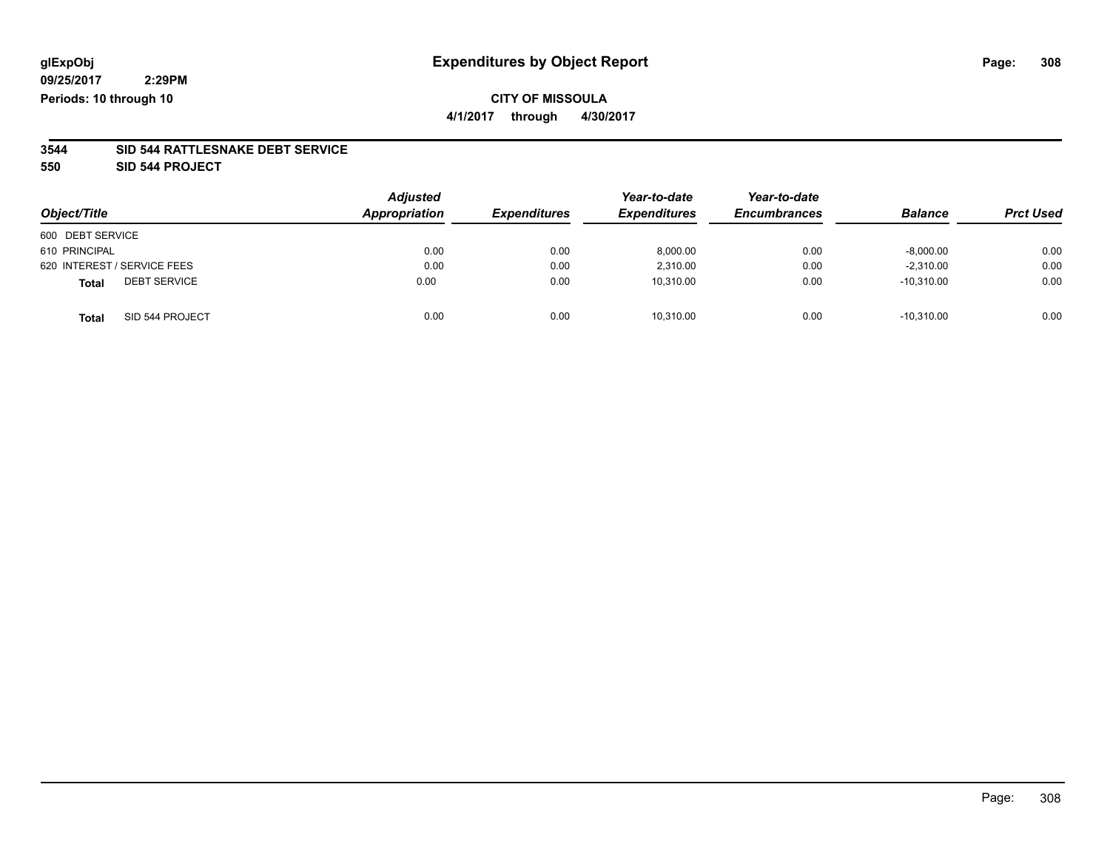## **CITY OF MISSOULA**

**4/1/2017 through 4/30/2017**

### **3544 SID 544 RATTLESNAKE DEBT SERVICE**

**550 SID 544 PROJECT**

| Object/Title                        | <b>Adjusted</b><br>Appropriation | <b>Expenditures</b> | Year-to-date<br><b>Expenditures</b> | Year-to-date<br><b>Encumbrances</b> | <b>Balance</b> | <b>Prct Used</b> |
|-------------------------------------|----------------------------------|---------------------|-------------------------------------|-------------------------------------|----------------|------------------|
| 600 DEBT SERVICE                    |                                  |                     |                                     |                                     |                |                  |
| 610 PRINCIPAL                       | 0.00                             | 0.00                | 8.000.00                            | 0.00                                | $-8,000.00$    | 0.00             |
| 620 INTEREST / SERVICE FEES         | 0.00                             | 0.00                | 2,310.00                            | 0.00                                | $-2,310.00$    | 0.00             |
| <b>DEBT SERVICE</b><br><b>Total</b> | 0.00                             | 0.00                | 10,310.00                           | 0.00                                | $-10,310.00$   | 0.00             |
| SID 544 PROJECT<br><b>Total</b>     | 0.00                             | 0.00                | 10.310.00                           | 0.00                                | $-10,310.00$   | 0.00             |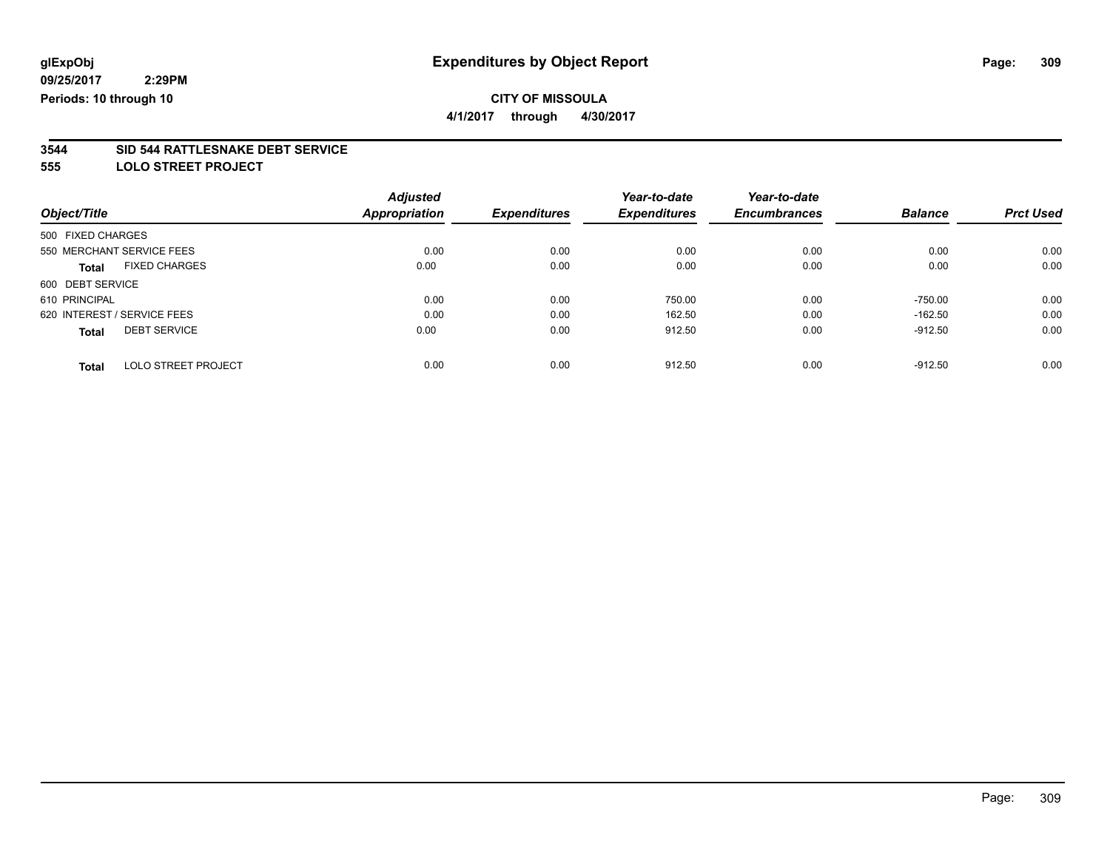**4/1/2017 through 4/30/2017**

# **3544 SID 544 RATTLESNAKE DEBT SERVICE**

**555 LOLO STREET PROJECT**

|                   |                             | <b>Adjusted</b>      |                     | Year-to-date        | Year-to-date        |                |                  |
|-------------------|-----------------------------|----------------------|---------------------|---------------------|---------------------|----------------|------------------|
| Object/Title      |                             | <b>Appropriation</b> | <b>Expenditures</b> | <b>Expenditures</b> | <b>Encumbrances</b> | <b>Balance</b> | <b>Prct Used</b> |
| 500 FIXED CHARGES |                             |                      |                     |                     |                     |                |                  |
|                   | 550 MERCHANT SERVICE FEES   | 0.00                 | 0.00                | 0.00                | 0.00                | 0.00           | 0.00             |
| <b>Total</b>      | <b>FIXED CHARGES</b>        | 0.00                 | 0.00                | 0.00                | 0.00                | 0.00           | 0.00             |
| 600 DEBT SERVICE  |                             |                      |                     |                     |                     |                |                  |
| 610 PRINCIPAL     |                             | 0.00                 | 0.00                | 750.00              | 0.00                | $-750.00$      | 0.00             |
|                   | 620 INTEREST / SERVICE FEES | 0.00                 | 0.00                | 162.50              | 0.00                | $-162.50$      | 0.00             |
| <b>Total</b>      | <b>DEBT SERVICE</b>         | 0.00                 | 0.00                | 912.50              | 0.00                | $-912.50$      | 0.00             |
| <b>Total</b>      | LOLO STREET PROJECT         | 0.00                 | 0.00                | 912.50              | 0.00                | $-912.50$      | 0.00             |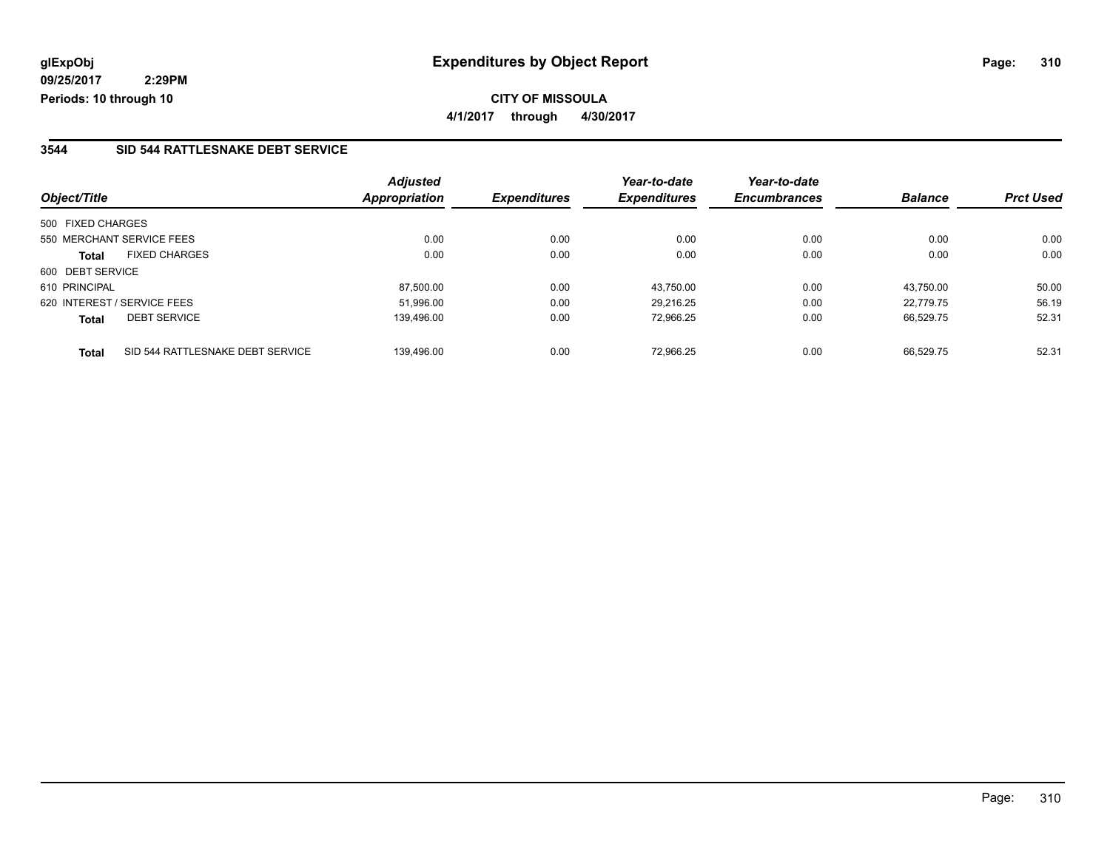### **3544 SID 544 RATTLESNAKE DEBT SERVICE**

|                                                  | <b>Adjusted</b>      |                     | Year-to-date        | Year-to-date        |                |                  |
|--------------------------------------------------|----------------------|---------------------|---------------------|---------------------|----------------|------------------|
| Object/Title                                     | <b>Appropriation</b> | <b>Expenditures</b> | <b>Expenditures</b> | <b>Encumbrances</b> | <b>Balance</b> | <b>Prct Used</b> |
| 500 FIXED CHARGES                                |                      |                     |                     |                     |                |                  |
| 550 MERCHANT SERVICE FEES                        | 0.00                 | 0.00                | 0.00                | 0.00                | 0.00           | 0.00             |
| <b>FIXED CHARGES</b><br><b>Total</b>             | 0.00                 | 0.00                | 0.00                | 0.00                | 0.00           | 0.00             |
| 600 DEBT SERVICE                                 |                      |                     |                     |                     |                |                  |
| 610 PRINCIPAL                                    | 87.500.00            | 0.00                | 43.750.00           | 0.00                | 43.750.00      | 50.00            |
| 620 INTEREST / SERVICE FEES                      | 51.996.00            | 0.00                | 29.216.25           | 0.00                | 22.779.75      | 56.19            |
| <b>DEBT SERVICE</b><br><b>Total</b>              | 139.496.00           | 0.00                | 72,966.25           | 0.00                | 66.529.75      | 52.31            |
| SID 544 RATTLESNAKE DEBT SERVICE<br><b>Total</b> | 139.496.00           | 0.00                | 72.966.25           | 0.00                | 66.529.75      | 52.31            |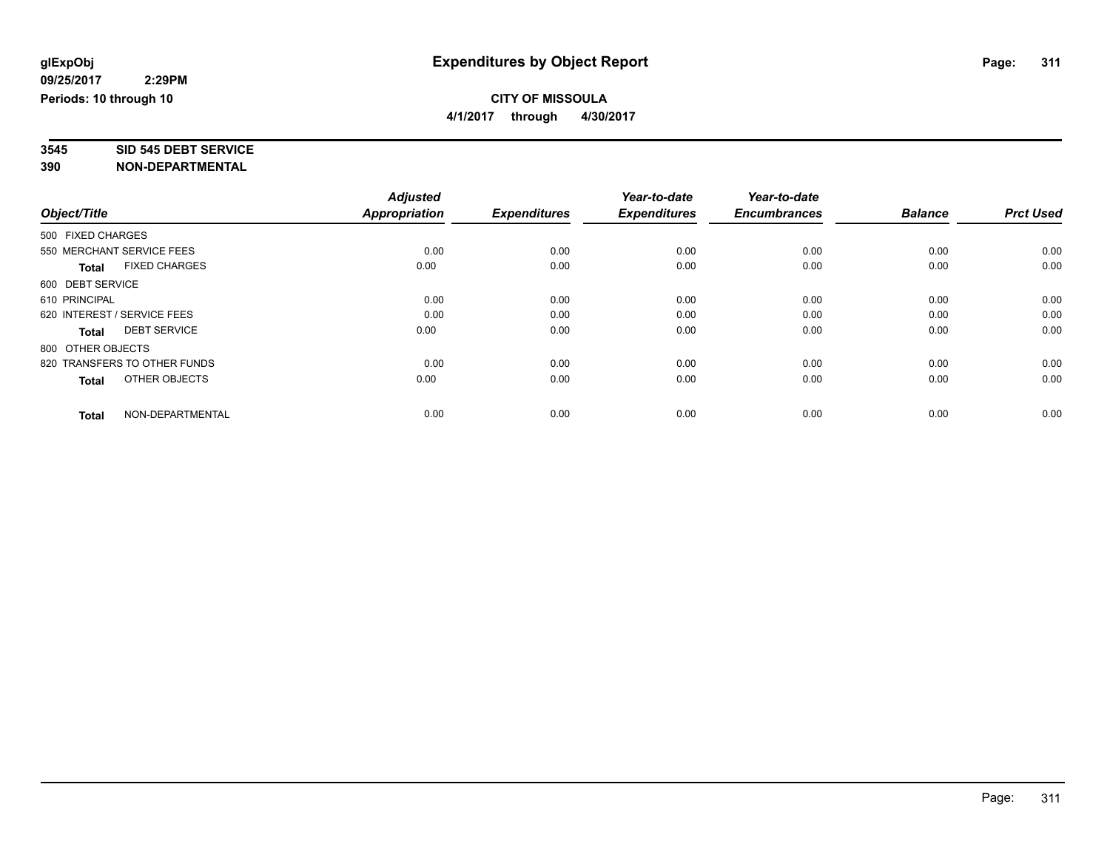# **3545 SID 545 DEBT SERVICE**

|                                      | <b>Adjusted</b> |                     | Year-to-date        | Year-to-date        |                |                  |
|--------------------------------------|-----------------|---------------------|---------------------|---------------------|----------------|------------------|
| Object/Title                         | Appropriation   | <b>Expenditures</b> | <b>Expenditures</b> | <b>Encumbrances</b> | <b>Balance</b> | <b>Prct Used</b> |
| 500 FIXED CHARGES                    |                 |                     |                     |                     |                |                  |
| 550 MERCHANT SERVICE FEES            | 0.00            | 0.00                | 0.00                | 0.00                | 0.00           | 0.00             |
| <b>FIXED CHARGES</b><br><b>Total</b> | 0.00            | 0.00                | 0.00                | 0.00                | 0.00           | 0.00             |
| 600 DEBT SERVICE                     |                 |                     |                     |                     |                |                  |
| 610 PRINCIPAL                        | 0.00            | 0.00                | 0.00                | 0.00                | 0.00           | 0.00             |
| 620 INTEREST / SERVICE FEES          | 0.00            | 0.00                | 0.00                | 0.00                | 0.00           | 0.00             |
| <b>DEBT SERVICE</b><br><b>Total</b>  | 0.00            | 0.00                | 0.00                | 0.00                | 0.00           | 0.00             |
| 800 OTHER OBJECTS                    |                 |                     |                     |                     |                |                  |
| 820 TRANSFERS TO OTHER FUNDS         | 0.00            | 0.00                | 0.00                | 0.00                | 0.00           | 0.00             |
| OTHER OBJECTS<br><b>Total</b>        | 0.00            | 0.00                | 0.00                | 0.00                | 0.00           | 0.00             |
|                                      |                 |                     |                     |                     |                |                  |
| NON-DEPARTMENTAL<br><b>Total</b>     | 0.00            | 0.00                | 0.00                | 0.00                | 0.00           | 0.00             |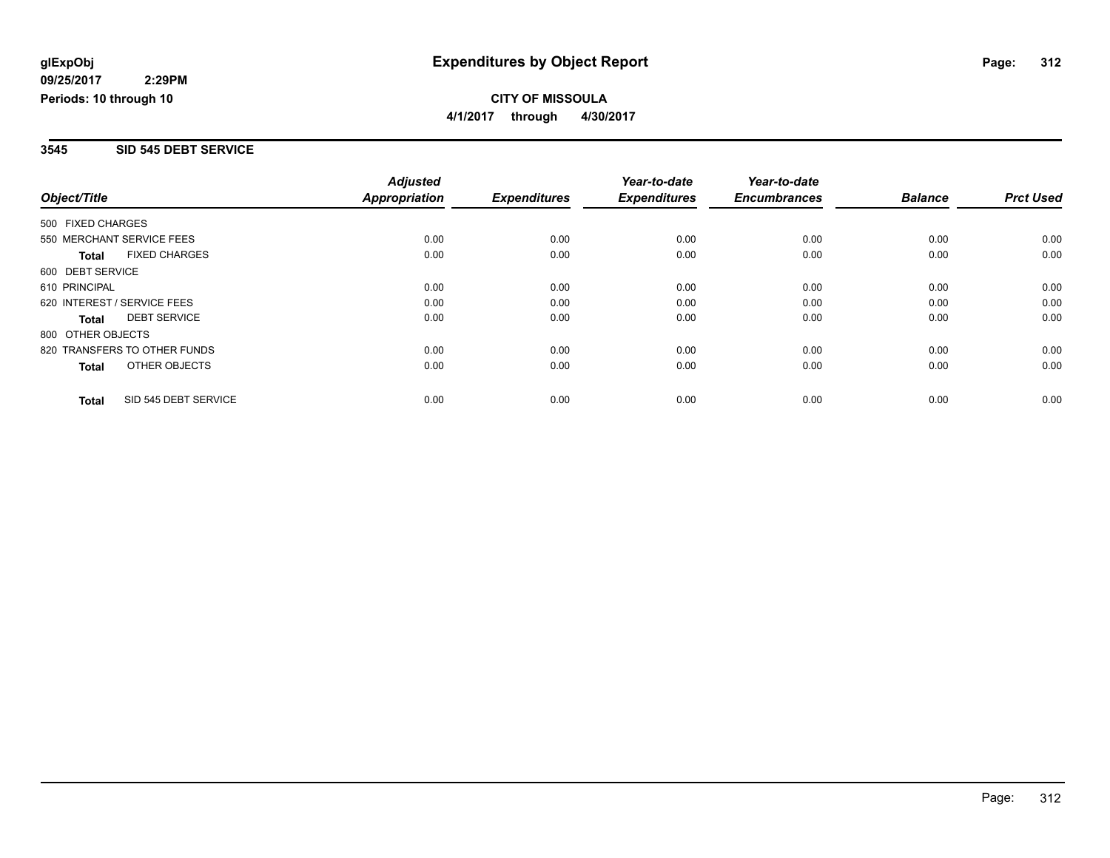### **3545 SID 545 DEBT SERVICE**

|                              |                      | <b>Adjusted</b>      |                     | Year-to-date        | Year-to-date        |                |                  |
|------------------------------|----------------------|----------------------|---------------------|---------------------|---------------------|----------------|------------------|
| Object/Title                 |                      | <b>Appropriation</b> | <b>Expenditures</b> | <b>Expenditures</b> | <b>Encumbrances</b> | <b>Balance</b> | <b>Prct Used</b> |
| 500 FIXED CHARGES            |                      |                      |                     |                     |                     |                |                  |
| 550 MERCHANT SERVICE FEES    |                      | 0.00                 | 0.00                | 0.00                | 0.00                | 0.00           | 0.00             |
| <b>Total</b>                 | <b>FIXED CHARGES</b> | 0.00                 | 0.00                | 0.00                | 0.00                | 0.00           | 0.00             |
| 600 DEBT SERVICE             |                      |                      |                     |                     |                     |                |                  |
| 610 PRINCIPAL                |                      | 0.00                 | 0.00                | 0.00                | 0.00                | 0.00           | 0.00             |
| 620 INTEREST / SERVICE FEES  |                      | 0.00                 | 0.00                | 0.00                | 0.00                | 0.00           | 0.00             |
| Total                        | <b>DEBT SERVICE</b>  | 0.00                 | 0.00                | 0.00                | 0.00                | 0.00           | 0.00             |
| 800 OTHER OBJECTS            |                      |                      |                     |                     |                     |                |                  |
| 820 TRANSFERS TO OTHER FUNDS |                      | 0.00                 | 0.00                | 0.00                | 0.00                | 0.00           | 0.00             |
| Total                        | OTHER OBJECTS        | 0.00                 | 0.00                | 0.00                | 0.00                | 0.00           | 0.00             |
| <b>Total</b>                 | SID 545 DEBT SERVICE | 0.00                 | 0.00                | 0.00                | 0.00                | 0.00           | 0.00             |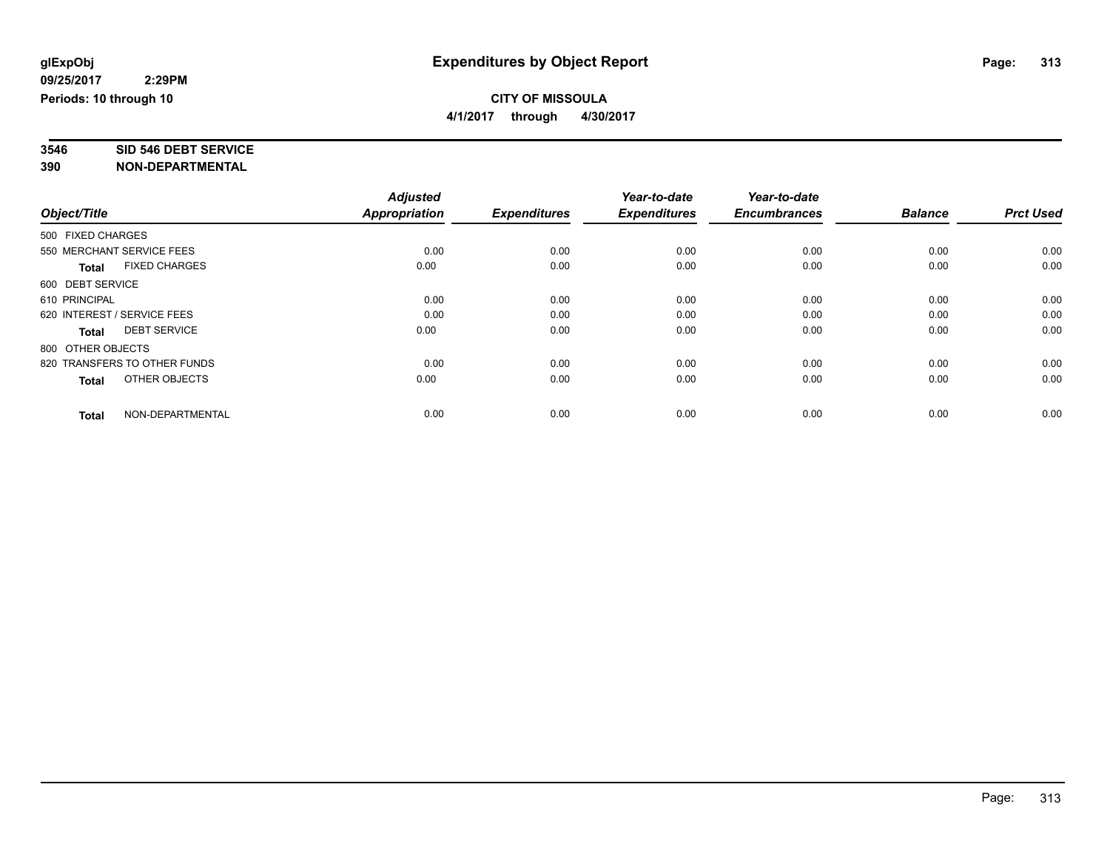# **3546 SID 546 DEBT SERVICE**

|                                      | <b>Adjusted</b>      |                     | Year-to-date        | Year-to-date        |                |                  |
|--------------------------------------|----------------------|---------------------|---------------------|---------------------|----------------|------------------|
| Object/Title                         | <b>Appropriation</b> | <b>Expenditures</b> | <b>Expenditures</b> | <b>Encumbrances</b> | <b>Balance</b> | <b>Prct Used</b> |
| 500 FIXED CHARGES                    |                      |                     |                     |                     |                |                  |
| 550 MERCHANT SERVICE FEES            | 0.00                 | 0.00                | 0.00                | 0.00                | 0.00           | 0.00             |
| <b>FIXED CHARGES</b><br><b>Total</b> | 0.00                 | 0.00                | 0.00                | 0.00                | 0.00           | 0.00             |
| 600 DEBT SERVICE                     |                      |                     |                     |                     |                |                  |
| 610 PRINCIPAL                        | 0.00                 | 0.00                | 0.00                | 0.00                | 0.00           | 0.00             |
| 620 INTEREST / SERVICE FEES          | 0.00                 | 0.00                | 0.00                | 0.00                | 0.00           | 0.00             |
| <b>DEBT SERVICE</b><br><b>Total</b>  | 0.00                 | 0.00                | 0.00                | 0.00                | 0.00           | 0.00             |
| 800 OTHER OBJECTS                    |                      |                     |                     |                     |                |                  |
| 820 TRANSFERS TO OTHER FUNDS         | 0.00                 | 0.00                | 0.00                | 0.00                | 0.00           | 0.00             |
| OTHER OBJECTS<br><b>Total</b>        | 0.00                 | 0.00                | 0.00                | 0.00                | 0.00           | 0.00             |
|                                      |                      |                     |                     |                     |                |                  |
| NON-DEPARTMENTAL<br><b>Total</b>     | 0.00                 | 0.00                | 0.00                | 0.00                | 0.00           | 0.00             |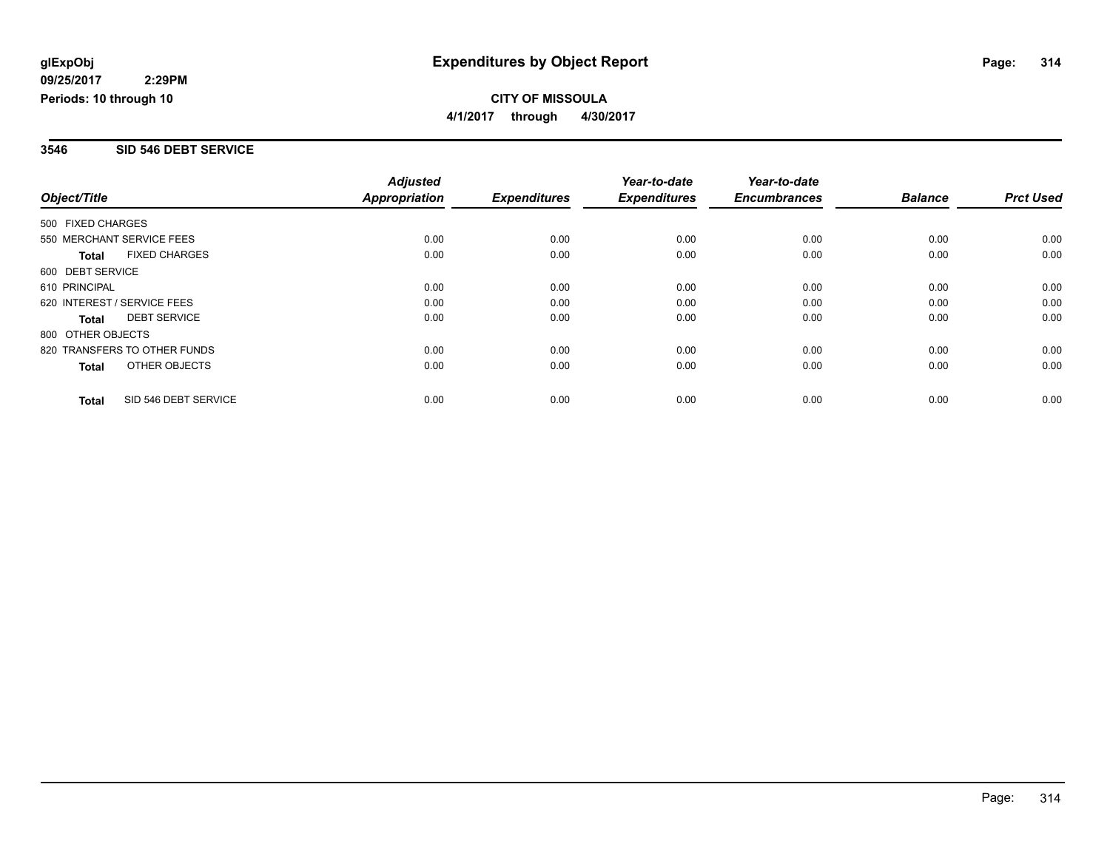### **3546 SID 546 DEBT SERVICE**

|                              |                      | <b>Adjusted</b>      |                     | Year-to-date        | Year-to-date        |                |                  |
|------------------------------|----------------------|----------------------|---------------------|---------------------|---------------------|----------------|------------------|
| Object/Title                 |                      | <b>Appropriation</b> | <b>Expenditures</b> | <b>Expenditures</b> | <b>Encumbrances</b> | <b>Balance</b> | <b>Prct Used</b> |
| 500 FIXED CHARGES            |                      |                      |                     |                     |                     |                |                  |
| 550 MERCHANT SERVICE FEES    |                      | 0.00                 | 0.00                | 0.00                | 0.00                | 0.00           | 0.00             |
| <b>Total</b>                 | <b>FIXED CHARGES</b> | 0.00                 | 0.00                | 0.00                | 0.00                | 0.00           | 0.00             |
| 600 DEBT SERVICE             |                      |                      |                     |                     |                     |                |                  |
| 610 PRINCIPAL                |                      | 0.00                 | 0.00                | 0.00                | 0.00                | 0.00           | 0.00             |
| 620 INTEREST / SERVICE FEES  |                      | 0.00                 | 0.00                | 0.00                | 0.00                | 0.00           | 0.00             |
| Total                        | <b>DEBT SERVICE</b>  | 0.00                 | 0.00                | 0.00                | 0.00                | 0.00           | 0.00             |
| 800 OTHER OBJECTS            |                      |                      |                     |                     |                     |                |                  |
| 820 TRANSFERS TO OTHER FUNDS |                      | 0.00                 | 0.00                | 0.00                | 0.00                | 0.00           | 0.00             |
| Total                        | OTHER OBJECTS        | 0.00                 | 0.00                | 0.00                | 0.00                | 0.00           | 0.00             |
| <b>Total</b>                 | SID 546 DEBT SERVICE | 0.00                 | 0.00                | 0.00                | 0.00                | 0.00           | 0.00             |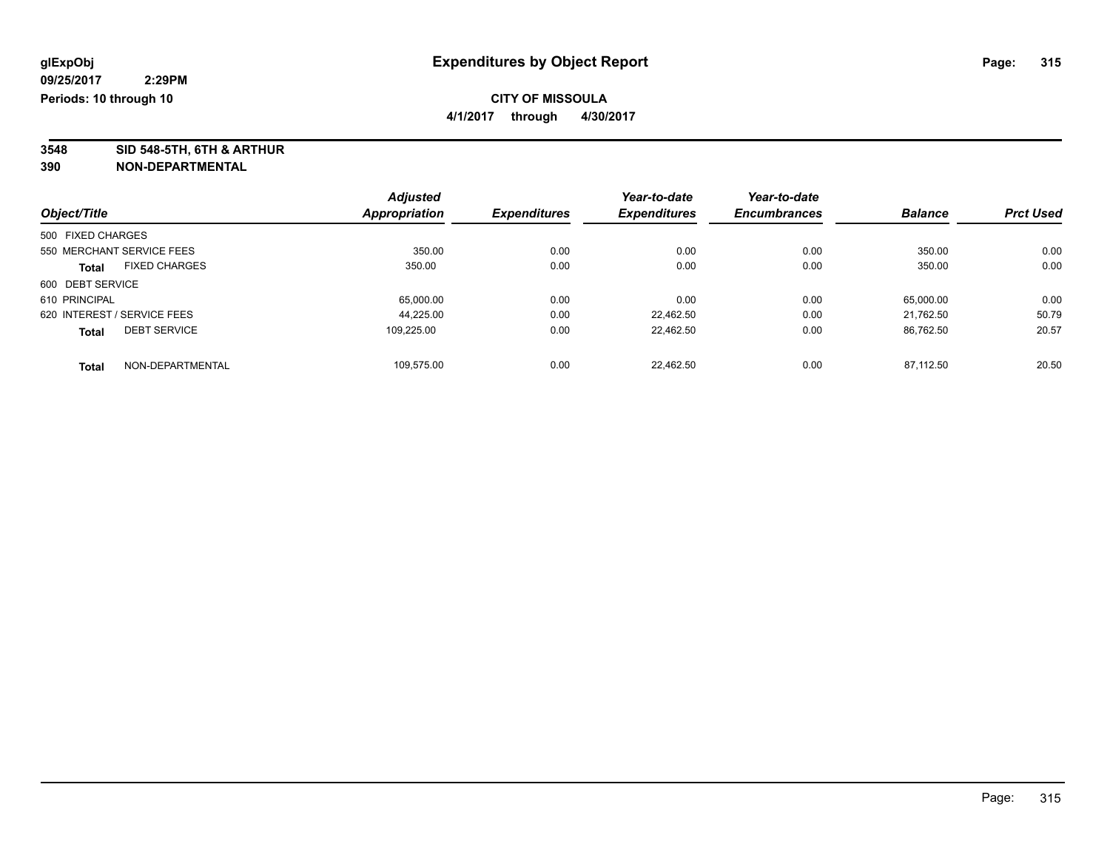**4/1/2017 through 4/30/2017**

**3548 SID 548-5TH, 6TH & ARTHUR**

|                   |                             | <b>Adjusted</b> |                     | Year-to-date        | Year-to-date        |                |                  |
|-------------------|-----------------------------|-----------------|---------------------|---------------------|---------------------|----------------|------------------|
| Object/Title      |                             | Appropriation   | <b>Expenditures</b> | <b>Expenditures</b> | <b>Encumbrances</b> | <b>Balance</b> | <b>Prct Used</b> |
| 500 FIXED CHARGES |                             |                 |                     |                     |                     |                |                  |
|                   | 550 MERCHANT SERVICE FEES   | 350.00          | 0.00                | 0.00                | 0.00                | 350.00         | 0.00             |
| <b>Total</b>      | <b>FIXED CHARGES</b>        | 350.00          | 0.00                | 0.00                | 0.00                | 350.00         | 0.00             |
| 600 DEBT SERVICE  |                             |                 |                     |                     |                     |                |                  |
| 610 PRINCIPAL     |                             | 65.000.00       | 0.00                | 0.00                | 0.00                | 65,000.00      | 0.00             |
|                   | 620 INTEREST / SERVICE FEES | 44.225.00       | 0.00                | 22.462.50           | 0.00                | 21.762.50      | 50.79            |
| <b>Total</b>      | <b>DEBT SERVICE</b>         | 109.225.00      | 0.00                | 22.462.50           | 0.00                | 86.762.50      | 20.57            |
| <b>Total</b>      | NON-DEPARTMENTAL            | 109.575.00      | 0.00                | 22.462.50           | 0.00                | 87.112.50      | 20.50            |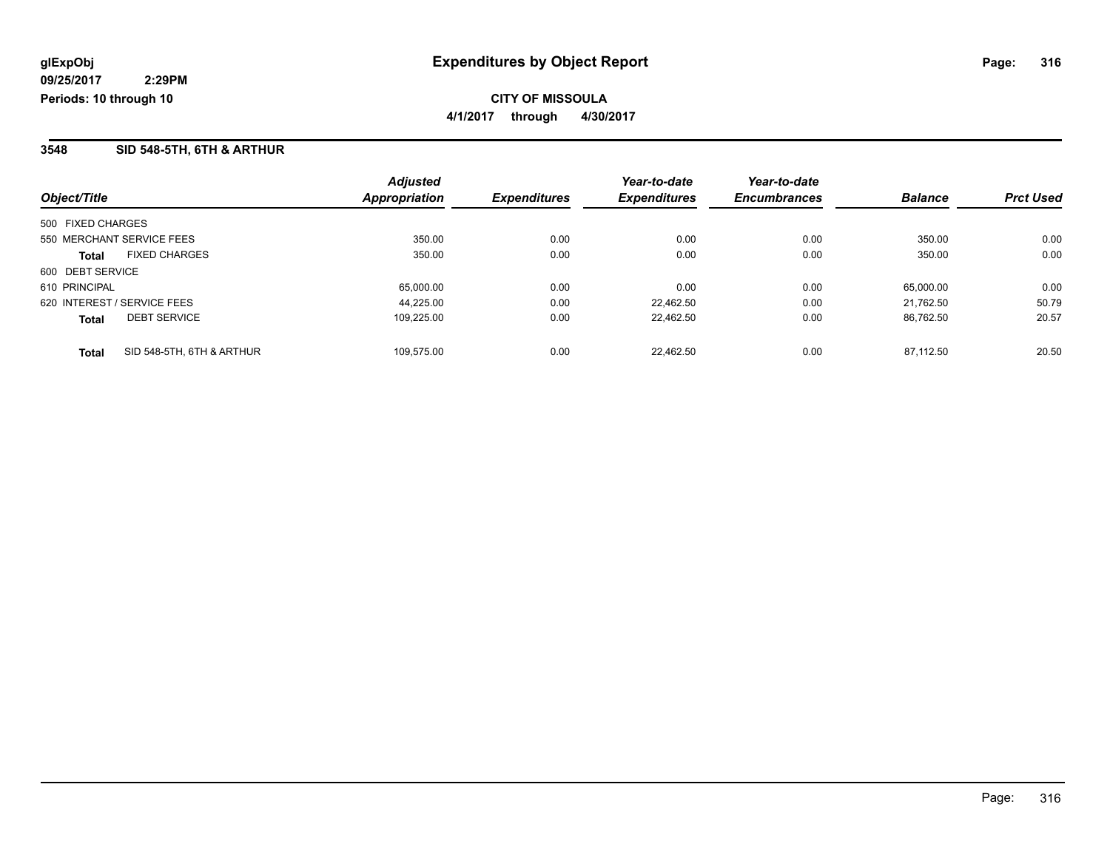### **3548 SID 548-5TH, 6TH & ARTHUR**

| Object/Title                              | <b>Adjusted</b><br><b>Appropriation</b> | <b>Expenditures</b> | Year-to-date<br><b>Expenditures</b> | Year-to-date<br><b>Encumbrances</b> | <b>Balance</b> | <b>Prct Used</b> |
|-------------------------------------------|-----------------------------------------|---------------------|-------------------------------------|-------------------------------------|----------------|------------------|
|                                           |                                         |                     |                                     |                                     |                |                  |
| 500 FIXED CHARGES                         |                                         |                     |                                     |                                     |                |                  |
| 550 MERCHANT SERVICE FEES                 | 350.00                                  | 0.00                | 0.00                                | 0.00                                | 350.00         | 0.00             |
| <b>FIXED CHARGES</b><br>Total             | 350.00                                  | 0.00                | 0.00                                | 0.00                                | 350.00         | 0.00             |
| 600 DEBT SERVICE                          |                                         |                     |                                     |                                     |                |                  |
| 610 PRINCIPAL                             | 65,000.00                               | 0.00                | 0.00                                | 0.00                                | 65.000.00      | 0.00             |
| 620 INTEREST / SERVICE FEES               | 44.225.00                               | 0.00                | 22.462.50                           | 0.00                                | 21.762.50      | 50.79            |
| <b>DEBT SERVICE</b><br><b>Total</b>       | 109.225.00                              | 0.00                | 22.462.50                           | 0.00                                | 86.762.50      | 20.57            |
| SID 548-5TH, 6TH & ARTHUR<br><b>Total</b> | 109.575.00                              | 0.00                | 22.462.50                           | 0.00                                | 87.112.50      | 20.50            |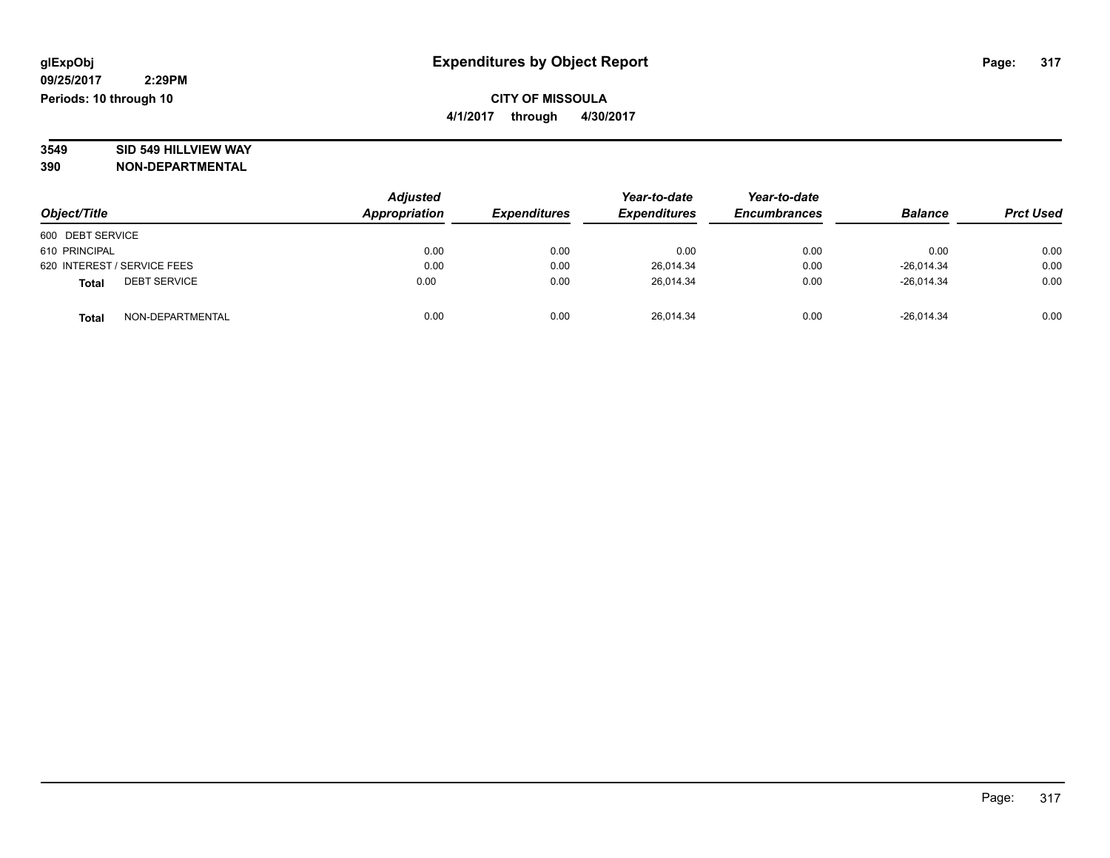# **3549 SID 549 HILLVIEW WAY**

| Object/Title                        | <b>Adjusted</b><br>Appropriation | <b>Expenditures</b> | Year-to-date<br><b>Expenditures</b> | Year-to-date<br><b>Encumbrances</b> | <b>Balance</b> | <b>Prct Used</b> |
|-------------------------------------|----------------------------------|---------------------|-------------------------------------|-------------------------------------|----------------|------------------|
| 600 DEBT SERVICE                    |                                  |                     |                                     |                                     |                |                  |
| 610 PRINCIPAL                       | 0.00                             | 0.00                | 0.00                                | 0.00                                | 0.00           | 0.00             |
| 620 INTEREST / SERVICE FEES         | 0.00                             | 0.00                | 26.014.34                           | 0.00                                | $-26.014.34$   | 0.00             |
| <b>DEBT SERVICE</b><br><b>Total</b> | 0.00                             | 0.00                | 26.014.34                           | 0.00                                | $-26.014.34$   | 0.00             |
| NON-DEPARTMENTAL<br><b>Total</b>    | 0.00                             | 0.00                | 26,014.34                           | 0.00                                | $-26,014.34$   | 0.00             |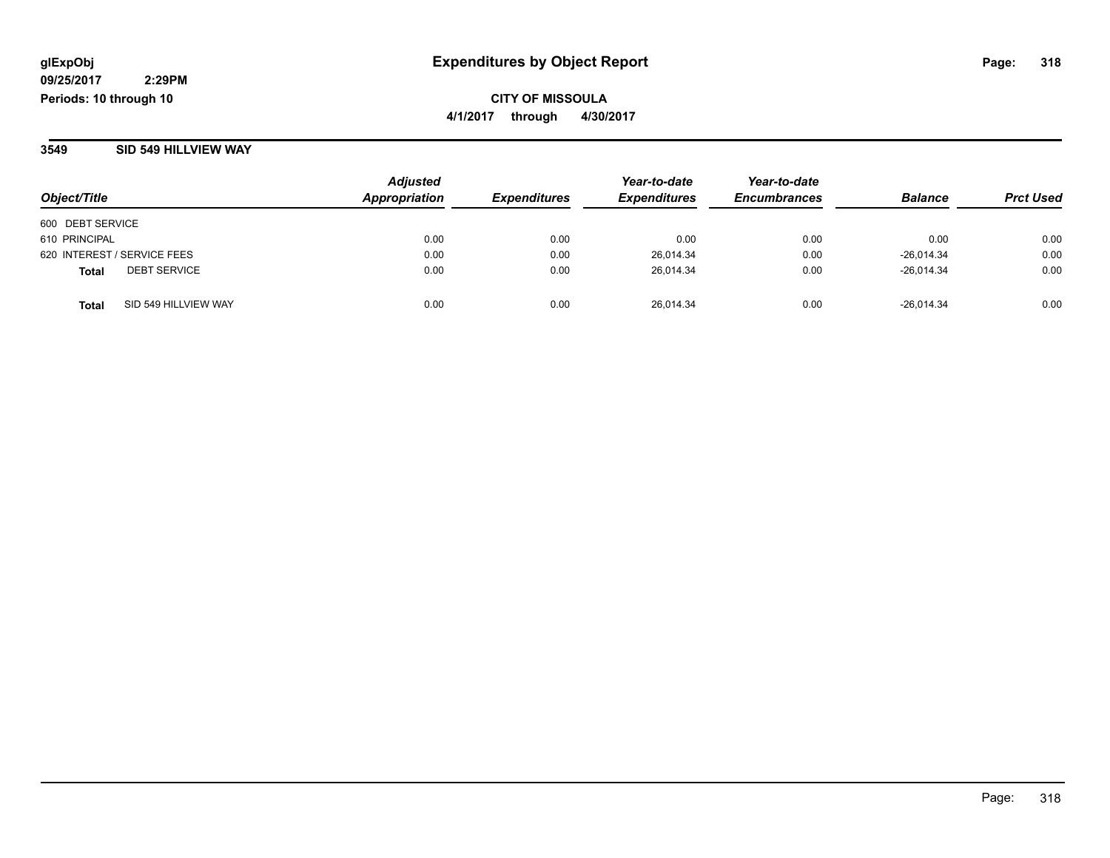**CITY OF MISSOULA 4/1/2017 through 4/30/2017**

#### **3549 SID 549 HILLVIEW WAY**

| Object/Title                         | Adjusted<br><b>Appropriation</b> | <b>Expenditures</b> | Year-to-date<br><b>Expenditures</b> | Year-to-date<br><b>Encumbrances</b> | <b>Balance</b> | <b>Prct Used</b> |
|--------------------------------------|----------------------------------|---------------------|-------------------------------------|-------------------------------------|----------------|------------------|
| 600 DEBT SERVICE                     |                                  |                     |                                     |                                     |                |                  |
| 610 PRINCIPAL                        | 0.00                             | 0.00                | 0.00                                | 0.00                                | 0.00           | 0.00             |
| 620 INTEREST / SERVICE FEES          | 0.00                             | 0.00                | 26,014.34                           | 0.00                                | $-26,014.34$   | 0.00             |
| <b>DEBT SERVICE</b><br><b>Total</b>  | 0.00                             | 0.00                | 26,014.34                           | 0.00                                | $-26.014.34$   | 0.00             |
| SID 549 HILLVIEW WAY<br><b>Total</b> | 0.00                             | 0.00                | 26.014.34                           | 0.00                                | $-26.014.34$   | 0.00             |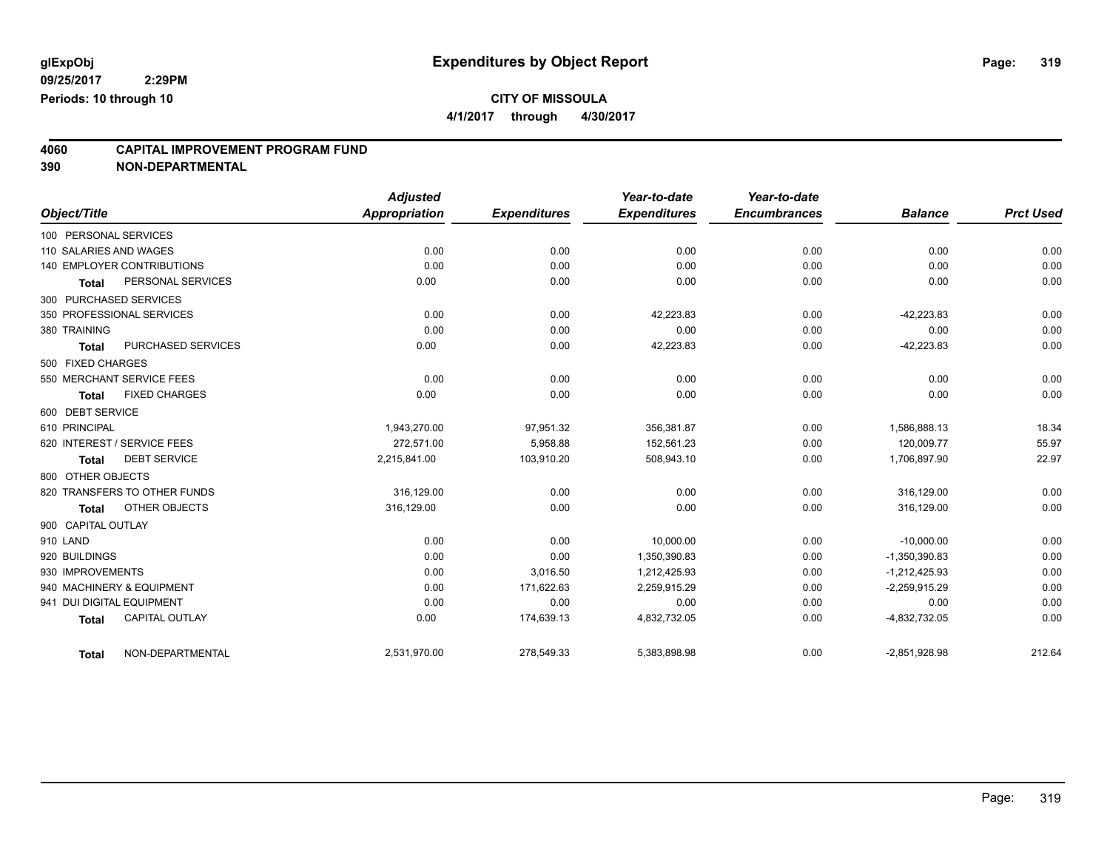**4/1/2017 through 4/30/2017**

## **4060 CAPITAL IMPROVEMENT PROGRAM FUND**

|                        |                                   | <b>Adjusted</b> |                     | Year-to-date        | Year-to-date        |                 |                  |
|------------------------|-----------------------------------|-----------------|---------------------|---------------------|---------------------|-----------------|------------------|
| Object/Title           |                                   | Appropriation   | <b>Expenditures</b> | <b>Expenditures</b> | <b>Encumbrances</b> | <b>Balance</b>  | <b>Prct Used</b> |
| 100 PERSONAL SERVICES  |                                   |                 |                     |                     |                     |                 |                  |
| 110 SALARIES AND WAGES |                                   | 0.00            | 0.00                | 0.00                | 0.00                | 0.00            | 0.00             |
|                        | <b>140 EMPLOYER CONTRIBUTIONS</b> | 0.00            | 0.00                | 0.00                | 0.00                | 0.00            | 0.00             |
| <b>Total</b>           | PERSONAL SERVICES                 | 0.00            | 0.00                | 0.00                | 0.00                | 0.00            | 0.00             |
|                        | 300 PURCHASED SERVICES            |                 |                     |                     |                     |                 |                  |
|                        | 350 PROFESSIONAL SERVICES         | 0.00            | 0.00                | 42,223.83           | 0.00                | $-42.223.83$    | 0.00             |
| 380 TRAINING           |                                   | 0.00            | 0.00                | 0.00                | 0.00                | 0.00            | 0.00             |
| <b>Total</b>           | PURCHASED SERVICES                | 0.00            | 0.00                | 42,223.83           | 0.00                | $-42,223.83$    | 0.00             |
| 500 FIXED CHARGES      |                                   |                 |                     |                     |                     |                 |                  |
|                        | 550 MERCHANT SERVICE FEES         | 0.00            | 0.00                | 0.00                | 0.00                | 0.00            | 0.00             |
| <b>Total</b>           | <b>FIXED CHARGES</b>              | 0.00            | 0.00                | 0.00                | 0.00                | 0.00            | 0.00             |
| 600 DEBT SERVICE       |                                   |                 |                     |                     |                     |                 |                  |
| 610 PRINCIPAL          |                                   | 1,943,270.00    | 97,951.32           | 356,381.87          | 0.00                | 1,586,888.13    | 18.34            |
|                        | 620 INTEREST / SERVICE FEES       | 272,571.00      | 5,958.88            | 152,561.23          | 0.00                | 120,009.77      | 55.97            |
| <b>Total</b>           | <b>DEBT SERVICE</b>               | 2,215,841.00    | 103,910.20          | 508,943.10          | 0.00                | 1,706,897.90    | 22.97            |
| 800 OTHER OBJECTS      |                                   |                 |                     |                     |                     |                 |                  |
|                        | 820 TRANSFERS TO OTHER FUNDS      | 316,129.00      | 0.00                | 0.00                | 0.00                | 316,129.00      | 0.00             |
| Total                  | OTHER OBJECTS                     | 316,129.00      | 0.00                | 0.00                | 0.00                | 316,129.00      | 0.00             |
| 900 CAPITAL OUTLAY     |                                   |                 |                     |                     |                     |                 |                  |
| 910 LAND               |                                   | 0.00            | 0.00                | 10,000.00           | 0.00                | $-10,000.00$    | 0.00             |
| 920 BUILDINGS          |                                   | 0.00            | 0.00                | 1,350,390.83        | 0.00                | $-1,350,390.83$ | 0.00             |
| 930 IMPROVEMENTS       |                                   | 0.00            | 3,016.50            | 1,212,425.93        | 0.00                | $-1,212,425.93$ | 0.00             |
|                        | 940 MACHINERY & EQUIPMENT         | 0.00            | 171,622.63          | 2,259,915.29        | 0.00                | $-2,259,915.29$ | 0.00             |
|                        | 941 DUI DIGITAL EQUIPMENT         | 0.00            | 0.00                | 0.00                | 0.00                | 0.00            | 0.00             |
| <b>Total</b>           | <b>CAPITAL OUTLAY</b>             | 0.00            | 174,639.13          | 4,832,732.05        | 0.00                | $-4,832,732.05$ | 0.00             |
| <b>Total</b>           | NON-DEPARTMENTAL                  | 2,531,970.00    | 278,549.33          | 5,383,898.98        | 0.00                | $-2,851,928.98$ | 212.64           |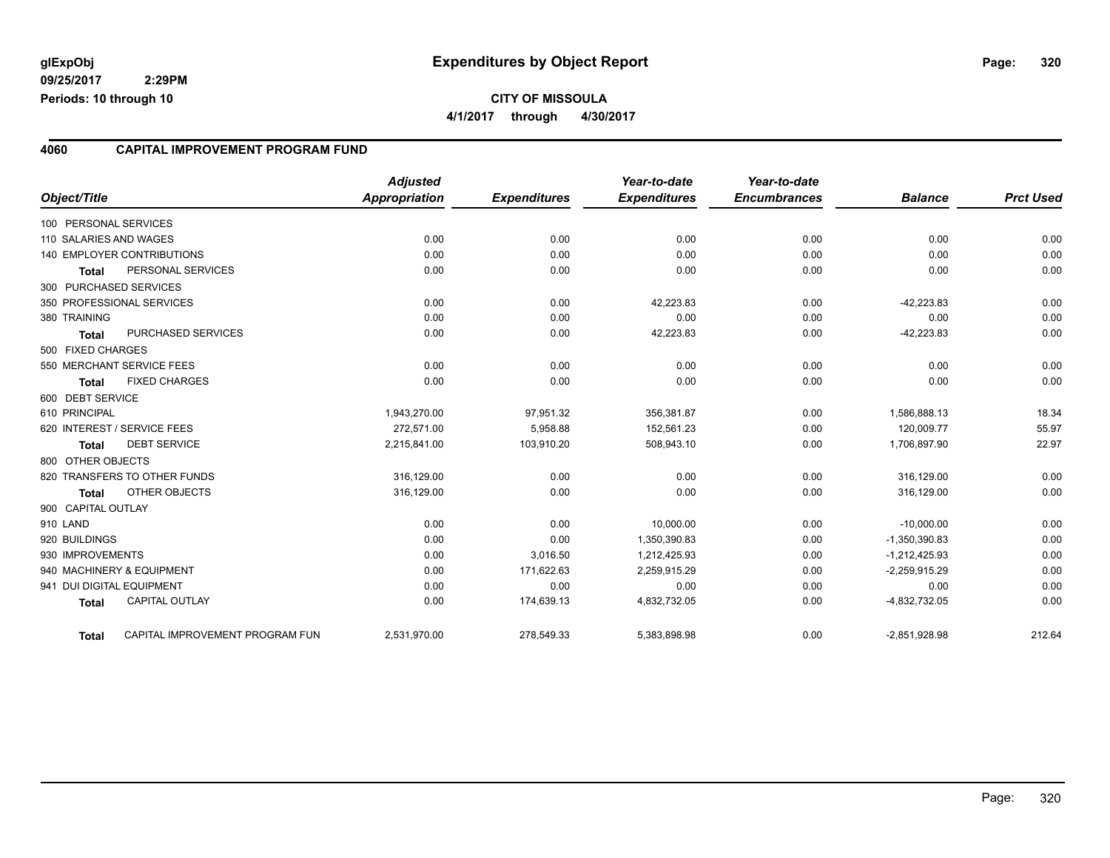#### **4060 CAPITAL IMPROVEMENT PROGRAM FUND**

| Object/Title              |                                 | <b>Adjusted</b><br><b>Appropriation</b> | <b>Expenditures</b> | Year-to-date<br><b>Expenditures</b> | Year-to-date<br><b>Encumbrances</b> | <b>Balance</b>  | <b>Prct Used</b> |
|---------------------------|---------------------------------|-----------------------------------------|---------------------|-------------------------------------|-------------------------------------|-----------------|------------------|
| 100 PERSONAL SERVICES     |                                 |                                         |                     |                                     |                                     |                 |                  |
| 110 SALARIES AND WAGES    |                                 | 0.00                                    | 0.00                | 0.00                                | 0.00                                | 0.00            | 0.00             |
|                           | 140 EMPLOYER CONTRIBUTIONS      | 0.00                                    | 0.00                | 0.00                                | 0.00                                | 0.00            | 0.00             |
| Total                     | PERSONAL SERVICES               | 0.00                                    | 0.00                | 0.00                                | 0.00                                | 0.00            | 0.00             |
| 300 PURCHASED SERVICES    |                                 |                                         |                     |                                     |                                     |                 |                  |
|                           | 350 PROFESSIONAL SERVICES       | 0.00                                    | 0.00                | 42,223.83                           | 0.00                                | $-42,223.83$    | 0.00             |
| 380 TRAINING              |                                 | 0.00                                    | 0.00                | 0.00                                | 0.00                                | 0.00            | 0.00             |
| Total                     | PURCHASED SERVICES              | 0.00                                    | 0.00                | 42,223.83                           | 0.00                                | $-42,223.83$    | 0.00             |
| 500 FIXED CHARGES         |                                 |                                         |                     |                                     |                                     |                 |                  |
|                           | 550 MERCHANT SERVICE FEES       | 0.00                                    | 0.00                | 0.00                                | 0.00                                | 0.00            | 0.00             |
| <b>Total</b>              | <b>FIXED CHARGES</b>            | 0.00                                    | 0.00                | 0.00                                | 0.00                                | 0.00            | 0.00             |
| 600 DEBT SERVICE          |                                 |                                         |                     |                                     |                                     |                 |                  |
| 610 PRINCIPAL             |                                 | 1,943,270.00                            | 97,951.32           | 356,381.87                          | 0.00                                | 1,586,888.13    | 18.34            |
|                           | 620 INTEREST / SERVICE FEES     | 272.571.00                              | 5,958.88            | 152,561.23                          | 0.00                                | 120.009.77      | 55.97            |
| <b>Total</b>              | <b>DEBT SERVICE</b>             | 2,215,841.00                            | 103,910.20          | 508,943.10                          | 0.00                                | 1,706,897.90    | 22.97            |
| 800 OTHER OBJECTS         |                                 |                                         |                     |                                     |                                     |                 |                  |
|                           | 820 TRANSFERS TO OTHER FUNDS    | 316,129.00                              | 0.00                | 0.00                                | 0.00                                | 316,129.00      | 0.00             |
| <b>Total</b>              | OTHER OBJECTS                   | 316,129.00                              | 0.00                | 0.00                                | 0.00                                | 316,129.00      | 0.00             |
| 900 CAPITAL OUTLAY        |                                 |                                         |                     |                                     |                                     |                 |                  |
| 910 LAND                  |                                 | 0.00                                    | 0.00                | 10.000.00                           | 0.00                                | $-10,000.00$    | 0.00             |
| 920 BUILDINGS             |                                 | 0.00                                    | 0.00                | 1,350,390.83                        | 0.00                                | $-1,350,390.83$ | 0.00             |
| 930 IMPROVEMENTS          |                                 | 0.00                                    | 3,016.50            | 1,212,425.93                        | 0.00                                | $-1,212,425.93$ | 0.00             |
|                           | 940 MACHINERY & EQUIPMENT       | 0.00                                    | 171,622.63          | 2,259,915.29                        | 0.00                                | $-2,259,915.29$ | 0.00             |
| 941 DUI DIGITAL EQUIPMENT |                                 | 0.00                                    | 0.00                | 0.00                                | 0.00                                | 0.00            | 0.00             |
| <b>Total</b>              | <b>CAPITAL OUTLAY</b>           | 0.00                                    | 174,639.13          | 4,832,732.05                        | 0.00                                | -4,832,732.05   | 0.00             |
| Total                     | CAPITAL IMPROVEMENT PROGRAM FUN | 2,531,970.00                            | 278,549.33          | 5,383,898.98                        | 0.00                                | $-2,851,928.98$ | 212.64           |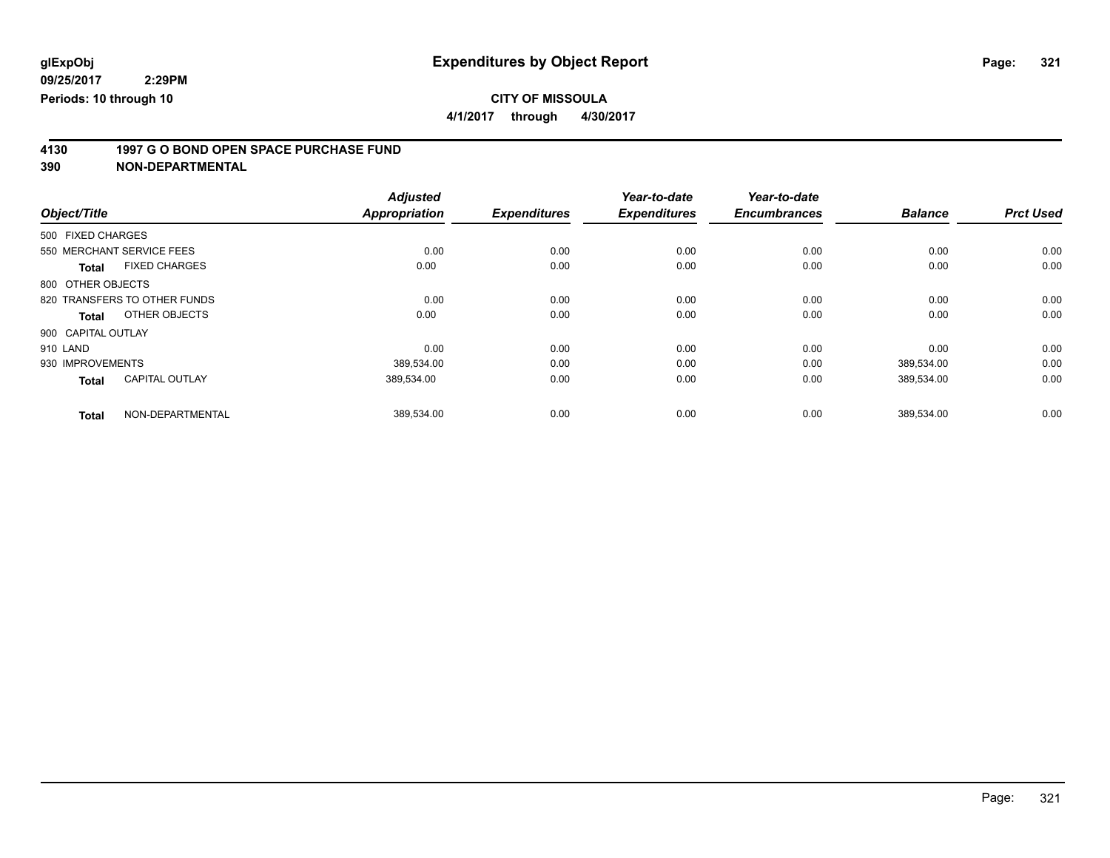**4/1/2017 through 4/30/2017**

# **4130 1997 G O BOND OPEN SPACE PURCHASE FUND**

|                    |                              | <b>Adjusted</b>      |                     | Year-to-date        | Year-to-date        |                |                  |
|--------------------|------------------------------|----------------------|---------------------|---------------------|---------------------|----------------|------------------|
| Object/Title       |                              | <b>Appropriation</b> | <b>Expenditures</b> | <b>Expenditures</b> | <b>Encumbrances</b> | <b>Balance</b> | <b>Prct Used</b> |
| 500 FIXED CHARGES  |                              |                      |                     |                     |                     |                |                  |
|                    | 550 MERCHANT SERVICE FEES    | 0.00                 | 0.00                | 0.00                | 0.00                | 0.00           | 0.00             |
| <b>Total</b>       | <b>FIXED CHARGES</b>         | 0.00                 | 0.00                | 0.00                | 0.00                | 0.00           | 0.00             |
| 800 OTHER OBJECTS  |                              |                      |                     |                     |                     |                |                  |
|                    | 820 TRANSFERS TO OTHER FUNDS | 0.00                 | 0.00                | 0.00                | 0.00                | 0.00           | 0.00             |
| Total              | OTHER OBJECTS                | 0.00                 | 0.00                | 0.00                | 0.00                | 0.00           | 0.00             |
| 900 CAPITAL OUTLAY |                              |                      |                     |                     |                     |                |                  |
| 910 LAND           |                              | 0.00                 | 0.00                | 0.00                | 0.00                | 0.00           | 0.00             |
| 930 IMPROVEMENTS   |                              | 389,534.00           | 0.00                | 0.00                | 0.00                | 389,534.00     | 0.00             |
| <b>Total</b>       | <b>CAPITAL OUTLAY</b>        | 389,534.00           | 0.00                | 0.00                | 0.00                | 389,534.00     | 0.00             |
| <b>Total</b>       | NON-DEPARTMENTAL             | 389,534.00           | 0.00                | 0.00                | 0.00                | 389,534.00     | 0.00             |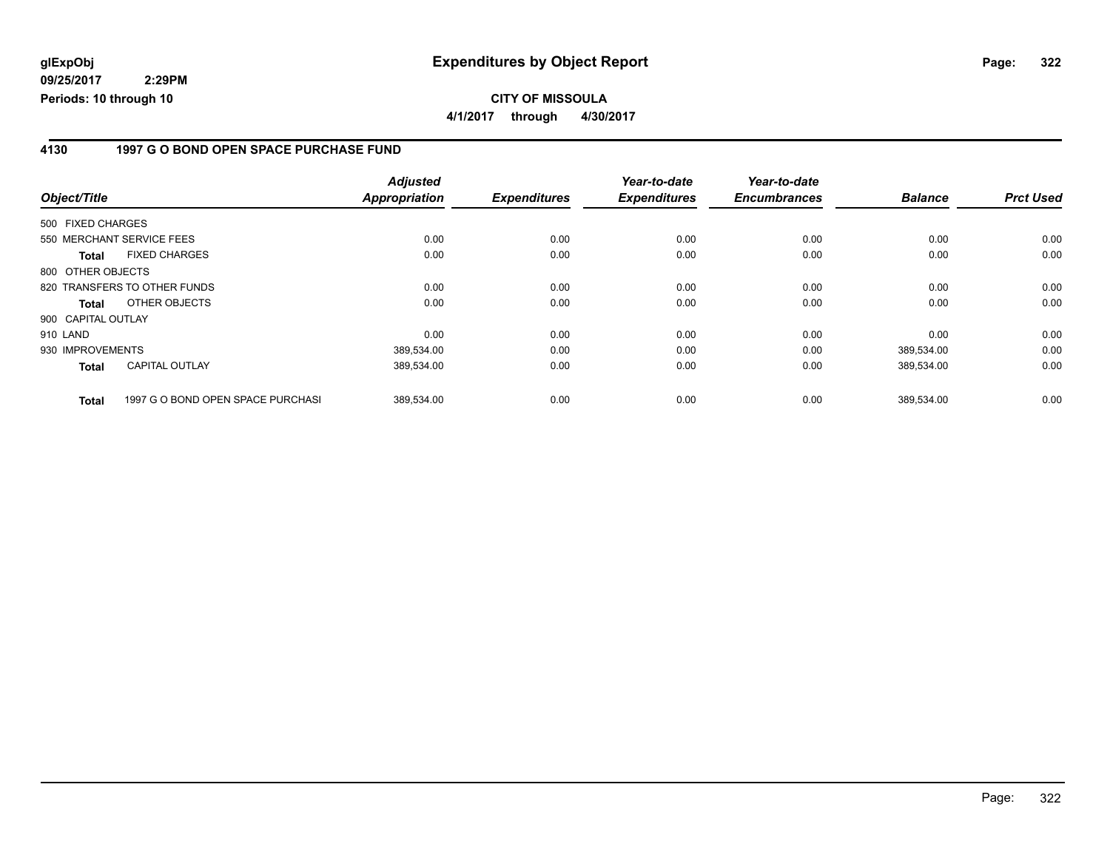**CITY OF MISSOULA 4/1/2017 through 4/30/2017**

#### **4130 1997 G O BOND OPEN SPACE PURCHASE FUND**

|                    |                                   | <b>Adjusted</b>      |                     | Year-to-date        | Year-to-date        |                |                  |
|--------------------|-----------------------------------|----------------------|---------------------|---------------------|---------------------|----------------|------------------|
| Object/Title       |                                   | <b>Appropriation</b> | <b>Expenditures</b> | <b>Expenditures</b> | <b>Encumbrances</b> | <b>Balance</b> | <b>Prct Used</b> |
| 500 FIXED CHARGES  |                                   |                      |                     |                     |                     |                |                  |
|                    | 550 MERCHANT SERVICE FEES         | 0.00                 | 0.00                | 0.00                | 0.00                | 0.00           | 0.00             |
| Total              | <b>FIXED CHARGES</b>              | 0.00                 | 0.00                | 0.00                | 0.00                | 0.00           | 0.00             |
| 800 OTHER OBJECTS  |                                   |                      |                     |                     |                     |                |                  |
|                    | 820 TRANSFERS TO OTHER FUNDS      | 0.00                 | 0.00                | 0.00                | 0.00                | 0.00           | 0.00             |
| Total              | OTHER OBJECTS                     | 0.00                 | 0.00                | 0.00                | 0.00                | 0.00           | 0.00             |
| 900 CAPITAL OUTLAY |                                   |                      |                     |                     |                     |                |                  |
| 910 LAND           |                                   | 0.00                 | 0.00                | 0.00                | 0.00                | 0.00           | 0.00             |
| 930 IMPROVEMENTS   |                                   | 389.534.00           | 0.00                | 0.00                | 0.00                | 389.534.00     | 0.00             |
| Total              | <b>CAPITAL OUTLAY</b>             | 389,534.00           | 0.00                | 0.00                | 0.00                | 389,534.00     | 0.00             |
| <b>Total</b>       | 1997 G O BOND OPEN SPACE PURCHASI | 389.534.00           | 0.00                | 0.00                | 0.00                | 389.534.00     | 0.00             |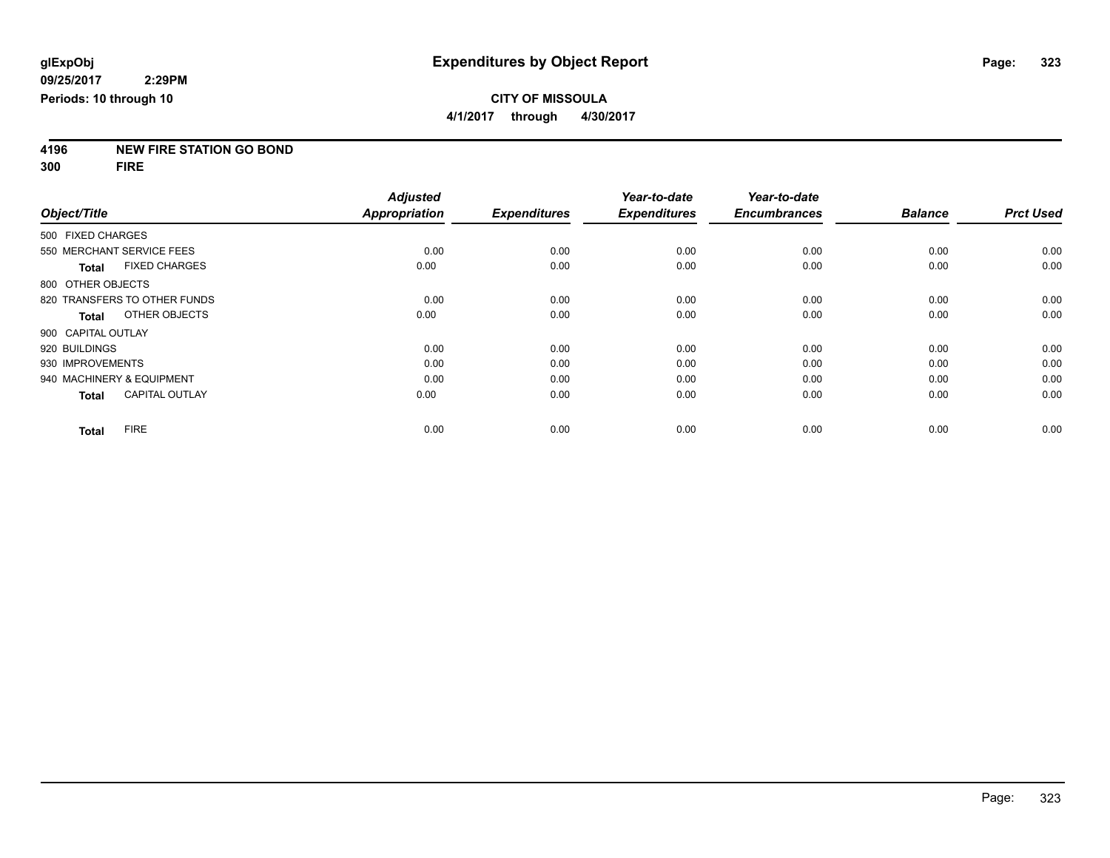**4196 NEW FIRE STATION GO BOND**

**300 FIRE**

|                              |                       | <b>Adjusted</b>      |                     | Year-to-date        | Year-to-date        |                |                  |
|------------------------------|-----------------------|----------------------|---------------------|---------------------|---------------------|----------------|------------------|
| Object/Title                 |                       | <b>Appropriation</b> | <b>Expenditures</b> | <b>Expenditures</b> | <b>Encumbrances</b> | <b>Balance</b> | <b>Prct Used</b> |
| 500 FIXED CHARGES            |                       |                      |                     |                     |                     |                |                  |
| 550 MERCHANT SERVICE FEES    |                       | 0.00                 | 0.00                | 0.00                | 0.00                | 0.00           | 0.00             |
| Total                        | <b>FIXED CHARGES</b>  | 0.00                 | 0.00                | 0.00                | 0.00                | 0.00           | 0.00             |
| 800 OTHER OBJECTS            |                       |                      |                     |                     |                     |                |                  |
| 820 TRANSFERS TO OTHER FUNDS |                       | 0.00                 | 0.00                | 0.00                | 0.00                | 0.00           | 0.00             |
| Total                        | OTHER OBJECTS         | 0.00                 | 0.00                | 0.00                | 0.00                | 0.00           | 0.00             |
| 900 CAPITAL OUTLAY           |                       |                      |                     |                     |                     |                |                  |
| 920 BUILDINGS                |                       | 0.00                 | 0.00                | 0.00                | 0.00                | 0.00           | 0.00             |
| 930 IMPROVEMENTS             |                       | 0.00                 | 0.00                | 0.00                | 0.00                | 0.00           | 0.00             |
| 940 MACHINERY & EQUIPMENT    |                       | 0.00                 | 0.00                | 0.00                | 0.00                | 0.00           | 0.00             |
| Total                        | <b>CAPITAL OUTLAY</b> | 0.00                 | 0.00                | 0.00                | 0.00                | 0.00           | 0.00             |
| <b>FIRE</b><br><b>Total</b>  |                       | 0.00                 | 0.00                | 0.00                | 0.00                | 0.00           | 0.00             |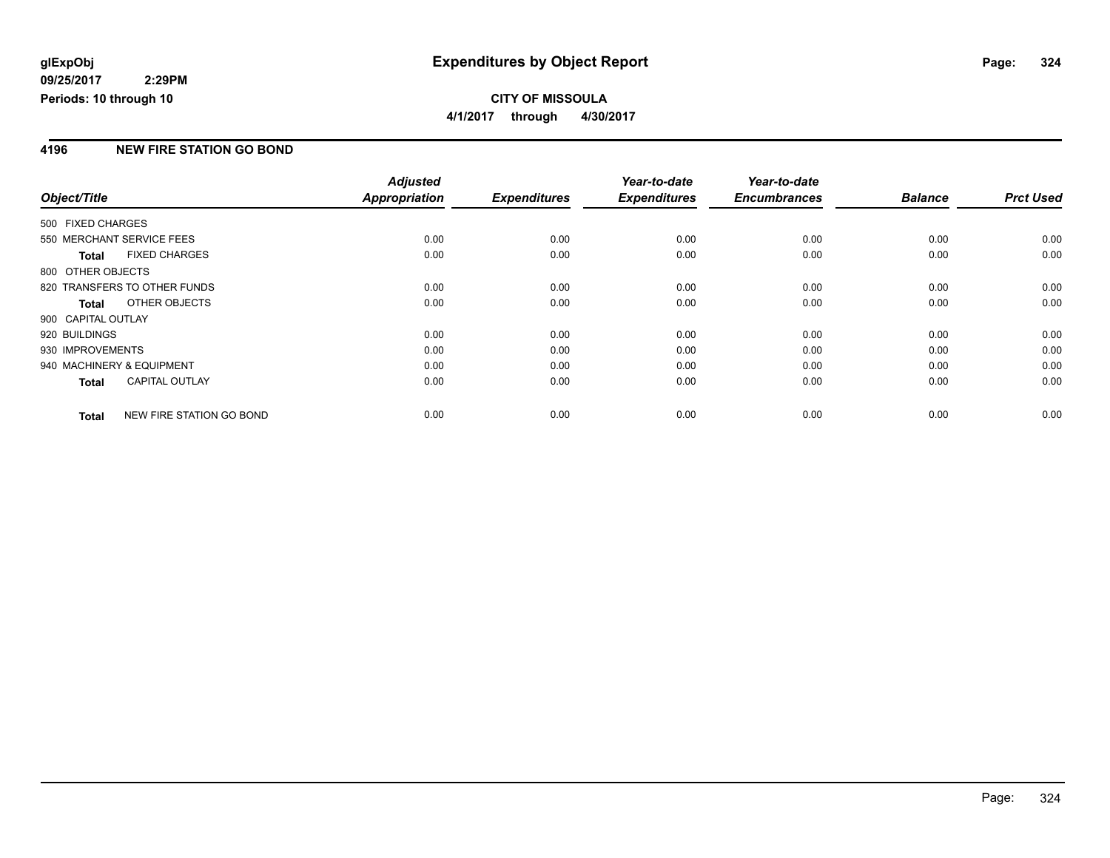## **CITY OF MISSOULA 4/1/2017 through 4/30/2017**

### **4196 NEW FIRE STATION GO BOND**

|                           |                              | <b>Adjusted</b> |                     | Year-to-date        | Year-to-date        |                |                  |
|---------------------------|------------------------------|-----------------|---------------------|---------------------|---------------------|----------------|------------------|
| Object/Title              |                              | Appropriation   | <b>Expenditures</b> | <b>Expenditures</b> | <b>Encumbrances</b> | <b>Balance</b> | <b>Prct Used</b> |
| 500 FIXED CHARGES         |                              |                 |                     |                     |                     |                |                  |
| 550 MERCHANT SERVICE FEES |                              | 0.00            | 0.00                | 0.00                | 0.00                | 0.00           | 0.00             |
| Total                     | <b>FIXED CHARGES</b>         | 0.00            | 0.00                | 0.00                | 0.00                | 0.00           | 0.00             |
| 800 OTHER OBJECTS         |                              |                 |                     |                     |                     |                |                  |
|                           | 820 TRANSFERS TO OTHER FUNDS | 0.00            | 0.00                | 0.00                | 0.00                | 0.00           | 0.00             |
| <b>Total</b>              | OTHER OBJECTS                | 0.00            | 0.00                | 0.00                | 0.00                | 0.00           | 0.00             |
| 900 CAPITAL OUTLAY        |                              |                 |                     |                     |                     |                |                  |
| 920 BUILDINGS             |                              | 0.00            | 0.00                | 0.00                | 0.00                | 0.00           | 0.00             |
| 930 IMPROVEMENTS          |                              | 0.00            | 0.00                | 0.00                | 0.00                | 0.00           | 0.00             |
| 940 MACHINERY & EQUIPMENT |                              | 0.00            | 0.00                | 0.00                | 0.00                | 0.00           | 0.00             |
| <b>Total</b>              | <b>CAPITAL OUTLAY</b>        | 0.00            | 0.00                | 0.00                | 0.00                | 0.00           | 0.00             |
| <b>Total</b>              | NEW FIRE STATION GO BOND     | 0.00            | 0.00                | 0.00                | 0.00                | 0.00           | 0.00             |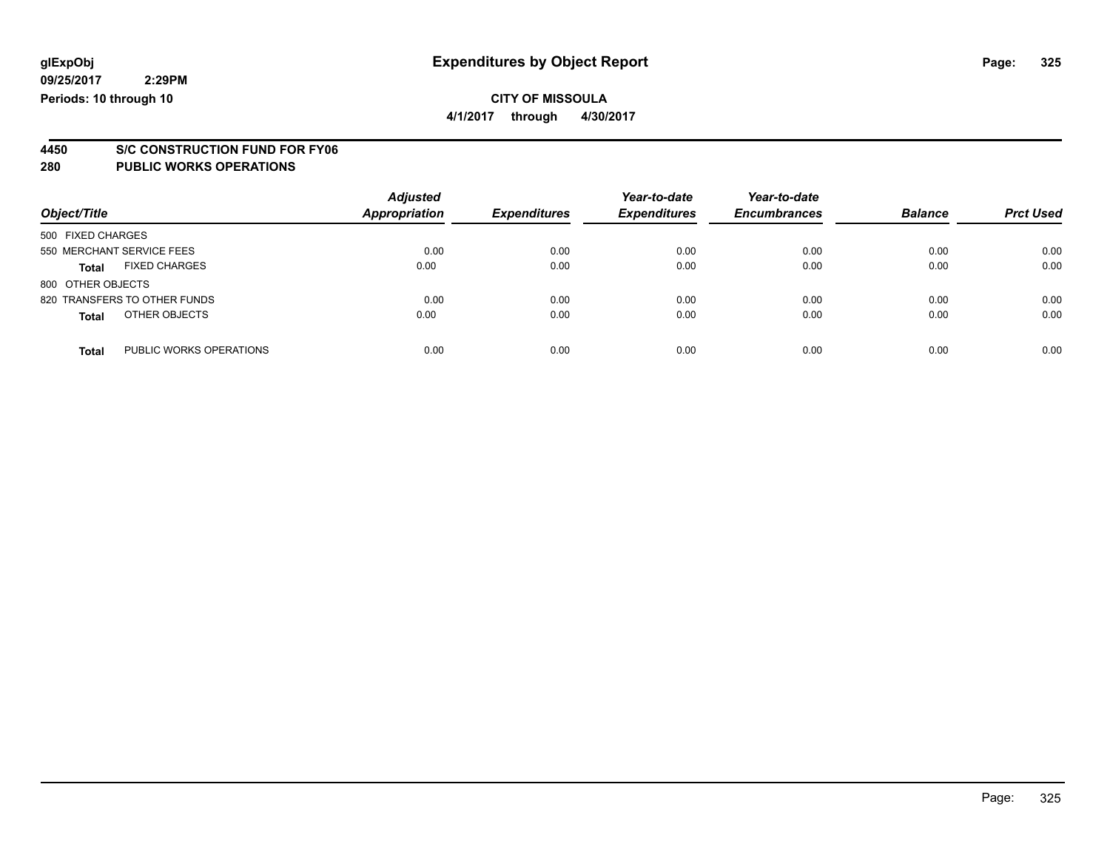## **CITY OF MISSOULA**

**4/1/2017 through 4/30/2017**

# **4450 S/C CONSTRUCTION FUND FOR FY06**

| Object/Title                            | <b>Adjusted</b><br>Appropriation | <b>Expenditures</b> | Year-to-date<br><b>Expenditures</b> | Year-to-date<br><b>Encumbrances</b> | <b>Balance</b> | <b>Prct Used</b> |
|-----------------------------------------|----------------------------------|---------------------|-------------------------------------|-------------------------------------|----------------|------------------|
| 500 FIXED CHARGES                       |                                  |                     |                                     |                                     |                |                  |
| 550 MERCHANT SERVICE FEES               | 0.00                             | 0.00                | 0.00                                | 0.00                                | 0.00           | 0.00             |
| <b>FIXED CHARGES</b><br><b>Total</b>    | 0.00                             | 0.00                | 0.00                                | 0.00                                | 0.00           | 0.00             |
| 800 OTHER OBJECTS                       |                                  |                     |                                     |                                     |                |                  |
| 820 TRANSFERS TO OTHER FUNDS            | 0.00                             | 0.00                | 0.00                                | 0.00                                | 0.00           | 0.00             |
| OTHER OBJECTS<br><b>Total</b>           | 0.00                             | 0.00                | 0.00                                | 0.00                                | 0.00           | 0.00             |
| PUBLIC WORKS OPERATIONS<br><b>Total</b> | 0.00                             | 0.00                | 0.00                                | 0.00                                | 0.00           | 0.00             |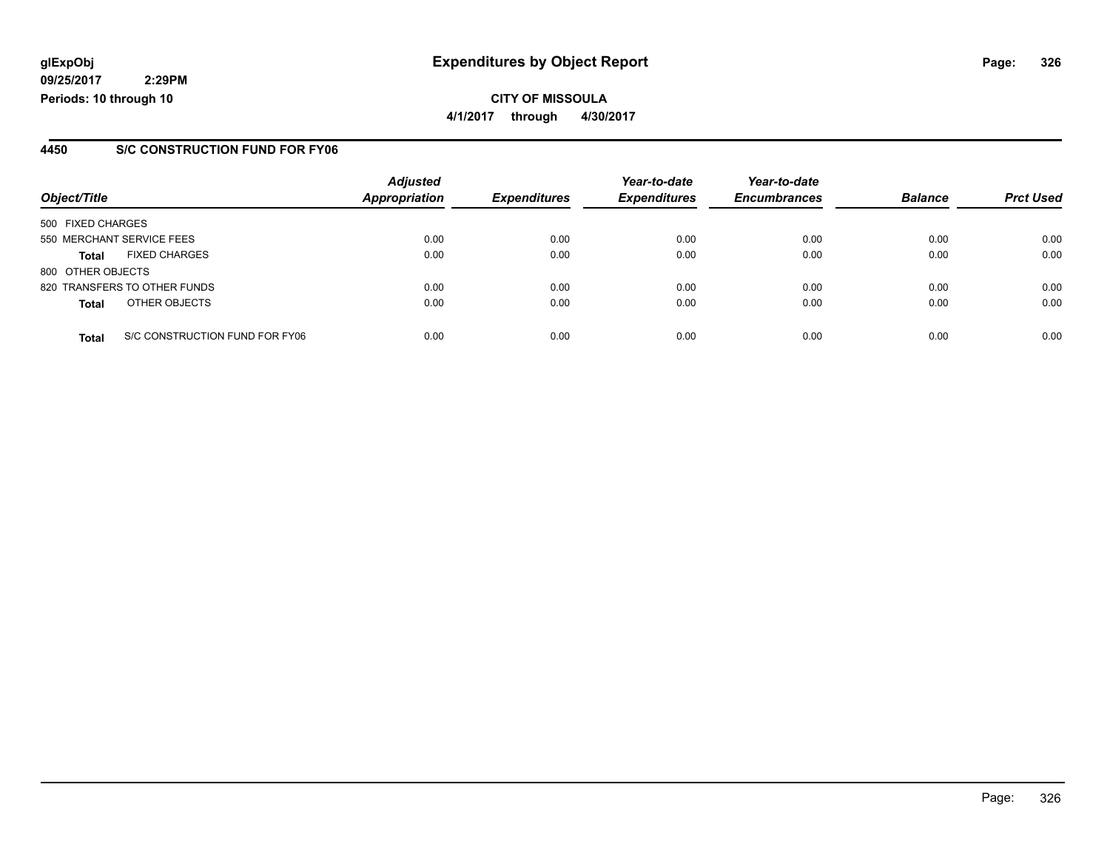**CITY OF MISSOULA 4/1/2017 through 4/30/2017**

#### **4450 S/C CONSTRUCTION FUND FOR FY06**

|                   |                                | <b>Adjusted</b> |                     | Year-to-date        | Year-to-date        |                |                  |
|-------------------|--------------------------------|-----------------|---------------------|---------------------|---------------------|----------------|------------------|
| Object/Title      |                                | Appropriation   | <b>Expenditures</b> | <b>Expenditures</b> | <b>Encumbrances</b> | <b>Balance</b> | <b>Prct Used</b> |
| 500 FIXED CHARGES |                                |                 |                     |                     |                     |                |                  |
|                   | 550 MERCHANT SERVICE FEES      | 0.00            | 0.00                | 0.00                | 0.00                | 0.00           | 0.00             |
| <b>Total</b>      | <b>FIXED CHARGES</b>           | 0.00            | 0.00                | 0.00                | 0.00                | 0.00           | 0.00             |
| 800 OTHER OBJECTS |                                |                 |                     |                     |                     |                |                  |
|                   | 820 TRANSFERS TO OTHER FUNDS   | 0.00            | 0.00                | 0.00                | 0.00                | 0.00           | 0.00             |
| <b>Total</b>      | OTHER OBJECTS                  | 0.00            | 0.00                | 0.00                | 0.00                | 0.00           | 0.00             |
| <b>Total</b>      | S/C CONSTRUCTION FUND FOR FY06 | 0.00            | 0.00                | 0.00                | 0.00                | 0.00           | 0.00             |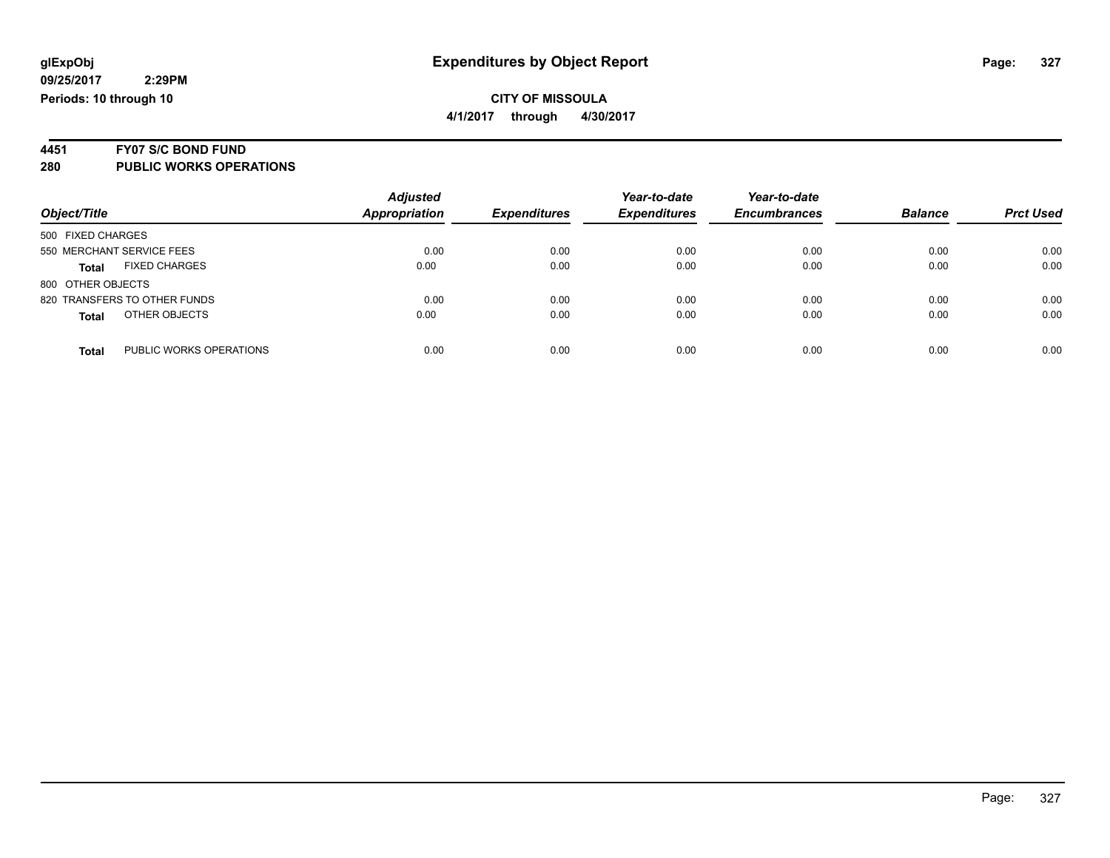# **4451 FY07 S/C BOND FUND**

| Object/Title                            | <b>Adjusted</b><br><b>Appropriation</b> | <b>Expenditures</b> | Year-to-date<br><b>Expenditures</b> | Year-to-date<br><b>Encumbrances</b> | <b>Balance</b> | <b>Prct Used</b> |
|-----------------------------------------|-----------------------------------------|---------------------|-------------------------------------|-------------------------------------|----------------|------------------|
| 500 FIXED CHARGES                       |                                         |                     |                                     |                                     |                |                  |
| 550 MERCHANT SERVICE FEES               | 0.00                                    | 0.00                | 0.00                                | 0.00                                | 0.00           | 0.00             |
| <b>FIXED CHARGES</b><br><b>Total</b>    | 0.00                                    | 0.00                | 0.00                                | 0.00                                | 0.00           | 0.00             |
| 800 OTHER OBJECTS                       |                                         |                     |                                     |                                     |                |                  |
| 820 TRANSFERS TO OTHER FUNDS            | 0.00                                    | 0.00                | 0.00                                | 0.00                                | 0.00           | 0.00             |
| OTHER OBJECTS<br><b>Total</b>           | 0.00                                    | 0.00                | 0.00                                | 0.00                                | 0.00           | 0.00             |
| PUBLIC WORKS OPERATIONS<br><b>Total</b> | 0.00                                    | 0.00                | 0.00                                | 0.00                                | 0.00           | 0.00             |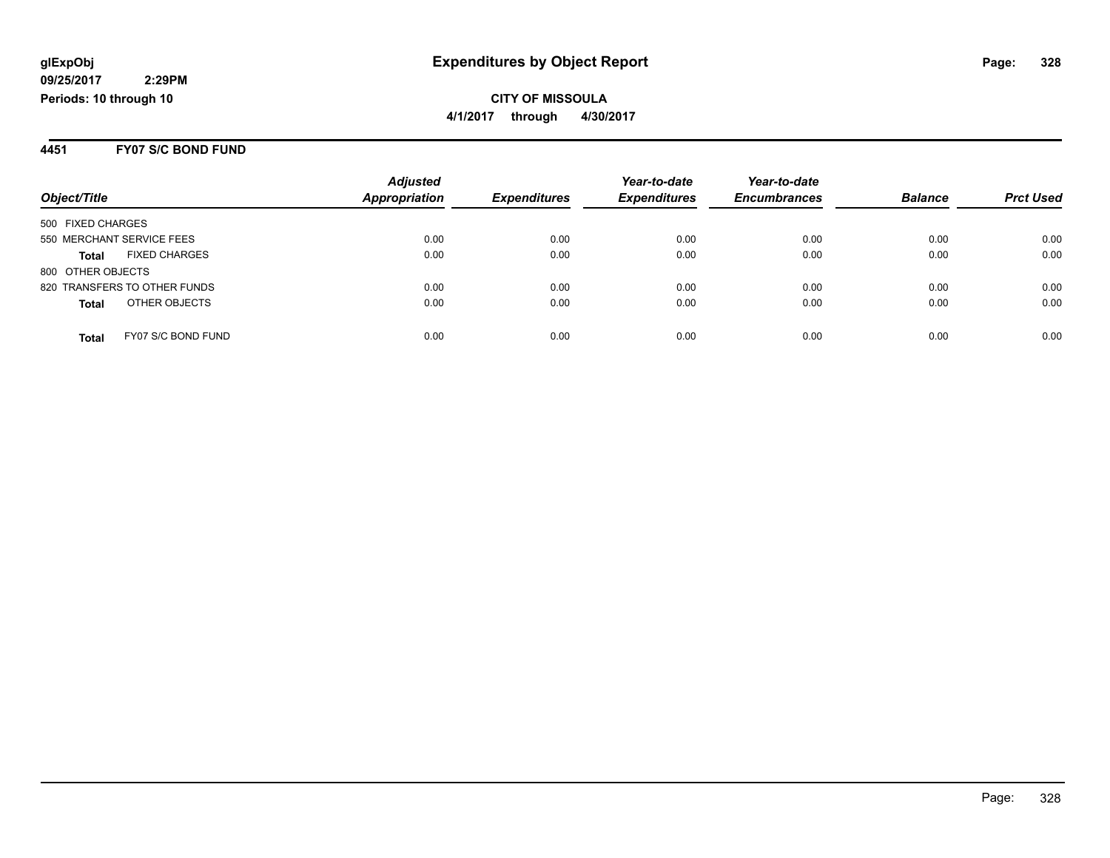#### **4451 FY07 S/C BOND FUND**

|                                      | <b>Adjusted</b>      |                     | Year-to-date        | Year-to-date        |                |                  |
|--------------------------------------|----------------------|---------------------|---------------------|---------------------|----------------|------------------|
| Object/Title                         | <b>Appropriation</b> | <b>Expenditures</b> | <b>Expenditures</b> | <b>Encumbrances</b> | <b>Balance</b> | <b>Prct Used</b> |
| 500 FIXED CHARGES                    |                      |                     |                     |                     |                |                  |
| 550 MERCHANT SERVICE FEES            | 0.00                 | 0.00                | 0.00                | 0.00                | 0.00           | 0.00             |
| <b>FIXED CHARGES</b><br><b>Total</b> | 0.00                 | 0.00                | 0.00                | 0.00                | 0.00           | 0.00             |
| 800 OTHER OBJECTS                    |                      |                     |                     |                     |                |                  |
| 820 TRANSFERS TO OTHER FUNDS         | 0.00                 | 0.00                | 0.00                | 0.00                | 0.00           | 0.00             |
| OTHER OBJECTS<br><b>Total</b>        | 0.00                 | 0.00                | 0.00                | 0.00                | 0.00           | 0.00             |
| FY07 S/C BOND FUND<br><b>Total</b>   | 0.00                 | 0.00                | 0.00                | 0.00                | 0.00           | 0.00             |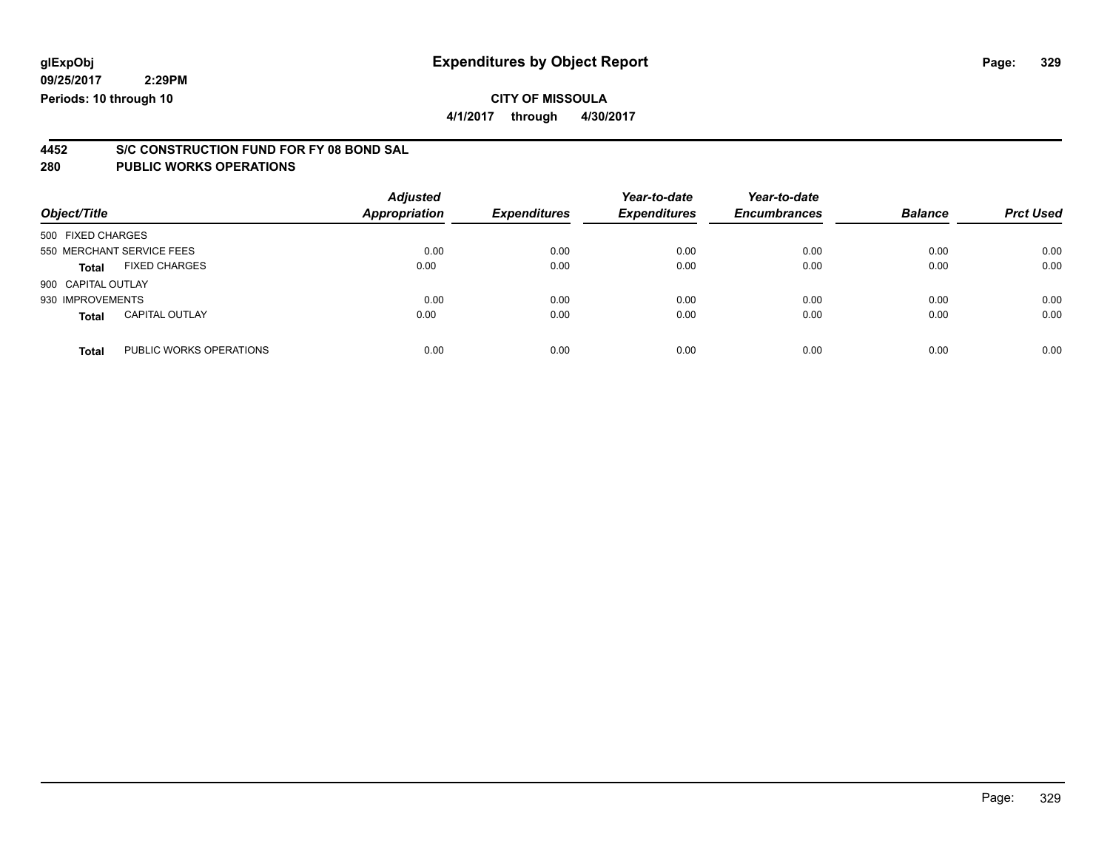## **CITY OF MISSOULA**

**4/1/2017 through 4/30/2017**

# **4452 S/C CONSTRUCTION FUND FOR FY 08 BOND SAL**

| Object/Title                          |                         | <b>Adjusted</b><br>Appropriation | <b>Expenditures</b> | Year-to-date<br><b>Expenditures</b> | Year-to-date<br><b>Encumbrances</b> | <b>Balance</b> | <b>Prct Used</b> |
|---------------------------------------|-------------------------|----------------------------------|---------------------|-------------------------------------|-------------------------------------|----------------|------------------|
| 500 FIXED CHARGES                     |                         |                                  |                     |                                     |                                     |                |                  |
| 550 MERCHANT SERVICE FEES             |                         | 0.00                             | 0.00                | 0.00                                | 0.00                                | 0.00           | 0.00             |
| <b>FIXED CHARGES</b><br><b>Total</b>  |                         | 0.00                             | 0.00                | 0.00                                | 0.00                                | 0.00           | 0.00             |
| 900 CAPITAL OUTLAY                    |                         |                                  |                     |                                     |                                     |                |                  |
| 930 IMPROVEMENTS                      |                         | 0.00                             | 0.00                | 0.00                                | 0.00                                | 0.00           | 0.00             |
| <b>CAPITAL OUTLAY</b><br><b>Total</b> |                         | 0.00                             | 0.00                | 0.00                                | 0.00                                | 0.00           | 0.00             |
| <b>Total</b>                          | PUBLIC WORKS OPERATIONS | 0.00                             | 0.00                | 0.00                                | 0.00                                | 0.00           | 0.00             |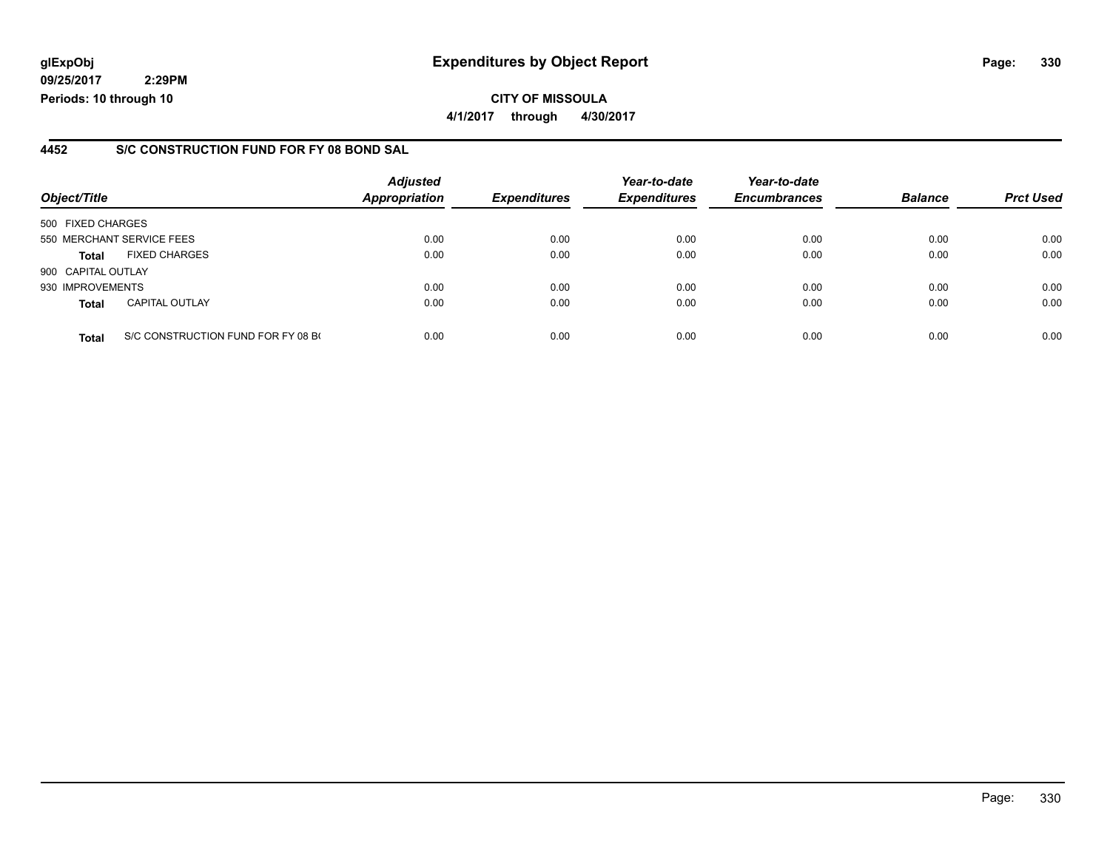### **glExpObj Expenditures by Object Report Page: 330**

**09/25/2017 2:29PM Periods: 10 through 10**

### **4452 S/C CONSTRUCTION FUND FOR FY 08 BOND SAL**

| Object/Title              |                                    | <b>Adjusted</b><br><b>Appropriation</b> | <b>Expenditures</b> | Year-to-date<br><b>Expenditures</b> | Year-to-date<br><b>Encumbrances</b> | <b>Balance</b> | <b>Prct Used</b> |
|---------------------------|------------------------------------|-----------------------------------------|---------------------|-------------------------------------|-------------------------------------|----------------|------------------|
|                           |                                    |                                         |                     |                                     |                                     |                |                  |
| 500 FIXED CHARGES         |                                    |                                         |                     |                                     |                                     |                |                  |
| 550 MERCHANT SERVICE FEES |                                    | 0.00                                    | 0.00                | 0.00                                | 0.00                                | 0.00           | 0.00             |
| <b>Total</b>              | <b>FIXED CHARGES</b>               | 0.00                                    | 0.00                | 0.00                                | 0.00                                | 0.00           | 0.00             |
| 900 CAPITAL OUTLAY        |                                    |                                         |                     |                                     |                                     |                |                  |
| 930 IMPROVEMENTS          |                                    | 0.00                                    | 0.00                | 0.00                                | 0.00                                | 0.00           | 0.00             |
| <b>Total</b>              | <b>CAPITAL OUTLAY</b>              | 0.00                                    | 0.00                | 0.00                                | 0.00                                | 0.00           | 0.00             |
| <b>Total</b>              | S/C CONSTRUCTION FUND FOR FY 08 BO | 0.00                                    | 0.00                | 0.00                                | 0.00                                | 0.00           | 0.00             |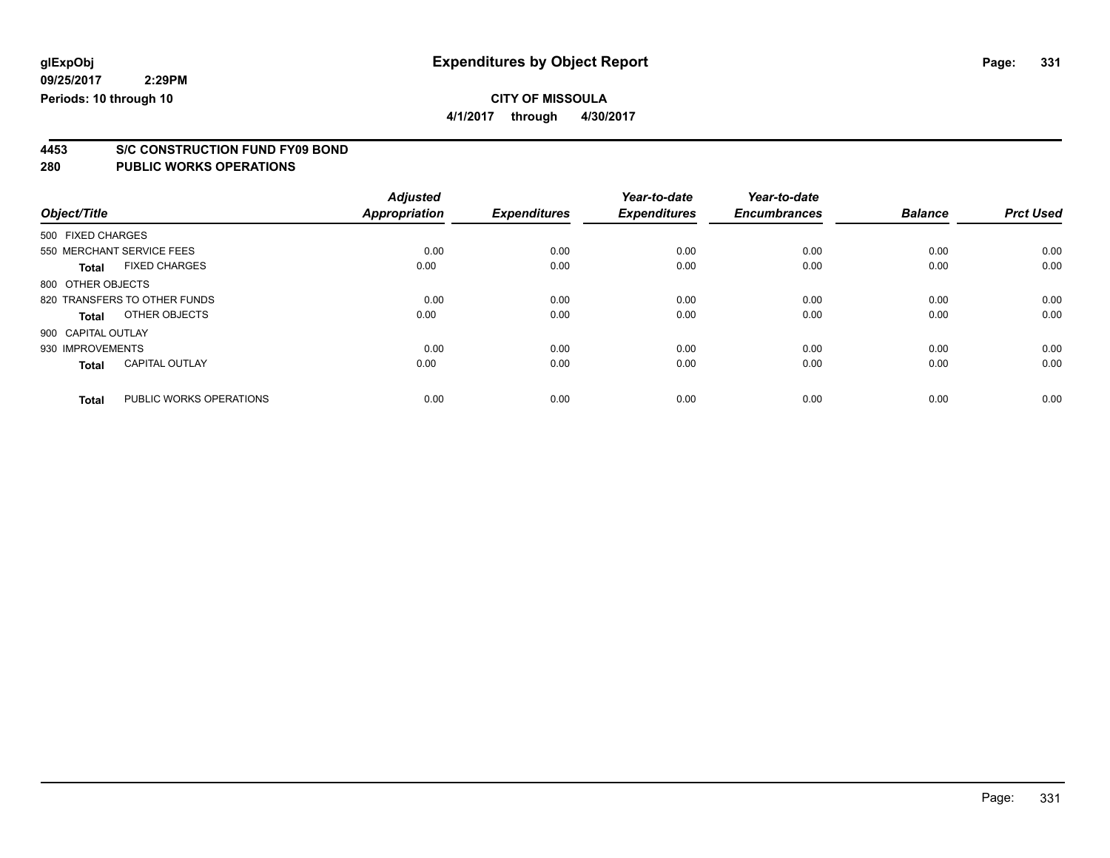**4/1/2017 through 4/30/2017**

# **4453 S/C CONSTRUCTION FUND FY09 BOND**

| Object/Title       |                              | <b>Adjusted</b><br><b>Appropriation</b> | <b>Expenditures</b> | Year-to-date<br><b>Expenditures</b> | Year-to-date<br><b>Encumbrances</b> | <b>Balance</b> | <b>Prct Used</b> |
|--------------------|------------------------------|-----------------------------------------|---------------------|-------------------------------------|-------------------------------------|----------------|------------------|
| 500 FIXED CHARGES  |                              |                                         |                     |                                     |                                     |                |                  |
|                    | 550 MERCHANT SERVICE FEES    | 0.00                                    | 0.00                | 0.00                                | 0.00                                | 0.00           | 0.00             |
| <b>Total</b>       | <b>FIXED CHARGES</b>         | 0.00                                    | 0.00                | 0.00                                | 0.00                                | 0.00           | 0.00             |
| 800 OTHER OBJECTS  |                              |                                         |                     |                                     |                                     |                |                  |
|                    | 820 TRANSFERS TO OTHER FUNDS | 0.00                                    | 0.00                | 0.00                                | 0.00                                | 0.00           | 0.00             |
| <b>Total</b>       | OTHER OBJECTS                | 0.00                                    | 0.00                | 0.00                                | 0.00                                | 0.00           | 0.00             |
| 900 CAPITAL OUTLAY |                              |                                         |                     |                                     |                                     |                |                  |
| 930 IMPROVEMENTS   |                              | 0.00                                    | 0.00                | 0.00                                | 0.00                                | 0.00           | 0.00             |
| <b>Total</b>       | <b>CAPITAL OUTLAY</b>        | 0.00                                    | 0.00                | 0.00                                | 0.00                                | 0.00           | 0.00             |
| <b>Total</b>       | PUBLIC WORKS OPERATIONS      | 0.00                                    | 0.00                | 0.00                                | 0.00                                | 0.00           | 0.00             |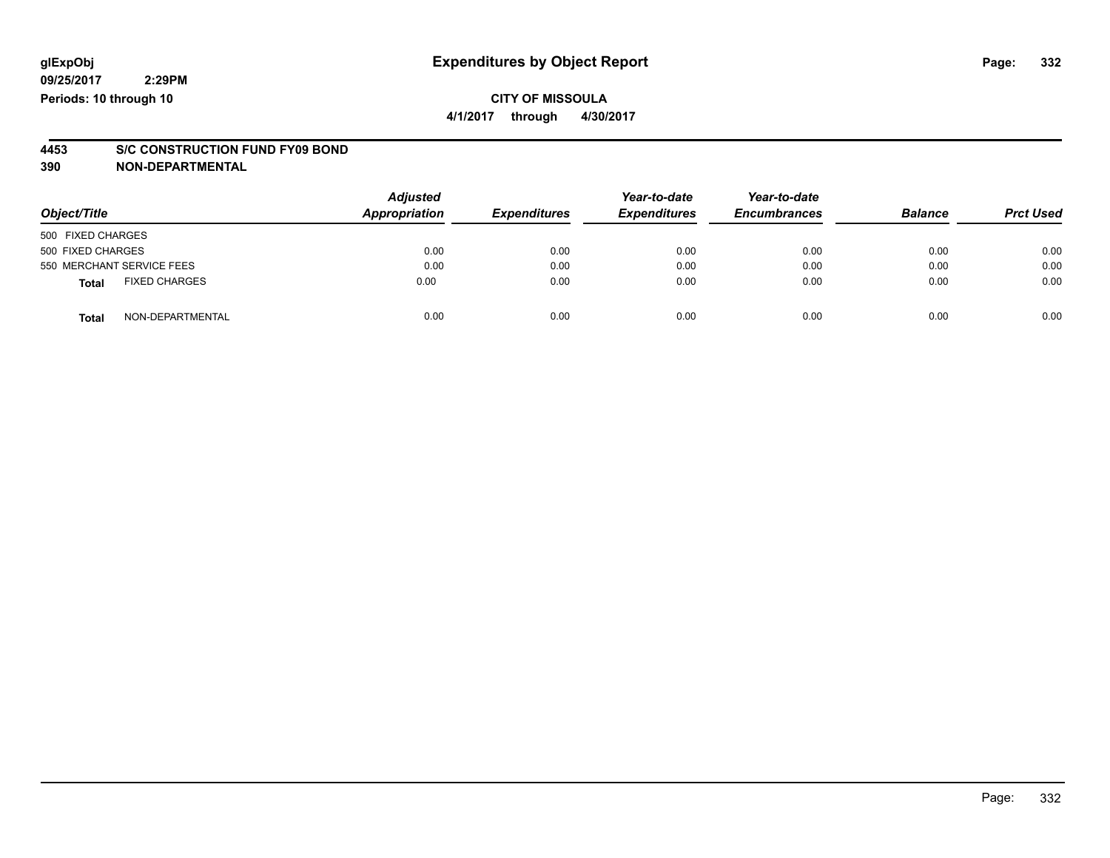### **CITY OF MISSOULA 4/1/2017 through 4/30/2017**

# **4453 S/C CONSTRUCTION FUND FY09 BOND**

**390 NON-DEPARTMENTAL**

| Object/Title                         | <b>Adjusted</b><br>Appropriation | <b>Expenditures</b> | Year-to-date<br><b>Expenditures</b> | Year-to-date<br><b>Encumbrances</b> | <b>Balance</b> | <b>Prct Used</b> |
|--------------------------------------|----------------------------------|---------------------|-------------------------------------|-------------------------------------|----------------|------------------|
| 500 FIXED CHARGES                    |                                  |                     |                                     |                                     |                |                  |
| 500 FIXED CHARGES                    | 0.00                             | 0.00                | 0.00                                | 0.00                                | 0.00           | 0.00             |
| 550 MERCHANT SERVICE FEES            | 0.00                             | 0.00                | 0.00                                | 0.00                                | 0.00           | 0.00             |
| <b>FIXED CHARGES</b><br><b>Total</b> | 0.00                             | 0.00                | 0.00                                | 0.00                                | 0.00           | 0.00             |
| NON-DEPARTMENTAL<br><b>Total</b>     | 0.00                             | 0.00                | 0.00                                | 0.00                                | 0.00           | 0.00             |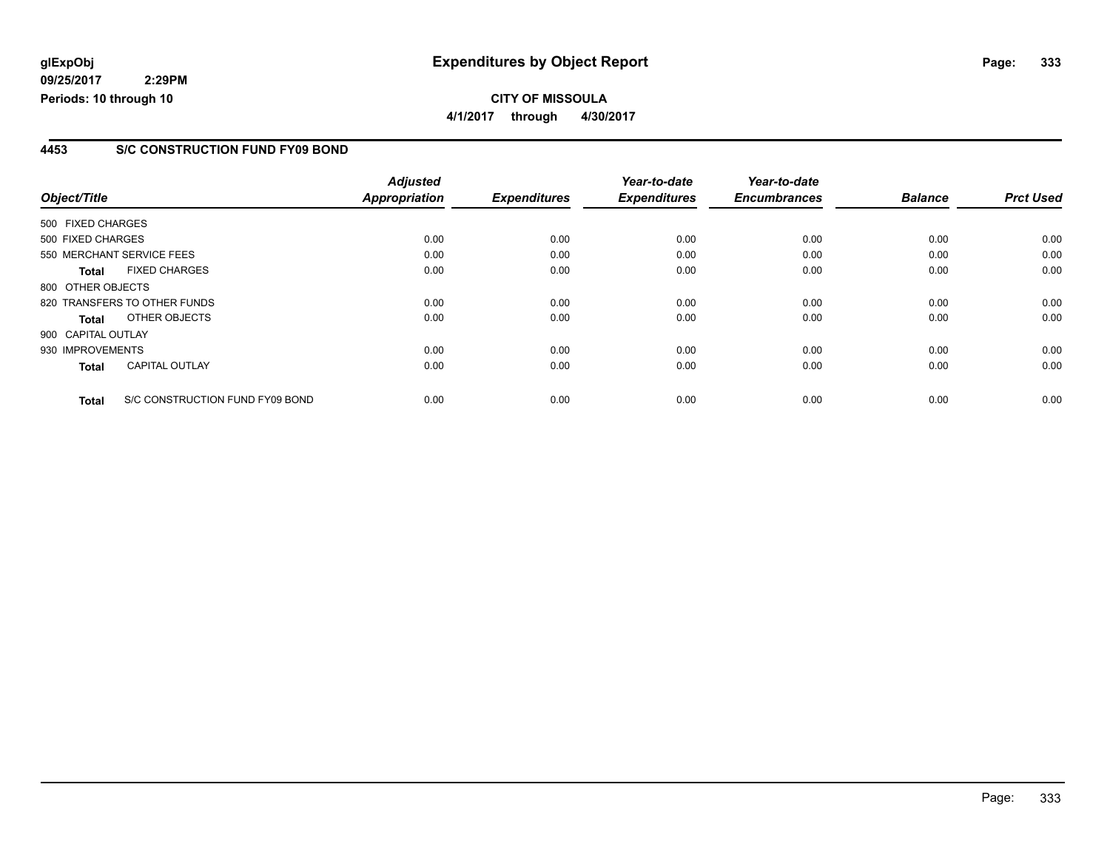## **glExpObj Expenditures by Object Report Page: 333**

**09/25/2017 2:29PM Periods: 10 through 10**

#### **4453 S/C CONSTRUCTION FUND FY09 BOND**

| Object/Title       |                                 | <b>Adjusted</b><br><b>Appropriation</b> | <b>Expenditures</b> | Year-to-date<br><b>Expenditures</b> | Year-to-date<br><b>Encumbrances</b> | <b>Balance</b> | <b>Prct Used</b> |
|--------------------|---------------------------------|-----------------------------------------|---------------------|-------------------------------------|-------------------------------------|----------------|------------------|
|                    |                                 |                                         |                     |                                     |                                     |                |                  |
| 500 FIXED CHARGES  |                                 |                                         |                     |                                     |                                     |                |                  |
| 500 FIXED CHARGES  |                                 | 0.00                                    | 0.00                | 0.00                                | 0.00                                | 0.00           | 0.00             |
|                    | 550 MERCHANT SERVICE FEES       | 0.00                                    | 0.00                | 0.00                                | 0.00                                | 0.00           | 0.00             |
| <b>Total</b>       | <b>FIXED CHARGES</b>            | 0.00                                    | 0.00                | 0.00                                | 0.00                                | 0.00           | 0.00             |
| 800 OTHER OBJECTS  |                                 |                                         |                     |                                     |                                     |                |                  |
|                    | 820 TRANSFERS TO OTHER FUNDS    | 0.00                                    | 0.00                | 0.00                                | 0.00                                | 0.00           | 0.00             |
| Total              | OTHER OBJECTS                   | 0.00                                    | 0.00                | 0.00                                | 0.00                                | 0.00           | 0.00             |
| 900 CAPITAL OUTLAY |                                 |                                         |                     |                                     |                                     |                |                  |
| 930 IMPROVEMENTS   |                                 | 0.00                                    | 0.00                | 0.00                                | 0.00                                | 0.00           | 0.00             |
| Total              | <b>CAPITAL OUTLAY</b>           | 0.00                                    | 0.00                | 0.00                                | 0.00                                | 0.00           | 0.00             |
| <b>Total</b>       | S/C CONSTRUCTION FUND FY09 BOND | 0.00                                    | 0.00                | 0.00                                | 0.00                                | 0.00           | 0.00             |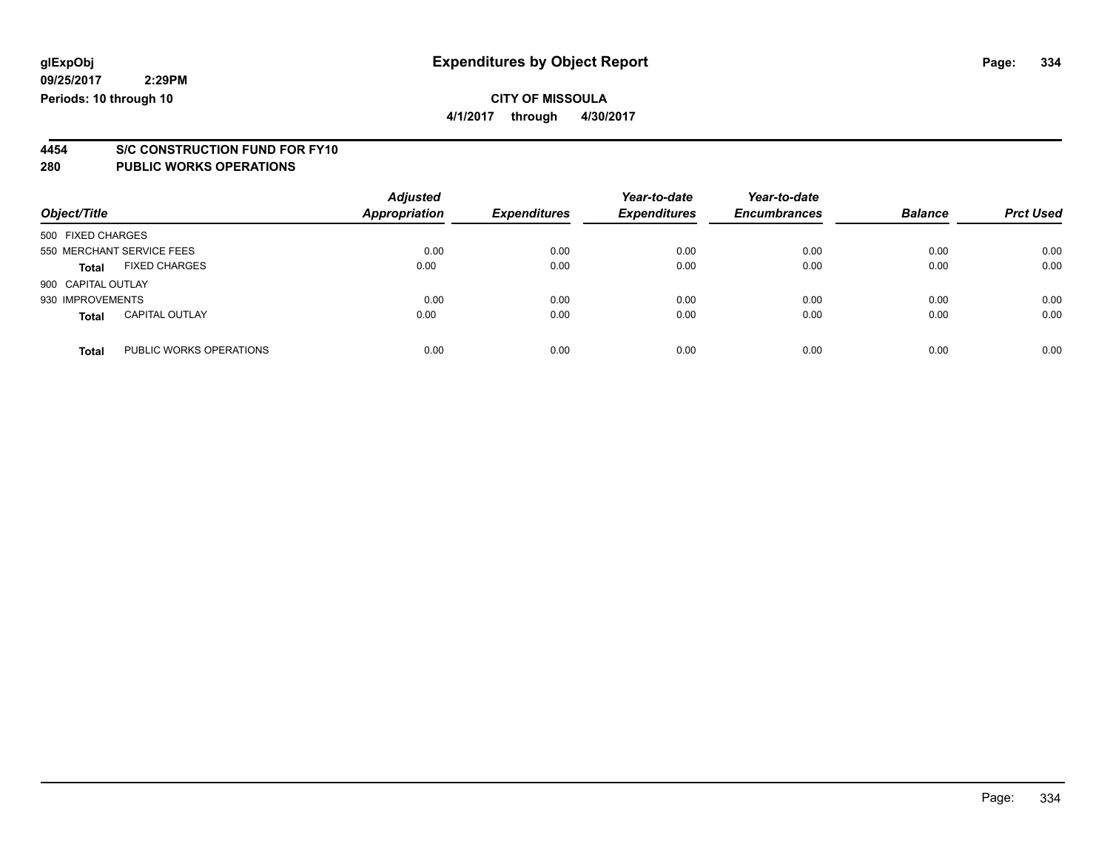## **CITY OF MISSOULA**

**4/1/2017 through 4/30/2017**

# **4454 S/C CONSTRUCTION FUND FOR FY10**

| Object/Title       |                           | <b>Adjusted</b><br><b>Appropriation</b> | <b>Expenditures</b> | Year-to-date<br><b>Expenditures</b> | Year-to-date<br><b>Encumbrances</b> | <b>Balance</b> | <b>Prct Used</b> |
|--------------------|---------------------------|-----------------------------------------|---------------------|-------------------------------------|-------------------------------------|----------------|------------------|
| 500 FIXED CHARGES  |                           |                                         |                     |                                     |                                     |                |                  |
|                    | 550 MERCHANT SERVICE FEES | 0.00                                    | 0.00                | 0.00                                | 0.00                                | 0.00           | 0.00             |
| Total              | <b>FIXED CHARGES</b>      | 0.00                                    | 0.00                | 0.00                                | 0.00                                | 0.00           | 0.00             |
| 900 CAPITAL OUTLAY |                           |                                         |                     |                                     |                                     |                |                  |
| 930 IMPROVEMENTS   |                           | 0.00                                    | 0.00                | 0.00                                | 0.00                                | 0.00           | 0.00             |
| <b>Total</b>       | <b>CAPITAL OUTLAY</b>     | 0.00                                    | 0.00                | 0.00                                | 0.00                                | 0.00           | 0.00             |
| <b>Total</b>       | PUBLIC WORKS OPERATIONS   | 0.00                                    | 0.00                | 0.00                                | 0.00                                | 0.00           | 0.00             |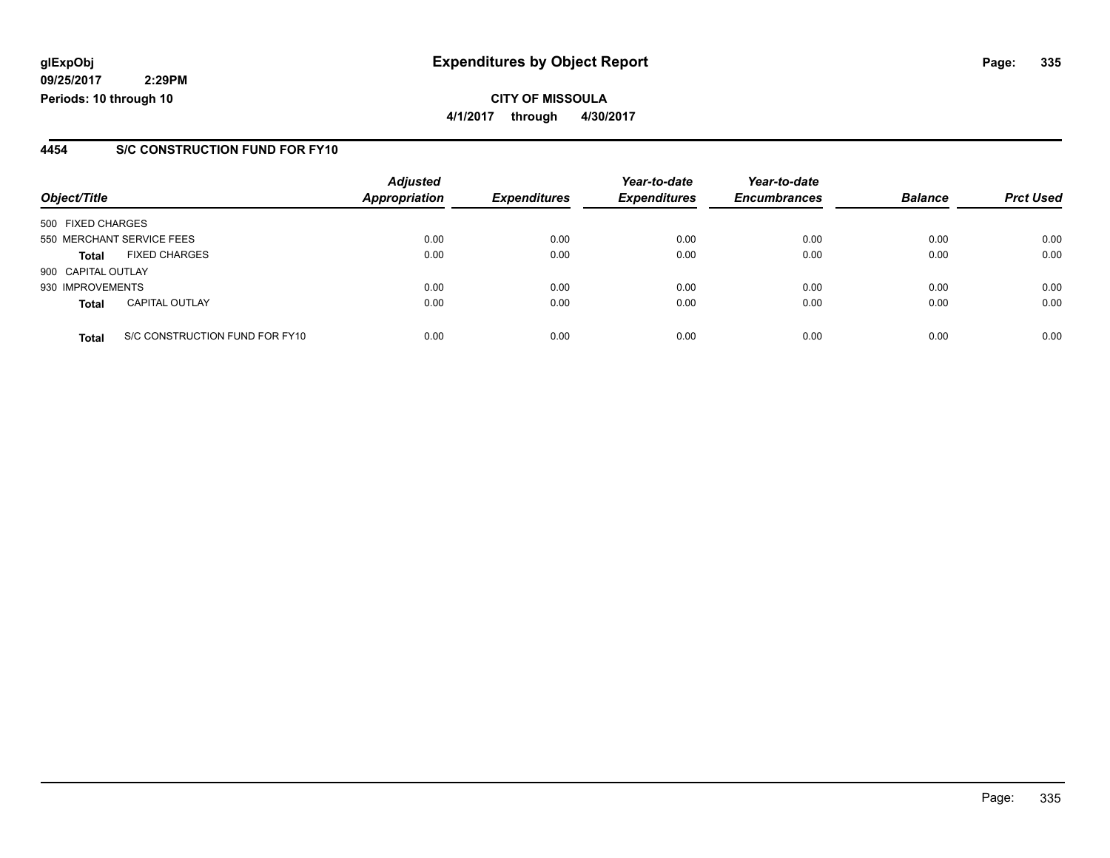### **glExpObj Expenditures by Object Report Page: 335**

**09/25/2017 2:29PM Periods: 10 through 10**

#### **4454 S/C CONSTRUCTION FUND FOR FY10**

| Object/Title       |                                | <b>Adjusted</b><br><b>Appropriation</b> | <b>Expenditures</b> | Year-to-date<br><b>Expenditures</b> | Year-to-date<br><b>Encumbrances</b> | <b>Balance</b> | <b>Prct Used</b> |
|--------------------|--------------------------------|-----------------------------------------|---------------------|-------------------------------------|-------------------------------------|----------------|------------------|
| 500 FIXED CHARGES  |                                |                                         |                     |                                     |                                     |                |                  |
|                    | 550 MERCHANT SERVICE FEES      | 0.00                                    | 0.00                | 0.00                                | 0.00                                | 0.00           | 0.00             |
| <b>Total</b>       | <b>FIXED CHARGES</b>           | 0.00                                    | 0.00                | 0.00                                | 0.00                                | 0.00           | 0.00             |
| 900 CAPITAL OUTLAY |                                |                                         |                     |                                     |                                     |                |                  |
| 930 IMPROVEMENTS   |                                | 0.00                                    | 0.00                | 0.00                                | 0.00                                | 0.00           | 0.00             |
| <b>Total</b>       | <b>CAPITAL OUTLAY</b>          | 0.00                                    | 0.00                | 0.00                                | 0.00                                | 0.00           | 0.00             |
| <b>Total</b>       | S/C CONSTRUCTION FUND FOR FY10 | 0.00                                    | 0.00                | 0.00                                | 0.00                                | 0.00           | 0.00             |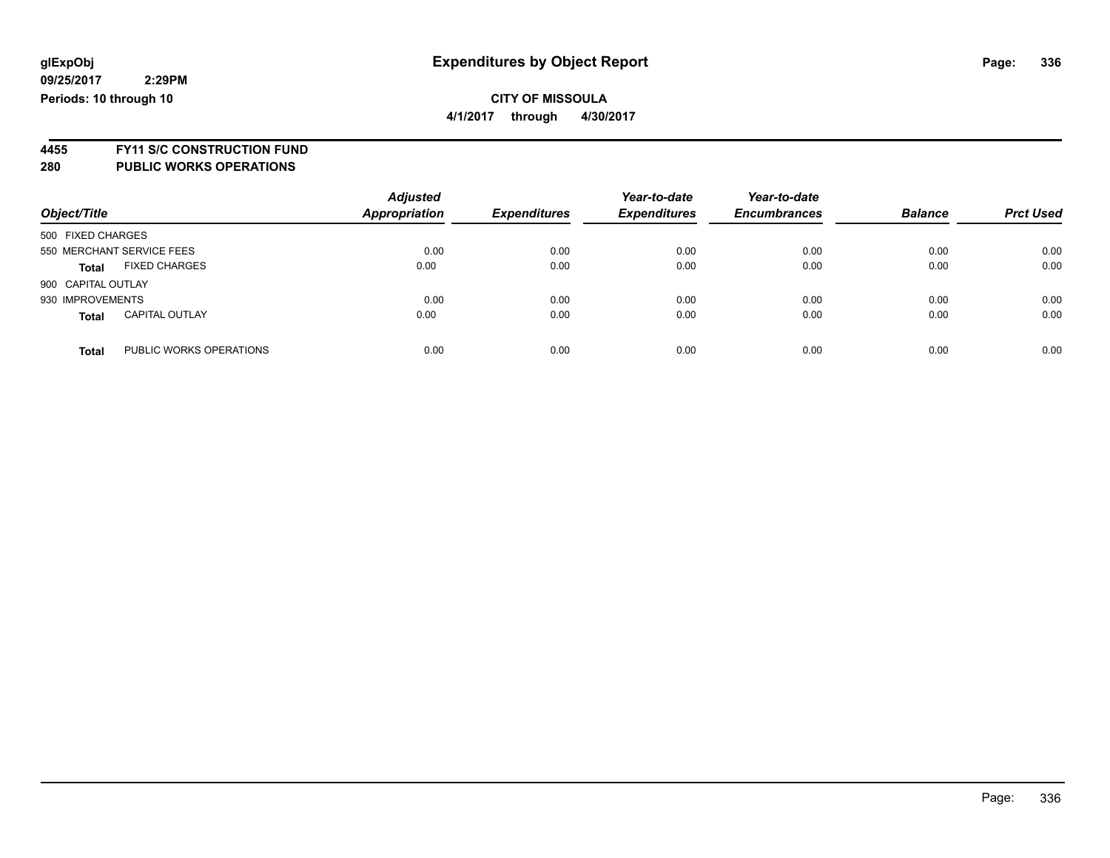### **CITY OF MISSOULA 4/1/2017 through 4/30/2017**

**4455 FY11 S/C CONSTRUCTION FUND**

| Object/Title                            | <b>Adjusted</b><br><b>Appropriation</b> | <b>Expenditures</b> | Year-to-date<br><b>Expenditures</b> | Year-to-date<br><b>Encumbrances</b> | <b>Balance</b> | <b>Prct Used</b> |
|-----------------------------------------|-----------------------------------------|---------------------|-------------------------------------|-------------------------------------|----------------|------------------|
| 500 FIXED CHARGES                       |                                         |                     |                                     |                                     |                |                  |
| 550 MERCHANT SERVICE FEES               | 0.00                                    | 0.00                | 0.00                                | 0.00                                | 0.00           | 0.00             |
| <b>FIXED CHARGES</b><br><b>Total</b>    | 0.00                                    | 0.00                | 0.00                                | 0.00                                | 0.00           | 0.00             |
| 900 CAPITAL OUTLAY                      |                                         |                     |                                     |                                     |                |                  |
| 930 IMPROVEMENTS                        | 0.00                                    | 0.00                | 0.00                                | 0.00                                | 0.00           | 0.00             |
| <b>CAPITAL OUTLAY</b><br><b>Total</b>   | 0.00                                    | 0.00                | 0.00                                | 0.00                                | 0.00           | 0.00             |
| PUBLIC WORKS OPERATIONS<br><b>Total</b> | 0.00                                    | 0.00                | 0.00                                | 0.00                                | 0.00           | 0.00             |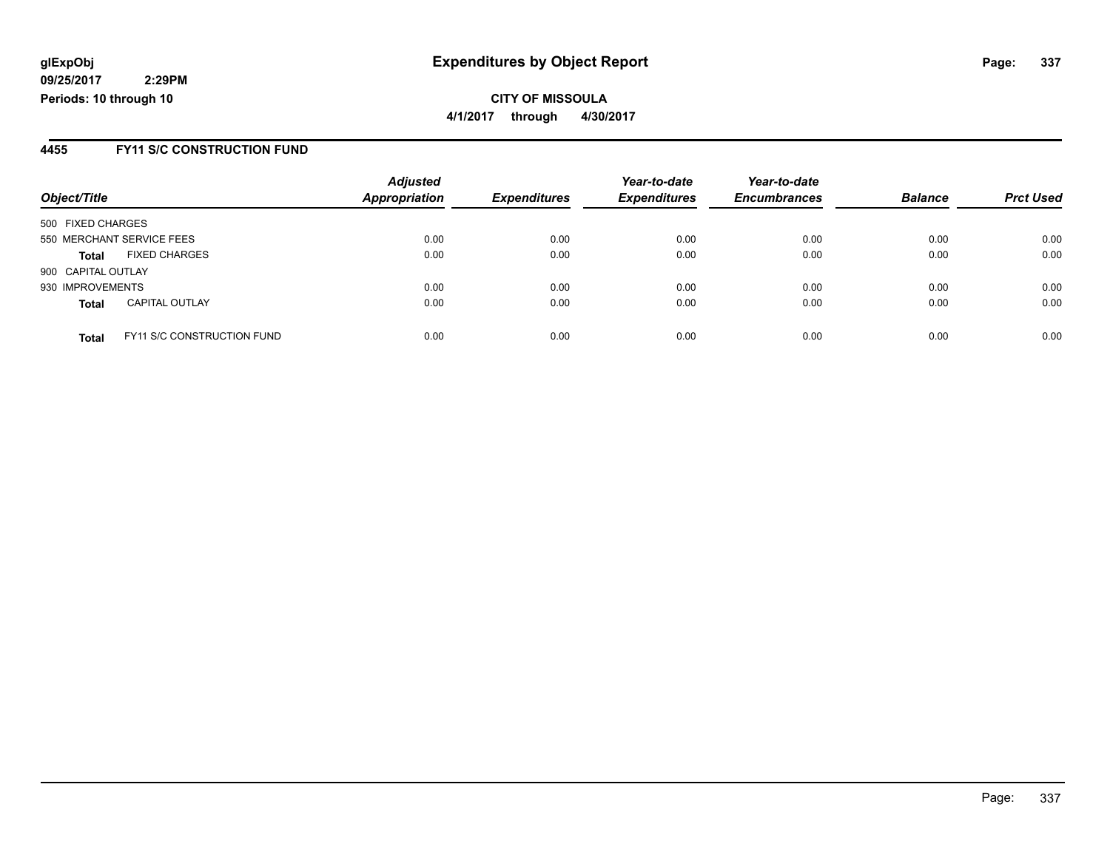**CITY OF MISSOULA 4/1/2017 through 4/30/2017**

#### **4455 FY11 S/C CONSTRUCTION FUND**

| Object/Title       |                                   | <b>Adjusted</b><br><b>Appropriation</b> | <b>Expenditures</b> | Year-to-date<br><b>Expenditures</b> | Year-to-date<br><b>Encumbrances</b> | <b>Balance</b> | <b>Prct Used</b> |
|--------------------|-----------------------------------|-----------------------------------------|---------------------|-------------------------------------|-------------------------------------|----------------|------------------|
| 500 FIXED CHARGES  |                                   |                                         |                     |                                     |                                     |                |                  |
|                    | 550 MERCHANT SERVICE FEES         | 0.00                                    | 0.00                | 0.00                                | 0.00                                | 0.00           | 0.00             |
| <b>Total</b>       | <b>FIXED CHARGES</b>              | 0.00                                    | 0.00                | 0.00                                | 0.00                                | 0.00           | 0.00             |
| 900 CAPITAL OUTLAY |                                   |                                         |                     |                                     |                                     |                |                  |
| 930 IMPROVEMENTS   |                                   | 0.00                                    | 0.00                | 0.00                                | 0.00                                | 0.00           | 0.00             |
| <b>Total</b>       | <b>CAPITAL OUTLAY</b>             | 0.00                                    | 0.00                | 0.00                                | 0.00                                | 0.00           | 0.00             |
| <b>Total</b>       | <b>FY11 S/C CONSTRUCTION FUND</b> | 0.00                                    | 0.00                | 0.00                                | 0.00                                | 0.00           | 0.00             |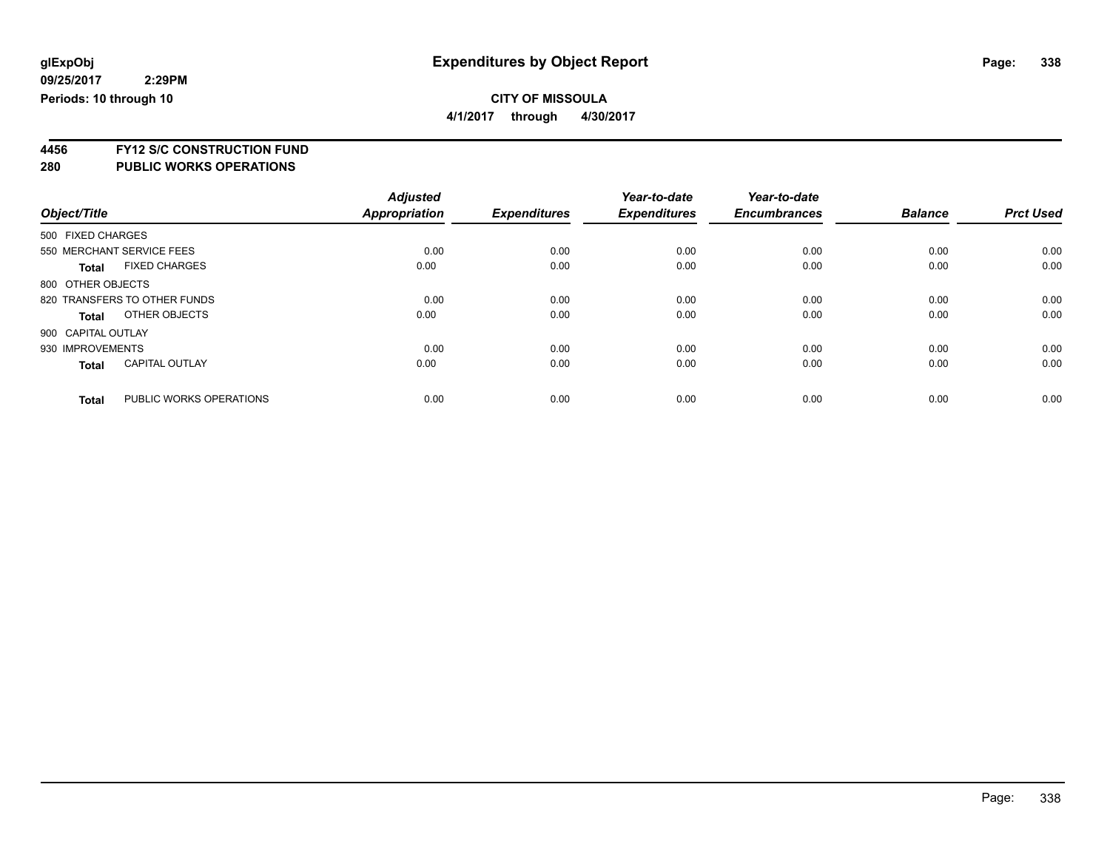**4/1/2017 through 4/30/2017**

**4456 FY12 S/C CONSTRUCTION FUND**

| Object/Title |                                         | <b>Adjusted</b><br>Appropriation | <b>Expenditures</b> | Year-to-date<br><b>Expenditures</b> | Year-to-date<br><b>Encumbrances</b> | <b>Balance</b> | <b>Prct Used</b> |
|--------------|-----------------------------------------|----------------------------------|---------------------|-------------------------------------|-------------------------------------|----------------|------------------|
|              |                                         |                                  |                     |                                     |                                     |                |                  |
|              | 500 FIXED CHARGES                       |                                  |                     |                                     |                                     |                |                  |
|              | 550 MERCHANT SERVICE FEES               | 0.00                             | 0.00                | 0.00                                | 0.00                                | 0.00           | 0.00             |
|              | <b>FIXED CHARGES</b><br><b>Total</b>    | 0.00                             | 0.00                | 0.00                                | 0.00                                | 0.00           | 0.00             |
|              | 800 OTHER OBJECTS                       |                                  |                     |                                     |                                     |                |                  |
|              | 820 TRANSFERS TO OTHER FUNDS            | 0.00                             | 0.00                | 0.00                                | 0.00                                | 0.00           | 0.00             |
|              | OTHER OBJECTS<br><b>Total</b>           | 0.00                             | 0.00                | 0.00                                | 0.00                                | 0.00           | 0.00             |
|              | 900 CAPITAL OUTLAY                      |                                  |                     |                                     |                                     |                |                  |
|              | 930 IMPROVEMENTS                        | 0.00                             | 0.00                | 0.00                                | 0.00                                | 0.00           | 0.00             |
|              | <b>CAPITAL OUTLAY</b><br><b>Total</b>   | 0.00                             | 0.00                | 0.00                                | 0.00                                | 0.00           | 0.00             |
|              | PUBLIC WORKS OPERATIONS<br><b>Total</b> | 0.00                             | 0.00                | 0.00                                | 0.00                                | 0.00           | 0.00             |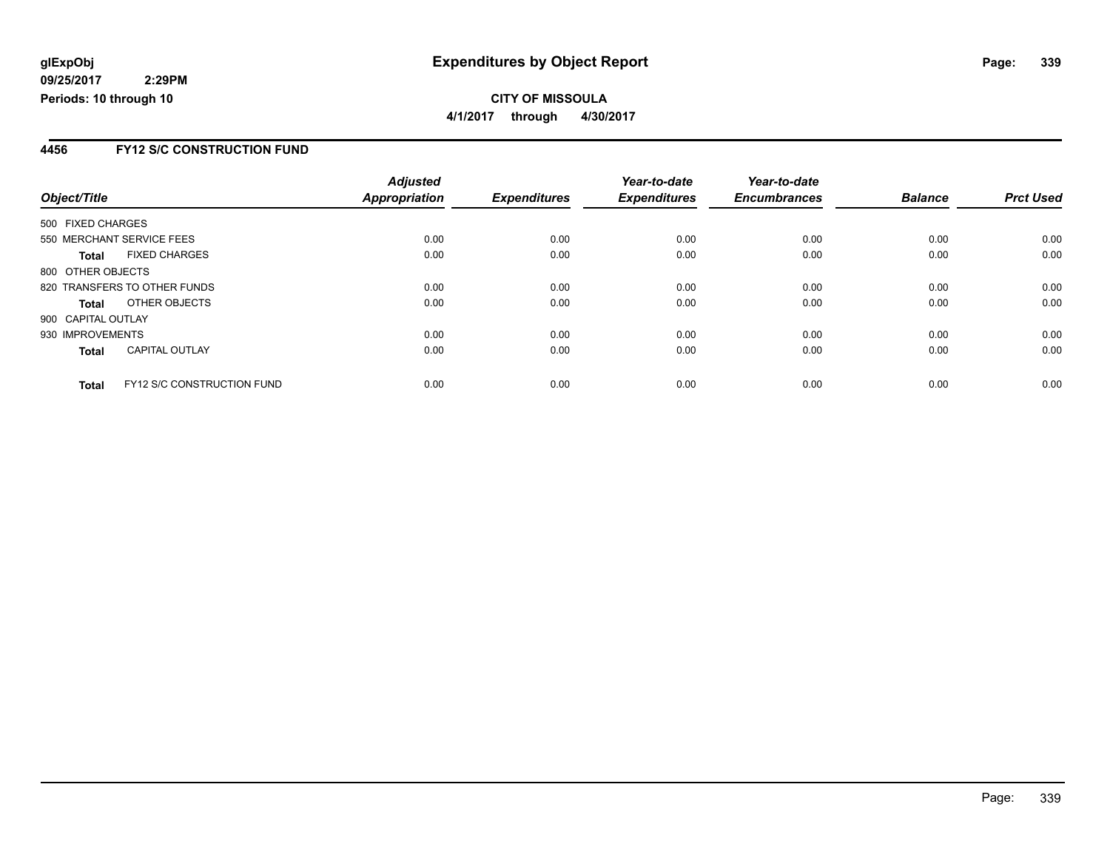### **CITY OF MISSOULA 4/1/2017 through 4/30/2017**

### **4456 FY12 S/C CONSTRUCTION FUND**

|                    |                                   | <b>Adjusted</b> |                     | Year-to-date        | Year-to-date        |                |                  |
|--------------------|-----------------------------------|-----------------|---------------------|---------------------|---------------------|----------------|------------------|
| Object/Title       |                                   | Appropriation   | <b>Expenditures</b> | <b>Expenditures</b> | <b>Encumbrances</b> | <b>Balance</b> | <b>Prct Used</b> |
| 500 FIXED CHARGES  |                                   |                 |                     |                     |                     |                |                  |
|                    | 550 MERCHANT SERVICE FEES         | 0.00            | 0.00                | 0.00                | 0.00                | 0.00           | 0.00             |
| <b>Total</b>       | <b>FIXED CHARGES</b>              | 0.00            | 0.00                | 0.00                | 0.00                | 0.00           | 0.00             |
| 800 OTHER OBJECTS  |                                   |                 |                     |                     |                     |                |                  |
|                    | 820 TRANSFERS TO OTHER FUNDS      | 0.00            | 0.00                | 0.00                | 0.00                | 0.00           | 0.00             |
| <b>Total</b>       | OTHER OBJECTS                     | 0.00            | 0.00                | 0.00                | 0.00                | 0.00           | 0.00             |
| 900 CAPITAL OUTLAY |                                   |                 |                     |                     |                     |                |                  |
| 930 IMPROVEMENTS   |                                   | 0.00            | 0.00                | 0.00                | 0.00                | 0.00           | 0.00             |
| <b>Total</b>       | <b>CAPITAL OUTLAY</b>             | 0.00            | 0.00                | 0.00                | 0.00                | 0.00           | 0.00             |
| <b>Total</b>       | <b>FY12 S/C CONSTRUCTION FUND</b> | 0.00            | 0.00                | 0.00                | 0.00                | 0.00           | 0.00             |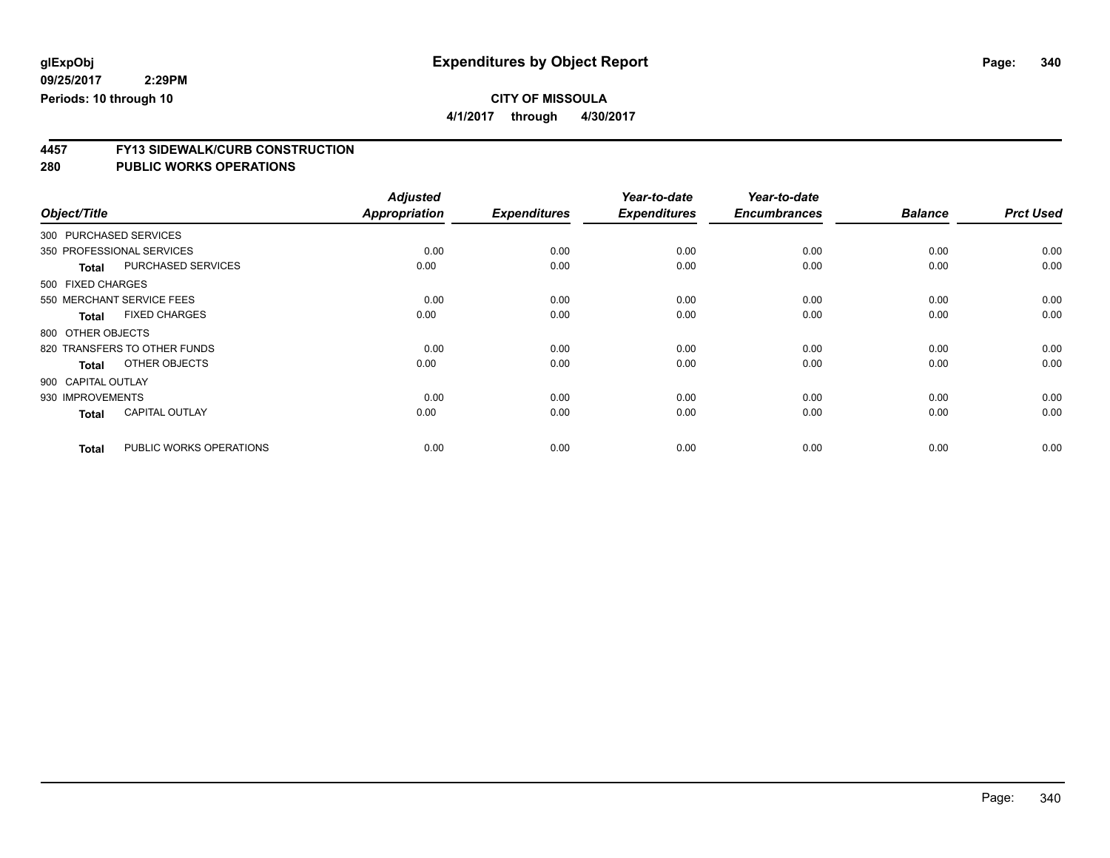**4/1/2017 through 4/30/2017**

# **4457 FY13 SIDEWALK/CURB CONSTRUCTION**

| Object/Title       |                              | <b>Adjusted</b><br><b>Appropriation</b> | <b>Expenditures</b> | Year-to-date<br><b>Expenditures</b> | Year-to-date<br><b>Encumbrances</b> | <b>Balance</b> | <b>Prct Used</b> |
|--------------------|------------------------------|-----------------------------------------|---------------------|-------------------------------------|-------------------------------------|----------------|------------------|
|                    |                              |                                         |                     |                                     |                                     |                |                  |
|                    | 300 PURCHASED SERVICES       |                                         |                     |                                     |                                     |                |                  |
|                    | 350 PROFESSIONAL SERVICES    | 0.00                                    | 0.00                | 0.00                                | 0.00                                | 0.00           | 0.00             |
| <b>Total</b>       | <b>PURCHASED SERVICES</b>    | 0.00                                    | 0.00                | 0.00                                | 0.00                                | 0.00           | 0.00             |
| 500 FIXED CHARGES  |                              |                                         |                     |                                     |                                     |                |                  |
|                    | 550 MERCHANT SERVICE FEES    | 0.00                                    | 0.00                | 0.00                                | 0.00                                | 0.00           | 0.00             |
| <b>Total</b>       | <b>FIXED CHARGES</b>         | 0.00                                    | 0.00                | 0.00                                | 0.00                                | 0.00           | 0.00             |
| 800 OTHER OBJECTS  |                              |                                         |                     |                                     |                                     |                |                  |
|                    | 820 TRANSFERS TO OTHER FUNDS | 0.00                                    | 0.00                | 0.00                                | 0.00                                | 0.00           | 0.00             |
| <b>Total</b>       | OTHER OBJECTS                | 0.00                                    | 0.00                | 0.00                                | 0.00                                | 0.00           | 0.00             |
| 900 CAPITAL OUTLAY |                              |                                         |                     |                                     |                                     |                |                  |
| 930 IMPROVEMENTS   |                              | 0.00                                    | 0.00                | 0.00                                | 0.00                                | 0.00           | 0.00             |
| <b>Total</b>       | <b>CAPITAL OUTLAY</b>        | 0.00                                    | 0.00                | 0.00                                | 0.00                                | 0.00           | 0.00             |
| <b>Total</b>       | PUBLIC WORKS OPERATIONS      | 0.00                                    | 0.00                | 0.00                                | 0.00                                | 0.00           | 0.00             |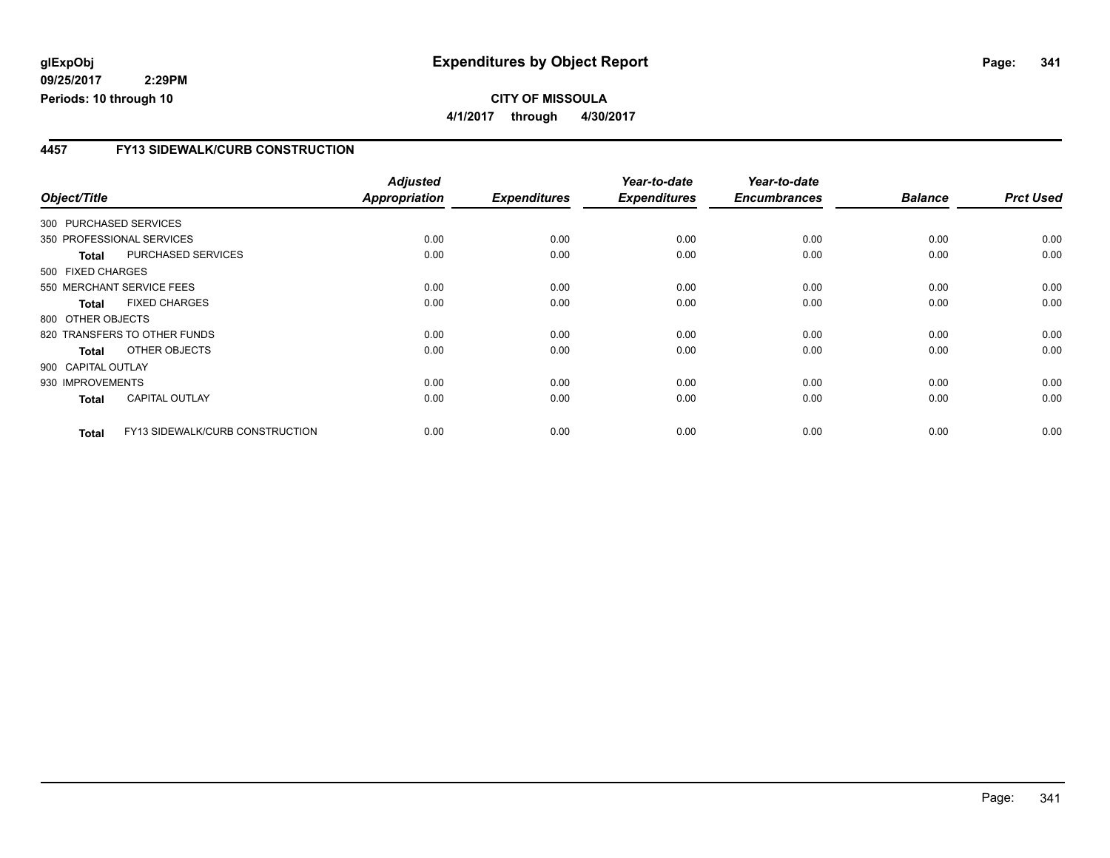### **CITY OF MISSOULA 4/1/2017 through 4/30/2017**

### **4457 FY13 SIDEWALK/CURB CONSTRUCTION**

| Object/Title           |                                 | <b>Adjusted</b><br><b>Appropriation</b> | <b>Expenditures</b> | Year-to-date<br><b>Expenditures</b> | Year-to-date<br><b>Encumbrances</b> | <b>Balance</b> | <b>Prct Used</b> |
|------------------------|---------------------------------|-----------------------------------------|---------------------|-------------------------------------|-------------------------------------|----------------|------------------|
| 300 PURCHASED SERVICES |                                 |                                         |                     |                                     |                                     |                |                  |
|                        | 350 PROFESSIONAL SERVICES       | 0.00                                    | 0.00                | 0.00                                | 0.00                                | 0.00           | 0.00             |
| <b>Total</b>           | PURCHASED SERVICES              | 0.00                                    | 0.00                | 0.00                                | 0.00                                | 0.00           | 0.00             |
| 500 FIXED CHARGES      |                                 |                                         |                     |                                     |                                     |                |                  |
|                        | 550 MERCHANT SERVICE FEES       | 0.00                                    | 0.00                | 0.00                                | 0.00                                | 0.00           | 0.00             |
| <b>Total</b>           | <b>FIXED CHARGES</b>            | 0.00                                    | 0.00                | 0.00                                | 0.00                                | 0.00           | 0.00             |
| 800 OTHER OBJECTS      |                                 |                                         |                     |                                     |                                     |                |                  |
|                        | 820 TRANSFERS TO OTHER FUNDS    | 0.00                                    | 0.00                | 0.00                                | 0.00                                | 0.00           | 0.00             |
| Total                  | OTHER OBJECTS                   | 0.00                                    | 0.00                | 0.00                                | 0.00                                | 0.00           | 0.00             |
| 900 CAPITAL OUTLAY     |                                 |                                         |                     |                                     |                                     |                |                  |
| 930 IMPROVEMENTS       |                                 | 0.00                                    | 0.00                | 0.00                                | 0.00                                | 0.00           | 0.00             |
| <b>Total</b>           | <b>CAPITAL OUTLAY</b>           | 0.00                                    | 0.00                | 0.00                                | 0.00                                | 0.00           | 0.00             |
| <b>Total</b>           | FY13 SIDEWALK/CURB CONSTRUCTION | 0.00                                    | 0.00                | 0.00                                | 0.00                                | 0.00           | 0.00             |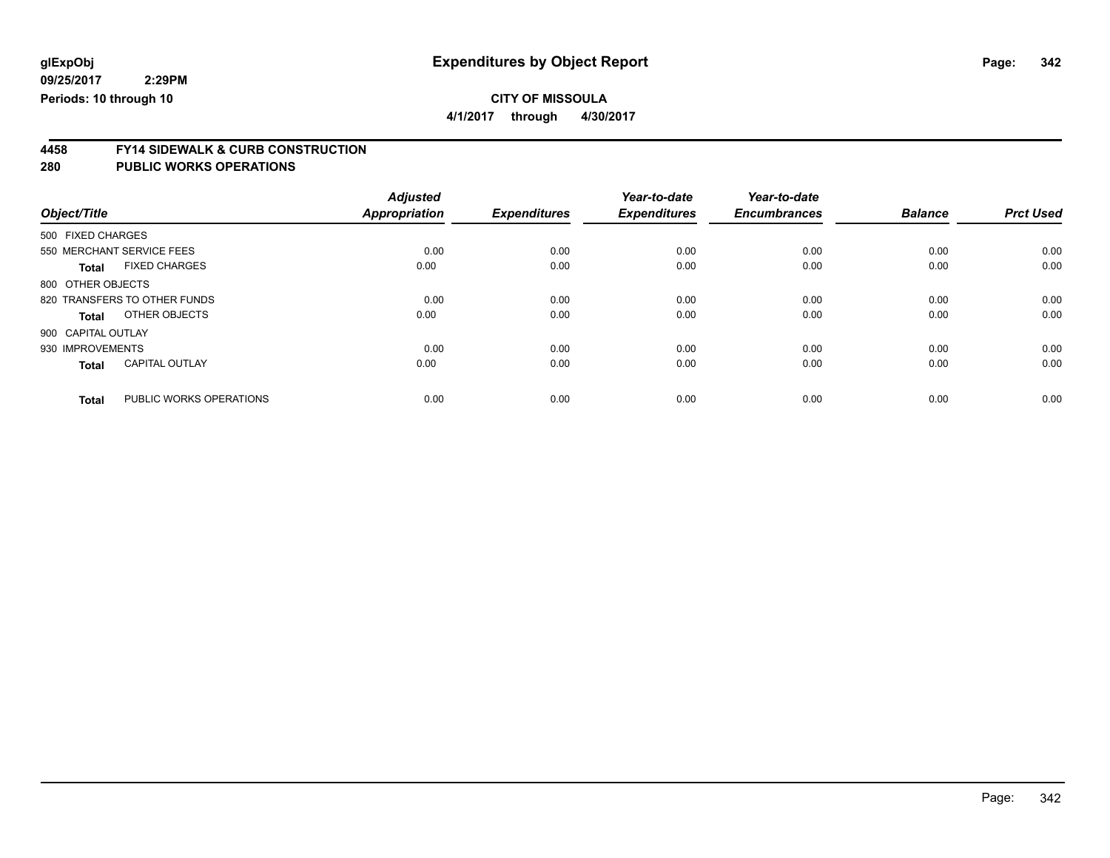**4/1/2017 through 4/30/2017**

# **4458 FY14 SIDEWALK & CURB CONSTRUCTION**

| Object/Title       |                              | <b>Adjusted</b><br><b>Appropriation</b> | <b>Expenditures</b> | Year-to-date<br><b>Expenditures</b> | Year-to-date<br><b>Encumbrances</b> | <b>Balance</b> | <b>Prct Used</b> |
|--------------------|------------------------------|-----------------------------------------|---------------------|-------------------------------------|-------------------------------------|----------------|------------------|
| 500 FIXED CHARGES  |                              |                                         |                     |                                     |                                     |                |                  |
|                    | 550 MERCHANT SERVICE FEES    | 0.00                                    | 0.00                | 0.00                                | 0.00                                | 0.00           | 0.00             |
| <b>Total</b>       | <b>FIXED CHARGES</b>         | 0.00                                    | 0.00                | 0.00                                | 0.00                                | 0.00           | 0.00             |
| 800 OTHER OBJECTS  |                              |                                         |                     |                                     |                                     |                |                  |
|                    | 820 TRANSFERS TO OTHER FUNDS | 0.00                                    | 0.00                | 0.00                                | 0.00                                | 0.00           | 0.00             |
| <b>Total</b>       | OTHER OBJECTS                | 0.00                                    | 0.00                | 0.00                                | 0.00                                | 0.00           | 0.00             |
| 900 CAPITAL OUTLAY |                              |                                         |                     |                                     |                                     |                |                  |
| 930 IMPROVEMENTS   |                              | 0.00                                    | 0.00                | 0.00                                | 0.00                                | 0.00           | 0.00             |
| <b>Total</b>       | <b>CAPITAL OUTLAY</b>        | 0.00                                    | 0.00                | 0.00                                | 0.00                                | 0.00           | 0.00             |
| <b>Total</b>       | PUBLIC WORKS OPERATIONS      | 0.00                                    | 0.00                | 0.00                                | 0.00                                | 0.00           | 0.00             |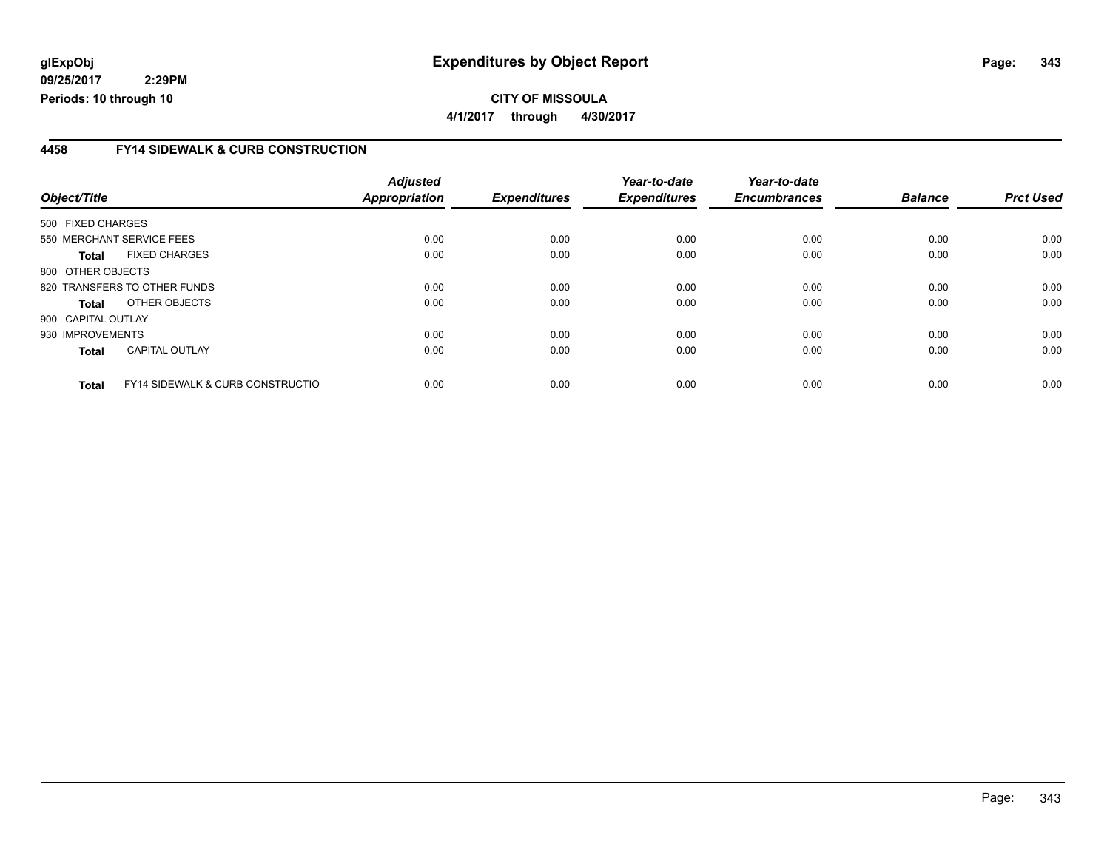#### **4458 FY14 SIDEWALK & CURB CONSTRUCTION**

| Object/Title       |                                              | <b>Adjusted</b><br>Appropriation | <b>Expenditures</b> | Year-to-date<br><b>Expenditures</b> | Year-to-date<br><b>Encumbrances</b> | <b>Balance</b> | <b>Prct Used</b> |
|--------------------|----------------------------------------------|----------------------------------|---------------------|-------------------------------------|-------------------------------------|----------------|------------------|
| 500 FIXED CHARGES  |                                              |                                  |                     |                                     |                                     |                |                  |
|                    | 550 MERCHANT SERVICE FEES                    | 0.00                             | 0.00                | 0.00                                | 0.00                                | 0.00           | 0.00             |
|                    |                                              |                                  |                     |                                     |                                     |                |                  |
| <b>Total</b>       | <b>FIXED CHARGES</b>                         | 0.00                             | 0.00                | 0.00                                | 0.00                                | 0.00           | 0.00             |
| 800 OTHER OBJECTS  |                                              |                                  |                     |                                     |                                     |                |                  |
|                    | 820 TRANSFERS TO OTHER FUNDS                 | 0.00                             | 0.00                | 0.00                                | 0.00                                | 0.00           | 0.00             |
| <b>Total</b>       | OTHER OBJECTS                                | 0.00                             | 0.00                | 0.00                                | 0.00                                | 0.00           | 0.00             |
| 900 CAPITAL OUTLAY |                                              |                                  |                     |                                     |                                     |                |                  |
| 930 IMPROVEMENTS   |                                              | 0.00                             | 0.00                | 0.00                                | 0.00                                | 0.00           | 0.00             |
| <b>Total</b>       | <b>CAPITAL OUTLAY</b>                        | 0.00                             | 0.00                | 0.00                                | 0.00                                | 0.00           | 0.00             |
| <b>Total</b>       | <b>FY14 SIDEWALK &amp; CURB CONSTRUCTIOL</b> | 0.00                             | 0.00                | 0.00                                | 0.00                                | 0.00           | 0.00             |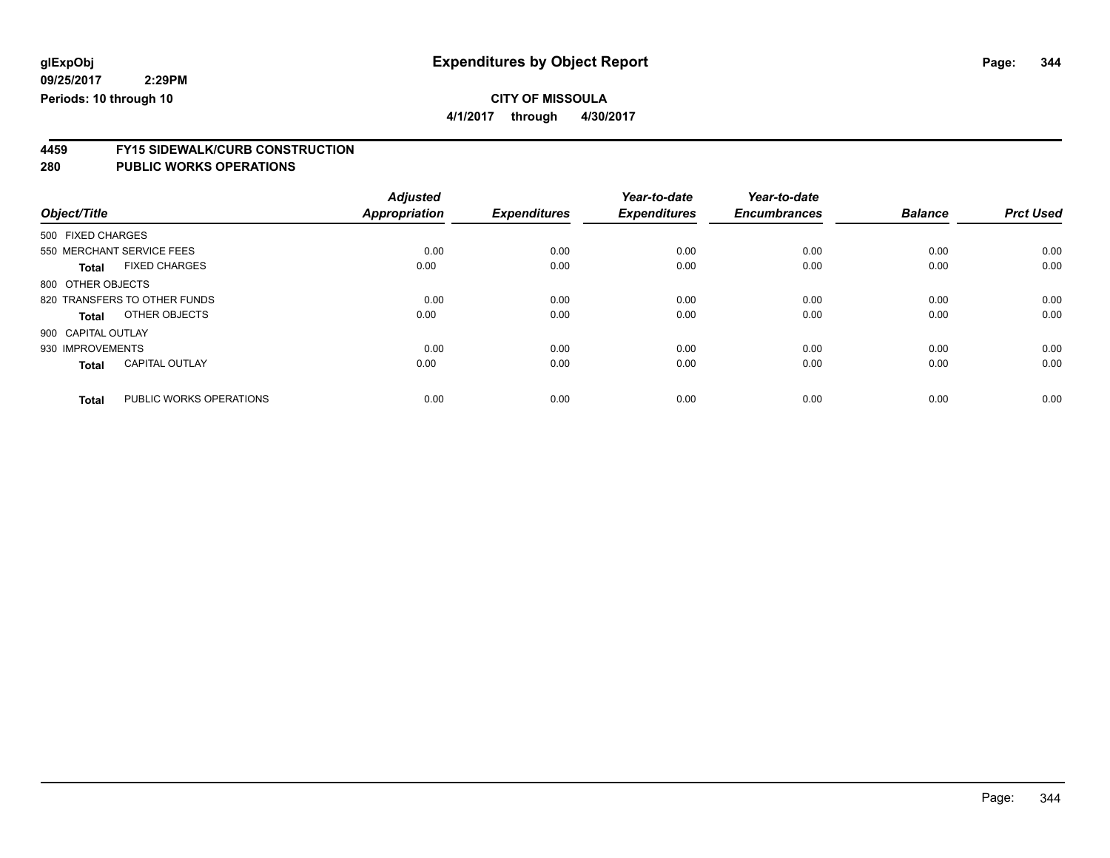**4/1/2017 through 4/30/2017**

# **4459 FY15 SIDEWALK/CURB CONSTRUCTION**

| Object/Title       |                              | <b>Adjusted</b><br><b>Appropriation</b> | <b>Expenditures</b> | Year-to-date<br><b>Expenditures</b> | Year-to-date<br><b>Encumbrances</b> | <b>Balance</b> | <b>Prct Used</b> |
|--------------------|------------------------------|-----------------------------------------|---------------------|-------------------------------------|-------------------------------------|----------------|------------------|
| 500 FIXED CHARGES  |                              |                                         |                     |                                     |                                     |                |                  |
|                    | 550 MERCHANT SERVICE FEES    | 0.00                                    | 0.00                | 0.00                                | 0.00                                | 0.00           | 0.00             |
| <b>Total</b>       | <b>FIXED CHARGES</b>         | 0.00                                    | 0.00                | 0.00                                | 0.00                                | 0.00           | 0.00             |
| 800 OTHER OBJECTS  |                              |                                         |                     |                                     |                                     |                |                  |
|                    | 820 TRANSFERS TO OTHER FUNDS | 0.00                                    | 0.00                | 0.00                                | 0.00                                | 0.00           | 0.00             |
| <b>Total</b>       | OTHER OBJECTS                | 0.00                                    | 0.00                | 0.00                                | 0.00                                | 0.00           | 0.00             |
| 900 CAPITAL OUTLAY |                              |                                         |                     |                                     |                                     |                |                  |
| 930 IMPROVEMENTS   |                              | 0.00                                    | 0.00                | 0.00                                | 0.00                                | 0.00           | 0.00             |
| <b>Total</b>       | <b>CAPITAL OUTLAY</b>        | 0.00                                    | 0.00                | 0.00                                | 0.00                                | 0.00           | 0.00             |
| <b>Total</b>       | PUBLIC WORKS OPERATIONS      | 0.00                                    | 0.00                | 0.00                                | 0.00                                | 0.00           | 0.00             |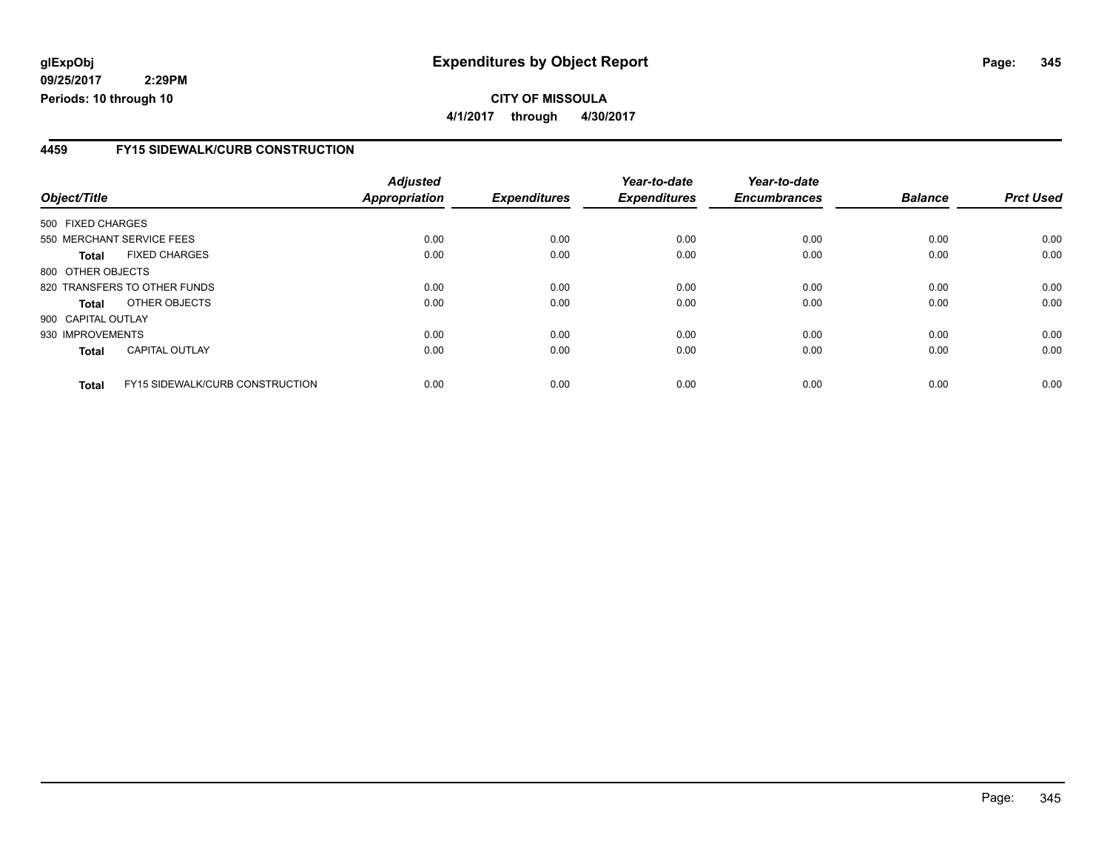### **CITY OF MISSOULA 4/1/2017 through 4/30/2017**

#### **4459 FY15 SIDEWALK/CURB CONSTRUCTION**

| Object/Title       |                                        | <b>Adjusted</b><br>Appropriation | <b>Expenditures</b> | Year-to-date<br><b>Expenditures</b> | Year-to-date<br><b>Encumbrances</b> | <b>Balance</b> | <b>Prct Used</b> |
|--------------------|----------------------------------------|----------------------------------|---------------------|-------------------------------------|-------------------------------------|----------------|------------------|
|                    |                                        |                                  |                     |                                     |                                     |                |                  |
| 500 FIXED CHARGES  |                                        |                                  |                     |                                     |                                     |                |                  |
|                    | 550 MERCHANT SERVICE FEES              | 0.00                             | 0.00                | 0.00                                | 0.00                                | 0.00           | 0.00             |
| <b>Total</b>       | <b>FIXED CHARGES</b>                   | 0.00                             | 0.00                | 0.00                                | 0.00                                | 0.00           | 0.00             |
| 800 OTHER OBJECTS  |                                        |                                  |                     |                                     |                                     |                |                  |
|                    | 820 TRANSFERS TO OTHER FUNDS           | 0.00                             | 0.00                | 0.00                                | 0.00                                | 0.00           | 0.00             |
| <b>Total</b>       | OTHER OBJECTS                          | 0.00                             | 0.00                | 0.00                                | 0.00                                | 0.00           | 0.00             |
| 900 CAPITAL OUTLAY |                                        |                                  |                     |                                     |                                     |                |                  |
| 930 IMPROVEMENTS   |                                        | 0.00                             | 0.00                | 0.00                                | 0.00                                | 0.00           | 0.00             |
| <b>Total</b>       | <b>CAPITAL OUTLAY</b>                  | 0.00                             | 0.00                | 0.00                                | 0.00                                | 0.00           | 0.00             |
| <b>Total</b>       | <b>FY15 SIDEWALK/CURB CONSTRUCTION</b> | 0.00                             | 0.00                | 0.00                                | 0.00                                | 0.00           | 0.00             |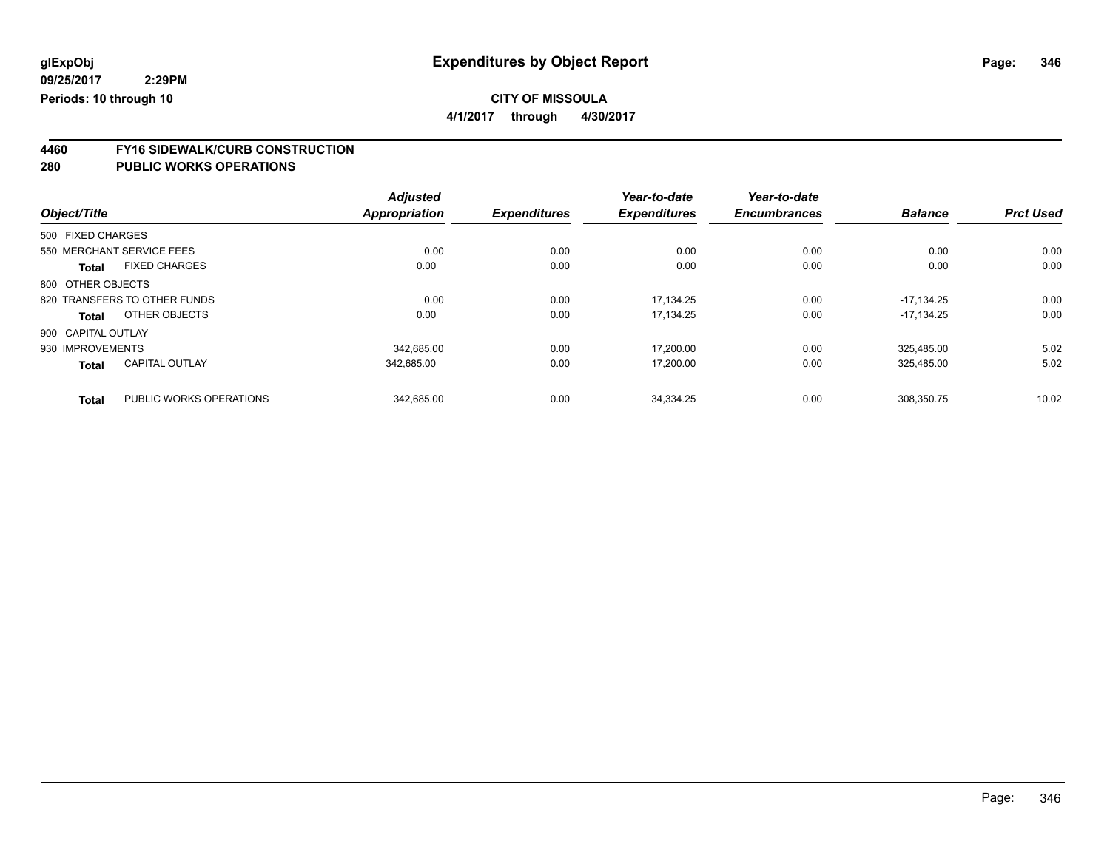## **CITY OF MISSOULA**

**4/1/2017 through 4/30/2017**

# **4460 FY16 SIDEWALK/CURB CONSTRUCTION**

|                    |                              | <b>Adjusted</b> |                     | Year-to-date        | Year-to-date        |                |                  |
|--------------------|------------------------------|-----------------|---------------------|---------------------|---------------------|----------------|------------------|
| Object/Title       |                              | Appropriation   | <b>Expenditures</b> | <b>Expenditures</b> | <b>Encumbrances</b> | <b>Balance</b> | <b>Prct Used</b> |
| 500 FIXED CHARGES  |                              |                 |                     |                     |                     |                |                  |
|                    | 550 MERCHANT SERVICE FEES    | 0.00            | 0.00                | 0.00                | 0.00                | 0.00           | 0.00             |
| <b>Total</b>       | <b>FIXED CHARGES</b>         | 0.00            | 0.00                | 0.00                | 0.00                | 0.00           | 0.00             |
| 800 OTHER OBJECTS  |                              |                 |                     |                     |                     |                |                  |
|                    | 820 TRANSFERS TO OTHER FUNDS | 0.00            | 0.00                | 17.134.25           | 0.00                | $-17.134.25$   | 0.00             |
| Total              | OTHER OBJECTS                | 0.00            | 0.00                | 17,134.25           | 0.00                | $-17,134.25$   | 0.00             |
| 900 CAPITAL OUTLAY |                              |                 |                     |                     |                     |                |                  |
| 930 IMPROVEMENTS   |                              | 342.685.00      | 0.00                | 17.200.00           | 0.00                | 325.485.00     | 5.02             |
| <b>Total</b>       | <b>CAPITAL OUTLAY</b>        | 342,685.00      | 0.00                | 17.200.00           | 0.00                | 325.485.00     | 5.02             |
| <b>Total</b>       | PUBLIC WORKS OPERATIONS      | 342.685.00      | 0.00                | 34.334.25           | 0.00                | 308.350.75     | 10.02            |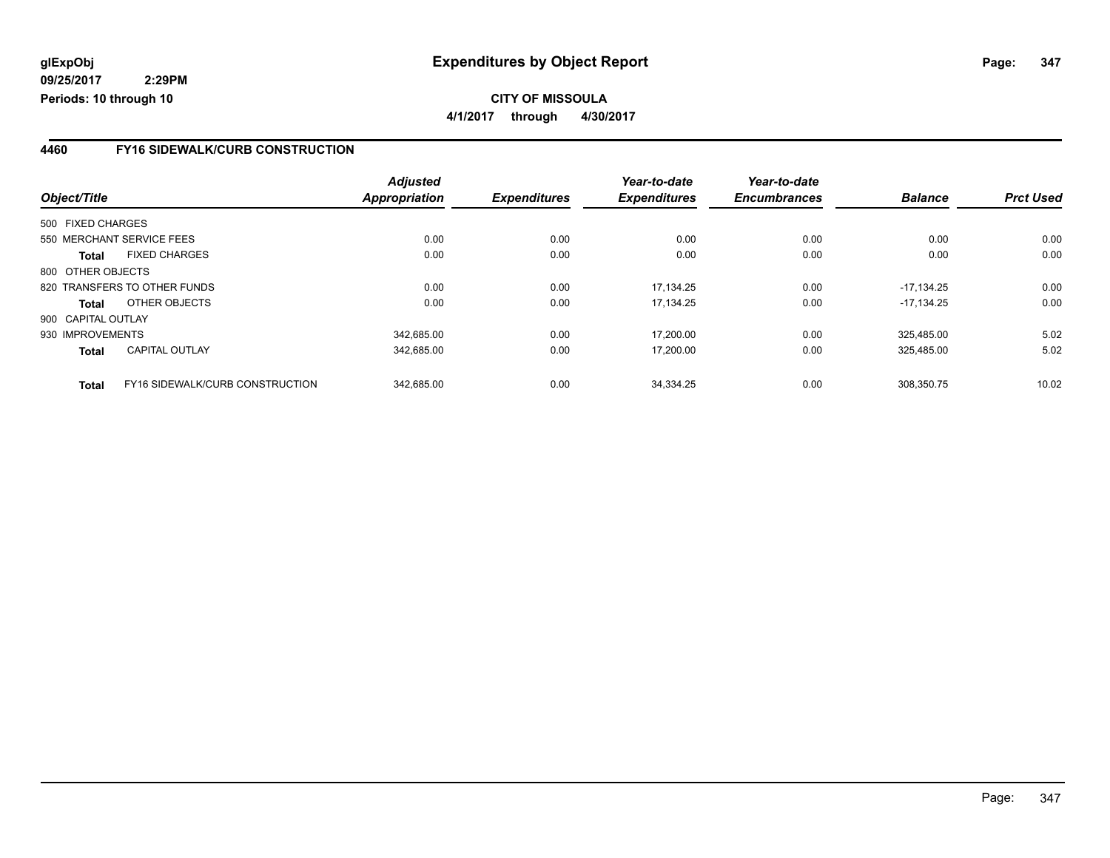#### **4460 FY16 SIDEWALK/CURB CONSTRUCTION**

|                    |                                 | <b>Adjusted</b>      |                     | Year-to-date        | Year-to-date        |                |                  |
|--------------------|---------------------------------|----------------------|---------------------|---------------------|---------------------|----------------|------------------|
| Object/Title       |                                 | <b>Appropriation</b> | <b>Expenditures</b> | <b>Expenditures</b> | <b>Encumbrances</b> | <b>Balance</b> | <b>Prct Used</b> |
| 500 FIXED CHARGES  |                                 |                      |                     |                     |                     |                |                  |
|                    | 550 MERCHANT SERVICE FEES       | 0.00                 | 0.00                | 0.00                | 0.00                | 0.00           | 0.00             |
| Total              | <b>FIXED CHARGES</b>            | 0.00                 | 0.00                | 0.00                | 0.00                | 0.00           | 0.00             |
| 800 OTHER OBJECTS  |                                 |                      |                     |                     |                     |                |                  |
|                    | 820 TRANSFERS TO OTHER FUNDS    | 0.00                 | 0.00                | 17.134.25           | 0.00                | $-17.134.25$   | 0.00             |
| Total              | OTHER OBJECTS                   | 0.00                 | 0.00                | 17,134.25           | 0.00                | $-17.134.25$   | 0.00             |
| 900 CAPITAL OUTLAY |                                 |                      |                     |                     |                     |                |                  |
| 930 IMPROVEMENTS   |                                 | 342.685.00           | 0.00                | 17.200.00           | 0.00                | 325.485.00     | 5.02             |
| <b>Total</b>       | CAPITAL OUTLAY                  | 342,685.00           | 0.00                | 17.200.00           | 0.00                | 325,485.00     | 5.02             |
| <b>Total</b>       | FY16 SIDEWALK/CURB CONSTRUCTION | 342.685.00           | 0.00                | 34.334.25           | 0.00                | 308.350.75     | 10.02            |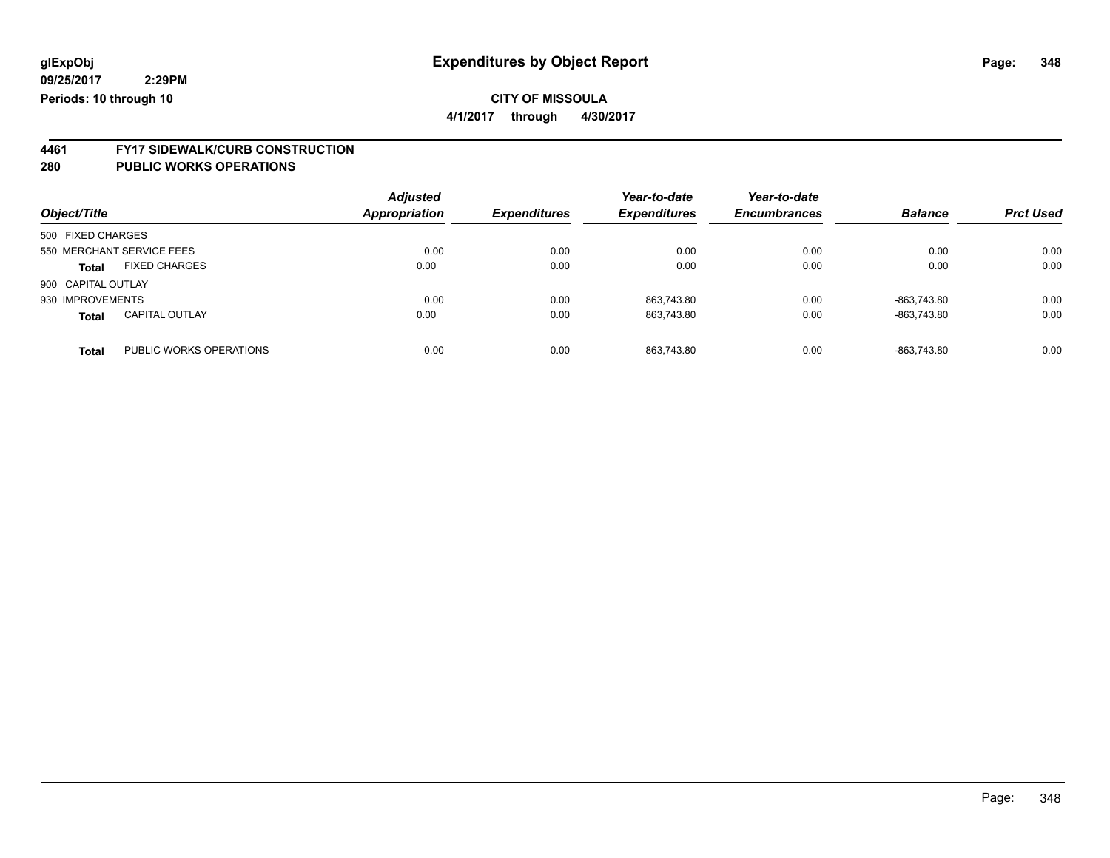## **CITY OF MISSOULA**

**4/1/2017 through 4/30/2017**

# **4461 FY17 SIDEWALK/CURB CONSTRUCTION**

| Object/Title                            | <b>Adjusted</b><br>Appropriation | <b>Expenditures</b> | Year-to-date<br><b>Expenditures</b> | Year-to-date<br><b>Encumbrances</b> | <b>Balance</b> | <b>Prct Used</b> |
|-----------------------------------------|----------------------------------|---------------------|-------------------------------------|-------------------------------------|----------------|------------------|
| 500 FIXED CHARGES                       |                                  |                     |                                     |                                     |                |                  |
| 550 MERCHANT SERVICE FEES               | 0.00                             | 0.00                | 0.00                                | 0.00                                | 0.00           | 0.00             |
| <b>FIXED CHARGES</b><br><b>Total</b>    | 0.00                             | 0.00                | 0.00                                | 0.00                                | 0.00           | 0.00             |
| 900 CAPITAL OUTLAY                      |                                  |                     |                                     |                                     |                |                  |
| 930 IMPROVEMENTS                        | 0.00                             | 0.00                | 863,743.80                          | 0.00                                | $-863.743.80$  | 0.00             |
| <b>CAPITAL OUTLAY</b><br><b>Total</b>   | 0.00                             | 0.00                | 863,743.80                          | 0.00                                | $-863,743.80$  | 0.00             |
| PUBLIC WORKS OPERATIONS<br><b>Total</b> | 0.00                             | 0.00                | 863.743.80                          | 0.00                                | $-863.743.80$  | 0.00             |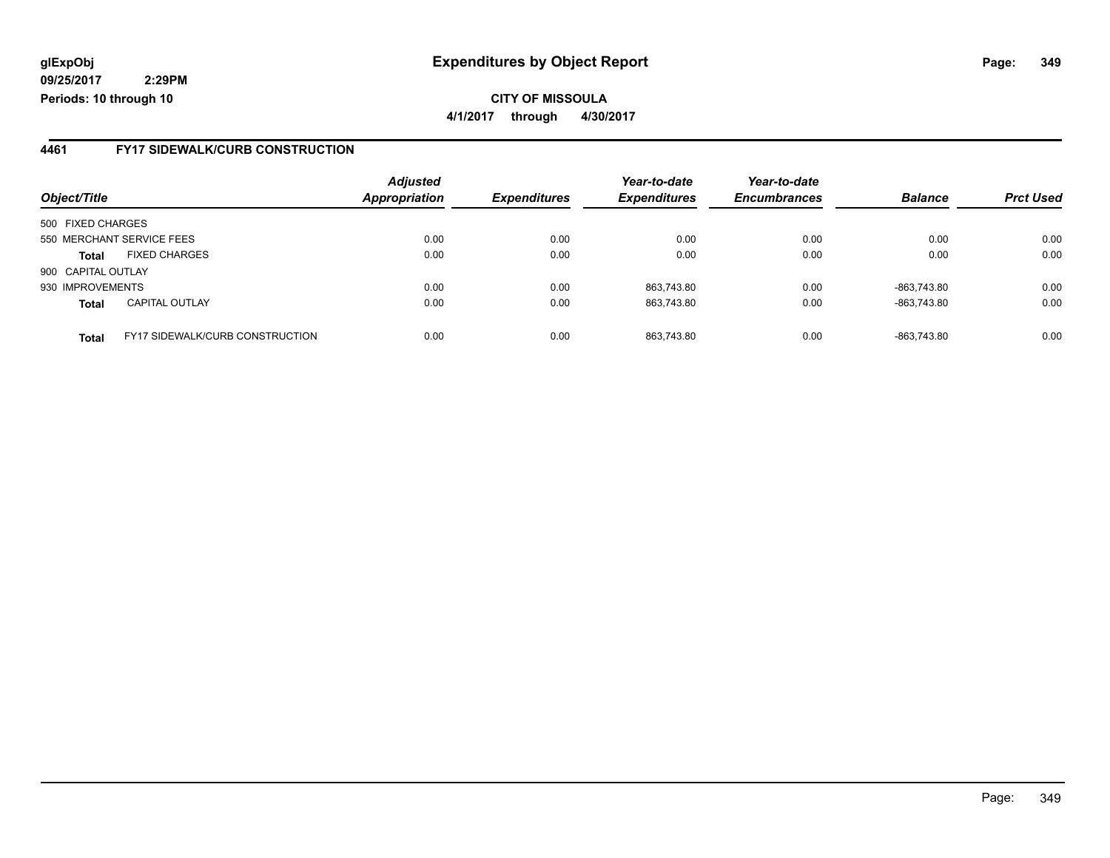## **glExpObj Expenditures by Object Report Page: 349**

**09/25/2017 2:29PM Periods: 10 through 10**

#### **4461 FY17 SIDEWALK/CURB CONSTRUCTION**

|                    |                                        | <b>Adjusted</b>      |                     | Year-to-date        | Year-to-date        | <b>Balance</b> | <b>Prct Used</b> |
|--------------------|----------------------------------------|----------------------|---------------------|---------------------|---------------------|----------------|------------------|
| Object/Title       |                                        | <b>Appropriation</b> | <b>Expenditures</b> | <b>Expenditures</b> | <b>Encumbrances</b> |                |                  |
| 500 FIXED CHARGES  |                                        |                      |                     |                     |                     |                |                  |
|                    | 550 MERCHANT SERVICE FEES              | 0.00                 | 0.00                | 0.00                | 0.00                | 0.00           | 0.00             |
| <b>Total</b>       | <b>FIXED CHARGES</b>                   | 0.00                 | 0.00                | 0.00                | 0.00                | 0.00           | 0.00             |
| 900 CAPITAL OUTLAY |                                        |                      |                     |                     |                     |                |                  |
| 930 IMPROVEMENTS   |                                        | 0.00                 | 0.00                | 863,743.80          | 0.00                | -863,743.80    | 0.00             |
| <b>Total</b>       | <b>CAPITAL OUTLAY</b>                  | 0.00                 | 0.00                | 863.743.80          | 0.00                | -863.743.80    | 0.00             |
| <b>Total</b>       | <b>FY17 SIDEWALK/CURB CONSTRUCTION</b> | 0.00                 | 0.00                | 863.743.80          | 0.00                | -863.743.80    | 0.00             |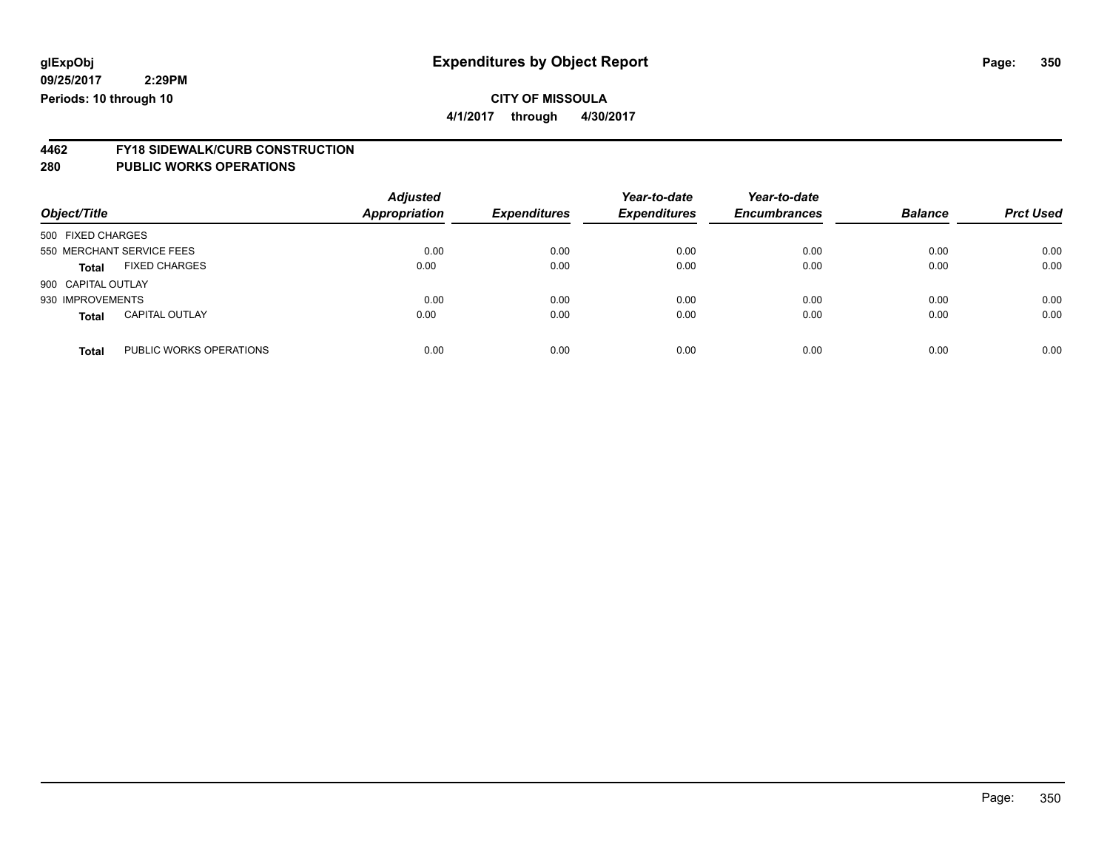**4/1/2017 through 4/30/2017**

# **4462 FY18 SIDEWALK/CURB CONSTRUCTION**

| Object/Title       |                           | <b>Adjusted</b><br><b>Appropriation</b> | <b>Expenditures</b> | Year-to-date<br><b>Expenditures</b> | Year-to-date<br><b>Encumbrances</b> | <b>Balance</b> | <b>Prct Used</b> |
|--------------------|---------------------------|-----------------------------------------|---------------------|-------------------------------------|-------------------------------------|----------------|------------------|
| 500 FIXED CHARGES  |                           |                                         |                     |                                     |                                     |                |                  |
|                    | 550 MERCHANT SERVICE FEES | 0.00                                    | 0.00                | 0.00                                | 0.00                                | 0.00           | 0.00             |
| <b>Total</b>       | <b>FIXED CHARGES</b>      | 0.00                                    | 0.00                | 0.00                                | 0.00                                | 0.00           | 0.00             |
| 900 CAPITAL OUTLAY |                           |                                         |                     |                                     |                                     |                |                  |
| 930 IMPROVEMENTS   |                           | 0.00                                    | 0.00                | 0.00                                | 0.00                                | 0.00           | 0.00             |
| <b>Total</b>       | <b>CAPITAL OUTLAY</b>     | 0.00                                    | 0.00                | 0.00                                | 0.00                                | 0.00           | 0.00             |
| <b>Total</b>       | PUBLIC WORKS OPERATIONS   | 0.00                                    | 0.00                | 0.00                                | 0.00                                | 0.00           | 0.00             |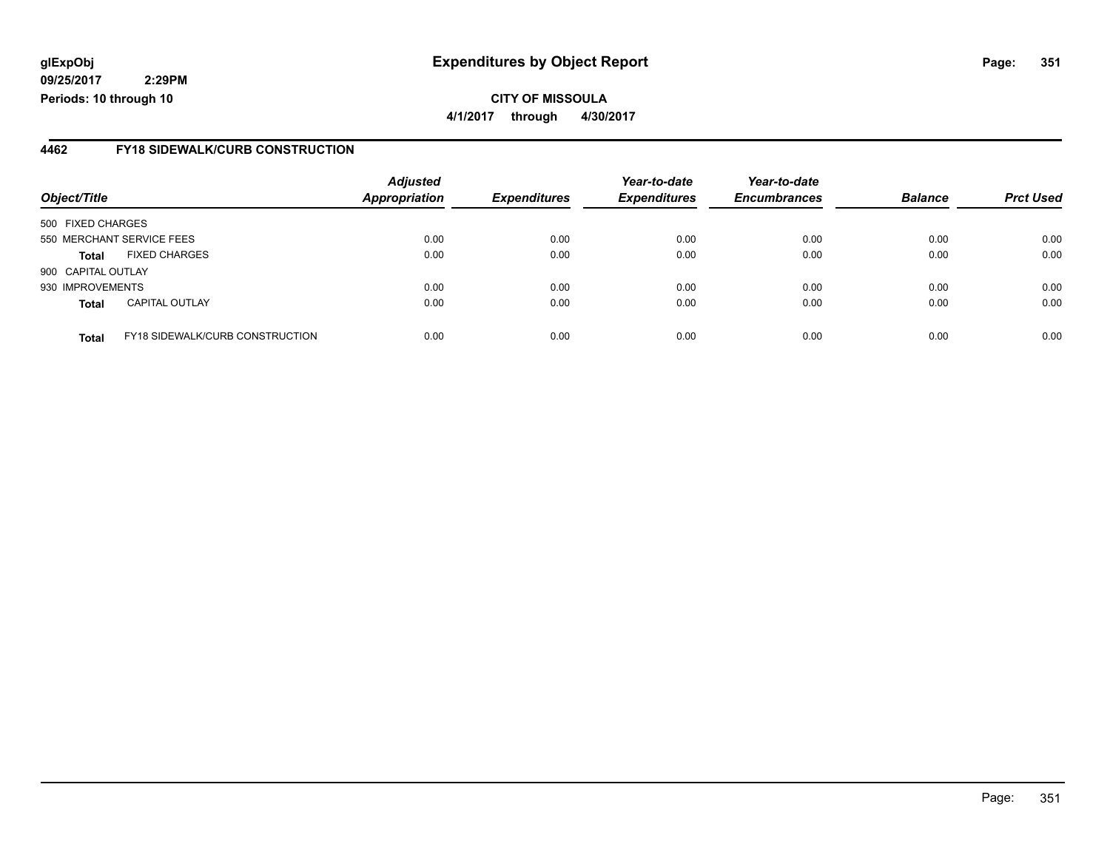## **glExpObj Expenditures by Object Report Page: 351**

**09/25/2017 2:29PM Periods: 10 through 10**

#### **4462 FY18 SIDEWALK/CURB CONSTRUCTION**

| Object/Title              |                                 | <b>Adjusted</b><br><b>Appropriation</b> | <b>Expenditures</b> | Year-to-date<br><b>Expenditures</b> | Year-to-date<br><b>Encumbrances</b> | <b>Balance</b> | <b>Prct Used</b> |
|---------------------------|---------------------------------|-----------------------------------------|---------------------|-------------------------------------|-------------------------------------|----------------|------------------|
| 500 FIXED CHARGES         |                                 |                                         |                     |                                     |                                     |                |                  |
| 550 MERCHANT SERVICE FEES |                                 | 0.00                                    | 0.00                | 0.00                                | 0.00                                | 0.00           | 0.00             |
| <b>Total</b>              | <b>FIXED CHARGES</b>            | 0.00                                    | 0.00                | 0.00                                | 0.00                                | 0.00           | 0.00             |
| 900 CAPITAL OUTLAY        |                                 |                                         |                     |                                     |                                     |                |                  |
| 930 IMPROVEMENTS          |                                 | 0.00                                    | 0.00                | 0.00                                | 0.00                                | 0.00           | 0.00             |
| <b>Total</b>              | <b>CAPITAL OUTLAY</b>           | 0.00                                    | 0.00                | 0.00                                | 0.00                                | 0.00           | 0.00             |
| <b>Total</b>              | FY18 SIDEWALK/CURB CONSTRUCTION | 0.00                                    | 0.00                | 0.00                                | 0.00                                | 0.00           | 0.00             |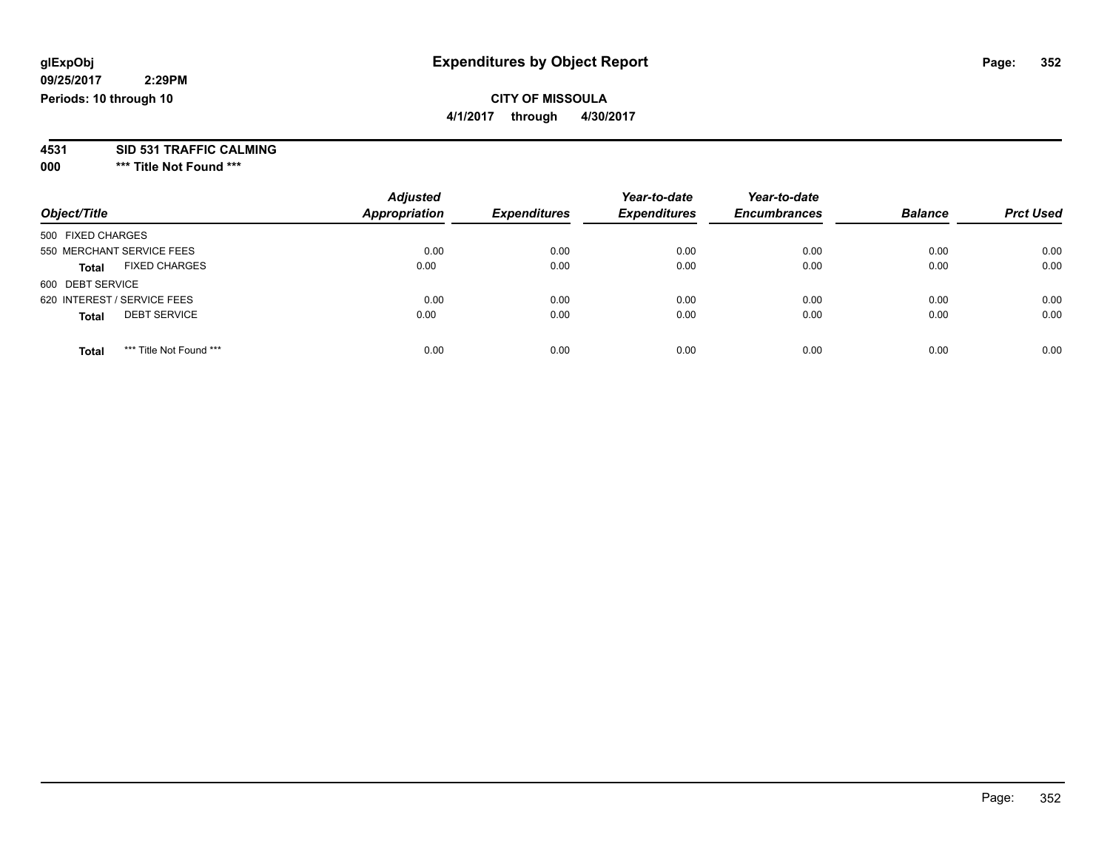## **CITY OF MISSOULA**

**4/1/2017 through 4/30/2017**

# **4531 SID 531 TRAFFIC CALMING**

**000 \*\*\* Title Not Found \*\*\***

| Object/Title                            | <b>Adjusted</b><br><b>Appropriation</b> | <b>Expenditures</b> | Year-to-date<br><b>Expenditures</b> | Year-to-date<br><b>Encumbrances</b> | <b>Balance</b> | <b>Prct Used</b> |
|-----------------------------------------|-----------------------------------------|---------------------|-------------------------------------|-------------------------------------|----------------|------------------|
| 500 FIXED CHARGES                       |                                         |                     |                                     |                                     |                |                  |
| 550 MERCHANT SERVICE FEES               | 0.00                                    | 0.00                | 0.00                                | 0.00                                | 0.00           | 0.00             |
| <b>FIXED CHARGES</b><br><b>Total</b>    | 0.00                                    | 0.00                | 0.00                                | 0.00                                | 0.00           | 0.00             |
| 600 DEBT SERVICE                        |                                         |                     |                                     |                                     |                |                  |
| 620 INTEREST / SERVICE FEES             | 0.00                                    | 0.00                | 0.00                                | 0.00                                | 0.00           | 0.00             |
| <b>DEBT SERVICE</b><br><b>Total</b>     | 0.00                                    | 0.00                | 0.00                                | 0.00                                | 0.00           | 0.00             |
| *** Title Not Found ***<br><b>Total</b> | 0.00                                    | 0.00                | 0.00                                | 0.00                                | 0.00           | 0.00             |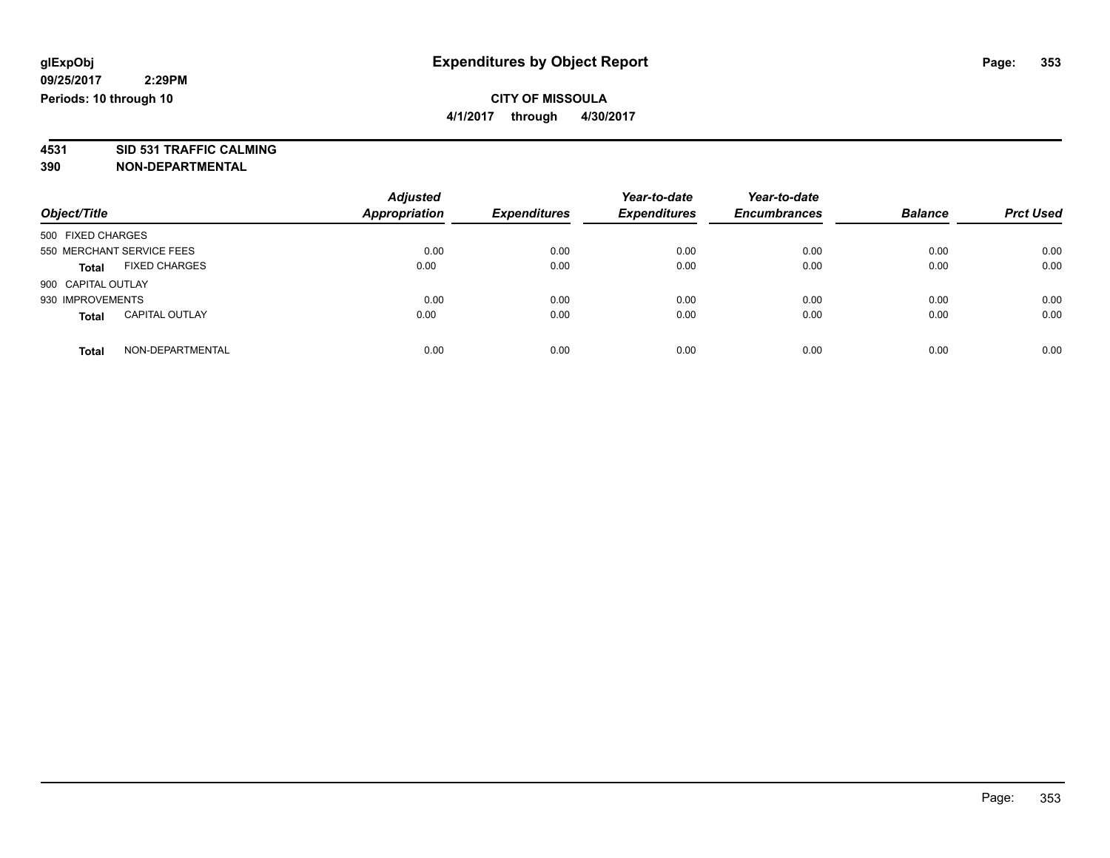## **CITY OF MISSOULA**

**4/1/2017 through 4/30/2017**

#### **4531 SID 531 TRAFFIC CALMING 390 NON-DEPARTMENTAL**

|                    |                           | <b>Adjusted</b>      |                     | Year-to-date        | Year-to-date        |                |                  |
|--------------------|---------------------------|----------------------|---------------------|---------------------|---------------------|----------------|------------------|
| Object/Title       |                           | <b>Appropriation</b> | <b>Expenditures</b> | <b>Expenditures</b> | <b>Encumbrances</b> | <b>Balance</b> | <b>Prct Used</b> |
| 500 FIXED CHARGES  |                           |                      |                     |                     |                     |                |                  |
|                    | 550 MERCHANT SERVICE FEES | 0.00                 | 0.00                | 0.00                | 0.00                | 0.00           | 0.00             |
| <b>Total</b>       | <b>FIXED CHARGES</b>      | 0.00                 | 0.00                | 0.00                | 0.00                | 0.00           | 0.00             |
| 900 CAPITAL OUTLAY |                           |                      |                     |                     |                     |                |                  |
| 930 IMPROVEMENTS   |                           | 0.00                 | 0.00                | 0.00                | 0.00                | 0.00           | 0.00             |
| <b>Total</b>       | <b>CAPITAL OUTLAY</b>     | 0.00                 | 0.00                | 0.00                | 0.00                | 0.00           | 0.00             |
| <b>Total</b>       | NON-DEPARTMENTAL          | 0.00                 | 0.00                | 0.00                | 0.00                | 0.00           | 0.00             |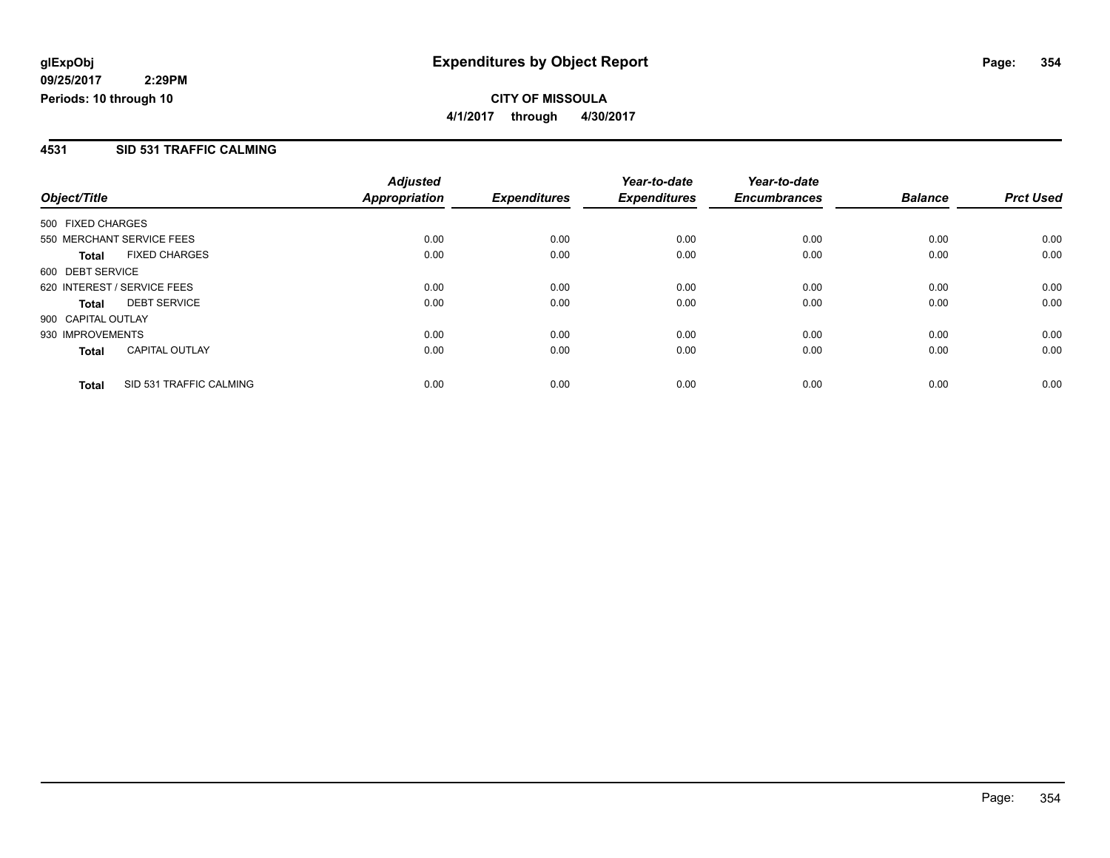#### **4531 SID 531 TRAFFIC CALMING**

|                                         | <b>Adjusted</b> |                     | Year-to-date        | Year-to-date        |                |                  |
|-----------------------------------------|-----------------|---------------------|---------------------|---------------------|----------------|------------------|
| Object/Title                            | Appropriation   | <b>Expenditures</b> | <b>Expenditures</b> | <b>Encumbrances</b> | <b>Balance</b> | <b>Prct Used</b> |
| 500 FIXED CHARGES                       |                 |                     |                     |                     |                |                  |
| 550 MERCHANT SERVICE FEES               | 0.00            | 0.00                | 0.00                | 0.00                | 0.00           | 0.00             |
| <b>FIXED CHARGES</b><br><b>Total</b>    | 0.00            | 0.00                | 0.00                | 0.00                | 0.00           | 0.00             |
| 600 DEBT SERVICE                        |                 |                     |                     |                     |                |                  |
| 620 INTEREST / SERVICE FEES             | 0.00            | 0.00                | 0.00                | 0.00                | 0.00           | 0.00             |
| <b>DEBT SERVICE</b><br><b>Total</b>     | 0.00            | 0.00                | 0.00                | 0.00                | 0.00           | 0.00             |
| 900 CAPITAL OUTLAY                      |                 |                     |                     |                     |                |                  |
| 930 IMPROVEMENTS                        | 0.00            | 0.00                | 0.00                | 0.00                | 0.00           | 0.00             |
| <b>CAPITAL OUTLAY</b><br><b>Total</b>   | 0.00            | 0.00                | 0.00                | 0.00                | 0.00           | 0.00             |
| SID 531 TRAFFIC CALMING<br><b>Total</b> | 0.00            | 0.00                | 0.00                | 0.00                | 0.00           | 0.00             |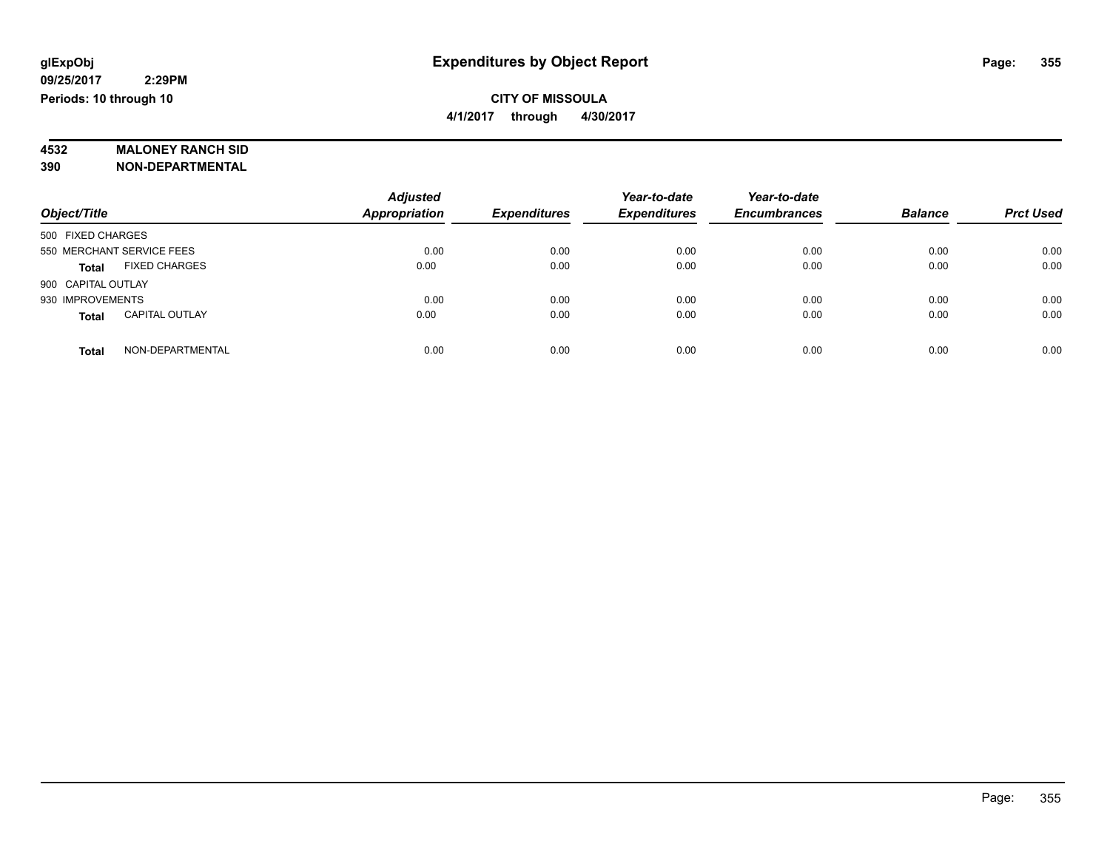# **4532 MALONEY RANCH SID**

**390 NON-DEPARTMENTAL**

| Object/Title                          | <b>Adjusted</b><br>Appropriation | <b>Expenditures</b> | Year-to-date<br><b>Expenditures</b> | Year-to-date<br><b>Encumbrances</b> | <b>Balance</b> | <b>Prct Used</b> |
|---------------------------------------|----------------------------------|---------------------|-------------------------------------|-------------------------------------|----------------|------------------|
| 500 FIXED CHARGES                     |                                  |                     |                                     |                                     |                |                  |
| 550 MERCHANT SERVICE FEES             | 0.00                             | 0.00                | 0.00                                | 0.00                                | 0.00           | 0.00             |
| <b>FIXED CHARGES</b><br><b>Total</b>  | 0.00                             | 0.00                | 0.00                                | 0.00                                | 0.00           | 0.00             |
| 900 CAPITAL OUTLAY                    |                                  |                     |                                     |                                     |                |                  |
| 930 IMPROVEMENTS                      | 0.00                             | 0.00                | 0.00                                | 0.00                                | 0.00           | 0.00             |
| <b>CAPITAL OUTLAY</b><br><b>Total</b> | 0.00                             | 0.00                | 0.00                                | 0.00                                | 0.00           | 0.00             |
| NON-DEPARTMENTAL<br>Total             | 0.00                             | 0.00                | 0.00                                | 0.00                                | 0.00           | 0.00             |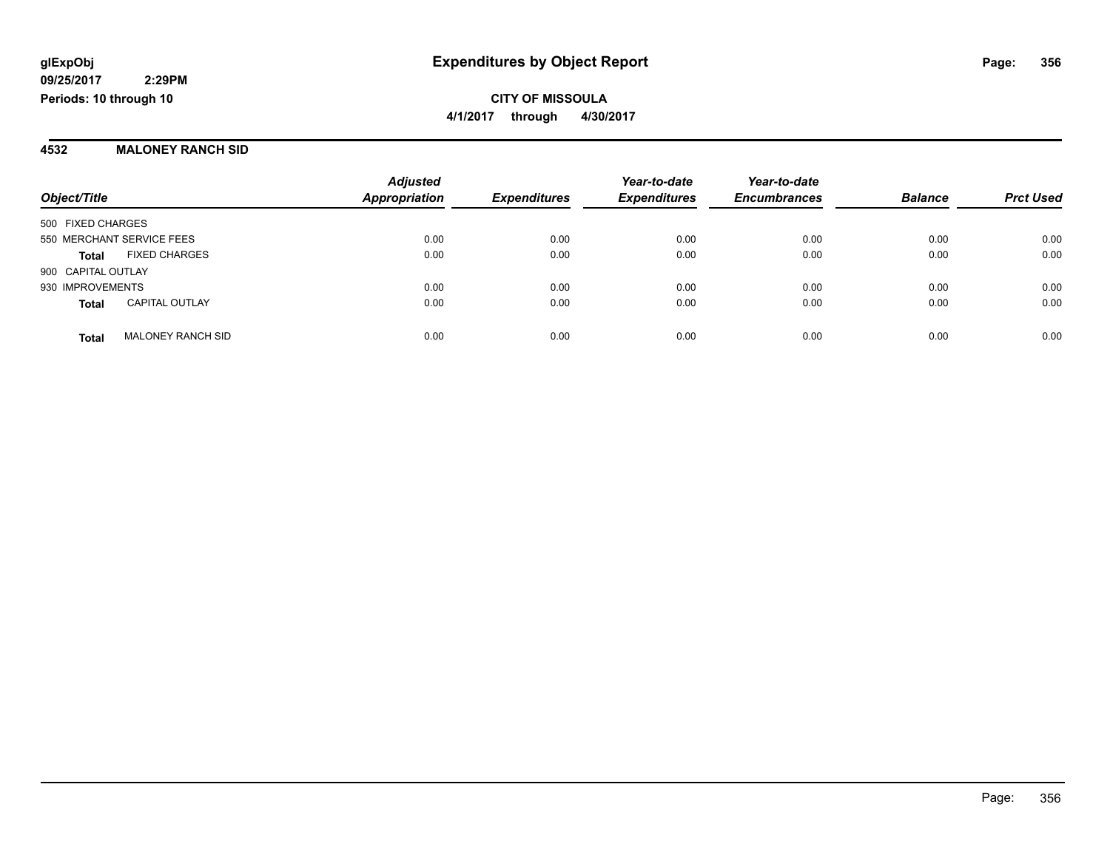#### **4532 MALONEY RANCH SID**

|                           |                          | <b>Adjusted</b>      |                     | Year-to-date        | Year-to-date        |                |                  |
|---------------------------|--------------------------|----------------------|---------------------|---------------------|---------------------|----------------|------------------|
| Object/Title              |                          | <b>Appropriation</b> | <b>Expenditures</b> | <b>Expenditures</b> | <b>Encumbrances</b> | <b>Balance</b> | <b>Prct Used</b> |
| 500 FIXED CHARGES         |                          |                      |                     |                     |                     |                |                  |
| 550 MERCHANT SERVICE FEES |                          | 0.00                 | 0.00                | 0.00                | 0.00                | 0.00           | 0.00             |
| <b>Total</b>              | <b>FIXED CHARGES</b>     | 0.00                 | 0.00                | 0.00                | 0.00                | 0.00           | 0.00             |
| 900 CAPITAL OUTLAY        |                          |                      |                     |                     |                     |                |                  |
| 930 IMPROVEMENTS          |                          | 0.00                 | 0.00                | 0.00                | 0.00                | 0.00           | 0.00             |
| <b>Total</b>              | <b>CAPITAL OUTLAY</b>    | 0.00                 | 0.00                | 0.00                | 0.00                | 0.00           | 0.00             |
| <b>Total</b>              | <b>MALONEY RANCH SID</b> | 0.00                 | 0.00                | 0.00                | 0.00                | 0.00           | 0.00             |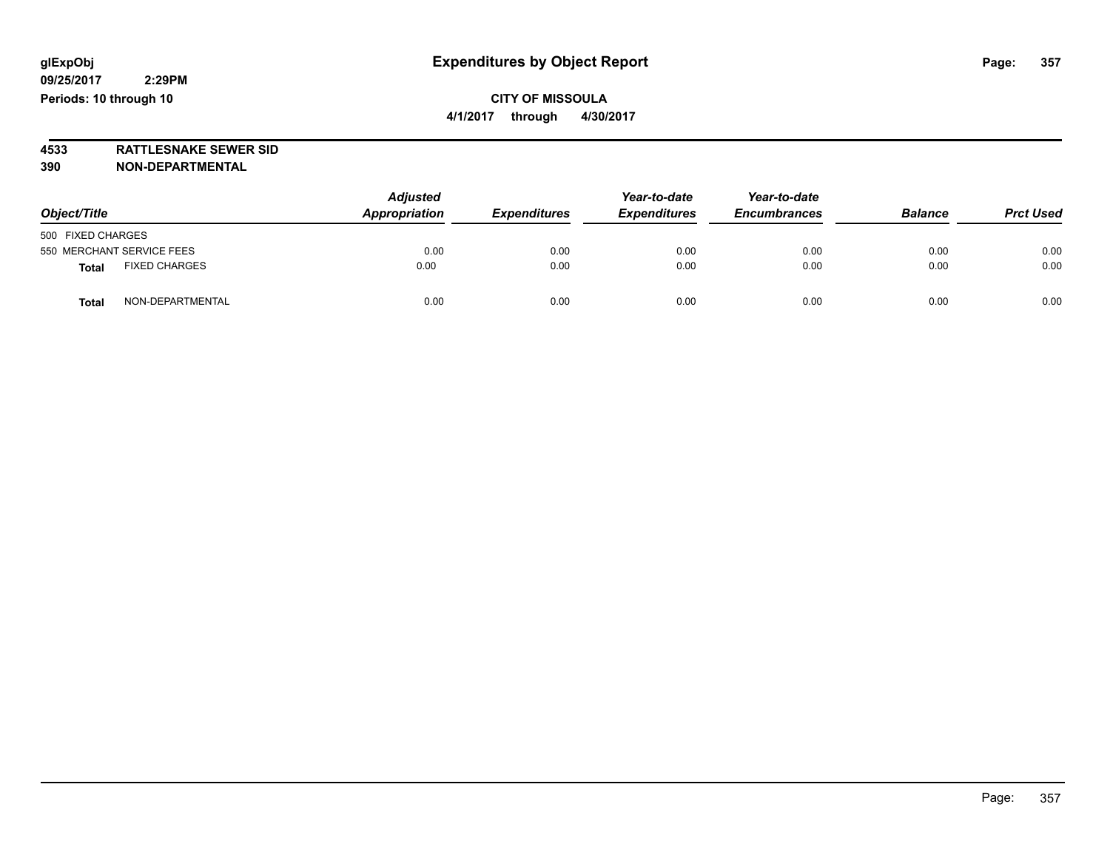**4533 RATTLESNAKE SEWER SID 390 NON-DEPARTMENTAL**

| Object/Title                         | <b>Adjusted</b><br>Appropriation | <b>Expenditures</b> | Year-to-date<br><b>Expenditures</b> | Year-to-date<br><b>Encumbrances</b> | <b>Balance</b> | <b>Prct Used</b> |
|--------------------------------------|----------------------------------|---------------------|-------------------------------------|-------------------------------------|----------------|------------------|
| 500 FIXED CHARGES                    |                                  |                     |                                     |                                     |                |                  |
| 550 MERCHANT SERVICE FEES            | 0.00                             | 0.00                | 0.00                                | 0.00                                | 0.00           | 0.00             |
| <b>FIXED CHARGES</b><br><b>Total</b> | 0.00                             | 0.00                | 0.00                                | 0.00                                | 0.00           | 0.00             |
| NON-DEPARTMENTAL<br><b>Total</b>     | 0.00                             | 0.00                | 0.00                                | 0.00                                | 0.00           | 0.00             |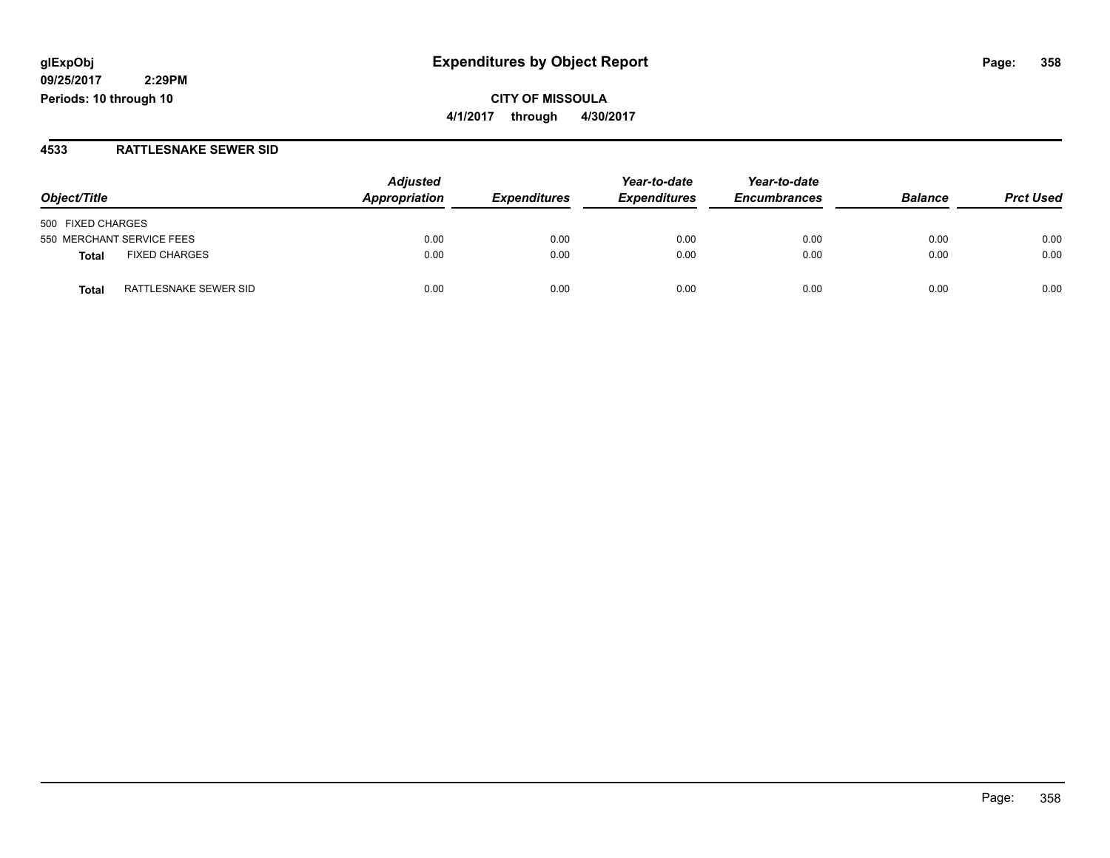## **glExpObj Expenditures by Object Report Page: 358**

**09/25/2017 2:29PM Periods: 10 through 10**

**CITY OF MISSOULA 4/1/2017 through 4/30/2017**

#### **4533 RATTLESNAKE SEWER SID**

| Object/Title                   | <b>Adjusted</b><br>Appropriation | <b>Expenditures</b> | Year-to-date<br><b>Expenditures</b> | Year-to-date<br><b>Encumbrances</b> | <b>Balance</b> | <b>Prct Used</b> |
|--------------------------------|----------------------------------|---------------------|-------------------------------------|-------------------------------------|----------------|------------------|
|                                |                                  |                     |                                     |                                     |                |                  |
| 500 FIXED CHARGES              |                                  |                     |                                     |                                     |                |                  |
| 550 MERCHANT SERVICE FEES      | 0.00                             | 0.00                | 0.00                                | 0.00                                | 0.00           | 0.00             |
| <b>FIXED CHARGES</b><br>Total  | 0.00                             | 0.00                | 0.00                                | 0.00                                | 0.00           | 0.00             |
| RATTLESNAKE SEWER SID<br>Total | 0.00                             | 0.00                | 0.00                                | 0.00                                | 0.00           | 0.00             |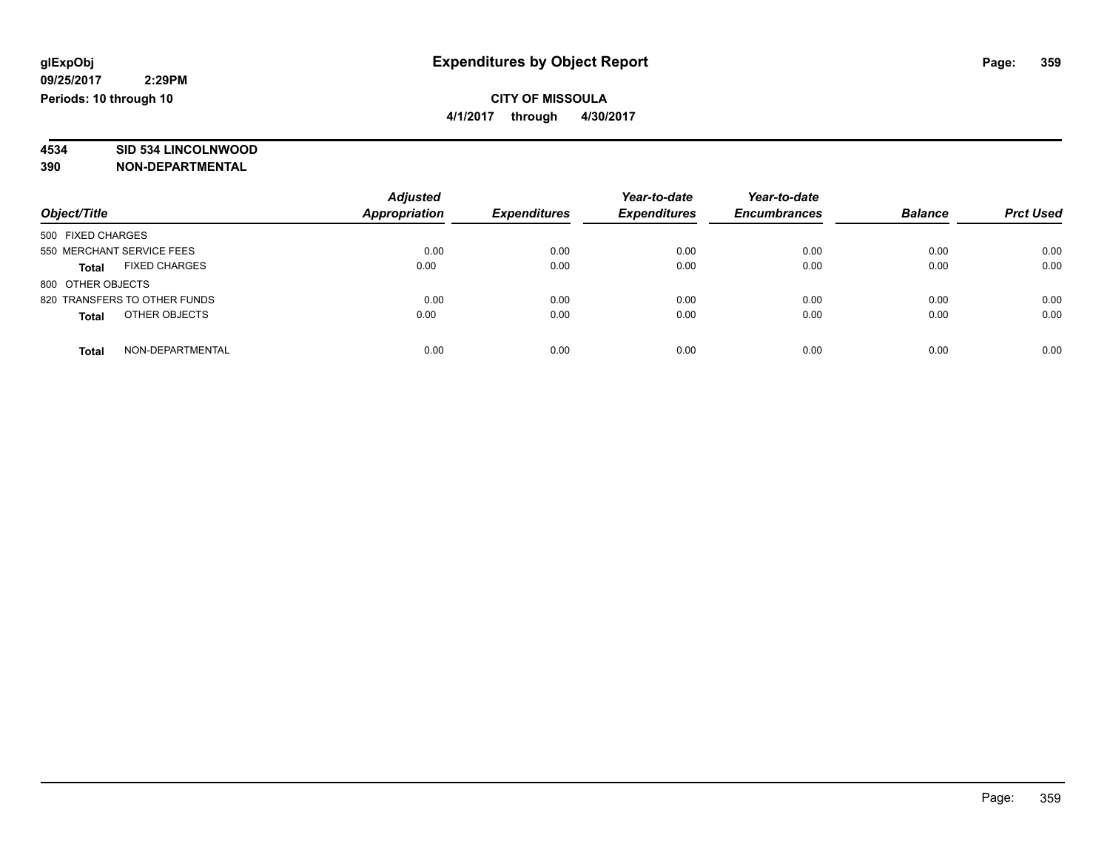## **CITY OF MISSOULA**

**4/1/2017 through 4/30/2017**

# **4534 SID 534 LINCOLNWOOD**

**390 NON-DEPARTMENTAL**

| Object/Title                         | <b>Adjusted</b><br>Appropriation | <b>Expenditures</b> | Year-to-date<br><b>Expenditures</b> | Year-to-date<br><b>Encumbrances</b> | <b>Balance</b> | <b>Prct Used</b> |
|--------------------------------------|----------------------------------|---------------------|-------------------------------------|-------------------------------------|----------------|------------------|
| 500 FIXED CHARGES                    |                                  |                     |                                     |                                     |                |                  |
| 550 MERCHANT SERVICE FEES            | 0.00                             | 0.00                | 0.00                                | 0.00                                | 0.00           | 0.00             |
| <b>FIXED CHARGES</b><br><b>Total</b> | 0.00                             | 0.00                | 0.00                                | 0.00                                | 0.00           | 0.00             |
| 800 OTHER OBJECTS                    |                                  |                     |                                     |                                     |                |                  |
| 820 TRANSFERS TO OTHER FUNDS         | 0.00                             | 0.00                | 0.00                                | 0.00                                | 0.00           | 0.00             |
| OTHER OBJECTS<br><b>Total</b>        | 0.00                             | 0.00                | 0.00                                | 0.00                                | 0.00           | 0.00             |
| NON-DEPARTMENTAL<br><b>Total</b>     | 0.00                             | 0.00                | 0.00                                | 0.00                                | 0.00           | 0.00             |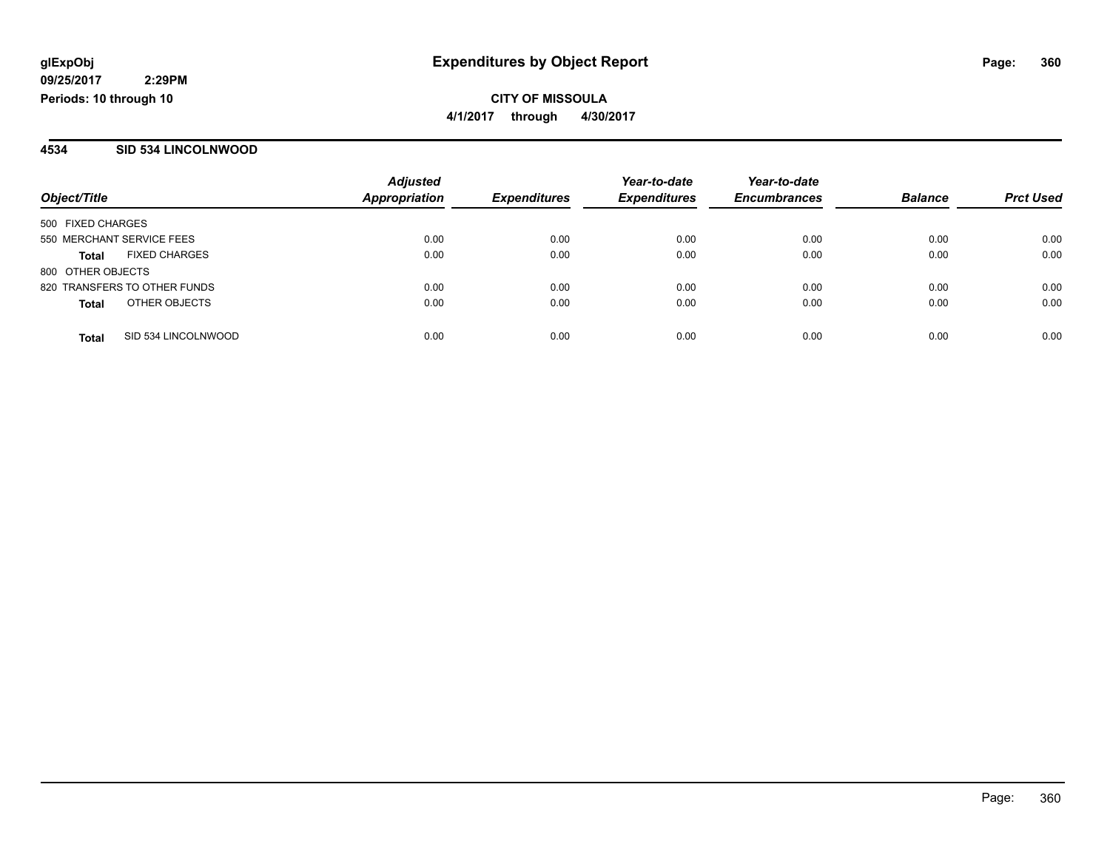#### **4534 SID 534 LINCOLNWOOD**

| Object/Title              |                              | <b>Adjusted</b><br><b>Appropriation</b> |                     | Year-to-date<br><b>Expenditures</b> | Year-to-date<br><b>Encumbrances</b> | <b>Balance</b> | <b>Prct Used</b> |
|---------------------------|------------------------------|-----------------------------------------|---------------------|-------------------------------------|-------------------------------------|----------------|------------------|
|                           |                              |                                         | <b>Expenditures</b> |                                     |                                     |                |                  |
| 500 FIXED CHARGES         |                              |                                         |                     |                                     |                                     |                |                  |
| 550 MERCHANT SERVICE FEES |                              | 0.00                                    | 0.00                | 0.00                                | 0.00                                | 0.00           | 0.00             |
| Total                     | <b>FIXED CHARGES</b>         | 0.00                                    | 0.00                | 0.00                                | 0.00                                | 0.00           | 0.00             |
| 800 OTHER OBJECTS         |                              |                                         |                     |                                     |                                     |                |                  |
|                           | 820 TRANSFERS TO OTHER FUNDS | 0.00                                    | 0.00                | 0.00                                | 0.00                                | 0.00           | 0.00             |
| <b>Total</b>              | OTHER OBJECTS                | 0.00                                    | 0.00                | 0.00                                | 0.00                                | 0.00           | 0.00             |
| <b>Total</b>              | SID 534 LINCOLNWOOD          | 0.00                                    | 0.00                | 0.00                                | 0.00                                | 0.00           | 0.00             |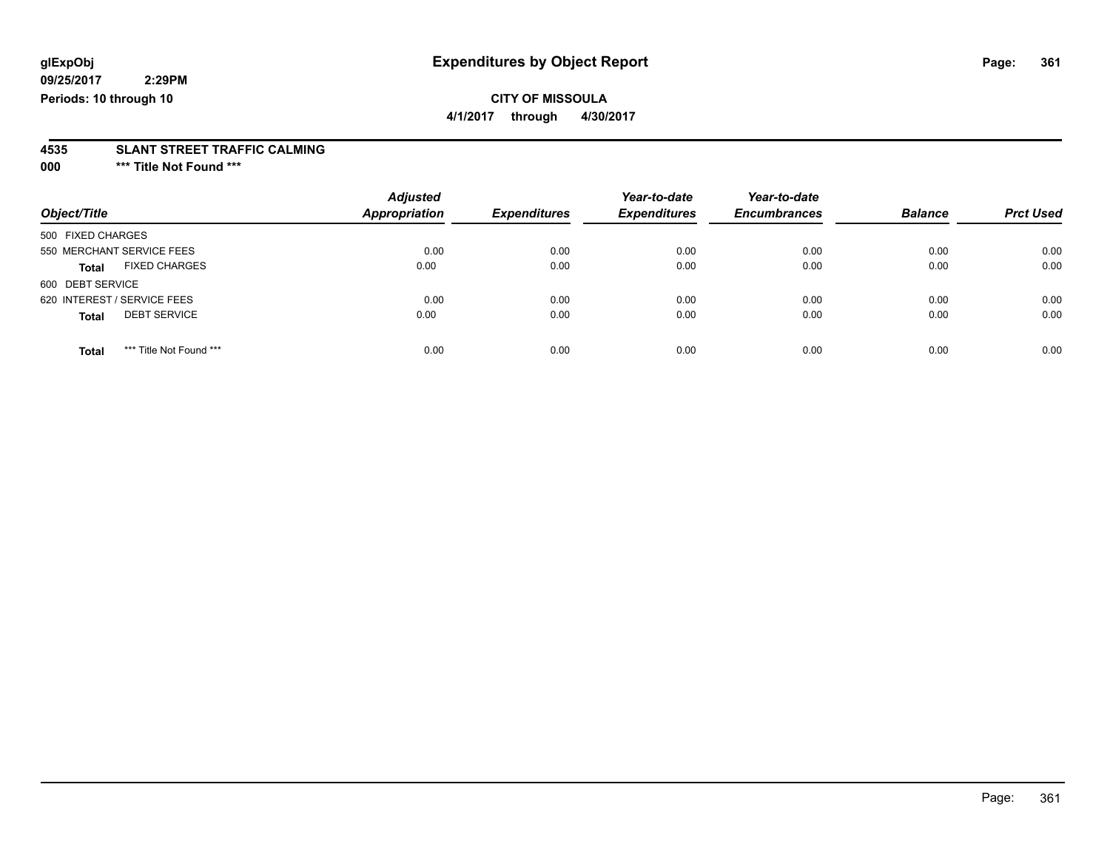### **CITY OF MISSOULA**

**4/1/2017 through 4/30/2017**

# **4535 SLANT STREET TRAFFIC CALMING**

**000 \*\*\* Title Not Found \*\*\***

| Object/Title                            | <b>Adjusted</b><br>Appropriation | <b>Expenditures</b> | Year-to-date<br><b>Expenditures</b> | Year-to-date<br><b>Encumbrances</b> | <b>Balance</b> | <b>Prct Used</b> |
|-----------------------------------------|----------------------------------|---------------------|-------------------------------------|-------------------------------------|----------------|------------------|
| 500 FIXED CHARGES                       |                                  |                     |                                     |                                     |                |                  |
| 550 MERCHANT SERVICE FEES               | 0.00                             | 0.00                | 0.00                                | 0.00                                | 0.00           | 0.00             |
| <b>FIXED CHARGES</b><br>Total           | 0.00                             | 0.00                | 0.00                                | 0.00                                | 0.00           | 0.00             |
| 600 DEBT SERVICE                        |                                  |                     |                                     |                                     |                |                  |
| 620 INTEREST / SERVICE FEES             | 0.00                             | 0.00                | 0.00                                | 0.00                                | 0.00           | 0.00             |
| <b>DEBT SERVICE</b><br><b>Total</b>     | 0.00                             | 0.00                | 0.00                                | 0.00                                | 0.00           | 0.00             |
| *** Title Not Found ***<br><b>Total</b> | 0.00                             | 0.00                | 0.00                                | 0.00                                | 0.00           | 0.00             |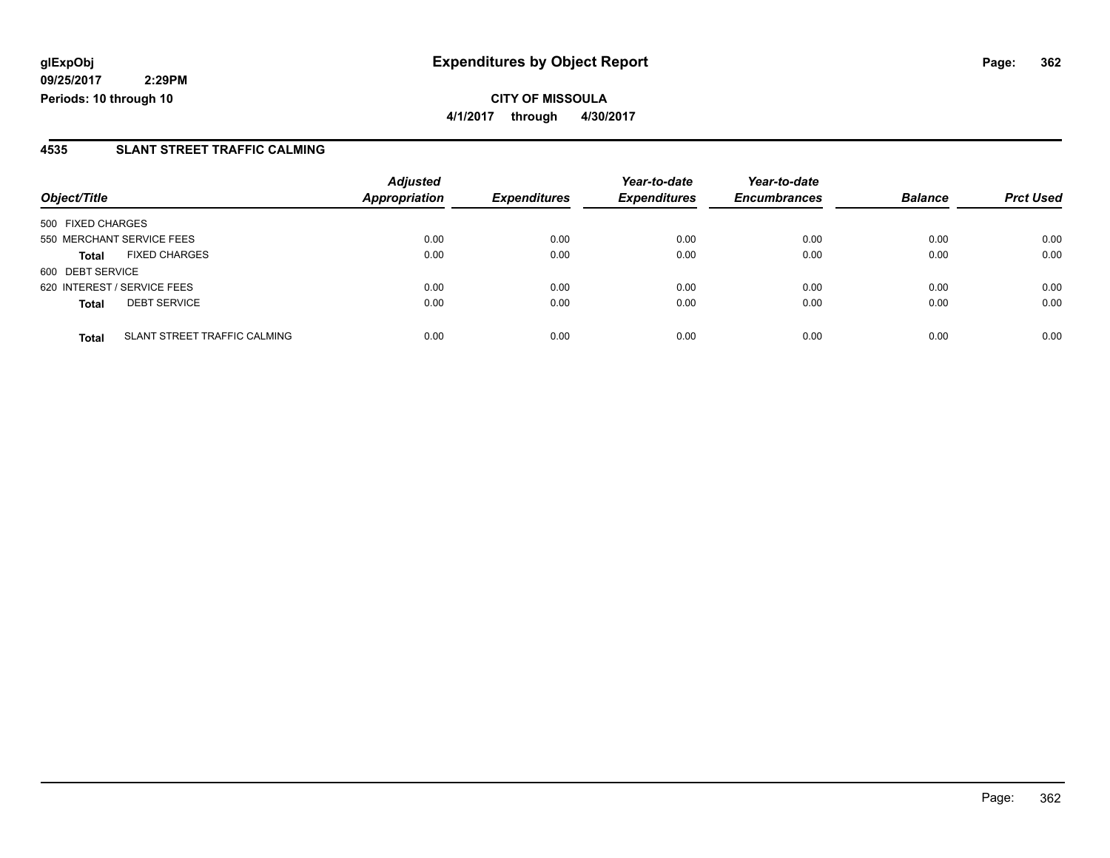**CITY OF MISSOULA 4/1/2017 through 4/30/2017**

#### **4535 SLANT STREET TRAFFIC CALMING**

|                                              | <b>Adjusted</b>      |                     | Year-to-date        | Year-to-date | <b>Balance</b><br><b>Encumbrances</b> |                  |
|----------------------------------------------|----------------------|---------------------|---------------------|--------------|---------------------------------------|------------------|
| Object/Title                                 | <b>Appropriation</b> | <b>Expenditures</b> | <b>Expenditures</b> |              |                                       | <b>Prct Used</b> |
| 500 FIXED CHARGES                            |                      |                     |                     |              |                                       |                  |
| 550 MERCHANT SERVICE FEES                    | 0.00                 | 0.00                | 0.00                | 0.00         | 0.00                                  | 0.00             |
| <b>FIXED CHARGES</b><br><b>Total</b>         | 0.00                 | 0.00                | 0.00                | 0.00         | 0.00                                  | 0.00             |
| 600 DEBT SERVICE                             |                      |                     |                     |              |                                       |                  |
| 620 INTEREST / SERVICE FEES                  | 0.00                 | 0.00                | 0.00                | 0.00         | 0.00                                  | 0.00             |
| <b>DEBT SERVICE</b><br><b>Total</b>          | 0.00                 | 0.00                | 0.00                | 0.00         | 0.00                                  | 0.00             |
| SLANT STREET TRAFFIC CALMING<br><b>Total</b> | 0.00                 | 0.00                | 0.00                | 0.00         | 0.00                                  | 0.00             |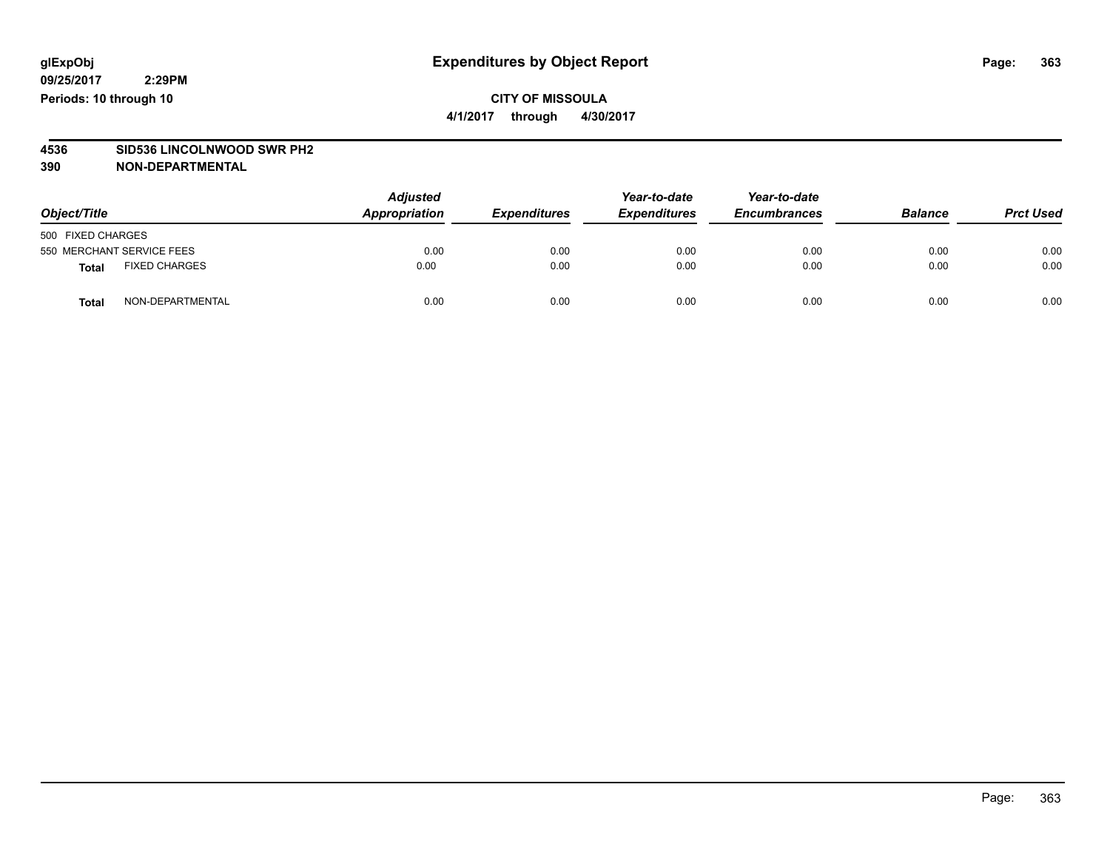#### **CITY OF MISSOULA 4/1/2017 through 4/30/2017**

# **4536 SID536 LINCOLNWOOD SWR PH2**

| Object/Title              |                      | <b>Adjusted</b><br>Appropriation | <b>Expenditures</b> | Year-to-date<br><b>Expenditures</b> | Year-to-date<br><b>Encumbrances</b> | <b>Balance</b> | <b>Prct Used</b> |
|---------------------------|----------------------|----------------------------------|---------------------|-------------------------------------|-------------------------------------|----------------|------------------|
| 500 FIXED CHARGES         |                      |                                  |                     |                                     |                                     |                |                  |
| 550 MERCHANT SERVICE FEES |                      | 0.00                             | 0.00                | 0.00                                | 0.00                                | 0.00           | 0.00             |
| <b>Total</b>              | <b>FIXED CHARGES</b> | 0.00                             | 0.00                | 0.00                                | 0.00                                | 0.00           | 0.00             |
| <b>Total</b>              | NON-DEPARTMENTAL     | 0.00                             | 0.00                | 0.00                                | 0.00                                | 0.00           | 0.00             |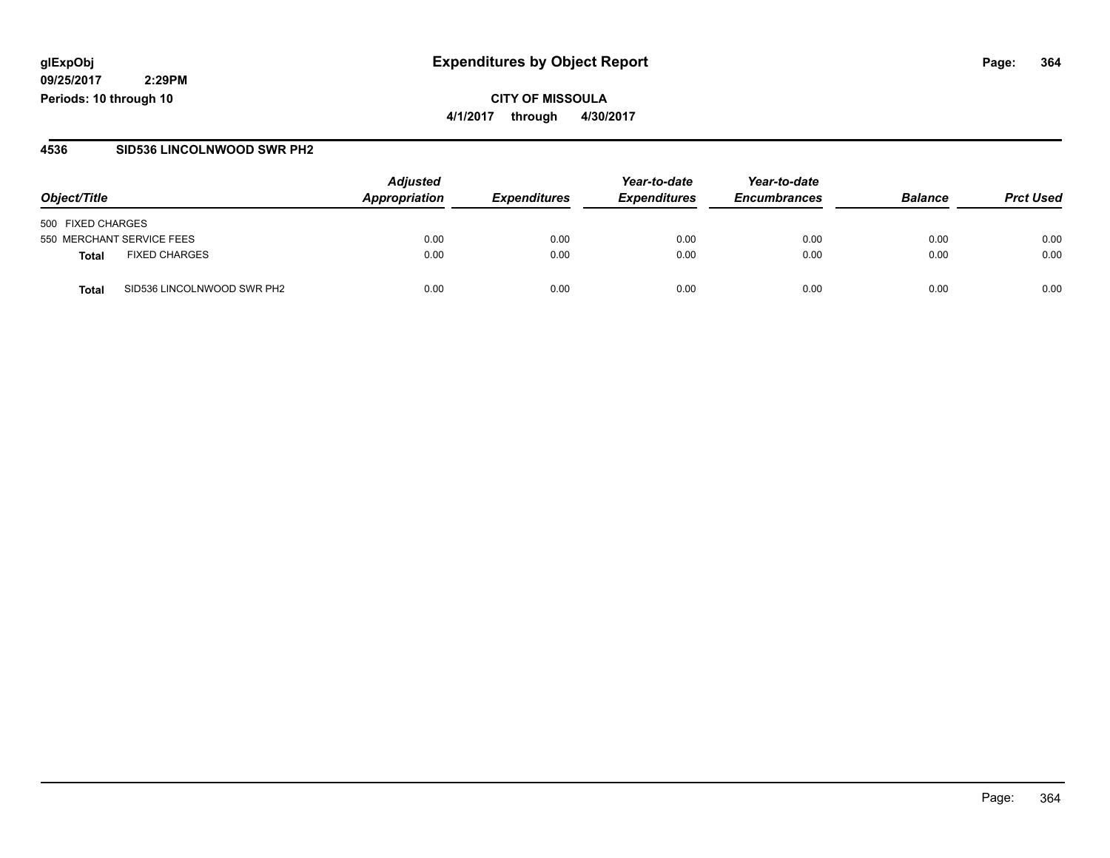#### **glExpObj Expenditures by Object Report Page: 364**

**09/25/2017 2:29PM Periods: 10 through 10**

**4/1/2017 through 4/30/2017**

#### **4536 SID536 LINCOLNWOOD SWR PH2**

|                                            | <b>Adjusted</b> |                     | Year-to-date        | Year-to-date        |                |                  |
|--------------------------------------------|-----------------|---------------------|---------------------|---------------------|----------------|------------------|
| Object/Title                               | Appropriation   | <b>Expenditures</b> | <b>Expenditures</b> | <b>Encumbrances</b> | <b>Balance</b> | <b>Prct Used</b> |
| 500 FIXED CHARGES                          |                 |                     |                     |                     |                |                  |
| 550 MERCHANT SERVICE FEES                  | 0.00            | 0.00                | 0.00                | 0.00                | 0.00           | 0.00             |
| <b>FIXED CHARGES</b><br><b>Total</b>       | 0.00            | 0.00                | 0.00                | 0.00                | 0.00           | 0.00             |
| SID536 LINCOLNWOOD SWR PH2<br><b>Total</b> | 0.00            | 0.00                | 0.00                | 0.00                | 0.00           | 0.00             |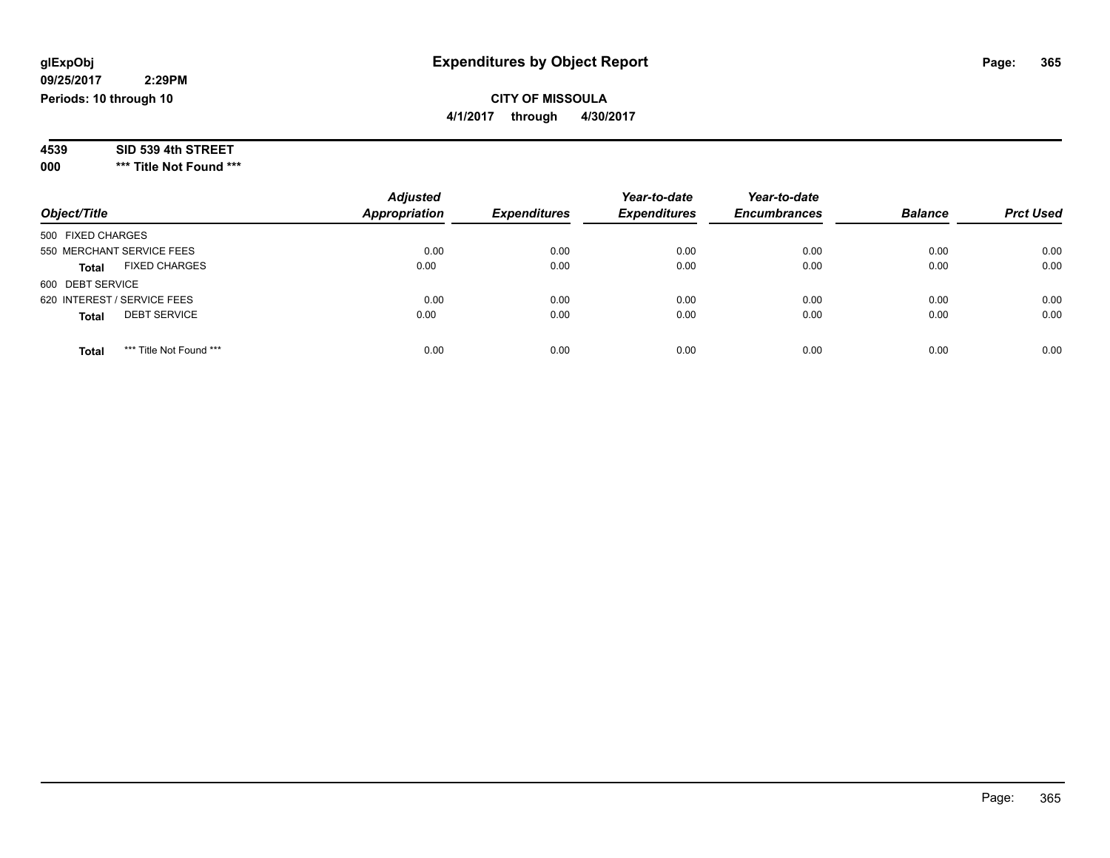## **CITY OF MISSOULA**

**4/1/2017 through 4/30/2017**

| SID 539 4th STREET<br>4539 |
|----------------------------|
|----------------------------|

**000 \*\*\* Title Not Found \*\*\***

| Object/Title                            | <b>Adjusted</b><br>Appropriation | <b>Expenditures</b> | Year-to-date<br><b>Expenditures</b> | Year-to-date<br><b>Encumbrances</b> | <b>Balance</b> | <b>Prct Used</b> |
|-----------------------------------------|----------------------------------|---------------------|-------------------------------------|-------------------------------------|----------------|------------------|
| 500 FIXED CHARGES                       |                                  |                     |                                     |                                     |                |                  |
| 550 MERCHANT SERVICE FEES               | 0.00                             | 0.00                | 0.00                                | 0.00                                | 0.00           | 0.00             |
| <b>FIXED CHARGES</b><br><b>Total</b>    | 0.00                             | 0.00                | 0.00                                | 0.00                                | 0.00           | 0.00             |
| 600 DEBT SERVICE                        |                                  |                     |                                     |                                     |                |                  |
| 620 INTEREST / SERVICE FEES             | 0.00                             | 0.00                | 0.00                                | 0.00                                | 0.00           | 0.00             |
| <b>DEBT SERVICE</b><br><b>Total</b>     | 0.00                             | 0.00                | 0.00                                | 0.00                                | 0.00           | 0.00             |
|                                         |                                  |                     |                                     |                                     |                |                  |
| *** Title Not Found ***<br><b>Total</b> | 0.00                             | 0.00                | 0.00                                | 0.00                                | 0.00           | 0.00             |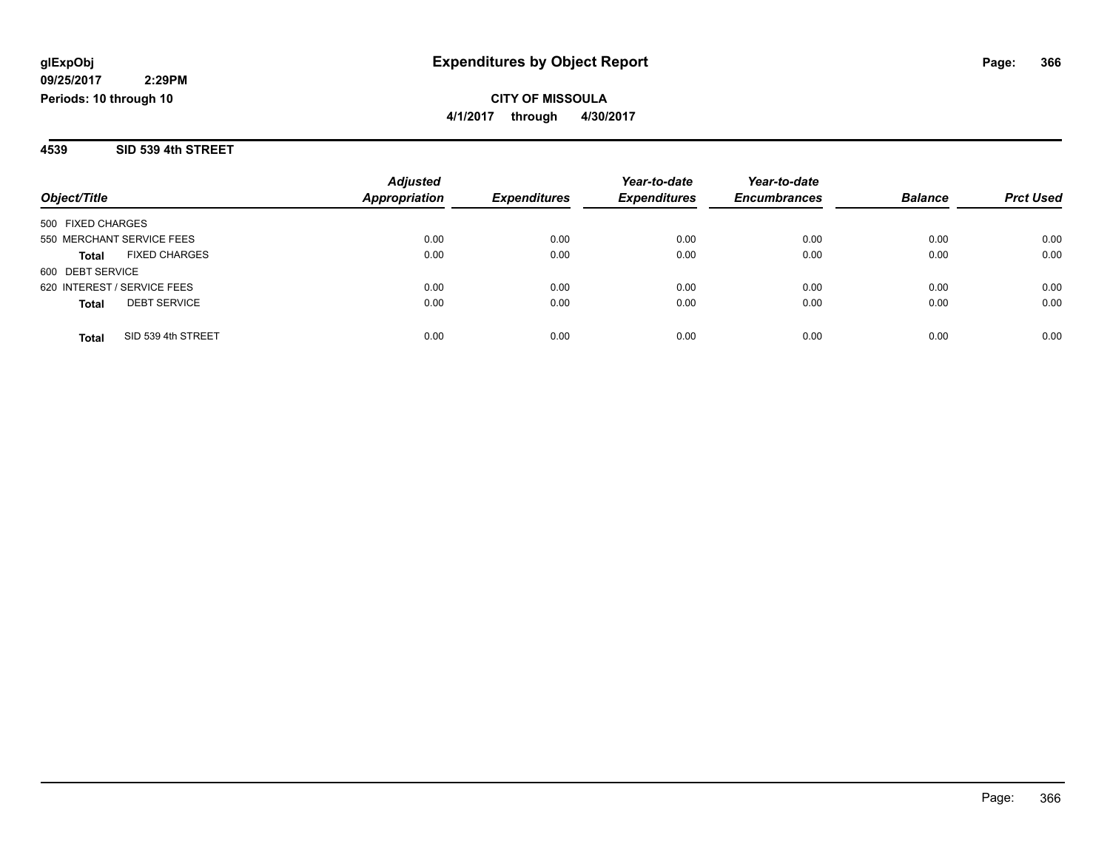**4539 SID 539 4th STREET**

|                                      | <b>Adjusted</b>      |                     | Year-to-date        | Year-to-date        |                |                  |
|--------------------------------------|----------------------|---------------------|---------------------|---------------------|----------------|------------------|
| Object/Title                         | <b>Appropriation</b> | <b>Expenditures</b> | <b>Expenditures</b> | <b>Encumbrances</b> | <b>Balance</b> | <b>Prct Used</b> |
| 500 FIXED CHARGES                    |                      |                     |                     |                     |                |                  |
| 550 MERCHANT SERVICE FEES            | 0.00                 | 0.00                | 0.00                | 0.00                | 0.00           | 0.00             |
| <b>FIXED CHARGES</b><br><b>Total</b> | 0.00                 | 0.00                | 0.00                | 0.00                | 0.00           | 0.00             |
| 600 DEBT SERVICE                     |                      |                     |                     |                     |                |                  |
| 620 INTEREST / SERVICE FEES          | 0.00                 | 0.00                | 0.00                | 0.00                | 0.00           | 0.00             |
| <b>DEBT SERVICE</b><br><b>Total</b>  | 0.00                 | 0.00                | 0.00                | 0.00                | 0.00           | 0.00             |
| SID 539 4th STREET<br><b>Total</b>   | 0.00                 | 0.00                | 0.00                | 0.00                | 0.00           | 0.00             |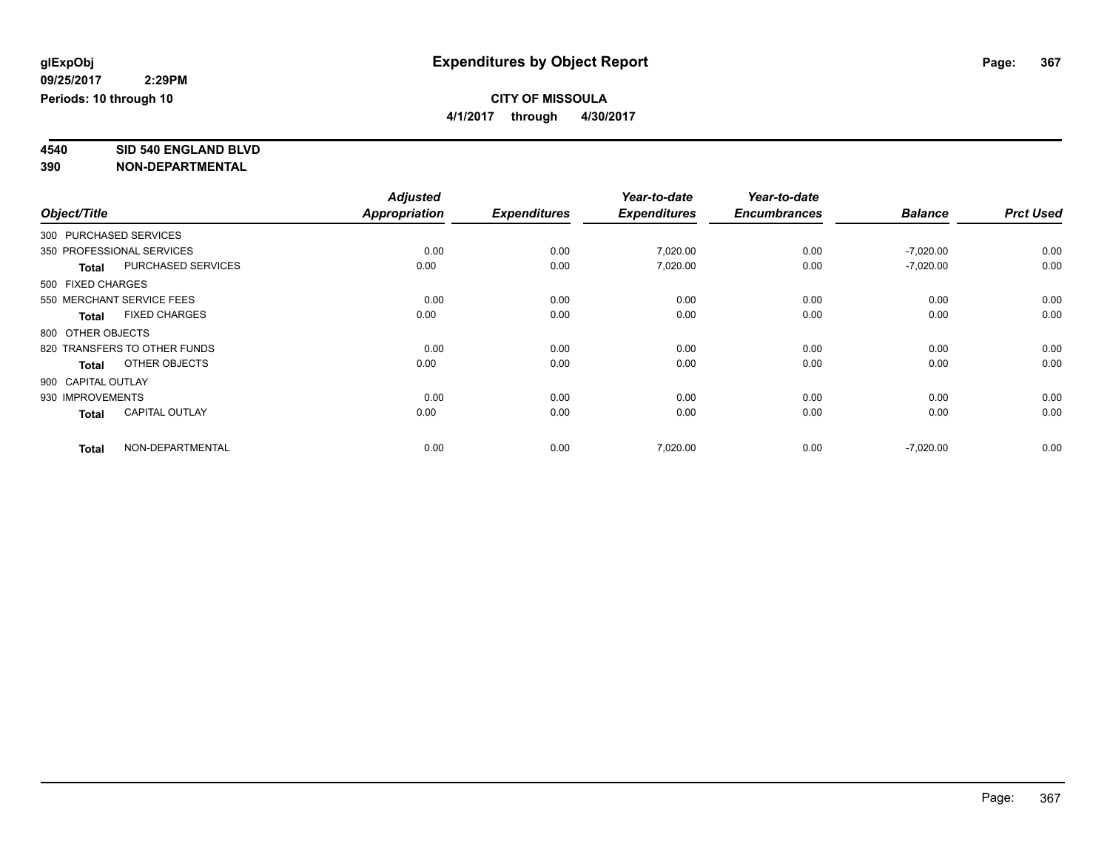**4/1/2017 through 4/30/2017**

# **4540 SID 540 ENGLAND BLVD**

|              |                                       | <b>Adjusted</b> |                     | Year-to-date        | Year-to-date        |                |                  |
|--------------|---------------------------------------|-----------------|---------------------|---------------------|---------------------|----------------|------------------|
| Object/Title |                                       | Appropriation   | <b>Expenditures</b> | <b>Expenditures</b> | <b>Encumbrances</b> | <b>Balance</b> | <b>Prct Used</b> |
|              | 300 PURCHASED SERVICES                |                 |                     |                     |                     |                |                  |
|              | 350 PROFESSIONAL SERVICES             | 0.00            | 0.00                | 7,020.00            | 0.00                | $-7,020.00$    | 0.00             |
|              | PURCHASED SERVICES<br><b>Total</b>    | 0.00            | 0.00                | 7,020.00            | 0.00                | $-7,020.00$    | 0.00             |
|              | 500 FIXED CHARGES                     |                 |                     |                     |                     |                |                  |
|              | 550 MERCHANT SERVICE FEES             | 0.00            | 0.00                | 0.00                | 0.00                | 0.00           | 0.00             |
|              | <b>FIXED CHARGES</b><br><b>Total</b>  | 0.00            | 0.00                | 0.00                | 0.00                | 0.00           | 0.00             |
|              | 800 OTHER OBJECTS                     |                 |                     |                     |                     |                |                  |
|              | 820 TRANSFERS TO OTHER FUNDS          | 0.00            | 0.00                | 0.00                | 0.00                | 0.00           | 0.00             |
|              | OTHER OBJECTS<br><b>Total</b>         | 0.00            | 0.00                | 0.00                | 0.00                | 0.00           | 0.00             |
|              | 900 CAPITAL OUTLAY                    |                 |                     |                     |                     |                |                  |
|              | 930 IMPROVEMENTS                      | 0.00            | 0.00                | 0.00                | 0.00                | 0.00           | 0.00             |
|              | <b>CAPITAL OUTLAY</b><br><b>Total</b> | 0.00            | 0.00                | 0.00                | 0.00                | 0.00           | 0.00             |
|              | NON-DEPARTMENTAL<br><b>Total</b>      | 0.00            | 0.00                | 7,020.00            | 0.00                | $-7,020.00$    | 0.00             |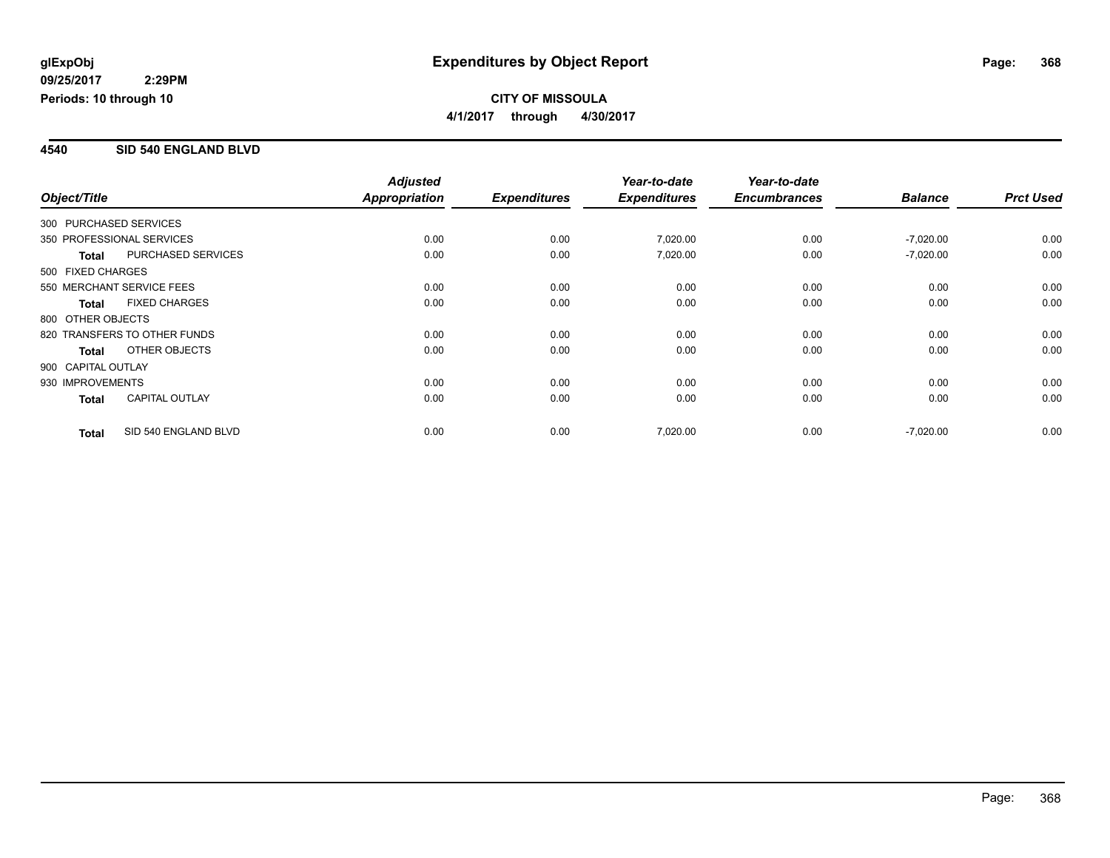#### **4540 SID 540 ENGLAND BLVD**

|                        |                              | <b>Adjusted</b> |                     | Year-to-date        | Year-to-date        |                |                  |
|------------------------|------------------------------|-----------------|---------------------|---------------------|---------------------|----------------|------------------|
| Object/Title           |                              | Appropriation   | <b>Expenditures</b> | <b>Expenditures</b> | <b>Encumbrances</b> | <b>Balance</b> | <b>Prct Used</b> |
| 300 PURCHASED SERVICES |                              |                 |                     |                     |                     |                |                  |
|                        | 350 PROFESSIONAL SERVICES    | 0.00            | 0.00                | 7,020.00            | 0.00                | $-7,020.00$    | 0.00             |
| <b>Total</b>           | <b>PURCHASED SERVICES</b>    | 0.00            | 0.00                | 7,020.00            | 0.00                | $-7,020.00$    | 0.00             |
| 500 FIXED CHARGES      |                              |                 |                     |                     |                     |                |                  |
|                        | 550 MERCHANT SERVICE FEES    | 0.00            | 0.00                | 0.00                | 0.00                | 0.00           | 0.00             |
| <b>Total</b>           | <b>FIXED CHARGES</b>         | 0.00            | 0.00                | 0.00                | 0.00                | 0.00           | 0.00             |
| 800 OTHER OBJECTS      |                              |                 |                     |                     |                     |                |                  |
|                        | 820 TRANSFERS TO OTHER FUNDS | 0.00            | 0.00                | 0.00                | 0.00                | 0.00           | 0.00             |
| <b>Total</b>           | OTHER OBJECTS                | 0.00            | 0.00                | 0.00                | 0.00                | 0.00           | 0.00             |
| 900 CAPITAL OUTLAY     |                              |                 |                     |                     |                     |                |                  |
| 930 IMPROVEMENTS       |                              | 0.00            | 0.00                | 0.00                | 0.00                | 0.00           | 0.00             |
| <b>Total</b>           | <b>CAPITAL OUTLAY</b>        | 0.00            | 0.00                | 0.00                | 0.00                | 0.00           | 0.00             |
| <b>Total</b>           | SID 540 ENGLAND BLVD         | 0.00            | 0.00                | 7,020.00            | 0.00                | $-7,020.00$    | 0.00             |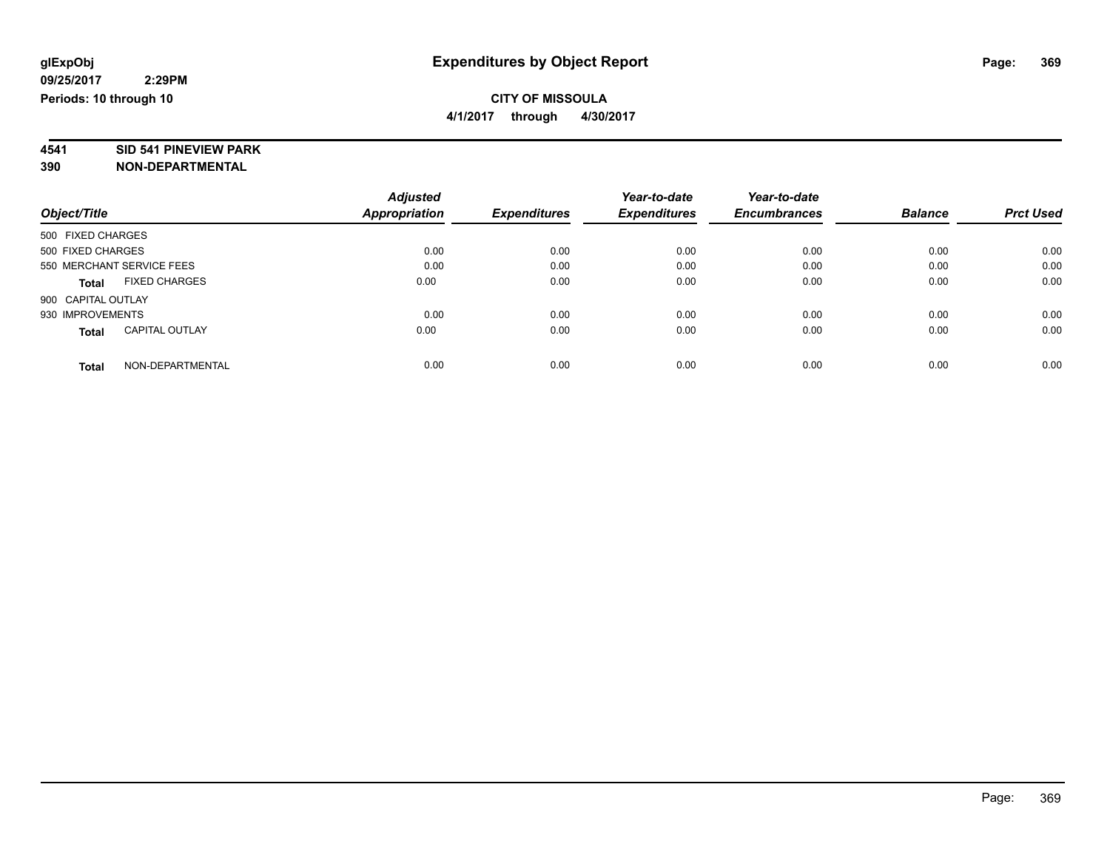# **4541 SID 541 PINEVIEW PARK**

|                                       | <b>Adjusted</b>      |                     | Year-to-date        | Year-to-date        |                |                  |
|---------------------------------------|----------------------|---------------------|---------------------|---------------------|----------------|------------------|
| Object/Title                          | <b>Appropriation</b> | <b>Expenditures</b> | <b>Expenditures</b> | <b>Encumbrances</b> | <b>Balance</b> | <b>Prct Used</b> |
| 500 FIXED CHARGES                     |                      |                     |                     |                     |                |                  |
| 500 FIXED CHARGES                     | 0.00                 | 0.00                | 0.00                | 0.00                | 0.00           | 0.00             |
| 550 MERCHANT SERVICE FEES             | 0.00                 | 0.00                | 0.00                | 0.00                | 0.00           | 0.00             |
| <b>FIXED CHARGES</b><br><b>Total</b>  | 0.00                 | 0.00                | 0.00                | 0.00                | 0.00           | 0.00             |
| 900 CAPITAL OUTLAY                    |                      |                     |                     |                     |                |                  |
| 930 IMPROVEMENTS                      | 0.00                 | 0.00                | 0.00                | 0.00                | 0.00           | 0.00             |
| <b>CAPITAL OUTLAY</b><br><b>Total</b> | 0.00                 | 0.00                | 0.00                | 0.00                | 0.00           | 0.00             |
| NON-DEPARTMENTAL<br><b>Total</b>      | 0.00                 | 0.00                | 0.00                | 0.00                | 0.00           | 0.00             |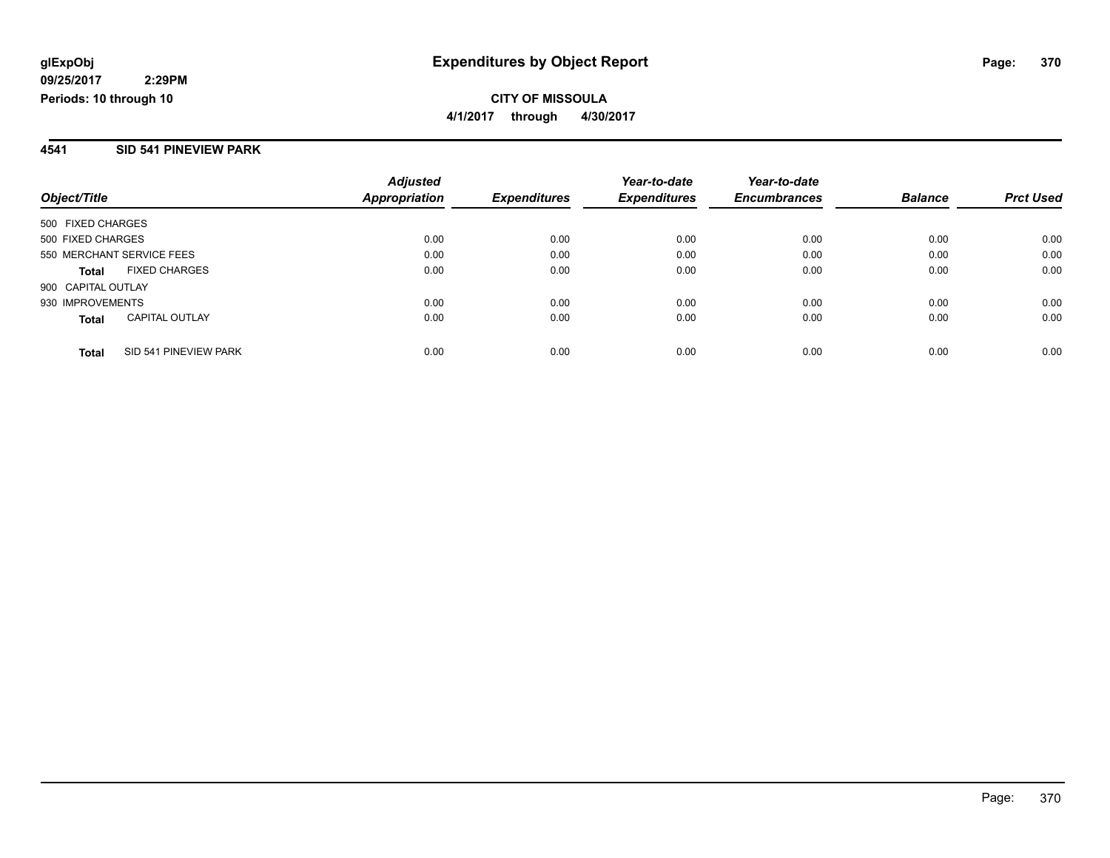#### **4541 SID 541 PINEVIEW PARK**

| Object/Title                          | <b>Adjusted</b><br><b>Appropriation</b> | <b>Expenditures</b> | Year-to-date<br><b>Expenditures</b> | Year-to-date<br><b>Encumbrances</b> | <b>Balance</b> | <b>Prct Used</b> |
|---------------------------------------|-----------------------------------------|---------------------|-------------------------------------|-------------------------------------|----------------|------------------|
| 500 FIXED CHARGES                     |                                         |                     |                                     |                                     |                |                  |
| 500 FIXED CHARGES                     | 0.00                                    | 0.00                | 0.00                                | 0.00                                | 0.00           | 0.00             |
| 550 MERCHANT SERVICE FEES             | 0.00                                    | 0.00                | 0.00                                | 0.00                                | 0.00           | 0.00             |
| <b>FIXED CHARGES</b><br><b>Total</b>  | 0.00                                    | 0.00                | 0.00                                | 0.00                                | 0.00           | 0.00             |
| 900 CAPITAL OUTLAY                    |                                         |                     |                                     |                                     |                |                  |
| 930 IMPROVEMENTS                      | 0.00                                    | 0.00                | 0.00                                | 0.00                                | 0.00           | 0.00             |
| <b>CAPITAL OUTLAY</b><br><b>Total</b> | 0.00                                    | 0.00                | 0.00                                | 0.00                                | 0.00           | 0.00             |
| SID 541 PINEVIEW PARK<br><b>Total</b> | 0.00                                    | 0.00                | 0.00                                | 0.00                                | 0.00           | 0.00             |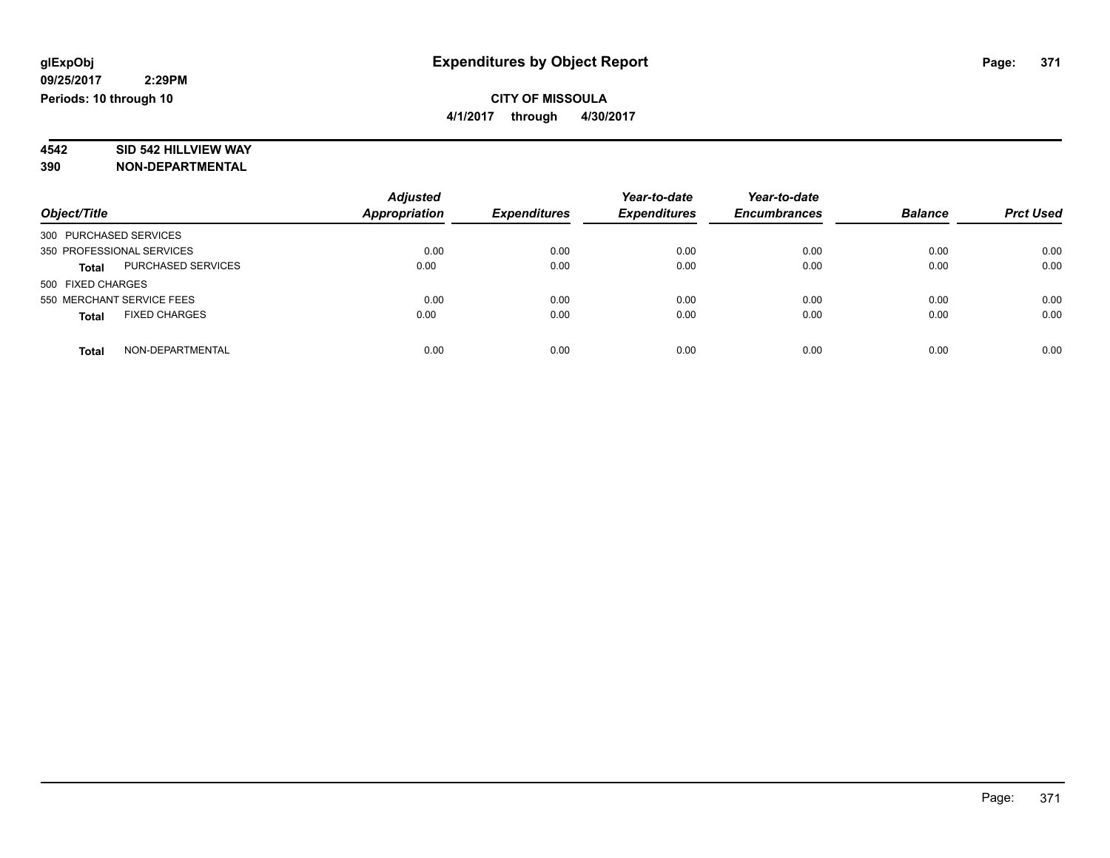**4/1/2017 through 4/30/2017**

# **4542 SID 542 HILLVIEW WAY**

| Object/Title                         | <b>Adjusted</b><br><b>Appropriation</b> | <b>Expenditures</b> | Year-to-date<br><b>Expenditures</b> | Year-to-date<br><b>Encumbrances</b> | <b>Balance</b> | <b>Prct Used</b> |
|--------------------------------------|-----------------------------------------|---------------------|-------------------------------------|-------------------------------------|----------------|------------------|
| 300 PURCHASED SERVICES               |                                         |                     |                                     |                                     |                |                  |
| 350 PROFESSIONAL SERVICES            | 0.00                                    | 0.00                | 0.00                                | 0.00                                | 0.00           | 0.00             |
| <b>PURCHASED SERVICES</b><br>Total   | 0.00                                    | 0.00                | 0.00                                | 0.00                                | 0.00           | 0.00             |
| 500 FIXED CHARGES                    |                                         |                     |                                     |                                     |                |                  |
| 550 MERCHANT SERVICE FEES            | 0.00                                    | 0.00                | 0.00                                | 0.00                                | 0.00           | 0.00             |
| <b>FIXED CHARGES</b><br><b>Total</b> | 0.00                                    | 0.00                | 0.00                                | 0.00                                | 0.00           | 0.00             |
| NON-DEPARTMENTAL<br><b>Total</b>     | 0.00                                    | 0.00                | 0.00                                | 0.00                                | 0.00           | 0.00             |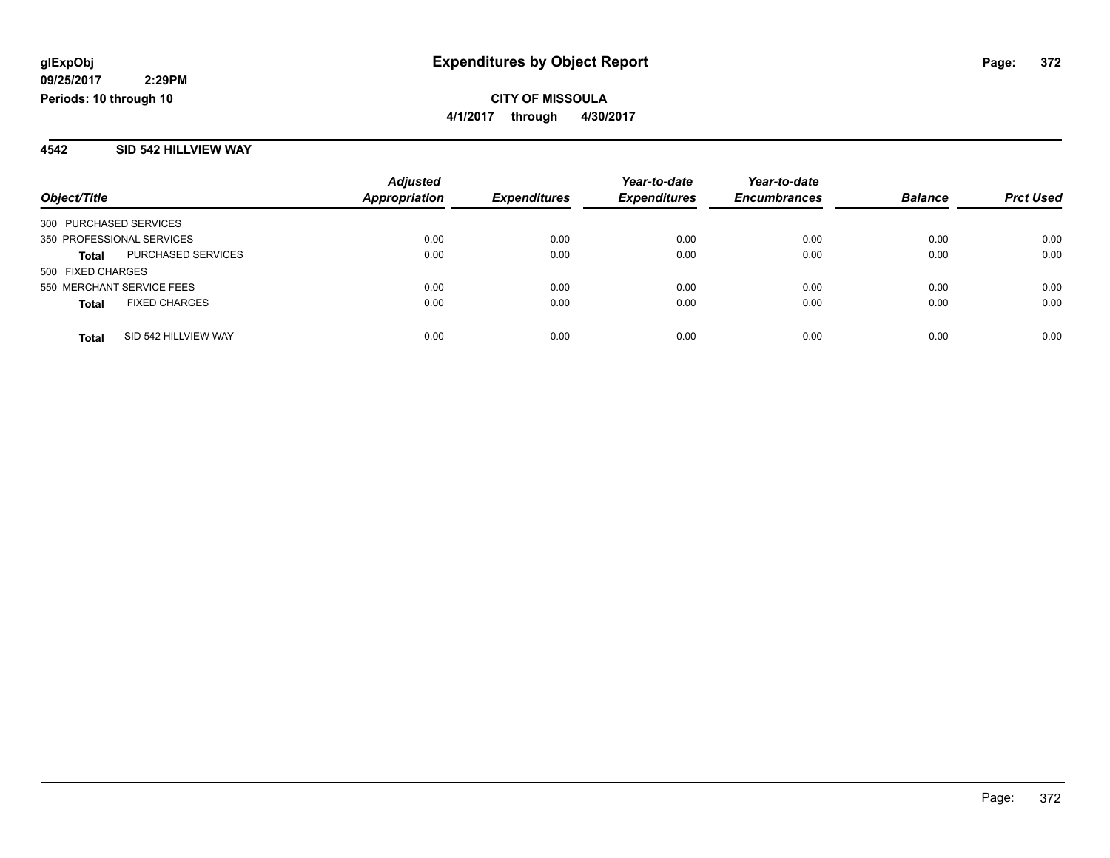#### **4542 SID 542 HILLVIEW WAY**

|                           |                      | <b>Adjusted</b> |                     | Year-to-date        | Year-to-date        |                |                  |
|---------------------------|----------------------|-----------------|---------------------|---------------------|---------------------|----------------|------------------|
| Object/Title              |                      | Appropriation   | <b>Expenditures</b> | <b>Expenditures</b> | <b>Encumbrances</b> | <b>Balance</b> | <b>Prct Used</b> |
| 300 PURCHASED SERVICES    |                      |                 |                     |                     |                     |                |                  |
| 350 PROFESSIONAL SERVICES |                      | 0.00            | 0.00                | 0.00                | 0.00                | 0.00           | 0.00             |
| <b>Total</b>              | PURCHASED SERVICES   | 0.00            | 0.00                | 0.00                | 0.00                | 0.00           | 0.00             |
| 500 FIXED CHARGES         |                      |                 |                     |                     |                     |                |                  |
| 550 MERCHANT SERVICE FEES |                      | 0.00            | 0.00                | 0.00                | 0.00                | 0.00           | 0.00             |
| <b>Total</b>              | <b>FIXED CHARGES</b> | 0.00            | 0.00                | 0.00                | 0.00                | 0.00           | 0.00             |
| <b>Total</b>              | SID 542 HILLVIEW WAY | 0.00            | 0.00                | 0.00                | 0.00                | 0.00           | 0.00             |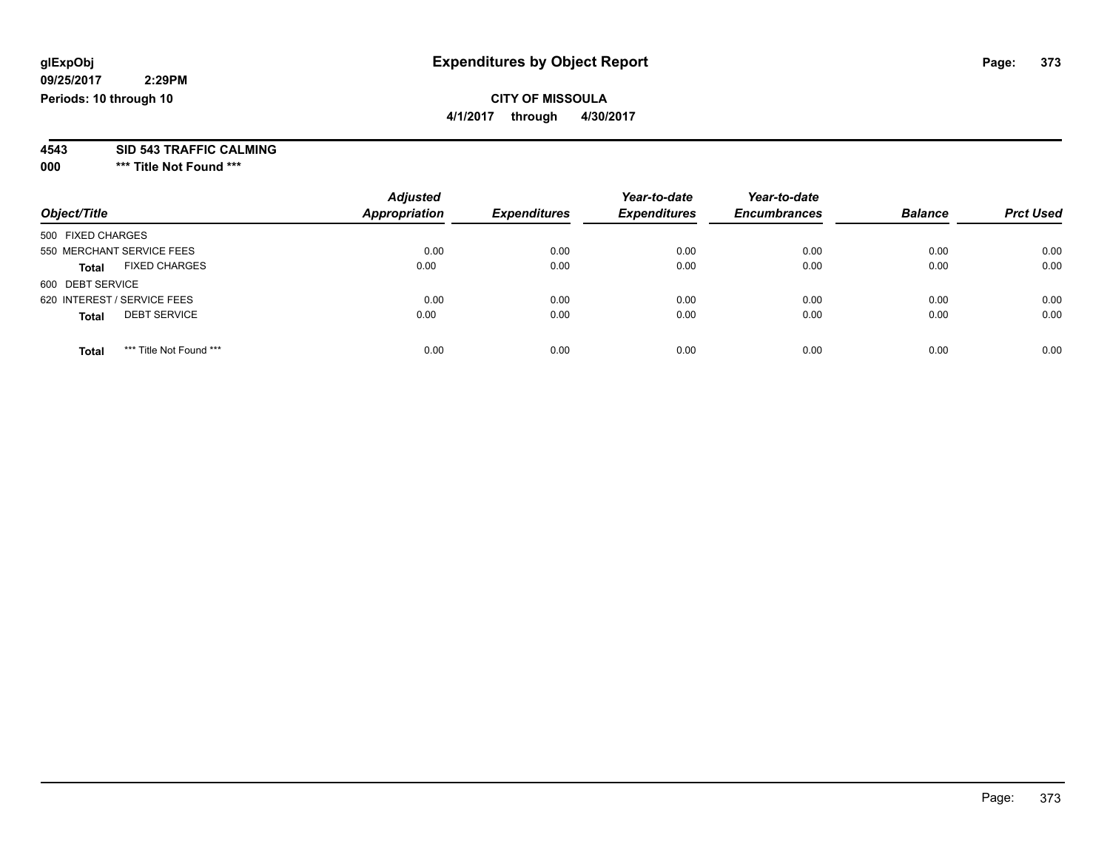### **CITY OF MISSOULA**

**4/1/2017 through 4/30/2017**

# **4543 SID 543 TRAFFIC CALMING**

**000 \*\*\* Title Not Found \*\*\***

| Object/Title                            | <b>Adjusted</b><br><b>Appropriation</b> | <b>Expenditures</b> | Year-to-date<br><b>Expenditures</b> | Year-to-date<br><b>Encumbrances</b> | <b>Balance</b> | <b>Prct Used</b> |
|-----------------------------------------|-----------------------------------------|---------------------|-------------------------------------|-------------------------------------|----------------|------------------|
| 500 FIXED CHARGES                       |                                         |                     |                                     |                                     |                |                  |
| 550 MERCHANT SERVICE FEES               | 0.00                                    | 0.00                | 0.00                                | 0.00                                | 0.00           | 0.00             |
| <b>FIXED CHARGES</b><br>Total           | 0.00                                    | 0.00                | 0.00                                | 0.00                                | 0.00           | 0.00             |
| 600 DEBT SERVICE                        |                                         |                     |                                     |                                     |                |                  |
| 620 INTEREST / SERVICE FEES             | 0.00                                    | 0.00                | 0.00                                | 0.00                                | 0.00           | 0.00             |
| <b>DEBT SERVICE</b><br><b>Total</b>     | 0.00                                    | 0.00                | 0.00                                | 0.00                                | 0.00           | 0.00             |
| *** Title Not Found ***<br><b>Total</b> | 0.00                                    | 0.00                | 0.00                                | 0.00                                | 0.00           | 0.00             |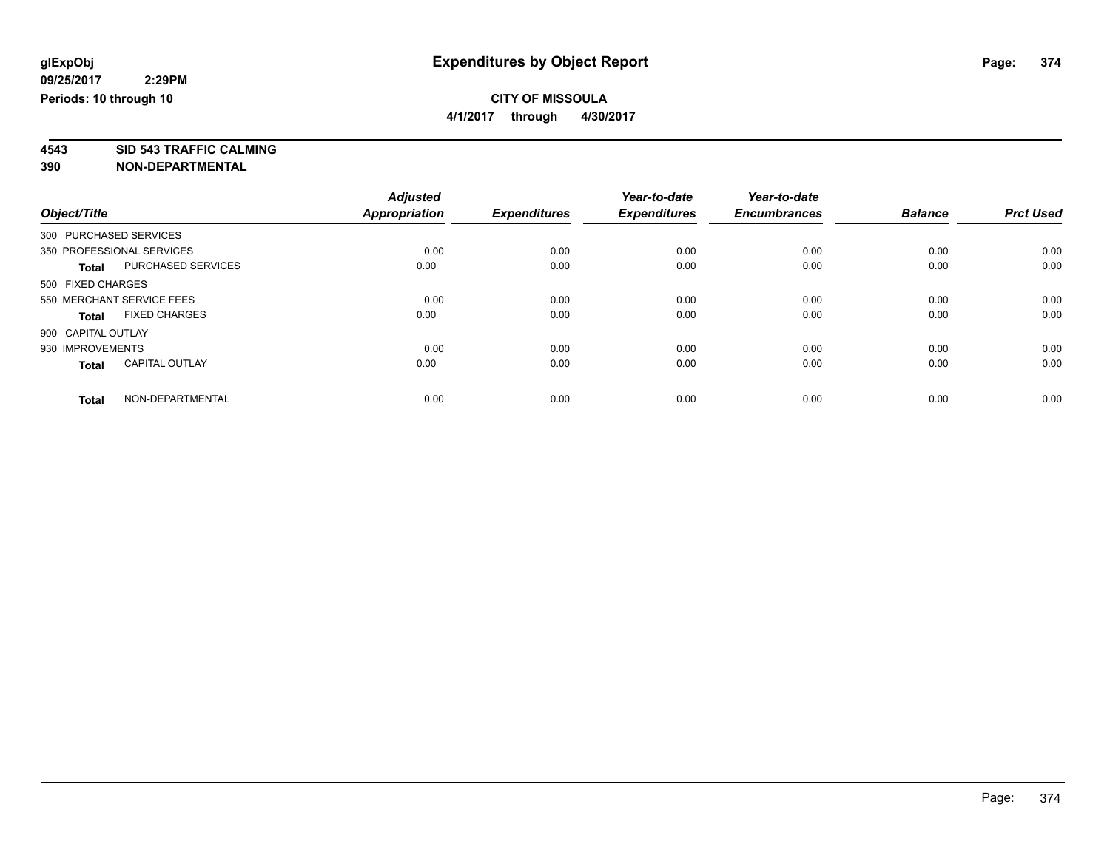**4/1/2017 through 4/30/2017**

**4543 SID 543 TRAFFIC CALMING**

|                        |                           | <b>Adjusted</b>      |                     | Year-to-date        | Year-to-date        |                |                  |
|------------------------|---------------------------|----------------------|---------------------|---------------------|---------------------|----------------|------------------|
| Object/Title           |                           | <b>Appropriation</b> | <b>Expenditures</b> | <b>Expenditures</b> | <b>Encumbrances</b> | <b>Balance</b> | <b>Prct Used</b> |
| 300 PURCHASED SERVICES |                           |                      |                     |                     |                     |                |                  |
|                        | 350 PROFESSIONAL SERVICES | 0.00                 | 0.00                | 0.00                | 0.00                | 0.00           | 0.00             |
| <b>Total</b>           | <b>PURCHASED SERVICES</b> | 0.00                 | 0.00                | 0.00                | 0.00                | 0.00           | 0.00             |
| 500 FIXED CHARGES      |                           |                      |                     |                     |                     |                |                  |
|                        | 550 MERCHANT SERVICE FEES | 0.00                 | 0.00                | 0.00                | 0.00                | 0.00           | 0.00             |
| <b>Total</b>           | <b>FIXED CHARGES</b>      | 0.00                 | 0.00                | 0.00                | 0.00                | 0.00           | 0.00             |
| 900 CAPITAL OUTLAY     |                           |                      |                     |                     |                     |                |                  |
| 930 IMPROVEMENTS       |                           | 0.00                 | 0.00                | 0.00                | 0.00                | 0.00           | 0.00             |
| <b>Total</b>           | <b>CAPITAL OUTLAY</b>     | 0.00                 | 0.00                | 0.00                | 0.00                | 0.00           | 0.00             |
| <b>Total</b>           | NON-DEPARTMENTAL          | 0.00                 | 0.00                | 0.00                | 0.00                | 0.00           | 0.00             |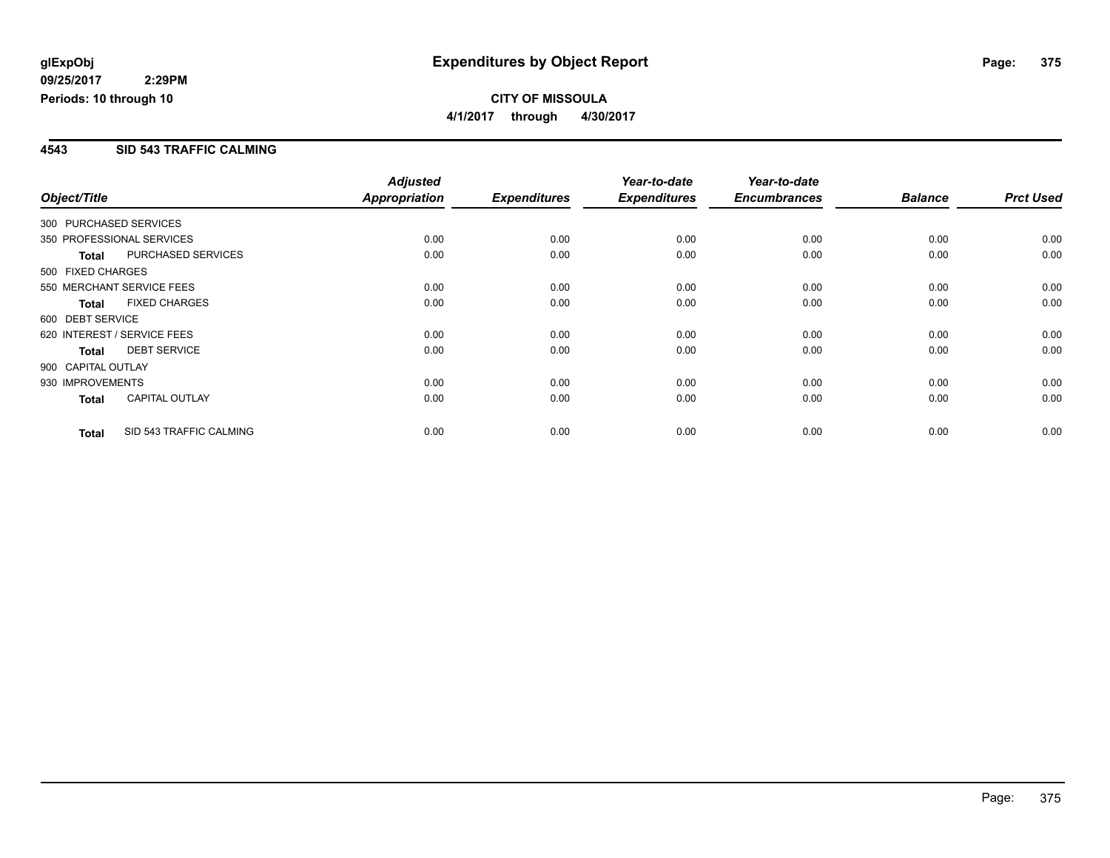#### **4543 SID 543 TRAFFIC CALMING**

|                        |                             | <b>Adjusted</b> |                     | Year-to-date        | Year-to-date        |                |                  |
|------------------------|-----------------------------|-----------------|---------------------|---------------------|---------------------|----------------|------------------|
| Object/Title           |                             | Appropriation   | <b>Expenditures</b> | <b>Expenditures</b> | <b>Encumbrances</b> | <b>Balance</b> | <b>Prct Used</b> |
| 300 PURCHASED SERVICES |                             |                 |                     |                     |                     |                |                  |
|                        | 350 PROFESSIONAL SERVICES   | 0.00            | 0.00                | 0.00                | 0.00                | 0.00           | 0.00             |
| <b>Total</b>           | PURCHASED SERVICES          | 0.00            | 0.00                | 0.00                | 0.00                | 0.00           | 0.00             |
| 500 FIXED CHARGES      |                             |                 |                     |                     |                     |                |                  |
|                        | 550 MERCHANT SERVICE FEES   | 0.00            | 0.00                | 0.00                | 0.00                | 0.00           | 0.00             |
| <b>Total</b>           | <b>FIXED CHARGES</b>        | 0.00            | 0.00                | 0.00                | 0.00                | 0.00           | 0.00             |
| 600 DEBT SERVICE       |                             |                 |                     |                     |                     |                |                  |
|                        | 620 INTEREST / SERVICE FEES | 0.00            | 0.00                | 0.00                | 0.00                | 0.00           | 0.00             |
| <b>Total</b>           | <b>DEBT SERVICE</b>         | 0.00            | 0.00                | 0.00                | 0.00                | 0.00           | 0.00             |
| 900 CAPITAL OUTLAY     |                             |                 |                     |                     |                     |                |                  |
| 930 IMPROVEMENTS       |                             | 0.00            | 0.00                | 0.00                | 0.00                | 0.00           | 0.00             |
| <b>Total</b>           | <b>CAPITAL OUTLAY</b>       | 0.00            | 0.00                | 0.00                | 0.00                | 0.00           | 0.00             |
| <b>Total</b>           | SID 543 TRAFFIC CALMING     | 0.00            | 0.00                | 0.00                | 0.00                | 0.00           | 0.00             |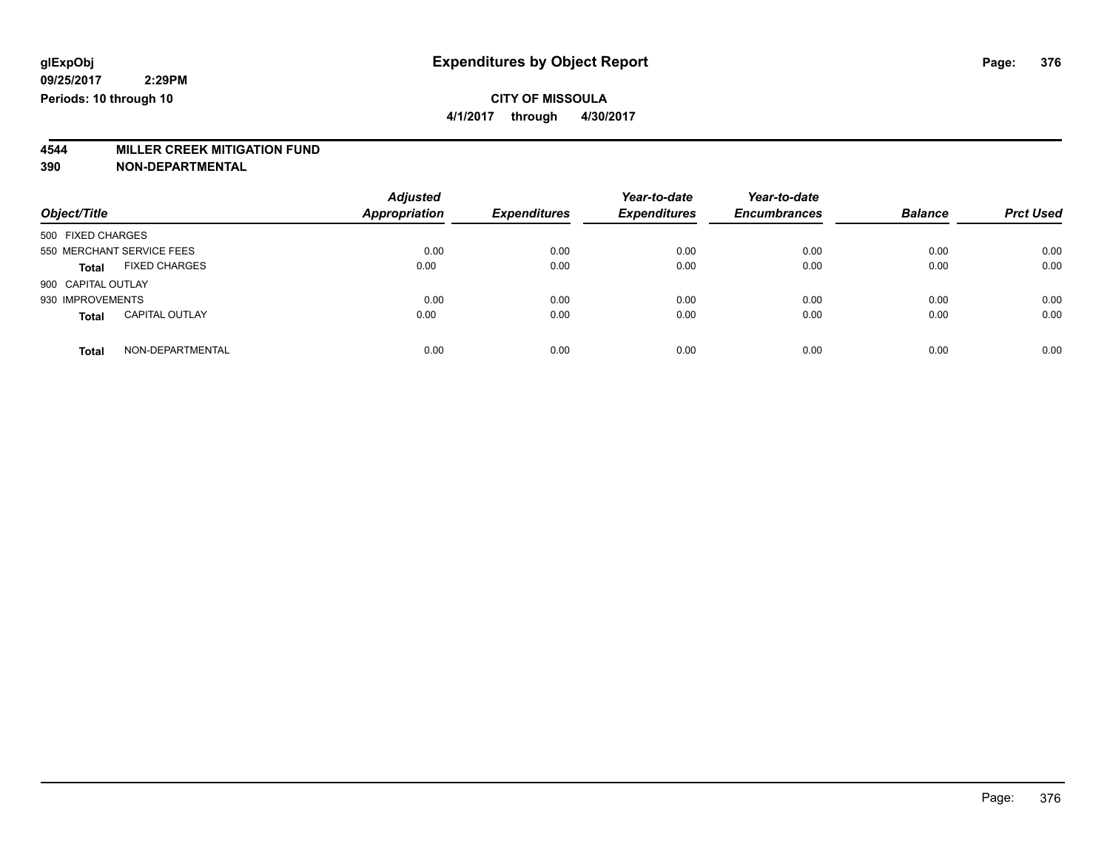## **4544 MILLER CREEK MITIGATION FUND**

| Object/Title                          | <b>Adjusted</b><br><b>Appropriation</b> | <b>Expenditures</b> | Year-to-date<br><b>Expenditures</b> | Year-to-date<br><b>Encumbrances</b> | <b>Balance</b> | <b>Prct Used</b> |
|---------------------------------------|-----------------------------------------|---------------------|-------------------------------------|-------------------------------------|----------------|------------------|
| 500 FIXED CHARGES                     |                                         |                     |                                     |                                     |                |                  |
| 550 MERCHANT SERVICE FEES             | 0.00                                    | 0.00                | 0.00                                | 0.00                                | 0.00           | 0.00             |
| <b>FIXED CHARGES</b><br><b>Total</b>  | 0.00                                    | 0.00                | 0.00                                | 0.00                                | 0.00           | 0.00             |
| 900 CAPITAL OUTLAY                    |                                         |                     |                                     |                                     |                |                  |
| 930 IMPROVEMENTS                      | 0.00                                    | 0.00                | 0.00                                | 0.00                                | 0.00           | 0.00             |
| <b>CAPITAL OUTLAY</b><br><b>Total</b> | 0.00                                    | 0.00                | 0.00                                | 0.00                                | 0.00           | 0.00             |
| NON-DEPARTMENTAL<br><b>Total</b>      | 0.00                                    | 0.00                | 0.00                                | 0.00                                | 0.00           | 0.00             |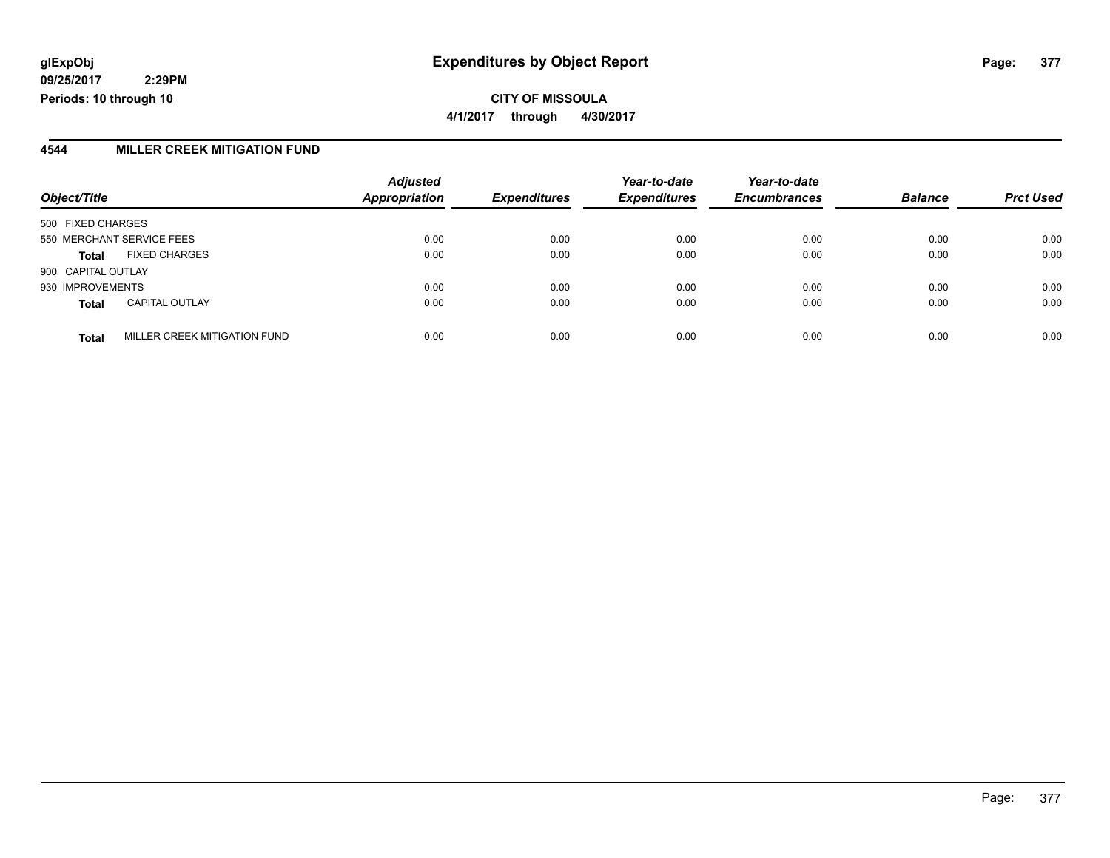**CITY OF MISSOULA 4/1/2017 through 4/30/2017**

#### **4544 MILLER CREEK MITIGATION FUND**

|                                              | <b>Adjusted</b>      |                     | Year-to-date        | Year-to-date        |                |                  |
|----------------------------------------------|----------------------|---------------------|---------------------|---------------------|----------------|------------------|
| Object/Title                                 | <b>Appropriation</b> | <b>Expenditures</b> | <b>Expenditures</b> | <b>Encumbrances</b> | <b>Balance</b> | <b>Prct Used</b> |
| 500 FIXED CHARGES                            |                      |                     |                     |                     |                |                  |
| 550 MERCHANT SERVICE FEES                    | 0.00                 | 0.00                | 0.00                | 0.00                | 0.00           | 0.00             |
| <b>FIXED CHARGES</b><br><b>Total</b>         | 0.00                 | 0.00                | 0.00                | 0.00                | 0.00           | 0.00             |
| 900 CAPITAL OUTLAY                           |                      |                     |                     |                     |                |                  |
| 930 IMPROVEMENTS                             | 0.00                 | 0.00                | 0.00                | 0.00                | 0.00           | 0.00             |
| <b>CAPITAL OUTLAY</b><br><b>Total</b>        | 0.00                 | 0.00                | 0.00                | 0.00                | 0.00           | 0.00             |
| MILLER CREEK MITIGATION FUND<br><b>Total</b> | 0.00                 | 0.00                | 0.00                | 0.00                | 0.00           | 0.00             |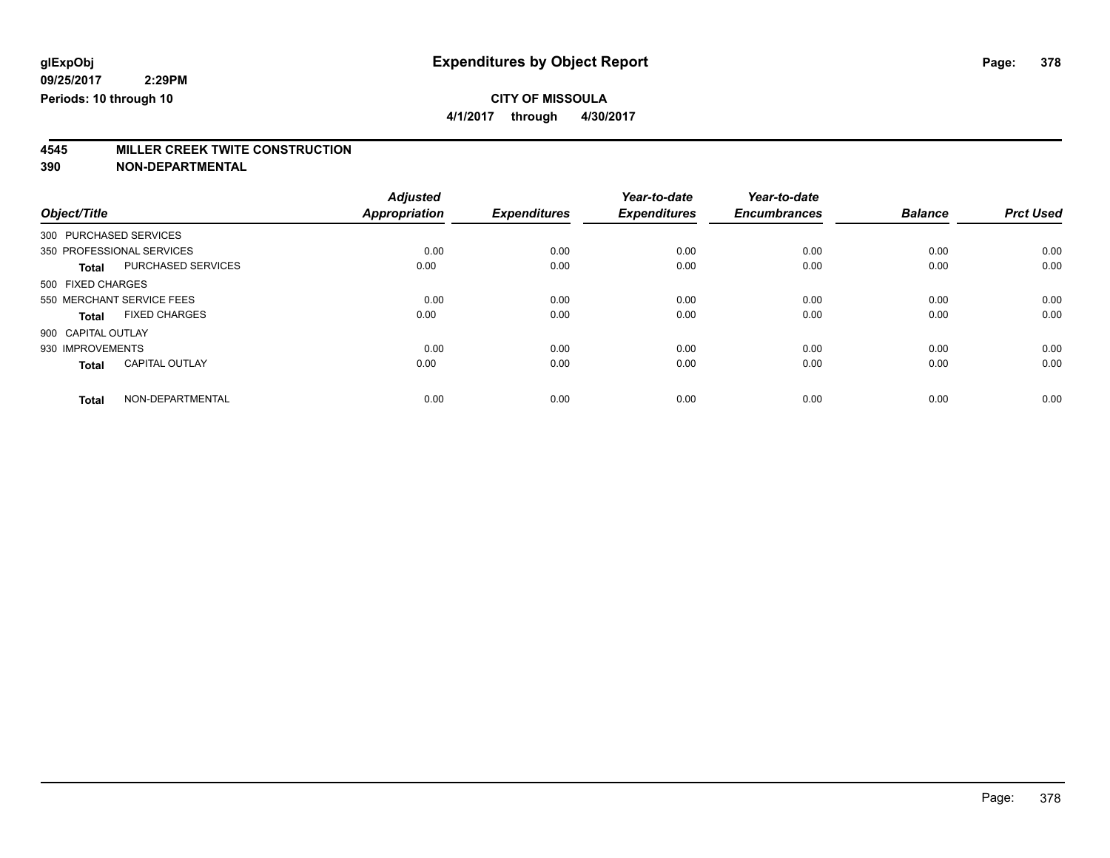**4/1/2017 through 4/30/2017**

# **4545 MILLER CREEK TWITE CONSTRUCTION**

|                        |                           | <b>Adjusted</b> |                     | Year-to-date        | Year-to-date        |                |                  |
|------------------------|---------------------------|-----------------|---------------------|---------------------|---------------------|----------------|------------------|
| Object/Title           |                           | Appropriation   | <b>Expenditures</b> | <b>Expenditures</b> | <b>Encumbrances</b> | <b>Balance</b> | <b>Prct Used</b> |
| 300 PURCHASED SERVICES |                           |                 |                     |                     |                     |                |                  |
|                        | 350 PROFESSIONAL SERVICES | 0.00            | 0.00                | 0.00                | 0.00                | 0.00           | 0.00             |
| <b>Total</b>           | PURCHASED SERVICES        | 0.00            | 0.00                | 0.00                | 0.00                | 0.00           | 0.00             |
| 500 FIXED CHARGES      |                           |                 |                     |                     |                     |                |                  |
|                        | 550 MERCHANT SERVICE FEES | 0.00            | 0.00                | 0.00                | 0.00                | 0.00           | 0.00             |
| <b>Total</b>           | <b>FIXED CHARGES</b>      | 0.00            | 0.00                | 0.00                | 0.00                | 0.00           | 0.00             |
| 900 CAPITAL OUTLAY     |                           |                 |                     |                     |                     |                |                  |
| 930 IMPROVEMENTS       |                           | 0.00            | 0.00                | 0.00                | 0.00                | 0.00           | 0.00             |
| <b>Total</b>           | <b>CAPITAL OUTLAY</b>     | 0.00            | 0.00                | 0.00                | 0.00                | 0.00           | 0.00             |
| <b>Total</b>           | NON-DEPARTMENTAL          | 0.00            | 0.00                | 0.00                | 0.00                | 0.00           | 0.00             |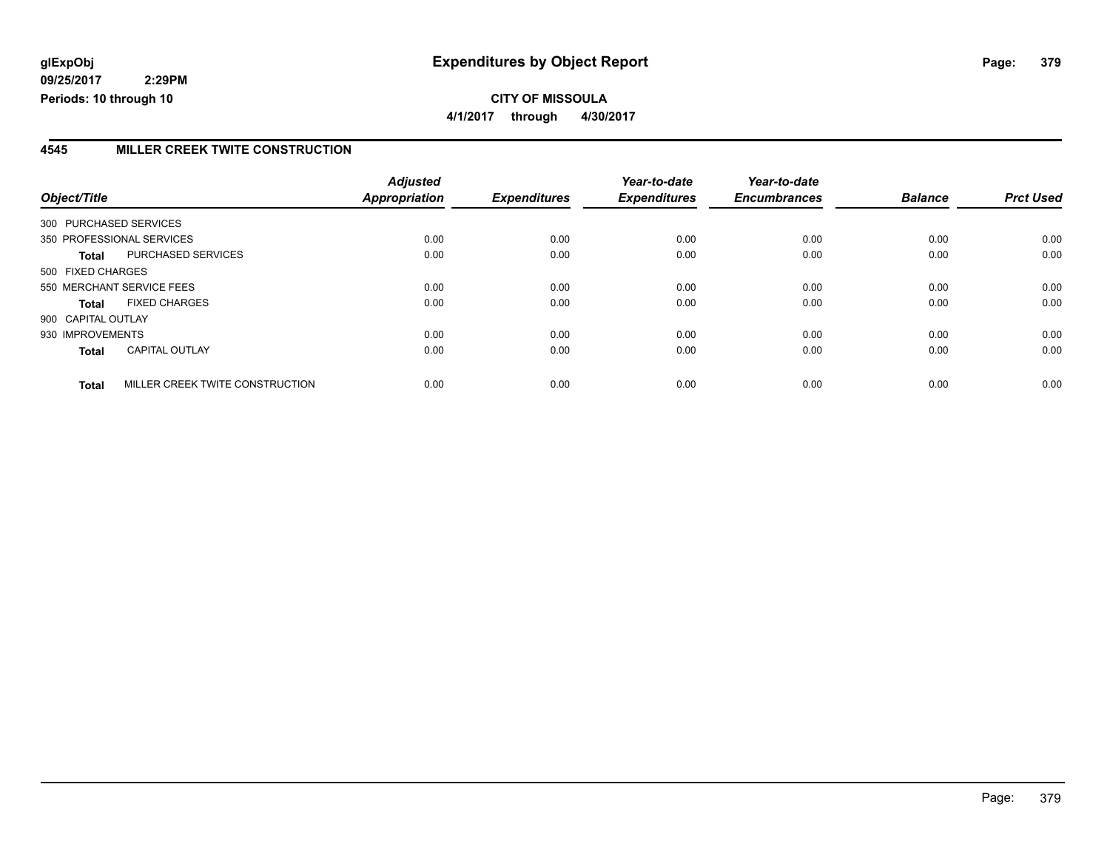**4/1/2017 through 4/30/2017**

#### **4545 MILLER CREEK TWITE CONSTRUCTION**

| Object/Title           |                                 | <b>Adjusted</b><br><b>Appropriation</b> | <b>Expenditures</b> | Year-to-date<br><b>Expenditures</b> | Year-to-date<br><b>Encumbrances</b> | <b>Balance</b> | <b>Prct Used</b> |
|------------------------|---------------------------------|-----------------------------------------|---------------------|-------------------------------------|-------------------------------------|----------------|------------------|
| 300 PURCHASED SERVICES |                                 |                                         |                     |                                     |                                     |                |                  |
|                        | 350 PROFESSIONAL SERVICES       | 0.00                                    | 0.00                | 0.00                                | 0.00                                | 0.00           | 0.00             |
| Total                  | PURCHASED SERVICES              | 0.00                                    | 0.00                | 0.00                                | 0.00                                | 0.00           | 0.00             |
| 500 FIXED CHARGES      |                                 |                                         |                     |                                     |                                     |                |                  |
|                        | 550 MERCHANT SERVICE FEES       | 0.00                                    | 0.00                | 0.00                                | 0.00                                | 0.00           | 0.00             |
| <b>Total</b>           | <b>FIXED CHARGES</b>            | 0.00                                    | 0.00                | 0.00                                | 0.00                                | 0.00           | 0.00             |
| 900 CAPITAL OUTLAY     |                                 |                                         |                     |                                     |                                     |                |                  |
| 930 IMPROVEMENTS       |                                 | 0.00                                    | 0.00                | 0.00                                | 0.00                                | 0.00           | 0.00             |
| <b>Total</b>           | <b>CAPITAL OUTLAY</b>           | 0.00                                    | 0.00                | 0.00                                | 0.00                                | 0.00           | 0.00             |
| <b>Total</b>           | MILLER CREEK TWITE CONSTRUCTION | 0.00                                    | 0.00                | 0.00                                | 0.00                                | 0.00           | 0.00             |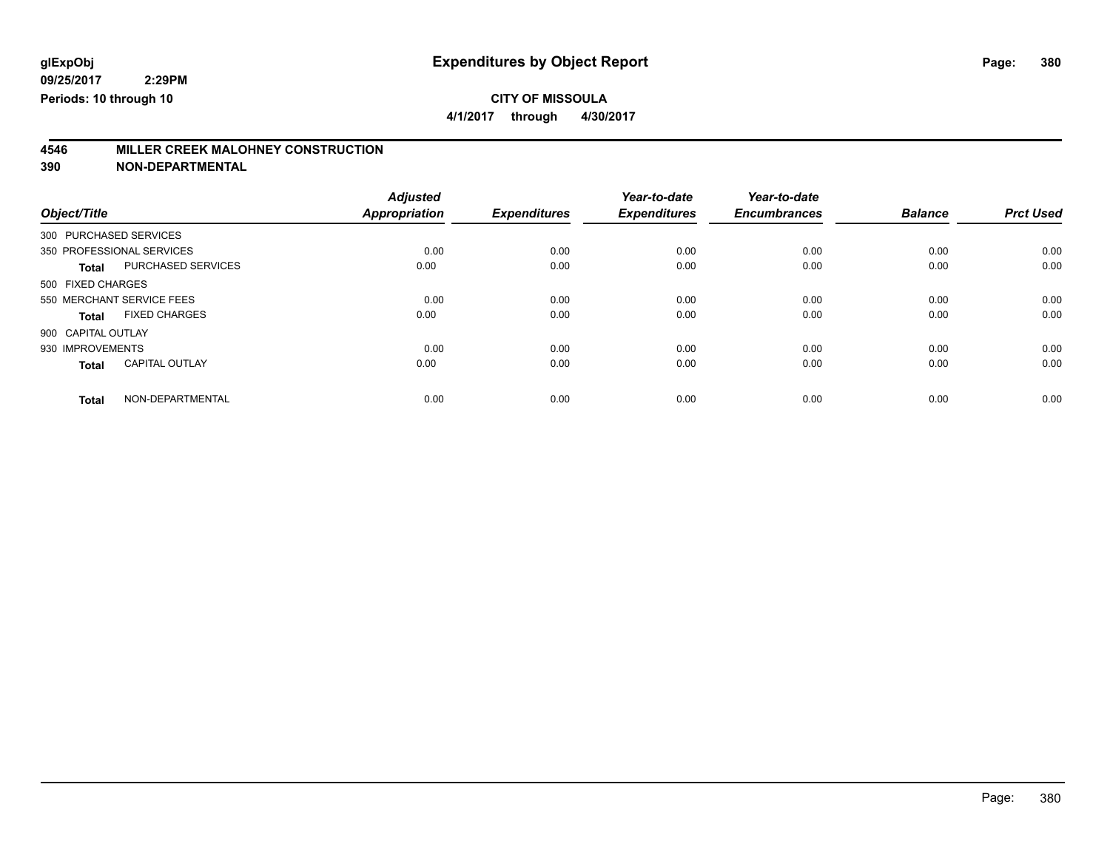**4/1/2017 through 4/30/2017**

# **4546 MILLER CREEK MALOHNEY CONSTRUCTION**

|                        |                           | <b>Adjusted</b>      |                     | Year-to-date        | Year-to-date        |                |                  |
|------------------------|---------------------------|----------------------|---------------------|---------------------|---------------------|----------------|------------------|
| Object/Title           |                           | <b>Appropriation</b> | <b>Expenditures</b> | <b>Expenditures</b> | <b>Encumbrances</b> | <b>Balance</b> | <b>Prct Used</b> |
| 300 PURCHASED SERVICES |                           |                      |                     |                     |                     |                |                  |
|                        | 350 PROFESSIONAL SERVICES | 0.00                 | 0.00                | 0.00                | 0.00                | 0.00           | 0.00             |
| <b>Total</b>           | PURCHASED SERVICES        | 0.00                 | 0.00                | 0.00                | 0.00                | 0.00           | 0.00             |
| 500 FIXED CHARGES      |                           |                      |                     |                     |                     |                |                  |
|                        | 550 MERCHANT SERVICE FEES | 0.00                 | 0.00                | 0.00                | 0.00                | 0.00           | 0.00             |
| Total                  | <b>FIXED CHARGES</b>      | 0.00                 | 0.00                | 0.00                | 0.00                | 0.00           | 0.00             |
| 900 CAPITAL OUTLAY     |                           |                      |                     |                     |                     |                |                  |
| 930 IMPROVEMENTS       |                           | 0.00                 | 0.00                | 0.00                | 0.00                | 0.00           | 0.00             |
| <b>Total</b>           | <b>CAPITAL OUTLAY</b>     | 0.00                 | 0.00                | 0.00                | 0.00                | 0.00           | 0.00             |
| <b>Total</b>           | NON-DEPARTMENTAL          | 0.00                 | 0.00                | 0.00                | 0.00                | 0.00           | 0.00             |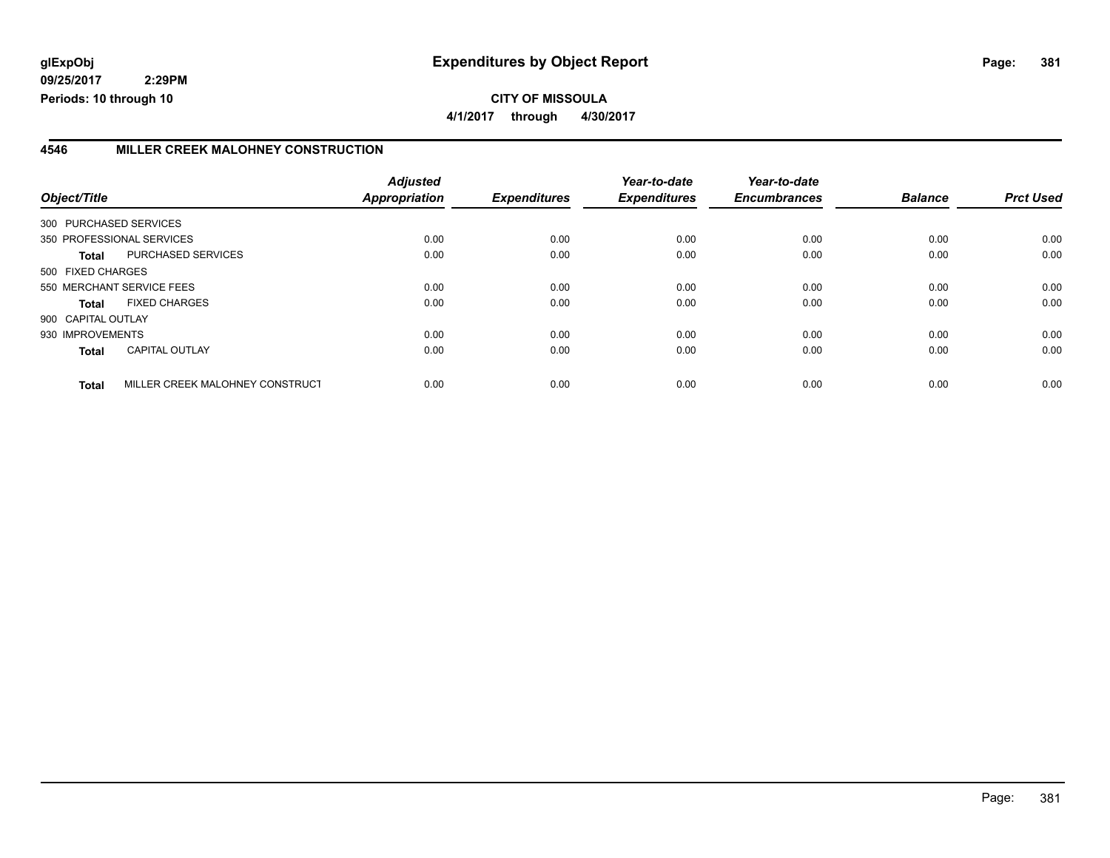**CITY OF MISSOULA 4/1/2017 through 4/30/2017**

#### **4546 MILLER CREEK MALOHNEY CONSTRUCTION**

|                    |                                 | <b>Adjusted</b> |                     | Year-to-date        | Year-to-date        |                |                  |
|--------------------|---------------------------------|-----------------|---------------------|---------------------|---------------------|----------------|------------------|
| Object/Title       |                                 | Appropriation   | <b>Expenditures</b> | <b>Expenditures</b> | <b>Encumbrances</b> | <b>Balance</b> | <b>Prct Used</b> |
|                    | 300 PURCHASED SERVICES          |                 |                     |                     |                     |                |                  |
|                    | 350 PROFESSIONAL SERVICES       | 0.00            | 0.00                | 0.00                | 0.00                | 0.00           | 0.00             |
| <b>Total</b>       | <b>PURCHASED SERVICES</b>       | 0.00            | 0.00                | 0.00                | 0.00                | 0.00           | 0.00             |
| 500 FIXED CHARGES  |                                 |                 |                     |                     |                     |                |                  |
|                    | 550 MERCHANT SERVICE FEES       | 0.00            | 0.00                | 0.00                | 0.00                | 0.00           | 0.00             |
| <b>Total</b>       | <b>FIXED CHARGES</b>            | 0.00            | 0.00                | 0.00                | 0.00                | 0.00           | 0.00             |
| 900 CAPITAL OUTLAY |                                 |                 |                     |                     |                     |                |                  |
| 930 IMPROVEMENTS   |                                 | 0.00            | 0.00                | 0.00                | 0.00                | 0.00           | 0.00             |
| <b>Total</b>       | <b>CAPITAL OUTLAY</b>           | 0.00            | 0.00                | 0.00                | 0.00                | 0.00           | 0.00             |
| <b>Total</b>       | MILLER CREEK MALOHNEY CONSTRUCT | 0.00            | 0.00                | 0.00                | 0.00                | 0.00           | 0.00             |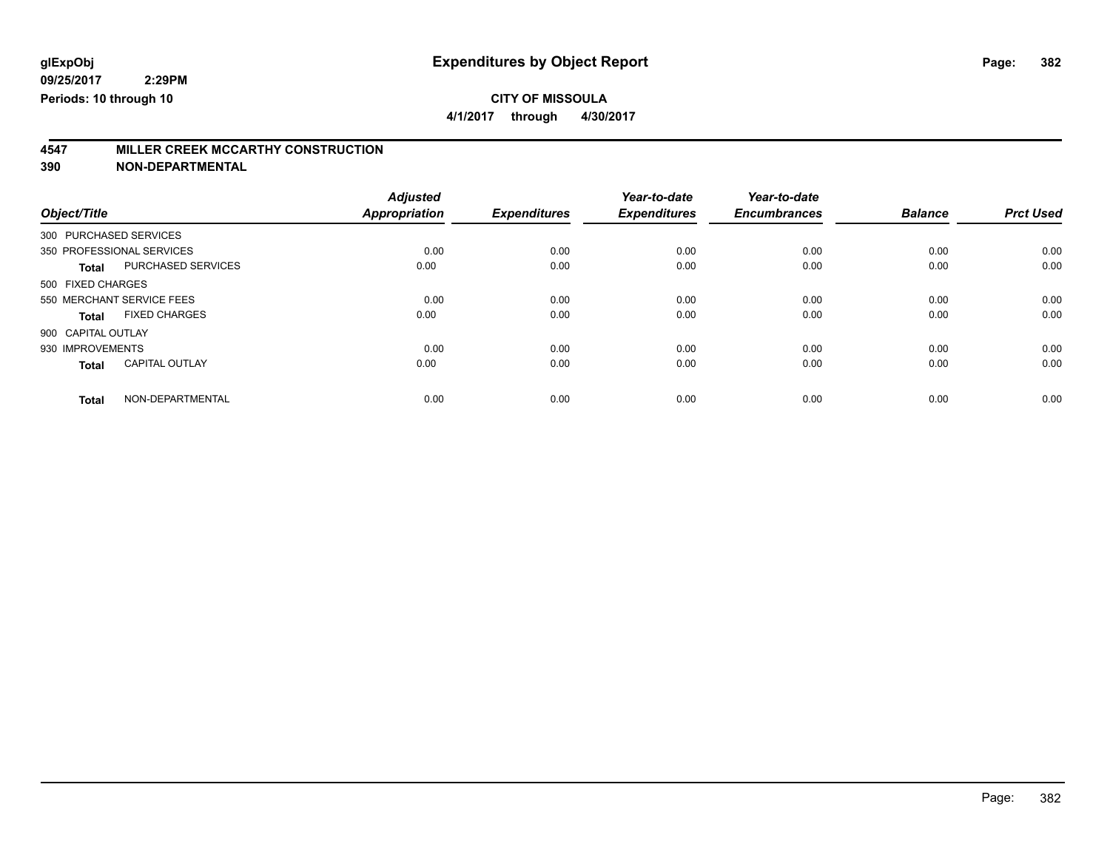**4/1/2017 through 4/30/2017**

# **4547 MILLER CREEK MCCARTHY CONSTRUCTION**

|                           |                       | <b>Adjusted</b>      |                     | Year-to-date        | Year-to-date        |                |                  |
|---------------------------|-----------------------|----------------------|---------------------|---------------------|---------------------|----------------|------------------|
| Object/Title              |                       | <b>Appropriation</b> | <b>Expenditures</b> | <b>Expenditures</b> | <b>Encumbrances</b> | <b>Balance</b> | <b>Prct Used</b> |
| 300 PURCHASED SERVICES    |                       |                      |                     |                     |                     |                |                  |
| 350 PROFESSIONAL SERVICES |                       | 0.00                 | 0.00                | 0.00                | 0.00                | 0.00           | 0.00             |
| <b>Total</b>              | PURCHASED SERVICES    | 0.00                 | 0.00                | 0.00                | 0.00                | 0.00           | 0.00             |
| 500 FIXED CHARGES         |                       |                      |                     |                     |                     |                |                  |
| 550 MERCHANT SERVICE FEES |                       | 0.00                 | 0.00                | 0.00                | 0.00                | 0.00           | 0.00             |
| Total                     | <b>FIXED CHARGES</b>  | 0.00                 | 0.00                | 0.00                | 0.00                | 0.00           | 0.00             |
| 900 CAPITAL OUTLAY        |                       |                      |                     |                     |                     |                |                  |
| 930 IMPROVEMENTS          |                       | 0.00                 | 0.00                | 0.00                | 0.00                | 0.00           | 0.00             |
| <b>Total</b>              | <b>CAPITAL OUTLAY</b> | 0.00                 | 0.00                | 0.00                | 0.00                | 0.00           | 0.00             |
| <b>Total</b>              | NON-DEPARTMENTAL      | 0.00                 | 0.00                | 0.00                | 0.00                | 0.00           | 0.00             |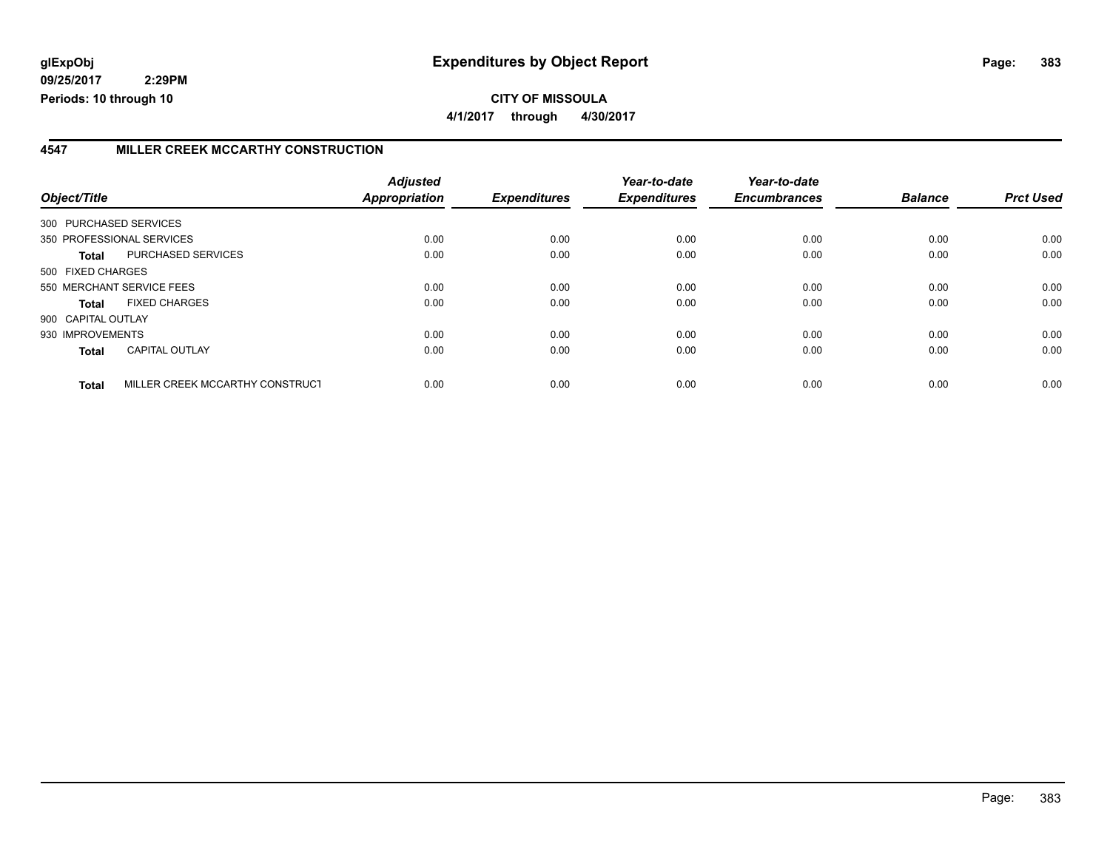#### **4547 MILLER CREEK MCCARTHY CONSTRUCTION**

| Object/Title       |                                 | <b>Adjusted</b><br>Appropriation | <b>Expenditures</b> | Year-to-date<br><b>Expenditures</b> | Year-to-date<br><b>Encumbrances</b> | <b>Balance</b> | <b>Prct Used</b> |
|--------------------|---------------------------------|----------------------------------|---------------------|-------------------------------------|-------------------------------------|----------------|------------------|
|                    |                                 |                                  |                     |                                     |                                     |                |                  |
|                    | 300 PURCHASED SERVICES          |                                  |                     |                                     |                                     |                |                  |
|                    | 350 PROFESSIONAL SERVICES       | 0.00                             | 0.00                | 0.00                                | 0.00                                | 0.00           | 0.00             |
| Total              | PURCHASED SERVICES              | 0.00                             | 0.00                | 0.00                                | 0.00                                | 0.00           | 0.00             |
| 500 FIXED CHARGES  |                                 |                                  |                     |                                     |                                     |                |                  |
|                    | 550 MERCHANT SERVICE FEES       | 0.00                             | 0.00                | 0.00                                | 0.00                                | 0.00           | 0.00             |
| <b>Total</b>       | <b>FIXED CHARGES</b>            | 0.00                             | 0.00                | 0.00                                | 0.00                                | 0.00           | 0.00             |
| 900 CAPITAL OUTLAY |                                 |                                  |                     |                                     |                                     |                |                  |
| 930 IMPROVEMENTS   |                                 | 0.00                             | 0.00                | 0.00                                | 0.00                                | 0.00           | 0.00             |
| <b>Total</b>       | <b>CAPITAL OUTLAY</b>           | 0.00                             | 0.00                | 0.00                                | 0.00                                | 0.00           | 0.00             |
| <b>Total</b>       | MILLER CREEK MCCARTHY CONSTRUCT | 0.00                             | 0.00                | 0.00                                | 0.00                                | 0.00           | 0.00             |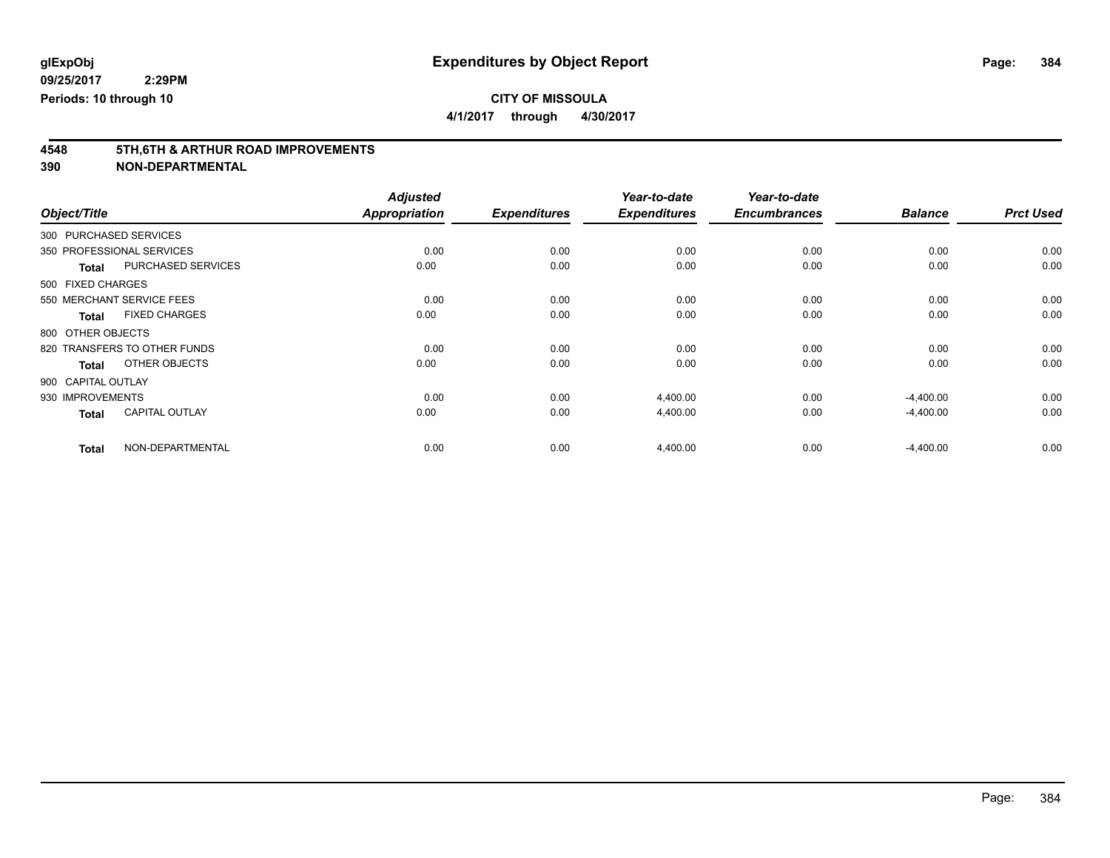**4/1/2017 through 4/30/2017**

# **4548 5TH,6TH & ARTHUR ROAD IMPROVEMENTS**

|                        |                              | <b>Adjusted</b> |                     | Year-to-date        | Year-to-date        |                |                  |
|------------------------|------------------------------|-----------------|---------------------|---------------------|---------------------|----------------|------------------|
| Object/Title           |                              | Appropriation   | <b>Expenditures</b> | <b>Expenditures</b> | <b>Encumbrances</b> | <b>Balance</b> | <b>Prct Used</b> |
| 300 PURCHASED SERVICES |                              |                 |                     |                     |                     |                |                  |
|                        | 350 PROFESSIONAL SERVICES    | 0.00            | 0.00                | 0.00                | 0.00                | 0.00           | 0.00             |
| <b>Total</b>           | <b>PURCHASED SERVICES</b>    | 0.00            | 0.00                | 0.00                | 0.00                | 0.00           | 0.00             |
| 500 FIXED CHARGES      |                              |                 |                     |                     |                     |                |                  |
|                        | 550 MERCHANT SERVICE FEES    | 0.00            | 0.00                | 0.00                | 0.00                | 0.00           | 0.00             |
| <b>Total</b>           | <b>FIXED CHARGES</b>         | 0.00            | 0.00                | 0.00                | 0.00                | 0.00           | 0.00             |
| 800 OTHER OBJECTS      |                              |                 |                     |                     |                     |                |                  |
|                        | 820 TRANSFERS TO OTHER FUNDS | 0.00            | 0.00                | 0.00                | 0.00                | 0.00           | 0.00             |
| <b>Total</b>           | OTHER OBJECTS                | 0.00            | 0.00                | 0.00                | 0.00                | 0.00           | 0.00             |
| 900 CAPITAL OUTLAY     |                              |                 |                     |                     |                     |                |                  |
| 930 IMPROVEMENTS       |                              | 0.00            | 0.00                | 4,400.00            | 0.00                | $-4,400.00$    | 0.00             |
| <b>Total</b>           | <b>CAPITAL OUTLAY</b>        | 0.00            | 0.00                | 4,400.00            | 0.00                | $-4,400.00$    | 0.00             |
| <b>Total</b>           | NON-DEPARTMENTAL             | 0.00            | 0.00                | 4,400.00            | 0.00                | $-4,400.00$    | 0.00             |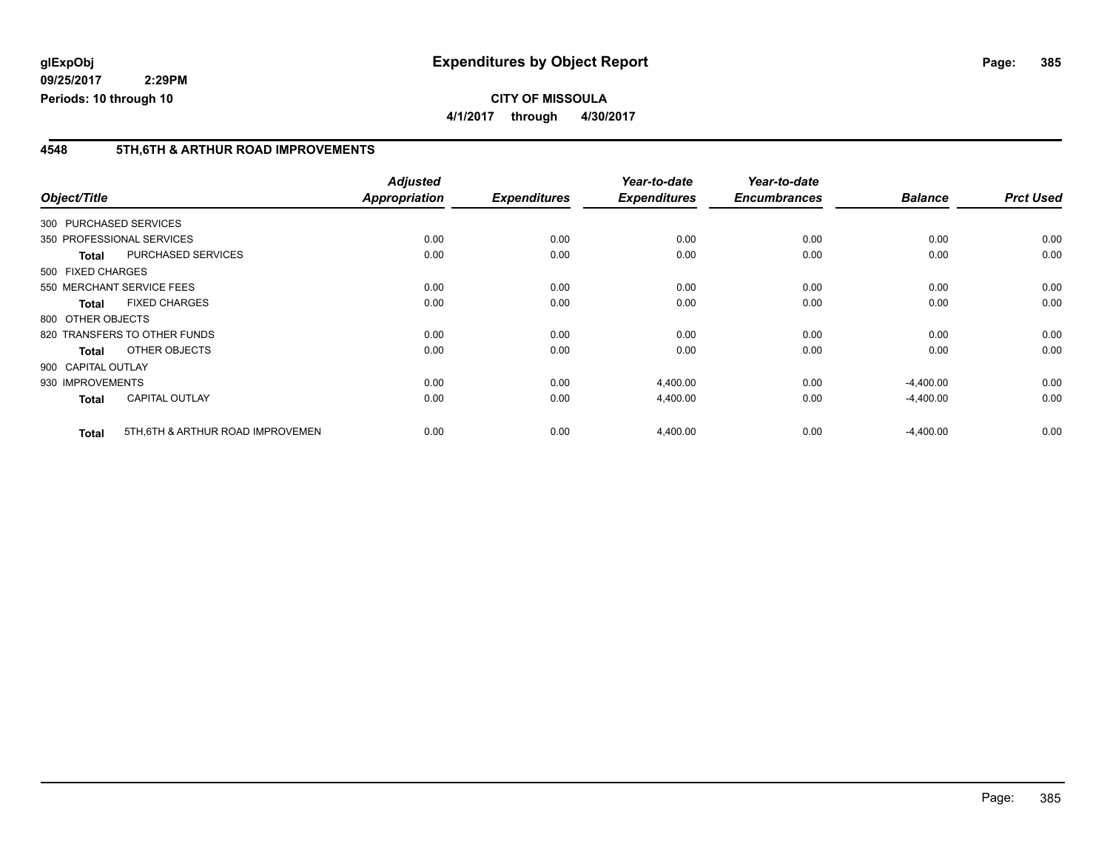**CITY OF MISSOULA 4/1/2017 through 4/30/2017**

#### **4548 5TH,6TH & ARTHUR ROAD IMPROVEMENTS**

|              |                                                   | <b>Adjusted</b> |                     | Year-to-date        | Year-to-date        |                |                  |
|--------------|---------------------------------------------------|-----------------|---------------------|---------------------|---------------------|----------------|------------------|
| Object/Title |                                                   | Appropriation   | <b>Expenditures</b> | <b>Expenditures</b> | <b>Encumbrances</b> | <b>Balance</b> | <b>Prct Used</b> |
|              | 300 PURCHASED SERVICES                            |                 |                     |                     |                     |                |                  |
|              | 350 PROFESSIONAL SERVICES                         | 0.00            | 0.00                | 0.00                | 0.00                | 0.00           | 0.00             |
|              | <b>PURCHASED SERVICES</b><br><b>Total</b>         | 0.00            | 0.00                | 0.00                | 0.00                | 0.00           | 0.00             |
|              | 500 FIXED CHARGES                                 |                 |                     |                     |                     |                |                  |
|              | 550 MERCHANT SERVICE FEES                         | 0.00            | 0.00                | 0.00                | 0.00                | 0.00           | 0.00             |
|              | <b>FIXED CHARGES</b><br><b>Total</b>              | 0.00            | 0.00                | 0.00                | 0.00                | 0.00           | 0.00             |
|              | 800 OTHER OBJECTS                                 |                 |                     |                     |                     |                |                  |
|              | 820 TRANSFERS TO OTHER FUNDS                      | 0.00            | 0.00                | 0.00                | 0.00                | 0.00           | 0.00             |
|              | OTHER OBJECTS<br><b>Total</b>                     | 0.00            | 0.00                | 0.00                | 0.00                | 0.00           | 0.00             |
|              | 900 CAPITAL OUTLAY                                |                 |                     |                     |                     |                |                  |
|              | 930 IMPROVEMENTS                                  | 0.00            | 0.00                | 4,400.00            | 0.00                | $-4,400.00$    | 0.00             |
|              | <b>CAPITAL OUTLAY</b><br><b>Total</b>             | 0.00            | 0.00                | 4,400.00            | 0.00                | $-4,400.00$    | 0.00             |
|              | 5TH, 6TH & ARTHUR ROAD IMPROVEMEN<br><b>Total</b> | 0.00            | 0.00                | 4,400.00            | 0.00                | $-4,400.00$    | 0.00             |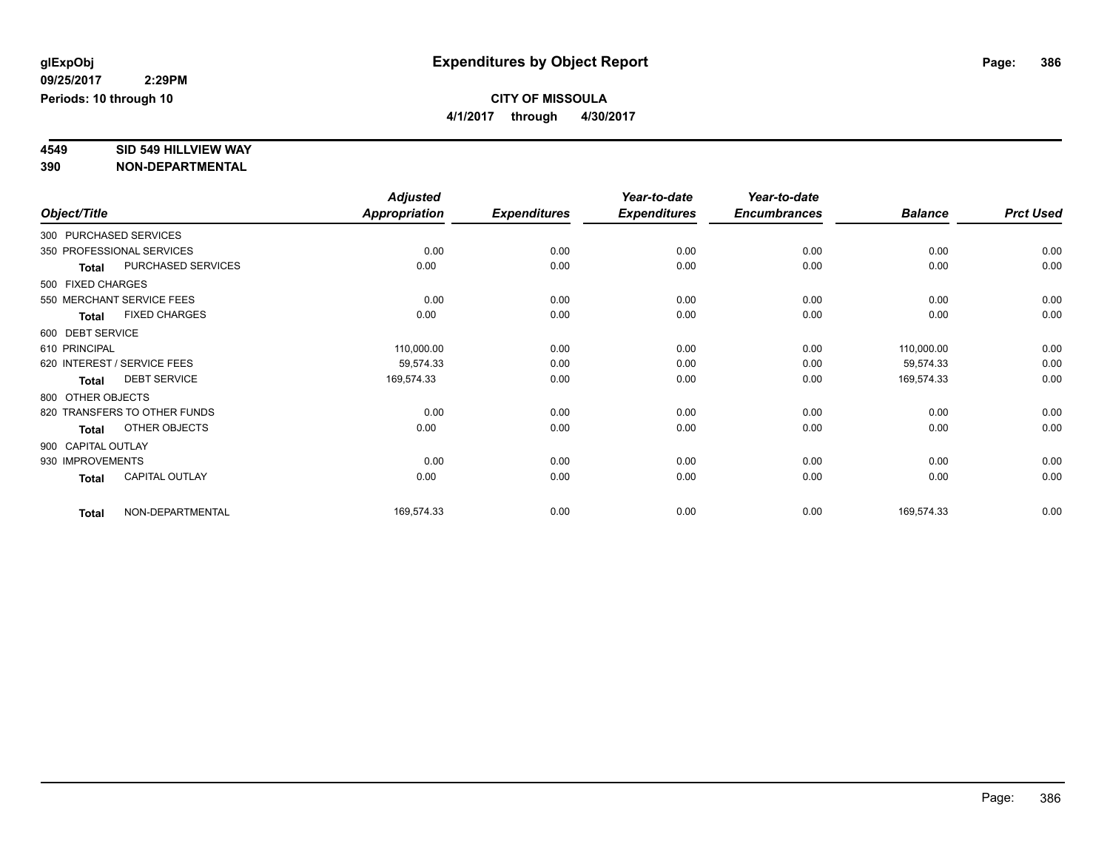**4/1/2017 through 4/30/2017**

# **4549 SID 549 HILLVIEW WAY**

|                    |                              | <b>Adjusted</b>      |                     | Year-to-date        | Year-to-date        |                |                  |
|--------------------|------------------------------|----------------------|---------------------|---------------------|---------------------|----------------|------------------|
| Object/Title       |                              | <b>Appropriation</b> | <b>Expenditures</b> | <b>Expenditures</b> | <b>Encumbrances</b> | <b>Balance</b> | <b>Prct Used</b> |
|                    | 300 PURCHASED SERVICES       |                      |                     |                     |                     |                |                  |
|                    | 350 PROFESSIONAL SERVICES    | 0.00                 | 0.00                | 0.00                | 0.00                | 0.00           | 0.00             |
| <b>Total</b>       | PURCHASED SERVICES           | 0.00                 | 0.00                | 0.00                | 0.00                | 0.00           | 0.00             |
| 500 FIXED CHARGES  |                              |                      |                     |                     |                     |                |                  |
|                    | 550 MERCHANT SERVICE FEES    | 0.00                 | 0.00                | 0.00                | 0.00                | 0.00           | 0.00             |
| <b>Total</b>       | <b>FIXED CHARGES</b>         | 0.00                 | 0.00                | 0.00                | 0.00                | 0.00           | 0.00             |
| 600 DEBT SERVICE   |                              |                      |                     |                     |                     |                |                  |
| 610 PRINCIPAL      |                              | 110,000.00           | 0.00                | 0.00                | 0.00                | 110,000.00     | 0.00             |
|                    | 620 INTEREST / SERVICE FEES  | 59,574.33            | 0.00                | 0.00                | 0.00                | 59,574.33      | 0.00             |
| <b>Total</b>       | <b>DEBT SERVICE</b>          | 169,574.33           | 0.00                | 0.00                | 0.00                | 169,574.33     | 0.00             |
| 800 OTHER OBJECTS  |                              |                      |                     |                     |                     |                |                  |
|                    | 820 TRANSFERS TO OTHER FUNDS | 0.00                 | 0.00                | 0.00                | 0.00                | 0.00           | 0.00             |
| <b>Total</b>       | OTHER OBJECTS                | 0.00                 | 0.00                | 0.00                | 0.00                | 0.00           | 0.00             |
| 900 CAPITAL OUTLAY |                              |                      |                     |                     |                     |                |                  |
| 930 IMPROVEMENTS   |                              | 0.00                 | 0.00                | 0.00                | 0.00                | 0.00           | 0.00             |
| <b>Total</b>       | <b>CAPITAL OUTLAY</b>        | 0.00                 | 0.00                | 0.00                | 0.00                | 0.00           | 0.00             |
| <b>Total</b>       | NON-DEPARTMENTAL             | 169,574.33           | 0.00                | 0.00                | 0.00                | 169,574.33     | 0.00             |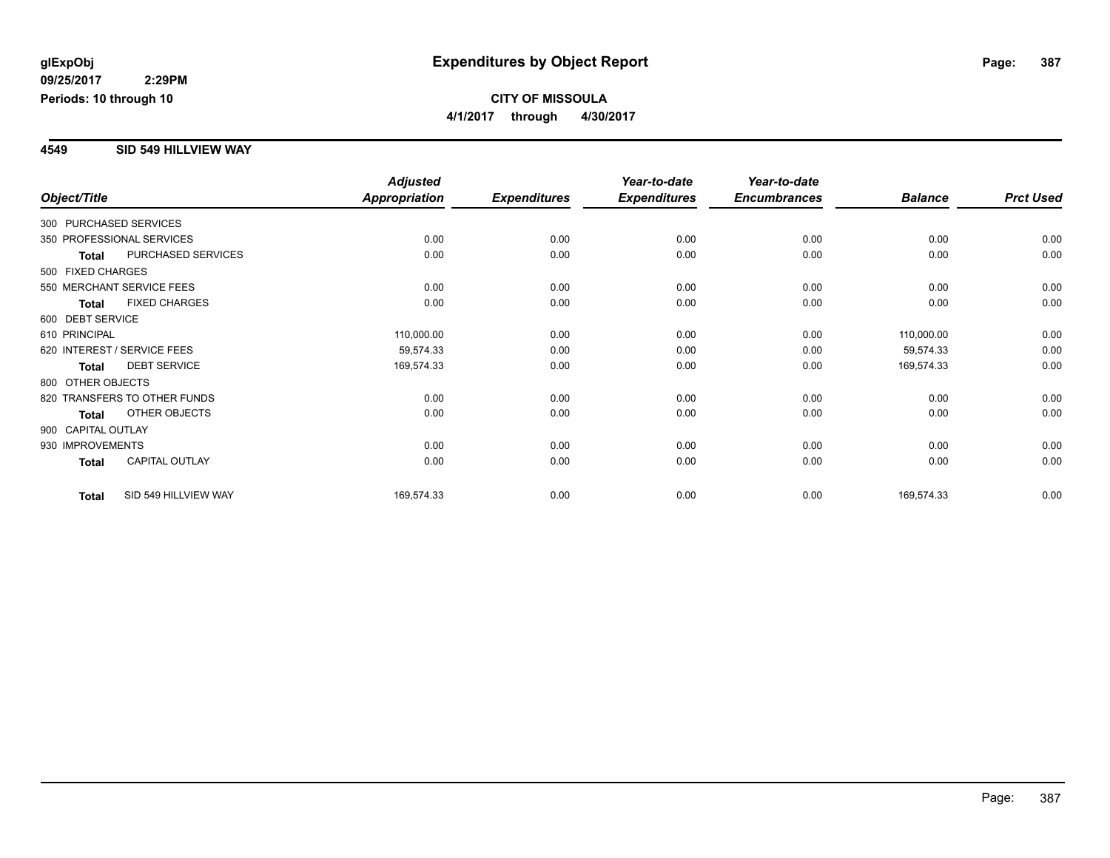#### **4549 SID 549 HILLVIEW WAY**

|                        |                              | <b>Adjusted</b>      |                     | Year-to-date        | Year-to-date        |                |                  |
|------------------------|------------------------------|----------------------|---------------------|---------------------|---------------------|----------------|------------------|
| Object/Title           |                              | <b>Appropriation</b> | <b>Expenditures</b> | <b>Expenditures</b> | <b>Encumbrances</b> | <b>Balance</b> | <b>Prct Used</b> |
| 300 PURCHASED SERVICES |                              |                      |                     |                     |                     |                |                  |
|                        | 350 PROFESSIONAL SERVICES    | 0.00                 | 0.00                | 0.00                | 0.00                | 0.00           | 0.00             |
| <b>Total</b>           | PURCHASED SERVICES           | 0.00                 | 0.00                | 0.00                | 0.00                | 0.00           | 0.00             |
| 500 FIXED CHARGES      |                              |                      |                     |                     |                     |                |                  |
|                        | 550 MERCHANT SERVICE FEES    | 0.00                 | 0.00                | 0.00                | 0.00                | 0.00           | 0.00             |
| <b>Total</b>           | <b>FIXED CHARGES</b>         | 0.00                 | 0.00                | 0.00                | 0.00                | 0.00           | 0.00             |
| 600 DEBT SERVICE       |                              |                      |                     |                     |                     |                |                  |
| 610 PRINCIPAL          |                              | 110,000.00           | 0.00                | 0.00                | 0.00                | 110,000.00     | 0.00             |
|                        | 620 INTEREST / SERVICE FEES  | 59,574.33            | 0.00                | 0.00                | 0.00                | 59,574.33      | 0.00             |
| <b>Total</b>           | <b>DEBT SERVICE</b>          | 169,574.33           | 0.00                | 0.00                | 0.00                | 169,574.33     | 0.00             |
| 800 OTHER OBJECTS      |                              |                      |                     |                     |                     |                |                  |
|                        | 820 TRANSFERS TO OTHER FUNDS | 0.00                 | 0.00                | 0.00                | 0.00                | 0.00           | 0.00             |
| Total                  | OTHER OBJECTS                | 0.00                 | 0.00                | 0.00                | 0.00                | 0.00           | 0.00             |
| 900 CAPITAL OUTLAY     |                              |                      |                     |                     |                     |                |                  |
| 930 IMPROVEMENTS       |                              | 0.00                 | 0.00                | 0.00                | 0.00                | 0.00           | 0.00             |
| Total                  | <b>CAPITAL OUTLAY</b>        | 0.00                 | 0.00                | 0.00                | 0.00                | 0.00           | 0.00             |
| <b>Total</b>           | SID 549 HILLVIEW WAY         | 169,574.33           | 0.00                | 0.00                | 0.00                | 169,574.33     | 0.00             |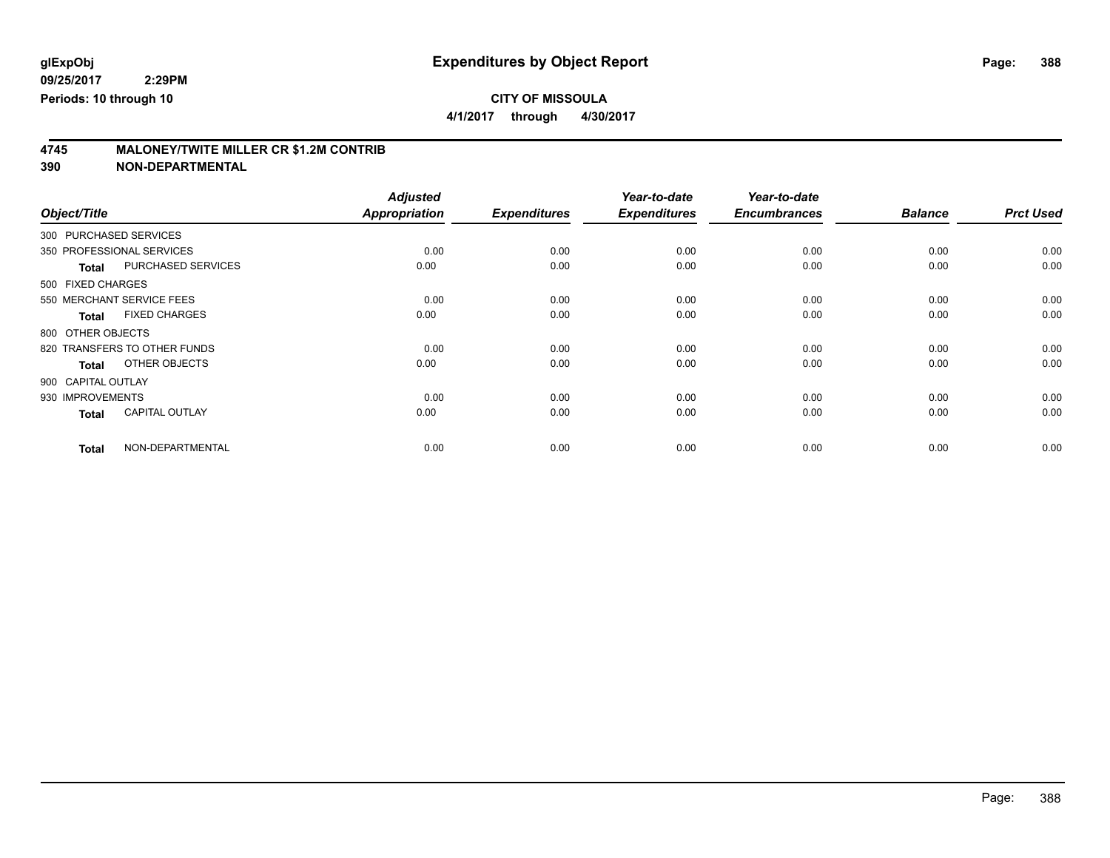**4/1/2017 through 4/30/2017**

# **4745 MALONEY/TWITE MILLER CR \$1.2M CONTRIB**

|                        |                              | <b>Adjusted</b>      |                     | Year-to-date        | Year-to-date        |                |                  |
|------------------------|------------------------------|----------------------|---------------------|---------------------|---------------------|----------------|------------------|
| Object/Title           |                              | <b>Appropriation</b> | <b>Expenditures</b> | <b>Expenditures</b> | <b>Encumbrances</b> | <b>Balance</b> | <b>Prct Used</b> |
| 300 PURCHASED SERVICES |                              |                      |                     |                     |                     |                |                  |
|                        | 350 PROFESSIONAL SERVICES    | 0.00                 | 0.00                | 0.00                | 0.00                | 0.00           | 0.00             |
| <b>Total</b>           | PURCHASED SERVICES           | 0.00                 | 0.00                | 0.00                | 0.00                | 0.00           | 0.00             |
| 500 FIXED CHARGES      |                              |                      |                     |                     |                     |                |                  |
|                        | 550 MERCHANT SERVICE FEES    | 0.00                 | 0.00                | 0.00                | 0.00                | 0.00           | 0.00             |
| <b>Total</b>           | <b>FIXED CHARGES</b>         | 0.00                 | 0.00                | 0.00                | 0.00                | 0.00           | 0.00             |
| 800 OTHER OBJECTS      |                              |                      |                     |                     |                     |                |                  |
|                        | 820 TRANSFERS TO OTHER FUNDS | 0.00                 | 0.00                | 0.00                | 0.00                | 0.00           | 0.00             |
| <b>Total</b>           | OTHER OBJECTS                | 0.00                 | 0.00                | 0.00                | 0.00                | 0.00           | 0.00             |
| 900 CAPITAL OUTLAY     |                              |                      |                     |                     |                     |                |                  |
| 930 IMPROVEMENTS       |                              | 0.00                 | 0.00                | 0.00                | 0.00                | 0.00           | 0.00             |
| <b>Total</b>           | <b>CAPITAL OUTLAY</b>        | 0.00                 | 0.00                | 0.00                | 0.00                | 0.00           | 0.00             |
| <b>Total</b>           | NON-DEPARTMENTAL             | 0.00                 | 0.00                | 0.00                | 0.00                | 0.00           | 0.00             |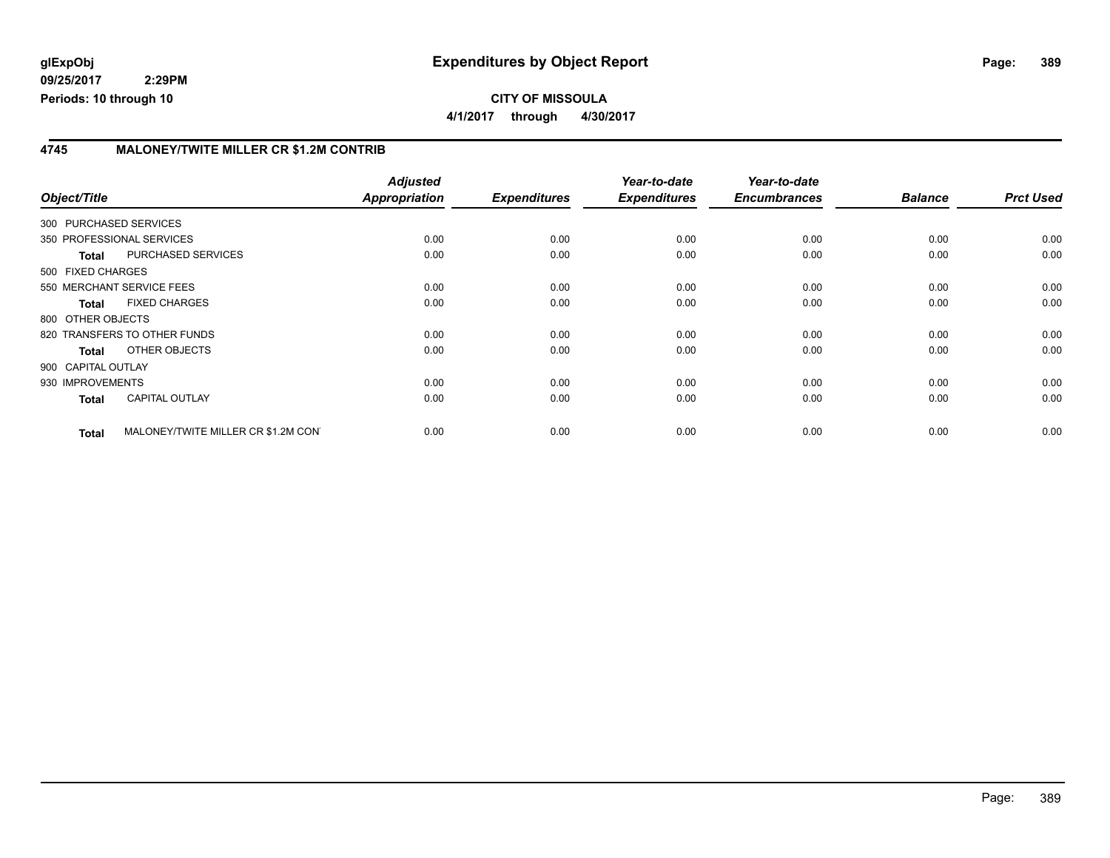#### **CITY OF MISSOULA 4/1/2017 through 4/30/2017**

#### **4745 MALONEY/TWITE MILLER CR \$1.2M CONTRIB**

| Object/Title           |                                     | <b>Adjusted</b><br><b>Appropriation</b> | <b>Expenditures</b> | Year-to-date<br><b>Expenditures</b> | Year-to-date<br><b>Encumbrances</b> | <b>Balance</b> | <b>Prct Used</b> |
|------------------------|-------------------------------------|-----------------------------------------|---------------------|-------------------------------------|-------------------------------------|----------------|------------------|
|                        |                                     |                                         |                     |                                     |                                     |                |                  |
| 300 PURCHASED SERVICES |                                     |                                         |                     |                                     |                                     |                |                  |
|                        | 350 PROFESSIONAL SERVICES           | 0.00                                    | 0.00                | 0.00                                | 0.00                                | 0.00           | 0.00             |
| <b>Total</b>           | <b>PURCHASED SERVICES</b>           | 0.00                                    | 0.00                | 0.00                                | 0.00                                | 0.00           | 0.00             |
| 500 FIXED CHARGES      |                                     |                                         |                     |                                     |                                     |                |                  |
|                        | 550 MERCHANT SERVICE FEES           | 0.00                                    | 0.00                | 0.00                                | 0.00                                | 0.00           | 0.00             |
| <b>Total</b>           | <b>FIXED CHARGES</b>                | 0.00                                    | 0.00                | 0.00                                | 0.00                                | 0.00           | 0.00             |
| 800 OTHER OBJECTS      |                                     |                                         |                     |                                     |                                     |                |                  |
|                        | 820 TRANSFERS TO OTHER FUNDS        | 0.00                                    | 0.00                | 0.00                                | 0.00                                | 0.00           | 0.00             |
| Total                  | OTHER OBJECTS                       | 0.00                                    | 0.00                | 0.00                                | 0.00                                | 0.00           | 0.00             |
| 900 CAPITAL OUTLAY     |                                     |                                         |                     |                                     |                                     |                |                  |
| 930 IMPROVEMENTS       |                                     | 0.00                                    | 0.00                | 0.00                                | 0.00                                | 0.00           | 0.00             |
| <b>Total</b>           | <b>CAPITAL OUTLAY</b>               | 0.00                                    | 0.00                | 0.00                                | 0.00                                | 0.00           | 0.00             |
| <b>Total</b>           | MALONEY/TWITE MILLER CR \$1.2M CON' | 0.00                                    | 0.00                | 0.00                                | 0.00                                | 0.00           | 0.00             |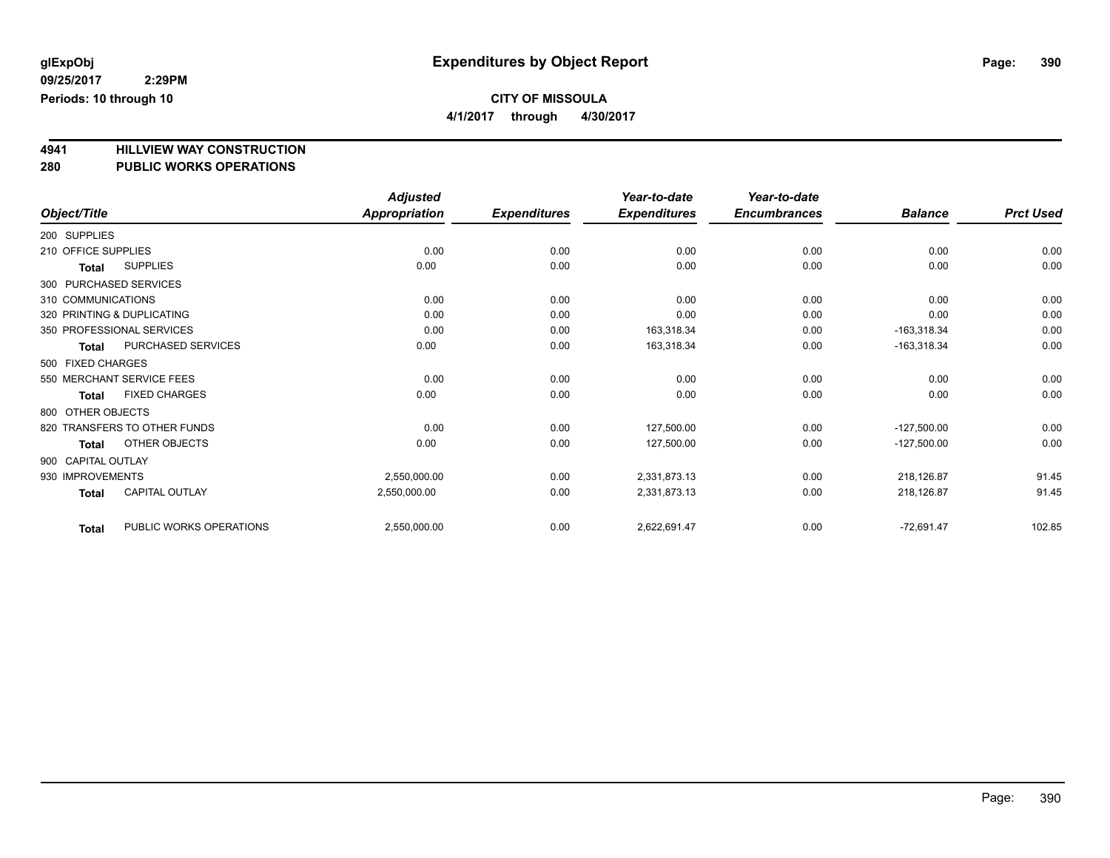**4/1/2017 through 4/30/2017**

# **4941 HILLVIEW WAY CONSTRUCTION**

#### **280 PUBLIC WORKS OPERATIONS**

|                                           | <b>Adjusted</b>      |                     | Year-to-date        | Year-to-date        |                |                  |
|-------------------------------------------|----------------------|---------------------|---------------------|---------------------|----------------|------------------|
| Object/Title                              | <b>Appropriation</b> | <b>Expenditures</b> | <b>Expenditures</b> | <b>Encumbrances</b> | <b>Balance</b> | <b>Prct Used</b> |
| 200 SUPPLIES                              |                      |                     |                     |                     |                |                  |
| 210 OFFICE SUPPLIES                       | 0.00                 | 0.00                | 0.00                | 0.00                | 0.00           | 0.00             |
| <b>SUPPLIES</b><br><b>Total</b>           | 0.00                 | 0.00                | 0.00                | 0.00                | 0.00           | 0.00             |
| 300 PURCHASED SERVICES                    |                      |                     |                     |                     |                |                  |
| 310 COMMUNICATIONS                        | 0.00                 | 0.00                | 0.00                | 0.00                | 0.00           | 0.00             |
| 320 PRINTING & DUPLICATING                | 0.00                 | 0.00                | 0.00                | 0.00                | 0.00           | 0.00             |
| 350 PROFESSIONAL SERVICES                 | 0.00                 | 0.00                | 163,318.34          | 0.00                | $-163,318.34$  | 0.00             |
| <b>PURCHASED SERVICES</b><br><b>Total</b> | 0.00                 | 0.00                | 163,318.34          | 0.00                | $-163,318.34$  | 0.00             |
| 500 FIXED CHARGES                         |                      |                     |                     |                     |                |                  |
| 550 MERCHANT SERVICE FEES                 | 0.00                 | 0.00                | 0.00                | 0.00                | 0.00           | 0.00             |
| <b>FIXED CHARGES</b><br><b>Total</b>      | 0.00                 | 0.00                | 0.00                | 0.00                | 0.00           | 0.00             |
| 800 OTHER OBJECTS                         |                      |                     |                     |                     |                |                  |
| 820 TRANSFERS TO OTHER FUNDS              | 0.00                 | 0.00                | 127,500.00          | 0.00                | $-127,500.00$  | 0.00             |
| OTHER OBJECTS<br><b>Total</b>             | 0.00                 | 0.00                | 127,500.00          | 0.00                | $-127,500.00$  | 0.00             |
| 900 CAPITAL OUTLAY                        |                      |                     |                     |                     |                |                  |
| 930 IMPROVEMENTS                          | 2,550,000.00         | 0.00                | 2,331,873.13        | 0.00                | 218,126.87     | 91.45            |
| <b>CAPITAL OUTLAY</b><br><b>Total</b>     | 2,550,000.00         | 0.00                | 2,331,873.13        | 0.00                | 218,126.87     | 91.45            |
| PUBLIC WORKS OPERATIONS<br><b>Total</b>   | 2,550,000.00         | 0.00                | 2,622,691.47        | 0.00                | $-72,691.47$   | 102.85           |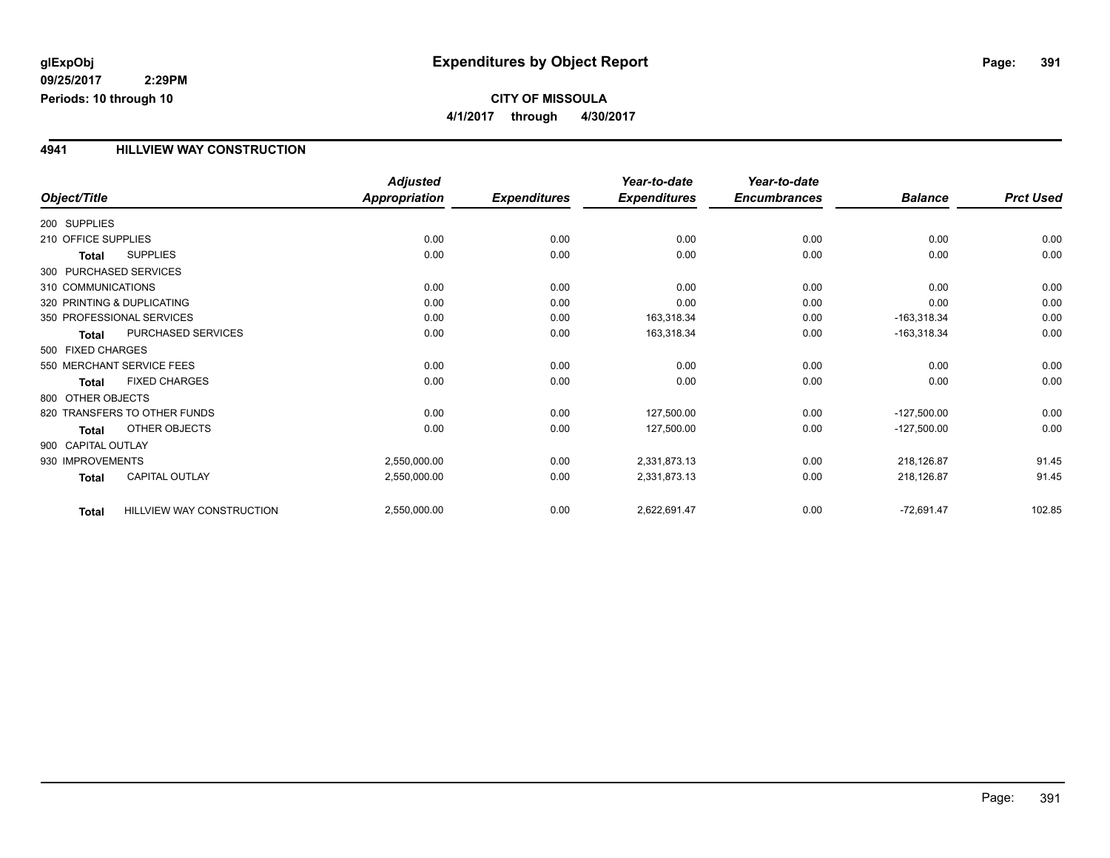#### **4941 HILLVIEW WAY CONSTRUCTION**

|                     |                              | <b>Adjusted</b>      |                     | Year-to-date        | Year-to-date        |                |                  |
|---------------------|------------------------------|----------------------|---------------------|---------------------|---------------------|----------------|------------------|
| Object/Title        |                              | <b>Appropriation</b> | <b>Expenditures</b> | <b>Expenditures</b> | <b>Encumbrances</b> | <b>Balance</b> | <b>Prct Used</b> |
| 200 SUPPLIES        |                              |                      |                     |                     |                     |                |                  |
| 210 OFFICE SUPPLIES |                              | 0.00                 | 0.00                | 0.00                | 0.00                | 0.00           | 0.00             |
| <b>Total</b>        | <b>SUPPLIES</b>              | 0.00                 | 0.00                | 0.00                | 0.00                | 0.00           | 0.00             |
|                     | 300 PURCHASED SERVICES       |                      |                     |                     |                     |                |                  |
| 310 COMMUNICATIONS  |                              | 0.00                 | 0.00                | 0.00                | 0.00                | 0.00           | 0.00             |
|                     | 320 PRINTING & DUPLICATING   | 0.00                 | 0.00                | 0.00                | 0.00                | 0.00           | 0.00             |
|                     | 350 PROFESSIONAL SERVICES    | 0.00                 | 0.00                | 163,318.34          | 0.00                | $-163,318.34$  | 0.00             |
| <b>Total</b>        | PURCHASED SERVICES           | 0.00                 | 0.00                | 163,318.34          | 0.00                | $-163,318.34$  | 0.00             |
| 500 FIXED CHARGES   |                              |                      |                     |                     |                     |                |                  |
|                     | 550 MERCHANT SERVICE FEES    | 0.00                 | 0.00                | 0.00                | 0.00                | 0.00           | 0.00             |
| <b>Total</b>        | <b>FIXED CHARGES</b>         | 0.00                 | 0.00                | 0.00                | 0.00                | 0.00           | 0.00             |
| 800 OTHER OBJECTS   |                              |                      |                     |                     |                     |                |                  |
|                     | 820 TRANSFERS TO OTHER FUNDS | 0.00                 | 0.00                | 127,500.00          | 0.00                | $-127,500.00$  | 0.00             |
| <b>Total</b>        | OTHER OBJECTS                | 0.00                 | 0.00                | 127,500.00          | 0.00                | $-127,500.00$  | 0.00             |
| 900 CAPITAL OUTLAY  |                              |                      |                     |                     |                     |                |                  |
| 930 IMPROVEMENTS    |                              | 2,550,000.00         | 0.00                | 2,331,873.13        | 0.00                | 218,126.87     | 91.45            |
| <b>Total</b>        | CAPITAL OUTLAY               | 2,550,000.00         | 0.00                | 2,331,873.13        | 0.00                | 218,126.87     | 91.45            |
| <b>Total</b>        | HILLVIEW WAY CONSTRUCTION    | 2,550,000.00         | 0.00                | 2,622,691.47        | 0.00                | $-72,691.47$   | 102.85           |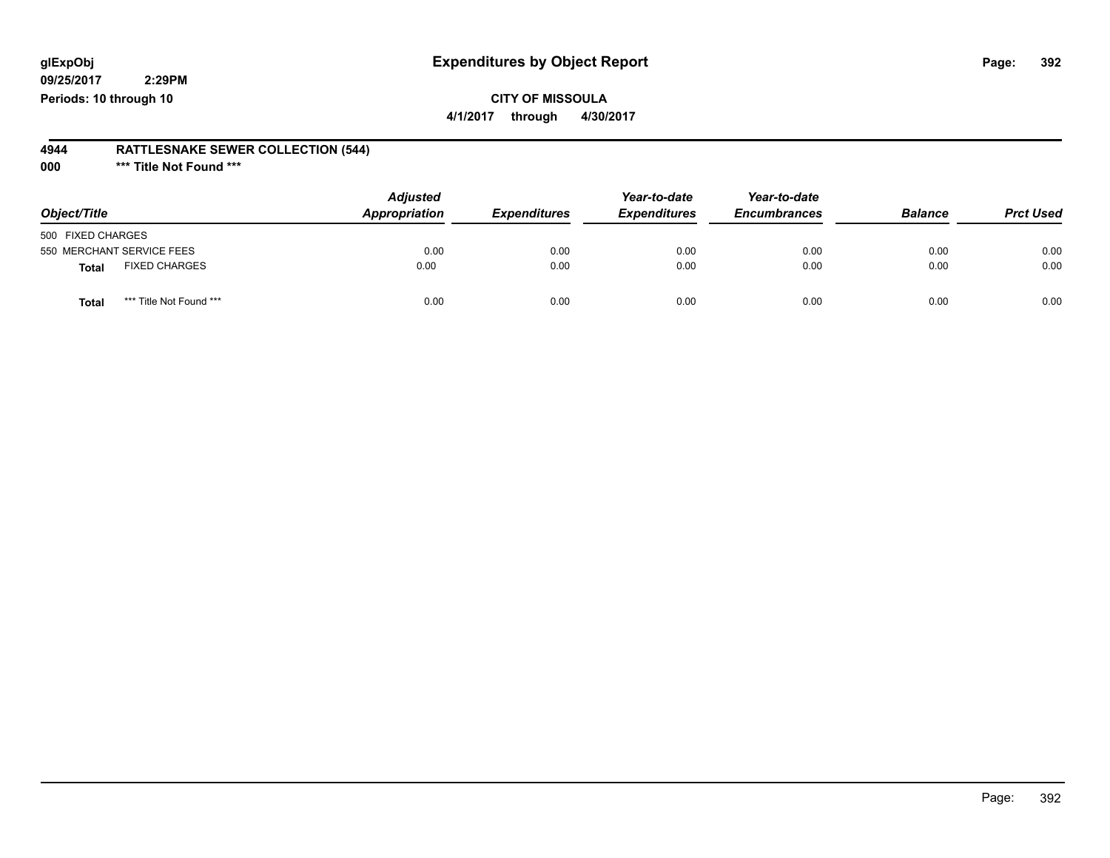### **CITY OF MISSOULA**

**4/1/2017 through 4/30/2017**

#### **4944 RATTLESNAKE SEWER COLLECTION (544)**

**000 \*\*\* Title Not Found \*\*\***

| Object/Title                            | <b>Adjusted</b><br>Appropriation | <b>Expenditures</b> | Year-to-date<br><b>Expenditures</b> | Year-to-date<br><b>Encumbrances</b> | <b>Balance</b> | <b>Prct Used</b> |
|-----------------------------------------|----------------------------------|---------------------|-------------------------------------|-------------------------------------|----------------|------------------|
| 500 FIXED CHARGES                       |                                  |                     |                                     |                                     |                |                  |
| 550 MERCHANT SERVICE FEES               | 0.00                             | 0.00                | 0.00                                | 0.00                                | 0.00           | 0.00             |
| <b>FIXED CHARGES</b><br>Total           | 0.00                             | 0.00                | 0.00                                | 0.00                                | 0.00           | 0.00             |
| *** Title Not Found ***<br><b>Total</b> | 0.00                             | 0.00                | 0.00                                | 0.00                                | 0.00           | 0.00             |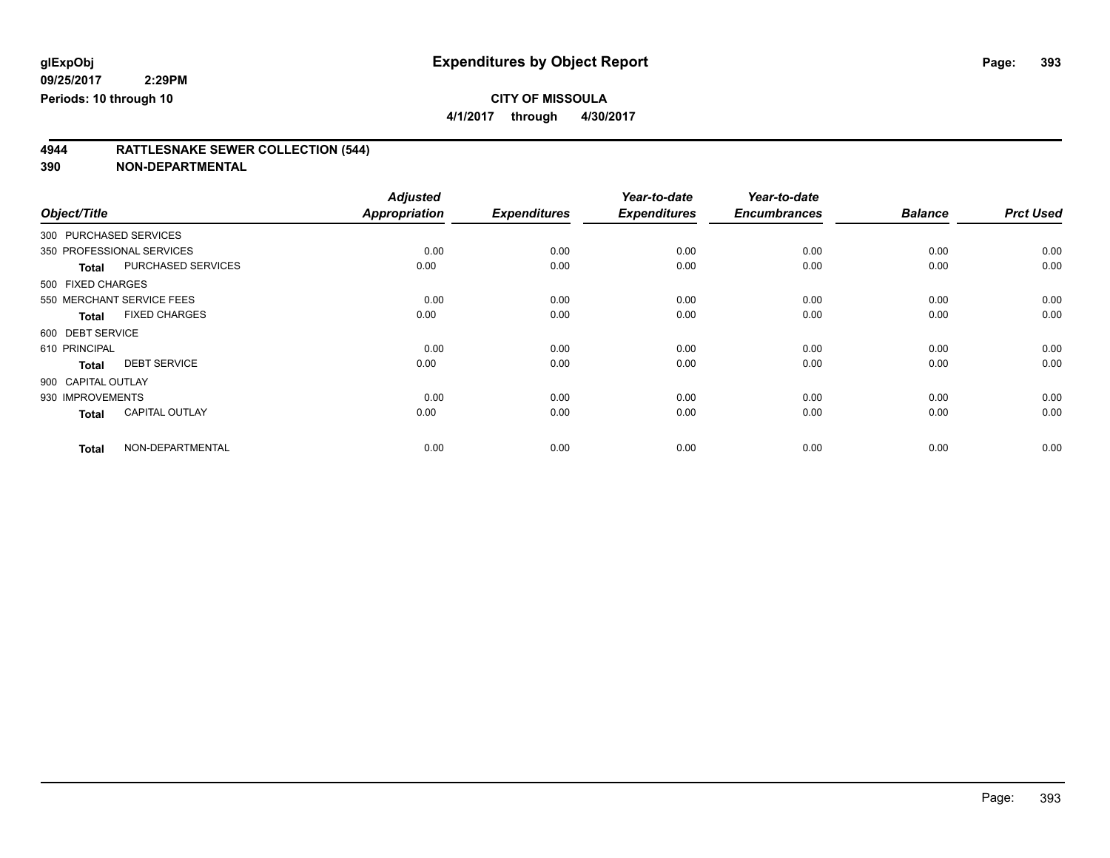**4/1/2017 through 4/30/2017**

## **4944 RATTLESNAKE SEWER COLLECTION (544)**

| Object/Title           |                           | <b>Adjusted</b><br><b>Appropriation</b> | <b>Expenditures</b> | Year-to-date<br><b>Expenditures</b> | Year-to-date<br><b>Encumbrances</b> | <b>Balance</b> | <b>Prct Used</b> |
|------------------------|---------------------------|-----------------------------------------|---------------------|-------------------------------------|-------------------------------------|----------------|------------------|
|                        |                           |                                         |                     |                                     |                                     |                |                  |
| 300 PURCHASED SERVICES |                           |                                         |                     |                                     |                                     |                |                  |
|                        | 350 PROFESSIONAL SERVICES | 0.00                                    | 0.00                | 0.00                                | 0.00                                | 0.00           | 0.00             |
| <b>Total</b>           | <b>PURCHASED SERVICES</b> | 0.00                                    | 0.00                | 0.00                                | 0.00                                | 0.00           | 0.00             |
| 500 FIXED CHARGES      |                           |                                         |                     |                                     |                                     |                |                  |
|                        | 550 MERCHANT SERVICE FEES | 0.00                                    | 0.00                | 0.00                                | 0.00                                | 0.00           | 0.00             |
| <b>Total</b>           | <b>FIXED CHARGES</b>      | 0.00                                    | 0.00                | 0.00                                | 0.00                                | 0.00           | 0.00             |
| 600 DEBT SERVICE       |                           |                                         |                     |                                     |                                     |                |                  |
| 610 PRINCIPAL          |                           | 0.00                                    | 0.00                | 0.00                                | 0.00                                | 0.00           | 0.00             |
| <b>Total</b>           | <b>DEBT SERVICE</b>       | 0.00                                    | 0.00                | 0.00                                | 0.00                                | 0.00           | 0.00             |
| 900 CAPITAL OUTLAY     |                           |                                         |                     |                                     |                                     |                |                  |
| 930 IMPROVEMENTS       |                           | 0.00                                    | 0.00                | 0.00                                | 0.00                                | 0.00           | 0.00             |
| <b>Total</b>           | <b>CAPITAL OUTLAY</b>     | 0.00                                    | 0.00                | 0.00                                | 0.00                                | 0.00           | 0.00             |
| <b>Total</b>           | NON-DEPARTMENTAL          | 0.00                                    | 0.00                | 0.00                                | 0.00                                | 0.00           | 0.00             |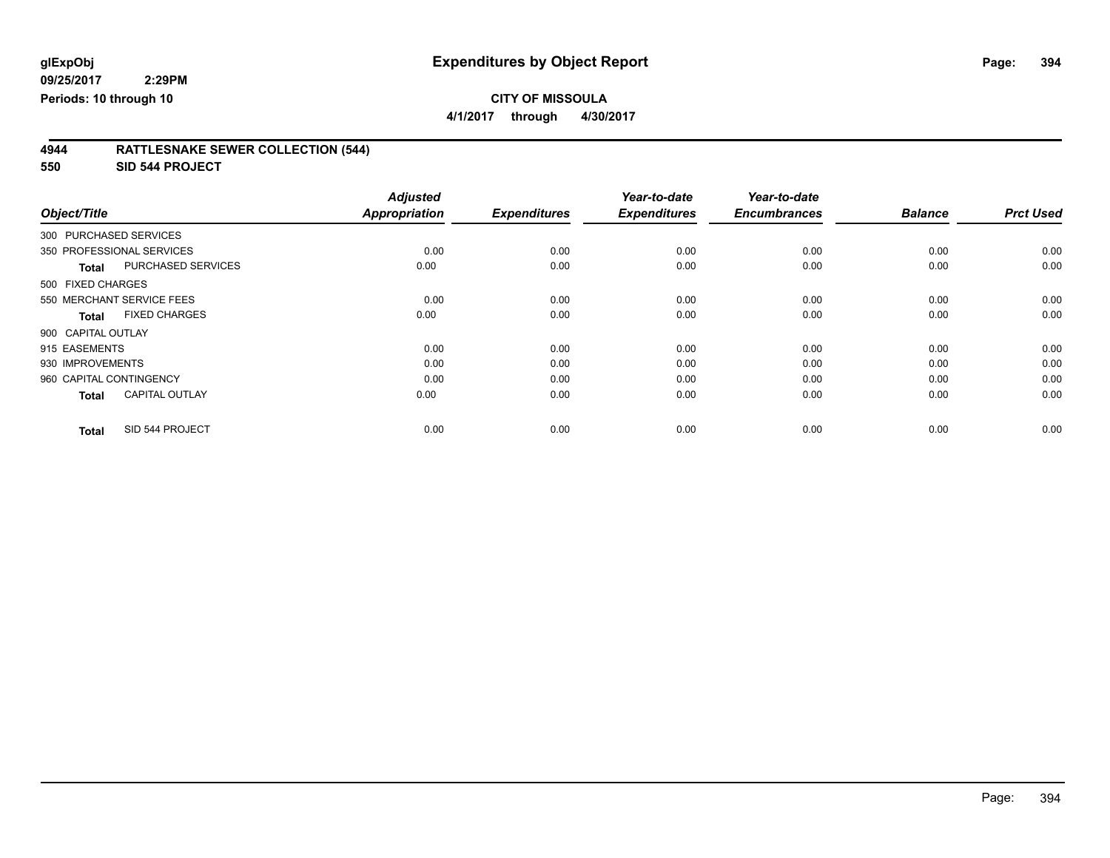**4/1/2017 through 4/30/2017**

#### **4944 RATTLESNAKE SEWER COLLECTION (544)**

**550 SID 544 PROJECT**

|                         |                           | <b>Adjusted</b> |                     | Year-to-date        | Year-to-date        |                |                  |
|-------------------------|---------------------------|-----------------|---------------------|---------------------|---------------------|----------------|------------------|
| Object/Title            |                           | Appropriation   | <b>Expenditures</b> | <b>Expenditures</b> | <b>Encumbrances</b> | <b>Balance</b> | <b>Prct Used</b> |
| 300 PURCHASED SERVICES  |                           |                 |                     |                     |                     |                |                  |
|                         | 350 PROFESSIONAL SERVICES | 0.00            | 0.00                | 0.00                | 0.00                | 0.00           | 0.00             |
| <b>Total</b>            | <b>PURCHASED SERVICES</b> | 0.00            | 0.00                | 0.00                | 0.00                | 0.00           | 0.00             |
| 500 FIXED CHARGES       |                           |                 |                     |                     |                     |                |                  |
|                         | 550 MERCHANT SERVICE FEES | 0.00            | 0.00                | 0.00                | 0.00                | 0.00           | 0.00             |
| <b>Total</b>            | <b>FIXED CHARGES</b>      | 0.00            | 0.00                | 0.00                | 0.00                | 0.00           | 0.00             |
| 900 CAPITAL OUTLAY      |                           |                 |                     |                     |                     |                |                  |
| 915 EASEMENTS           |                           | 0.00            | 0.00                | 0.00                | 0.00                | 0.00           | 0.00             |
| 930 IMPROVEMENTS        |                           | 0.00            | 0.00                | 0.00                | 0.00                | 0.00           | 0.00             |
| 960 CAPITAL CONTINGENCY |                           | 0.00            | 0.00                | 0.00                | 0.00                | 0.00           | 0.00             |
| <b>Total</b>            | <b>CAPITAL OUTLAY</b>     | 0.00            | 0.00                | 0.00                | 0.00                | 0.00           | 0.00             |
| <b>Total</b>            | SID 544 PROJECT           | 0.00            | 0.00                | 0.00                | 0.00                | 0.00           | 0.00             |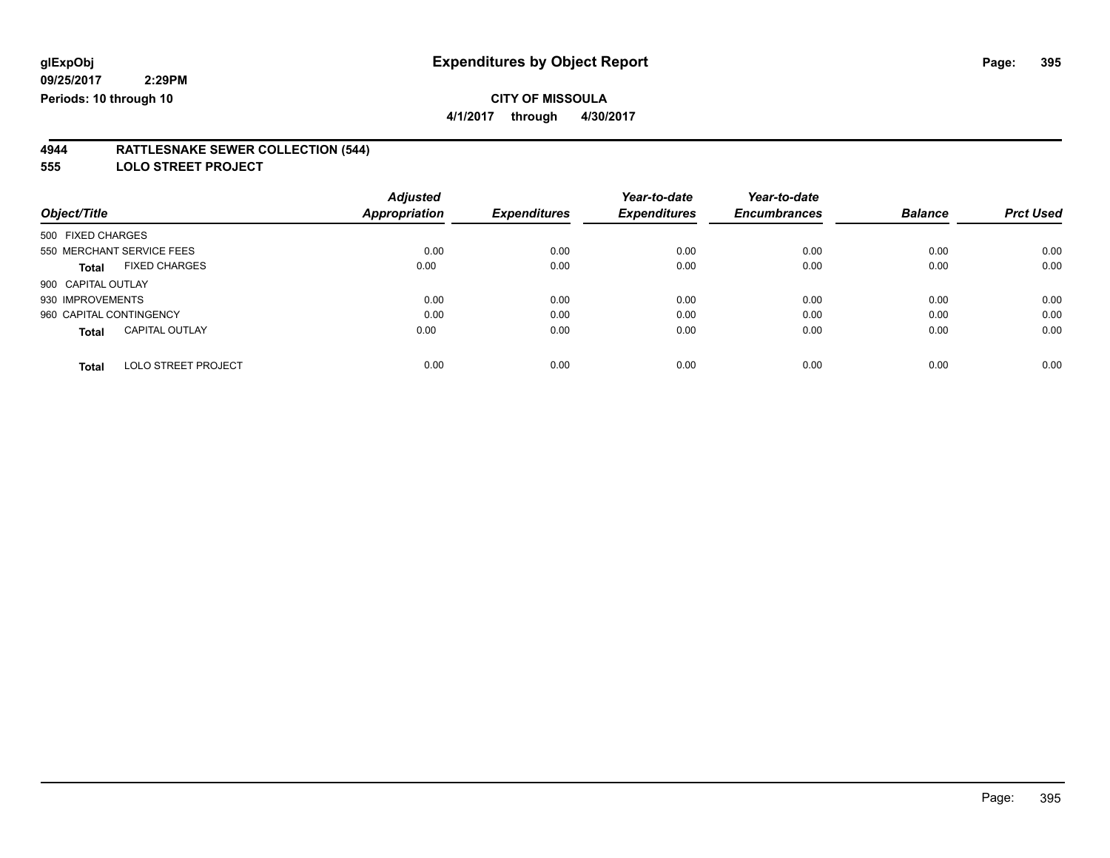**4/1/2017 through 4/30/2017**

#### **4944 RATTLESNAKE SEWER COLLECTION (544)**

**555 LOLO STREET PROJECT**

| Object/Title                               | <b>Adjusted</b><br>Appropriation | <b>Expenditures</b> | Year-to-date<br><b>Expenditures</b> | Year-to-date<br><b>Encumbrances</b> | <b>Balance</b> | <b>Prct Used</b> |
|--------------------------------------------|----------------------------------|---------------------|-------------------------------------|-------------------------------------|----------------|------------------|
| 500 FIXED CHARGES                          |                                  |                     |                                     |                                     |                |                  |
| 550 MERCHANT SERVICE FEES                  | 0.00                             | 0.00                | 0.00                                | 0.00                                | 0.00           | 0.00             |
| <b>FIXED CHARGES</b><br><b>Total</b>       | 0.00                             | 0.00                | 0.00                                | 0.00                                | 0.00           | 0.00             |
| 900 CAPITAL OUTLAY                         |                                  |                     |                                     |                                     |                |                  |
| 930 IMPROVEMENTS                           | 0.00                             | 0.00                | 0.00                                | 0.00                                | 0.00           | 0.00             |
| 960 CAPITAL CONTINGENCY                    | 0.00                             | 0.00                | 0.00                                | 0.00                                | 0.00           | 0.00             |
| <b>CAPITAL OUTLAY</b><br><b>Total</b>      | 0.00                             | 0.00                | 0.00                                | 0.00                                | 0.00           | 0.00             |
| <b>LOLO STREET PROJECT</b><br><b>Total</b> | 0.00                             | 0.00                | 0.00                                | 0.00                                | 0.00           | 0.00             |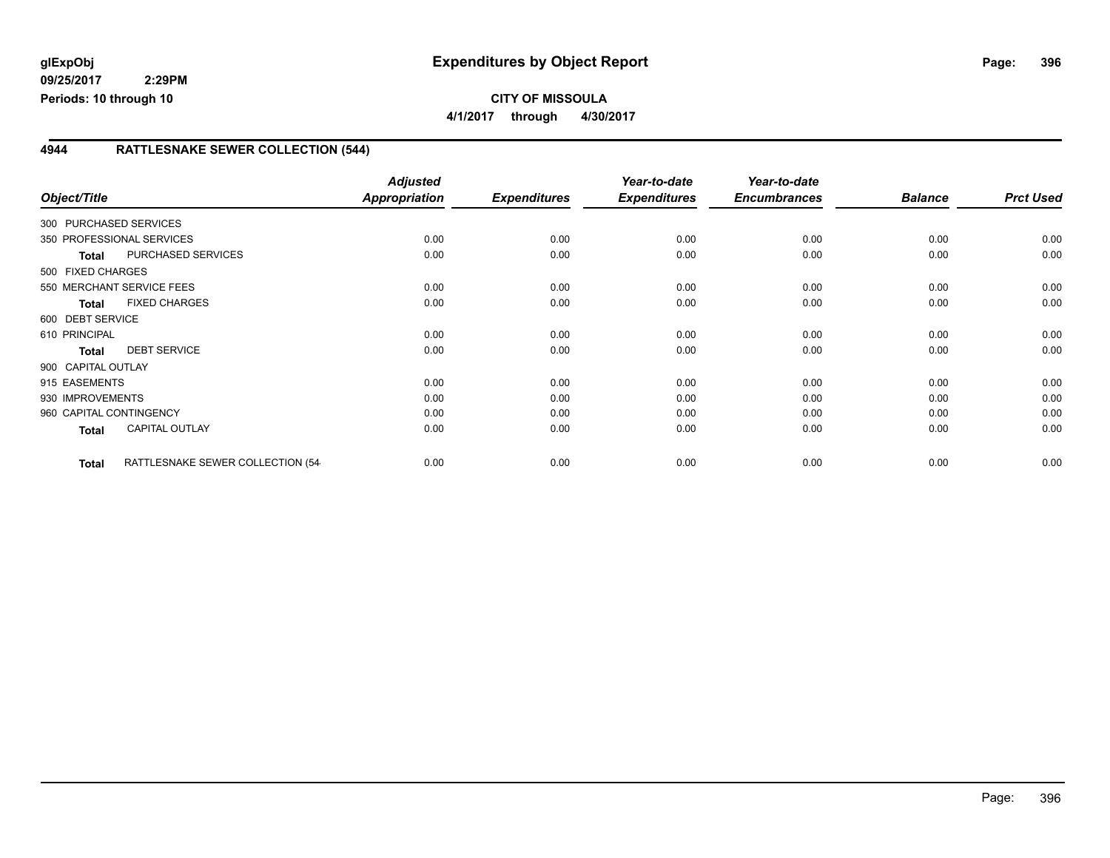#### **4944 RATTLESNAKE SEWER COLLECTION (544)**

| Object/Title              |                                  | <b>Adjusted</b><br><b>Appropriation</b> | <b>Expenditures</b> | Year-to-date<br><b>Expenditures</b> | Year-to-date<br><b>Encumbrances</b> | <b>Balance</b> | <b>Prct Used</b> |
|---------------------------|----------------------------------|-----------------------------------------|---------------------|-------------------------------------|-------------------------------------|----------------|------------------|
| 300 PURCHASED SERVICES    |                                  |                                         |                     |                                     |                                     |                |                  |
| 350 PROFESSIONAL SERVICES |                                  | 0.00                                    | 0.00                | 0.00                                | 0.00                                | 0.00           | 0.00             |
| <b>Total</b>              | <b>PURCHASED SERVICES</b>        | 0.00                                    | 0.00                | 0.00                                | 0.00                                | 0.00           | 0.00             |
| 500 FIXED CHARGES         |                                  |                                         |                     |                                     |                                     |                |                  |
|                           | 550 MERCHANT SERVICE FEES        | 0.00                                    | 0.00                | 0.00                                | 0.00                                | 0.00           | 0.00             |
| <b>Total</b>              | <b>FIXED CHARGES</b>             | 0.00                                    | 0.00                | 0.00                                | 0.00                                | 0.00           | 0.00             |
| 600 DEBT SERVICE          |                                  |                                         |                     |                                     |                                     |                |                  |
| 610 PRINCIPAL             |                                  | 0.00                                    | 0.00                | 0.00                                | 0.00                                | 0.00           | 0.00             |
| <b>Total</b>              | <b>DEBT SERVICE</b>              | 0.00                                    | 0.00                | 0.00                                | 0.00                                | 0.00           | 0.00             |
| 900 CAPITAL OUTLAY        |                                  |                                         |                     |                                     |                                     |                |                  |
| 915 EASEMENTS             |                                  | 0.00                                    | 0.00                | 0.00                                | 0.00                                | 0.00           | 0.00             |
| 930 IMPROVEMENTS          |                                  | 0.00                                    | 0.00                | 0.00                                | 0.00                                | 0.00           | 0.00             |
| 960 CAPITAL CONTINGENCY   |                                  | 0.00                                    | 0.00                | 0.00                                | 0.00                                | 0.00           | 0.00             |
| Total                     | <b>CAPITAL OUTLAY</b>            | 0.00                                    | 0.00                | 0.00                                | 0.00                                | 0.00           | 0.00             |
| <b>Total</b>              | RATTLESNAKE SEWER COLLECTION (54 | 0.00                                    | 0.00                | 0.00                                | 0.00                                | 0.00           | 0.00             |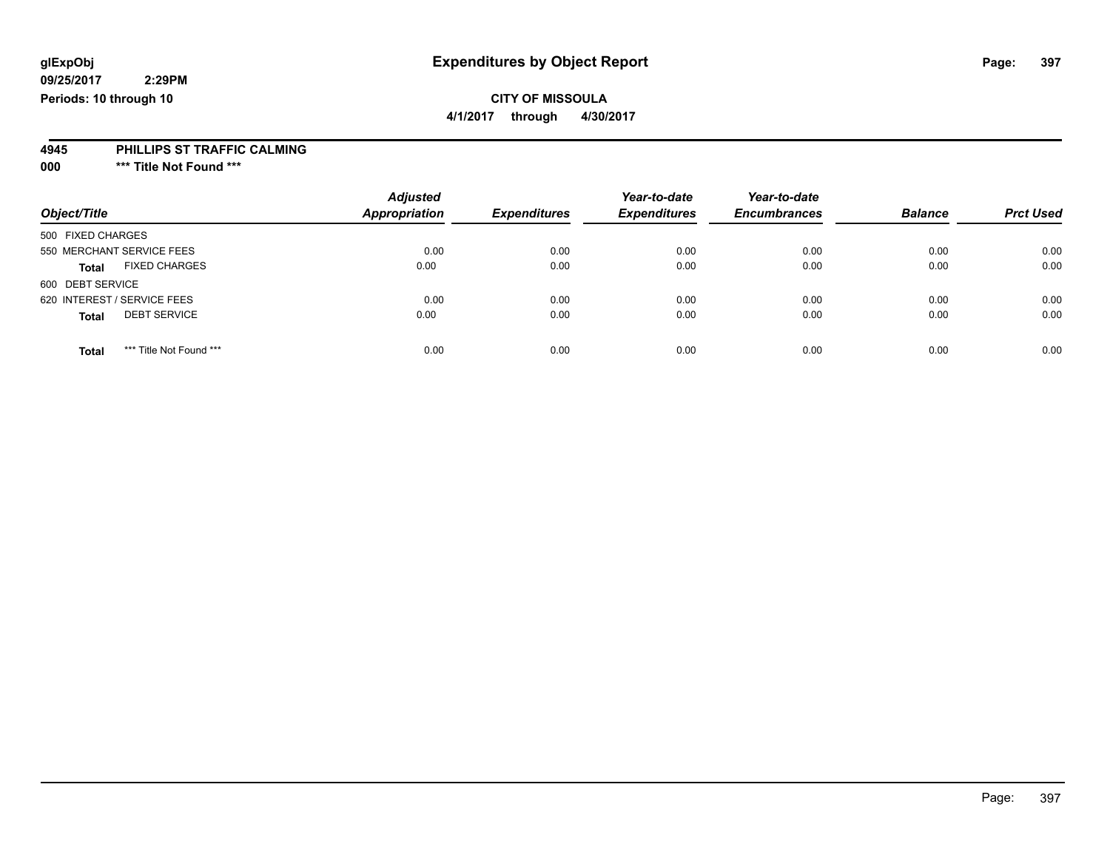### **CITY OF MISSOULA**

**4/1/2017 through 4/30/2017**

#### **4945 PHILLIPS ST TRAFFIC CALMING**

**000 \*\*\* Title Not Found \*\*\***

|                                         | <b>Adjusted</b>      |                     | Year-to-date        | Year-to-date        |                |                  |
|-----------------------------------------|----------------------|---------------------|---------------------|---------------------|----------------|------------------|
| Object/Title                            | <b>Appropriation</b> | <b>Expenditures</b> | <b>Expenditures</b> | <b>Encumbrances</b> | <b>Balance</b> | <b>Prct Used</b> |
| 500 FIXED CHARGES                       |                      |                     |                     |                     |                |                  |
| 550 MERCHANT SERVICE FEES               | 0.00                 | 0.00                | 0.00                | 0.00                | 0.00           | 0.00             |
| <b>FIXED CHARGES</b><br><b>Total</b>    | 0.00                 | 0.00                | 0.00                | 0.00                | 0.00           | 0.00             |
| 600 DEBT SERVICE                        |                      |                     |                     |                     |                |                  |
| 620 INTEREST / SERVICE FEES             | 0.00                 | 0.00                | 0.00                | 0.00                | 0.00           | 0.00             |
| <b>DEBT SERVICE</b><br><b>Total</b>     | 0.00                 | 0.00                | 0.00                | 0.00                | 0.00           | 0.00             |
| *** Title Not Found ***<br><b>Total</b> | 0.00                 | 0.00                | 0.00                | 0.00                | 0.00           | 0.00             |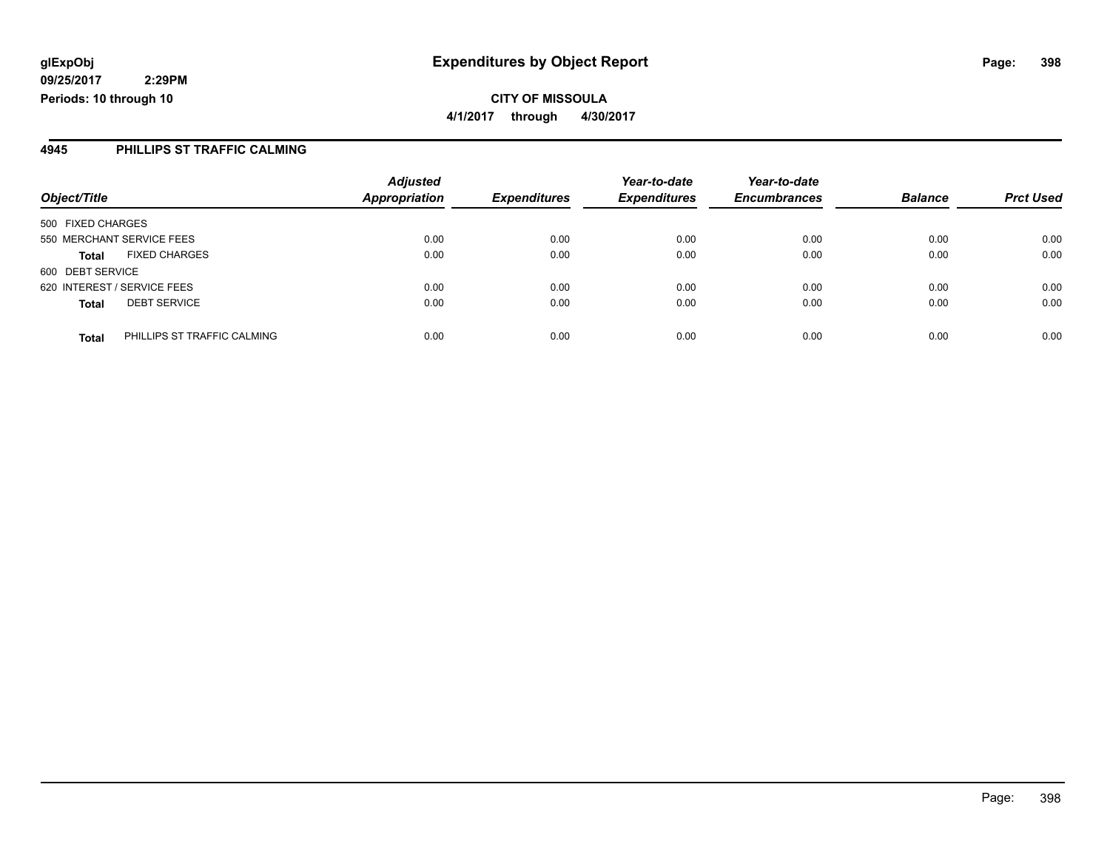**4945 PHILLIPS ST TRAFFIC CALMING**

| Object/Title                                | <b>Adjusted</b><br><b>Appropriation</b> | <b>Expenditures</b> | Year-to-date<br><b>Expenditures</b> | Year-to-date<br><b>Encumbrances</b> | <b>Balance</b> | <b>Prct Used</b> |
|---------------------------------------------|-----------------------------------------|---------------------|-------------------------------------|-------------------------------------|----------------|------------------|
| 500 FIXED CHARGES                           |                                         |                     |                                     |                                     |                |                  |
| 550 MERCHANT SERVICE FEES                   | 0.00                                    | 0.00                | 0.00                                | 0.00                                | 0.00           | 0.00             |
| <b>FIXED CHARGES</b><br><b>Total</b>        | 0.00                                    | 0.00                | 0.00                                | 0.00                                | 0.00           | 0.00             |
| 600 DEBT SERVICE                            |                                         |                     |                                     |                                     |                |                  |
| 620 INTEREST / SERVICE FEES                 | 0.00                                    | 0.00                | 0.00                                | 0.00                                | 0.00           | 0.00             |
| <b>DEBT SERVICE</b><br><b>Total</b>         | 0.00                                    | 0.00                | 0.00                                | 0.00                                | 0.00           | 0.00             |
| PHILLIPS ST TRAFFIC CALMING<br><b>Total</b> | 0.00                                    | 0.00                | 0.00                                | 0.00                                | 0.00           | 0.00             |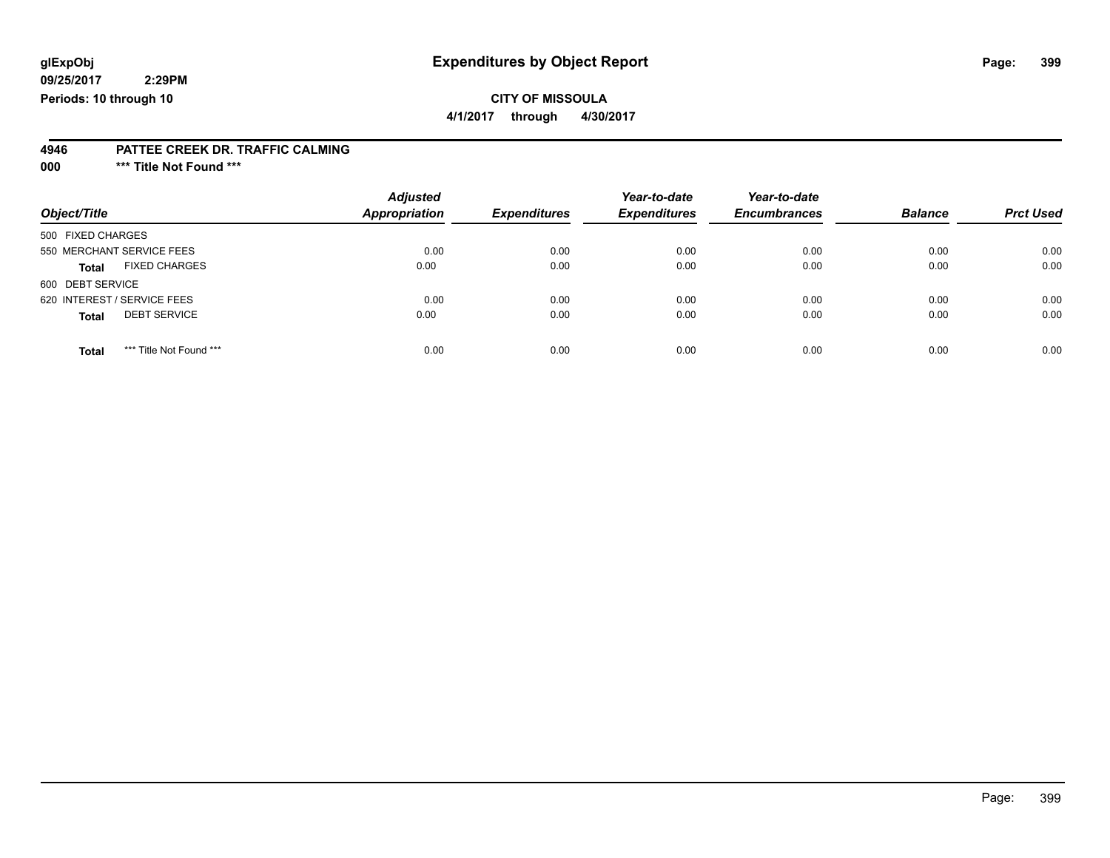### **CITY OF MISSOULA**

**4/1/2017 through 4/30/2017**

#### **4946 PATTEE CREEK DR. TRAFFIC CALMING**

**000 \*\*\* Title Not Found \*\*\***

| Object/Title                            | <b>Adjusted</b><br><b>Appropriation</b> | <b>Expenditures</b> | Year-to-date<br><b>Expenditures</b> | Year-to-date<br><b>Encumbrances</b> | <b>Balance</b> | <b>Prct Used</b> |
|-----------------------------------------|-----------------------------------------|---------------------|-------------------------------------|-------------------------------------|----------------|------------------|
| 500 FIXED CHARGES                       |                                         |                     |                                     |                                     |                |                  |
| 550 MERCHANT SERVICE FEES               | 0.00                                    | 0.00                | 0.00                                | 0.00                                | 0.00           | 0.00             |
| <b>FIXED CHARGES</b><br><b>Total</b>    | 0.00                                    | 0.00                | 0.00                                | 0.00                                | 0.00           | 0.00             |
| 600 DEBT SERVICE                        |                                         |                     |                                     |                                     |                |                  |
| 620 INTEREST / SERVICE FEES             | 0.00                                    | 0.00                | 0.00                                | 0.00                                | 0.00           | 0.00             |
| <b>DEBT SERVICE</b><br><b>Total</b>     | 0.00                                    | 0.00                | 0.00                                | 0.00                                | 0.00           | 0.00             |
| *** Title Not Found ***<br><b>Total</b> | 0.00                                    | 0.00                | 0.00                                | 0.00                                | 0.00           | 0.00             |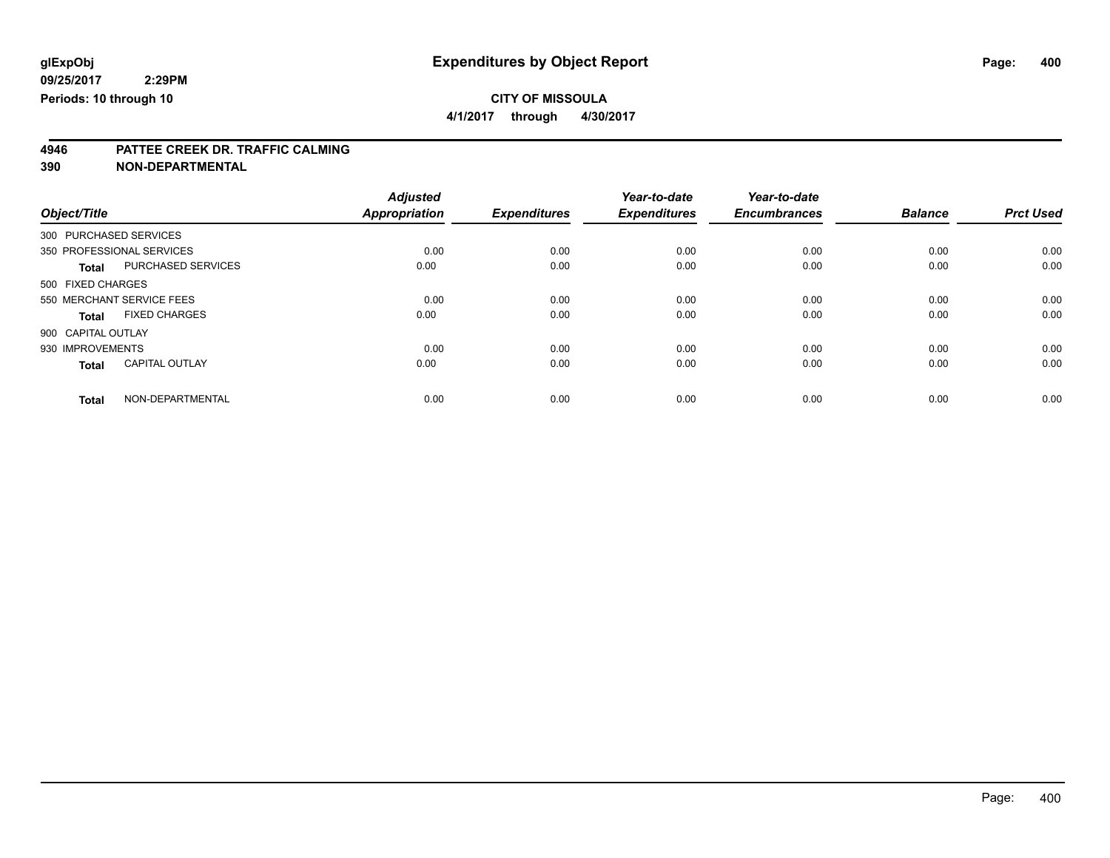**4/1/2017 through 4/30/2017**

# **4946 PATTEE CREEK DR. TRAFFIC CALMING**

**390 NON-DEPARTMENTAL**

|                           |                       | <b>Adjusted</b>      |                     | Year-to-date        | Year-to-date        |                |                  |
|---------------------------|-----------------------|----------------------|---------------------|---------------------|---------------------|----------------|------------------|
| Object/Title              |                       | <b>Appropriation</b> | <b>Expenditures</b> | <b>Expenditures</b> | <b>Encumbrances</b> | <b>Balance</b> | <b>Prct Used</b> |
| 300 PURCHASED SERVICES    |                       |                      |                     |                     |                     |                |                  |
| 350 PROFESSIONAL SERVICES |                       | 0.00                 | 0.00                | 0.00                | 0.00                | 0.00           | 0.00             |
| <b>Total</b>              | PURCHASED SERVICES    | 0.00                 | 0.00                | 0.00                | 0.00                | 0.00           | 0.00             |
| 500 FIXED CHARGES         |                       |                      |                     |                     |                     |                |                  |
| 550 MERCHANT SERVICE FEES |                       | 0.00                 | 0.00                | 0.00                | 0.00                | 0.00           | 0.00             |
| Total                     | <b>FIXED CHARGES</b>  | 0.00                 | 0.00                | 0.00                | 0.00                | 0.00           | 0.00             |
| 900 CAPITAL OUTLAY        |                       |                      |                     |                     |                     |                |                  |
| 930 IMPROVEMENTS          |                       | 0.00                 | 0.00                | 0.00                | 0.00                | 0.00           | 0.00             |
| <b>Total</b>              | <b>CAPITAL OUTLAY</b> | 0.00                 | 0.00                | 0.00                | 0.00                | 0.00           | 0.00             |
| <b>Total</b>              | NON-DEPARTMENTAL      | 0.00                 | 0.00                | 0.00                | 0.00                | 0.00           | 0.00             |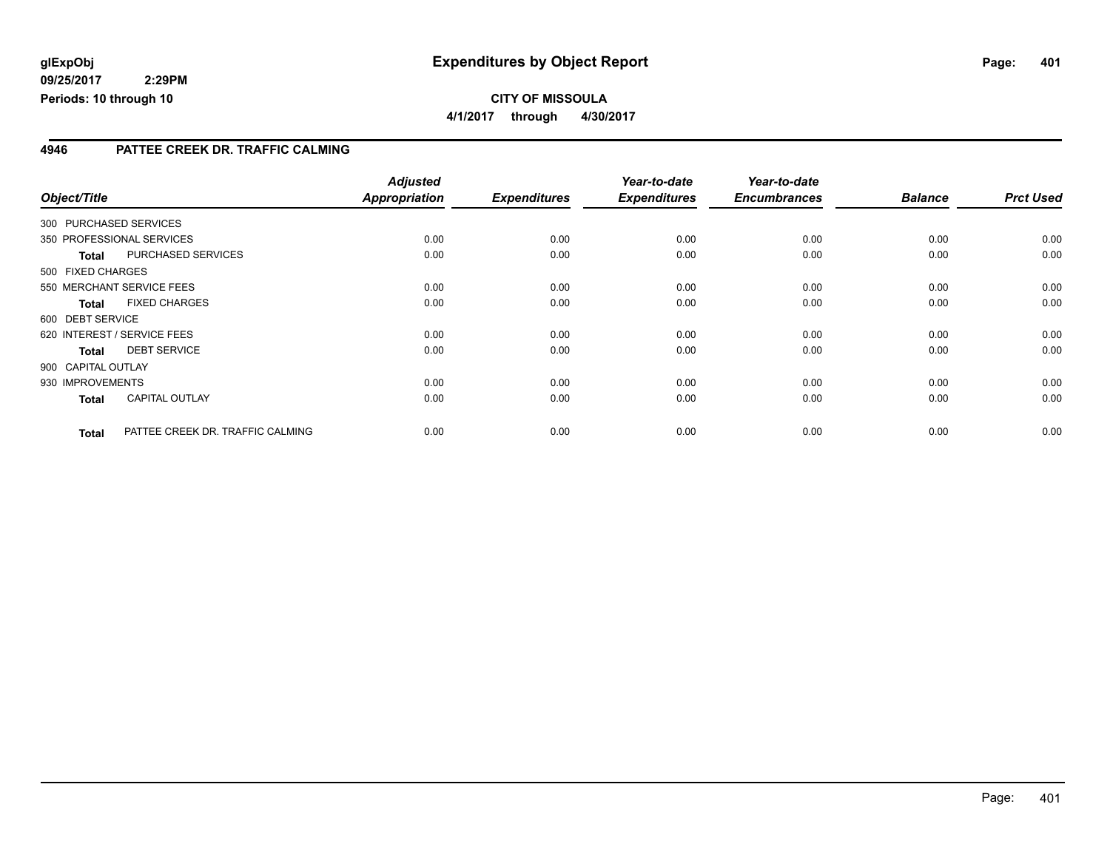### **CITY OF MISSOULA 4/1/2017 through 4/30/2017**

#### **4946 PATTEE CREEK DR. TRAFFIC CALMING**

| Object/Title       |                                  | <b>Adjusted</b><br><b>Appropriation</b> | <b>Expenditures</b> | Year-to-date<br><b>Expenditures</b> | Year-to-date<br><b>Encumbrances</b> | <b>Balance</b> | <b>Prct Used</b> |
|--------------------|----------------------------------|-----------------------------------------|---------------------|-------------------------------------|-------------------------------------|----------------|------------------|
|                    |                                  |                                         |                     |                                     |                                     |                |                  |
|                    | 300 PURCHASED SERVICES           |                                         |                     |                                     |                                     |                |                  |
|                    | 350 PROFESSIONAL SERVICES        | 0.00                                    | 0.00                | 0.00                                | 0.00                                | 0.00           | 0.00             |
| <b>Total</b>       | <b>PURCHASED SERVICES</b>        | 0.00                                    | 0.00                | 0.00                                | 0.00                                | 0.00           | 0.00             |
| 500 FIXED CHARGES  |                                  |                                         |                     |                                     |                                     |                |                  |
|                    | 550 MERCHANT SERVICE FEES        | 0.00                                    | 0.00                | 0.00                                | 0.00                                | 0.00           | 0.00             |
| <b>Total</b>       | <b>FIXED CHARGES</b>             | 0.00                                    | 0.00                | 0.00                                | 0.00                                | 0.00           | 0.00             |
| 600 DEBT SERVICE   |                                  |                                         |                     |                                     |                                     |                |                  |
|                    | 620 INTEREST / SERVICE FEES      | 0.00                                    | 0.00                | 0.00                                | 0.00                                | 0.00           | 0.00             |
| <b>Total</b>       | <b>DEBT SERVICE</b>              | 0.00                                    | 0.00                | 0.00                                | 0.00                                | 0.00           | 0.00             |
| 900 CAPITAL OUTLAY |                                  |                                         |                     |                                     |                                     |                |                  |
| 930 IMPROVEMENTS   |                                  | 0.00                                    | 0.00                | 0.00                                | 0.00                                | 0.00           | 0.00             |
| <b>Total</b>       | <b>CAPITAL OUTLAY</b>            | 0.00                                    | 0.00                | 0.00                                | 0.00                                | 0.00           | 0.00             |
| <b>Total</b>       | PATTEE CREEK DR. TRAFFIC CALMING | 0.00                                    | 0.00                | 0.00                                | 0.00                                | 0.00           | 0.00             |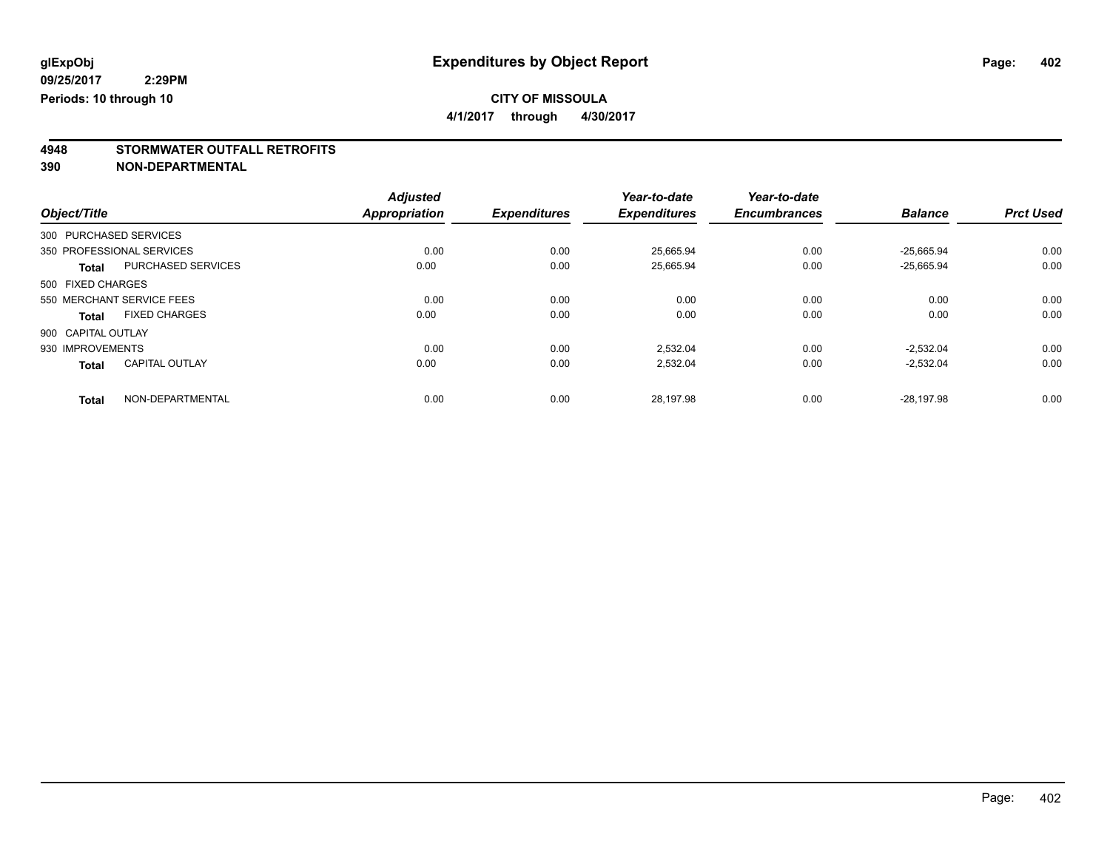**4/1/2017 through 4/30/2017**

# **4948 STORMWATER OUTFALL RETROFITS**

**390 NON-DEPARTMENTAL**

|                        |                           | <b>Adjusted</b>      |                     | Year-to-date        | Year-to-date        |                |                  |
|------------------------|---------------------------|----------------------|---------------------|---------------------|---------------------|----------------|------------------|
| Object/Title           |                           | <b>Appropriation</b> | <b>Expenditures</b> | <b>Expenditures</b> | <b>Encumbrances</b> | <b>Balance</b> | <b>Prct Used</b> |
| 300 PURCHASED SERVICES |                           |                      |                     |                     |                     |                |                  |
|                        | 350 PROFESSIONAL SERVICES | 0.00                 | 0.00                | 25,665.94           | 0.00                | $-25,665.94$   | 0.00             |
| <b>Total</b>           | <b>PURCHASED SERVICES</b> | 0.00                 | 0.00                | 25.665.94           | 0.00                | $-25.665.94$   | 0.00             |
| 500 FIXED CHARGES      |                           |                      |                     |                     |                     |                |                  |
|                        | 550 MERCHANT SERVICE FEES | 0.00                 | 0.00                | 0.00                | 0.00                | 0.00           | 0.00             |
| <b>Total</b>           | <b>FIXED CHARGES</b>      | 0.00                 | 0.00                | 0.00                | 0.00                | 0.00           | 0.00             |
| 900 CAPITAL OUTLAY     |                           |                      |                     |                     |                     |                |                  |
| 930 IMPROVEMENTS       |                           | 0.00                 | 0.00                | 2.532.04            | 0.00                | $-2.532.04$    | 0.00             |
| <b>Total</b>           | <b>CAPITAL OUTLAY</b>     | 0.00                 | 0.00                | 2,532.04            | 0.00                | $-2,532.04$    | 0.00             |
| <b>Total</b>           | NON-DEPARTMENTAL          | 0.00                 | 0.00                | 28.197.98           | 0.00                | $-28.197.98$   | 0.00             |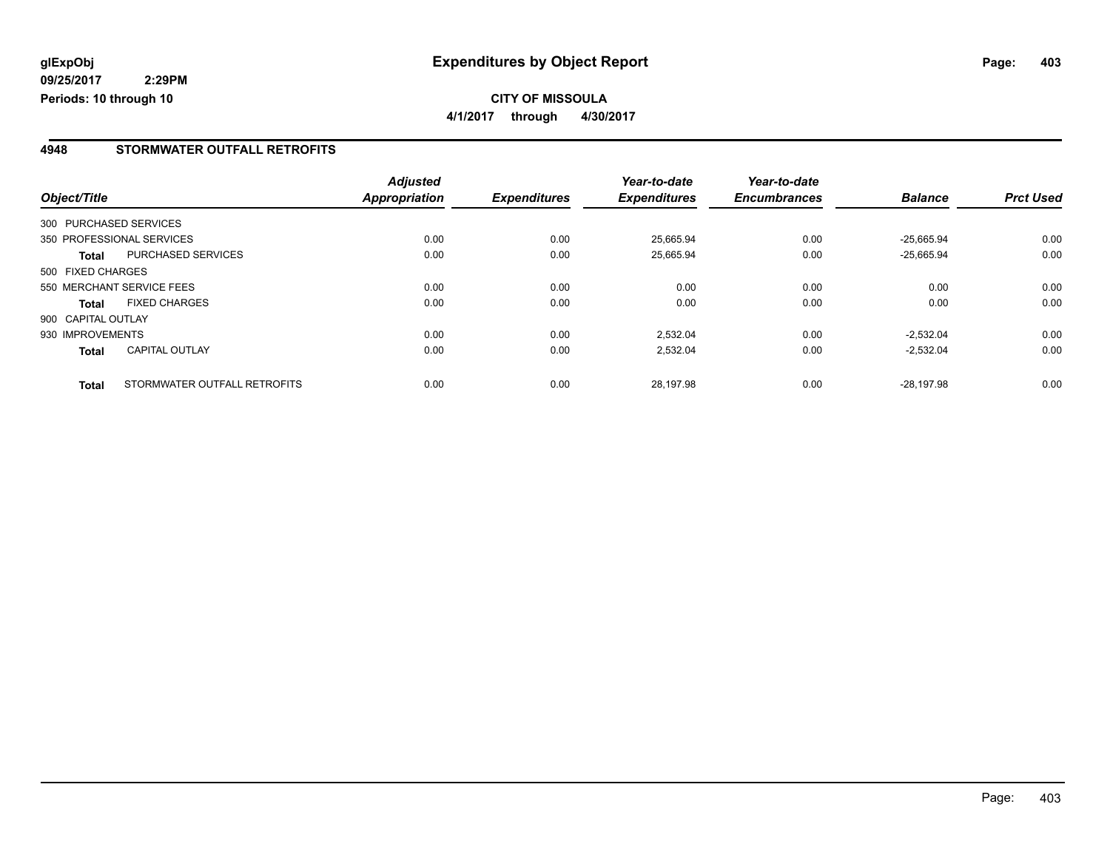### **CITY OF MISSOULA 4/1/2017 through 4/30/2017**

#### **4948 STORMWATER OUTFALL RETROFITS**

| Object/Title       |                              | <b>Adjusted</b><br>Appropriation | <b>Expenditures</b> | Year-to-date<br><b>Expenditures</b> | Year-to-date<br><b>Encumbrances</b> | <b>Balance</b> | <b>Prct Used</b> |
|--------------------|------------------------------|----------------------------------|---------------------|-------------------------------------|-------------------------------------|----------------|------------------|
|                    |                              |                                  |                     |                                     |                                     |                |                  |
|                    | 300 PURCHASED SERVICES       |                                  |                     |                                     |                                     |                |                  |
|                    | 350 PROFESSIONAL SERVICES    | 0.00                             | 0.00                | 25.665.94                           | 0.00                                | $-25.665.94$   | 0.00             |
| <b>Total</b>       | PURCHASED SERVICES           | 0.00                             | 0.00                | 25,665.94                           | 0.00                                | $-25,665.94$   | 0.00             |
| 500 FIXED CHARGES  |                              |                                  |                     |                                     |                                     |                |                  |
|                    | 550 MERCHANT SERVICE FEES    | 0.00                             | 0.00                | 0.00                                | 0.00                                | 0.00           | 0.00             |
| <b>Total</b>       | <b>FIXED CHARGES</b>         | 0.00                             | 0.00                | 0.00                                | 0.00                                | 0.00           | 0.00             |
| 900 CAPITAL OUTLAY |                              |                                  |                     |                                     |                                     |                |                  |
| 930 IMPROVEMENTS   |                              | 0.00                             | 0.00                | 2,532.04                            | 0.00                                | $-2.532.04$    | 0.00             |
| <b>Total</b>       | <b>CAPITAL OUTLAY</b>        | 0.00                             | 0.00                | 2,532.04                            | 0.00                                | $-2,532.04$    | 0.00             |
| <b>Total</b>       | STORMWATER OUTFALL RETROFITS | 0.00                             | 0.00                | 28.197.98                           | 0.00                                | $-28.197.98$   | 0.00             |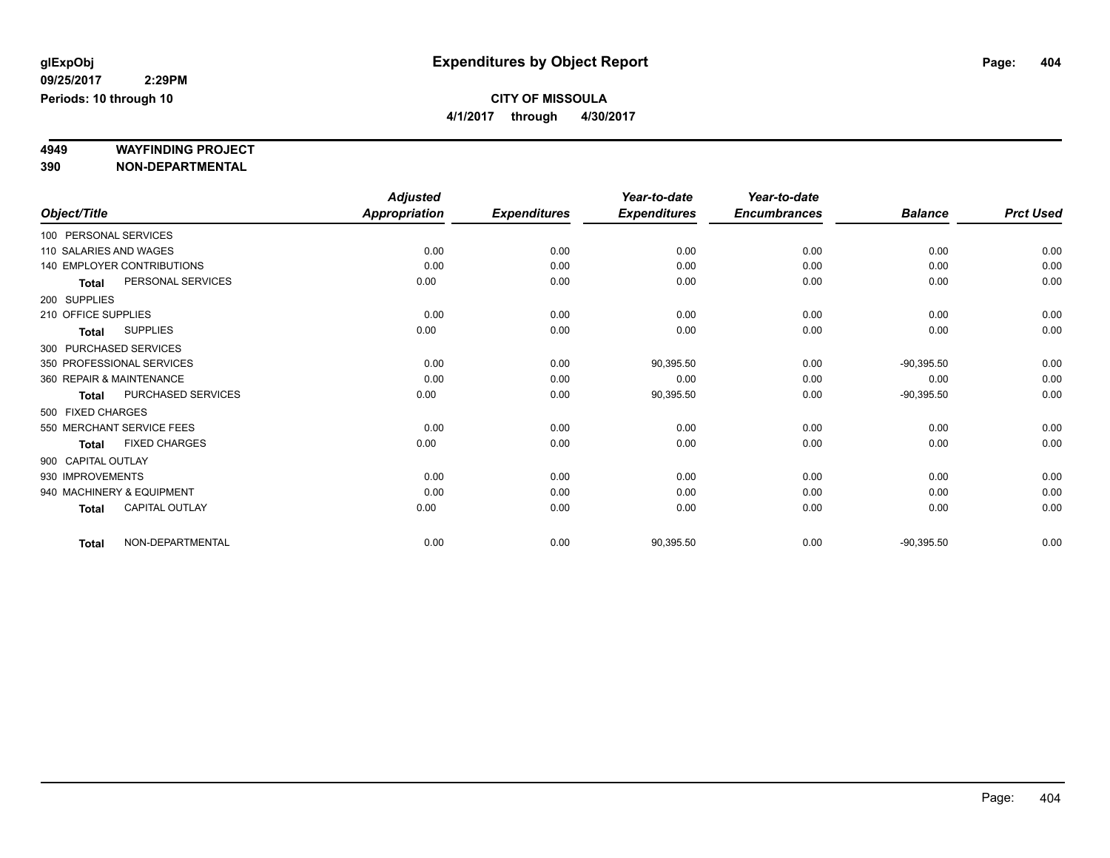**4/1/2017 through 4/30/2017**

# **4949 WAYFINDING PROJECT**

**390 NON-DEPARTMENTAL**

|                     |                            | <b>Adjusted</b>      |                     | Year-to-date        | Year-to-date        |                |                  |
|---------------------|----------------------------|----------------------|---------------------|---------------------|---------------------|----------------|------------------|
| Object/Title        |                            | <b>Appropriation</b> | <b>Expenditures</b> | <b>Expenditures</b> | <b>Encumbrances</b> | <b>Balance</b> | <b>Prct Used</b> |
|                     | 100 PERSONAL SERVICES      |                      |                     |                     |                     |                |                  |
|                     | 110 SALARIES AND WAGES     | 0.00                 | 0.00                | 0.00                | 0.00                | 0.00           | 0.00             |
|                     | 140 EMPLOYER CONTRIBUTIONS | 0.00                 | 0.00                | 0.00                | 0.00                | 0.00           | 0.00             |
| <b>Total</b>        | PERSONAL SERVICES          | 0.00                 | 0.00                | 0.00                | 0.00                | 0.00           | 0.00             |
| 200 SUPPLIES        |                            |                      |                     |                     |                     |                |                  |
| 210 OFFICE SUPPLIES |                            | 0.00                 | 0.00                | 0.00                | 0.00                | 0.00           | 0.00             |
| <b>Total</b>        | <b>SUPPLIES</b>            | 0.00                 | 0.00                | 0.00                | 0.00                | 0.00           | 0.00             |
|                     | 300 PURCHASED SERVICES     |                      |                     |                     |                     |                |                  |
|                     | 350 PROFESSIONAL SERVICES  | 0.00                 | 0.00                | 90,395.50           | 0.00                | $-90,395.50$   | 0.00             |
|                     | 360 REPAIR & MAINTENANCE   | 0.00                 | 0.00                | 0.00                | 0.00                | 0.00           | 0.00             |
| <b>Total</b>        | PURCHASED SERVICES         | 0.00                 | 0.00                | 90,395.50           | 0.00                | $-90,395.50$   | 0.00             |
| 500 FIXED CHARGES   |                            |                      |                     |                     |                     |                |                  |
|                     | 550 MERCHANT SERVICE FEES  | 0.00                 | 0.00                | 0.00                | 0.00                | 0.00           | 0.00             |
| <b>Total</b>        | <b>FIXED CHARGES</b>       | 0.00                 | 0.00                | 0.00                | 0.00                | 0.00           | 0.00             |
| 900 CAPITAL OUTLAY  |                            |                      |                     |                     |                     |                |                  |
| 930 IMPROVEMENTS    |                            | 0.00                 | 0.00                | 0.00                | 0.00                | 0.00           | 0.00             |
|                     | 940 MACHINERY & EQUIPMENT  | 0.00                 | 0.00                | 0.00                | 0.00                | 0.00           | 0.00             |
| <b>Total</b>        | <b>CAPITAL OUTLAY</b>      | 0.00                 | 0.00                | 0.00                | 0.00                | 0.00           | 0.00             |
| <b>Total</b>        | NON-DEPARTMENTAL           | 0.00                 | 0.00                | 90,395.50           | 0.00                | $-90,395.50$   | 0.00             |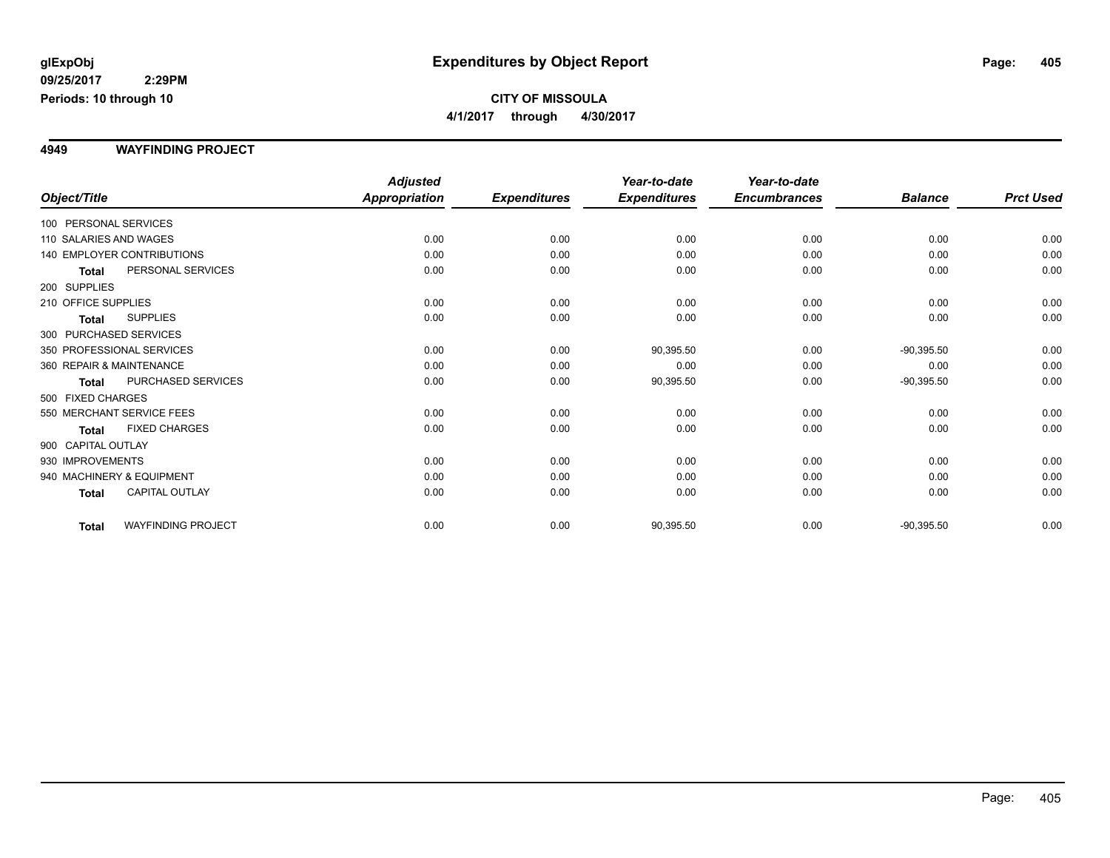#### **4949 WAYFINDING PROJECT**

|                           |                                   | <b>Adjusted</b> |                     | Year-to-date        | Year-to-date        |                |                  |
|---------------------------|-----------------------------------|-----------------|---------------------|---------------------|---------------------|----------------|------------------|
| Object/Title              |                                   | Appropriation   | <b>Expenditures</b> | <b>Expenditures</b> | <b>Encumbrances</b> | <b>Balance</b> | <b>Prct Used</b> |
| 100 PERSONAL SERVICES     |                                   |                 |                     |                     |                     |                |                  |
| 110 SALARIES AND WAGES    |                                   | 0.00            | 0.00                | 0.00                | 0.00                | 0.00           | 0.00             |
|                           | <b>140 EMPLOYER CONTRIBUTIONS</b> | 0.00            | 0.00                | 0.00                | 0.00                | 0.00           | 0.00             |
| <b>Total</b>              | PERSONAL SERVICES                 | 0.00            | 0.00                | 0.00                | 0.00                | 0.00           | 0.00             |
| 200 SUPPLIES              |                                   |                 |                     |                     |                     |                |                  |
| 210 OFFICE SUPPLIES       |                                   | 0.00            | 0.00                | 0.00                | 0.00                | 0.00           | 0.00             |
| Total                     | <b>SUPPLIES</b>                   | 0.00            | 0.00                | 0.00                | 0.00                | 0.00           | 0.00             |
| 300 PURCHASED SERVICES    |                                   |                 |                     |                     |                     |                |                  |
| 350 PROFESSIONAL SERVICES |                                   | 0.00            | 0.00                | 90,395.50           | 0.00                | $-90,395.50$   | 0.00             |
| 360 REPAIR & MAINTENANCE  |                                   | 0.00            | 0.00                | 0.00                | 0.00                | 0.00           | 0.00             |
| <b>Total</b>              | PURCHASED SERVICES                | 0.00            | 0.00                | 90,395.50           | 0.00                | $-90,395.50$   | 0.00             |
| 500 FIXED CHARGES         |                                   |                 |                     |                     |                     |                |                  |
| 550 MERCHANT SERVICE FEES |                                   | 0.00            | 0.00                | 0.00                | 0.00                | 0.00           | 0.00             |
| <b>Total</b>              | <b>FIXED CHARGES</b>              | 0.00            | 0.00                | 0.00                | 0.00                | 0.00           | 0.00             |
| 900 CAPITAL OUTLAY        |                                   |                 |                     |                     |                     |                |                  |
| 930 IMPROVEMENTS          |                                   | 0.00            | 0.00                | 0.00                | 0.00                | 0.00           | 0.00             |
| 940 MACHINERY & EQUIPMENT |                                   | 0.00            | 0.00                | 0.00                | 0.00                | 0.00           | 0.00             |
| <b>Total</b>              | <b>CAPITAL OUTLAY</b>             | 0.00            | 0.00                | 0.00                | 0.00                | 0.00           | 0.00             |
| <b>Total</b>              | <b>WAYFINDING PROJECT</b>         | 0.00            | 0.00                | 90,395.50           | 0.00                | $-90,395.50$   | 0.00             |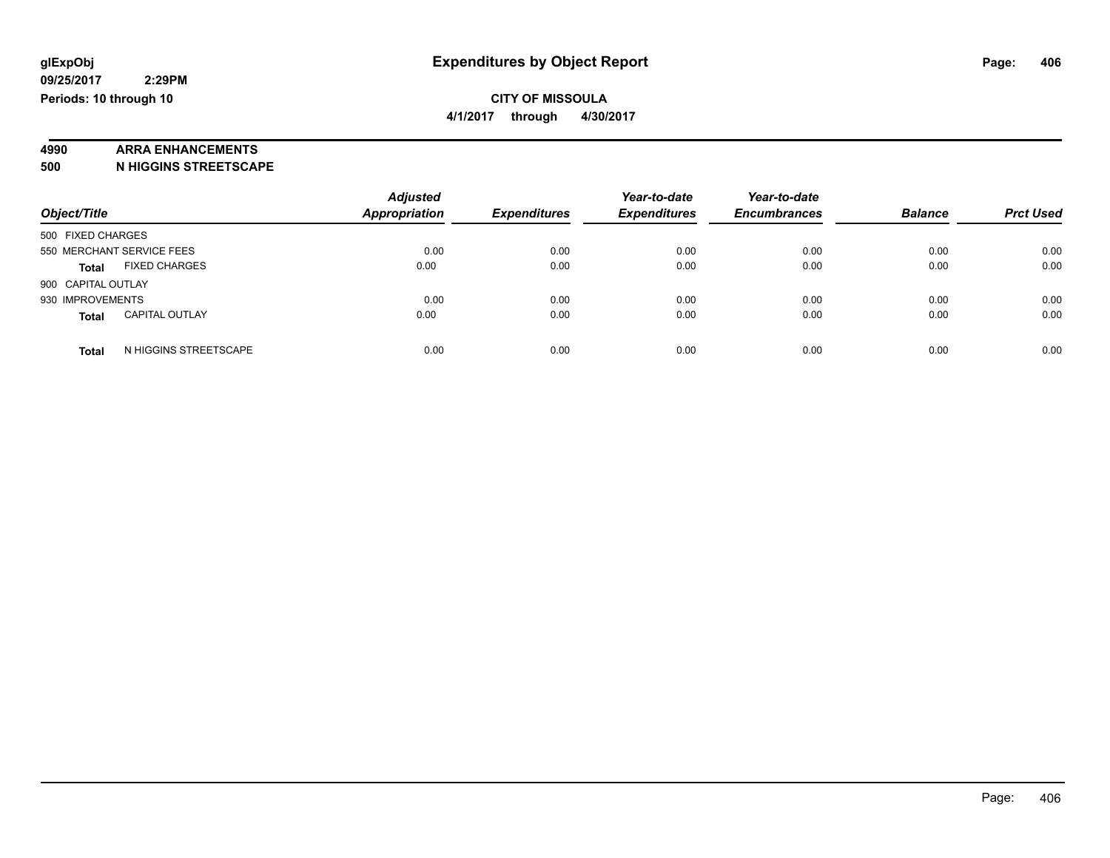### **4990 ARRA ENHANCEMENTS**

**500 N HIGGINS STREETSCAPE**

|                           |                       | <b>Adjusted</b>      |                     | Year-to-date        | Year-to-date        |                |                  |
|---------------------------|-----------------------|----------------------|---------------------|---------------------|---------------------|----------------|------------------|
| Object/Title              |                       | <b>Appropriation</b> | <b>Expenditures</b> | <b>Expenditures</b> | <b>Encumbrances</b> | <b>Balance</b> | <b>Prct Used</b> |
| 500 FIXED CHARGES         |                       |                      |                     |                     |                     |                |                  |
| 550 MERCHANT SERVICE FEES |                       | 0.00                 | 0.00                | 0.00                | 0.00                | 0.00           | 0.00             |
| <b>Total</b>              | <b>FIXED CHARGES</b>  | 0.00                 | 0.00                | 0.00                | 0.00                | 0.00           | 0.00             |
| 900 CAPITAL OUTLAY        |                       |                      |                     |                     |                     |                |                  |
| 930 IMPROVEMENTS          |                       | 0.00                 | 0.00                | 0.00                | 0.00                | 0.00           | 0.00             |
| <b>Total</b>              | <b>CAPITAL OUTLAY</b> | 0.00                 | 0.00                | 0.00                | 0.00                | 0.00           | 0.00             |
| <b>Total</b>              | N HIGGINS STREETSCAPE | 0.00                 | 0.00                | 0.00                | 0.00                | 0.00           | 0.00             |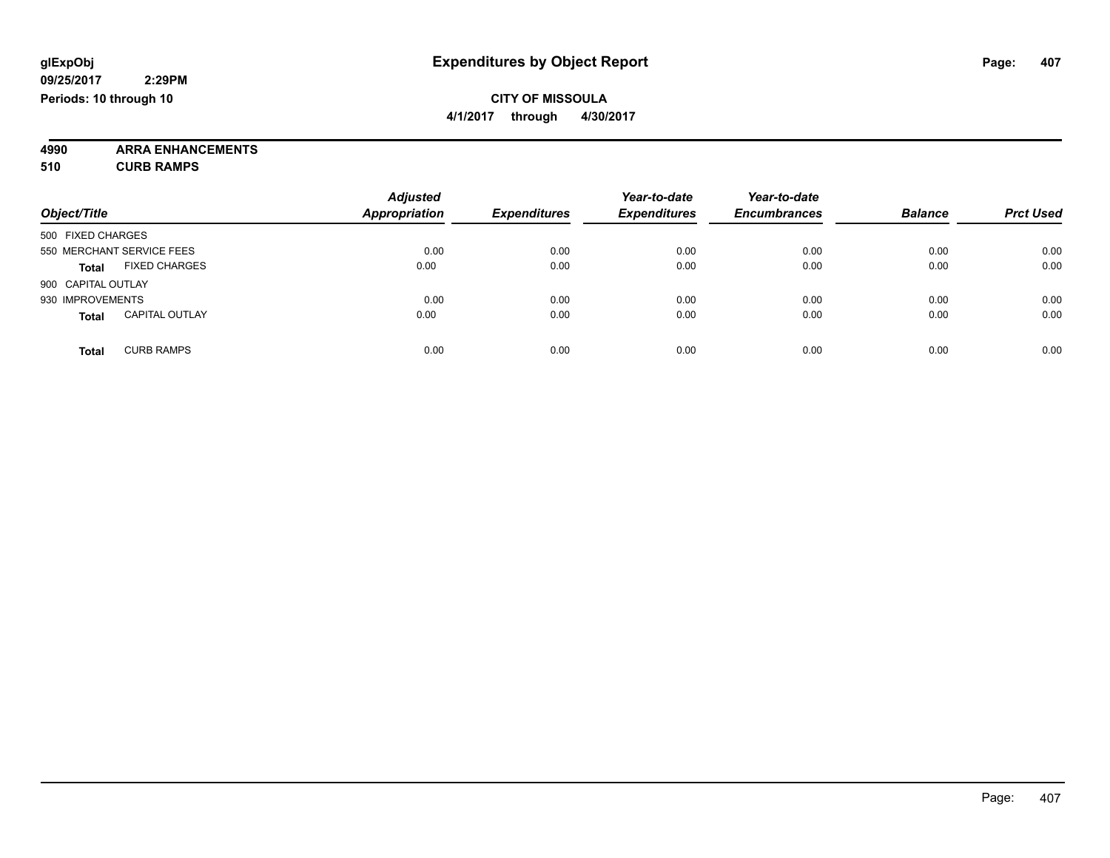**4/1/2017 through 4/30/2017**

**4990 ARRA ENHANCEMENTS 510 CURB RAMPS**

| Object/Title       |                           | <b>Adjusted</b><br><b>Appropriation</b> | <b>Expenditures</b> | Year-to-date<br><b>Expenditures</b> | Year-to-date<br><b>Encumbrances</b> | <b>Balance</b> | <b>Prct Used</b> |
|--------------------|---------------------------|-----------------------------------------|---------------------|-------------------------------------|-------------------------------------|----------------|------------------|
| 500 FIXED CHARGES  |                           |                                         |                     |                                     |                                     |                |                  |
|                    | 550 MERCHANT SERVICE FEES | 0.00                                    | 0.00                | 0.00                                | 0.00                                | 0.00           | 0.00             |
| <b>Total</b>       | <b>FIXED CHARGES</b>      | 0.00                                    | 0.00                | 0.00                                | 0.00                                | 0.00           | 0.00             |
| 900 CAPITAL OUTLAY |                           |                                         |                     |                                     |                                     |                |                  |
| 930 IMPROVEMENTS   |                           | 0.00                                    | 0.00                | 0.00                                | 0.00                                | 0.00           | 0.00             |
| <b>Total</b>       | <b>CAPITAL OUTLAY</b>     | 0.00                                    | 0.00                | 0.00                                | 0.00                                | 0.00           | 0.00             |
| <b>Total</b>       | <b>CURB RAMPS</b>         | 0.00                                    | 0.00                | 0.00                                | 0.00                                | 0.00           | 0.00             |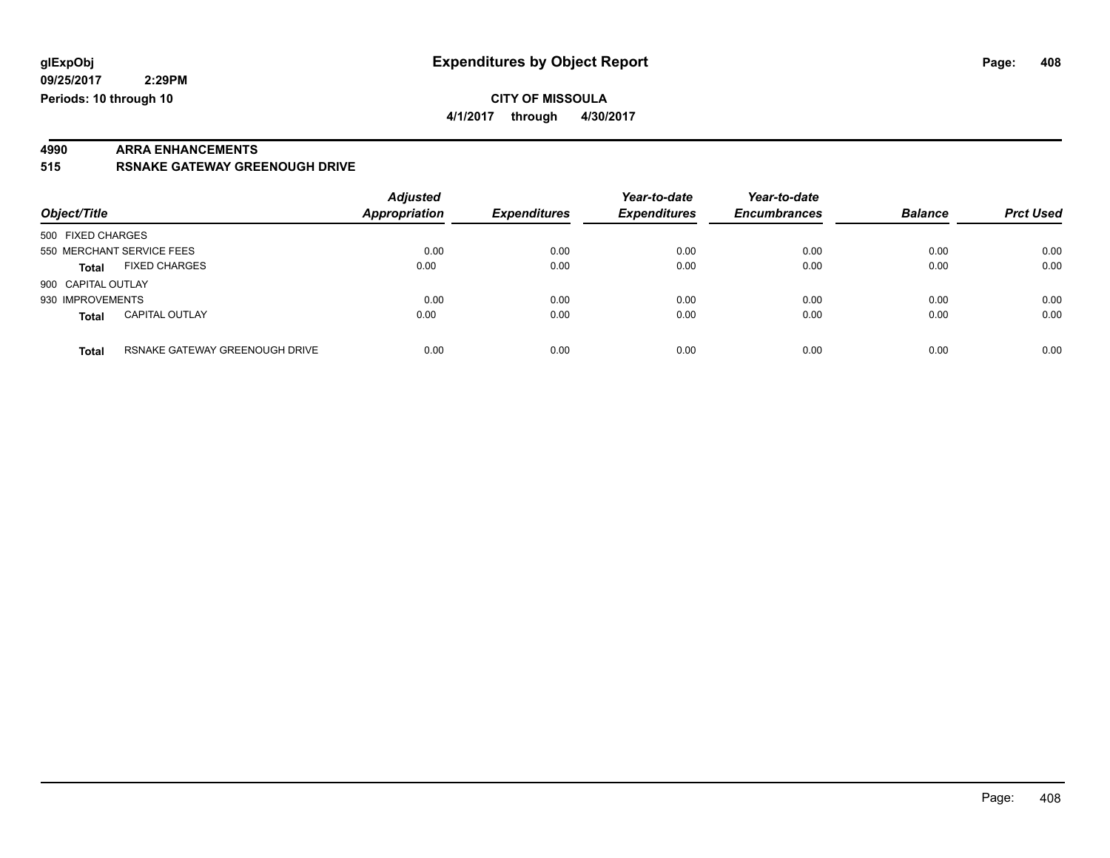#### **CITY OF MISSOULA 4/1/2017 through 4/30/2017**

# **4990 ARRA ENHANCEMENTS**

**515 RSNAKE GATEWAY GREENOUGH DRIVE**

| Object/Title                                   | <b>Adjusted</b><br><b>Appropriation</b> | <b>Expenditures</b> | Year-to-date<br><b>Expenditures</b> | Year-to-date<br><b>Encumbrances</b> | <b>Balance</b> | <b>Prct Used</b> |
|------------------------------------------------|-----------------------------------------|---------------------|-------------------------------------|-------------------------------------|----------------|------------------|
| 500 FIXED CHARGES                              |                                         |                     |                                     |                                     |                |                  |
| 550 MERCHANT SERVICE FEES                      | 0.00                                    | 0.00                | 0.00                                | 0.00                                | 0.00           | 0.00             |
| <b>FIXED CHARGES</b><br><b>Total</b>           | 0.00                                    | 0.00                | 0.00                                | 0.00                                | 0.00           | 0.00             |
| 900 CAPITAL OUTLAY                             |                                         |                     |                                     |                                     |                |                  |
| 930 IMPROVEMENTS                               | 0.00                                    | 0.00                | 0.00                                | 0.00                                | 0.00           | 0.00             |
| <b>CAPITAL OUTLAY</b><br><b>Total</b>          | 0.00                                    | 0.00                | 0.00                                | 0.00                                | 0.00           | 0.00             |
| RSNAKE GATEWAY GREENOUGH DRIVE<br><b>Total</b> | 0.00                                    | 0.00                | 0.00                                | 0.00                                | 0.00           | 0.00             |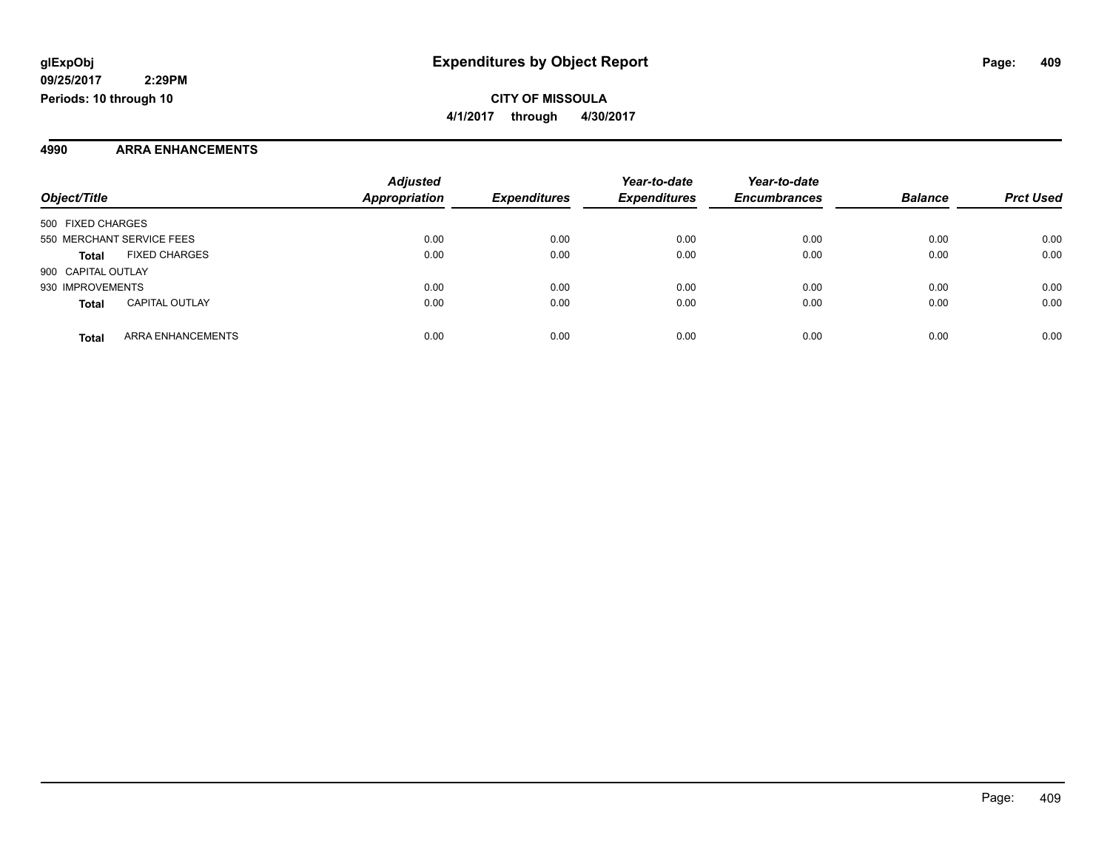#### **4990 ARRA ENHANCEMENTS**

|                                       | <b>Adjusted</b>      |                     | Year-to-date        | Year-to-date        |                |                  |
|---------------------------------------|----------------------|---------------------|---------------------|---------------------|----------------|------------------|
| Object/Title                          | <b>Appropriation</b> | <b>Expenditures</b> | <b>Expenditures</b> | <b>Encumbrances</b> | <b>Balance</b> | <b>Prct Used</b> |
| 500 FIXED CHARGES                     |                      |                     |                     |                     |                |                  |
| 550 MERCHANT SERVICE FEES             | 0.00                 | 0.00                | 0.00                | 0.00                | 0.00           | 0.00             |
| <b>FIXED CHARGES</b><br><b>Total</b>  | 0.00                 | 0.00                | 0.00                | 0.00                | 0.00           | 0.00             |
| 900 CAPITAL OUTLAY                    |                      |                     |                     |                     |                |                  |
| 930 IMPROVEMENTS                      | 0.00                 | 0.00                | 0.00                | 0.00                | 0.00           | 0.00             |
| <b>CAPITAL OUTLAY</b><br><b>Total</b> | 0.00                 | 0.00                | 0.00                | 0.00                | 0.00           | 0.00             |
| ARRA ENHANCEMENTS<br><b>Total</b>     | 0.00                 | 0.00                | 0.00                | 0.00                | 0.00           | 0.00             |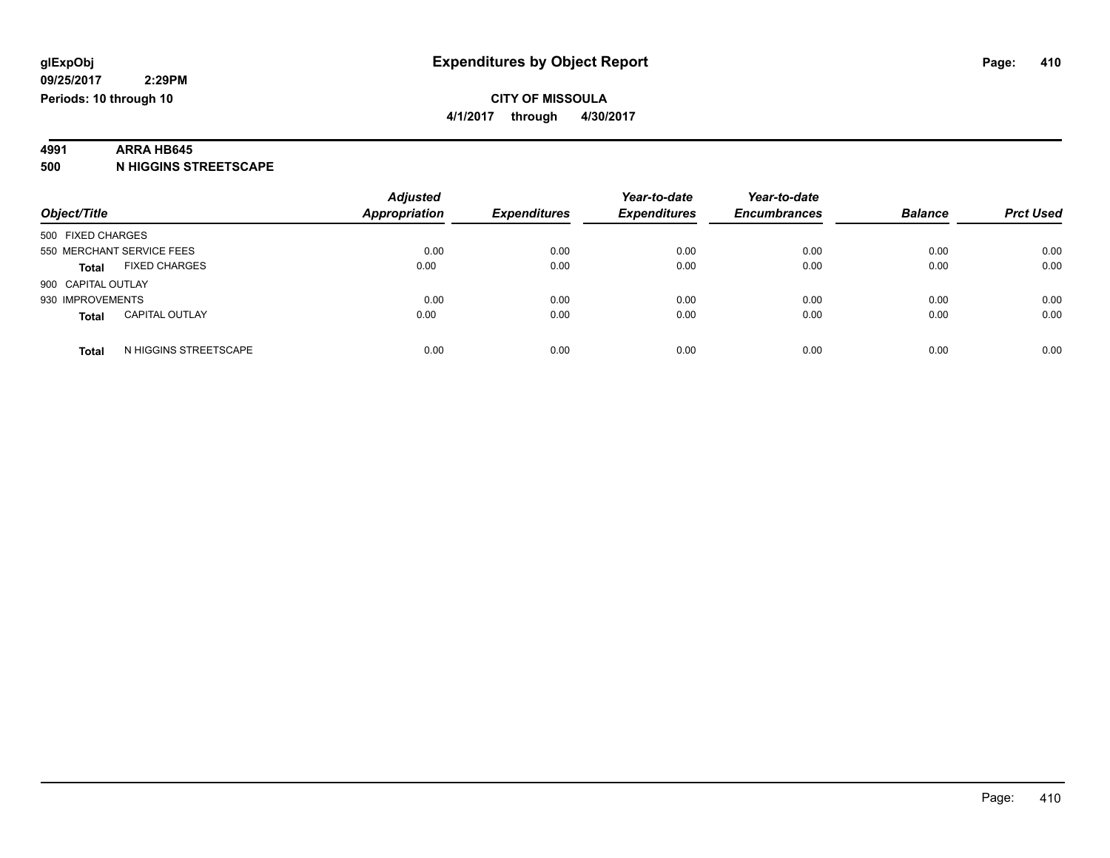#### **4991 ARRA HB645**

**500 N HIGGINS STREETSCAPE**

| Object/Title                          | <b>Adjusted</b><br><b>Appropriation</b> | <b>Expenditures</b> | Year-to-date<br><b>Expenditures</b> | Year-to-date<br><b>Encumbrances</b> | <b>Balance</b> | <b>Prct Used</b> |
|---------------------------------------|-----------------------------------------|---------------------|-------------------------------------|-------------------------------------|----------------|------------------|
|                                       |                                         |                     |                                     |                                     |                |                  |
| 500 FIXED CHARGES                     |                                         |                     |                                     |                                     |                |                  |
| 550 MERCHANT SERVICE FEES             | 0.00                                    | 0.00                | 0.00                                | 0.00                                | 0.00           | 0.00             |
| <b>FIXED CHARGES</b><br><b>Total</b>  | 0.00                                    | 0.00                | 0.00                                | 0.00                                | 0.00           | 0.00             |
| 900 CAPITAL OUTLAY                    |                                         |                     |                                     |                                     |                |                  |
| 930 IMPROVEMENTS                      | 0.00                                    | 0.00                | 0.00                                | 0.00                                | 0.00           | 0.00             |
| <b>CAPITAL OUTLAY</b><br><b>Total</b> | 0.00                                    | 0.00                | 0.00                                | 0.00                                | 0.00           | 0.00             |
| N HIGGINS STREETSCAPE<br><b>Total</b> | 0.00                                    | 0.00                | 0.00                                | 0.00                                | 0.00           | 0.00             |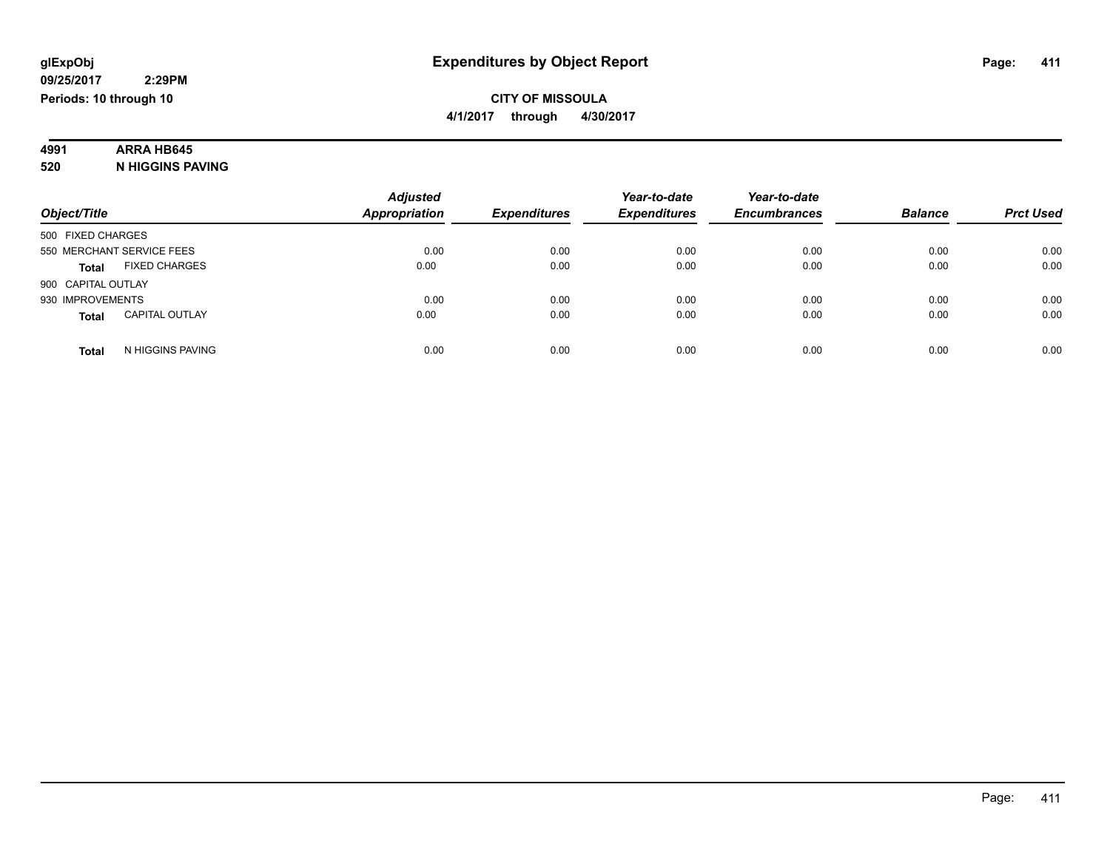# **4991 ARRA HB645**

**520 N HIGGINS PAVING**

|                                       | <b>Adjusted</b>      |                     | Year-to-date        | Year-to-date        |                |                  |
|---------------------------------------|----------------------|---------------------|---------------------|---------------------|----------------|------------------|
| Object/Title                          | <b>Appropriation</b> | <b>Expenditures</b> | <b>Expenditures</b> | <b>Encumbrances</b> | <b>Balance</b> | <b>Prct Used</b> |
| 500 FIXED CHARGES                     |                      |                     |                     |                     |                |                  |
| 550 MERCHANT SERVICE FEES             | 0.00                 | 0.00                | 0.00                | 0.00                | 0.00           | 0.00             |
| <b>FIXED CHARGES</b><br><b>Total</b>  | 0.00                 | 0.00                | 0.00                | 0.00                | 0.00           | 0.00             |
| 900 CAPITAL OUTLAY                    |                      |                     |                     |                     |                |                  |
| 930 IMPROVEMENTS                      | 0.00                 | 0.00                | 0.00                | 0.00                | 0.00           | 0.00             |
| <b>CAPITAL OUTLAY</b><br><b>Total</b> | 0.00                 | 0.00                | 0.00                | 0.00                | 0.00           | 0.00             |
| N HIGGINS PAVING<br><b>Total</b>      | 0.00                 | 0.00                | 0.00                | 0.00                | 0.00           | 0.00             |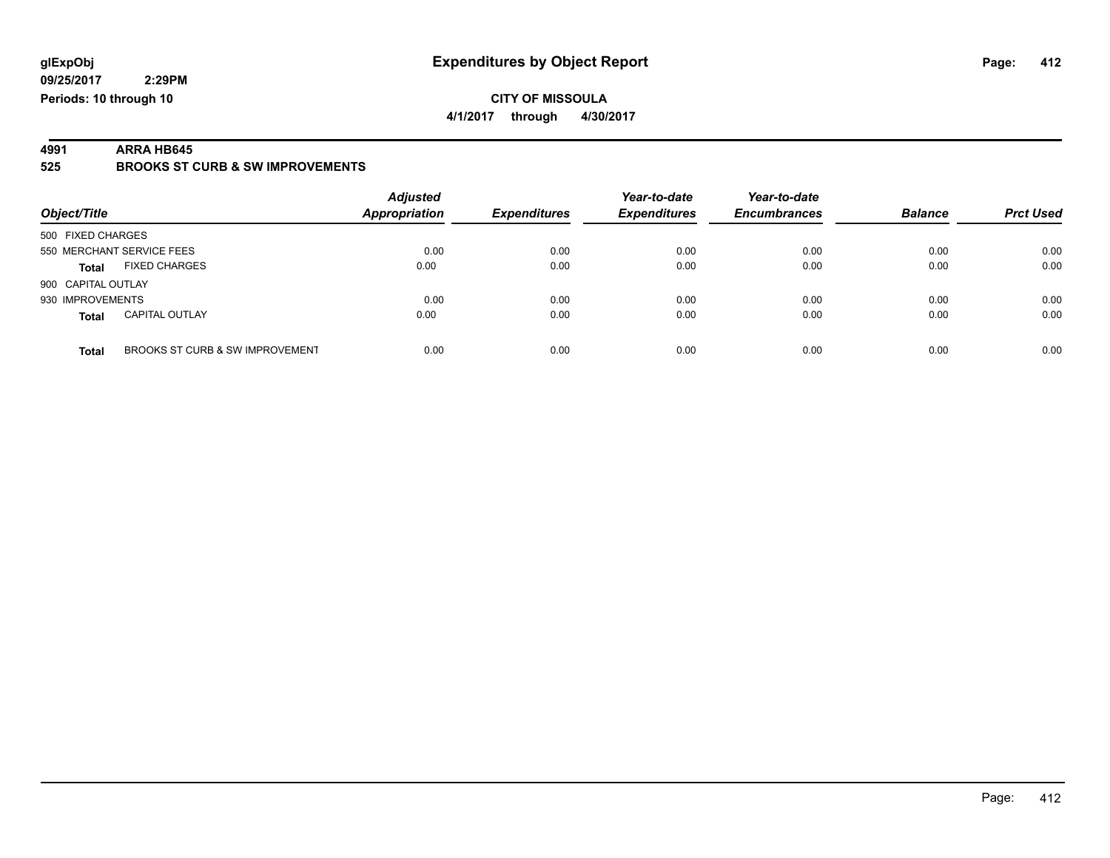#### **CITY OF MISSOULA 4/1/2017 through 4/30/2017**

**4991 ARRA HB645 525 BROOKS ST CURB & SW IMPROVEMENTS**

| Object/Title                             | <b>Adjusted</b><br>Appropriation | <b>Expenditures</b> | Year-to-date<br><b>Expenditures</b> | Year-to-date<br><b>Encumbrances</b> | <b>Balance</b> | <b>Prct Used</b> |
|------------------------------------------|----------------------------------|---------------------|-------------------------------------|-------------------------------------|----------------|------------------|
| 500 FIXED CHARGES                        |                                  |                     |                                     |                                     |                |                  |
| 550 MERCHANT SERVICE FEES                | 0.00                             | 0.00                | 0.00                                | 0.00                                | 0.00           | 0.00             |
| <b>FIXED CHARGES</b><br><b>Total</b>     | 0.00                             | 0.00                | 0.00                                | 0.00                                | 0.00           | 0.00             |
| 900 CAPITAL OUTLAY                       |                                  |                     |                                     |                                     |                |                  |
| 930 IMPROVEMENTS                         | 0.00                             | 0.00                | 0.00                                | 0.00                                | 0.00           | 0.00             |
| <b>CAPITAL OUTLAY</b><br><b>Total</b>    | 0.00                             | 0.00                | 0.00                                | 0.00                                | 0.00           | 0.00             |
| BROOKS ST CURB & SW IMPROVEMENT<br>Total | 0.00                             | 0.00                | 0.00                                | 0.00                                | 0.00           | 0.00             |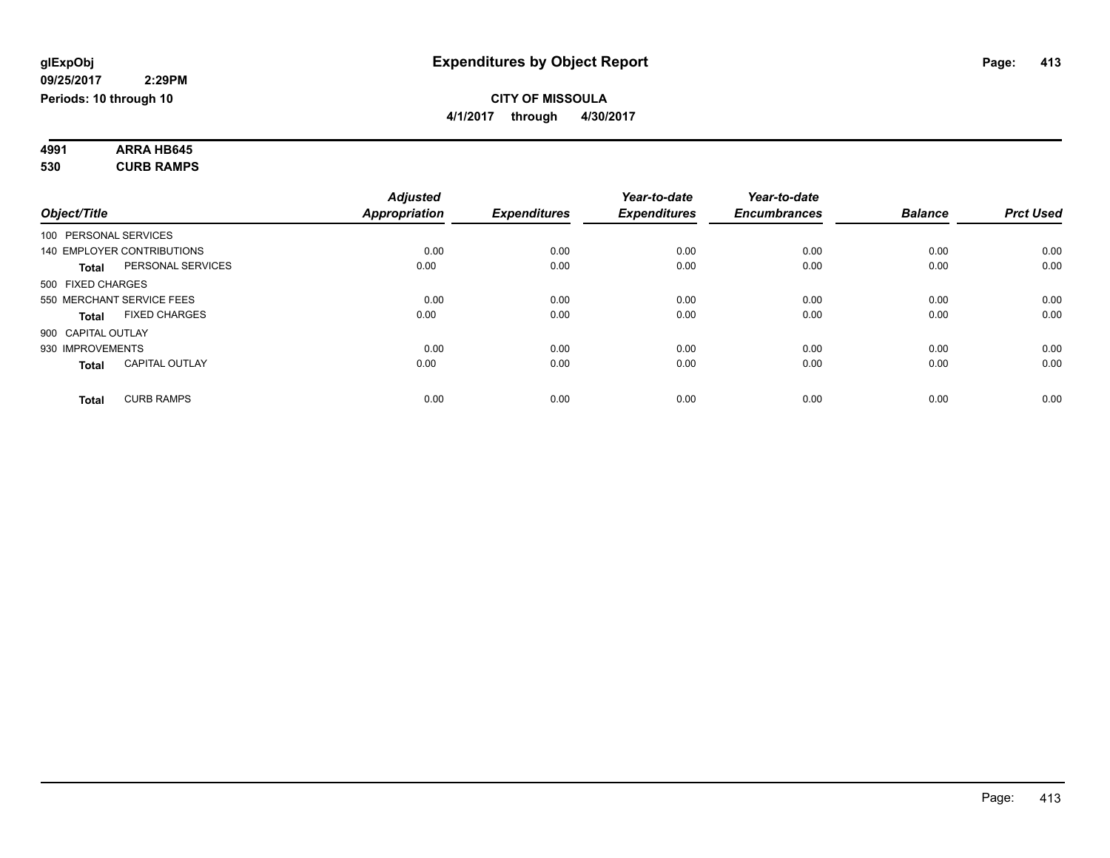| 4991 | <b>ARRA HB645</b> |  |
|------|-------------------|--|
| 530  | <b>CURB RAMPS</b> |  |

|                       |                            | <b>Adjusted</b> |                     | Year-to-date        | Year-to-date        |                |                  |
|-----------------------|----------------------------|-----------------|---------------------|---------------------|---------------------|----------------|------------------|
| Object/Title          |                            | Appropriation   | <b>Expenditures</b> | <b>Expenditures</b> | <b>Encumbrances</b> | <b>Balance</b> | <b>Prct Used</b> |
| 100 PERSONAL SERVICES |                            |                 |                     |                     |                     |                |                  |
|                       | 140 EMPLOYER CONTRIBUTIONS | 0.00            | 0.00                | 0.00                | 0.00                | 0.00           | 0.00             |
| Total                 | PERSONAL SERVICES          | 0.00            | 0.00                | 0.00                | 0.00                | 0.00           | 0.00             |
| 500 FIXED CHARGES     |                            |                 |                     |                     |                     |                |                  |
|                       | 550 MERCHANT SERVICE FEES  | 0.00            | 0.00                | 0.00                | 0.00                | 0.00           | 0.00             |
| <b>Total</b>          | <b>FIXED CHARGES</b>       | 0.00            | 0.00                | 0.00                | 0.00                | 0.00           | 0.00             |
| 900 CAPITAL OUTLAY    |                            |                 |                     |                     |                     |                |                  |
| 930 IMPROVEMENTS      |                            | 0.00            | 0.00                | 0.00                | 0.00                | 0.00           | 0.00             |
| <b>Total</b>          | <b>CAPITAL OUTLAY</b>      | 0.00            | 0.00                | 0.00                | 0.00                | 0.00           | 0.00             |
| <b>Total</b>          | <b>CURB RAMPS</b>          | 0.00            | 0.00                | 0.00                | 0.00                | 0.00           | 0.00             |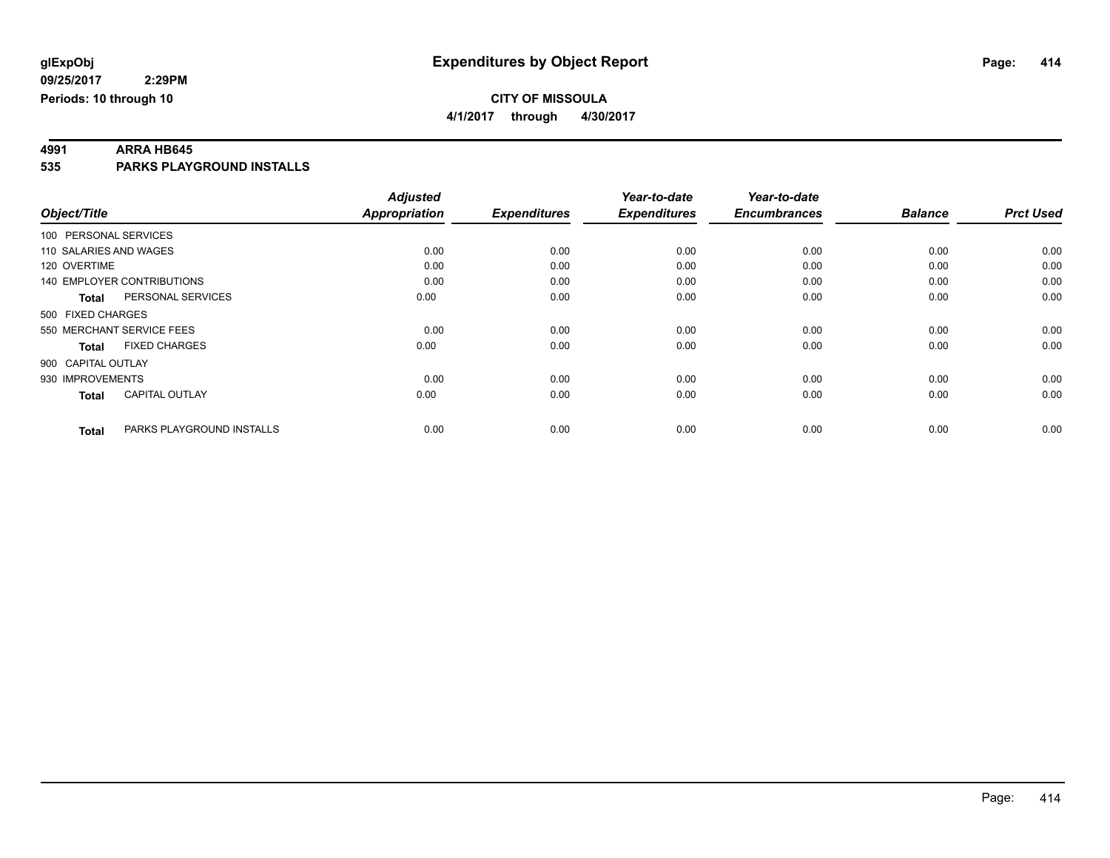**4/1/2017 through 4/30/2017**

**4991 ARRA HB645 535 PARKS PLAYGROUND INSTALLS**

|                        |                            | <b>Adjusted</b>      |                     | Year-to-date        | Year-to-date        |                |                  |
|------------------------|----------------------------|----------------------|---------------------|---------------------|---------------------|----------------|------------------|
| Object/Title           |                            | <b>Appropriation</b> | <b>Expenditures</b> | <b>Expenditures</b> | <b>Encumbrances</b> | <b>Balance</b> | <b>Prct Used</b> |
| 100 PERSONAL SERVICES  |                            |                      |                     |                     |                     |                |                  |
| 110 SALARIES AND WAGES |                            | 0.00                 | 0.00                | 0.00                | 0.00                | 0.00           | 0.00             |
| 120 OVERTIME           |                            | 0.00                 | 0.00                | 0.00                | 0.00                | 0.00           | 0.00             |
|                        | 140 EMPLOYER CONTRIBUTIONS | 0.00                 | 0.00                | 0.00                | 0.00                | 0.00           | 0.00             |
| <b>Total</b>           | PERSONAL SERVICES          | 0.00                 | 0.00                | 0.00                | 0.00                | 0.00           | 0.00             |
| 500 FIXED CHARGES      |                            |                      |                     |                     |                     |                |                  |
|                        | 550 MERCHANT SERVICE FEES  | 0.00                 | 0.00                | 0.00                | 0.00                | 0.00           | 0.00             |
| <b>Total</b>           | <b>FIXED CHARGES</b>       | 0.00                 | 0.00                | 0.00                | 0.00                | 0.00           | 0.00             |
| 900 CAPITAL OUTLAY     |                            |                      |                     |                     |                     |                |                  |
| 930 IMPROVEMENTS       |                            | 0.00                 | 0.00                | 0.00                | 0.00                | 0.00           | 0.00             |
| Total                  | <b>CAPITAL OUTLAY</b>      | 0.00                 | 0.00                | 0.00                | 0.00                | 0.00           | 0.00             |
| <b>Total</b>           | PARKS PLAYGROUND INSTALLS  | 0.00                 | 0.00                | 0.00                | 0.00                | 0.00           | 0.00             |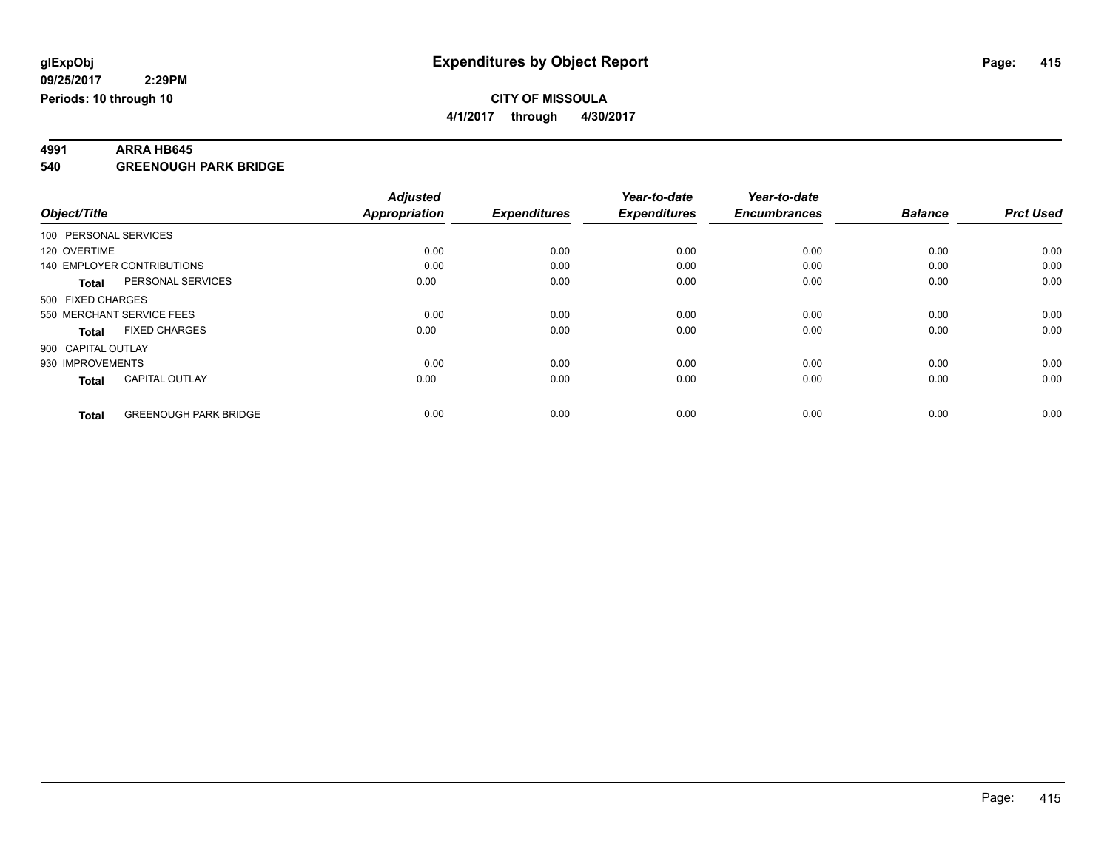**4991 ARRA HB645 540 GREENOUGH PARK BRIDGE**

|                    |                              | <b>Adjusted</b>      |                     | Year-to-date        | Year-to-date        |                |                  |
|--------------------|------------------------------|----------------------|---------------------|---------------------|---------------------|----------------|------------------|
| Object/Title       |                              | <b>Appropriation</b> | <b>Expenditures</b> | <b>Expenditures</b> | <b>Encumbrances</b> | <b>Balance</b> | <b>Prct Used</b> |
|                    | 100 PERSONAL SERVICES        |                      |                     |                     |                     |                |                  |
| 120 OVERTIME       |                              | 0.00                 | 0.00                | 0.00                | 0.00                | 0.00           | 0.00             |
|                    | 140 EMPLOYER CONTRIBUTIONS   | 0.00                 | 0.00                | 0.00                | 0.00                | 0.00           | 0.00             |
| <b>Total</b>       | PERSONAL SERVICES            | 0.00                 | 0.00                | 0.00                | 0.00                | 0.00           | 0.00             |
| 500 FIXED CHARGES  |                              |                      |                     |                     |                     |                |                  |
|                    | 550 MERCHANT SERVICE FEES    | 0.00                 | 0.00                | 0.00                | 0.00                | 0.00           | 0.00             |
| <b>Total</b>       | <b>FIXED CHARGES</b>         | 0.00                 | 0.00                | 0.00                | 0.00                | 0.00           | 0.00             |
| 900 CAPITAL OUTLAY |                              |                      |                     |                     |                     |                |                  |
| 930 IMPROVEMENTS   |                              | 0.00                 | 0.00                | 0.00                | 0.00                | 0.00           | 0.00             |
| <b>Total</b>       | <b>CAPITAL OUTLAY</b>        | 0.00                 | 0.00                | 0.00                | 0.00                | 0.00           | 0.00             |
|                    |                              |                      |                     |                     |                     |                |                  |
| <b>Total</b>       | <b>GREENOUGH PARK BRIDGE</b> | 0.00                 | 0.00                | 0.00                | 0.00                | 0.00           | 0.00             |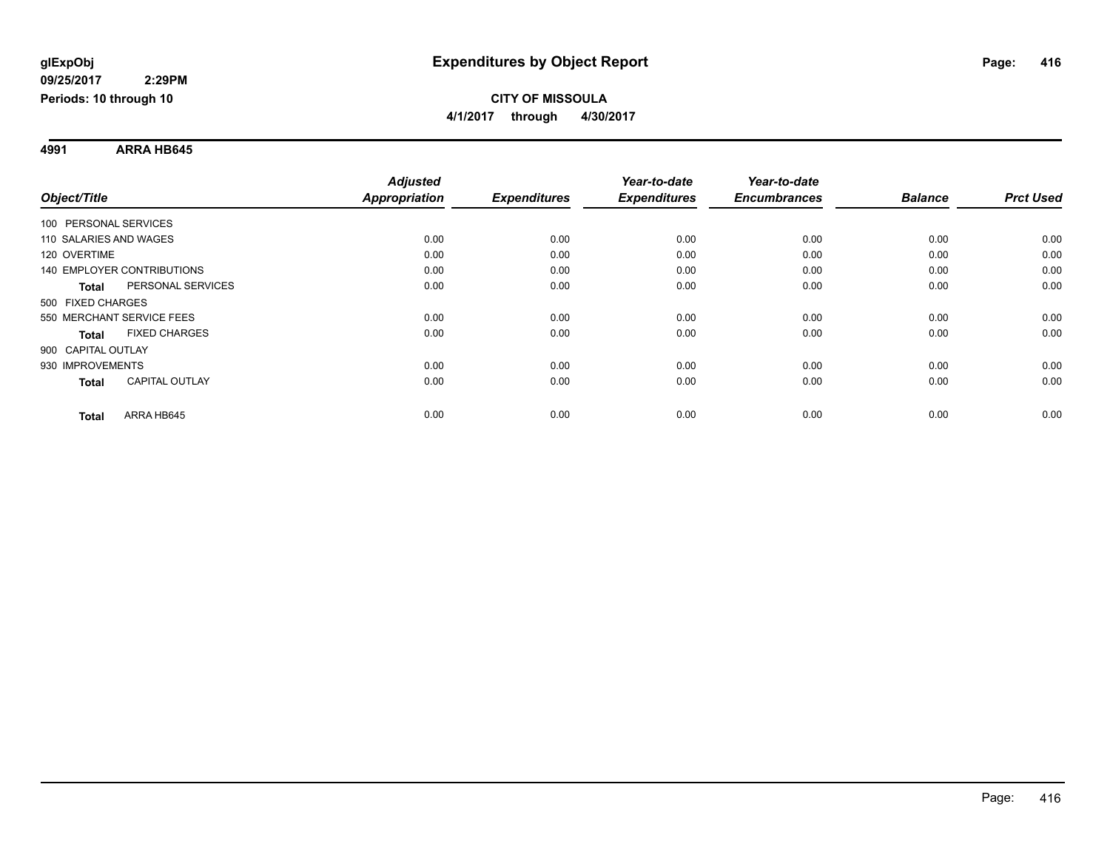**4991 ARRA HB645**

|                                       | <b>Adjusted</b>      |                     | Year-to-date        | Year-to-date        |                |                  |
|---------------------------------------|----------------------|---------------------|---------------------|---------------------|----------------|------------------|
| Object/Title                          | <b>Appropriation</b> | <b>Expenditures</b> | <b>Expenditures</b> | <b>Encumbrances</b> | <b>Balance</b> | <b>Prct Used</b> |
| 100 PERSONAL SERVICES                 |                      |                     |                     |                     |                |                  |
| 110 SALARIES AND WAGES                | 0.00                 | 0.00                | 0.00                | 0.00                | 0.00           | 0.00             |
| 120 OVERTIME                          | 0.00                 | 0.00                | 0.00                | 0.00                | 0.00           | 0.00             |
| 140 EMPLOYER CONTRIBUTIONS            | 0.00                 | 0.00                | 0.00                | 0.00                | 0.00           | 0.00             |
| PERSONAL SERVICES<br><b>Total</b>     | 0.00                 | 0.00                | 0.00                | 0.00                | 0.00           | 0.00             |
| 500 FIXED CHARGES                     |                      |                     |                     |                     |                |                  |
| 550 MERCHANT SERVICE FEES             | 0.00                 | 0.00                | 0.00                | 0.00                | 0.00           | 0.00             |
| <b>FIXED CHARGES</b><br><b>Total</b>  | 0.00                 | 0.00                | 0.00                | 0.00                | 0.00           | 0.00             |
| 900 CAPITAL OUTLAY                    |                      |                     |                     |                     |                |                  |
| 930 IMPROVEMENTS                      | 0.00                 | 0.00                | 0.00                | 0.00                | 0.00           | 0.00             |
| <b>CAPITAL OUTLAY</b><br><b>Total</b> | 0.00                 | 0.00                | 0.00                | 0.00                | 0.00           | 0.00             |
| ARRA HB645<br><b>Total</b>            | 0.00                 | 0.00                | 0.00                | 0.00                | 0.00           | 0.00             |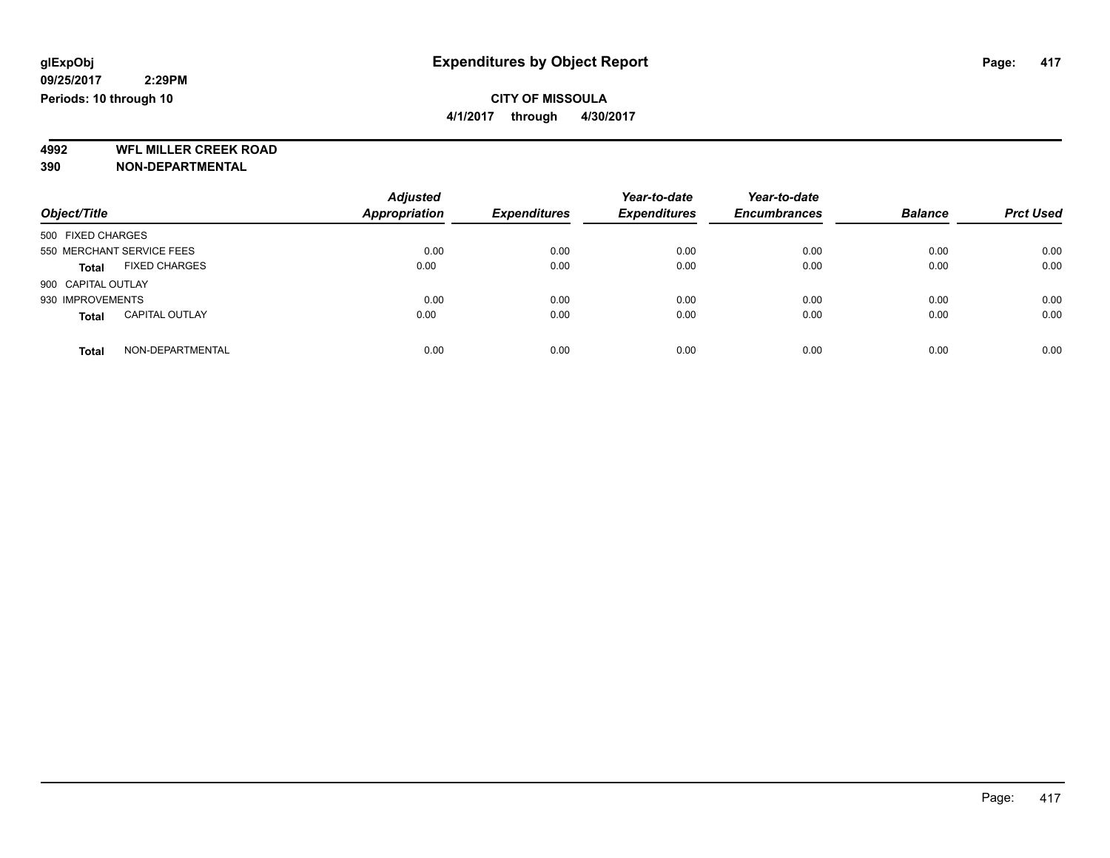**4/1/2017 through 4/30/2017**

**4992 WFL MILLER CREEK ROAD 390 NON-DEPARTMENTAL**

| Object/Title                          | <b>Adjusted</b><br><b>Appropriation</b> | <b>Expenditures</b> | Year-to-date<br><b>Expenditures</b> | Year-to-date<br><b>Encumbrances</b> | <b>Balance</b> | <b>Prct Used</b> |
|---------------------------------------|-----------------------------------------|---------------------|-------------------------------------|-------------------------------------|----------------|------------------|
| 500 FIXED CHARGES                     |                                         |                     |                                     |                                     |                |                  |
| 550 MERCHANT SERVICE FEES             | 0.00                                    | 0.00                | 0.00                                | 0.00                                | 0.00           | 0.00             |
| <b>FIXED CHARGES</b><br><b>Total</b>  | 0.00                                    | 0.00                | 0.00                                | 0.00                                | 0.00           | 0.00             |
| 900 CAPITAL OUTLAY                    |                                         |                     |                                     |                                     |                |                  |
| 930 IMPROVEMENTS                      | 0.00                                    | 0.00                | 0.00                                | 0.00                                | 0.00           | 0.00             |
| <b>CAPITAL OUTLAY</b><br><b>Total</b> | 0.00                                    | 0.00                | 0.00                                | 0.00                                | 0.00           | 0.00             |
| NON-DEPARTMENTAL<br>Total             | 0.00                                    | 0.00                | 0.00                                | 0.00                                | 0.00           | 0.00             |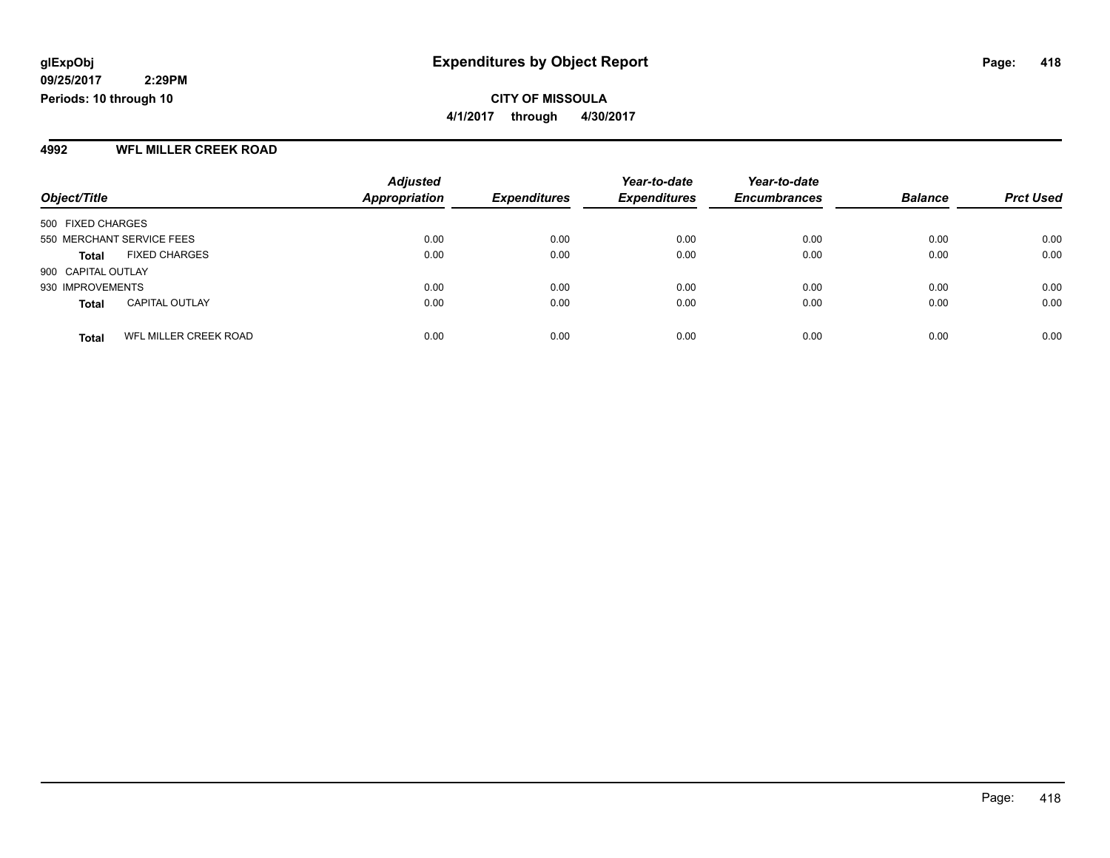#### **4992 WFL MILLER CREEK ROAD**

|                           |                       | <b>Adjusted</b>      |                     | Year-to-date        | Year-to-date        |                |                  |
|---------------------------|-----------------------|----------------------|---------------------|---------------------|---------------------|----------------|------------------|
| Object/Title              |                       | <b>Appropriation</b> | <b>Expenditures</b> | <b>Expenditures</b> | <b>Encumbrances</b> | <b>Balance</b> | <b>Prct Used</b> |
| 500 FIXED CHARGES         |                       |                      |                     |                     |                     |                |                  |
| 550 MERCHANT SERVICE FEES |                       | 0.00                 | 0.00                | 0.00                | 0.00                | 0.00           | 0.00             |
| <b>Total</b>              | <b>FIXED CHARGES</b>  | 0.00                 | 0.00                | 0.00                | 0.00                | 0.00           | 0.00             |
| 900 CAPITAL OUTLAY        |                       |                      |                     |                     |                     |                |                  |
| 930 IMPROVEMENTS          |                       | 0.00                 | 0.00                | 0.00                | 0.00                | 0.00           | 0.00             |
| <b>Total</b>              | <b>CAPITAL OUTLAY</b> | 0.00                 | 0.00                | 0.00                | 0.00                | 0.00           | 0.00             |
| <b>Total</b>              | WFL MILLER CREEK ROAD | 0.00                 | 0.00                | 0.00                | 0.00                | 0.00           | 0.00             |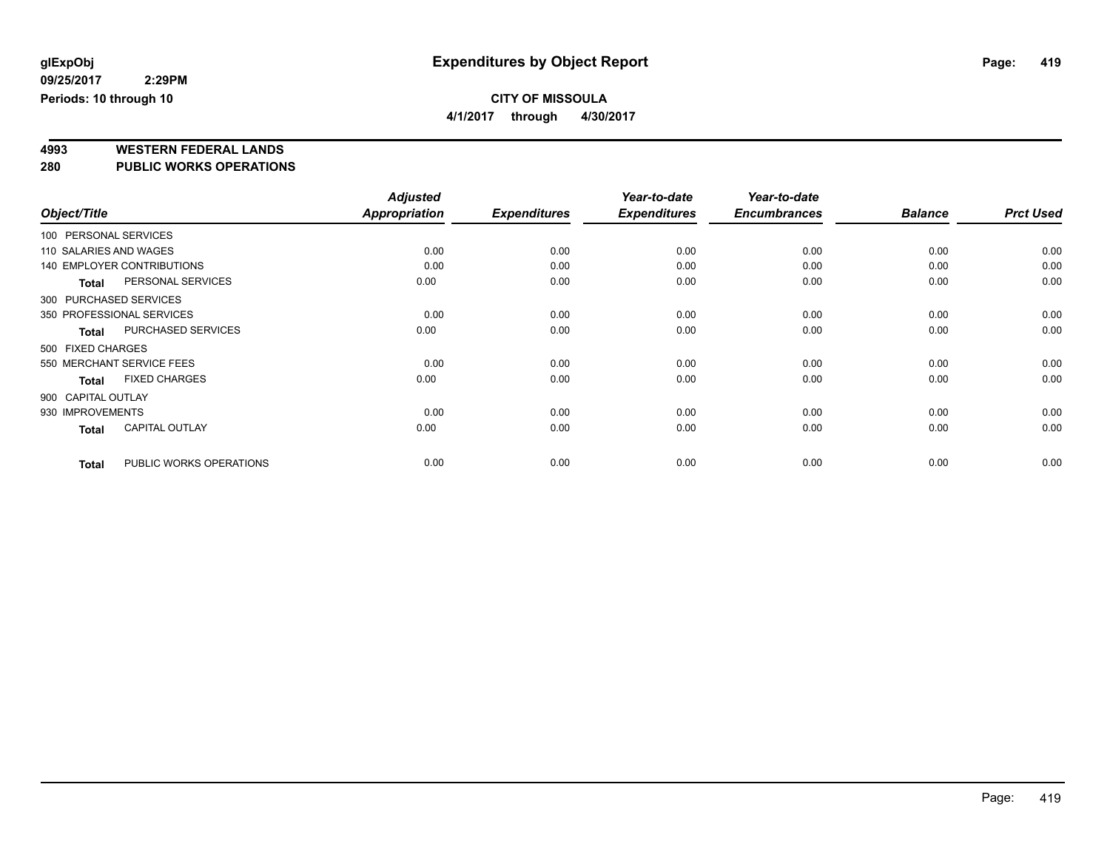**4/1/2017 through 4/30/2017**

# **4993 WESTERN FEDERAL LANDS**

**280 PUBLIC WORKS OPERATIONS**

|                        |                                   | <b>Adjusted</b>      |                     | Year-to-date        | Year-to-date        |                |                  |
|------------------------|-----------------------------------|----------------------|---------------------|---------------------|---------------------|----------------|------------------|
| Object/Title           |                                   | <b>Appropriation</b> | <b>Expenditures</b> | <b>Expenditures</b> | <b>Encumbrances</b> | <b>Balance</b> | <b>Prct Used</b> |
| 100 PERSONAL SERVICES  |                                   |                      |                     |                     |                     |                |                  |
| 110 SALARIES AND WAGES |                                   | 0.00                 | 0.00                | 0.00                | 0.00                | 0.00           | 0.00             |
|                        | <b>140 EMPLOYER CONTRIBUTIONS</b> | 0.00                 | 0.00                | 0.00                | 0.00                | 0.00           | 0.00             |
| <b>Total</b>           | PERSONAL SERVICES                 | 0.00                 | 0.00                | 0.00                | 0.00                | 0.00           | 0.00             |
| 300 PURCHASED SERVICES |                                   |                      |                     |                     |                     |                |                  |
|                        | 350 PROFESSIONAL SERVICES         | 0.00                 | 0.00                | 0.00                | 0.00                | 0.00           | 0.00             |
| Total                  | PURCHASED SERVICES                | 0.00                 | 0.00                | 0.00                | 0.00                | 0.00           | 0.00             |
| 500 FIXED CHARGES      |                                   |                      |                     |                     |                     |                |                  |
|                        | 550 MERCHANT SERVICE FEES         | 0.00                 | 0.00                | 0.00                | 0.00                | 0.00           | 0.00             |
| <b>Total</b>           | <b>FIXED CHARGES</b>              | 0.00                 | 0.00                | 0.00                | 0.00                | 0.00           | 0.00             |
| 900 CAPITAL OUTLAY     |                                   |                      |                     |                     |                     |                |                  |
| 930 IMPROVEMENTS       |                                   | 0.00                 | 0.00                | 0.00                | 0.00                | 0.00           | 0.00             |
| <b>Total</b>           | <b>CAPITAL OUTLAY</b>             | 0.00                 | 0.00                | 0.00                | 0.00                | 0.00           | 0.00             |
| <b>Total</b>           | PUBLIC WORKS OPERATIONS           | 0.00                 | 0.00                | 0.00                | 0.00                | 0.00           | 0.00             |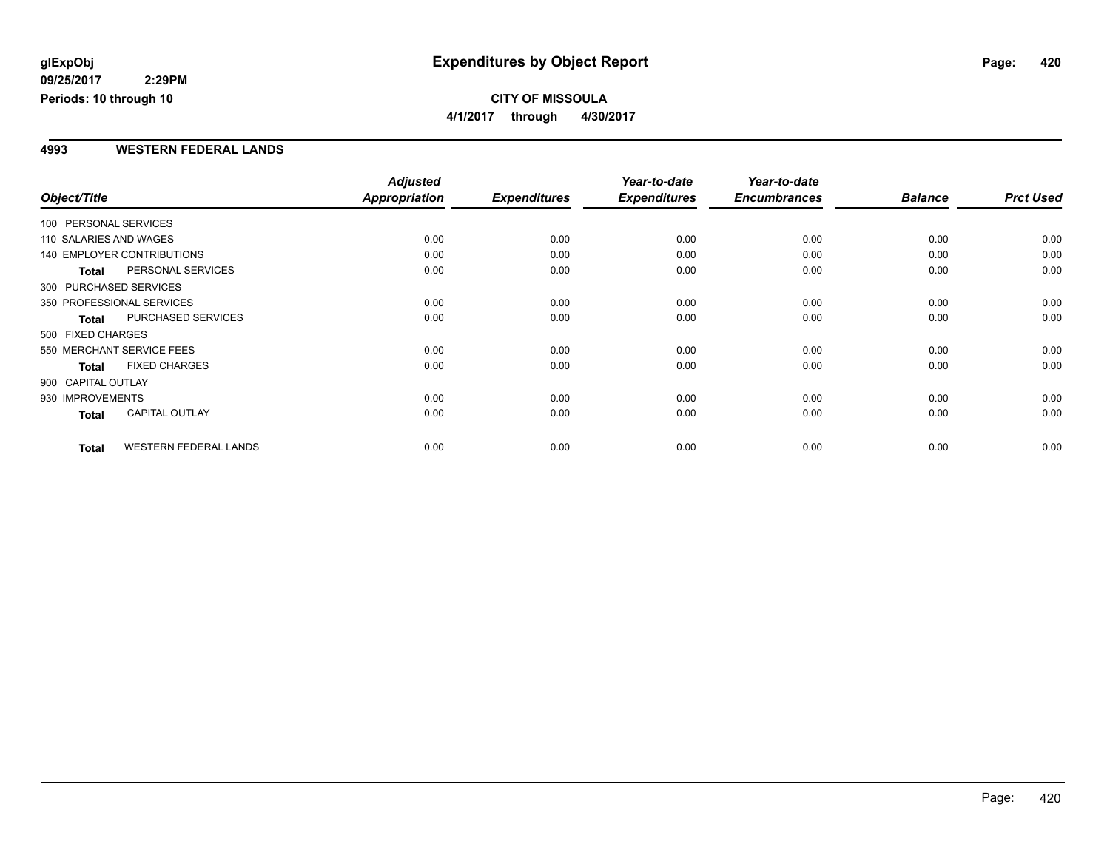#### **CITY OF MISSOULA 4/1/2017 through 4/30/2017**

#### **4993 WESTERN FEDERAL LANDS**

|                        |                              | <b>Adjusted</b>      |                     | Year-to-date        | Year-to-date        |                |                  |
|------------------------|------------------------------|----------------------|---------------------|---------------------|---------------------|----------------|------------------|
| Object/Title           |                              | <b>Appropriation</b> | <b>Expenditures</b> | <b>Expenditures</b> | <b>Encumbrances</b> | <b>Balance</b> | <b>Prct Used</b> |
| 100 PERSONAL SERVICES  |                              |                      |                     |                     |                     |                |                  |
| 110 SALARIES AND WAGES |                              | 0.00                 | 0.00                | 0.00                | 0.00                | 0.00           | 0.00             |
|                        | 140 EMPLOYER CONTRIBUTIONS   | 0.00                 | 0.00                | 0.00                | 0.00                | 0.00           | 0.00             |
| <b>Total</b>           | PERSONAL SERVICES            | 0.00                 | 0.00                | 0.00                | 0.00                | 0.00           | 0.00             |
|                        | 300 PURCHASED SERVICES       |                      |                     |                     |                     |                |                  |
|                        | 350 PROFESSIONAL SERVICES    | 0.00                 | 0.00                | 0.00                | 0.00                | 0.00           | 0.00             |
| <b>Total</b>           | PURCHASED SERVICES           | 0.00                 | 0.00                | 0.00                | 0.00                | 0.00           | 0.00             |
| 500 FIXED CHARGES      |                              |                      |                     |                     |                     |                |                  |
|                        | 550 MERCHANT SERVICE FEES    | 0.00                 | 0.00                | 0.00                | 0.00                | 0.00           | 0.00             |
| <b>Total</b>           | <b>FIXED CHARGES</b>         | 0.00                 | 0.00                | 0.00                | 0.00                | 0.00           | 0.00             |
| 900 CAPITAL OUTLAY     |                              |                      |                     |                     |                     |                |                  |
| 930 IMPROVEMENTS       |                              | 0.00                 | 0.00                | 0.00                | 0.00                | 0.00           | 0.00             |
| Total                  | <b>CAPITAL OUTLAY</b>        | 0.00                 | 0.00                | 0.00                | 0.00                | 0.00           | 0.00             |
| <b>Total</b>           | <b>WESTERN FEDERAL LANDS</b> | 0.00                 | 0.00                | 0.00                | 0.00                | 0.00           | 0.00             |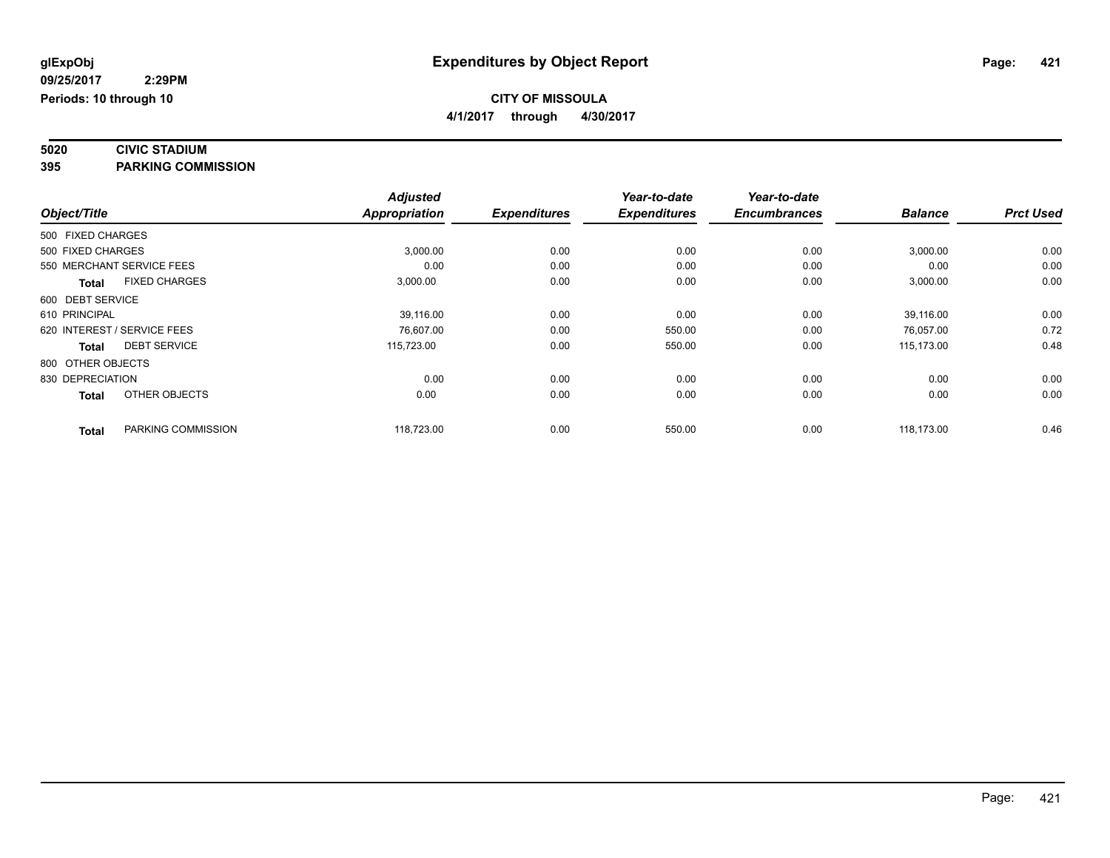# **5020 CIVIC STADIUM**

**395 PARKING COMMISSION**

|                   |                             | <b>Adjusted</b> |                     | Year-to-date        | Year-to-date        |                |                  |
|-------------------|-----------------------------|-----------------|---------------------|---------------------|---------------------|----------------|------------------|
| Object/Title      |                             | Appropriation   | <b>Expenditures</b> | <b>Expenditures</b> | <b>Encumbrances</b> | <b>Balance</b> | <b>Prct Used</b> |
| 500 FIXED CHARGES |                             |                 |                     |                     |                     |                |                  |
| 500 FIXED CHARGES |                             | 3,000.00        | 0.00                | 0.00                | 0.00                | 3,000.00       | 0.00             |
|                   | 550 MERCHANT SERVICE FEES   | 0.00            | 0.00                | 0.00                | 0.00                | 0.00           | 0.00             |
| <b>Total</b>      | <b>FIXED CHARGES</b>        | 3,000.00        | 0.00                | 0.00                | 0.00                | 3,000.00       | 0.00             |
| 600 DEBT SERVICE  |                             |                 |                     |                     |                     |                |                  |
| 610 PRINCIPAL     |                             | 39,116.00       | 0.00                | 0.00                | 0.00                | 39,116.00      | 0.00             |
|                   | 620 INTEREST / SERVICE FEES | 76,607.00       | 0.00                | 550.00              | 0.00                | 76,057.00      | 0.72             |
| <b>Total</b>      | <b>DEBT SERVICE</b>         | 115,723.00      | 0.00                | 550.00              | 0.00                | 115.173.00     | 0.48             |
| 800 OTHER OBJECTS |                             |                 |                     |                     |                     |                |                  |
| 830 DEPRECIATION  |                             | 0.00            | 0.00                | 0.00                | 0.00                | 0.00           | 0.00             |
| <b>Total</b>      | OTHER OBJECTS               | 0.00            | 0.00                | 0.00                | 0.00                | 0.00           | 0.00             |
| <b>Total</b>      | PARKING COMMISSION          | 118,723.00      | 0.00                | 550.00              | 0.00                | 118,173.00     | 0.46             |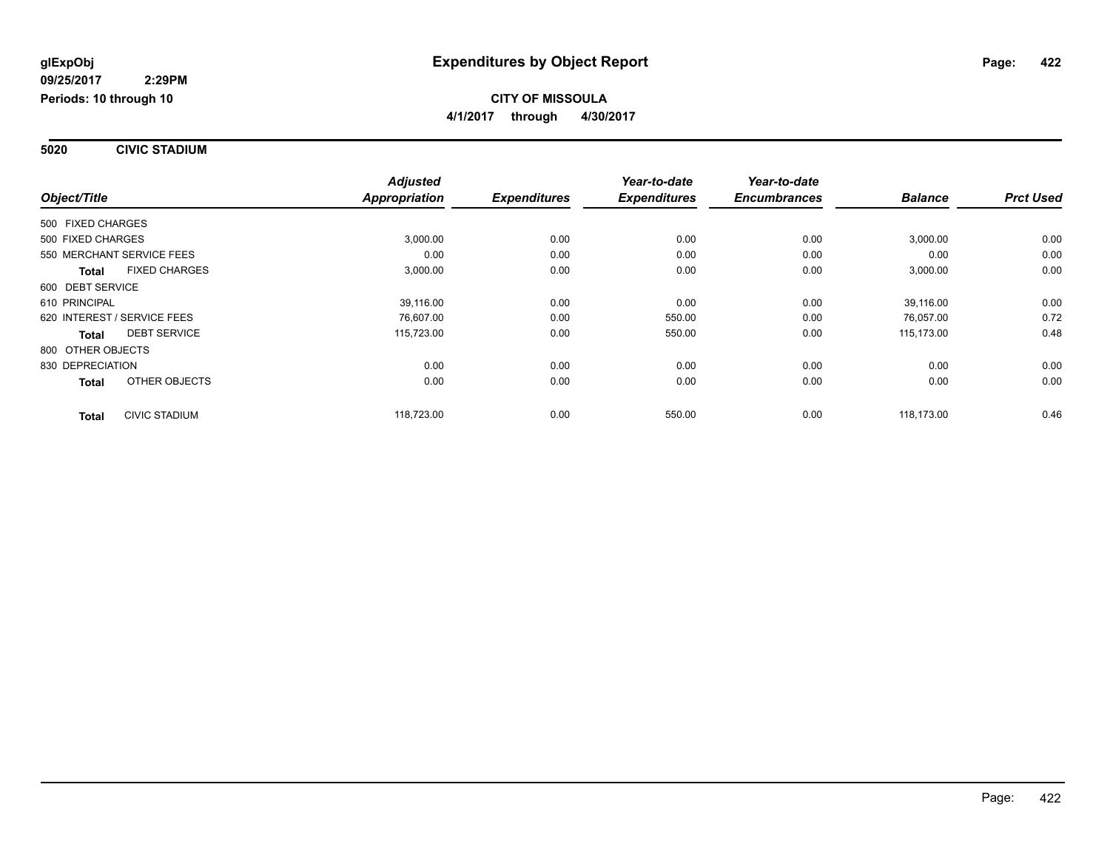#### **5020 CIVIC STADIUM**

|                                      | <b>Adjusted</b>      |                     | Year-to-date        | Year-to-date        |                |                  |
|--------------------------------------|----------------------|---------------------|---------------------|---------------------|----------------|------------------|
| Object/Title                         | <b>Appropriation</b> | <b>Expenditures</b> | <b>Expenditures</b> | <b>Encumbrances</b> | <b>Balance</b> | <b>Prct Used</b> |
| 500 FIXED CHARGES                    |                      |                     |                     |                     |                |                  |
| 500 FIXED CHARGES                    | 3,000.00             | 0.00                | 0.00                | 0.00                | 3,000.00       | 0.00             |
| 550 MERCHANT SERVICE FEES            | 0.00                 | 0.00                | 0.00                | 0.00                | 0.00           | 0.00             |
| <b>FIXED CHARGES</b><br><b>Total</b> | 3,000.00             | 0.00                | 0.00                | 0.00                | 3,000.00       | 0.00             |
| 600 DEBT SERVICE                     |                      |                     |                     |                     |                |                  |
| 610 PRINCIPAL                        | 39,116.00            | 0.00                | 0.00                | 0.00                | 39,116.00      | 0.00             |
| 620 INTEREST / SERVICE FEES          | 76,607.00            | 0.00                | 550.00              | 0.00                | 76,057.00      | 0.72             |
| <b>DEBT SERVICE</b><br><b>Total</b>  | 115,723.00           | 0.00                | 550.00              | 0.00                | 115,173.00     | 0.48             |
| 800 OTHER OBJECTS                    |                      |                     |                     |                     |                |                  |
| 830 DEPRECIATION                     | 0.00                 | 0.00                | 0.00                | 0.00                | 0.00           | 0.00             |
| OTHER OBJECTS<br><b>Total</b>        | 0.00                 | 0.00                | 0.00                | 0.00                | 0.00           | 0.00             |
| CIVIC STADIUM<br><b>Total</b>        | 118,723.00           | 0.00                | 550.00              | 0.00                | 118.173.00     | 0.46             |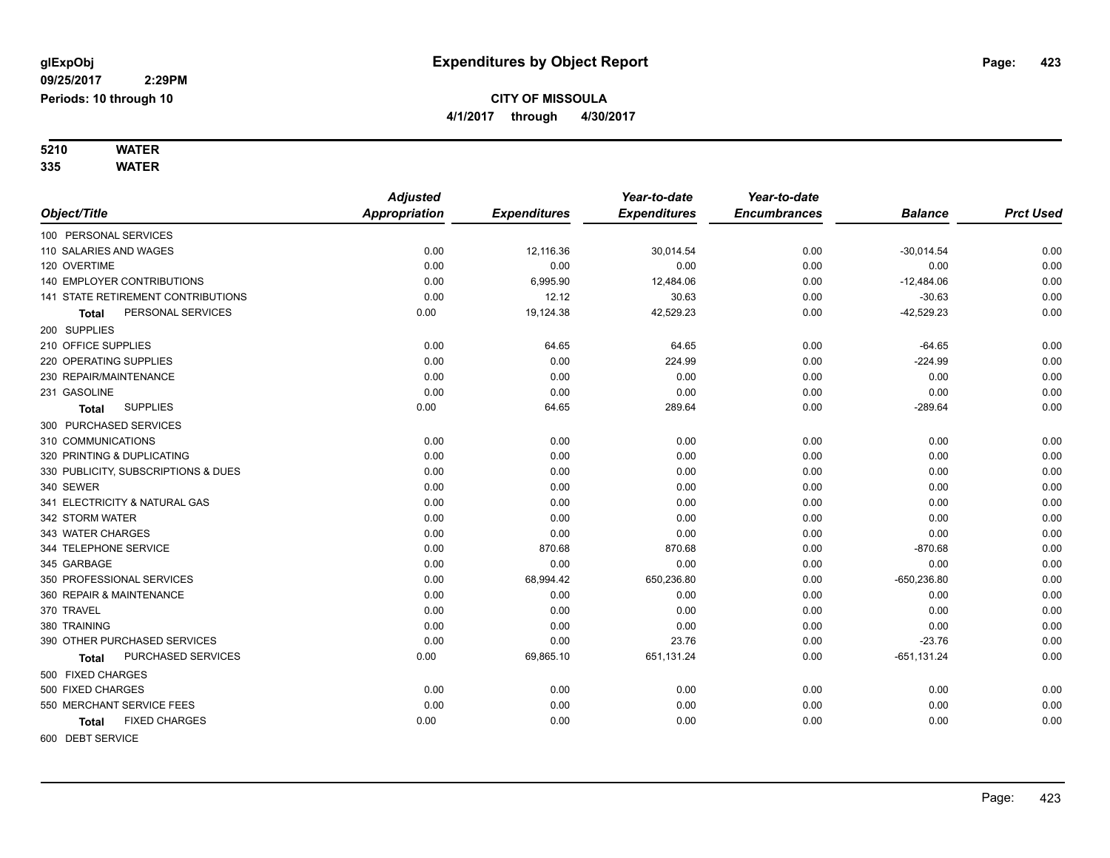#### **5210 WATER 335 WATER**

|                                      | <b>Adjusted</b>      |                     | Year-to-date        | Year-to-date        |                |                  |
|--------------------------------------|----------------------|---------------------|---------------------|---------------------|----------------|------------------|
| Object/Title                         | <b>Appropriation</b> | <b>Expenditures</b> | <b>Expenditures</b> | <b>Encumbrances</b> | <b>Balance</b> | <b>Prct Used</b> |
| 100 PERSONAL SERVICES                |                      |                     |                     |                     |                |                  |
| 110 SALARIES AND WAGES               | 0.00                 | 12,116.36           | 30,014.54           | 0.00                | $-30,014.54$   | 0.00             |
| 120 OVERTIME                         | 0.00                 | 0.00                | 0.00                | 0.00                | 0.00           | 0.00             |
| 140 EMPLOYER CONTRIBUTIONS           | 0.00                 | 6,995.90            | 12,484.06           | 0.00                | $-12,484.06$   | 0.00             |
| 141 STATE RETIREMENT CONTRIBUTIONS   | 0.00                 | 12.12               | 30.63               | 0.00                | $-30.63$       | 0.00             |
| PERSONAL SERVICES<br>Total           | 0.00                 | 19,124.38           | 42,529.23           | 0.00                | $-42,529.23$   | 0.00             |
| 200 SUPPLIES                         |                      |                     |                     |                     |                |                  |
| 210 OFFICE SUPPLIES                  | 0.00                 | 64.65               | 64.65               | 0.00                | $-64.65$       | 0.00             |
| 220 OPERATING SUPPLIES               | 0.00                 | 0.00                | 224.99              | 0.00                | $-224.99$      | 0.00             |
| 230 REPAIR/MAINTENANCE               | 0.00                 | 0.00                | 0.00                | 0.00                | 0.00           | 0.00             |
| 231 GASOLINE                         | 0.00                 | 0.00                | 0.00                | 0.00                | 0.00           | 0.00             |
| <b>SUPPLIES</b><br><b>Total</b>      | 0.00                 | 64.65               | 289.64              | 0.00                | $-289.64$      | 0.00             |
| 300 PURCHASED SERVICES               |                      |                     |                     |                     |                |                  |
| 310 COMMUNICATIONS                   | 0.00                 | 0.00                | 0.00                | 0.00                | 0.00           | 0.00             |
| 320 PRINTING & DUPLICATING           | 0.00                 | 0.00                | 0.00                | 0.00                | 0.00           | 0.00             |
| 330 PUBLICITY, SUBSCRIPTIONS & DUES  | 0.00                 | 0.00                | 0.00                | 0.00                | 0.00           | 0.00             |
| 340 SEWER                            | 0.00                 | 0.00                | 0.00                | 0.00                | 0.00           | 0.00             |
| 341 ELECTRICITY & NATURAL GAS        | 0.00                 | 0.00                | 0.00                | 0.00                | 0.00           | 0.00             |
| 342 STORM WATER                      | 0.00                 | 0.00                | 0.00                | 0.00                | 0.00           | 0.00             |
| 343 WATER CHARGES                    | 0.00                 | 0.00                | 0.00                | 0.00                | 0.00           | 0.00             |
| 344 TELEPHONE SERVICE                | 0.00                 | 870.68              | 870.68              | 0.00                | $-870.68$      | 0.00             |
| 345 GARBAGE                          | 0.00                 | 0.00                | 0.00                | 0.00                | 0.00           | 0.00             |
| 350 PROFESSIONAL SERVICES            | 0.00                 | 68,994.42           | 650,236.80          | 0.00                | $-650,236.80$  | 0.00             |
| 360 REPAIR & MAINTENANCE             | 0.00                 | 0.00                | 0.00                | 0.00                | 0.00           | 0.00             |
| 370 TRAVEL                           | 0.00                 | 0.00                | 0.00                | 0.00                | 0.00           | 0.00             |
| 380 TRAINING                         | 0.00                 | 0.00                | 0.00                | 0.00                | 0.00           | 0.00             |
| 390 OTHER PURCHASED SERVICES         | 0.00                 | 0.00                | 23.76               | 0.00                | $-23.76$       | 0.00             |
| PURCHASED SERVICES<br>Total          | 0.00                 | 69,865.10           | 651,131.24          | 0.00                | $-651, 131.24$ | 0.00             |
| 500 FIXED CHARGES                    |                      |                     |                     |                     |                |                  |
| 500 FIXED CHARGES                    | 0.00                 | 0.00                | 0.00                | 0.00                | 0.00           | 0.00             |
| 550 MERCHANT SERVICE FEES            | 0.00                 | 0.00                | 0.00                | 0.00                | 0.00           | 0.00             |
| <b>FIXED CHARGES</b><br><b>Total</b> | 0.00                 | 0.00                | 0.00                | 0.00                | 0.00           | 0.00             |
| 600 DEBT SERVICE                     |                      |                     |                     |                     |                |                  |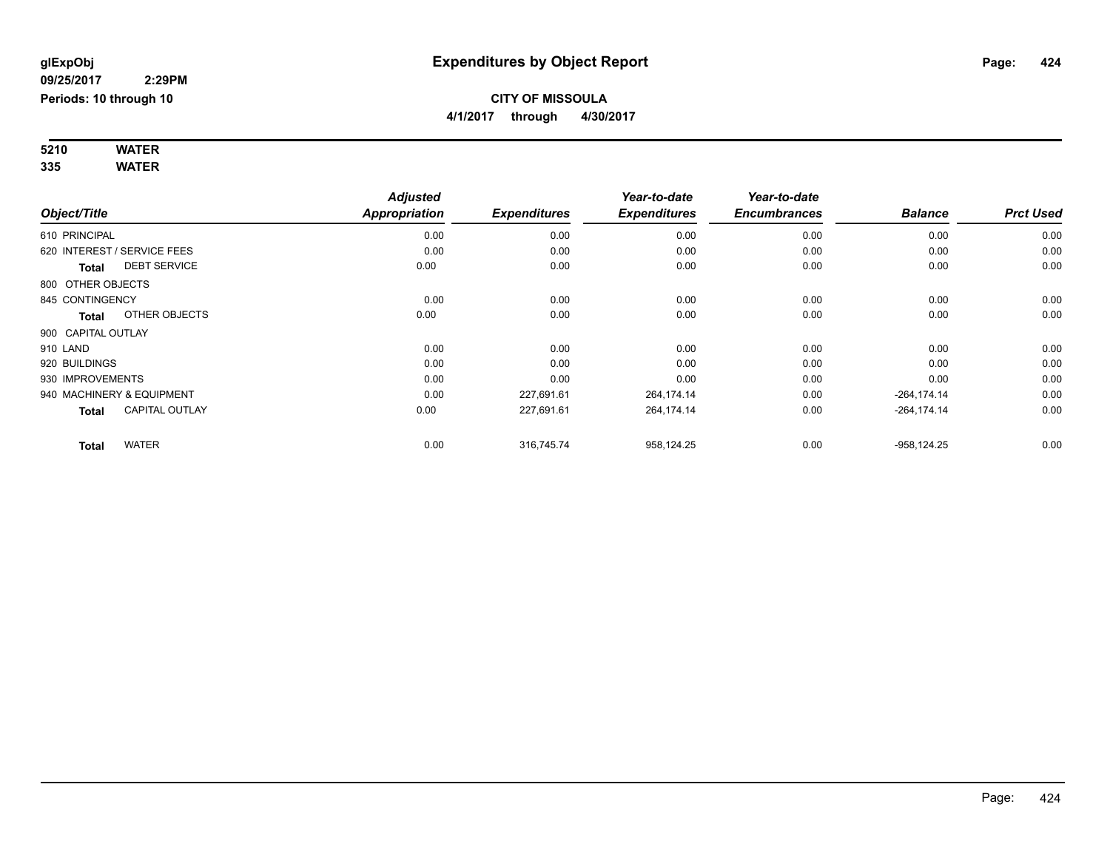#### **5210 WATER 335 WATER**

|                    |                             | <b>Adjusted</b> |                     | Year-to-date        | Year-to-date        |                |                  |
|--------------------|-----------------------------|-----------------|---------------------|---------------------|---------------------|----------------|------------------|
| Object/Title       |                             | Appropriation   | <b>Expenditures</b> | <b>Expenditures</b> | <b>Encumbrances</b> | <b>Balance</b> | <b>Prct Used</b> |
| 610 PRINCIPAL      |                             | 0.00            | 0.00                | 0.00                | 0.00                | 0.00           | 0.00             |
|                    | 620 INTEREST / SERVICE FEES | 0.00            | 0.00                | 0.00                | 0.00                | 0.00           | 0.00             |
| Total              | <b>DEBT SERVICE</b>         | 0.00            | 0.00                | 0.00                | 0.00                | 0.00           | 0.00             |
| 800 OTHER OBJECTS  |                             |                 |                     |                     |                     |                |                  |
| 845 CONTINGENCY    |                             | 0.00            | 0.00                | 0.00                | 0.00                | 0.00           | 0.00             |
| Total              | OTHER OBJECTS               | 0.00            | 0.00                | 0.00                | 0.00                | 0.00           | 0.00             |
| 900 CAPITAL OUTLAY |                             |                 |                     |                     |                     |                |                  |
| 910 LAND           |                             | 0.00            | 0.00                | 0.00                | 0.00                | 0.00           | 0.00             |
| 920 BUILDINGS      |                             | 0.00            | 0.00                | 0.00                | 0.00                | 0.00           | 0.00             |
| 930 IMPROVEMENTS   |                             | 0.00            | 0.00                | 0.00                | 0.00                | 0.00           | 0.00             |
|                    | 940 MACHINERY & EQUIPMENT   | 0.00            | 227,691.61          | 264,174.14          | 0.00                | $-264, 174.14$ | 0.00             |
| <b>Total</b>       | <b>CAPITAL OUTLAY</b>       | 0.00            | 227,691.61          | 264,174.14          | 0.00                | $-264, 174.14$ | 0.00             |
| <b>Total</b>       | <b>WATER</b>                | 0.00            | 316,745.74          | 958,124.25          | 0.00                | $-958, 124.25$ | 0.00             |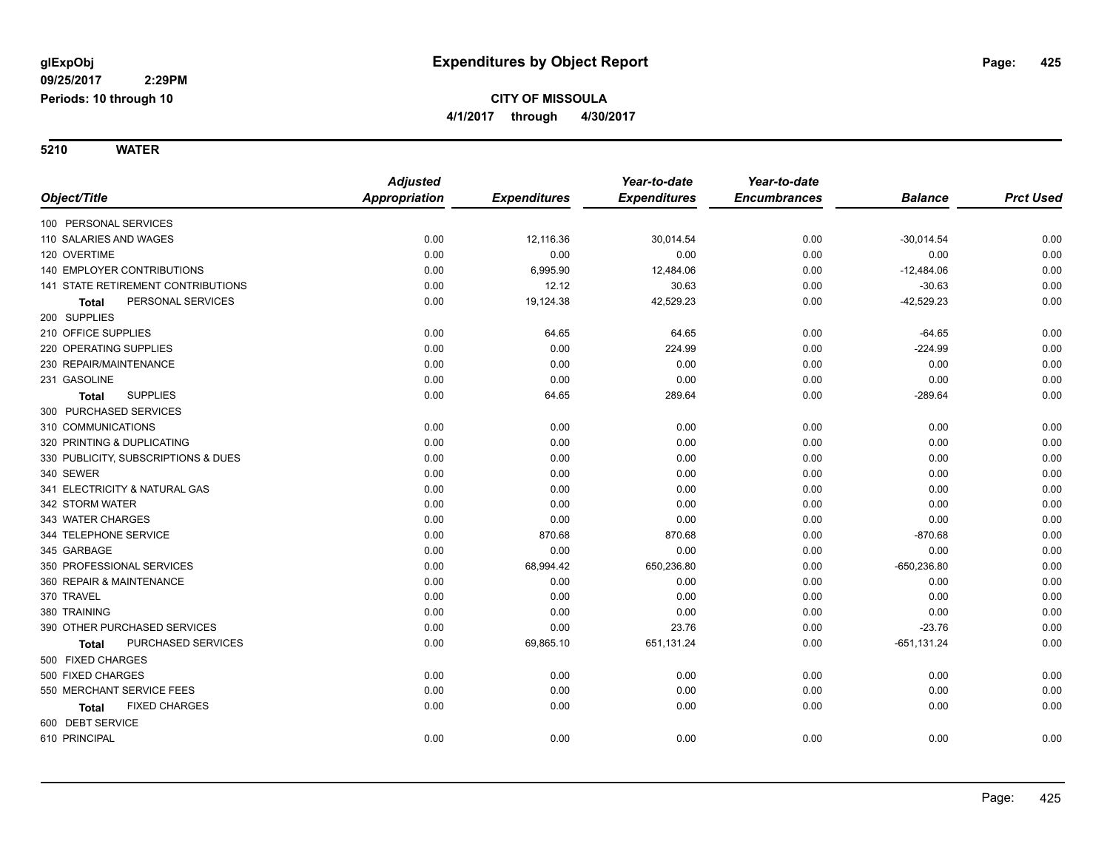**5210 WATER**

|                                     | <b>Adjusted</b> |                     | Year-to-date        | Year-to-date        |                |                  |
|-------------------------------------|-----------------|---------------------|---------------------|---------------------|----------------|------------------|
| Object/Title                        | Appropriation   | <b>Expenditures</b> | <b>Expenditures</b> | <b>Encumbrances</b> | <b>Balance</b> | <b>Prct Used</b> |
| 100 PERSONAL SERVICES               |                 |                     |                     |                     |                |                  |
| 110 SALARIES AND WAGES              | 0.00            | 12,116.36           | 30,014.54           | 0.00                | $-30,014.54$   | 0.00             |
| 120 OVERTIME                        | 0.00            | 0.00                | 0.00                | 0.00                | 0.00           | 0.00             |
| 140 EMPLOYER CONTRIBUTIONS          | 0.00            | 6,995.90            | 12,484.06           | 0.00                | $-12,484.06$   | 0.00             |
| 141 STATE RETIREMENT CONTRIBUTIONS  | 0.00            | 12.12               | 30.63               | 0.00                | $-30.63$       | 0.00             |
| PERSONAL SERVICES<br><b>Total</b>   | 0.00            | 19,124.38           | 42,529.23           | 0.00                | $-42,529.23$   | 0.00             |
| 200 SUPPLIES                        |                 |                     |                     |                     |                |                  |
| 210 OFFICE SUPPLIES                 | 0.00            | 64.65               | 64.65               | 0.00                | $-64.65$       | 0.00             |
| 220 OPERATING SUPPLIES              | 0.00            | 0.00                | 224.99              | 0.00                | $-224.99$      | 0.00             |
| 230 REPAIR/MAINTENANCE              | 0.00            | 0.00                | 0.00                | 0.00                | 0.00           | 0.00             |
| 231 GASOLINE                        | 0.00            | 0.00                | 0.00                | 0.00                | 0.00           | 0.00             |
| <b>SUPPLIES</b><br><b>Total</b>     | 0.00            | 64.65               | 289.64              | 0.00                | $-289.64$      | 0.00             |
| 300 PURCHASED SERVICES              |                 |                     |                     |                     |                |                  |
| 310 COMMUNICATIONS                  | 0.00            | 0.00                | 0.00                | 0.00                | 0.00           | 0.00             |
| 320 PRINTING & DUPLICATING          | 0.00            | 0.00                | 0.00                | 0.00                | 0.00           | 0.00             |
| 330 PUBLICITY, SUBSCRIPTIONS & DUES | 0.00            | 0.00                | 0.00                | 0.00                | 0.00           | 0.00             |
| 340 SEWER                           | 0.00            | 0.00                | 0.00                | 0.00                | 0.00           | 0.00             |
| 341 ELECTRICITY & NATURAL GAS       | 0.00            | 0.00                | 0.00                | 0.00                | 0.00           | 0.00             |
| 342 STORM WATER                     | 0.00            | 0.00                | 0.00                | 0.00                | 0.00           | 0.00             |
| 343 WATER CHARGES                   | 0.00            | 0.00                | 0.00                | 0.00                | 0.00           | 0.00             |
| 344 TELEPHONE SERVICE               | 0.00            | 870.68              | 870.68              | 0.00                | $-870.68$      | 0.00             |
| 345 GARBAGE                         | 0.00            | 0.00                | 0.00                | 0.00                | 0.00           | 0.00             |
| 350 PROFESSIONAL SERVICES           | 0.00            | 68,994.42           | 650,236.80          | 0.00                | $-650,236.80$  | 0.00             |
| 360 REPAIR & MAINTENANCE            | 0.00            | 0.00                | 0.00                | 0.00                | 0.00           | 0.00             |
| 370 TRAVEL                          | 0.00            | 0.00                | 0.00                | 0.00                | 0.00           | 0.00             |
| 380 TRAINING                        | 0.00            | 0.00                | 0.00                | 0.00                | 0.00           | 0.00             |
| 390 OTHER PURCHASED SERVICES        | 0.00            | 0.00                | 23.76               | 0.00                | $-23.76$       | 0.00             |
| PURCHASED SERVICES<br><b>Total</b>  | 0.00            | 69,865.10           | 651,131.24          | 0.00                | $-651, 131.24$ | 0.00             |
| 500 FIXED CHARGES                   |                 |                     |                     |                     |                |                  |
| 500 FIXED CHARGES                   | 0.00            | 0.00                | 0.00                | 0.00                | 0.00           | 0.00             |
| 550 MERCHANT SERVICE FEES           | 0.00            | 0.00                | 0.00                | 0.00                | 0.00           | 0.00             |
| <b>FIXED CHARGES</b><br>Total       | 0.00            | 0.00                | 0.00                | 0.00                | 0.00           | 0.00             |
| 600 DEBT SERVICE                    |                 |                     |                     |                     |                |                  |
| 610 PRINCIPAL                       | 0.00            | 0.00                | 0.00                | 0.00                | 0.00           | 0.00             |
|                                     |                 |                     |                     |                     |                |                  |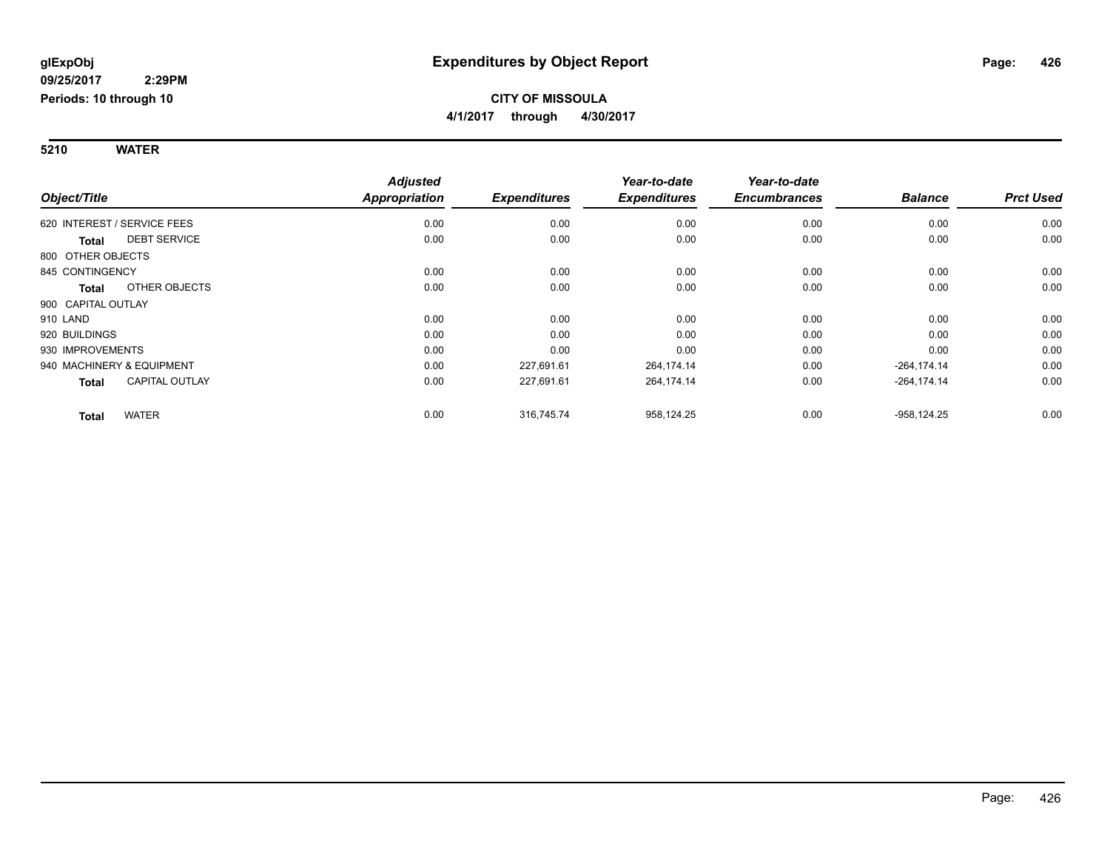#### **5210 WATER**

|                              |                       | <b>Adjusted</b>      |                     | Year-to-date        | Year-to-date        |                |                  |
|------------------------------|-----------------------|----------------------|---------------------|---------------------|---------------------|----------------|------------------|
| Object/Title                 |                       | <b>Appropriation</b> | <b>Expenditures</b> | <b>Expenditures</b> | <b>Encumbrances</b> | <b>Balance</b> | <b>Prct Used</b> |
| 620 INTEREST / SERVICE FEES  |                       | 0.00                 | 0.00                | 0.00                | 0.00                | 0.00           | 0.00             |
| <b>Total</b>                 | <b>DEBT SERVICE</b>   | 0.00                 | 0.00                | 0.00                | 0.00                | 0.00           | 0.00             |
| 800 OTHER OBJECTS            |                       |                      |                     |                     |                     |                |                  |
| 845 CONTINGENCY              |                       | 0.00                 | 0.00                | 0.00                | 0.00                | 0.00           | 0.00             |
| <b>Total</b>                 | OTHER OBJECTS         | 0.00                 | 0.00                | 0.00                | 0.00                | 0.00           | 0.00             |
| 900 CAPITAL OUTLAY           |                       |                      |                     |                     |                     |                |                  |
| 910 LAND                     |                       | 0.00                 | 0.00                | 0.00                | 0.00                | 0.00           | 0.00             |
| 920 BUILDINGS                |                       | 0.00                 | 0.00                | 0.00                | 0.00                | 0.00           | 0.00             |
| 930 IMPROVEMENTS             |                       | 0.00                 | 0.00                | 0.00                | 0.00                | 0.00           | 0.00             |
| 940 MACHINERY & EQUIPMENT    |                       | 0.00                 | 227,691.61          | 264,174.14          | 0.00                | $-264, 174.14$ | 0.00             |
| <b>Total</b>                 | <b>CAPITAL OUTLAY</b> | 0.00                 | 227,691.61          | 264,174.14          | 0.00                | $-264, 174.14$ | 0.00             |
| <b>WATER</b><br><b>Total</b> |                       | 0.00                 | 316,745.74          | 958,124.25          | 0.00                | $-958, 124.25$ | 0.00             |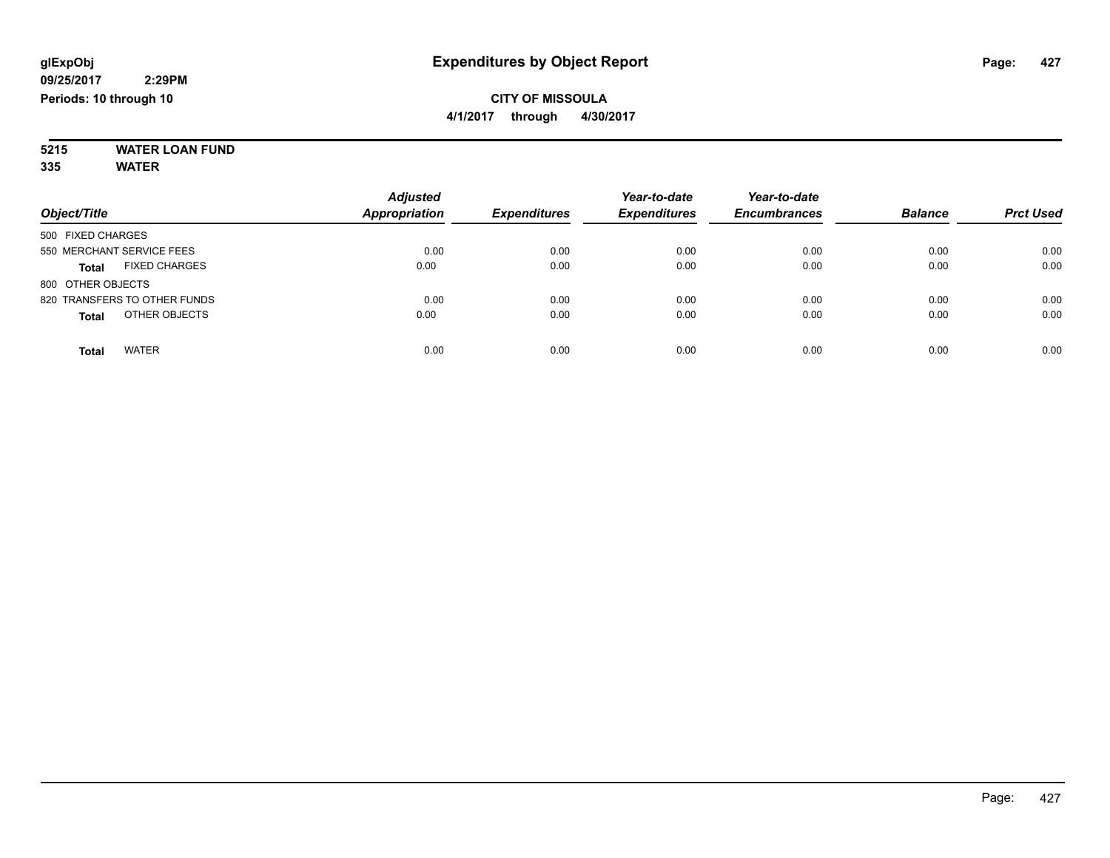#### **5215 WATER LOAN FUND 335 WATER**

|                                      | <b>Adjusted</b>      |                     | Year-to-date        | Year-to-date        |                |                  |
|--------------------------------------|----------------------|---------------------|---------------------|---------------------|----------------|------------------|
| Object/Title                         | <b>Appropriation</b> | <b>Expenditures</b> | <b>Expenditures</b> | <b>Encumbrances</b> | <b>Balance</b> | <b>Prct Used</b> |
| 500 FIXED CHARGES                    |                      |                     |                     |                     |                |                  |
| 550 MERCHANT SERVICE FEES            | 0.00                 | 0.00                | 0.00                | 0.00                | 0.00           | 0.00             |
| <b>FIXED CHARGES</b><br><b>Total</b> | 0.00                 | 0.00                | 0.00                | 0.00                | 0.00           | 0.00             |
| 800 OTHER OBJECTS                    |                      |                     |                     |                     |                |                  |
| 820 TRANSFERS TO OTHER FUNDS         | 0.00                 | 0.00                | 0.00                | 0.00                | 0.00           | 0.00             |
| OTHER OBJECTS<br><b>Total</b>        | 0.00                 | 0.00                | 0.00                | 0.00                | 0.00           | 0.00             |
| <b>WATER</b><br>Total                | 0.00                 | 0.00                | 0.00                | 0.00                | 0.00           | 0.00             |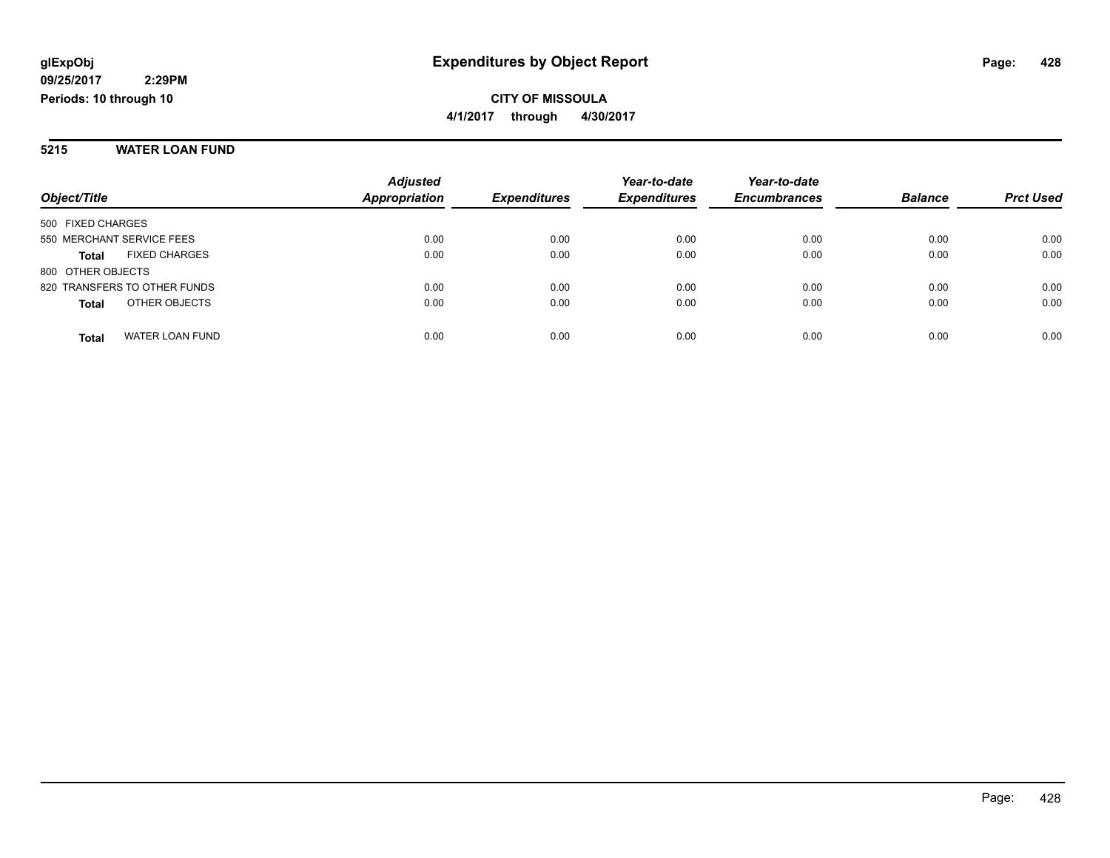#### **5215 WATER LOAN FUND**

|                              |                      | <b>Adjusted</b>      |                     | Year-to-date        | Year-to-date        |                |                  |
|------------------------------|----------------------|----------------------|---------------------|---------------------|---------------------|----------------|------------------|
| Object/Title                 |                      | <b>Appropriation</b> | <b>Expenditures</b> | <b>Expenditures</b> | <b>Encumbrances</b> | <b>Balance</b> | <b>Prct Used</b> |
| 500 FIXED CHARGES            |                      |                      |                     |                     |                     |                |                  |
| 550 MERCHANT SERVICE FEES    |                      | 0.00                 | 0.00                | 0.00                | 0.00                | 0.00           | 0.00             |
| <b>Total</b>                 | <b>FIXED CHARGES</b> | 0.00                 | 0.00                | 0.00                | 0.00                | 0.00           | 0.00             |
| 800 OTHER OBJECTS            |                      |                      |                     |                     |                     |                |                  |
| 820 TRANSFERS TO OTHER FUNDS |                      | 0.00                 | 0.00                | 0.00                | 0.00                | 0.00           | 0.00             |
| <b>Total</b>                 | OTHER OBJECTS        | 0.00                 | 0.00                | 0.00                | 0.00                | 0.00           | 0.00             |
| Total                        | WATER LOAN FUND      | 0.00                 | 0.00                | 0.00                | 0.00                | 0.00           | 0.00             |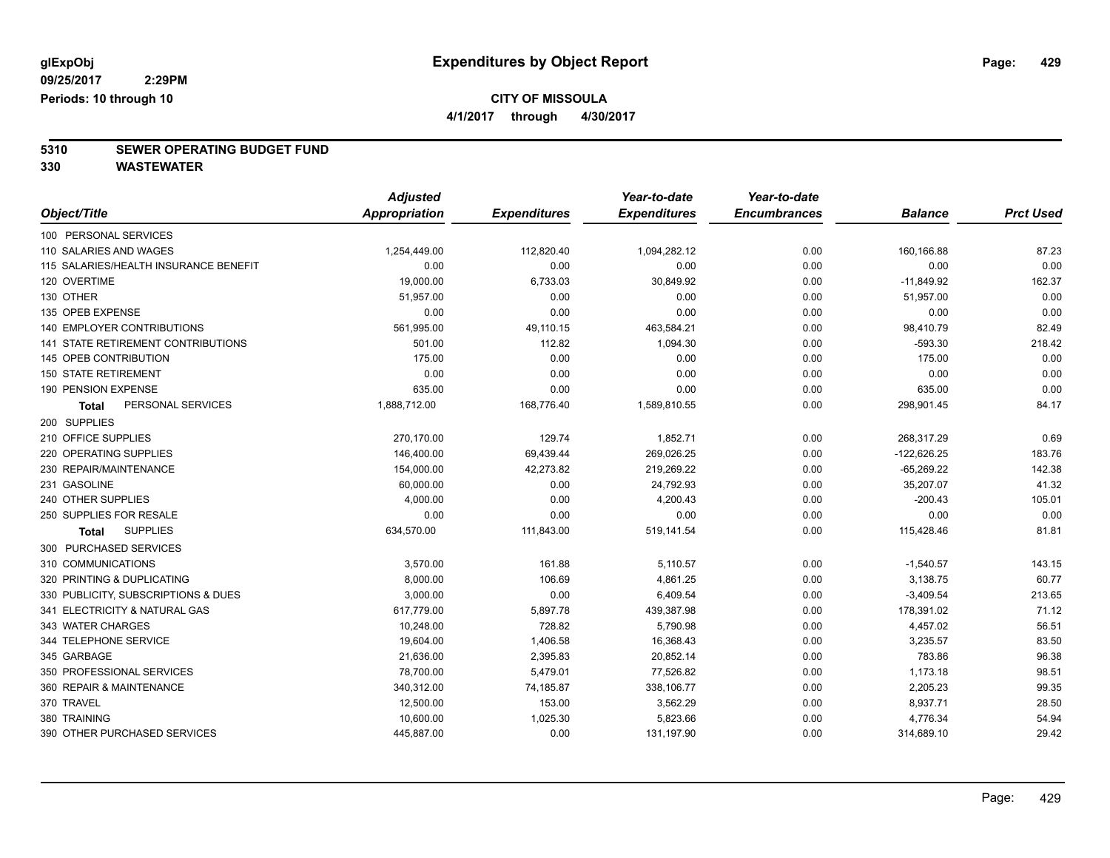**4/1/2017 through 4/30/2017**

# **5310 SEWER OPERATING BUDGET FUND**

**330 WASTEWATER**

|                                           | <b>Adjusted</b>      |                     | Year-to-date        | Year-to-date        |                |                  |
|-------------------------------------------|----------------------|---------------------|---------------------|---------------------|----------------|------------------|
| Object/Title                              | <b>Appropriation</b> | <b>Expenditures</b> | <b>Expenditures</b> | <b>Encumbrances</b> | <b>Balance</b> | <b>Prct Used</b> |
| 100 PERSONAL SERVICES                     |                      |                     |                     |                     |                |                  |
| 110 SALARIES AND WAGES                    | 1,254,449.00         | 112,820.40          | 1,094,282.12        | 0.00                | 160,166.88     | 87.23            |
| 115 SALARIES/HEALTH INSURANCE BENEFIT     | 0.00                 | 0.00                | 0.00                | 0.00                | 0.00           | 0.00             |
| 120 OVERTIME                              | 19,000.00            | 6,733.03            | 30,849.92           | 0.00                | $-11,849.92$   | 162.37           |
| 130 OTHER                                 | 51,957.00            | 0.00                | 0.00                | 0.00                | 51,957.00      | 0.00             |
| 135 OPEB EXPENSE                          | 0.00                 | 0.00                | 0.00                | 0.00                | 0.00           | 0.00             |
| <b>140 EMPLOYER CONTRIBUTIONS</b>         | 561,995.00           | 49,110.15           | 463,584.21          | 0.00                | 98,410.79      | 82.49            |
| <b>141 STATE RETIREMENT CONTRIBUTIONS</b> | 501.00               | 112.82              | 1,094.30            | 0.00                | $-593.30$      | 218.42           |
| 145 OPEB CONTRIBUTION                     | 175.00               | 0.00                | 0.00                | 0.00                | 175.00         | 0.00             |
| <b>150 STATE RETIREMENT</b>               | 0.00                 | 0.00                | 0.00                | 0.00                | 0.00           | 0.00             |
| 190 PENSION EXPENSE                       | 635.00               | 0.00                | 0.00                | 0.00                | 635.00         | 0.00             |
| PERSONAL SERVICES<br>Total                | 1,888,712.00         | 168,776.40          | 1,589,810.55        | 0.00                | 298,901.45     | 84.17            |
| 200 SUPPLIES                              |                      |                     |                     |                     |                |                  |
| 210 OFFICE SUPPLIES                       | 270,170.00           | 129.74              | 1,852.71            | 0.00                | 268,317.29     | 0.69             |
| 220 OPERATING SUPPLIES                    | 146,400.00           | 69,439.44           | 269,026.25          | 0.00                | $-122,626.25$  | 183.76           |
| 230 REPAIR/MAINTENANCE                    | 154,000.00           | 42,273.82           | 219,269.22          | 0.00                | $-65,269.22$   | 142.38           |
| 231 GASOLINE                              | 60,000.00            | 0.00                | 24,792.93           | 0.00                | 35,207.07      | 41.32            |
| 240 OTHER SUPPLIES                        | 4,000.00             | 0.00                | 4,200.43            | 0.00                | $-200.43$      | 105.01           |
| 250 SUPPLIES FOR RESALE                   | 0.00                 | 0.00                | 0.00                | 0.00                | 0.00           | 0.00             |
| <b>SUPPLIES</b><br>Total                  | 634,570.00           | 111,843.00          | 519,141.54          | 0.00                | 115,428.46     | 81.81            |
| 300 PURCHASED SERVICES                    |                      |                     |                     |                     |                |                  |
| 310 COMMUNICATIONS                        | 3,570.00             | 161.88              | 5,110.57            | 0.00                | $-1,540.57$    | 143.15           |
| 320 PRINTING & DUPLICATING                | 8,000.00             | 106.69              | 4,861.25            | 0.00                | 3,138.75       | 60.77            |
| 330 PUBLICITY, SUBSCRIPTIONS & DUES       | 3,000.00             | 0.00                | 6,409.54            | 0.00                | $-3,409.54$    | 213.65           |
| 341 ELECTRICITY & NATURAL GAS             | 617,779.00           | 5,897.78            | 439,387.98          | 0.00                | 178,391.02     | 71.12            |
| 343 WATER CHARGES                         | 10,248.00            | 728.82              | 5,790.98            | 0.00                | 4,457.02       | 56.51            |
| 344 TELEPHONE SERVICE                     | 19,604.00            | 1,406.58            | 16,368.43           | 0.00                | 3,235.57       | 83.50            |
| 345 GARBAGE                               | 21,636.00            | 2,395.83            | 20,852.14           | 0.00                | 783.86         | 96.38            |
| 350 PROFESSIONAL SERVICES                 | 78,700.00            | 5,479.01            | 77,526.82           | 0.00                | 1,173.18       | 98.51            |
| 360 REPAIR & MAINTENANCE                  | 340,312.00           | 74,185.87           | 338,106.77          | 0.00                | 2,205.23       | 99.35            |
| 370 TRAVEL                                | 12,500.00            | 153.00              | 3,562.29            | 0.00                | 8,937.71       | 28.50            |
| 380 TRAINING                              | 10,600.00            | 1,025.30            | 5,823.66            | 0.00                | 4,776.34       | 54.94            |
| 390 OTHER PURCHASED SERVICES              | 445,887.00           | 0.00                | 131,197.90          | 0.00                | 314,689.10     | 29.42            |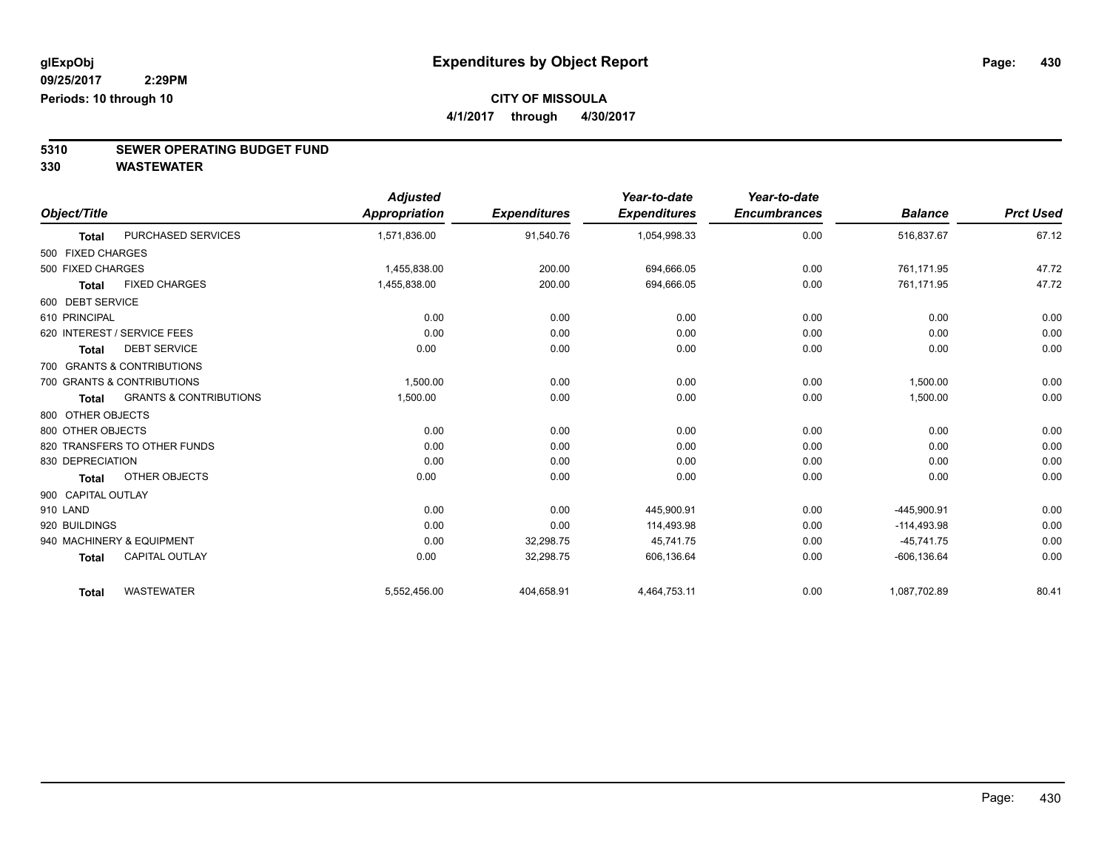**4/1/2017 through 4/30/2017**

# **5310 SEWER OPERATING BUDGET FUND**

**330 WASTEWATER**

|                    |                                   | <b>Adjusted</b> |                     | Year-to-date        | Year-to-date        |                |                  |
|--------------------|-----------------------------------|-----------------|---------------------|---------------------|---------------------|----------------|------------------|
| Object/Title       |                                   | Appropriation   | <b>Expenditures</b> | <b>Expenditures</b> | <b>Encumbrances</b> | <b>Balance</b> | <b>Prct Used</b> |
| <b>Total</b>       | <b>PURCHASED SERVICES</b>         | 1,571,836.00    | 91,540.76           | 1,054,998.33        | 0.00                | 516,837.67     | 67.12            |
| 500 FIXED CHARGES  |                                   |                 |                     |                     |                     |                |                  |
| 500 FIXED CHARGES  |                                   | 1.455.838.00    | 200.00              | 694,666.05          | 0.00                | 761.171.95     | 47.72            |
| <b>Total</b>       | <b>FIXED CHARGES</b>              | 1,455,838.00    | 200.00              | 694,666.05          | 0.00                | 761,171.95     | 47.72            |
| 600 DEBT SERVICE   |                                   |                 |                     |                     |                     |                |                  |
| 610 PRINCIPAL      |                                   | 0.00            | 0.00                | 0.00                | 0.00                | 0.00           | 0.00             |
|                    | 620 INTEREST / SERVICE FEES       | 0.00            | 0.00                | 0.00                | 0.00                | 0.00           | 0.00             |
| <b>Total</b>       | <b>DEBT SERVICE</b>               | 0.00            | 0.00                | 0.00                | 0.00                | 0.00           | 0.00             |
|                    | 700 GRANTS & CONTRIBUTIONS        |                 |                     |                     |                     |                |                  |
|                    | 700 GRANTS & CONTRIBUTIONS        | 1,500.00        | 0.00                | 0.00                | 0.00                | 1,500.00       | 0.00             |
| <b>Total</b>       | <b>GRANTS &amp; CONTRIBUTIONS</b> | 1,500.00        | 0.00                | 0.00                | 0.00                | 1,500.00       | 0.00             |
| 800 OTHER OBJECTS  |                                   |                 |                     |                     |                     |                |                  |
| 800 OTHER OBJECTS  |                                   | 0.00            | 0.00                | 0.00                | 0.00                | 0.00           | 0.00             |
|                    | 820 TRANSFERS TO OTHER FUNDS      | 0.00            | 0.00                | 0.00                | 0.00                | 0.00           | 0.00             |
| 830 DEPRECIATION   |                                   | 0.00            | 0.00                | 0.00                | 0.00                | 0.00           | 0.00             |
| <b>Total</b>       | OTHER OBJECTS                     | 0.00            | 0.00                | 0.00                | 0.00                | 0.00           | 0.00             |
| 900 CAPITAL OUTLAY |                                   |                 |                     |                     |                     |                |                  |
| 910 LAND           |                                   | 0.00            | 0.00                | 445,900.91          | 0.00                | $-445.900.91$  | 0.00             |
| 920 BUILDINGS      |                                   | 0.00            | 0.00                | 114,493.98          | 0.00                | $-114,493.98$  | 0.00             |
|                    | 940 MACHINERY & EQUIPMENT         | 0.00            | 32,298.75           | 45,741.75           | 0.00                | $-45,741.75$   | 0.00             |
| <b>Total</b>       | <b>CAPITAL OUTLAY</b>             | 0.00            | 32,298.75           | 606,136.64          | 0.00                | $-606, 136.64$ | 0.00             |
| <b>Total</b>       | <b>WASTEWATER</b>                 | 5,552,456.00    | 404,658.91          | 4,464,753.11        | 0.00                | 1,087,702.89   | 80.41            |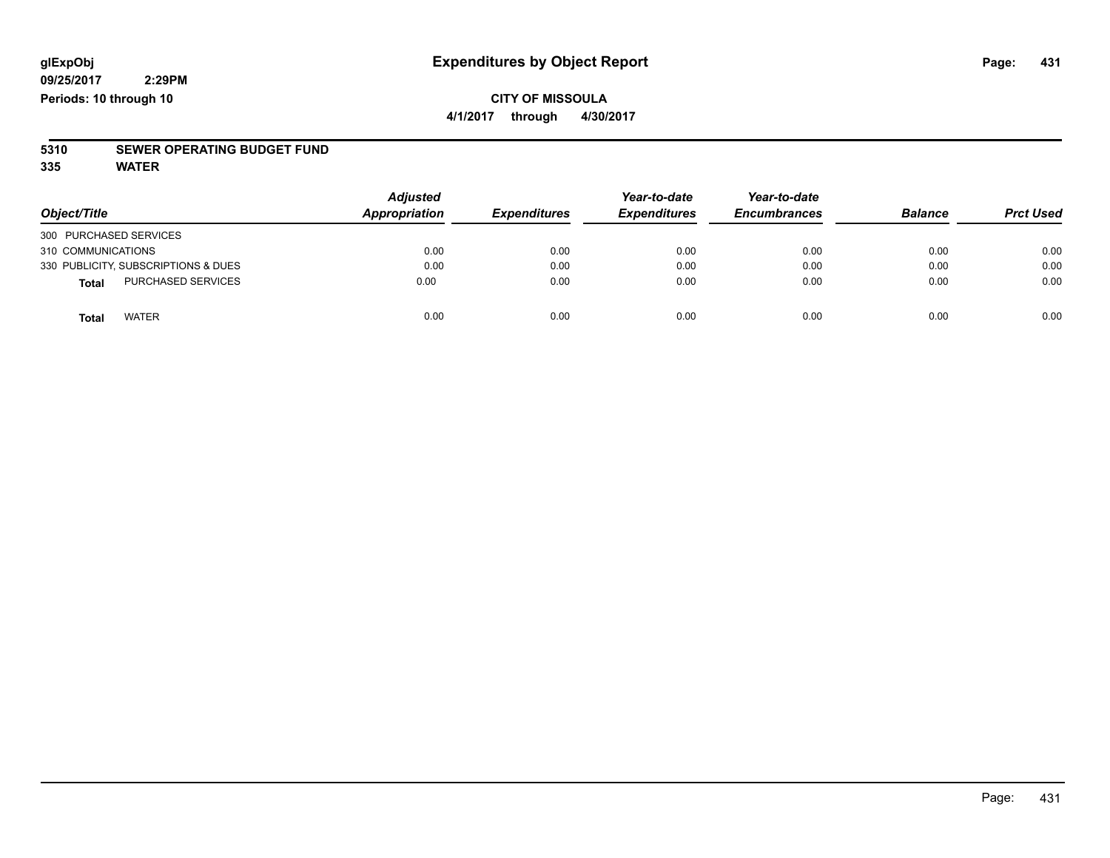#### **CITY OF MISSOULA 4/1/2017 through 4/30/2017**

# **5310 SEWER OPERATING BUDGET FUND**

**335 WATER**

|                                           | <b>Adjusted</b><br>Appropriation |                     | Year-to-date        | Year-to-date        | <b>Balance</b> |                  |
|-------------------------------------------|----------------------------------|---------------------|---------------------|---------------------|----------------|------------------|
| Object/Title                              |                                  | <b>Expenditures</b> | <b>Expenditures</b> | <b>Encumbrances</b> |                | <b>Prct Used</b> |
| 300 PURCHASED SERVICES                    |                                  |                     |                     |                     |                |                  |
| 310 COMMUNICATIONS                        | 0.00                             | 0.00                | 0.00                | 0.00                | 0.00           | 0.00             |
| 330 PUBLICITY, SUBSCRIPTIONS & DUES       | 0.00                             | 0.00                | 0.00                | 0.00                | 0.00           | 0.00             |
| <b>PURCHASED SERVICES</b><br><b>Total</b> | 0.00                             | 0.00                | 0.00                | 0.00                | 0.00           | 0.00             |
| <b>WATER</b><br>Total                     | 0.00                             | 0.00                | 0.00                | 0.00                | 0.00           | 0.00             |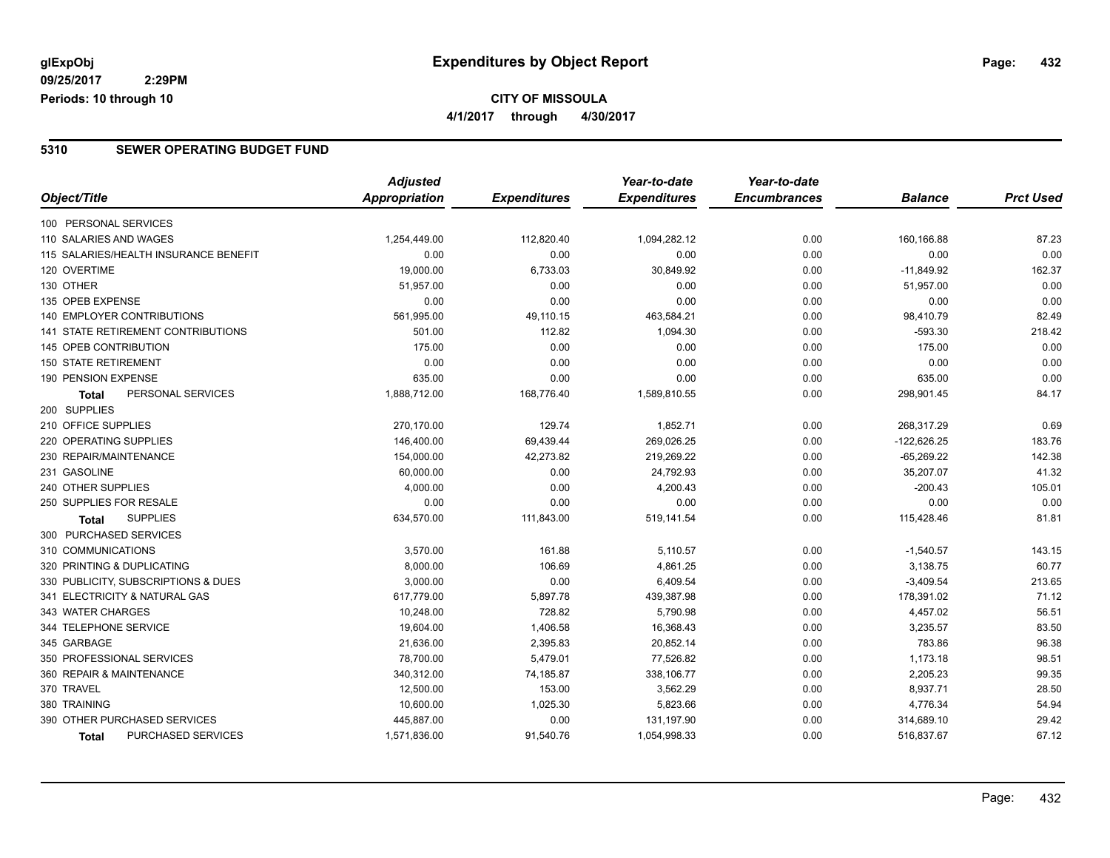#### **CITY OF MISSOULA 4/1/2017 through 4/30/2017**

#### **5310 SEWER OPERATING BUDGET FUND**

| Object/Title                          | <b>Adjusted</b>      | <b>Expenditures</b> | Year-to-date<br><b>Expenditures</b> | Year-to-date<br><b>Encumbrances</b> | <b>Balance</b> | <b>Prct Used</b> |
|---------------------------------------|----------------------|---------------------|-------------------------------------|-------------------------------------|----------------|------------------|
|                                       | <b>Appropriation</b> |                     |                                     |                                     |                |                  |
| 100 PERSONAL SERVICES                 |                      |                     |                                     |                                     |                |                  |
| 110 SALARIES AND WAGES                | 1,254,449.00         | 112,820.40          | 1,094,282.12                        | 0.00                                | 160,166.88     | 87.23            |
| 115 SALARIES/HEALTH INSURANCE BENEFIT | 0.00                 | 0.00                | 0.00                                | 0.00                                | 0.00           | 0.00             |
| 120 OVERTIME                          | 19,000.00            | 6,733.03            | 30,849.92                           | 0.00                                | $-11,849.92$   | 162.37           |
| 130 OTHER                             | 51,957.00            | 0.00                | 0.00                                | 0.00                                | 51,957.00      | 0.00             |
| 135 OPEB EXPENSE                      | 0.00                 | 0.00                | 0.00                                | 0.00                                | 0.00           | 0.00             |
| 140 EMPLOYER CONTRIBUTIONS            | 561,995.00           | 49,110.15           | 463,584.21                          | 0.00                                | 98,410.79      | 82.49            |
| 141 STATE RETIREMENT CONTRIBUTIONS    | 501.00               | 112.82              | 1,094.30                            | 0.00                                | $-593.30$      | 218.42           |
| <b>145 OPEB CONTRIBUTION</b>          | 175.00               | 0.00                | 0.00                                | 0.00                                | 175.00         | 0.00             |
| <b>150 STATE RETIREMENT</b>           | 0.00                 | 0.00                | 0.00                                | 0.00                                | 0.00           | 0.00             |
| 190 PENSION EXPENSE                   | 635.00               | 0.00                | 0.00                                | 0.00                                | 635.00         | 0.00             |
| PERSONAL SERVICES<br>Total            | 1,888,712.00         | 168,776.40          | 1,589,810.55                        | 0.00                                | 298,901.45     | 84.17            |
| 200 SUPPLIES                          |                      |                     |                                     |                                     |                |                  |
| 210 OFFICE SUPPLIES                   | 270,170.00           | 129.74              | 1,852.71                            | 0.00                                | 268,317.29     | 0.69             |
| 220 OPERATING SUPPLIES                | 146,400.00           | 69,439.44           | 269,026.25                          | 0.00                                | $-122,626.25$  | 183.76           |
| 230 REPAIR/MAINTENANCE                | 154,000.00           | 42,273.82           | 219,269.22                          | 0.00                                | $-65,269.22$   | 142.38           |
| 231 GASOLINE                          | 60,000.00            | 0.00                | 24,792.93                           | 0.00                                | 35,207.07      | 41.32            |
| 240 OTHER SUPPLIES                    | 4,000.00             | 0.00                | 4,200.43                            | 0.00                                | $-200.43$      | 105.01           |
| 250 SUPPLIES FOR RESALE               | 0.00                 | 0.00                | 0.00                                | 0.00                                | 0.00           | 0.00             |
| <b>SUPPLIES</b><br><b>Total</b>       | 634,570.00           | 111,843.00          | 519,141.54                          | 0.00                                | 115,428.46     | 81.81            |
| 300 PURCHASED SERVICES                |                      |                     |                                     |                                     |                |                  |
| 310 COMMUNICATIONS                    | 3,570.00             | 161.88              | 5,110.57                            | 0.00                                | $-1,540.57$    | 143.15           |
| 320 PRINTING & DUPLICATING            | 8,000.00             | 106.69              | 4,861.25                            | 0.00                                | 3,138.75       | 60.77            |
| 330 PUBLICITY, SUBSCRIPTIONS & DUES   | 3,000.00             | 0.00                | 6,409.54                            | 0.00                                | $-3,409.54$    | 213.65           |
| 341 ELECTRICITY & NATURAL GAS         | 617,779.00           | 5,897.78            | 439,387.98                          | 0.00                                | 178,391.02     | 71.12            |
| 343 WATER CHARGES                     | 10,248.00            | 728.82              | 5,790.98                            | 0.00                                | 4,457.02       | 56.51            |
| 344 TELEPHONE SERVICE                 | 19,604.00            | 1,406.58            | 16,368.43                           | 0.00                                | 3,235.57       | 83.50            |
| 345 GARBAGE                           | 21,636.00            | 2,395.83            | 20,852.14                           | 0.00                                | 783.86         | 96.38            |
| 350 PROFESSIONAL SERVICES             | 78,700.00            | 5,479.01            | 77,526.82                           | 0.00                                | 1,173.18       | 98.51            |
| 360 REPAIR & MAINTENANCE              | 340,312.00           | 74,185.87           | 338,106.77                          | 0.00                                | 2,205.23       | 99.35            |
| 370 TRAVEL                            | 12,500.00            | 153.00              | 3,562.29                            | 0.00                                | 8,937.71       | 28.50            |
| 380 TRAINING                          | 10,600.00            | 1,025.30            | 5,823.66                            | 0.00                                | 4,776.34       | 54.94            |
| 390 OTHER PURCHASED SERVICES          | 445,887.00           | 0.00                | 131,197.90                          | 0.00                                | 314,689.10     | 29.42            |
| PURCHASED SERVICES<br>Total           | 1,571,836.00         | 91,540.76           | 1,054,998.33                        | 0.00                                | 516,837.67     | 67.12            |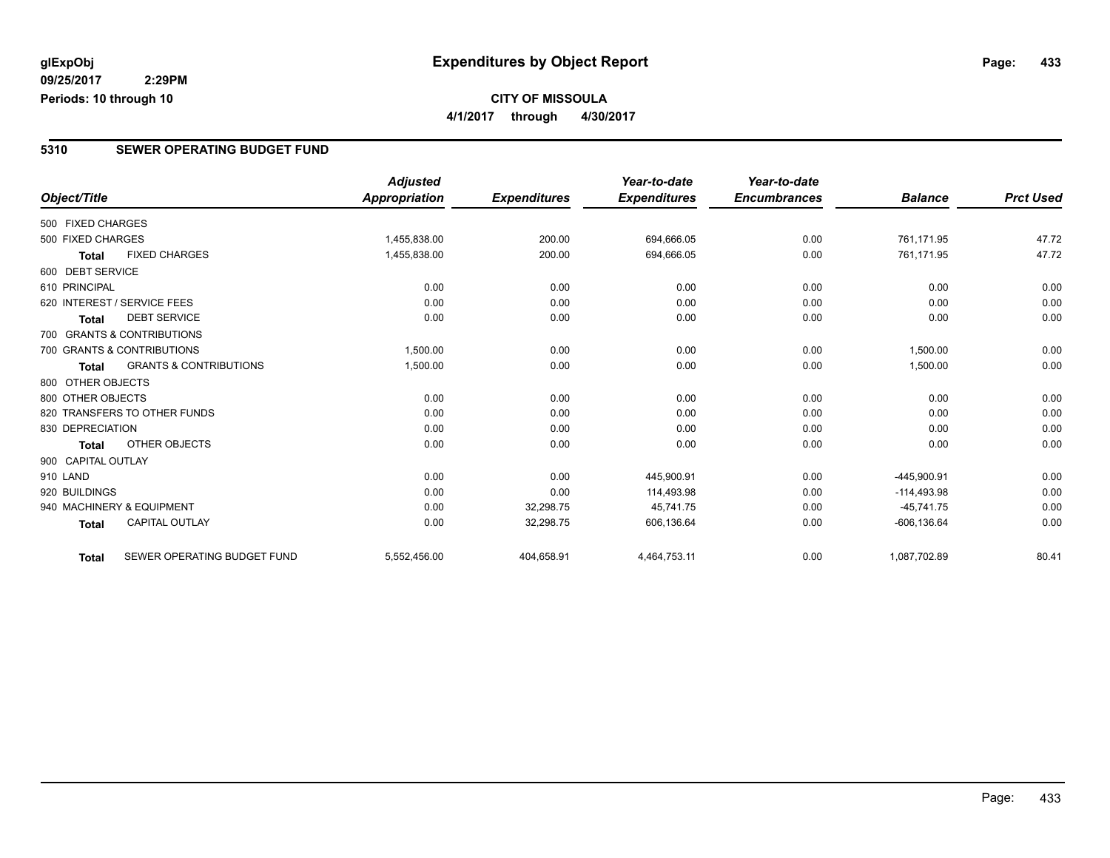**CITY OF MISSOULA 4/1/2017 through 4/30/2017**

#### **5310 SEWER OPERATING BUDGET FUND**

|                    |                                   | <b>Adjusted</b>      |                     | Year-to-date        | Year-to-date        |                |                  |
|--------------------|-----------------------------------|----------------------|---------------------|---------------------|---------------------|----------------|------------------|
| Object/Title       |                                   | <b>Appropriation</b> | <b>Expenditures</b> | <b>Expenditures</b> | <b>Encumbrances</b> | <b>Balance</b> | <b>Prct Used</b> |
| 500 FIXED CHARGES  |                                   |                      |                     |                     |                     |                |                  |
| 500 FIXED CHARGES  |                                   | 1,455,838.00         | 200.00              | 694,666.05          | 0.00                | 761,171.95     | 47.72            |
| <b>Total</b>       | <b>FIXED CHARGES</b>              | 1,455,838.00         | 200.00              | 694,666.05          | 0.00                | 761,171.95     | 47.72            |
| 600 DEBT SERVICE   |                                   |                      |                     |                     |                     |                |                  |
| 610 PRINCIPAL      |                                   | 0.00                 | 0.00                | 0.00                | 0.00                | 0.00           | 0.00             |
|                    | 620 INTEREST / SERVICE FEES       | 0.00                 | 0.00                | 0.00                | 0.00                | 0.00           | 0.00             |
| Total              | <b>DEBT SERVICE</b>               | 0.00                 | 0.00                | 0.00                | 0.00                | 0.00           | 0.00             |
|                    | 700 GRANTS & CONTRIBUTIONS        |                      |                     |                     |                     |                |                  |
|                    | 700 GRANTS & CONTRIBUTIONS        | 1,500.00             | 0.00                | 0.00                | 0.00                | 1,500.00       | 0.00             |
| Total              | <b>GRANTS &amp; CONTRIBUTIONS</b> | 1,500.00             | 0.00                | 0.00                | 0.00                | 1,500.00       | 0.00             |
| 800 OTHER OBJECTS  |                                   |                      |                     |                     |                     |                |                  |
| 800 OTHER OBJECTS  |                                   | 0.00                 | 0.00                | 0.00                | 0.00                | 0.00           | 0.00             |
|                    | 820 TRANSFERS TO OTHER FUNDS      | 0.00                 | 0.00                | 0.00                | 0.00                | 0.00           | 0.00             |
| 830 DEPRECIATION   |                                   | 0.00                 | 0.00                | 0.00                | 0.00                | 0.00           | 0.00             |
| <b>Total</b>       | OTHER OBJECTS                     | 0.00                 | 0.00                | 0.00                | 0.00                | 0.00           | 0.00             |
| 900 CAPITAL OUTLAY |                                   |                      |                     |                     |                     |                |                  |
| 910 LAND           |                                   | 0.00                 | 0.00                | 445,900.91          | 0.00                | -445,900.91    | 0.00             |
| 920 BUILDINGS      |                                   | 0.00                 | 0.00                | 114,493.98          | 0.00                | $-114,493.98$  | 0.00             |
|                    | 940 MACHINERY & EQUIPMENT         | 0.00                 | 32,298.75           | 45.741.75           | 0.00                | $-45,741.75$   | 0.00             |
| <b>Total</b>       | <b>CAPITAL OUTLAY</b>             | 0.00                 | 32,298.75           | 606,136.64          | 0.00                | $-606, 136.64$ | 0.00             |
| <b>Total</b>       | SEWER OPERATING BUDGET FUND       | 5,552,456.00         | 404,658.91          | 4,464,753.11        | 0.00                | 1,087,702.89   | 80.41            |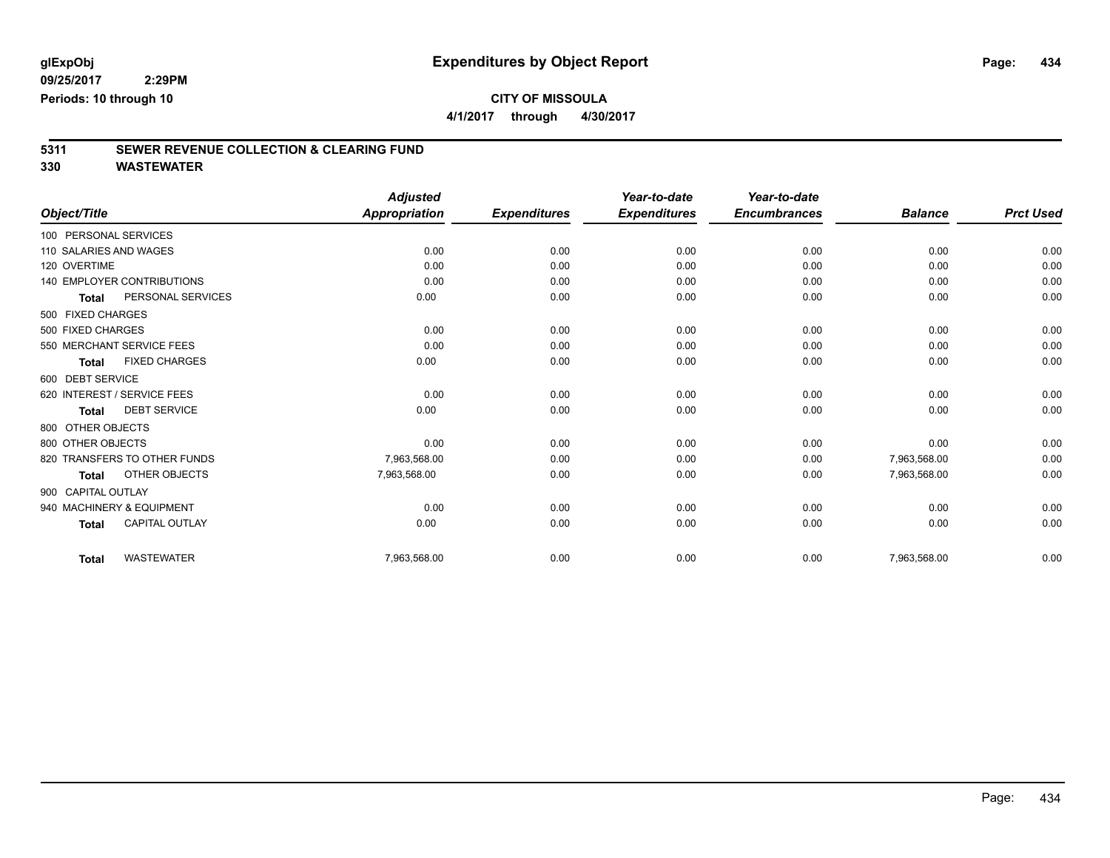**4/1/2017 through 4/30/2017**

# **5311 SEWER REVENUE COLLECTION & CLEARING FUND**

|                                       | <b>Adjusted</b>                   |                     | Year-to-date        | Year-to-date        |                |                  |
|---------------------------------------|-----------------------------------|---------------------|---------------------|---------------------|----------------|------------------|
| Object/Title                          | <b>Appropriation</b>              | <b>Expenditures</b> | <b>Expenditures</b> | <b>Encumbrances</b> | <b>Balance</b> | <b>Prct Used</b> |
| 100 PERSONAL SERVICES                 |                                   |                     |                     |                     |                |                  |
| 110 SALARIES AND WAGES                | 0.00                              | 0.00                | 0.00                | 0.00                | 0.00           | 0.00             |
| 120 OVERTIME                          | 0.00                              | 0.00                | 0.00                | 0.00                | 0.00           | 0.00             |
| <b>140 EMPLOYER CONTRIBUTIONS</b>     | 0.00                              | 0.00                | 0.00                | 0.00                | 0.00           | 0.00             |
| PERSONAL SERVICES<br><b>Total</b>     | 0.00                              | 0.00                | 0.00                | 0.00                | 0.00           | 0.00             |
| 500 FIXED CHARGES                     |                                   |                     |                     |                     |                |                  |
| 500 FIXED CHARGES                     | 0.00                              | 0.00                | 0.00                | 0.00                | 0.00           | 0.00             |
| 550 MERCHANT SERVICE FEES             | 0.00                              | 0.00                | 0.00                | 0.00                | 0.00           | 0.00             |
| <b>FIXED CHARGES</b><br><b>Total</b>  | 0.00                              | 0.00                | 0.00                | 0.00                | 0.00           | 0.00             |
| 600 DEBT SERVICE                      |                                   |                     |                     |                     |                |                  |
| 620 INTEREST / SERVICE FEES           | 0.00                              | 0.00                | 0.00                | 0.00                | 0.00           | 0.00             |
| <b>DEBT SERVICE</b><br><b>Total</b>   | 0.00                              | 0.00                | 0.00                | 0.00                | 0.00           | 0.00             |
| 800 OTHER OBJECTS                     |                                   |                     |                     |                     |                |                  |
| 800 OTHER OBJECTS                     | 0.00                              | 0.00                | 0.00                | 0.00                | 0.00           | 0.00             |
| 820 TRANSFERS TO OTHER FUNDS          | 7,963,568.00                      | 0.00                | 0.00                | 0.00                | 7,963,568.00   | 0.00             |
| OTHER OBJECTS<br>Total                | 7,963,568.00                      | 0.00                | 0.00                | 0.00                | 7,963,568.00   | 0.00             |
| 900 CAPITAL OUTLAY                    |                                   |                     |                     |                     |                |                  |
| 940 MACHINERY & EQUIPMENT             | 0.00                              | 0.00                | 0.00                | 0.00                | 0.00           | 0.00             |
| <b>CAPITAL OUTLAY</b><br><b>Total</b> | 0.00                              | 0.00                | 0.00                | 0.00                | 0.00           | 0.00             |
|                                       |                                   |                     |                     |                     |                | 0.00             |
|                                       | <b>WASTEWATER</b><br><b>Total</b> | 7,963,568.00        | 0.00                | 0.00                | 0.00           | 7,963,568.00     |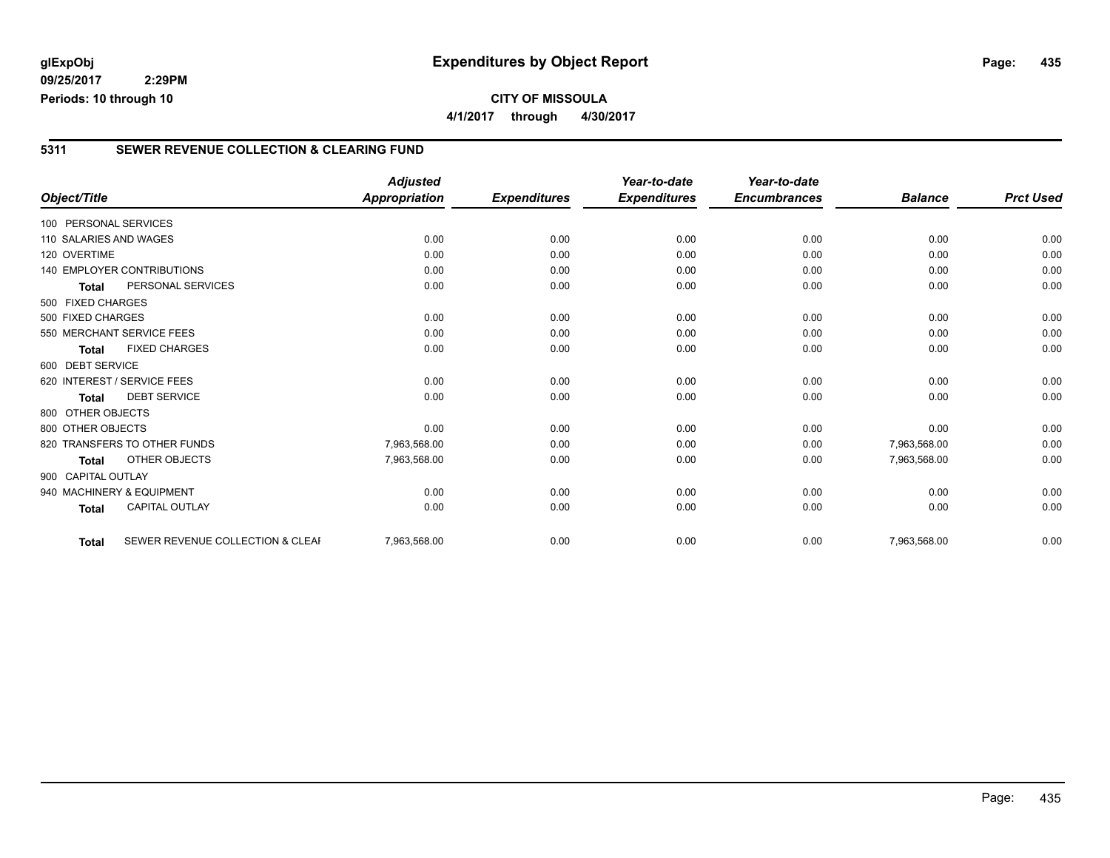**09/25/2017 2:29PM Periods: 10 through 10**

#### **5311 SEWER REVENUE COLLECTION & CLEARING FUND**

|                                                  | <b>Adjusted</b>      |                     | Year-to-date        | Year-to-date        |                |                  |
|--------------------------------------------------|----------------------|---------------------|---------------------|---------------------|----------------|------------------|
| Object/Title                                     | <b>Appropriation</b> | <b>Expenditures</b> | <b>Expenditures</b> | <b>Encumbrances</b> | <b>Balance</b> | <b>Prct Used</b> |
| 100 PERSONAL SERVICES                            |                      |                     |                     |                     |                |                  |
| 110 SALARIES AND WAGES                           | 0.00                 | 0.00                | 0.00                | 0.00                | 0.00           | 0.00             |
| 120 OVERTIME                                     | 0.00                 | 0.00                | 0.00                | 0.00                | 0.00           | 0.00             |
| <b>140 EMPLOYER CONTRIBUTIONS</b>                | 0.00                 | 0.00                | 0.00                | 0.00                | 0.00           | 0.00             |
| PERSONAL SERVICES<br><b>Total</b>                | 0.00                 | 0.00                | 0.00                | 0.00                | 0.00           | 0.00             |
| 500 FIXED CHARGES                                |                      |                     |                     |                     |                |                  |
| 500 FIXED CHARGES                                | 0.00                 | 0.00                | 0.00                | 0.00                | 0.00           | 0.00             |
| 550 MERCHANT SERVICE FEES                        | 0.00                 | 0.00                | 0.00                | 0.00                | 0.00           | 0.00             |
| <b>FIXED CHARGES</b><br><b>Total</b>             | 0.00                 | 0.00                | 0.00                | 0.00                | 0.00           | 0.00             |
| 600 DEBT SERVICE                                 |                      |                     |                     |                     |                |                  |
| 620 INTEREST / SERVICE FEES                      | 0.00                 | 0.00                | 0.00                | 0.00                | 0.00           | 0.00             |
| <b>DEBT SERVICE</b><br><b>Total</b>              | 0.00                 | 0.00                | 0.00                | 0.00                | 0.00           | 0.00             |
| 800 OTHER OBJECTS                                |                      |                     |                     |                     |                |                  |
| 800 OTHER OBJECTS                                | 0.00                 | 0.00                | 0.00                | 0.00                | 0.00           | 0.00             |
| 820 TRANSFERS TO OTHER FUNDS                     | 7,963,568.00         | 0.00                | 0.00                | 0.00                | 7,963,568.00   | 0.00             |
| <b>OTHER OBJECTS</b><br><b>Total</b>             | 7,963,568.00         | 0.00                | 0.00                | 0.00                | 7,963,568.00   | 0.00             |
| 900 CAPITAL OUTLAY                               |                      |                     |                     |                     |                |                  |
| 940 MACHINERY & EQUIPMENT                        | 0.00                 | 0.00                | 0.00                | 0.00                | 0.00           | 0.00             |
| <b>CAPITAL OUTLAY</b><br><b>Total</b>            | 0.00                 | 0.00                | 0.00                | 0.00                | 0.00           | 0.00             |
|                                                  |                      |                     |                     |                     |                |                  |
| SEWER REVENUE COLLECTION & CLEAF<br><b>Total</b> | 7,963,568.00         | 0.00                | 0.00                | 0.00                | 7,963,568.00   | 0.00             |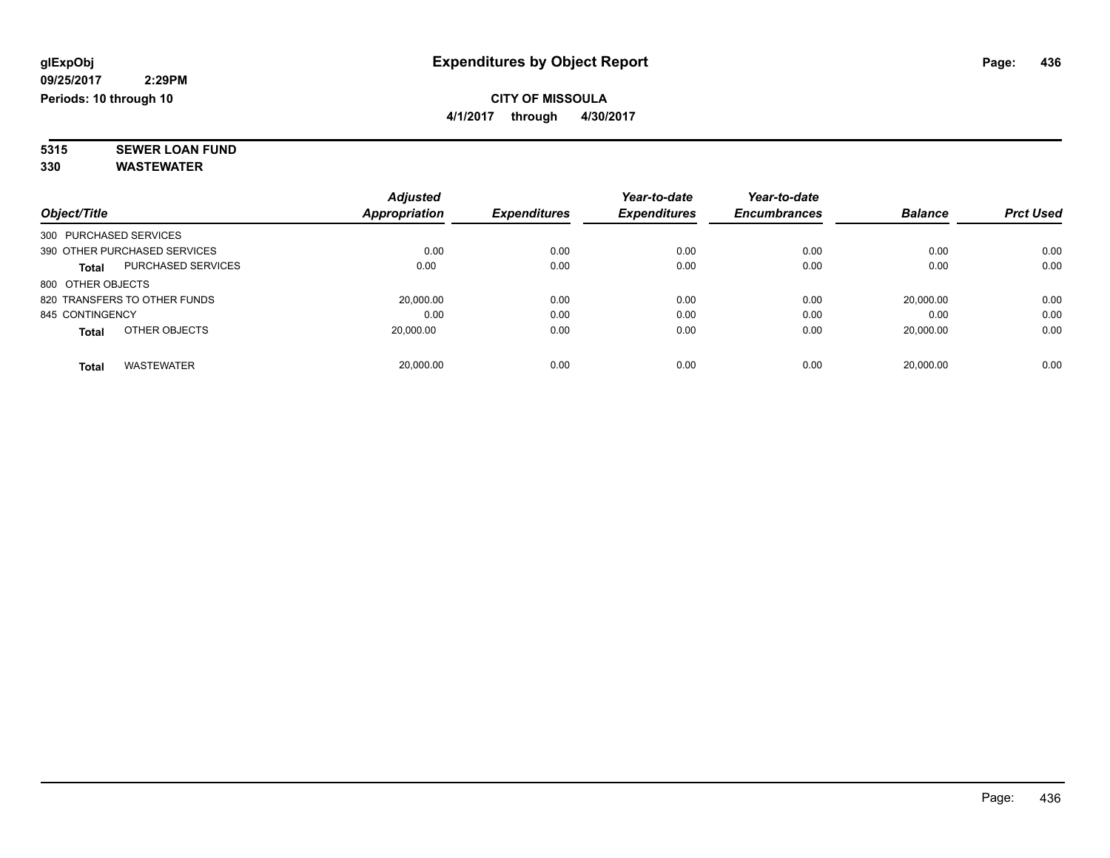### **CITY OF MISSOULA 4/1/2017 through 4/30/2017**

**5315 SEWER LOAN FUND**

|                        |                              | <b>Adjusted</b> |                     | Year-to-date        | Year-to-date        |                |                  |
|------------------------|------------------------------|-----------------|---------------------|---------------------|---------------------|----------------|------------------|
| Object/Title           |                              | Appropriation   | <b>Expenditures</b> | <b>Expenditures</b> | <b>Encumbrances</b> | <b>Balance</b> | <b>Prct Used</b> |
| 300 PURCHASED SERVICES |                              |                 |                     |                     |                     |                |                  |
|                        | 390 OTHER PURCHASED SERVICES | 0.00            | 0.00                | 0.00                | 0.00                | 0.00           | 0.00             |
| <b>Total</b>           | <b>PURCHASED SERVICES</b>    | 0.00            | 0.00                | 0.00                | 0.00                | 0.00           | 0.00             |
| 800 OTHER OBJECTS      |                              |                 |                     |                     |                     |                |                  |
|                        | 820 TRANSFERS TO OTHER FUNDS | 20.000.00       | 0.00                | 0.00                | 0.00                | 20.000.00      | 0.00             |
| 845 CONTINGENCY        |                              | 0.00            | 0.00                | 0.00                | 0.00                | 0.00           | 0.00             |
| <b>Total</b>           | OTHER OBJECTS                | 20.000.00       | 0.00                | 0.00                | 0.00                | 20,000.00      | 0.00             |
| <b>Total</b>           | <b>WASTEWATER</b>            | 20.000.00       | 0.00                | 0.00                | 0.00                | 20.000.00      | 0.00             |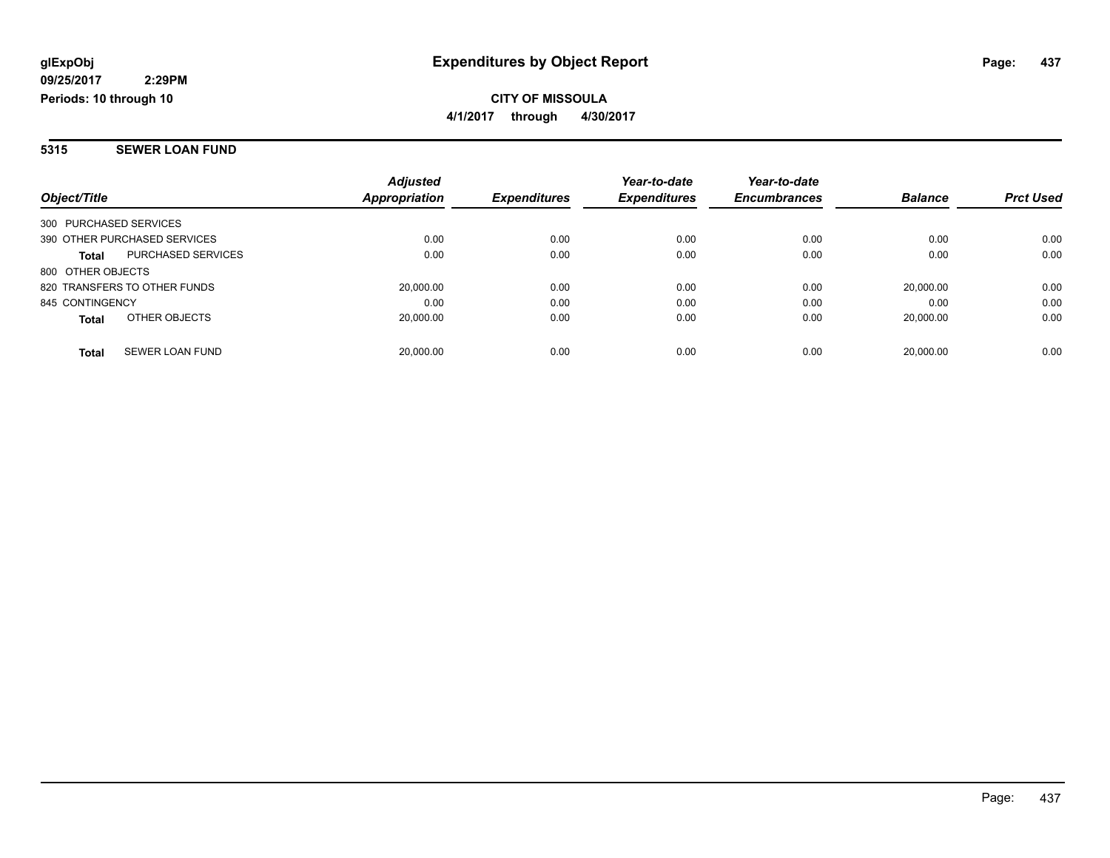**CITY OF MISSOULA 4/1/2017 through 4/30/2017**

#### **5315 SEWER LOAN FUND**

| Object/Title                              | <b>Adjusted</b><br>Appropriation | <b>Expenditures</b> | Year-to-date<br><b>Expenditures</b> | Year-to-date<br><b>Encumbrances</b> | <b>Balance</b> | <b>Prct Used</b> |
|-------------------------------------------|----------------------------------|---------------------|-------------------------------------|-------------------------------------|----------------|------------------|
| 300 PURCHASED SERVICES                    |                                  |                     |                                     |                                     |                |                  |
| 390 OTHER PURCHASED SERVICES              | 0.00                             | 0.00                | 0.00                                | 0.00                                | 0.00           | 0.00             |
| <b>PURCHASED SERVICES</b><br><b>Total</b> | 0.00                             | 0.00                | 0.00                                | 0.00                                | 0.00           | 0.00             |
| 800 OTHER OBJECTS                         |                                  |                     |                                     |                                     |                |                  |
| 820 TRANSFERS TO OTHER FUNDS              | 20,000.00                        | 0.00                | 0.00                                | 0.00                                | 20.000.00      | 0.00             |
| 845 CONTINGENCY                           | 0.00                             | 0.00                | 0.00                                | 0.00                                | 0.00           | 0.00             |
| OTHER OBJECTS<br><b>Total</b>             | 20.000.00                        | 0.00                | 0.00                                | 0.00                                | 20.000.00      | 0.00             |
| SEWER LOAN FUND<br><b>Total</b>           | 20.000.00                        | 0.00                | 0.00                                | 0.00                                | 20.000.00      | 0.00             |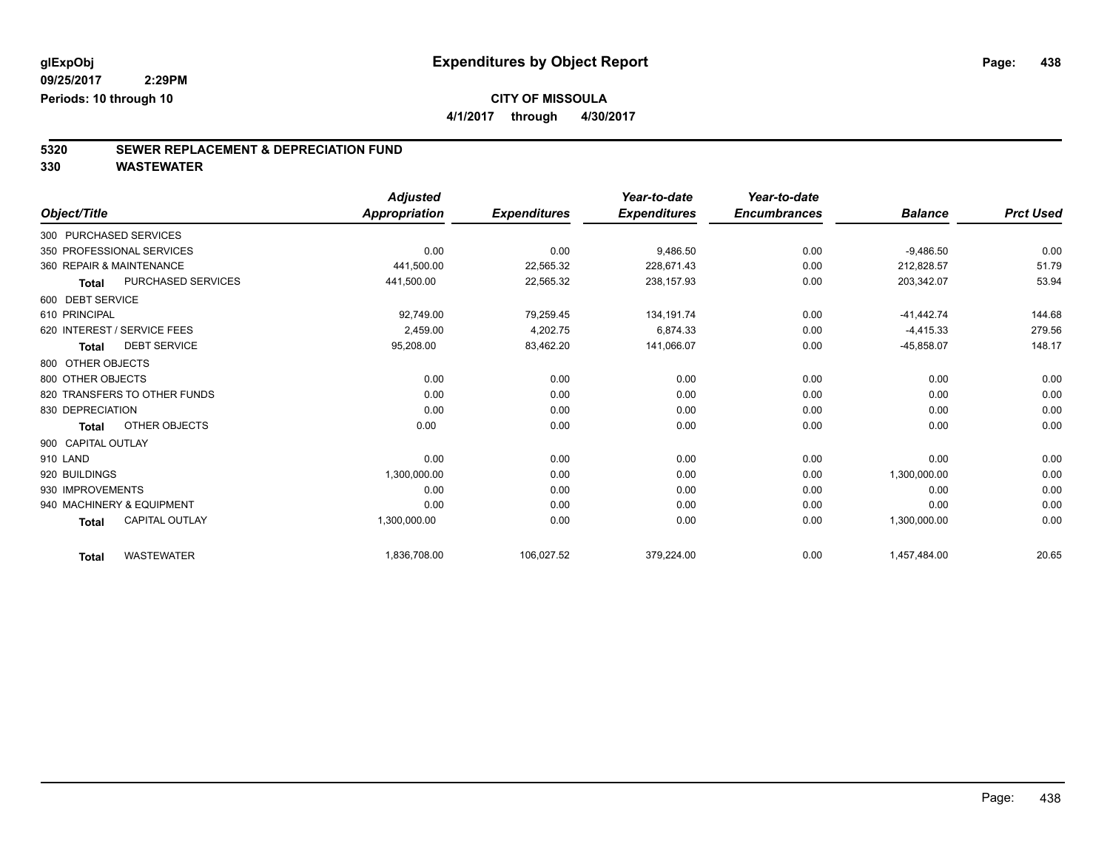**4/1/2017 through 4/30/2017**

# **5320 SEWER REPLACEMENT & DEPRECIATION FUND**

|                                       | <b>Adjusted</b>      |                     | Year-to-date        | Year-to-date        |                |                  |
|---------------------------------------|----------------------|---------------------|---------------------|---------------------|----------------|------------------|
| Object/Title                          | <b>Appropriation</b> | <b>Expenditures</b> | <b>Expenditures</b> | <b>Encumbrances</b> | <b>Balance</b> | <b>Prct Used</b> |
| 300 PURCHASED SERVICES                |                      |                     |                     |                     |                |                  |
| 350 PROFESSIONAL SERVICES             | 0.00                 | 0.00                | 9,486.50            | 0.00                | $-9,486.50$    | 0.00             |
| 360 REPAIR & MAINTENANCE              | 441,500.00           | 22,565.32           | 228,671.43          | 0.00                | 212,828.57     | 51.79            |
| PURCHASED SERVICES<br><b>Total</b>    | 441,500.00           | 22,565.32           | 238,157.93          | 0.00                | 203,342.07     | 53.94            |
| 600 DEBT SERVICE                      |                      |                     |                     |                     |                |                  |
| 610 PRINCIPAL                         | 92,749.00            | 79,259.45           | 134, 191. 74        | 0.00                | $-41,442.74$   | 144.68           |
| 620 INTEREST / SERVICE FEES           | 2,459.00             | 4,202.75            | 6,874.33            | 0.00                | $-4,415.33$    | 279.56           |
| <b>DEBT SERVICE</b><br><b>Total</b>   | 95,208.00            | 83,462.20           | 141,066.07          | 0.00                | $-45,858.07$   | 148.17           |
| 800 OTHER OBJECTS                     |                      |                     |                     |                     |                |                  |
| 800 OTHER OBJECTS                     | 0.00                 | 0.00                | 0.00                | 0.00                | 0.00           | 0.00             |
| 820 TRANSFERS TO OTHER FUNDS          | 0.00                 | 0.00                | 0.00                | 0.00                | 0.00           | 0.00             |
| 830 DEPRECIATION                      | 0.00                 | 0.00                | 0.00                | 0.00                | 0.00           | 0.00             |
| OTHER OBJECTS<br><b>Total</b>         | 0.00                 | 0.00                | 0.00                | 0.00                | 0.00           | 0.00             |
| 900 CAPITAL OUTLAY                    |                      |                     |                     |                     |                |                  |
| 910 LAND                              | 0.00                 | 0.00                | 0.00                | 0.00                | 0.00           | 0.00             |
| 920 BUILDINGS                         | 1,300,000.00         | 0.00                | 0.00                | 0.00                | 1,300,000.00   | 0.00             |
| 930 IMPROVEMENTS                      | 0.00                 | 0.00                | 0.00                | 0.00                | 0.00           | 0.00             |
| 940 MACHINERY & EQUIPMENT             | 0.00                 | 0.00                | 0.00                | 0.00                | 0.00           | 0.00             |
| <b>CAPITAL OUTLAY</b><br><b>Total</b> | 1,300,000.00         | 0.00                | 0.00                | 0.00                | 1,300,000.00   | 0.00             |
| <b>WASTEWATER</b><br><b>Total</b>     | 1,836,708.00         | 106,027.52          | 379,224.00          | 0.00                | 1,457,484.00   | 20.65            |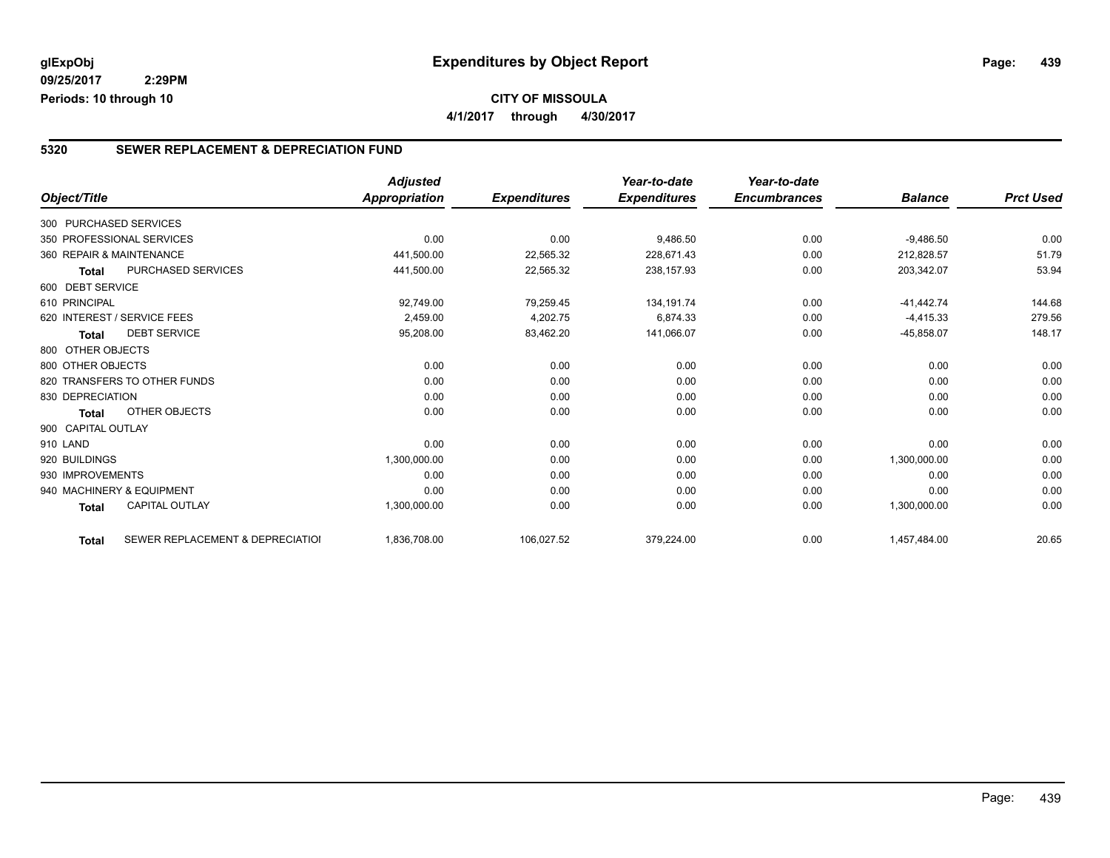## **5320 SEWER REPLACEMENT & DEPRECIATION FUND**

|                          |                                  | <b>Adjusted</b> |                     | Year-to-date        | Year-to-date        |                |                  |
|--------------------------|----------------------------------|-----------------|---------------------|---------------------|---------------------|----------------|------------------|
| Object/Title             |                                  | Appropriation   | <b>Expenditures</b> | <b>Expenditures</b> | <b>Encumbrances</b> | <b>Balance</b> | <b>Prct Used</b> |
| 300 PURCHASED SERVICES   |                                  |                 |                     |                     |                     |                |                  |
|                          | 350 PROFESSIONAL SERVICES        | 0.00            | 0.00                | 9,486.50            | 0.00                | $-9,486.50$    | 0.00             |
| 360 REPAIR & MAINTENANCE |                                  | 441,500.00      | 22,565.32           | 228,671.43          | 0.00                | 212,828.57     | 51.79            |
| <b>Total</b>             | <b>PURCHASED SERVICES</b>        | 441,500.00      | 22,565.32           | 238,157.93          | 0.00                | 203,342.07     | 53.94            |
| 600 DEBT SERVICE         |                                  |                 |                     |                     |                     |                |                  |
| 610 PRINCIPAL            |                                  | 92,749.00       | 79,259.45           | 134.191.74          | 0.00                | $-41.442.74$   | 144.68           |
|                          | 620 INTEREST / SERVICE FEES      | 2,459.00        | 4,202.75            | 6,874.33            | 0.00                | $-4,415.33$    | 279.56           |
| <b>Total</b>             | <b>DEBT SERVICE</b>              | 95,208.00       | 83,462.20           | 141,066.07          | 0.00                | $-45,858.07$   | 148.17           |
| 800 OTHER OBJECTS        |                                  |                 |                     |                     |                     |                |                  |
| 800 OTHER OBJECTS        |                                  | 0.00            | 0.00                | 0.00                | 0.00                | 0.00           | 0.00             |
|                          | 820 TRANSFERS TO OTHER FUNDS     | 0.00            | 0.00                | 0.00                | 0.00                | 0.00           | 0.00             |
| 830 DEPRECIATION         |                                  | 0.00            | 0.00                | 0.00                | 0.00                | 0.00           | 0.00             |
| <b>Total</b>             | <b>OTHER OBJECTS</b>             | 0.00            | 0.00                | 0.00                | 0.00                | 0.00           | 0.00             |
| 900 CAPITAL OUTLAY       |                                  |                 |                     |                     |                     |                |                  |
| 910 LAND                 |                                  | 0.00            | 0.00                | 0.00                | 0.00                | 0.00           | 0.00             |
| 920 BUILDINGS            |                                  | 1,300,000.00    | 0.00                | 0.00                | 0.00                | 1,300,000.00   | 0.00             |
| 930 IMPROVEMENTS         |                                  | 0.00            | 0.00                | 0.00                | 0.00                | 0.00           | 0.00             |
|                          | 940 MACHINERY & EQUIPMENT        | 0.00            | 0.00                | 0.00                | 0.00                | 0.00           | 0.00             |
| <b>Total</b>             | <b>CAPITAL OUTLAY</b>            | 1,300,000.00    | 0.00                | 0.00                | 0.00                | 1,300,000.00   | 0.00             |
| <b>Total</b>             | SEWER REPLACEMENT & DEPRECIATION | 1,836,708.00    | 106,027.52          | 379,224.00          | 0.00                | 1,457,484.00   | 20.65            |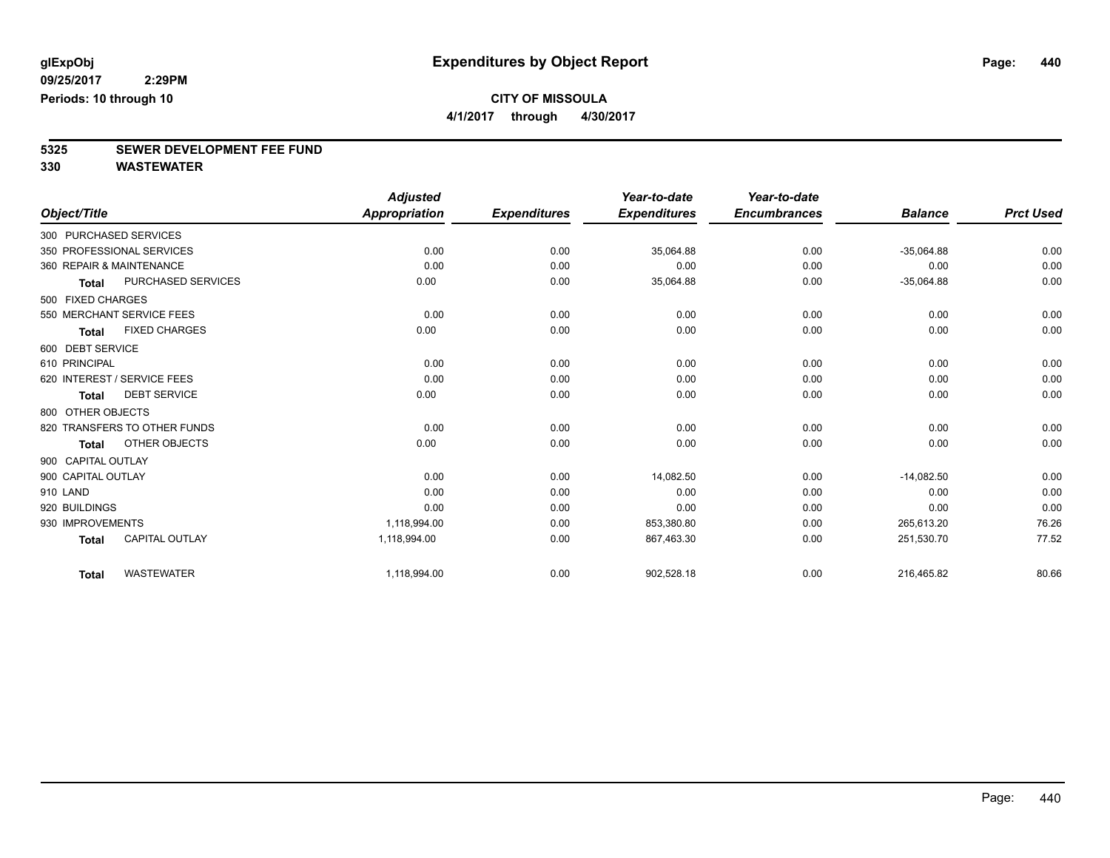**4/1/2017 through 4/30/2017**

# **5325 SEWER DEVELOPMENT FEE FUND**

|                        |                              | <b>Adjusted</b>      |                     | Year-to-date        | Year-to-date        |                |                  |
|------------------------|------------------------------|----------------------|---------------------|---------------------|---------------------|----------------|------------------|
| Object/Title           |                              | <b>Appropriation</b> | <b>Expenditures</b> | <b>Expenditures</b> | <b>Encumbrances</b> | <b>Balance</b> | <b>Prct Used</b> |
| 300 PURCHASED SERVICES |                              |                      |                     |                     |                     |                |                  |
|                        | 350 PROFESSIONAL SERVICES    | 0.00                 | 0.00                | 35,064.88           | 0.00                | $-35,064.88$   | 0.00             |
|                        | 360 REPAIR & MAINTENANCE     | 0.00                 | 0.00                | 0.00                | 0.00                | 0.00           | 0.00             |
| <b>Total</b>           | PURCHASED SERVICES           | 0.00                 | 0.00                | 35,064.88           | 0.00                | $-35,064.88$   | 0.00             |
| 500 FIXED CHARGES      |                              |                      |                     |                     |                     |                |                  |
|                        | 550 MERCHANT SERVICE FEES    | 0.00                 | 0.00                | 0.00                | 0.00                | 0.00           | 0.00             |
| <b>Total</b>           | <b>FIXED CHARGES</b>         | 0.00                 | 0.00                | 0.00                | 0.00                | 0.00           | 0.00             |
| 600 DEBT SERVICE       |                              |                      |                     |                     |                     |                |                  |
| 610 PRINCIPAL          |                              | 0.00                 | 0.00                | 0.00                | 0.00                | 0.00           | 0.00             |
|                        | 620 INTEREST / SERVICE FEES  | 0.00                 | 0.00                | 0.00                | 0.00                | 0.00           | 0.00             |
| <b>Total</b>           | <b>DEBT SERVICE</b>          | 0.00                 | 0.00                | 0.00                | 0.00                | 0.00           | 0.00             |
| 800 OTHER OBJECTS      |                              |                      |                     |                     |                     |                |                  |
|                        | 820 TRANSFERS TO OTHER FUNDS | 0.00                 | 0.00                | 0.00                | 0.00                | 0.00           | 0.00             |
| <b>Total</b>           | OTHER OBJECTS                | 0.00                 | 0.00                | 0.00                | 0.00                | 0.00           | 0.00             |
| 900 CAPITAL OUTLAY     |                              |                      |                     |                     |                     |                |                  |
| 900 CAPITAL OUTLAY     |                              | 0.00                 | 0.00                | 14,082.50           | 0.00                | $-14,082.50$   | 0.00             |
| 910 LAND               |                              | 0.00                 | 0.00                | 0.00                | 0.00                | 0.00           | 0.00             |
| 920 BUILDINGS          |                              | 0.00                 | 0.00                | 0.00                | 0.00                | 0.00           | 0.00             |
| 930 IMPROVEMENTS       |                              | 1,118,994.00         | 0.00                | 853,380.80          | 0.00                | 265,613.20     | 76.26            |
| <b>Total</b>           | CAPITAL OUTLAY               | 1,118,994.00         | 0.00                | 867,463.30          | 0.00                | 251,530.70     | 77.52            |
| <b>Total</b>           | <b>WASTEWATER</b>            | 1,118,994.00         | 0.00                | 902,528.18          | 0.00                | 216,465.82     | 80.66            |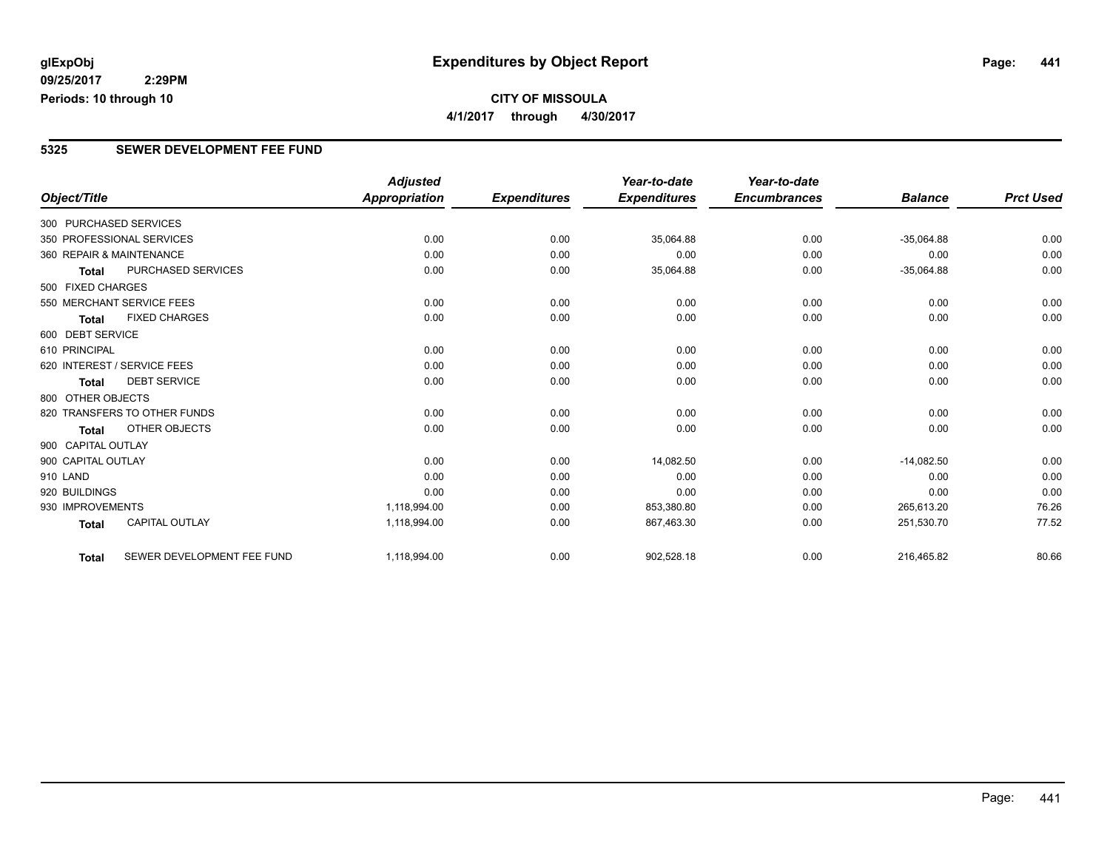### **CITY OF MISSOULA 4/1/2017 through 4/30/2017**

#### **5325 SEWER DEVELOPMENT FEE FUND**

|                        |                              | <b>Adjusted</b>      |                     | Year-to-date        | Year-to-date        |                |                  |
|------------------------|------------------------------|----------------------|---------------------|---------------------|---------------------|----------------|------------------|
| Object/Title           |                              | <b>Appropriation</b> | <b>Expenditures</b> | <b>Expenditures</b> | <b>Encumbrances</b> | <b>Balance</b> | <b>Prct Used</b> |
| 300 PURCHASED SERVICES |                              |                      |                     |                     |                     |                |                  |
|                        | 350 PROFESSIONAL SERVICES    | 0.00                 | 0.00                | 35,064.88           | 0.00                | $-35,064.88$   | 0.00             |
|                        | 360 REPAIR & MAINTENANCE     | 0.00                 | 0.00                | 0.00                | 0.00                | 0.00           | 0.00             |
| Total                  | PURCHASED SERVICES           | 0.00                 | 0.00                | 35,064.88           | 0.00                | $-35,064.88$   | 0.00             |
| 500 FIXED CHARGES      |                              |                      |                     |                     |                     |                |                  |
|                        | 550 MERCHANT SERVICE FEES    | 0.00                 | 0.00                | 0.00                | 0.00                | 0.00           | 0.00             |
| <b>Total</b>           | <b>FIXED CHARGES</b>         | 0.00                 | 0.00                | 0.00                | 0.00                | 0.00           | 0.00             |
| 600 DEBT SERVICE       |                              |                      |                     |                     |                     |                |                  |
| 610 PRINCIPAL          |                              | 0.00                 | 0.00                | 0.00                | 0.00                | 0.00           | 0.00             |
|                        | 620 INTEREST / SERVICE FEES  | 0.00                 | 0.00                | 0.00                | 0.00                | 0.00           | 0.00             |
| <b>Total</b>           | <b>DEBT SERVICE</b>          | 0.00                 | 0.00                | 0.00                | 0.00                | 0.00           | 0.00             |
| 800 OTHER OBJECTS      |                              |                      |                     |                     |                     |                |                  |
|                        | 820 TRANSFERS TO OTHER FUNDS | 0.00                 | 0.00                | 0.00                | 0.00                | 0.00           | 0.00             |
| Total                  | <b>OTHER OBJECTS</b>         | 0.00                 | 0.00                | 0.00                | 0.00                | 0.00           | 0.00             |
| 900 CAPITAL OUTLAY     |                              |                      |                     |                     |                     |                |                  |
| 900 CAPITAL OUTLAY     |                              | 0.00                 | 0.00                | 14,082.50           | 0.00                | $-14,082.50$   | 0.00             |
| 910 LAND               |                              | 0.00                 | 0.00                | 0.00                | 0.00                | 0.00           | 0.00             |
| 920 BUILDINGS          |                              | 0.00                 | 0.00                | 0.00                | 0.00                | 0.00           | 0.00             |
| 930 IMPROVEMENTS       |                              | 1,118,994.00         | 0.00                | 853,380.80          | 0.00                | 265,613.20     | 76.26            |
| <b>Total</b>           | <b>CAPITAL OUTLAY</b>        | 1,118,994.00         | 0.00                | 867,463.30          | 0.00                | 251,530.70     | 77.52            |
| <b>Total</b>           | SEWER DEVELOPMENT FEE FUND   | 1,118,994.00         | 0.00                | 902,528.18          | 0.00                | 216,465.82     | 80.66            |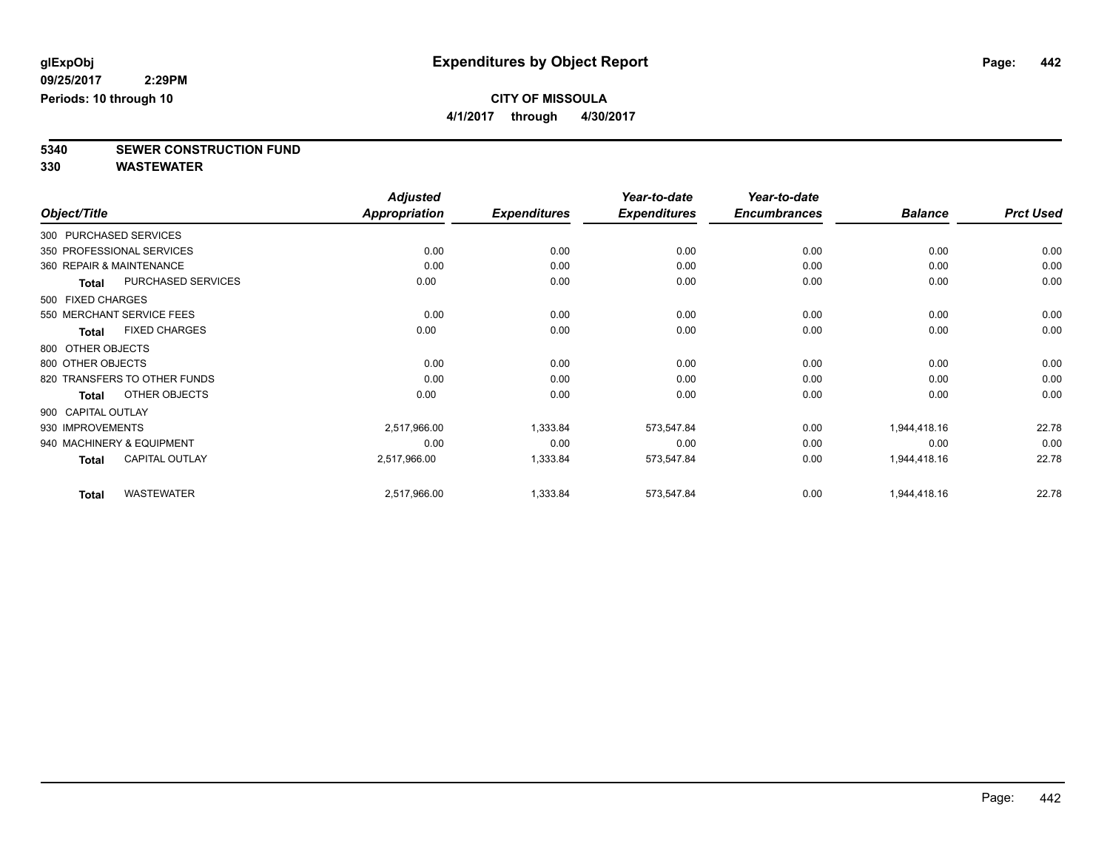**4/1/2017 through 4/30/2017**

**5340 SEWER CONSTRUCTION FUND**

|                    |                              | <b>Adjusted</b>      |                     | Year-to-date        | Year-to-date        |                |                  |
|--------------------|------------------------------|----------------------|---------------------|---------------------|---------------------|----------------|------------------|
| Object/Title       |                              | <b>Appropriation</b> | <b>Expenditures</b> | <b>Expenditures</b> | <b>Encumbrances</b> | <b>Balance</b> | <b>Prct Used</b> |
|                    | 300 PURCHASED SERVICES       |                      |                     |                     |                     |                |                  |
|                    | 350 PROFESSIONAL SERVICES    | 0.00                 | 0.00                | 0.00                | 0.00                | 0.00           | 0.00             |
|                    | 360 REPAIR & MAINTENANCE     | 0.00                 | 0.00                | 0.00                | 0.00                | 0.00           | 0.00             |
| Total              | PURCHASED SERVICES           | 0.00                 | 0.00                | 0.00                | 0.00                | 0.00           | 0.00             |
| 500 FIXED CHARGES  |                              |                      |                     |                     |                     |                |                  |
|                    | 550 MERCHANT SERVICE FEES    | 0.00                 | 0.00                | 0.00                | 0.00                | 0.00           | 0.00             |
| <b>Total</b>       | <b>FIXED CHARGES</b>         | 0.00                 | 0.00                | 0.00                | 0.00                | 0.00           | 0.00             |
| 800 OTHER OBJECTS  |                              |                      |                     |                     |                     |                |                  |
| 800 OTHER OBJECTS  |                              | 0.00                 | 0.00                | 0.00                | 0.00                | 0.00           | 0.00             |
|                    | 820 TRANSFERS TO OTHER FUNDS | 0.00                 | 0.00                | 0.00                | 0.00                | 0.00           | 0.00             |
| <b>Total</b>       | OTHER OBJECTS                | 0.00                 | 0.00                | 0.00                | 0.00                | 0.00           | 0.00             |
| 900 CAPITAL OUTLAY |                              |                      |                     |                     |                     |                |                  |
| 930 IMPROVEMENTS   |                              | 2,517,966.00         | 1,333.84            | 573,547.84          | 0.00                | 1,944,418.16   | 22.78            |
|                    | 940 MACHINERY & EQUIPMENT    | 0.00                 | 0.00                | 0.00                | 0.00                | 0.00           | 0.00             |
| <b>Total</b>       | <b>CAPITAL OUTLAY</b>        | 2,517,966.00         | 1,333.84            | 573,547.84          | 0.00                | 1,944,418.16   | 22.78            |
| <b>Total</b>       | <b>WASTEWATER</b>            | 2,517,966.00         | 1,333.84            | 573,547.84          | 0.00                | 1,944,418.16   | 22.78            |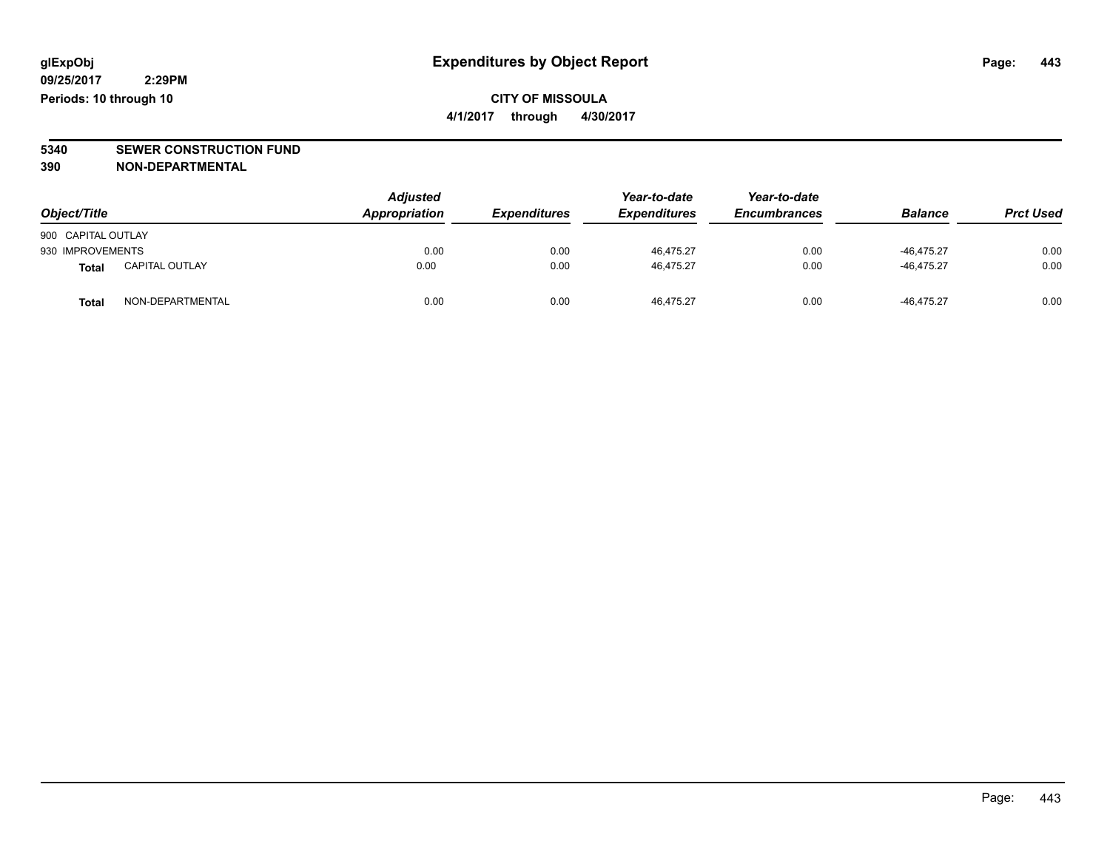**CITY OF MISSOULA 4/1/2017 through 4/30/2017**

**5340 SEWER CONSTRUCTION FUND**

**390 NON-DEPARTMENTAL**

| Object/Title       |                       | <b>Adjusted</b><br>Appropriation | <b>Expenditures</b> | Year-to-date<br><b>Expenditures</b> | Year-to-date<br><b>Encumbrances</b> | <b>Balance</b> | <b>Prct Used</b> |
|--------------------|-----------------------|----------------------------------|---------------------|-------------------------------------|-------------------------------------|----------------|------------------|
| 900 CAPITAL OUTLAY |                       |                                  |                     |                                     |                                     |                |                  |
| 930 IMPROVEMENTS   |                       | 0.00                             | 0.00                | 46.475.27                           | 0.00                                | $-46.475.27$   | 0.00             |
| Total              | <b>CAPITAL OUTLAY</b> | 0.00                             | 0.00                | 46.475.27                           | 0.00                                | $-46.475.27$   | 0.00             |
| <b>Total</b>       | NON-DEPARTMENTAL      | 0.00                             | 0.00                | 46.475.27                           | 0.00                                | $-46.475.27$   | 0.00             |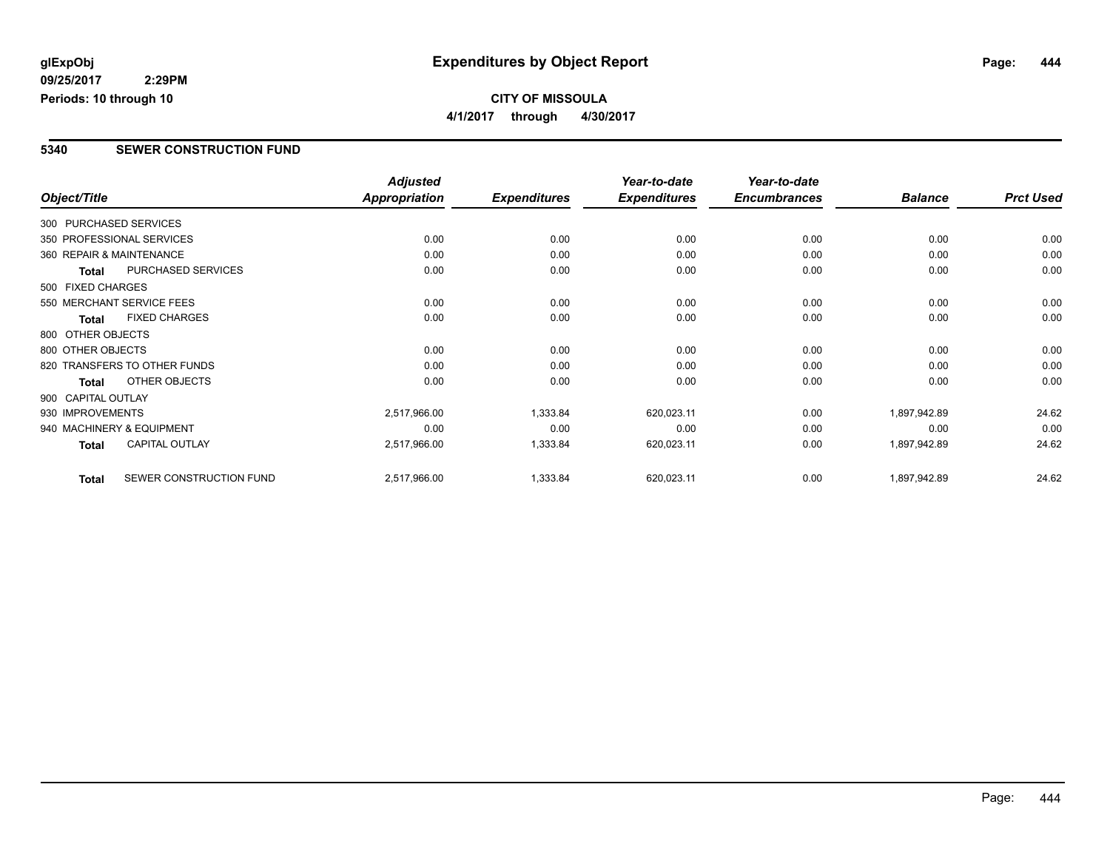### **CITY OF MISSOULA 4/1/2017 through 4/30/2017**

#### **5340 SEWER CONSTRUCTION FUND**

|                          |                              | <b>Adjusted</b>      |                     | Year-to-date        | Year-to-date        |                |                  |
|--------------------------|------------------------------|----------------------|---------------------|---------------------|---------------------|----------------|------------------|
| Object/Title             |                              | <b>Appropriation</b> | <b>Expenditures</b> | <b>Expenditures</b> | <b>Encumbrances</b> | <b>Balance</b> | <b>Prct Used</b> |
| 300 PURCHASED SERVICES   |                              |                      |                     |                     |                     |                |                  |
|                          | 350 PROFESSIONAL SERVICES    | 0.00                 | 0.00                | 0.00                | 0.00                | 0.00           | 0.00             |
| 360 REPAIR & MAINTENANCE |                              | 0.00                 | 0.00                | 0.00                | 0.00                | 0.00           | 0.00             |
| Total                    | PURCHASED SERVICES           | 0.00                 | 0.00                | 0.00                | 0.00                | 0.00           | 0.00             |
| 500 FIXED CHARGES        |                              |                      |                     |                     |                     |                |                  |
|                          | 550 MERCHANT SERVICE FEES    | 0.00                 | 0.00                | 0.00                | 0.00                | 0.00           | 0.00             |
| <b>Total</b>             | <b>FIXED CHARGES</b>         | 0.00                 | 0.00                | 0.00                | 0.00                | 0.00           | 0.00             |
| 800 OTHER OBJECTS        |                              |                      |                     |                     |                     |                |                  |
| 800 OTHER OBJECTS        |                              | 0.00                 | 0.00                | 0.00                | 0.00                | 0.00           | 0.00             |
|                          | 820 TRANSFERS TO OTHER FUNDS | 0.00                 | 0.00                | 0.00                | 0.00                | 0.00           | 0.00             |
| Total                    | OTHER OBJECTS                | 0.00                 | 0.00                | 0.00                | 0.00                | 0.00           | 0.00             |
| 900 CAPITAL OUTLAY       |                              |                      |                     |                     |                     |                |                  |
| 930 IMPROVEMENTS         |                              | 2,517,966.00         | 1,333.84            | 620,023.11          | 0.00                | 1,897,942.89   | 24.62            |
|                          | 940 MACHINERY & EQUIPMENT    | 0.00                 | 0.00                | 0.00                | 0.00                | 0.00           | 0.00             |
| Total                    | <b>CAPITAL OUTLAY</b>        | 2,517,966.00         | 1,333.84            | 620,023.11          | 0.00                | 1,897,942.89   | 24.62            |
| <b>Total</b>             | SEWER CONSTRUCTION FUND      | 2,517,966.00         | 1,333.84            | 620,023.11          | 0.00                | 1,897,942.89   | 24.62            |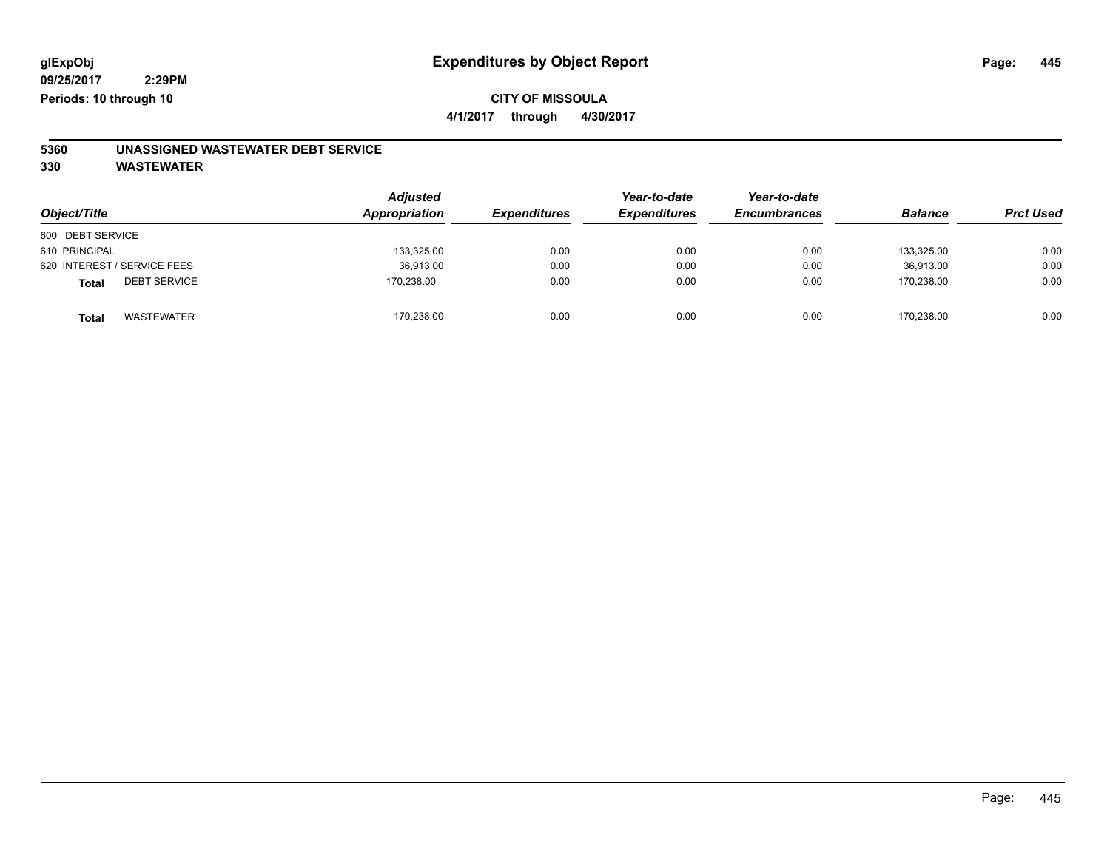**4/1/2017 through 4/30/2017**

# **5360 UNASSIGNED WASTEWATER DEBT SERVICE**

| Object/Title                 | <b>Adjusted</b><br>Appropriation | <b>Expenditures</b> | Year-to-date<br><b>Expenditures</b> | Year-to-date<br><b>Encumbrances</b> | <b>Balance</b> | <b>Prct Used</b> |
|------------------------------|----------------------------------|---------------------|-------------------------------------|-------------------------------------|----------------|------------------|
| 600 DEBT SERVICE             |                                  |                     |                                     |                                     |                |                  |
| 610 PRINCIPAL                | 133,325.00                       | 0.00                | 0.00                                | 0.00                                | 133.325.00     | 0.00             |
| 620 INTEREST / SERVICE FEES  | 36,913.00                        | 0.00                | 0.00                                | 0.00                                | 36.913.00      | 0.00             |
| <b>DEBT SERVICE</b><br>Total | 170,238.00                       | 0.00                | 0.00                                | 0.00                                | 170.238.00     | 0.00             |
| <b>WASTEWATER</b><br>Total   | 170,238.00                       | 0.00                | 0.00                                | 0.00                                | 170.238.00     | 0.00             |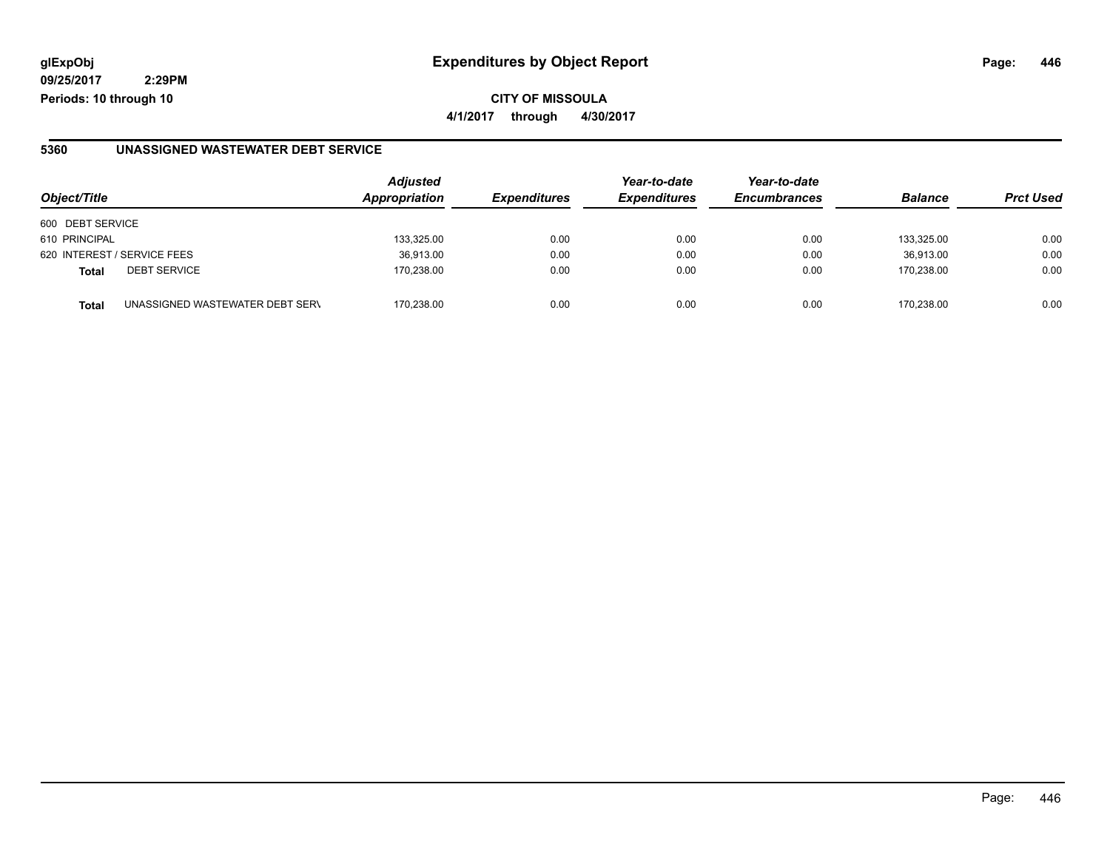**09/25/2017 2:29PM Periods: 10 through 10**

#### **5360 UNASSIGNED WASTEWATER DEBT SERVICE**

| Object/Title                                    | <b>Adjusted</b><br>Appropriation | <b>Expenditures</b> | Year-to-date<br><b>Expenditures</b> | Year-to-date<br><b>Encumbrances</b> | <b>Balance</b> | <b>Prct Used</b> |
|-------------------------------------------------|----------------------------------|---------------------|-------------------------------------|-------------------------------------|----------------|------------------|
| 600 DEBT SERVICE                                |                                  |                     |                                     |                                     |                |                  |
| 610 PRINCIPAL                                   | 133,325.00                       | 0.00                | 0.00                                | 0.00                                | 133.325.00     | 0.00             |
| 620 INTEREST / SERVICE FEES                     | 36,913.00                        | 0.00                | 0.00                                | 0.00                                | 36.913.00      | 0.00             |
| <b>DEBT SERVICE</b><br><b>Total</b>             | 170.238.00                       | 0.00                | 0.00                                | 0.00                                | 170.238.00     | 0.00             |
| UNASSIGNED WASTEWATER DEBT SERV<br><b>Total</b> | 170.238.00                       | 0.00                | 0.00                                | 0.00                                | 170.238.00     | 0.00             |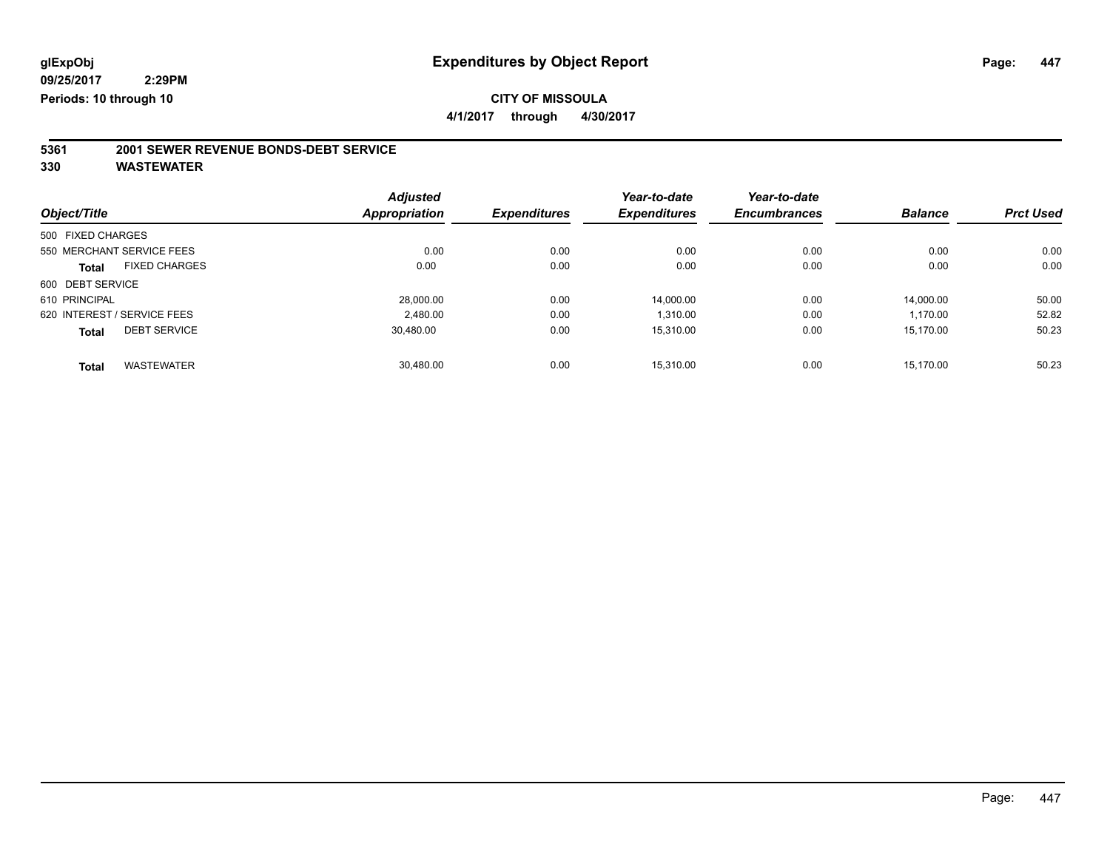**4/1/2017 through 4/30/2017**

# **5361 2001 SEWER REVENUE BONDS-DEBT SERVICE**

|                   |                             | <b>Adjusted</b>      |                     | Year-to-date        | Year-to-date        |                |                  |
|-------------------|-----------------------------|----------------------|---------------------|---------------------|---------------------|----------------|------------------|
| Object/Title      |                             | <b>Appropriation</b> | <b>Expenditures</b> | <b>Expenditures</b> | <b>Encumbrances</b> | <b>Balance</b> | <b>Prct Used</b> |
| 500 FIXED CHARGES |                             |                      |                     |                     |                     |                |                  |
|                   | 550 MERCHANT SERVICE FEES   | 0.00                 | 0.00                | 0.00                | 0.00                | 0.00           | 0.00             |
| Total             | <b>FIXED CHARGES</b>        | 0.00                 | 0.00                | 0.00                | 0.00                | 0.00           | 0.00             |
| 600 DEBT SERVICE  |                             |                      |                     |                     |                     |                |                  |
| 610 PRINCIPAL     |                             | 28.000.00            | 0.00                | 14.000.00           | 0.00                | 14.000.00      | 50.00            |
|                   | 620 INTEREST / SERVICE FEES | 2,480.00             | 0.00                | 1,310.00            | 0.00                | 1.170.00       | 52.82            |
| Total             | <b>DEBT SERVICE</b>         | 30.480.00            | 0.00                | 15.310.00           | 0.00                | 15.170.00      | 50.23            |
| <b>Total</b>      | <b>WASTEWATER</b>           | 30.480.00            | 0.00                | 15.310.00           | 0.00                | 15.170.00      | 50.23            |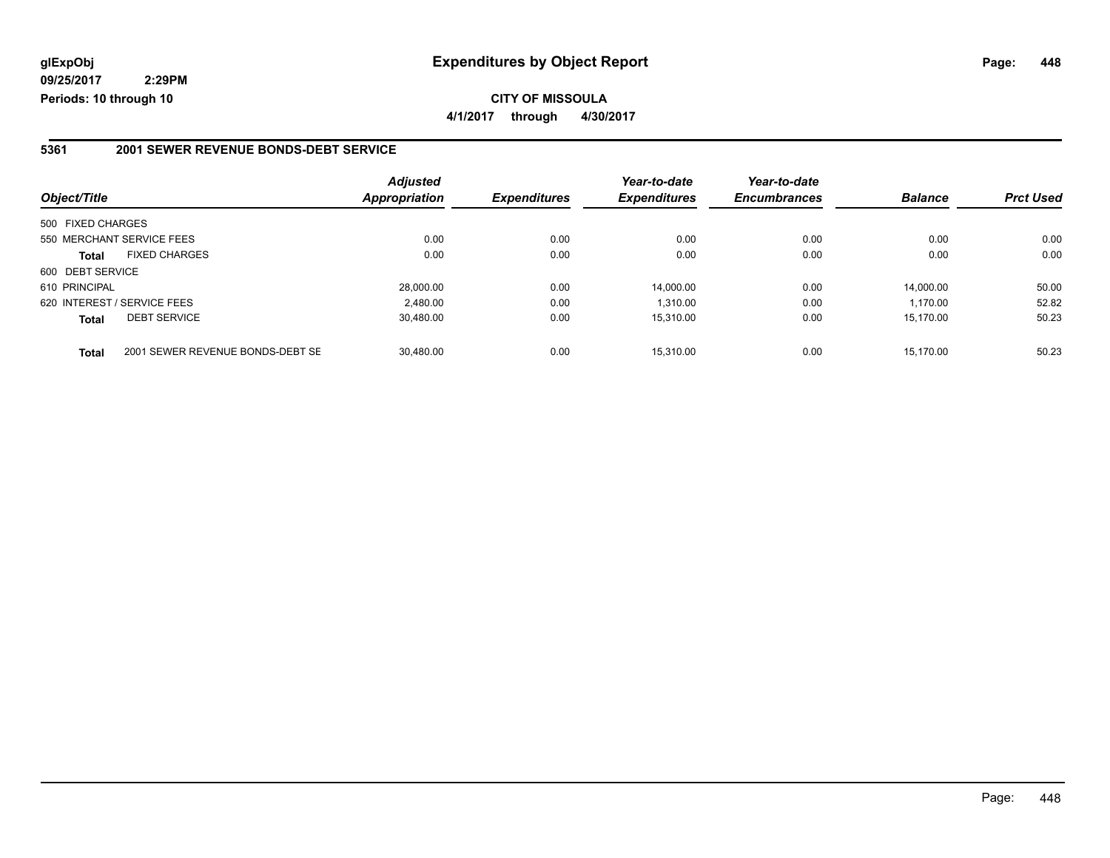**CITY OF MISSOULA 4/1/2017 through 4/30/2017**

#### **5361 2001 SEWER REVENUE BONDS-DEBT SERVICE**

| Object/Title                |                                  | <b>Adjusted</b><br>Appropriation | <b>Expenditures</b> | Year-to-date<br><b>Expenditures</b> | Year-to-date<br><b>Encumbrances</b> | <b>Balance</b> | <b>Prct Used</b> |
|-----------------------------|----------------------------------|----------------------------------|---------------------|-------------------------------------|-------------------------------------|----------------|------------------|
|                             |                                  |                                  |                     |                                     |                                     |                |                  |
| 500 FIXED CHARGES           |                                  |                                  |                     |                                     |                                     |                |                  |
| 550 MERCHANT SERVICE FEES   |                                  | 0.00                             | 0.00                | 0.00                                | 0.00                                | 0.00           | 0.00             |
| <b>Total</b>                | <b>FIXED CHARGES</b>             | 0.00                             | 0.00                | 0.00                                | 0.00                                | 0.00           | 0.00             |
| 600 DEBT SERVICE            |                                  |                                  |                     |                                     |                                     |                |                  |
| 610 PRINCIPAL               |                                  | 28,000.00                        | 0.00                | 14,000.00                           | 0.00                                | 14.000.00      | 50.00            |
| 620 INTEREST / SERVICE FEES |                                  | 2,480.00                         | 0.00                | 1,310.00                            | 0.00                                | 1.170.00       | 52.82            |
| <b>Total</b>                | <b>DEBT SERVICE</b>              | 30,480.00                        | 0.00                | 15,310.00                           | 0.00                                | 15.170.00      | 50.23            |
| <b>Total</b>                | 2001 SEWER REVENUE BONDS-DEBT SE | 30.480.00                        | 0.00                | 15.310.00                           | 0.00                                | 15.170.00      | 50.23            |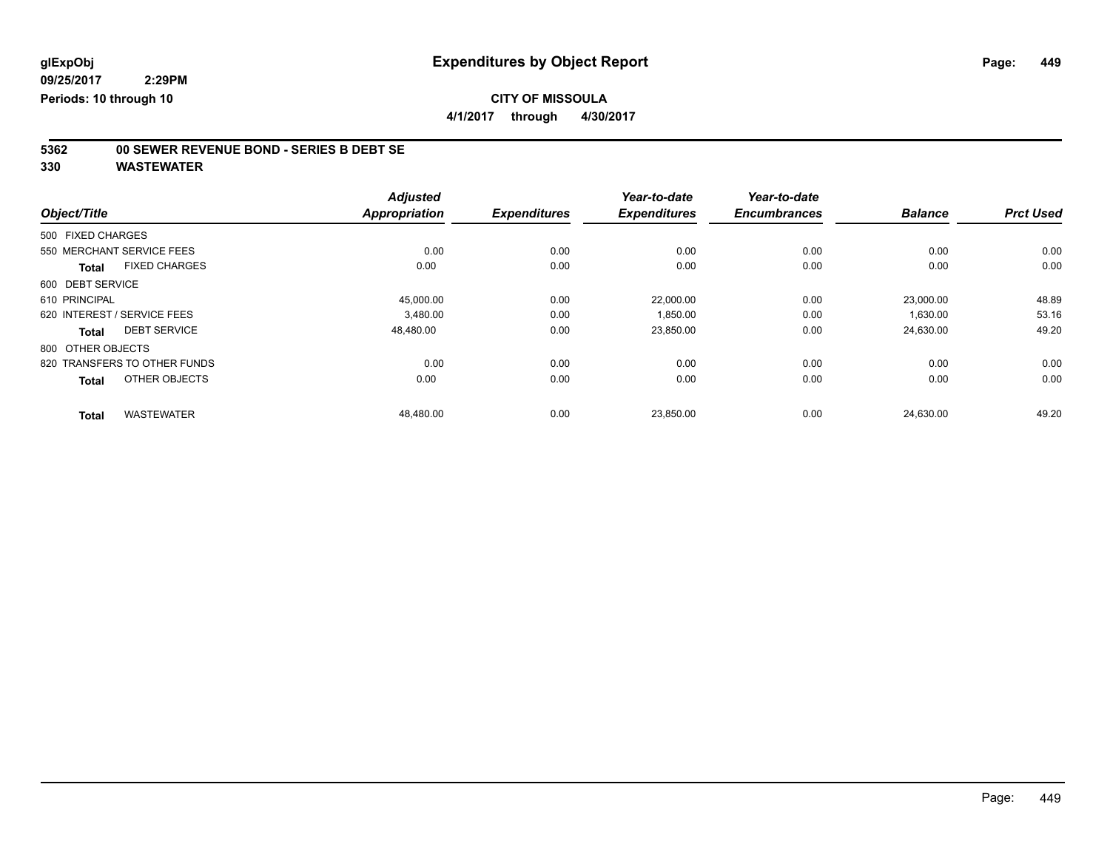**Periods: 10 through 10**

## **CITY OF MISSOULA**

**4/1/2017 through 4/30/2017**

# **5362 00 SEWER REVENUE BOND - SERIES B DEBT SE**

|                   |                              | <b>Adjusted</b>      |                     | Year-to-date        | Year-to-date        |                |                  |
|-------------------|------------------------------|----------------------|---------------------|---------------------|---------------------|----------------|------------------|
| Object/Title      |                              | <b>Appropriation</b> | <b>Expenditures</b> | <b>Expenditures</b> | <b>Encumbrances</b> | <b>Balance</b> | <b>Prct Used</b> |
| 500 FIXED CHARGES |                              |                      |                     |                     |                     |                |                  |
|                   | 550 MERCHANT SERVICE FEES    | 0.00                 | 0.00                | 0.00                | 0.00                | 0.00           | 0.00             |
| <b>Total</b>      | <b>FIXED CHARGES</b>         | 0.00                 | 0.00                | 0.00                | 0.00                | 0.00           | 0.00             |
| 600 DEBT SERVICE  |                              |                      |                     |                     |                     |                |                  |
| 610 PRINCIPAL     |                              | 45,000.00            | 0.00                | 22,000.00           | 0.00                | 23,000.00      | 48.89            |
|                   | 620 INTEREST / SERVICE FEES  | 3,480.00             | 0.00                | 1,850.00            | 0.00                | 1,630.00       | 53.16            |
| Total             | <b>DEBT SERVICE</b>          | 48,480.00            | 0.00                | 23,850.00           | 0.00                | 24,630.00      | 49.20            |
| 800 OTHER OBJECTS |                              |                      |                     |                     |                     |                |                  |
|                   | 820 TRANSFERS TO OTHER FUNDS | 0.00                 | 0.00                | 0.00                | 0.00                | 0.00           | 0.00             |
| <b>Total</b>      | OTHER OBJECTS                | 0.00                 | 0.00                | 0.00                | 0.00                | 0.00           | 0.00             |
| <b>Total</b>      | <b>WASTEWATER</b>            | 48,480.00            | 0.00                | 23,850.00           | 0.00                | 24,630.00      | 49.20            |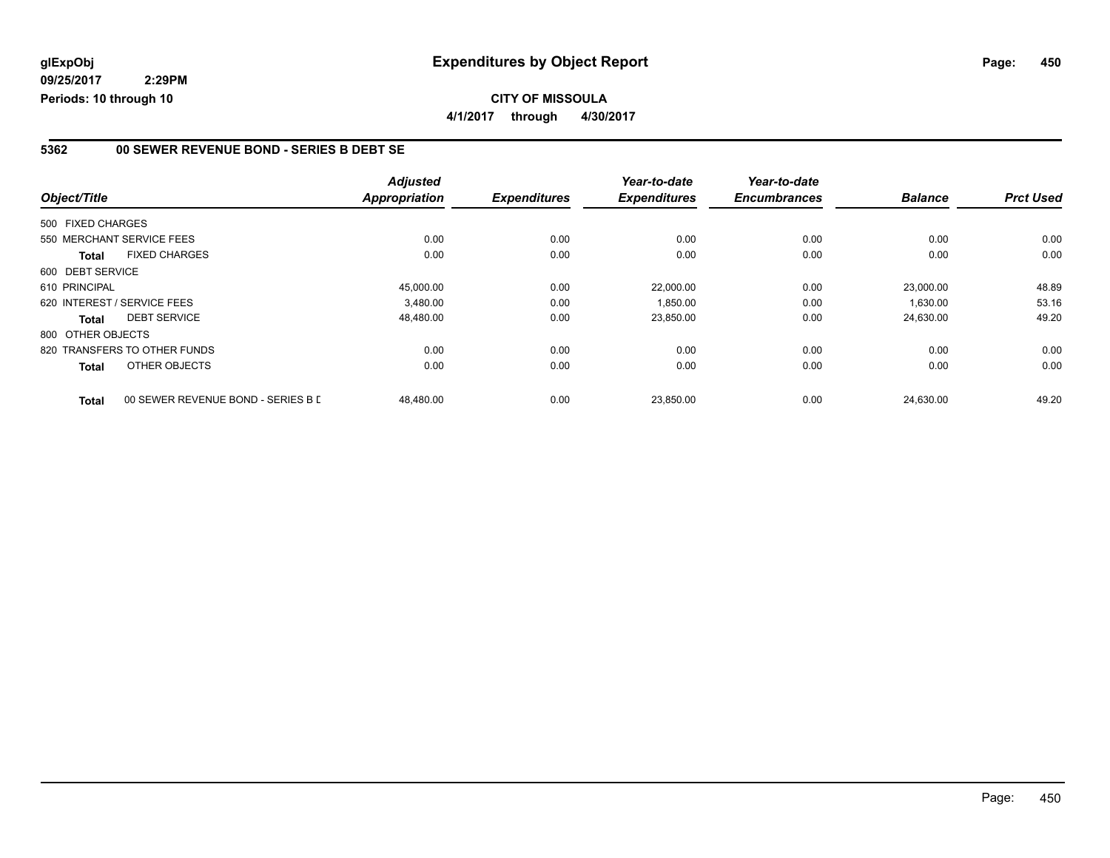### **CITY OF MISSOULA 4/1/2017 through 4/30/2017**

#### **5362 00 SEWER REVENUE BOND - SERIES B DEBT SE**

|                   |                                    | <b>Adjusted</b>      |                     | Year-to-date        | Year-to-date        |                |                  |
|-------------------|------------------------------------|----------------------|---------------------|---------------------|---------------------|----------------|------------------|
| Object/Title      |                                    | <b>Appropriation</b> | <b>Expenditures</b> | <b>Expenditures</b> | <b>Encumbrances</b> | <b>Balance</b> | <b>Prct Used</b> |
| 500 FIXED CHARGES |                                    |                      |                     |                     |                     |                |                  |
|                   | 550 MERCHANT SERVICE FEES          | 0.00                 | 0.00                | 0.00                | 0.00                | 0.00           | 0.00             |
| <b>Total</b>      | <b>FIXED CHARGES</b>               | 0.00                 | 0.00                | 0.00                | 0.00                | 0.00           | 0.00             |
| 600 DEBT SERVICE  |                                    |                      |                     |                     |                     |                |                  |
| 610 PRINCIPAL     |                                    | 45,000.00            | 0.00                | 22,000.00           | 0.00                | 23,000.00      | 48.89            |
|                   | 620 INTEREST / SERVICE FEES        | 3,480.00             | 0.00                | 1,850.00            | 0.00                | 1,630.00       | 53.16            |
| <b>Total</b>      | <b>DEBT SERVICE</b>                | 48,480.00            | 0.00                | 23,850.00           | 0.00                | 24,630.00      | 49.20            |
| 800 OTHER OBJECTS |                                    |                      |                     |                     |                     |                |                  |
|                   | 820 TRANSFERS TO OTHER FUNDS       | 0.00                 | 0.00                | 0.00                | 0.00                | 0.00           | 0.00             |
| Total             | OTHER OBJECTS                      | 0.00                 | 0.00                | 0.00                | 0.00                | 0.00           | 0.00             |
| <b>Total</b>      | 00 SEWER REVENUE BOND - SERIES B L | 48.480.00            | 0.00                | 23.850.00           | 0.00                | 24.630.00      | 49.20            |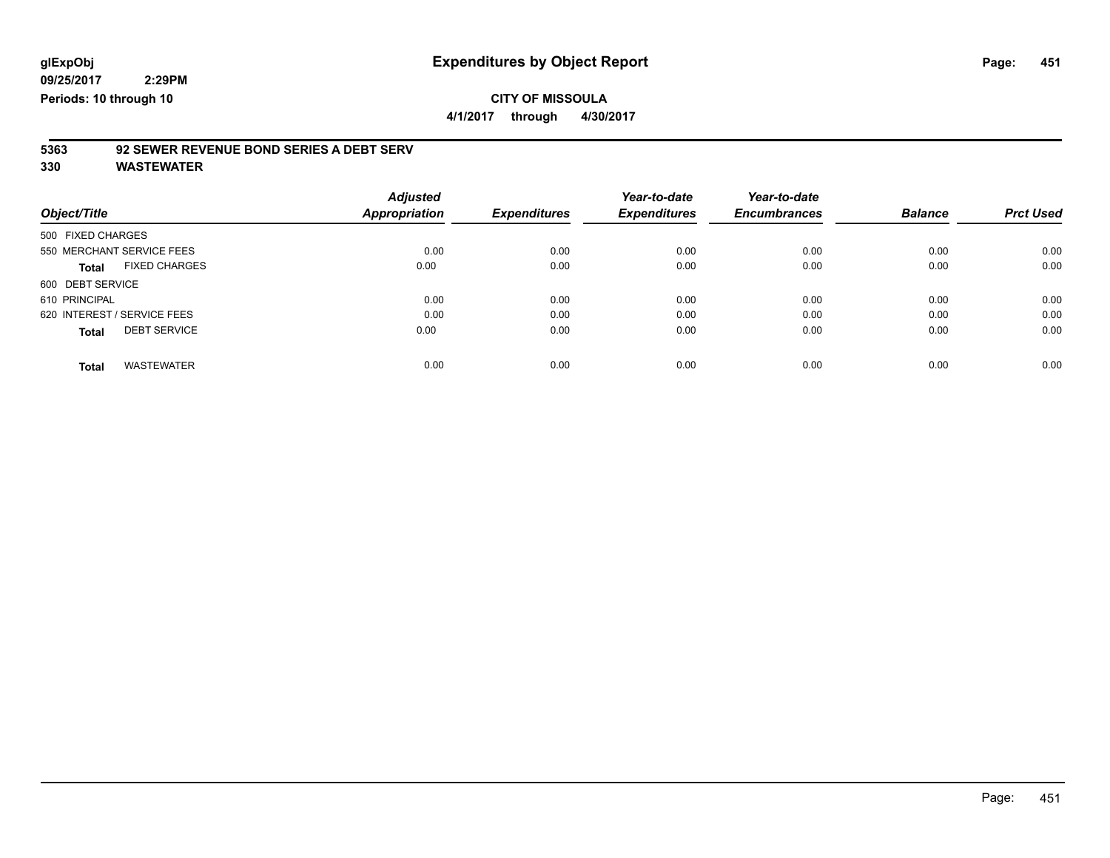#### **09/25/2017 2:29PM**

**Periods: 10 through 10**

## **CITY OF MISSOULA**

**4/1/2017 through 4/30/2017**

## **5363 92 SEWER REVENUE BOND SERIES A DEBT SERV**

| Object/Title                         | <b>Adjusted</b><br><b>Appropriation</b> | <b>Expenditures</b> | Year-to-date<br><b>Expenditures</b> | Year-to-date<br><b>Encumbrances</b> | <b>Balance</b> | <b>Prct Used</b> |
|--------------------------------------|-----------------------------------------|---------------------|-------------------------------------|-------------------------------------|----------------|------------------|
|                                      |                                         |                     |                                     |                                     |                |                  |
| 500 FIXED CHARGES                    |                                         |                     |                                     |                                     |                |                  |
| 550 MERCHANT SERVICE FEES            | 0.00                                    | 0.00                | 0.00                                | 0.00                                | 0.00           | 0.00             |
| <b>FIXED CHARGES</b><br><b>Total</b> | 0.00                                    | 0.00                | 0.00                                | 0.00                                | 0.00           | 0.00             |
| 600 DEBT SERVICE                     |                                         |                     |                                     |                                     |                |                  |
| 610 PRINCIPAL                        | 0.00                                    | 0.00                | 0.00                                | 0.00                                | 0.00           | 0.00             |
| 620 INTEREST / SERVICE FEES          | 0.00                                    | 0.00                | 0.00                                | 0.00                                | 0.00           | 0.00             |
| <b>DEBT SERVICE</b><br><b>Total</b>  | 0.00                                    | 0.00                | 0.00                                | 0.00                                | 0.00           | 0.00             |
| <b>WASTEWATER</b><br><b>Total</b>    | 0.00                                    | 0.00                | 0.00                                | 0.00                                | 0.00           | 0.00             |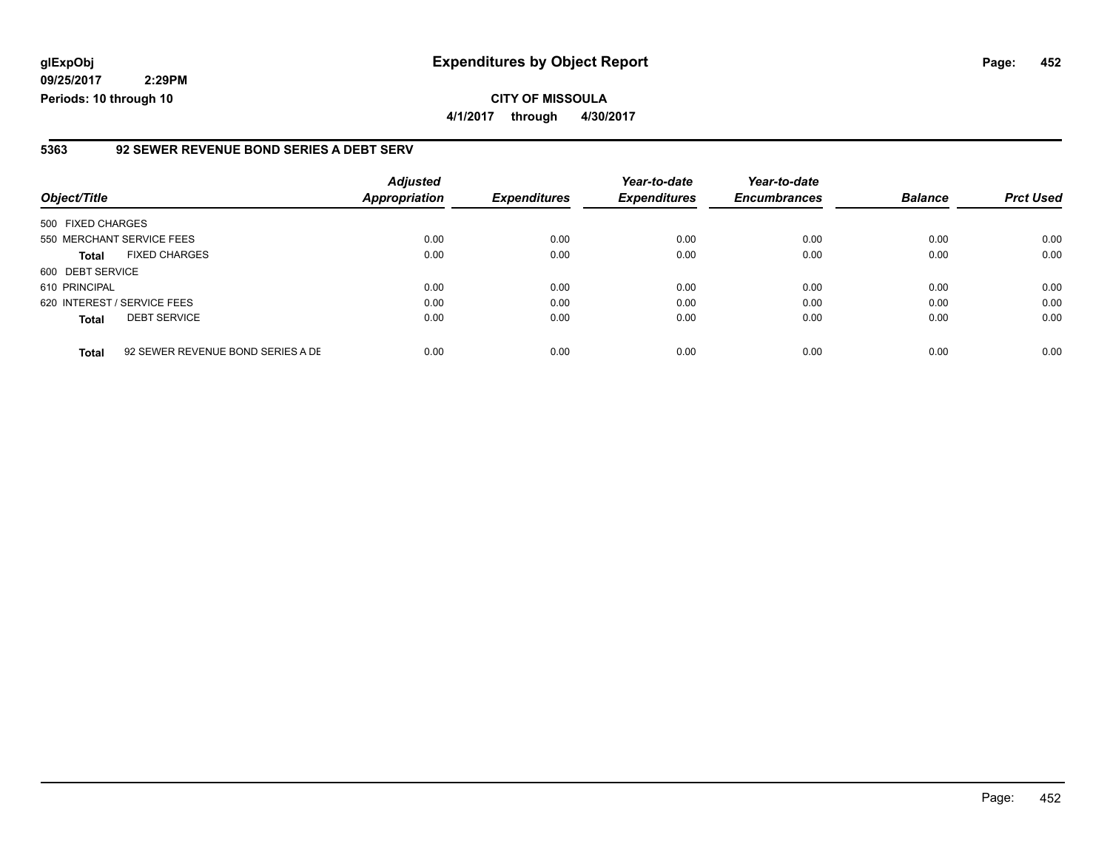**09/25/2017 2:29PM Periods: 10 through 10**

#### **5363 92 SEWER REVENUE BOND SERIES A DEBT SERV**

| Object/Title                |                                   | <b>Adjusted</b><br>Appropriation | <b>Expenditures</b> | Year-to-date<br><b>Expenditures</b> | Year-to-date<br><b>Encumbrances</b> | <b>Balance</b> | <b>Prct Used</b> |
|-----------------------------|-----------------------------------|----------------------------------|---------------------|-------------------------------------|-------------------------------------|----------------|------------------|
| 500 FIXED CHARGES           |                                   |                                  |                     |                                     |                                     |                |                  |
| 550 MERCHANT SERVICE FEES   |                                   | 0.00                             | 0.00                | 0.00                                | 0.00                                | 0.00           | 0.00             |
| <b>Total</b>                | <b>FIXED CHARGES</b>              | 0.00                             | 0.00                | 0.00                                | 0.00                                | 0.00           | 0.00             |
| 600 DEBT SERVICE            |                                   |                                  |                     |                                     |                                     |                |                  |
| 610 PRINCIPAL               |                                   | 0.00                             | 0.00                | 0.00                                | 0.00                                | 0.00           | 0.00             |
| 620 INTEREST / SERVICE FEES |                                   | 0.00                             | 0.00                | 0.00                                | 0.00                                | 0.00           | 0.00             |
| <b>Total</b>                | <b>DEBT SERVICE</b>               | 0.00                             | 0.00                | 0.00                                | 0.00                                | 0.00           | 0.00             |
| <b>Total</b>                | 92 SEWER REVENUE BOND SERIES A DE | 0.00                             | 0.00                | 0.00                                | 0.00                                | 0.00           | 0.00             |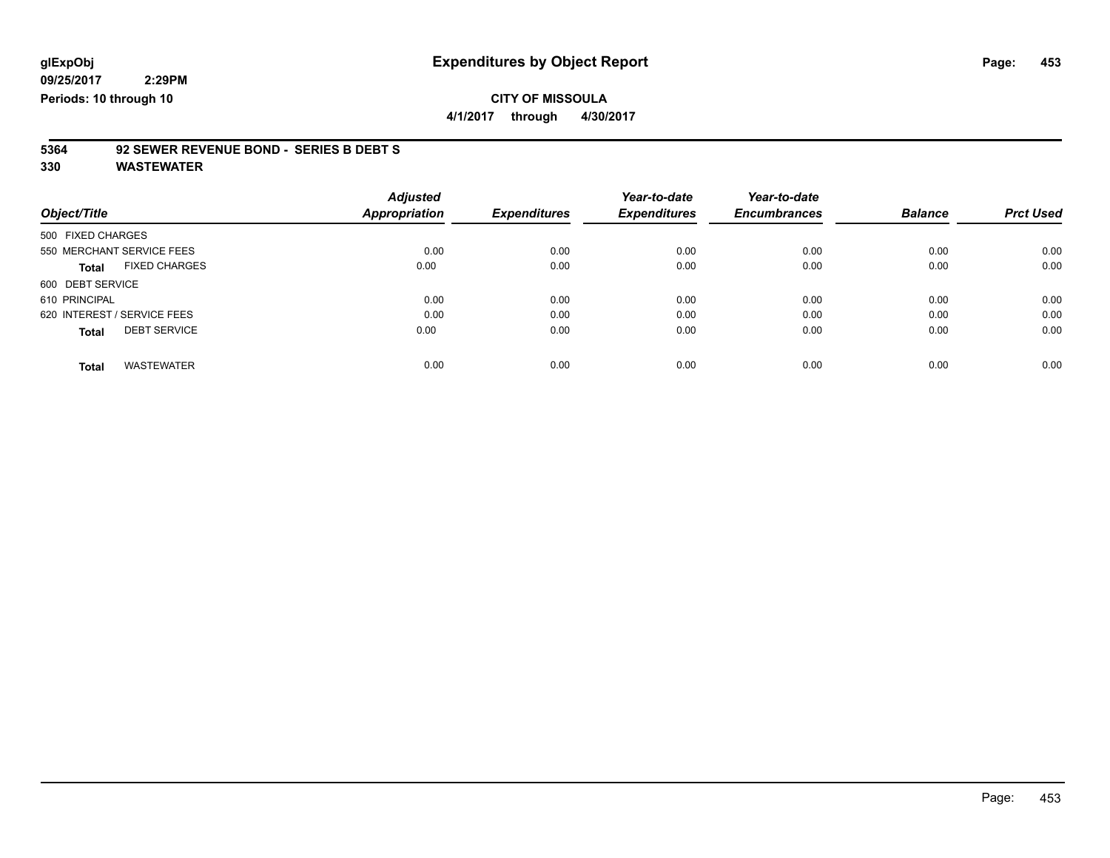**2:29PM Periods: 10 through 10**

**CITY OF MISSOULA 4/1/2017 through 4/30/2017**

## **5364 92 SEWER REVENUE BOND - SERIES B DEBT S**

| Object/Title                         | <b>Adjusted</b><br>Appropriation | <b>Expenditures</b> | Year-to-date<br><b>Expenditures</b> | Year-to-date<br><b>Encumbrances</b> | <b>Balance</b> | <b>Prct Used</b> |
|--------------------------------------|----------------------------------|---------------------|-------------------------------------|-------------------------------------|----------------|------------------|
| 500 FIXED CHARGES                    |                                  |                     |                                     |                                     |                |                  |
| 550 MERCHANT SERVICE FEES            | 0.00                             | 0.00                | 0.00                                | 0.00                                | 0.00           | 0.00             |
| <b>FIXED CHARGES</b><br><b>Total</b> | 0.00                             | 0.00                | 0.00                                | 0.00                                | 0.00           | 0.00             |
| 600 DEBT SERVICE                     |                                  |                     |                                     |                                     |                |                  |
| 610 PRINCIPAL                        | 0.00                             | 0.00                | 0.00                                | 0.00                                | 0.00           | 0.00             |
| 620 INTEREST / SERVICE FEES          | 0.00                             | 0.00                | 0.00                                | 0.00                                | 0.00           | 0.00             |
| <b>DEBT SERVICE</b><br><b>Total</b>  | 0.00                             | 0.00                | 0.00                                | 0.00                                | 0.00           | 0.00             |
| <b>WASTEWATER</b><br><b>Total</b>    | 0.00                             | 0.00                | 0.00                                | 0.00                                | 0.00           | 0.00             |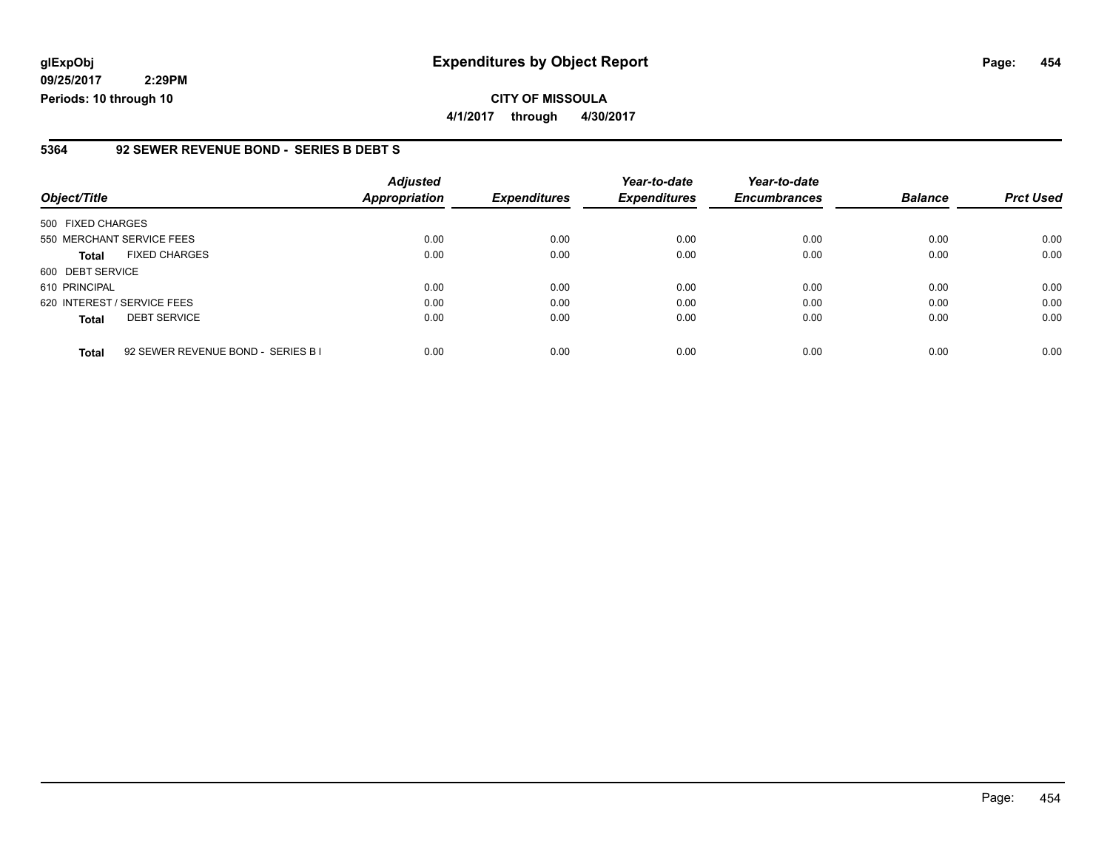**09/25/2017 2:29PM Periods: 10 through 10**

#### **5364 92 SEWER REVENUE BOND - SERIES B DEBT S**

| Object/Title                                       | <b>Adjusted</b><br>Appropriation | <b>Expenditures</b> | Year-to-date<br><b>Expenditures</b> | Year-to-date<br><b>Encumbrances</b> | <b>Balance</b> | <b>Prct Used</b> |
|----------------------------------------------------|----------------------------------|---------------------|-------------------------------------|-------------------------------------|----------------|------------------|
| 500 FIXED CHARGES                                  |                                  |                     |                                     |                                     |                |                  |
| 550 MERCHANT SERVICE FEES                          | 0.00                             | 0.00                | 0.00                                | 0.00                                | 0.00           | 0.00             |
| <b>FIXED CHARGES</b><br><b>Total</b>               | 0.00                             | 0.00                | 0.00                                | 0.00                                | 0.00           | 0.00             |
| 600 DEBT SERVICE                                   |                                  |                     |                                     |                                     |                |                  |
| 610 PRINCIPAL                                      | 0.00                             | 0.00                | 0.00                                | 0.00                                | 0.00           | 0.00             |
| 620 INTEREST / SERVICE FEES                        | 0.00                             | 0.00                | 0.00                                | 0.00                                | 0.00           | 0.00             |
| <b>DEBT SERVICE</b><br><b>Total</b>                | 0.00                             | 0.00                | 0.00                                | 0.00                                | 0.00           | 0.00             |
| 92 SEWER REVENUE BOND - SERIES B I<br><b>Total</b> | 0.00                             | 0.00                | 0.00                                | 0.00                                | 0.00           | 0.00             |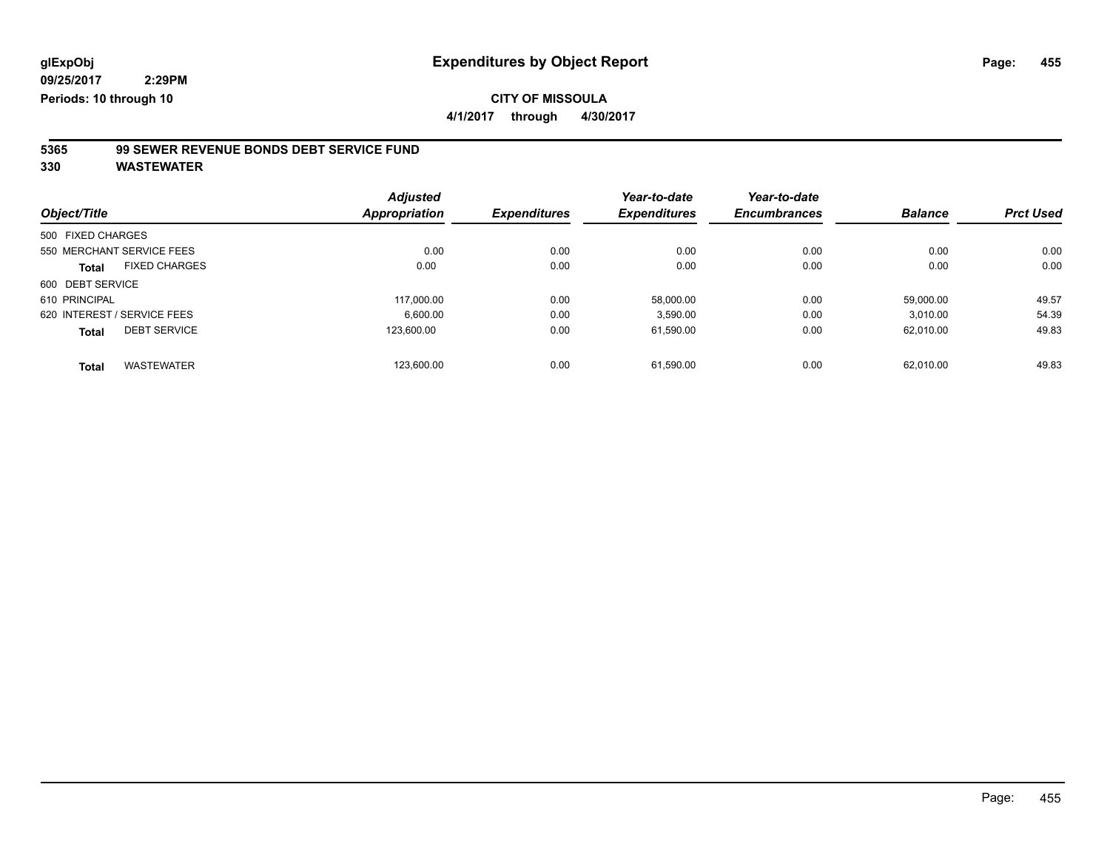**09/25/2017 2:29PM**

**Periods: 10 through 10**

**CITY OF MISSOULA 4/1/2017 through 4/30/2017**

**5365 99 SEWER REVENUE BONDS DEBT SERVICE FUND**

|                             |                      | <b>Adjusted</b> |                     | Year-to-date        | Year-to-date        |                |                  |
|-----------------------------|----------------------|-----------------|---------------------|---------------------|---------------------|----------------|------------------|
| Object/Title                |                      | Appropriation   | <b>Expenditures</b> | <b>Expenditures</b> | <b>Encumbrances</b> | <b>Balance</b> | <b>Prct Used</b> |
| 500 FIXED CHARGES           |                      |                 |                     |                     |                     |                |                  |
| 550 MERCHANT SERVICE FEES   |                      | 0.00            | 0.00                | 0.00                | 0.00                | 0.00           | 0.00             |
| <b>Total</b>                | <b>FIXED CHARGES</b> | 0.00            | 0.00                | 0.00                | 0.00                | 0.00           | 0.00             |
| 600 DEBT SERVICE            |                      |                 |                     |                     |                     |                |                  |
| 610 PRINCIPAL               |                      | 117.000.00      | 0.00                | 58.000.00           | 0.00                | 59.000.00      | 49.57            |
| 620 INTEREST / SERVICE FEES |                      | 6.600.00        | 0.00                | 3.590.00            | 0.00                | 3.010.00       | 54.39            |
| <b>Total</b>                | <b>DEBT SERVICE</b>  | 123.600.00      | 0.00                | 61,590.00           | 0.00                | 62.010.00      | 49.83            |
| <b>Total</b>                | <b>WASTEWATER</b>    | 123.600.00      | 0.00                | 61.590.00           | 0.00                | 62.010.00      | 49.83            |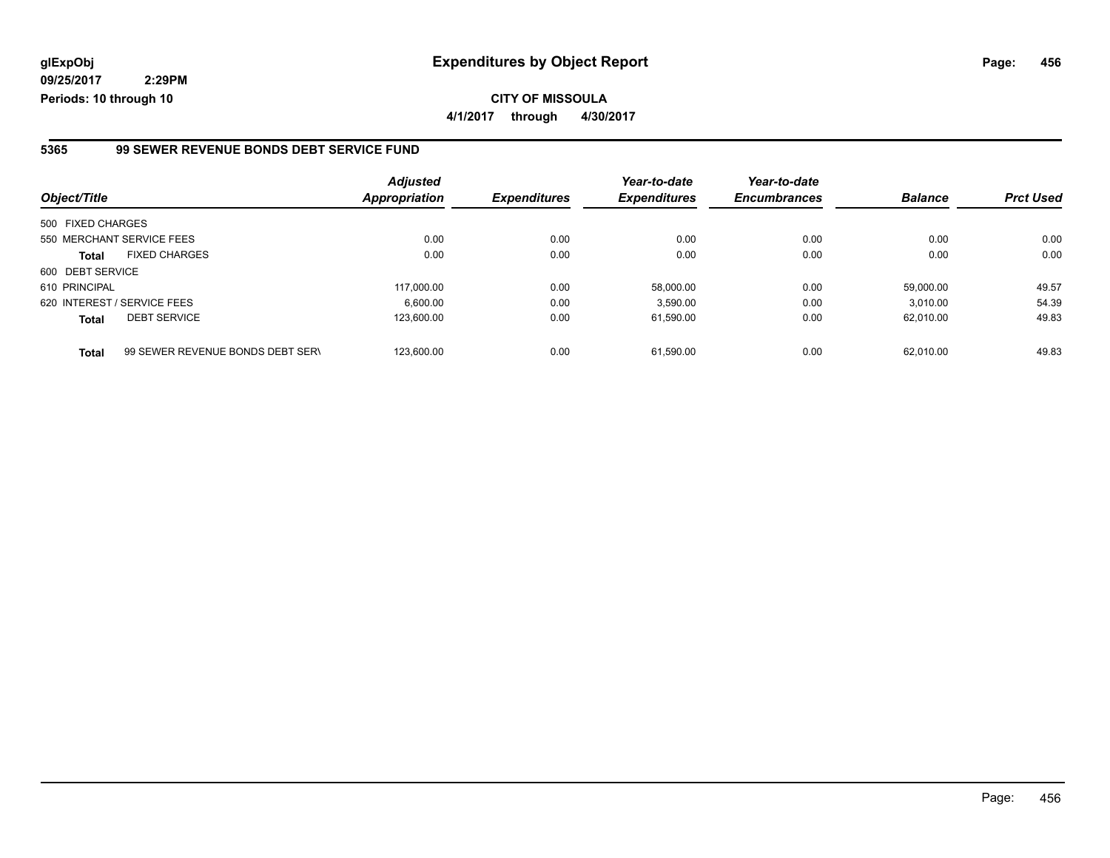**09/25/2017 2:29PM Periods: 10 through 10**

**4/1/2017 through 4/30/2017**

#### **5365 99 SEWER REVENUE BONDS DEBT SERVICE FUND**

| Object/Title      |                                  | <b>Adjusted</b><br><b>Appropriation</b> | <b>Expenditures</b> | Year-to-date<br><b>Expenditures</b> | Year-to-date<br><b>Encumbrances</b> | <b>Balance</b> | <b>Prct Used</b> |
|-------------------|----------------------------------|-----------------------------------------|---------------------|-------------------------------------|-------------------------------------|----------------|------------------|
| 500 FIXED CHARGES |                                  |                                         |                     |                                     |                                     |                |                  |
|                   | 550 MERCHANT SERVICE FEES        | 0.00                                    | 0.00                | 0.00                                | 0.00                                | 0.00           | 0.00             |
| <b>Total</b>      | <b>FIXED CHARGES</b>             | 0.00                                    | 0.00                | 0.00                                | 0.00                                | 0.00           | 0.00             |
| 600 DEBT SERVICE  |                                  |                                         |                     |                                     |                                     |                |                  |
| 610 PRINCIPAL     |                                  | 117.000.00                              | 0.00                | 58.000.00                           | 0.00                                | 59.000.00      | 49.57            |
|                   | 620 INTEREST / SERVICE FEES      | 6.600.00                                | 0.00                | 3,590.00                            | 0.00                                | 3.010.00       | 54.39            |
| <b>Total</b>      | <b>DEBT SERVICE</b>              | 123.600.00                              | 0.00                | 61,590.00                           | 0.00                                | 62.010.00      | 49.83            |
| <b>Total</b>      | 99 SEWER REVENUE BONDS DEBT SERV | 123.600.00                              | 0.00                | 61.590.00                           | 0.00                                | 62.010.00      | 49.83            |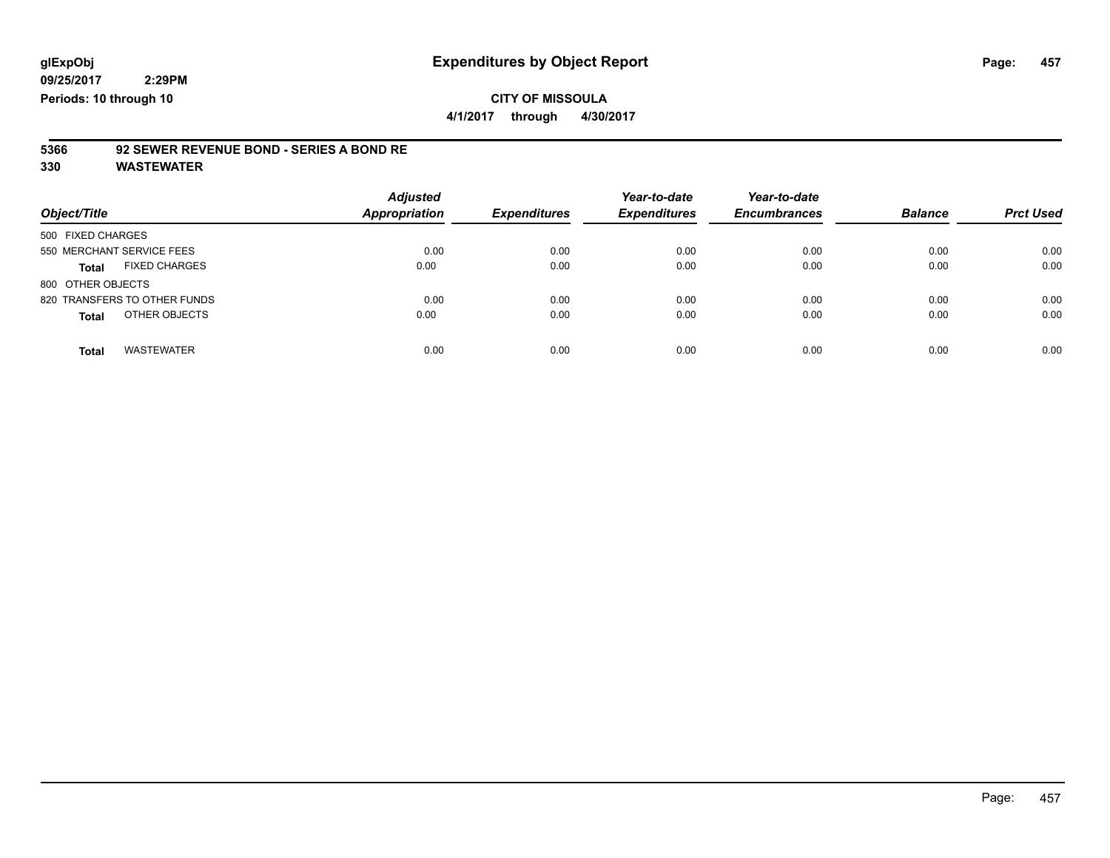## **CITY OF MISSOULA**

**4/1/2017 through 4/30/2017**

# **5366 92 SEWER REVENUE BOND - SERIES A BOND RE**

| Object/Title                      | <b>Adjusted</b><br><b>Appropriation</b> | <b>Expenditures</b> | Year-to-date<br><b>Expenditures</b> | Year-to-date<br><b>Encumbrances</b> | <b>Balance</b> | <b>Prct Used</b> |
|-----------------------------------|-----------------------------------------|---------------------|-------------------------------------|-------------------------------------|----------------|------------------|
| 500 FIXED CHARGES                 |                                         |                     |                                     |                                     |                |                  |
| 550 MERCHANT SERVICE FEES         | 0.00                                    | 0.00                | 0.00                                | 0.00                                | 0.00           | 0.00             |
| <b>FIXED CHARGES</b><br>Total     | 0.00                                    | 0.00                | 0.00                                | 0.00                                | 0.00           | 0.00             |
| 800 OTHER OBJECTS                 |                                         |                     |                                     |                                     |                |                  |
| 820 TRANSFERS TO OTHER FUNDS      | 0.00                                    | 0.00                | 0.00                                | 0.00                                | 0.00           | 0.00             |
| OTHER OBJECTS<br><b>Total</b>     | 0.00                                    | 0.00                | 0.00                                | 0.00                                | 0.00           | 0.00             |
| <b>WASTEWATER</b><br><b>Total</b> | 0.00                                    | 0.00                | 0.00                                | 0.00                                | 0.00           | 0.00             |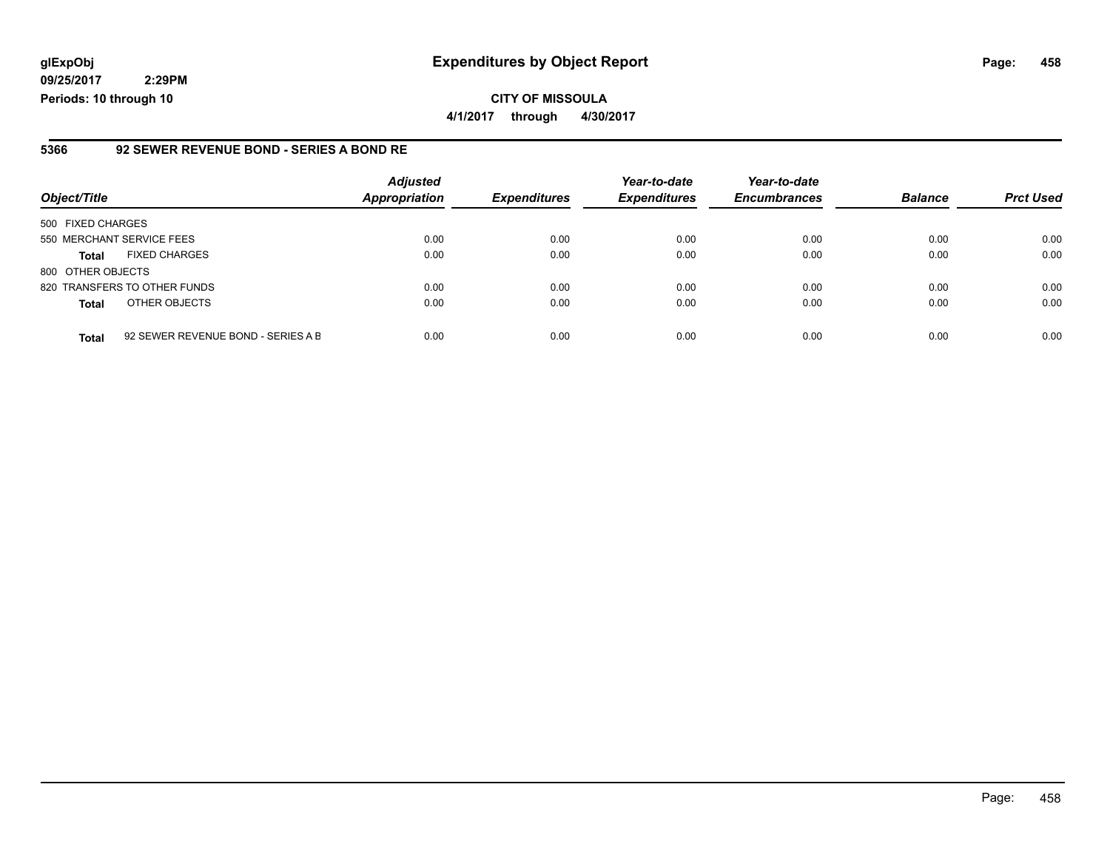**09/25/2017 2:29PM Periods: 10 through 10**

#### **5366 92 SEWER REVENUE BOND - SERIES A BOND RE**

| Object/Title              |                                    | <b>Adjusted</b><br><b>Appropriation</b> | <b>Expenditures</b> | Year-to-date<br><b>Expenditures</b> | Year-to-date<br><b>Encumbrances</b> | <b>Balance</b> | <b>Prct Used</b> |
|---------------------------|------------------------------------|-----------------------------------------|---------------------|-------------------------------------|-------------------------------------|----------------|------------------|
| 500 FIXED CHARGES         |                                    |                                         |                     |                                     |                                     |                |                  |
| 550 MERCHANT SERVICE FEES |                                    | 0.00                                    | 0.00                | 0.00                                | 0.00                                | 0.00           | 0.00             |
| <b>Total</b>              | <b>FIXED CHARGES</b>               | 0.00                                    | 0.00                | 0.00                                | 0.00                                | 0.00           | 0.00             |
| 800 OTHER OBJECTS         |                                    |                                         |                     |                                     |                                     |                |                  |
|                           | 820 TRANSFERS TO OTHER FUNDS       | 0.00                                    | 0.00                | 0.00                                | 0.00                                | 0.00           | 0.00             |
| <b>Total</b>              | OTHER OBJECTS                      | 0.00                                    | 0.00                | 0.00                                | 0.00                                | 0.00           | 0.00             |
| <b>Total</b>              | 92 SEWER REVENUE BOND - SERIES A B | 0.00                                    | 0.00                | 0.00                                | 0.00                                | 0.00           | 0.00             |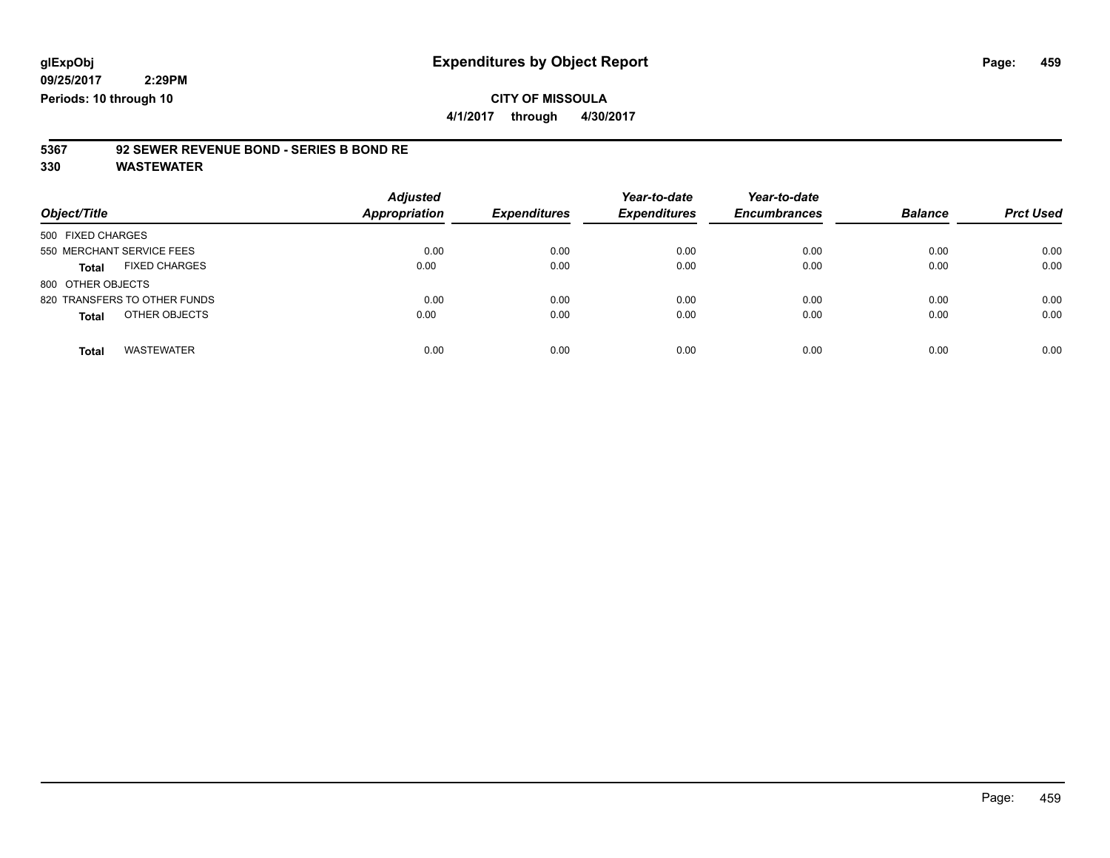**4/1/2017 through 4/30/2017**

## **5367 92 SEWER REVENUE BOND - SERIES B BOND RE**

| Object/Title                      | <b>Adjusted</b><br>Appropriation | <b>Expenditures</b> | Year-to-date<br><b>Expenditures</b> | Year-to-date<br><b>Encumbrances</b> | <b>Balance</b> | <b>Prct Used</b> |
|-----------------------------------|----------------------------------|---------------------|-------------------------------------|-------------------------------------|----------------|------------------|
| 500 FIXED CHARGES                 |                                  |                     |                                     |                                     |                |                  |
| 550 MERCHANT SERVICE FEES         | 0.00                             | 0.00                | 0.00                                | 0.00                                | 0.00           | 0.00             |
| <b>FIXED CHARGES</b><br>Total     | 0.00                             | 0.00                | 0.00                                | 0.00                                | 0.00           | 0.00             |
| 800 OTHER OBJECTS                 |                                  |                     |                                     |                                     |                |                  |
| 820 TRANSFERS TO OTHER FUNDS      | 0.00                             | 0.00                | 0.00                                | 0.00                                | 0.00           | 0.00             |
| OTHER OBJECTS<br><b>Total</b>     | 0.00                             | 0.00                | 0.00                                | 0.00                                | 0.00           | 0.00             |
| <b>WASTEWATER</b><br><b>Total</b> | 0.00                             | 0.00                | 0.00                                | 0.00                                | 0.00           | 0.00             |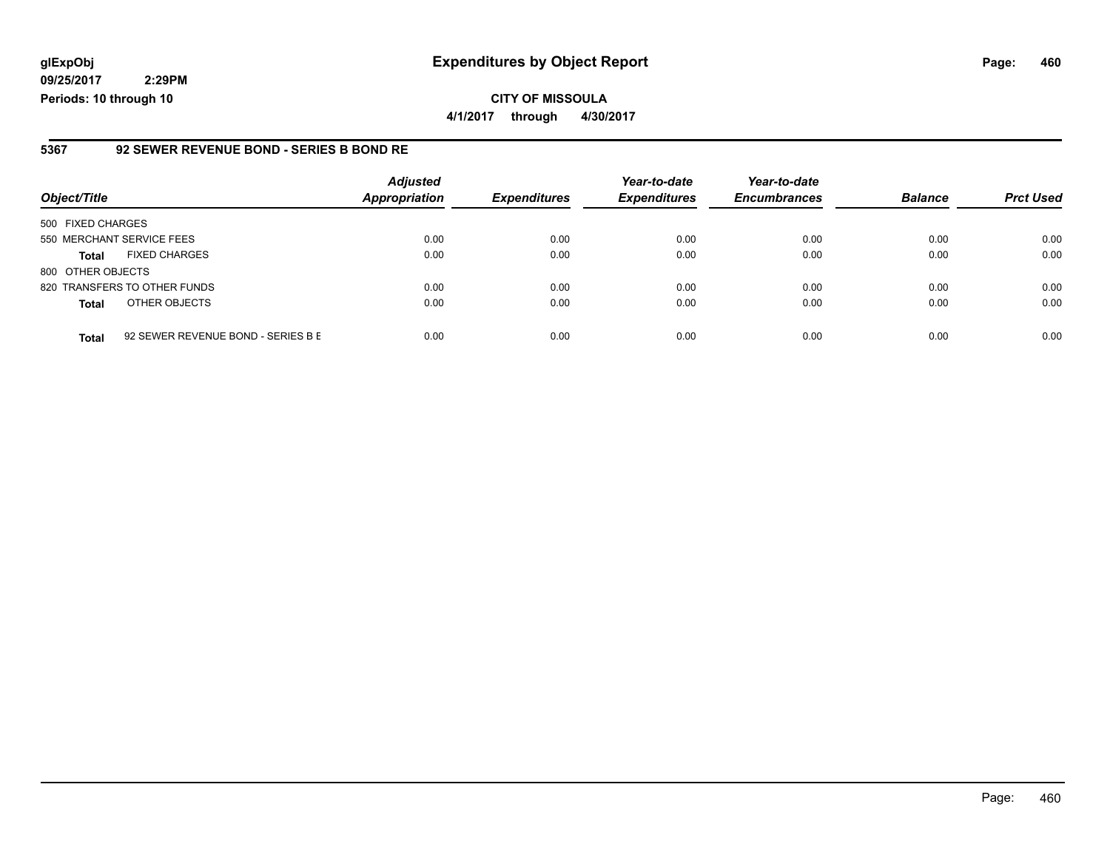**09/25/2017 2:29PM Periods: 10 through 10**

#### **5367 92 SEWER REVENUE BOND - SERIES B BOND RE**

| Object/Title              |                                    | <b>Adjusted</b><br><b>Appropriation</b> | <b>Expenditures</b> | Year-to-date<br><b>Expenditures</b> | Year-to-date<br><b>Encumbrances</b> | <b>Balance</b> | <b>Prct Used</b> |
|---------------------------|------------------------------------|-----------------------------------------|---------------------|-------------------------------------|-------------------------------------|----------------|------------------|
| 500 FIXED CHARGES         |                                    |                                         |                     |                                     |                                     |                |                  |
| 550 MERCHANT SERVICE FEES |                                    | 0.00                                    | 0.00                | 0.00                                | 0.00                                | 0.00           | 0.00             |
| <b>Total</b>              | <b>FIXED CHARGES</b>               | 0.00                                    | 0.00                | 0.00                                | 0.00                                | 0.00           | 0.00             |
| 800 OTHER OBJECTS         |                                    |                                         |                     |                                     |                                     |                |                  |
|                           | 820 TRANSFERS TO OTHER FUNDS       | 0.00                                    | 0.00                | 0.00                                | 0.00                                | 0.00           | 0.00             |
| <b>Total</b>              | OTHER OBJECTS                      | 0.00                                    | 0.00                | 0.00                                | 0.00                                | 0.00           | 0.00             |
| <b>Total</b>              | 92 SEWER REVENUE BOND - SERIES B E | 0.00                                    | 0.00                | 0.00                                | 0.00                                | 0.00           | 0.00             |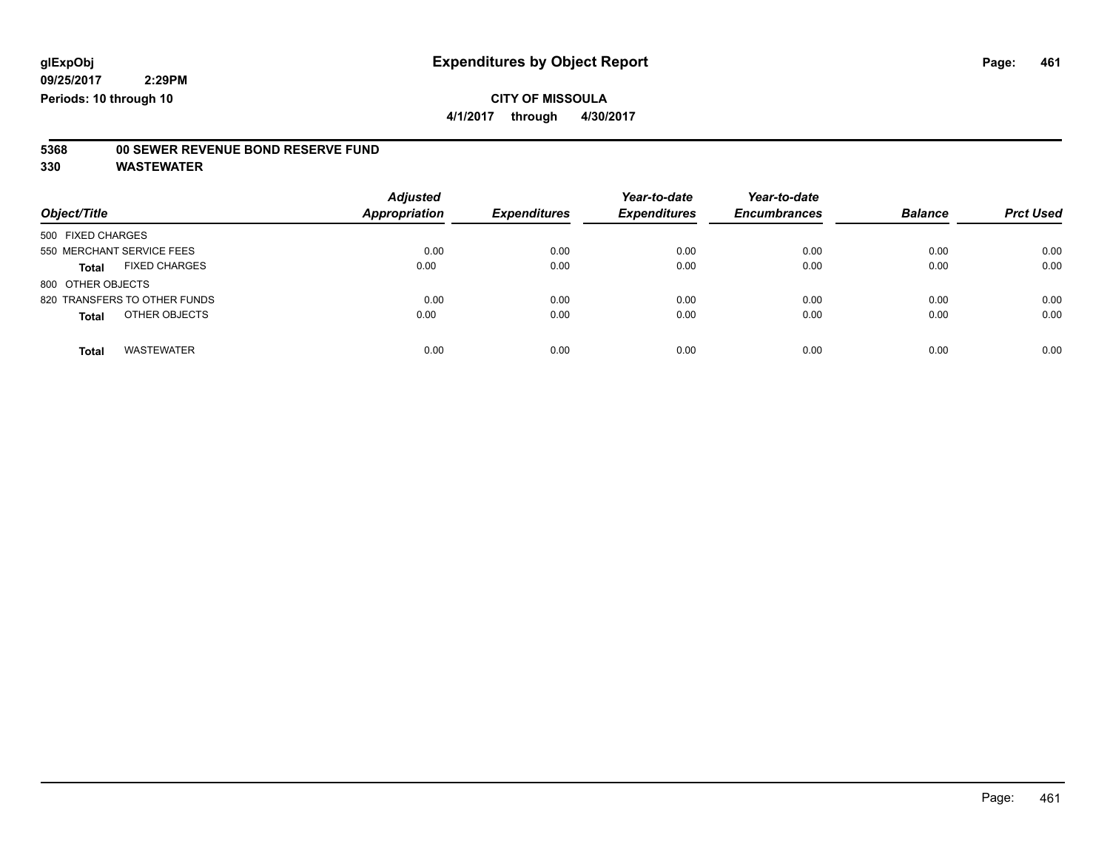**4/1/2017 through 4/30/2017**

## **5368 00 SEWER REVENUE BOND RESERVE FUND**

| Object/Title                         | <b>Adjusted</b><br>Appropriation | <b>Expenditures</b> | Year-to-date<br><b>Expenditures</b> | Year-to-date<br><b>Encumbrances</b> | <b>Balance</b> | <b>Prct Used</b> |
|--------------------------------------|----------------------------------|---------------------|-------------------------------------|-------------------------------------|----------------|------------------|
| 500 FIXED CHARGES                    |                                  |                     |                                     |                                     |                |                  |
| 550 MERCHANT SERVICE FEES            | 0.00                             | 0.00                | 0.00                                | 0.00                                | 0.00           | 0.00             |
| <b>FIXED CHARGES</b><br><b>Total</b> | 0.00                             | 0.00                | 0.00                                | 0.00                                | 0.00           | 0.00             |
| 800 OTHER OBJECTS                    |                                  |                     |                                     |                                     |                |                  |
| 820 TRANSFERS TO OTHER FUNDS         | 0.00                             | 0.00                | 0.00                                | 0.00                                | 0.00           | 0.00             |
| OTHER OBJECTS<br><b>Total</b>        | 0.00                             | 0.00                | 0.00                                | 0.00                                | 0.00           | 0.00             |
| <b>WASTEWATER</b><br><b>Total</b>    | 0.00                             | 0.00                | 0.00                                | 0.00                                | 0.00           | 0.00             |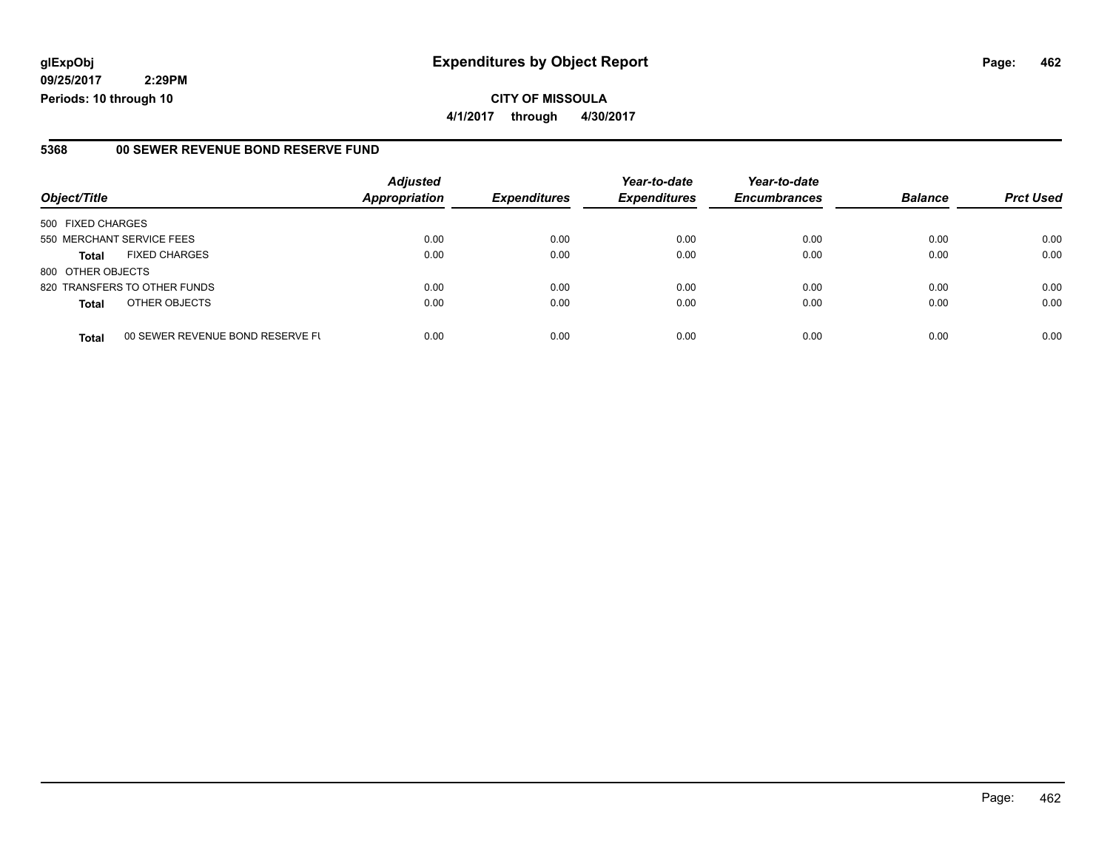**09/25/2017 2:29PM Periods: 10 through 10**

#### **5368 00 SEWER REVENUE BOND RESERVE FUND**

| Object/Title              |                                  | <b>Adjusted</b><br><b>Appropriation</b> | <b>Expenditures</b> | Year-to-date<br><b>Expenditures</b> | Year-to-date<br><b>Encumbrances</b> | <b>Balance</b> | <b>Prct Used</b> |
|---------------------------|----------------------------------|-----------------------------------------|---------------------|-------------------------------------|-------------------------------------|----------------|------------------|
|                           |                                  |                                         |                     |                                     |                                     |                |                  |
| 500 FIXED CHARGES         |                                  |                                         |                     |                                     |                                     |                |                  |
| 550 MERCHANT SERVICE FEES |                                  | 0.00                                    | 0.00                | 0.00                                | 0.00                                | 0.00           | 0.00             |
| <b>Total</b>              | <b>FIXED CHARGES</b>             | 0.00                                    | 0.00                | 0.00                                | 0.00                                | 0.00           | 0.00             |
| 800 OTHER OBJECTS         |                                  |                                         |                     |                                     |                                     |                |                  |
|                           | 820 TRANSFERS TO OTHER FUNDS     | 0.00                                    | 0.00                | 0.00                                | 0.00                                | 0.00           | 0.00             |
| <b>Total</b>              | OTHER OBJECTS                    | 0.00                                    | 0.00                | 0.00                                | 0.00                                | 0.00           | 0.00             |
| <b>Total</b>              | 00 SEWER REVENUE BOND RESERVE FL | 0.00                                    | 0.00                | 0.00                                | 0.00                                | 0.00           | 0.00             |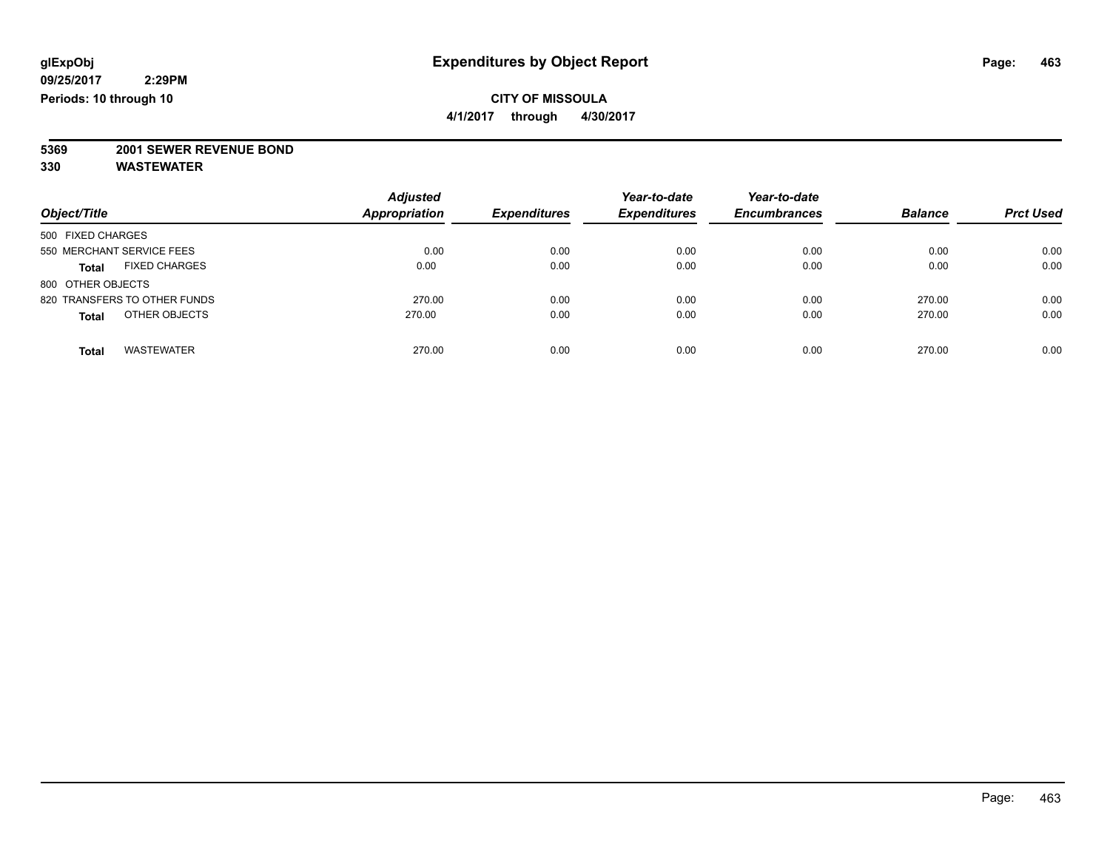**4/1/2017 through 4/30/2017**

**5369 2001 SEWER REVENUE BOND**

| Object/Title                         | <b>Adjusted</b><br>Appropriation | <b>Expenditures</b> | Year-to-date<br><b>Expenditures</b> | Year-to-date<br><b>Encumbrances</b> | <b>Balance</b> | <b>Prct Used</b> |
|--------------------------------------|----------------------------------|---------------------|-------------------------------------|-------------------------------------|----------------|------------------|
| 500 FIXED CHARGES                    |                                  |                     |                                     |                                     |                |                  |
| 550 MERCHANT SERVICE FEES            | 0.00                             | 0.00                | 0.00                                | 0.00                                | 0.00           | 0.00             |
| <b>FIXED CHARGES</b><br><b>Total</b> | 0.00                             | 0.00                | 0.00                                | 0.00                                | 0.00           | 0.00             |
| 800 OTHER OBJECTS                    |                                  |                     |                                     |                                     |                |                  |
| 820 TRANSFERS TO OTHER FUNDS         | 270.00                           | 0.00                | 0.00                                | 0.00                                | 270.00         | 0.00             |
| OTHER OBJECTS<br><b>Total</b>        | 270.00                           | 0.00                | 0.00                                | 0.00                                | 270.00         | 0.00             |
| <b>WASTEWATER</b><br><b>Total</b>    | 270.00                           | 0.00                | 0.00                                | 0.00                                | 270.00         | 0.00             |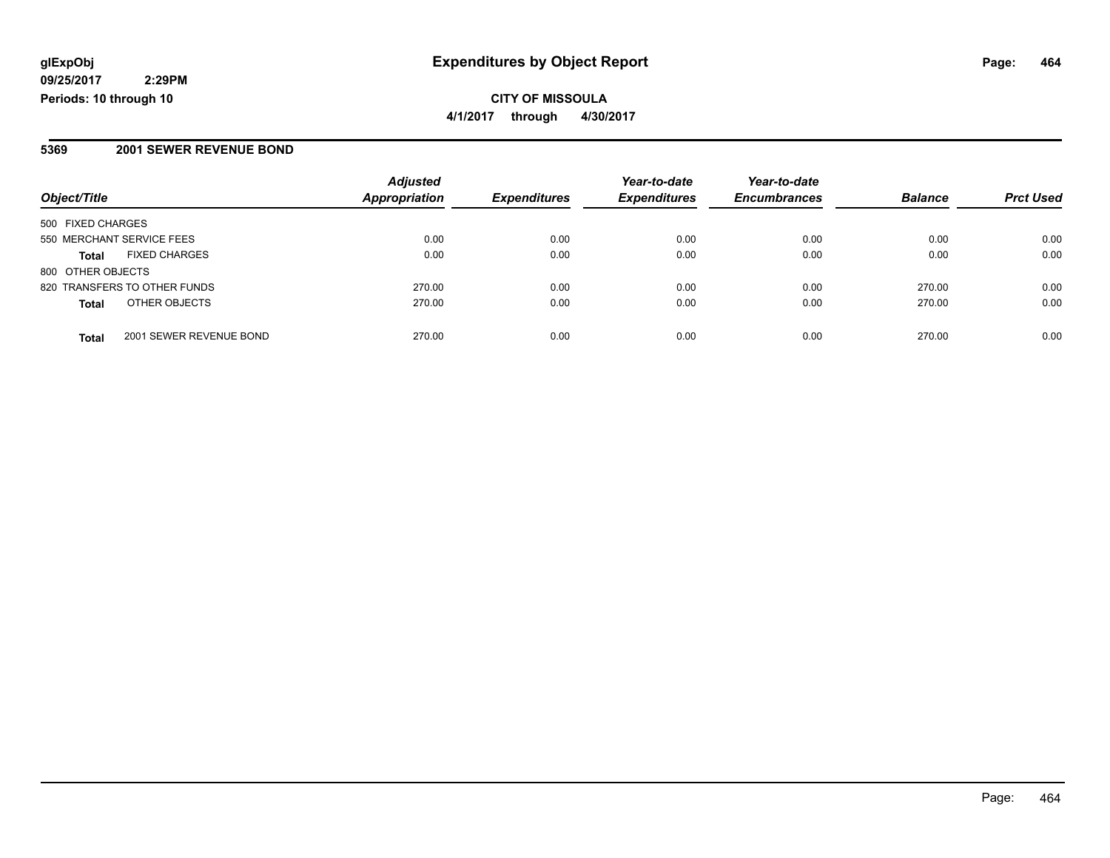## **CITY OF MISSOULA 4/1/2017 through 4/30/2017**

#### **5369 2001 SEWER REVENUE BOND**

| Object/Title              |                              | <b>Adjusted</b>      | <b>Expenditures</b> | Year-to-date        | Year-to-date        | <b>Balance</b> | <b>Prct Used</b> |
|---------------------------|------------------------------|----------------------|---------------------|---------------------|---------------------|----------------|------------------|
|                           |                              | <b>Appropriation</b> |                     | <b>Expenditures</b> | <b>Encumbrances</b> |                |                  |
| 500 FIXED CHARGES         |                              |                      |                     |                     |                     |                |                  |
| 550 MERCHANT SERVICE FEES |                              | 0.00                 | 0.00                | 0.00                | 0.00                | 0.00           | 0.00             |
| <b>Total</b>              | <b>FIXED CHARGES</b>         | 0.00                 | 0.00                | 0.00                | 0.00                | 0.00           | 0.00             |
| 800 OTHER OBJECTS         |                              |                      |                     |                     |                     |                |                  |
|                           | 820 TRANSFERS TO OTHER FUNDS | 270.00               | 0.00                | 0.00                | 0.00                | 270.00         | 0.00             |
| <b>Total</b>              | OTHER OBJECTS                | 270.00               | 0.00                | 0.00                | 0.00                | 270.00         | 0.00             |
| <b>Total</b>              | 2001 SEWER REVENUE BOND      | 270.00               | 0.00                | 0.00                | 0.00                | 270.00         | 0.00             |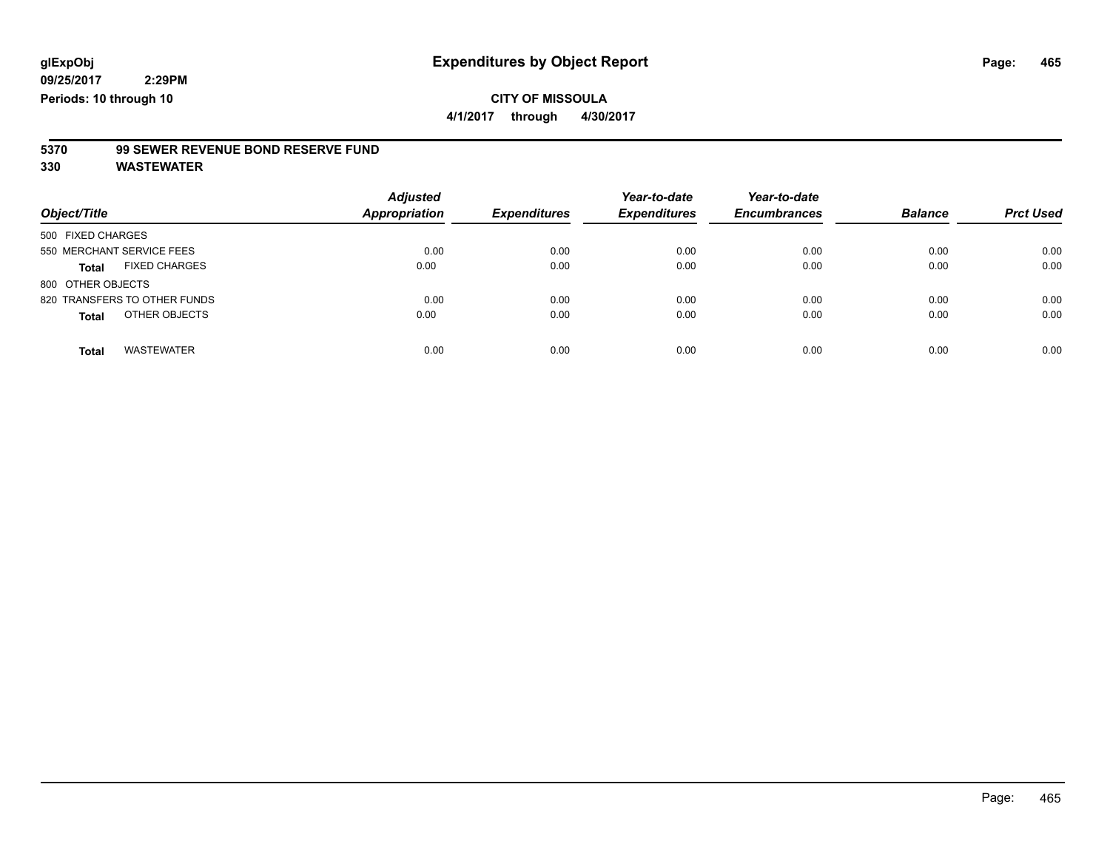**4/1/2017 through 4/30/2017**

# **5370 99 SEWER REVENUE BOND RESERVE FUND**

| Object/Title                         | <b>Adjusted</b><br>Appropriation | <b>Expenditures</b> | Year-to-date<br><b>Expenditures</b> | Year-to-date<br><b>Encumbrances</b> | <b>Balance</b> | <b>Prct Used</b> |
|--------------------------------------|----------------------------------|---------------------|-------------------------------------|-------------------------------------|----------------|------------------|
| 500 FIXED CHARGES                    |                                  |                     |                                     |                                     |                |                  |
| 550 MERCHANT SERVICE FEES            | 0.00                             | 0.00                | 0.00                                | 0.00                                | 0.00           | 0.00             |
| <b>FIXED CHARGES</b><br><b>Total</b> | 0.00                             | 0.00                | 0.00                                | 0.00                                | 0.00           | 0.00             |
| 800 OTHER OBJECTS                    |                                  |                     |                                     |                                     |                |                  |
| 820 TRANSFERS TO OTHER FUNDS         | 0.00                             | 0.00                | 0.00                                | 0.00                                | 0.00           | 0.00             |
| OTHER OBJECTS<br><b>Total</b>        | 0.00                             | 0.00                | 0.00                                | 0.00                                | 0.00           | 0.00             |
| <b>WASTEWATER</b><br><b>Total</b>    | 0.00                             | 0.00                | 0.00                                | 0.00                                | 0.00           | 0.00             |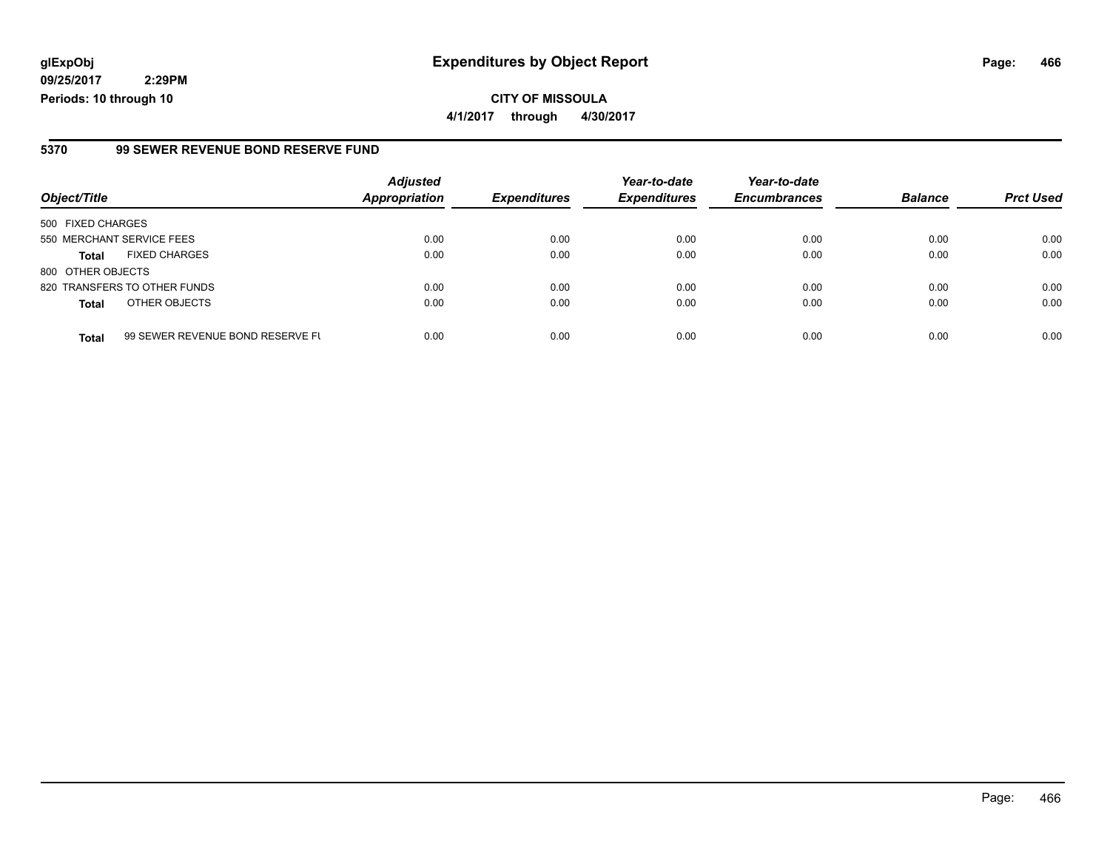**09/25/2017 2:29PM Periods: 10 through 10**

#### **5370 99 SEWER REVENUE BOND RESERVE FUND**

|                           |                                  | <b>Adjusted</b>      |                     | Year-to-date        | Year-to-date        |                |                  |
|---------------------------|----------------------------------|----------------------|---------------------|---------------------|---------------------|----------------|------------------|
| Object/Title              |                                  | <b>Appropriation</b> | <b>Expenditures</b> | <b>Expenditures</b> | <b>Encumbrances</b> | <b>Balance</b> | <b>Prct Used</b> |
| 500 FIXED CHARGES         |                                  |                      |                     |                     |                     |                |                  |
| 550 MERCHANT SERVICE FEES |                                  | 0.00                 | 0.00                | 0.00                | 0.00                | 0.00           | 0.00             |
| <b>Total</b>              | <b>FIXED CHARGES</b>             | 0.00                 | 0.00                | 0.00                | 0.00                | 0.00           | 0.00             |
| 800 OTHER OBJECTS         |                                  |                      |                     |                     |                     |                |                  |
|                           | 820 TRANSFERS TO OTHER FUNDS     | 0.00                 | 0.00                | 0.00                | 0.00                | 0.00           | 0.00             |
| <b>Total</b>              | OTHER OBJECTS                    | 0.00                 | 0.00                | 0.00                | 0.00                | 0.00           | 0.00             |
| <b>Total</b>              | 99 SEWER REVENUE BOND RESERVE FU | 0.00                 | 0.00                | 0.00                | 0.00                | 0.00           | 0.00             |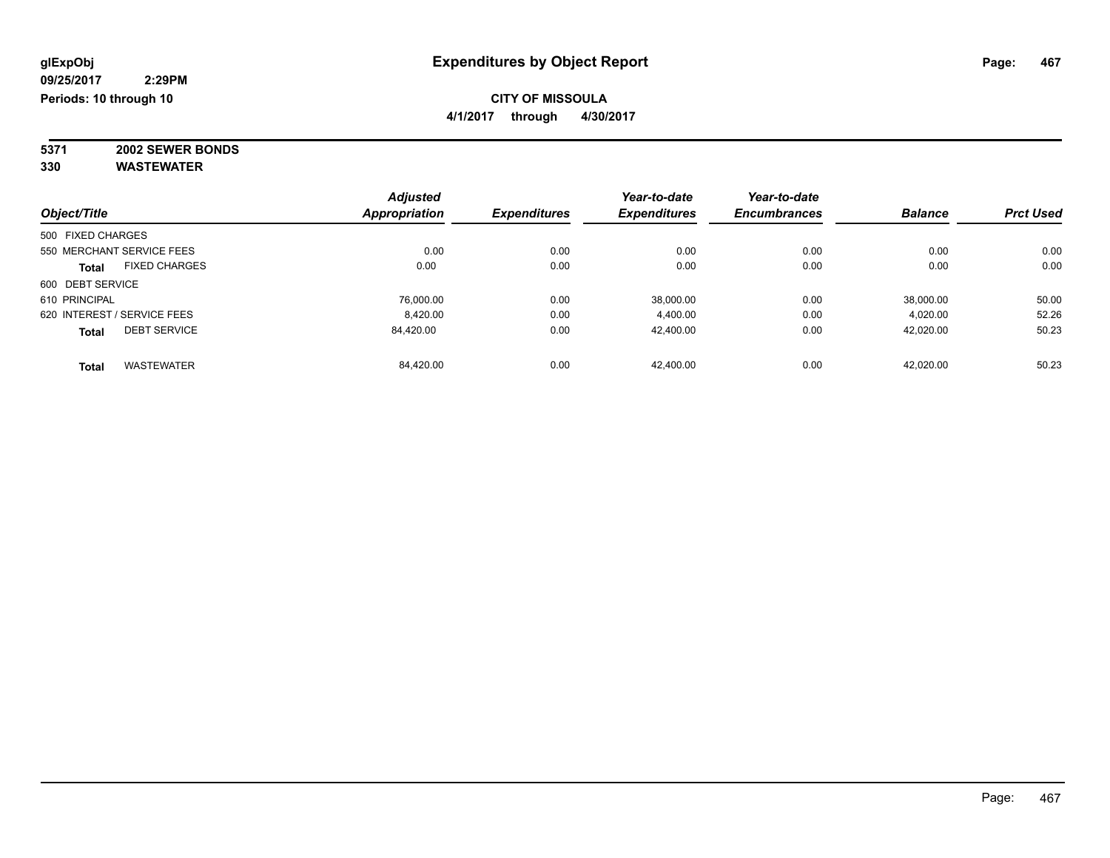**4/1/2017 through 4/30/2017**

**5371 2002 SEWER BONDS 330 WASTEWATER**

|                                      | <b>Adjusted</b> |                     | Year-to-date        | Year-to-date        |                |                  |
|--------------------------------------|-----------------|---------------------|---------------------|---------------------|----------------|------------------|
| Object/Title                         | Appropriation   | <b>Expenditures</b> | <b>Expenditures</b> | <b>Encumbrances</b> | <b>Balance</b> | <b>Prct Used</b> |
| 500 FIXED CHARGES                    |                 |                     |                     |                     |                |                  |
| 550 MERCHANT SERVICE FEES            | 0.00            | 0.00                | 0.00                | 0.00                | 0.00           | 0.00             |
| <b>FIXED CHARGES</b><br><b>Total</b> | 0.00            | 0.00                | 0.00                | 0.00                | 0.00           | 0.00             |
| 600 DEBT SERVICE                     |                 |                     |                     |                     |                |                  |
| 610 PRINCIPAL                        | 76.000.00       | 0.00                | 38.000.00           | 0.00                | 38.000.00      | 50.00            |
| 620 INTEREST / SERVICE FEES          | 8.420.00        | 0.00                | 4.400.00            | 0.00                | 4,020.00       | 52.26            |
| <b>DEBT SERVICE</b><br><b>Total</b>  | 84,420.00       | 0.00                | 42,400.00           | 0.00                | 42,020.00      | 50.23            |
| <b>WASTEWATER</b><br><b>Total</b>    | 84.420.00       | 0.00                | 42.400.00           | 0.00                | 42.020.00      | 50.23            |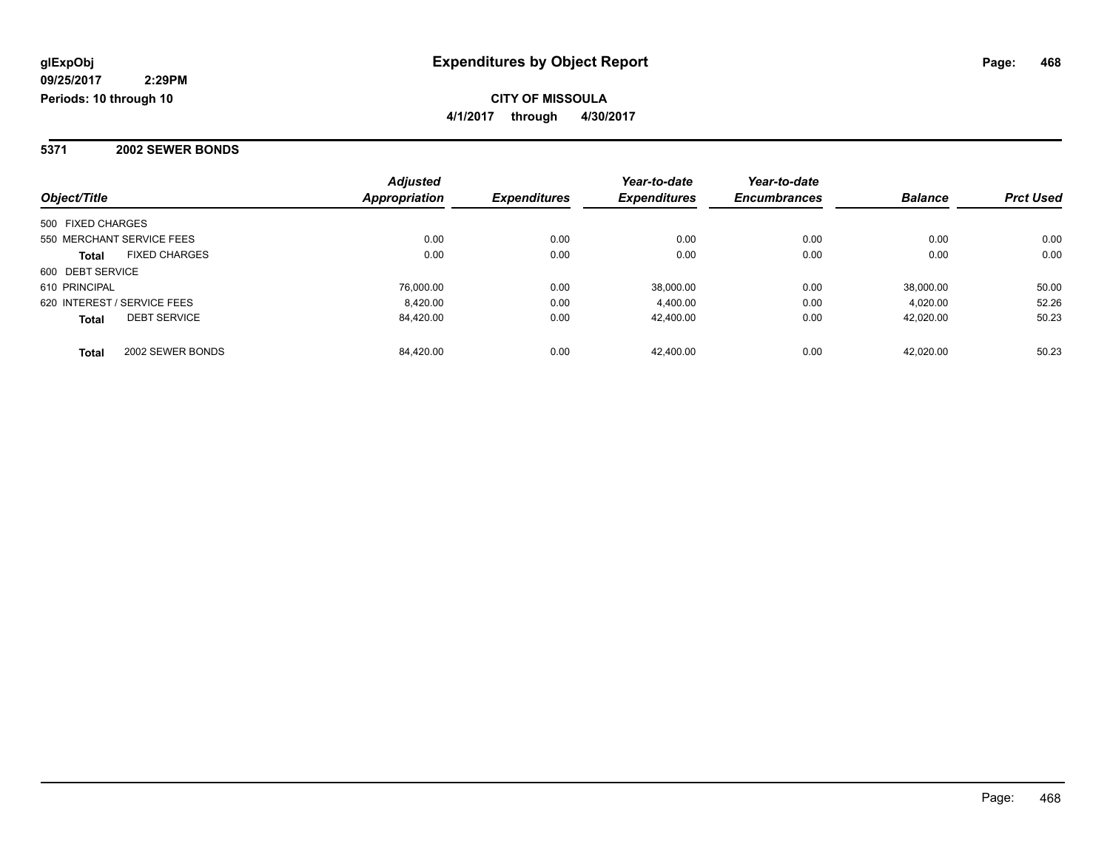**2:29PM Periods: 10 through 10**

### **CITY OF MISSOULA 4/1/2017 through 4/30/2017**

### **5371 2002 SEWER BONDS**

| Object/Title                         | <b>Adjusted</b><br><b>Appropriation</b> | <b>Expenditures</b> | Year-to-date<br><b>Expenditures</b> | Year-to-date<br><b>Encumbrances</b> | <b>Balance</b> | <b>Prct Used</b> |
|--------------------------------------|-----------------------------------------|---------------------|-------------------------------------|-------------------------------------|----------------|------------------|
|                                      |                                         |                     |                                     |                                     |                |                  |
| 500 FIXED CHARGES                    |                                         |                     |                                     |                                     |                |                  |
| 550 MERCHANT SERVICE FEES            | 0.00                                    | 0.00                | 0.00                                | 0.00                                | 0.00           | 0.00             |
| <b>FIXED CHARGES</b><br><b>Total</b> | 0.00                                    | 0.00                | 0.00                                | 0.00                                | 0.00           | 0.00             |
| 600 DEBT SERVICE                     |                                         |                     |                                     |                                     |                |                  |
| 610 PRINCIPAL                        | 76,000.00                               | 0.00                | 38.000.00                           | 0.00                                | 38.000.00      | 50.00            |
| 620 INTEREST / SERVICE FEES          | 8.420.00                                | 0.00                | 4,400.00                            | 0.00                                | 4.020.00       | 52.26            |
| <b>DEBT SERVICE</b><br><b>Total</b>  | 84.420.00                               | 0.00                | 42.400.00                           | 0.00                                | 42.020.00      | 50.23            |
| 2002 SEWER BONDS<br><b>Total</b>     | 84.420.00                               | 0.00                | 42.400.00                           | 0.00                                | 42.020.00      | 50.23            |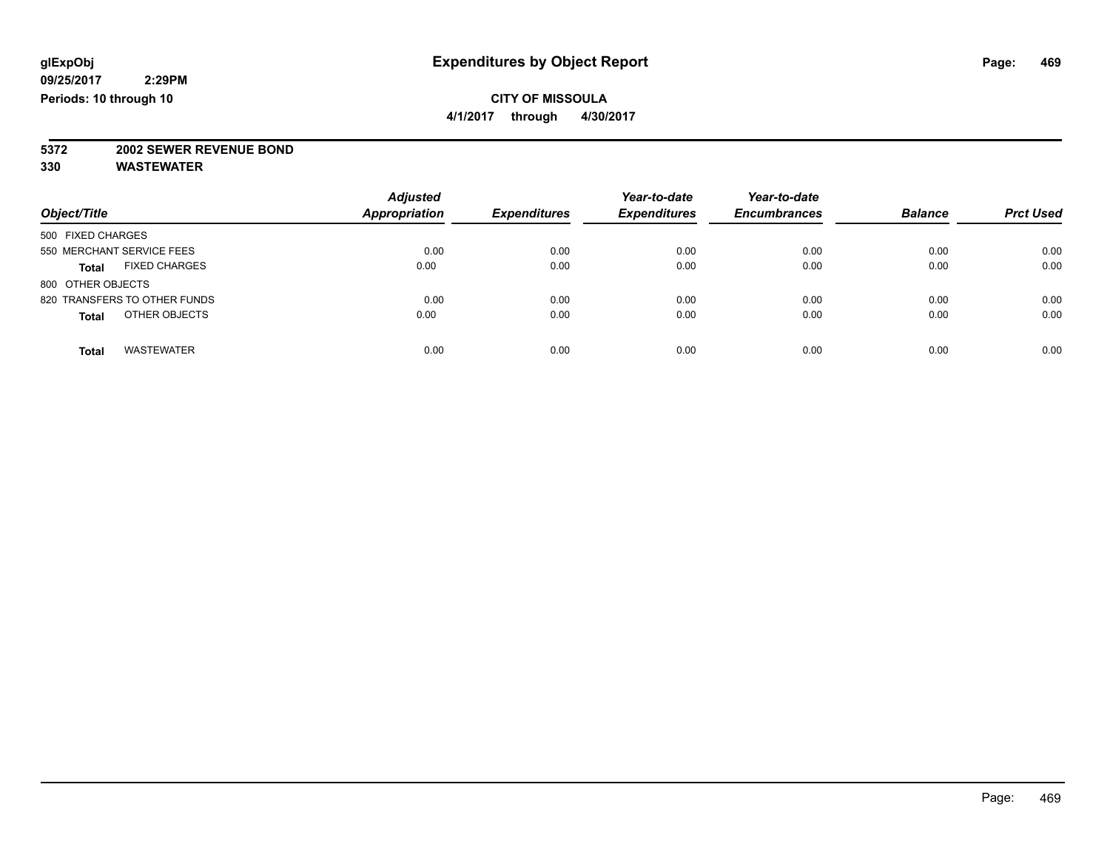**4/1/2017 through 4/30/2017**

# **5372 2002 SEWER REVENUE BOND**

| Object/Title                         | <b>Adjusted</b><br><b>Appropriation</b> | <b>Expenditures</b> | Year-to-date<br><b>Expenditures</b> | Year-to-date<br><b>Encumbrances</b> | <b>Balance</b> | <b>Prct Used</b> |
|--------------------------------------|-----------------------------------------|---------------------|-------------------------------------|-------------------------------------|----------------|------------------|
| 500 FIXED CHARGES                    |                                         |                     |                                     |                                     |                |                  |
| 550 MERCHANT SERVICE FEES            | 0.00                                    | 0.00                | 0.00                                | 0.00                                | 0.00           | 0.00             |
| <b>FIXED CHARGES</b><br><b>Total</b> | 0.00                                    | 0.00                | 0.00                                | 0.00                                | 0.00           | 0.00             |
| 800 OTHER OBJECTS                    |                                         |                     |                                     |                                     |                |                  |
| 820 TRANSFERS TO OTHER FUNDS         | 0.00                                    | 0.00                | 0.00                                | 0.00                                | 0.00           | 0.00             |
| OTHER OBJECTS<br><b>Total</b>        | 0.00                                    | 0.00                | 0.00                                | 0.00                                | 0.00           | 0.00             |
| <b>WASTEWATER</b><br><b>Total</b>    | 0.00                                    | 0.00                | 0.00                                | 0.00                                | 0.00           | 0.00             |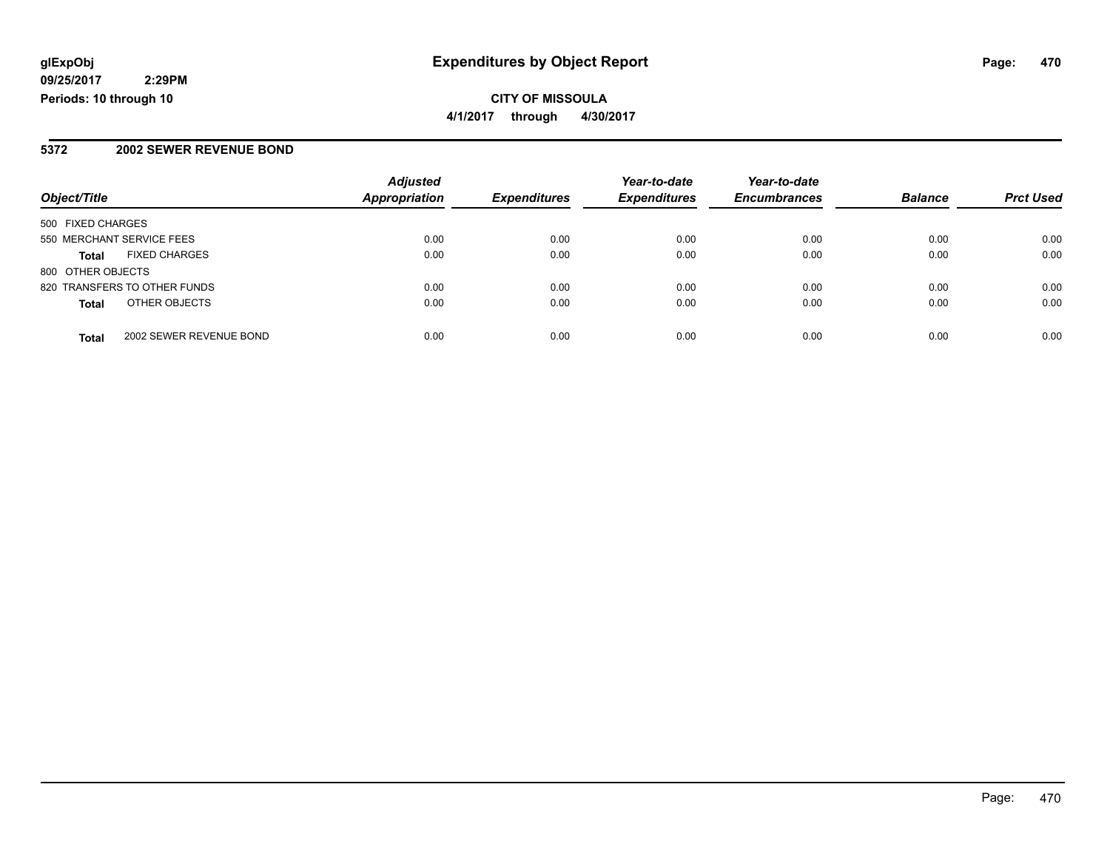### **CITY OF MISSOULA 4/1/2017 through 4/30/2017**

### **5372 2002 SEWER REVENUE BOND**

|                                         | <b>Adjusted</b>      |                     | Year-to-date        | Year-to-date        |                |                  |
|-----------------------------------------|----------------------|---------------------|---------------------|---------------------|----------------|------------------|
| Object/Title                            | <b>Appropriation</b> | <b>Expenditures</b> | <b>Expenditures</b> | <b>Encumbrances</b> | <b>Balance</b> | <b>Prct Used</b> |
| 500 FIXED CHARGES                       |                      |                     |                     |                     |                |                  |
| 550 MERCHANT SERVICE FEES               | 0.00                 | 0.00                | 0.00                | 0.00                | 0.00           | 0.00             |
| <b>FIXED CHARGES</b><br><b>Total</b>    | 0.00                 | 0.00                | 0.00                | 0.00                | 0.00           | 0.00             |
| 800 OTHER OBJECTS                       |                      |                     |                     |                     |                |                  |
| 820 TRANSFERS TO OTHER FUNDS            | 0.00                 | 0.00                | 0.00                | 0.00                | 0.00           | 0.00             |
| OTHER OBJECTS<br><b>Total</b>           | 0.00                 | 0.00                | 0.00                | 0.00                | 0.00           | 0.00             |
| 2002 SEWER REVENUE BOND<br><b>Total</b> | 0.00                 | 0.00                | 0.00                | 0.00                | 0.00           | 0.00             |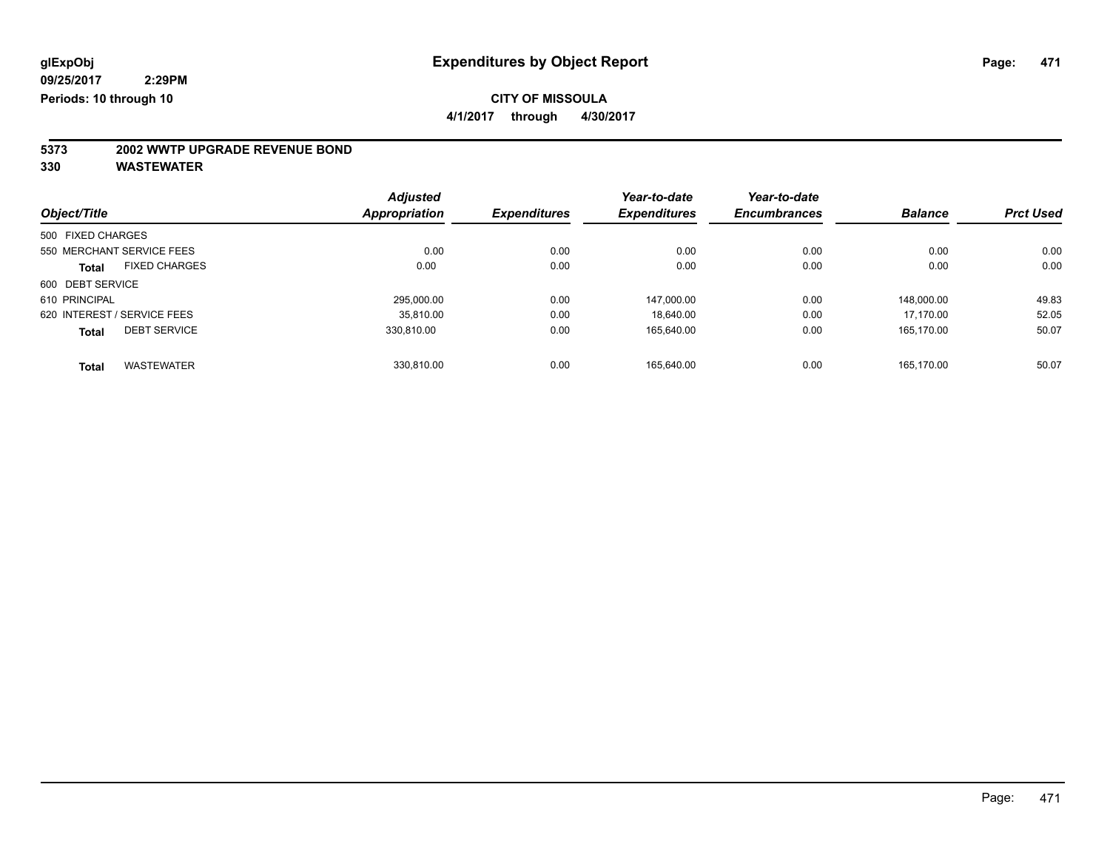**4/1/2017 through 4/30/2017**

# **5373 2002 WWTP UPGRADE REVENUE BOND**

|                   |                             | <b>Adjusted</b> |                     | Year-to-date        | Year-to-date        |                |                  |
|-------------------|-----------------------------|-----------------|---------------------|---------------------|---------------------|----------------|------------------|
| Object/Title      |                             | Appropriation   | <b>Expenditures</b> | <b>Expenditures</b> | <b>Encumbrances</b> | <b>Balance</b> | <b>Prct Used</b> |
| 500 FIXED CHARGES |                             |                 |                     |                     |                     |                |                  |
|                   | 550 MERCHANT SERVICE FEES   | 0.00            | 0.00                | 0.00                | 0.00                | 0.00           | 0.00             |
| Total             | <b>FIXED CHARGES</b>        | 0.00            | 0.00                | 0.00                | 0.00                | 0.00           | 0.00             |
| 600 DEBT SERVICE  |                             |                 |                     |                     |                     |                |                  |
| 610 PRINCIPAL     |                             | 295.000.00      | 0.00                | 147,000.00          | 0.00                | 148.000.00     | 49.83            |
|                   | 620 INTEREST / SERVICE FEES | 35.810.00       | 0.00                | 18.640.00           | 0.00                | 17.170.00      | 52.05            |
| <b>Total</b>      | <b>DEBT SERVICE</b>         | 330.810.00      | 0.00                | 165.640.00          | 0.00                | 165.170.00     | 50.07            |
| <b>Total</b>      | <b>WASTEWATER</b>           | 330.810.00      | 0.00                | 165.640.00          | 0.00                | 165.170.00     | 50.07            |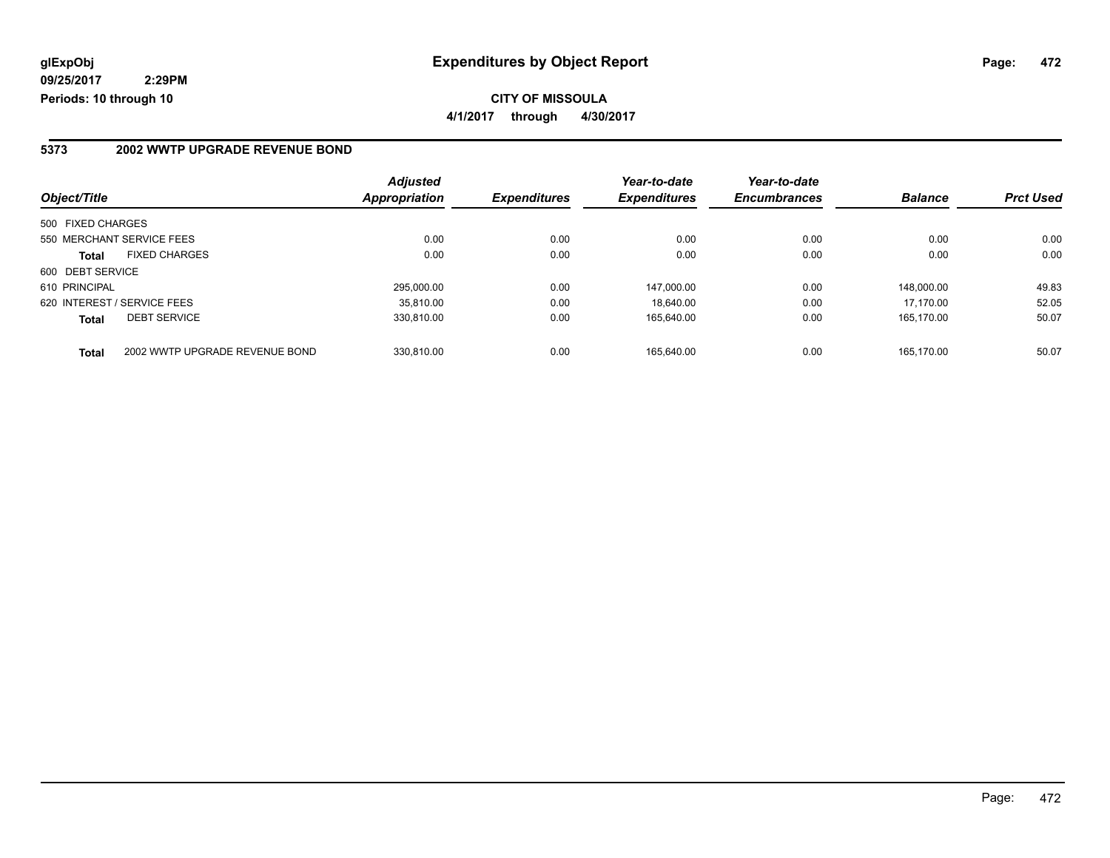### **5373 2002 WWTP UPGRADE REVENUE BOND**

| Object/Title      |                                | <b>Adjusted</b>      | <b>Expenditures</b> | Year-to-date<br><b>Expenditures</b> | Year-to-date<br><b>Encumbrances</b> | <b>Balance</b> | <b>Prct Used</b> |
|-------------------|--------------------------------|----------------------|---------------------|-------------------------------------|-------------------------------------|----------------|------------------|
|                   |                                | <b>Appropriation</b> |                     |                                     |                                     |                |                  |
| 500 FIXED CHARGES |                                |                      |                     |                                     |                                     |                |                  |
|                   | 550 MERCHANT SERVICE FEES      | 0.00                 | 0.00                | 0.00                                | 0.00                                | 0.00           | 0.00             |
| <b>Total</b>      | <b>FIXED CHARGES</b>           | 0.00                 | 0.00                | 0.00                                | 0.00                                | 0.00           | 0.00             |
| 600 DEBT SERVICE  |                                |                      |                     |                                     |                                     |                |                  |
| 610 PRINCIPAL     |                                | 295.000.00           | 0.00                | 147.000.00                          | 0.00                                | 148.000.00     | 49.83            |
|                   | 620 INTEREST / SERVICE FEES    | 35.810.00            | 0.00                | 18.640.00                           | 0.00                                | 17.170.00      | 52.05            |
| <b>Total</b>      | <b>DEBT SERVICE</b>            | 330.810.00           | 0.00                | 165,640.00                          | 0.00                                | 165.170.00     | 50.07            |
| <b>Total</b>      | 2002 WWTP UPGRADE REVENUE BOND | 330.810.00           | 0.00                | 165.640.00                          | 0.00                                | 165.170.00     | 50.07            |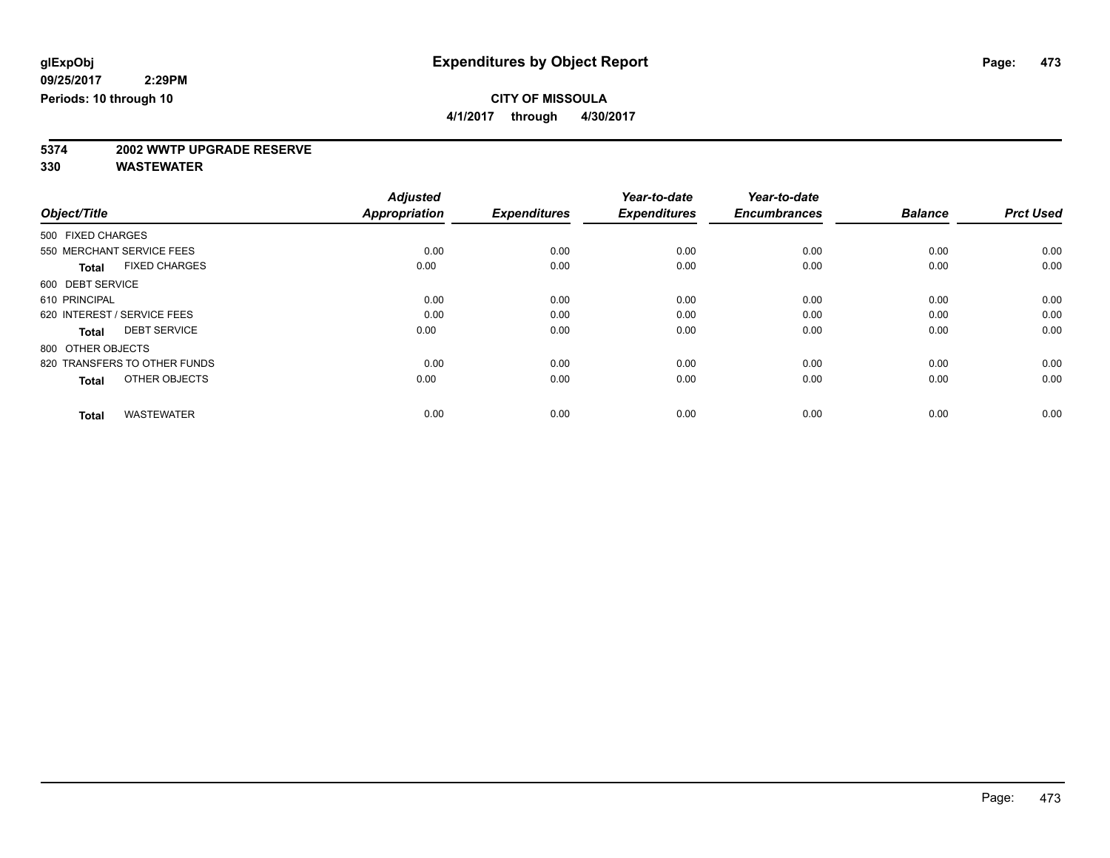**4/1/2017 through 4/30/2017**

# **5374 2002 WWTP UPGRADE RESERVE**

|                   |                              | <b>Adjusted</b> |                     | Year-to-date        | Year-to-date        |                |                  |
|-------------------|------------------------------|-----------------|---------------------|---------------------|---------------------|----------------|------------------|
| Object/Title      |                              | Appropriation   | <b>Expenditures</b> | <b>Expenditures</b> | <b>Encumbrances</b> | <b>Balance</b> | <b>Prct Used</b> |
| 500 FIXED CHARGES |                              |                 |                     |                     |                     |                |                  |
|                   | 550 MERCHANT SERVICE FEES    | 0.00            | 0.00                | 0.00                | 0.00                | 0.00           | 0.00             |
| <b>Total</b>      | <b>FIXED CHARGES</b>         | 0.00            | 0.00                | 0.00                | 0.00                | 0.00           | 0.00             |
| 600 DEBT SERVICE  |                              |                 |                     |                     |                     |                |                  |
| 610 PRINCIPAL     |                              | 0.00            | 0.00                | 0.00                | 0.00                | 0.00           | 0.00             |
|                   | 620 INTEREST / SERVICE FEES  | 0.00            | 0.00                | 0.00                | 0.00                | 0.00           | 0.00             |
| <b>Total</b>      | <b>DEBT SERVICE</b>          | 0.00            | 0.00                | 0.00                | 0.00                | 0.00           | 0.00             |
| 800 OTHER OBJECTS |                              |                 |                     |                     |                     |                |                  |
|                   | 820 TRANSFERS TO OTHER FUNDS | 0.00            | 0.00                | 0.00                | 0.00                | 0.00           | 0.00             |
| <b>Total</b>      | OTHER OBJECTS                | 0.00            | 0.00                | 0.00                | 0.00                | 0.00           | 0.00             |
|                   |                              |                 |                     |                     |                     |                |                  |
| <b>Total</b>      | <b>WASTEWATER</b>            | 0.00            | 0.00                | 0.00                | 0.00                | 0.00           | 0.00             |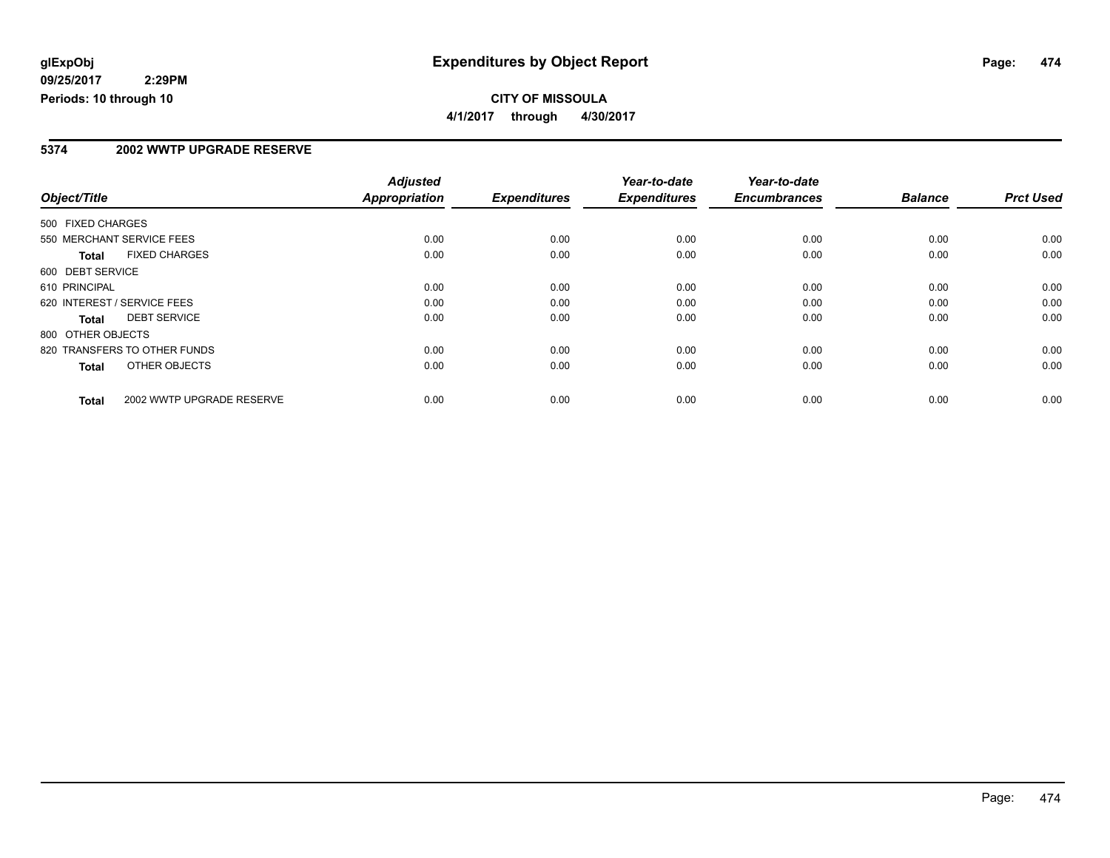#### **5374 2002 WWTP UPGRADE RESERVE**

|                                      |                           | <b>Adjusted</b>      |                     | Year-to-date        | Year-to-date        |                |                  |
|--------------------------------------|---------------------------|----------------------|---------------------|---------------------|---------------------|----------------|------------------|
| Object/Title                         |                           | <b>Appropriation</b> | <b>Expenditures</b> | <b>Expenditures</b> | <b>Encumbrances</b> | <b>Balance</b> | <b>Prct Used</b> |
| 500 FIXED CHARGES                    |                           |                      |                     |                     |                     |                |                  |
| 550 MERCHANT SERVICE FEES            |                           | 0.00                 | 0.00                | 0.00                | 0.00                | 0.00           | 0.00             |
| <b>FIXED CHARGES</b><br><b>Total</b> |                           | 0.00                 | 0.00                | 0.00                | 0.00                | 0.00           | 0.00             |
| 600 DEBT SERVICE                     |                           |                      |                     |                     |                     |                |                  |
| 610 PRINCIPAL                        |                           | 0.00                 | 0.00                | 0.00                | 0.00                | 0.00           | 0.00             |
| 620 INTEREST / SERVICE FEES          |                           | 0.00                 | 0.00                | 0.00                | 0.00                | 0.00           | 0.00             |
| <b>DEBT SERVICE</b><br>Total         |                           | 0.00                 | 0.00                | 0.00                | 0.00                | 0.00           | 0.00             |
| 800 OTHER OBJECTS                    |                           |                      |                     |                     |                     |                |                  |
| 820 TRANSFERS TO OTHER FUNDS         |                           | 0.00                 | 0.00                | 0.00                | 0.00                | 0.00           | 0.00             |
| OTHER OBJECTS<br>Total               |                           | 0.00                 | 0.00                | 0.00                | 0.00                | 0.00           | 0.00             |
| <b>Total</b>                         | 2002 WWTP UPGRADE RESERVE | 0.00                 | 0.00                | 0.00                | 0.00                | 0.00           | 0.00             |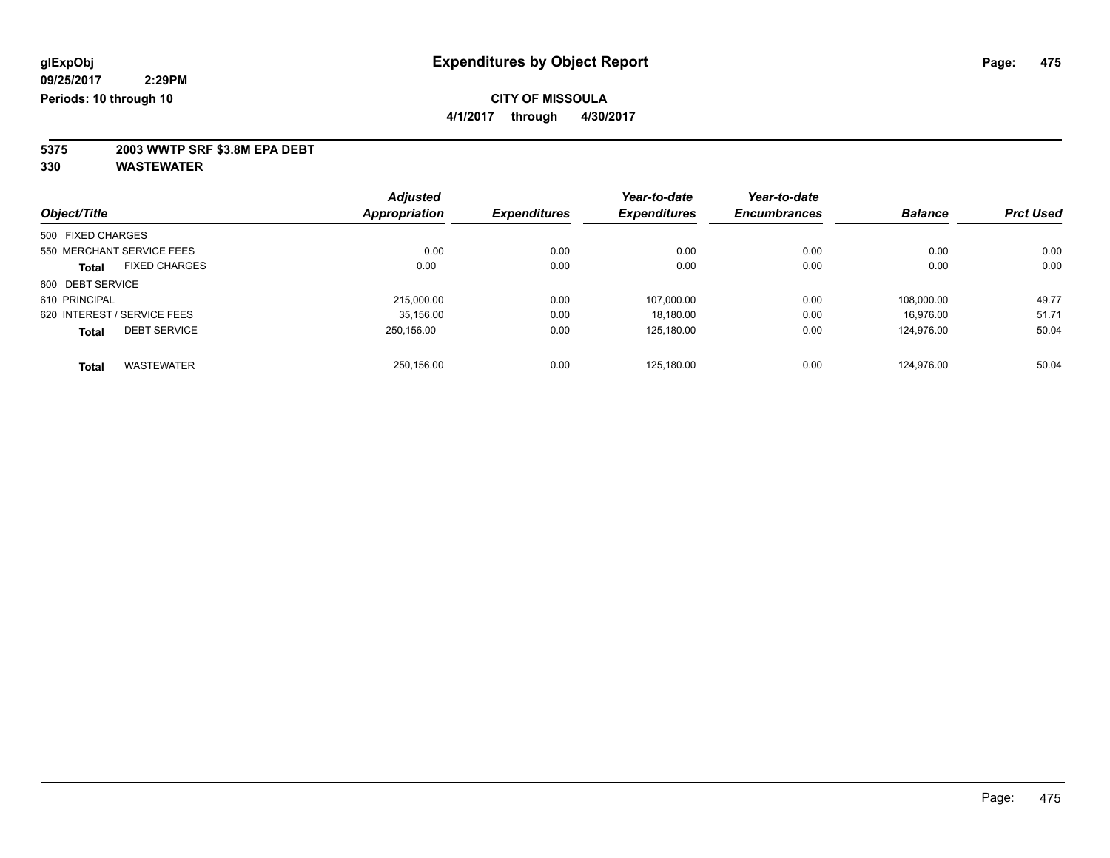**4/1/2017 through 4/30/2017**

**5375 2003 WWTP SRF \$3.8M EPA DEBT**

|                   |                             | <b>Adjusted</b>      |                     | Year-to-date        | Year-to-date        |                |                  |
|-------------------|-----------------------------|----------------------|---------------------|---------------------|---------------------|----------------|------------------|
| Object/Title      |                             | <b>Appropriation</b> | <b>Expenditures</b> | <b>Expenditures</b> | <b>Encumbrances</b> | <b>Balance</b> | <b>Prct Used</b> |
| 500 FIXED CHARGES |                             |                      |                     |                     |                     |                |                  |
|                   | 550 MERCHANT SERVICE FEES   | 0.00                 | 0.00                | 0.00                | 0.00                | 0.00           | 0.00             |
| <b>Total</b>      | <b>FIXED CHARGES</b>        | 0.00                 | 0.00                | 0.00                | 0.00                | 0.00           | 0.00             |
| 600 DEBT SERVICE  |                             |                      |                     |                     |                     |                |                  |
| 610 PRINCIPAL     |                             | 215.000.00           | 0.00                | 107.000.00          | 0.00                | 108.000.00     | 49.77            |
|                   | 620 INTEREST / SERVICE FEES | 35,156.00            | 0.00                | 18,180.00           | 0.00                | 16.976.00      | 51.71            |
| <b>Total</b>      | <b>DEBT SERVICE</b>         | 250.156.00           | 0.00                | 125,180.00          | 0.00                | 124.976.00     | 50.04            |
| <b>Total</b>      | <b>WASTEWATER</b>           | 250,156.00           | 0.00                | 125.180.00          | 0.00                | 124.976.00     | 50.04            |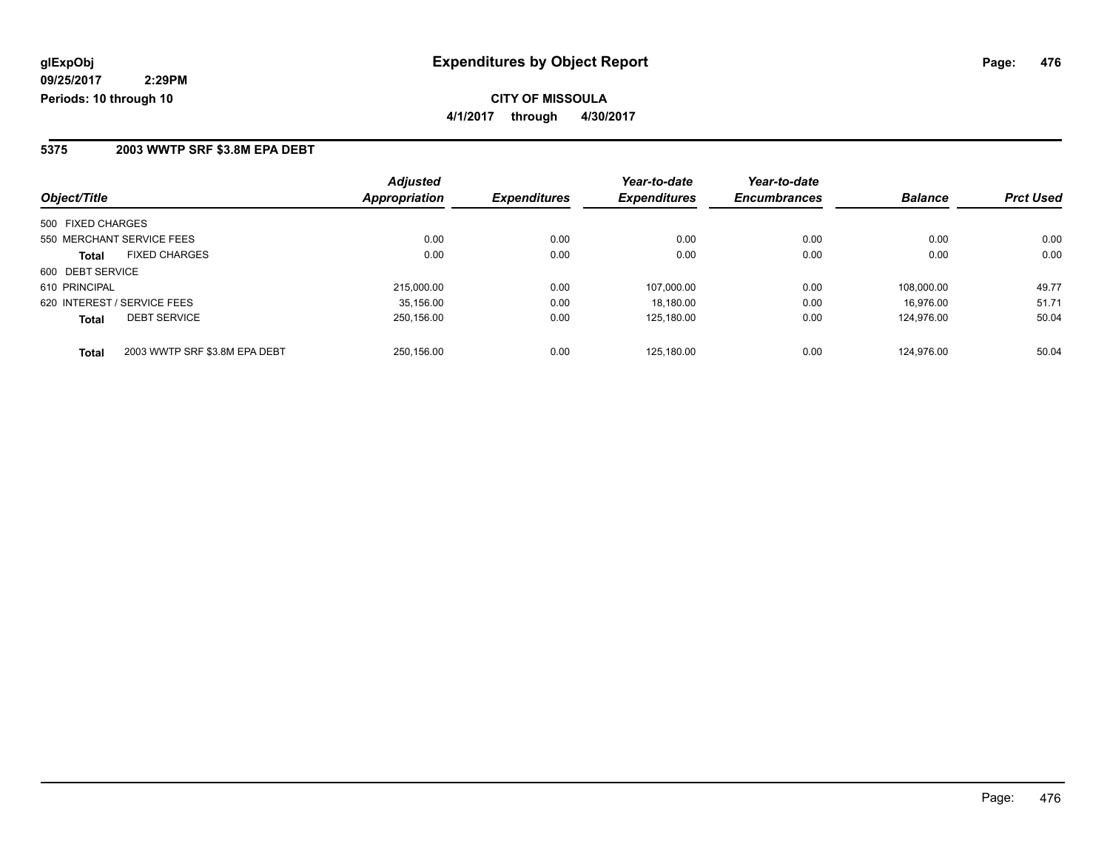#### **5375 2003 WWTP SRF \$3.8M EPA DEBT**

|                                               | <b>Adjusted</b>      |                     | Year-to-date        | Year-to-date        |                |                  |
|-----------------------------------------------|----------------------|---------------------|---------------------|---------------------|----------------|------------------|
| Object/Title                                  | <b>Appropriation</b> | <b>Expenditures</b> | <b>Expenditures</b> | <b>Encumbrances</b> | <b>Balance</b> | <b>Prct Used</b> |
| 500 FIXED CHARGES                             |                      |                     |                     |                     |                |                  |
| 550 MERCHANT SERVICE FEES                     | 0.00                 | 0.00                | 0.00                | 0.00                | 0.00           | 0.00             |
| <b>FIXED CHARGES</b><br><b>Total</b>          | 0.00                 | 0.00                | 0.00                | 0.00                | 0.00           | 0.00             |
| 600 DEBT SERVICE                              |                      |                     |                     |                     |                |                  |
| 610 PRINCIPAL                                 | 215,000.00           | 0.00                | 107.000.00          | 0.00                | 108.000.00     | 49.77            |
| 620 INTEREST / SERVICE FEES                   | 35.156.00            | 0.00                | 18.180.00           | 0.00                | 16.976.00      | 51.71            |
| <b>DEBT SERVICE</b><br><b>Total</b>           | 250.156.00           | 0.00                | 125.180.00          | 0.00                | 124.976.00     | 50.04            |
| 2003 WWTP SRF \$3.8M EPA DEBT<br><b>Total</b> | 250.156.00           | 0.00                | 125.180.00          | 0.00                | 124.976.00     | 50.04            |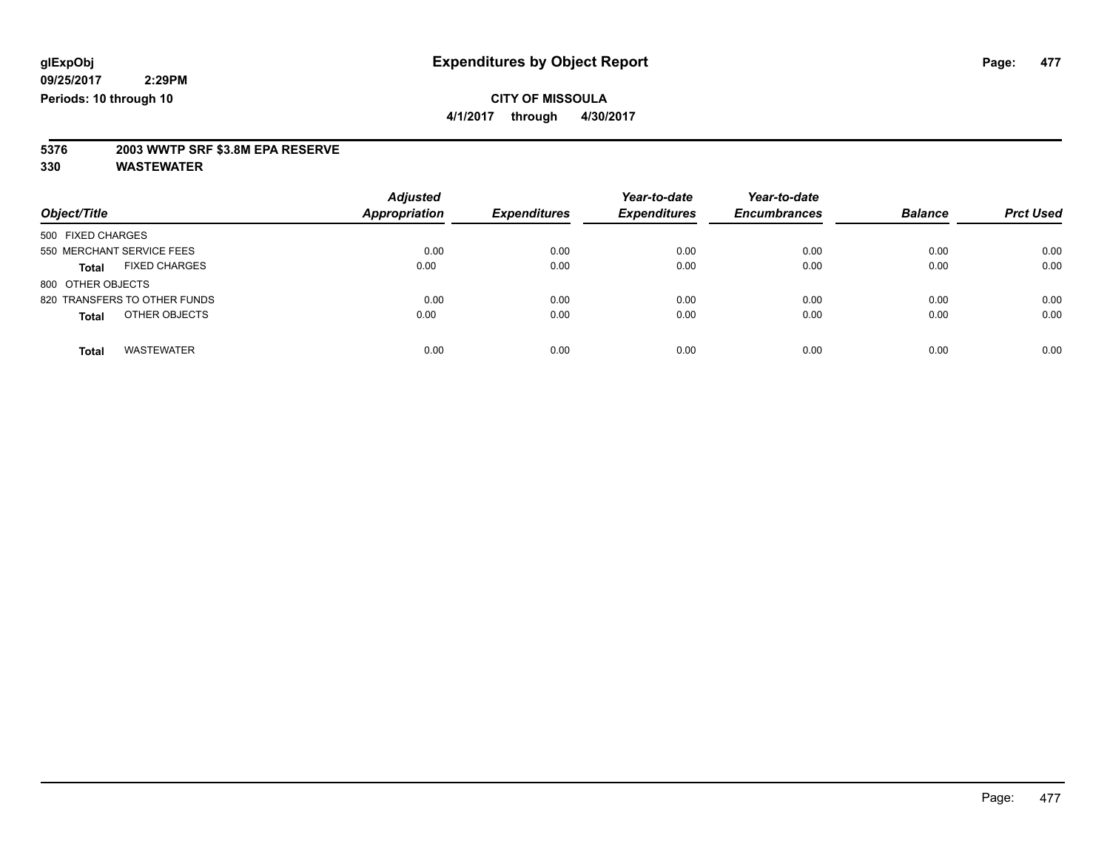**4/1/2017 through 4/30/2017**

# **5376 2003 WWTP SRF \$3.8M EPA RESERVE**

| Object/Title                         | <b>Adjusted</b><br><b>Appropriation</b> | <b>Expenditures</b> | Year-to-date<br><b>Expenditures</b> | Year-to-date<br><b>Encumbrances</b> | <b>Balance</b> | <b>Prct Used</b> |
|--------------------------------------|-----------------------------------------|---------------------|-------------------------------------|-------------------------------------|----------------|------------------|
| 500 FIXED CHARGES                    |                                         |                     |                                     |                                     |                |                  |
| 550 MERCHANT SERVICE FEES            | 0.00                                    | 0.00                | 0.00                                | 0.00                                | 0.00           | 0.00             |
| <b>FIXED CHARGES</b><br><b>Total</b> | 0.00                                    | 0.00                | 0.00                                | 0.00                                | 0.00           | 0.00             |
| 800 OTHER OBJECTS                    |                                         |                     |                                     |                                     |                |                  |
| 820 TRANSFERS TO OTHER FUNDS         | 0.00                                    | 0.00                | 0.00                                | 0.00                                | 0.00           | 0.00             |
| OTHER OBJECTS<br><b>Total</b>        | 0.00                                    | 0.00                | 0.00                                | 0.00                                | 0.00           | 0.00             |
| <b>WASTEWATER</b><br><b>Total</b>    | 0.00                                    | 0.00                | 0.00                                | 0.00                                | 0.00           | 0.00             |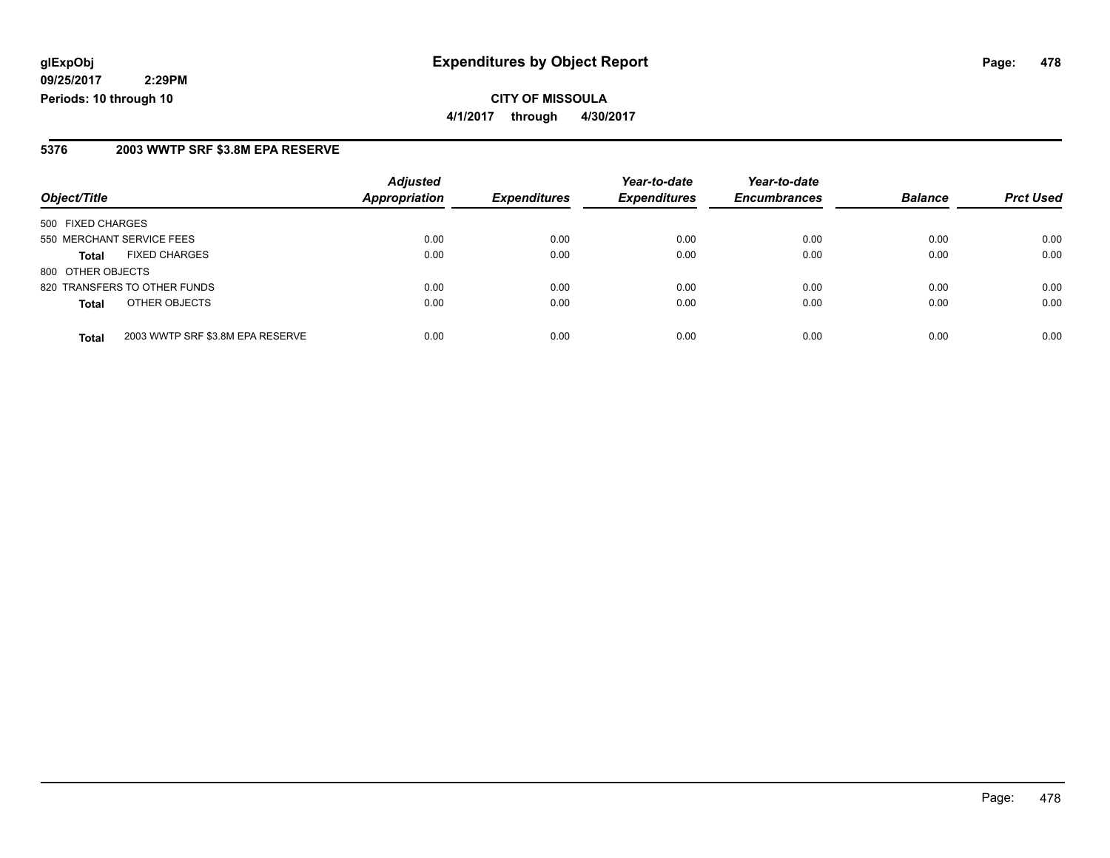**CITY OF MISSOULA 4/1/2017 through 4/30/2017**

#### **5376 2003 WWTP SRF \$3.8M EPA RESERVE**

|                                                  | <b>Adjusted</b>      |                     | Year-to-date        | Year-to-date        |                |                  |
|--------------------------------------------------|----------------------|---------------------|---------------------|---------------------|----------------|------------------|
| Object/Title                                     | <b>Appropriation</b> | <b>Expenditures</b> | <b>Expenditures</b> | <b>Encumbrances</b> | <b>Balance</b> | <b>Prct Used</b> |
| 500 FIXED CHARGES                                |                      |                     |                     |                     |                |                  |
| 550 MERCHANT SERVICE FEES                        | 0.00                 | 0.00                | 0.00                | 0.00                | 0.00           | 0.00             |
| <b>FIXED CHARGES</b><br><b>Total</b>             | 0.00                 | 0.00                | 0.00                | 0.00                | 0.00           | 0.00             |
| 800 OTHER OBJECTS                                |                      |                     |                     |                     |                |                  |
| 820 TRANSFERS TO OTHER FUNDS                     | 0.00                 | 0.00                | 0.00                | 0.00                | 0.00           | 0.00             |
| OTHER OBJECTS<br><b>Total</b>                    | 0.00                 | 0.00                | 0.00                | 0.00                | 0.00           | 0.00             |
| 2003 WWTP SRF \$3.8M EPA RESERVE<br><b>Total</b> | 0.00                 | 0.00                | 0.00                | 0.00                | 0.00           | 0.00             |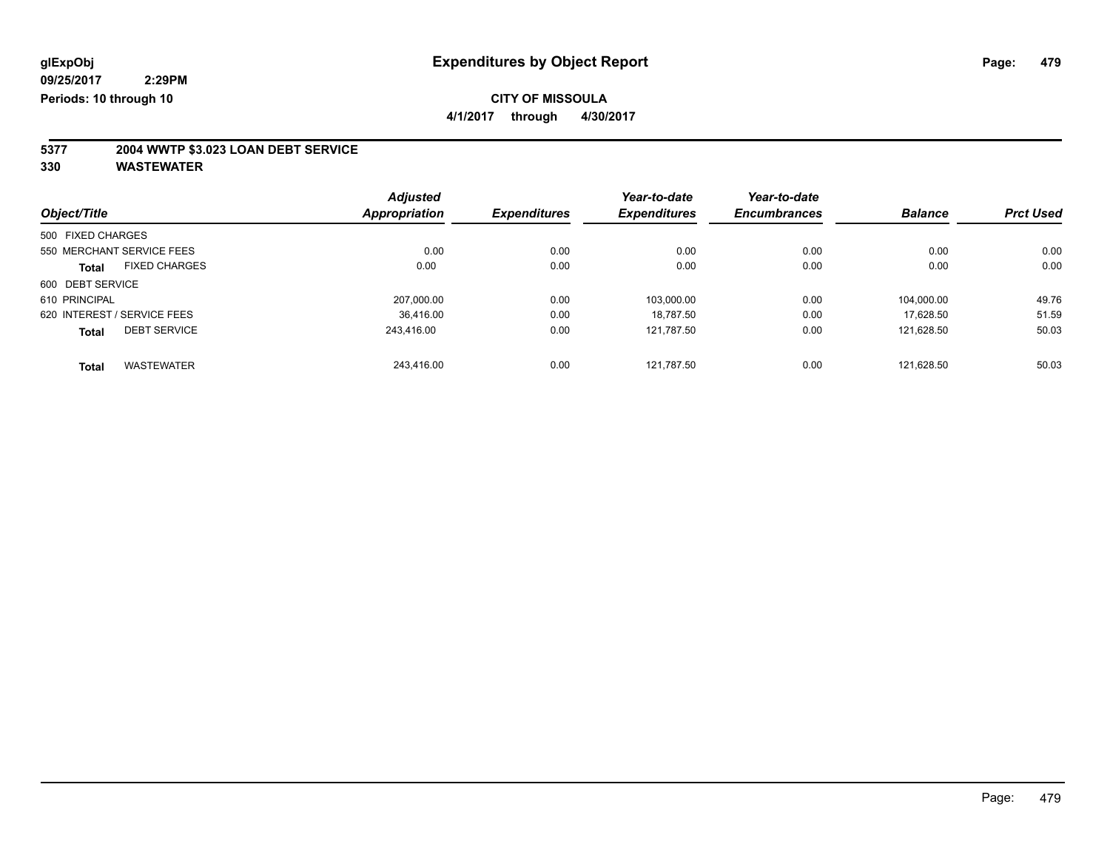**4/1/2017 through 4/30/2017**

# **5377 2004 WWTP \$3.023 LOAN DEBT SERVICE**

| Object/Title      |                             | <b>Adjusted</b><br>Appropriation | <b>Expenditures</b> | Year-to-date<br><b>Expenditures</b> | Year-to-date<br><b>Encumbrances</b> | <b>Balance</b> | <b>Prct Used</b> |
|-------------------|-----------------------------|----------------------------------|---------------------|-------------------------------------|-------------------------------------|----------------|------------------|
|                   |                             |                                  |                     |                                     |                                     |                |                  |
| 500 FIXED CHARGES |                             |                                  |                     |                                     |                                     |                |                  |
|                   | 550 MERCHANT SERVICE FEES   | 0.00                             | 0.00                | 0.00                                | 0.00                                | 0.00           | 0.00             |
| <b>Total</b>      | <b>FIXED CHARGES</b>        | 0.00                             | 0.00                | 0.00                                | 0.00                                | 0.00           | 0.00             |
| 600 DEBT SERVICE  |                             |                                  |                     |                                     |                                     |                |                  |
| 610 PRINCIPAL     |                             | 207.000.00                       | 0.00                | 103.000.00                          | 0.00                                | 104.000.00     | 49.76            |
|                   | 620 INTEREST / SERVICE FEES | 36.416.00                        | 0.00                | 18.787.50                           | 0.00                                | 17.628.50      | 51.59            |
| <b>Total</b>      | <b>DEBT SERVICE</b>         | 243.416.00                       | 0.00                | 121,787.50                          | 0.00                                | 121.628.50     | 50.03            |
| <b>Total</b>      | <b>WASTEWATER</b>           | 243.416.00                       | 0.00                | 121.787.50                          | 0.00                                | 121.628.50     | 50.03            |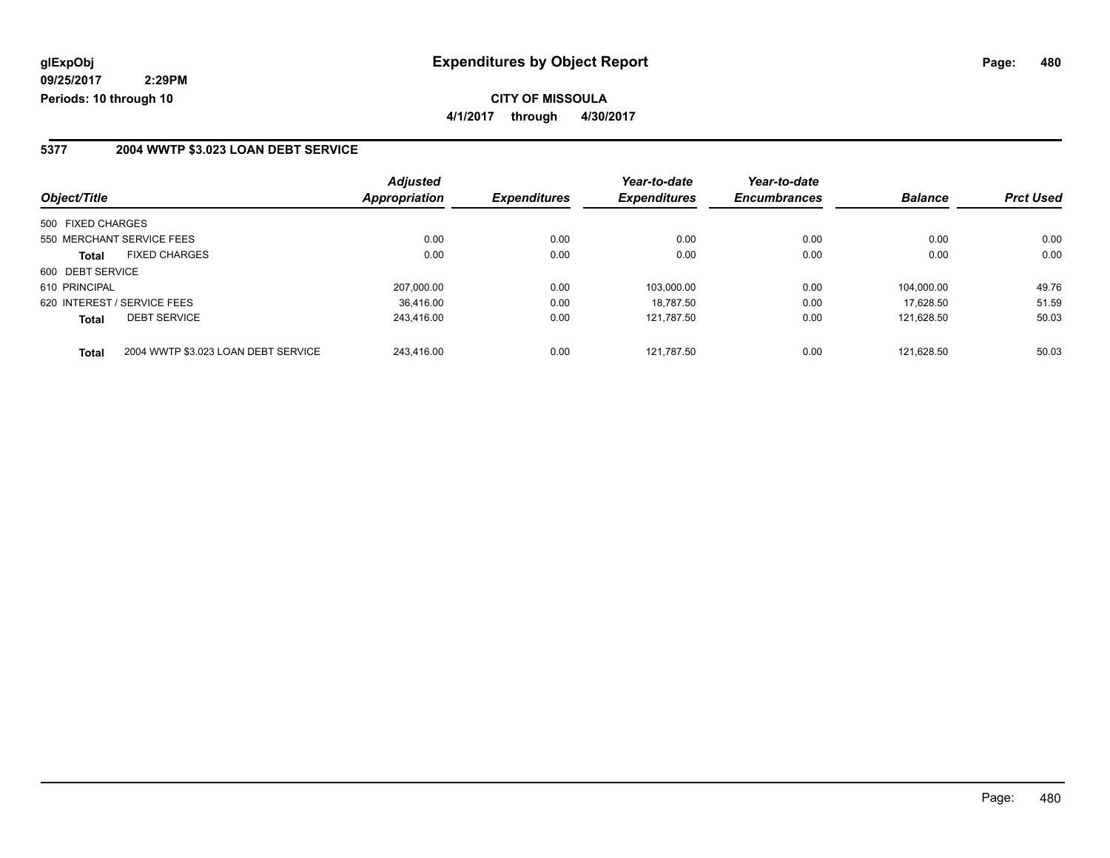### **5377 2004 WWTP \$3.023 LOAN DEBT SERVICE**

|                   |                                     | <b>Adjusted</b>      |                     | Year-to-date        | Year-to-date        |                |                  |
|-------------------|-------------------------------------|----------------------|---------------------|---------------------|---------------------|----------------|------------------|
| Object/Title      |                                     | <b>Appropriation</b> | <b>Expenditures</b> | <b>Expenditures</b> | <b>Encumbrances</b> | <b>Balance</b> | <b>Prct Used</b> |
| 500 FIXED CHARGES |                                     |                      |                     |                     |                     |                |                  |
|                   | 550 MERCHANT SERVICE FEES           | 0.00                 | 0.00                | 0.00                | 0.00                | 0.00           | 0.00             |
| <b>Total</b>      | <b>FIXED CHARGES</b>                | 0.00                 | 0.00                | 0.00                | 0.00                | 0.00           | 0.00             |
| 600 DEBT SERVICE  |                                     |                      |                     |                     |                     |                |                  |
| 610 PRINCIPAL     |                                     | 207.000.00           | 0.00                | 103.000.00          | 0.00                | 104.000.00     | 49.76            |
|                   | 620 INTEREST / SERVICE FEES         | 36.416.00            | 0.00                | 18.787.50           | 0.00                | 17.628.50      | 51.59            |
| <b>Total</b>      | <b>DEBT SERVICE</b>                 | 243.416.00           | 0.00                | 121.787.50          | 0.00                | 121.628.50     | 50.03            |
| <b>Total</b>      | 2004 WWTP \$3.023 LOAN DEBT SERVICE | 243.416.00           | 0.00                | 121.787.50          | 0.00                | 121.628.50     | 50.03            |

Page: 480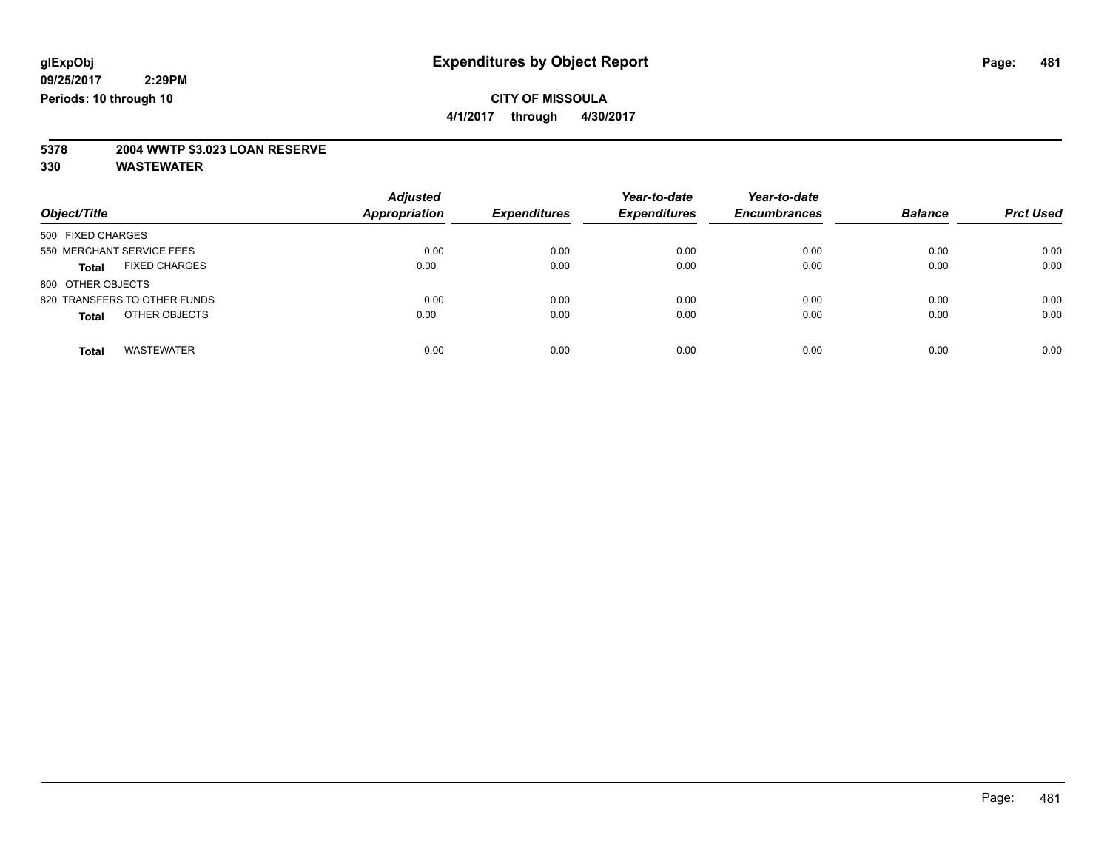**4/1/2017 through 4/30/2017**

# **5378 2004 WWTP \$3.023 LOAN RESERVE**

|                                      | <b>Adjusted</b><br><b>Appropriation</b> | <b>Expenditures</b> | Year-to-date<br><b>Expenditures</b> | Year-to-date<br><b>Encumbrances</b> | <b>Balance</b> | <b>Prct Used</b> |
|--------------------------------------|-----------------------------------------|---------------------|-------------------------------------|-------------------------------------|----------------|------------------|
| Object/Title                         |                                         |                     |                                     |                                     |                |                  |
| 500 FIXED CHARGES                    |                                         |                     |                                     |                                     |                |                  |
| 550 MERCHANT SERVICE FEES            | 0.00                                    | 0.00                | 0.00                                | 0.00                                | 0.00           | 0.00             |
| <b>FIXED CHARGES</b><br><b>Total</b> | 0.00                                    | 0.00                | 0.00                                | 0.00                                | 0.00           | 0.00             |
| 800 OTHER OBJECTS                    |                                         |                     |                                     |                                     |                |                  |
| 820 TRANSFERS TO OTHER FUNDS         | 0.00                                    | 0.00                | 0.00                                | 0.00                                | 0.00           | 0.00             |
| OTHER OBJECTS<br><b>Total</b>        | 0.00                                    | 0.00                | 0.00                                | 0.00                                | 0.00           | 0.00             |
| <b>WASTEWATER</b><br><b>Total</b>    | 0.00                                    | 0.00                | 0.00                                | 0.00                                | 0.00           | 0.00             |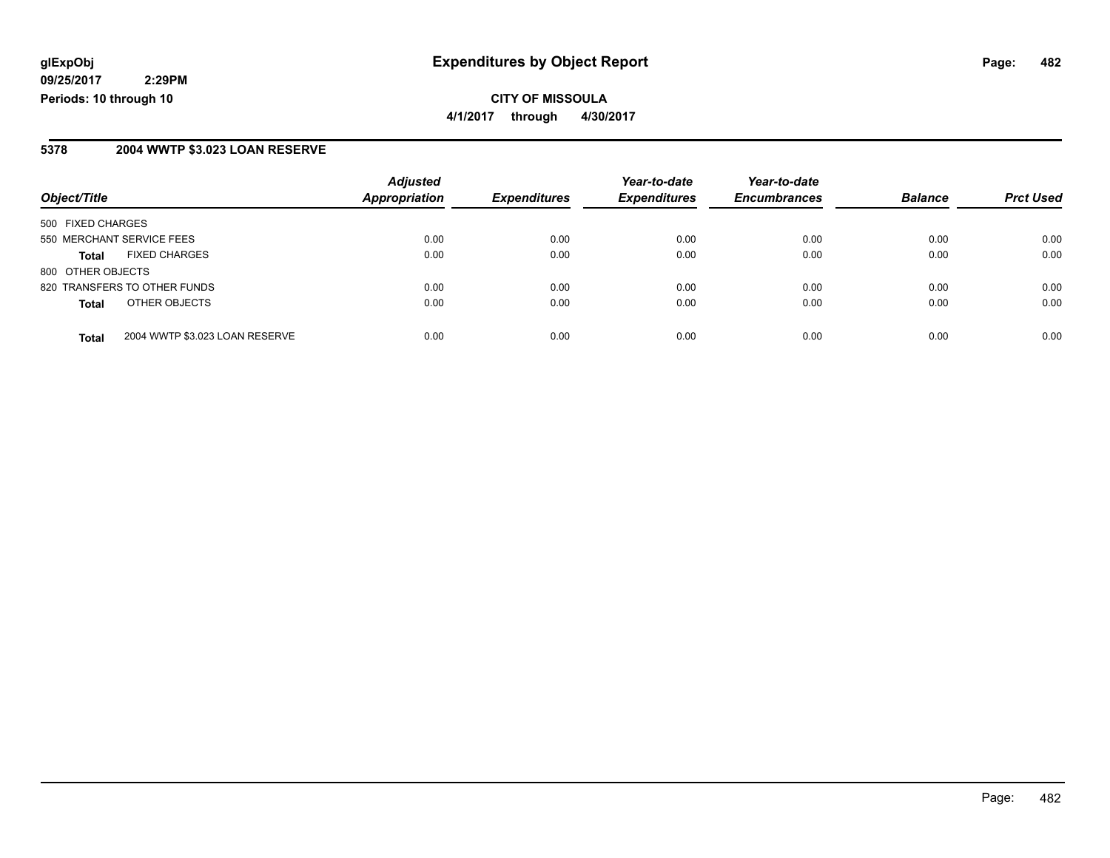**CITY OF MISSOULA 4/1/2017 through 4/30/2017**

#### **5378 2004 WWTP \$3.023 LOAN RESERVE**

| Object/Title                                   | <b>Adjusted</b><br><b>Appropriation</b> | <b>Expenditures</b> | Year-to-date<br><b>Expenditures</b> | Year-to-date<br><b>Encumbrances</b> | <b>Balance</b> | <b>Prct Used</b> |
|------------------------------------------------|-----------------------------------------|---------------------|-------------------------------------|-------------------------------------|----------------|------------------|
| 500 FIXED CHARGES                              |                                         |                     |                                     |                                     |                |                  |
| 550 MERCHANT SERVICE FEES                      | 0.00                                    | 0.00                | 0.00                                | 0.00                                | 0.00           | 0.00             |
| <b>FIXED CHARGES</b><br>Total                  | 0.00                                    | 0.00                | 0.00                                | 0.00                                | 0.00           | 0.00             |
| 800 OTHER OBJECTS                              |                                         |                     |                                     |                                     |                |                  |
| 820 TRANSFERS TO OTHER FUNDS                   | 0.00                                    | 0.00                | 0.00                                | 0.00                                | 0.00           | 0.00             |
| OTHER OBJECTS<br>Total                         | 0.00                                    | 0.00                | 0.00                                | 0.00                                | 0.00           | 0.00             |
| 2004 WWTP \$3.023 LOAN RESERVE<br><b>Total</b> | 0.00                                    | 0.00                | 0.00                                | 0.00                                | 0.00           | 0.00             |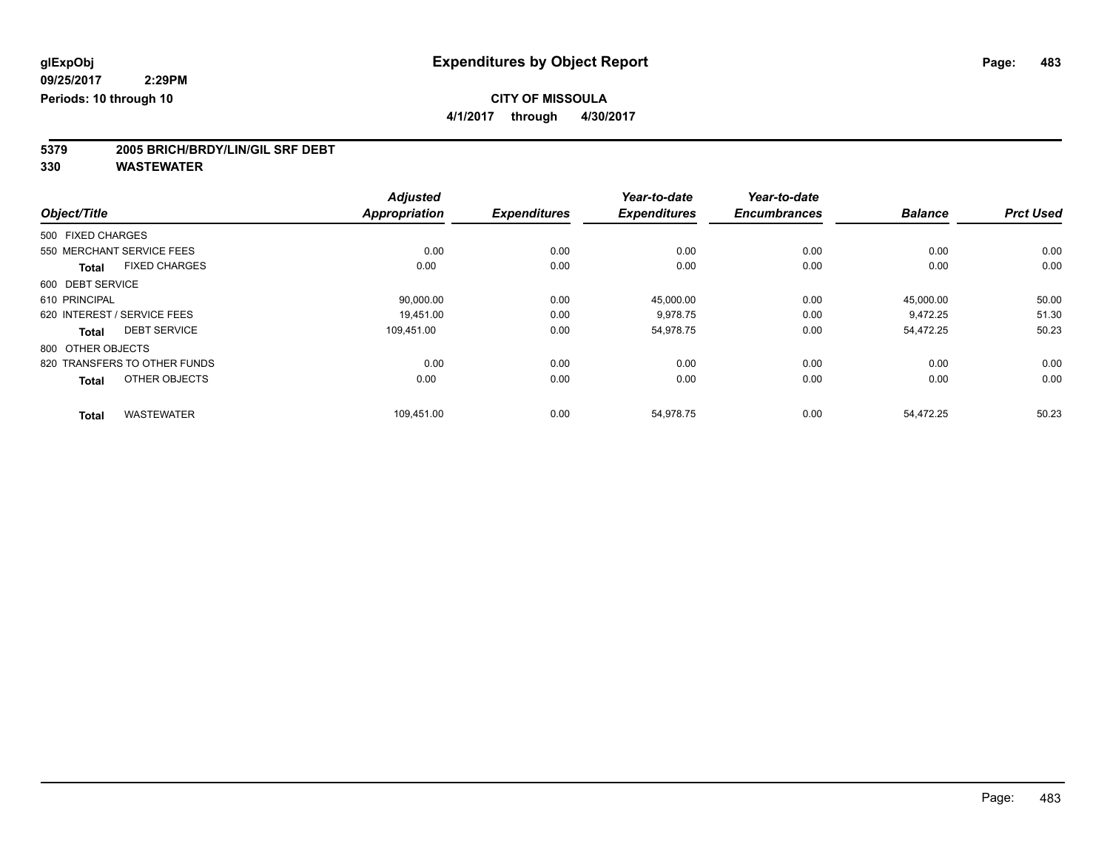**4/1/2017 through 4/30/2017**

# **5379 2005 BRICH/BRDY/LIN/GIL SRF DEBT**

|                                      | <b>Adjusted</b>      |                     | Year-to-date        | Year-to-date        |                |                  |
|--------------------------------------|----------------------|---------------------|---------------------|---------------------|----------------|------------------|
| Object/Title                         | <b>Appropriation</b> | <b>Expenditures</b> | <b>Expenditures</b> | <b>Encumbrances</b> | <b>Balance</b> | <b>Prct Used</b> |
| 500 FIXED CHARGES                    |                      |                     |                     |                     |                |                  |
| 550 MERCHANT SERVICE FEES            | 0.00                 | 0.00                | 0.00                | 0.00                | 0.00           | 0.00             |
| <b>FIXED CHARGES</b><br><b>Total</b> | 0.00                 | 0.00                | 0.00                | 0.00                | 0.00           | 0.00             |
| 600 DEBT SERVICE                     |                      |                     |                     |                     |                |                  |
| 610 PRINCIPAL                        | 90,000.00            | 0.00                | 45,000.00           | 0.00                | 45,000.00      | 50.00            |
| 620 INTEREST / SERVICE FEES          | 19,451.00            | 0.00                | 9,978.75            | 0.00                | 9,472.25       | 51.30            |
| <b>DEBT SERVICE</b><br><b>Total</b>  | 109.451.00           | 0.00                | 54,978.75           | 0.00                | 54,472.25      | 50.23            |
| 800 OTHER OBJECTS                    |                      |                     |                     |                     |                |                  |
| 820 TRANSFERS TO OTHER FUNDS         | 0.00                 | 0.00                | 0.00                | 0.00                | 0.00           | 0.00             |
| OTHER OBJECTS<br><b>Total</b>        | 0.00                 | 0.00                | 0.00                | 0.00                | 0.00           | 0.00             |
| <b>WASTEWATER</b>                    | 109,451.00           | 0.00                | 54,978.75           | 0.00                | 54,472.25      | 50.23            |
| <b>Total</b>                         |                      |                     |                     |                     |                |                  |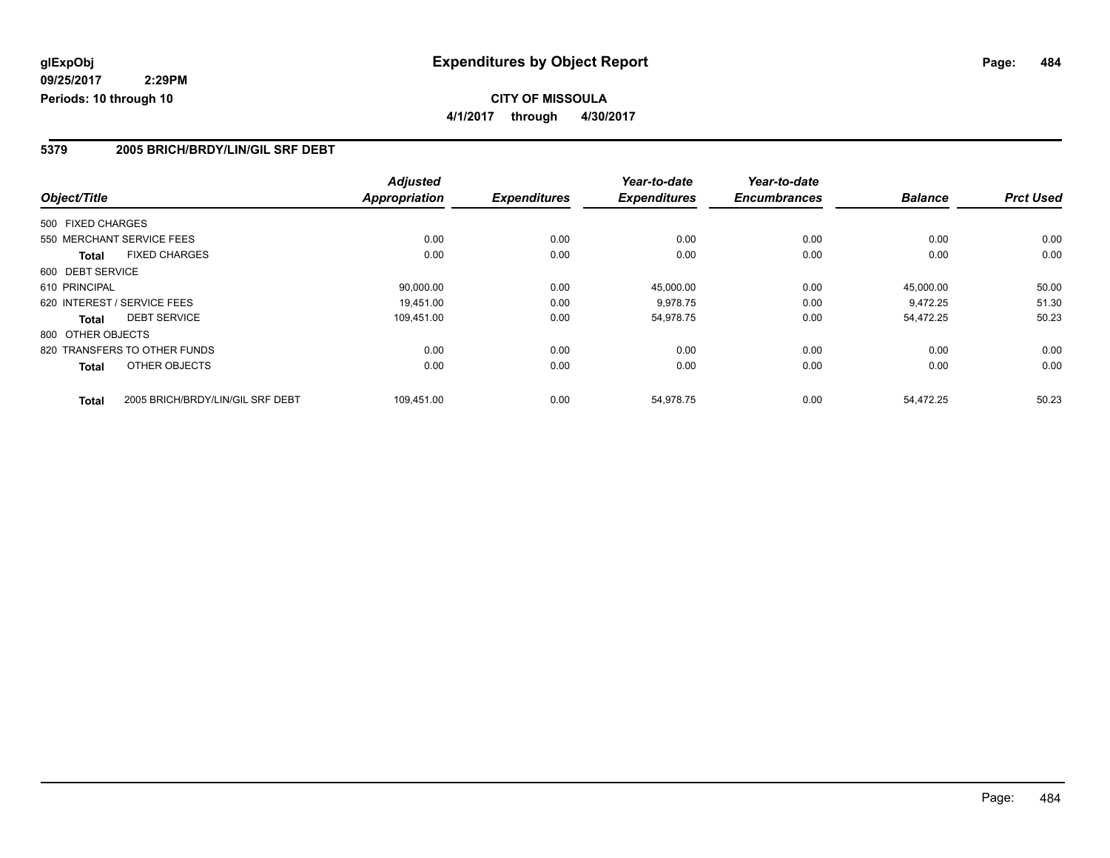### **5379 2005 BRICH/BRDY/LIN/GIL SRF DEBT**

|                              |                                  | <b>Adjusted</b>      |                     | Year-to-date        | Year-to-date        |                |                  |
|------------------------------|----------------------------------|----------------------|---------------------|---------------------|---------------------|----------------|------------------|
| Object/Title                 |                                  | <b>Appropriation</b> | <b>Expenditures</b> | <b>Expenditures</b> | <b>Encumbrances</b> | <b>Balance</b> | <b>Prct Used</b> |
| 500 FIXED CHARGES            |                                  |                      |                     |                     |                     |                |                  |
| 550 MERCHANT SERVICE FEES    |                                  | 0.00                 | 0.00                | 0.00                | 0.00                | 0.00           | 0.00             |
| <b>Total</b>                 | <b>FIXED CHARGES</b>             | 0.00                 | 0.00                | 0.00                | 0.00                | 0.00           | 0.00             |
| 600 DEBT SERVICE             |                                  |                      |                     |                     |                     |                |                  |
| 610 PRINCIPAL                |                                  | 90,000.00            | 0.00                | 45.000.00           | 0.00                | 45.000.00      | 50.00            |
| 620 INTEREST / SERVICE FEES  |                                  | 19.451.00            | 0.00                | 9,978.75            | 0.00                | 9.472.25       | 51.30            |
| <b>DEBT SERVICE</b><br>Total |                                  | 109,451.00           | 0.00                | 54,978.75           | 0.00                | 54,472.25      | 50.23            |
| 800 OTHER OBJECTS            |                                  |                      |                     |                     |                     |                |                  |
| 820 TRANSFERS TO OTHER FUNDS |                                  | 0.00                 | 0.00                | 0.00                | 0.00                | 0.00           | 0.00             |
| <b>Total</b>                 | OTHER OBJECTS                    | 0.00                 | 0.00                | 0.00                | 0.00                | 0.00           | 0.00             |
| <b>Total</b>                 | 2005 BRICH/BRDY/LIN/GIL SRF DEBT | 109,451.00           | 0.00                | 54,978.75           | 0.00                | 54.472.25      | 50.23            |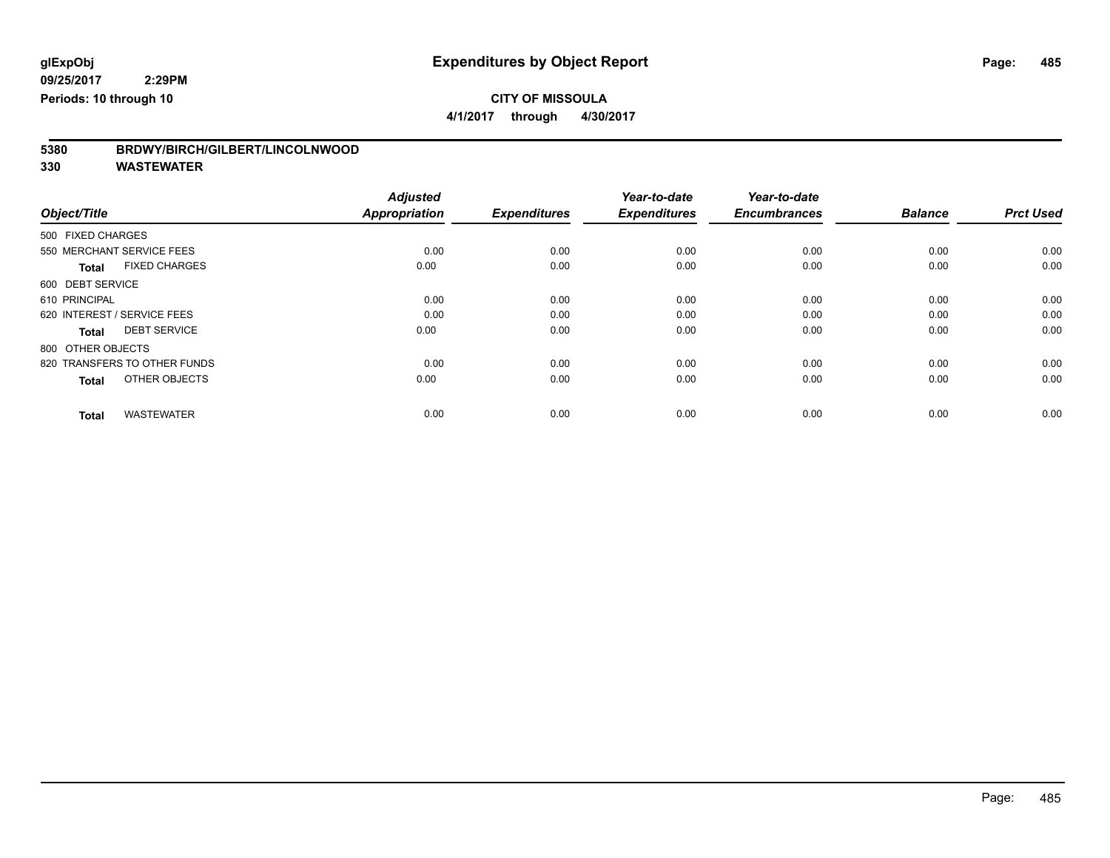**4/1/2017 through 4/30/2017**

| 5380 | BRDWY/BIRCH/GILBERT/LINCOLNWOOD |
|------|---------------------------------|
|      |                                 |

| Object/Title                         | <b>Adjusted</b><br><b>Appropriation</b> | <b>Expenditures</b> | Year-to-date<br><b>Expenditures</b> | Year-to-date<br><b>Encumbrances</b> | <b>Balance</b> | <b>Prct Used</b> |
|--------------------------------------|-----------------------------------------|---------------------|-------------------------------------|-------------------------------------|----------------|------------------|
| 500 FIXED CHARGES                    |                                         |                     |                                     |                                     |                |                  |
| 550 MERCHANT SERVICE FEES            | 0.00                                    | 0.00                | 0.00                                | 0.00                                | 0.00           | 0.00             |
| <b>FIXED CHARGES</b><br><b>Total</b> | 0.00                                    | 0.00                | 0.00                                | 0.00                                | 0.00           | 0.00             |
| 600 DEBT SERVICE                     |                                         |                     |                                     |                                     |                |                  |
| 610 PRINCIPAL                        | 0.00                                    | 0.00                | 0.00                                | 0.00                                | 0.00           | 0.00             |
| 620 INTEREST / SERVICE FEES          | 0.00                                    | 0.00                | 0.00                                | 0.00                                | 0.00           | 0.00             |
| <b>DEBT SERVICE</b><br><b>Total</b>  | 0.00                                    | 0.00                | 0.00                                | 0.00                                | 0.00           | 0.00             |
| 800 OTHER OBJECTS                    |                                         |                     |                                     |                                     |                |                  |
| 820 TRANSFERS TO OTHER FUNDS         | 0.00                                    | 0.00                | 0.00                                | 0.00                                | 0.00           | 0.00             |
| OTHER OBJECTS<br><b>Total</b>        | 0.00                                    | 0.00                | 0.00                                | 0.00                                | 0.00           | 0.00             |
|                                      |                                         |                     |                                     |                                     |                |                  |
| <b>WASTEWATER</b><br><b>Total</b>    | 0.00                                    | 0.00                | 0.00                                | 0.00                                | 0.00           | 0.00             |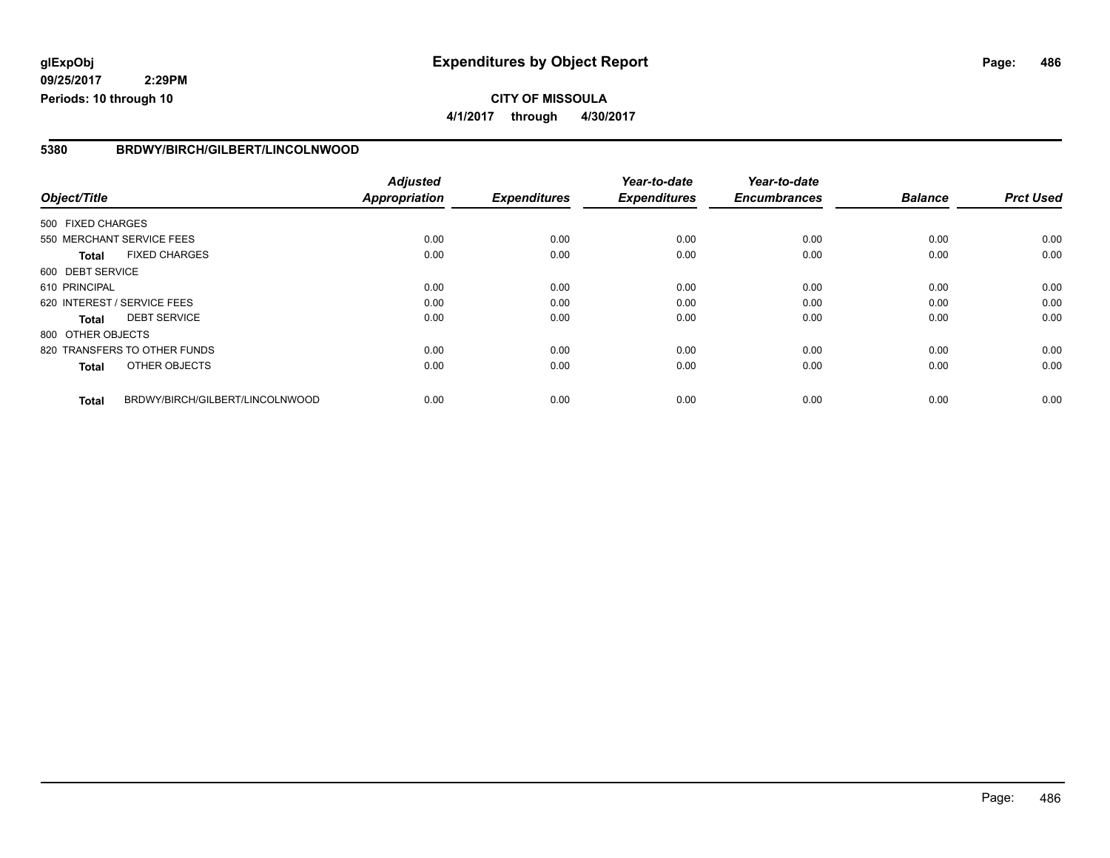### **glExpObj Expenditures by Object Report Page: 486**

**09/25/2017 2:29PM Periods: 10 through 10**

#### **5380 BRDWY/BIRCH/GILBERT/LINCOLNWOOD**

|                   |                                 | <b>Adjusted</b>      |                     | Year-to-date        | Year-to-date        |                |                  |
|-------------------|---------------------------------|----------------------|---------------------|---------------------|---------------------|----------------|------------------|
| Object/Title      |                                 | <b>Appropriation</b> | <b>Expenditures</b> | <b>Expenditures</b> | <b>Encumbrances</b> | <b>Balance</b> | <b>Prct Used</b> |
| 500 FIXED CHARGES |                                 |                      |                     |                     |                     |                |                  |
|                   | 550 MERCHANT SERVICE FEES       | 0.00                 | 0.00                | 0.00                | 0.00                | 0.00           | 0.00             |
| <b>Total</b>      | <b>FIXED CHARGES</b>            | 0.00                 | 0.00                | 0.00                | 0.00                | 0.00           | 0.00             |
| 600 DEBT SERVICE  |                                 |                      |                     |                     |                     |                |                  |
| 610 PRINCIPAL     |                                 | 0.00                 | 0.00                | 0.00                | 0.00                | 0.00           | 0.00             |
|                   | 620 INTEREST / SERVICE FEES     | 0.00                 | 0.00                | 0.00                | 0.00                | 0.00           | 0.00             |
| <b>Total</b>      | <b>DEBT SERVICE</b>             | 0.00                 | 0.00                | 0.00                | 0.00                | 0.00           | 0.00             |
| 800 OTHER OBJECTS |                                 |                      |                     |                     |                     |                |                  |
|                   | 820 TRANSFERS TO OTHER FUNDS    | 0.00                 | 0.00                | 0.00                | 0.00                | 0.00           | 0.00             |
| <b>Total</b>      | OTHER OBJECTS                   | 0.00                 | 0.00                | 0.00                | 0.00                | 0.00           | 0.00             |
| <b>Total</b>      | BRDWY/BIRCH/GILBERT/LINCOLNWOOD | 0.00                 | 0.00                | 0.00                | 0.00                | 0.00           | 0.00             |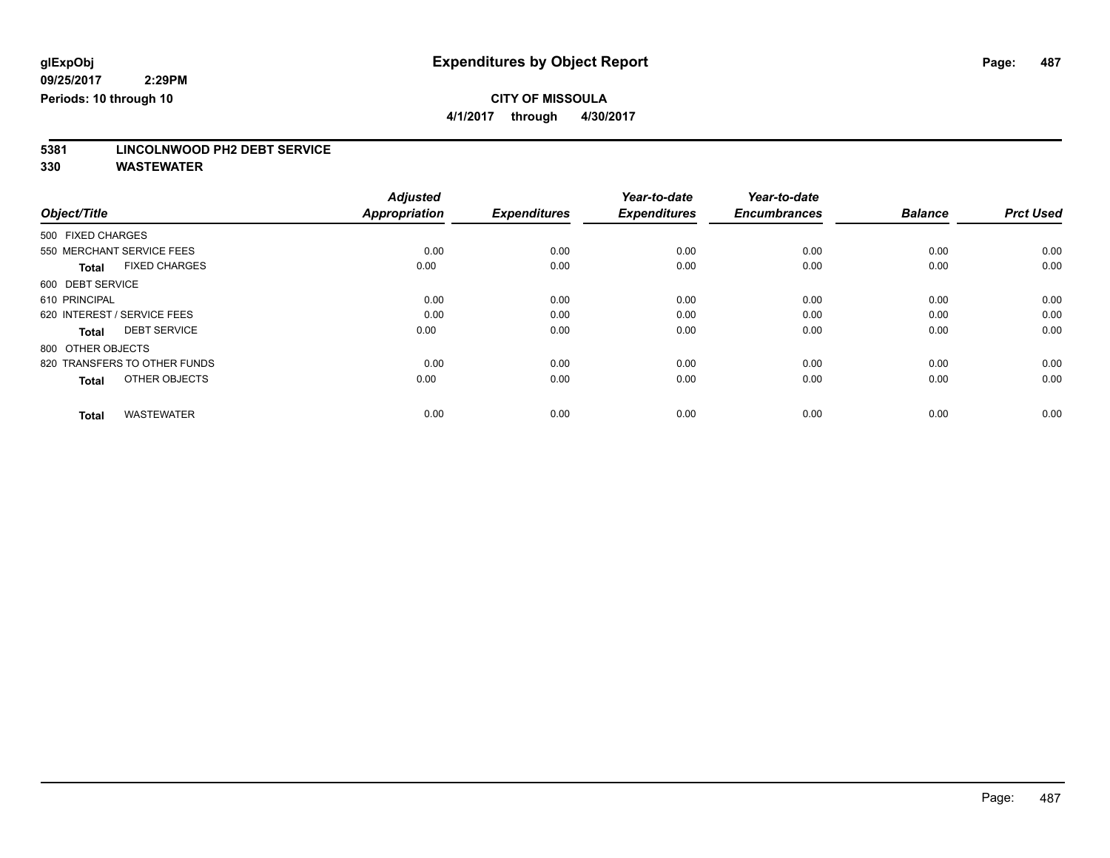**4/1/2017 through 4/30/2017**

# **5381 LINCOLNWOOD PH2 DEBT SERVICE**

|                                      | <b>Adjusted</b>      |                     | Year-to-date        | Year-to-date        |                |                  |
|--------------------------------------|----------------------|---------------------|---------------------|---------------------|----------------|------------------|
| Object/Title                         | <b>Appropriation</b> | <b>Expenditures</b> | <b>Expenditures</b> | <b>Encumbrances</b> | <b>Balance</b> | <b>Prct Used</b> |
| 500 FIXED CHARGES                    |                      |                     |                     |                     |                |                  |
| 550 MERCHANT SERVICE FEES            | 0.00                 | 0.00                | 0.00                | 0.00                | 0.00           | 0.00             |
| <b>FIXED CHARGES</b><br><b>Total</b> | 0.00                 | 0.00                | 0.00                | 0.00                | 0.00           | 0.00             |
| 600 DEBT SERVICE                     |                      |                     |                     |                     |                |                  |
| 610 PRINCIPAL                        | 0.00                 | 0.00                | 0.00                | 0.00                | 0.00           | 0.00             |
| 620 INTEREST / SERVICE FEES          | 0.00                 | 0.00                | 0.00                | 0.00                | 0.00           | 0.00             |
| <b>DEBT SERVICE</b><br><b>Total</b>  | 0.00                 | 0.00                | 0.00                | 0.00                | 0.00           | 0.00             |
| 800 OTHER OBJECTS                    |                      |                     |                     |                     |                |                  |
| 820 TRANSFERS TO OTHER FUNDS         | 0.00                 | 0.00                | 0.00                | 0.00                | 0.00           | 0.00             |
| OTHER OBJECTS<br><b>Total</b>        | 0.00                 | 0.00                | 0.00                | 0.00                | 0.00           | 0.00             |
|                                      |                      |                     |                     |                     |                |                  |
| <b>WASTEWATER</b><br><b>Total</b>    | 0.00                 | 0.00                | 0.00                | 0.00                | 0.00           | 0.00             |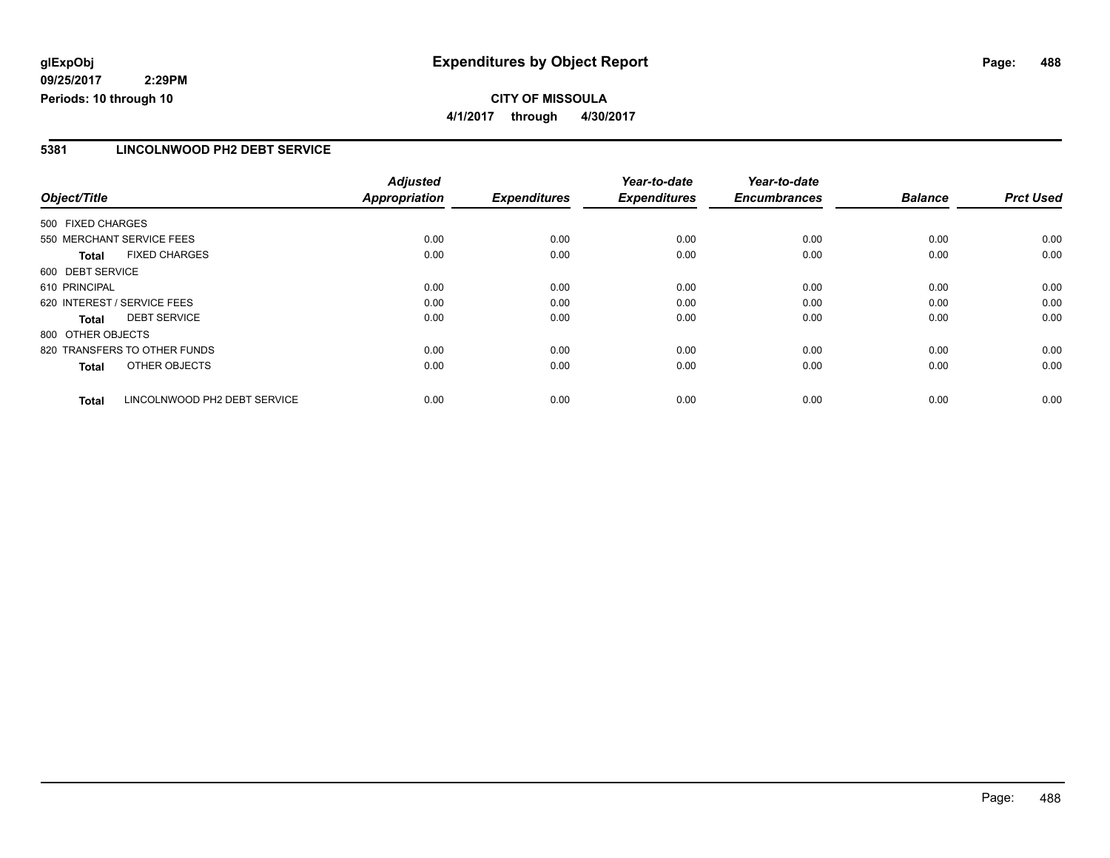### **CITY OF MISSOULA 4/1/2017 through 4/30/2017**

### **5381 LINCOLNWOOD PH2 DEBT SERVICE**

|                             |                              | <b>Adjusted</b>      |                     | Year-to-date        | Year-to-date        |                |                  |
|-----------------------------|------------------------------|----------------------|---------------------|---------------------|---------------------|----------------|------------------|
| Object/Title                |                              | <b>Appropriation</b> | <b>Expenditures</b> | <b>Expenditures</b> | <b>Encumbrances</b> | <b>Balance</b> | <b>Prct Used</b> |
| 500 FIXED CHARGES           |                              |                      |                     |                     |                     |                |                  |
| 550 MERCHANT SERVICE FEES   |                              | 0.00                 | 0.00                | 0.00                | 0.00                | 0.00           | 0.00             |
| <b>Total</b>                | <b>FIXED CHARGES</b>         | 0.00                 | 0.00                | 0.00                | 0.00                | 0.00           | 0.00             |
| 600 DEBT SERVICE            |                              |                      |                     |                     |                     |                |                  |
| 610 PRINCIPAL               |                              | 0.00                 | 0.00                | 0.00                | 0.00                | 0.00           | 0.00             |
| 620 INTEREST / SERVICE FEES |                              | 0.00                 | 0.00                | 0.00                | 0.00                | 0.00           | 0.00             |
| Total                       | <b>DEBT SERVICE</b>          | 0.00                 | 0.00                | 0.00                | 0.00                | 0.00           | 0.00             |
| 800 OTHER OBJECTS           |                              |                      |                     |                     |                     |                |                  |
|                             | 820 TRANSFERS TO OTHER FUNDS | 0.00                 | 0.00                | 0.00                | 0.00                | 0.00           | 0.00             |
| <b>Total</b>                | OTHER OBJECTS                | 0.00                 | 0.00                | 0.00                | 0.00                | 0.00           | 0.00             |
| <b>Total</b>                | LINCOLNWOOD PH2 DEBT SERVICE | 0.00                 | 0.00                | 0.00                | 0.00                | 0.00           | 0.00             |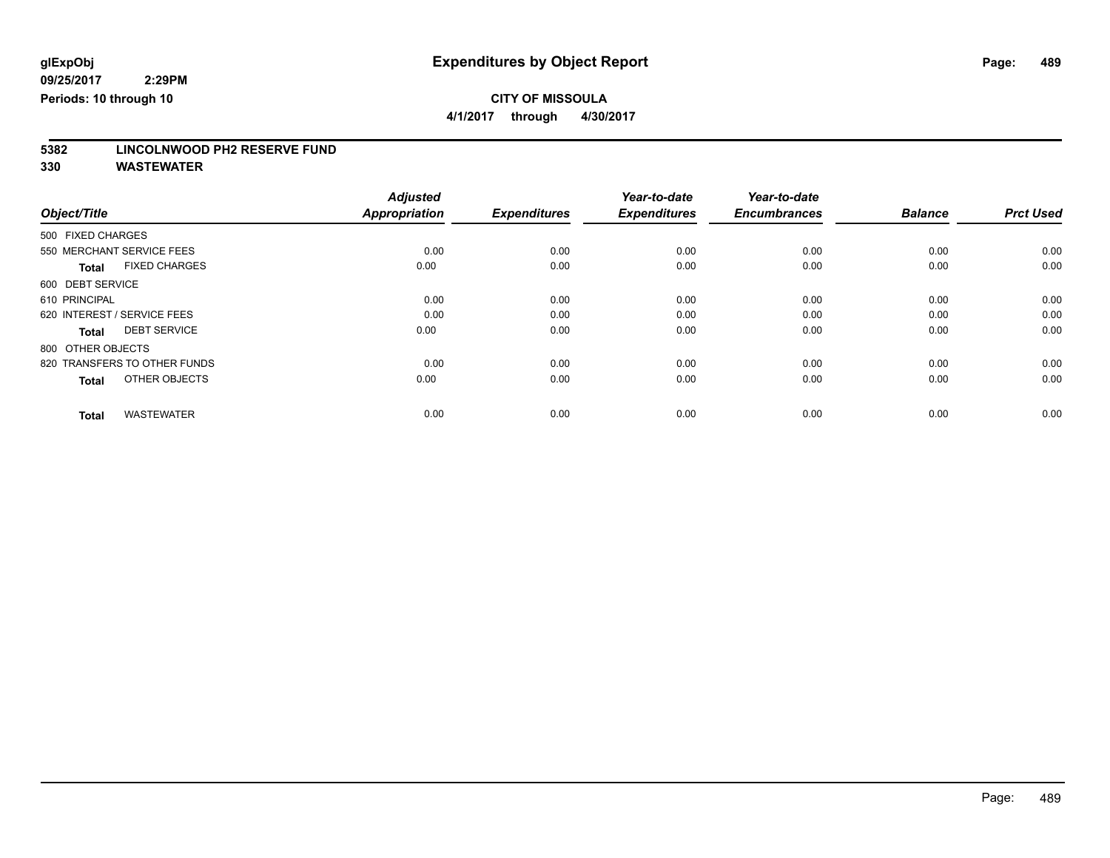**4/1/2017 through 4/30/2017**

# **5382 LINCOLNWOOD PH2 RESERVE FUND**

|                                      | <b>Adjusted</b>      |                     | Year-to-date        | Year-to-date        |                |                  |
|--------------------------------------|----------------------|---------------------|---------------------|---------------------|----------------|------------------|
| Object/Title                         | <b>Appropriation</b> | <b>Expenditures</b> | <b>Expenditures</b> | <b>Encumbrances</b> | <b>Balance</b> | <b>Prct Used</b> |
| 500 FIXED CHARGES                    |                      |                     |                     |                     |                |                  |
| 550 MERCHANT SERVICE FEES            | 0.00                 | 0.00                | 0.00                | 0.00                | 0.00           | 0.00             |
| <b>FIXED CHARGES</b><br><b>Total</b> | 0.00                 | 0.00                | 0.00                | 0.00                | 0.00           | 0.00             |
| 600 DEBT SERVICE                     |                      |                     |                     |                     |                |                  |
| 610 PRINCIPAL                        | 0.00                 | 0.00                | 0.00                | 0.00                | 0.00           | 0.00             |
| 620 INTEREST / SERVICE FEES          | 0.00                 | 0.00                | 0.00                | 0.00                | 0.00           | 0.00             |
| <b>DEBT SERVICE</b><br><b>Total</b>  | 0.00                 | 0.00                | 0.00                | 0.00                | 0.00           | 0.00             |
| 800 OTHER OBJECTS                    |                      |                     |                     |                     |                |                  |
| 820 TRANSFERS TO OTHER FUNDS         | 0.00                 | 0.00                | 0.00                | 0.00                | 0.00           | 0.00             |
| OTHER OBJECTS<br><b>Total</b>        | 0.00                 | 0.00                | 0.00                | 0.00                | 0.00           | 0.00             |
|                                      |                      |                     |                     |                     |                |                  |
| <b>WASTEWATER</b><br><b>Total</b>    | 0.00                 | 0.00                | 0.00                | 0.00                | 0.00           | 0.00             |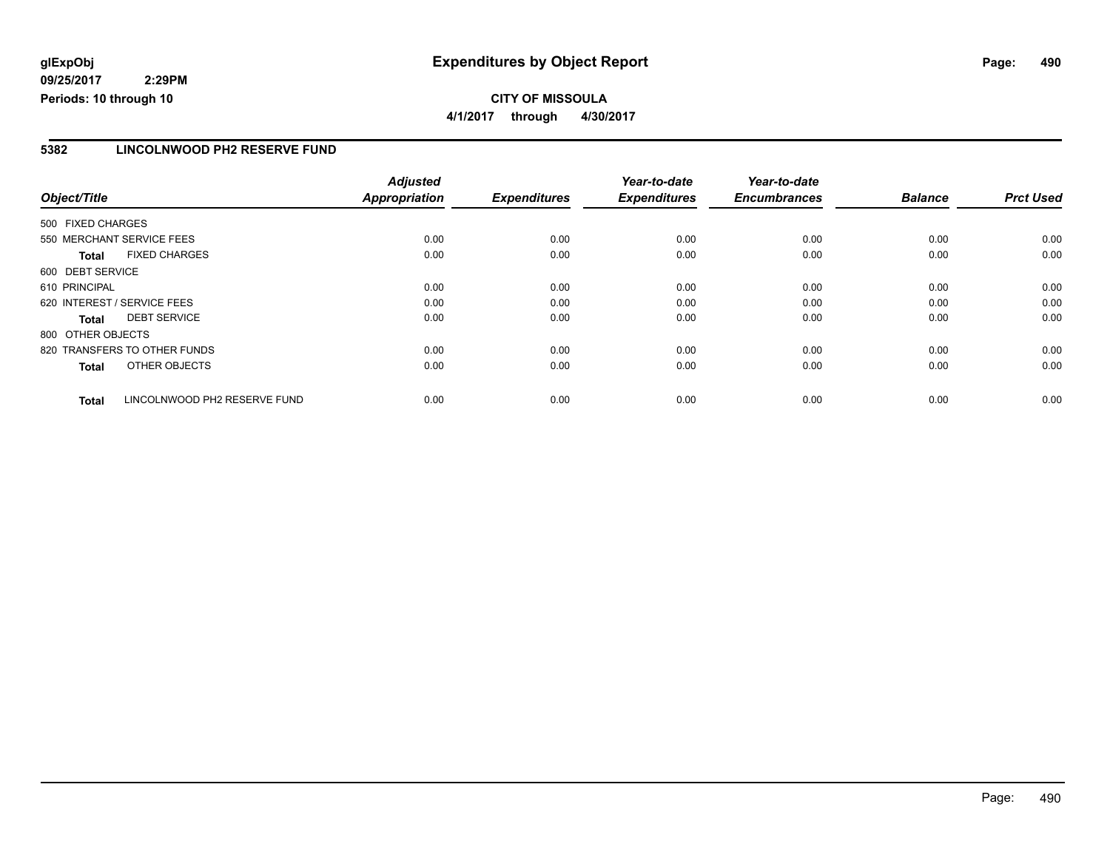### **CITY OF MISSOULA 4/1/2017 through 4/30/2017**

### **5382 LINCOLNWOOD PH2 RESERVE FUND**

|                                              | <b>Adjusted</b>      |                     | Year-to-date        | Year-to-date        |                |                  |
|----------------------------------------------|----------------------|---------------------|---------------------|---------------------|----------------|------------------|
| Object/Title                                 | <b>Appropriation</b> | <b>Expenditures</b> | <b>Expenditures</b> | <b>Encumbrances</b> | <b>Balance</b> | <b>Prct Used</b> |
| 500 FIXED CHARGES                            |                      |                     |                     |                     |                |                  |
| 550 MERCHANT SERVICE FEES                    | 0.00                 | 0.00                | 0.00                | 0.00                | 0.00           | 0.00             |
| <b>FIXED CHARGES</b><br><b>Total</b>         | 0.00                 | 0.00                | 0.00                | 0.00                | 0.00           | 0.00             |
| 600 DEBT SERVICE                             |                      |                     |                     |                     |                |                  |
| 610 PRINCIPAL                                | 0.00                 | 0.00                | 0.00                | 0.00                | 0.00           | 0.00             |
| 620 INTEREST / SERVICE FEES                  | 0.00                 | 0.00                | 0.00                | 0.00                | 0.00           | 0.00             |
| <b>DEBT SERVICE</b><br><b>Total</b>          | 0.00                 | 0.00                | 0.00                | 0.00                | 0.00           | 0.00             |
| 800 OTHER OBJECTS                            |                      |                     |                     |                     |                |                  |
| 820 TRANSFERS TO OTHER FUNDS                 | 0.00                 | 0.00                | 0.00                | 0.00                | 0.00           | 0.00             |
| OTHER OBJECTS<br><b>Total</b>                | 0.00                 | 0.00                | 0.00                | 0.00                | 0.00           | 0.00             |
| LINCOLNWOOD PH2 RESERVE FUND<br><b>Total</b> | 0.00                 | 0.00                | 0.00                | 0.00                | 0.00           | 0.00             |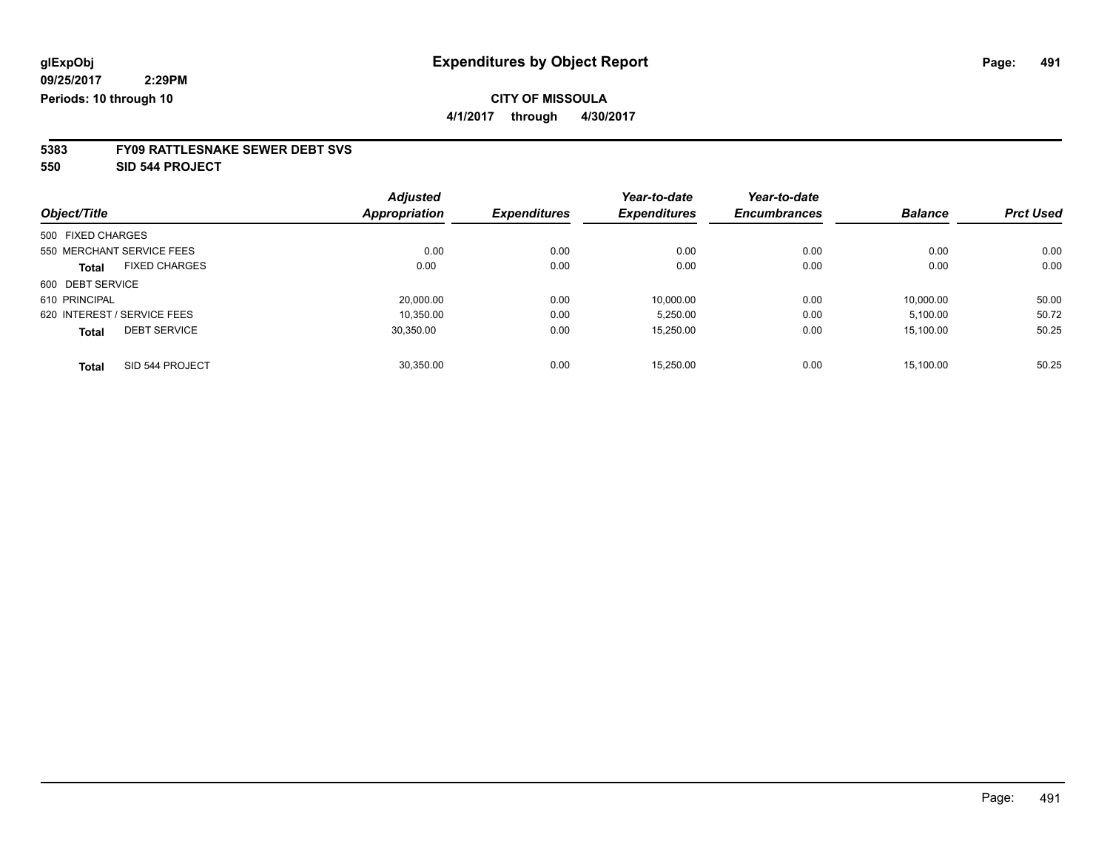**4/1/2017 through 4/30/2017**

# **5383 FY09 RATTLESNAKE SEWER DEBT SVS**

**550 SID 544 PROJECT**

|                                     | <b>Adjusted</b> |                     | Year-to-date        | Year-to-date        |                |                  |
|-------------------------------------|-----------------|---------------------|---------------------|---------------------|----------------|------------------|
| Object/Title                        | Appropriation   | <b>Expenditures</b> | <b>Expenditures</b> | <b>Encumbrances</b> | <b>Balance</b> | <b>Prct Used</b> |
| 500 FIXED CHARGES                   |                 |                     |                     |                     |                |                  |
| 550 MERCHANT SERVICE FEES           | 0.00            | 0.00                | 0.00                | 0.00                | 0.00           | 0.00             |
| <b>FIXED CHARGES</b><br>Total       | 0.00            | 0.00                | 0.00                | 0.00                | 0.00           | 0.00             |
| 600 DEBT SERVICE                    |                 |                     |                     |                     |                |                  |
| 610 PRINCIPAL                       | 20.000.00       | 0.00                | 10.000.00           | 0.00                | 10.000.00      | 50.00            |
| 620 INTEREST / SERVICE FEES         | 10.350.00       | 0.00                | 5,250.00            | 0.00                | 5,100.00       | 50.72            |
| <b>DEBT SERVICE</b><br><b>Total</b> | 30.350.00       | 0.00                | 15,250.00           | 0.00                | 15,100.00      | 50.25            |
| SID 544 PROJECT<br><b>Total</b>     | 30.350.00       | 0.00                | 15.250.00           | 0.00                | 15.100.00      | 50.25            |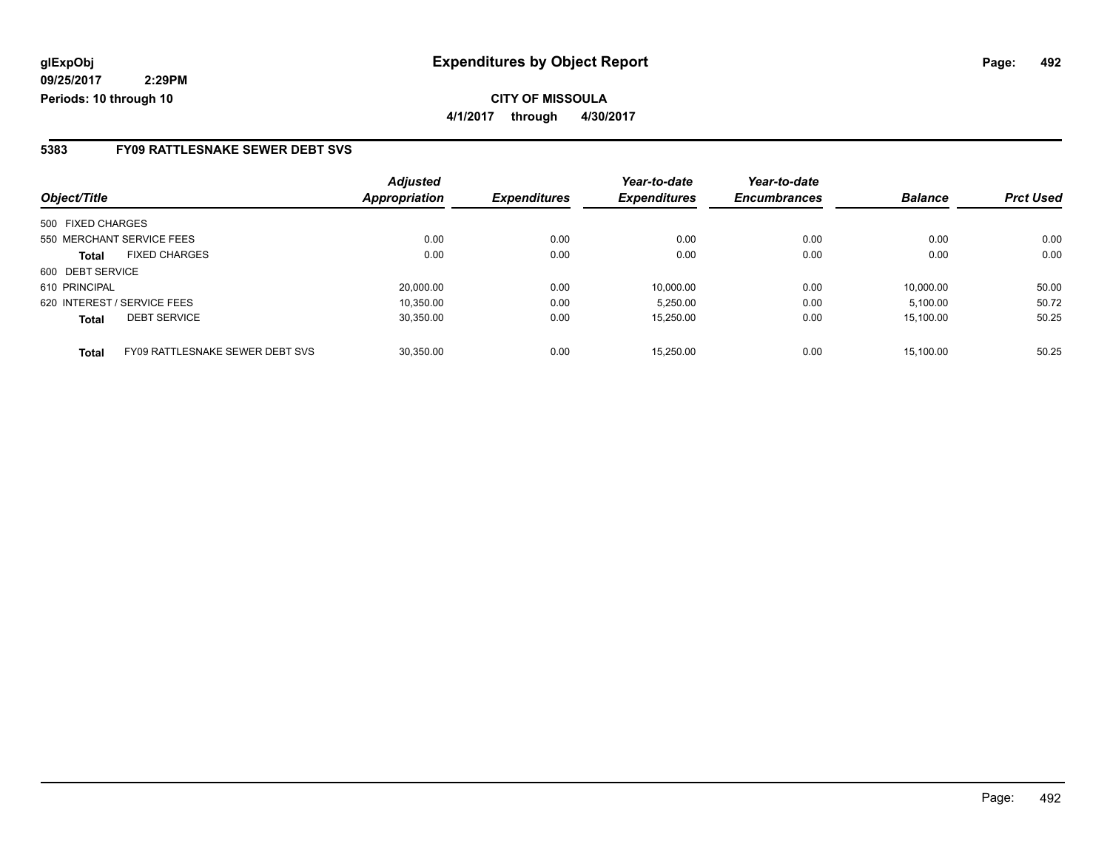### **5383 FY09 RATTLESNAKE SEWER DEBT SVS**

|                                                 | <b>Adjusted</b>      |                     | Year-to-date        | Year-to-date        |                |                  |
|-------------------------------------------------|----------------------|---------------------|---------------------|---------------------|----------------|------------------|
| Object/Title                                    | <b>Appropriation</b> | <b>Expenditures</b> | <b>Expenditures</b> | <b>Encumbrances</b> | <b>Balance</b> | <b>Prct Used</b> |
| 500 FIXED CHARGES                               |                      |                     |                     |                     |                |                  |
| 550 MERCHANT SERVICE FEES                       | 0.00                 | 0.00                | 0.00                | 0.00                | 0.00           | 0.00             |
| <b>FIXED CHARGES</b><br>Total                   | 0.00                 | 0.00                | 0.00                | 0.00                | 0.00           | 0.00             |
| 600 DEBT SERVICE                                |                      |                     |                     |                     |                |                  |
| 610 PRINCIPAL                                   | 20.000.00            | 0.00                | 10.000.00           | 0.00                | 10.000.00      | 50.00            |
| 620 INTEREST / SERVICE FEES                     | 10.350.00            | 0.00                | 5.250.00            | 0.00                | 5,100.00       | 50.72            |
| <b>DEBT SERVICE</b><br><b>Total</b>             | 30,350.00            | 0.00                | 15,250.00           | 0.00                | 15.100.00      | 50.25            |
| FY09 RATTLESNAKE SEWER DEBT SVS<br><b>Total</b> | 30.350.00            | 0.00                | 15.250.00           | 0.00                | 15.100.00      | 50.25            |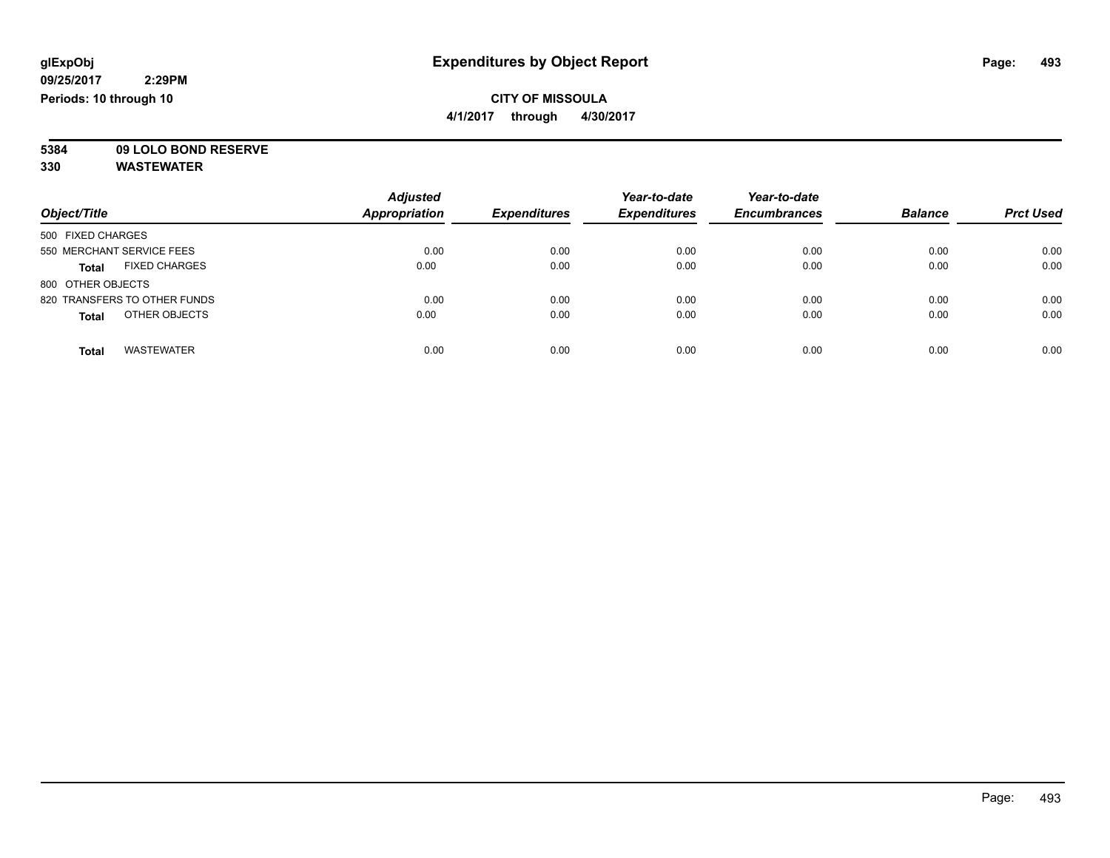**4/1/2017 through 4/30/2017**

**5384 09 LOLO BOND RESERVE**

| Object/Title                         | <b>Adjusted</b><br><b>Appropriation</b> | <b>Expenditures</b> | Year-to-date<br><b>Expenditures</b> | Year-to-date<br><b>Encumbrances</b> | <b>Balance</b> | <b>Prct Used</b> |
|--------------------------------------|-----------------------------------------|---------------------|-------------------------------------|-------------------------------------|----------------|------------------|
| 500 FIXED CHARGES                    |                                         |                     |                                     |                                     |                |                  |
| 550 MERCHANT SERVICE FEES            | 0.00                                    | 0.00                | 0.00                                | 0.00                                | 0.00           | 0.00             |
| <b>FIXED CHARGES</b><br><b>Total</b> | 0.00                                    | 0.00                | 0.00                                | 0.00                                | 0.00           | 0.00             |
| 800 OTHER OBJECTS                    |                                         |                     |                                     |                                     |                |                  |
| 820 TRANSFERS TO OTHER FUNDS         | 0.00                                    | 0.00                | 0.00                                | 0.00                                | 0.00           | 0.00             |
| OTHER OBJECTS<br><b>Total</b>        | 0.00                                    | 0.00                | 0.00                                | 0.00                                | 0.00           | 0.00             |
| <b>WASTEWATER</b><br><b>Total</b>    | 0.00                                    | 0.00                | 0.00                                | 0.00                                | 0.00           | 0.00             |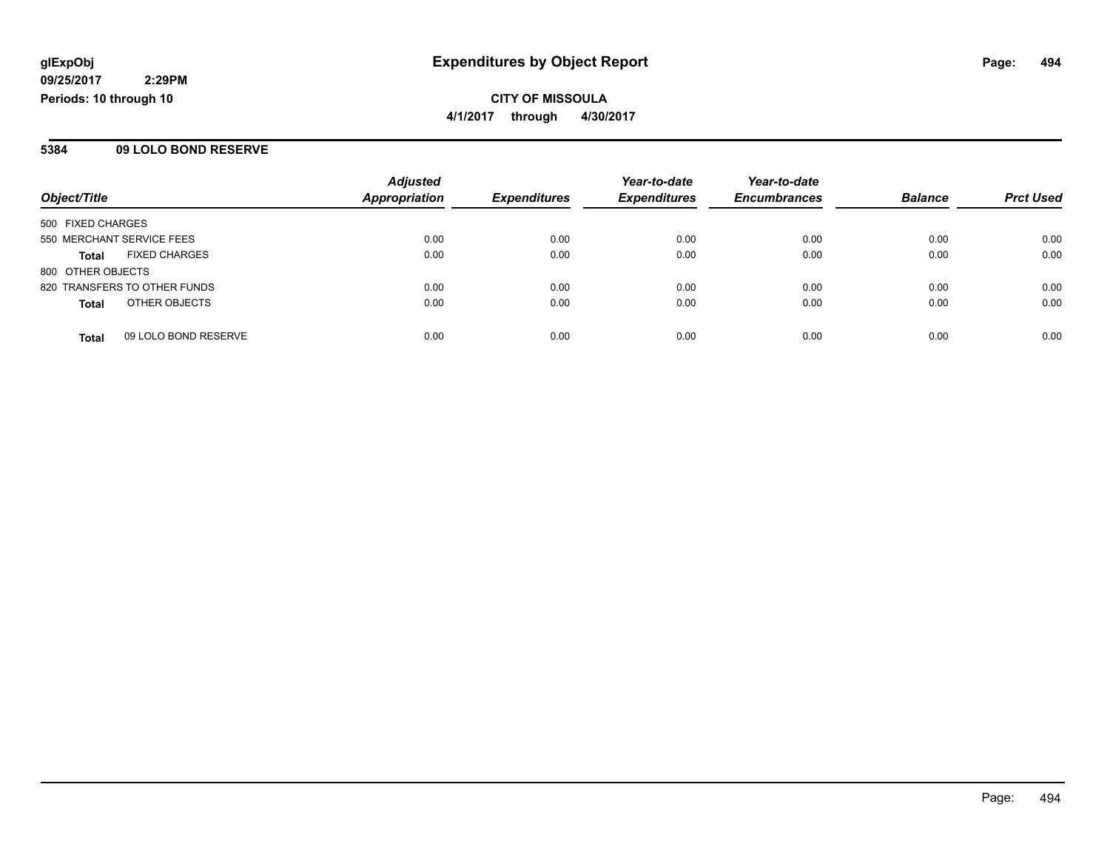**CITY OF MISSOULA 4/1/2017 through 4/30/2017**

### **5384 09 LOLO BOND RESERVE**

|                           |                              | <b>Adjusted</b>      |                     | Year-to-date        | Year-to-date        |                |                  |
|---------------------------|------------------------------|----------------------|---------------------|---------------------|---------------------|----------------|------------------|
| Object/Title              |                              | <b>Appropriation</b> | <b>Expenditures</b> | <b>Expenditures</b> | <b>Encumbrances</b> | <b>Balance</b> | <b>Prct Used</b> |
| 500 FIXED CHARGES         |                              |                      |                     |                     |                     |                |                  |
| 550 MERCHANT SERVICE FEES |                              | 0.00                 | 0.00                | 0.00                | 0.00                | 0.00           | 0.00             |
| <b>Total</b>              | <b>FIXED CHARGES</b>         | 0.00                 | 0.00                | 0.00                | 0.00                | 0.00           | 0.00             |
| 800 OTHER OBJECTS         |                              |                      |                     |                     |                     |                |                  |
|                           | 820 TRANSFERS TO OTHER FUNDS | 0.00                 | 0.00                | 0.00                | 0.00                | 0.00           | 0.00             |
| <b>Total</b>              | OTHER OBJECTS                | 0.00                 | 0.00                | 0.00                | 0.00                | 0.00           | 0.00             |
| <b>Total</b>              | 09 LOLO BOND RESERVE         | 0.00                 | 0.00                | 0.00                | 0.00                | 0.00           | 0.00             |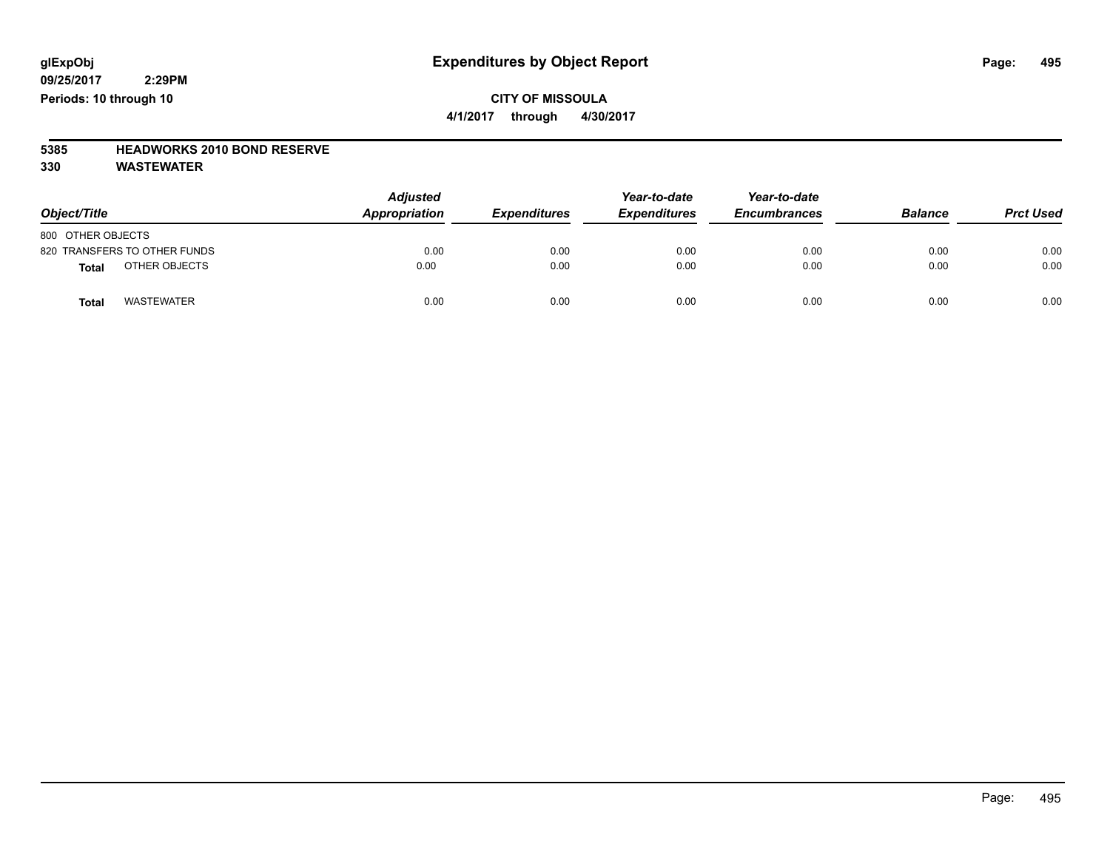### **CITY OF MISSOULA 4/1/2017 through 4/30/2017**

## **5385 HEADWORKS 2010 BOND RESERVE**

| Object/Title                  | <b>Adjusted</b><br>Appropriation | <b>Expenditures</b> | Year-to-date<br><b>Expenditures</b> | Year-to-date<br><b>Encumbrances</b> | <b>Balance</b> | <b>Prct Used</b> |
|-------------------------------|----------------------------------|---------------------|-------------------------------------|-------------------------------------|----------------|------------------|
| 800 OTHER OBJECTS             |                                  |                     |                                     |                                     |                |                  |
| 820 TRANSFERS TO OTHER FUNDS  | 0.00                             | 0.00                | 0.00                                | 0.00                                | 0.00           | 0.00             |
| OTHER OBJECTS<br><b>Total</b> | 0.00                             | 0.00                | 0.00                                | 0.00                                | 0.00           | 0.00             |
| WASTEWATER<br><b>Total</b>    | 0.00                             | 0.00                | 0.00                                | 0.00                                | 0.00           | 0.00             |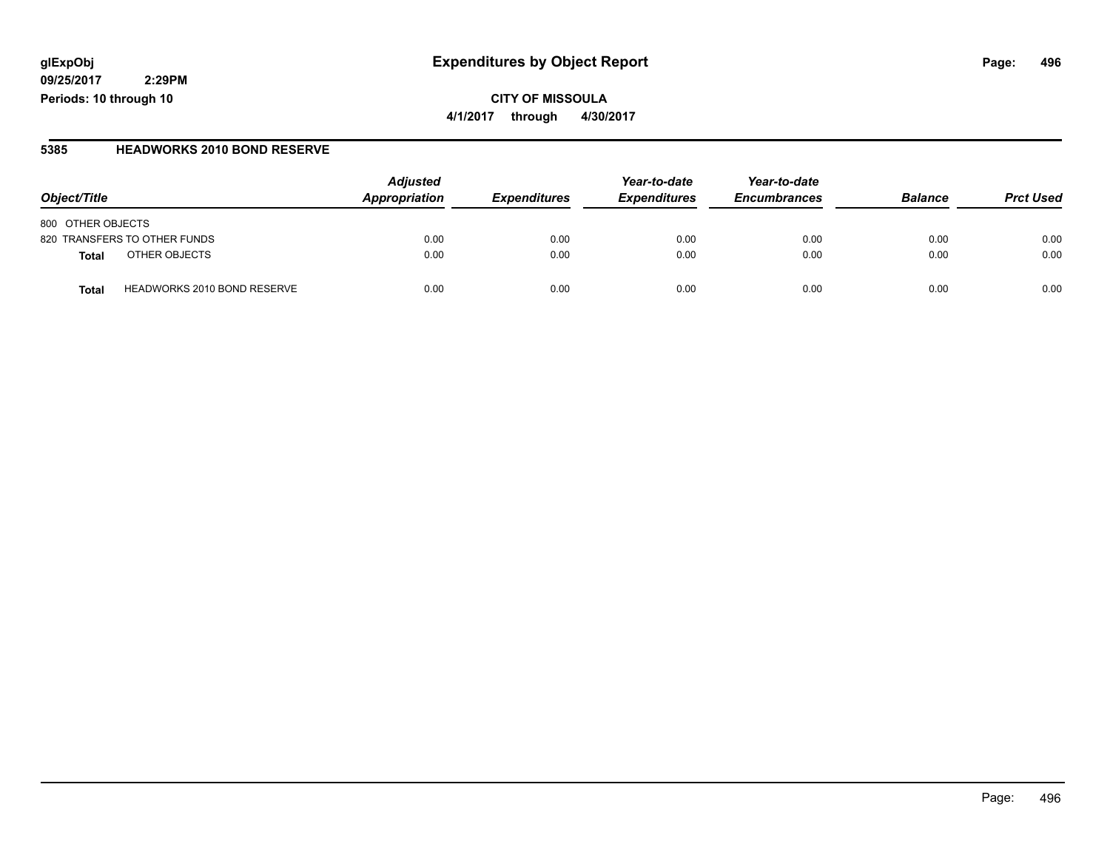### **glExpObj Expenditures by Object Report Page: 496**

**09/25/2017 2:29PM Periods: 10 through 10**

#### **5385 HEADWORKS 2010 BOND RESERVE**

| Object/Title                                       | <b>Adjusted</b><br>Appropriation | <i><b>Expenditures</b></i> | Year-to-date<br><b>Expenditures</b> | Year-to-date<br><b>Encumbrances</b> | <b>Balance</b> | <b>Prct Used</b> |
|----------------------------------------------------|----------------------------------|----------------------------|-------------------------------------|-------------------------------------|----------------|------------------|
| 800 OTHER OBJECTS                                  |                                  |                            |                                     |                                     |                |                  |
| 820 TRANSFERS TO OTHER FUNDS                       | 0.00                             | 0.00                       | 0.00                                | 0.00                                | 0.00           | 0.00             |
| OTHER OBJECTS<br>Total                             | 0.00                             | 0.00                       | 0.00                                | 0.00                                | 0.00           | 0.00             |
| <b>HEADWORKS 2010 BOND RESERVE</b><br><b>Total</b> | 0.00                             | 0.00                       | 0.00                                | 0.00                                | 0.00           | 0.00             |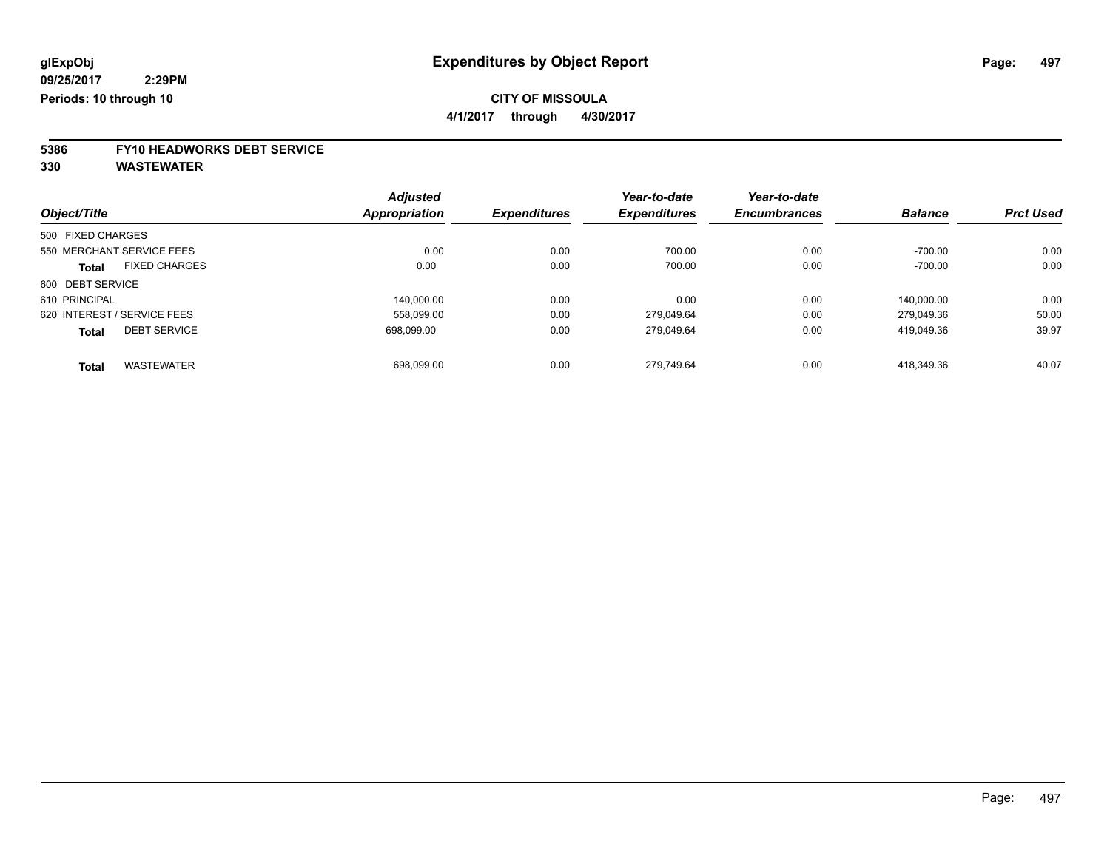**4/1/2017 through 4/30/2017**

# **5386 FY10 HEADWORKS DEBT SERVICE**

|                   |                             | <b>Adjusted</b> |                     | Year-to-date        | Year-to-date        |                |                  |
|-------------------|-----------------------------|-----------------|---------------------|---------------------|---------------------|----------------|------------------|
| Object/Title      |                             | Appropriation   | <b>Expenditures</b> | <b>Expenditures</b> | <b>Encumbrances</b> | <b>Balance</b> | <b>Prct Used</b> |
| 500 FIXED CHARGES |                             |                 |                     |                     |                     |                |                  |
|                   | 550 MERCHANT SERVICE FEES   | 0.00            | 0.00                | 700.00              | 0.00                | $-700.00$      | 0.00             |
| <b>Total</b>      | <b>FIXED CHARGES</b>        | 0.00            | 0.00                | 700.00              | 0.00                | $-700.00$      | 0.00             |
| 600 DEBT SERVICE  |                             |                 |                     |                     |                     |                |                  |
| 610 PRINCIPAL     |                             | 140.000.00      | 0.00                | 0.00                | 0.00                | 140.000.00     | 0.00             |
|                   | 620 INTEREST / SERVICE FEES | 558.099.00      | 0.00                | 279.049.64          | 0.00                | 279.049.36     | 50.00            |
| <b>Total</b>      | <b>DEBT SERVICE</b>         | 698.099.00      | 0.00                | 279,049.64          | 0.00                | 419.049.36     | 39.97            |
| <b>Total</b>      | <b>WASTEWATER</b>           | 698.099.00      | 0.00                | 279.749.64          | 0.00                | 418.349.36     | 40.07            |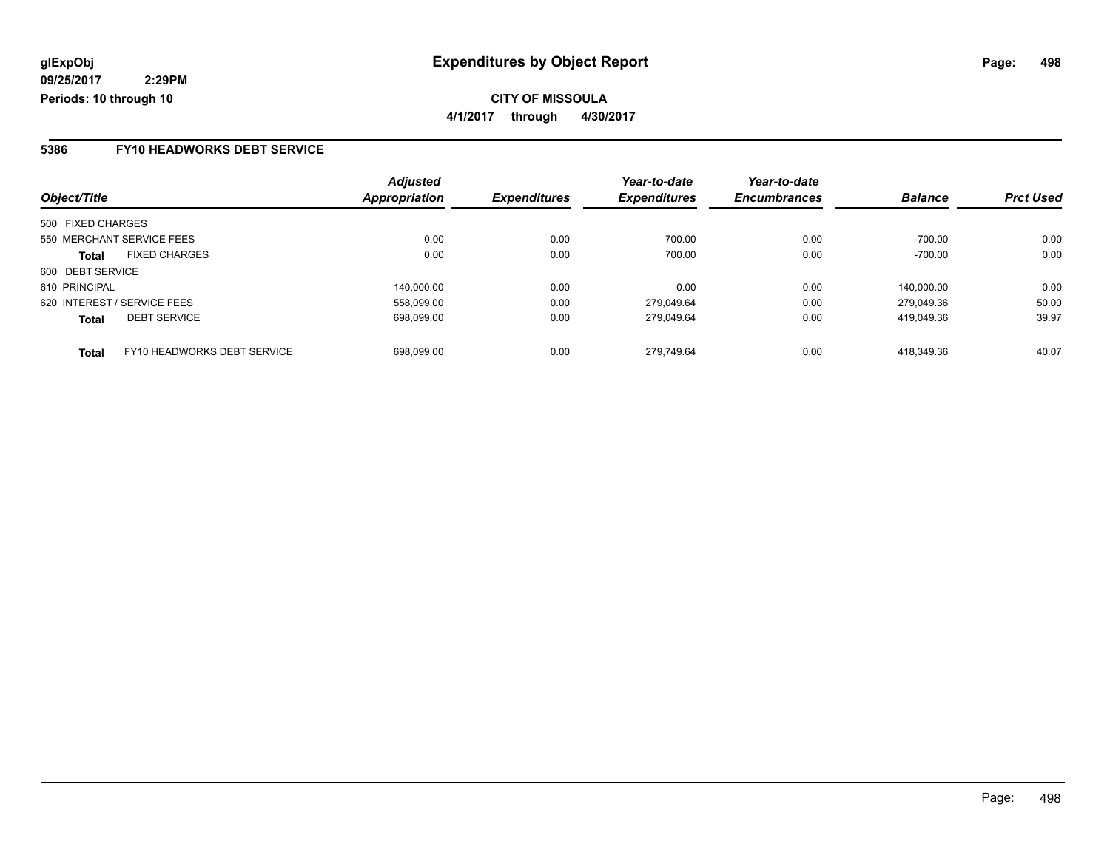### **5386 FY10 HEADWORKS DEBT SERVICE**

|                                             | <b>Adjusted</b> |                     | Year-to-date        | Year-to-date        |                |                  |
|---------------------------------------------|-----------------|---------------------|---------------------|---------------------|----------------|------------------|
| Object/Title                                | Appropriation   | <b>Expenditures</b> | <b>Expenditures</b> | <b>Encumbrances</b> | <b>Balance</b> | <b>Prct Used</b> |
| 500 FIXED CHARGES                           |                 |                     |                     |                     |                |                  |
| 550 MERCHANT SERVICE FEES                   | 0.00            | 0.00                | 700.00              | 0.00                | $-700.00$      | 0.00             |
| <b>FIXED CHARGES</b><br>Total               | 0.00            | 0.00                | 700.00              | 0.00                | $-700.00$      | 0.00             |
| 600 DEBT SERVICE                            |                 |                     |                     |                     |                |                  |
| 610 PRINCIPAL                               | 140,000.00      | 0.00                | 0.00                | 0.00                | 140.000.00     | 0.00             |
| 620 INTEREST / SERVICE FEES                 | 558.099.00      | 0.00                | 279.049.64          | 0.00                | 279.049.36     | 50.00            |
| <b>DEBT SERVICE</b><br><b>Total</b>         | 698.099.00      | 0.00                | 279.049.64          | 0.00                | 419.049.36     | 39.97            |
| FY10 HEADWORKS DEBT SERVICE<br><b>Total</b> | 698.099.00      | 0.00                | 279.749.64          | 0.00                | 418.349.36     | 40.07            |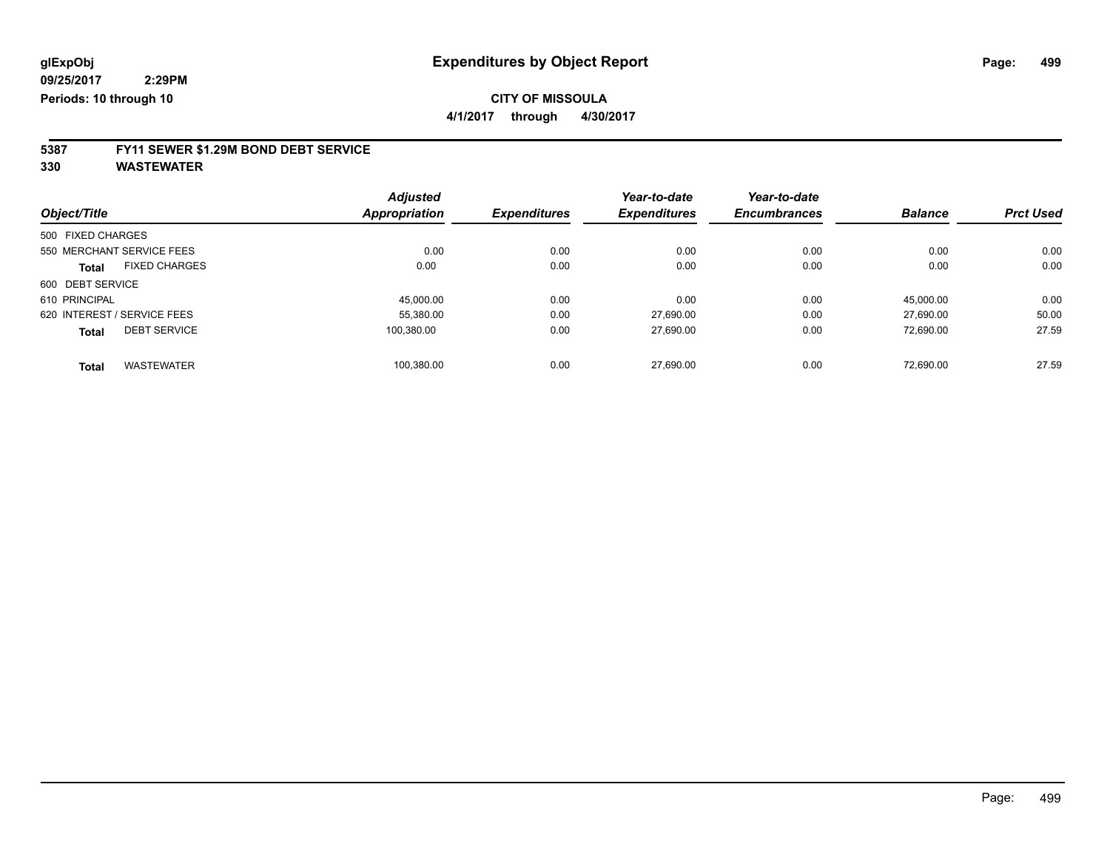**4/1/2017 through 4/30/2017**

# **5387 FY11 SEWER \$1.29M BOND DEBT SERVICE**

|                   |                             | <b>Adjusted</b>      |                     | Year-to-date        | Year-to-date        |                |                  |
|-------------------|-----------------------------|----------------------|---------------------|---------------------|---------------------|----------------|------------------|
| Object/Title      |                             | <b>Appropriation</b> | <b>Expenditures</b> | <b>Expenditures</b> | <b>Encumbrances</b> | <b>Balance</b> | <b>Prct Used</b> |
| 500 FIXED CHARGES |                             |                      |                     |                     |                     |                |                  |
|                   | 550 MERCHANT SERVICE FEES   | 0.00                 | 0.00                | 0.00                | 0.00                | 0.00           | 0.00             |
| <b>Total</b>      | <b>FIXED CHARGES</b>        | 0.00                 | 0.00                | 0.00                | 0.00                | 0.00           | 0.00             |
| 600 DEBT SERVICE  |                             |                      |                     |                     |                     |                |                  |
| 610 PRINCIPAL     |                             | 45.000.00            | 0.00                | 0.00                | 0.00                | 45.000.00      | 0.00             |
|                   | 620 INTEREST / SERVICE FEES | 55.380.00            | 0.00                | 27.690.00           | 0.00                | 27.690.00      | 50.00            |
| <b>Total</b>      | <b>DEBT SERVICE</b>         | 100.380.00           | 0.00                | 27.690.00           | 0.00                | 72.690.00      | 27.59            |
| <b>Total</b>      | <b>WASTEWATER</b>           | 100.380.00           | 0.00                | 27.690.00           | 0.00                | 72.690.00      | 27.59            |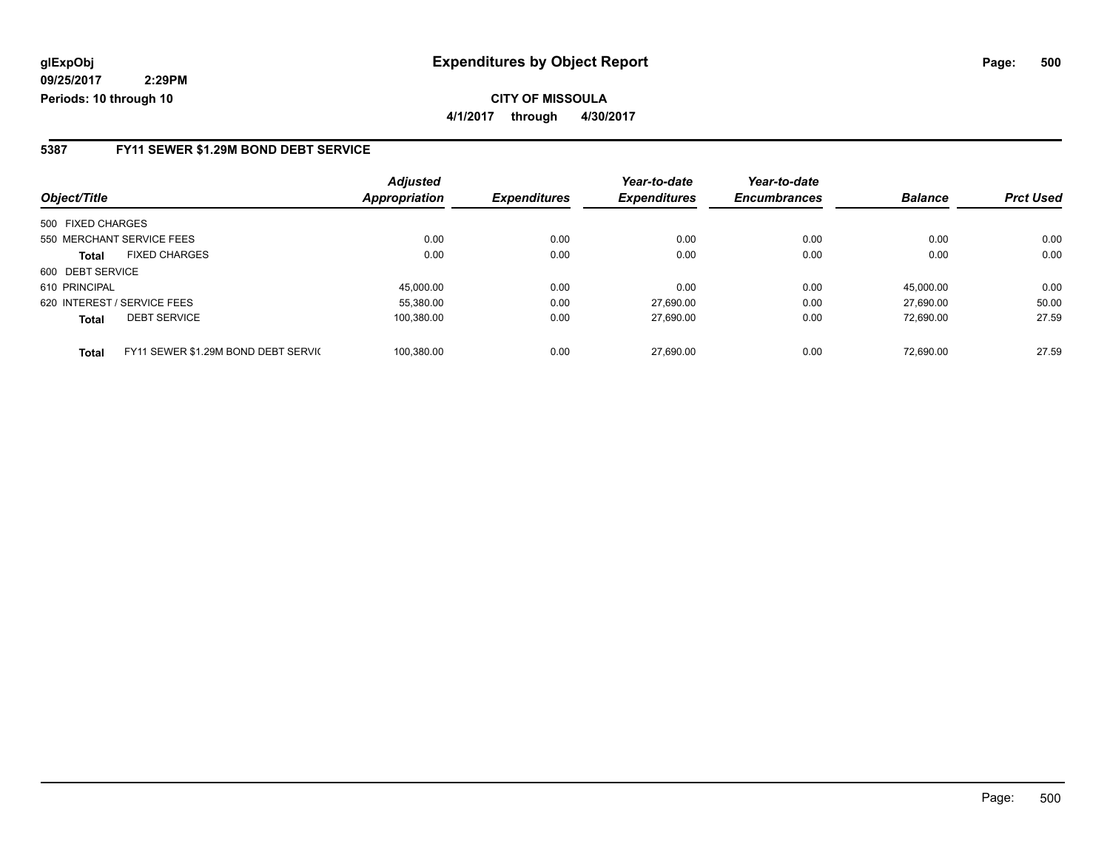**CITY OF MISSOULA 4/1/2017 through 4/30/2017**

### **5387 FY11 SEWER \$1.29M BOND DEBT SERVICE**

| Object/Title                                        | <b>Adjusted</b><br><b>Appropriation</b> | <b>Expenditures</b> | Year-to-date<br><b>Expenditures</b> | Year-to-date<br><b>Encumbrances</b> | <b>Balance</b> | <b>Prct Used</b> |
|-----------------------------------------------------|-----------------------------------------|---------------------|-------------------------------------|-------------------------------------|----------------|------------------|
|                                                     |                                         |                     |                                     |                                     |                |                  |
| 500 FIXED CHARGES                                   |                                         |                     |                                     |                                     |                |                  |
| 550 MERCHANT SERVICE FEES                           | 0.00                                    | 0.00                | 0.00                                | 0.00                                | 0.00           | 0.00             |
| <b>FIXED CHARGES</b><br><b>Total</b>                | 0.00                                    | 0.00                | 0.00                                | 0.00                                | 0.00           | 0.00             |
| 600 DEBT SERVICE                                    |                                         |                     |                                     |                                     |                |                  |
| 610 PRINCIPAL                                       | 45.000.00                               | 0.00                | 0.00                                | 0.00                                | 45.000.00      | 0.00             |
| 620 INTEREST / SERVICE FEES                         | 55.380.00                               | 0.00                | 27.690.00                           | 0.00                                | 27.690.00      | 50.00            |
| <b>DEBT SERVICE</b><br><b>Total</b>                 | 100,380.00                              | 0.00                | 27,690.00                           | 0.00                                | 72.690.00      | 27.59            |
| FY11 SEWER \$1.29M BOND DEBT SERVIC<br><b>Total</b> | 100.380.00                              | 0.00                | 27.690.00                           | 0.00                                | 72.690.00      | 27.59            |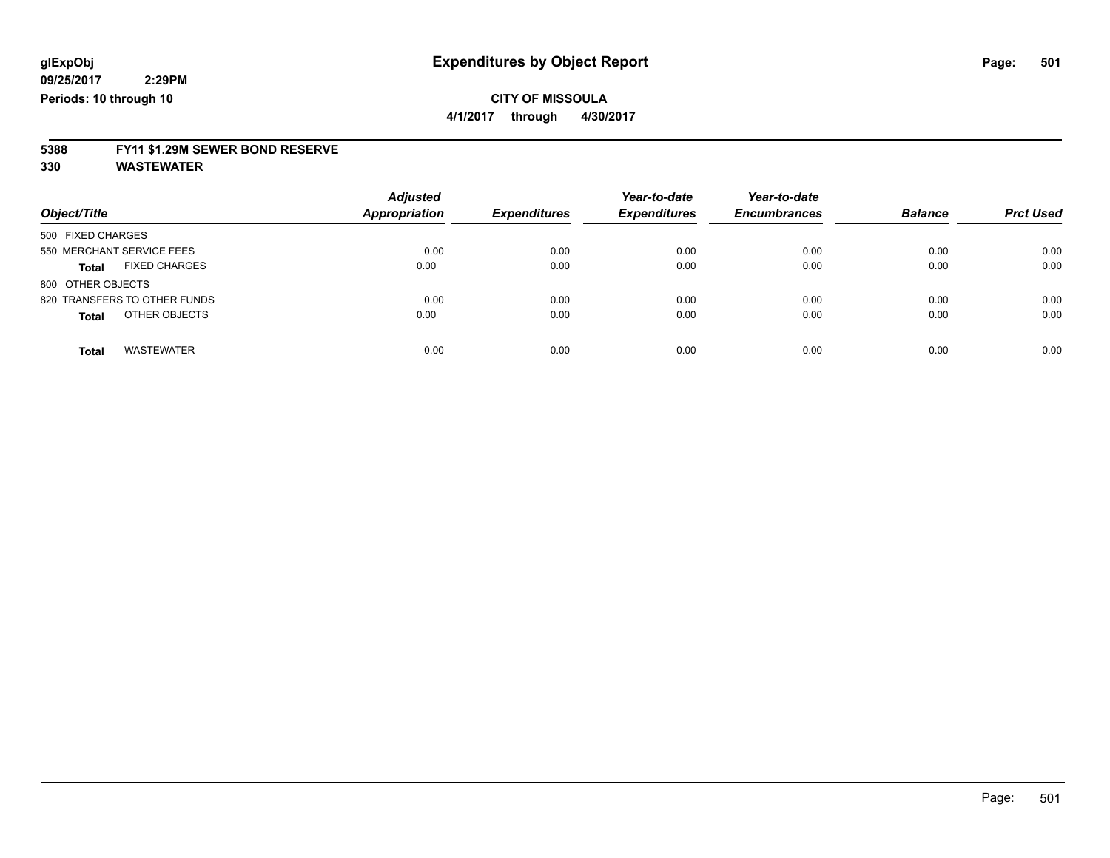**4/1/2017 through 4/30/2017**

## **5388 FY11 \$1.29M SEWER BOND RESERVE**

| Object/Title                      | <b>Adjusted</b><br><b>Appropriation</b> | <b>Expenditures</b> | Year-to-date<br><b>Expenditures</b> | Year-to-date<br><b>Encumbrances</b> | <b>Balance</b> | <b>Prct Used</b> |
|-----------------------------------|-----------------------------------------|---------------------|-------------------------------------|-------------------------------------|----------------|------------------|
| 500 FIXED CHARGES                 |                                         |                     |                                     |                                     |                |                  |
| 550 MERCHANT SERVICE FEES         | 0.00                                    | 0.00                | 0.00                                | 0.00                                | 0.00           | 0.00             |
| <b>FIXED CHARGES</b><br>Total     | 0.00                                    | 0.00                | 0.00                                | 0.00                                | 0.00           | 0.00             |
| 800 OTHER OBJECTS                 |                                         |                     |                                     |                                     |                |                  |
| 820 TRANSFERS TO OTHER FUNDS      | 0.00                                    | 0.00                | 0.00                                | 0.00                                | 0.00           | 0.00             |
| OTHER OBJECTS<br>Total            | 0.00                                    | 0.00                | 0.00                                | 0.00                                | 0.00           | 0.00             |
| <b>WASTEWATER</b><br><b>Total</b> | 0.00                                    | 0.00                | 0.00                                | 0.00                                | 0.00           | 0.00             |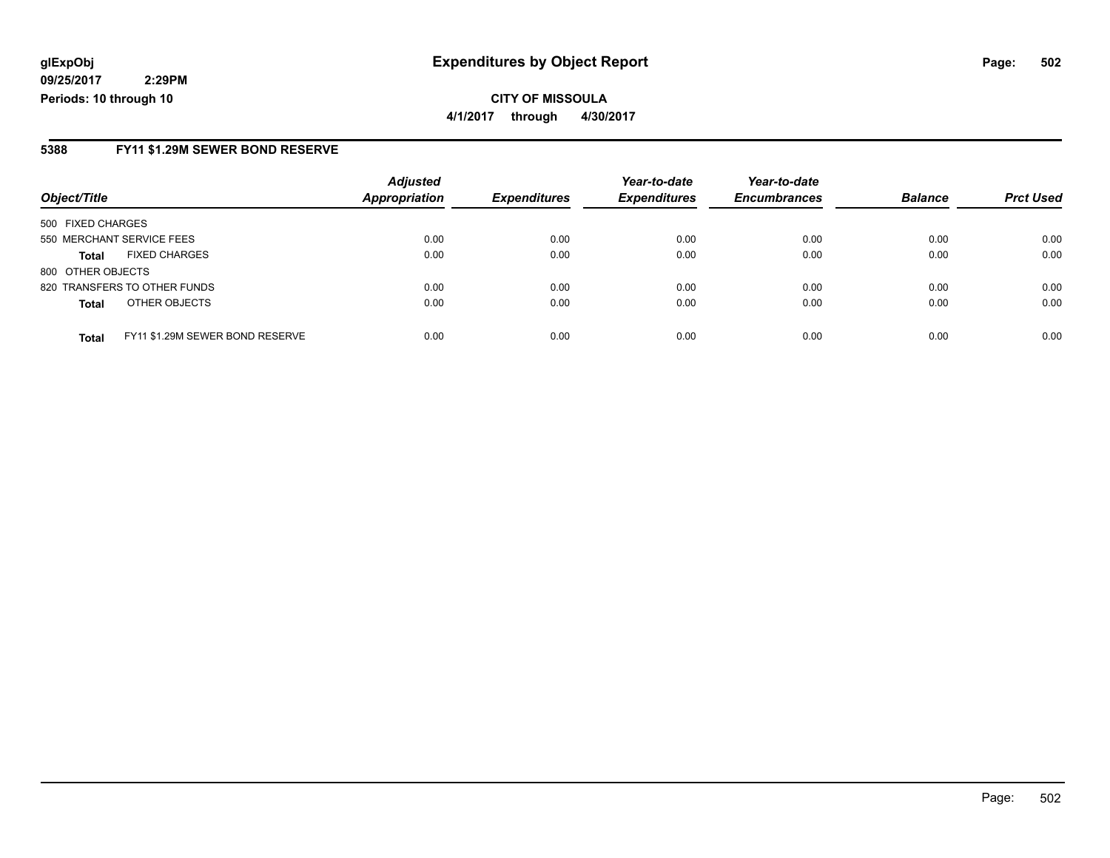**CITY OF MISSOULA 4/1/2017 through 4/30/2017**

#### **5388 FY11 \$1.29M SEWER BOND RESERVE**

|                           |                                 | <b>Adjusted</b>      |                     | Year-to-date        | Year-to-date        |                |                  |
|---------------------------|---------------------------------|----------------------|---------------------|---------------------|---------------------|----------------|------------------|
| Object/Title              |                                 | <b>Appropriation</b> | <b>Expenditures</b> | <b>Expenditures</b> | <b>Encumbrances</b> | <b>Balance</b> | <b>Prct Used</b> |
| 500 FIXED CHARGES         |                                 |                      |                     |                     |                     |                |                  |
| 550 MERCHANT SERVICE FEES |                                 | 0.00                 | 0.00                | 0.00                | 0.00                | 0.00           | 0.00             |
| Total                     | <b>FIXED CHARGES</b>            | 0.00                 | 0.00                | 0.00                | 0.00                | 0.00           | 0.00             |
| 800 OTHER OBJECTS         |                                 |                      |                     |                     |                     |                |                  |
|                           | 820 TRANSFERS TO OTHER FUNDS    | 0.00                 | 0.00                | 0.00                | 0.00                | 0.00           | 0.00             |
| <b>Total</b>              | OTHER OBJECTS                   | 0.00                 | 0.00                | 0.00                | 0.00                | 0.00           | 0.00             |
| <b>Total</b>              | FY11 \$1.29M SEWER BOND RESERVE | 0.00                 | 0.00                | 0.00                | 0.00                | 0.00           | 0.00             |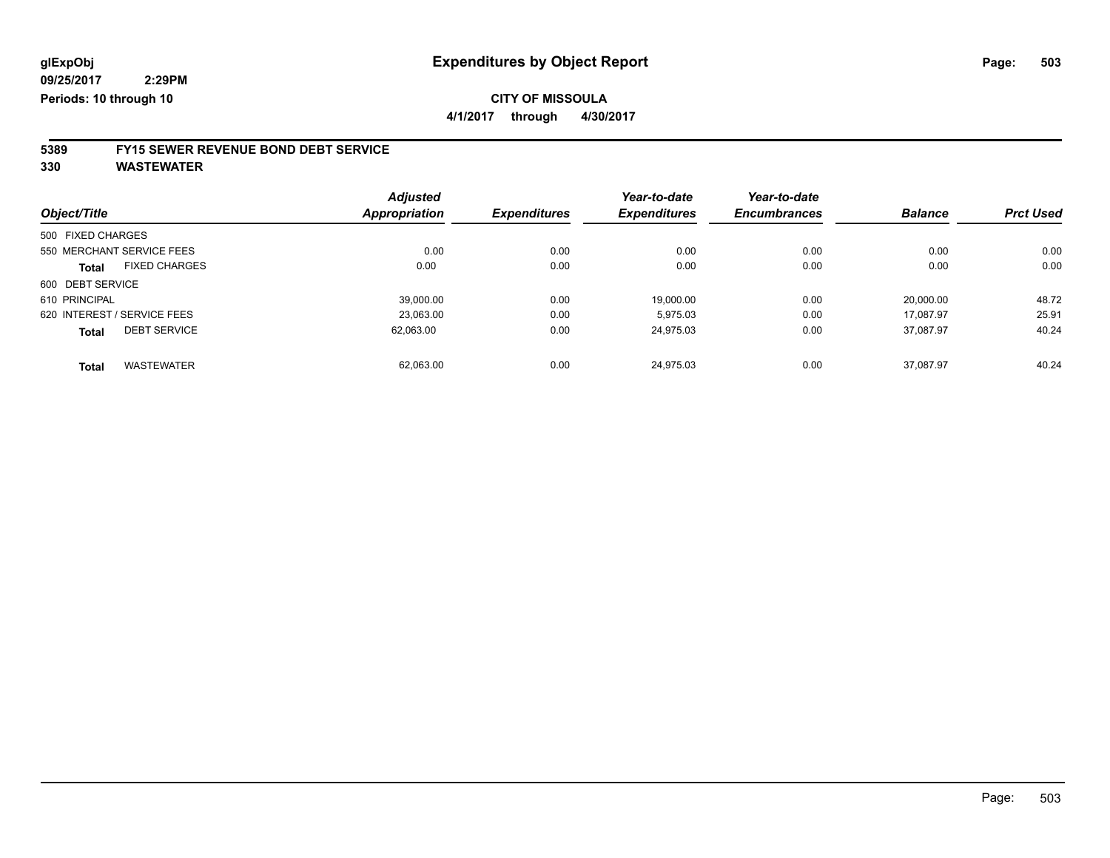**4/1/2017 through 4/30/2017**

## **5389 FY15 SEWER REVENUE BOND DEBT SERVICE**

|                   |                             | <b>Adjusted</b>      |                     | Year-to-date        | Year-to-date        |                |                  |
|-------------------|-----------------------------|----------------------|---------------------|---------------------|---------------------|----------------|------------------|
| Object/Title      |                             | <b>Appropriation</b> | <b>Expenditures</b> | <b>Expenditures</b> | <b>Encumbrances</b> | <b>Balance</b> | <b>Prct Used</b> |
| 500 FIXED CHARGES |                             |                      |                     |                     |                     |                |                  |
|                   | 550 MERCHANT SERVICE FEES   | 0.00                 | 0.00                | 0.00                | 0.00                | 0.00           | 0.00             |
| Total             | <b>FIXED CHARGES</b>        | 0.00                 | 0.00                | 0.00                | 0.00                | 0.00           | 0.00             |
| 600 DEBT SERVICE  |                             |                      |                     |                     |                     |                |                  |
| 610 PRINCIPAL     |                             | 39.000.00            | 0.00                | 19.000.00           | 0.00                | 20.000.00      | 48.72            |
|                   | 620 INTEREST / SERVICE FEES | 23.063.00            | 0.00                | 5.975.03            | 0.00                | 17.087.97      | 25.91            |
| <b>Total</b>      | <b>DEBT SERVICE</b>         | 62,063.00            | 0.00                | 24.975.03           | 0.00                | 37.087.97      | 40.24            |
| <b>Total</b>      | <b>WASTEWATER</b>           | 62.063.00            | 0.00                | 24.975.03           | 0.00                | 37.087.97      | 40.24            |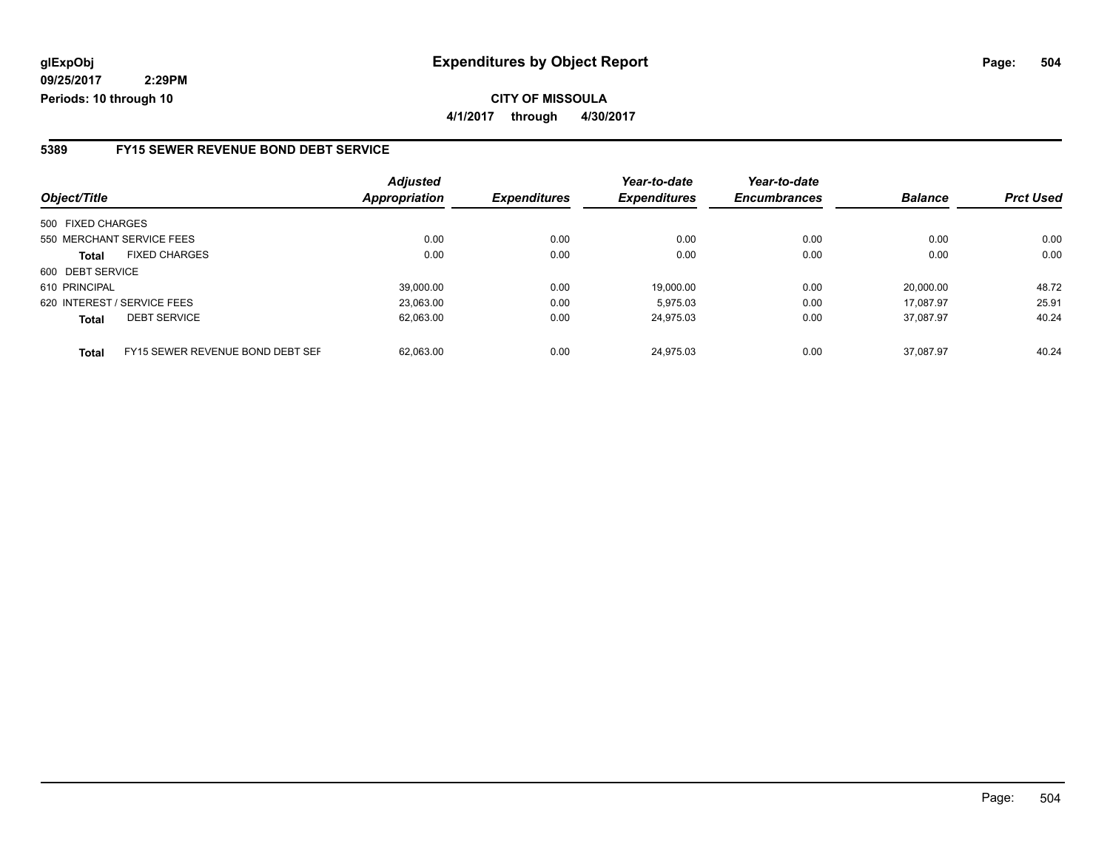**CITY OF MISSOULA 4/1/2017 through 4/30/2017**

#### **5389 FY15 SEWER REVENUE BOND DEBT SERVICE**

| Object/Title                         |                                  | <b>Adjusted</b><br><b>Appropriation</b> | <b>Expenditures</b> | Year-to-date<br><b>Expenditures</b> | Year-to-date<br><b>Encumbrances</b> | <b>Balance</b> | <b>Prct Used</b> |
|--------------------------------------|----------------------------------|-----------------------------------------|---------------------|-------------------------------------|-------------------------------------|----------------|------------------|
| 500 FIXED CHARGES                    |                                  |                                         |                     |                                     |                                     |                |                  |
| 550 MERCHANT SERVICE FEES            |                                  | 0.00                                    | 0.00                | 0.00                                | 0.00                                | 0.00           | 0.00             |
| <b>FIXED CHARGES</b><br><b>Total</b> |                                  | 0.00                                    | 0.00                | 0.00                                | 0.00                                | 0.00           | 0.00             |
| 600 DEBT SERVICE                     |                                  |                                         |                     |                                     |                                     |                |                  |
| 610 PRINCIPAL                        |                                  | 39.000.00                               | 0.00                | 19.000.00                           | 0.00                                | 20.000.00      | 48.72            |
| 620 INTEREST / SERVICE FEES          |                                  | 23,063.00                               | 0.00                | 5.975.03                            | 0.00                                | 17.087.97      | 25.91            |
| <b>DEBT SERVICE</b><br><b>Total</b>  |                                  | 62,063.00                               | 0.00                | 24.975.03                           | 0.00                                | 37.087.97      | 40.24            |
| <b>Total</b>                         | FY15 SEWER REVENUE BOND DEBT SEF | 62.063.00                               | 0.00                | 24.975.03                           | 0.00                                | 37.087.97      | 40.24            |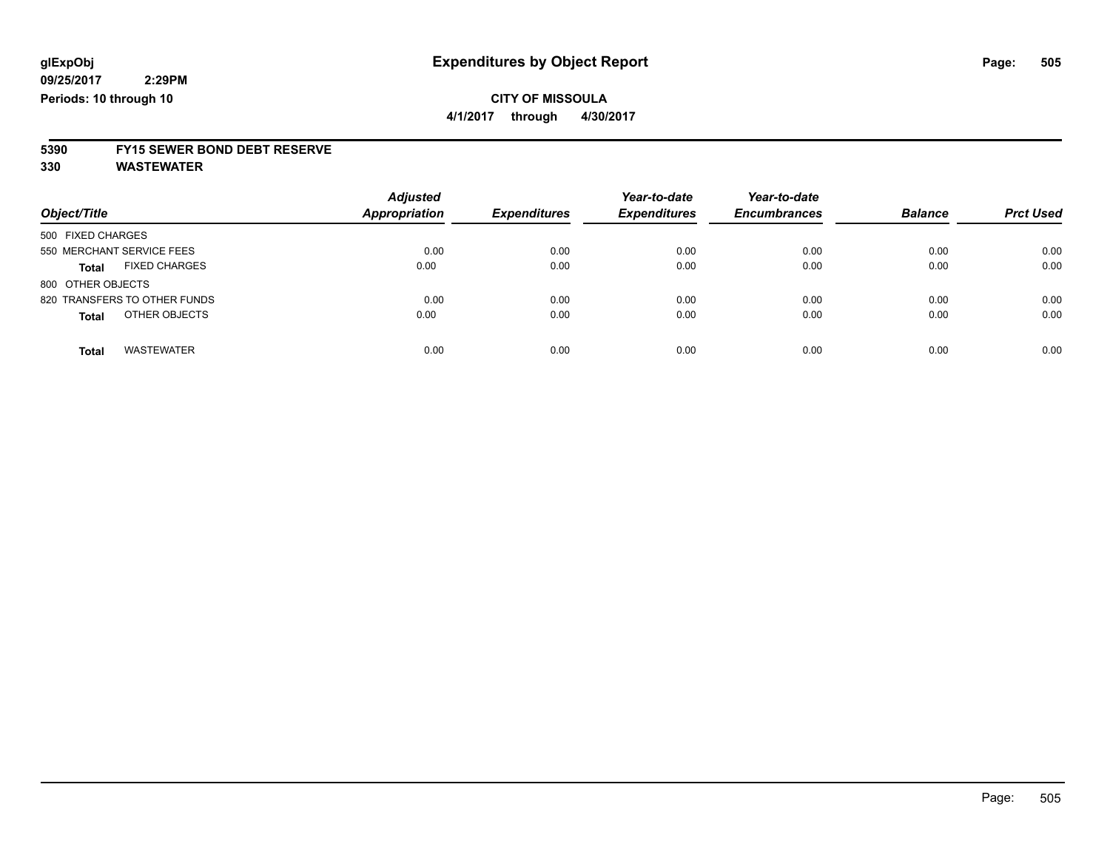**4/1/2017 through 4/30/2017**

# **5390 FY15 SEWER BOND DEBT RESERVE**

**330 WASTEWATER**

| Object/Title                         | <b>Adjusted</b><br>Appropriation | <b>Expenditures</b> | Year-to-date<br><b>Expenditures</b> | Year-to-date<br><b>Encumbrances</b> | <b>Balance</b> | <b>Prct Used</b> |
|--------------------------------------|----------------------------------|---------------------|-------------------------------------|-------------------------------------|----------------|------------------|
| 500 FIXED CHARGES                    |                                  |                     |                                     |                                     |                |                  |
| 550 MERCHANT SERVICE FEES            | 0.00                             | 0.00                | 0.00                                | 0.00                                | 0.00           | 0.00             |
| <b>FIXED CHARGES</b><br><b>Total</b> | 0.00                             | 0.00                | 0.00                                | 0.00                                | 0.00           | 0.00             |
| 800 OTHER OBJECTS                    |                                  |                     |                                     |                                     |                |                  |
| 820 TRANSFERS TO OTHER FUNDS         | 0.00                             | 0.00                | 0.00                                | 0.00                                | 0.00           | 0.00             |
| OTHER OBJECTS<br><b>Total</b>        | 0.00                             | 0.00                | 0.00                                | 0.00                                | 0.00           | 0.00             |
| <b>WASTEWATER</b><br><b>Total</b>    | 0.00                             | 0.00                | 0.00                                | 0.00                                | 0.00           | 0.00             |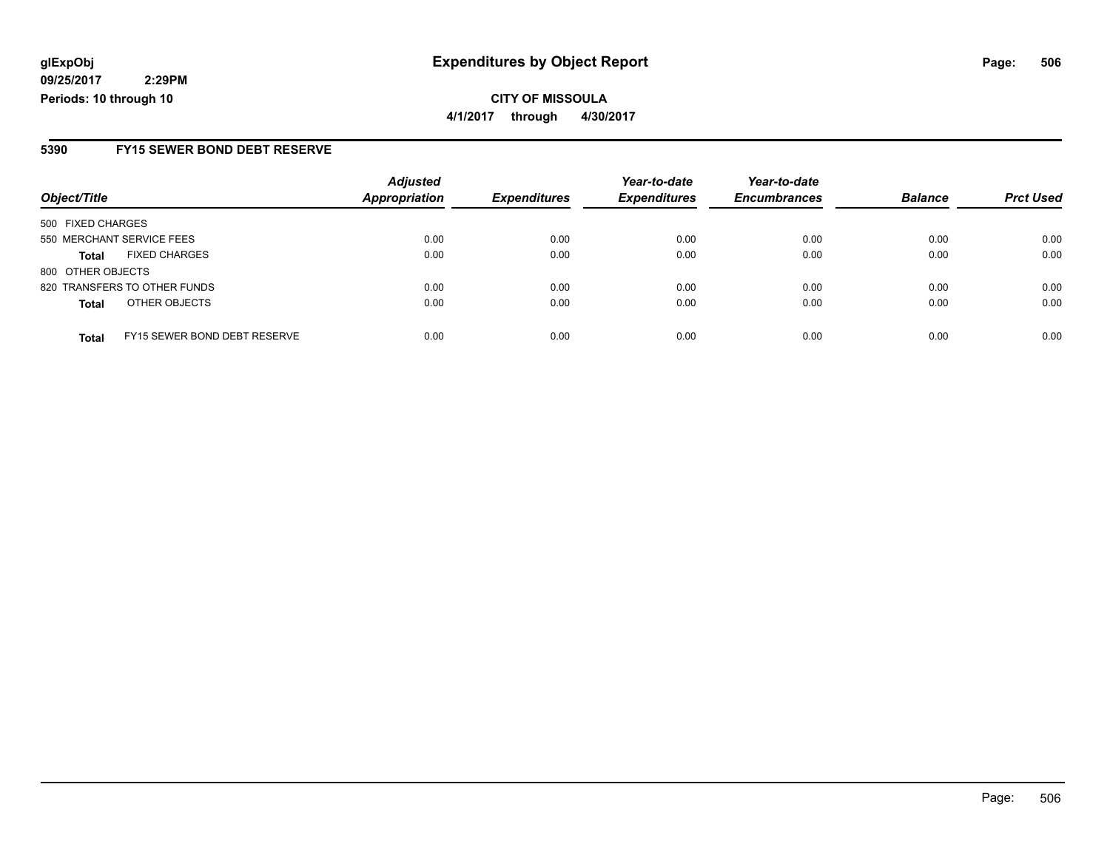**4/1/2017 through 4/30/2017**

### **5390 FY15 SEWER BOND DEBT RESERVE**

|                              |                              | <b>Adjusted</b>      |                     | Year-to-date        | Year-to-date        |                |                  |
|------------------------------|------------------------------|----------------------|---------------------|---------------------|---------------------|----------------|------------------|
| Object/Title                 |                              | <b>Appropriation</b> | <b>Expenditures</b> | <b>Expenditures</b> | <b>Encumbrances</b> | <b>Balance</b> | <b>Prct Used</b> |
| 500 FIXED CHARGES            |                              |                      |                     |                     |                     |                |                  |
| 550 MERCHANT SERVICE FEES    |                              | 0.00                 | 0.00                | 0.00                | 0.00                | 0.00           | 0.00             |
| <b>Total</b>                 | <b>FIXED CHARGES</b>         | 0.00                 | 0.00                | 0.00                | 0.00                | 0.00           | 0.00             |
| 800 OTHER OBJECTS            |                              |                      |                     |                     |                     |                |                  |
| 820 TRANSFERS TO OTHER FUNDS |                              | 0.00                 | 0.00                | 0.00                | 0.00                | 0.00           | 0.00             |
| <b>Total</b>                 | OTHER OBJECTS                | 0.00                 | 0.00                | 0.00                | 0.00                | 0.00           | 0.00             |
| <b>Total</b>                 | FY15 SEWER BOND DEBT RESERVE | 0.00                 | 0.00                | 0.00                | 0.00                | 0.00           | 0.00             |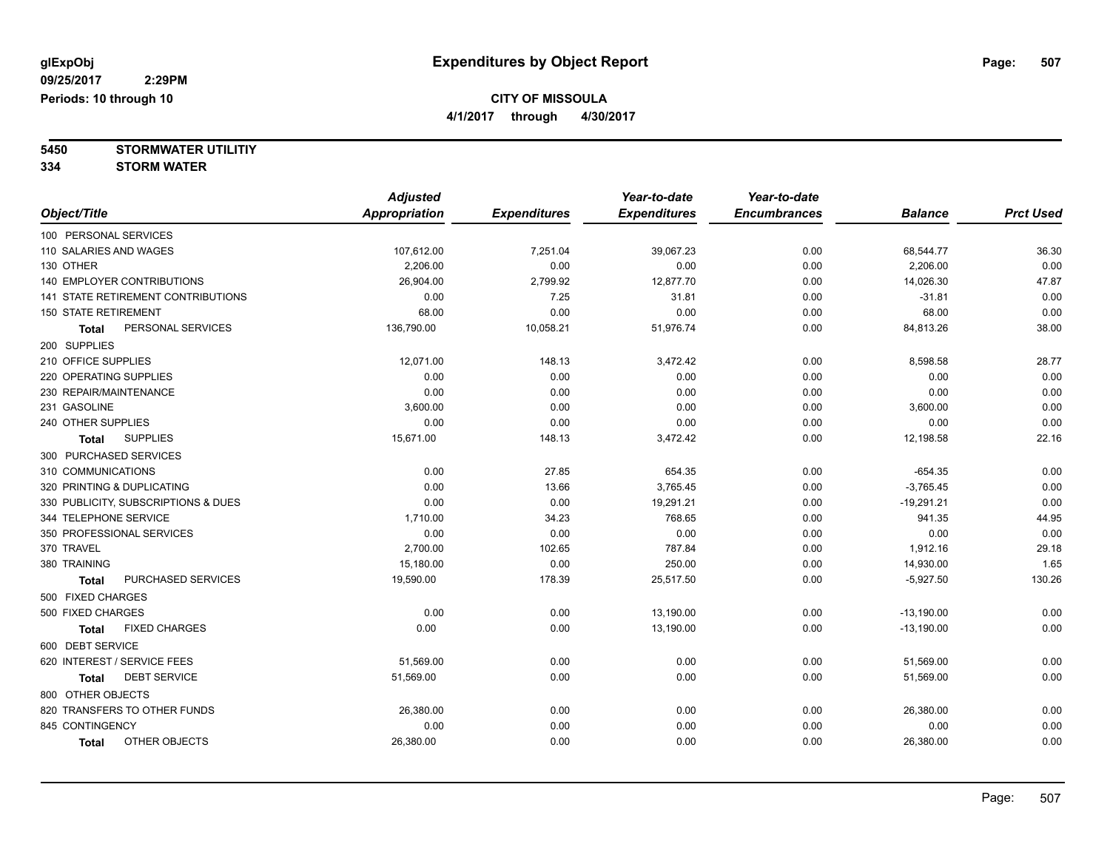**4/1/2017 through 4/30/2017**

**5450 STORMWATER UTILITIY**

**334 STORM WATER**

|                                           | <b>Adjusted</b>      |                     | Year-to-date        | Year-to-date        |                |                  |
|-------------------------------------------|----------------------|---------------------|---------------------|---------------------|----------------|------------------|
| Object/Title                              | <b>Appropriation</b> | <b>Expenditures</b> | <b>Expenditures</b> | <b>Encumbrances</b> | <b>Balance</b> | <b>Prct Used</b> |
| 100 PERSONAL SERVICES                     |                      |                     |                     |                     |                |                  |
| 110 SALARIES AND WAGES                    | 107,612.00           | 7,251.04            | 39,067.23           | 0.00                | 68,544.77      | 36.30            |
| 130 OTHER                                 | 2,206.00             | 0.00                | 0.00                | 0.00                | 2,206.00       | 0.00             |
| 140 EMPLOYER CONTRIBUTIONS                | 26,904.00            | 2,799.92            | 12,877.70           | 0.00                | 14,026.30      | 47.87            |
| <b>141 STATE RETIREMENT CONTRIBUTIONS</b> | 0.00                 | 7.25                | 31.81               | 0.00                | $-31.81$       | 0.00             |
| <b>150 STATE RETIREMENT</b>               | 68.00                | 0.00                | 0.00                | 0.00                | 68.00          | 0.00             |
| PERSONAL SERVICES<br><b>Total</b>         | 136,790.00           | 10,058.21           | 51,976.74           | 0.00                | 84,813.26      | 38.00            |
| 200 SUPPLIES                              |                      |                     |                     |                     |                |                  |
| 210 OFFICE SUPPLIES                       | 12,071.00            | 148.13              | 3,472.42            | 0.00                | 8,598.58       | 28.77            |
| 220 OPERATING SUPPLIES                    | 0.00                 | 0.00                | 0.00                | 0.00                | 0.00           | 0.00             |
| 230 REPAIR/MAINTENANCE                    | 0.00                 | 0.00                | 0.00                | 0.00                | 0.00           | 0.00             |
| 231 GASOLINE                              | 3,600.00             | 0.00                | 0.00                | 0.00                | 3,600.00       | 0.00             |
| 240 OTHER SUPPLIES                        | 0.00                 | 0.00                | 0.00                | 0.00                | 0.00           | 0.00             |
| <b>SUPPLIES</b><br>Total                  | 15,671.00            | 148.13              | 3,472.42            | 0.00                | 12,198.58      | 22.16            |
| 300 PURCHASED SERVICES                    |                      |                     |                     |                     |                |                  |
| 310 COMMUNICATIONS                        | 0.00                 | 27.85               | 654.35              | 0.00                | $-654.35$      | 0.00             |
| 320 PRINTING & DUPLICATING                | 0.00                 | 13.66               | 3,765.45            | 0.00                | $-3,765.45$    | 0.00             |
| 330 PUBLICITY, SUBSCRIPTIONS & DUES       | 0.00                 | 0.00                | 19,291.21           | 0.00                | $-19,291.21$   | 0.00             |
| 344 TELEPHONE SERVICE                     | 1,710.00             | 34.23               | 768.65              | 0.00                | 941.35         | 44.95            |
| 350 PROFESSIONAL SERVICES                 | 0.00                 | 0.00                | 0.00                | 0.00                | 0.00           | 0.00             |
| 370 TRAVEL                                | 2,700.00             | 102.65              | 787.84              | 0.00                | 1,912.16       | 29.18            |
| 380 TRAINING                              | 15,180.00            | 0.00                | 250.00              | 0.00                | 14,930.00      | 1.65             |
| PURCHASED SERVICES<br><b>Total</b>        | 19,590.00            | 178.39              | 25,517.50           | 0.00                | $-5,927.50$    | 130.26           |
| 500 FIXED CHARGES                         |                      |                     |                     |                     |                |                  |
| 500 FIXED CHARGES                         | 0.00                 | 0.00                | 13,190.00           | 0.00                | $-13,190.00$   | 0.00             |
| <b>FIXED CHARGES</b><br><b>Total</b>      | 0.00                 | 0.00                | 13,190.00           | 0.00                | $-13,190.00$   | 0.00             |
| 600 DEBT SERVICE                          |                      |                     |                     |                     |                |                  |
| 620 INTEREST / SERVICE FEES               | 51,569.00            | 0.00                | 0.00                | 0.00                | 51,569.00      | 0.00             |
| <b>DEBT SERVICE</b><br><b>Total</b>       | 51,569.00            | 0.00                | 0.00                | 0.00                | 51,569.00      | 0.00             |
| 800 OTHER OBJECTS                         |                      |                     |                     |                     |                |                  |
| 820 TRANSFERS TO OTHER FUNDS              | 26,380.00            | 0.00                | 0.00                | 0.00                | 26,380.00      | 0.00             |
| 845 CONTINGENCY                           | 0.00                 | 0.00                | 0.00                | 0.00                | 0.00           | 0.00             |
| OTHER OBJECTS<br><b>Total</b>             | 26,380.00            | 0.00                | 0.00                | 0.00                | 26,380.00      | 0.00             |
|                                           |                      |                     |                     |                     |                |                  |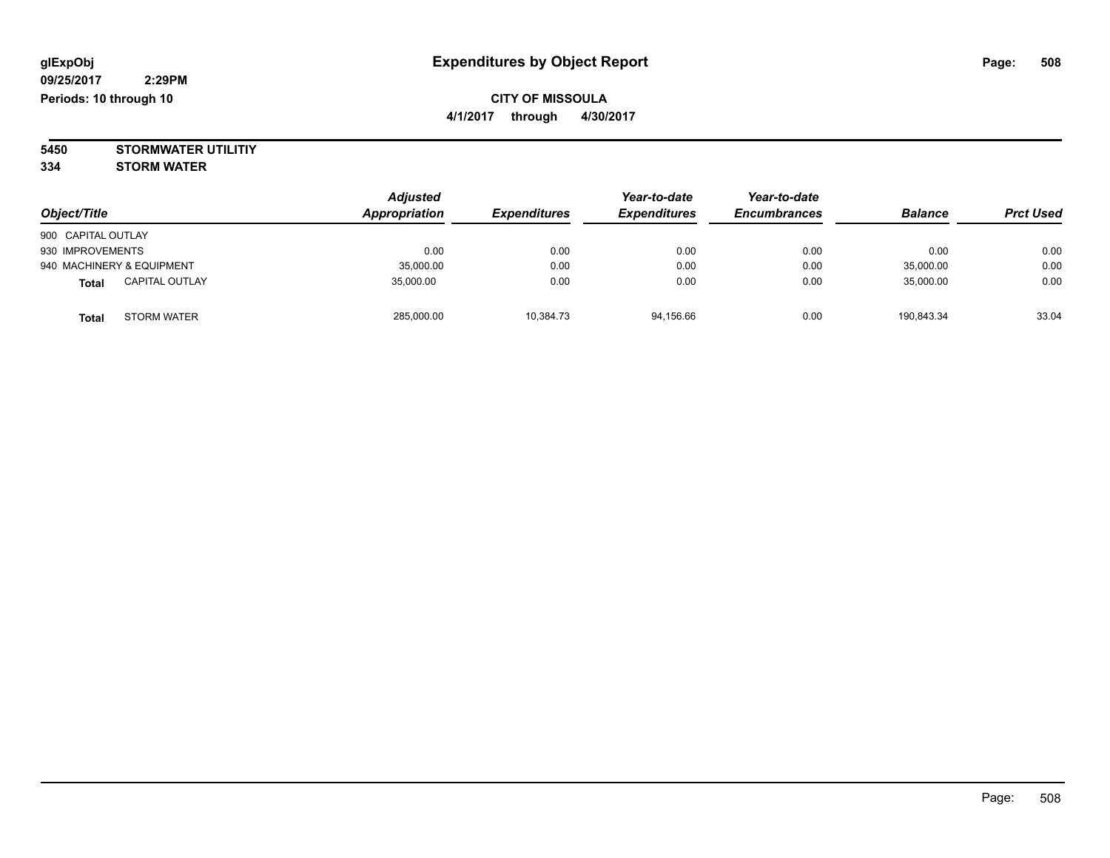**5450 STORMWATER UTILITIY 334 STORM WATER**

| Object/Title                          | <b>Adjusted</b><br>Appropriation | <b>Expenditures</b> | Year-to-date<br><b>Expenditures</b> | Year-to-date<br><b>Encumbrances</b> | <b>Balance</b> | <b>Prct Used</b> |
|---------------------------------------|----------------------------------|---------------------|-------------------------------------|-------------------------------------|----------------|------------------|
| 900 CAPITAL OUTLAY                    |                                  |                     |                                     |                                     |                |                  |
| 930 IMPROVEMENTS                      | 0.00                             | 0.00                | 0.00                                | 0.00                                | 0.00           | 0.00             |
| 940 MACHINERY & EQUIPMENT             | 35,000.00                        | 0.00                | 0.00                                | 0.00                                | 35,000.00      | 0.00             |
| <b>CAPITAL OUTLAY</b><br><b>Total</b> | 35.000.00                        | 0.00                | 0.00                                | 0.00                                | 35,000.00      | 0.00             |
| STORM WATER<br><b>Total</b>           | 285,000.00                       | 10,384.73           | 94,156.66                           | 0.00                                | 190.843.34     | 33.04            |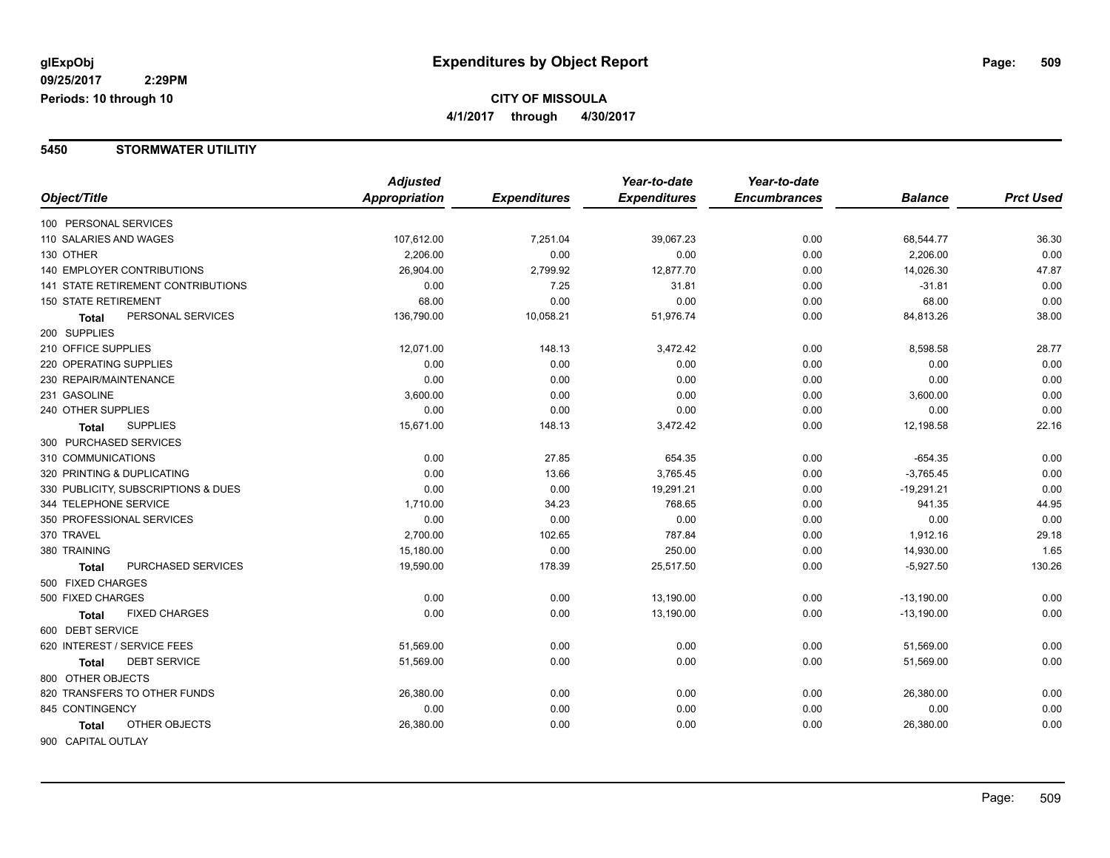#### **5450 STORMWATER UTILITIY**

|                                           | <b>Adjusted</b> |                     | Year-to-date        | Year-to-date        |                |                  |
|-------------------------------------------|-----------------|---------------------|---------------------|---------------------|----------------|------------------|
| Object/Title                              | Appropriation   | <b>Expenditures</b> | <b>Expenditures</b> | <b>Encumbrances</b> | <b>Balance</b> | <b>Prct Used</b> |
| 100 PERSONAL SERVICES                     |                 |                     |                     |                     |                |                  |
| 110 SALARIES AND WAGES                    | 107,612.00      | 7,251.04            | 39,067.23           | 0.00                | 68,544.77      | 36.30            |
| 130 OTHER                                 | 2,206.00        | 0.00                | 0.00                | 0.00                | 2,206.00       | 0.00             |
| <b>140 EMPLOYER CONTRIBUTIONS</b>         | 26,904.00       | 2,799.92            | 12,877.70           | 0.00                | 14,026.30      | 47.87            |
| <b>141 STATE RETIREMENT CONTRIBUTIONS</b> | 0.00            | 7.25                | 31.81               | 0.00                | $-31.81$       | 0.00             |
| <b>150 STATE RETIREMENT</b>               | 68.00           | 0.00                | 0.00                | 0.00                | 68.00          | 0.00             |
| PERSONAL SERVICES<br>Total                | 136,790.00      | 10,058.21           | 51,976.74           | 0.00                | 84,813.26      | 38.00            |
| 200 SUPPLIES                              |                 |                     |                     |                     |                |                  |
| 210 OFFICE SUPPLIES                       | 12,071.00       | 148.13              | 3,472.42            | 0.00                | 8,598.58       | 28.77            |
| 220 OPERATING SUPPLIES                    | 0.00            | 0.00                | 0.00                | 0.00                | 0.00           | 0.00             |
| 230 REPAIR/MAINTENANCE                    | 0.00            | 0.00                | 0.00                | 0.00                | 0.00           | 0.00             |
| 231 GASOLINE                              | 3,600.00        | 0.00                | 0.00                | 0.00                | 3,600.00       | 0.00             |
| 240 OTHER SUPPLIES                        | 0.00            | 0.00                | 0.00                | 0.00                | 0.00           | 0.00             |
| <b>SUPPLIES</b><br>Total                  | 15,671.00       | 148.13              | 3,472.42            | 0.00                | 12,198.58      | 22.16            |
| 300 PURCHASED SERVICES                    |                 |                     |                     |                     |                |                  |
| 310 COMMUNICATIONS                        | 0.00            | 27.85               | 654.35              | 0.00                | $-654.35$      | 0.00             |
| 320 PRINTING & DUPLICATING                | 0.00            | 13.66               | 3,765.45            | 0.00                | $-3,765.45$    | 0.00             |
| 330 PUBLICITY, SUBSCRIPTIONS & DUES       | 0.00            | 0.00                | 19,291.21           | 0.00                | $-19,291.21$   | 0.00             |
| 344 TELEPHONE SERVICE                     | 1,710.00        | 34.23               | 768.65              | 0.00                | 941.35         | 44.95            |
| 350 PROFESSIONAL SERVICES                 | 0.00            | 0.00                | 0.00                | 0.00                | 0.00           | 0.00             |
| 370 TRAVEL                                | 2,700.00        | 102.65              | 787.84              | 0.00                | 1,912.16       | 29.18            |
| 380 TRAINING                              | 15,180.00       | 0.00                | 250.00              | 0.00                | 14,930.00      | 1.65             |
| PURCHASED SERVICES<br>Total               | 19,590.00       | 178.39              | 25,517.50           | 0.00                | $-5,927.50$    | 130.26           |
| 500 FIXED CHARGES                         |                 |                     |                     |                     |                |                  |
| 500 FIXED CHARGES                         | 0.00            | 0.00                | 13,190.00           | 0.00                | $-13,190.00$   | 0.00             |
| <b>FIXED CHARGES</b><br>Total             | 0.00            | 0.00                | 13,190.00           | 0.00                | $-13,190.00$   | 0.00             |
| 600 DEBT SERVICE                          |                 |                     |                     |                     |                |                  |
| 620 INTEREST / SERVICE FEES               | 51,569.00       | 0.00                | 0.00                | 0.00                | 51,569.00      | 0.00             |
| <b>DEBT SERVICE</b><br><b>Total</b>       | 51,569.00       | 0.00                | 0.00                | 0.00                | 51,569.00      | 0.00             |
| 800 OTHER OBJECTS                         |                 |                     |                     |                     |                |                  |
| 820 TRANSFERS TO OTHER FUNDS              | 26,380.00       | 0.00                | 0.00                | 0.00                | 26,380.00      | 0.00             |
| 845 CONTINGENCY                           | 0.00            | 0.00                | 0.00                | 0.00                | 0.00           | 0.00             |
| OTHER OBJECTS<br><b>Total</b>             | 26,380.00       | 0.00                | 0.00                | 0.00                | 26,380.00      | 0.00             |
| 900 CAPITAL OUTLAY                        |                 |                     |                     |                     |                |                  |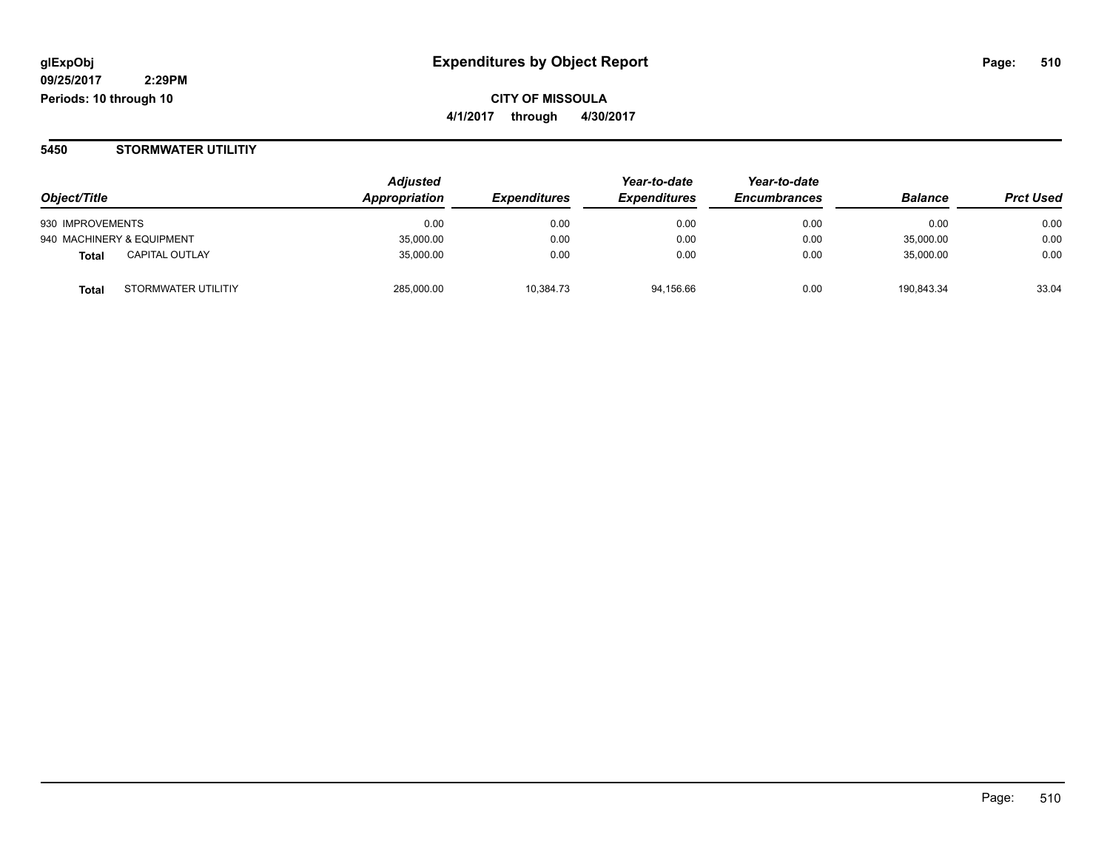#### **5450 STORMWATER UTILITIY**

|                                | <b>Adjusted</b> | <b>Expenditures</b> | Year-to-date        | Year-to-date<br><b>Encumbrances</b> | <b>Balance</b> | <b>Prct Used</b> |
|--------------------------------|-----------------|---------------------|---------------------|-------------------------------------|----------------|------------------|
| Object/Title                   | Appropriation   |                     | <b>Expenditures</b> |                                     |                |                  |
| 930 IMPROVEMENTS               | 0.00            | 0.00                | 0.00                | 0.00                                | 0.00           | 0.00             |
| 940 MACHINERY & EQUIPMENT      | 35.000.00       | 0.00                | 0.00                | 0.00                                | 35,000.00      | 0.00             |
| <b>CAPITAL OUTLAY</b><br>Total | 35.000.00       | 0.00                | 0.00                | 0.00                                | 35,000.00      | 0.00             |
| STORMWATER UTILITIY<br>Total   | 285,000.00      | 10,384.73           | 94,156.66           | 0.00                                | 190.843.34     | 33.04            |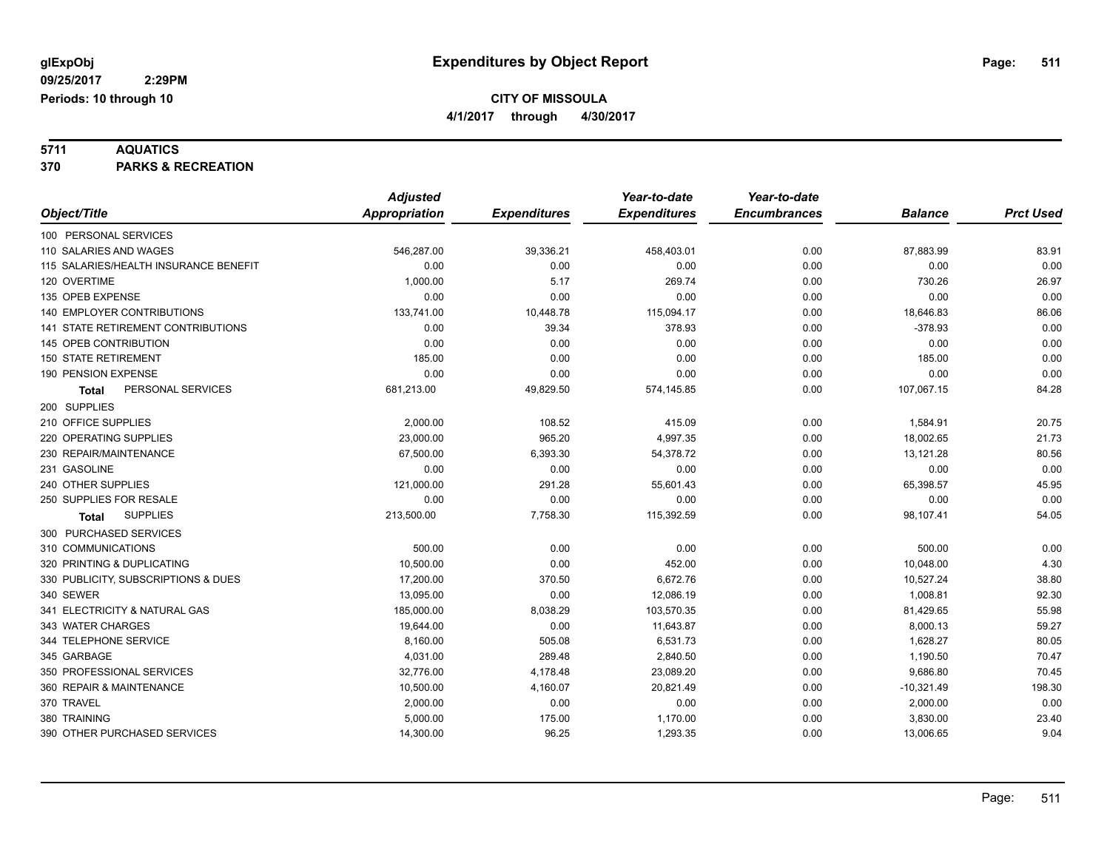**5711 AQUATICS 370 PARKS & RECREATION**

|                                       | <b>Adjusted</b>      |                     | Year-to-date        | Year-to-date        |                |                  |
|---------------------------------------|----------------------|---------------------|---------------------|---------------------|----------------|------------------|
| Object/Title                          | <b>Appropriation</b> | <b>Expenditures</b> | <b>Expenditures</b> | <b>Encumbrances</b> | <b>Balance</b> | <b>Prct Used</b> |
| 100 PERSONAL SERVICES                 |                      |                     |                     |                     |                |                  |
| 110 SALARIES AND WAGES                | 546,287.00           | 39,336.21           | 458,403.01          | 0.00                | 87,883.99      | 83.91            |
| 115 SALARIES/HEALTH INSURANCE BENEFIT | 0.00                 | 0.00                | 0.00                | 0.00                | 0.00           | 0.00             |
| 120 OVERTIME                          | 1,000.00             | 5.17                | 269.74              | 0.00                | 730.26         | 26.97            |
| 135 OPEB EXPENSE                      | 0.00                 | 0.00                | 0.00                | 0.00                | 0.00           | 0.00             |
| <b>140 EMPLOYER CONTRIBUTIONS</b>     | 133,741.00           | 10,448.78           | 115,094.17          | 0.00                | 18,646.83      | 86.06            |
| 141 STATE RETIREMENT CONTRIBUTIONS    | 0.00                 | 39.34               | 378.93              | 0.00                | $-378.93$      | 0.00             |
| <b>145 OPEB CONTRIBUTION</b>          | 0.00                 | 0.00                | 0.00                | 0.00                | 0.00           | 0.00             |
| <b>150 STATE RETIREMENT</b>           | 185.00               | 0.00                | 0.00                | 0.00                | 185.00         | 0.00             |
| 190 PENSION EXPENSE                   | 0.00                 | 0.00                | 0.00                | 0.00                | 0.00           | 0.00             |
| PERSONAL SERVICES<br><b>Total</b>     | 681,213.00           | 49,829.50           | 574,145.85          | 0.00                | 107,067.15     | 84.28            |
| 200 SUPPLIES                          |                      |                     |                     |                     |                |                  |
| 210 OFFICE SUPPLIES                   | 2,000.00             | 108.52              | 415.09              | 0.00                | 1,584.91       | 20.75            |
| 220 OPERATING SUPPLIES                | 23,000.00            | 965.20              | 4,997.35            | 0.00                | 18,002.65      | 21.73            |
| 230 REPAIR/MAINTENANCE                | 67,500.00            | 6,393.30            | 54,378.72           | 0.00                | 13,121.28      | 80.56            |
| 231 GASOLINE                          | 0.00                 | 0.00                | 0.00                | 0.00                | 0.00           | 0.00             |
| 240 OTHER SUPPLIES                    | 121,000.00           | 291.28              | 55,601.43           | 0.00                | 65,398.57      | 45.95            |
| 250 SUPPLIES FOR RESALE               | 0.00                 | 0.00                | 0.00                | 0.00                | 0.00           | 0.00             |
| <b>SUPPLIES</b><br><b>Total</b>       | 213,500.00           | 7,758.30            | 115,392.59          | 0.00                | 98,107.41      | 54.05            |
| 300 PURCHASED SERVICES                |                      |                     |                     |                     |                |                  |
| 310 COMMUNICATIONS                    | 500.00               | 0.00                | 0.00                | 0.00                | 500.00         | 0.00             |
| 320 PRINTING & DUPLICATING            | 10,500.00            | 0.00                | 452.00              | 0.00                | 10,048.00      | 4.30             |
| 330 PUBLICITY, SUBSCRIPTIONS & DUES   | 17,200.00            | 370.50              | 6,672.76            | 0.00                | 10,527.24      | 38.80            |
| 340 SEWER                             | 13,095.00            | 0.00                | 12,086.19           | 0.00                | 1,008.81       | 92.30            |
| 341 ELECTRICITY & NATURAL GAS         | 185,000.00           | 8,038.29            | 103,570.35          | 0.00                | 81,429.65      | 55.98            |
| 343 WATER CHARGES                     | 19,644.00            | 0.00                | 11,643.87           | 0.00                | 8,000.13       | 59.27            |
| 344 TELEPHONE SERVICE                 | 8,160.00             | 505.08              | 6,531.73            | 0.00                | 1,628.27       | 80.05            |
| 345 GARBAGE                           | 4,031.00             | 289.48              | 2,840.50            | 0.00                | 1,190.50       | 70.47            |
| 350 PROFESSIONAL SERVICES             | 32,776.00            | 4,178.48            | 23,089.20           | 0.00                | 9,686.80       | 70.45            |
| 360 REPAIR & MAINTENANCE              | 10,500.00            | 4,160.07            | 20,821.49           | 0.00                | $-10,321.49$   | 198.30           |
| 370 TRAVEL                            | 2,000.00             | 0.00                | 0.00                | 0.00                | 2,000.00       | 0.00             |
| 380 TRAINING                          | 5,000.00             | 175.00              | 1,170.00            | 0.00                | 3,830.00       | 23.40            |
| 390 OTHER PURCHASED SERVICES          | 14,300.00            | 96.25               | 1,293.35            | 0.00                | 13,006.65      | 9.04             |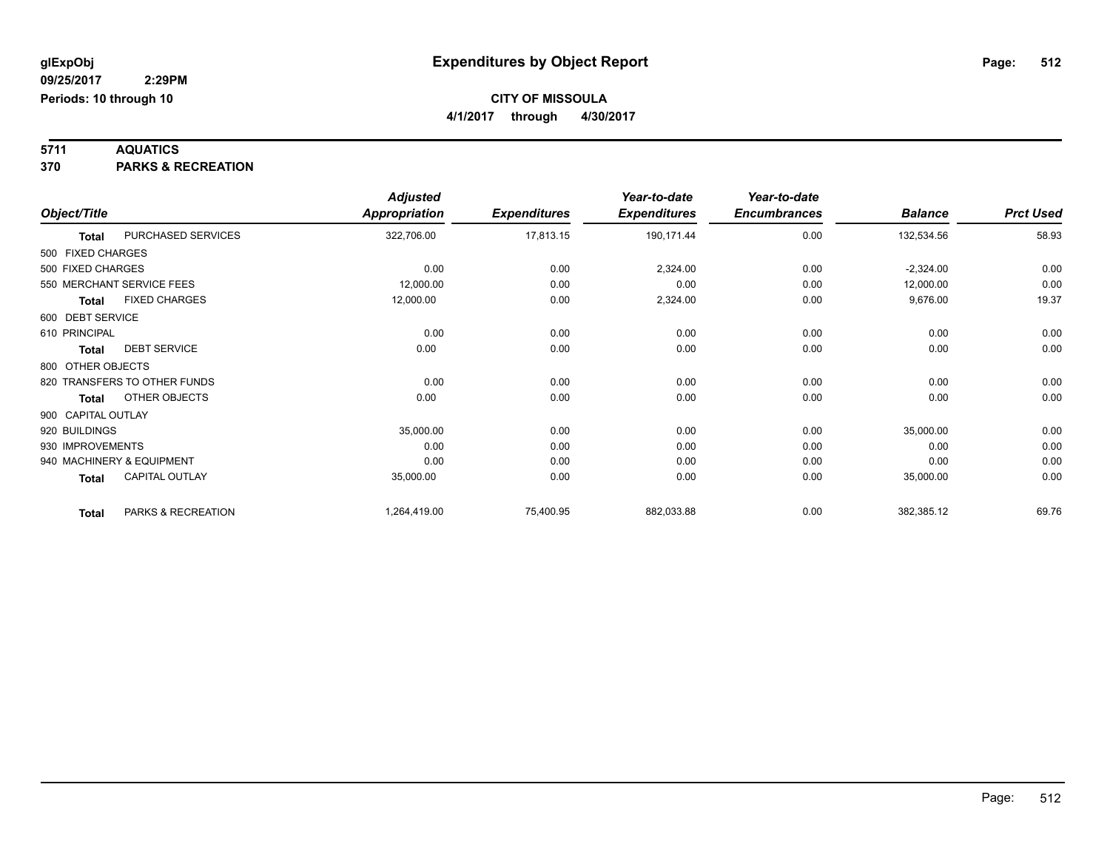**5711 AQUATICS 370 PARKS & RECREATION**

|                    |                              | <b>Adjusted</b>      |                     | Year-to-date        | Year-to-date        |                |                  |
|--------------------|------------------------------|----------------------|---------------------|---------------------|---------------------|----------------|------------------|
| Object/Title       |                              | <b>Appropriation</b> | <b>Expenditures</b> | <b>Expenditures</b> | <b>Encumbrances</b> | <b>Balance</b> | <b>Prct Used</b> |
| <b>Total</b>       | PURCHASED SERVICES           | 322,706.00           | 17,813.15           | 190,171.44          | 0.00                | 132,534.56     | 58.93            |
| 500 FIXED CHARGES  |                              |                      |                     |                     |                     |                |                  |
| 500 FIXED CHARGES  |                              | 0.00                 | 0.00                | 2,324.00            | 0.00                | $-2,324.00$    | 0.00             |
|                    | 550 MERCHANT SERVICE FEES    | 12,000.00            | 0.00                | 0.00                | 0.00                | 12,000.00      | 0.00             |
| <b>Total</b>       | <b>FIXED CHARGES</b>         | 12,000.00            | 0.00                | 2,324.00            | 0.00                | 9,676.00       | 19.37            |
| 600 DEBT SERVICE   |                              |                      |                     |                     |                     |                |                  |
| 610 PRINCIPAL      |                              | 0.00                 | 0.00                | 0.00                | 0.00                | 0.00           | 0.00             |
| <b>Total</b>       | <b>DEBT SERVICE</b>          | 0.00                 | 0.00                | 0.00                | 0.00                | 0.00           | 0.00             |
| 800 OTHER OBJECTS  |                              |                      |                     |                     |                     |                |                  |
|                    | 820 TRANSFERS TO OTHER FUNDS | 0.00                 | 0.00                | 0.00                | 0.00                | 0.00           | 0.00             |
| <b>Total</b>       | OTHER OBJECTS                | 0.00                 | 0.00                | 0.00                | 0.00                | 0.00           | 0.00             |
| 900 CAPITAL OUTLAY |                              |                      |                     |                     |                     |                |                  |
| 920 BUILDINGS      |                              | 35,000.00            | 0.00                | 0.00                | 0.00                | 35,000.00      | 0.00             |
| 930 IMPROVEMENTS   |                              | 0.00                 | 0.00                | 0.00                | 0.00                | 0.00           | 0.00             |
|                    | 940 MACHINERY & EQUIPMENT    | 0.00                 | 0.00                | 0.00                | 0.00                | 0.00           | 0.00             |
| <b>Total</b>       | CAPITAL OUTLAY               | 35,000.00            | 0.00                | 0.00                | 0.00                | 35,000.00      | 0.00             |
| <b>Total</b>       | PARKS & RECREATION           | 1,264,419.00         | 75,400.95           | 882,033.88          | 0.00                | 382,385.12     | 69.76            |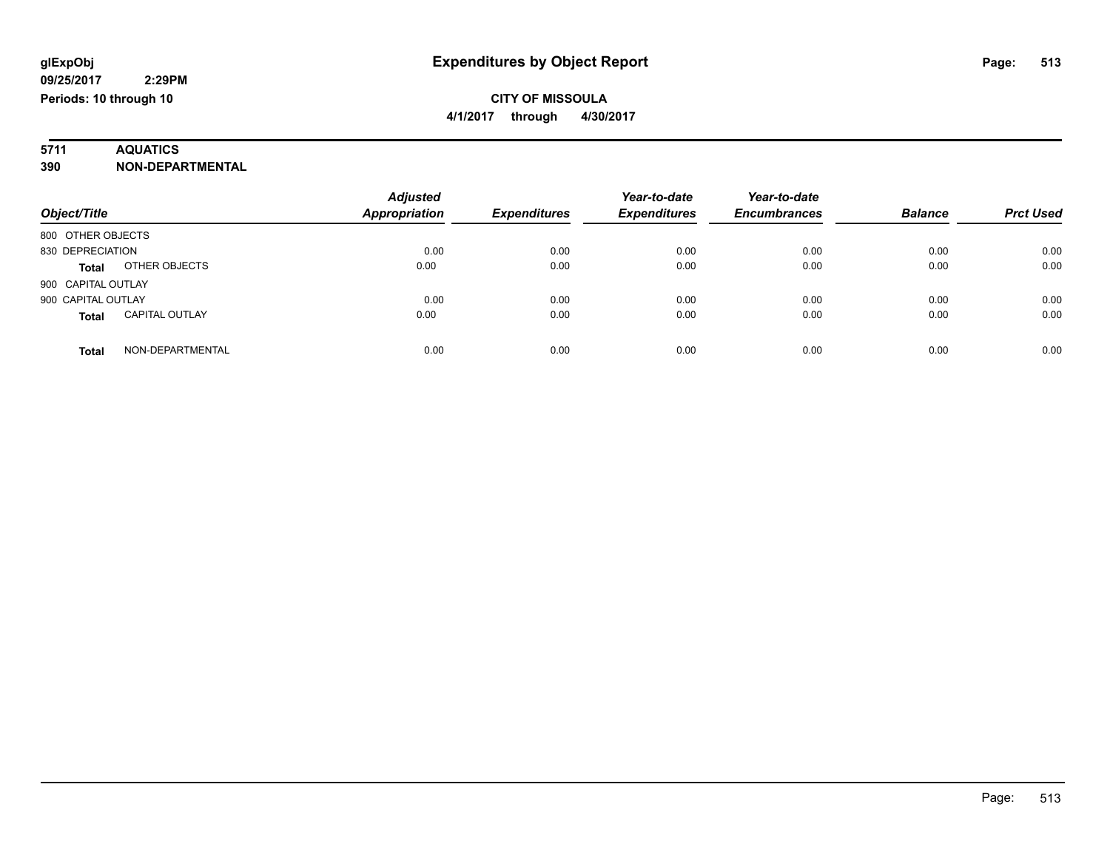# **5711 AQUATICS**

### **390 NON-DEPARTMENTAL**

| Object/Title                          | <b>Adjusted</b><br><b>Appropriation</b> | <b>Expenditures</b> | Year-to-date<br><b>Expenditures</b> | Year-to-date<br><b>Encumbrances</b> | <b>Balance</b> | <b>Prct Used</b> |
|---------------------------------------|-----------------------------------------|---------------------|-------------------------------------|-------------------------------------|----------------|------------------|
| 800 OTHER OBJECTS                     |                                         |                     |                                     |                                     |                |                  |
| 830 DEPRECIATION                      | 0.00                                    | 0.00                | 0.00                                | 0.00                                | 0.00           | 0.00             |
| OTHER OBJECTS<br><b>Total</b>         | 0.00                                    | 0.00                | 0.00                                | 0.00                                | 0.00           | 0.00             |
| 900 CAPITAL OUTLAY                    |                                         |                     |                                     |                                     |                |                  |
| 900 CAPITAL OUTLAY                    | 0.00                                    | 0.00                | 0.00                                | 0.00                                | 0.00           | 0.00             |
| <b>CAPITAL OUTLAY</b><br><b>Total</b> | 0.00                                    | 0.00                | 0.00                                | 0.00                                | 0.00           | 0.00             |
| NON-DEPARTMENTAL<br>Total             | 0.00                                    | 0.00                | 0.00                                | 0.00                                | 0.00           | 0.00             |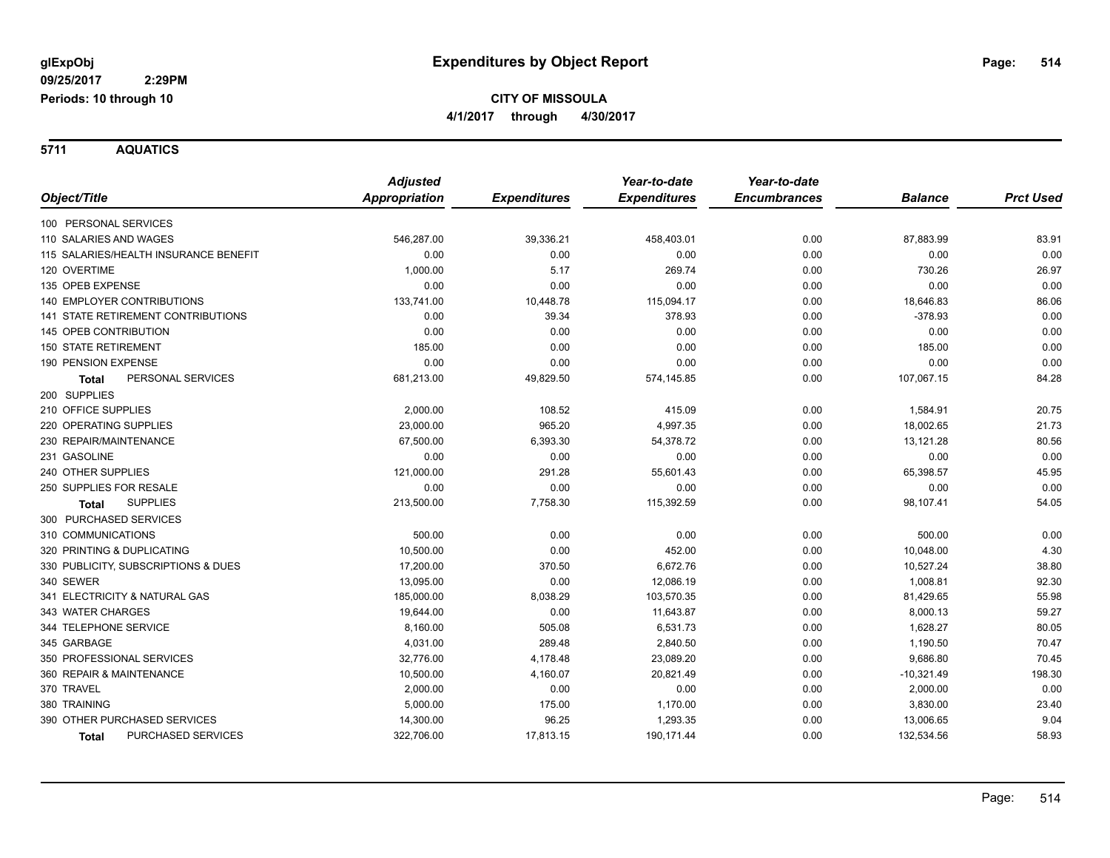**Periods: 10 through 10**

 **2:29PM**

### **CITY OF MISSOULA 4/1/2017 through 4/30/2017**

**5711 AQUATICS**

|                                           | <b>Adjusted</b> |                     | Year-to-date        | Year-to-date        |                |                  |
|-------------------------------------------|-----------------|---------------------|---------------------|---------------------|----------------|------------------|
| Object/Title                              | Appropriation   | <b>Expenditures</b> | <b>Expenditures</b> | <b>Encumbrances</b> | <b>Balance</b> | <b>Prct Used</b> |
| 100 PERSONAL SERVICES                     |                 |                     |                     |                     |                |                  |
| 110 SALARIES AND WAGES                    | 546,287.00      | 39,336.21           | 458,403.01          | 0.00                | 87,883.99      | 83.91            |
| 115 SALARIES/HEALTH INSURANCE BENEFIT     | 0.00            | 0.00                | 0.00                | 0.00                | 0.00           | 0.00             |
| 120 OVERTIME                              | 1,000.00        | 5.17                | 269.74              | 0.00                | 730.26         | 26.97            |
| 135 OPEB EXPENSE                          | 0.00            | 0.00                | 0.00                | 0.00                | 0.00           | 0.00             |
| <b>140 EMPLOYER CONTRIBUTIONS</b>         | 133,741.00      | 10,448.78           | 115,094.17          | 0.00                | 18,646.83      | 86.06            |
| <b>141 STATE RETIREMENT CONTRIBUTIONS</b> | 0.00            | 39.34               | 378.93              | 0.00                | $-378.93$      | 0.00             |
| 145 OPEB CONTRIBUTION                     | 0.00            | 0.00                | 0.00                | 0.00                | 0.00           | 0.00             |
| <b>150 STATE RETIREMENT</b>               | 185.00          | 0.00                | 0.00                | 0.00                | 185.00         | 0.00             |
| 190 PENSION EXPENSE                       | 0.00            | 0.00                | 0.00                | 0.00                | 0.00           | 0.00             |
| PERSONAL SERVICES<br><b>Total</b>         | 681,213.00      | 49,829.50           | 574,145.85          | 0.00                | 107,067.15     | 84.28            |
| 200 SUPPLIES                              |                 |                     |                     |                     |                |                  |
| 210 OFFICE SUPPLIES                       | 2,000.00        | 108.52              | 415.09              | 0.00                | 1,584.91       | 20.75            |
| 220 OPERATING SUPPLIES                    | 23,000.00       | 965.20              | 4,997.35            | 0.00                | 18,002.65      | 21.73            |
| 230 REPAIR/MAINTENANCE                    | 67,500.00       | 6,393.30            | 54,378.72           | 0.00                | 13,121.28      | 80.56            |
| 231 GASOLINE                              | 0.00            | 0.00                | 0.00                | 0.00                | 0.00           | 0.00             |
| 240 OTHER SUPPLIES                        | 121,000.00      | 291.28              | 55,601.43           | 0.00                | 65,398.57      | 45.95            |
| 250 SUPPLIES FOR RESALE                   | 0.00            | 0.00                | 0.00                | 0.00                | 0.00           | 0.00             |
| <b>SUPPLIES</b><br><b>Total</b>           | 213,500.00      | 7,758.30            | 115,392.59          | 0.00                | 98,107.41      | 54.05            |
| 300 PURCHASED SERVICES                    |                 |                     |                     |                     |                |                  |
| 310 COMMUNICATIONS                        | 500.00          | 0.00                | 0.00                | 0.00                | 500.00         | 0.00             |
| 320 PRINTING & DUPLICATING                | 10,500.00       | 0.00                | 452.00              | 0.00                | 10,048.00      | 4.30             |
| 330 PUBLICITY, SUBSCRIPTIONS & DUES       | 17,200.00       | 370.50              | 6,672.76            | 0.00                | 10,527.24      | 38.80            |
| 340 SEWER                                 | 13,095.00       | 0.00                | 12,086.19           | 0.00                | 1,008.81       | 92.30            |
| 341 ELECTRICITY & NATURAL GAS             | 185,000.00      | 8,038.29            | 103,570.35          | 0.00                | 81,429.65      | 55.98            |
| 343 WATER CHARGES                         | 19,644.00       | 0.00                | 11,643.87           | 0.00                | 8,000.13       | 59.27            |
| 344 TELEPHONE SERVICE                     | 8,160.00        | 505.08              | 6,531.73            | 0.00                | 1,628.27       | 80.05            |
| 345 GARBAGE                               | 4,031.00        | 289.48              | 2,840.50            | 0.00                | 1,190.50       | 70.47            |
| 350 PROFESSIONAL SERVICES                 | 32,776.00       | 4,178.48            | 23,089.20           | 0.00                | 9,686.80       | 70.45            |
| 360 REPAIR & MAINTENANCE                  | 10,500.00       | 4,160.07            | 20,821.49           | 0.00                | $-10,321.49$   | 198.30           |
| 370 TRAVEL                                | 2,000.00        | 0.00                | 0.00                | 0.00                | 2,000.00       | 0.00             |
| 380 TRAINING                              | 5,000.00        | 175.00              | 1,170.00            | 0.00                | 3,830.00       | 23.40            |
| 390 OTHER PURCHASED SERVICES              | 14,300.00       | 96.25               | 1,293.35            | 0.00                | 13,006.65      | 9.04             |
| PURCHASED SERVICES<br><b>Total</b>        | 322,706.00      | 17,813.15           | 190,171.44          | 0.00                | 132,534.56     | 58.93            |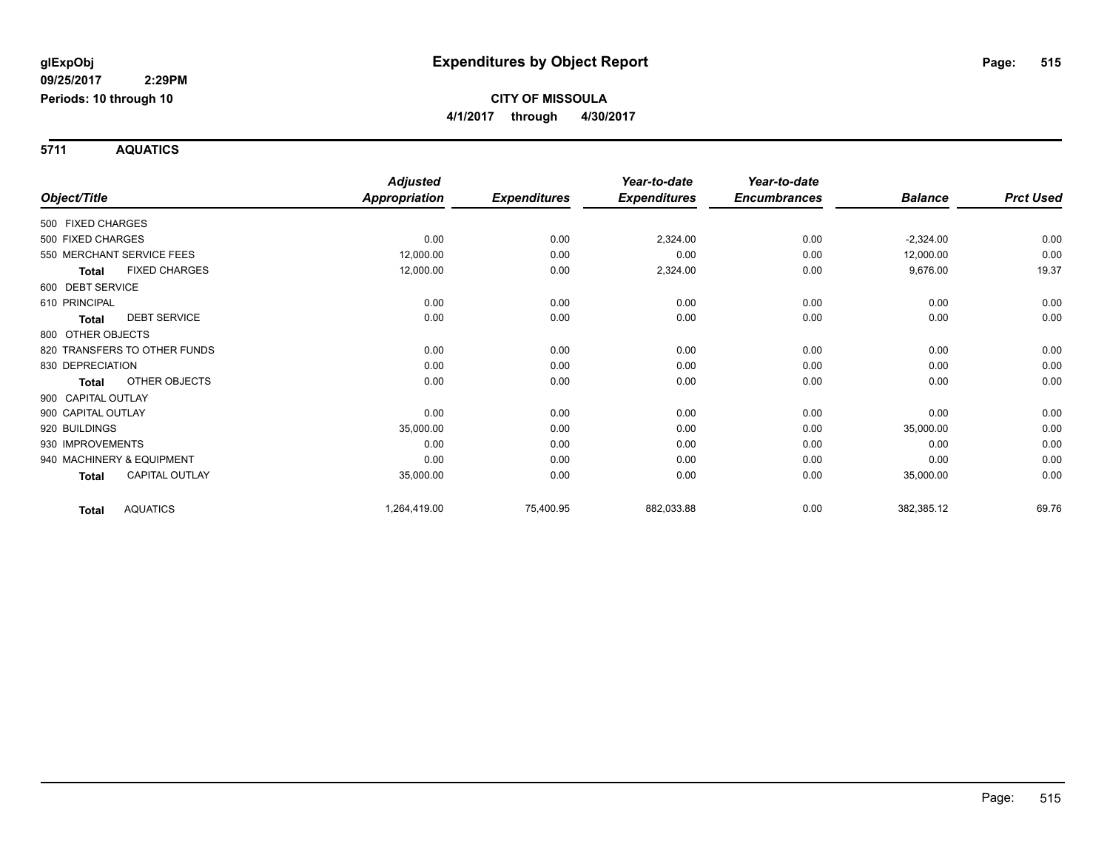**Periods: 10 through 10**

 **2:29PM**

### **CITY OF MISSOULA 4/1/2017 through 4/30/2017**

**5711 AQUATICS**

|                    |                              | <b>Adjusted</b> |                     | Year-to-date        | Year-to-date        |                |                  |
|--------------------|------------------------------|-----------------|---------------------|---------------------|---------------------|----------------|------------------|
| Object/Title       |                              | Appropriation   | <b>Expenditures</b> | <b>Expenditures</b> | <b>Encumbrances</b> | <b>Balance</b> | <b>Prct Used</b> |
| 500 FIXED CHARGES  |                              |                 |                     |                     |                     |                |                  |
| 500 FIXED CHARGES  |                              | 0.00            | 0.00                | 2,324.00            | 0.00                | $-2,324.00$    | 0.00             |
|                    | 550 MERCHANT SERVICE FEES    | 12,000.00       | 0.00                | 0.00                | 0.00                | 12,000.00      | 0.00             |
| <b>Total</b>       | <b>FIXED CHARGES</b>         | 12,000.00       | 0.00                | 2,324.00            | 0.00                | 9,676.00       | 19.37            |
| 600 DEBT SERVICE   |                              |                 |                     |                     |                     |                |                  |
| 610 PRINCIPAL      |                              | 0.00            | 0.00                | 0.00                | 0.00                | 0.00           | 0.00             |
| <b>Total</b>       | <b>DEBT SERVICE</b>          | 0.00            | 0.00                | 0.00                | 0.00                | 0.00           | 0.00             |
| 800 OTHER OBJECTS  |                              |                 |                     |                     |                     |                |                  |
|                    | 820 TRANSFERS TO OTHER FUNDS | 0.00            | 0.00                | 0.00                | 0.00                | 0.00           | 0.00             |
| 830 DEPRECIATION   |                              | 0.00            | 0.00                | 0.00                | 0.00                | 0.00           | 0.00             |
| <b>Total</b>       | OTHER OBJECTS                | 0.00            | 0.00                | 0.00                | 0.00                | 0.00           | 0.00             |
| 900 CAPITAL OUTLAY |                              |                 |                     |                     |                     |                |                  |
| 900 CAPITAL OUTLAY |                              | 0.00            | 0.00                | 0.00                | 0.00                | 0.00           | 0.00             |
| 920 BUILDINGS      |                              | 35,000.00       | 0.00                | 0.00                | 0.00                | 35,000.00      | 0.00             |
| 930 IMPROVEMENTS   |                              | 0.00            | 0.00                | 0.00                | 0.00                | 0.00           | 0.00             |
|                    | 940 MACHINERY & EQUIPMENT    | 0.00            | 0.00                | 0.00                | 0.00                | 0.00           | 0.00             |
| Total              | <b>CAPITAL OUTLAY</b>        | 35,000.00       | 0.00                | 0.00                | 0.00                | 35,000.00      | 0.00             |
| Total              | <b>AQUATICS</b>              | 1,264,419.00    | 75,400.95           | 882,033.88          | 0.00                | 382,385.12     | 69.76            |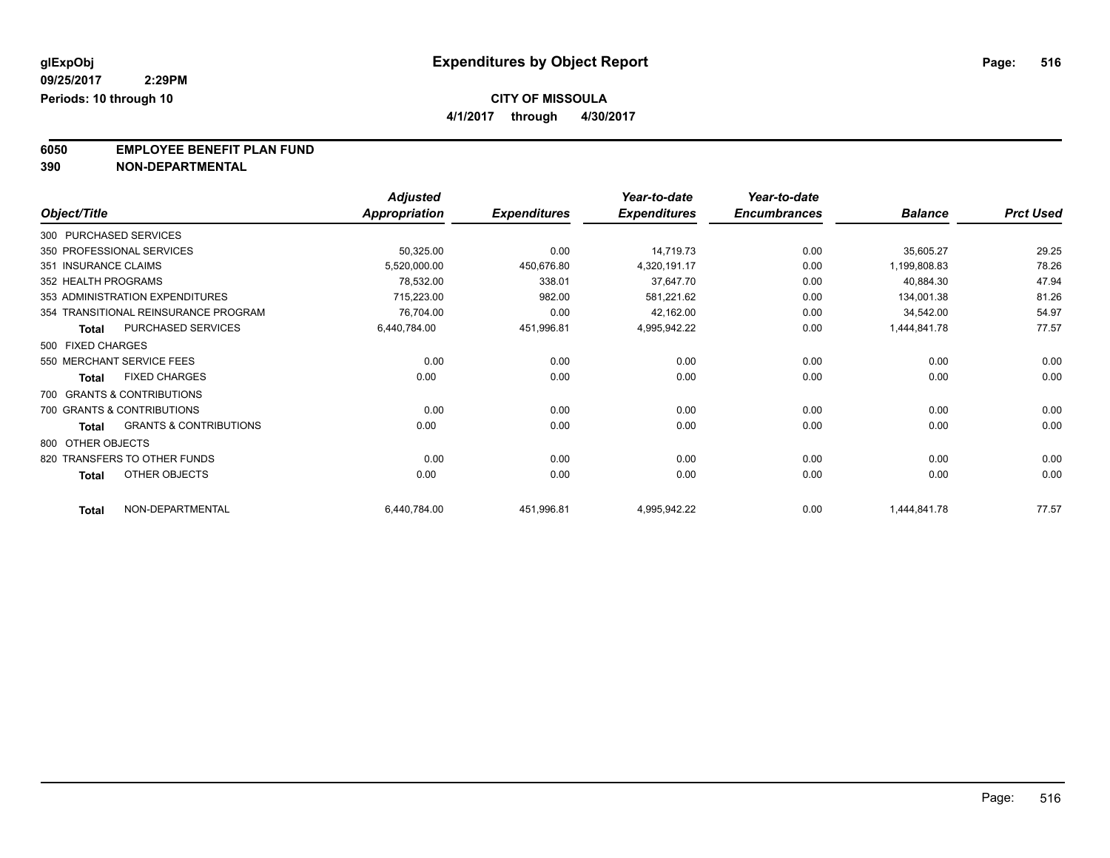**4/1/2017 through 4/30/2017**

**6050 EMPLOYEE BENEFIT PLAN FUND**<br>390 NON-DEPARTMENTAL

**390 NON-DEPARTMENTAL**

|                        |                                      | <b>Adjusted</b>      |                     | Year-to-date        | Year-to-date        |                |                  |
|------------------------|--------------------------------------|----------------------|---------------------|---------------------|---------------------|----------------|------------------|
| Object/Title           |                                      | <b>Appropriation</b> | <b>Expenditures</b> | <b>Expenditures</b> | <b>Encumbrances</b> | <b>Balance</b> | <b>Prct Used</b> |
| 300 PURCHASED SERVICES |                                      |                      |                     |                     |                     |                |                  |
|                        | 350 PROFESSIONAL SERVICES            | 50,325.00            | 0.00                | 14,719.73           | 0.00                | 35,605.27      | 29.25            |
| 351 INSURANCE CLAIMS   |                                      | 5,520,000.00         | 450,676.80          | 4,320,191.17        | 0.00                | 1,199,808.83   | 78.26            |
| 352 HEALTH PROGRAMS    |                                      | 78,532.00            | 338.01              | 37,647.70           | 0.00                | 40,884.30      | 47.94            |
|                        | 353 ADMINISTRATION EXPENDITURES      | 715,223.00           | 982.00              | 581,221.62          | 0.00                | 134,001.38     | 81.26            |
|                        | 354 TRANSITIONAL REINSURANCE PROGRAM | 76,704.00            | 0.00                | 42,162.00           | 0.00                | 34,542.00      | 54.97            |
| <b>Total</b>           | PURCHASED SERVICES                   | 6,440,784.00         | 451,996.81          | 4,995,942.22        | 0.00                | 1,444,841.78   | 77.57            |
| 500 FIXED CHARGES      |                                      |                      |                     |                     |                     |                |                  |
|                        | 550 MERCHANT SERVICE FEES            | 0.00                 | 0.00                | 0.00                | 0.00                | 0.00           | 0.00             |
| <b>Total</b>           | <b>FIXED CHARGES</b>                 | 0.00                 | 0.00                | 0.00                | 0.00                | 0.00           | 0.00             |
|                        | 700 GRANTS & CONTRIBUTIONS           |                      |                     |                     |                     |                |                  |
|                        | 700 GRANTS & CONTRIBUTIONS           | 0.00                 | 0.00                | 0.00                | 0.00                | 0.00           | 0.00             |
| <b>Total</b>           | <b>GRANTS &amp; CONTRIBUTIONS</b>    | 0.00                 | 0.00                | 0.00                | 0.00                | 0.00           | 0.00             |
| 800 OTHER OBJECTS      |                                      |                      |                     |                     |                     |                |                  |
|                        | 820 TRANSFERS TO OTHER FUNDS         | 0.00                 | 0.00                | 0.00                | 0.00                | 0.00           | 0.00             |
| <b>Total</b>           | OTHER OBJECTS                        | 0.00                 | 0.00                | 0.00                | 0.00                | 0.00           | 0.00             |
| <b>Total</b>           | NON-DEPARTMENTAL                     | 6,440,784.00         | 451,996.81          | 4,995,942.22        | 0.00                | 1,444,841.78   | 77.57            |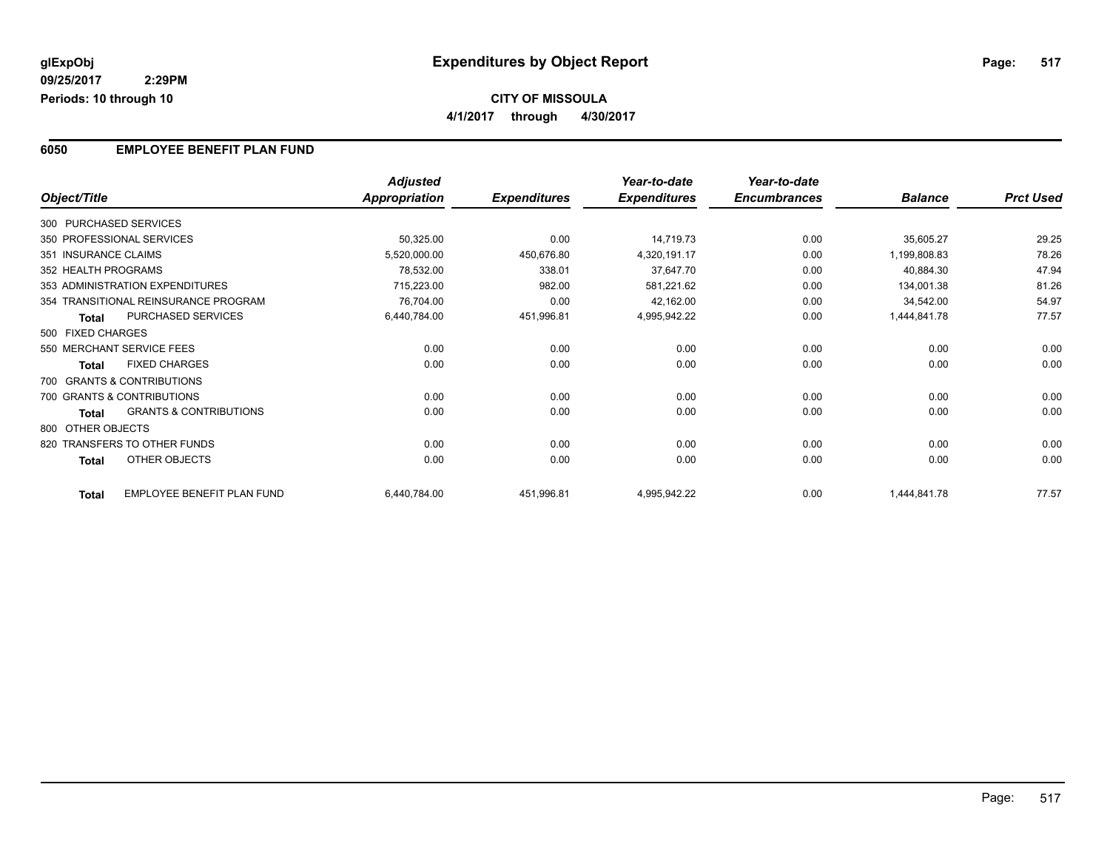### **6050 EMPLOYEE BENEFIT PLAN FUND**

|                      |                                      | <b>Adjusted</b> |                     | Year-to-date        | Year-to-date        |                |                  |
|----------------------|--------------------------------------|-----------------|---------------------|---------------------|---------------------|----------------|------------------|
| Object/Title         |                                      | Appropriation   | <b>Expenditures</b> | <b>Expenditures</b> | <b>Encumbrances</b> | <b>Balance</b> | <b>Prct Used</b> |
|                      | 300 PURCHASED SERVICES               |                 |                     |                     |                     |                |                  |
|                      | 350 PROFESSIONAL SERVICES            | 50,325.00       | 0.00                | 14,719.73           | 0.00                | 35,605.27      | 29.25            |
| 351 INSURANCE CLAIMS |                                      | 5,520,000.00    | 450,676.80          | 4,320,191.17        | 0.00                | 1,199,808.83   | 78.26            |
| 352 HEALTH PROGRAMS  |                                      | 78,532.00       | 338.01              | 37,647.70           | 0.00                | 40,884.30      | 47.94            |
|                      | 353 ADMINISTRATION EXPENDITURES      | 715,223.00      | 982.00              | 581,221.62          | 0.00                | 134,001.38     | 81.26            |
|                      | 354 TRANSITIONAL REINSURANCE PROGRAM | 76,704.00       | 0.00                | 42,162.00           | 0.00                | 34,542.00      | 54.97            |
| <b>Total</b>         | PURCHASED SERVICES                   | 6,440,784.00    | 451,996.81          | 4,995,942.22        | 0.00                | 1,444,841.78   | 77.57            |
| 500 FIXED CHARGES    |                                      |                 |                     |                     |                     |                |                  |
|                      | 550 MERCHANT SERVICE FEES            | 0.00            | 0.00                | 0.00                | 0.00                | 0.00           | 0.00             |
| <b>Total</b>         | <b>FIXED CHARGES</b>                 | 0.00            | 0.00                | 0.00                | 0.00                | 0.00           | 0.00             |
|                      | 700 GRANTS & CONTRIBUTIONS           |                 |                     |                     |                     |                |                  |
|                      | 700 GRANTS & CONTRIBUTIONS           | 0.00            | 0.00                | 0.00                | 0.00                | 0.00           | 0.00             |
| Total                | <b>GRANTS &amp; CONTRIBUTIONS</b>    | 0.00            | 0.00                | 0.00                | 0.00                | 0.00           | 0.00             |
| 800 OTHER OBJECTS    |                                      |                 |                     |                     |                     |                |                  |
|                      | 820 TRANSFERS TO OTHER FUNDS         | 0.00            | 0.00                | 0.00                | 0.00                | 0.00           | 0.00             |
| <b>Total</b>         | OTHER OBJECTS                        | 0.00            | 0.00                | 0.00                | 0.00                | 0.00           | 0.00             |
| <b>Total</b>         | EMPLOYEE BENEFIT PLAN FUND           | 6,440,784.00    | 451,996.81          | 4,995,942.22        | 0.00                | 1,444,841.78   | 77.57            |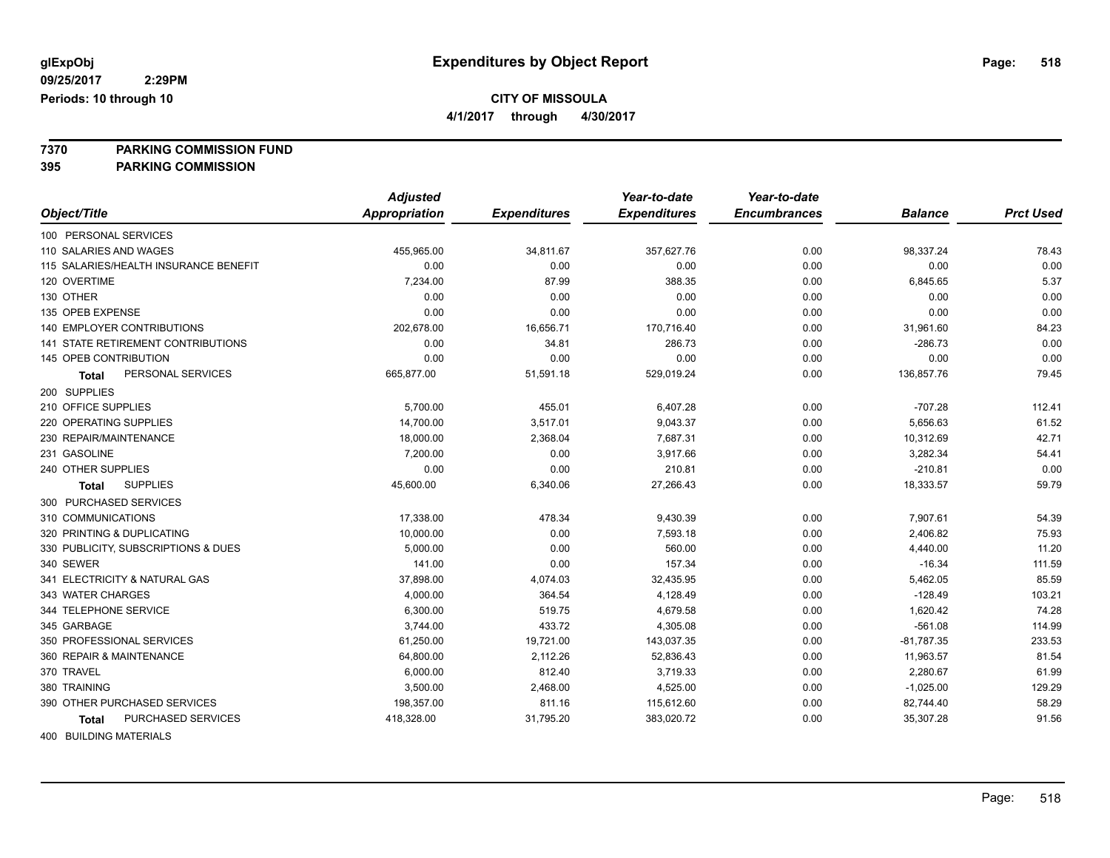**4/1/2017 through 4/30/2017**

**7370 PARKING COMMISSION FUND**

**395 PARKING COMMISSION**

|                                       | <b>Adjusted</b>      |                     | Year-to-date        | Year-to-date        |                |                  |
|---------------------------------------|----------------------|---------------------|---------------------|---------------------|----------------|------------------|
| Object/Title                          | <b>Appropriation</b> | <b>Expenditures</b> | <b>Expenditures</b> | <b>Encumbrances</b> | <b>Balance</b> | <b>Prct Used</b> |
| 100 PERSONAL SERVICES                 |                      |                     |                     |                     |                |                  |
| 110 SALARIES AND WAGES                | 455,965.00           | 34,811.67           | 357,627.76          | 0.00                | 98,337.24      | 78.43            |
| 115 SALARIES/HEALTH INSURANCE BENEFIT | 0.00                 | 0.00                | 0.00                | 0.00                | 0.00           | 0.00             |
| 120 OVERTIME                          | 7,234.00             | 87.99               | 388.35              | 0.00                | 6,845.65       | 5.37             |
| 130 OTHER                             | 0.00                 | 0.00                | 0.00                | 0.00                | 0.00           | 0.00             |
| 135 OPEB EXPENSE                      | 0.00                 | 0.00                | 0.00                | 0.00                | 0.00           | 0.00             |
| 140 EMPLOYER CONTRIBUTIONS            | 202,678.00           | 16,656.71           | 170,716.40          | 0.00                | 31,961.60      | 84.23            |
| 141 STATE RETIREMENT CONTRIBUTIONS    | 0.00                 | 34.81               | 286.73              | 0.00                | $-286.73$      | 0.00             |
| 145 OPEB CONTRIBUTION                 | 0.00                 | 0.00                | 0.00                | 0.00                | 0.00           | 0.00             |
| PERSONAL SERVICES<br><b>Total</b>     | 665,877.00           | 51,591.18           | 529,019.24          | 0.00                | 136,857.76     | 79.45            |
| 200 SUPPLIES                          |                      |                     |                     |                     |                |                  |
| 210 OFFICE SUPPLIES                   | 5,700.00             | 455.01              | 6,407.28            | 0.00                | $-707.28$      | 112.41           |
| 220 OPERATING SUPPLIES                | 14,700.00            | 3,517.01            | 9,043.37            | 0.00                | 5,656.63       | 61.52            |
| 230 REPAIR/MAINTENANCE                | 18,000.00            | 2,368.04            | 7,687.31            | 0.00                | 10,312.69      | 42.71            |
| 231 GASOLINE                          | 7,200.00             | 0.00                | 3,917.66            | 0.00                | 3,282.34       | 54.41            |
| 240 OTHER SUPPLIES                    | 0.00                 | 0.00                | 210.81              | 0.00                | $-210.81$      | 0.00             |
| <b>SUPPLIES</b><br><b>Total</b>       | 45,600.00            | 6,340.06            | 27,266.43           | 0.00                | 18,333.57      | 59.79            |
| 300 PURCHASED SERVICES                |                      |                     |                     |                     |                |                  |
| 310 COMMUNICATIONS                    | 17,338.00            | 478.34              | 9,430.39            | 0.00                | 7,907.61       | 54.39            |
| 320 PRINTING & DUPLICATING            | 10,000.00            | 0.00                | 7,593.18            | 0.00                | 2,406.82       | 75.93            |
| 330 PUBLICITY, SUBSCRIPTIONS & DUES   | 5,000.00             | 0.00                | 560.00              | 0.00                | 4,440.00       | 11.20            |
| 340 SEWER                             | 141.00               | 0.00                | 157.34              | 0.00                | $-16.34$       | 111.59           |
| 341 ELECTRICITY & NATURAL GAS         | 37,898.00            | 4,074.03            | 32,435.95           | 0.00                | 5,462.05       | 85.59            |
| 343 WATER CHARGES                     | 4,000.00             | 364.54              | 4,128.49            | 0.00                | $-128.49$      | 103.21           |
| 344 TELEPHONE SERVICE                 | 6,300.00             | 519.75              | 4,679.58            | 0.00                | 1,620.42       | 74.28            |
| 345 GARBAGE                           | 3,744.00             | 433.72              | 4,305.08            | 0.00                | $-561.08$      | 114.99           |
| 350 PROFESSIONAL SERVICES             | 61,250.00            | 19,721.00           | 143,037.35          | 0.00                | $-81,787.35$   | 233.53           |
| 360 REPAIR & MAINTENANCE              | 64,800.00            | 2,112.26            | 52,836.43           | 0.00                | 11,963.57      | 81.54            |
| 370 TRAVEL                            | 6,000.00             | 812.40              | 3,719.33            | 0.00                | 2,280.67       | 61.99            |
| 380 TRAINING                          | 3,500.00             | 2,468.00            | 4,525.00            | 0.00                | $-1,025.00$    | 129.29           |
| 390 OTHER PURCHASED SERVICES          | 198,357.00           | 811.16              | 115,612.60          | 0.00                | 82,744.40      | 58.29            |
| PURCHASED SERVICES<br>Total           | 418,328.00           | 31,795.20           | 383,020.72          | 0.00                | 35,307.28      | 91.56            |
| $100 - 51111 - 51110 - 1117 - 51110$  |                      |                     |                     |                     |                |                  |

400 BUILDING MATERIALS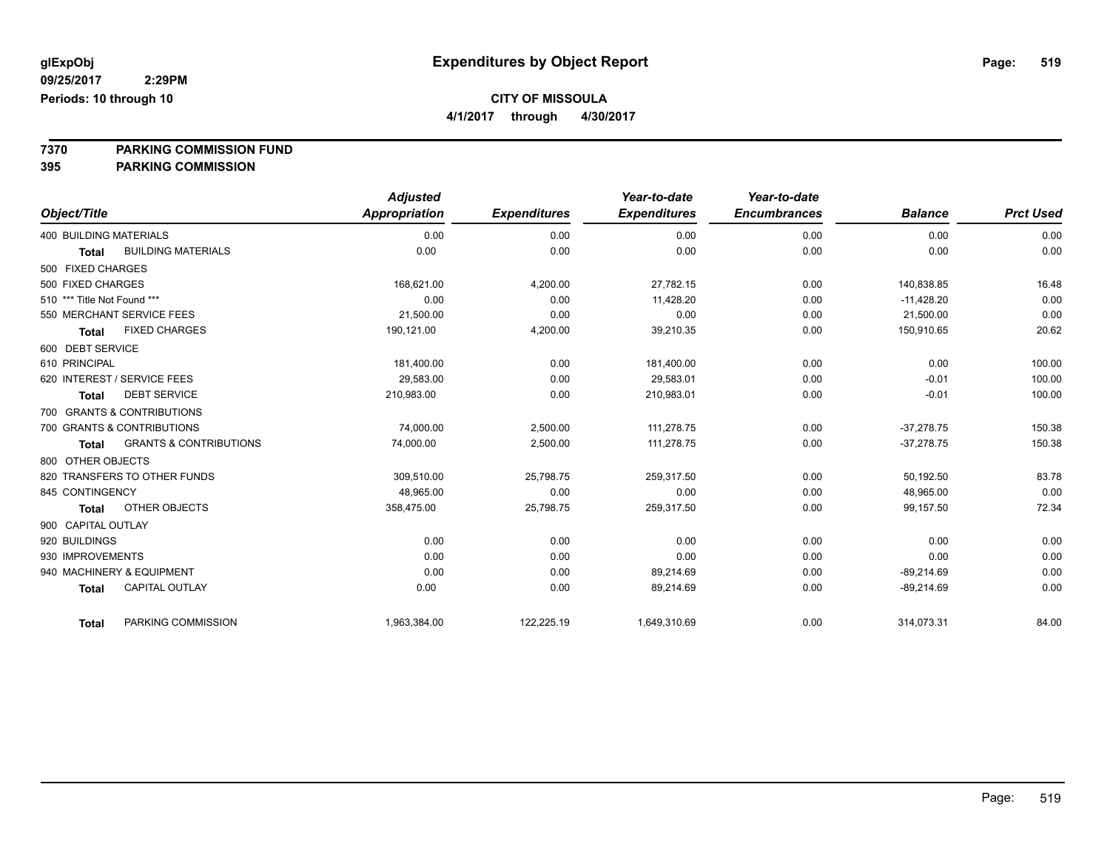**4/1/2017 through 4/30/2017**

**7370 PARKING COMMISSION FUND**

|                                                   | <b>Adjusted</b>      |                     | Year-to-date        | Year-to-date        |                |                  |
|---------------------------------------------------|----------------------|---------------------|---------------------|---------------------|----------------|------------------|
| Object/Title                                      | <b>Appropriation</b> | <b>Expenditures</b> | <b>Expenditures</b> | <b>Encumbrances</b> | <b>Balance</b> | <b>Prct Used</b> |
| <b>400 BUILDING MATERIALS</b>                     | 0.00                 | 0.00                | 0.00                | 0.00                | 0.00           | 0.00             |
| <b>BUILDING MATERIALS</b><br><b>Total</b>         | 0.00                 | 0.00                | 0.00                | 0.00                | 0.00           | 0.00             |
| 500 FIXED CHARGES                                 |                      |                     |                     |                     |                |                  |
| 500 FIXED CHARGES                                 | 168,621.00           | 4,200.00            | 27,782.15           | 0.00                | 140,838.85     | 16.48            |
| 510 *** Title Not Found ***                       | 0.00                 | 0.00                | 11,428.20           | 0.00                | $-11,428.20$   | 0.00             |
| 550 MERCHANT SERVICE FEES                         | 21,500.00            | 0.00                | 0.00                | 0.00                | 21,500.00      | 0.00             |
| <b>FIXED CHARGES</b><br>Total                     | 190,121.00           | 4,200.00            | 39,210.35           | 0.00                | 150,910.65     | 20.62            |
| 600 DEBT SERVICE                                  |                      |                     |                     |                     |                |                  |
| 610 PRINCIPAL                                     | 181,400.00           | 0.00                | 181,400.00          | 0.00                | 0.00           | 100.00           |
| 620 INTEREST / SERVICE FEES                       | 29.583.00            | 0.00                | 29,583.01           | 0.00                | $-0.01$        | 100.00           |
| <b>DEBT SERVICE</b><br><b>Total</b>               | 210,983.00           | 0.00                | 210,983.01          | 0.00                | $-0.01$        | 100.00           |
| 700 GRANTS & CONTRIBUTIONS                        |                      |                     |                     |                     |                |                  |
| 700 GRANTS & CONTRIBUTIONS                        | 74,000.00            | 2,500.00            | 111,278.75          | 0.00                | $-37.278.75$   | 150.38           |
| <b>GRANTS &amp; CONTRIBUTIONS</b><br><b>Total</b> | 74,000.00            | 2,500.00            | 111,278.75          | 0.00                | $-37,278.75$   | 150.38           |
| 800 OTHER OBJECTS                                 |                      |                     |                     |                     |                |                  |
| 820 TRANSFERS TO OTHER FUNDS                      | 309,510.00           | 25,798.75           | 259,317.50          | 0.00                | 50,192.50      | 83.78            |
| 845 CONTINGENCY                                   | 48,965.00            | 0.00                | 0.00                | 0.00                | 48,965.00      | 0.00             |
| OTHER OBJECTS<br><b>Total</b>                     | 358,475.00           | 25,798.75           | 259,317.50          | 0.00                | 99,157.50      | 72.34            |
| 900 CAPITAL OUTLAY                                |                      |                     |                     |                     |                |                  |
| 920 BUILDINGS                                     | 0.00                 | 0.00                | 0.00                | 0.00                | 0.00           | 0.00             |
| 930 IMPROVEMENTS                                  | 0.00                 | 0.00                | 0.00                | 0.00                | 0.00           | 0.00             |
| 940 MACHINERY & EQUIPMENT                         | 0.00                 | 0.00                | 89,214.69           | 0.00                | $-89,214.69$   | 0.00             |
| <b>CAPITAL OUTLAY</b><br><b>Total</b>             | 0.00                 | 0.00                | 89,214.69           | 0.00                | $-89,214.69$   | 0.00             |
| PARKING COMMISSION<br><b>Total</b>                | 1,963,384.00         | 122,225.19          | 1,649,310.69        | 0.00                | 314,073.31     | 84.00            |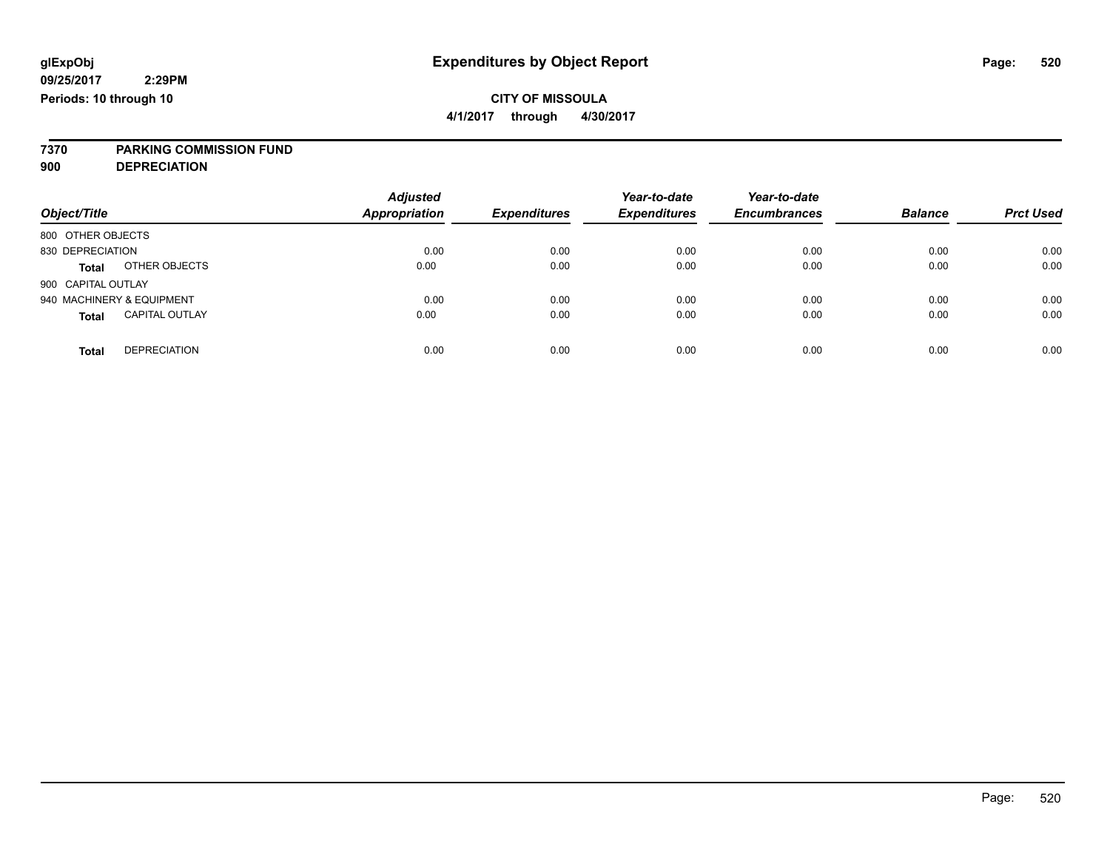**4/1/2017 through 4/30/2017**

# **7370 PARKING COMMISSION FUND**

**900 DEPRECIATION**

| Object/Title                          | <b>Adjusted</b><br><b>Appropriation</b> | <b>Expenditures</b> | Year-to-date<br><b>Expenditures</b> | Year-to-date<br><b>Encumbrances</b> | <b>Balance</b> | <b>Prct Used</b> |
|---------------------------------------|-----------------------------------------|---------------------|-------------------------------------|-------------------------------------|----------------|------------------|
|                                       |                                         |                     |                                     |                                     |                |                  |
| 800 OTHER OBJECTS                     |                                         |                     |                                     |                                     |                |                  |
| 830 DEPRECIATION                      | 0.00                                    | 0.00                | 0.00                                | 0.00                                | 0.00           | 0.00             |
| OTHER OBJECTS<br><b>Total</b>         | 0.00                                    | 0.00                | 0.00                                | 0.00                                | 0.00           | 0.00             |
| 900 CAPITAL OUTLAY                    |                                         |                     |                                     |                                     |                |                  |
| 940 MACHINERY & EQUIPMENT             | 0.00                                    | 0.00                | 0.00                                | 0.00                                | 0.00           | 0.00             |
| <b>CAPITAL OUTLAY</b><br><b>Total</b> | 0.00                                    | 0.00                | 0.00                                | 0.00                                | 0.00           | 0.00             |
| <b>DEPRECIATION</b><br><b>Total</b>   | 0.00                                    | 0.00                | 0.00                                | 0.00                                | 0.00           | 0.00             |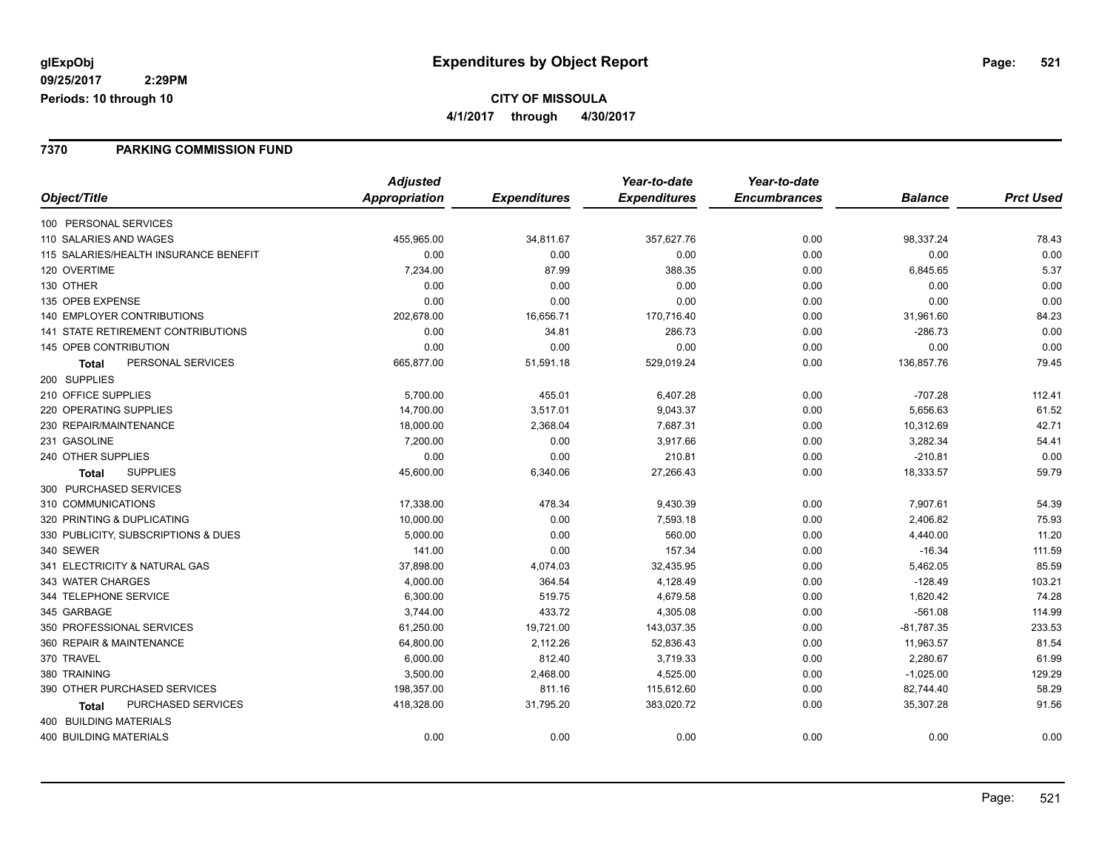#### **7370 PARKING COMMISSION FUND**

|                                       | <b>Adjusted</b> |                     | Year-to-date        | Year-to-date        |                |                  |
|---------------------------------------|-----------------|---------------------|---------------------|---------------------|----------------|------------------|
| Object/Title                          | Appropriation   | <b>Expenditures</b> | <b>Expenditures</b> | <b>Encumbrances</b> | <b>Balance</b> | <b>Prct Used</b> |
| 100 PERSONAL SERVICES                 |                 |                     |                     |                     |                |                  |
| 110 SALARIES AND WAGES                | 455,965.00      | 34,811.67           | 357,627.76          | 0.00                | 98,337.24      | 78.43            |
| 115 SALARIES/HEALTH INSURANCE BENEFIT | 0.00            | 0.00                | 0.00                | 0.00                | 0.00           | 0.00             |
| 120 OVERTIME                          | 7,234.00        | 87.99               | 388.35              | 0.00                | 6,845.65       | 5.37             |
| 130 OTHER                             | 0.00            | 0.00                | 0.00                | 0.00                | 0.00           | 0.00             |
| 135 OPEB EXPENSE                      | 0.00            | 0.00                | 0.00                | 0.00                | 0.00           | 0.00             |
| <b>140 EMPLOYER CONTRIBUTIONS</b>     | 202,678.00      | 16,656.71           | 170,716.40          | 0.00                | 31,961.60      | 84.23            |
| 141 STATE RETIREMENT CONTRIBUTIONS    | 0.00            | 34.81               | 286.73              | 0.00                | $-286.73$      | 0.00             |
| 145 OPEB CONTRIBUTION                 | 0.00            | 0.00                | 0.00                | 0.00                | 0.00           | 0.00             |
| PERSONAL SERVICES<br><b>Total</b>     | 665,877.00      | 51,591.18           | 529,019.24          | 0.00                | 136,857.76     | 79.45            |
| 200 SUPPLIES                          |                 |                     |                     |                     |                |                  |
| 210 OFFICE SUPPLIES                   | 5,700.00        | 455.01              | 6,407.28            | 0.00                | $-707.28$      | 112.41           |
| 220 OPERATING SUPPLIES                | 14,700.00       | 3,517.01            | 9,043.37            | 0.00                | 5,656.63       | 61.52            |
| 230 REPAIR/MAINTENANCE                | 18,000.00       | 2,368.04            | 7,687.31            | 0.00                | 10,312.69      | 42.71            |
| 231 GASOLINE                          | 7,200.00        | 0.00                | 3,917.66            | 0.00                | 3,282.34       | 54.41            |
| 240 OTHER SUPPLIES                    | 0.00            | 0.00                | 210.81              | 0.00                | $-210.81$      | 0.00             |
| <b>SUPPLIES</b><br>Total              | 45,600.00       | 6,340.06            | 27,266.43           | 0.00                | 18,333.57      | 59.79            |
| 300 PURCHASED SERVICES                |                 |                     |                     |                     |                |                  |
| 310 COMMUNICATIONS                    | 17,338.00       | 478.34              | 9,430.39            | 0.00                | 7,907.61       | 54.39            |
| 320 PRINTING & DUPLICATING            | 10,000.00       | 0.00                | 7,593.18            | 0.00                | 2,406.82       | 75.93            |
| 330 PUBLICITY, SUBSCRIPTIONS & DUES   | 5,000.00        | 0.00                | 560.00              | 0.00                | 4,440.00       | 11.20            |
| 340 SEWER                             | 141.00          | 0.00                | 157.34              | 0.00                | $-16.34$       | 111.59           |
| 341 ELECTRICITY & NATURAL GAS         | 37,898.00       | 4,074.03            | 32,435.95           | 0.00                | 5,462.05       | 85.59            |
| 343 WATER CHARGES                     | 4,000.00        | 364.54              | 4,128.49            | 0.00                | $-128.49$      | 103.21           |
| 344 TELEPHONE SERVICE                 | 6,300.00        | 519.75              | 4,679.58            | 0.00                | 1,620.42       | 74.28            |
| 345 GARBAGE                           | 3,744.00        | 433.72              | 4,305.08            | 0.00                | $-561.08$      | 114.99           |
| 350 PROFESSIONAL SERVICES             | 61,250.00       | 19,721.00           | 143,037.35          | 0.00                | $-81,787.35$   | 233.53           |
| 360 REPAIR & MAINTENANCE              | 64,800.00       | 2,112.26            | 52,836.43           | 0.00                | 11,963.57      | 81.54            |
| 370 TRAVEL                            | 6,000.00        | 812.40              | 3,719.33            | 0.00                | 2,280.67       | 61.99            |
| 380 TRAINING                          | 3,500.00        | 2,468.00            | 4,525.00            | 0.00                | $-1,025.00$    | 129.29           |
| 390 OTHER PURCHASED SERVICES          | 198,357.00      | 811.16              | 115,612.60          | 0.00                | 82,744.40      | 58.29            |
| PURCHASED SERVICES<br>Total           | 418,328.00      | 31,795.20           | 383,020.72          | 0.00                | 35,307.28      | 91.56            |
| 400 BUILDING MATERIALS                |                 |                     |                     |                     |                |                  |
| <b>400 BUILDING MATERIALS</b>         | 0.00            | 0.00                | 0.00                | 0.00                | 0.00           | 0.00             |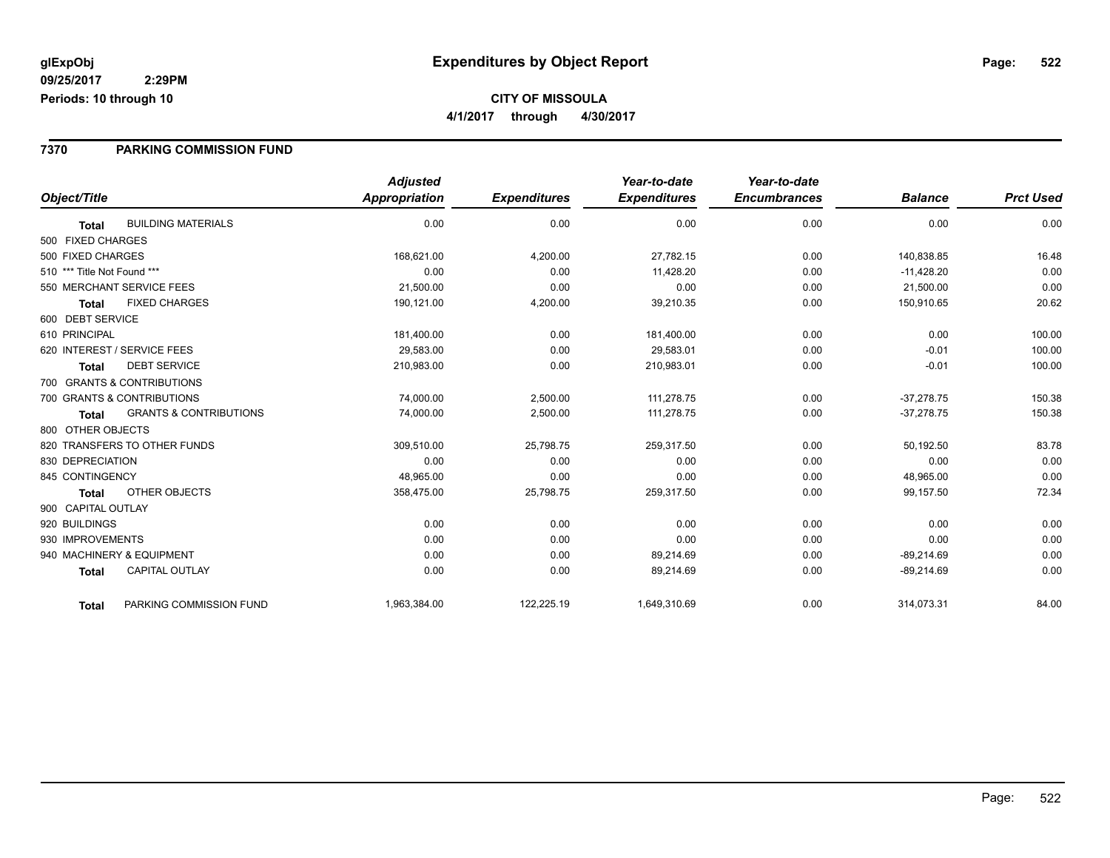#### **7370 PARKING COMMISSION FUND**

|                              |                                   | <b>Adjusted</b> |                     | Year-to-date        | Year-to-date        |                |                  |
|------------------------------|-----------------------------------|-----------------|---------------------|---------------------|---------------------|----------------|------------------|
| Object/Title                 |                                   | Appropriation   | <b>Expenditures</b> | <b>Expenditures</b> | <b>Encumbrances</b> | <b>Balance</b> | <b>Prct Used</b> |
| <b>Total</b>                 | <b>BUILDING MATERIALS</b>         | 0.00            | 0.00                | 0.00                | 0.00                | 0.00           | 0.00             |
| 500 FIXED CHARGES            |                                   |                 |                     |                     |                     |                |                  |
| 500 FIXED CHARGES            |                                   | 168,621.00      | 4,200.00            | 27,782.15           | 0.00                | 140,838.85     | 16.48            |
| 510 *** Title Not Found ***  |                                   | 0.00            | 0.00                | 11,428.20           | 0.00                | $-11,428.20$   | 0.00             |
| 550 MERCHANT SERVICE FEES    |                                   | 21,500.00       | 0.00                | 0.00                | 0.00                | 21,500.00      | 0.00             |
| <b>Total</b>                 | <b>FIXED CHARGES</b>              | 190,121.00      | 4,200.00            | 39,210.35           | 0.00                | 150,910.65     | 20.62            |
| 600 DEBT SERVICE             |                                   |                 |                     |                     |                     |                |                  |
| 610 PRINCIPAL                |                                   | 181,400.00      | 0.00                | 181,400.00          | 0.00                | 0.00           | 100.00           |
| 620 INTEREST / SERVICE FEES  |                                   | 29,583.00       | 0.00                | 29,583.01           | 0.00                | $-0.01$        | 100.00           |
| Total                        | <b>DEBT SERVICE</b>               | 210,983.00      | 0.00                | 210,983.01          | 0.00                | $-0.01$        | 100.00           |
| 700 GRANTS & CONTRIBUTIONS   |                                   |                 |                     |                     |                     |                |                  |
| 700 GRANTS & CONTRIBUTIONS   |                                   | 74,000.00       | 2,500.00            | 111,278.75          | 0.00                | $-37,278.75$   | 150.38           |
| <b>Total</b>                 | <b>GRANTS &amp; CONTRIBUTIONS</b> | 74,000.00       | 2,500.00            | 111,278.75          | 0.00                | $-37,278.75$   | 150.38           |
| 800 OTHER OBJECTS            |                                   |                 |                     |                     |                     |                |                  |
| 820 TRANSFERS TO OTHER FUNDS |                                   | 309,510.00      | 25,798.75           | 259,317.50          | 0.00                | 50,192.50      | 83.78            |
| 830 DEPRECIATION             |                                   | 0.00            | 0.00                | 0.00                | 0.00                | 0.00           | 0.00             |
| 845 CONTINGENCY              |                                   | 48,965.00       | 0.00                | 0.00                | 0.00                | 48,965.00      | 0.00             |
| Total                        | OTHER OBJECTS                     | 358,475.00      | 25,798.75           | 259,317.50          | 0.00                | 99,157.50      | 72.34            |
| 900 CAPITAL OUTLAY           |                                   |                 |                     |                     |                     |                |                  |
| 920 BUILDINGS                |                                   | 0.00            | 0.00                | 0.00                | 0.00                | 0.00           | 0.00             |
| 930 IMPROVEMENTS             |                                   | 0.00            | 0.00                | 0.00                | 0.00                | 0.00           | 0.00             |
| 940 MACHINERY & EQUIPMENT    |                                   | 0.00            | 0.00                | 89,214.69           | 0.00                | $-89,214.69$   | 0.00             |
| <b>Total</b>                 | <b>CAPITAL OUTLAY</b>             | 0.00            | 0.00                | 89,214.69           | 0.00                | $-89,214.69$   | 0.00             |
| <b>Total</b>                 | PARKING COMMISSION FUND           | 1,963,384.00    | 122,225.19          | 1,649,310.69        | 0.00                | 314,073.31     | 84.00            |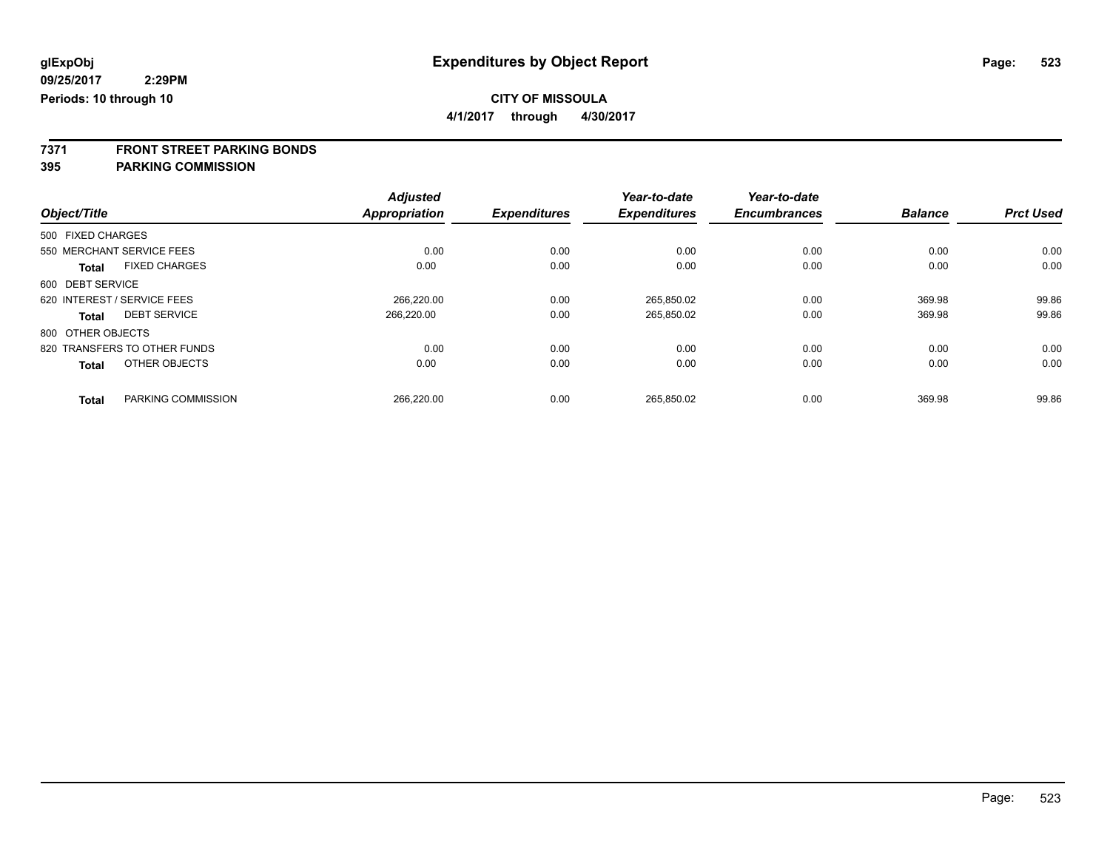**4/1/2017 through 4/30/2017**

**7371 FRONT STREET PARKING BONDS**

|                             |                              | <b>Adjusted</b> |                     | Year-to-date        | Year-to-date        |                |                  |
|-----------------------------|------------------------------|-----------------|---------------------|---------------------|---------------------|----------------|------------------|
| Object/Title                |                              | Appropriation   | <b>Expenditures</b> | <b>Expenditures</b> | <b>Encumbrances</b> | <b>Balance</b> | <b>Prct Used</b> |
| 500 FIXED CHARGES           |                              |                 |                     |                     |                     |                |                  |
| 550 MERCHANT SERVICE FEES   |                              | 0.00            | 0.00                | 0.00                | 0.00                | 0.00           | 0.00             |
| <b>Total</b>                | <b>FIXED CHARGES</b>         | 0.00            | 0.00                | 0.00                | 0.00                | 0.00           | 0.00             |
| 600 DEBT SERVICE            |                              |                 |                     |                     |                     |                |                  |
| 620 INTEREST / SERVICE FEES |                              | 266.220.00      | 0.00                | 265.850.02          | 0.00                | 369.98         | 99.86            |
| <b>Total</b>                | <b>DEBT SERVICE</b>          | 266.220.00      | 0.00                | 265,850.02          | 0.00                | 369.98         | 99.86            |
| 800 OTHER OBJECTS           |                              |                 |                     |                     |                     |                |                  |
|                             | 820 TRANSFERS TO OTHER FUNDS | 0.00            | 0.00                | 0.00                | 0.00                | 0.00           | 0.00             |
| <b>Total</b>                | OTHER OBJECTS                | 0.00            | 0.00                | 0.00                | 0.00                | 0.00           | 0.00             |
| <b>Total</b>                | PARKING COMMISSION           | 266.220.00      | 0.00                | 265.850.02          | 0.00                | 369.98         | 99.86            |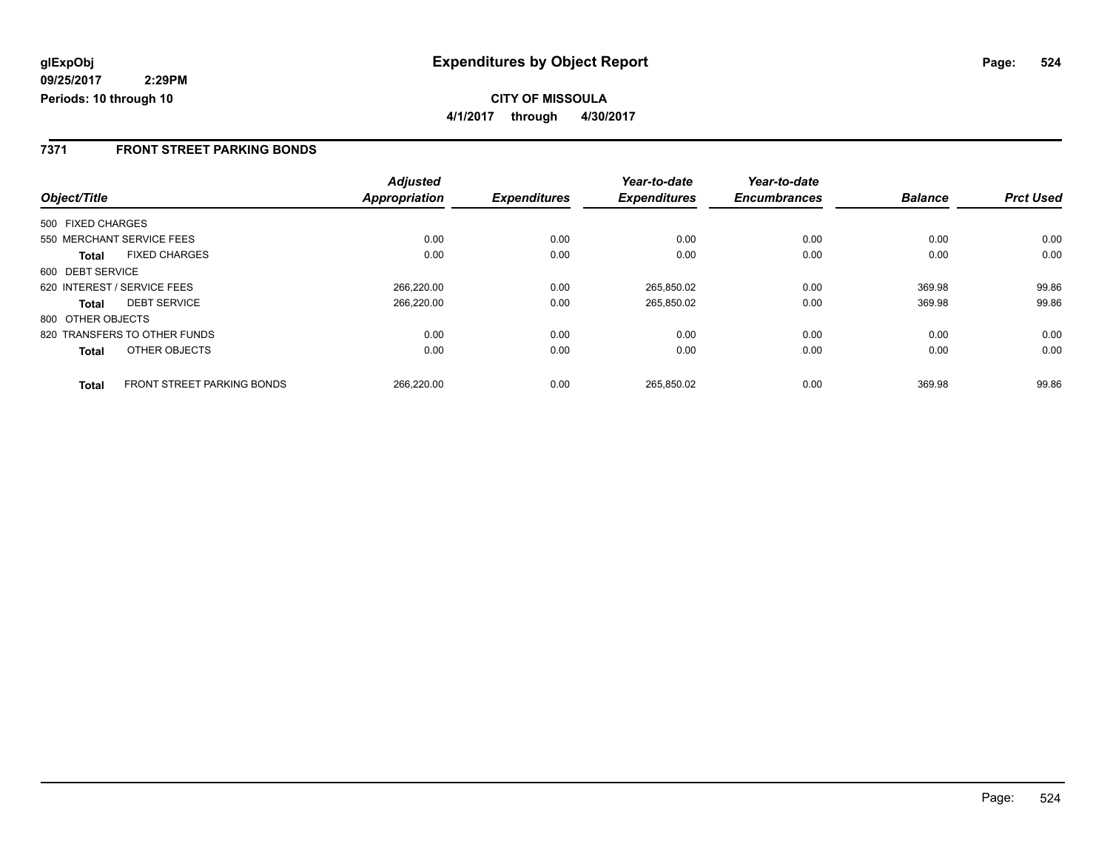### **7371 FRONT STREET PARKING BONDS**

|                   |                              | <b>Adjusted</b> |                     | Year-to-date        | Year-to-date        |                |                  |
|-------------------|------------------------------|-----------------|---------------------|---------------------|---------------------|----------------|------------------|
| Object/Title      |                              | Appropriation   | <b>Expenditures</b> | <b>Expenditures</b> | <b>Encumbrances</b> | <b>Balance</b> | <b>Prct Used</b> |
| 500 FIXED CHARGES |                              |                 |                     |                     |                     |                |                  |
|                   | 550 MERCHANT SERVICE FEES    | 0.00            | 0.00                | 0.00                | 0.00                | 0.00           | 0.00             |
| Total             | <b>FIXED CHARGES</b>         | 0.00            | 0.00                | 0.00                | 0.00                | 0.00           | 0.00             |
| 600 DEBT SERVICE  |                              |                 |                     |                     |                     |                |                  |
|                   | 620 INTEREST / SERVICE FEES  | 266,220.00      | 0.00                | 265,850.02          | 0.00                | 369.98         | 99.86            |
| <b>Total</b>      | <b>DEBT SERVICE</b>          | 266,220.00      | 0.00                | 265,850.02          | 0.00                | 369.98         | 99.86            |
| 800 OTHER OBJECTS |                              |                 |                     |                     |                     |                |                  |
|                   | 820 TRANSFERS TO OTHER FUNDS | 0.00            | 0.00                | 0.00                | 0.00                | 0.00           | 0.00             |
| <b>Total</b>      | OTHER OBJECTS                | 0.00            | 0.00                | 0.00                | 0.00                | 0.00           | 0.00             |
| <b>Total</b>      | FRONT STREET PARKING BONDS   | 266,220.00      | 0.00                | 265.850.02          | 0.00                | 369.98         | 99.86            |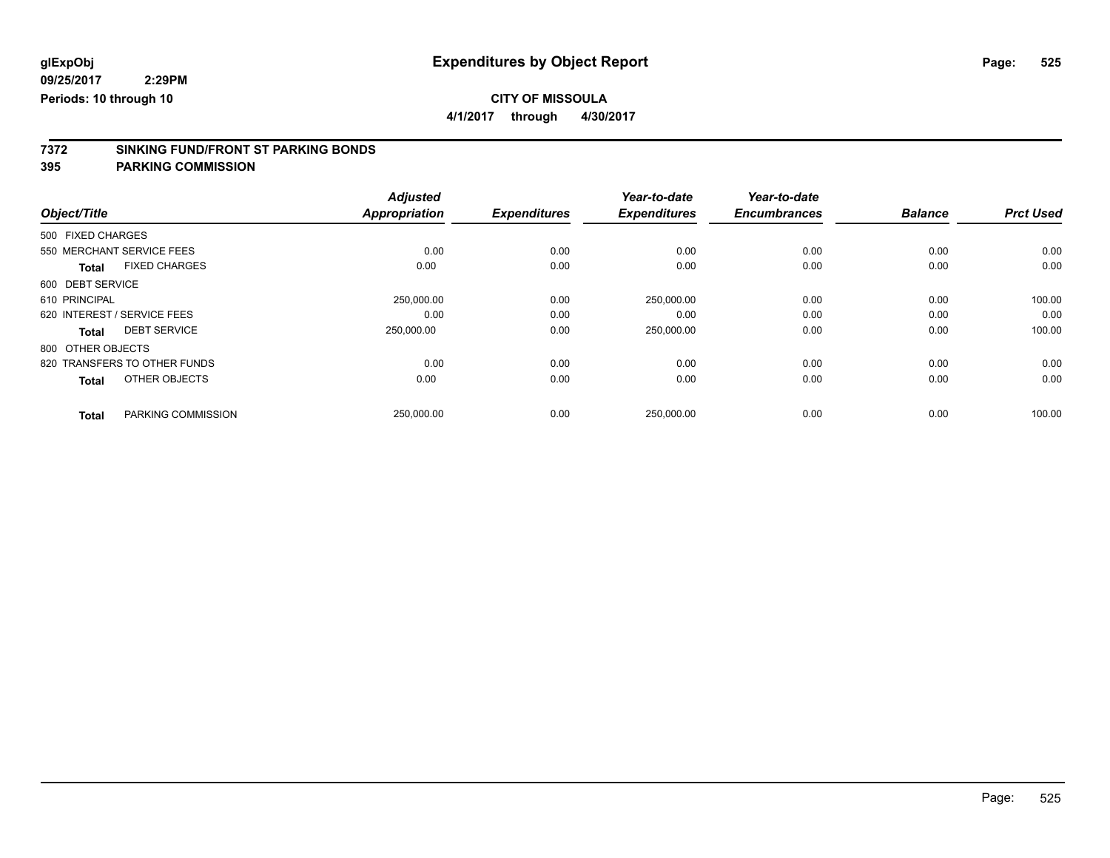**4/1/2017 through 4/30/2017**

# **7372 SINKING FUND/FRONT ST PARKING BONDS**

|                                      | <b>Adjusted</b>      |                     | Year-to-date        | Year-to-date        |                |                  |
|--------------------------------------|----------------------|---------------------|---------------------|---------------------|----------------|------------------|
| Object/Title                         | <b>Appropriation</b> | <b>Expenditures</b> | <b>Expenditures</b> | <b>Encumbrances</b> | <b>Balance</b> | <b>Prct Used</b> |
| 500 FIXED CHARGES                    |                      |                     |                     |                     |                |                  |
| 550 MERCHANT SERVICE FEES            | 0.00                 | 0.00                | 0.00                | 0.00                | 0.00           | 0.00             |
| <b>FIXED CHARGES</b><br><b>Total</b> | 0.00                 | 0.00                | 0.00                | 0.00                | 0.00           | 0.00             |
| 600 DEBT SERVICE                     |                      |                     |                     |                     |                |                  |
| 610 PRINCIPAL                        | 250,000.00           | 0.00                | 250,000.00          | 0.00                | 0.00           | 100.00           |
| 620 INTEREST / SERVICE FEES          | 0.00                 | 0.00                | 0.00                | 0.00                | 0.00           | 0.00             |
| <b>DEBT SERVICE</b><br><b>Total</b>  | 250,000.00           | 0.00                | 250,000.00          | 0.00                | 0.00           | 100.00           |
| 800 OTHER OBJECTS                    |                      |                     |                     |                     |                |                  |
| 820 TRANSFERS TO OTHER FUNDS         | 0.00                 | 0.00                | 0.00                | 0.00                | 0.00           | 0.00             |
| OTHER OBJECTS<br><b>Total</b>        | 0.00                 | 0.00                | 0.00                | 0.00                | 0.00           | 0.00             |
| PARKING COMMISSION<br><b>Total</b>   | 250,000.00           | 0.00                | 250,000.00          | 0.00                | 0.00           | 100.00           |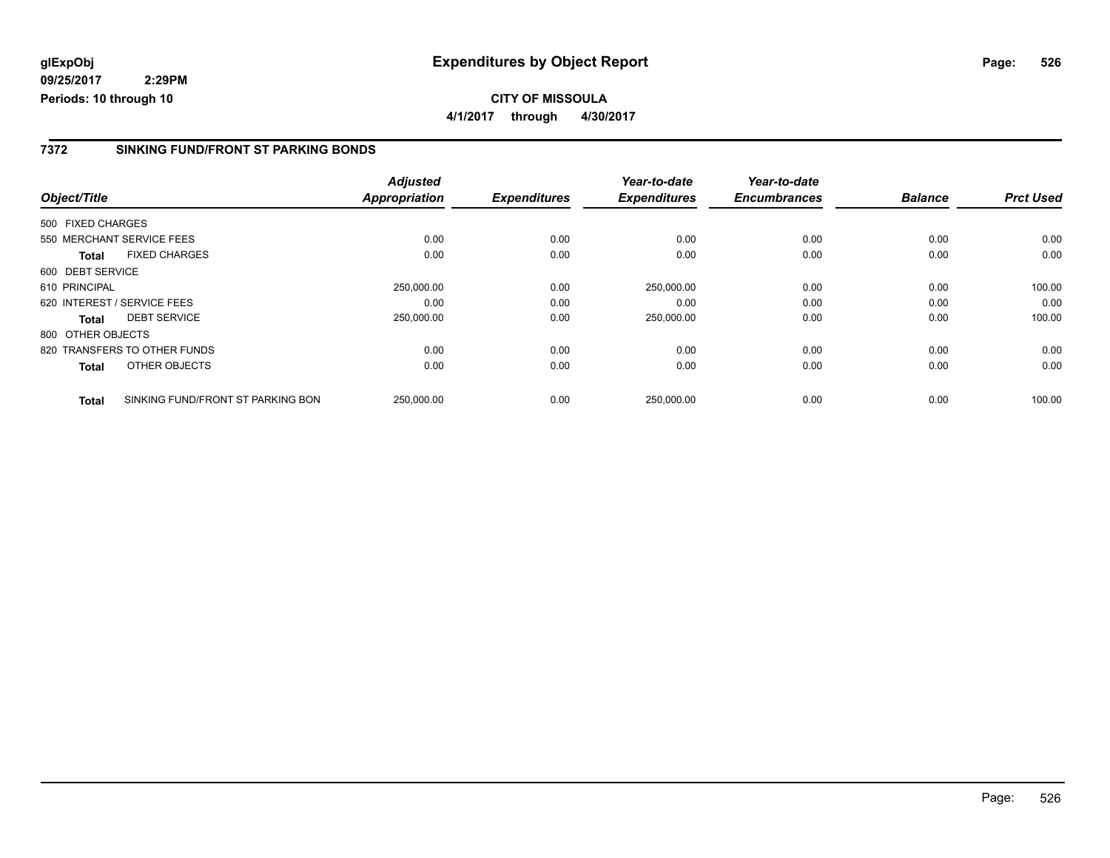### **7372 SINKING FUND/FRONT ST PARKING BONDS**

|                   |                                   | <b>Adjusted</b>      | <b>Expenditures</b> | Year-to-date<br><b>Expenditures</b> | Year-to-date<br><b>Encumbrances</b> | <b>Balance</b> | <b>Prct Used</b> |
|-------------------|-----------------------------------|----------------------|---------------------|-------------------------------------|-------------------------------------|----------------|------------------|
| Object/Title      |                                   | <b>Appropriation</b> |                     |                                     |                                     |                |                  |
| 500 FIXED CHARGES |                                   |                      |                     |                                     |                                     |                |                  |
|                   | 550 MERCHANT SERVICE FEES         | 0.00                 | 0.00                | 0.00                                | 0.00                                | 0.00           | 0.00             |
| Total             | <b>FIXED CHARGES</b>              | 0.00                 | 0.00                | 0.00                                | 0.00                                | 0.00           | 0.00             |
| 600 DEBT SERVICE  |                                   |                      |                     |                                     |                                     |                |                  |
| 610 PRINCIPAL     |                                   | 250,000.00           | 0.00                | 250,000.00                          | 0.00                                | 0.00           | 100.00           |
|                   | 620 INTEREST / SERVICE FEES       | 0.00                 | 0.00                | 0.00                                | 0.00                                | 0.00           | 0.00             |
| Total             | <b>DEBT SERVICE</b>               | 250,000.00           | 0.00                | 250,000.00                          | 0.00                                | 0.00           | 100.00           |
| 800 OTHER OBJECTS |                                   |                      |                     |                                     |                                     |                |                  |
|                   | 820 TRANSFERS TO OTHER FUNDS      | 0.00                 | 0.00                | 0.00                                | 0.00                                | 0.00           | 0.00             |
| <b>Total</b>      | OTHER OBJECTS                     | 0.00                 | 0.00                | 0.00                                | 0.00                                | 0.00           | 0.00             |
| <b>Total</b>      | SINKING FUND/FRONT ST PARKING BON | 250.000.00           | 0.00                | 250.000.00                          | 0.00                                | 0.00           | 100.00           |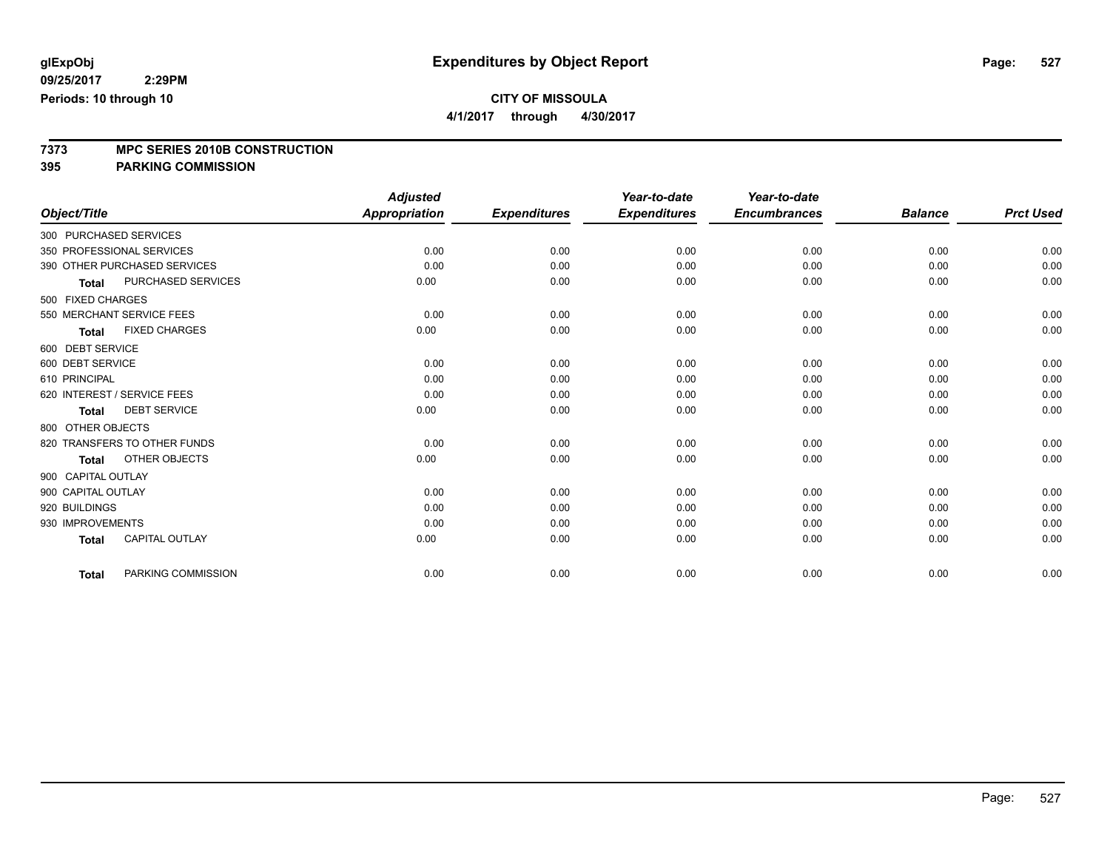**4/1/2017 through 4/30/2017**

# **7373 MPC SERIES 2010B CONSTRUCTION**

|                             |                              | <b>Adjusted</b>      |                     | Year-to-date        | Year-to-date        |                |                  |
|-----------------------------|------------------------------|----------------------|---------------------|---------------------|---------------------|----------------|------------------|
| Object/Title                |                              | <b>Appropriation</b> | <b>Expenditures</b> | <b>Expenditures</b> | <b>Encumbrances</b> | <b>Balance</b> | <b>Prct Used</b> |
| 300 PURCHASED SERVICES      |                              |                      |                     |                     |                     |                |                  |
| 350 PROFESSIONAL SERVICES   |                              | 0.00                 | 0.00                | 0.00                | 0.00                | 0.00           | 0.00             |
|                             | 390 OTHER PURCHASED SERVICES | 0.00                 | 0.00                | 0.00                | 0.00                | 0.00           | 0.00             |
| <b>Total</b>                | PURCHASED SERVICES           | 0.00                 | 0.00                | 0.00                | 0.00                | 0.00           | 0.00             |
| 500 FIXED CHARGES           |                              |                      |                     |                     |                     |                |                  |
| 550 MERCHANT SERVICE FEES   |                              | 0.00                 | 0.00                | 0.00                | 0.00                | 0.00           | 0.00             |
| <b>Total</b>                | <b>FIXED CHARGES</b>         | 0.00                 | 0.00                | 0.00                | 0.00                | 0.00           | 0.00             |
| 600 DEBT SERVICE            |                              |                      |                     |                     |                     |                |                  |
| 600 DEBT SERVICE            |                              | 0.00                 | 0.00                | 0.00                | 0.00                | 0.00           | 0.00             |
| 610 PRINCIPAL               |                              | 0.00                 | 0.00                | 0.00                | 0.00                | 0.00           | 0.00             |
| 620 INTEREST / SERVICE FEES |                              | 0.00                 | 0.00                | 0.00                | 0.00                | 0.00           | 0.00             |
| <b>Total</b>                | <b>DEBT SERVICE</b>          | 0.00                 | 0.00                | 0.00                | 0.00                | 0.00           | 0.00             |
| 800 OTHER OBJECTS           |                              |                      |                     |                     |                     |                |                  |
|                             | 820 TRANSFERS TO OTHER FUNDS | 0.00                 | 0.00                | 0.00                | 0.00                | 0.00           | 0.00             |
| <b>Total</b>                | OTHER OBJECTS                | 0.00                 | 0.00                | 0.00                | 0.00                | 0.00           | 0.00             |
| 900 CAPITAL OUTLAY          |                              |                      |                     |                     |                     |                |                  |
| 900 CAPITAL OUTLAY          |                              | 0.00                 | 0.00                | 0.00                | 0.00                | 0.00           | 0.00             |
| 920 BUILDINGS               |                              | 0.00                 | 0.00                | 0.00                | 0.00                | 0.00           | 0.00             |
| 930 IMPROVEMENTS            |                              | 0.00                 | 0.00                | 0.00                | 0.00                | 0.00           | 0.00             |
| <b>Total</b>                | <b>CAPITAL OUTLAY</b>        | 0.00                 | 0.00                | 0.00                | 0.00                | 0.00           | 0.00             |
| <b>Total</b>                | PARKING COMMISSION           | 0.00                 | 0.00                | 0.00                | 0.00                | 0.00           | 0.00             |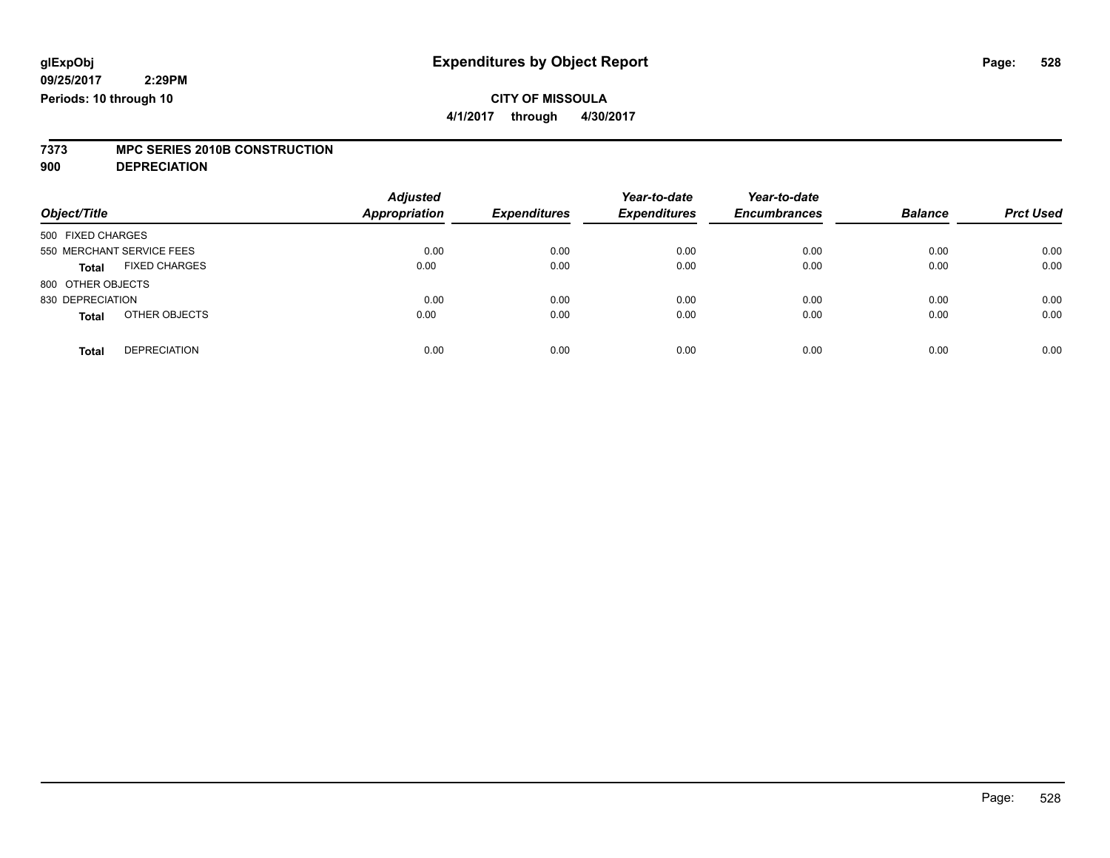**4/1/2017 through 4/30/2017**

# **7373 MPC SERIES 2010B CONSTRUCTION**

**900 DEPRECIATION**

| Object/Title                         | <b>Adjusted</b><br><b>Appropriation</b> | <b>Expenditures</b> | Year-to-date<br><b>Expenditures</b> | Year-to-date<br><b>Encumbrances</b> | <b>Balance</b> | <b>Prct Used</b> |
|--------------------------------------|-----------------------------------------|---------------------|-------------------------------------|-------------------------------------|----------------|------------------|
| 500 FIXED CHARGES                    |                                         |                     |                                     |                                     |                |                  |
| 550 MERCHANT SERVICE FEES            | 0.00                                    | 0.00                | 0.00                                | 0.00                                | 0.00           | 0.00             |
| <b>FIXED CHARGES</b><br><b>Total</b> | 0.00                                    | 0.00                | 0.00                                | 0.00                                | 0.00           | 0.00             |
| 800 OTHER OBJECTS                    |                                         |                     |                                     |                                     |                |                  |
| 830 DEPRECIATION                     | 0.00                                    | 0.00                | 0.00                                | 0.00                                | 0.00           | 0.00             |
| OTHER OBJECTS<br><b>Total</b>        | 0.00                                    | 0.00                | 0.00                                | 0.00                                | 0.00           | 0.00             |
| <b>DEPRECIATION</b><br><b>Total</b>  | 0.00                                    | 0.00                | 0.00                                | 0.00                                | 0.00           | 0.00             |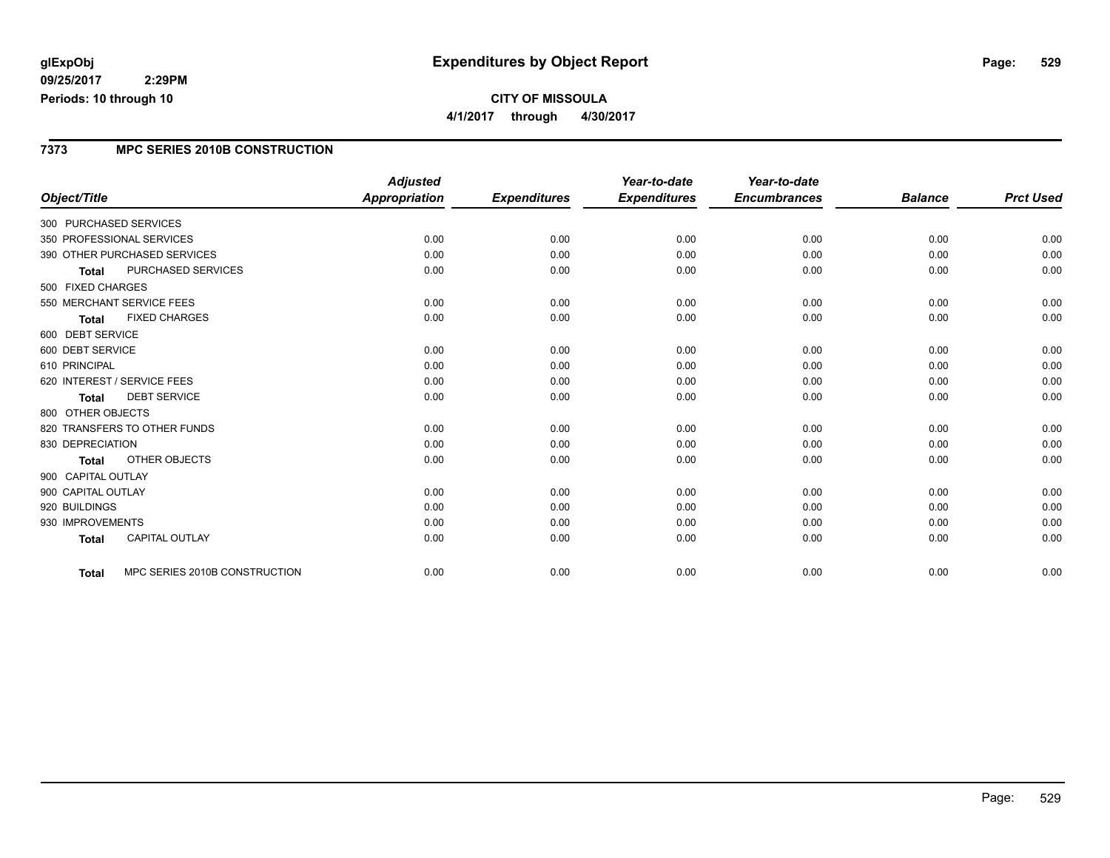### **7373 MPC SERIES 2010B CONSTRUCTION**

|                                               | <b>Adjusted</b> |                     | Year-to-date        | Year-to-date        |                |                  |
|-----------------------------------------------|-----------------|---------------------|---------------------|---------------------|----------------|------------------|
| Object/Title                                  | Appropriation   | <b>Expenditures</b> | <b>Expenditures</b> | <b>Encumbrances</b> | <b>Balance</b> | <b>Prct Used</b> |
| 300 PURCHASED SERVICES                        |                 |                     |                     |                     |                |                  |
| 350 PROFESSIONAL SERVICES                     | 0.00            | 0.00                | 0.00                | 0.00                | 0.00           | 0.00             |
| 390 OTHER PURCHASED SERVICES                  | 0.00            | 0.00                | 0.00                | 0.00                | 0.00           | 0.00             |
| <b>PURCHASED SERVICES</b><br><b>Total</b>     | 0.00            | 0.00                | 0.00                | 0.00                | 0.00           | 0.00             |
| 500 FIXED CHARGES                             |                 |                     |                     |                     |                |                  |
| 550 MERCHANT SERVICE FEES                     | 0.00            | 0.00                | 0.00                | 0.00                | 0.00           | 0.00             |
| <b>FIXED CHARGES</b><br><b>Total</b>          | 0.00            | 0.00                | 0.00                | 0.00                | 0.00           | 0.00             |
| 600 DEBT SERVICE                              |                 |                     |                     |                     |                |                  |
| 600 DEBT SERVICE                              | 0.00            | 0.00                | 0.00                | 0.00                | 0.00           | 0.00             |
| 610 PRINCIPAL                                 | 0.00            | 0.00                | 0.00                | 0.00                | 0.00           | 0.00             |
| 620 INTEREST / SERVICE FEES                   | 0.00            | 0.00                | 0.00                | 0.00                | 0.00           | 0.00             |
| <b>DEBT SERVICE</b><br><b>Total</b>           | 0.00            | 0.00                | 0.00                | 0.00                | 0.00           | 0.00             |
| 800 OTHER OBJECTS                             |                 |                     |                     |                     |                |                  |
| 820 TRANSFERS TO OTHER FUNDS                  | 0.00            | 0.00                | 0.00                | 0.00                | 0.00           | 0.00             |
| 830 DEPRECIATION                              | 0.00            | 0.00                | 0.00                | 0.00                | 0.00           | 0.00             |
| <b>OTHER OBJECTS</b><br><b>Total</b>          | 0.00            | 0.00                | 0.00                | 0.00                | 0.00           | 0.00             |
| 900 CAPITAL OUTLAY                            |                 |                     |                     |                     |                |                  |
| 900 CAPITAL OUTLAY                            | 0.00            | 0.00                | 0.00                | 0.00                | 0.00           | 0.00             |
| 920 BUILDINGS                                 | 0.00            | 0.00                | 0.00                | 0.00                | 0.00           | 0.00             |
| 930 IMPROVEMENTS                              | 0.00            | 0.00                | 0.00                | 0.00                | 0.00           | 0.00             |
| <b>CAPITAL OUTLAY</b><br><b>Total</b>         | 0.00            | 0.00                | 0.00                | 0.00                | 0.00           | 0.00             |
|                                               |                 |                     |                     |                     |                |                  |
| MPC SERIES 2010B CONSTRUCTION<br><b>Total</b> | 0.00            | 0.00                | 0.00                | 0.00                | 0.00           | 0.00             |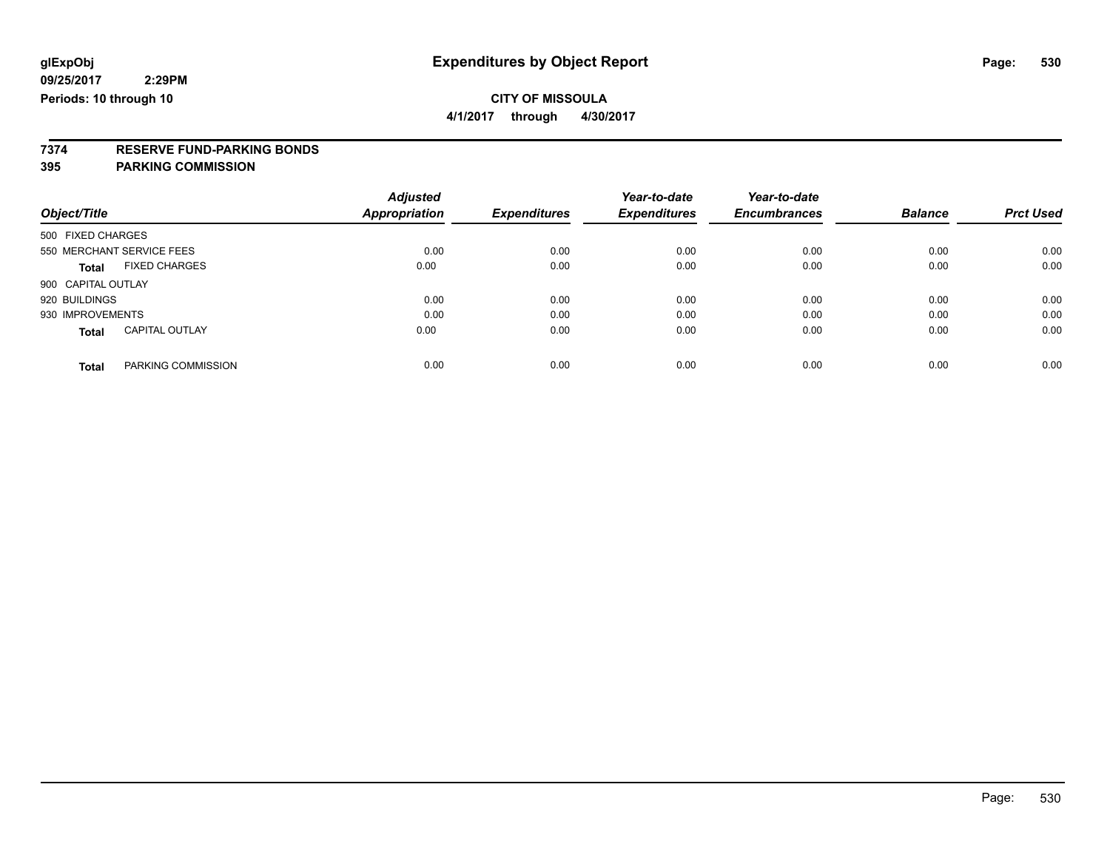**4/1/2017 through 4/30/2017**

# **7374 RESERVE FUND-PARKING BONDS**

|                    |                           | <b>Adjusted</b>      |                     | Year-to-date        | Year-to-date        |                |                  |
|--------------------|---------------------------|----------------------|---------------------|---------------------|---------------------|----------------|------------------|
| Object/Title       |                           | <b>Appropriation</b> | <b>Expenditures</b> | <b>Expenditures</b> | <b>Encumbrances</b> | <b>Balance</b> | <b>Prct Used</b> |
| 500 FIXED CHARGES  |                           |                      |                     |                     |                     |                |                  |
|                    | 550 MERCHANT SERVICE FEES | 0.00                 | 0.00                | 0.00                | 0.00                | 0.00           | 0.00             |
| Total              | <b>FIXED CHARGES</b>      | 0.00                 | 0.00                | 0.00                | 0.00                | 0.00           | 0.00             |
| 900 CAPITAL OUTLAY |                           |                      |                     |                     |                     |                |                  |
| 920 BUILDINGS      |                           | 0.00                 | 0.00                | 0.00                | 0.00                | 0.00           | 0.00             |
| 930 IMPROVEMENTS   |                           | 0.00                 | 0.00                | 0.00                | 0.00                | 0.00           | 0.00             |
| <b>Total</b>       | <b>CAPITAL OUTLAY</b>     | 0.00                 | 0.00                | 0.00                | 0.00                | 0.00           | 0.00             |
| <b>Total</b>       | PARKING COMMISSION        | 0.00                 | 0.00                | 0.00                | 0.00                | 0.00           | 0.00             |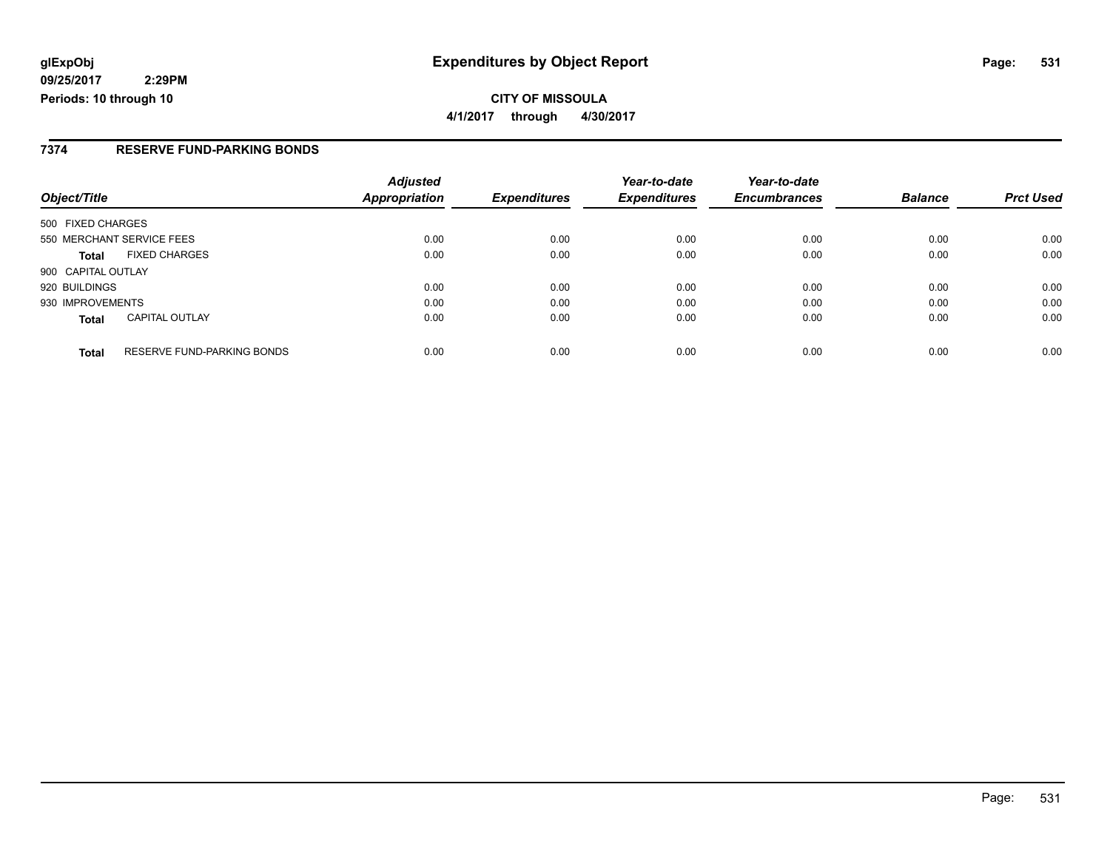### **7374 RESERVE FUND-PARKING BONDS**

| Object/Title                                      | <b>Adjusted</b><br><b>Appropriation</b> | <b>Expenditures</b> | Year-to-date<br><b>Expenditures</b> | Year-to-date<br><b>Encumbrances</b> | <b>Balance</b> | <b>Prct Used</b> |
|---------------------------------------------------|-----------------------------------------|---------------------|-------------------------------------|-------------------------------------|----------------|------------------|
| 500 FIXED CHARGES                                 |                                         |                     |                                     |                                     |                |                  |
| 550 MERCHANT SERVICE FEES                         | 0.00                                    | 0.00                | 0.00                                | 0.00                                | 0.00           | 0.00             |
| <b>FIXED CHARGES</b><br><b>Total</b>              | 0.00                                    | 0.00                | 0.00                                | 0.00                                | 0.00           | 0.00             |
| 900 CAPITAL OUTLAY                                |                                         |                     |                                     |                                     |                |                  |
| 920 BUILDINGS                                     | 0.00                                    | 0.00                | 0.00                                | 0.00                                | 0.00           | 0.00             |
| 930 IMPROVEMENTS                                  | 0.00                                    | 0.00                | 0.00                                | 0.00                                | 0.00           | 0.00             |
| <b>CAPITAL OUTLAY</b><br><b>Total</b>             | 0.00                                    | 0.00                | 0.00                                | 0.00                                | 0.00           | 0.00             |
| <b>RESERVE FUND-PARKING BONDS</b><br><b>Total</b> | 0.00                                    | 0.00                | 0.00                                | 0.00                                | 0.00           | 0.00             |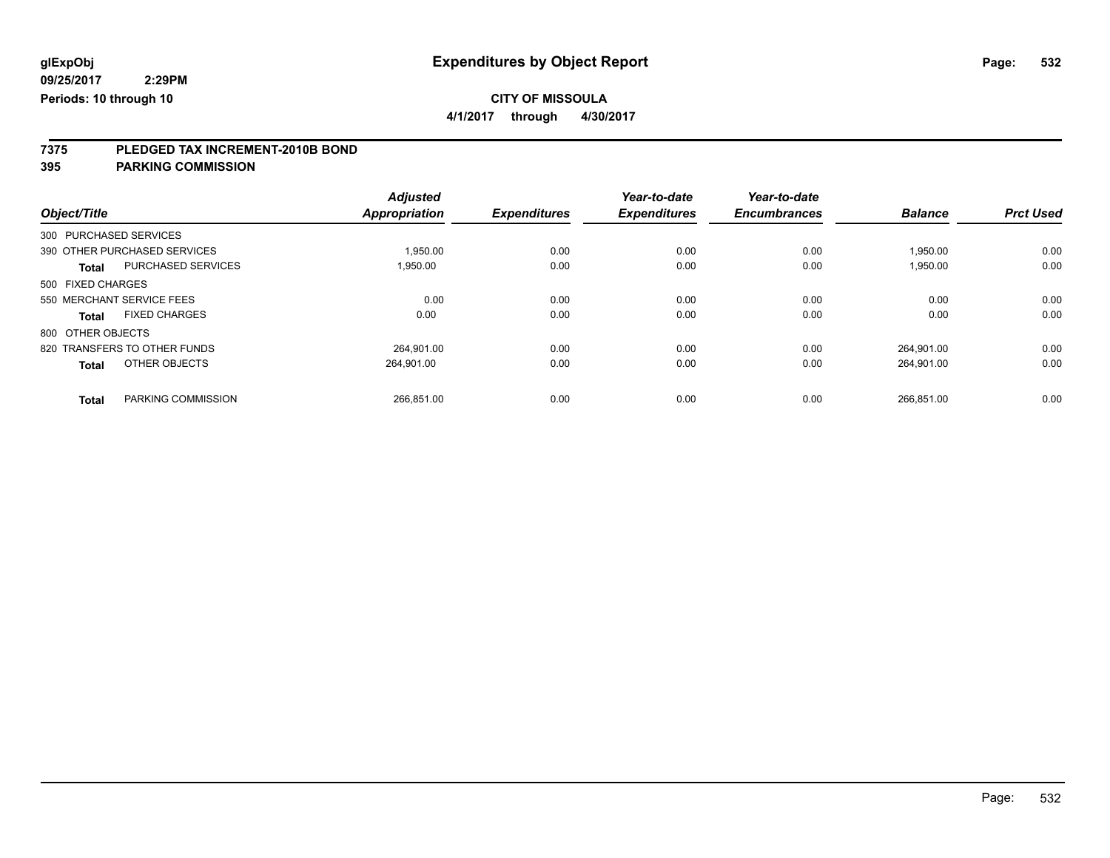**4/1/2017 through 4/30/2017**

# **7375 PLEDGED TAX INCREMENT-2010B BOND**

|                                           | <b>Adjusted</b> |                     | Year-to-date        | Year-to-date        |                |                  |
|-------------------------------------------|-----------------|---------------------|---------------------|---------------------|----------------|------------------|
| Object/Title                              | Appropriation   | <b>Expenditures</b> | <b>Expenditures</b> | <b>Encumbrances</b> | <b>Balance</b> | <b>Prct Used</b> |
| 300 PURCHASED SERVICES                    |                 |                     |                     |                     |                |                  |
| 390 OTHER PURCHASED SERVICES              | 1,950.00        | 0.00                | 0.00                | 0.00                | 1,950.00       | 0.00             |
| <b>PURCHASED SERVICES</b><br><b>Total</b> | 1,950.00        | 0.00                | 0.00                | 0.00                | 1,950.00       | 0.00             |
| 500 FIXED CHARGES                         |                 |                     |                     |                     |                |                  |
| 550 MERCHANT SERVICE FEES                 | 0.00            | 0.00                | 0.00                | 0.00                | 0.00           | 0.00             |
| <b>FIXED CHARGES</b><br><b>Total</b>      | 0.00            | 0.00                | 0.00                | 0.00                | 0.00           | 0.00             |
| 800 OTHER OBJECTS                         |                 |                     |                     |                     |                |                  |
| 820 TRANSFERS TO OTHER FUNDS              | 264.901.00      | 0.00                | 0.00                | 0.00                | 264.901.00     | 0.00             |
| OTHER OBJECTS<br><b>Total</b>             | 264,901.00      | 0.00                | 0.00                | 0.00                | 264,901.00     | 0.00             |
|                                           |                 |                     |                     |                     |                |                  |
| PARKING COMMISSION<br><b>Total</b>        | 266.851.00      | 0.00                | 0.00                | 0.00                | 266,851.00     | 0.00             |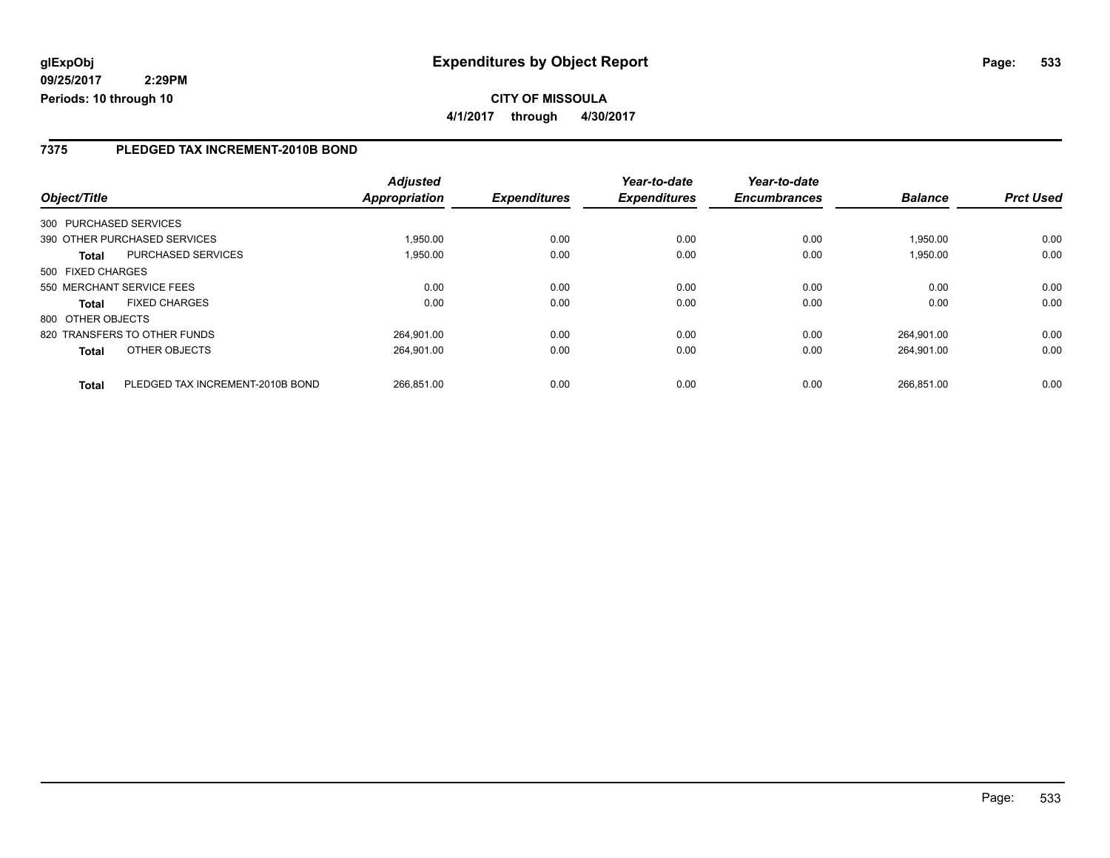**4/1/2017 through 4/30/2017**

### **7375 PLEDGED TAX INCREMENT-2010B BOND**

| Object/Title      |                                  | <b>Adjusted</b><br>Appropriation | <b>Expenditures</b> | Year-to-date<br><b>Expenditures</b> | Year-to-date<br><b>Encumbrances</b> | <b>Balance</b> | <b>Prct Used</b> |
|-------------------|----------------------------------|----------------------------------|---------------------|-------------------------------------|-------------------------------------|----------------|------------------|
|                   |                                  |                                  |                     |                                     |                                     |                |                  |
|                   | 300 PURCHASED SERVICES           |                                  |                     |                                     |                                     |                |                  |
|                   | 390 OTHER PURCHASED SERVICES     | 1,950.00                         | 0.00                | 0.00                                | 0.00                                | 1.950.00       | 0.00             |
| <b>Total</b>      | PURCHASED SERVICES               | 1,950.00                         | 0.00                | 0.00                                | 0.00                                | 1,950.00       | 0.00             |
| 500 FIXED CHARGES |                                  |                                  |                     |                                     |                                     |                |                  |
|                   | 550 MERCHANT SERVICE FEES        | 0.00                             | 0.00                | 0.00                                | 0.00                                | 0.00           | 0.00             |
| <b>Total</b>      | <b>FIXED CHARGES</b>             | 0.00                             | 0.00                | 0.00                                | 0.00                                | 0.00           | 0.00             |
| 800 OTHER OBJECTS |                                  |                                  |                     |                                     |                                     |                |                  |
|                   | 820 TRANSFERS TO OTHER FUNDS     | 264.901.00                       | 0.00                | 0.00                                | 0.00                                | 264.901.00     | 0.00             |
| <b>Total</b>      | OTHER OBJECTS                    | 264.901.00                       | 0.00                | 0.00                                | 0.00                                | 264.901.00     | 0.00             |
| <b>Total</b>      | PLEDGED TAX INCREMENT-2010B BOND | 266.851.00                       | 0.00                | 0.00                                | 0.00                                | 266.851.00     | 0.00             |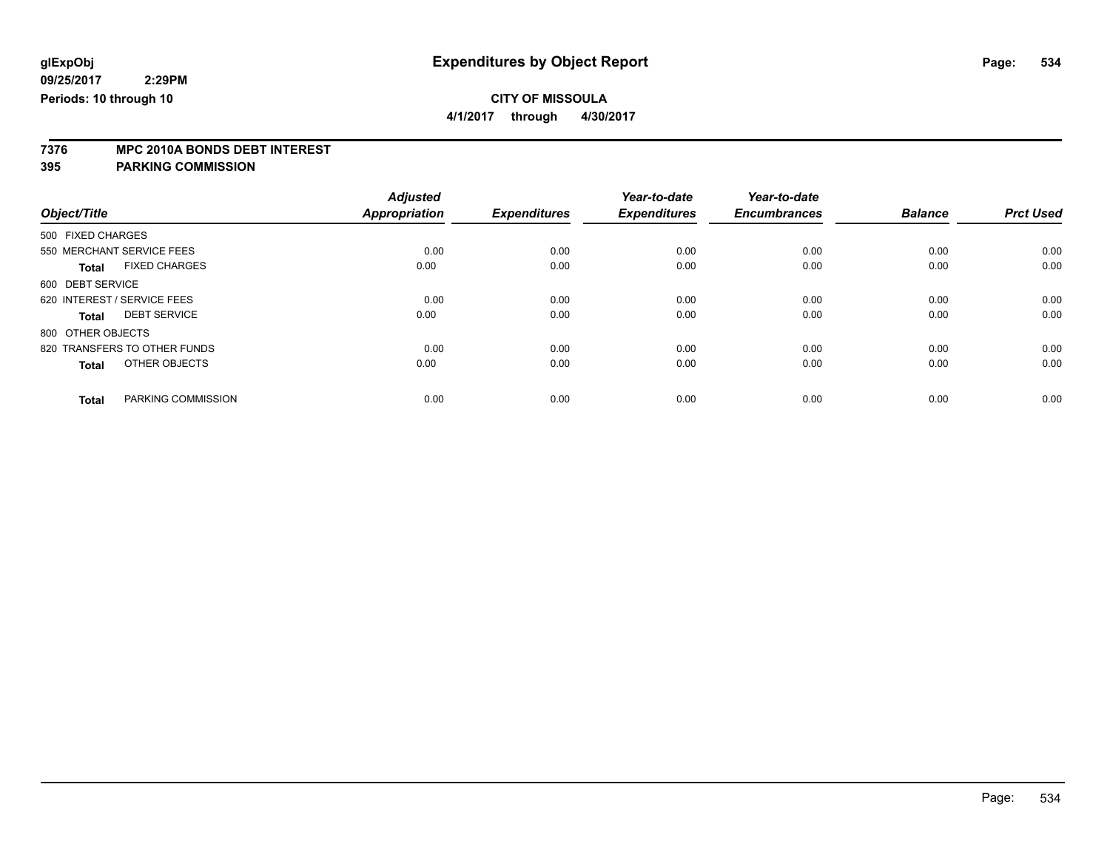**4/1/2017 through 4/30/2017**

# **7376 MPC 2010A BONDS DEBT INTEREST**

|                                      | <b>Adjusted</b>      |                     | Year-to-date        | Year-to-date        |                |                  |
|--------------------------------------|----------------------|---------------------|---------------------|---------------------|----------------|------------------|
| Object/Title                         | <b>Appropriation</b> | <b>Expenditures</b> | <b>Expenditures</b> | <b>Encumbrances</b> | <b>Balance</b> | <b>Prct Used</b> |
| 500 FIXED CHARGES                    |                      |                     |                     |                     |                |                  |
| 550 MERCHANT SERVICE FEES            | 0.00                 | 0.00                | 0.00                | 0.00                | 0.00           | 0.00             |
| <b>FIXED CHARGES</b><br><b>Total</b> | 0.00                 | 0.00                | 0.00                | 0.00                | 0.00           | 0.00             |
| 600 DEBT SERVICE                     |                      |                     |                     |                     |                |                  |
| 620 INTEREST / SERVICE FEES          | 0.00                 | 0.00                | 0.00                | 0.00                | 0.00           | 0.00             |
| <b>DEBT SERVICE</b><br><b>Total</b>  | 0.00                 | 0.00                | 0.00                | 0.00                | 0.00           | 0.00             |
| 800 OTHER OBJECTS                    |                      |                     |                     |                     |                |                  |
| 820 TRANSFERS TO OTHER FUNDS         | 0.00                 | 0.00                | 0.00                | 0.00                | 0.00           | 0.00             |
| OTHER OBJECTS<br><b>Total</b>        | 0.00                 | 0.00                | 0.00                | 0.00                | 0.00           | 0.00             |
|                                      |                      |                     |                     |                     |                |                  |
| PARKING COMMISSION<br><b>Total</b>   | 0.00                 | 0.00                | 0.00                | 0.00                | 0.00           | 0.00             |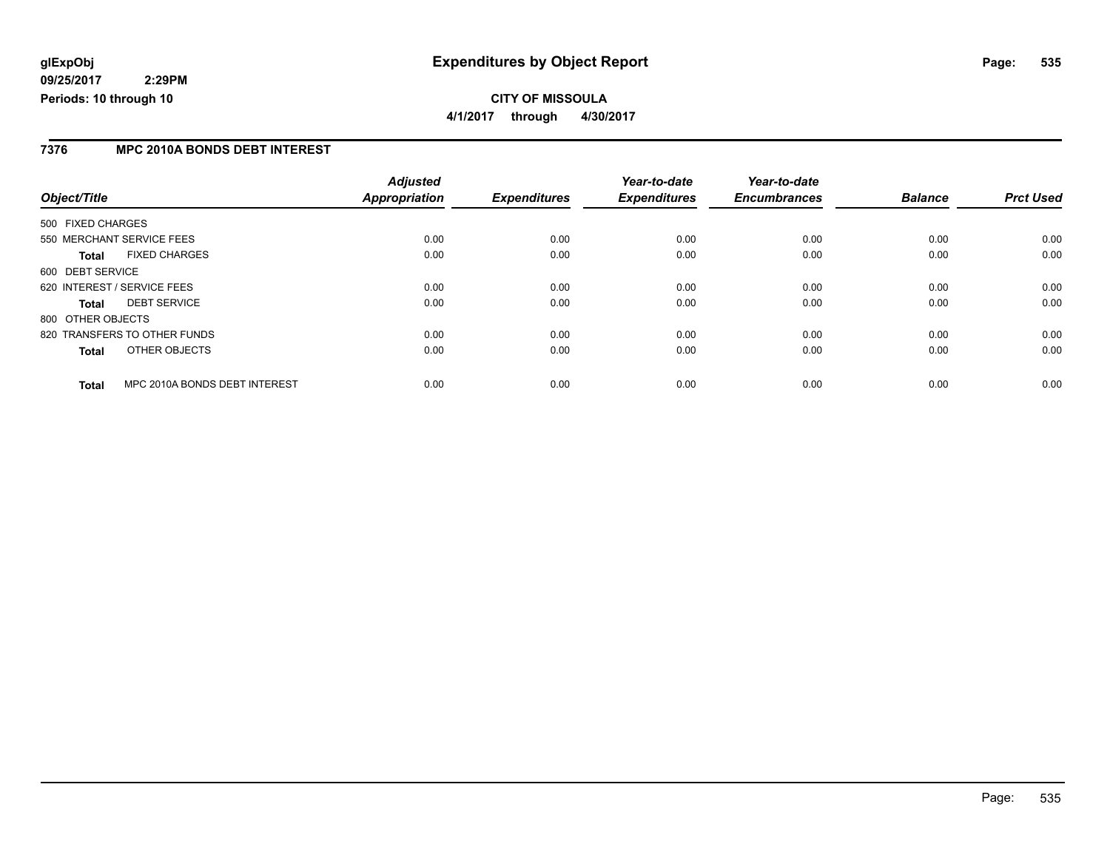### **7376 MPC 2010A BONDS DEBT INTEREST**

|                                               | <b>Adjusted</b> |                     | Year-to-date        | Year-to-date        |                |                  |
|-----------------------------------------------|-----------------|---------------------|---------------------|---------------------|----------------|------------------|
| Object/Title                                  | Appropriation   | <b>Expenditures</b> | <b>Expenditures</b> | <b>Encumbrances</b> | <b>Balance</b> | <b>Prct Used</b> |
| 500 FIXED CHARGES                             |                 |                     |                     |                     |                |                  |
| 550 MERCHANT SERVICE FEES                     | 0.00            | 0.00                | 0.00                | 0.00                | 0.00           | 0.00             |
| <b>FIXED CHARGES</b><br><b>Total</b>          | 0.00            | 0.00                | 0.00                | 0.00                | 0.00           | 0.00             |
| 600 DEBT SERVICE                              |                 |                     |                     |                     |                |                  |
| 620 INTEREST / SERVICE FEES                   | 0.00            | 0.00                | 0.00                | 0.00                | 0.00           | 0.00             |
| <b>DEBT SERVICE</b><br><b>Total</b>           | 0.00            | 0.00                | 0.00                | 0.00                | 0.00           | 0.00             |
| 800 OTHER OBJECTS                             |                 |                     |                     |                     |                |                  |
| 820 TRANSFERS TO OTHER FUNDS                  | 0.00            | 0.00                | 0.00                | 0.00                | 0.00           | 0.00             |
| OTHER OBJECTS<br><b>Total</b>                 | 0.00            | 0.00                | 0.00                | 0.00                | 0.00           | 0.00             |
| MPC 2010A BONDS DEBT INTEREST<br><b>Total</b> | 0.00            | 0.00                | 0.00                | 0.00                | 0.00           | 0.00             |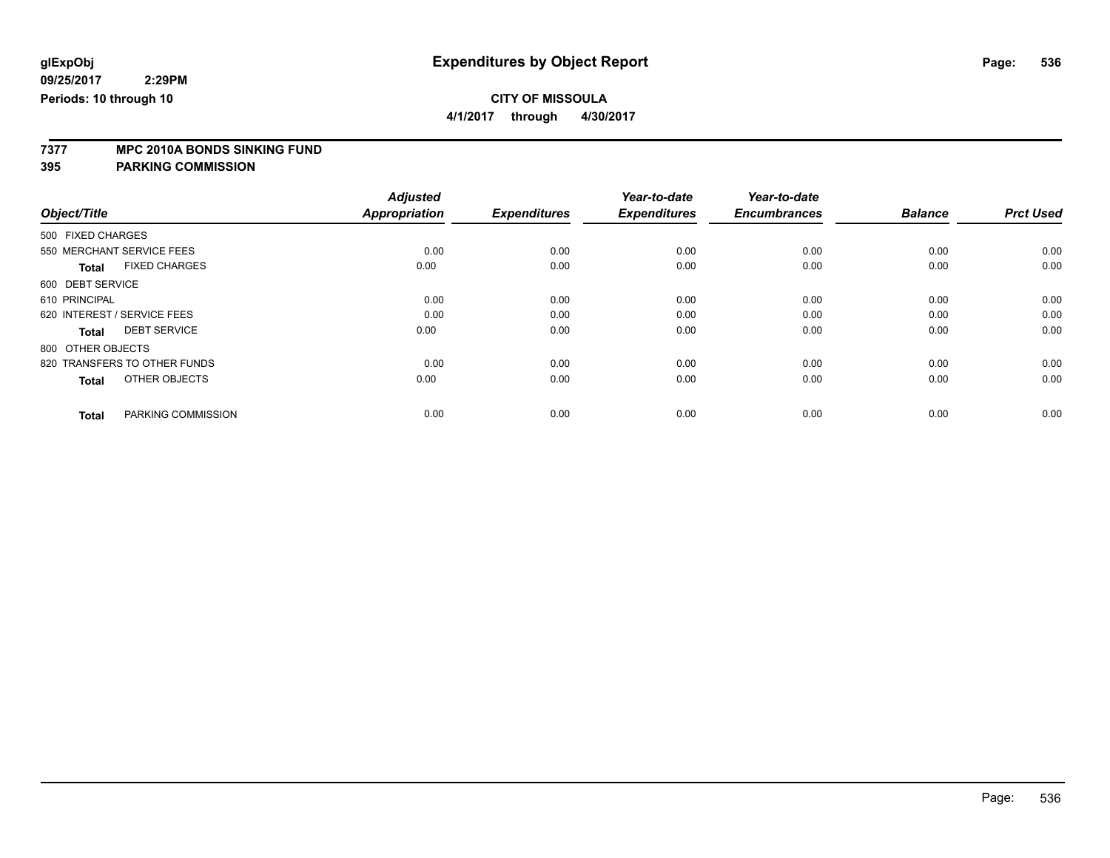**4/1/2017 through 4/30/2017**

# **7377 MPC 2010A BONDS SINKING FUND**

| Object/Title                         | <b>Adjusted</b><br><b>Appropriation</b> | <b>Expenditures</b> | Year-to-date<br><b>Expenditures</b> | Year-to-date<br><b>Encumbrances</b> | <b>Balance</b> | <b>Prct Used</b> |
|--------------------------------------|-----------------------------------------|---------------------|-------------------------------------|-------------------------------------|----------------|------------------|
|                                      |                                         |                     |                                     |                                     |                |                  |
| 500 FIXED CHARGES                    |                                         |                     |                                     |                                     |                |                  |
| 550 MERCHANT SERVICE FEES            | 0.00                                    | 0.00                | 0.00                                | 0.00                                | 0.00           | 0.00             |
| <b>FIXED CHARGES</b><br><b>Total</b> | 0.00                                    | 0.00                | 0.00                                | 0.00                                | 0.00           | 0.00             |
| 600 DEBT SERVICE                     |                                         |                     |                                     |                                     |                |                  |
| 610 PRINCIPAL                        | 0.00                                    | 0.00                | 0.00                                | 0.00                                | 0.00           | 0.00             |
| 620 INTEREST / SERVICE FEES          | 0.00                                    | 0.00                | 0.00                                | 0.00                                | 0.00           | 0.00             |
| <b>DEBT SERVICE</b><br><b>Total</b>  | 0.00                                    | 0.00                | 0.00                                | 0.00                                | 0.00           | 0.00             |
| 800 OTHER OBJECTS                    |                                         |                     |                                     |                                     |                |                  |
| 820 TRANSFERS TO OTHER FUNDS         | 0.00                                    | 0.00                | 0.00                                | 0.00                                | 0.00           | 0.00             |
| OTHER OBJECTS<br><b>Total</b>        | 0.00                                    | 0.00                | 0.00                                | 0.00                                | 0.00           | 0.00             |
|                                      |                                         |                     |                                     |                                     |                |                  |
| PARKING COMMISSION<br><b>Total</b>   | 0.00                                    | 0.00                | 0.00                                | 0.00                                | 0.00           | 0.00             |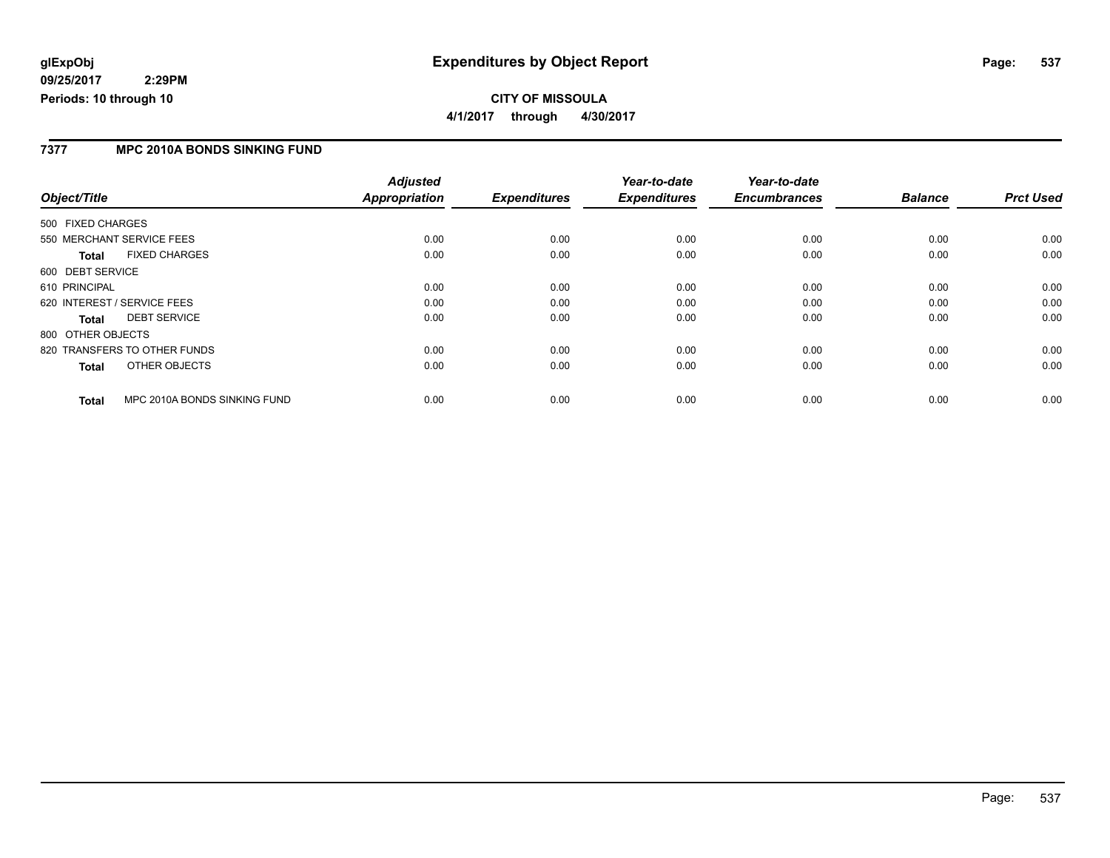### **7377 MPC 2010A BONDS SINKING FUND**

|                                              | <b>Adjusted</b>      |                     | Year-to-date        | Year-to-date        |                |                  |
|----------------------------------------------|----------------------|---------------------|---------------------|---------------------|----------------|------------------|
| Object/Title                                 | <b>Appropriation</b> | <b>Expenditures</b> | <b>Expenditures</b> | <b>Encumbrances</b> | <b>Balance</b> | <b>Prct Used</b> |
| 500 FIXED CHARGES                            |                      |                     |                     |                     |                |                  |
| 550 MERCHANT SERVICE FEES                    | 0.00                 | 0.00                | 0.00                | 0.00                | 0.00           | 0.00             |
| <b>FIXED CHARGES</b><br><b>Total</b>         | 0.00                 | 0.00                | 0.00                | 0.00                | 0.00           | 0.00             |
| 600 DEBT SERVICE                             |                      |                     |                     |                     |                |                  |
| 610 PRINCIPAL                                | 0.00                 | 0.00                | 0.00                | 0.00                | 0.00           | 0.00             |
| 620 INTEREST / SERVICE FEES                  | 0.00                 | 0.00                | 0.00                | 0.00                | 0.00           | 0.00             |
| <b>DEBT SERVICE</b><br><b>Total</b>          | 0.00                 | 0.00                | 0.00                | 0.00                | 0.00           | 0.00             |
| 800 OTHER OBJECTS                            |                      |                     |                     |                     |                |                  |
| 820 TRANSFERS TO OTHER FUNDS                 | 0.00                 | 0.00                | 0.00                | 0.00                | 0.00           | 0.00             |
| OTHER OBJECTS<br><b>Total</b>                | 0.00                 | 0.00                | 0.00                | 0.00                | 0.00           | 0.00             |
| MPC 2010A BONDS SINKING FUND<br><b>Total</b> | 0.00                 | 0.00                | 0.00                | 0.00                | 0.00           | 0.00             |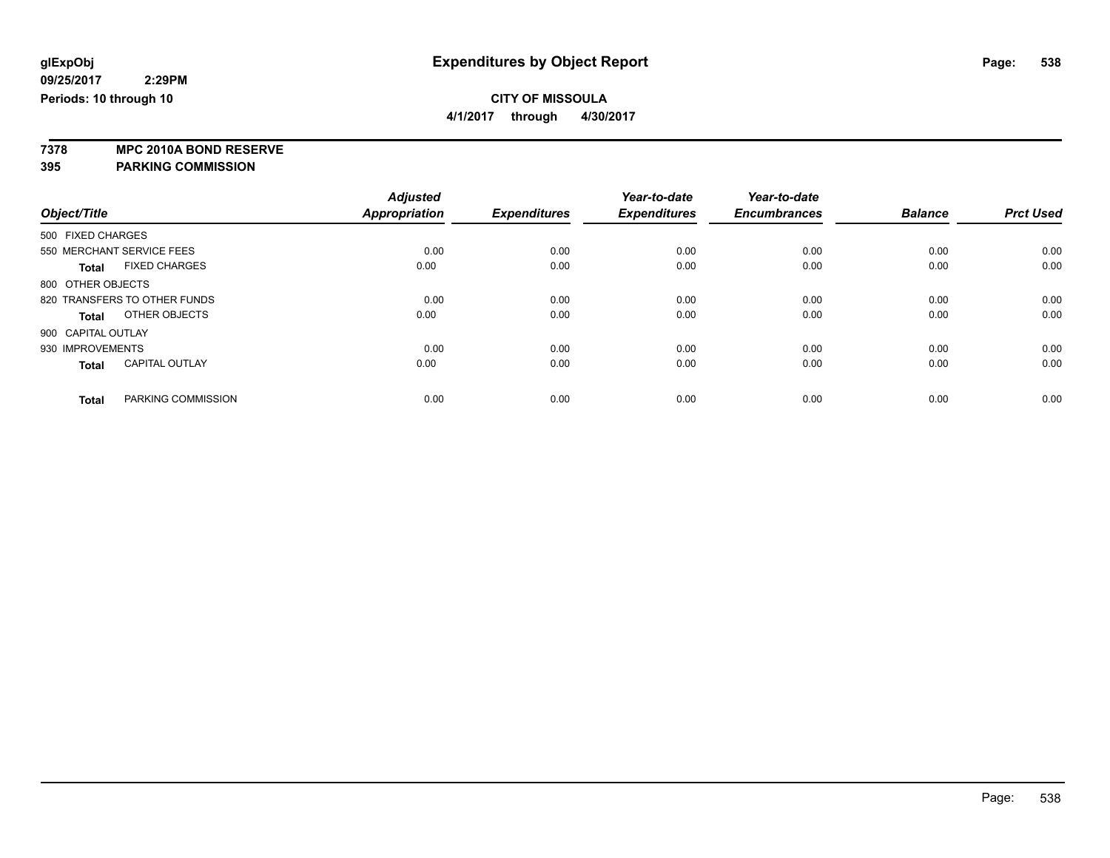**4/1/2017 through 4/30/2017**

**7378 MPC 2010A BOND RESERVE**

|                                       | <b>Adjusted</b> |                     | Year-to-date        | Year-to-date        |                |                  |
|---------------------------------------|-----------------|---------------------|---------------------|---------------------|----------------|------------------|
| Object/Title                          | Appropriation   | <b>Expenditures</b> | <b>Expenditures</b> | <b>Encumbrances</b> | <b>Balance</b> | <b>Prct Used</b> |
| 500 FIXED CHARGES                     |                 |                     |                     |                     |                |                  |
| 550 MERCHANT SERVICE FEES             | 0.00            | 0.00                | 0.00                | 0.00                | 0.00           | 0.00             |
| <b>FIXED CHARGES</b><br><b>Total</b>  | 0.00            | 0.00                | 0.00                | 0.00                | 0.00           | 0.00             |
| 800 OTHER OBJECTS                     |                 |                     |                     |                     |                |                  |
| 820 TRANSFERS TO OTHER FUNDS          | 0.00            | 0.00                | 0.00                | 0.00                | 0.00           | 0.00             |
| OTHER OBJECTS<br><b>Total</b>         | 0.00            | 0.00                | 0.00                | 0.00                | 0.00           | 0.00             |
| 900 CAPITAL OUTLAY                    |                 |                     |                     |                     |                |                  |
| 930 IMPROVEMENTS                      | 0.00            | 0.00                | 0.00                | 0.00                | 0.00           | 0.00             |
| <b>CAPITAL OUTLAY</b><br><b>Total</b> | 0.00            | 0.00                | 0.00                | 0.00                | 0.00           | 0.00             |
|                                       |                 |                     |                     |                     |                |                  |
| PARKING COMMISSION<br><b>Total</b>    | 0.00            | 0.00                | 0.00                | 0.00                | 0.00           | 0.00             |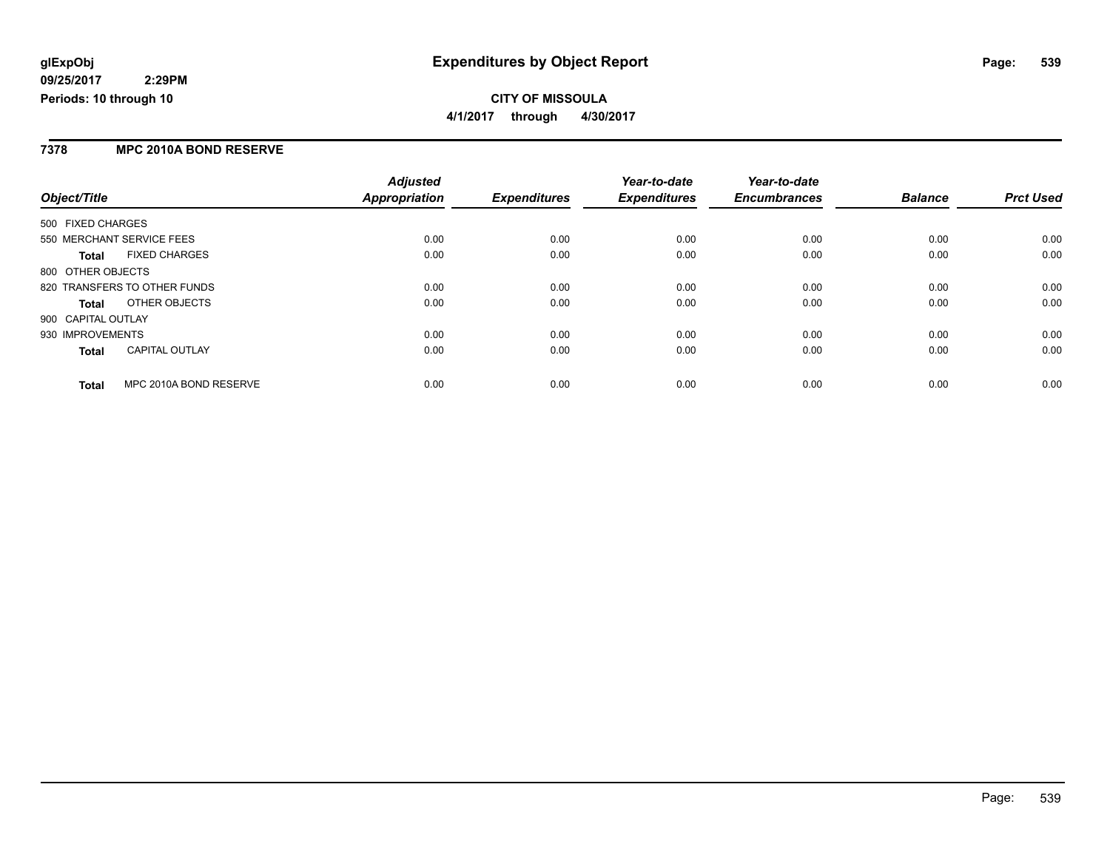### **7378 MPC 2010A BOND RESERVE**

|                                        | <b>Adjusted</b> |                     | Year-to-date        | Year-to-date        |                |                  |
|----------------------------------------|-----------------|---------------------|---------------------|---------------------|----------------|------------------|
| Object/Title                           | Appropriation   | <b>Expenditures</b> | <b>Expenditures</b> | <b>Encumbrances</b> | <b>Balance</b> | <b>Prct Used</b> |
| 500 FIXED CHARGES                      |                 |                     |                     |                     |                |                  |
| 550 MERCHANT SERVICE FEES              | 0.00            | 0.00                | 0.00                | 0.00                | 0.00           | 0.00             |
| <b>FIXED CHARGES</b><br><b>Total</b>   | 0.00            | 0.00                | 0.00                | 0.00                | 0.00           | 0.00             |
| 800 OTHER OBJECTS                      |                 |                     |                     |                     |                |                  |
| 820 TRANSFERS TO OTHER FUNDS           | 0.00            | 0.00                | 0.00                | 0.00                | 0.00           | 0.00             |
| OTHER OBJECTS<br>Total                 | 0.00            | 0.00                | 0.00                | 0.00                | 0.00           | 0.00             |
| 900 CAPITAL OUTLAY                     |                 |                     |                     |                     |                |                  |
| 930 IMPROVEMENTS                       | 0.00            | 0.00                | 0.00                | 0.00                | 0.00           | 0.00             |
| <b>CAPITAL OUTLAY</b><br><b>Total</b>  | 0.00            | 0.00                | 0.00                | 0.00                | 0.00           | 0.00             |
| MPC 2010A BOND RESERVE<br><b>Total</b> | 0.00            | 0.00                | 0.00                | 0.00                | 0.00           | 0.00             |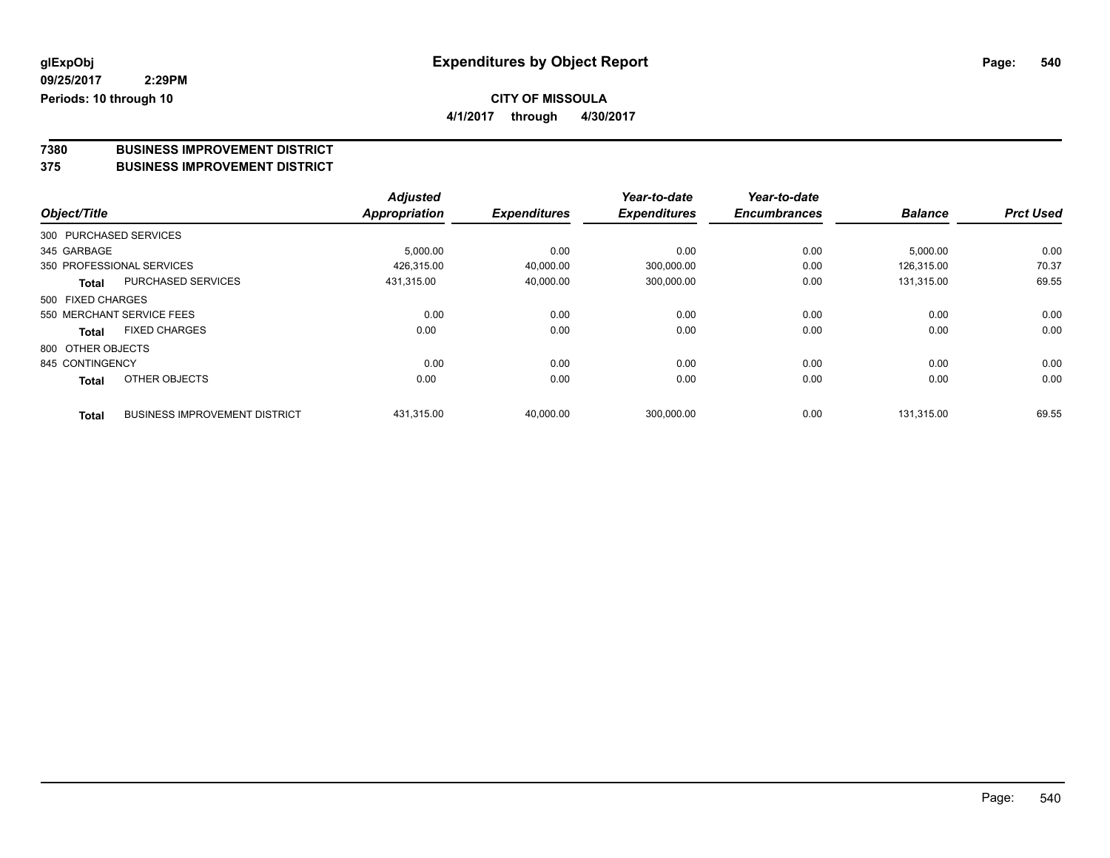**4/1/2017 through 4/30/2017**

# **7380 BUSINESS IMPROVEMENT DISTRICT**

#### **375 BUSINESS IMPROVEMENT DISTRICT**

|                        |                                      | <b>Adjusted</b> |                     | Year-to-date        | Year-to-date        |                |                  |
|------------------------|--------------------------------------|-----------------|---------------------|---------------------|---------------------|----------------|------------------|
| Object/Title           |                                      | Appropriation   | <b>Expenditures</b> | <b>Expenditures</b> | <b>Encumbrances</b> | <b>Balance</b> | <b>Prct Used</b> |
| 300 PURCHASED SERVICES |                                      |                 |                     |                     |                     |                |                  |
| 345 GARBAGE            |                                      | 5,000.00        | 0.00                | 0.00                | 0.00                | 5,000.00       | 0.00             |
|                        | 350 PROFESSIONAL SERVICES            | 426.315.00      | 40,000.00           | 300,000.00          | 0.00                | 126,315.00     | 70.37            |
| Total                  | <b>PURCHASED SERVICES</b>            | 431,315.00      | 40,000.00           | 300,000.00          | 0.00                | 131,315.00     | 69.55            |
| 500 FIXED CHARGES      |                                      |                 |                     |                     |                     |                |                  |
|                        | 550 MERCHANT SERVICE FEES            | 0.00            | 0.00                | 0.00                | 0.00                | 0.00           | 0.00             |
| Total                  | <b>FIXED CHARGES</b>                 | 0.00            | 0.00                | 0.00                | 0.00                | 0.00           | 0.00             |
| 800 OTHER OBJECTS      |                                      |                 |                     |                     |                     |                |                  |
| 845 CONTINGENCY        |                                      | 0.00            | 0.00                | 0.00                | 0.00                | 0.00           | 0.00             |
| <b>Total</b>           | OTHER OBJECTS                        | 0.00            | 0.00                | 0.00                | 0.00                | 0.00           | 0.00             |
| <b>Total</b>           | <b>BUSINESS IMPROVEMENT DISTRICT</b> | 431.315.00      | 40.000.00           | 300.000.00          | 0.00                | 131.315.00     | 69.55            |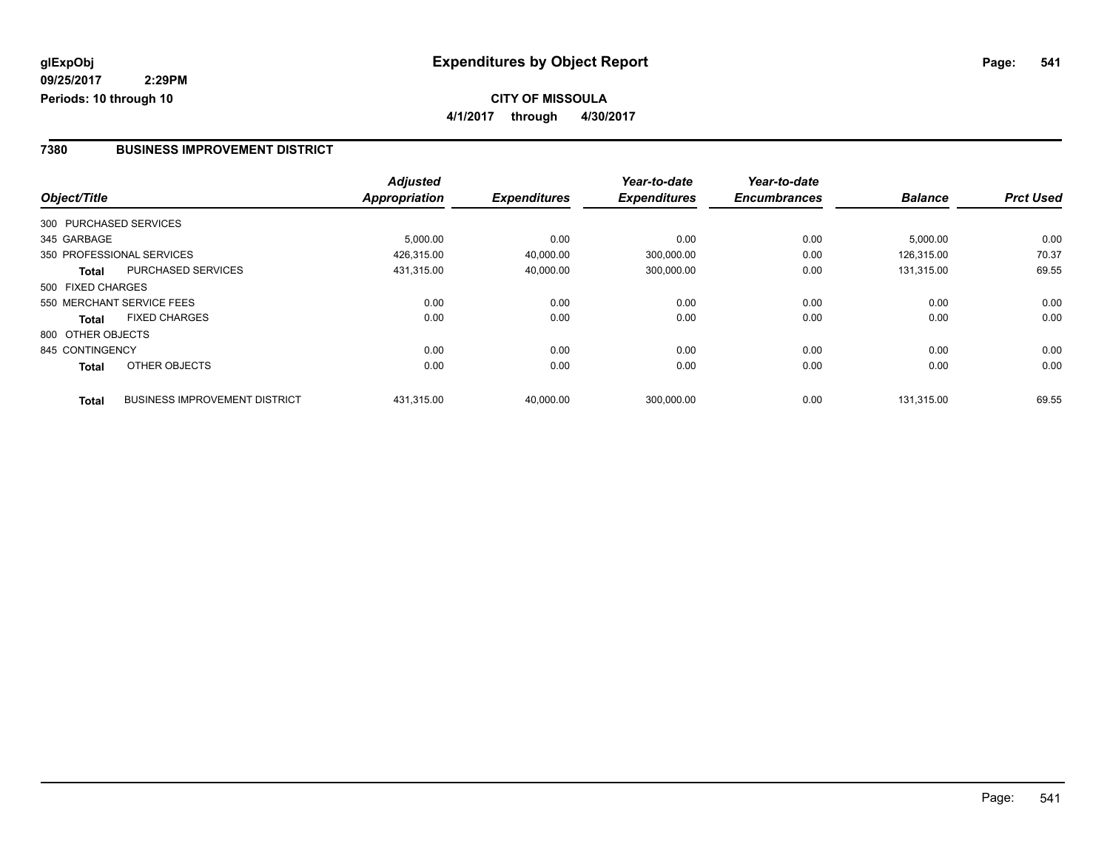**4/1/2017 through 4/30/2017**

#### **7380 BUSINESS IMPROVEMENT DISTRICT**

|                   |                                      | <b>Adjusted</b>      |                     | Year-to-date        | Year-to-date        |                |                  |
|-------------------|--------------------------------------|----------------------|---------------------|---------------------|---------------------|----------------|------------------|
| Object/Title      |                                      | <b>Appropriation</b> | <b>Expenditures</b> | <b>Expenditures</b> | <b>Encumbrances</b> | <b>Balance</b> | <b>Prct Used</b> |
|                   | 300 PURCHASED SERVICES               |                      |                     |                     |                     |                |                  |
| 345 GARBAGE       |                                      | 5,000.00             | 0.00                | 0.00                | 0.00                | 5,000.00       | 0.00             |
|                   | 350 PROFESSIONAL SERVICES            | 426,315.00           | 40,000.00           | 300,000.00          | 0.00                | 126,315.00     | 70.37            |
| <b>Total</b>      | <b>PURCHASED SERVICES</b>            | 431,315.00           | 40,000.00           | 300,000.00          | 0.00                | 131,315.00     | 69.55            |
| 500 FIXED CHARGES |                                      |                      |                     |                     |                     |                |                  |
|                   | 550 MERCHANT SERVICE FEES            | 0.00                 | 0.00                | 0.00                | 0.00                | 0.00           | 0.00             |
| <b>Total</b>      | <b>FIXED CHARGES</b>                 | 0.00                 | 0.00                | 0.00                | 0.00                | 0.00           | 0.00             |
| 800 OTHER OBJECTS |                                      |                      |                     |                     |                     |                |                  |
| 845 CONTINGENCY   |                                      | 0.00                 | 0.00                | 0.00                | 0.00                | 0.00           | 0.00             |
| <b>Total</b>      | OTHER OBJECTS                        | 0.00                 | 0.00                | 0.00                | 0.00                | 0.00           | 0.00             |
| <b>Total</b>      | <b>BUSINESS IMPROVEMENT DISTRICT</b> | 431,315.00           | 40.000.00           | 300,000.00          | 0.00                | 131.315.00     | 69.55            |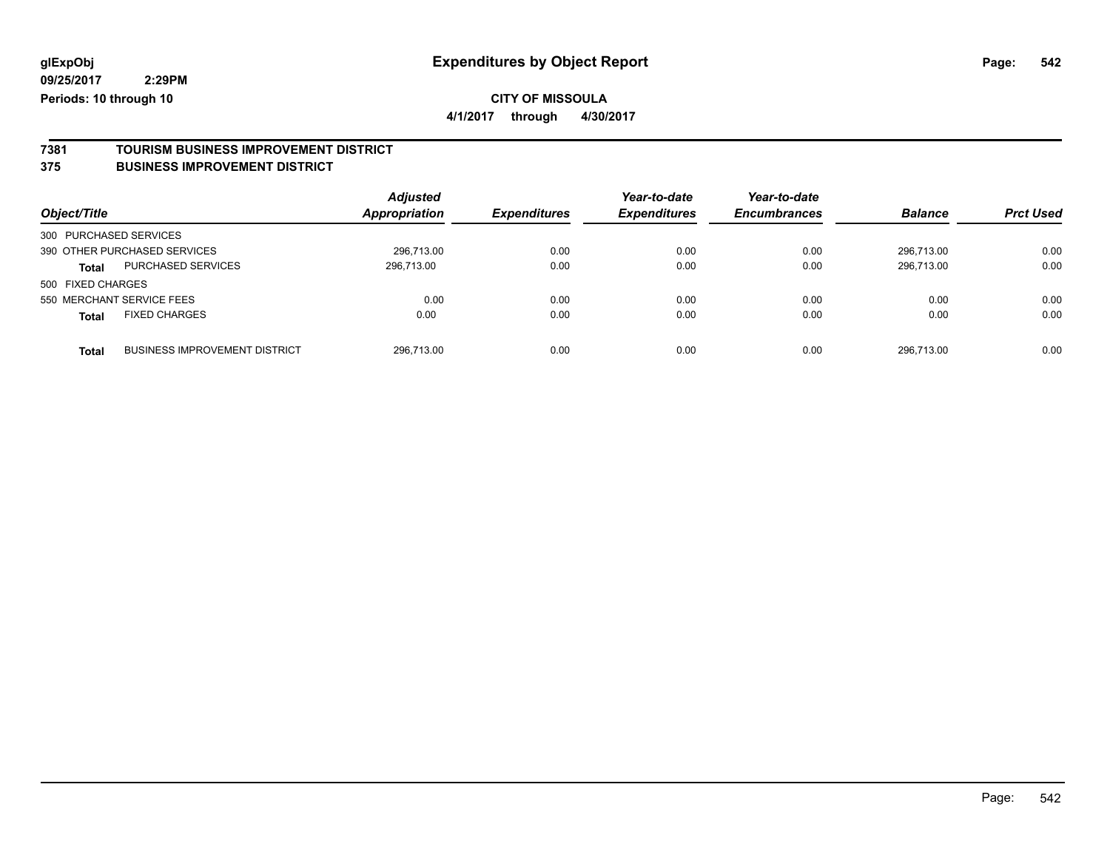**4/1/2017 through 4/30/2017**

# **7381 TOURISM BUSINESS IMPROVEMENT DISTRICT**

#### **375 BUSINESS IMPROVEMENT DISTRICT**

| Object/Title                         |                                      | <b>Adjusted</b><br><b>Appropriation</b> | <b>Expenditures</b> | Year-to-date<br><b>Expenditures</b> | Year-to-date<br><b>Encumbrances</b> | <b>Balance</b> | <b>Prct Used</b> |
|--------------------------------------|--------------------------------------|-----------------------------------------|---------------------|-------------------------------------|-------------------------------------|----------------|------------------|
| 300 PURCHASED SERVICES               |                                      |                                         |                     |                                     |                                     |                |                  |
| 390 OTHER PURCHASED SERVICES         |                                      | 296.713.00                              | 0.00                | 0.00                                | 0.00                                | 296.713.00     | 0.00             |
| <b>Total</b>                         | PURCHASED SERVICES                   | 296,713.00                              | 0.00                | 0.00                                | 0.00                                | 296,713.00     | 0.00             |
| 500 FIXED CHARGES                    |                                      |                                         |                     |                                     |                                     |                |                  |
| 550 MERCHANT SERVICE FEES            |                                      | 0.00                                    | 0.00                | 0.00                                | 0.00                                | 0.00           | 0.00             |
| <b>FIXED CHARGES</b><br><b>Total</b> |                                      | 0.00                                    | 0.00                | 0.00                                | 0.00                                | 0.00           | 0.00             |
| <b>Total</b>                         | <b>BUSINESS IMPROVEMENT DISTRICT</b> | 296.713.00                              | 0.00                | 0.00                                | 0.00                                | 296.713.00     | 0.00             |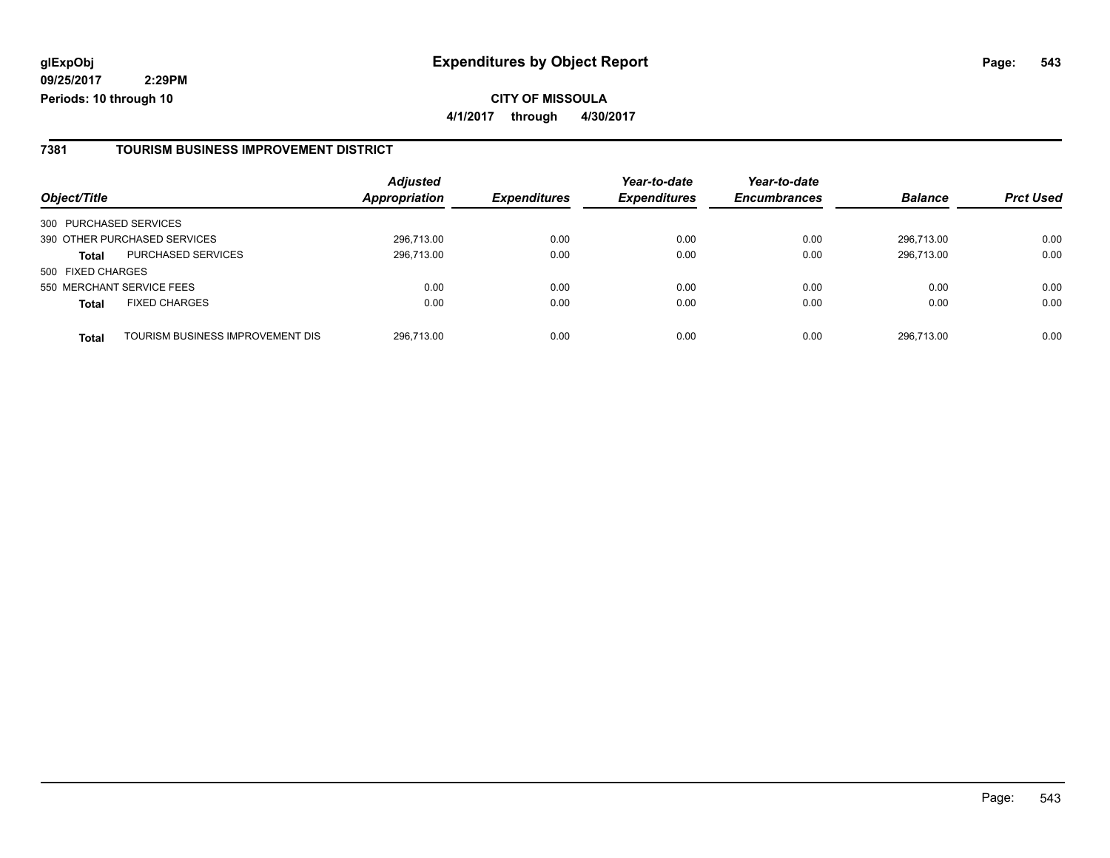| Object/Title                                     | <b>Adjusted</b><br><b>Appropriation</b> | <b>Expenditures</b> | Year-to-date<br><b>Expenditures</b> | Year-to-date<br><b>Encumbrances</b> | <b>Balance</b> | <b>Prct Used</b> |
|--------------------------------------------------|-----------------------------------------|---------------------|-------------------------------------|-------------------------------------|----------------|------------------|
| 300 PURCHASED SERVICES                           |                                         |                     |                                     |                                     |                |                  |
| 390 OTHER PURCHASED SERVICES                     | 296.713.00                              | 0.00                | 0.00                                | 0.00                                | 296.713.00     | 0.00             |
| <b>PURCHASED SERVICES</b><br><b>Total</b>        | 296,713.00                              | 0.00                | 0.00                                | 0.00                                | 296.713.00     | 0.00             |
| 500 FIXED CHARGES                                |                                         |                     |                                     |                                     |                |                  |
| 550 MERCHANT SERVICE FEES                        | 0.00                                    | 0.00                | 0.00                                | 0.00                                | 0.00           | 0.00             |
| <b>FIXED CHARGES</b><br><b>Total</b>             | 0.00                                    | 0.00                | 0.00                                | 0.00                                | 0.00           | 0.00             |
| TOURISM BUSINESS IMPROVEMENT DIS<br><b>Total</b> | 296,713.00                              | 0.00                | 0.00                                | 0.00                                | 296.713.00     | 0.00             |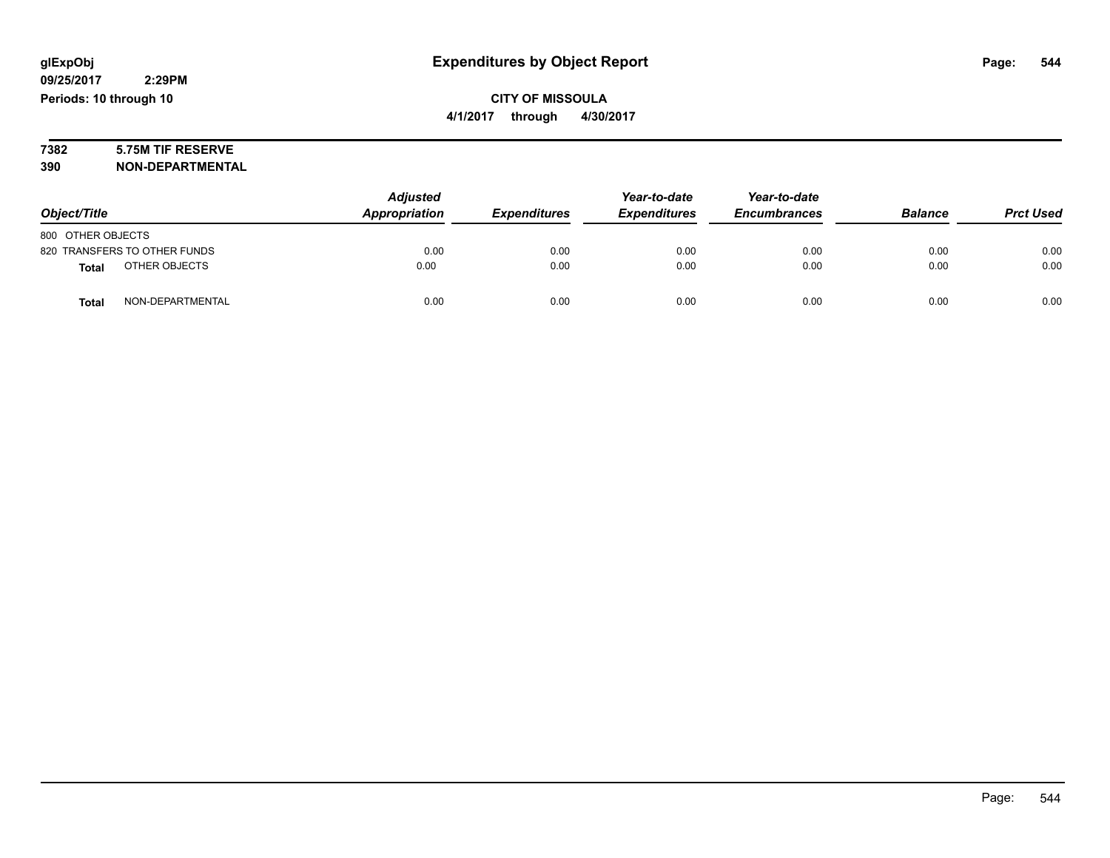# **7382 5.75M TIF RESERVE**

**390 NON-DEPARTMENTAL**

|                               | <b>Adjusted</b> |                     | Year-to-date        | Year-to-date        |                |                  |
|-------------------------------|-----------------|---------------------|---------------------|---------------------|----------------|------------------|
| Object/Title                  | Appropriation   | <b>Expenditures</b> | <b>Expenditures</b> | <b>Encumbrances</b> | <b>Balance</b> | <b>Prct Used</b> |
| 800 OTHER OBJECTS             |                 |                     |                     |                     |                |                  |
| 820 TRANSFERS TO OTHER FUNDS  | 0.00            | 0.00                | 0.00                | 0.00                | 0.00           | 0.00             |
| OTHER OBJECTS<br><b>Total</b> | 0.00            | 0.00                | 0.00                | 0.00                | 0.00           | 0.00             |
| NON-DEPARTMENTAL<br>Total     | 0.00            | 0.00                | 0.00                | 0.00                | 0.00           | 0.00             |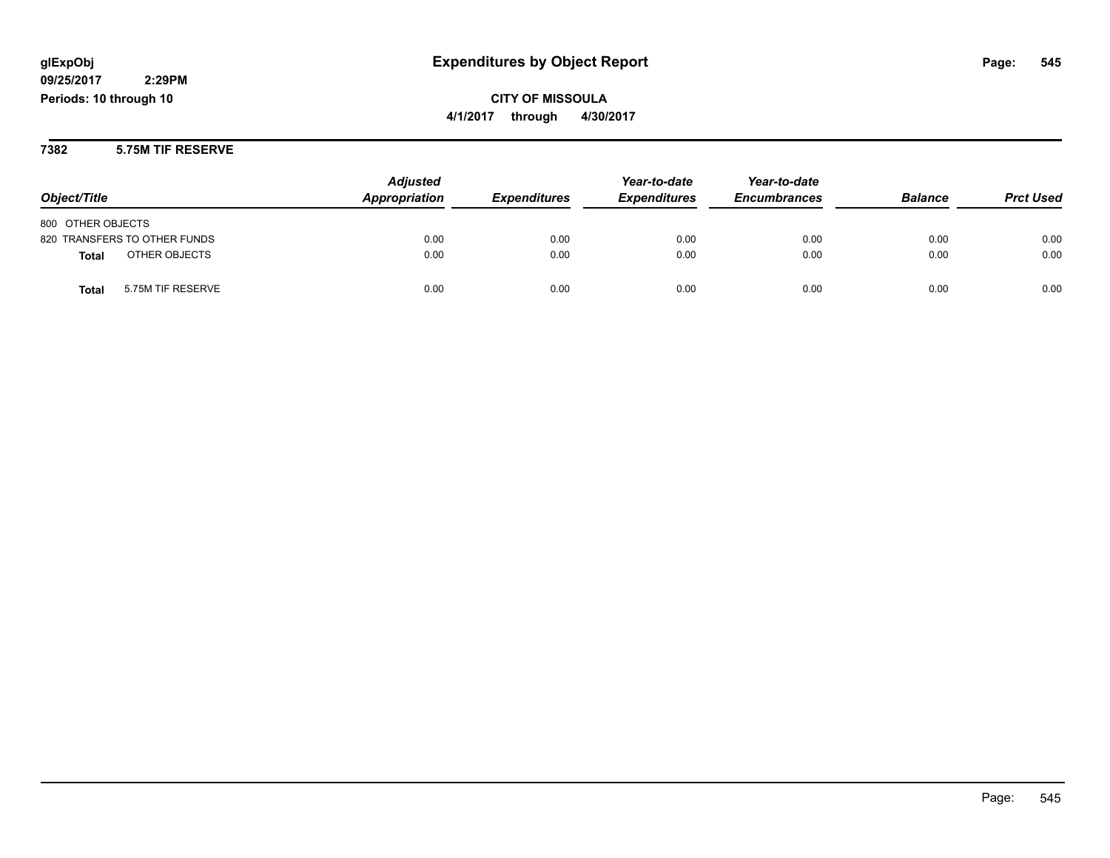# **09/25/2017**

 **2:29PM Periods: 10 through 10**

# **CITY OF MISSOULA 4/1/2017 through 4/30/2017**

#### **7382 5.75M TIF RESERVE**

| Object/Title                      | <b>Adjusted</b><br>Appropriation | <b>Expenditures</b> | Year-to-date<br><b>Expenditures</b> | Year-to-date<br><b>Encumbrances</b> | <b>Balance</b> | <b>Prct Used</b> |
|-----------------------------------|----------------------------------|---------------------|-------------------------------------|-------------------------------------|----------------|------------------|
| 800 OTHER OBJECTS                 |                                  |                     |                                     |                                     |                |                  |
| 820 TRANSFERS TO OTHER FUNDS      | 0.00                             | 0.00                | 0.00                                | 0.00                                | 0.00           | 0.00             |
| OTHER OBJECTS<br><b>Total</b>     | 0.00                             | 0.00                | 0.00                                | 0.00                                | 0.00           | 0.00             |
| 5.75M TIF RESERVE<br><b>Total</b> | 0.00                             | 0.00                | 0.00                                | 0.00                                | 0.00           | 0.00             |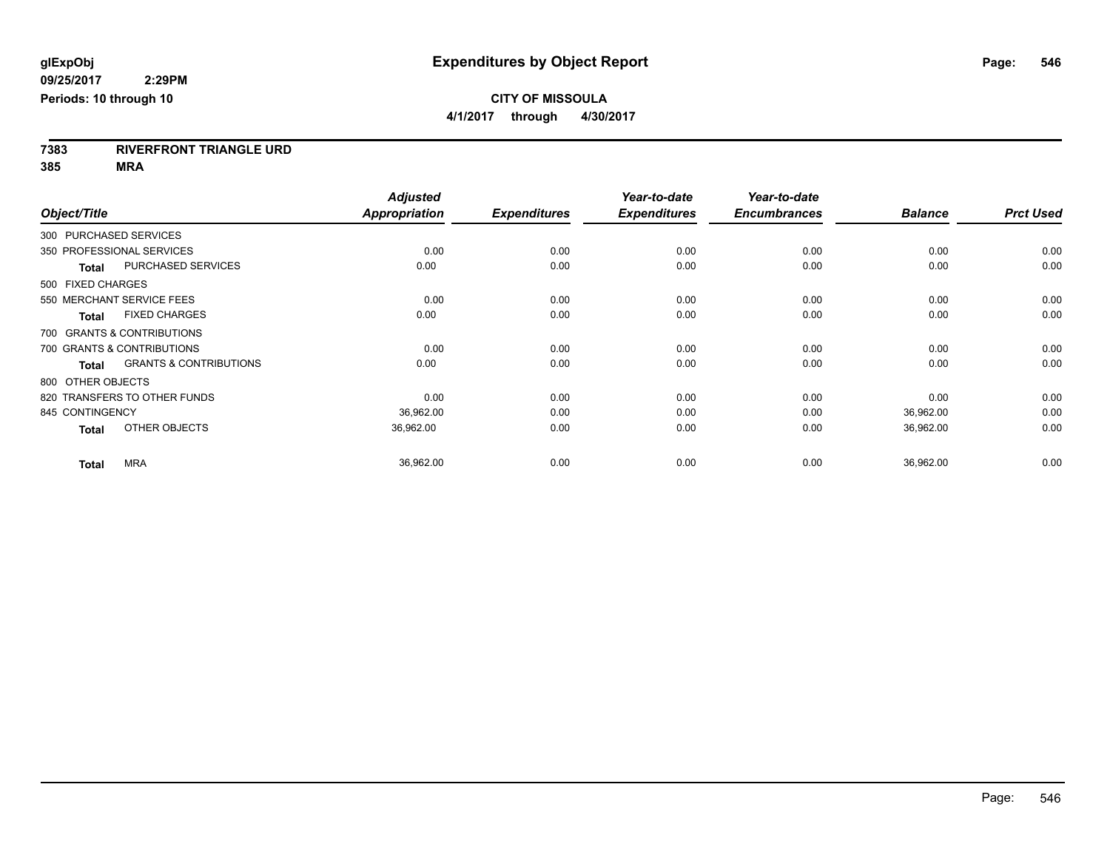**7383 RIVERFRONT TRIANGLE URD**

**385 MRA**

|                   |                                   | <b>Adjusted</b>      |                     | Year-to-date        | Year-to-date        |                |                  |
|-------------------|-----------------------------------|----------------------|---------------------|---------------------|---------------------|----------------|------------------|
| Object/Title      |                                   | <b>Appropriation</b> | <b>Expenditures</b> | <b>Expenditures</b> | <b>Encumbrances</b> | <b>Balance</b> | <b>Prct Used</b> |
|                   | 300 PURCHASED SERVICES            |                      |                     |                     |                     |                |                  |
|                   | 350 PROFESSIONAL SERVICES         | 0.00                 | 0.00                | 0.00                | 0.00                | 0.00           | 0.00             |
| <b>Total</b>      | <b>PURCHASED SERVICES</b>         | 0.00                 | 0.00                | 0.00                | 0.00                | 0.00           | 0.00             |
| 500 FIXED CHARGES |                                   |                      |                     |                     |                     |                |                  |
|                   | 550 MERCHANT SERVICE FEES         | 0.00                 | 0.00                | 0.00                | 0.00                | 0.00           | 0.00             |
| <b>Total</b>      | <b>FIXED CHARGES</b>              | 0.00                 | 0.00                | 0.00                | 0.00                | 0.00           | 0.00             |
|                   | 700 GRANTS & CONTRIBUTIONS        |                      |                     |                     |                     |                |                  |
|                   | 700 GRANTS & CONTRIBUTIONS        | 0.00                 | 0.00                | 0.00                | 0.00                | 0.00           | 0.00             |
| <b>Total</b>      | <b>GRANTS &amp; CONTRIBUTIONS</b> | 0.00                 | 0.00                | 0.00                | 0.00                | 0.00           | 0.00             |
| 800 OTHER OBJECTS |                                   |                      |                     |                     |                     |                |                  |
|                   | 820 TRANSFERS TO OTHER FUNDS      | 0.00                 | 0.00                | 0.00                | 0.00                | 0.00           | 0.00             |
| 845 CONTINGENCY   |                                   | 36,962.00            | 0.00                | 0.00                | 0.00                | 36,962.00      | 0.00             |
| <b>Total</b>      | OTHER OBJECTS                     | 36,962.00            | 0.00                | 0.00                | 0.00                | 36,962.00      | 0.00             |
| <b>Total</b>      | <b>MRA</b>                        | 36,962.00            | 0.00                | 0.00                | 0.00                | 36,962.00      | 0.00             |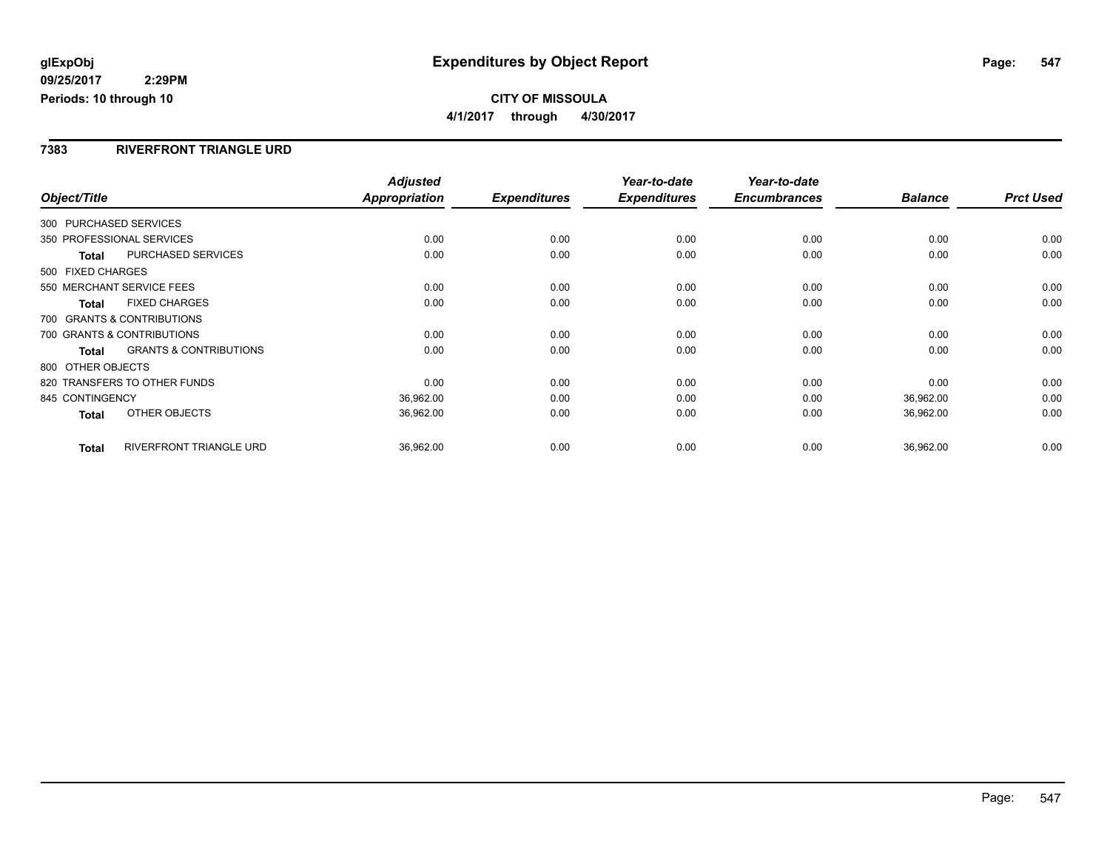### **CITY OF MISSOULA 4/1/2017 through 4/30/2017**

#### **7383 RIVERFRONT TRIANGLE URD**

| Object/Title                 |                                   | <b>Adjusted</b><br><b>Appropriation</b> | <b>Expenditures</b> | Year-to-date<br><b>Expenditures</b> | Year-to-date<br><b>Encumbrances</b> | <b>Balance</b> | <b>Prct Used</b> |
|------------------------------|-----------------------------------|-----------------------------------------|---------------------|-------------------------------------|-------------------------------------|----------------|------------------|
|                              |                                   |                                         |                     |                                     |                                     |                |                  |
| 300 PURCHASED SERVICES       |                                   |                                         |                     |                                     |                                     |                |                  |
| 350 PROFESSIONAL SERVICES    |                                   | 0.00                                    | 0.00                | 0.00                                | 0.00                                | 0.00           | 0.00             |
| <b>Total</b>                 | <b>PURCHASED SERVICES</b>         | 0.00                                    | 0.00                | 0.00                                | 0.00                                | 0.00           | 0.00             |
| 500 FIXED CHARGES            |                                   |                                         |                     |                                     |                                     |                |                  |
| 550 MERCHANT SERVICE FEES    |                                   | 0.00                                    | 0.00                | 0.00                                | 0.00                                | 0.00           | 0.00             |
| <b>Total</b>                 | <b>FIXED CHARGES</b>              | 0.00                                    | 0.00                | 0.00                                | 0.00                                | 0.00           | 0.00             |
| 700 GRANTS & CONTRIBUTIONS   |                                   |                                         |                     |                                     |                                     |                |                  |
| 700 GRANTS & CONTRIBUTIONS   |                                   | 0.00                                    | 0.00                | 0.00                                | 0.00                                | 0.00           | 0.00             |
| <b>Total</b>                 | <b>GRANTS &amp; CONTRIBUTIONS</b> | 0.00                                    | 0.00                | 0.00                                | 0.00                                | 0.00           | 0.00             |
| 800 OTHER OBJECTS            |                                   |                                         |                     |                                     |                                     |                |                  |
| 820 TRANSFERS TO OTHER FUNDS |                                   | 0.00                                    | 0.00                | 0.00                                | 0.00                                | 0.00           | 0.00             |
| 845 CONTINGENCY              |                                   | 36,962.00                               | 0.00                | 0.00                                | 0.00                                | 36,962.00      | 0.00             |
| <b>Total</b>                 | OTHER OBJECTS                     | 36,962.00                               | 0.00                | 0.00                                | 0.00                                | 36,962.00      | 0.00             |
|                              |                                   |                                         |                     |                                     |                                     |                |                  |
| <b>Total</b>                 | <b>RIVERFRONT TRIANGLE URD</b>    | 36,962.00                               | 0.00                | 0.00                                | 0.00                                | 36,962.00      | 0.00             |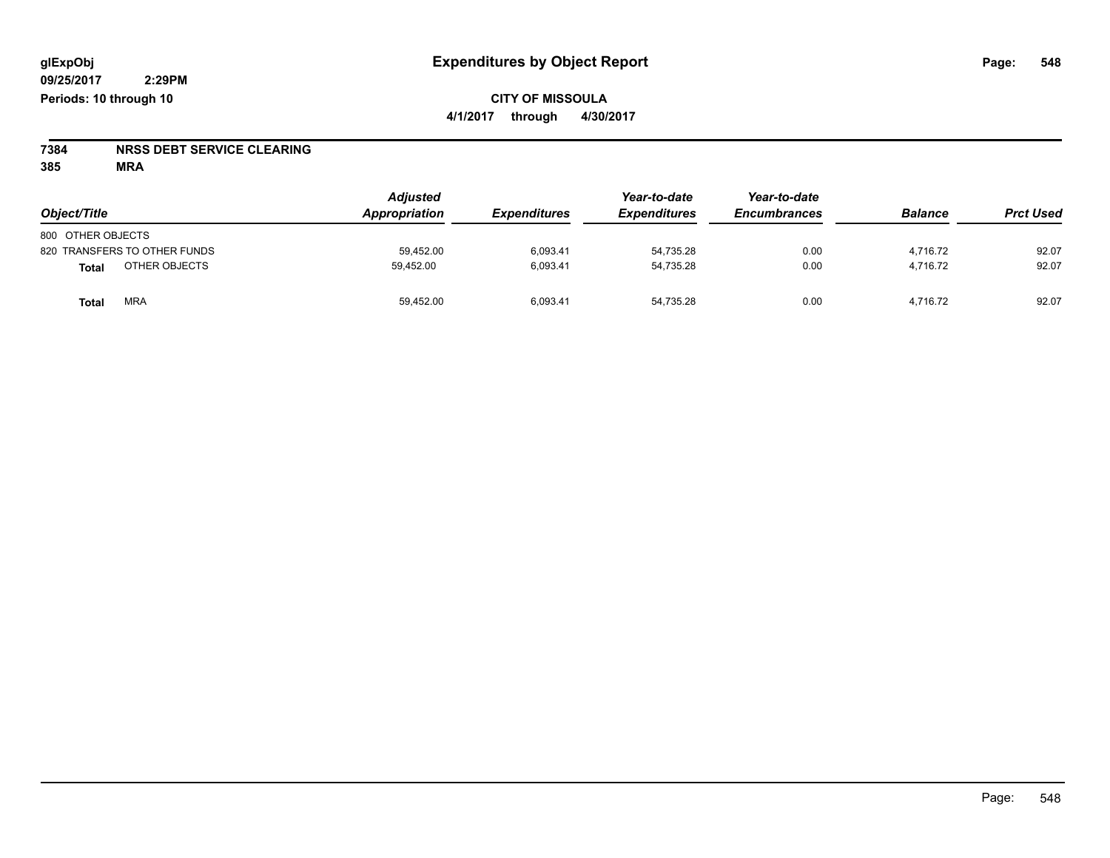# **7384 NRSS DEBT SERVICE CLEARING**

**385 MRA**

| Object/Title                 | <b>Adjusted</b><br>Appropriation<br><b>Expenditures</b> | Year-to-date<br><b>Expenditures</b> | Year-to-date<br><b>Encumbrances</b> | <b>Balance</b> | <b>Prct Used</b> |       |
|------------------------------|---------------------------------------------------------|-------------------------------------|-------------------------------------|----------------|------------------|-------|
| 800 OTHER OBJECTS            |                                                         |                                     |                                     |                |                  |       |
| 820 TRANSFERS TO OTHER FUNDS | 59,452.00                                               | 6,093.41                            | 54,735.28                           | 0.00           | 4,716.72         | 92.07 |
| OTHER OBJECTS<br>Total       | 59.452.00                                               | 6,093.41                            | 54,735.28                           | 0.00           | 4,716.72         | 92.07 |
| <b>MRA</b><br>Total          | 59,452.00                                               | 6,093.41                            | 54,735.28                           | 0.00           | 4,716.72         | 92.07 |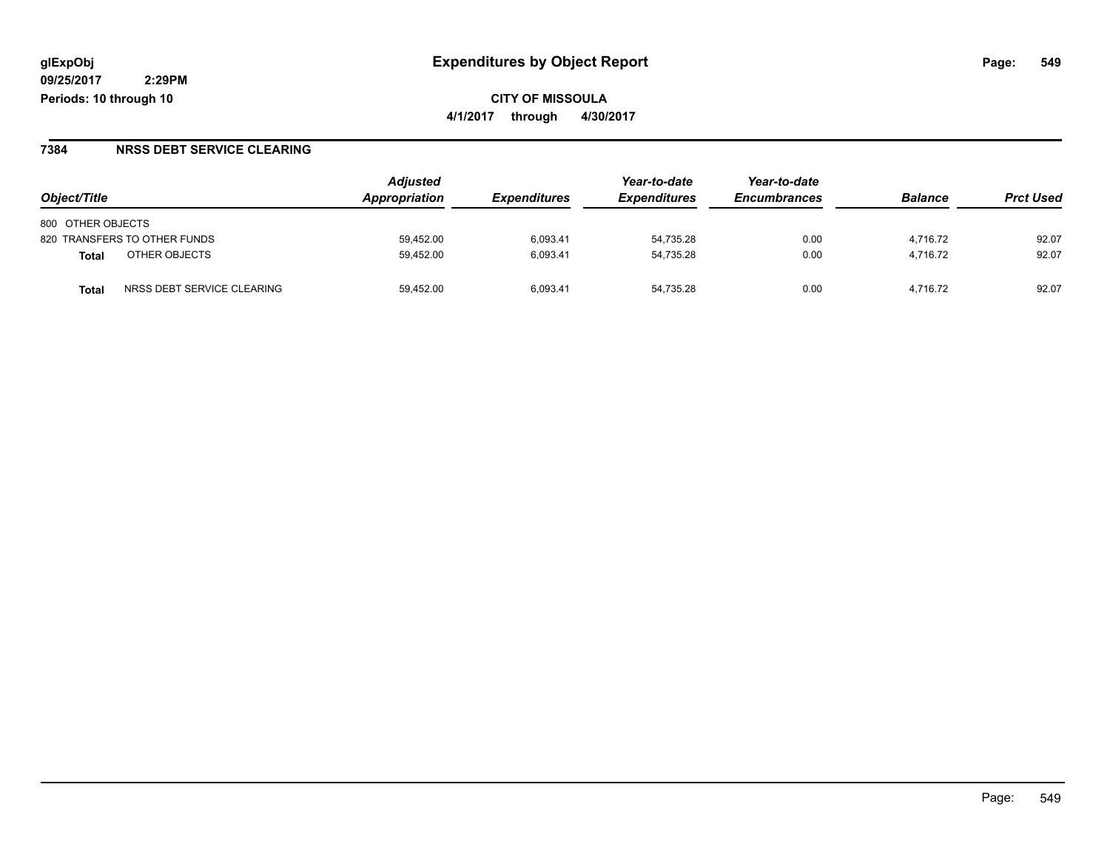#### **7384 NRSS DEBT SERVICE CLEARING**

|                                     | <b>Adjusted</b> |                     | Year-to-date        | Year-to-date        |                |                  |
|-------------------------------------|-----------------|---------------------|---------------------|---------------------|----------------|------------------|
| Object/Title                        | Appropriation   | <b>Expenditures</b> | <b>Expenditures</b> | <b>Encumbrances</b> | <b>Balance</b> | <b>Prct Used</b> |
| 800 OTHER OBJECTS                   |                 |                     |                     |                     |                |                  |
| 820 TRANSFERS TO OTHER FUNDS        | 59.452.00       | 6.093.41            | 54.735.28           | 0.00                | 4.716.72       | 92.07            |
| OTHER OBJECTS<br>Total              | 59.452.00       | 6.093.41            | 54.735.28           | 0.00                | 4.716.72       | 92.07            |
| NRSS DEBT SERVICE CLEARING<br>Total | 59.452.00       | 6.093.41            | 54.735.28           | 0.00                | 4.716.72       | 92.07            |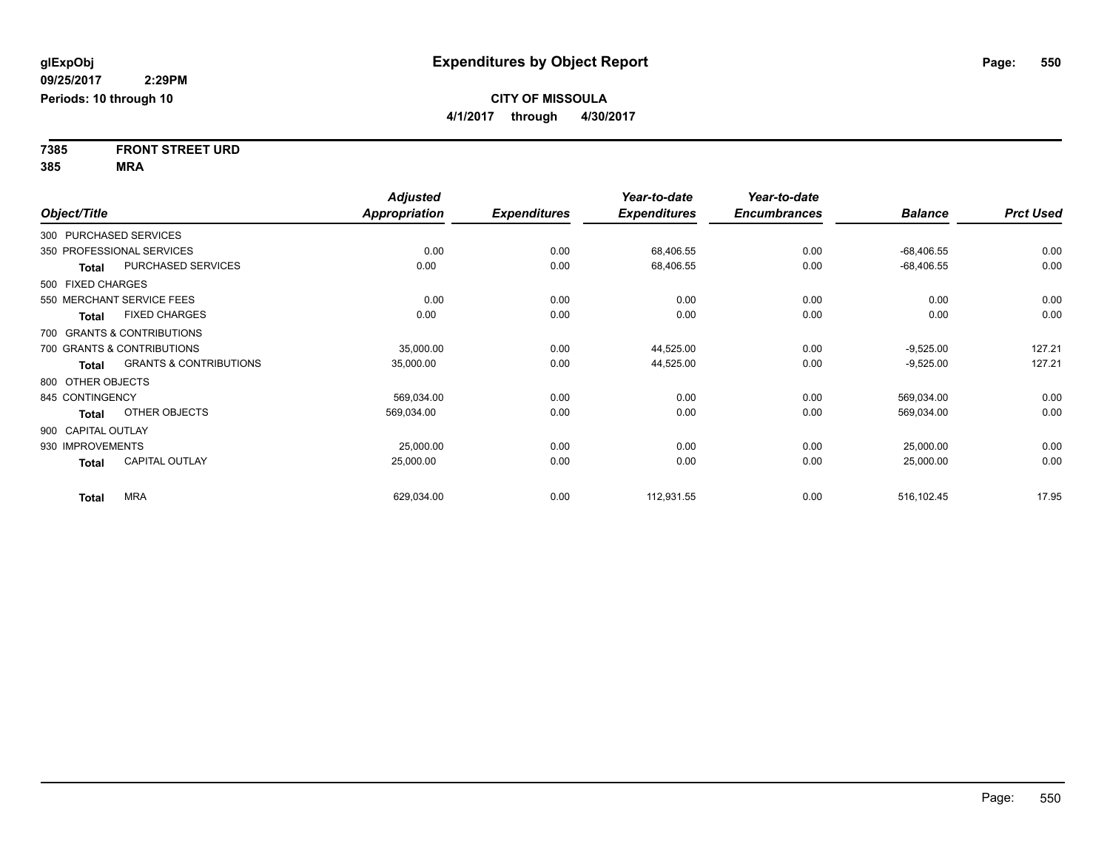**7385 FRONT STREET URD 385 MRA**

|                    |                                   | <b>Adjusted</b>      |                     | Year-to-date        | Year-to-date        |                |                  |
|--------------------|-----------------------------------|----------------------|---------------------|---------------------|---------------------|----------------|------------------|
| Object/Title       |                                   | <b>Appropriation</b> | <b>Expenditures</b> | <b>Expenditures</b> | <b>Encumbrances</b> | <b>Balance</b> | <b>Prct Used</b> |
|                    | 300 PURCHASED SERVICES            |                      |                     |                     |                     |                |                  |
|                    | 350 PROFESSIONAL SERVICES         | 0.00                 | 0.00                | 68,406.55           | 0.00                | $-68,406.55$   | 0.00             |
| <b>Total</b>       | PURCHASED SERVICES                | 0.00                 | 0.00                | 68,406.55           | 0.00                | $-68,406.55$   | 0.00             |
| 500 FIXED CHARGES  |                                   |                      |                     |                     |                     |                |                  |
|                    | 550 MERCHANT SERVICE FEES         | 0.00                 | 0.00                | 0.00                | 0.00                | 0.00           | 0.00             |
| <b>Total</b>       | <b>FIXED CHARGES</b>              | 0.00                 | 0.00                | 0.00                | 0.00                | 0.00           | 0.00             |
|                    | 700 GRANTS & CONTRIBUTIONS        |                      |                     |                     |                     |                |                  |
|                    | 700 GRANTS & CONTRIBUTIONS        | 35,000.00            | 0.00                | 44,525.00           | 0.00                | $-9,525.00$    | 127.21           |
| <b>Total</b>       | <b>GRANTS &amp; CONTRIBUTIONS</b> | 35,000.00            | 0.00                | 44,525.00           | 0.00                | $-9,525.00$    | 127.21           |
| 800 OTHER OBJECTS  |                                   |                      |                     |                     |                     |                |                  |
| 845 CONTINGENCY    |                                   | 569,034.00           | 0.00                | 0.00                | 0.00                | 569,034.00     | 0.00             |
| <b>Total</b>       | OTHER OBJECTS                     | 569,034.00           | 0.00                | 0.00                | 0.00                | 569,034.00     | 0.00             |
| 900 CAPITAL OUTLAY |                                   |                      |                     |                     |                     |                |                  |
| 930 IMPROVEMENTS   |                                   | 25,000.00            | 0.00                | 0.00                | 0.00                | 25,000.00      | 0.00             |
| <b>Total</b>       | <b>CAPITAL OUTLAY</b>             | 25,000.00            | 0.00                | 0.00                | 0.00                | 25,000.00      | 0.00             |
| <b>Total</b>       | <b>MRA</b>                        | 629,034.00           | 0.00                | 112,931.55          | 0.00                | 516,102.45     | 17.95            |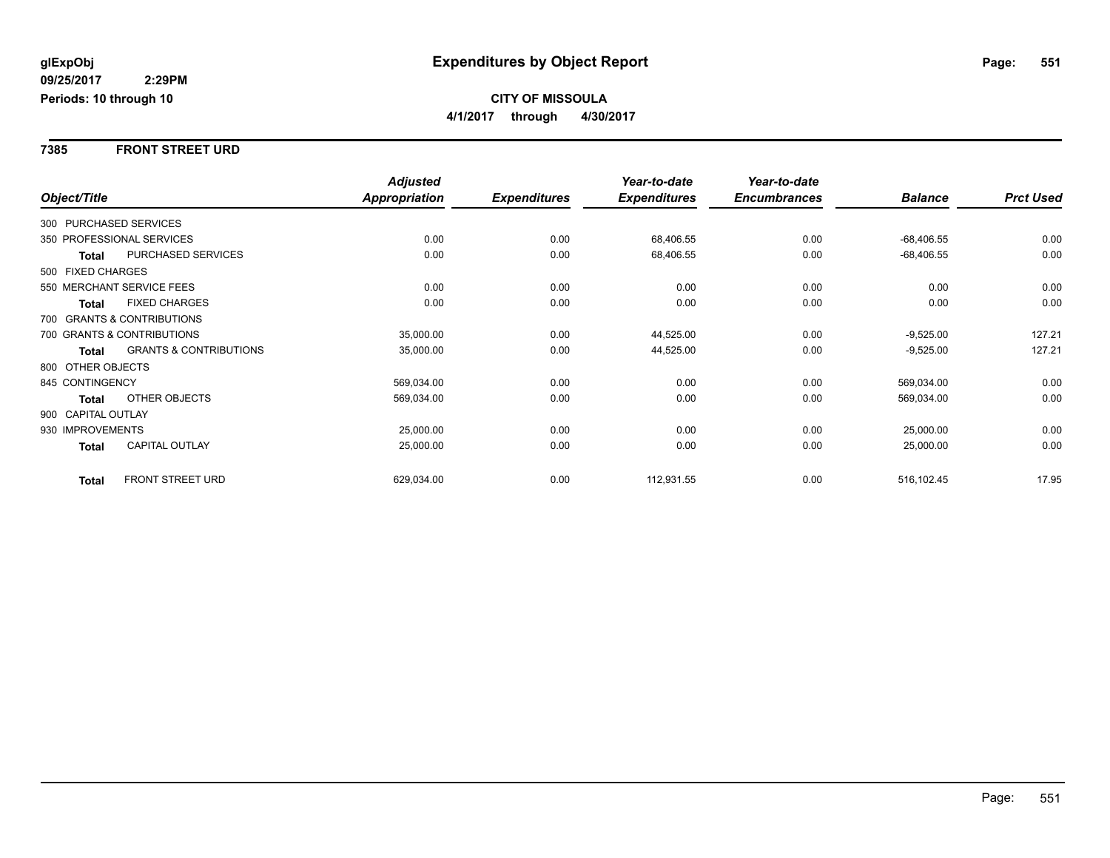#### **7385 FRONT STREET URD**

|              |                    |                                   | <b>Adjusted</b> |                     | Year-to-date        | Year-to-date        |                |                  |
|--------------|--------------------|-----------------------------------|-----------------|---------------------|---------------------|---------------------|----------------|------------------|
| Object/Title |                    |                                   | Appropriation   | <b>Expenditures</b> | <b>Expenditures</b> | <b>Encumbrances</b> | <b>Balance</b> | <b>Prct Used</b> |
|              |                    | 300 PURCHASED SERVICES            |                 |                     |                     |                     |                |                  |
|              |                    | 350 PROFESSIONAL SERVICES         | 0.00            | 0.00                | 68,406.55           | 0.00                | $-68,406.55$   | 0.00             |
|              | Total              | PURCHASED SERVICES                | 0.00            | 0.00                | 68,406.55           | 0.00                | $-68,406.55$   | 0.00             |
|              | 500 FIXED CHARGES  |                                   |                 |                     |                     |                     |                |                  |
|              |                    | 550 MERCHANT SERVICE FEES         | 0.00            | 0.00                | 0.00                | 0.00                | 0.00           | 0.00             |
|              | Total              | <b>FIXED CHARGES</b>              | 0.00            | 0.00                | 0.00                | 0.00                | 0.00           | 0.00             |
|              |                    | 700 GRANTS & CONTRIBUTIONS        |                 |                     |                     |                     |                |                  |
|              |                    | 700 GRANTS & CONTRIBUTIONS        | 35,000.00       | 0.00                | 44,525.00           | 0.00                | $-9,525.00$    | 127.21           |
|              | Total              | <b>GRANTS &amp; CONTRIBUTIONS</b> | 35,000.00       | 0.00                | 44,525.00           | 0.00                | $-9,525.00$    | 127.21           |
|              | 800 OTHER OBJECTS  |                                   |                 |                     |                     |                     |                |                  |
|              | 845 CONTINGENCY    |                                   | 569,034.00      | 0.00                | 0.00                | 0.00                | 569,034.00     | 0.00             |
|              | <b>Total</b>       | <b>OTHER OBJECTS</b>              | 569,034.00      | 0.00                | 0.00                | 0.00                | 569,034.00     | 0.00             |
|              | 900 CAPITAL OUTLAY |                                   |                 |                     |                     |                     |                |                  |
|              | 930 IMPROVEMENTS   |                                   | 25,000.00       | 0.00                | 0.00                | 0.00                | 25,000.00      | 0.00             |
|              | <b>Total</b>       | CAPITAL OUTLAY                    | 25,000.00       | 0.00                | 0.00                | 0.00                | 25,000.00      | 0.00             |
|              | <b>Total</b>       | FRONT STREET URD                  | 629,034.00      | 0.00                | 112,931.55          | 0.00                | 516,102.45     | 17.95            |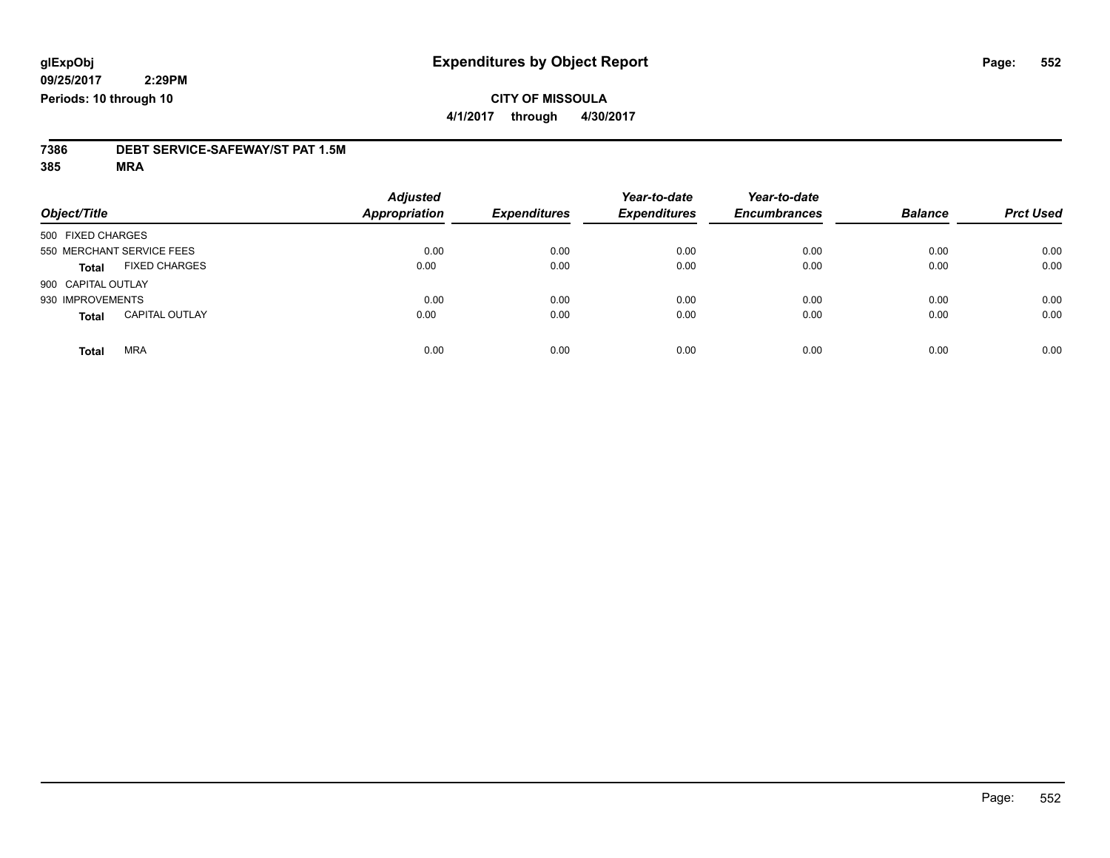### **CITY OF MISSOULA 4/1/2017 through 4/30/2017**

# **7386 DEBT SERVICE-SAFEWAY/ST PAT 1.5M**

**385 MRA**

| Object/Title       |                           | <b>Adjusted</b><br>Appropriation | <b>Expenditures</b> | Year-to-date<br><b>Expenditures</b> | Year-to-date<br><b>Encumbrances</b> | <b>Balance</b> | <b>Prct Used</b> |
|--------------------|---------------------------|----------------------------------|---------------------|-------------------------------------|-------------------------------------|----------------|------------------|
| 500 FIXED CHARGES  |                           |                                  |                     |                                     |                                     |                |                  |
|                    | 550 MERCHANT SERVICE FEES | 0.00                             | 0.00                | 0.00                                | 0.00                                | 0.00           | 0.00             |
| <b>Total</b>       | <b>FIXED CHARGES</b>      | 0.00                             | 0.00                | 0.00                                | 0.00                                | 0.00           | 0.00             |
| 900 CAPITAL OUTLAY |                           |                                  |                     |                                     |                                     |                |                  |
| 930 IMPROVEMENTS   |                           | 0.00                             | 0.00                | 0.00                                | 0.00                                | 0.00           | 0.00             |
| <b>Total</b>       | <b>CAPITAL OUTLAY</b>     | 0.00                             | 0.00                | 0.00                                | 0.00                                | 0.00           | 0.00             |
| <b>Total</b>       | <b>MRA</b>                | 0.00                             | 0.00                | 0.00                                | 0.00                                | 0.00           | 0.00             |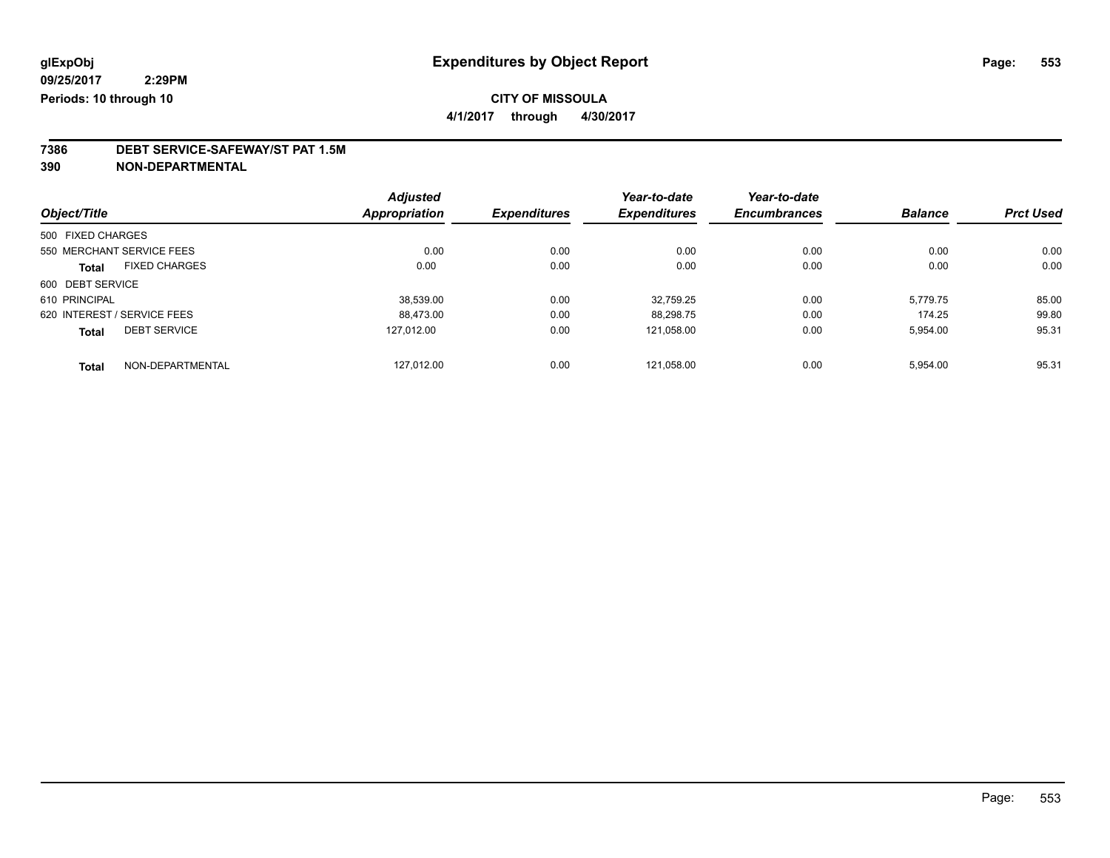# **CITY OF MISSOULA**

**4/1/2017 through 4/30/2017**

# **7386 DEBT SERVICE-SAFEWAY/ST PAT 1.5M**

**390 NON-DEPARTMENTAL**

|                   |                             | <b>Adjusted</b>      |                     | Year-to-date        | Year-to-date        |                |                  |
|-------------------|-----------------------------|----------------------|---------------------|---------------------|---------------------|----------------|------------------|
| Object/Title      |                             | <b>Appropriation</b> | <b>Expenditures</b> | <b>Expenditures</b> | <b>Encumbrances</b> | <b>Balance</b> | <b>Prct Used</b> |
| 500 FIXED CHARGES |                             |                      |                     |                     |                     |                |                  |
|                   | 550 MERCHANT SERVICE FEES   | 0.00                 | 0.00                | 0.00                | 0.00                | 0.00           | 0.00             |
| <b>Total</b>      | <b>FIXED CHARGES</b>        | 0.00                 | 0.00                | 0.00                | 0.00                | 0.00           | 0.00             |
| 600 DEBT SERVICE  |                             |                      |                     |                     |                     |                |                  |
| 610 PRINCIPAL     |                             | 38.539.00            | 0.00                | 32.759.25           | 0.00                | 5.779.75       | 85.00            |
|                   | 620 INTEREST / SERVICE FEES | 88.473.00            | 0.00                | 88,298.75           | 0.00                | 174.25         | 99.80            |
| <b>Total</b>      | <b>DEBT SERVICE</b>         | 127.012.00           | 0.00                | 121.058.00          | 0.00                | 5,954.00       | 95.31            |
| <b>Total</b>      | NON-DEPARTMENTAL            | 127.012.00           | 0.00                | 121.058.00          | 0.00                | 5,954.00       | 95.31            |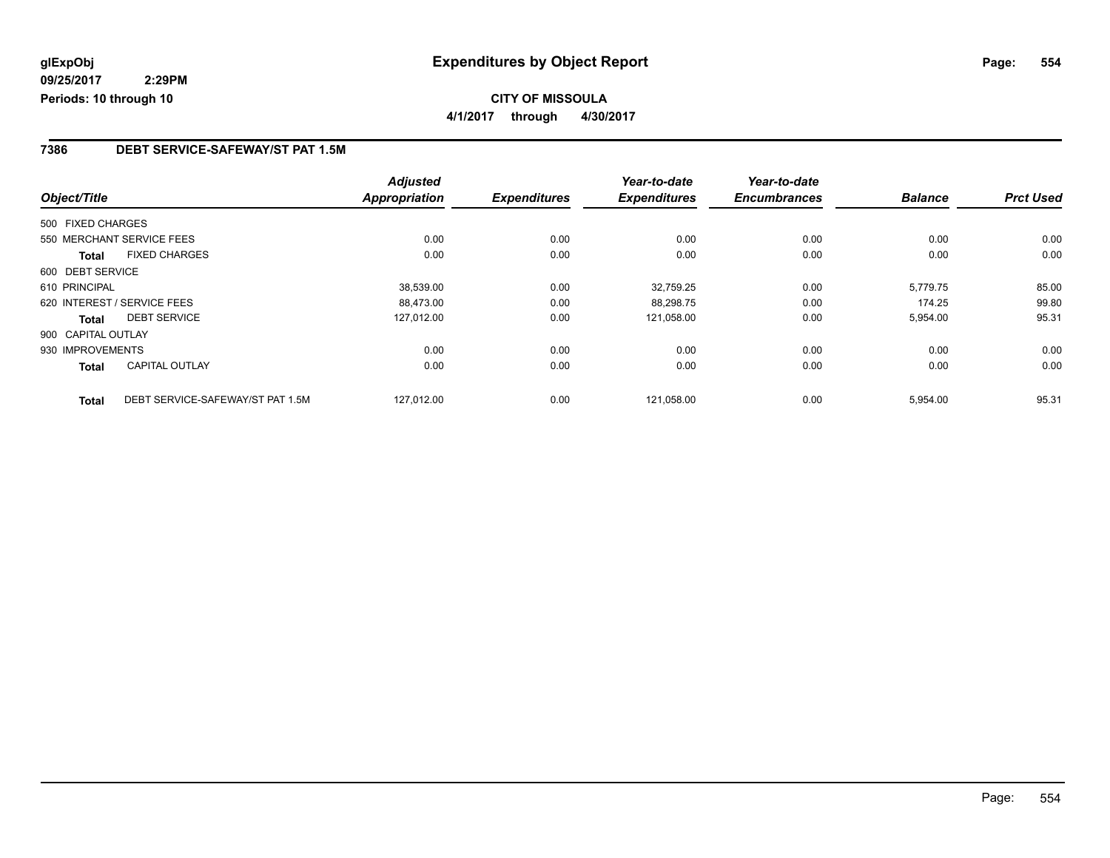# **CITY OF MISSOULA 4/1/2017 through 4/30/2017**

#### **7386 DEBT SERVICE-SAFEWAY/ST PAT 1.5M**

|                    |                                  | <b>Adjusted</b>      |                     | Year-to-date        | Year-to-date        |                |                  |
|--------------------|----------------------------------|----------------------|---------------------|---------------------|---------------------|----------------|------------------|
| Object/Title       |                                  | <b>Appropriation</b> | <b>Expenditures</b> | <b>Expenditures</b> | <b>Encumbrances</b> | <b>Balance</b> | <b>Prct Used</b> |
| 500 FIXED CHARGES  |                                  |                      |                     |                     |                     |                |                  |
|                    | 550 MERCHANT SERVICE FEES        | 0.00                 | 0.00                | 0.00                | 0.00                | 0.00           | 0.00             |
| <b>Total</b>       | <b>FIXED CHARGES</b>             | 0.00                 | 0.00                | 0.00                | 0.00                | 0.00           | 0.00             |
| 600 DEBT SERVICE   |                                  |                      |                     |                     |                     |                |                  |
| 610 PRINCIPAL      |                                  | 38.539.00            | 0.00                | 32,759.25           | 0.00                | 5,779.75       | 85.00            |
|                    | 620 INTEREST / SERVICE FEES      | 88,473.00            | 0.00                | 88,298.75           | 0.00                | 174.25         | 99.80            |
| <b>Total</b>       | <b>DEBT SERVICE</b>              | 127,012.00           | 0.00                | 121,058.00          | 0.00                | 5,954.00       | 95.31            |
| 900 CAPITAL OUTLAY |                                  |                      |                     |                     |                     |                |                  |
| 930 IMPROVEMENTS   |                                  | 0.00                 | 0.00                | 0.00                | 0.00                | 0.00           | 0.00             |
| <b>Total</b>       | <b>CAPITAL OUTLAY</b>            | 0.00                 | 0.00                | 0.00                | 0.00                | 0.00           | 0.00             |
| <b>Total</b>       | DEBT SERVICE-SAFEWAY/ST PAT 1.5M | 127.012.00           | 0.00                | 121,058.00          | 0.00                | 5,954.00       | 95.31            |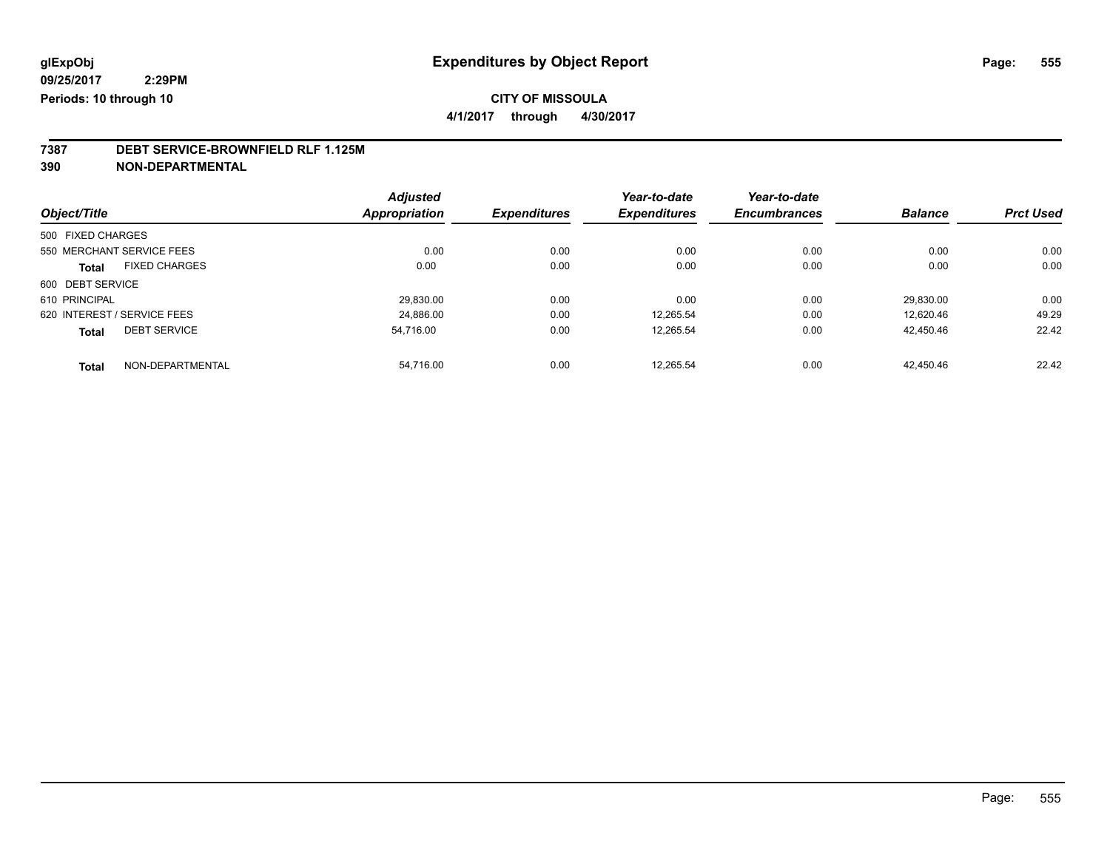# **CITY OF MISSOULA**

**4/1/2017 through 4/30/2017**

# **7387 DEBT SERVICE-BROWNFIELD RLF 1.125M**

**390 NON-DEPARTMENTAL**

|                             |                      | <b>Adjusted</b> |                     | Year-to-date        | Year-to-date        |                |                  |
|-----------------------------|----------------------|-----------------|---------------------|---------------------|---------------------|----------------|------------------|
| Object/Title                |                      | Appropriation   | <b>Expenditures</b> | <b>Expenditures</b> | <b>Encumbrances</b> | <b>Balance</b> | <b>Prct Used</b> |
| 500 FIXED CHARGES           |                      |                 |                     |                     |                     |                |                  |
| 550 MERCHANT SERVICE FEES   |                      | 0.00            | 0.00                | 0.00                | 0.00                | 0.00           | 0.00             |
| <b>Total</b>                | <b>FIXED CHARGES</b> | 0.00            | 0.00                | 0.00                | 0.00                | 0.00           | 0.00             |
| 600 DEBT SERVICE            |                      |                 |                     |                     |                     |                |                  |
| 610 PRINCIPAL               |                      | 29,830.00       | 0.00                | 0.00                | 0.00                | 29.830.00      | 0.00             |
| 620 INTEREST / SERVICE FEES |                      | 24,886.00       | 0.00                | 12,265.54           | 0.00                | 12.620.46      | 49.29            |
| <b>Total</b>                | <b>DEBT SERVICE</b>  | 54.716.00       | 0.00                | 12.265.54           | 0.00                | 42.450.46      | 22.42            |
| <b>Total</b>                | NON-DEPARTMENTAL     | 54.716.00       | 0.00                | 12.265.54           | 0.00                | 42.450.46      | 22.42            |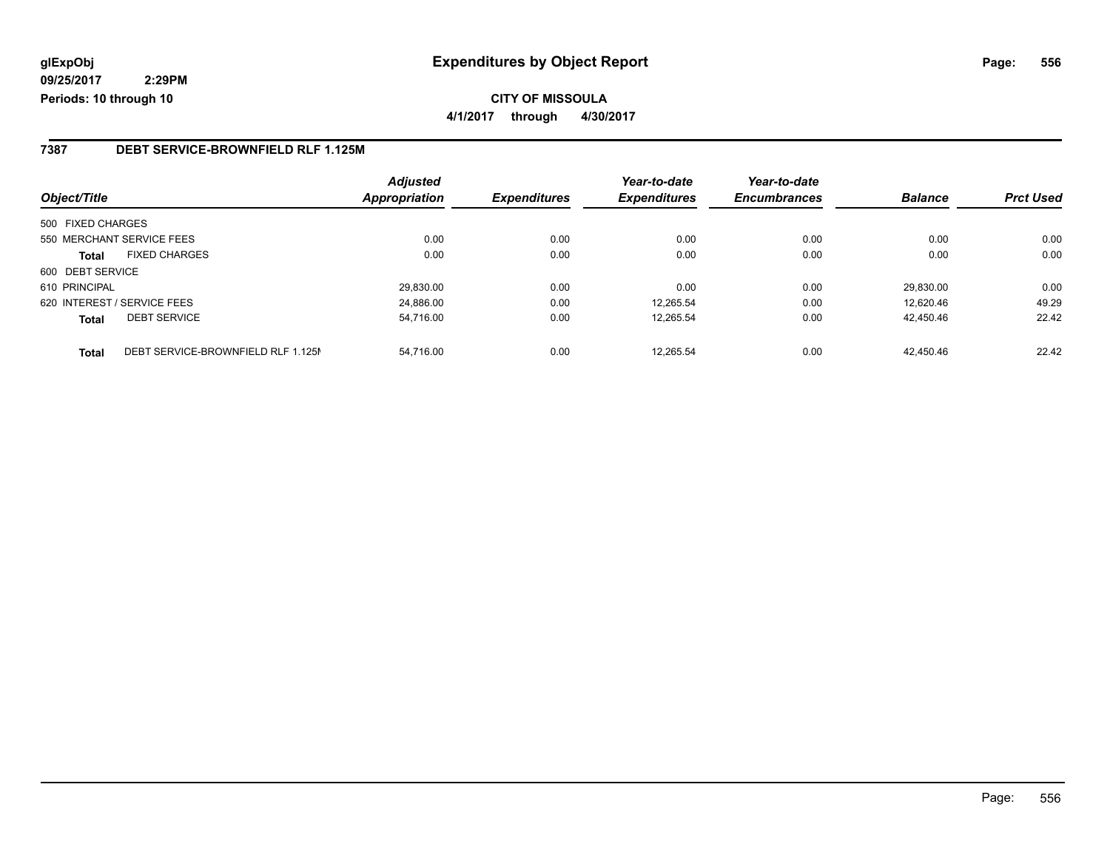#### **7387 DEBT SERVICE-BROWNFIELD RLF 1.125M**

|                   |                                    | <b>Adjusted</b>      |                     | Year-to-date        | Year-to-date        |                |                  |
|-------------------|------------------------------------|----------------------|---------------------|---------------------|---------------------|----------------|------------------|
| Object/Title      |                                    | <b>Appropriation</b> | <b>Expenditures</b> | <b>Expenditures</b> | <b>Encumbrances</b> | <b>Balance</b> | <b>Prct Used</b> |
| 500 FIXED CHARGES |                                    |                      |                     |                     |                     |                |                  |
|                   | 550 MERCHANT SERVICE FEES          | 0.00                 | 0.00                | 0.00                | 0.00                | 0.00           | 0.00             |
| Total             | <b>FIXED CHARGES</b>               | 0.00                 | 0.00                | 0.00                | 0.00                | 0.00           | 0.00             |
| 600 DEBT SERVICE  |                                    |                      |                     |                     |                     |                |                  |
| 610 PRINCIPAL     |                                    | 29.830.00            | 0.00                | 0.00                | 0.00                | 29.830.00      | 0.00             |
|                   | 620 INTEREST / SERVICE FEES        | 24.886.00            | 0.00                | 12.265.54           | 0.00                | 12.620.46      | 49.29            |
| <b>Total</b>      | <b>DEBT SERVICE</b>                | 54,716.00            | 0.00                | 12,265.54           | 0.00                | 42.450.46      | 22.42            |
| <b>Total</b>      | DEBT SERVICE-BROWNFIELD RLF 1.125M | 54.716.00            | 0.00                | 12.265.54           | 0.00                | 42.450.46      | 22.42            |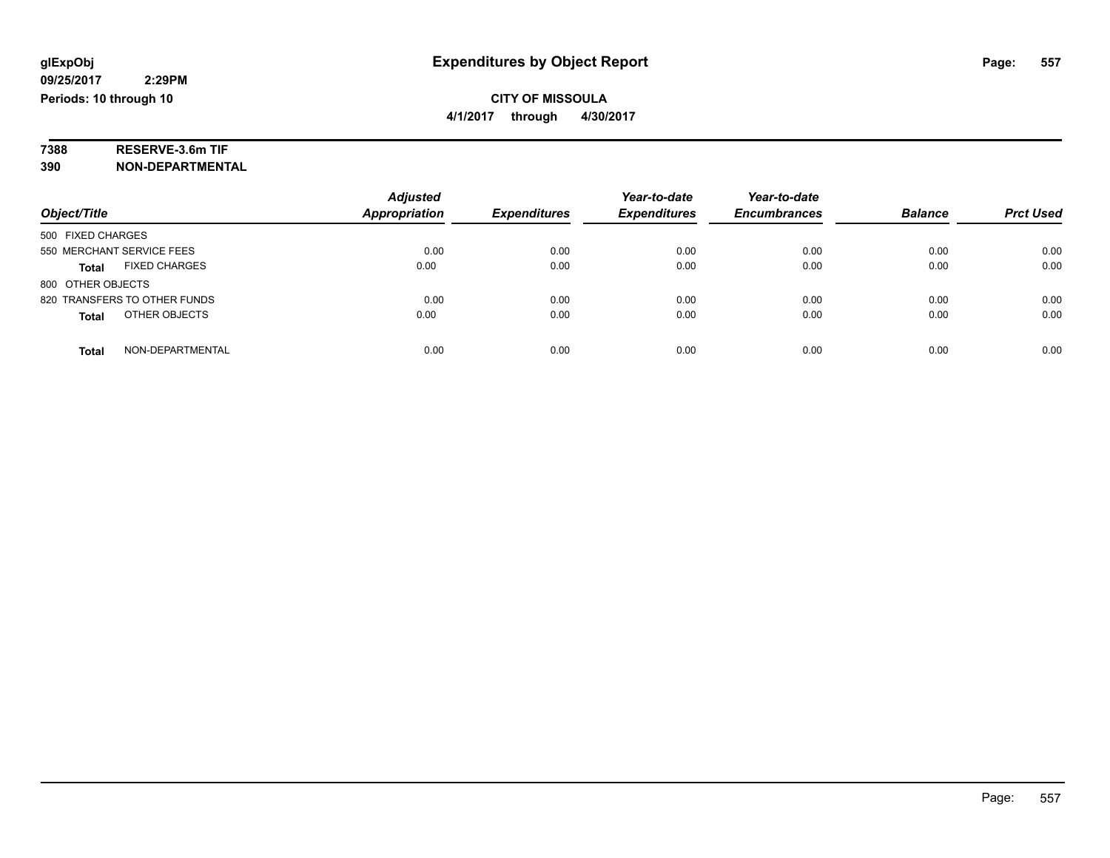# **7388 RESERVE-3.6m TIF**

**390 NON-DEPARTMENTAL**

|                                      | <b>Adjusted</b>      |                     | Year-to-date        | Year-to-date        |                |                  |
|--------------------------------------|----------------------|---------------------|---------------------|---------------------|----------------|------------------|
| Object/Title                         | <b>Appropriation</b> | <b>Expenditures</b> | <b>Expenditures</b> | <b>Encumbrances</b> | <b>Balance</b> | <b>Prct Used</b> |
| 500 FIXED CHARGES                    |                      |                     |                     |                     |                |                  |
| 550 MERCHANT SERVICE FEES            | 0.00                 | 0.00                | 0.00                | 0.00                | 0.00           | 0.00             |
| <b>FIXED CHARGES</b><br><b>Total</b> | 0.00                 | 0.00                | 0.00                | 0.00                | 0.00           | 0.00             |
| 800 OTHER OBJECTS                    |                      |                     |                     |                     |                |                  |
| 820 TRANSFERS TO OTHER FUNDS         | 0.00                 | 0.00                | 0.00                | 0.00                | 0.00           | 0.00             |
| OTHER OBJECTS<br><b>Total</b>        | 0.00                 | 0.00                | 0.00                | 0.00                | 0.00           | 0.00             |
| NON-DEPARTMENTAL<br>Total            | 0.00                 | 0.00                | 0.00                | 0.00                | 0.00           | 0.00             |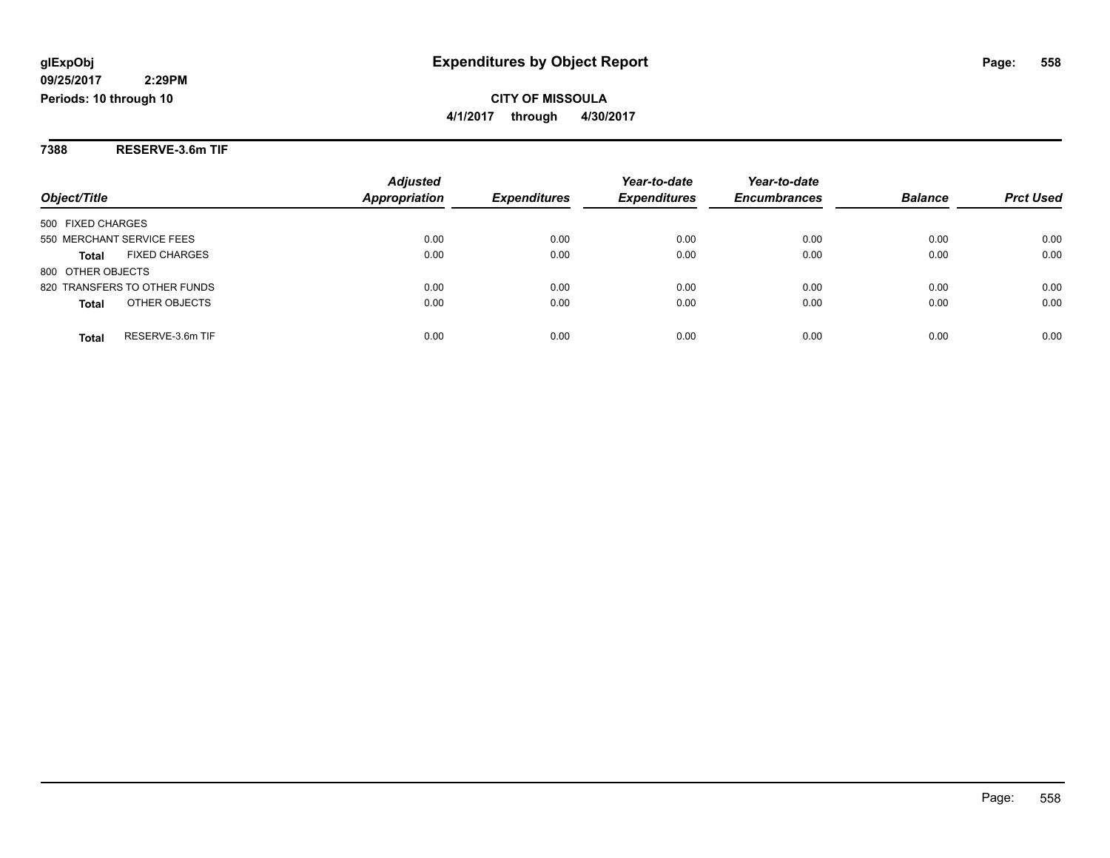**7388 RESERVE-3.6m TIF**

|                                      | <b>Adjusted</b> |                     | Year-to-date        | Year-to-date        |                |                  |
|--------------------------------------|-----------------|---------------------|---------------------|---------------------|----------------|------------------|
| Object/Title                         | Appropriation   | <b>Expenditures</b> | <b>Expenditures</b> | <b>Encumbrances</b> | <b>Balance</b> | <b>Prct Used</b> |
| 500 FIXED CHARGES                    |                 |                     |                     |                     |                |                  |
| 550 MERCHANT SERVICE FEES            | 0.00            | 0.00                | 0.00                | 0.00                | 0.00           | 0.00             |
| <b>FIXED CHARGES</b><br><b>Total</b> | 0.00            | 0.00                | 0.00                | 0.00                | 0.00           | 0.00             |
| 800 OTHER OBJECTS                    |                 |                     |                     |                     |                |                  |
| 820 TRANSFERS TO OTHER FUNDS         | 0.00            | 0.00                | 0.00                | 0.00                | 0.00           | 0.00             |
| OTHER OBJECTS<br><b>Total</b>        | 0.00            | 0.00                | 0.00                | 0.00                | 0.00           | 0.00             |
| RESERVE-3.6m TIF<br><b>Total</b>     | 0.00            | 0.00                | 0.00                | 0.00                | 0.00           | 0.00             |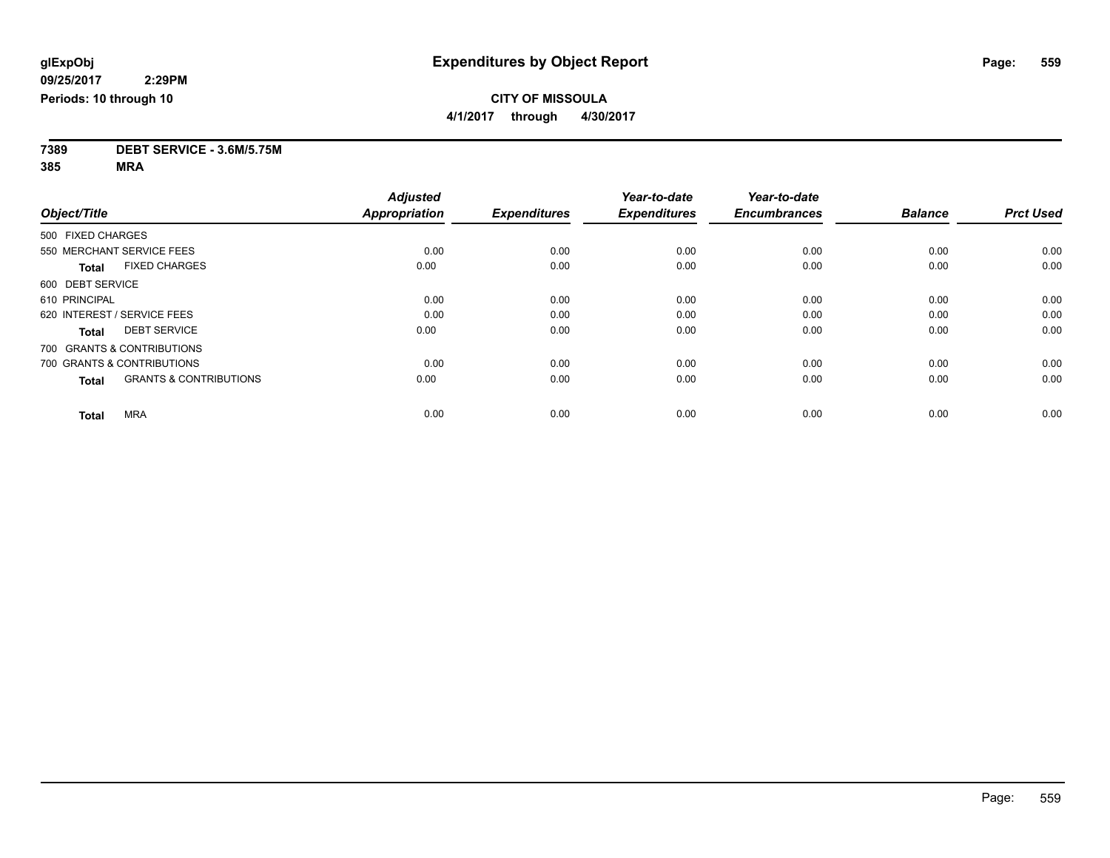**7389 DEBT SERVICE - 3.6M/5.75M**

**385 MRA**

|                                                   | <b>Adjusted</b>      |                     | Year-to-date        | Year-to-date        |                |                  |
|---------------------------------------------------|----------------------|---------------------|---------------------|---------------------|----------------|------------------|
| Object/Title                                      | <b>Appropriation</b> | <b>Expenditures</b> | <b>Expenditures</b> | <b>Encumbrances</b> | <b>Balance</b> | <b>Prct Used</b> |
| 500 FIXED CHARGES                                 |                      |                     |                     |                     |                |                  |
| 550 MERCHANT SERVICE FEES                         | 0.00                 | 0.00                | 0.00                | 0.00                | 0.00           | 0.00             |
| <b>FIXED CHARGES</b><br><b>Total</b>              | 0.00                 | 0.00                | 0.00                | 0.00                | 0.00           | 0.00             |
| 600 DEBT SERVICE                                  |                      |                     |                     |                     |                |                  |
| 610 PRINCIPAL                                     | 0.00                 | 0.00                | 0.00                | 0.00                | 0.00           | 0.00             |
| 620 INTEREST / SERVICE FEES                       | 0.00                 | 0.00                | 0.00                | 0.00                | 0.00           | 0.00             |
| <b>DEBT SERVICE</b><br><b>Total</b>               | 0.00                 | 0.00                | 0.00                | 0.00                | 0.00           | 0.00             |
| 700 GRANTS & CONTRIBUTIONS                        |                      |                     |                     |                     |                |                  |
| 700 GRANTS & CONTRIBUTIONS                        | 0.00                 | 0.00                | 0.00                | 0.00                | 0.00           | 0.00             |
| <b>GRANTS &amp; CONTRIBUTIONS</b><br><b>Total</b> | 0.00                 | 0.00                | 0.00                | 0.00                | 0.00           | 0.00             |
|                                                   |                      |                     |                     |                     |                |                  |
| <b>MRA</b><br><b>Total</b>                        | 0.00                 | 0.00                | 0.00                | 0.00                | 0.00           | 0.00             |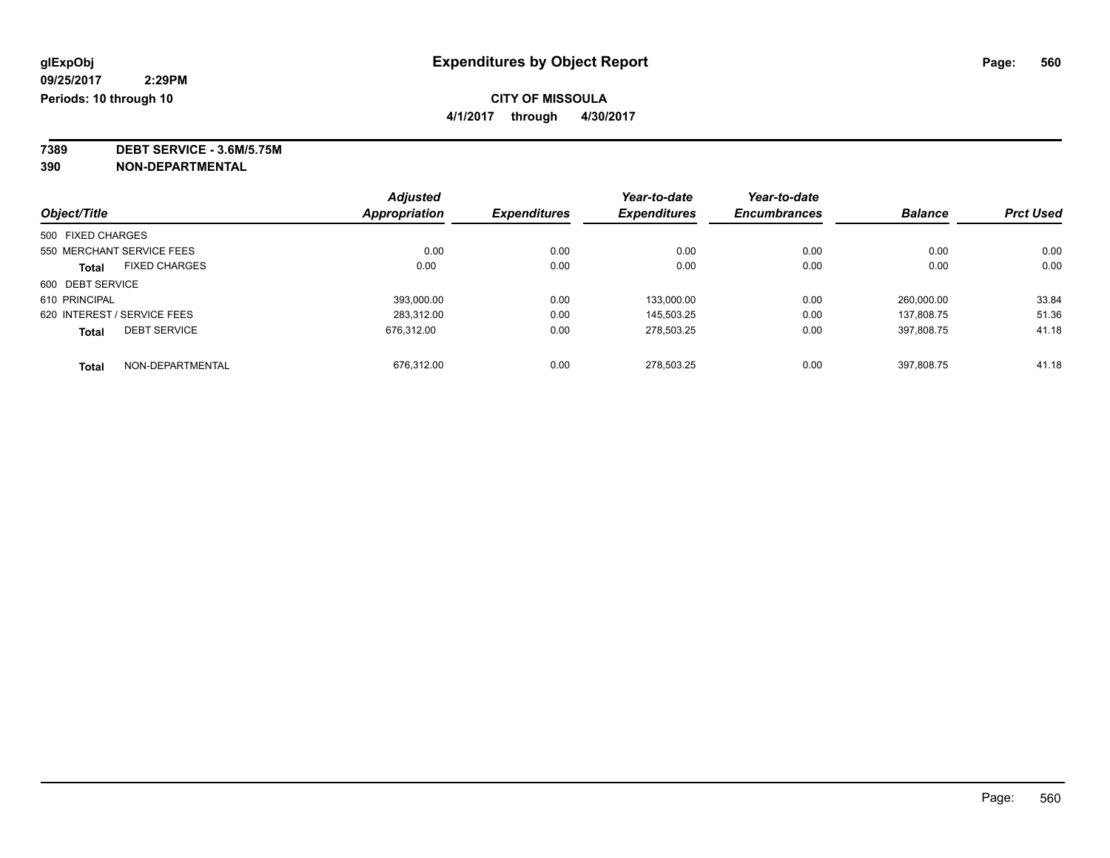# **CITY OF MISSOULA**

**4/1/2017 through 4/30/2017**

**7389 DEBT SERVICE - 3.6M/5.75M**

**390 NON-DEPARTMENTAL**

|                   |                             | <b>Adjusted</b> |                     | Year-to-date        | Year-to-date        |                |                  |
|-------------------|-----------------------------|-----------------|---------------------|---------------------|---------------------|----------------|------------------|
| Object/Title      |                             | Appropriation   | <b>Expenditures</b> | <b>Expenditures</b> | <b>Encumbrances</b> | <b>Balance</b> | <b>Prct Used</b> |
| 500 FIXED CHARGES |                             |                 |                     |                     |                     |                |                  |
|                   | 550 MERCHANT SERVICE FEES   | 0.00            | 0.00                | 0.00                | 0.00                | 0.00           | 0.00             |
| <b>Total</b>      | <b>FIXED CHARGES</b>        | 0.00            | 0.00                | 0.00                | 0.00                | 0.00           | 0.00             |
| 600 DEBT SERVICE  |                             |                 |                     |                     |                     |                |                  |
| 610 PRINCIPAL     |                             | 393,000.00      | 0.00                | 133.000.00          | 0.00                | 260,000.00     | 33.84            |
|                   | 620 INTEREST / SERVICE FEES | 283.312.00      | 0.00                | 145.503.25          | 0.00                | 137.808.75     | 51.36            |
| <b>Total</b>      | <b>DEBT SERVICE</b>         | 676.312.00      | 0.00                | 278,503.25          | 0.00                | 397,808.75     | 41.18            |
| <b>Total</b>      | NON-DEPARTMENTAL            | 676.312.00      | 0.00                | 278.503.25          | 0.00                | 397.808.75     | 41.18            |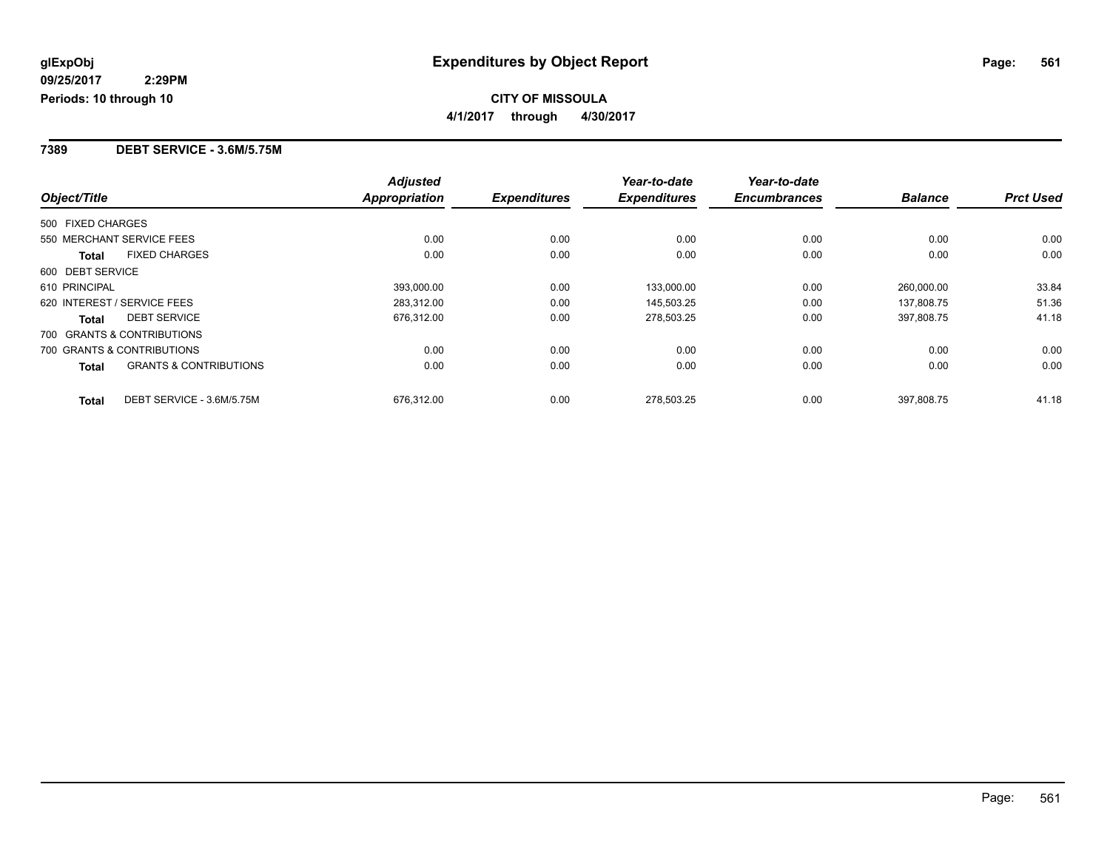#### **7389 DEBT SERVICE - 3.6M/5.75M**

|                                                   | <b>Adjusted</b> |                     | Year-to-date        | Year-to-date        |                |                  |
|---------------------------------------------------|-----------------|---------------------|---------------------|---------------------|----------------|------------------|
| Object/Title                                      | Appropriation   | <b>Expenditures</b> | <b>Expenditures</b> | <b>Encumbrances</b> | <b>Balance</b> | <b>Prct Used</b> |
| 500 FIXED CHARGES                                 |                 |                     |                     |                     |                |                  |
| 550 MERCHANT SERVICE FEES                         | 0.00            | 0.00                | 0.00                | 0.00                | 0.00           | 0.00             |
| <b>FIXED CHARGES</b><br><b>Total</b>              | 0.00            | 0.00                | 0.00                | 0.00                | 0.00           | 0.00             |
| 600 DEBT SERVICE                                  |                 |                     |                     |                     |                |                  |
| 610 PRINCIPAL                                     | 393,000.00      | 0.00                | 133,000.00          | 0.00                | 260.000.00     | 33.84            |
| 620 INTEREST / SERVICE FEES                       | 283,312.00      | 0.00                | 145,503.25          | 0.00                | 137,808.75     | 51.36            |
| <b>DEBT SERVICE</b><br><b>Total</b>               | 676,312.00      | 0.00                | 278,503.25          | 0.00                | 397.808.75     | 41.18            |
| 700 GRANTS & CONTRIBUTIONS                        |                 |                     |                     |                     |                |                  |
| 700 GRANTS & CONTRIBUTIONS                        | 0.00            | 0.00                | 0.00                | 0.00                | 0.00           | 0.00             |
| <b>GRANTS &amp; CONTRIBUTIONS</b><br><b>Total</b> | 0.00            | 0.00                | 0.00                | 0.00                | 0.00           | 0.00             |
| DEBT SERVICE - 3.6M/5.75M<br><b>Total</b>         | 676.312.00      | 0.00                | 278.503.25          | 0.00                | 397.808.75     | 41.18            |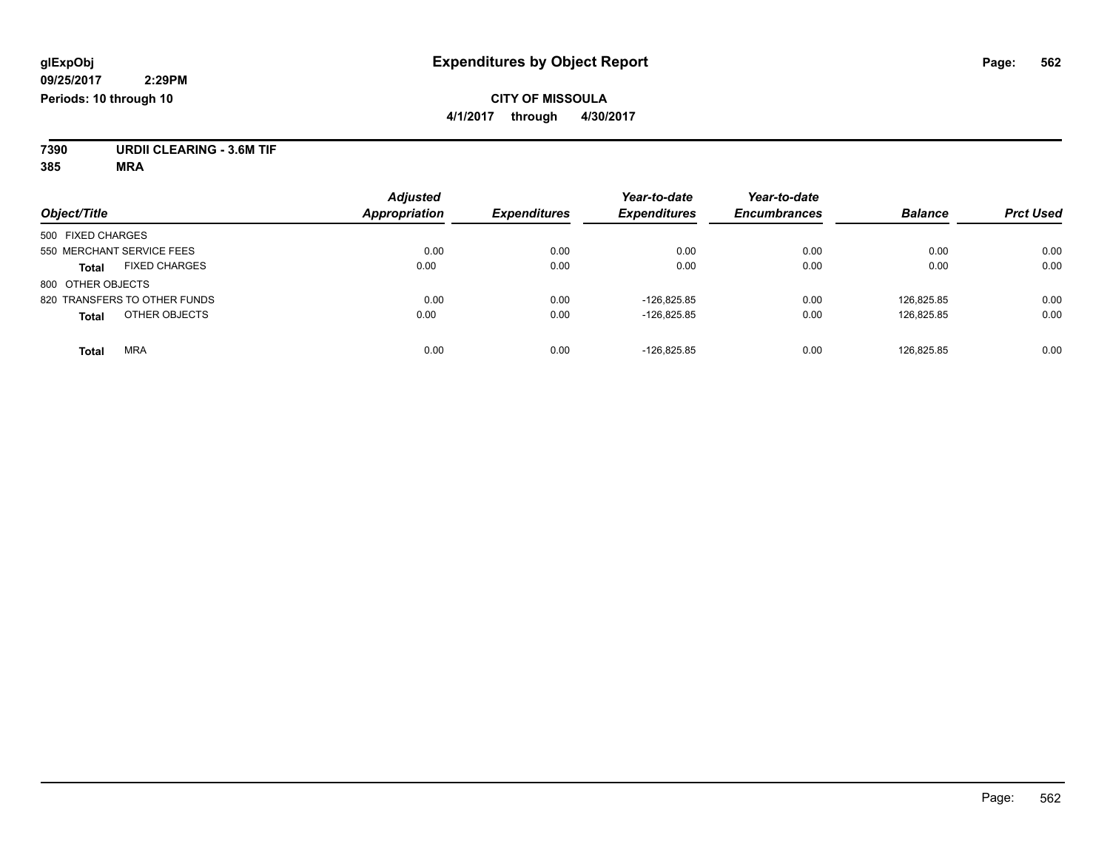### **CITY OF MISSOULA 4/1/2017 through 4/30/2017**

**7390 URDII CLEARING - 3.6M TIF**

**385 MRA**

| Object/Title                         | <b>Adjusted</b><br><b>Appropriation</b> | <b>Expenditures</b> | Year-to-date<br><b>Expenditures</b> | Year-to-date<br><b>Encumbrances</b> | <b>Balance</b> | <b>Prct Used</b> |
|--------------------------------------|-----------------------------------------|---------------------|-------------------------------------|-------------------------------------|----------------|------------------|
| 500 FIXED CHARGES                    |                                         |                     |                                     |                                     |                |                  |
| 550 MERCHANT SERVICE FEES            | 0.00                                    | 0.00                | 0.00                                | 0.00                                | 0.00           | 0.00             |
| <b>FIXED CHARGES</b><br><b>Total</b> | 0.00                                    | 0.00                | 0.00                                | 0.00                                | 0.00           | 0.00             |
| 800 OTHER OBJECTS                    |                                         |                     |                                     |                                     |                |                  |
| 820 TRANSFERS TO OTHER FUNDS         | 0.00                                    | 0.00                | $-126.825.85$                       | 0.00                                | 126.825.85     | 0.00             |
| OTHER OBJECTS<br><b>Total</b>        | 0.00                                    | 0.00                | $-126,825.85$                       | 0.00                                | 126,825.85     | 0.00             |
| <b>MRA</b><br>Total                  | 0.00                                    | 0.00                | $-126.825.85$                       | 0.00                                | 126.825.85     | 0.00             |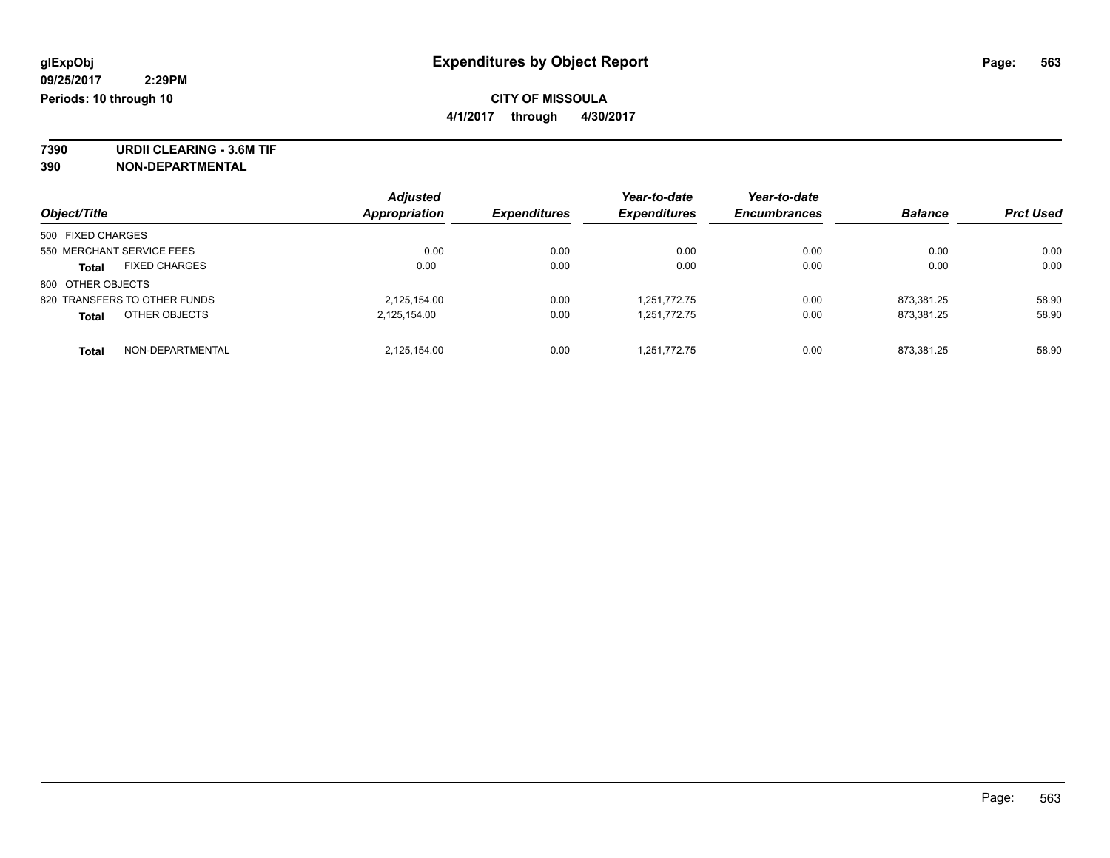# **CITY OF MISSOULA**

**4/1/2017 through 4/30/2017**

**7390 URDII CLEARING - 3.6M TIF 390 NON-DEPARTMENTAL**

|                                      | <b>Adjusted</b> |                     | Year-to-date        | Year-to-date        |                |                  |
|--------------------------------------|-----------------|---------------------|---------------------|---------------------|----------------|------------------|
| Object/Title                         | Appropriation   | <b>Expenditures</b> | <b>Expenditures</b> | <b>Encumbrances</b> | <b>Balance</b> | <b>Prct Used</b> |
| 500 FIXED CHARGES                    |                 |                     |                     |                     |                |                  |
| 550 MERCHANT SERVICE FEES            | 0.00            | 0.00                | 0.00                | 0.00                | 0.00           | 0.00             |
| <b>FIXED CHARGES</b><br><b>Total</b> | 0.00            | 0.00                | 0.00                | 0.00                | 0.00           | 0.00             |
| 800 OTHER OBJECTS                    |                 |                     |                     |                     |                |                  |
| 820 TRANSFERS TO OTHER FUNDS         | 2,125,154.00    | 0.00                | 1,251,772.75        | 0.00                | 873.381.25     | 58.90            |
| OTHER OBJECTS<br><b>Total</b>        | 2,125,154.00    | 0.00                | 1,251,772.75        | 0.00                | 873,381.25     | 58.90            |
| NON-DEPARTMENTAL<br><b>Total</b>     | 2,125,154.00    | 0.00                | 1,251,772.75        | 0.00                | 873.381.25     | 58.90            |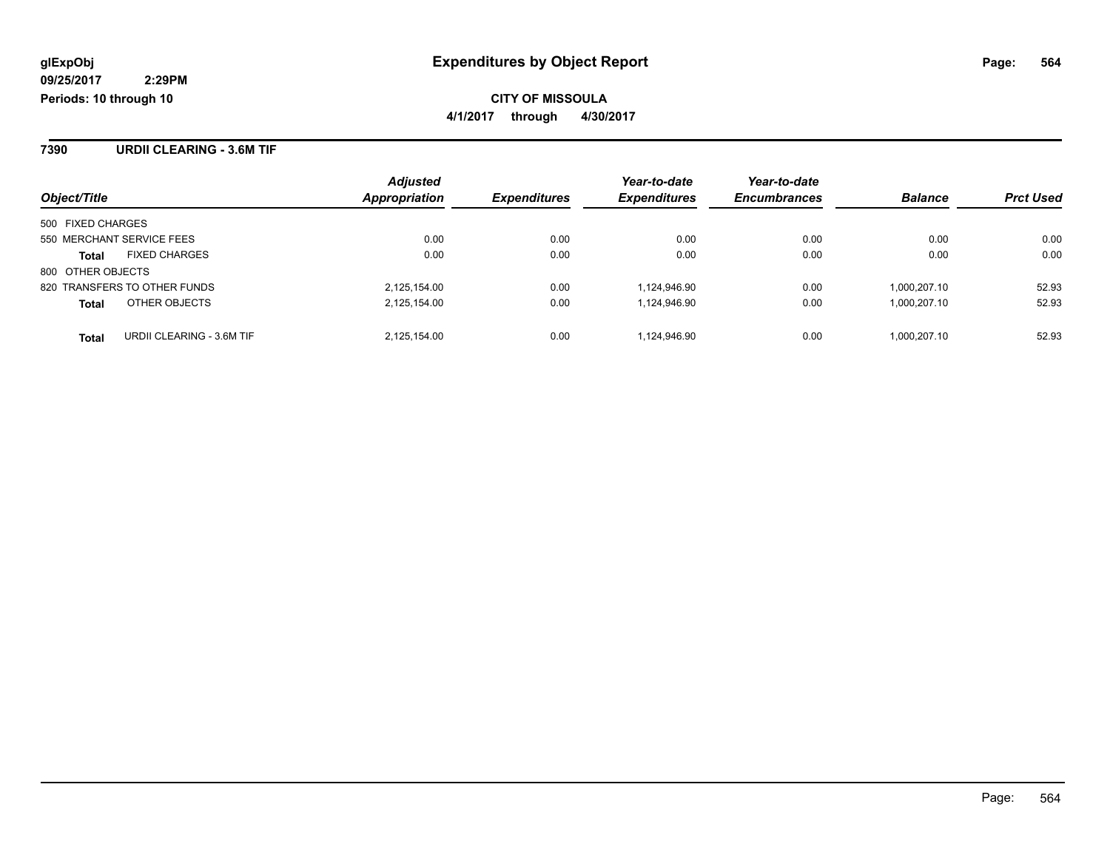**7390 URDII CLEARING - 3.6M TIF**

|                                           | <b>Adjusted</b> |                     | Year-to-date        | Year-to-date        |                |                  |
|-------------------------------------------|-----------------|---------------------|---------------------|---------------------|----------------|------------------|
| Object/Title                              | Appropriation   | <b>Expenditures</b> | <b>Expenditures</b> | <b>Encumbrances</b> | <b>Balance</b> | <b>Prct Used</b> |
| 500 FIXED CHARGES                         |                 |                     |                     |                     |                |                  |
| 550 MERCHANT SERVICE FEES                 | 0.00            | 0.00                | 0.00                | 0.00                | 0.00           | 0.00             |
| <b>FIXED CHARGES</b><br><b>Total</b>      | 0.00            | 0.00                | 0.00                | 0.00                | 0.00           | 0.00             |
| 800 OTHER OBJECTS                         |                 |                     |                     |                     |                |                  |
| 820 TRANSFERS TO OTHER FUNDS              | 2,125,154.00    | 0.00                | 1,124,946.90        | 0.00                | 1.000.207.10   | 52.93            |
| OTHER OBJECTS<br><b>Total</b>             | 2,125,154.00    | 0.00                | 1.124.946.90        | 0.00                | 1.000.207.10   | 52.93            |
| URDII CLEARING - 3.6M TIF<br><b>Total</b> | 2,125,154.00    | 0.00                | 1.124.946.90        | 0.00                | 1.000.207.10   | 52.93            |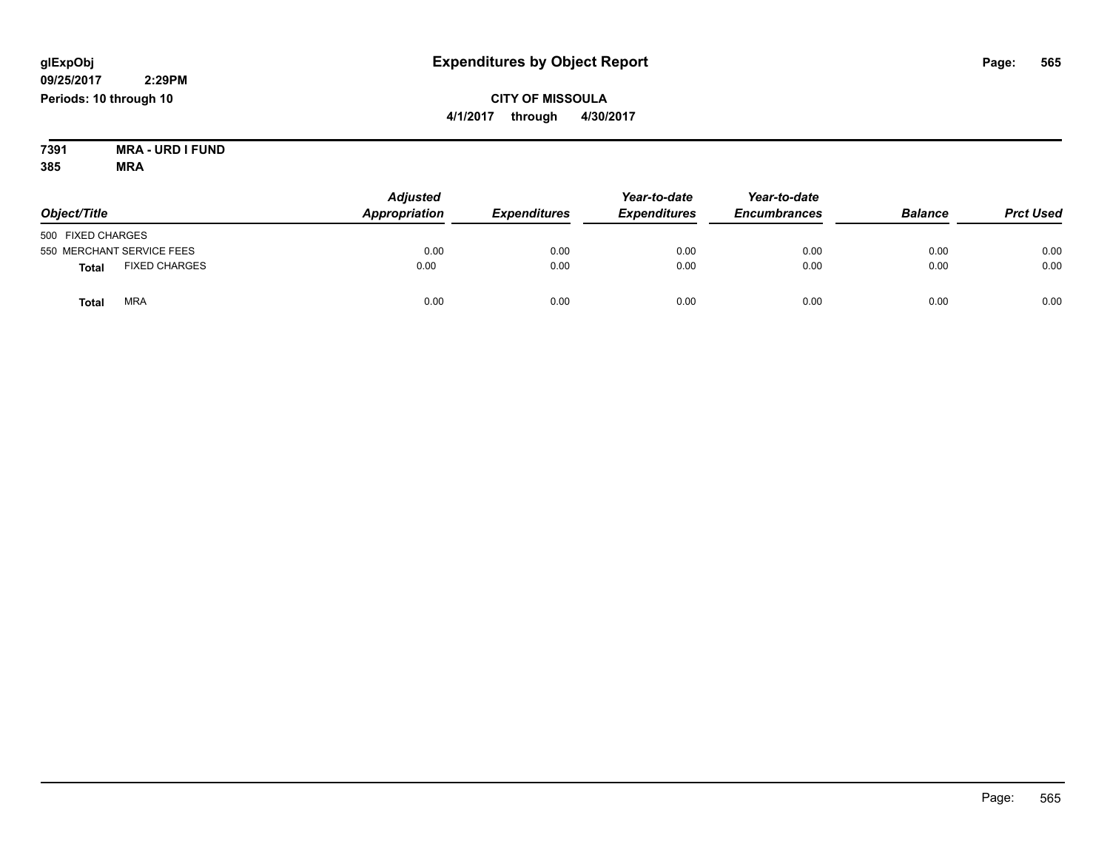**CITY OF MISSOULA 4/1/2017 through 4/30/2017**

**7391 MRA - URD I FUND 385 MRA**

| Object/Title                         | <b>Adjusted</b><br>Appropriation | <b>Expenditures</b> | Year-to-date<br><b>Expenditures</b> | Year-to-date<br><b>Encumbrances</b> | <b>Balance</b> | <b>Prct Used</b> |
|--------------------------------------|----------------------------------|---------------------|-------------------------------------|-------------------------------------|----------------|------------------|
| 500 FIXED CHARGES                    |                                  |                     |                                     |                                     |                |                  |
| 550 MERCHANT SERVICE FEES            | 0.00                             | 0.00                | 0.00                                | 0.00                                | 0.00           | 0.00             |
| <b>FIXED CHARGES</b><br><b>Total</b> | 0.00                             | 0.00                | 0.00                                | 0.00                                | 0.00           | 0.00             |
| <b>MRA</b><br>Tota                   | 0.00                             | 0.00                | 0.00                                | 0.00                                | 0.00           | 0.00             |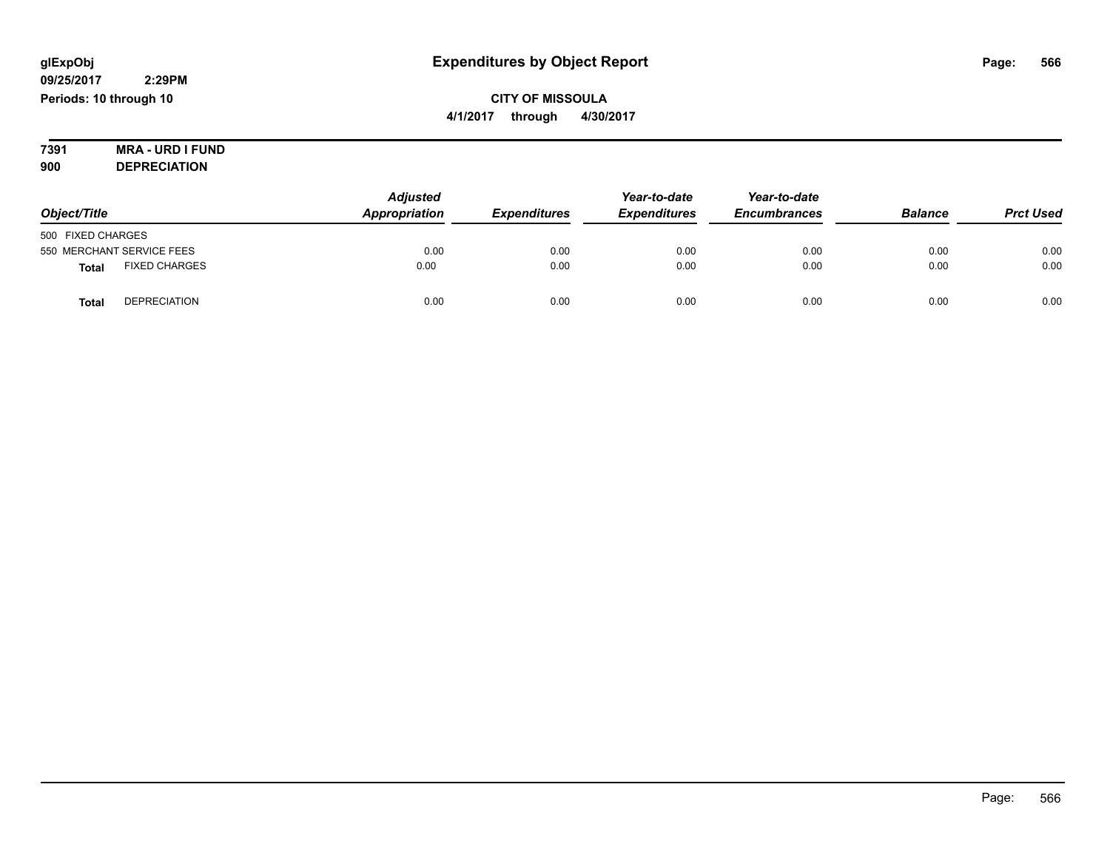## **CITY OF MISSOULA 4/1/2017 through 4/30/2017**

#### **7391 MRA - URD I FUND 900 DEPRECIATION**

|                                      | <b>Adjusted</b> |                     |                     | Year-to-date        |                |                  |
|--------------------------------------|-----------------|---------------------|---------------------|---------------------|----------------|------------------|
| Object/Title                         | Appropriation   | <b>Expenditures</b> | <b>Expenditures</b> | <b>Encumbrances</b> | <b>Balance</b> | <b>Prct Used</b> |
| 500 FIXED CHARGES                    |                 |                     |                     |                     |                |                  |
| 550 MERCHANT SERVICE FEES            | 0.00            | 0.00                | 0.00                | 0.00                | 0.00           | 0.00             |
| <b>FIXED CHARGES</b><br><b>Total</b> | 0.00            | 0.00                | 0.00                | 0.00                | 0.00           | 0.00             |
| <b>DEPRECIATION</b><br><b>Total</b>  | 0.00            | 0.00                | 0.00                | 0.00                | 0.00           | 0.00             |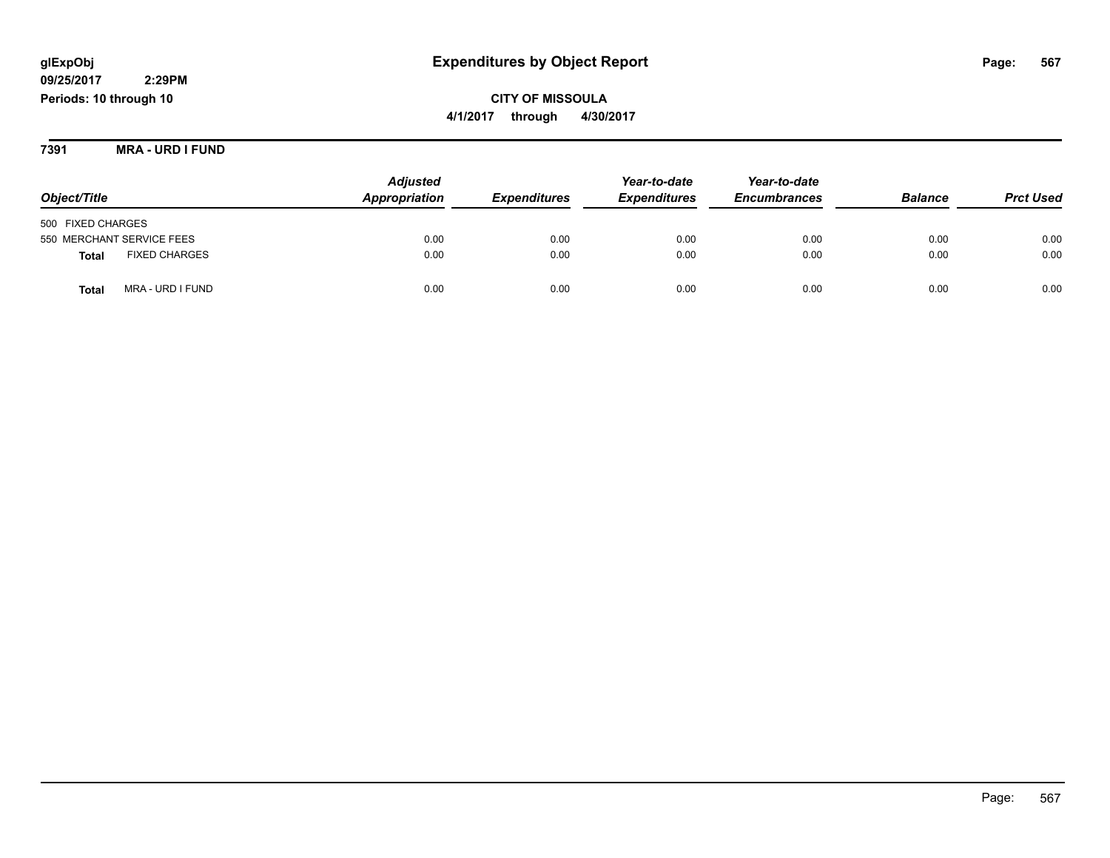# **CITY OF MISSOULA 4/1/2017 through 4/30/2017**

**7391 MRA - URD I FUND**

|                                      | <b>Adjusted</b> | Year-to-date               | Year-to-date        |                     |                |                  |
|--------------------------------------|-----------------|----------------------------|---------------------|---------------------|----------------|------------------|
| Object/Title                         | Appropriation   | <i><b>Expenditures</b></i> | <b>Expenditures</b> | <b>Encumbrances</b> | <b>Balance</b> | <b>Prct Used</b> |
| 500 FIXED CHARGES                    |                 |                            |                     |                     |                |                  |
| 550 MERCHANT SERVICE FEES            | 0.00            | 0.00                       | 0.00                | 0.00                | 0.00           | 0.00             |
| <b>FIXED CHARGES</b><br><b>Total</b> | 0.00            | 0.00                       | 0.00                | 0.00                | 0.00           | 0.00             |
| MRA - URD I FUND<br>Total            | 0.00            | 0.00                       | 0.00                | 0.00                | 0.00           | 0.00             |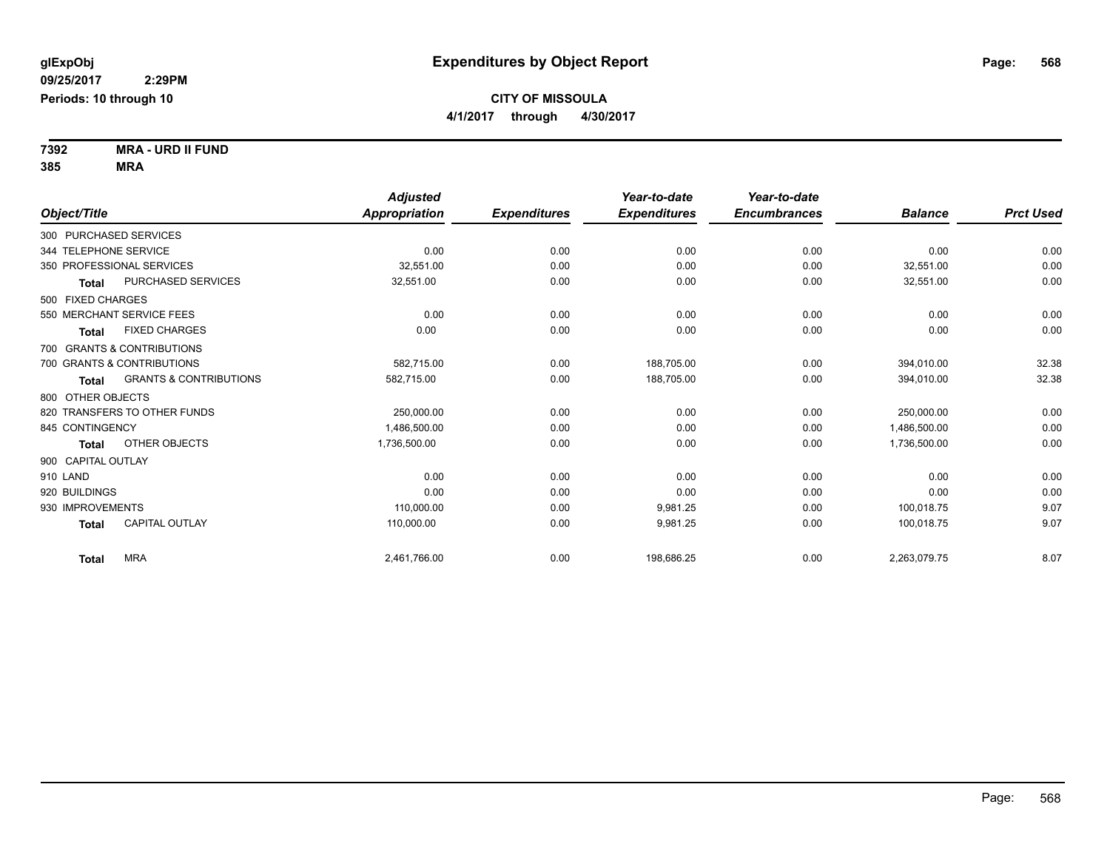**7392 MRA - URD II FUND 385 MRA**

|                                                   | <b>Adjusted</b>      |                     | Year-to-date        | Year-to-date        |                |                  |
|---------------------------------------------------|----------------------|---------------------|---------------------|---------------------|----------------|------------------|
| Object/Title                                      | <b>Appropriation</b> | <b>Expenditures</b> | <b>Expenditures</b> | <b>Encumbrances</b> | <b>Balance</b> | <b>Prct Used</b> |
| 300 PURCHASED SERVICES                            |                      |                     |                     |                     |                |                  |
| 344 TELEPHONE SERVICE                             | 0.00                 | 0.00                | 0.00                | 0.00                | 0.00           | 0.00             |
| 350 PROFESSIONAL SERVICES                         | 32,551.00            | 0.00                | 0.00                | 0.00                | 32.551.00      | 0.00             |
| PURCHASED SERVICES<br><b>Total</b>                | 32,551.00            | 0.00                | 0.00                | 0.00                | 32,551.00      | 0.00             |
| 500 FIXED CHARGES                                 |                      |                     |                     |                     |                |                  |
| 550 MERCHANT SERVICE FEES                         | 0.00                 | 0.00                | 0.00                | 0.00                | 0.00           | 0.00             |
| <b>FIXED CHARGES</b><br><b>Total</b>              | 0.00                 | 0.00                | 0.00                | 0.00                | 0.00           | 0.00             |
| 700 GRANTS & CONTRIBUTIONS                        |                      |                     |                     |                     |                |                  |
| 700 GRANTS & CONTRIBUTIONS                        | 582.715.00           | 0.00                | 188,705.00          | 0.00                | 394,010.00     | 32.38            |
| <b>GRANTS &amp; CONTRIBUTIONS</b><br><b>Total</b> | 582,715.00           | 0.00                | 188,705.00          | 0.00                | 394,010.00     | 32.38            |
| 800 OTHER OBJECTS                                 |                      |                     |                     |                     |                |                  |
| 820 TRANSFERS TO OTHER FUNDS                      | 250.000.00           | 0.00                | 0.00                | 0.00                | 250,000.00     | 0.00             |
| 845 CONTINGENCY                                   | 1.486.500.00         | 0.00                | 0.00                | 0.00                | 1,486,500.00   | 0.00             |
| OTHER OBJECTS<br><b>Total</b>                     | 1,736,500.00         | 0.00                | 0.00                | 0.00                | 1,736,500.00   | 0.00             |
| 900 CAPITAL OUTLAY                                |                      |                     |                     |                     |                |                  |
| 910 LAND                                          | 0.00                 | 0.00                | 0.00                | 0.00                | 0.00           | 0.00             |
| 920 BUILDINGS                                     | 0.00                 | 0.00                | 0.00                | 0.00                | 0.00           | 0.00             |
| 930 IMPROVEMENTS                                  | 110.000.00           | 0.00                | 9.981.25            | 0.00                | 100.018.75     | 9.07             |
| <b>CAPITAL OUTLAY</b><br><b>Total</b>             | 110.000.00           | 0.00                | 9,981.25            | 0.00                | 100,018.75     | 9.07             |
| <b>MRA</b><br><b>Total</b>                        | 2,461,766.00         | 0.00                | 198,686.25          | 0.00                | 2,263,079.75   | 8.07             |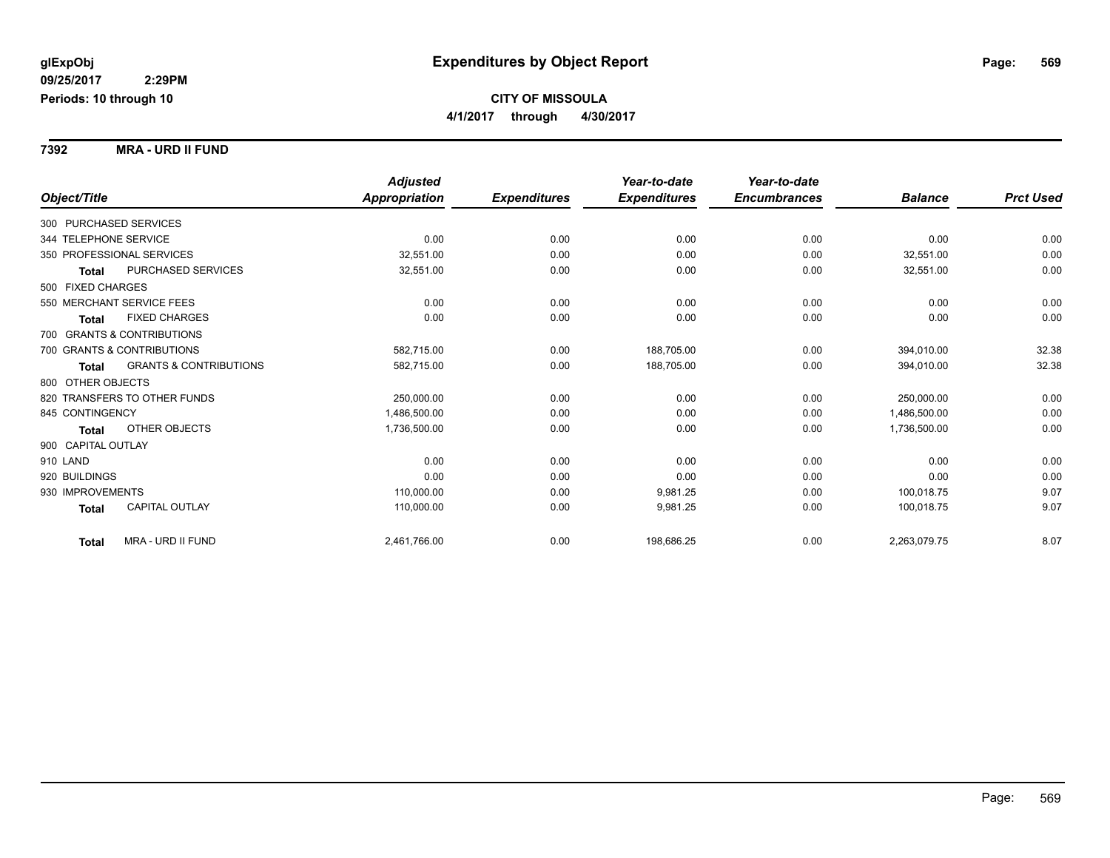**7392 MRA - URD II FUND**

|                                            | <b>Adjusted</b> |                     | Year-to-date        | Year-to-date        |                |                  |
|--------------------------------------------|-----------------|---------------------|---------------------|---------------------|----------------|------------------|
| Object/Title                               | Appropriation   | <b>Expenditures</b> | <b>Expenditures</b> | <b>Encumbrances</b> | <b>Balance</b> | <b>Prct Used</b> |
| 300 PURCHASED SERVICES                     |                 |                     |                     |                     |                |                  |
| 344 TELEPHONE SERVICE                      | 0.00            | 0.00                | 0.00                | 0.00                | 0.00           | 0.00             |
| 350 PROFESSIONAL SERVICES                  | 32,551.00       | 0.00                | 0.00                | 0.00                | 32,551.00      | 0.00             |
| <b>PURCHASED SERVICES</b><br><b>Total</b>  | 32,551.00       | 0.00                | 0.00                | 0.00                | 32,551.00      | 0.00             |
| 500 FIXED CHARGES                          |                 |                     |                     |                     |                |                  |
| 550 MERCHANT SERVICE FEES                  | 0.00            | 0.00                | 0.00                | 0.00                | 0.00           | 0.00             |
| <b>FIXED CHARGES</b><br><b>Total</b>       | 0.00            | 0.00                | 0.00                | 0.00                | 0.00           | 0.00             |
| 700 GRANTS & CONTRIBUTIONS                 |                 |                     |                     |                     |                |                  |
| 700 GRANTS & CONTRIBUTIONS                 | 582.715.00      | 0.00                | 188.705.00          | 0.00                | 394.010.00     | 32.38            |
| <b>GRANTS &amp; CONTRIBUTIONS</b><br>Total | 582,715.00      | 0.00                | 188,705.00          | 0.00                | 394,010.00     | 32.38            |
| 800 OTHER OBJECTS                          |                 |                     |                     |                     |                |                  |
| 820 TRANSFERS TO OTHER FUNDS               | 250.000.00      | 0.00                | 0.00                | 0.00                | 250.000.00     | 0.00             |
| 845 CONTINGENCY                            | 1,486,500.00    | 0.00                | 0.00                | 0.00                | 1,486,500.00   | 0.00             |
| <b>OTHER OBJECTS</b><br><b>Total</b>       | 1,736,500.00    | 0.00                | 0.00                | 0.00                | 1,736,500.00   | 0.00             |
| 900 CAPITAL OUTLAY                         |                 |                     |                     |                     |                |                  |
| 910 LAND                                   | 0.00            | 0.00                | 0.00                | 0.00                | 0.00           | 0.00             |
| 920 BUILDINGS                              | 0.00            | 0.00                | 0.00                | 0.00                | 0.00           | 0.00             |
| 930 IMPROVEMENTS                           | 110,000.00      | 0.00                | 9,981.25            | 0.00                | 100.018.75     | 9.07             |
| <b>CAPITAL OUTLAY</b><br><b>Total</b>      | 110,000.00      | 0.00                | 9,981.25            | 0.00                | 100.018.75     | 9.07             |
| MRA - URD II FUND<br><b>Total</b>          | 2,461,766.00    | 0.00                | 198,686.25          | 0.00                | 2,263,079.75   | 8.07             |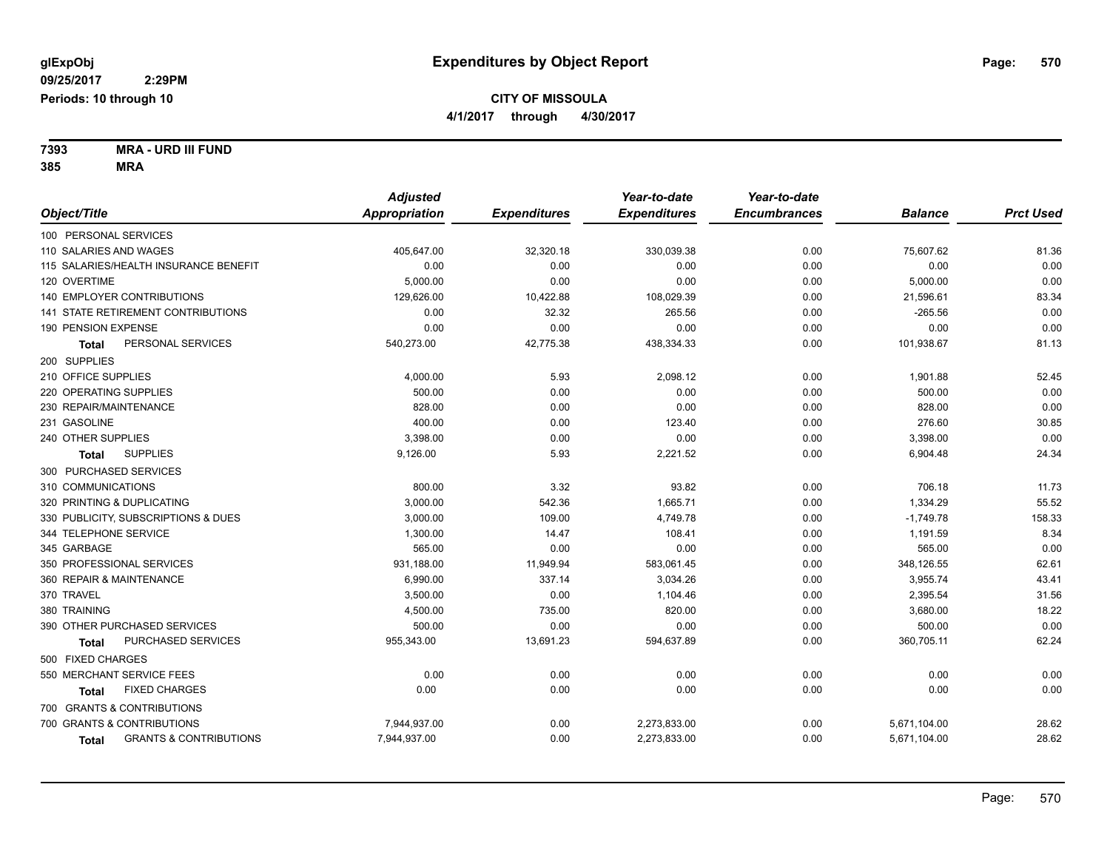**7393 MRA - URD III FUND 385 MRA**

|                                            | <b>Adjusted</b>      |                     | Year-to-date        | Year-to-date        |                |                  |
|--------------------------------------------|----------------------|---------------------|---------------------|---------------------|----------------|------------------|
| Object/Title                               | <b>Appropriation</b> | <b>Expenditures</b> | <b>Expenditures</b> | <b>Encumbrances</b> | <b>Balance</b> | <b>Prct Used</b> |
| 100 PERSONAL SERVICES                      |                      |                     |                     |                     |                |                  |
| 110 SALARIES AND WAGES                     | 405,647.00           | 32,320.18           | 330,039.38          | 0.00                | 75,607.62      | 81.36            |
| 115 SALARIES/HEALTH INSURANCE BENEFIT      | 0.00                 | 0.00                | 0.00                | 0.00                | 0.00           | 0.00             |
| 120 OVERTIME                               | 5,000.00             | 0.00                | 0.00                | 0.00                | 5,000.00       | 0.00             |
| <b>140 EMPLOYER CONTRIBUTIONS</b>          | 129,626.00           | 10,422.88           | 108,029.39          | 0.00                | 21,596.61      | 83.34            |
| 141 STATE RETIREMENT CONTRIBUTIONS         | 0.00                 | 32.32               | 265.56              | 0.00                | $-265.56$      | 0.00             |
| 190 PENSION EXPENSE                        | 0.00                 | 0.00                | 0.00                | 0.00                | 0.00           | 0.00             |
| PERSONAL SERVICES<br>Total                 | 540,273.00           | 42,775.38           | 438,334.33          | 0.00                | 101,938.67     | 81.13            |
| 200 SUPPLIES                               |                      |                     |                     |                     |                |                  |
| 210 OFFICE SUPPLIES                        | 4,000.00             | 5.93                | 2,098.12            | 0.00                | 1,901.88       | 52.45            |
| 220 OPERATING SUPPLIES                     | 500.00               | 0.00                | 0.00                | 0.00                | 500.00         | 0.00             |
| 230 REPAIR/MAINTENANCE                     | 828.00               | 0.00                | 0.00                | 0.00                | 828.00         | 0.00             |
| 231 GASOLINE                               | 400.00               | 0.00                | 123.40              | 0.00                | 276.60         | 30.85            |
| 240 OTHER SUPPLIES                         | 3,398.00             | 0.00                | 0.00                | 0.00                | 3,398.00       | 0.00             |
| <b>SUPPLIES</b><br><b>Total</b>            | 9,126.00             | 5.93                | 2,221.52            | 0.00                | 6,904.48       | 24.34            |
| 300 PURCHASED SERVICES                     |                      |                     |                     |                     |                |                  |
| 310 COMMUNICATIONS                         | 800.00               | 3.32                | 93.82               | 0.00                | 706.18         | 11.73            |
| 320 PRINTING & DUPLICATING                 | 3,000.00             | 542.36              | 1,665.71            | 0.00                | 1,334.29       | 55.52            |
| 330 PUBLICITY, SUBSCRIPTIONS & DUES        | 3,000.00             | 109.00              | 4,749.78            | 0.00                | $-1,749.78$    | 158.33           |
| 344 TELEPHONE SERVICE                      | 1,300.00             | 14.47               | 108.41              | 0.00                | 1,191.59       | 8.34             |
| 345 GARBAGE                                | 565.00               | 0.00                | 0.00                | 0.00                | 565.00         | 0.00             |
| 350 PROFESSIONAL SERVICES                  | 931,188.00           | 11,949.94           | 583,061.45          | 0.00                | 348,126.55     | 62.61            |
| 360 REPAIR & MAINTENANCE                   | 6,990.00             | 337.14              | 3,034.26            | 0.00                | 3,955.74       | 43.41            |
| 370 TRAVEL                                 | 3,500.00             | 0.00                | 1,104.46            | 0.00                | 2,395.54       | 31.56            |
| 380 TRAINING                               | 4,500.00             | 735.00              | 820.00              | 0.00                | 3,680.00       | 18.22            |
| 390 OTHER PURCHASED SERVICES               | 500.00               | 0.00                | 0.00                | 0.00                | 500.00         | 0.00             |
| PURCHASED SERVICES<br><b>Total</b>         | 955,343.00           | 13,691.23           | 594,637.89          | 0.00                | 360,705.11     | 62.24            |
| 500 FIXED CHARGES                          |                      |                     |                     |                     |                |                  |
| 550 MERCHANT SERVICE FEES                  | 0.00                 | 0.00                | 0.00                | 0.00                | 0.00           | 0.00             |
| <b>FIXED CHARGES</b><br>Total              | 0.00                 | 0.00                | 0.00                | 0.00                | 0.00           | 0.00             |
| 700 GRANTS & CONTRIBUTIONS                 |                      |                     |                     |                     |                |                  |
| 700 GRANTS & CONTRIBUTIONS                 | 7,944,937.00         | 0.00                | 2,273,833.00        | 0.00                | 5,671,104.00   | 28.62            |
| <b>GRANTS &amp; CONTRIBUTIONS</b><br>Total | 7,944,937.00         | 0.00                | 2,273,833.00        | 0.00                | 5,671,104.00   | 28.62            |
|                                            |                      |                     |                     |                     |                |                  |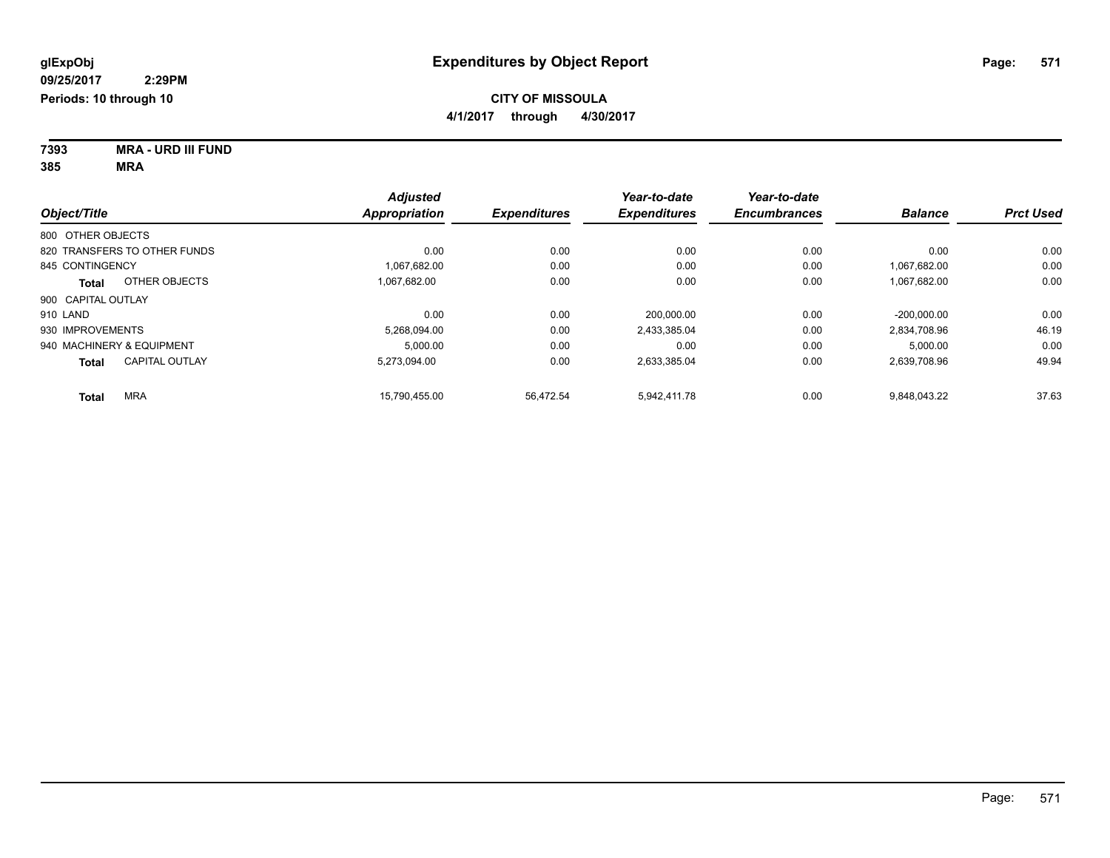**7393 MRA - URD III FUND 385 MRA**

|                                       | <b>Adjusted</b> |                     | Year-to-date        | Year-to-date        |                |                  |
|---------------------------------------|-----------------|---------------------|---------------------|---------------------|----------------|------------------|
| Object/Title                          | Appropriation   | <b>Expenditures</b> | <b>Expenditures</b> | <b>Encumbrances</b> | <b>Balance</b> | <b>Prct Used</b> |
| 800 OTHER OBJECTS                     |                 |                     |                     |                     |                |                  |
| 820 TRANSFERS TO OTHER FUNDS          | 0.00            | 0.00                | 0.00                | 0.00                | 0.00           | 0.00             |
| 845 CONTINGENCY                       | 1.067.682.00    | 0.00                | 0.00                | 0.00                | 1,067,682.00   | 0.00             |
| OTHER OBJECTS<br><b>Total</b>         | 1.067.682.00    | 0.00                | 0.00                | 0.00                | 1,067,682.00   | 0.00             |
| 900 CAPITAL OUTLAY                    |                 |                     |                     |                     |                |                  |
| 910 LAND                              | 0.00            | 0.00                | 200.000.00          | 0.00                | $-200.000.00$  | 0.00             |
| 930 IMPROVEMENTS                      | 5,268,094.00    | 0.00                | 2,433,385.04        | 0.00                | 2,834,708.96   | 46.19            |
| 940 MACHINERY & EQUIPMENT             | 5,000.00        | 0.00                | 0.00                | 0.00                | 5,000.00       | 0.00             |
| <b>CAPITAL OUTLAY</b><br><b>Total</b> | 5,273,094.00    | 0.00                | 2,633,385.04        | 0.00                | 2,639,708.96   | 49.94            |
| <b>MRA</b><br><b>Total</b>            | 15,790,455.00   | 56,472.54           | 5.942.411.78        | 0.00                | 9,848,043.22   | 37.63            |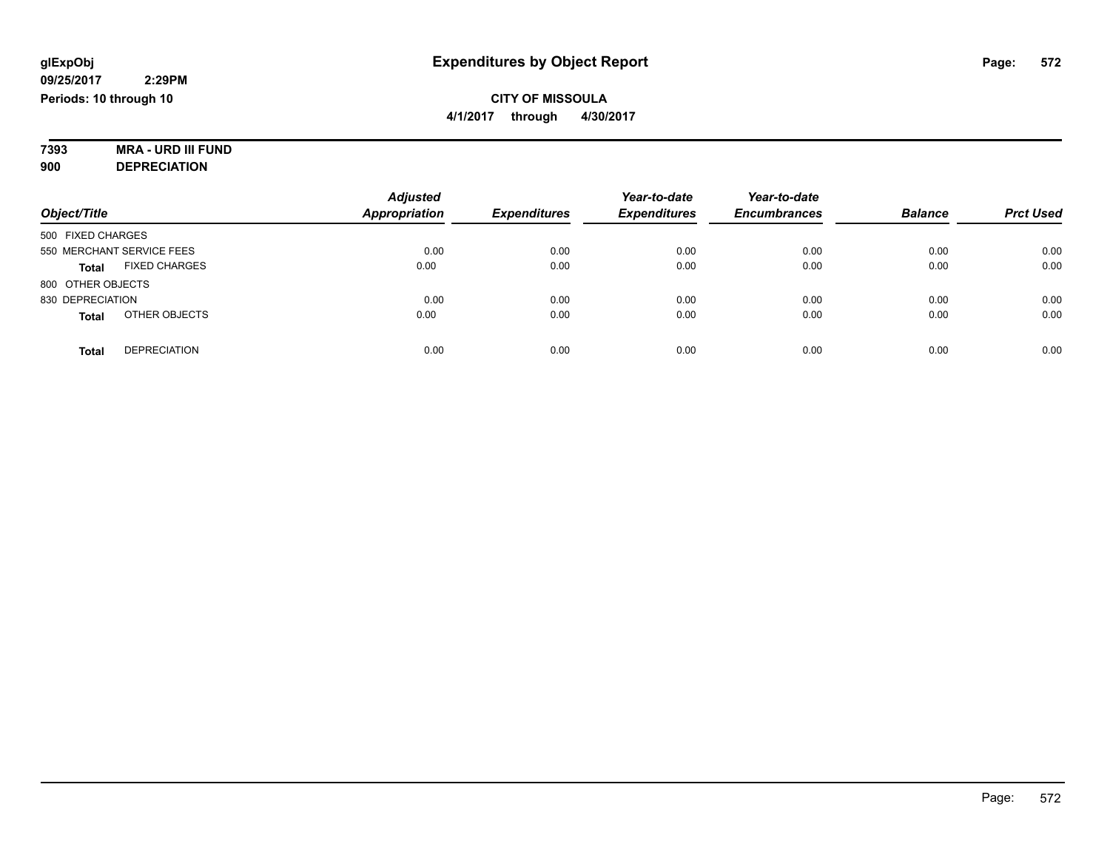# **7393 MRA - URD III FUND**

**900 DEPRECIATION**

|                                      | <b>Adjusted</b>      |                     | Year-to-date        | Year-to-date        |                |                  |
|--------------------------------------|----------------------|---------------------|---------------------|---------------------|----------------|------------------|
| Object/Title                         | <b>Appropriation</b> | <b>Expenditures</b> | <b>Expenditures</b> | <b>Encumbrances</b> | <b>Balance</b> | <b>Prct Used</b> |
| 500 FIXED CHARGES                    |                      |                     |                     |                     |                |                  |
| 550 MERCHANT SERVICE FEES            | 0.00                 | 0.00                | 0.00                | 0.00                | 0.00           | 0.00             |
| <b>FIXED CHARGES</b><br><b>Total</b> | 0.00                 | 0.00                | 0.00                | 0.00                | 0.00           | 0.00             |
| 800 OTHER OBJECTS                    |                      |                     |                     |                     |                |                  |
| 830 DEPRECIATION                     | 0.00                 | 0.00                | 0.00                | 0.00                | 0.00           | 0.00             |
| OTHER OBJECTS<br><b>Total</b>        | 0.00                 | 0.00                | 0.00                | 0.00                | 0.00           | 0.00             |
| <b>DEPRECIATION</b><br><b>Total</b>  | 0.00                 | 0.00                | 0.00                | 0.00                | 0.00           | 0.00             |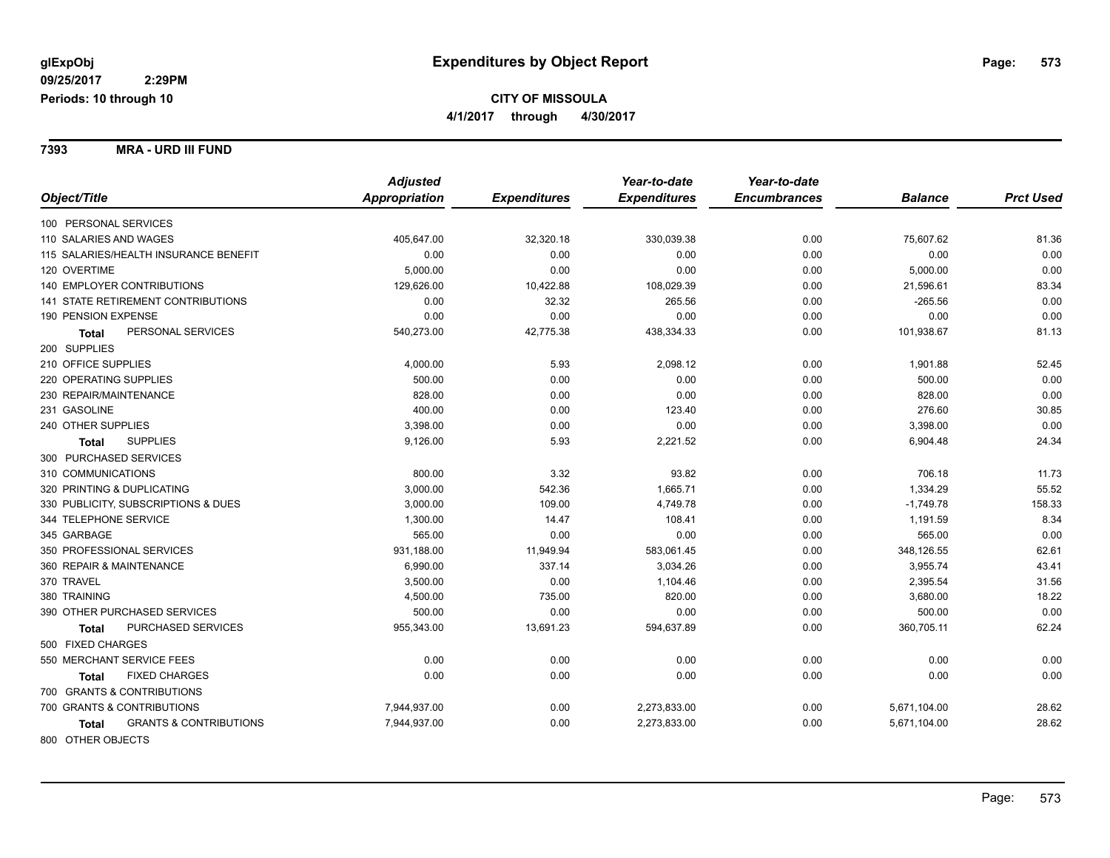**7393 MRA - URD III FUND**

|                                            | <b>Adjusted</b> |                     | Year-to-date        | Year-to-date        |                |                  |
|--------------------------------------------|-----------------|---------------------|---------------------|---------------------|----------------|------------------|
| Object/Title                               | Appropriation   | <b>Expenditures</b> | <b>Expenditures</b> | <b>Encumbrances</b> | <b>Balance</b> | <b>Prct Used</b> |
| 100 PERSONAL SERVICES                      |                 |                     |                     |                     |                |                  |
| 110 SALARIES AND WAGES                     | 405,647.00      | 32,320.18           | 330,039.38          | 0.00                | 75,607.62      | 81.36            |
| 115 SALARIES/HEALTH INSURANCE BENEFIT      | 0.00            | 0.00                | 0.00                | 0.00                | 0.00           | 0.00             |
| 120 OVERTIME                               | 5,000.00        | 0.00                | 0.00                | 0.00                | 5,000.00       | 0.00             |
| <b>140 EMPLOYER CONTRIBUTIONS</b>          | 129,626.00      | 10,422.88           | 108,029.39          | 0.00                | 21,596.61      | 83.34            |
| <b>141 STATE RETIREMENT CONTRIBUTIONS</b>  | 0.00            | 32.32               | 265.56              | 0.00                | $-265.56$      | 0.00             |
| 190 PENSION EXPENSE                        | 0.00            | 0.00                | 0.00                | 0.00                | 0.00           | 0.00             |
| PERSONAL SERVICES<br><b>Total</b>          | 540,273.00      | 42,775.38           | 438,334.33          | 0.00                | 101,938.67     | 81.13            |
| 200 SUPPLIES                               |                 |                     |                     |                     |                |                  |
| 210 OFFICE SUPPLIES                        | 4,000.00        | 5.93                | 2,098.12            | 0.00                | 1,901.88       | 52.45            |
| 220 OPERATING SUPPLIES                     | 500.00          | 0.00                | 0.00                | 0.00                | 500.00         | 0.00             |
| 230 REPAIR/MAINTENANCE                     | 828.00          | 0.00                | 0.00                | 0.00                | 828.00         | 0.00             |
| 231 GASOLINE                               | 400.00          | 0.00                | 123.40              | 0.00                | 276.60         | 30.85            |
| 240 OTHER SUPPLIES                         | 3,398.00        | 0.00                | 0.00                | 0.00                | 3,398.00       | 0.00             |
| <b>SUPPLIES</b><br><b>Total</b>            | 9,126.00        | 5.93                | 2,221.52            | 0.00                | 6,904.48       | 24.34            |
| 300 PURCHASED SERVICES                     |                 |                     |                     |                     |                |                  |
| 310 COMMUNICATIONS                         | 800.00          | 3.32                | 93.82               | 0.00                | 706.18         | 11.73            |
| 320 PRINTING & DUPLICATING                 | 3,000.00        | 542.36              | 1,665.71            | 0.00                | 1,334.29       | 55.52            |
| 330 PUBLICITY, SUBSCRIPTIONS & DUES        | 3,000.00        | 109.00              | 4,749.78            | 0.00                | $-1,749.78$    | 158.33           |
| 344 TELEPHONE SERVICE                      | 1,300.00        | 14.47               | 108.41              | 0.00                | 1,191.59       | 8.34             |
| 345 GARBAGE                                | 565.00          | 0.00                | 0.00                | 0.00                | 565.00         | 0.00             |
| 350 PROFESSIONAL SERVICES                  | 931,188.00      | 11,949.94           | 583,061.45          | 0.00                | 348,126.55     | 62.61            |
| 360 REPAIR & MAINTENANCE                   | 6,990.00        | 337.14              | 3,034.26            | 0.00                | 3,955.74       | 43.41            |
| 370 TRAVEL                                 | 3,500.00        | 0.00                | 1,104.46            | 0.00                | 2,395.54       | 31.56            |
| 380 TRAINING                               | 4,500.00        | 735.00              | 820.00              | 0.00                | 3,680.00       | 18.22            |
| 390 OTHER PURCHASED SERVICES               | 500.00          | 0.00                | 0.00                | 0.00                | 500.00         | 0.00             |
| PURCHASED SERVICES<br>Total                | 955,343.00      | 13,691.23           | 594,637.89          | 0.00                | 360,705.11     | 62.24            |
| 500 FIXED CHARGES                          |                 |                     |                     |                     |                |                  |
| 550 MERCHANT SERVICE FEES                  | 0.00            | 0.00                | 0.00                | 0.00                | 0.00           | 0.00             |
| <b>FIXED CHARGES</b><br><b>Total</b>       | 0.00            | 0.00                | 0.00                | 0.00                | 0.00           | 0.00             |
| 700 GRANTS & CONTRIBUTIONS                 |                 |                     |                     |                     |                |                  |
| 700 GRANTS & CONTRIBUTIONS                 | 7,944,937.00    | 0.00                | 2,273,833.00        | 0.00                | 5,671,104.00   | 28.62            |
| <b>GRANTS &amp; CONTRIBUTIONS</b><br>Total | 7,944,937.00    | 0.00                | 2,273,833.00        | 0.00                | 5,671,104.00   | 28.62            |
| 800 OTHER OBJECTS                          |                 |                     |                     |                     |                |                  |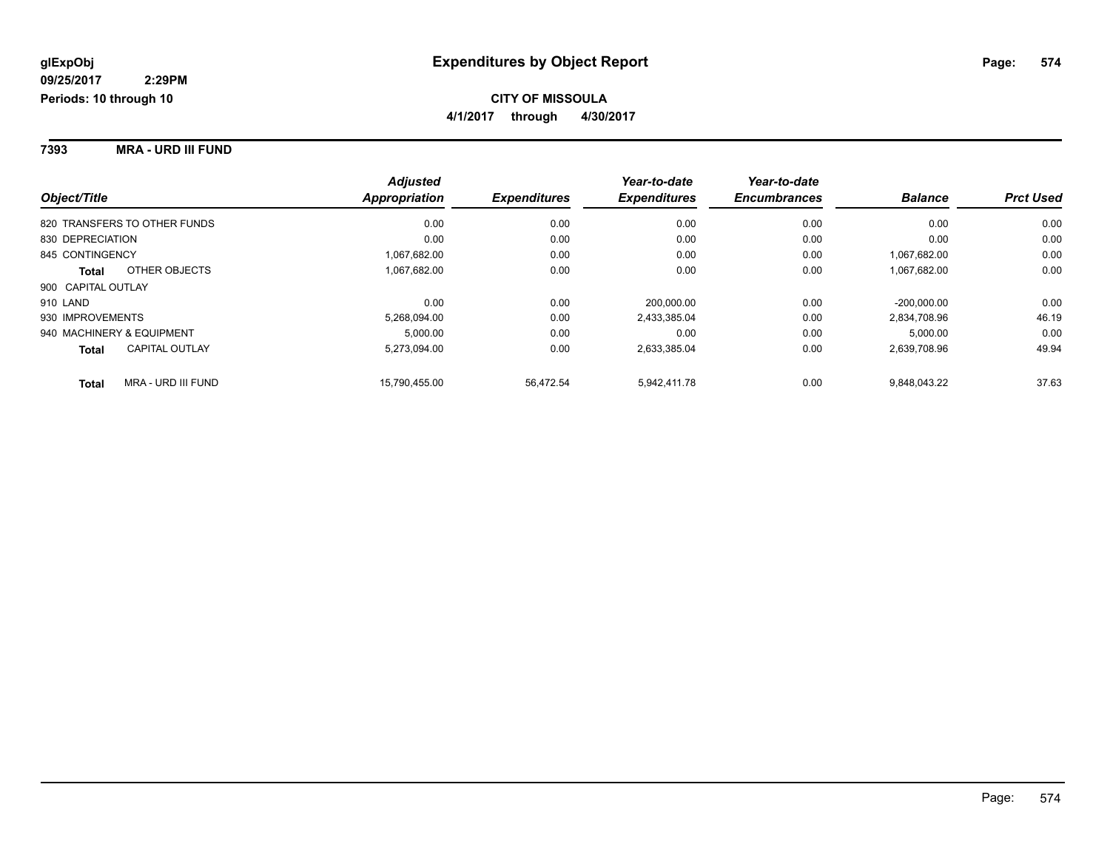**7393 MRA - URD III FUND**

|                              |                       | <b>Adjusted</b>      |                     | Year-to-date        | Year-to-date        |                |                  |
|------------------------------|-----------------------|----------------------|---------------------|---------------------|---------------------|----------------|------------------|
| Object/Title                 |                       | <b>Appropriation</b> | <b>Expenditures</b> | <b>Expenditures</b> | <b>Encumbrances</b> | <b>Balance</b> | <b>Prct Used</b> |
| 820 TRANSFERS TO OTHER FUNDS |                       | 0.00                 | 0.00                | 0.00                | 0.00                | 0.00           | 0.00             |
| 830 DEPRECIATION             |                       | 0.00                 | 0.00                | 0.00                | 0.00                | 0.00           | 0.00             |
| 845 CONTINGENCY              |                       | 1,067,682.00         | 0.00                | 0.00                | 0.00                | 1.067.682.00   | 0.00             |
| <b>Total</b>                 | OTHER OBJECTS         | 1,067,682.00         | 0.00                | 0.00                | 0.00                | 1,067,682.00   | 0.00             |
| 900 CAPITAL OUTLAY           |                       |                      |                     |                     |                     |                |                  |
| 910 LAND                     |                       | 0.00                 | 0.00                | 200.000.00          | 0.00                | $-200.000.00$  | 0.00             |
| 930 IMPROVEMENTS             |                       | 5,268,094.00         | 0.00                | 2,433,385.04        | 0.00                | 2.834.708.96   | 46.19            |
| 940 MACHINERY & EQUIPMENT    |                       | 5.000.00             | 0.00                | 0.00                | 0.00                | 5,000.00       | 0.00             |
| <b>Total</b>                 | <b>CAPITAL OUTLAY</b> | 5,273,094.00         | 0.00                | 2,633,385.04        | 0.00                | 2,639,708.96   | 49.94            |
| <b>Total</b>                 | MRA - URD III FUND    | 15.790.455.00        | 56,472.54           | 5.942.411.78        | 0.00                | 9.848.043.22   | 37.63            |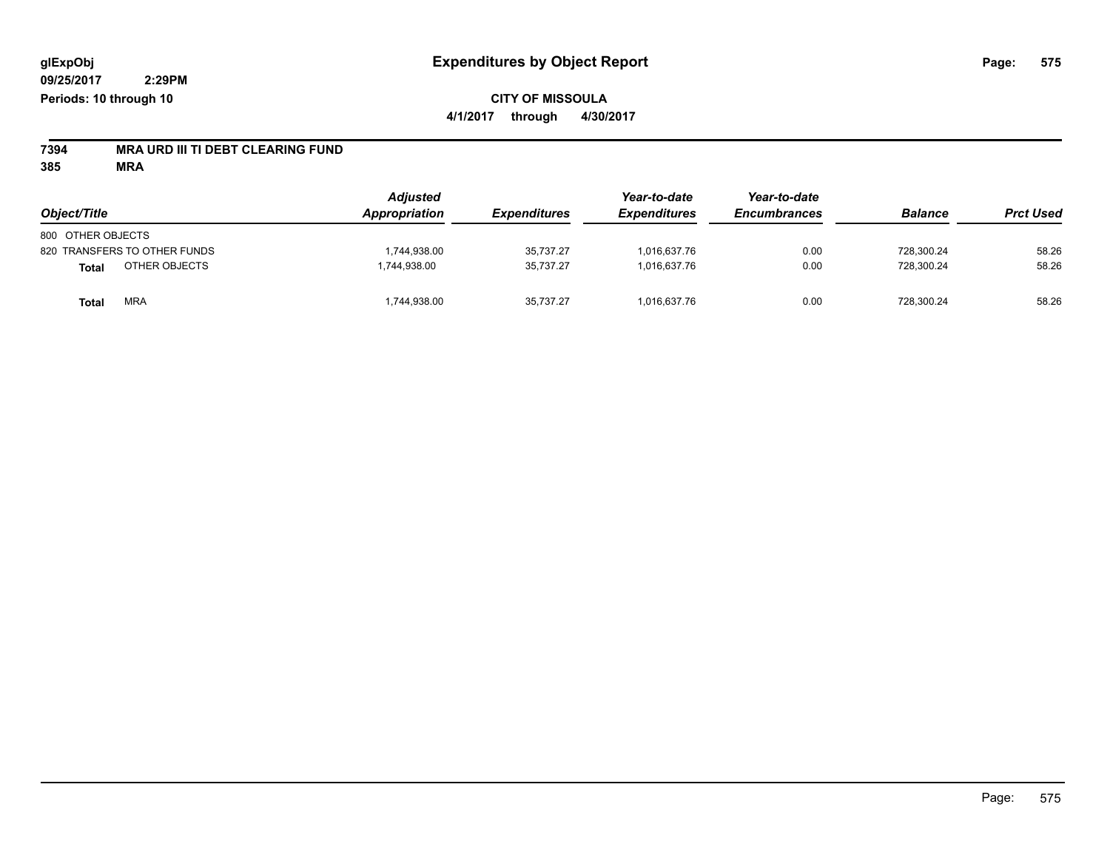# **7394 MRA URD III TI DEBT CLEARING FUND**

**385 MRA**

| Object/Title                 | <b>Adjusted</b><br><b>Appropriation</b> | <b>Expenditures</b> | Year-to-date<br><b>Expenditures</b> | Year-to-date<br><b>Encumbrances</b> | <b>Balance</b> | <b>Prct Used</b> |
|------------------------------|-----------------------------------------|---------------------|-------------------------------------|-------------------------------------|----------------|------------------|
|                              |                                         |                     |                                     |                                     |                |                  |
| 800 OTHER OBJECTS            |                                         |                     |                                     |                                     |                |                  |
| 820 TRANSFERS TO OTHER FUNDS | 1,744,938.00                            | 35,737.27           | 1.016.637.76                        | 0.00                                | 728.300.24     | 58.26            |
| OTHER OBJECTS<br>Total       | 1.744.938.00                            | 35,737.27           | 1.016.637.76                        | 0.00                                | 728.300.24     | 58.26            |
| <b>MRA</b><br>Total          | 1,744,938.00                            | 35.737.27           | 1.016.637.76                        | 0.00                                | 728,300.24     | 58.26            |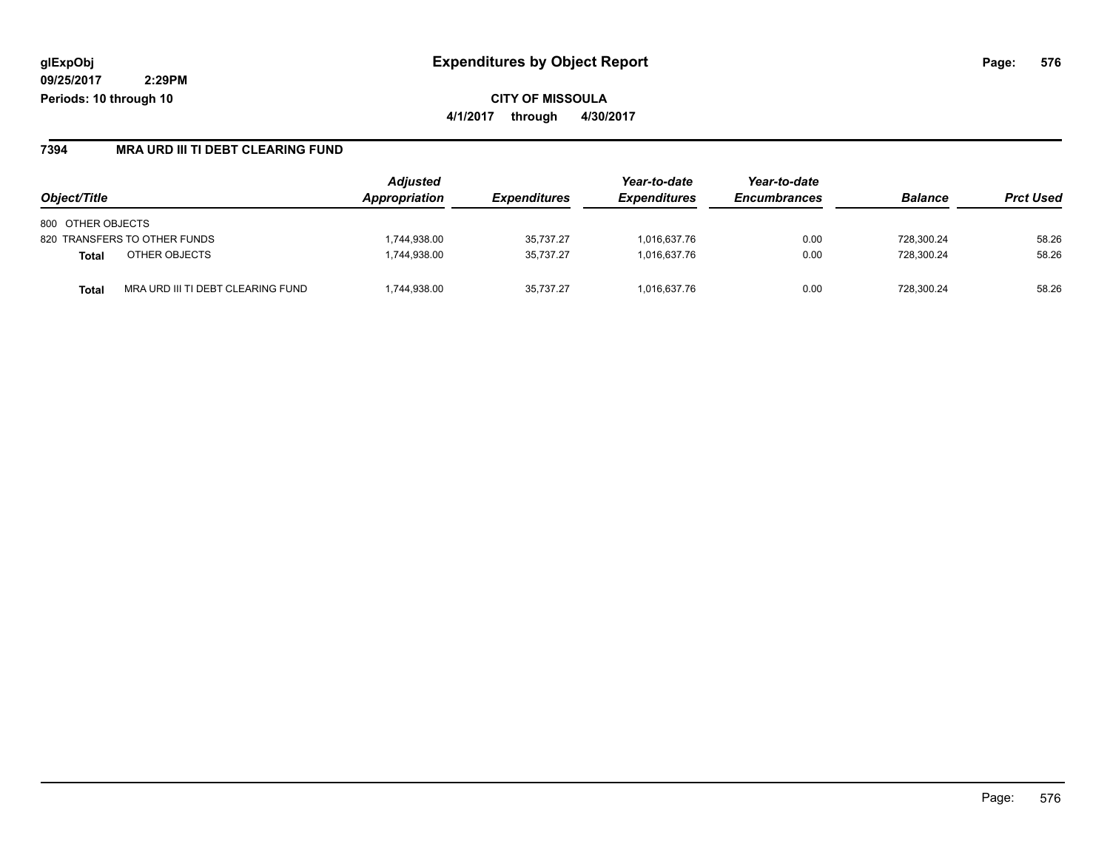#### **7394 MRA URD III TI DEBT CLEARING FUND**

| Object/Title                                      | <b>Adjusted</b><br>Appropriation | <b>Expenditures</b> | Year-to-date<br><b>Expenditures</b> | Year-to-date<br><b>Encumbrances</b> | <b>Balance</b> | <b>Prct Used</b> |
|---------------------------------------------------|----------------------------------|---------------------|-------------------------------------|-------------------------------------|----------------|------------------|
| 800 OTHER OBJECTS                                 |                                  |                     |                                     |                                     |                |                  |
| 820 TRANSFERS TO OTHER FUNDS                      | 1.744.938.00                     | 35.737.27           | 1.016.637.76                        | 0.00                                | 728.300.24     | 58.26            |
| OTHER OBJECTS<br><b>Total</b>                     | 1.744.938.00                     | 35.737.27           | 1.016.637.76                        | 0.00                                | 728.300.24     | 58.26            |
| MRA URD III TI DEBT CLEARING FUND<br><b>Total</b> | 1,744,938.00                     | 35.737.27           | 1.016.637.76                        | 0.00                                | 728.300.24     | 58.26            |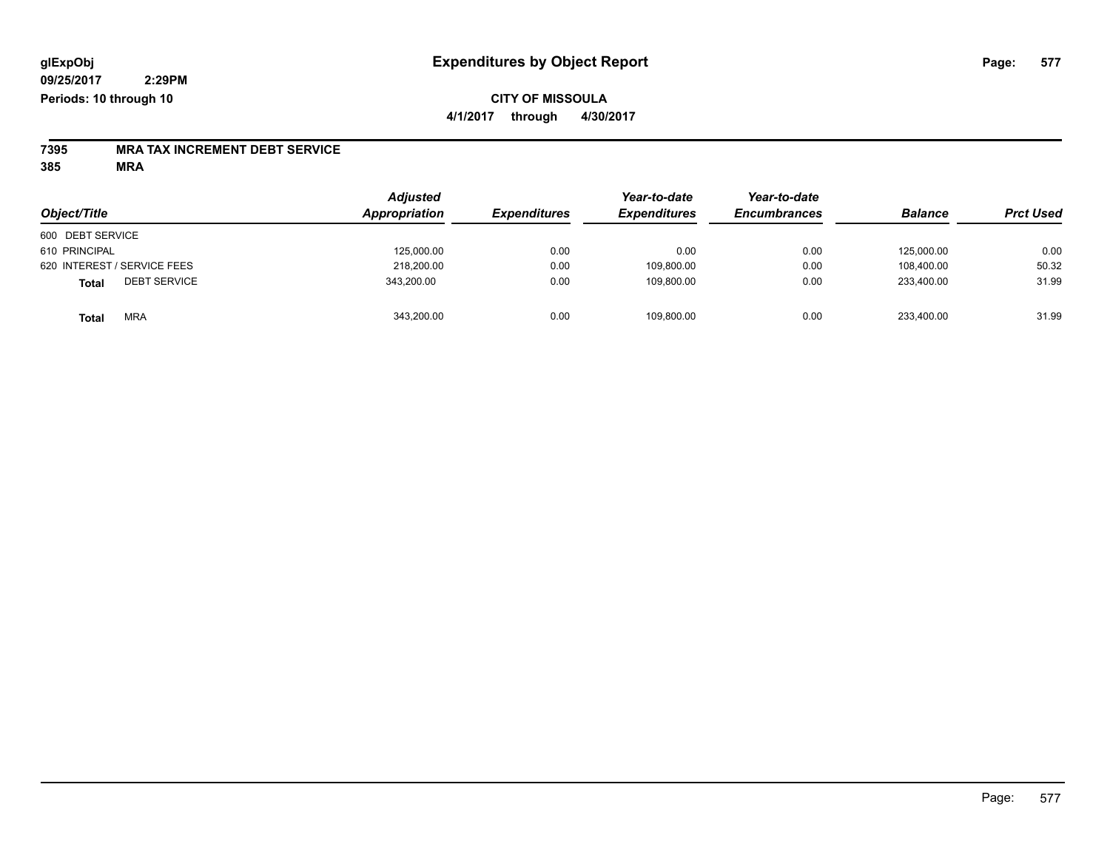### **CITY OF MISSOULA 4/1/2017 through 4/30/2017**

# **7395 MRA TAX INCREMENT DEBT SERVICE**

**385 MRA**

| Object/Title                 | <b>Adjusted</b><br>Appropriation | <b>Expenditures</b> | Year-to-date<br><b>Expenditures</b> | Year-to-date<br><b>Encumbrances</b> | <b>Balance</b> | <b>Prct Used</b> |
|------------------------------|----------------------------------|---------------------|-------------------------------------|-------------------------------------|----------------|------------------|
| 600 DEBT SERVICE             |                                  |                     |                                     |                                     |                |                  |
| 610 PRINCIPAL                | 125,000.00                       | 0.00                | 0.00                                | 0.00                                | 125.000.00     | 0.00             |
| 620 INTEREST / SERVICE FEES  | 218,200.00                       | 0.00                | 109,800.00                          | 0.00                                | 108.400.00     | 50.32            |
| <b>DEBT SERVICE</b><br>Total | 343,200.00                       | 0.00                | 109,800.00                          | 0.00                                | 233.400.00     | 31.99            |
| <b>MRA</b><br><b>Total</b>   | 343,200.00                       | 0.00                | 109,800.00                          | 0.00                                | 233,400.00     | 31.99            |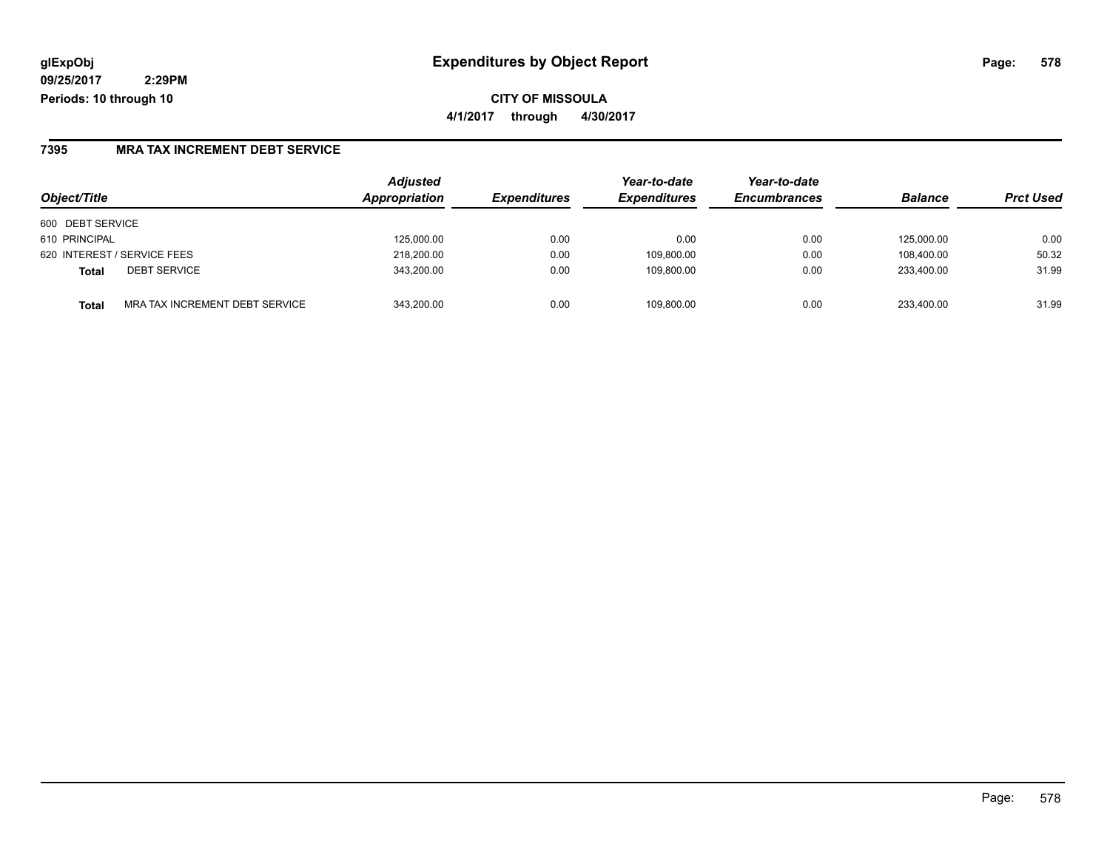**CITY OF MISSOULA 4/1/2017 through 4/30/2017**

#### **7395 MRA TAX INCREMENT DEBT SERVICE**

| Object/Title                            | <b>Adjusted</b><br>Appropriation | <b>Expenditures</b> | Year-to-date<br><b>Expenditures</b> | Year-to-date<br><b>Encumbrances</b> | <b>Balance</b> | <b>Prct Used</b> |
|-----------------------------------------|----------------------------------|---------------------|-------------------------------------|-------------------------------------|----------------|------------------|
| 600 DEBT SERVICE                        |                                  |                     |                                     |                                     |                |                  |
| 610 PRINCIPAL                           | 125.000.00                       | 0.00                | 0.00                                | 0.00                                | 125.000.00     | 0.00             |
| 620 INTEREST / SERVICE FEES             | 218,200.00                       | 0.00                | 109,800.00                          | 0.00                                | 108.400.00     | 50.32            |
| <b>DEBT SERVICE</b><br>Total            | 343,200.00                       | 0.00                | 109.800.00                          | 0.00                                | 233.400.00     | 31.99            |
| MRA TAX INCREMENT DEBT SERVICE<br>Total | 343.200.00                       | 0.00                | 109.800.00                          | 0.00                                | 233.400.00     | 31.99            |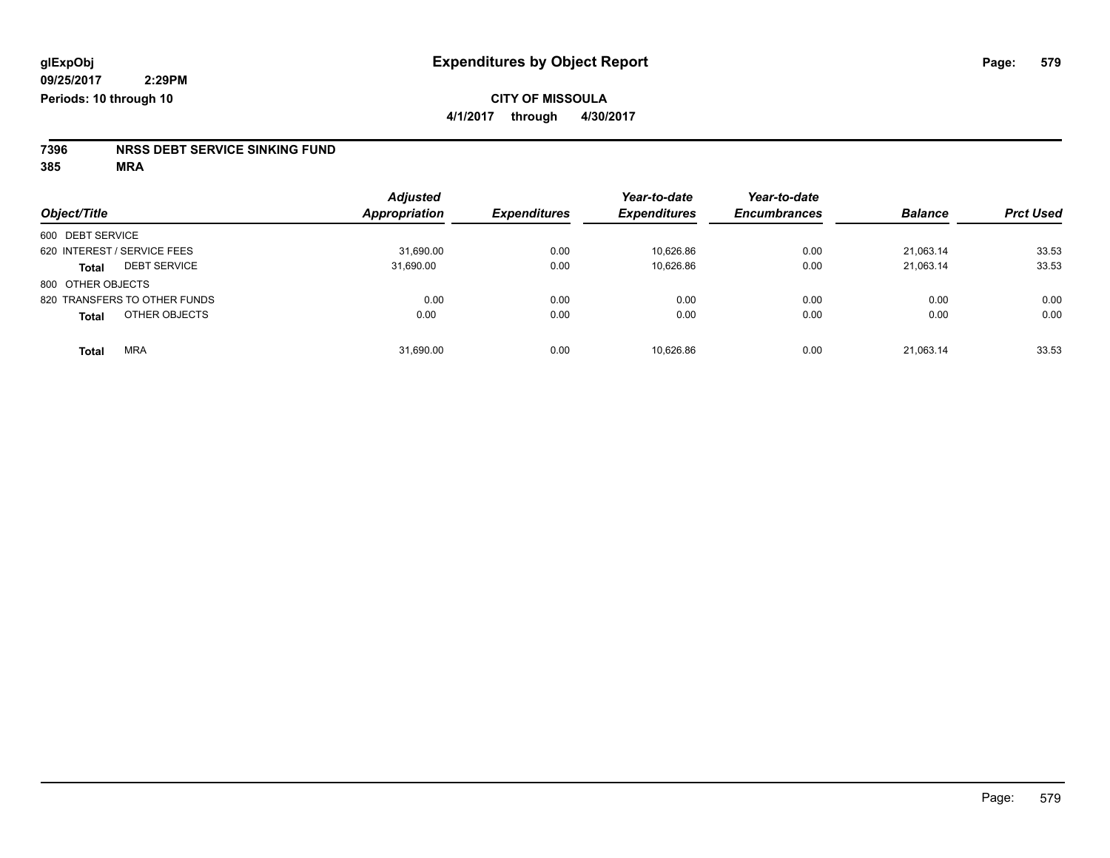# **7396 NRSS DEBT SERVICE SINKING FUND**

**385 MRA**

| Object/Title                |                              | <b>Adjusted</b><br>Appropriation | <b>Expenditures</b> | Year-to-date<br><b>Expenditures</b> | Year-to-date<br><b>Encumbrances</b> | <b>Balance</b> | <b>Prct Used</b> |
|-----------------------------|------------------------------|----------------------------------|---------------------|-------------------------------------|-------------------------------------|----------------|------------------|
|                             |                              |                                  |                     |                                     |                                     |                |                  |
| 600 DEBT SERVICE            |                              |                                  |                     |                                     |                                     |                |                  |
| 620 INTEREST / SERVICE FEES |                              | 31,690.00                        | 0.00                | 10,626.86                           | 0.00                                | 21,063.14      | 33.53            |
| <b>Total</b>                | <b>DEBT SERVICE</b>          | 31.690.00                        | 0.00                | 10.626.86                           | 0.00                                | 21.063.14      | 33.53            |
| 800 OTHER OBJECTS           |                              |                                  |                     |                                     |                                     |                |                  |
|                             | 820 TRANSFERS TO OTHER FUNDS | 0.00                             | 0.00                | 0.00                                | 0.00                                | 0.00           | 0.00             |
| <b>Total</b>                | OTHER OBJECTS                | 0.00                             | 0.00                | 0.00                                | 0.00                                | 0.00           | 0.00             |
| <b>Total</b>                | <b>MRA</b>                   | 31,690.00                        | 0.00                | 10,626.86                           | 0.00                                | 21,063.14      | 33.53            |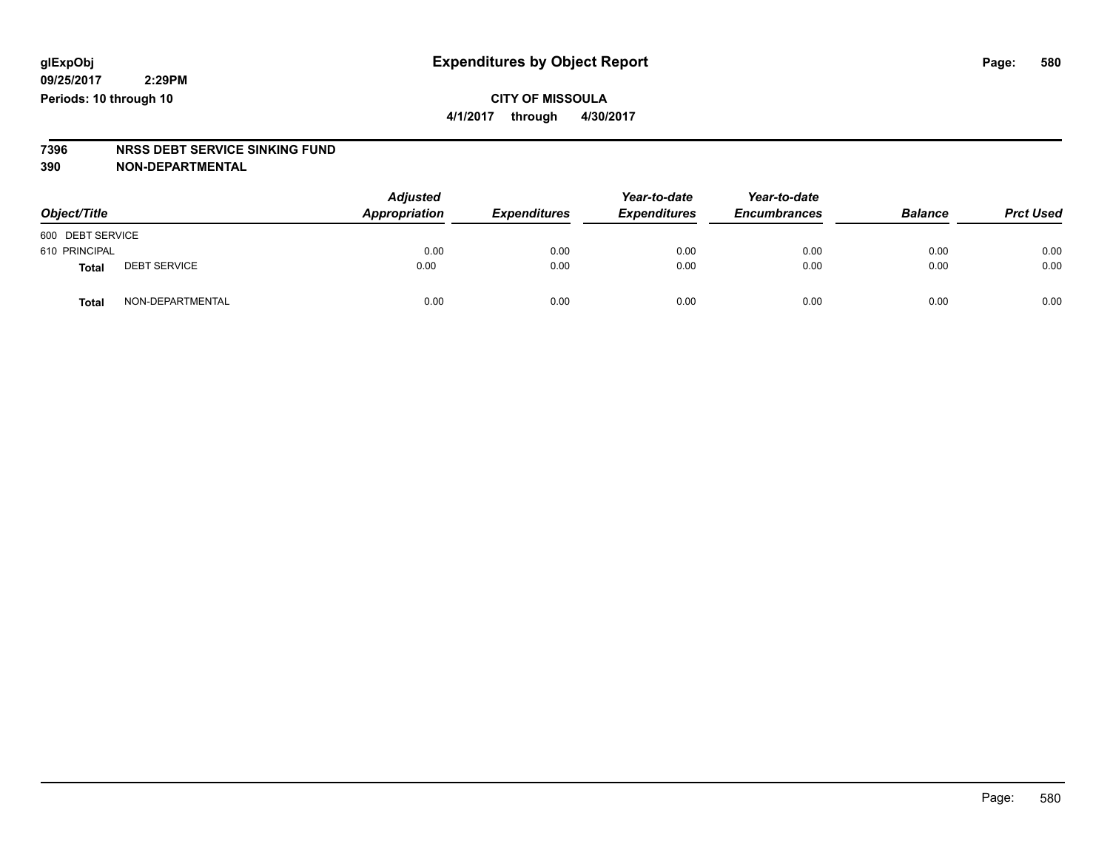**09/25/2017 Periods: 10 through 10**

**CITY OF MISSOULA 4/1/2017 through 4/30/2017**

# **7396 NRSS DEBT SERVICE SINKING FUND**

**390 NON-DEPARTMENTAL**

| Object/Title     |                     | <b>Adjusted</b><br>Appropriation | <b>Expenditures</b> | Year-to-date<br><b>Expenditures</b> | Year-to-date<br><b>Encumbrances</b> | <b>Balance</b> | <b>Prct Used</b> |
|------------------|---------------------|----------------------------------|---------------------|-------------------------------------|-------------------------------------|----------------|------------------|
| 600 DEBT SERVICE |                     |                                  |                     |                                     |                                     |                |                  |
| 610 PRINCIPAL    |                     | 0.00                             | 0.00                | 0.00                                | 0.00                                | 0.00           | 0.00             |
| <b>Total</b>     | <b>DEBT SERVICE</b> | 0.00                             | 0.00                | 0.00                                | 0.00                                | 0.00           | 0.00             |
| <b>Total</b>     | NON-DEPARTMENTAL    | 0.00                             | 0.00                | 0.00                                | 0.00                                | 0.00           | 0.00             |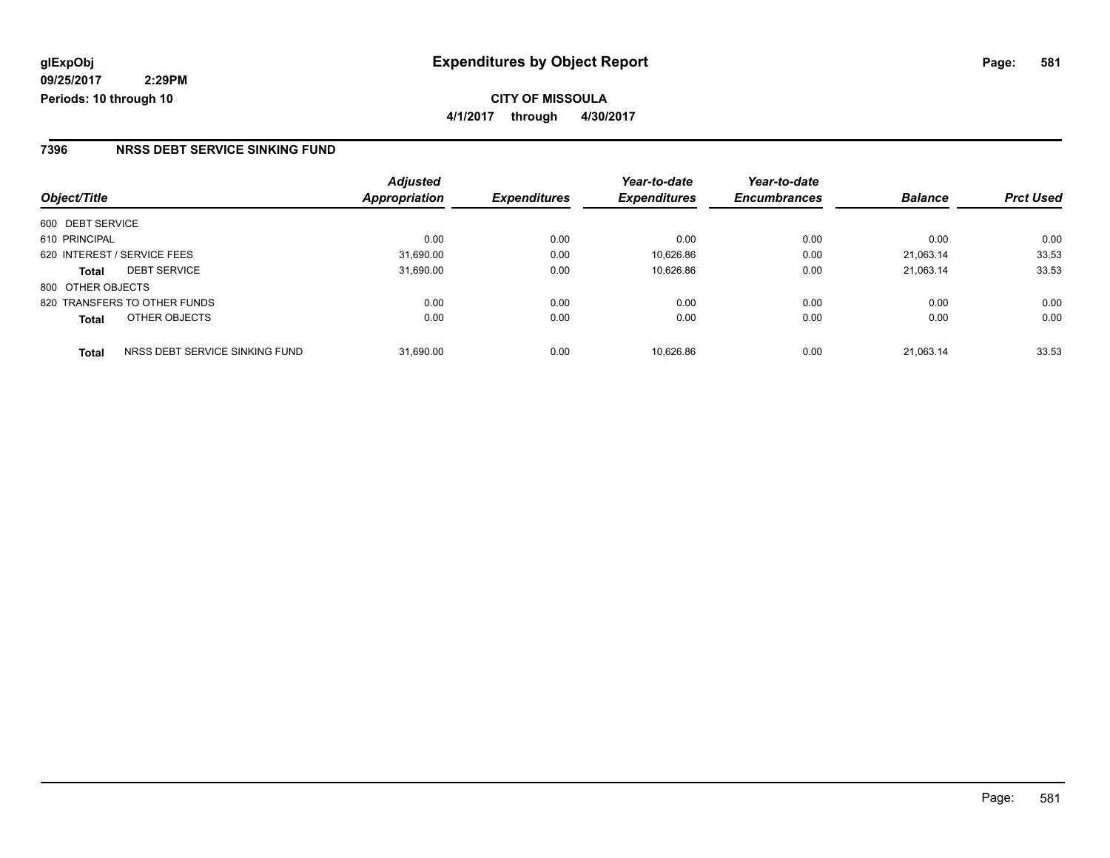#### **7396 NRSS DEBT SERVICE SINKING FUND**

|                                                | <b>Adjusted</b>      | <b>Expenditures</b> | Year-to-date<br><b>Expenditures</b> | Year-to-date<br><b>Encumbrances</b> | <b>Balance</b> | <b>Prct Used</b> |
|------------------------------------------------|----------------------|---------------------|-------------------------------------|-------------------------------------|----------------|------------------|
| Object/Title                                   | <b>Appropriation</b> |                     |                                     |                                     |                |                  |
| 600 DEBT SERVICE                               |                      |                     |                                     |                                     |                |                  |
| 610 PRINCIPAL                                  | 0.00                 | 0.00                | 0.00                                | 0.00                                | 0.00           | 0.00             |
| 620 INTEREST / SERVICE FEES                    | 31,690.00            | 0.00                | 10.626.86                           | 0.00                                | 21.063.14      | 33.53            |
| <b>DEBT SERVICE</b><br><b>Total</b>            | 31,690.00            | 0.00                | 10,626.86                           | 0.00                                | 21,063.14      | 33.53            |
| 800 OTHER OBJECTS                              |                      |                     |                                     |                                     |                |                  |
| 820 TRANSFERS TO OTHER FUNDS                   | 0.00                 | 0.00                | 0.00                                | 0.00                                | 0.00           | 0.00             |
| OTHER OBJECTS<br><b>Total</b>                  | 0.00                 | 0.00                | 0.00                                | 0.00                                | 0.00           | 0.00             |
| NRSS DEBT SERVICE SINKING FUND<br><b>Total</b> | 31.690.00            | 0.00                | 10.626.86                           | 0.00                                | 21.063.14      | 33.53            |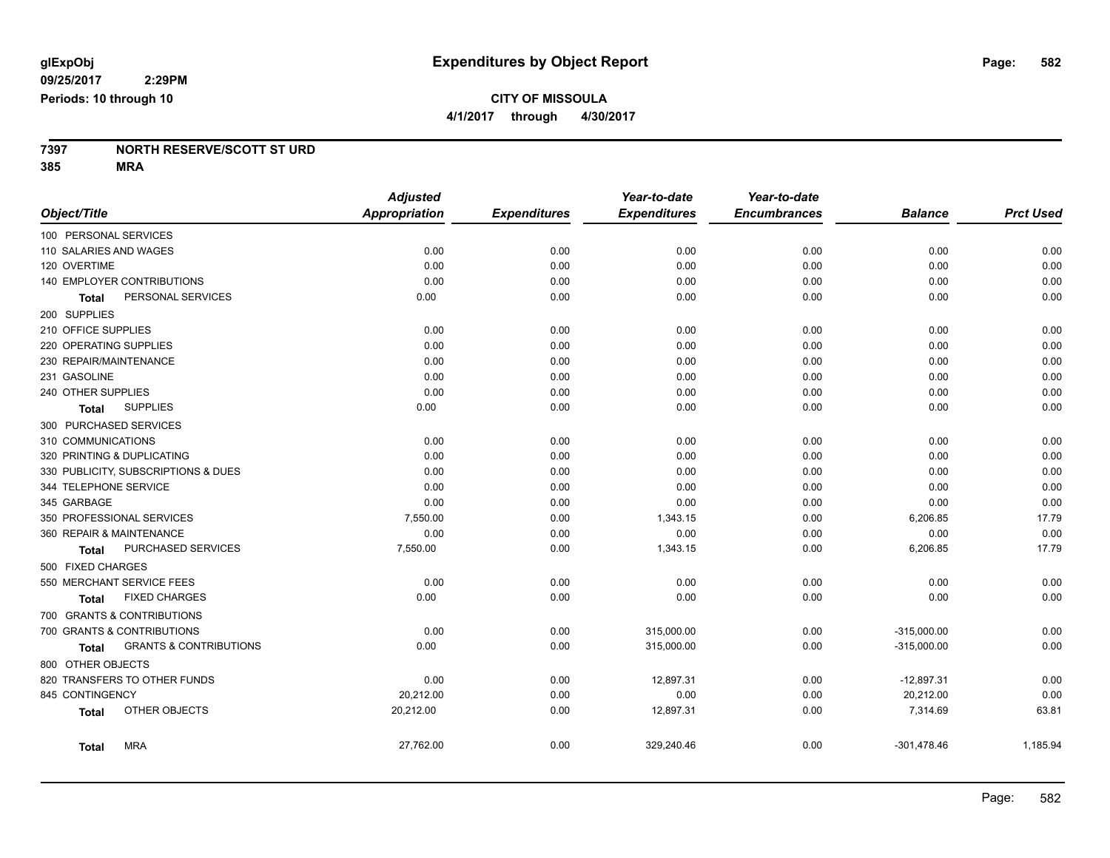# **CITY OF MISSOULA**

**4/1/2017 through 4/30/2017**

# **7397 NORTH RESERVE/SCOTT ST URD**

**385 MRA**

|                                                   | <b>Adjusted</b>      |                     | Year-to-date        | Year-to-date        |                |                  |
|---------------------------------------------------|----------------------|---------------------|---------------------|---------------------|----------------|------------------|
| Object/Title                                      | <b>Appropriation</b> | <b>Expenditures</b> | <b>Expenditures</b> | <b>Encumbrances</b> | <b>Balance</b> | <b>Prct Used</b> |
| 100 PERSONAL SERVICES                             |                      |                     |                     |                     |                |                  |
| 110 SALARIES AND WAGES                            | 0.00                 | 0.00                | 0.00                | 0.00                | 0.00           | 0.00             |
| 120 OVERTIME                                      | 0.00                 | 0.00                | 0.00                | 0.00                | 0.00           | 0.00             |
| 140 EMPLOYER CONTRIBUTIONS                        | 0.00                 | 0.00                | 0.00                | 0.00                | 0.00           | 0.00             |
| PERSONAL SERVICES<br>Total                        | 0.00                 | 0.00                | 0.00                | 0.00                | 0.00           | 0.00             |
| 200 SUPPLIES                                      |                      |                     |                     |                     |                |                  |
| 210 OFFICE SUPPLIES                               | 0.00                 | 0.00                | 0.00                | 0.00                | 0.00           | 0.00             |
| 220 OPERATING SUPPLIES                            | 0.00                 | 0.00                | 0.00                | 0.00                | 0.00           | 0.00             |
| 230 REPAIR/MAINTENANCE                            | 0.00                 | 0.00                | 0.00                | 0.00                | 0.00           | 0.00             |
| 231 GASOLINE                                      | 0.00                 | 0.00                | 0.00                | 0.00                | 0.00           | 0.00             |
| 240 OTHER SUPPLIES                                | 0.00                 | 0.00                | 0.00                | 0.00                | 0.00           | 0.00             |
| <b>SUPPLIES</b><br>Total                          | 0.00                 | 0.00                | 0.00                | 0.00                | 0.00           | 0.00             |
| 300 PURCHASED SERVICES                            |                      |                     |                     |                     |                |                  |
| 310 COMMUNICATIONS                                | 0.00                 | 0.00                | 0.00                | 0.00                | 0.00           | 0.00             |
| 320 PRINTING & DUPLICATING                        | 0.00                 | 0.00                | 0.00                | 0.00                | 0.00           | 0.00             |
| 330 PUBLICITY, SUBSCRIPTIONS & DUES               | 0.00                 | 0.00                | 0.00                | 0.00                | 0.00           | 0.00             |
| 344 TELEPHONE SERVICE                             | 0.00                 | 0.00                | 0.00                | 0.00                | 0.00           | 0.00             |
| 345 GARBAGE                                       | 0.00                 | 0.00                | 0.00                | 0.00                | 0.00           | 0.00             |
| 350 PROFESSIONAL SERVICES                         | 7,550.00             | 0.00                | 1,343.15            | 0.00                | 6,206.85       | 17.79            |
| 360 REPAIR & MAINTENANCE                          | 0.00                 | 0.00                | 0.00                | 0.00                | 0.00           | 0.00             |
| PURCHASED SERVICES<br>Total                       | 7,550.00             | 0.00                | 1,343.15            | 0.00                | 6,206.85       | 17.79            |
| 500 FIXED CHARGES                                 |                      |                     |                     |                     |                |                  |
| 550 MERCHANT SERVICE FEES                         | 0.00                 | 0.00                | 0.00                | 0.00                | 0.00           | 0.00             |
| <b>FIXED CHARGES</b><br><b>Total</b>              | 0.00                 | 0.00                | 0.00                | 0.00                | 0.00           | 0.00             |
| 700 GRANTS & CONTRIBUTIONS                        |                      |                     |                     |                     |                |                  |
| 700 GRANTS & CONTRIBUTIONS                        | 0.00                 | 0.00                | 315,000.00          | 0.00                | $-315,000.00$  | 0.00             |
| <b>GRANTS &amp; CONTRIBUTIONS</b><br><b>Total</b> | 0.00                 | 0.00                | 315,000.00          | 0.00                | $-315,000.00$  | 0.00             |
| 800 OTHER OBJECTS                                 |                      |                     |                     |                     |                |                  |
| 820 TRANSFERS TO OTHER FUNDS                      | 0.00                 | 0.00                | 12,897.31           | 0.00                | $-12,897.31$   | 0.00             |
| 845 CONTINGENCY                                   | 20,212.00            | 0.00                | 0.00                | 0.00                | 20,212.00      | 0.00             |
| OTHER OBJECTS<br><b>Total</b>                     | 20,212.00            | 0.00                | 12,897.31           | 0.00                | 7,314.69       | 63.81            |
| <b>MRA</b><br>Total                               | 27,762.00            | 0.00                | 329,240.46          | 0.00                | $-301,478.46$  | 1,185.94         |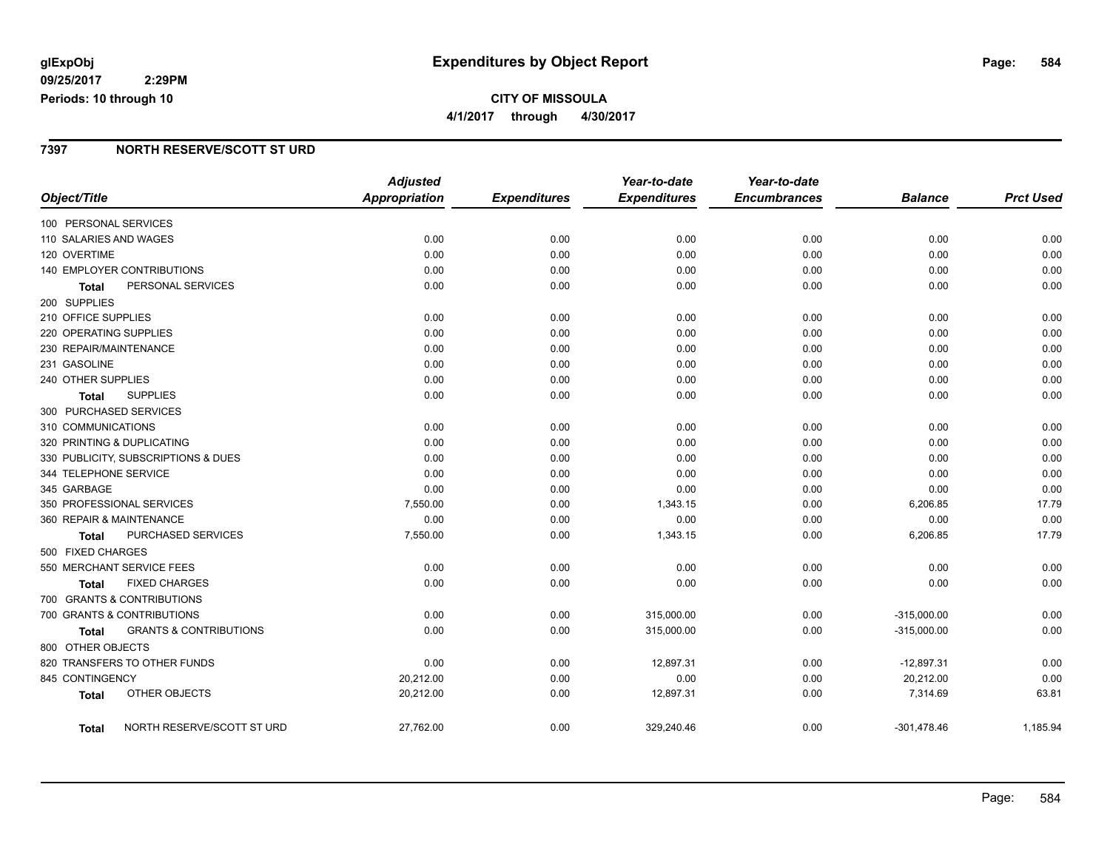## **glExpObj Expenditures by Object Report Page: 584**

**09/25/2017 2:29PM Periods: 10 through 10**

## **CITY OF MISSOULA 4/1/2017 through 4/30/2017**

#### **7397 NORTH RESERVE/SCOTT ST URD**

|                                            | <b>Adjusted</b>      |                     | Year-to-date        | Year-to-date        |                |                  |
|--------------------------------------------|----------------------|---------------------|---------------------|---------------------|----------------|------------------|
| Object/Title                               | <b>Appropriation</b> | <b>Expenditures</b> | <b>Expenditures</b> | <b>Encumbrances</b> | <b>Balance</b> | <b>Prct Used</b> |
| 100 PERSONAL SERVICES                      |                      |                     |                     |                     |                |                  |
| 110 SALARIES AND WAGES                     | 0.00                 | 0.00                | 0.00                | 0.00                | 0.00           | 0.00             |
| 120 OVERTIME                               | 0.00                 | 0.00                | 0.00                | 0.00                | 0.00           | 0.00             |
| 140 EMPLOYER CONTRIBUTIONS                 | 0.00                 | 0.00                | 0.00                | 0.00                | 0.00           | 0.00             |
| PERSONAL SERVICES<br><b>Total</b>          | 0.00                 | 0.00                | 0.00                | 0.00                | 0.00           | 0.00             |
| 200 SUPPLIES                               |                      |                     |                     |                     |                |                  |
| 210 OFFICE SUPPLIES                        | 0.00                 | 0.00                | 0.00                | 0.00                | 0.00           | 0.00             |
| 220 OPERATING SUPPLIES                     | 0.00                 | 0.00                | 0.00                | 0.00                | 0.00           | 0.00             |
| 230 REPAIR/MAINTENANCE                     | 0.00                 | 0.00                | 0.00                | 0.00                | 0.00           | 0.00             |
| 231 GASOLINE                               | 0.00                 | 0.00                | 0.00                | 0.00                | 0.00           | 0.00             |
| 240 OTHER SUPPLIES                         | 0.00                 | 0.00                | 0.00                | 0.00                | 0.00           | 0.00             |
| <b>SUPPLIES</b><br><b>Total</b>            | 0.00                 | 0.00                | 0.00                | 0.00                | 0.00           | 0.00             |
| 300 PURCHASED SERVICES                     |                      |                     |                     |                     |                |                  |
| 310 COMMUNICATIONS                         | 0.00                 | 0.00                | 0.00                | 0.00                | 0.00           | 0.00             |
| 320 PRINTING & DUPLICATING                 | 0.00                 | 0.00                | 0.00                | 0.00                | 0.00           | 0.00             |
| 330 PUBLICITY, SUBSCRIPTIONS & DUES        | 0.00                 | 0.00                | 0.00                | 0.00                | 0.00           | 0.00             |
| 344 TELEPHONE SERVICE                      | 0.00                 | 0.00                | 0.00                | 0.00                | 0.00           | 0.00             |
| 345 GARBAGE                                | 0.00                 | 0.00                | 0.00                | 0.00                | 0.00           | 0.00             |
| 350 PROFESSIONAL SERVICES                  | 7,550.00             | 0.00                | 1,343.15            | 0.00                | 6,206.85       | 17.79            |
| 360 REPAIR & MAINTENANCE                   | 0.00                 | 0.00                | 0.00                | 0.00                | 0.00           | 0.00             |
| PURCHASED SERVICES<br>Total                | 7,550.00             | 0.00                | 1,343.15            | 0.00                | 6,206.85       | 17.79            |
| 500 FIXED CHARGES                          |                      |                     |                     |                     |                |                  |
| 550 MERCHANT SERVICE FEES                  | 0.00                 | 0.00                | 0.00                | 0.00                | 0.00           | 0.00             |
| <b>FIXED CHARGES</b><br>Total              | 0.00                 | 0.00                | 0.00                | 0.00                | 0.00           | 0.00             |
| 700 GRANTS & CONTRIBUTIONS                 |                      |                     |                     |                     |                |                  |
| 700 GRANTS & CONTRIBUTIONS                 | 0.00                 | 0.00                | 315,000.00          | 0.00                | $-315,000.00$  | 0.00             |
| <b>GRANTS &amp; CONTRIBUTIONS</b><br>Total | 0.00                 | 0.00                | 315,000.00          | 0.00                | $-315,000.00$  | 0.00             |
| 800 OTHER OBJECTS                          |                      |                     |                     |                     |                |                  |
| 820 TRANSFERS TO OTHER FUNDS               | 0.00                 | 0.00                | 12,897.31           | 0.00                | $-12,897.31$   | 0.00             |
| 845 CONTINGENCY                            | 20,212.00            | 0.00                | 0.00                | 0.00                | 20,212.00      | 0.00             |
| OTHER OBJECTS<br>Total                     | 20,212.00            | 0.00                | 12,897.31           | 0.00                | 7,314.69       | 63.81            |
| NORTH RESERVE/SCOTT ST URD<br>Total        | 27,762.00            | 0.00                | 329,240.46          | 0.00                | $-301,478.46$  | 1,185.94         |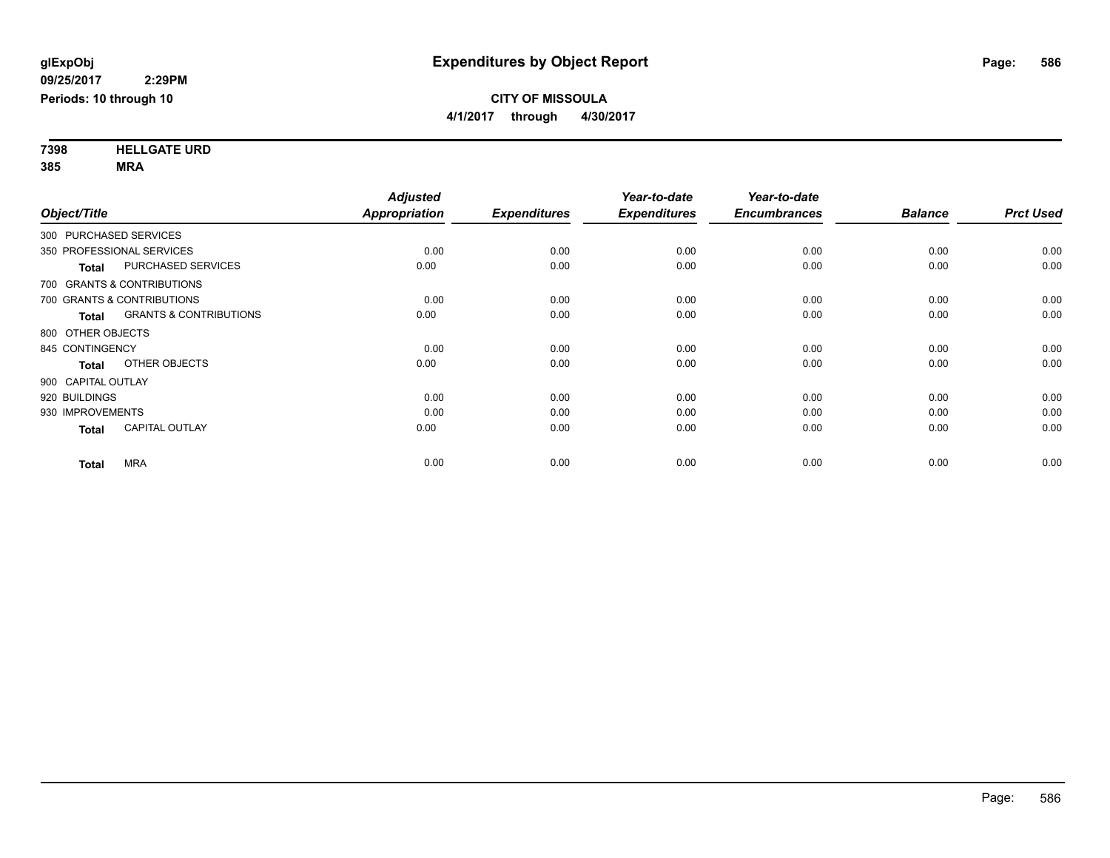**7398 HELLGATE URD 385 MRA**

| Object/Title           |                                   | <b>Adjusted</b><br>Appropriation | <b>Expenditures</b> | Year-to-date<br><b>Expenditures</b> | Year-to-date<br><b>Encumbrances</b> | <b>Balance</b> | <b>Prct Used</b> |
|------------------------|-----------------------------------|----------------------------------|---------------------|-------------------------------------|-------------------------------------|----------------|------------------|
| 300 PURCHASED SERVICES |                                   |                                  |                     |                                     |                                     |                |                  |
|                        | 350 PROFESSIONAL SERVICES         | 0.00                             | 0.00                | 0.00                                | 0.00                                | 0.00           | 0.00             |
| <b>Total</b>           | <b>PURCHASED SERVICES</b>         | 0.00                             | 0.00                | 0.00                                | 0.00                                | 0.00           | 0.00             |
|                        | 700 GRANTS & CONTRIBUTIONS        |                                  |                     |                                     |                                     |                |                  |
|                        | 700 GRANTS & CONTRIBUTIONS        | 0.00                             | 0.00                | 0.00                                | 0.00                                | 0.00           | 0.00             |
| <b>Total</b>           | <b>GRANTS &amp; CONTRIBUTIONS</b> | 0.00                             | 0.00                | 0.00                                | 0.00                                | 0.00           | 0.00             |
| 800 OTHER OBJECTS      |                                   |                                  |                     |                                     |                                     |                |                  |
| 845 CONTINGENCY        |                                   | 0.00                             | 0.00                | 0.00                                | 0.00                                | 0.00           | 0.00             |
| <b>Total</b>           | OTHER OBJECTS                     | 0.00                             | 0.00                | 0.00                                | 0.00                                | 0.00           | 0.00             |
| 900 CAPITAL OUTLAY     |                                   |                                  |                     |                                     |                                     |                |                  |
| 920 BUILDINGS          |                                   | 0.00                             | 0.00                | 0.00                                | 0.00                                | 0.00           | 0.00             |
| 930 IMPROVEMENTS       |                                   | 0.00                             | 0.00                | 0.00                                | 0.00                                | 0.00           | 0.00             |
| <b>Total</b>           | <b>CAPITAL OUTLAY</b>             | 0.00                             | 0.00                | 0.00                                | 0.00                                | 0.00           | 0.00             |
| <b>Total</b>           | <b>MRA</b>                        | 0.00                             | 0.00                | 0.00                                | 0.00                                | 0.00           | 0.00             |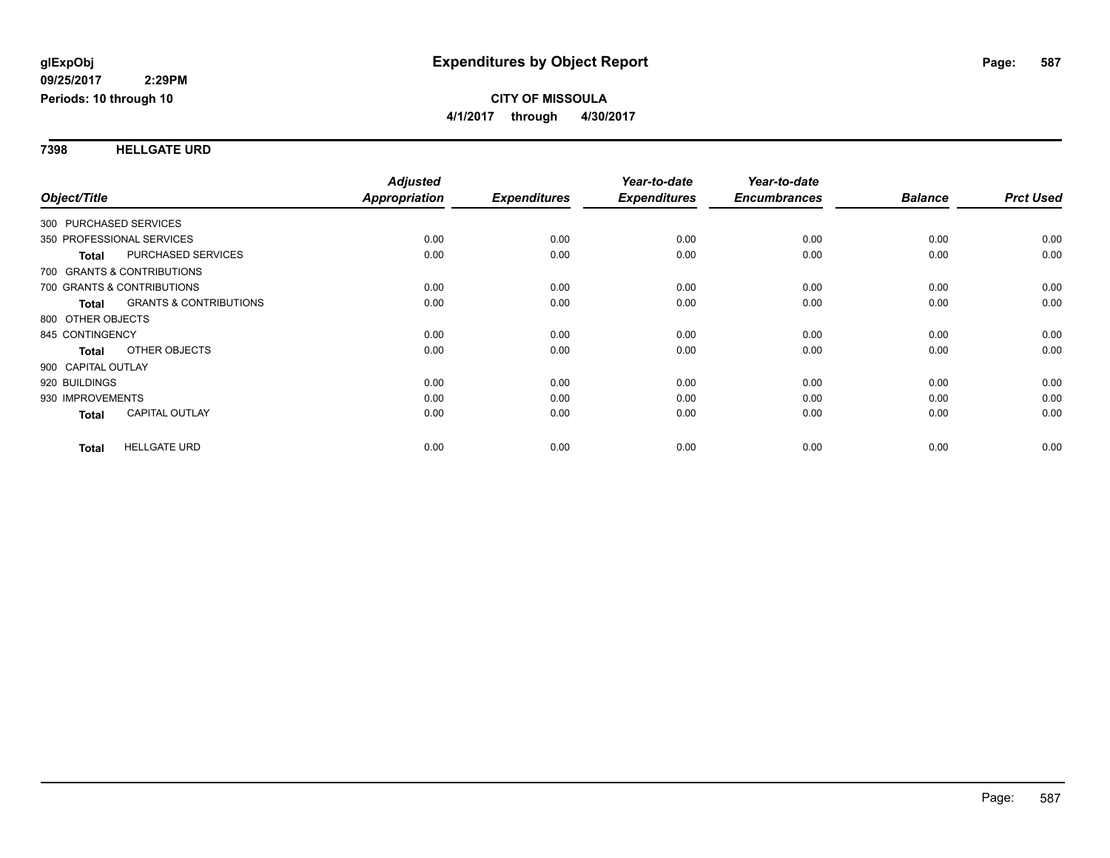#### **7398 HELLGATE URD**

|                           |                                   | <b>Adjusted</b> |                     | Year-to-date        | Year-to-date        |                |                  |
|---------------------------|-----------------------------------|-----------------|---------------------|---------------------|---------------------|----------------|------------------|
| Object/Title              |                                   | Appropriation   | <b>Expenditures</b> | <b>Expenditures</b> | <b>Encumbrances</b> | <b>Balance</b> | <b>Prct Used</b> |
| 300 PURCHASED SERVICES    |                                   |                 |                     |                     |                     |                |                  |
| 350 PROFESSIONAL SERVICES |                                   | 0.00            | 0.00                | 0.00                | 0.00                | 0.00           | 0.00             |
| <b>Total</b>              | PURCHASED SERVICES                | 0.00            | 0.00                | 0.00                | 0.00                | 0.00           | 0.00             |
|                           | 700 GRANTS & CONTRIBUTIONS        |                 |                     |                     |                     |                |                  |
|                           | 700 GRANTS & CONTRIBUTIONS        | 0.00            | 0.00                | 0.00                | 0.00                | 0.00           | 0.00             |
| <b>Total</b>              | <b>GRANTS &amp; CONTRIBUTIONS</b> | 0.00            | 0.00                | 0.00                | 0.00                | 0.00           | 0.00             |
| 800 OTHER OBJECTS         |                                   |                 |                     |                     |                     |                |                  |
| 845 CONTINGENCY           |                                   | 0.00            | 0.00                | 0.00                | 0.00                | 0.00           | 0.00             |
| <b>Total</b>              | OTHER OBJECTS                     | 0.00            | 0.00                | 0.00                | 0.00                | 0.00           | 0.00             |
| 900 CAPITAL OUTLAY        |                                   |                 |                     |                     |                     |                |                  |
| 920 BUILDINGS             |                                   | 0.00            | 0.00                | 0.00                | 0.00                | 0.00           | 0.00             |
| 930 IMPROVEMENTS          |                                   | 0.00            | 0.00                | 0.00                | 0.00                | 0.00           | 0.00             |
| Total                     | <b>CAPITAL OUTLAY</b>             | 0.00            | 0.00                | 0.00                | 0.00                | 0.00           | 0.00             |
| <b>Total</b>              | <b>HELLGATE URD</b>               | 0.00            | 0.00                | 0.00                | 0.00                | 0.00           | 0.00             |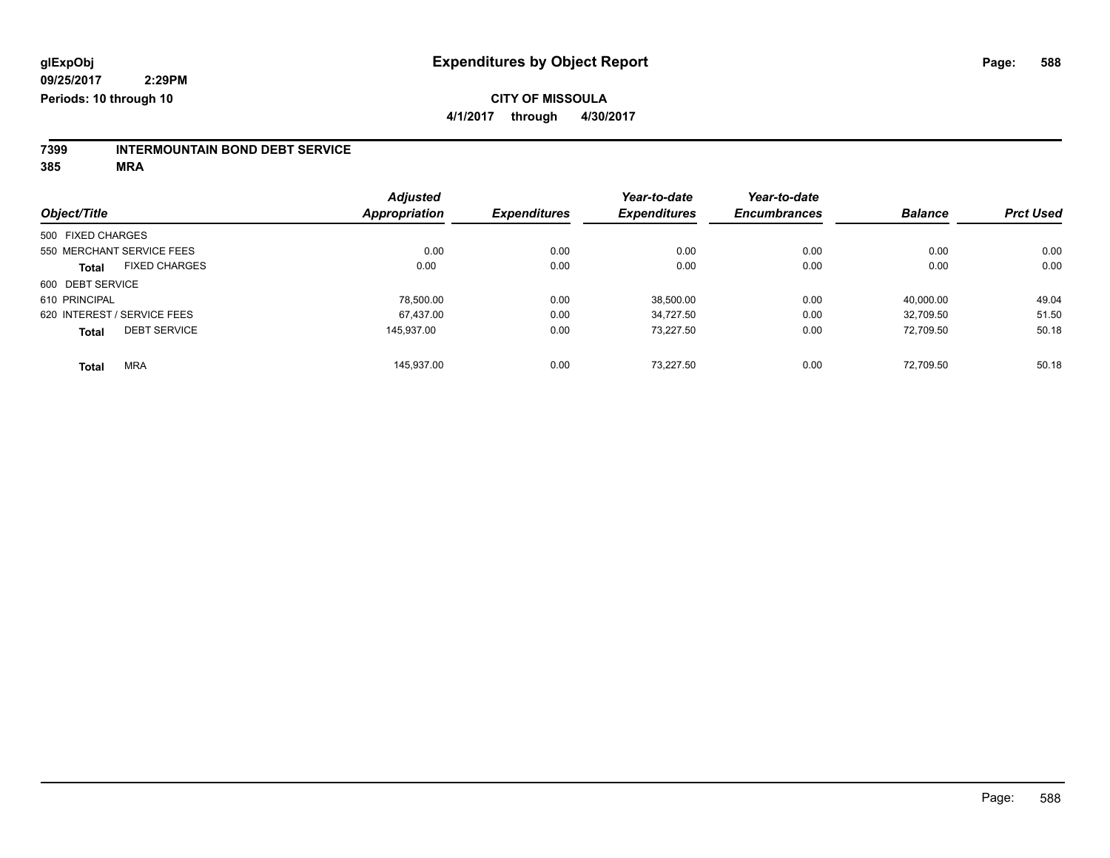# **7399 INTERMOUNTAIN BOND DEBT SERVICE**

**385 MRA**

|                                      |  | <b>Adjusted</b><br>Appropriation |                     | Year-to-date        | Year-to-date        |                |                  |
|--------------------------------------|--|----------------------------------|---------------------|---------------------|---------------------|----------------|------------------|
| Object/Title                         |  |                                  | <b>Expenditures</b> | <b>Expenditures</b> | <b>Encumbrances</b> | <b>Balance</b> | <b>Prct Used</b> |
| 500 FIXED CHARGES                    |  |                                  |                     |                     |                     |                |                  |
| 550 MERCHANT SERVICE FEES            |  | 0.00                             | 0.00                | 0.00                | 0.00                | 0.00           | 0.00             |
| <b>FIXED CHARGES</b><br><b>Total</b> |  | 0.00                             | 0.00                | 0.00                | 0.00                | 0.00           | 0.00             |
| 600 DEBT SERVICE                     |  |                                  |                     |                     |                     |                |                  |
| 610 PRINCIPAL                        |  | 78.500.00                        | 0.00                | 38,500.00           | 0.00                | 40.000.00      | 49.04            |
| 620 INTEREST / SERVICE FEES          |  | 67.437.00                        | 0.00                | 34.727.50           | 0.00                | 32.709.50      | 51.50            |
| <b>DEBT SERVICE</b><br><b>Total</b>  |  | 145.937.00                       | 0.00                | 73.227.50           | 0.00                | 72.709.50      | 50.18            |
| <b>MRA</b><br><b>Total</b>           |  | 145.937.00                       | 0.00                | 73.227.50           | 0.00                | 72.709.50      | 50.18            |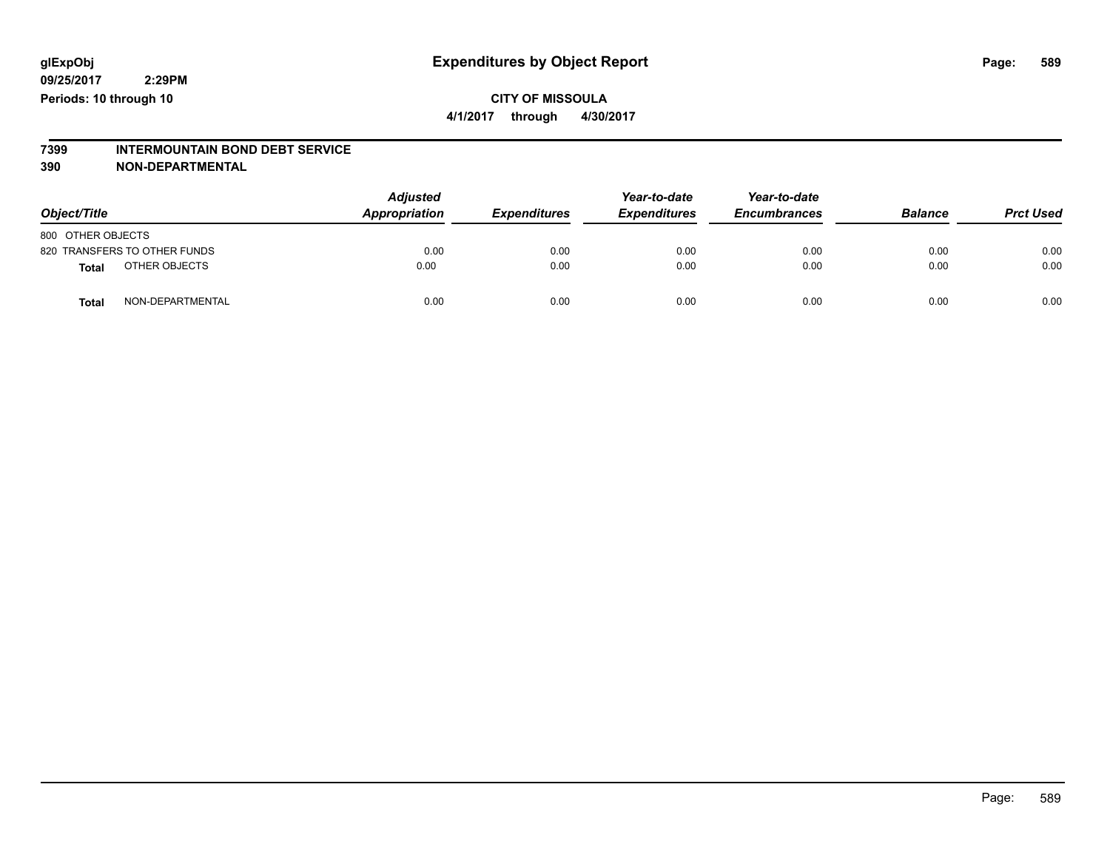### **CITY OF MISSOULA 4/1/2017 through 4/30/2017**

# **7399 INTERMOUNTAIN BOND DEBT SERVICE**

#### **390 NON-DEPARTMENTAL**

| Object/Title                     | <b>Adjusted</b><br>Appropriation | <b>Expenditures</b> | Year-to-date<br><b>Expenditures</b> | Year-to-date<br><b>Encumbrances</b> | <b>Balance</b> | <b>Prct Used</b> |
|----------------------------------|----------------------------------|---------------------|-------------------------------------|-------------------------------------|----------------|------------------|
| 800 OTHER OBJECTS                |                                  |                     |                                     |                                     |                |                  |
| 820 TRANSFERS TO OTHER FUNDS     | 0.00                             | 0.00                | 0.00                                | 0.00                                | 0.00           | 0.00             |
| OTHER OBJECTS<br>Total           | 0.00                             | 0.00                | 0.00                                | 0.00                                | 0.00           | 0.00             |
| NON-DEPARTMENTAL<br><b>Total</b> | 0.00                             | 0.00                | 0.00                                | 0.00                                | 0.00           | 0.00             |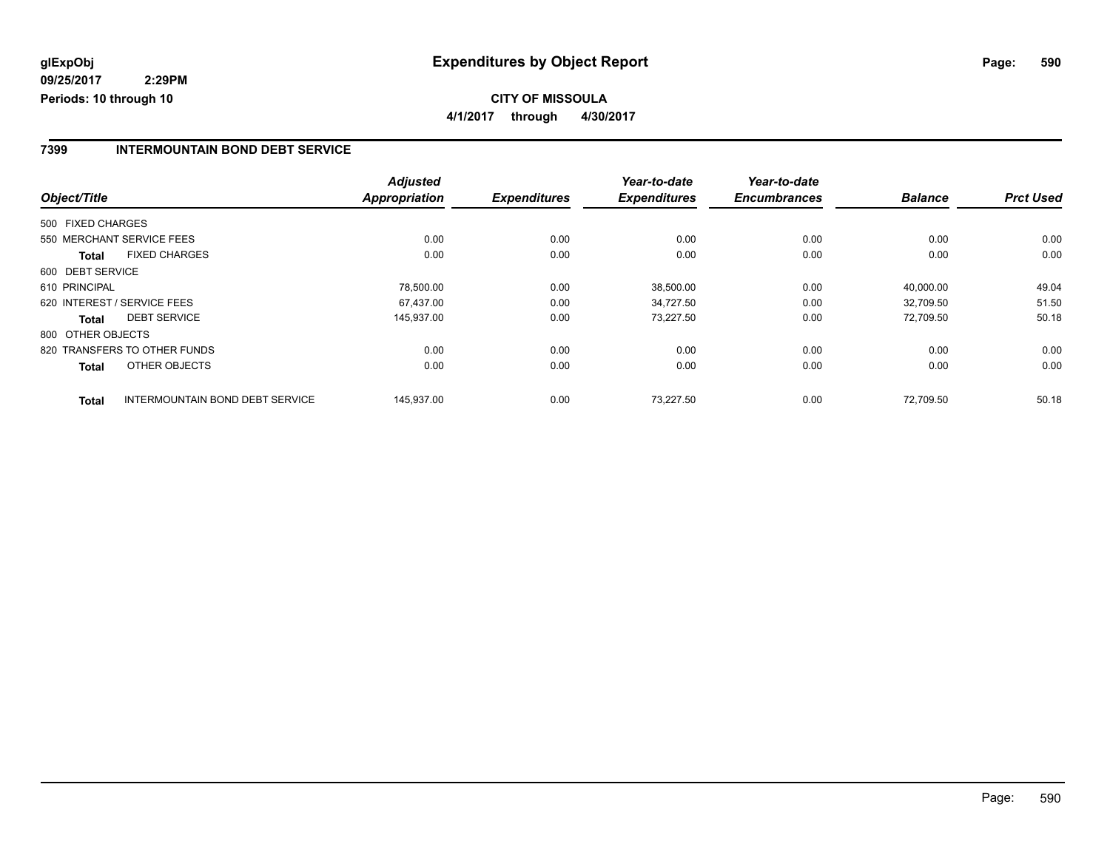#### **7399 INTERMOUNTAIN BOND DEBT SERVICE**

|                                                 | <b>Adjusted</b>      |                     | Year-to-date        | Year-to-date        |                |                  |
|-------------------------------------------------|----------------------|---------------------|---------------------|---------------------|----------------|------------------|
| Object/Title                                    | <b>Appropriation</b> | <b>Expenditures</b> | <b>Expenditures</b> | <b>Encumbrances</b> | <b>Balance</b> | <b>Prct Used</b> |
| 500 FIXED CHARGES                               |                      |                     |                     |                     |                |                  |
| 550 MERCHANT SERVICE FEES                       | 0.00                 | 0.00                | 0.00                | 0.00                | 0.00           | 0.00             |
| <b>FIXED CHARGES</b><br><b>Total</b>            | 0.00                 | 0.00                | 0.00                | 0.00                | 0.00           | 0.00             |
| 600 DEBT SERVICE                                |                      |                     |                     |                     |                |                  |
| 610 PRINCIPAL                                   | 78,500.00            | 0.00                | 38,500.00           | 0.00                | 40,000.00      | 49.04            |
| 620 INTEREST / SERVICE FEES                     | 67.437.00            | 0.00                | 34.727.50           | 0.00                | 32.709.50      | 51.50            |
| <b>DEBT SERVICE</b><br>Total                    | 145,937.00           | 0.00                | 73,227.50           | 0.00                | 72.709.50      | 50.18            |
| 800 OTHER OBJECTS                               |                      |                     |                     |                     |                |                  |
| 820 TRANSFERS TO OTHER FUNDS                    | 0.00                 | 0.00                | 0.00                | 0.00                | 0.00           | 0.00             |
| OTHER OBJECTS<br><b>Total</b>                   | 0.00                 | 0.00                | 0.00                | 0.00                | 0.00           | 0.00             |
| INTERMOUNTAIN BOND DEBT SERVICE<br><b>Total</b> | 145,937.00           | 0.00                | 73.227.50           | 0.00                | 72.709.50      | 50.18            |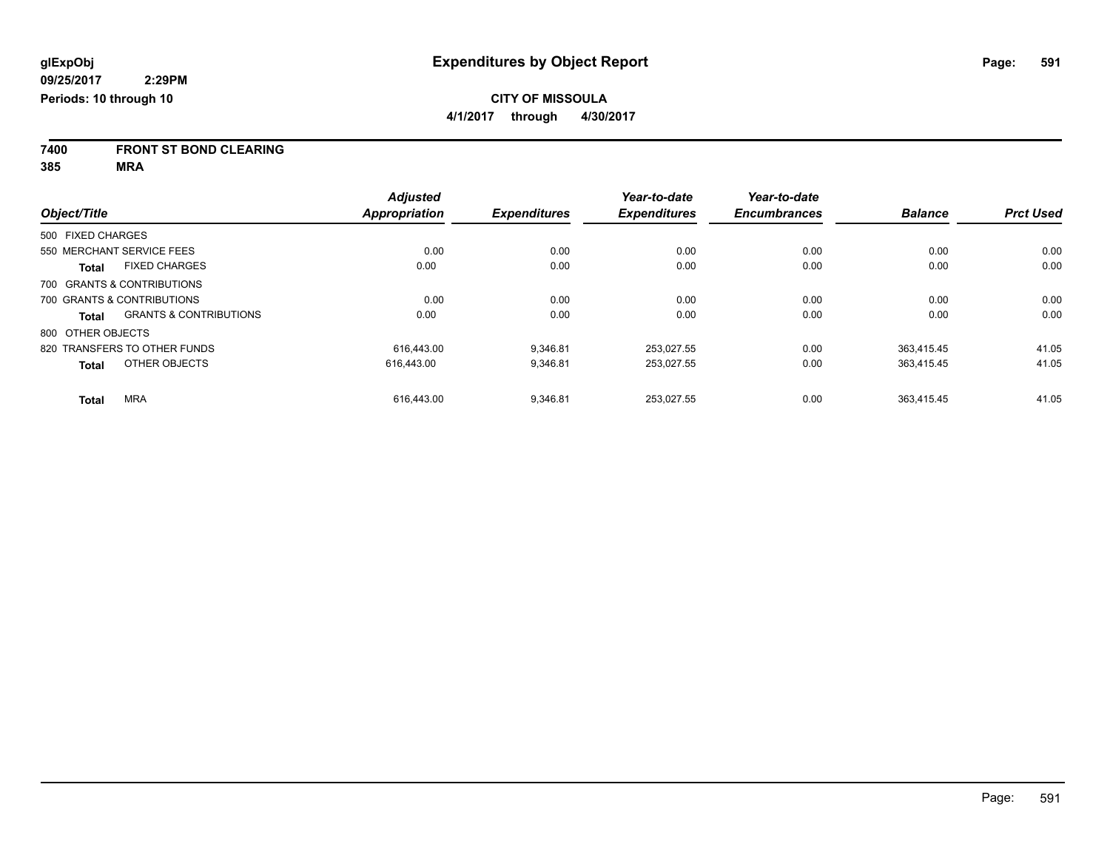**7400 FRONT ST BOND CLEARING**

**385 MRA**

|                                                   | <b>Adjusted</b>      |                     | Year-to-date<br><b>Expenditures</b> | Year-to-date<br><b>Encumbrances</b> | <b>Balance</b> | <b>Prct Used</b> |
|---------------------------------------------------|----------------------|---------------------|-------------------------------------|-------------------------------------|----------------|------------------|
| Object/Title                                      | <b>Appropriation</b> | <b>Expenditures</b> |                                     |                                     |                |                  |
| 500 FIXED CHARGES                                 |                      |                     |                                     |                                     |                |                  |
| 550 MERCHANT SERVICE FEES                         | 0.00                 | 0.00                | 0.00                                | 0.00                                | 0.00           | 0.00             |
| <b>FIXED CHARGES</b><br><b>Total</b>              | 0.00                 | 0.00                | 0.00                                | 0.00                                | 0.00           | 0.00             |
| 700 GRANTS & CONTRIBUTIONS                        |                      |                     |                                     |                                     |                |                  |
| 700 GRANTS & CONTRIBUTIONS                        | 0.00                 | 0.00                | 0.00                                | 0.00                                | 0.00           | 0.00             |
| <b>GRANTS &amp; CONTRIBUTIONS</b><br><b>Total</b> | 0.00                 | 0.00                | 0.00                                | 0.00                                | 0.00           | 0.00             |
| 800 OTHER OBJECTS                                 |                      |                     |                                     |                                     |                |                  |
| 820 TRANSFERS TO OTHER FUNDS                      | 616.443.00           | 9.346.81            | 253.027.55                          | 0.00                                | 363.415.45     | 41.05            |
| OTHER OBJECTS<br><b>Total</b>                     | 616,443.00           | 9,346.81            | 253,027.55                          | 0.00                                | 363.415.45     | 41.05            |
| <b>MRA</b><br><b>Total</b>                        | 616.443.00           | 9.346.81            | 253.027.55                          | 0.00                                | 363.415.45     | 41.05            |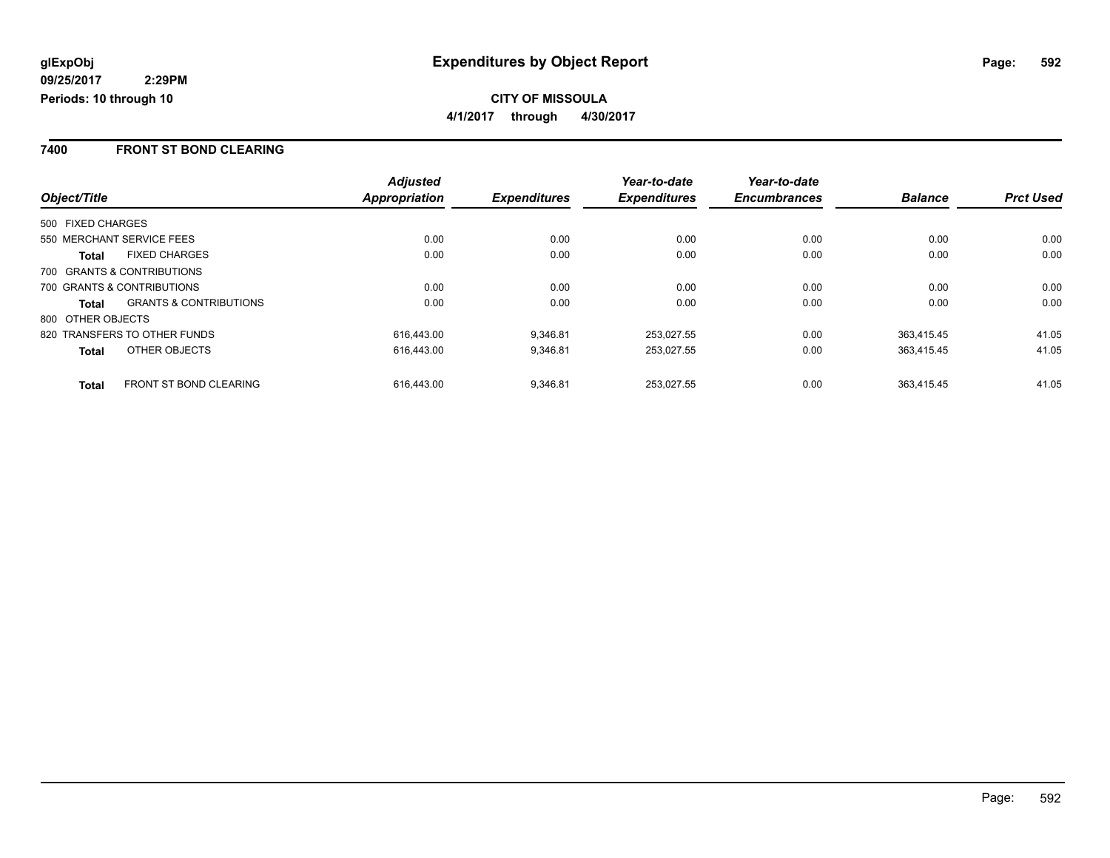#### **7400 FRONT ST BOND CLEARING**

|                                                   | <b>Adjusted</b> |                     | Year-to-date        | Year-to-date        |                |                  |
|---------------------------------------------------|-----------------|---------------------|---------------------|---------------------|----------------|------------------|
| Object/Title                                      | Appropriation   | <b>Expenditures</b> | <b>Expenditures</b> | <b>Encumbrances</b> | <b>Balance</b> | <b>Prct Used</b> |
| 500 FIXED CHARGES                                 |                 |                     |                     |                     |                |                  |
| 550 MERCHANT SERVICE FEES                         | 0.00            | 0.00                | 0.00                | 0.00                | 0.00           | 0.00             |
| <b>FIXED CHARGES</b><br><b>Total</b>              | 0.00            | 0.00                | 0.00                | 0.00                | 0.00           | 0.00             |
| 700 GRANTS & CONTRIBUTIONS                        |                 |                     |                     |                     |                |                  |
| 700 GRANTS & CONTRIBUTIONS                        | 0.00            | 0.00                | 0.00                | 0.00                | 0.00           | 0.00             |
| <b>GRANTS &amp; CONTRIBUTIONS</b><br><b>Total</b> | 0.00            | 0.00                | 0.00                | 0.00                | 0.00           | 0.00             |
| 800 OTHER OBJECTS                                 |                 |                     |                     |                     |                |                  |
| 820 TRANSFERS TO OTHER FUNDS                      | 616.443.00      | 9.346.81            | 253.027.55          | 0.00                | 363.415.45     | 41.05            |
| OTHER OBJECTS<br><b>Total</b>                     | 616.443.00      | 9.346.81            | 253.027.55          | 0.00                | 363.415.45     | 41.05            |
| <b>FRONT ST BOND CLEARING</b><br><b>Total</b>     | 616.443.00      | 9,346.81            | 253.027.55          | 0.00                | 363.415.45     | 41.05            |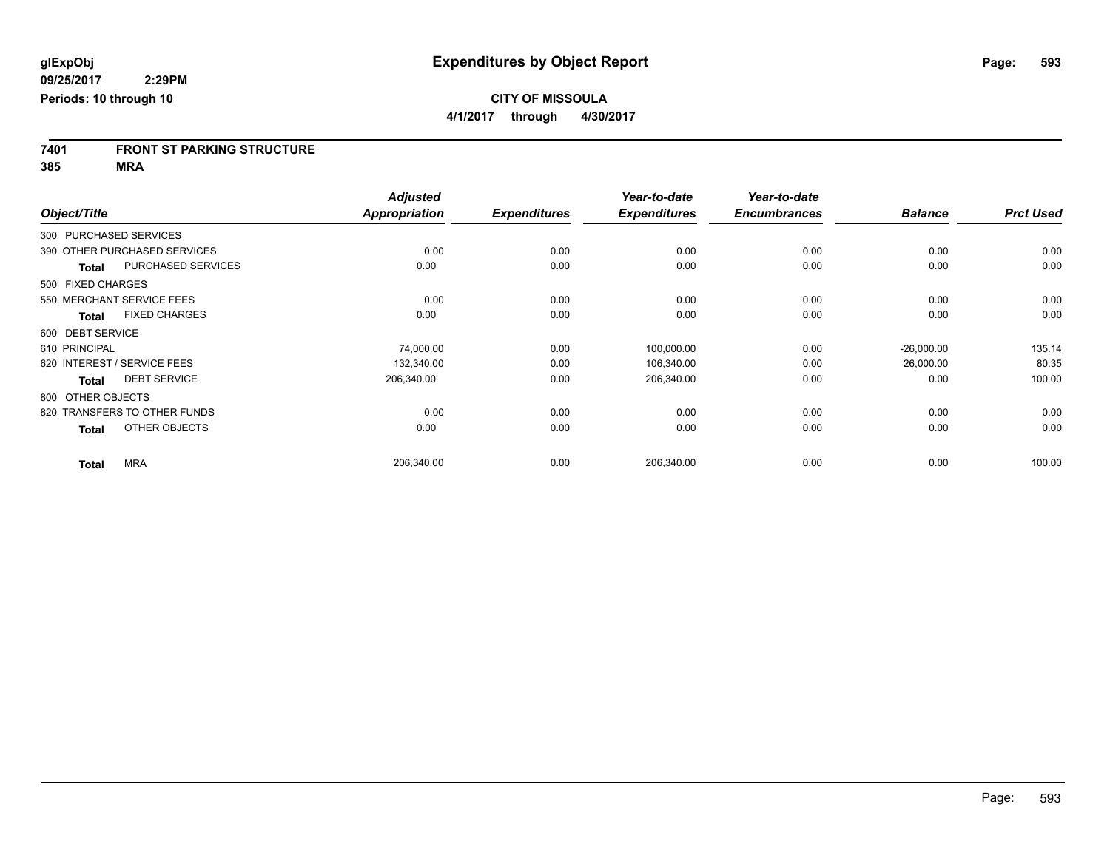# **7401 FRONT ST PARKING STRUCTURE**

**385 MRA**

|                   |                              | <b>Adjusted</b>      |                     | Year-to-date        | Year-to-date        |                |                  |
|-------------------|------------------------------|----------------------|---------------------|---------------------|---------------------|----------------|------------------|
| Object/Title      |                              | <b>Appropriation</b> | <b>Expenditures</b> | <b>Expenditures</b> | <b>Encumbrances</b> | <b>Balance</b> | <b>Prct Used</b> |
|                   | 300 PURCHASED SERVICES       |                      |                     |                     |                     |                |                  |
|                   | 390 OTHER PURCHASED SERVICES | 0.00                 | 0.00                | 0.00                | 0.00                | 0.00           | 0.00             |
| <b>Total</b>      | PURCHASED SERVICES           | 0.00                 | 0.00                | 0.00                | 0.00                | 0.00           | 0.00             |
| 500 FIXED CHARGES |                              |                      |                     |                     |                     |                |                  |
|                   | 550 MERCHANT SERVICE FEES    | 0.00                 | 0.00                | 0.00                | 0.00                | 0.00           | 0.00             |
| Total             | <b>FIXED CHARGES</b>         | 0.00                 | 0.00                | 0.00                | 0.00                | 0.00           | 0.00             |
| 600 DEBT SERVICE  |                              |                      |                     |                     |                     |                |                  |
| 610 PRINCIPAL     |                              | 74,000.00            | 0.00                | 100,000.00          | 0.00                | $-26,000.00$   | 135.14           |
|                   | 620 INTEREST / SERVICE FEES  | 132,340.00           | 0.00                | 106,340.00          | 0.00                | 26,000.00      | 80.35            |
| <b>Total</b>      | <b>DEBT SERVICE</b>          | 206,340.00           | 0.00                | 206,340.00          | 0.00                | 0.00           | 100.00           |
| 800 OTHER OBJECTS |                              |                      |                     |                     |                     |                |                  |
|                   | 820 TRANSFERS TO OTHER FUNDS | 0.00                 | 0.00                | 0.00                | 0.00                | 0.00           | 0.00             |
| <b>Total</b>      | OTHER OBJECTS                | 0.00                 | 0.00                | 0.00                | 0.00                | 0.00           | 0.00             |
| <b>Total</b>      | <b>MRA</b>                   | 206,340.00           | 0.00                | 206,340.00          | 0.00                | 0.00           | 100.00           |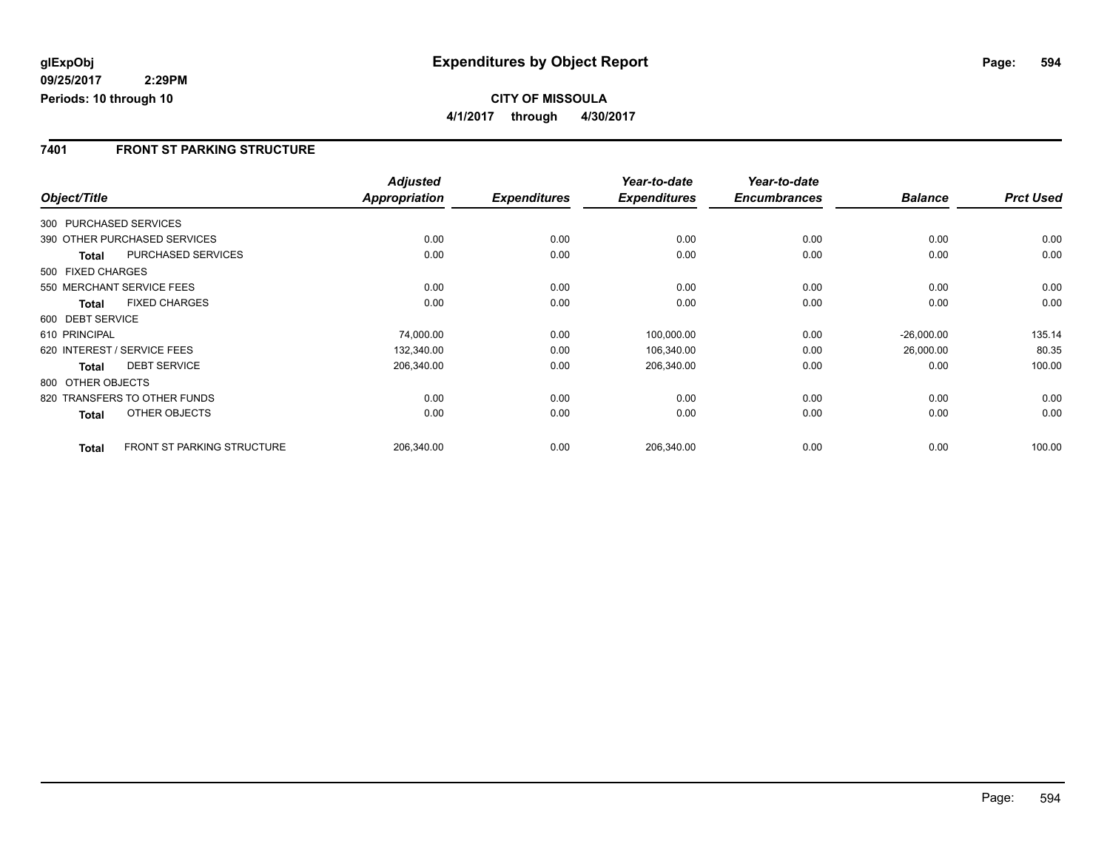## **CITY OF MISSOULA 4/1/2017 through 4/30/2017**

### **7401 FRONT ST PARKING STRUCTURE**

|                        |                                   | <b>Adjusted</b>      |                     | Year-to-date        | Year-to-date        |                |                  |
|------------------------|-----------------------------------|----------------------|---------------------|---------------------|---------------------|----------------|------------------|
| Object/Title           |                                   | <b>Appropriation</b> | <b>Expenditures</b> | <b>Expenditures</b> | <b>Encumbrances</b> | <b>Balance</b> | <b>Prct Used</b> |
| 300 PURCHASED SERVICES |                                   |                      |                     |                     |                     |                |                  |
|                        | 390 OTHER PURCHASED SERVICES      | 0.00                 | 0.00                | 0.00                | 0.00                | 0.00           | 0.00             |
| Total                  | PURCHASED SERVICES                | 0.00                 | 0.00                | 0.00                | 0.00                | 0.00           | 0.00             |
| 500 FIXED CHARGES      |                                   |                      |                     |                     |                     |                |                  |
|                        | 550 MERCHANT SERVICE FEES         | 0.00                 | 0.00                | 0.00                | 0.00                | 0.00           | 0.00             |
| <b>Total</b>           | <b>FIXED CHARGES</b>              | 0.00                 | 0.00                | 0.00                | 0.00                | 0.00           | 0.00             |
| 600 DEBT SERVICE       |                                   |                      |                     |                     |                     |                |                  |
| 610 PRINCIPAL          |                                   | 74,000.00            | 0.00                | 100,000.00          | 0.00                | $-26,000.00$   | 135.14           |
|                        | 620 INTEREST / SERVICE FEES       | 132,340.00           | 0.00                | 106,340.00          | 0.00                | 26,000.00      | 80.35            |
| <b>Total</b>           | <b>DEBT SERVICE</b>               | 206,340.00           | 0.00                | 206,340.00          | 0.00                | 0.00           | 100.00           |
| 800 OTHER OBJECTS      |                                   |                      |                     |                     |                     |                |                  |
|                        | 820 TRANSFERS TO OTHER FUNDS      | 0.00                 | 0.00                | 0.00                | 0.00                | 0.00           | 0.00             |
| Total                  | OTHER OBJECTS                     | 0.00                 | 0.00                | 0.00                | 0.00                | 0.00           | 0.00             |
| <b>Total</b>           | <b>FRONT ST PARKING STRUCTURE</b> | 206,340.00           | 0.00                | 206,340.00          | 0.00                | 0.00           | 100.00           |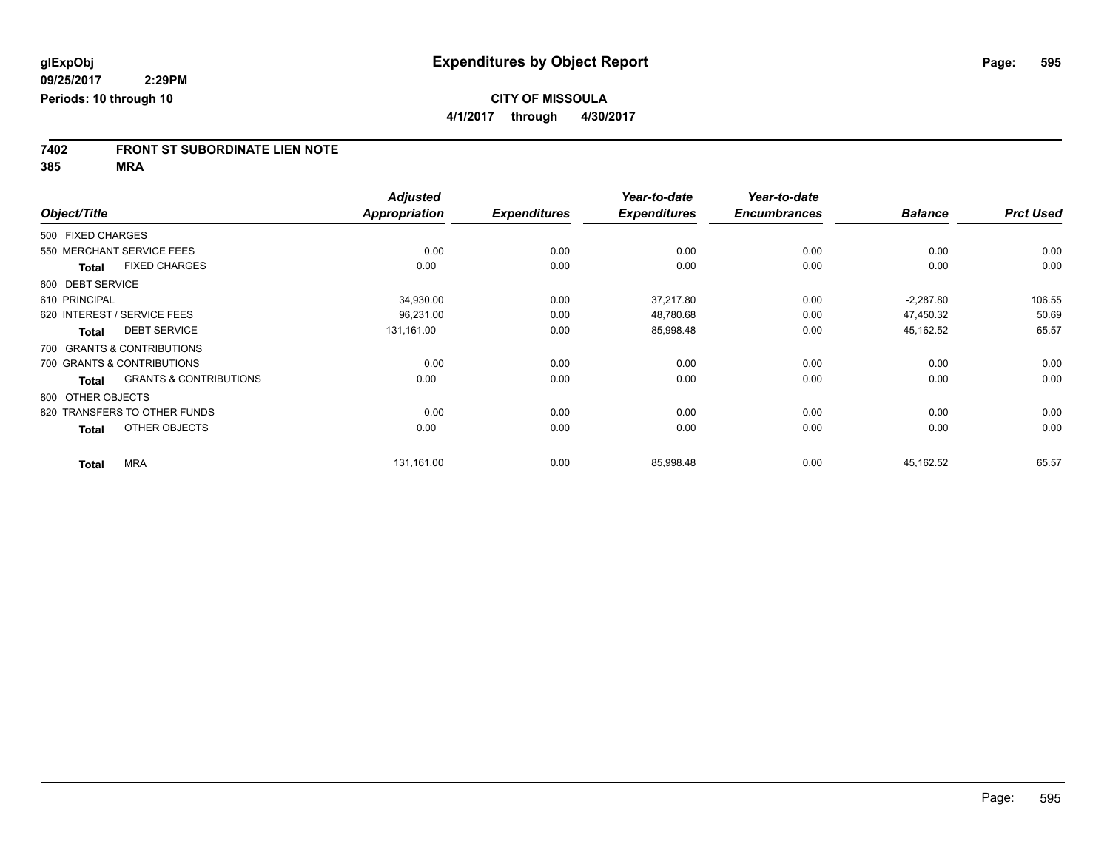# **7402 FRONT ST SUBORDINATE LIEN NOTE**

**385 MRA**

|                   |                                   | <b>Adjusted</b>      |                     | Year-to-date        | Year-to-date        |                |                  |
|-------------------|-----------------------------------|----------------------|---------------------|---------------------|---------------------|----------------|------------------|
| Object/Title      |                                   | <b>Appropriation</b> | <b>Expenditures</b> | <b>Expenditures</b> | <b>Encumbrances</b> | <b>Balance</b> | <b>Prct Used</b> |
| 500 FIXED CHARGES |                                   |                      |                     |                     |                     |                |                  |
|                   | 550 MERCHANT SERVICE FEES         | 0.00                 | 0.00                | 0.00                | 0.00                | 0.00           | 0.00             |
| <b>Total</b>      | <b>FIXED CHARGES</b>              | 0.00                 | 0.00                | 0.00                | 0.00                | 0.00           | 0.00             |
| 600 DEBT SERVICE  |                                   |                      |                     |                     |                     |                |                  |
| 610 PRINCIPAL     |                                   | 34,930.00            | 0.00                | 37,217.80           | 0.00                | $-2,287.80$    | 106.55           |
|                   | 620 INTEREST / SERVICE FEES       | 96,231.00            | 0.00                | 48,780.68           | 0.00                | 47,450.32      | 50.69            |
| <b>Total</b>      | <b>DEBT SERVICE</b>               | 131,161.00           | 0.00                | 85,998.48           | 0.00                | 45,162.52      | 65.57            |
|                   | 700 GRANTS & CONTRIBUTIONS        |                      |                     |                     |                     |                |                  |
|                   | 700 GRANTS & CONTRIBUTIONS        | 0.00                 | 0.00                | 0.00                | 0.00                | 0.00           | 0.00             |
| <b>Total</b>      | <b>GRANTS &amp; CONTRIBUTIONS</b> | 0.00                 | 0.00                | 0.00                | 0.00                | 0.00           | 0.00             |
| 800 OTHER OBJECTS |                                   |                      |                     |                     |                     |                |                  |
|                   | 820 TRANSFERS TO OTHER FUNDS      | 0.00                 | 0.00                | 0.00                | 0.00                | 0.00           | 0.00             |
| <b>Total</b>      | OTHER OBJECTS                     | 0.00                 | 0.00                | 0.00                | 0.00                | 0.00           | 0.00             |
| <b>Total</b>      | <b>MRA</b>                        | 131,161.00           | 0.00                | 85,998.48           | 0.00                | 45,162.52      | 65.57            |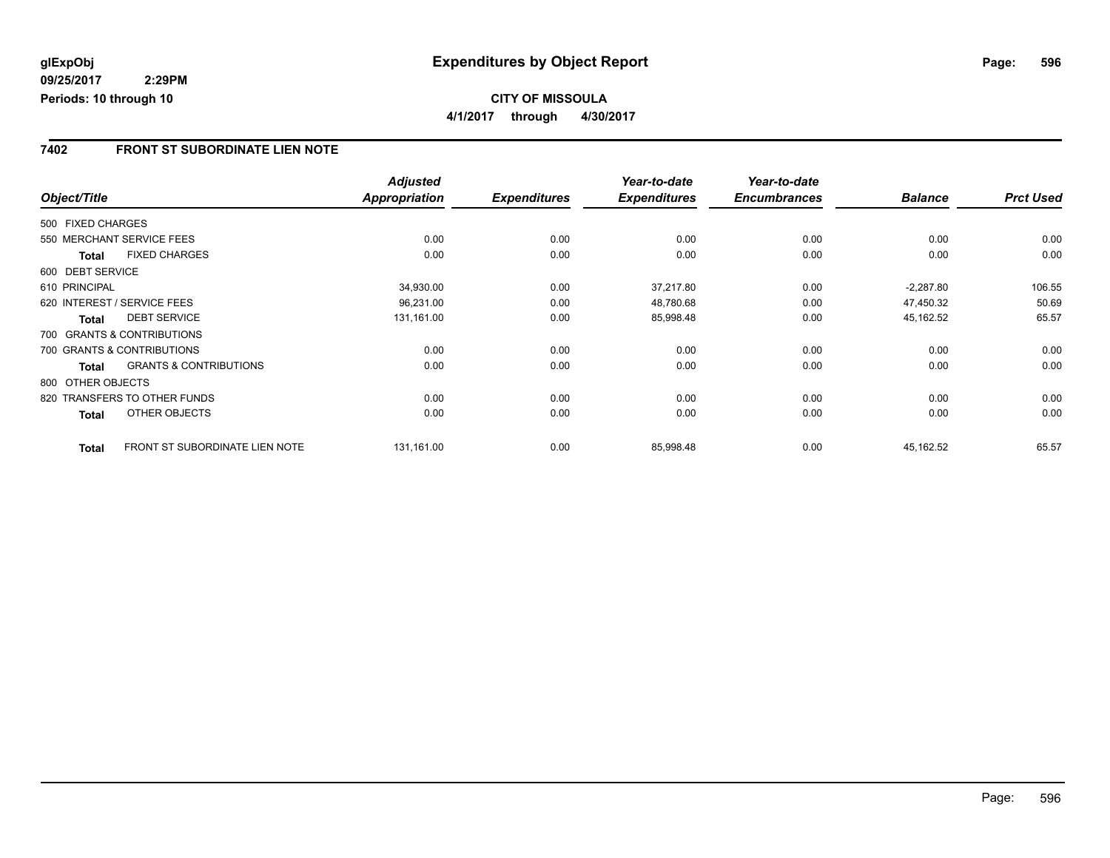### **7402 FRONT ST SUBORDINATE LIEN NOTE**

|                   |                                   | <b>Adjusted</b>      |                     | Year-to-date        | Year-to-date        |                |                  |
|-------------------|-----------------------------------|----------------------|---------------------|---------------------|---------------------|----------------|------------------|
| Object/Title      |                                   | <b>Appropriation</b> | <b>Expenditures</b> | <b>Expenditures</b> | <b>Encumbrances</b> | <b>Balance</b> | <b>Prct Used</b> |
| 500 FIXED CHARGES |                                   |                      |                     |                     |                     |                |                  |
|                   | 550 MERCHANT SERVICE FEES         | 0.00                 | 0.00                | 0.00                | 0.00                | 0.00           | 0.00             |
| Total             | <b>FIXED CHARGES</b>              | 0.00                 | 0.00                | 0.00                | 0.00                | 0.00           | 0.00             |
| 600 DEBT SERVICE  |                                   |                      |                     |                     |                     |                |                  |
| 610 PRINCIPAL     |                                   | 34,930.00            | 0.00                | 37,217.80           | 0.00                | $-2,287.80$    | 106.55           |
|                   | 620 INTEREST / SERVICE FEES       | 96,231.00            | 0.00                | 48,780.68           | 0.00                | 47,450.32      | 50.69            |
| <b>Total</b>      | <b>DEBT SERVICE</b>               | 131,161.00           | 0.00                | 85,998.48           | 0.00                | 45,162.52      | 65.57            |
|                   | 700 GRANTS & CONTRIBUTIONS        |                      |                     |                     |                     |                |                  |
|                   | 700 GRANTS & CONTRIBUTIONS        | 0.00                 | 0.00                | 0.00                | 0.00                | 0.00           | 0.00             |
| <b>Total</b>      | <b>GRANTS &amp; CONTRIBUTIONS</b> | 0.00                 | 0.00                | 0.00                | 0.00                | 0.00           | 0.00             |
| 800 OTHER OBJECTS |                                   |                      |                     |                     |                     |                |                  |
|                   | 820 TRANSFERS TO OTHER FUNDS      | 0.00                 | 0.00                | 0.00                | 0.00                | 0.00           | 0.00             |
| Total             | OTHER OBJECTS                     | 0.00                 | 0.00                | 0.00                | 0.00                | 0.00           | 0.00             |
| <b>Total</b>      | FRONT ST SUBORDINATE LIEN NOTE    | 131,161.00           | 0.00                | 85,998.48           | 0.00                | 45,162.52      | 65.57            |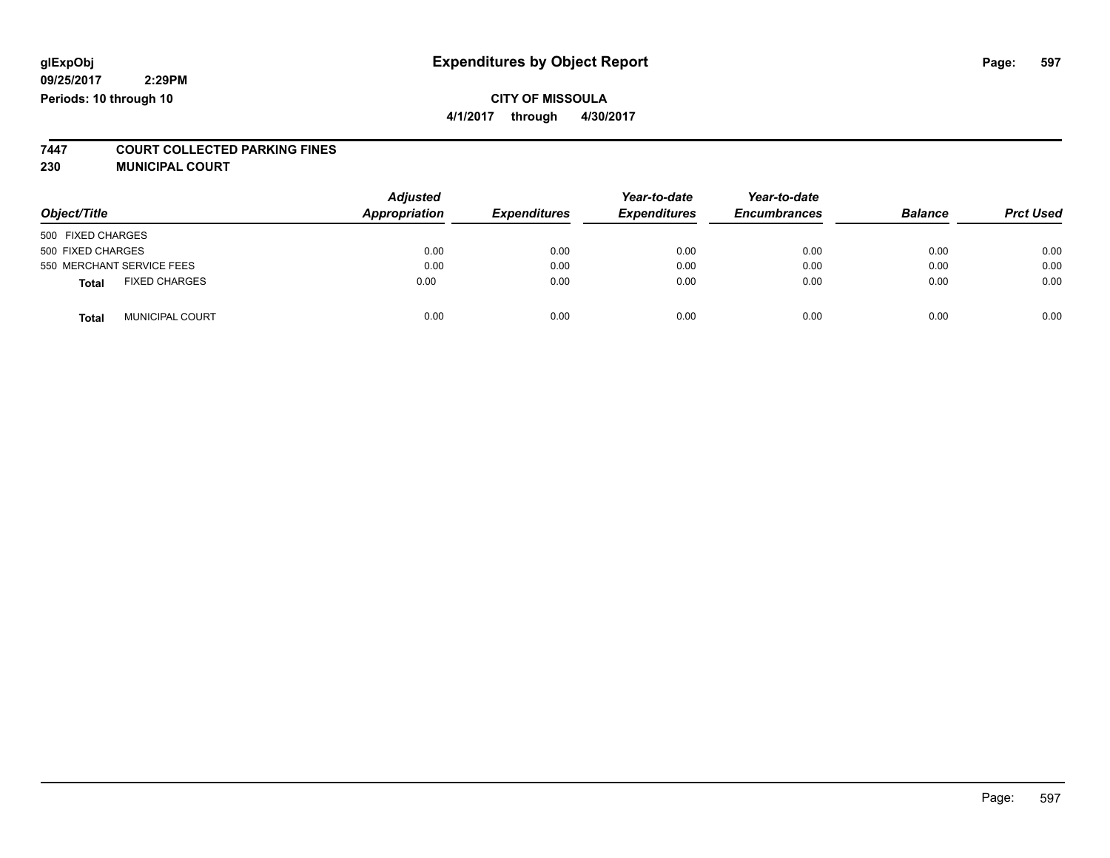# **CITY OF MISSOULA**

**4/1/2017 through 4/30/2017**

# **7447 COURT COLLECTED PARKING FINES**

**230 MUNICIPAL COURT**

| Object/Title                         | <b>Adjusted</b><br>Appropriation | <b>Expenditures</b> | Year-to-date<br><b>Expenditures</b> | Year-to-date<br><b>Encumbrances</b> | <b>Balance</b> | <b>Prct Used</b> |
|--------------------------------------|----------------------------------|---------------------|-------------------------------------|-------------------------------------|----------------|------------------|
| 500 FIXED CHARGES                    |                                  |                     |                                     |                                     |                |                  |
| 500 FIXED CHARGES                    | 0.00                             | 0.00                | 0.00                                | 0.00                                | 0.00           | 0.00             |
| 550 MERCHANT SERVICE FEES            | 0.00                             | 0.00                | 0.00                                | 0.00                                | 0.00           | 0.00             |
| <b>FIXED CHARGES</b><br><b>Total</b> | 0.00                             | 0.00                | 0.00                                | 0.00                                | 0.00           | 0.00             |
| MUNICIPAL COURT<br><b>Total</b>      | 0.00                             | 0.00                | 0.00                                | 0.00                                | 0.00           | 0.00             |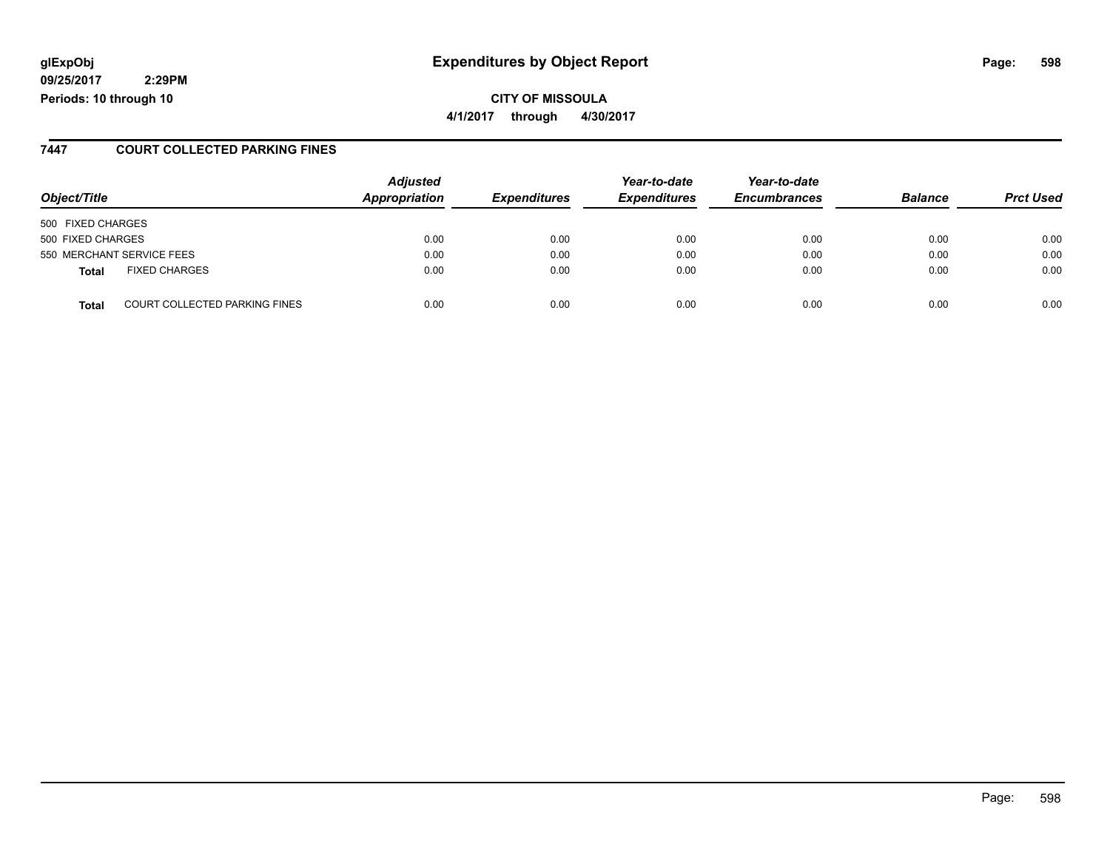### **glExpObj Expenditures by Object Report Page: 598**

**09/25/2017 2:29PM Periods: 10 through 10**

**CITY OF MISSOULA 4/1/2017 through 4/30/2017**

#### **7447 COURT COLLECTED PARKING FINES**

| Object/Title                                  | <b>Adjusted</b><br>Appropriation | <b>Expenditures</b> | Year-to-date<br><b>Expenditures</b> | Year-to-date<br><b>Encumbrances</b> | <b>Balance</b> | <b>Prct Used</b> |
|-----------------------------------------------|----------------------------------|---------------------|-------------------------------------|-------------------------------------|----------------|------------------|
| 500 FIXED CHARGES                             |                                  |                     |                                     |                                     |                |                  |
| 500 FIXED CHARGES                             | 0.00                             | 0.00                | 0.00                                | 0.00                                | 0.00           | 0.00             |
| 550 MERCHANT SERVICE FEES                     | 0.00                             | 0.00                | 0.00                                | 0.00                                | 0.00           | 0.00             |
| <b>FIXED CHARGES</b><br><b>Total</b>          | 0.00                             | 0.00                | 0.00                                | 0.00                                | 0.00           | 0.00             |
| <b>COURT COLLECTED PARKING FINES</b><br>Total | 0.00                             | 0.00                | 0.00                                | 0.00                                | 0.00           | 0.00             |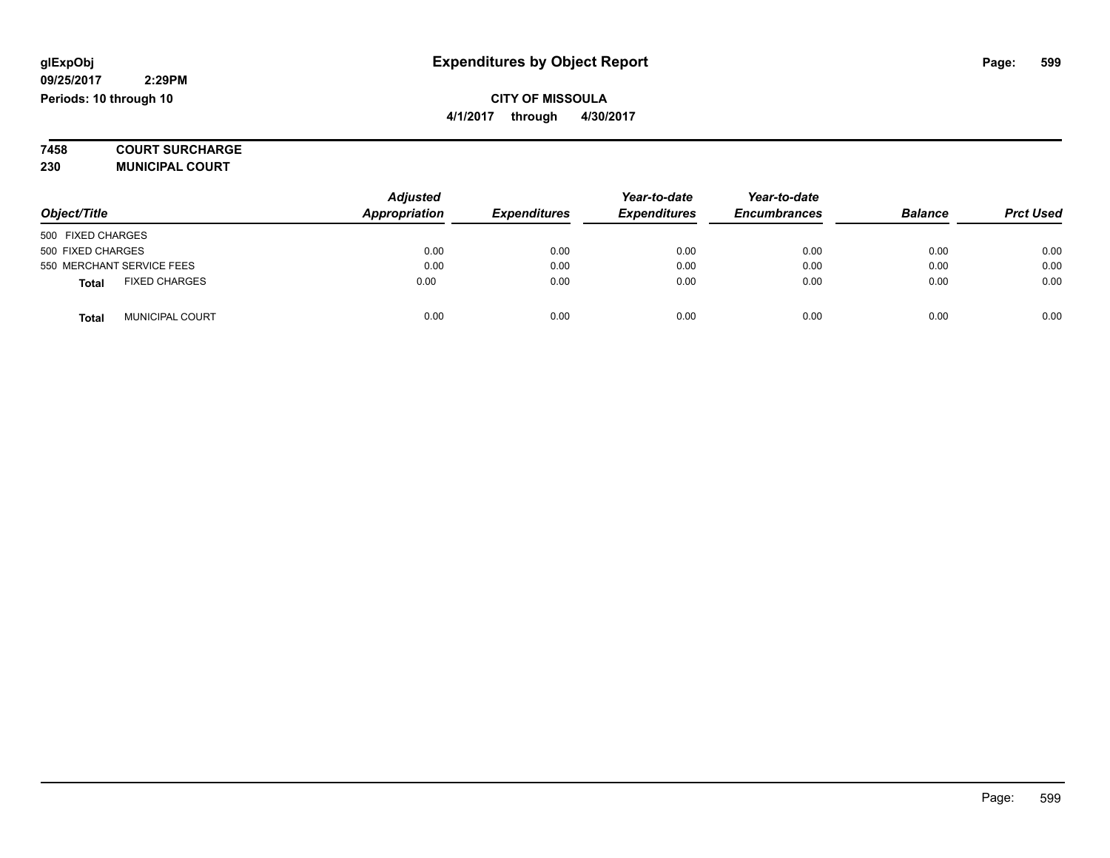**7458 COURT SURCHARGE**

**230 MUNICIPAL COURT**

|                                        | <b>Adjusted</b><br>Appropriation |                     | Year-to-date        | Year-to-date        |                |                  |
|----------------------------------------|----------------------------------|---------------------|---------------------|---------------------|----------------|------------------|
| Object/Title                           |                                  | <b>Expenditures</b> | <b>Expenditures</b> | <b>Encumbrances</b> | <b>Balance</b> | <b>Prct Used</b> |
| 500 FIXED CHARGES                      |                                  |                     |                     |                     |                |                  |
| 500 FIXED CHARGES                      | 0.00                             | 0.00                | 0.00                | 0.00                | 0.00           | 0.00             |
| 550 MERCHANT SERVICE FEES              | 0.00                             | 0.00                | 0.00                | 0.00                | 0.00           | 0.00             |
| <b>FIXED CHARGES</b><br><b>Total</b>   | 0.00                             | 0.00                | 0.00                | 0.00                | 0.00           | 0.00             |
| <b>MUNICIPAL COURT</b><br><b>Total</b> | 0.00                             | 0.00                | 0.00                | 0.00                | 0.00           | 0.00             |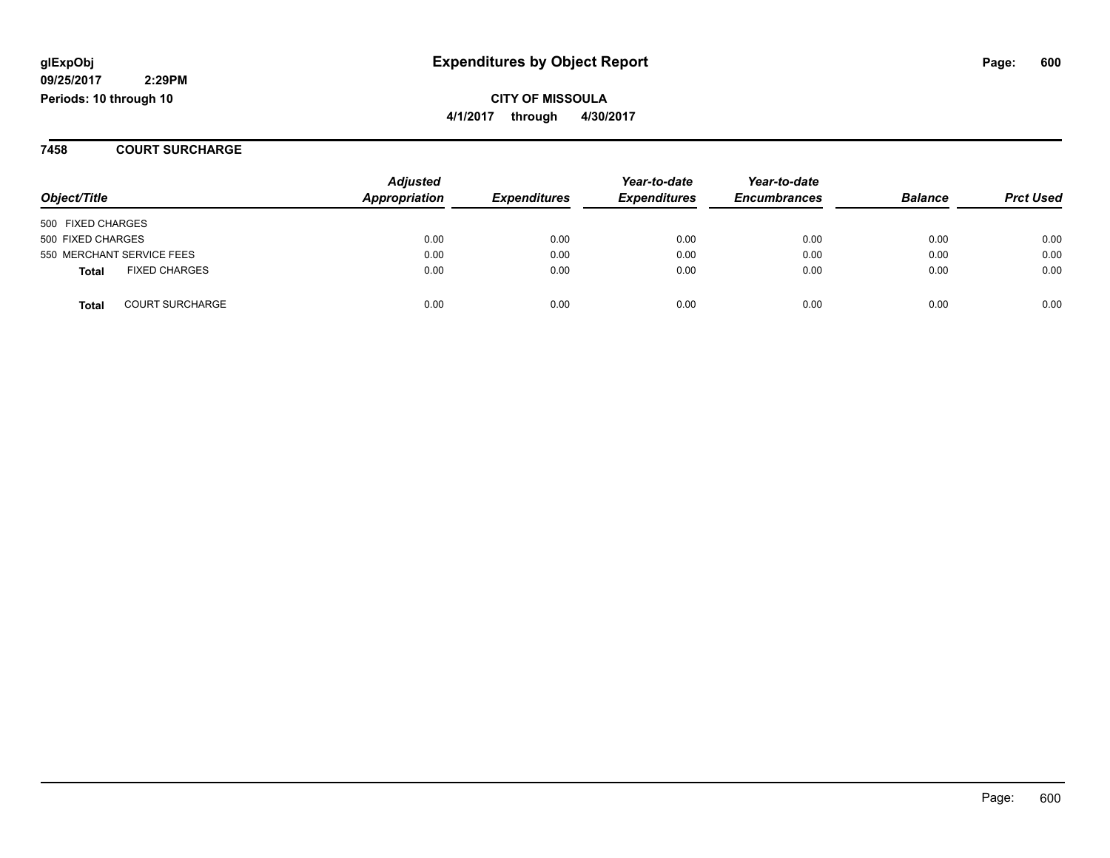**glExpObj Expenditures by Object Report Page: 600** 

**09/25/2017 2:29PM Periods: 10 through 10**

**CITY OF MISSOULA 4/1/2017 through 4/30/2017**

#### **7458 COURT SURCHARGE**

| Object/Title                           | <b>Adjusted</b><br>Appropriation | <b>Expenditures</b> | Year-to-date<br><b>Expenditures</b> | Year-to-date<br><b>Encumbrances</b> | <b>Balance</b> | <b>Prct Used</b> |
|----------------------------------------|----------------------------------|---------------------|-------------------------------------|-------------------------------------|----------------|------------------|
| 500 FIXED CHARGES                      |                                  |                     |                                     |                                     |                |                  |
| 500 FIXED CHARGES                      | 0.00                             | 0.00                | 0.00                                | 0.00                                | 0.00           | 0.00             |
| 550 MERCHANT SERVICE FEES              | 0.00                             | 0.00                | 0.00                                | 0.00                                | 0.00           | 0.00             |
| <b>FIXED CHARGES</b><br><b>Total</b>   | 0.00                             | 0.00                | 0.00                                | 0.00                                | 0.00           | 0.00             |
| <b>COURT SURCHARGE</b><br><b>Total</b> | 0.00                             | 0.00                | 0.00                                | 0.00                                | 0.00           | 0.00             |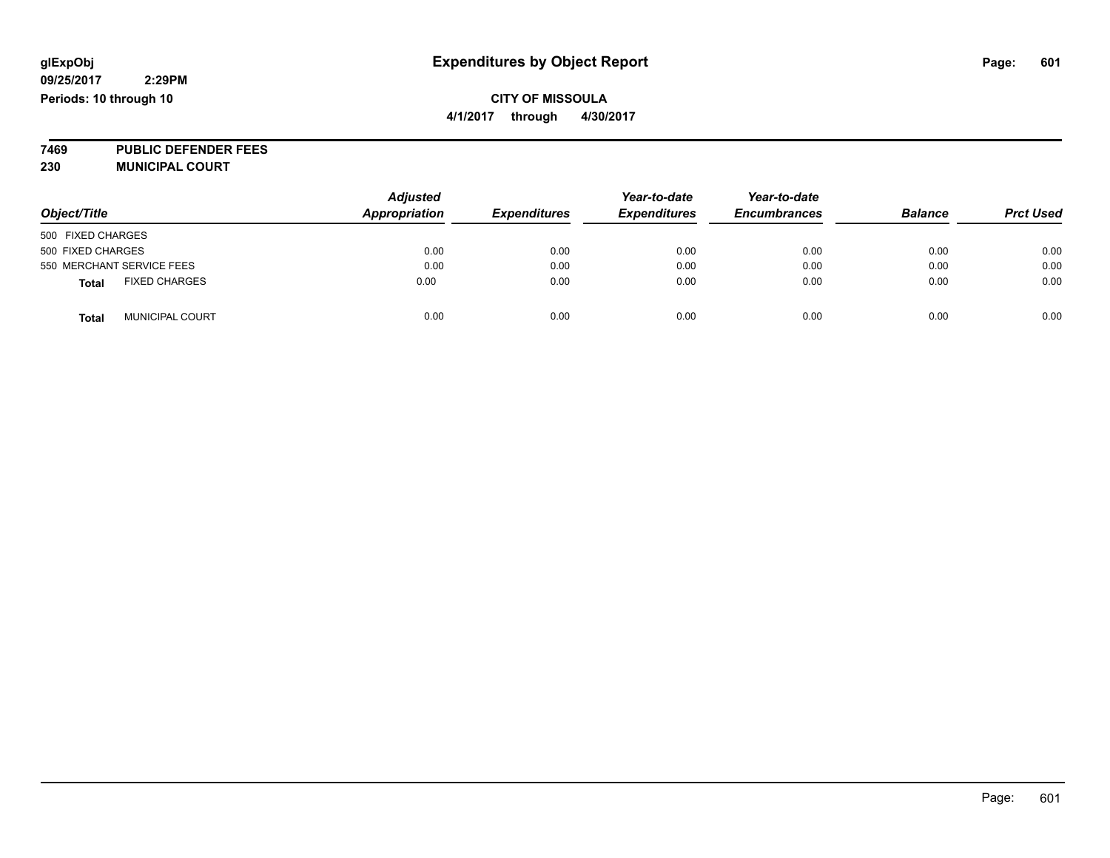### **CITY OF MISSOULA 4/1/2017 through 4/30/2017**

**7469 PUBLIC DEFENDER FEES 230 MUNICIPAL COURT**

| Object/Title                           | <b>Adjusted</b><br><b>Appropriation</b> | <b>Expenditures</b> | Year-to-date<br><b>Expenditures</b> | Year-to-date<br><b>Encumbrances</b> | <b>Balance</b> | <b>Prct Used</b> |
|----------------------------------------|-----------------------------------------|---------------------|-------------------------------------|-------------------------------------|----------------|------------------|
| 500 FIXED CHARGES                      |                                         |                     |                                     |                                     |                |                  |
| 500 FIXED CHARGES                      | 0.00                                    | 0.00                | 0.00                                | 0.00                                | 0.00           | 0.00             |
| 550 MERCHANT SERVICE FEES              | 0.00                                    | 0.00                | 0.00                                | 0.00                                | 0.00           | 0.00             |
| <b>FIXED CHARGES</b><br><b>Total</b>   | 0.00                                    | 0.00                | 0.00                                | 0.00                                | 0.00           | 0.00             |
| <b>MUNICIPAL COURT</b><br><b>Total</b> | 0.00                                    | 0.00                | 0.00                                | 0.00                                | 0.00           | 0.00             |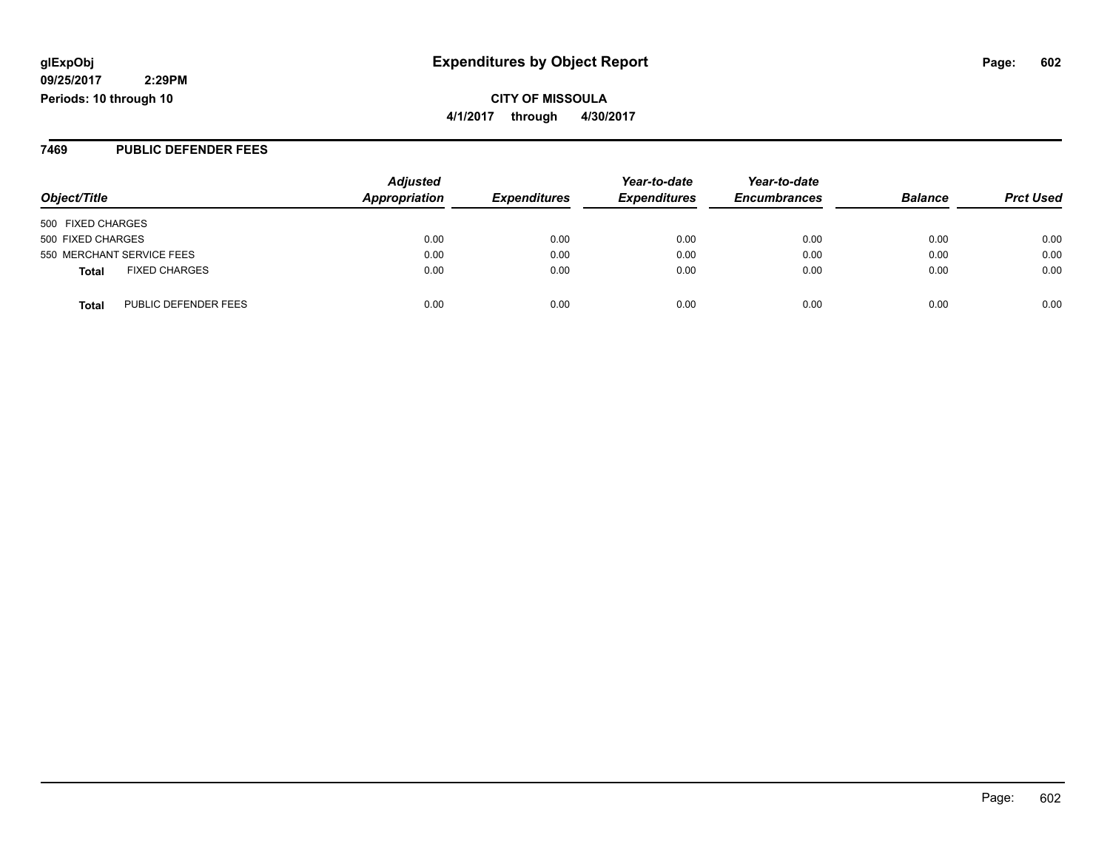**4/1/2017 through 4/30/2017**

#### **7469 PUBLIC DEFENDER FEES**

| Object/Title                         | <b>Adjusted</b><br>Appropriation | <b>Expenditures</b> | Year-to-date<br><b>Expenditures</b> | Year-to-date<br><b>Encumbrances</b> | <b>Balance</b> | <b>Prct Used</b> |
|--------------------------------------|----------------------------------|---------------------|-------------------------------------|-------------------------------------|----------------|------------------|
| 500 FIXED CHARGES                    |                                  |                     |                                     |                                     |                |                  |
| 500 FIXED CHARGES                    | 0.00                             | 0.00                | 0.00                                | 0.00                                | 0.00           | 0.00             |
| 550 MERCHANT SERVICE FEES            | 0.00                             | 0.00                | 0.00                                | 0.00                                | 0.00           | 0.00             |
| <b>FIXED CHARGES</b><br>Total        | 0.00                             | 0.00                | 0.00                                | 0.00                                | 0.00           | 0.00             |
| PUBLIC DEFENDER FEES<br><b>Total</b> | 0.00                             | 0.00                | 0.00                                | 0.00                                | 0.00           | 0.00             |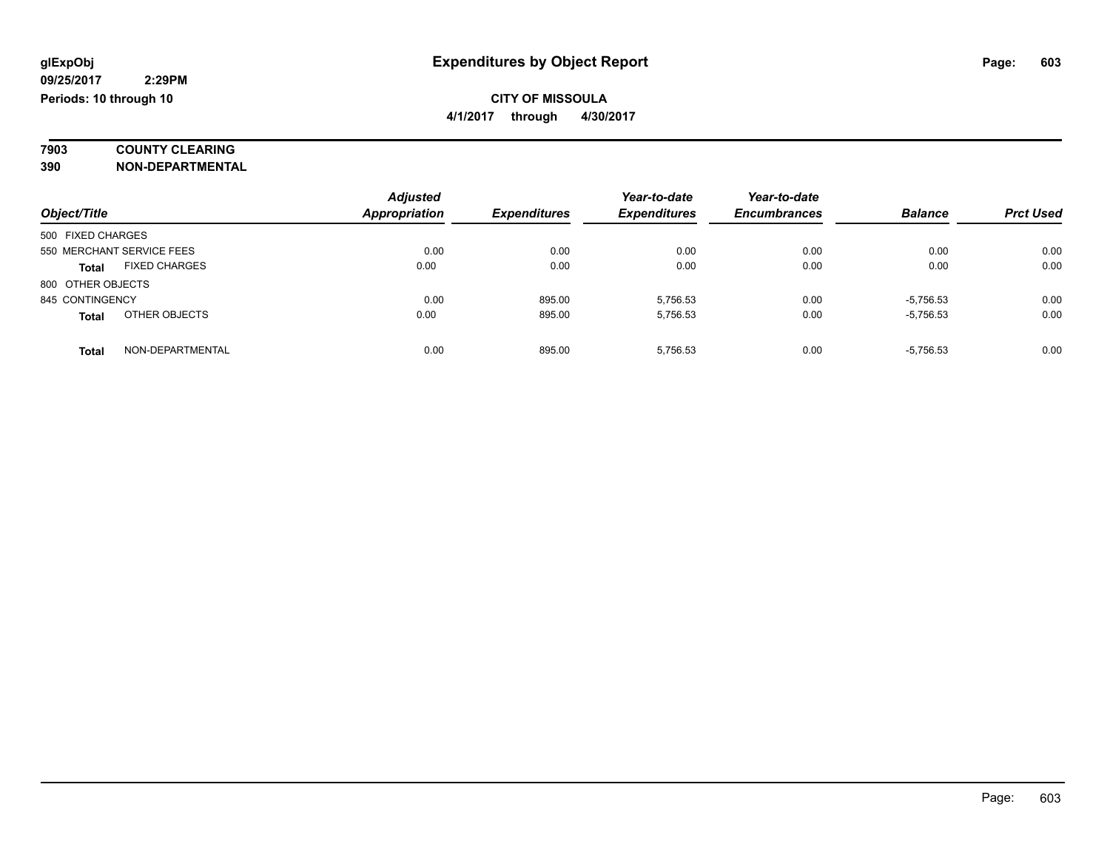# **7903 COUNTY CLEARING**

**390 NON-DEPARTMENTAL**

|                                      | <b>Adjusted</b>      |                     | Year-to-date        | Year-to-date        |                |                  |
|--------------------------------------|----------------------|---------------------|---------------------|---------------------|----------------|------------------|
| Object/Title                         | <b>Appropriation</b> | <b>Expenditures</b> | <b>Expenditures</b> | <b>Encumbrances</b> | <b>Balance</b> | <b>Prct Used</b> |
| 500 FIXED CHARGES                    |                      |                     |                     |                     |                |                  |
| 550 MERCHANT SERVICE FEES            | 0.00                 | 0.00                | 0.00                | 0.00                | 0.00           | 0.00             |
| <b>FIXED CHARGES</b><br><b>Total</b> | 0.00                 | 0.00                | 0.00                | 0.00                | 0.00           | 0.00             |
| 800 OTHER OBJECTS                    |                      |                     |                     |                     |                |                  |
| 845 CONTINGENCY                      | 0.00                 | 895.00              | 5,756.53            | 0.00                | $-5,756.53$    | 0.00             |
| OTHER OBJECTS<br><b>Total</b>        | 0.00                 | 895.00              | 5.756.53            | 0.00                | $-5,756.53$    | 0.00             |
| NON-DEPARTMENTAL<br><b>Total</b>     | 0.00                 | 895.00              | 5.756.53            | 0.00                | $-5,756.53$    | 0.00             |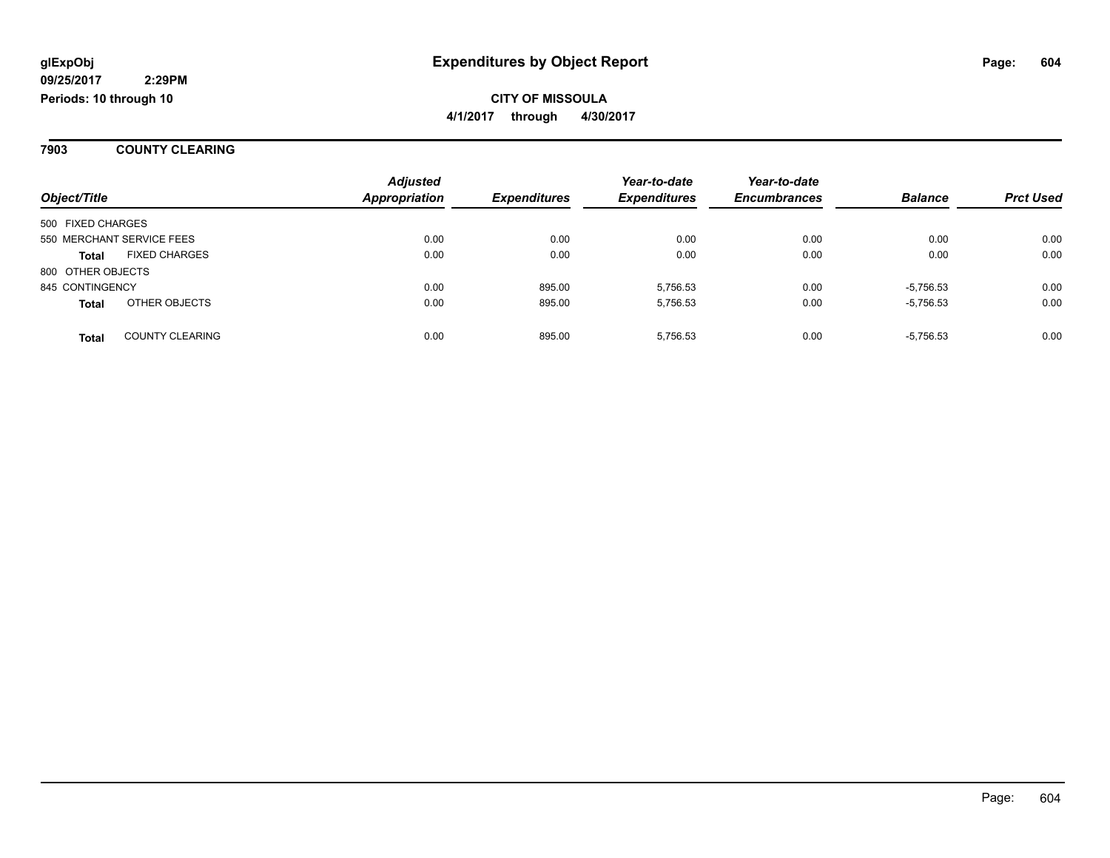#### **7903 COUNTY CLEARING**

|                   |                           | <b>Adjusted</b>      |                     | Year-to-date        | Year-to-date        |                |                  |
|-------------------|---------------------------|----------------------|---------------------|---------------------|---------------------|----------------|------------------|
| Object/Title      |                           | <b>Appropriation</b> | <b>Expenditures</b> | <b>Expenditures</b> | <b>Encumbrances</b> | <b>Balance</b> | <b>Prct Used</b> |
| 500 FIXED CHARGES |                           |                      |                     |                     |                     |                |                  |
|                   | 550 MERCHANT SERVICE FEES | 0.00                 | 0.00                | 0.00                | 0.00                | 0.00           | 0.00             |
| <b>Total</b>      | <b>FIXED CHARGES</b>      | 0.00                 | 0.00                | 0.00                | 0.00                | 0.00           | 0.00             |
| 800 OTHER OBJECTS |                           |                      |                     |                     |                     |                |                  |
| 845 CONTINGENCY   |                           | 0.00                 | 895.00              | 5.756.53            | 0.00                | $-5,756.53$    | 0.00             |
| <b>Total</b>      | OTHER OBJECTS             | 0.00                 | 895.00              | 5.756.53            | 0.00                | $-5,756.53$    | 0.00             |
| <b>Total</b>      | <b>COUNTY CLEARING</b>    | 0.00                 | 895.00              | 5,756.53            | 0.00                | $-5,756.53$    | 0.00             |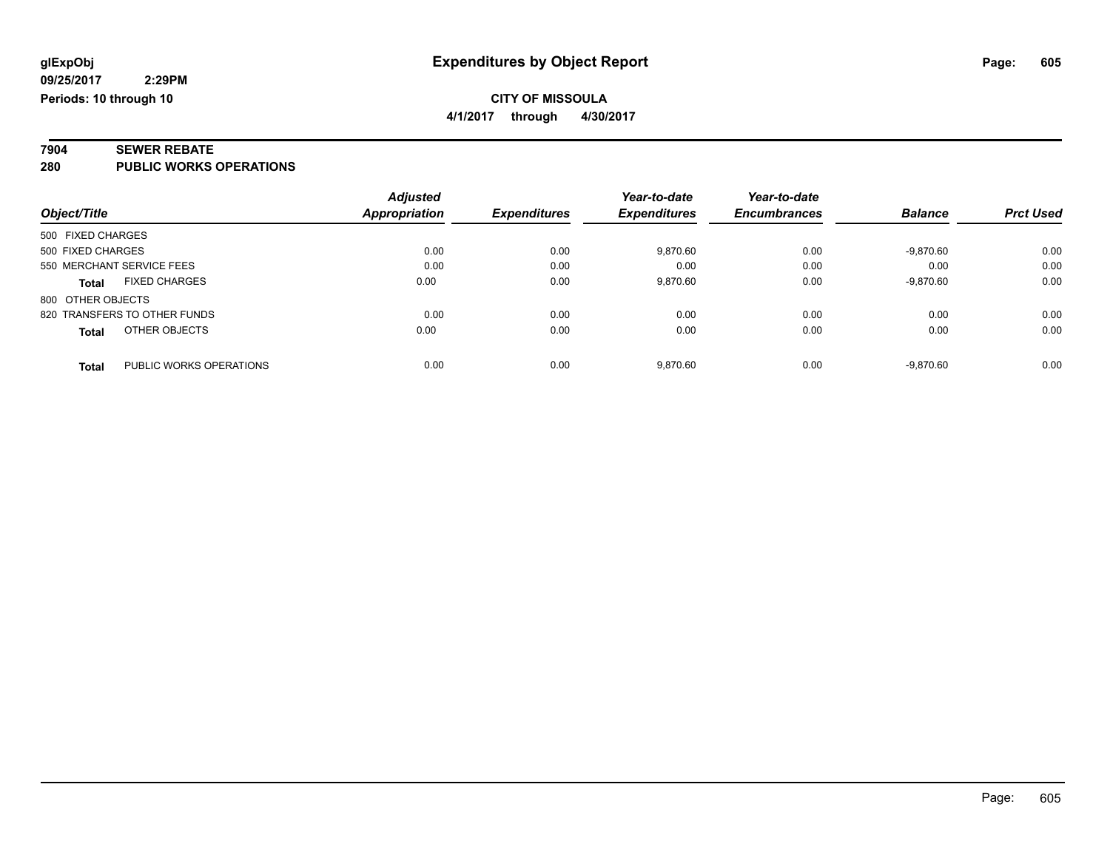# **7904 SEWER REBATE**

**280 PUBLIC WORKS OPERATIONS**

|                                         | <b>Adjusted</b> |                            | Year-to-date        | Year-to-date        |                |                  |
|-----------------------------------------|-----------------|----------------------------|---------------------|---------------------|----------------|------------------|
| Object/Title                            | Appropriation   | <i><b>Expenditures</b></i> | <b>Expenditures</b> | <b>Encumbrances</b> | <b>Balance</b> | <b>Prct Used</b> |
| 500 FIXED CHARGES                       |                 |                            |                     |                     |                |                  |
| 500 FIXED CHARGES                       | 0.00            | 0.00                       | 9,870.60            | 0.00                | $-9.870.60$    | 0.00             |
| 550 MERCHANT SERVICE FEES               | 0.00            | 0.00                       | 0.00                | 0.00                | 0.00           | 0.00             |
| <b>FIXED CHARGES</b><br><b>Total</b>    | 0.00            | 0.00                       | 9,870.60            | 0.00                | $-9,870.60$    | 0.00             |
| 800 OTHER OBJECTS                       |                 |                            |                     |                     |                |                  |
| 820 TRANSFERS TO OTHER FUNDS            | 0.00            | 0.00                       | 0.00                | 0.00                | 0.00           | 0.00             |
| OTHER OBJECTS<br><b>Total</b>           | 0.00            | 0.00                       | 0.00                | 0.00                | 0.00           | 0.00             |
| PUBLIC WORKS OPERATIONS<br><b>Total</b> | 0.00            | 0.00                       | 9.870.60            | 0.00                | $-9.870.60$    | 0.00             |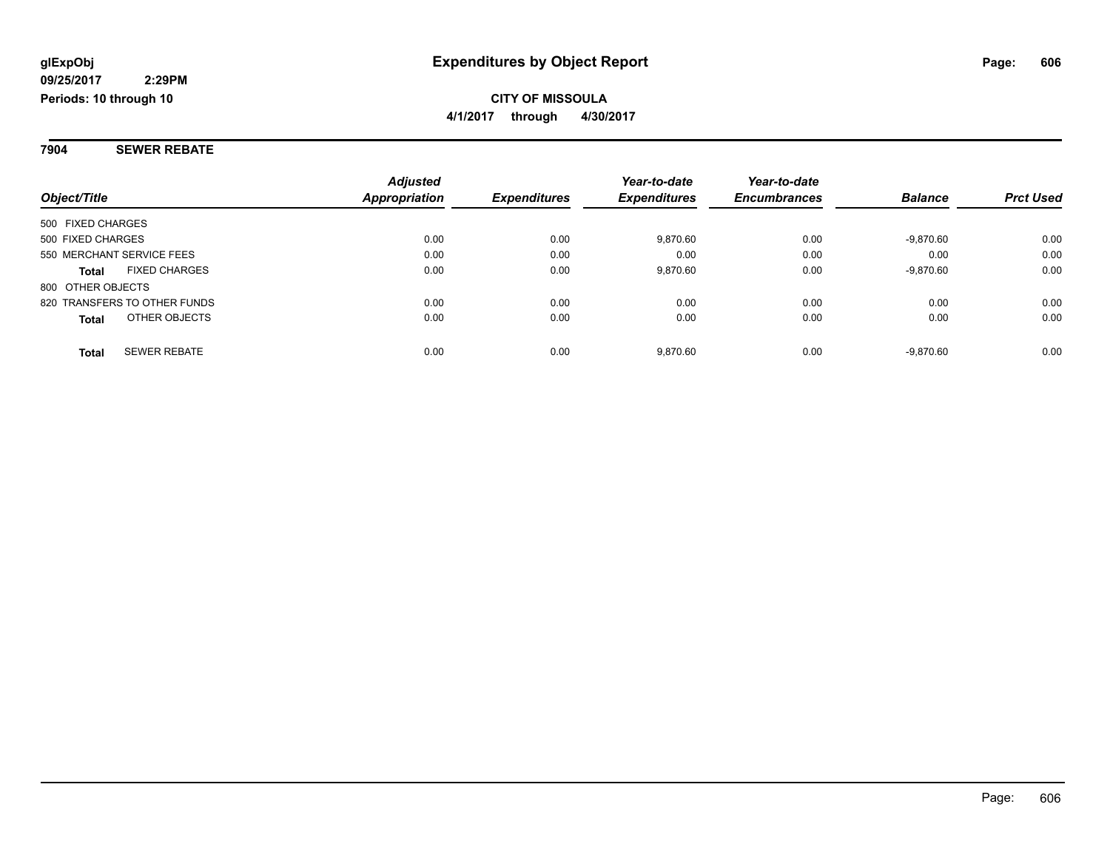**7904 SEWER REBATE**

|                                      | <b>Adjusted</b>      |                     | Year-to-date        | Year-to-date        |                |                  |
|--------------------------------------|----------------------|---------------------|---------------------|---------------------|----------------|------------------|
| Object/Title                         | <b>Appropriation</b> | <b>Expenditures</b> | <b>Expenditures</b> | <b>Encumbrances</b> | <b>Balance</b> | <b>Prct Used</b> |
| 500 FIXED CHARGES                    |                      |                     |                     |                     |                |                  |
| 500 FIXED CHARGES                    | 0.00                 | 0.00                | 9,870.60            | 0.00                | $-9,870.60$    | 0.00             |
| 550 MERCHANT SERVICE FEES            | 0.00                 | 0.00                | 0.00                | 0.00                | 0.00           | 0.00             |
| <b>FIXED CHARGES</b><br><b>Total</b> | 0.00                 | 0.00                | 9,870.60            | 0.00                | $-9,870.60$    | 0.00             |
| 800 OTHER OBJECTS                    |                      |                     |                     |                     |                |                  |
| 820 TRANSFERS TO OTHER FUNDS         | 0.00                 | 0.00                | 0.00                | 0.00                | 0.00           | 0.00             |
| OTHER OBJECTS<br><b>Total</b>        | 0.00                 | 0.00                | 0.00                | 0.00                | 0.00           | 0.00             |
| <b>SEWER REBATE</b><br><b>Total</b>  | 0.00                 | 0.00                | 9.870.60            | 0.00                | $-9.870.60$    | 0.00             |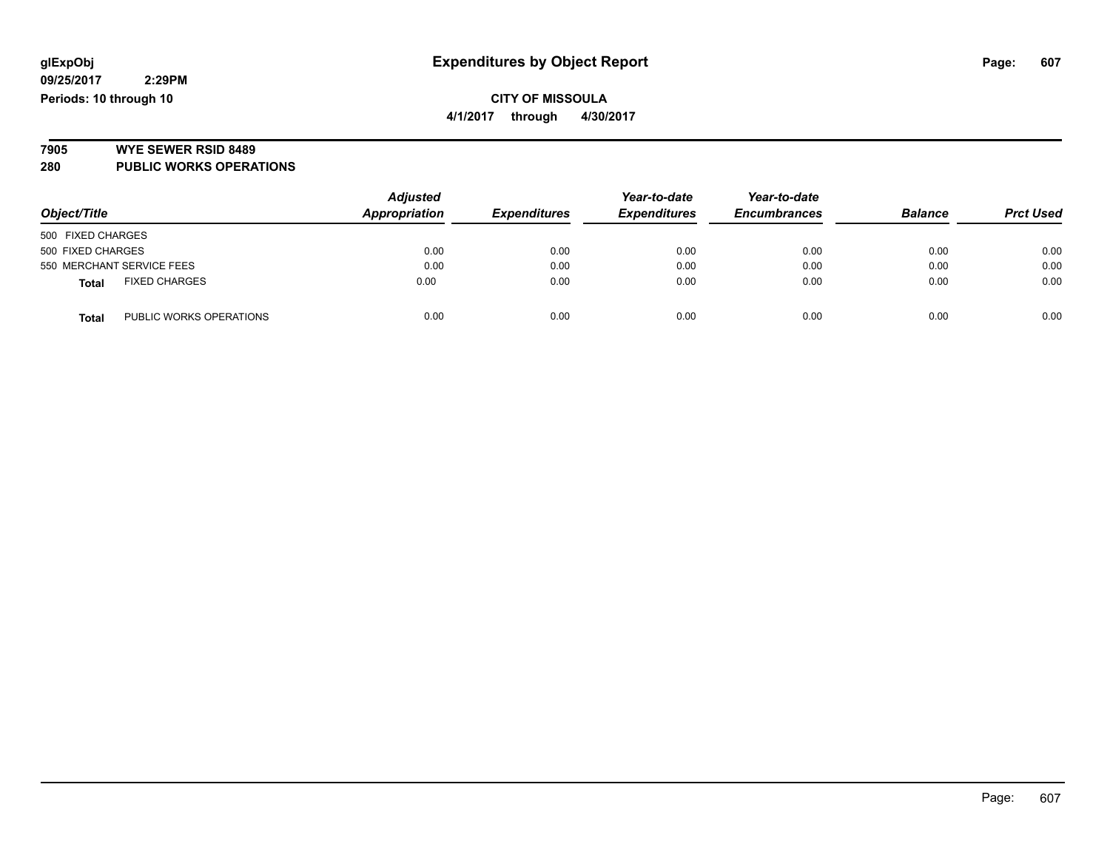### **CITY OF MISSOULA 4/1/2017 through 4/30/2017**

# **7905 WYE SEWER RSID 8489**

**280 PUBLIC WORKS OPERATIONS**

|                                         | <b>Adjusted</b> |                     | Year-to-date        | Year-to-date        |                |                  |
|-----------------------------------------|-----------------|---------------------|---------------------|---------------------|----------------|------------------|
| Object/Title                            | Appropriation   | <b>Expenditures</b> | <b>Expenditures</b> | <b>Encumbrances</b> | <b>Balance</b> | <b>Prct Used</b> |
| 500 FIXED CHARGES                       |                 |                     |                     |                     |                |                  |
| 500 FIXED CHARGES                       | 0.00            | 0.00                | 0.00                | 0.00                | 0.00           | 0.00             |
| 550 MERCHANT SERVICE FEES               | 0.00            | 0.00                | 0.00                | 0.00                | 0.00           | 0.00             |
| <b>FIXED CHARGES</b><br><b>Total</b>    | 0.00            | 0.00                | 0.00                | 0.00                | 0.00           | 0.00             |
| PUBLIC WORKS OPERATIONS<br><b>Total</b> | 0.00            | 0.00                | 0.00                | 0.00                | 0.00           | 0.00             |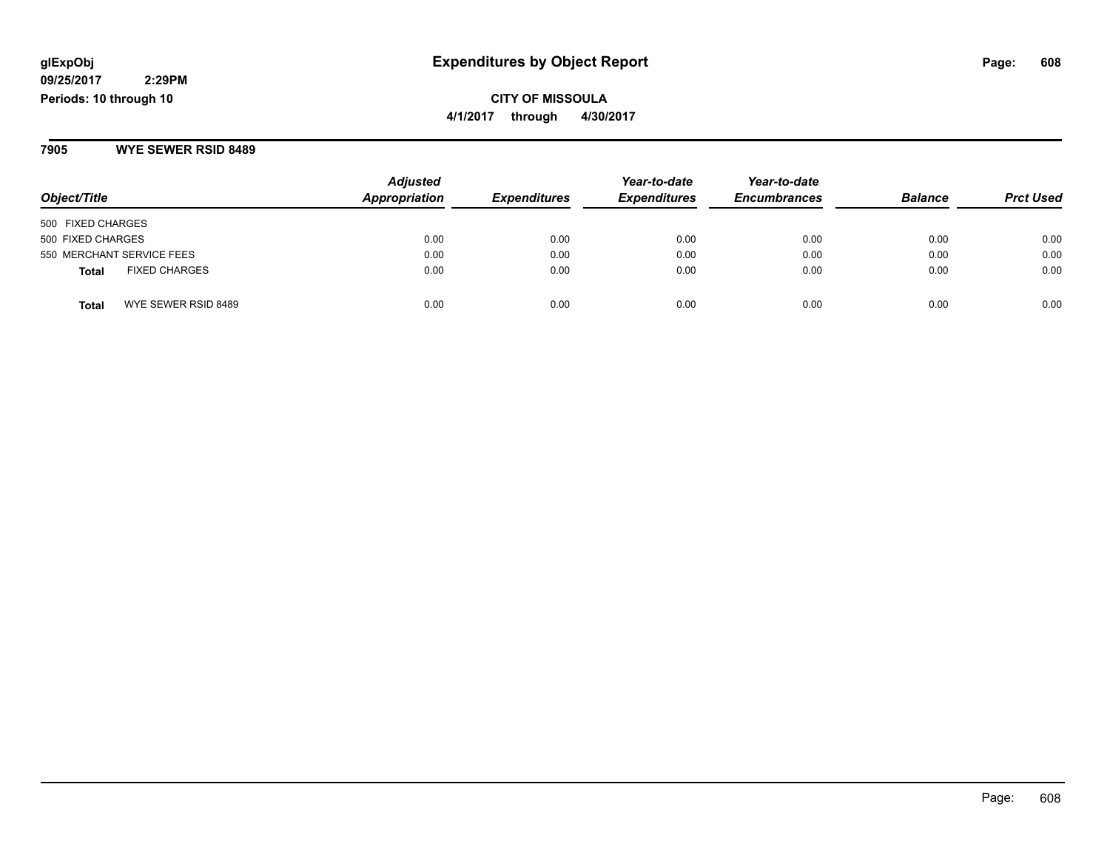# **2:29PM**

**09/25/2017 Periods: 10 through 10**

# **CITY OF MISSOULA 4/1/2017 through 4/30/2017**

#### **7905 WYE SEWER RSID 8489**

| Object/Title                  | <b>Adjusted</b><br>Appropriation | <b>Expenditures</b> | Year-to-date<br><b>Expenditures</b> | Year-to-date<br><b>Encumbrances</b> | <b>Balance</b> | <b>Prct Used</b> |
|-------------------------------|----------------------------------|---------------------|-------------------------------------|-------------------------------------|----------------|------------------|
| 500 FIXED CHARGES             |                                  |                     |                                     |                                     |                |                  |
| 500 FIXED CHARGES             | 0.00                             | 0.00                | 0.00                                | 0.00                                | 0.00           | 0.00             |
| 550 MERCHANT SERVICE FEES     | 0.00                             | 0.00                | 0.00                                | 0.00                                | 0.00           | 0.00             |
| <b>FIXED CHARGES</b><br>Total | 0.00                             | 0.00                | 0.00                                | 0.00                                | 0.00           | 0.00             |
| WYE SEWER RSID 8489<br>Total  | 0.00                             | 0.00                | 0.00                                | 0.00                                | 0.00           | 0.00             |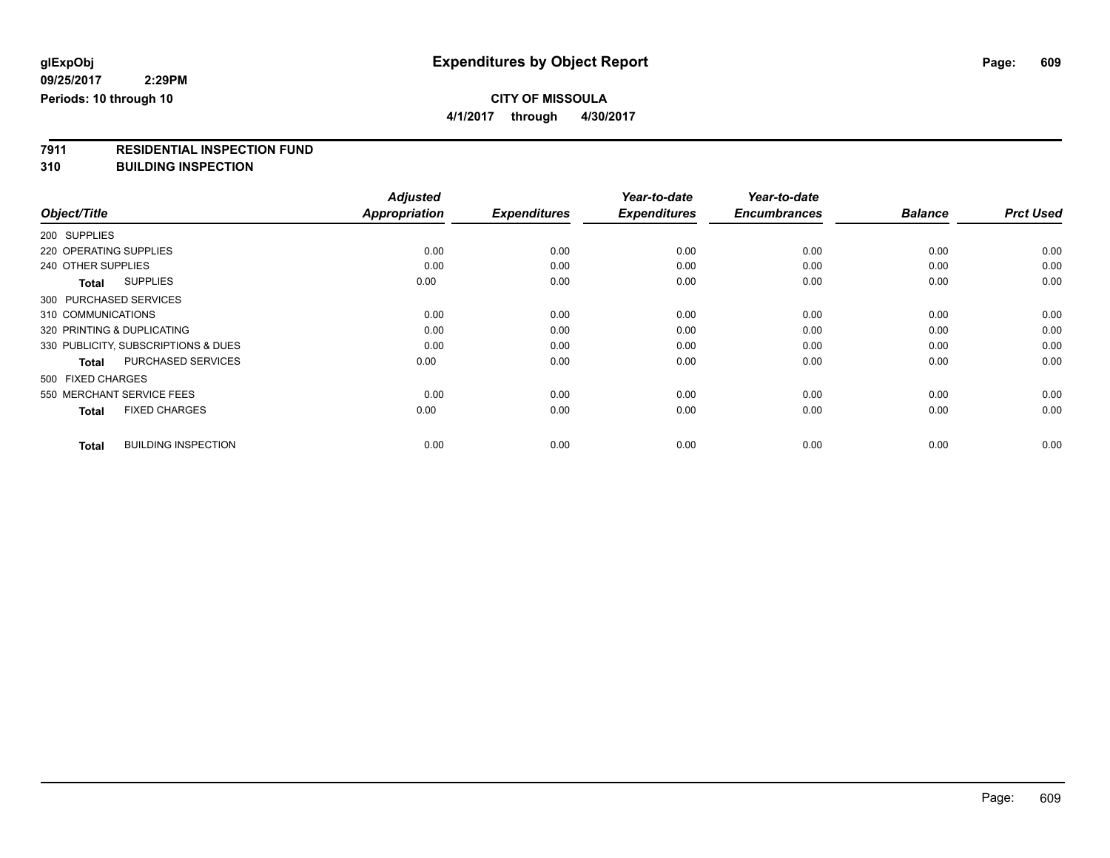# **CITY OF MISSOULA**

**4/1/2017 through 4/30/2017**

# **7911 RESIDENTIAL INSPECTION FUND**

**310 BUILDING INSPECTION**

|                                            | <b>Adjusted</b>      |                     | Year-to-date        | Year-to-date        |                |                  |
|--------------------------------------------|----------------------|---------------------|---------------------|---------------------|----------------|------------------|
| Object/Title                               | <b>Appropriation</b> | <b>Expenditures</b> | <b>Expenditures</b> | <b>Encumbrances</b> | <b>Balance</b> | <b>Prct Used</b> |
| 200 SUPPLIES                               |                      |                     |                     |                     |                |                  |
| 220 OPERATING SUPPLIES                     | 0.00                 | 0.00                | 0.00                | 0.00                | 0.00           | 0.00             |
| 240 OTHER SUPPLIES                         | 0.00                 | 0.00                | 0.00                | 0.00                | 0.00           | 0.00             |
| <b>SUPPLIES</b><br><b>Total</b>            | 0.00                 | 0.00                | 0.00                | 0.00                | 0.00           | 0.00             |
| 300 PURCHASED SERVICES                     |                      |                     |                     |                     |                |                  |
| 310 COMMUNICATIONS                         | 0.00                 | 0.00                | 0.00                | 0.00                | 0.00           | 0.00             |
| 320 PRINTING & DUPLICATING                 | 0.00                 | 0.00                | 0.00                | 0.00                | 0.00           | 0.00             |
| 330 PUBLICITY, SUBSCRIPTIONS & DUES        | 0.00                 | 0.00                | 0.00                | 0.00                | 0.00           | 0.00             |
| <b>PURCHASED SERVICES</b><br><b>Total</b>  | 0.00                 | 0.00                | 0.00                | 0.00                | 0.00           | 0.00             |
| 500 FIXED CHARGES                          |                      |                     |                     |                     |                |                  |
| 550 MERCHANT SERVICE FEES                  | 0.00                 | 0.00                | 0.00                | 0.00                | 0.00           | 0.00             |
| <b>FIXED CHARGES</b><br><b>Total</b>       | 0.00                 | 0.00                | 0.00                | 0.00                | 0.00           | 0.00             |
| <b>BUILDING INSPECTION</b><br><b>Total</b> | 0.00                 | 0.00                | 0.00                | 0.00                | 0.00           | 0.00             |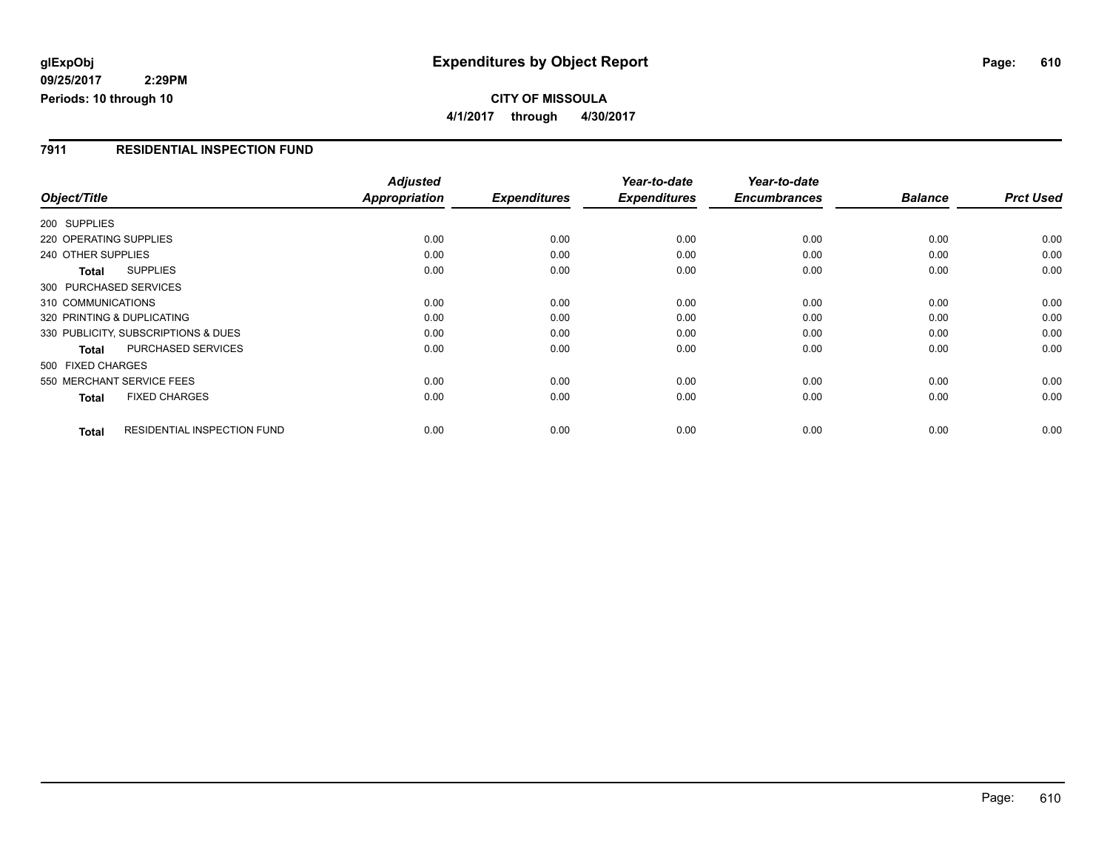#### **7911 RESIDENTIAL INSPECTION FUND**

|                                             | <b>Adjusted</b> |                     | Year-to-date        | Year-to-date        |                |                  |
|---------------------------------------------|-----------------|---------------------|---------------------|---------------------|----------------|------------------|
| Object/Title                                | Appropriation   | <b>Expenditures</b> | <b>Expenditures</b> | <b>Encumbrances</b> | <b>Balance</b> | <b>Prct Used</b> |
| 200 SUPPLIES                                |                 |                     |                     |                     |                |                  |
| 220 OPERATING SUPPLIES                      | 0.00            | 0.00                | 0.00                | 0.00                | 0.00           | 0.00             |
| 240 OTHER SUPPLIES                          | 0.00            | 0.00                | 0.00                | 0.00                | 0.00           | 0.00             |
| <b>SUPPLIES</b><br>Total                    | 0.00            | 0.00                | 0.00                | 0.00                | 0.00           | 0.00             |
| 300 PURCHASED SERVICES                      |                 |                     |                     |                     |                |                  |
| 310 COMMUNICATIONS                          | 0.00            | 0.00                | 0.00                | 0.00                | 0.00           | 0.00             |
| 320 PRINTING & DUPLICATING                  | 0.00            | 0.00                | 0.00                | 0.00                | 0.00           | 0.00             |
| 330 PUBLICITY, SUBSCRIPTIONS & DUES         | 0.00            | 0.00                | 0.00                | 0.00                | 0.00           | 0.00             |
| <b>PURCHASED SERVICES</b><br><b>Total</b>   | 0.00            | 0.00                | 0.00                | 0.00                | 0.00           | 0.00             |
| 500 FIXED CHARGES                           |                 |                     |                     |                     |                |                  |
| 550 MERCHANT SERVICE FEES                   | 0.00            | 0.00                | 0.00                | 0.00                | 0.00           | 0.00             |
| <b>FIXED CHARGES</b><br><b>Total</b>        | 0.00            | 0.00                | 0.00                | 0.00                | 0.00           | 0.00             |
| <b>RESIDENTIAL INSPECTION FUND</b><br>Total | 0.00            | 0.00                | 0.00                | 0.00                | 0.00           | 0.00             |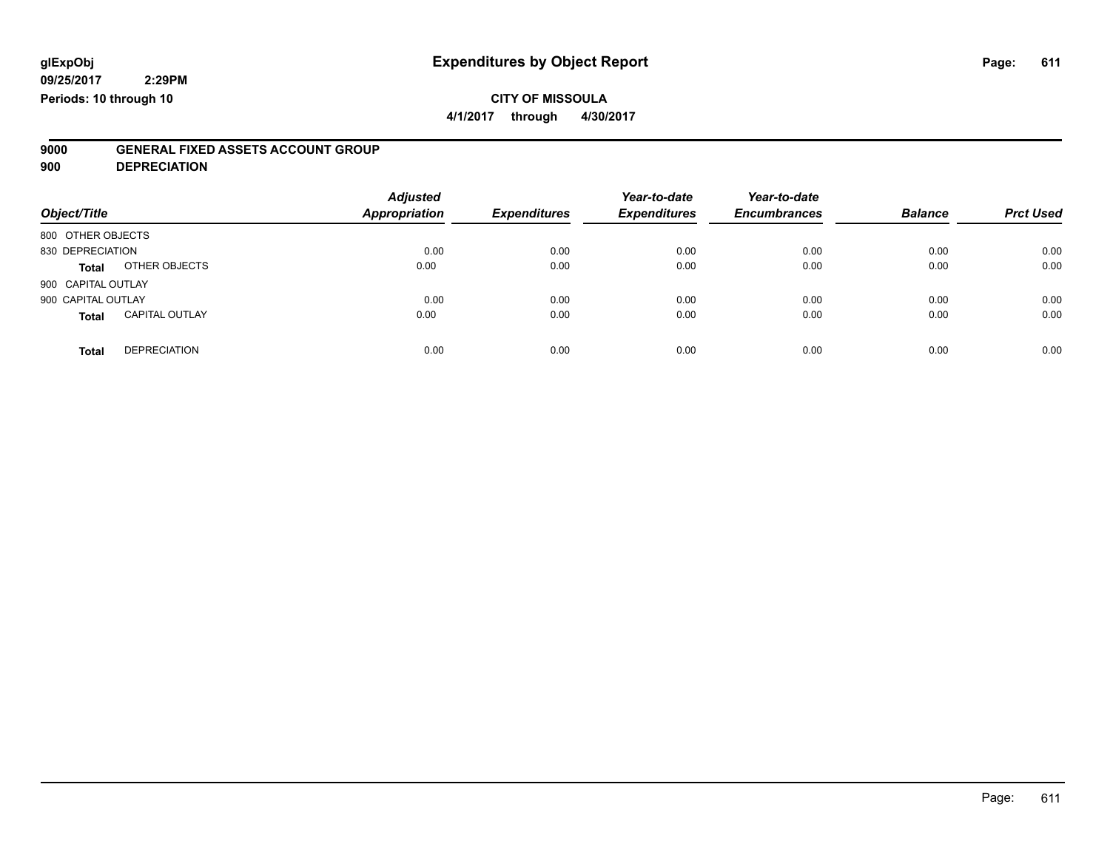# **CITY OF MISSOULA**

**4/1/2017 through 4/30/2017**

# **9000 GENERAL FIXED ASSETS ACCOUNT GROUP**

**900 DEPRECIATION**

| Object/Title                          | <b>Adjusted</b><br>Appropriation | <b>Expenditures</b> | Year-to-date<br><b>Expenditures</b> | Year-to-date<br><b>Encumbrances</b> | <b>Balance</b> | <b>Prct Used</b> |
|---------------------------------------|----------------------------------|---------------------|-------------------------------------|-------------------------------------|----------------|------------------|
| 800 OTHER OBJECTS                     |                                  |                     |                                     |                                     |                |                  |
| 830 DEPRECIATION                      | 0.00                             | 0.00                | 0.00                                | 0.00                                | 0.00           | 0.00             |
| OTHER OBJECTS<br><b>Total</b>         | 0.00                             | 0.00                | 0.00                                | 0.00                                | 0.00           | 0.00             |
| 900 CAPITAL OUTLAY                    |                                  |                     |                                     |                                     |                |                  |
| 900 CAPITAL OUTLAY                    | 0.00                             | 0.00                | 0.00                                | 0.00                                | 0.00           | 0.00             |
| <b>CAPITAL OUTLAY</b><br><b>Total</b> | 0.00                             | 0.00                | 0.00                                | 0.00                                | 0.00           | 0.00             |
| <b>DEPRECIATION</b><br><b>Total</b>   | 0.00                             | 0.00                | 0.00                                | 0.00                                | 0.00           | 0.00             |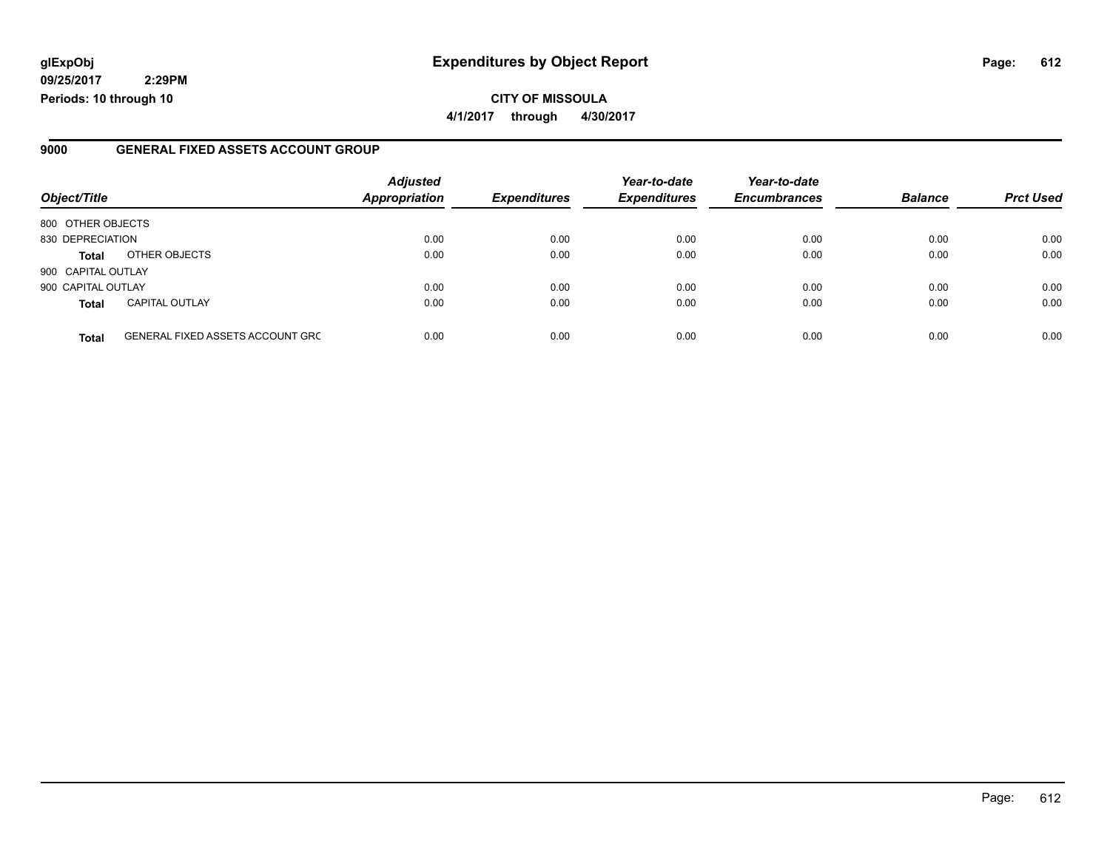# **glExpObj Expenditures by Object Report Page: 612**

**09/25/2017 2:29PM Periods: 10 through 10**

#### **9000 GENERAL FIXED ASSETS ACCOUNT GROUP**

| Object/Title       |                                         | <b>Adjusted</b><br>Appropriation | <b>Expenditures</b> | Year-to-date<br><b>Expenditures</b> | Year-to-date<br><b>Encumbrances</b> | <b>Balance</b> | <b>Prct Used</b> |
|--------------------|-----------------------------------------|----------------------------------|---------------------|-------------------------------------|-------------------------------------|----------------|------------------|
| 800 OTHER OBJECTS  |                                         |                                  |                     |                                     |                                     |                |                  |
| 830 DEPRECIATION   |                                         | 0.00                             | 0.00                | 0.00                                | 0.00                                | 0.00           | 0.00             |
| <b>Total</b>       | OTHER OBJECTS                           | 0.00                             | 0.00                | 0.00                                | 0.00                                | 0.00           | 0.00             |
| 900 CAPITAL OUTLAY |                                         |                                  |                     |                                     |                                     |                |                  |
| 900 CAPITAL OUTLAY |                                         | 0.00                             | 0.00                | 0.00                                | 0.00                                | 0.00           | 0.00             |
| <b>Total</b>       | <b>CAPITAL OUTLAY</b>                   | 0.00                             | 0.00                | 0.00                                | 0.00                                | 0.00           | 0.00             |
| <b>Total</b>       | <b>GENERAL FIXED ASSETS ACCOUNT GRC</b> | 0.00                             | 0.00                | 0.00                                | 0.00                                | 0.00           | 0.00             |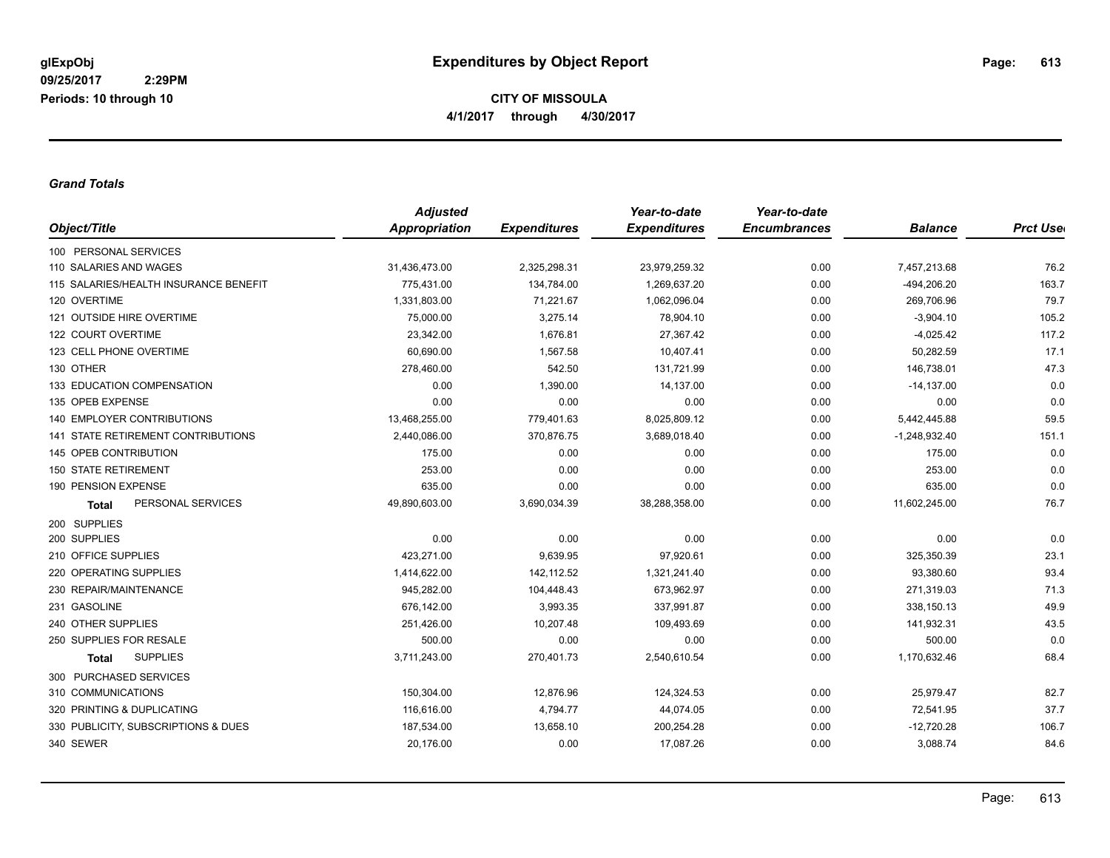**CITY OF MISSOULA 4/1/2017 through 4/30/2017**

## *Grand Totals*

| Object/Title                          | <b>Adjusted</b> |                     | Year-to-date        | Year-to-date        |                 |                 |
|---------------------------------------|-----------------|---------------------|---------------------|---------------------|-----------------|-----------------|
|                                       | Appropriation   | <b>Expenditures</b> | <b>Expenditures</b> | <b>Encumbrances</b> | <b>Balance</b>  | <b>Prct Use</b> |
| 100 PERSONAL SERVICES                 |                 |                     |                     |                     |                 |                 |
| 110 SALARIES AND WAGES                | 31,436,473.00   | 2,325,298.31        | 23,979,259.32       | 0.00                | 7,457,213.68    | 76.2            |
| 115 SALARIES/HEALTH INSURANCE BENEFIT | 775.431.00      | 134,784.00          | 1.269.637.20        | 0.00                | $-494,206.20$   | 163.7           |
| 120 OVERTIME                          | 1,331,803.00    | 71,221.67           | 1,062,096.04        | 0.00                | 269,706.96      | 79.7            |
| 121 OUTSIDE HIRE OVERTIME             | 75,000.00       | 3,275.14            | 78,904.10           | 0.00                | $-3,904.10$     | 105.2           |
| 122 COURT OVERTIME                    | 23,342.00       | 1,676.81            | 27,367.42           | 0.00                | $-4,025.42$     | 117.2           |
| 123 CELL PHONE OVERTIME               | 60,690.00       | 1,567.58            | 10,407.41           | 0.00                | 50,282.59       | 17.1            |
| 130 OTHER                             | 278,460.00      | 542.50              | 131,721.99          | 0.00                | 146,738.01      | 47.3            |
| 133 EDUCATION COMPENSATION            | 0.00            | 1,390.00            | 14,137.00           | 0.00                | $-14,137.00$    | 0.0             |
| 135 OPEB EXPENSE                      | 0.00            | 0.00                | 0.00                | 0.00                | 0.00            | 0.0             |
| <b>140 EMPLOYER CONTRIBUTIONS</b>     | 13,468,255.00   | 779,401.63          | 8,025,809.12        | 0.00                | 5,442,445.88    | 59.5            |
| 141 STATE RETIREMENT CONTRIBUTIONS    | 2,440,086.00    | 370,876.75          | 3,689,018.40        | 0.00                | $-1,248,932.40$ | 151.1           |
| 145 OPEB CONTRIBUTION                 | 175.00          | 0.00                | 0.00                | 0.00                | 175.00          | 0.0             |
| <b>150 STATE RETIREMENT</b>           | 253.00          | 0.00                | 0.00                | 0.00                | 253.00          | 0.0             |
| 190 PENSION EXPENSE                   | 635.00          | 0.00                | 0.00                | 0.00                | 635.00          | 0.0             |
| PERSONAL SERVICES<br><b>Total</b>     | 49,890,603.00   | 3,690,034.39        | 38,288,358.00       | 0.00                | 11,602,245.00   | 76.7            |
| 200 SUPPLIES                          |                 |                     |                     |                     |                 |                 |
| 200 SUPPLIES                          | 0.00            | 0.00                | 0.00                | 0.00                | 0.00            | 0.0             |
| 210 OFFICE SUPPLIES                   | 423,271.00      | 9,639.95            | 97,920.61           | 0.00                | 325,350.39      | 23.1            |
| 220 OPERATING SUPPLIES                | 1,414,622.00    | 142,112.52          | 1,321,241.40        | 0.00                | 93,380.60       | 93.4            |
| 230 REPAIR/MAINTENANCE                | 945,282.00      | 104,448.43          | 673,962.97          | 0.00                | 271,319.03      | 71.3            |
| 231 GASOLINE                          | 676,142.00      | 3,993.35            | 337,991.87          | 0.00                | 338,150.13      | 49.9            |
| 240 OTHER SUPPLIES                    | 251,426.00      | 10,207.48           | 109,493.69          | 0.00                | 141,932.31      | 43.5            |
| 250 SUPPLIES FOR RESALE               | 500.00          | 0.00                | 0.00                | 0.00                | 500.00          | 0.0             |
| <b>SUPPLIES</b><br><b>Total</b>       | 3,711,243.00    | 270,401.73          | 2,540,610.54        | 0.00                | 1,170,632.46    | 68.4            |
| 300 PURCHASED SERVICES                |                 |                     |                     |                     |                 |                 |
| 310 COMMUNICATIONS                    | 150,304.00      | 12,876.96           | 124,324.53          | 0.00                | 25,979.47       | 82.7            |
| 320 PRINTING & DUPLICATING            | 116,616.00      | 4,794.77            | 44,074.05           | 0.00                | 72,541.95       | 37.7            |
| 330 PUBLICITY, SUBSCRIPTIONS & DUES   | 187,534.00      | 13,658.10           | 200,254.28          | 0.00                | $-12,720.28$    | 106.7           |
| 340 SEWER                             | 20,176.00       | 0.00                | 17,087.26           | 0.00                | 3,088.74        | 84.6            |
|                                       |                 |                     |                     |                     |                 |                 |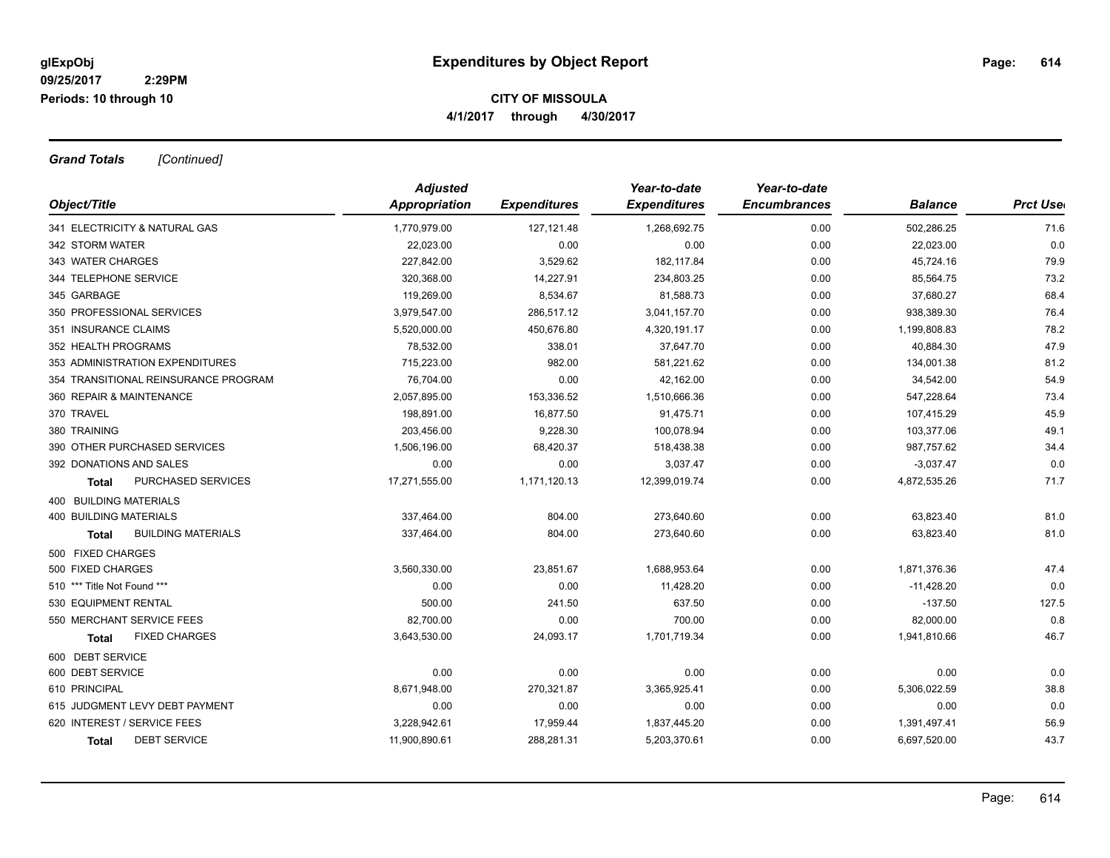## **CITY OF MISSOULA 4/1/2017 through 4/30/2017**

*Grand Totals [Continued]*

| Object/Title                         | <b>Adjusted</b> |                     | Year-to-date        | Year-to-date        |                |                  |
|--------------------------------------|-----------------|---------------------|---------------------|---------------------|----------------|------------------|
|                                      | Appropriation   | <b>Expenditures</b> | <b>Expenditures</b> | <b>Encumbrances</b> | <b>Balance</b> | <b>Prct Uset</b> |
| 341 ELECTRICITY & NATURAL GAS        | 1,770,979.00    | 127, 121.48         | 1,268,692.75        | 0.00                | 502,286.25     | 71.6             |
| 342 STORM WATER                      | 22,023.00       | 0.00                | 0.00                | 0.00                | 22,023.00      | 0.0              |
| 343 WATER CHARGES                    | 227,842.00      | 3,529.62            | 182,117.84          | 0.00                | 45,724.16      | 79.9             |
| 344 TELEPHONE SERVICE                | 320,368.00      | 14,227.91           | 234,803.25          | 0.00                | 85,564.75      | 73.2             |
| 345 GARBAGE                          | 119,269.00      | 8,534.67            | 81,588.73           | 0.00                | 37,680.27      | 68.4             |
| 350 PROFESSIONAL SERVICES            | 3,979,547.00    | 286,517.12          | 3,041,157.70        | 0.00                | 938,389.30     | 76.4             |
| 351 INSURANCE CLAIMS                 | 5,520,000.00    | 450,676.80          | 4,320,191.17        | 0.00                | 1,199,808.83   | 78.2             |
| 352 HEALTH PROGRAMS                  | 78,532.00       | 338.01              | 37,647.70           | 0.00                | 40,884.30      | 47.9             |
| 353 ADMINISTRATION EXPENDITURES      | 715,223.00      | 982.00              | 581,221.62          | 0.00                | 134,001.38     | 81.2             |
| 354 TRANSITIONAL REINSURANCE PROGRAM | 76,704.00       | 0.00                | 42,162.00           | 0.00                | 34,542.00      | 54.9             |
| 360 REPAIR & MAINTENANCE             | 2,057,895.00    | 153,336.52          | 1,510,666.36        | 0.00                | 547,228.64     | 73.4             |
| 370 TRAVEL                           | 198.891.00      | 16,877.50           | 91,475.71           | 0.00                | 107,415.29     | 45.9             |
| 380 TRAINING                         | 203,456.00      | 9,228.30            | 100,078.94          | 0.00                | 103,377.06     | 49.1             |
| 390 OTHER PURCHASED SERVICES         | 1,506,196.00    | 68,420.37           | 518,438.38          | 0.00                | 987,757.62     | 34.4             |
| 392 DONATIONS AND SALES              | 0.00            | 0.00                | 3,037.47            | 0.00                | $-3,037.47$    | 0.0              |
| <b>PURCHASED SERVICES</b><br>Total   | 17,271,555.00   | 1,171,120.13        | 12,399,019.74       | 0.00                | 4,872,535.26   | 71.7             |
| 400 BUILDING MATERIALS               |                 |                     |                     |                     |                |                  |
| <b>400 BUILDING MATERIALS</b>        | 337,464.00      | 804.00              | 273,640.60          | 0.00                | 63,823.40      | 81.0             |
| <b>BUILDING MATERIALS</b><br>Total   | 337,464.00      | 804.00              | 273,640.60          | 0.00                | 63,823.40      | 81.0             |
| 500 FIXED CHARGES                    |                 |                     |                     |                     |                |                  |
| 500 FIXED CHARGES                    | 3,560,330.00    | 23,851.67           | 1,688,953.64        | 0.00                | 1,871,376.36   | 47.4             |
| 510 *** Title Not Found ***          | 0.00            | 0.00                | 11,428.20           | 0.00                | $-11,428.20$   | 0.0              |
| 530 EQUIPMENT RENTAL                 | 500.00          | 241.50              | 637.50              | 0.00                | $-137.50$      | 127.5            |
| 550 MERCHANT SERVICE FEES            | 82,700.00       | 0.00                | 700.00              | 0.00                | 82,000.00      | 0.8              |
| <b>FIXED CHARGES</b><br>Total        | 3,643,530.00    | 24,093.17           | 1,701,719.34        | 0.00                | 1,941,810.66   | 46.7             |
| 600 DEBT SERVICE                     |                 |                     |                     |                     |                |                  |
| 600 DEBT SERVICE                     | 0.00            | 0.00                | 0.00                | 0.00                | 0.00           | 0.0              |
| 610 PRINCIPAL                        | 8,671,948.00    | 270,321.87          | 3,365,925.41        | 0.00                | 5,306,022.59   | 38.8             |
| 615 JUDGMENT LEVY DEBT PAYMENT       | 0.00            | 0.00                | 0.00                | 0.00                | 0.00           | 0.0              |
| 620 INTEREST / SERVICE FEES          | 3,228,942.61    | 17,959.44           | 1,837,445.20        | 0.00                | 1,391,497.41   | 56.9             |
| <b>DEBT SERVICE</b><br><b>Total</b>  | 11,900,890.61   | 288,281.31          | 5,203,370.61        | 0.00                | 6,697,520.00   | 43.7             |